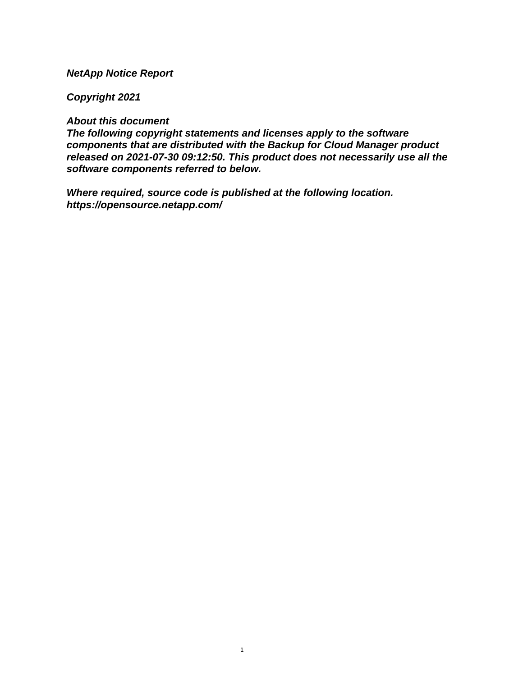## **NetApp Notice Report**

## **Copyright 2021**

## **About this document**

**The following copyright statements and licenses apply to the software components that are distributed with the Backup for Cloud Manager product released on 2021-07-30 09:12:50. This product does not necessarily use all the software components referred to below.**

**Where required, source code is published at the following location. <https://opensource.netapp.com/>**

1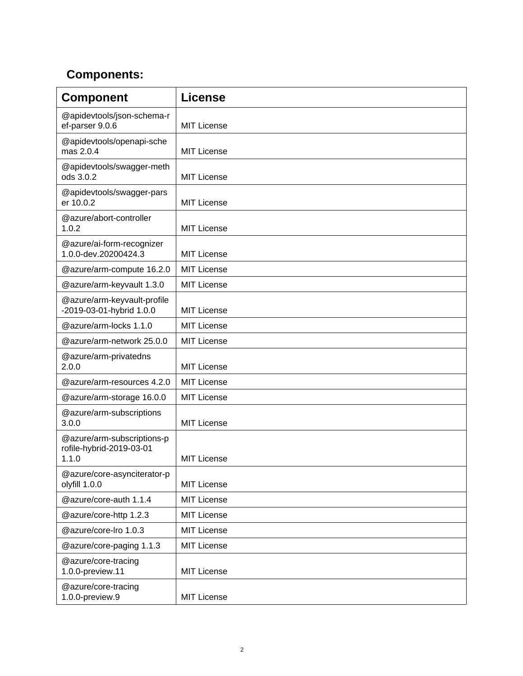## **Components:**

| <b>Component</b>                                                | <b>License</b>     |
|-----------------------------------------------------------------|--------------------|
| @apidevtools/json-schema-r<br>ef-parser 9.0.6                   | <b>MIT License</b> |
| @apidevtools/openapi-sche<br>mas 2.0.4                          | <b>MIT License</b> |
| @apidevtools/swagger-meth<br>ods 3.0.2                          | <b>MIT License</b> |
| @apidevtools/swagger-pars<br>er 10.0.2                          | <b>MIT License</b> |
| @azure/abort-controller<br>1.0.2                                | <b>MIT License</b> |
| @azure/ai-form-recognizer<br>1.0.0-dev.20200424.3               | <b>MIT License</b> |
| @azure/arm-compute 16.2.0                                       | <b>MIT License</b> |
| @azure/arm-keyvault 1.3.0                                       | <b>MIT License</b> |
| @azure/arm-keyvault-profile<br>-2019-03-01-hybrid 1.0.0         | <b>MIT License</b> |
| @azure/arm-locks 1.1.0                                          | <b>MIT License</b> |
| @azure/arm-network 25.0.0                                       | <b>MIT License</b> |
| @azure/arm-privatedns<br>2.0.0                                  | <b>MIT License</b> |
| @azure/arm-resources 4.2.0                                      | <b>MIT License</b> |
| @azure/arm-storage 16.0.0                                       | <b>MIT License</b> |
| @azure/arm-subscriptions<br>3.0.0                               | <b>MIT License</b> |
| @azure/arm-subscriptions-p<br>rofile-hybrid-2019-03-01<br>1.1.0 | <b>MIT License</b> |
| @azure/core-asynciterator-p<br>olyfill 1.0.0                    | <b>MIT License</b> |
| @azure/core-auth 1.1.4                                          | <b>MIT License</b> |
| @azure/core-http 1.2.3                                          | <b>MIT License</b> |
| @azure/core-lro 1.0.3                                           | <b>MIT License</b> |
| @azure/core-paging 1.1.3                                        | <b>MIT License</b> |
| @azure/core-tracing<br>1.0.0-preview.11                         | <b>MIT License</b> |
| @azure/core-tracing<br>1.0.0-preview.9                          | <b>MIT License</b> |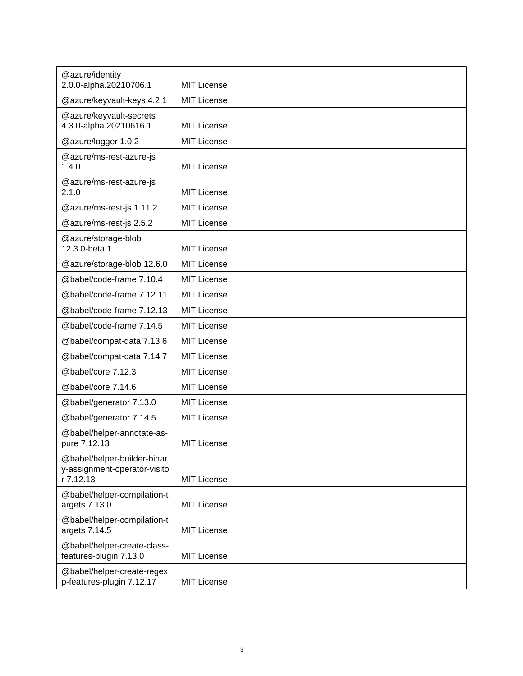| @azure/identity                                                          |                    |
|--------------------------------------------------------------------------|--------------------|
| 2.0.0-alpha.20210706.1                                                   | <b>MIT License</b> |
| @azure/keyvault-keys 4.2.1                                               | <b>MIT License</b> |
| @azure/keyvault-secrets<br>4.3.0-alpha.20210616.1                        | <b>MIT License</b> |
| @azure/logger 1.0.2                                                      | <b>MIT License</b> |
| @azure/ms-rest-azure-js<br>1.4.0                                         | <b>MIT License</b> |
| @azure/ms-rest-azure-js<br>2.1.0                                         | <b>MIT License</b> |
| @azure/ms-rest-js 1.11.2                                                 | <b>MIT License</b> |
| @azure/ms-rest-js 2.5.2                                                  | <b>MIT License</b> |
| @azure/storage-blob<br>12.3.0-beta.1                                     | <b>MIT License</b> |
| @azure/storage-blob 12.6.0                                               | <b>MIT License</b> |
| @babel/code-frame 7.10.4                                                 | <b>MIT License</b> |
| @babel/code-frame 7.12.11                                                | <b>MIT License</b> |
| @babel/code-frame 7.12.13                                                | <b>MIT License</b> |
| @babel/code-frame 7.14.5                                                 | <b>MIT License</b> |
| @babel/compat-data 7.13.6                                                | <b>MIT License</b> |
| @babel/compat-data 7.14.7                                                | <b>MIT License</b> |
| @babel/core 7.12.3                                                       | <b>MIT License</b> |
| @babel/core 7.14.6                                                       | <b>MIT License</b> |
| @babel/generator 7.13.0                                                  | <b>MIT License</b> |
| @babel/generator 7.14.5                                                  | <b>MIT License</b> |
| @babel/helper-annotate-as-<br>pure 7.12.13                               | <b>MIT License</b> |
| @babel/helper-builder-binar<br>y-assignment-operator-visito<br>r 7.12.13 | <b>MIT License</b> |
| @babel/helper-compilation-t<br>argets 7.13.0                             | <b>MIT License</b> |
| @babel/helper-compilation-t<br>argets 7.14.5                             | <b>MIT License</b> |
| @babel/helper-create-class-<br>features-plugin 7.13.0                    | <b>MIT License</b> |
| @babel/helper-create-regex<br>p-features-plugin 7.12.17                  | <b>MIT License</b> |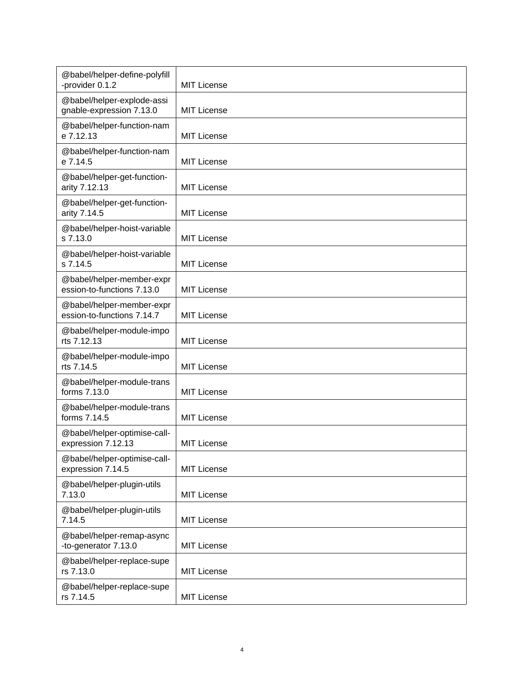| @babel/helper-define-polyfill<br>-provider 0.1.2        | <b>MIT License</b> |
|---------------------------------------------------------|--------------------|
| @babel/helper-explode-assi<br>gnable-expression 7.13.0  | <b>MIT License</b> |
| @babel/helper-function-nam<br>e 7.12.13                 | <b>MIT License</b> |
| @babel/helper-function-nam<br>e 7.14.5                  | <b>MIT License</b> |
| @babel/helper-get-function-<br>arity 7.12.13            | <b>MIT License</b> |
| @babel/helper-get-function-<br>arity 7.14.5             | <b>MIT License</b> |
| @babel/helper-hoist-variable<br>s 7.13.0                | <b>MIT License</b> |
| @babel/helper-hoist-variable<br>s 7.14.5                | <b>MIT License</b> |
| @babel/helper-member-expr<br>ession-to-functions 7.13.0 | <b>MIT License</b> |
| @babel/helper-member-expr<br>ession-to-functions 7.14.7 | <b>MIT License</b> |
| @babel/helper-module-impo<br>rts 7.12.13                | <b>MIT License</b> |
| @babel/helper-module-impo<br>rts 7.14.5                 | <b>MIT License</b> |
| @babel/helper-module-trans<br>forms 7.13.0              | <b>MIT License</b> |
| @babel/helper-module-trans<br>forms 7.14.5              | <b>MIT License</b> |
| @babel/helper-optimise-call-<br>expression 7.12.13      | <b>MIT License</b> |
| @babel/helper-optimise-call-<br>expression 7.14.5       | <b>MIT License</b> |
| @babel/helper-plugin-utils<br>7.13.0                    | <b>MIT License</b> |
| @babel/helper-plugin-utils<br>7.14.5                    | <b>MIT License</b> |
| @babel/helper-remap-async<br>-to-generator 7.13.0       | <b>MIT License</b> |
| @babel/helper-replace-supe<br>rs 7.13.0                 | <b>MIT License</b> |
| @babel/helper-replace-supe<br>rs 7.14.5                 | <b>MIT License</b> |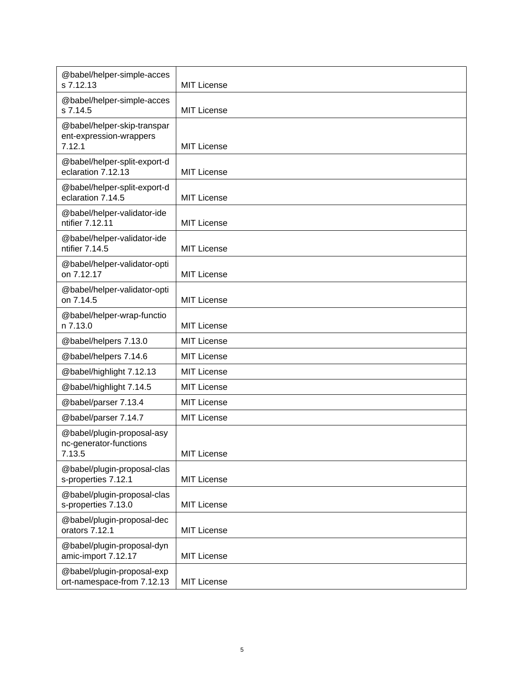| @babel/helper-simple-acces<br>s 7.12.13                          | <b>MIT License</b> |
|------------------------------------------------------------------|--------------------|
| @babel/helper-simple-acces<br>s 7.14.5                           | <b>MIT License</b> |
| @babel/helper-skip-transpar<br>ent-expression-wrappers<br>7.12.1 | <b>MIT License</b> |
| @babel/helper-split-export-d<br>eclaration 7.12.13               | MIT License        |
| @babel/helper-split-export-d<br>eclaration 7.14.5                | <b>MIT License</b> |
| @babel/helper-validator-ide<br>ntifier 7.12.11                   | <b>MIT License</b> |
| @babel/helper-validator-ide<br>ntifier 7.14.5                    | <b>MIT License</b> |
| @babel/helper-validator-opti<br>on 7.12.17                       | <b>MIT License</b> |
| @babel/helper-validator-opti<br>on 7.14.5                        | <b>MIT License</b> |
| @babel/helper-wrap-functio<br>n 7.13.0                           | <b>MIT License</b> |
| @babel/helpers 7.13.0                                            | MIT License        |
| @babel/helpers 7.14.6                                            | <b>MIT License</b> |
| @babel/highlight 7.12.13                                         | MIT License        |
| @babel/highlight 7.14.5                                          | <b>MIT License</b> |
| @babel/parser 7.13.4                                             | <b>MIT License</b> |
| @babel/parser 7.14.7                                             | <b>MIT License</b> |
| @babel/plugin-proposal-asy<br>nc-generator-functions<br>7.13.5   | <b>MIT License</b> |
| @babel/plugin-proposal-clas<br>s-properties 7.12.1               | <b>MIT License</b> |
| @babel/plugin-proposal-clas<br>s-properties 7.13.0               | <b>MIT License</b> |
| @babel/plugin-proposal-dec<br>orators 7.12.1                     | <b>MIT License</b> |
| @babel/plugin-proposal-dyn<br>amic-import 7.12.17                | <b>MIT License</b> |
| @babel/plugin-proposal-exp<br>ort-namespace-from 7.12.13         | <b>MIT License</b> |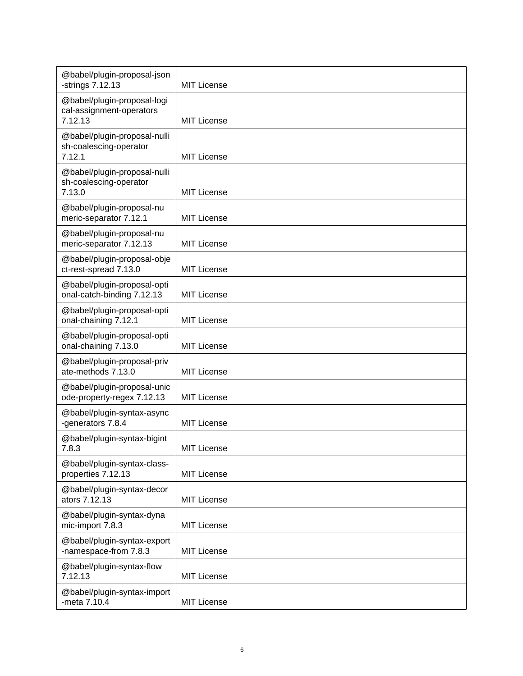| @babel/plugin-proposal-json<br>-strings 7.12.13                    | <b>MIT License</b> |
|--------------------------------------------------------------------|--------------------|
| @babel/plugin-proposal-logi<br>cal-assignment-operators<br>7.12.13 | <b>MIT License</b> |
| @babel/plugin-proposal-nulli<br>sh-coalescing-operator<br>7.12.1   | <b>MIT License</b> |
| @babel/plugin-proposal-nulli<br>sh-coalescing-operator<br>7.13.0   | <b>MIT License</b> |
| @babel/plugin-proposal-nu<br>meric-separator 7.12.1                | <b>MIT License</b> |
| @babel/plugin-proposal-nu<br>meric-separator 7.12.13               | <b>MIT License</b> |
| @babel/plugin-proposal-obje<br>ct-rest-spread 7.13.0               | <b>MIT License</b> |
| @babel/plugin-proposal-opti<br>onal-catch-binding 7.12.13          | MIT License        |
| @babel/plugin-proposal-opti<br>onal-chaining 7.12.1                | MIT License        |
| @babel/plugin-proposal-opti<br>onal-chaining 7.13.0                | MIT License        |
| @babel/plugin-proposal-priv<br>ate-methods 7.13.0                  | MIT License        |
| @babel/plugin-proposal-unic<br>ode-property-regex 7.12.13          | MIT License        |
| @babel/plugin-syntax-async<br>-generators 7.8.4                    | <b>MIT License</b> |
| @babel/plugin-syntax-bigint<br>7.8.3                               | <b>MIT License</b> |
| @babel/plugin-syntax-class-<br>properties 7.12.13                  | MIT License        |
| @babel/plugin-syntax-decor<br>ators 7.12.13                        | <b>MIT License</b> |
| @babel/plugin-syntax-dyna<br>mic-import 7.8.3                      | <b>MIT License</b> |
| @babel/plugin-syntax-export<br>-namespace-from 7.8.3               | <b>MIT License</b> |
| @babel/plugin-syntax-flow<br>7.12.13                               | MIT License        |
| @babel/plugin-syntax-import<br>-meta 7.10.4                        | <b>MIT License</b> |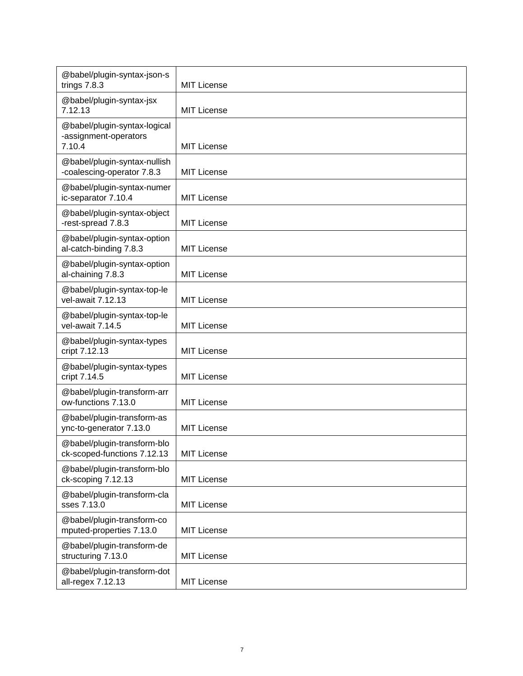| @babel/plugin-syntax-json-s<br>trings 7.8.3                     | <b>MIT License</b> |
|-----------------------------------------------------------------|--------------------|
| @babel/plugin-syntax-jsx<br>7.12.13                             | <b>MIT License</b> |
| @babel/plugin-syntax-logical<br>-assignment-operators<br>7.10.4 | <b>MIT License</b> |
| @babel/plugin-syntax-nullish<br>-coalescing-operator 7.8.3      | <b>MIT License</b> |
| @babel/plugin-syntax-numer<br>ic-separator 7.10.4               | <b>MIT License</b> |
| @babel/plugin-syntax-object<br>-rest-spread 7.8.3               | <b>MIT License</b> |
| @babel/plugin-syntax-option<br>al-catch-binding 7.8.3           | <b>MIT License</b> |
| @babel/plugin-syntax-option<br>al-chaining 7.8.3                | <b>MIT License</b> |
| @babel/plugin-syntax-top-le<br>vel-await 7.12.13                | <b>MIT License</b> |
| @babel/plugin-syntax-top-le<br>vel-await 7.14.5                 | <b>MIT License</b> |
| @babel/plugin-syntax-types<br>cript 7.12.13                     | <b>MIT License</b> |
| @babel/plugin-syntax-types<br>cript 7.14.5                      | <b>MIT License</b> |
| @babel/plugin-transform-arr<br>ow-functions 7.13.0              | <b>MIT License</b> |
| @babel/plugin-transform-as<br>ync-to-generator 7.13.0           | <b>MIT License</b> |
| @babel/plugin-transform-blo<br>ck-scoped-functions 7.12.13      | <b>MIT License</b> |
| @babel/plugin-transform-blo<br>ck-scoping 7.12.13               | <b>MIT License</b> |
| @babel/plugin-transform-cla<br>sses 7.13.0                      | <b>MIT License</b> |
| @babel/plugin-transform-co<br>mputed-properties 7.13.0          | <b>MIT License</b> |
| @babel/plugin-transform-de<br>structuring 7.13.0                | <b>MIT License</b> |
| @babel/plugin-transform-dot<br>all-regex 7.12.13                | <b>MIT License</b> |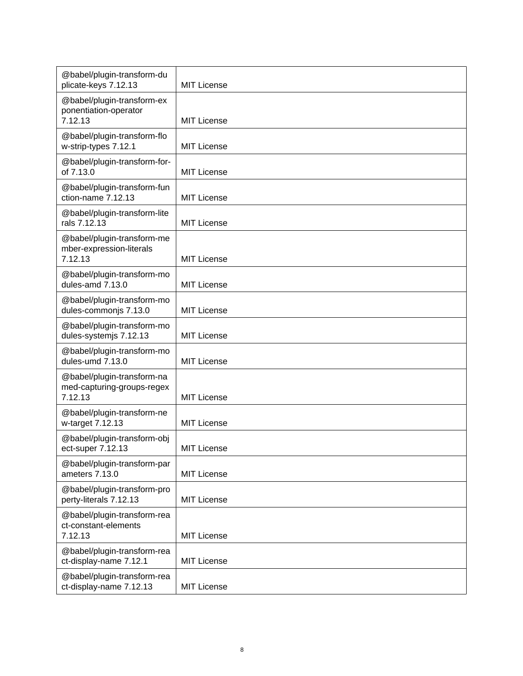| @babel/plugin-transform-du<br>plicate-keys 7.12.13                  | <b>MIT License</b> |
|---------------------------------------------------------------------|--------------------|
| @babel/plugin-transform-ex<br>ponentiation-operator<br>7.12.13      | <b>MIT License</b> |
| @babel/plugin-transform-flo<br>w-strip-types 7.12.1                 | <b>MIT License</b> |
| @babel/plugin-transform-for-<br>of 7.13.0                           | <b>MIT License</b> |
| @babel/plugin-transform-fun<br>ction-name 7.12.13                   | <b>MIT License</b> |
| @babel/plugin-transform-lite<br>rals 7.12.13                        | <b>MIT License</b> |
| @babel/plugin-transform-me<br>mber-expression-literals<br>7.12.13   | <b>MIT License</b> |
| @babel/plugin-transform-mo<br>dules-amd 7.13.0                      | <b>MIT License</b> |
| @babel/plugin-transform-mo<br>dules-commonjs 7.13.0                 | <b>MIT License</b> |
| @babel/plugin-transform-mo<br>dules-systemjs 7.12.13                | MIT License        |
| @babel/plugin-transform-mo<br>dules-umd 7.13.0                      | <b>MIT License</b> |
| @babel/plugin-transform-na<br>med-capturing-groups-regex<br>7.12.13 | <b>MIT License</b> |
| @babel/plugin-transform-ne<br>w-target 7.12.13                      | <b>MIT License</b> |
| @babel/plugin-transform-obj<br>ect-super 7.12.13                    | <b>MIT License</b> |
| @babel/plugin-transform-par<br>ameters 7.13.0                       | <b>MIT License</b> |
| @babel/plugin-transform-pro<br>perty-literals 7.12.13               | <b>MIT License</b> |
| @babel/plugin-transform-rea<br>ct-constant-elements<br>7.12.13      | <b>MIT License</b> |
| @babel/plugin-transform-rea<br>ct-display-name 7.12.1               | <b>MIT License</b> |
| @babel/plugin-transform-rea<br>ct-display-name 7.12.13              | <b>MIT License</b> |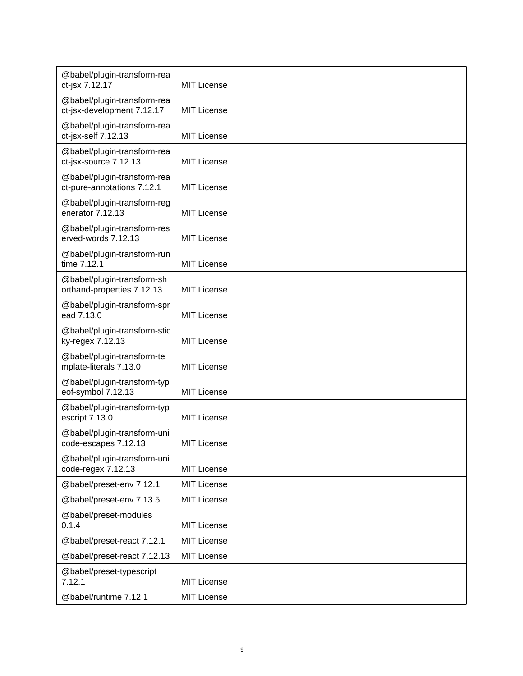| @babel/plugin-transform-rea<br>ct-jsx 7.12.17             | <b>MIT License</b> |
|-----------------------------------------------------------|--------------------|
| @babel/plugin-transform-rea<br>ct-jsx-development 7.12.17 | <b>MIT License</b> |
| @babel/plugin-transform-rea<br>ct-jsx-self 7.12.13        | <b>MIT License</b> |
| @babel/plugin-transform-rea<br>ct-jsx-source 7.12.13      | <b>MIT License</b> |
| @babel/plugin-transform-rea<br>ct-pure-annotations 7.12.1 | <b>MIT License</b> |
| @babel/plugin-transform-reg<br>enerator 7.12.13           | <b>MIT License</b> |
| @babel/plugin-transform-res<br>erved-words 7.12.13        | <b>MIT License</b> |
| @babel/plugin-transform-run<br>time 7.12.1                | MIT License        |
| @babel/plugin-transform-sh<br>orthand-properties 7.12.13  | <b>MIT License</b> |
| @babel/plugin-transform-spr<br>ead 7.13.0                 | <b>MIT License</b> |
| @babel/plugin-transform-stic<br>ky-regex 7.12.13          | <b>MIT License</b> |
| @babel/plugin-transform-te<br>mplate-literals 7.13.0      | <b>MIT License</b> |
| @babel/plugin-transform-typ<br>eof-symbol 7.12.13         | <b>MIT License</b> |
| @babel/plugin-transform-typ<br>escript 7.13.0             | <b>MIT License</b> |
| @babel/plugin-transform-uni<br>code-escapes 7.12.13       | <b>MIT License</b> |
| @babel/plugin-transform-uni<br>code-regex 7.12.13         | <b>MIT License</b> |
| @babel/preset-env 7.12.1                                  | <b>MIT License</b> |
| @babel/preset-env 7.13.5                                  | <b>MIT License</b> |
| @babel/preset-modules<br>0.1.4                            | <b>MIT License</b> |
| @babel/preset-react 7.12.1                                | <b>MIT License</b> |
| @babel/preset-react 7.12.13                               | <b>MIT License</b> |
| @babel/preset-typescript<br>7.12.1                        | <b>MIT License</b> |
| @babel/runtime 7.12.1                                     | <b>MIT License</b> |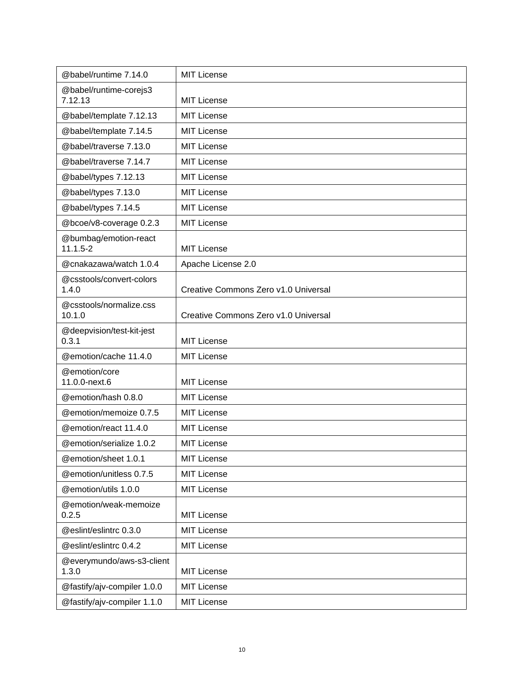| @babel/runtime 7.14.0                 | <b>MIT License</b>                   |
|---------------------------------------|--------------------------------------|
| @babel/runtime-corejs3<br>7.12.13     | <b>MIT License</b>                   |
| @babel/template 7.12.13               | <b>MIT License</b>                   |
| @babel/template 7.14.5                | <b>MIT License</b>                   |
| @babel/traverse 7.13.0                | <b>MIT License</b>                   |
| @babel/traverse 7.14.7                | <b>MIT License</b>                   |
| @babel/types 7.12.13                  | <b>MIT License</b>                   |
| @babel/types 7.13.0                   | <b>MIT License</b>                   |
| @babel/types 7.14.5                   | <b>MIT License</b>                   |
| @bcoe/v8-coverage 0.2.3               | <b>MIT License</b>                   |
| @bumbag/emotion-react<br>$11.1.5 - 2$ | <b>MIT License</b>                   |
| @cnakazawa/watch 1.0.4                | Apache License 2.0                   |
| @csstools/convert-colors<br>1.4.0     | Creative Commons Zero v1.0 Universal |
| @csstools/normalize.css<br>10.1.0     | Creative Commons Zero v1.0 Universal |
| @deepvision/test-kit-jest<br>0.3.1    | <b>MIT License</b>                   |
| @emotion/cache 11.4.0                 | <b>MIT License</b>                   |
| @emotion/core<br>11.0.0-next.6        | <b>MIT License</b>                   |
| @emotion/hash 0.8.0                   | <b>MIT License</b>                   |
| @emotion/memoize 0.7.5                | <b>MIT License</b>                   |
| @emotion/react 11.4.0                 | <b>MIT License</b>                   |
| @emotion/serialize 1.0.2              | <b>MIT License</b>                   |
| @emotion/sheet 1.0.1                  | MIT License                          |
| @emotion/unitless 0.7.5               | <b>MIT License</b>                   |
| @emotion/utils 1.0.0                  | <b>MIT License</b>                   |
| @emotion/weak-memoize<br>0.2.5        | <b>MIT License</b>                   |
| @eslint/eslintrc 0.3.0                | MIT License                          |
| @eslint/eslintrc 0.4.2                | <b>MIT License</b>                   |
| @everymundo/aws-s3-client<br>1.3.0    | <b>MIT License</b>                   |
| @fastify/ajv-compiler 1.0.0           | <b>MIT License</b>                   |
| @fastify/ajv-compiler 1.1.0           | MIT License                          |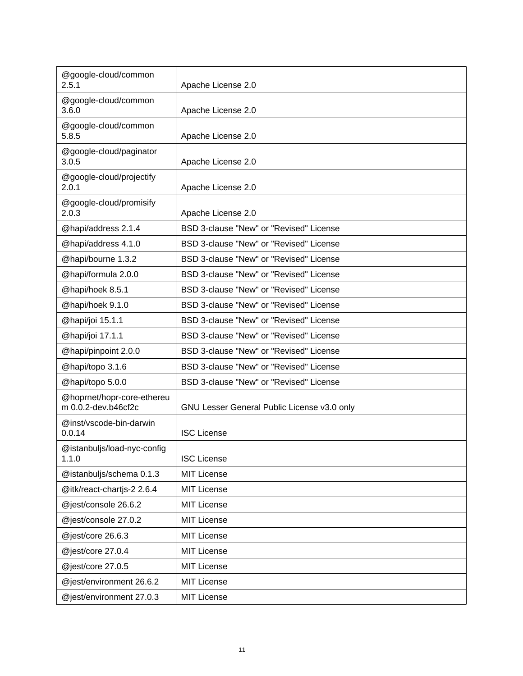| @google-cloud/common<br>2.5.1                     | Apache License 2.0                          |
|---------------------------------------------------|---------------------------------------------|
| @google-cloud/common<br>3.6.0                     | Apache License 2.0                          |
| @google-cloud/common<br>5.8.5                     | Apache License 2.0                          |
| @google-cloud/paginator<br>3.0.5                  | Apache License 2.0                          |
| @google-cloud/projectify<br>2.0.1                 | Apache License 2.0                          |
| @google-cloud/promisify<br>2.0.3                  | Apache License 2.0                          |
| @hapi/address 2.1.4                               | BSD 3-clause "New" or "Revised" License     |
| @hapi/address 4.1.0                               | BSD 3-clause "New" or "Revised" License     |
| @hapi/bourne 1.3.2                                | BSD 3-clause "New" or "Revised" License     |
| @hapi/formula 2.0.0                               | BSD 3-clause "New" or "Revised" License     |
| @hapi/hoek 8.5.1                                  | BSD 3-clause "New" or "Revised" License     |
| @hapi/hoek 9.1.0                                  | BSD 3-clause "New" or "Revised" License     |
| @hapi/joi 15.1.1                                  | BSD 3-clause "New" or "Revised" License     |
| @hapi/joi 17.1.1                                  | BSD 3-clause "New" or "Revised" License     |
| @hapi/pinpoint 2.0.0                              | BSD 3-clause "New" or "Revised" License     |
| @hapi/topo 3.1.6                                  | BSD 3-clause "New" or "Revised" License     |
| @hapi/topo 5.0.0                                  | BSD 3-clause "New" or "Revised" License     |
| @hoprnet/hopr-core-ethereu<br>m 0.0.2-dev.b46cf2c | GNU Lesser General Public License v3.0 only |
| @inst/vscode-bin-darwin<br>0.0.14                 | <b>ISC License</b>                          |
| @istanbuljs/load-nyc-config<br>1.1.0              | <b>ISC License</b>                          |
| @istanbuljs/schema 0.1.3                          | MIT License                                 |
| @itk/react-chartjs-2 2.6.4                        | <b>MIT License</b>                          |
| @jest/console 26.6.2                              | MIT License                                 |
| @jest/console 27.0.2                              | <b>MIT License</b>                          |
| @jest/core 26.6.3                                 | MIT License                                 |
| @jest/core 27.0.4                                 | <b>MIT License</b>                          |
| @jest/core 27.0.5                                 | <b>MIT License</b>                          |
| @jest/environment 26.6.2                          | <b>MIT License</b>                          |
| @jest/environment 27.0.3                          | <b>MIT License</b>                          |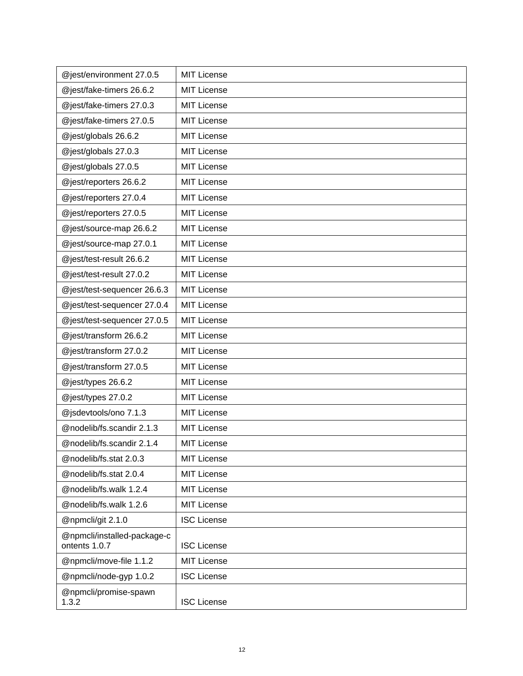| @jest/environment 27.0.5                     | <b>MIT License</b> |
|----------------------------------------------|--------------------|
| @jest/fake-timers 26.6.2                     | <b>MIT License</b> |
| @jest/fake-timers 27.0.3                     | <b>MIT License</b> |
| @jest/fake-timers 27.0.5                     | <b>MIT License</b> |
| @jest/globals 26.6.2                         | <b>MIT License</b> |
| @jest/globals 27.0.3                         | <b>MIT License</b> |
| @jest/globals 27.0.5                         | <b>MIT License</b> |
| @jest/reporters 26.6.2                       | <b>MIT License</b> |
| @jest/reporters 27.0.4                       | <b>MIT License</b> |
| @jest/reporters 27.0.5                       | MIT License        |
| @jest/source-map 26.6.2                      | <b>MIT License</b> |
| @jest/source-map 27.0.1                      | <b>MIT License</b> |
| @jest/test-result 26.6.2                     | <b>MIT License</b> |
| @jest/test-result 27.0.2                     | <b>MIT License</b> |
| @jest/test-sequencer 26.6.3                  | <b>MIT License</b> |
| @jest/test-sequencer 27.0.4                  | <b>MIT License</b> |
| @jest/test-sequencer 27.0.5                  | <b>MIT License</b> |
| @jest/transform 26.6.2                       | <b>MIT License</b> |
| @jest/transform 27.0.2                       | <b>MIT License</b> |
| @jest/transform 27.0.5                       | <b>MIT License</b> |
| @jest/types 26.6.2                           | <b>MIT License</b> |
| @jest/types 27.0.2                           | <b>MIT License</b> |
| @jsdevtools/ono 7.1.3                        | <b>MIT License</b> |
| @nodelib/fs.scandir 2.1.3                    | <b>MIT License</b> |
| @nodelib/fs.scandir 2.1.4                    | <b>MIT License</b> |
| @nodelib/fs.stat 2.0.3                       | <b>MIT License</b> |
| @nodelib/fs.stat 2.0.4                       | <b>MIT License</b> |
| @nodelib/fs.walk 1.2.4                       | <b>MIT License</b> |
| @nodelib/fs.walk 1.2.6                       | <b>MIT License</b> |
| @npmcli/git 2.1.0                            | <b>ISC License</b> |
| @npmcli/installed-package-c<br>ontents 1.0.7 | <b>ISC License</b> |
| @npmcli/move-file 1.1.2                      | <b>MIT License</b> |
| @npmcli/node-gyp 1.0.2                       | <b>ISC License</b> |
| @npmcli/promise-spawn<br>1.3.2               | <b>ISC License</b> |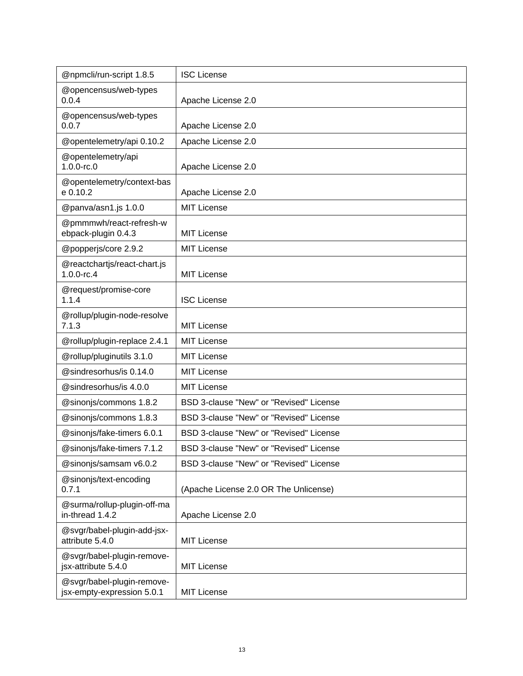| @npmcli/run-script 1.8.5                                 | <b>ISC License</b>                      |
|----------------------------------------------------------|-----------------------------------------|
| @opencensus/web-types<br>0.0.4                           | Apache License 2.0                      |
| @opencensus/web-types<br>0.0.7                           | Apache License 2.0                      |
| @opentelemetry/api 0.10.2                                | Apache License 2.0                      |
| @opentelemetry/api<br>$1.0.0$ -rc. $0$                   | Apache License 2.0                      |
| @opentelemetry/context-bas<br>e 0.10.2                   | Apache License 2.0                      |
| @panva/asn1.js 1.0.0                                     | <b>MIT License</b>                      |
| @pmmmwh/react-refresh-w<br>ebpack-plugin 0.4.3           | <b>MIT License</b>                      |
| @popperjs/core 2.9.2                                     | <b>MIT License</b>                      |
| @reactchartjs/react-chart.js<br>$1.0.0$ -rc.4            | <b>MIT License</b>                      |
| @request/promise-core<br>1.1.4                           | <b>ISC License</b>                      |
| @rollup/plugin-node-resolve<br>7.1.3                     | <b>MIT License</b>                      |
| @rollup/plugin-replace 2.4.1                             | <b>MIT License</b>                      |
| @rollup/pluginutils 3.1.0                                | <b>MIT License</b>                      |
| @sindresorhus/is 0.14.0                                  | <b>MIT License</b>                      |
| @sindresorhus/is 4.0.0                                   | <b>MIT License</b>                      |
| @sinonjs/commons 1.8.2                                   | BSD 3-clause "New" or "Revised" License |
| @sinonjs/commons 1.8.3                                   | BSD 3-clause "New" or "Revised" License |
| @sinonjs/fake-timers 6.0.1                               | BSD 3-clause "New" or "Revised" License |
| @sinonjs/fake-timers 7.1.2                               | BSD 3-clause "New" or "Revised" License |
| @sinonjs/samsam v6.0.2                                   | BSD 3-clause "New" or "Revised" License |
| @sinonjs/text-encoding<br>0.7.1                          | (Apache License 2.0 OR The Unlicense)   |
| @surma/rollup-plugin-off-ma<br>in-thread 1.4.2           | Apache License 2.0                      |
| @svgr/babel-plugin-add-jsx-<br>attribute 5.4.0           | <b>MIT License</b>                      |
| @svgr/babel-plugin-remove-<br>jsx-attribute 5.4.0        | <b>MIT License</b>                      |
| @svgr/babel-plugin-remove-<br>jsx-empty-expression 5.0.1 | <b>MIT License</b>                      |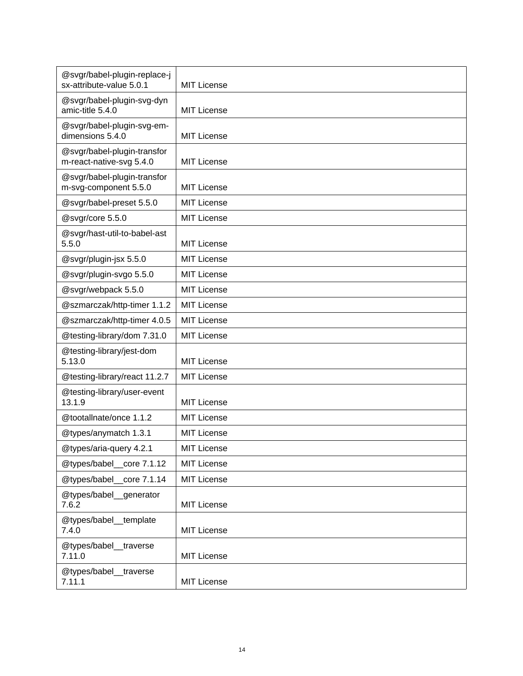| @svgr/babel-plugin-replace-j<br>sx-attribute-value 5.0.1 |                    |
|----------------------------------------------------------|--------------------|
|                                                          | <b>MIT License</b> |
| @svgr/babel-plugin-svg-dyn<br>amic-title 5.4.0           | <b>MIT License</b> |
| @svgr/babel-plugin-svg-em-<br>dimensions 5.4.0           | <b>MIT License</b> |
| @svgr/babel-plugin-transfor<br>m-react-native-svg 5.4.0  | <b>MIT License</b> |
|                                                          |                    |
| @svgr/babel-plugin-transfor<br>m-svg-component 5.5.0     | <b>MIT License</b> |
| @svgr/babel-preset 5.5.0                                 | <b>MIT License</b> |
| @svgr/core 5.5.0                                         | <b>MIT License</b> |
| @svgr/hast-util-to-babel-ast<br>5.5.0                    | <b>MIT License</b> |
| @svgr/plugin-jsx 5.5.0                                   | <b>MIT License</b> |
| @svgr/plugin-svgo 5.5.0                                  | <b>MIT License</b> |
| @svgr/webpack 5.5.0                                      | <b>MIT License</b> |
| @szmarczak/http-timer 1.1.2                              | <b>MIT License</b> |
| @szmarczak/http-timer 4.0.5                              | <b>MIT License</b> |
| @testing-library/dom 7.31.0                              | <b>MIT License</b> |
| @testing-library/jest-dom<br>5.13.0                      | <b>MIT License</b> |
| @testing-library/react 11.2.7                            | <b>MIT License</b> |
| @testing-library/user-event<br>13.1.9                    | <b>MIT License</b> |
| @tootallnate/once 1.1.2                                  | <b>MIT License</b> |
| @types/anymatch 1.3.1                                    | <b>MIT License</b> |
| @types/aria-query 4.2.1                                  | <b>MIT License</b> |
| @types/babel core 7.1.12                                 | <b>MIT License</b> |
| @types/babel_core 7.1.14                                 | <b>MIT License</b> |
| @types/babel_generator<br>7.6.2                          | <b>MIT License</b> |
| @types/babel_template<br>7.4.0                           | <b>MIT License</b> |
| @types/babel_traverse<br>7.11.0                          | <b>MIT License</b> |
| @types/babel_traverse<br>7.11.1                          | <b>MIT License</b> |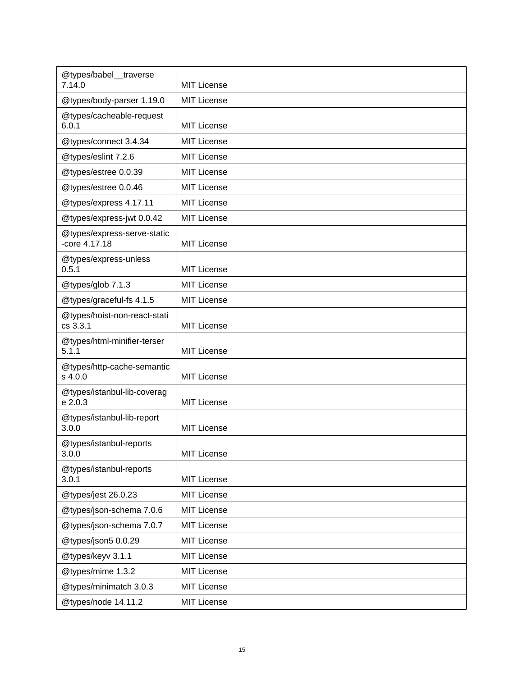| @types/babel_traverse<br>7.14.0              | <b>MIT License</b> |
|----------------------------------------------|--------------------|
| @types/body-parser 1.19.0                    | MIT License        |
| @types/cacheable-request<br>6.0.1            | <b>MIT License</b> |
| @types/connect 3.4.34                        | MIT License        |
| @types/eslint 7.2.6                          | <b>MIT License</b> |
| @types/estree 0.0.39                         | <b>MIT License</b> |
| @types/estree 0.0.46                         | <b>MIT License</b> |
| @types/express 4.17.11                       | MIT License        |
| @types/express-jwt 0.0.42                    | MIT License        |
| @types/express-serve-static<br>-core 4.17.18 | <b>MIT License</b> |
| @types/express-unless<br>0.5.1               | <b>MIT License</b> |
| @types/glob 7.1.3                            | <b>MIT License</b> |
| @types/graceful-fs 4.1.5                     | <b>MIT License</b> |
| @types/hoist-non-react-stati<br>cs 3.3.1     | <b>MIT License</b> |
| @types/html-minifier-terser<br>5.1.1         | <b>MIT License</b> |
| @types/http-cache-semantic<br>s 4.0.0        | <b>MIT License</b> |
| @types/istanbul-lib-coverag<br>e 2.0.3       | <b>MIT License</b> |
| @types/istanbul-lib-report<br>3.0.0          | <b>MIT License</b> |
| @types/istanbul-reports<br>3.0.0             | <b>MIT License</b> |
| @types/istanbul-reports<br>3.0.1             | <b>MIT License</b> |
| @types/jest 26.0.23                          | <b>MIT License</b> |
| @types/json-schema 7.0.6                     | <b>MIT License</b> |
| @types/json-schema 7.0.7                     | <b>MIT License</b> |
| @types/json5 0.0.29                          | <b>MIT License</b> |
| @types/keyv 3.1.1                            | <b>MIT License</b> |
| @types/mime 1.3.2                            | <b>MIT License</b> |
| @types/minimatch 3.0.3                       | <b>MIT License</b> |
| @types/node 14.11.2                          | <b>MIT License</b> |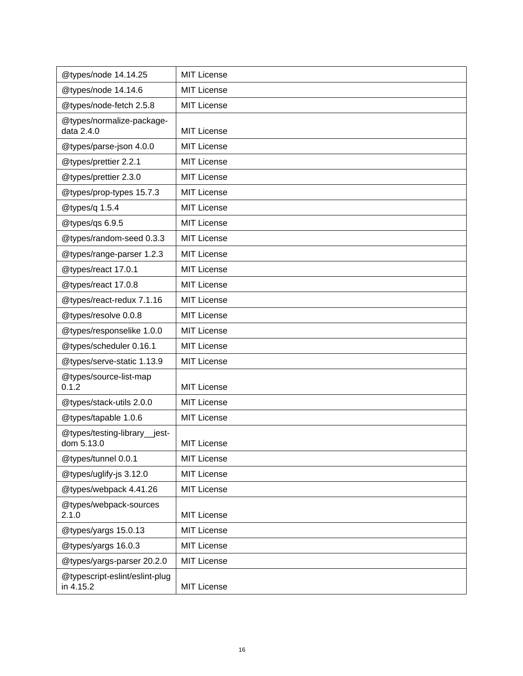| @types/node 14.14.25                        | <b>MIT License</b> |
|---------------------------------------------|--------------------|
| @types/node 14.14.6                         | <b>MIT License</b> |
| @types/node-fetch 2.5.8                     | <b>MIT License</b> |
| @types/normalize-package-<br>data 2.4.0     | <b>MIT License</b> |
| @types/parse-json 4.0.0                     | <b>MIT License</b> |
| @types/prettier 2.2.1                       | <b>MIT License</b> |
| @types/prettier 2.3.0                       | <b>MIT License</b> |
| @types/prop-types 15.7.3                    | <b>MIT License</b> |
| @types/q 1.5.4                              | <b>MIT License</b> |
| @types/qs 6.9.5                             | <b>MIT License</b> |
| @types/random-seed 0.3.3                    | <b>MIT License</b> |
| @types/range-parser 1.2.3                   | <b>MIT License</b> |
| @types/react 17.0.1                         | <b>MIT License</b> |
| @types/react 17.0.8                         | <b>MIT License</b> |
| @types/react-redux 7.1.16                   | <b>MIT License</b> |
| @types/resolve 0.0.8                        | <b>MIT License</b> |
| @types/responselike 1.0.0                   | <b>MIT License</b> |
| @types/scheduler 0.16.1                     | <b>MIT License</b> |
| @types/serve-static 1.13.9                  | <b>MIT License</b> |
| @types/source-list-map<br>0.1.2             | <b>MIT License</b> |
| @types/stack-utils 2.0.0                    | <b>MIT License</b> |
| @types/tapable 1.0.6                        | <b>MIT License</b> |
| @types/testing-library_jest-<br>dom 5.13.0  | <b>MIT License</b> |
| @types/tunnel 0.0.1                         | <b>MIT License</b> |
| @types/uglify-js 3.12.0                     | <b>MIT License</b> |
| @types/webpack 4.41.26                      | <b>MIT License</b> |
| @types/webpack-sources<br>2.1.0             | <b>MIT License</b> |
| @types/yargs 15.0.13                        | <b>MIT License</b> |
| @types/yargs 16.0.3                         | <b>MIT License</b> |
| @types/yargs-parser 20.2.0                  | <b>MIT License</b> |
| @typescript-eslint/eslint-plug<br>in 4.15.2 | <b>MIT License</b> |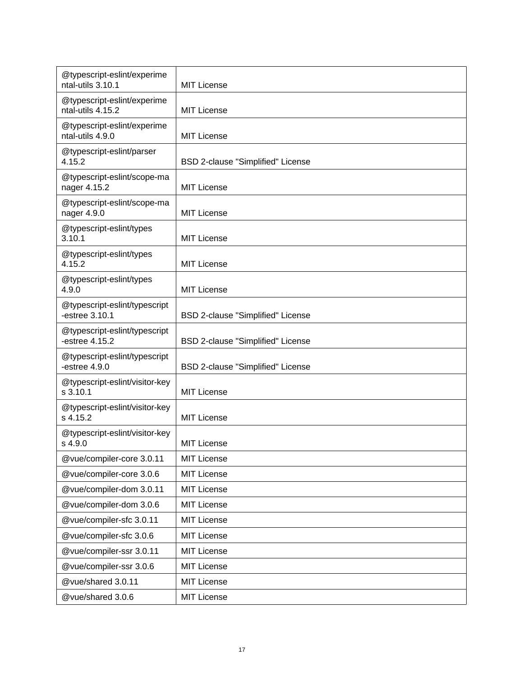| @typescript-eslint/experime<br>ntal-utils 3.10.1 | <b>MIT License</b>                |
|--------------------------------------------------|-----------------------------------|
| @typescript-eslint/experime<br>ntal-utils 4.15.2 | <b>MIT License</b>                |
| @typescript-eslint/experime<br>ntal-utils 4.9.0  | <b>MIT License</b>                |
| @typescript-eslint/parser<br>4.15.2              | BSD 2-clause "Simplified" License |
| @typescript-eslint/scope-ma<br>nager 4.15.2      | <b>MIT License</b>                |
| @typescript-eslint/scope-ma<br>nager 4.9.0       | <b>MIT License</b>                |
| @typescript-eslint/types<br>3.10.1               | <b>MIT License</b>                |
| @typescript-eslint/types<br>4.15.2               | MIT License                       |
| @typescript-eslint/types<br>4.9.0                | MIT License                       |
| @typescript-eslint/typescript<br>-estree 3.10.1  | BSD 2-clause "Simplified" License |
| @typescript-eslint/typescript<br>-estree 4.15.2  | BSD 2-clause "Simplified" License |
| @typescript-eslint/typescript<br>-estree $4.9.0$ | BSD 2-clause "Simplified" License |
| @typescript-eslint/visitor-key<br>s 3.10.1       | MIT License                       |
| @typescript-eslint/visitor-key<br>s 4.15.2       | MIT License                       |
| @typescript-eslint/visitor-key<br>s 4.9.0        | <b>MIT License</b>                |
| @vue/compiler-core 3.0.11                        | <b>MIT License</b>                |
| @vue/compiler-core 3.0.6                         | MIT License                       |
| @vue/compiler-dom 3.0.11                         | <b>MIT License</b>                |
| @vue/compiler-dom 3.0.6                          | <b>MIT License</b>                |
| @vue/compiler-sfc 3.0.11                         | <b>MIT License</b>                |
| @vue/compiler-sfc 3.0.6                          | MIT License                       |
| @vue/compiler-ssr 3.0.11                         | <b>MIT License</b>                |
| @vue/compiler-ssr 3.0.6                          | <b>MIT License</b>                |
| @vue/shared 3.0.11                               | <b>MIT License</b>                |
| @vue/shared 3.0.6                                | <b>MIT License</b>                |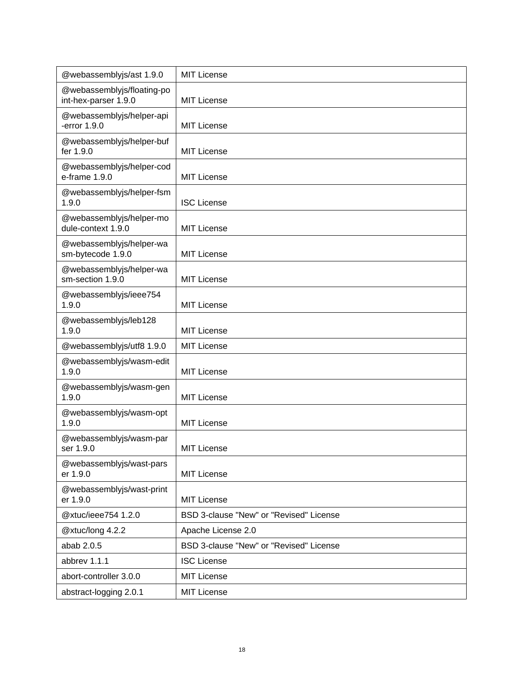| @webassemblyjs/ast 1.9.0                           | <b>MIT License</b>                      |
|----------------------------------------------------|-----------------------------------------|
| @webassemblyjs/floating-po<br>int-hex-parser 1.9.0 | <b>MIT License</b>                      |
| @webassemblyjs/helper-api<br>-error $1.9.0$        | <b>MIT License</b>                      |
| @webassemblyjs/helper-buf<br>fer 1.9.0             | <b>MIT License</b>                      |
| @webassemblyjs/helper-cod<br>e-frame 1.9.0         | <b>MIT License</b>                      |
| @webassemblyjs/helper-fsm<br>1.9.0                 | <b>ISC License</b>                      |
| @webassemblyjs/helper-mo<br>dule-context 1.9.0     | <b>MIT License</b>                      |
| @webassemblyjs/helper-wa<br>sm-bytecode 1.9.0      | <b>MIT License</b>                      |
| @webassemblyjs/helper-wa<br>sm-section 1.9.0       | <b>MIT License</b>                      |
| @webassemblyjs/ieee754<br>1.9.0                    | <b>MIT License</b>                      |
| @webassemblyjs/leb128<br>1.9.0                     | <b>MIT License</b>                      |
| @webassemblyjs/utf8 1.9.0                          | <b>MIT License</b>                      |
| @webassemblyjs/wasm-edit<br>1.9.0                  | <b>MIT License</b>                      |
| @webassemblyjs/wasm-gen<br>1.9.0                   | <b>MIT License</b>                      |
| @webassemblyjs/wasm-opt<br>1.9.0                   | <b>MIT License</b>                      |
| @webassemblyjs/wasm-par<br>ser 1.9.0               | <b>MIT License</b>                      |
| @webassemblyjs/wast-pars<br>er 1.9.0               | <b>MIT License</b>                      |
| @webassemblyjs/wast-print<br>er 1.9.0              | <b>MIT License</b>                      |
| @xtuc/ieee754 1.2.0                                | BSD 3-clause "New" or "Revised" License |
| @xtuc/long 4.2.2                                   | Apache License 2.0                      |
| abab 2.0.5                                         | BSD 3-clause "New" or "Revised" License |
| abbrev 1.1.1                                       | <b>ISC License</b>                      |
| abort-controller 3.0.0                             | <b>MIT License</b>                      |
| abstract-logging 2.0.1                             | <b>MIT License</b>                      |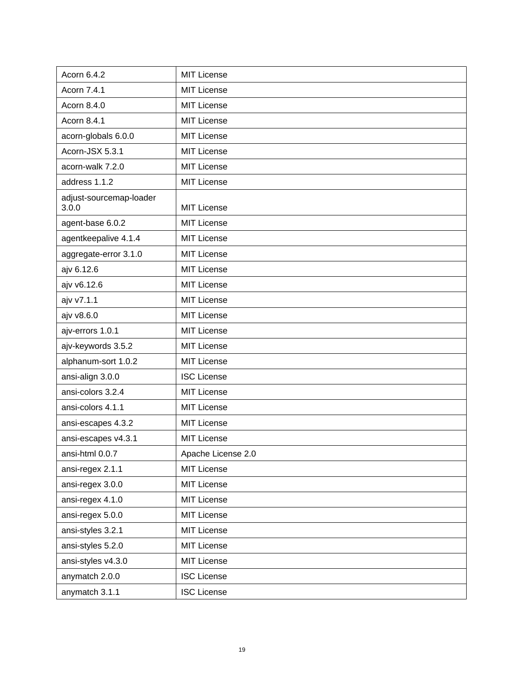| Acorn 6.4.2                      | <b>MIT License</b> |
|----------------------------------|--------------------|
| Acorn 7.4.1                      | <b>MIT License</b> |
| Acorn 8.4.0                      | <b>MIT License</b> |
| Acorn 8.4.1                      | <b>MIT License</b> |
| acorn-globals 6.0.0              | <b>MIT License</b> |
| Acorn-JSX 5.3.1                  | <b>MIT License</b> |
| acorn-walk 7.2.0                 | <b>MIT License</b> |
| address 1.1.2                    | <b>MIT License</b> |
| adjust-sourcemap-loader<br>3.0.0 | <b>MIT License</b> |
| agent-base 6.0.2                 | <b>MIT License</b> |
| agentkeepalive 4.1.4             | <b>MIT License</b> |
| aggregate-error 3.1.0            | <b>MIT License</b> |
| ajv 6.12.6                       | <b>MIT License</b> |
| ajv v6.12.6                      | <b>MIT License</b> |
| ajv v7.1.1                       | <b>MIT License</b> |
| ajv v8.6.0                       | <b>MIT License</b> |
| ajv-errors 1.0.1                 | <b>MIT License</b> |
| ajv-keywords 3.5.2               | <b>MIT License</b> |
| alphanum-sort 1.0.2              | <b>MIT License</b> |
| ansi-align 3.0.0                 | <b>ISC License</b> |
| ansi-colors 3.2.4                | <b>MIT License</b> |
| ansi-colors 4.1.1                | <b>MIT License</b> |
| ansi-escapes 4.3.2               | <b>MIT License</b> |
| ansi-escapes v4.3.1              | <b>MIT License</b> |
| ansi-html 0.0.7                  | Apache License 2.0 |
| ansi-regex 2.1.1                 | <b>MIT License</b> |
| ansi-regex 3.0.0                 | <b>MIT License</b> |
| ansi-regex 4.1.0                 | <b>MIT License</b> |
| ansi-regex 5.0.0                 | <b>MIT License</b> |
| ansi-styles 3.2.1                | <b>MIT License</b> |
| ansi-styles 5.2.0                | <b>MIT License</b> |
| ansi-styles v4.3.0               | <b>MIT License</b> |
| anymatch 2.0.0                   | <b>ISC License</b> |
| anymatch 3.1.1                   | <b>ISC License</b> |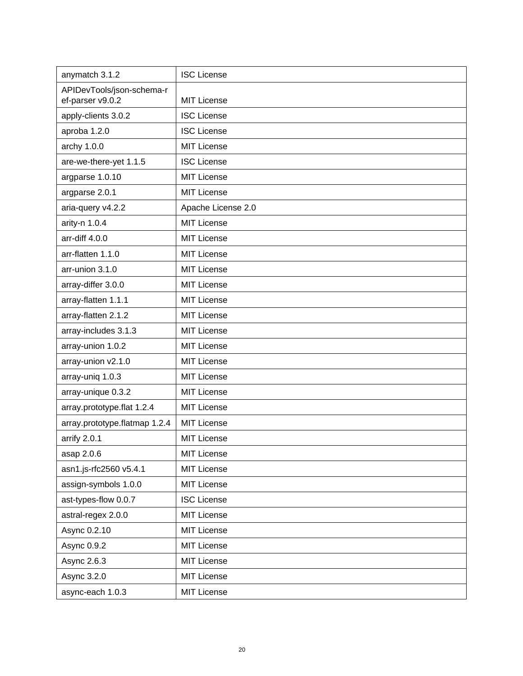| anymatch 3.1.2                                | <b>ISC License</b> |
|-----------------------------------------------|--------------------|
| APIDevTools/json-schema-r<br>ef-parser v9.0.2 | <b>MIT License</b> |
| apply-clients 3.0.2                           | <b>ISC License</b> |
| aproba 1.2.0                                  | <b>ISC License</b> |
| archy 1.0.0                                   | <b>MIT License</b> |
| are-we-there-yet 1.1.5                        | <b>ISC License</b> |
| argparse 1.0.10                               | <b>MIT License</b> |
| argparse 2.0.1                                | <b>MIT License</b> |
| aria-query v4.2.2                             | Apache License 2.0 |
| arity-n 1.0.4                                 | <b>MIT License</b> |
| arr-diff 4.0.0                                | <b>MIT License</b> |
| arr-flatten 1.1.0                             | <b>MIT License</b> |
| arr-union 3.1.0                               | <b>MIT License</b> |
| array-differ 3.0.0                            | <b>MIT License</b> |
| array-flatten 1.1.1                           | <b>MIT License</b> |
| array-flatten 2.1.2                           | <b>MIT License</b> |
| array-includes 3.1.3                          | <b>MIT License</b> |
| array-union 1.0.2                             | <b>MIT License</b> |
| array-union v2.1.0                            | <b>MIT License</b> |
| array-uniq 1.0.3                              | <b>MIT License</b> |
| array-unique 0.3.2                            | <b>MIT License</b> |
| array.prototype.flat 1.2.4                    | <b>MIT License</b> |
| array.prototype.flatmap 1.2.4                 | <b>MIT License</b> |
| arrify 2.0.1                                  | <b>MIT License</b> |
| asap 2.0.6                                    | <b>MIT License</b> |
| asn1.js-rfc2560 v5.4.1                        | <b>MIT License</b> |
| assign-symbols 1.0.0                          | <b>MIT License</b> |
| ast-types-flow 0.0.7                          | <b>ISC License</b> |
| astral-regex 2.0.0                            | <b>MIT License</b> |
| Async 0.2.10                                  | <b>MIT License</b> |
| Async 0.9.2                                   | <b>MIT License</b> |
| Async 2.6.3                                   | <b>MIT License</b> |
| Async 3.2.0                                   | <b>MIT License</b> |
| async-each 1.0.3                              | <b>MIT License</b> |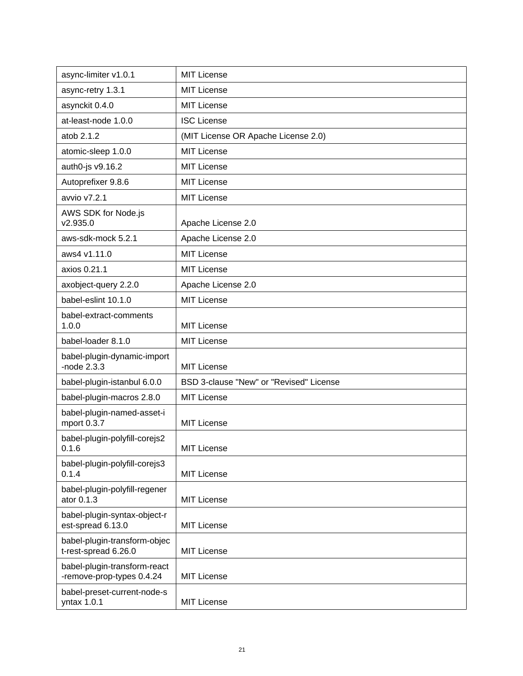| async-limiter v1.0.1                                      | <b>MIT License</b>                      |
|-----------------------------------------------------------|-----------------------------------------|
| async-retry 1.3.1                                         | <b>MIT License</b>                      |
| asynckit 0.4.0                                            | MIT License                             |
| at-least-node 1.0.0                                       | <b>ISC License</b>                      |
| atob 2.1.2                                                | (MIT License OR Apache License 2.0)     |
| atomic-sleep 1.0.0                                        | <b>MIT License</b>                      |
| auth0-js v9.16.2                                          | <b>MIT License</b>                      |
| Autoprefixer 9.8.6                                        | <b>MIT License</b>                      |
| avvio v7.2.1                                              | <b>MIT License</b>                      |
| AWS SDK for Node.js<br>v2.935.0                           | Apache License 2.0                      |
| aws-sdk-mock 5.2.1                                        | Apache License 2.0                      |
| aws4 v1.11.0                                              | <b>MIT License</b>                      |
| axios 0.21.1                                              | <b>MIT License</b>                      |
| axobject-query 2.2.0                                      | Apache License 2.0                      |
| babel-eslint 10.1.0                                       | <b>MIT License</b>                      |
| babel-extract-comments<br>1.0.0                           | <b>MIT License</b>                      |
| babel-loader 8.1.0                                        | <b>MIT License</b>                      |
| babel-plugin-dynamic-import<br>-node $2.3.3$              | <b>MIT License</b>                      |
| babel-plugin-istanbul 6.0.0                               | BSD 3-clause "New" or "Revised" License |
| babel-plugin-macros 2.8.0                                 | <b>MIT License</b>                      |
| babel-plugin-named-asset-i<br>mport 0.3.7                 | <b>MIT License</b>                      |
| babel-plugin-polyfill-corejs2<br>0.1.6                    | <b>MIT License</b>                      |
| babel-plugin-polyfill-corejs3<br>0.1.4                    | <b>MIT License</b>                      |
| babel-plugin-polyfill-regener<br>ator 0.1.3               | <b>MIT License</b>                      |
| babel-plugin-syntax-object-r<br>est-spread 6.13.0         | <b>MIT License</b>                      |
| babel-plugin-transform-objec<br>t-rest-spread 6.26.0      | <b>MIT License</b>                      |
| babel-plugin-transform-react<br>-remove-prop-types 0.4.24 | <b>MIT License</b>                      |
| babel-preset-current-node-s<br>yntax 1.0.1                | <b>MIT License</b>                      |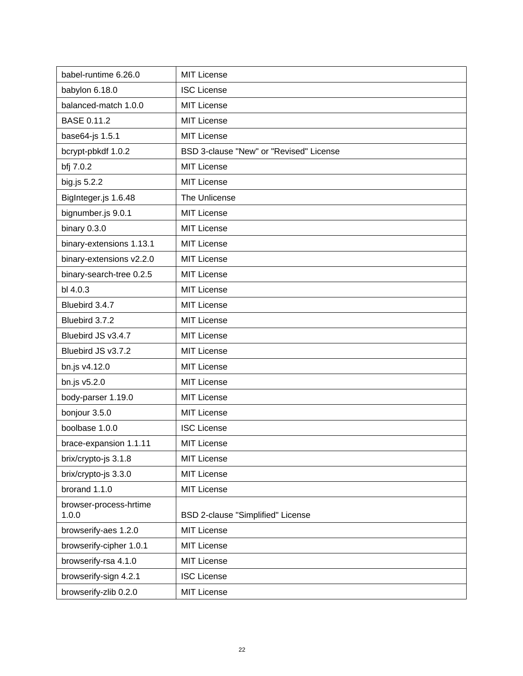| babel-runtime 6.26.0     | <b>MIT License</b>                      |
|--------------------------|-----------------------------------------|
| babylon 6.18.0           | <b>ISC License</b>                      |
| balanced-match 1.0.0     | <b>MIT License</b>                      |
| <b>BASE 0.11.2</b>       | <b>MIT License</b>                      |
| base64-js 1.5.1          | <b>MIT License</b>                      |
| bcrypt-pbkdf 1.0.2       | BSD 3-clause "New" or "Revised" License |
| bfj 7.0.2                | <b>MIT License</b>                      |
| big.js 5.2.2             | <b>MIT License</b>                      |
| BigInteger.js 1.6.48     | The Unlicense                           |
| bignumber.js 9.0.1       | <b>MIT License</b>                      |
| binary 0.3.0             | <b>MIT License</b>                      |
| binary-extensions 1.13.1 | MIT License                             |
| binary-extensions v2.2.0 | <b>MIT License</b>                      |
| binary-search-tree 0.2.5 | <b>MIT License</b>                      |
| bl 4.0.3                 | <b>MIT License</b>                      |
| Bluebird 3.4.7           | <b>MIT License</b>                      |
| Bluebird 3.7.2           | <b>MIT License</b>                      |
| Bluebird JS v3.4.7       | <b>MIT License</b>                      |
| Bluebird JS v3.7.2       | <b>MIT License</b>                      |
| bn.js v4.12.0            | <b>MIT License</b>                      |
| bn.js v5.2.0             | <b>MIT License</b>                      |
| body-parser 1.19.0       | <b>MIT License</b>                      |
| bonjour 3.5.0            | <b>MIT License</b>                      |
| boolbase 1.0.0           | <b>ISC License</b>                      |
| brace-expansion 1.1.11   | <b>MIT License</b>                      |
| brix/crypto-js 3.1.8     | <b>MIT License</b>                      |
| brix/crypto-js 3.3.0     | <b>MIT License</b>                      |
| brorand 1.1.0            | <b>MIT License</b>                      |
| browser-process-hrtime   |                                         |
| 1.0.0                    | BSD 2-clause "Simplified" License       |
| browserify-aes 1.2.0     | <b>MIT License</b>                      |
| browserify-cipher 1.0.1  | <b>MIT License</b>                      |
| browserify-rsa 4.1.0     | <b>MIT License</b>                      |
| browserify-sign 4.2.1    | <b>ISC License</b>                      |
| browserify-zlib 0.2.0    | <b>MIT License</b>                      |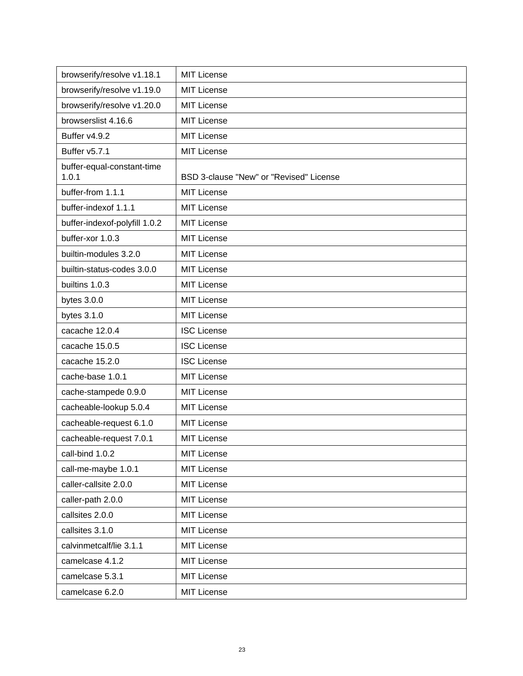| browserify/resolve v1.18.1          | <b>MIT License</b>                      |
|-------------------------------------|-----------------------------------------|
| browserify/resolve v1.19.0          | <b>MIT License</b>                      |
| browserify/resolve v1.20.0          | <b>MIT License</b>                      |
| browserslist 4.16.6                 | <b>MIT License</b>                      |
| Buffer v4.9.2                       | <b>MIT License</b>                      |
| Buffer v5.7.1                       | <b>MIT License</b>                      |
| buffer-equal-constant-time<br>1.0.1 | BSD 3-clause "New" or "Revised" License |
| buffer-from 1.1.1                   | <b>MIT License</b>                      |
| buffer-indexof 1.1.1                | <b>MIT License</b>                      |
| buffer-indexof-polyfill 1.0.2       | <b>MIT License</b>                      |
| buffer-xor 1.0.3                    | <b>MIT License</b>                      |
| builtin-modules 3.2.0               | <b>MIT License</b>                      |
| builtin-status-codes 3.0.0          | <b>MIT License</b>                      |
| builtins 1.0.3                      | <b>MIT License</b>                      |
| bytes $3.0.0$                       | <b>MIT License</b>                      |
| bytes $3.1.0$                       | <b>MIT License</b>                      |
| cacache 12.0.4                      | <b>ISC License</b>                      |
| cacache 15.0.5                      | <b>ISC License</b>                      |
| cacache 15.2.0                      | <b>ISC License</b>                      |
| cache-base 1.0.1                    | <b>MIT License</b>                      |
| cache-stampede 0.9.0                | <b>MIT License</b>                      |
| cacheable-lookup 5.0.4              | <b>MIT License</b>                      |
| cacheable-request 6.1.0             | <b>MIT License</b>                      |
| cacheable-request 7.0.1             | <b>MIT License</b>                      |
| call-bind 1.0.2                     | <b>MIT License</b>                      |
| call-me-maybe 1.0.1                 | <b>MIT License</b>                      |
| caller-callsite 2.0.0               | <b>MIT License</b>                      |
| caller-path 2.0.0                   | <b>MIT License</b>                      |
| callsites 2.0.0                     | <b>MIT License</b>                      |
| callsites 3.1.0                     | <b>MIT License</b>                      |
| calvinmetcalf/lie 3.1.1             | <b>MIT License</b>                      |
| camelcase 4.1.2                     | <b>MIT License</b>                      |
| camelcase 5.3.1                     | <b>MIT License</b>                      |
| camelcase 6.2.0                     | <b>MIT License</b>                      |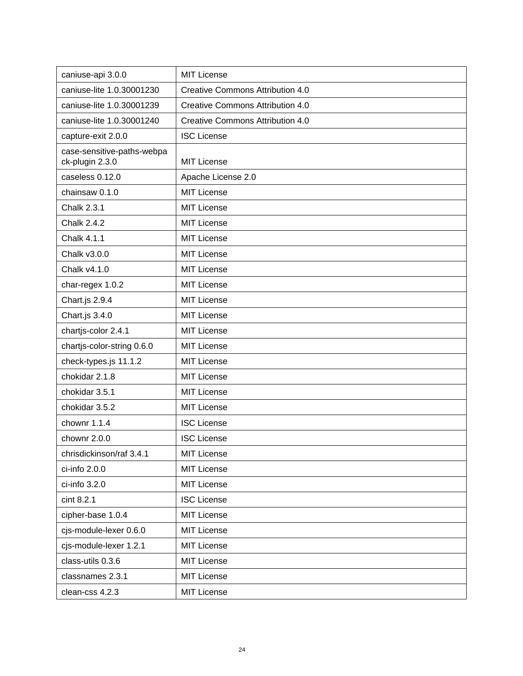| caniuse-api 3.0.0                             | <b>MIT License</b>                      |
|-----------------------------------------------|-----------------------------------------|
| caniuse-lite 1.0.30001230                     | <b>Creative Commons Attribution 4.0</b> |
| caniuse-lite 1.0.30001239                     | <b>Creative Commons Attribution 4.0</b> |
| caniuse-lite 1.0.30001240                     | <b>Creative Commons Attribution 4.0</b> |
| capture-exit 2.0.0                            | <b>ISC License</b>                      |
| case-sensitive-paths-webpa<br>ck-plugin 2.3.0 | <b>MIT License</b>                      |
| caseless 0.12.0                               | Apache License 2.0                      |
| chainsaw 0.1.0                                | <b>MIT License</b>                      |
| <b>Chalk 2.3.1</b>                            | <b>MIT License</b>                      |
| <b>Chalk 2.4.2</b>                            | <b>MIT License</b>                      |
| Chalk 4.1.1                                   | <b>MIT License</b>                      |
| Chalk v3.0.0                                  | <b>MIT License</b>                      |
| Chalk v4.1.0                                  | <b>MIT License</b>                      |
| char-regex 1.0.2                              | <b>MIT License</b>                      |
| Chart.js 2.9.4                                | <b>MIT License</b>                      |
| Chart.js 3.4.0                                | <b>MIT License</b>                      |
| chartjs-color 2.4.1                           | <b>MIT License</b>                      |
| chartjs-color-string 0.6.0                    | <b>MIT License</b>                      |
| check-types.js 11.1.2                         | <b>MIT License</b>                      |
| chokidar 2.1.8                                | <b>MIT License</b>                      |
| chokidar 3.5.1                                | <b>MIT License</b>                      |
| chokidar 3.5.2                                | <b>MIT License</b>                      |
| chownr 1.1.4                                  | <b>ISC License</b>                      |
| chownr 2.0.0                                  | <b>ISC License</b>                      |
| chrisdickinson/raf 3.4.1                      | <b>MIT License</b>                      |
| ci-info 2.0.0                                 | <b>MIT License</b>                      |
| ci-info 3.2.0                                 | <b>MIT License</b>                      |
| cint 8.2.1                                    | <b>ISC License</b>                      |
| cipher-base 1.0.4                             | <b>MIT License</b>                      |
| cjs-module-lexer 0.6.0                        | <b>MIT License</b>                      |
| cjs-module-lexer 1.2.1                        | <b>MIT License</b>                      |
| class-utils 0.3.6                             | <b>MIT License</b>                      |
| classnames 2.3.1                              | <b>MIT License</b>                      |
| clean-css 4.2.3                               | <b>MIT License</b>                      |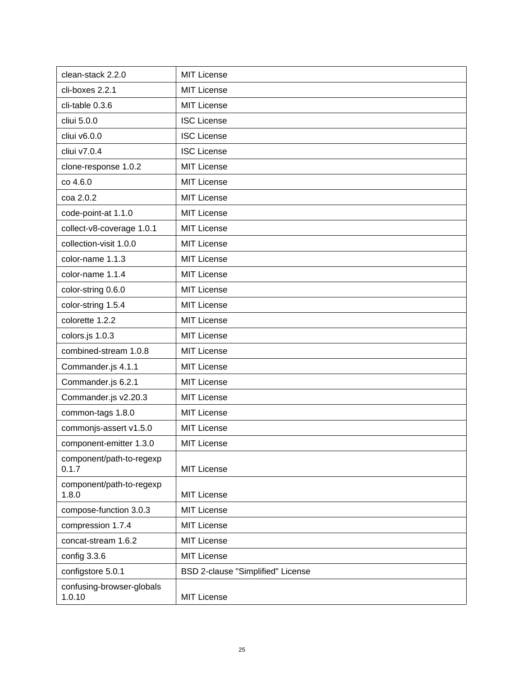| clean-stack 2.2.0                   | <b>MIT License</b>                |
|-------------------------------------|-----------------------------------|
| cli-boxes 2.2.1                     | <b>MIT License</b>                |
| cli-table 0.3.6                     | <b>MIT License</b>                |
| cliui 5.0.0                         | <b>ISC License</b>                |
| cliui v6.0.0                        | <b>ISC License</b>                |
| cliui v7.0.4                        | <b>ISC License</b>                |
| clone-response 1.0.2                | <b>MIT License</b>                |
| co 4.6.0                            | <b>MIT License</b>                |
| coa 2.0.2                           | <b>MIT License</b>                |
| code-point-at 1.1.0                 | <b>MIT License</b>                |
| collect-v8-coverage 1.0.1           | <b>MIT License</b>                |
| collection-visit 1.0.0              | <b>MIT License</b>                |
| color-name 1.1.3                    | <b>MIT License</b>                |
| color-name 1.1.4                    | <b>MIT License</b>                |
| color-string 0.6.0                  | <b>MIT License</b>                |
| color-string 1.5.4                  | <b>MIT License</b>                |
| colorette 1.2.2                     | <b>MIT License</b>                |
| colors.js 1.0.3                     | <b>MIT License</b>                |
| combined-stream 1.0.8               | <b>MIT License</b>                |
| Commander.js 4.1.1                  | <b>MIT License</b>                |
| Commander.js 6.2.1                  | <b>MIT License</b>                |
| Commander.js v2.20.3                | <b>MIT License</b>                |
| common-tags 1.8.0                   | <b>MIT License</b>                |
| commonjs-assert v1.5.0              | <b>MIT License</b>                |
| component-emitter 1.3.0             | <b>MIT License</b>                |
| component/path-to-regexp<br>0.1.7   | <b>MIT License</b>                |
| component/path-to-regexp<br>1.8.0   | <b>MIT License</b>                |
| compose-function 3.0.3              | <b>MIT License</b>                |
| compression 1.7.4                   | <b>MIT License</b>                |
| concat-stream 1.6.2                 | <b>MIT License</b>                |
| config 3.3.6                        | <b>MIT License</b>                |
| configstore 5.0.1                   | BSD 2-clause "Simplified" License |
| confusing-browser-globals<br>1.0.10 | <b>MIT License</b>                |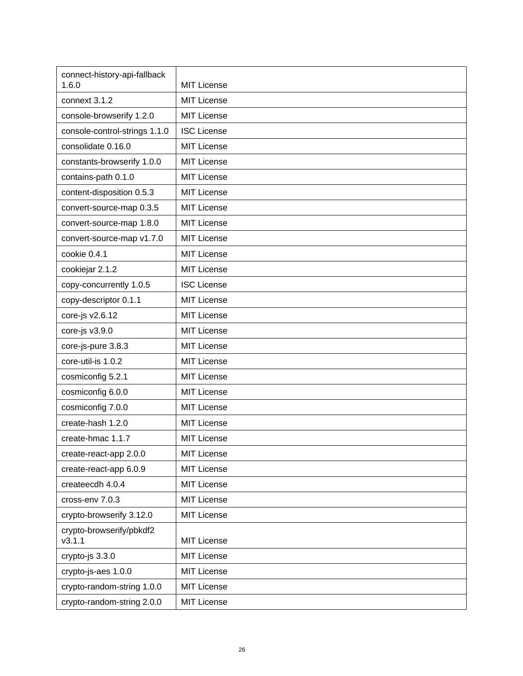| connect-history-api-fallback<br>1.6.0 | <b>MIT License</b> |
|---------------------------------------|--------------------|
| connext 3.1.2                         | <b>MIT License</b> |
| console-browserify 1.2.0              | <b>MIT License</b> |
| console-control-strings 1.1.0         | <b>ISC License</b> |
| consolidate 0.16.0                    | <b>MIT License</b> |
| constants-browserify 1.0.0            | <b>MIT License</b> |
| contains-path 0.1.0                   | <b>MIT License</b> |
| content-disposition 0.5.3             | <b>MIT License</b> |
| convert-source-map 0.3.5              | <b>MIT License</b> |
| convert-source-map 1.8.0              | <b>MIT License</b> |
| convert-source-map v1.7.0             | <b>MIT License</b> |
| cookie 0.4.1                          | <b>MIT License</b> |
| cookiejar 2.1.2                       | <b>MIT License</b> |
| copy-concurrently 1.0.5               | <b>ISC License</b> |
| copy-descriptor 0.1.1                 | <b>MIT License</b> |
| core-js v2.6.12                       | <b>MIT License</b> |
| core-js v3.9.0                        | <b>MIT License</b> |
| core-js-pure 3.8.3                    | <b>MIT License</b> |
| core-util-is 1.0.2                    | <b>MIT License</b> |
| cosmiconfig 5.2.1                     | <b>MIT License</b> |
| cosmiconfig 6.0.0                     | <b>MIT License</b> |
| cosmiconfig 7.0.0                     | <b>MIT License</b> |
| create-hash 1.2.0                     | <b>MIT License</b> |
| create-hmac 1.1.7                     | <b>MIT License</b> |
| create-react-app 2.0.0                | <b>MIT License</b> |
| create-react-app 6.0.9                | <b>MIT License</b> |
| createecdh 4.0.4                      | <b>MIT License</b> |
| cross-env 7.0.3                       | <b>MIT License</b> |
| crypto-browserify 3.12.0              | <b>MIT License</b> |
| crypto-browserify/pbkdf2<br>v3.1.1    | <b>MIT License</b> |
| crypto-js 3.3.0                       | <b>MIT License</b> |
| crypto-js-aes 1.0.0                   | <b>MIT License</b> |
| crypto-random-string 1.0.0            | <b>MIT License</b> |
| crypto-random-string 2.0.0            | <b>MIT License</b> |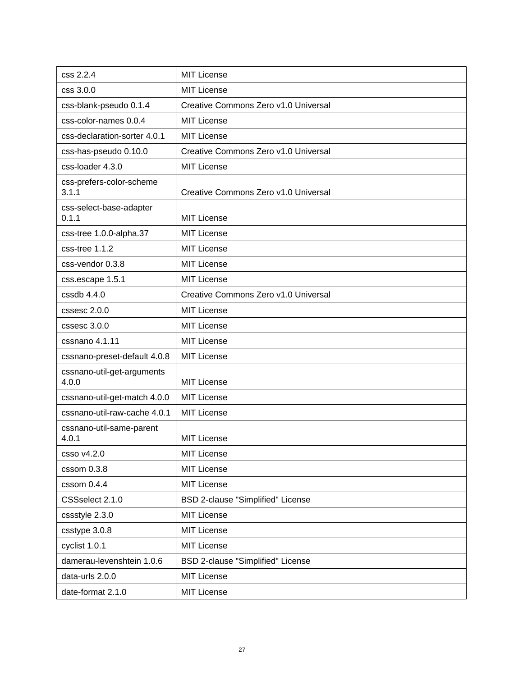| css 2.2.4                           | <b>MIT License</b>                       |
|-------------------------------------|------------------------------------------|
| css 3.0.0                           | <b>MIT License</b>                       |
| css-blank-pseudo 0.1.4              | Creative Commons Zero v1.0 Universal     |
| css-color-names 0.0.4               | <b>MIT License</b>                       |
| css-declaration-sorter 4.0.1        | <b>MIT License</b>                       |
| css-has-pseudo 0.10.0               | Creative Commons Zero v1.0 Universal     |
| css-loader 4.3.0                    | <b>MIT License</b>                       |
| css-prefers-color-scheme<br>3.1.1   | Creative Commons Zero v1.0 Universal     |
| css-select-base-adapter<br>0.1.1    | <b>MIT License</b>                       |
| css-tree 1.0.0-alpha.37             | <b>MIT License</b>                       |
| css-tree 1.1.2                      | <b>MIT License</b>                       |
| css-vendor 0.3.8                    | <b>MIT License</b>                       |
| css.escape 1.5.1                    | <b>MIT License</b>                       |
| $cssdb$ 4.4.0                       | Creative Commons Zero v1.0 Universal     |
| cssesc 2.0.0                        | <b>MIT License</b>                       |
| cssesc 3.0.0                        | <b>MIT License</b>                       |
| cssnano 4.1.11                      | <b>MIT License</b>                       |
| cssnano-preset-default 4.0.8        | <b>MIT License</b>                       |
| cssnano-util-get-arguments<br>4.0.0 | <b>MIT License</b>                       |
| cssnano-util-get-match 4.0.0        | <b>MIT License</b>                       |
| cssnano-util-raw-cache 4.0.1        | <b>MIT License</b>                       |
| cssnano-util-same-parent<br>4.0.1   | <b>MIT License</b>                       |
| csso v4.2.0                         | <b>MIT License</b>                       |
| cssom 0.3.8                         | <b>MIT License</b>                       |
| cssom 0.4.4                         | <b>MIT License</b>                       |
| CSSselect 2.1.0                     | BSD 2-clause "Simplified" License        |
| cssstyle 2.3.0                      | <b>MIT License</b>                       |
| csstype 3.0.8                       | <b>MIT License</b>                       |
| cyclist 1.0.1                       | <b>MIT License</b>                       |
| damerau-levenshtein 1.0.6           | <b>BSD 2-clause "Simplified" License</b> |
| data-urls 2.0.0                     | <b>MIT License</b>                       |
| date-format 2.1.0                   | <b>MIT License</b>                       |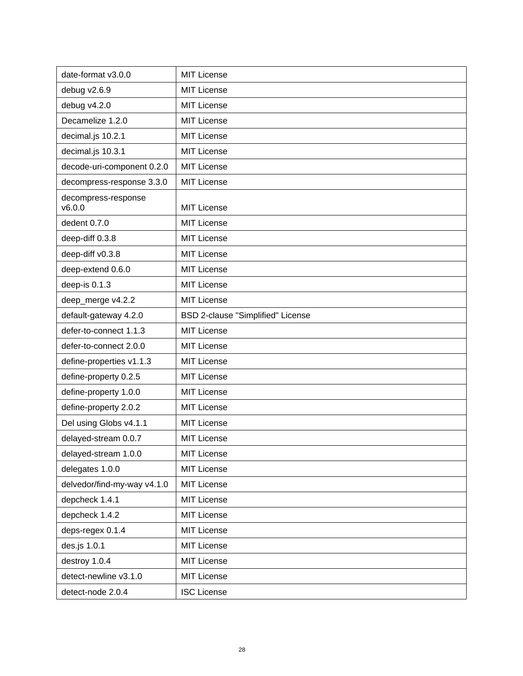| date-format v3.0.0            | <b>MIT License</b>                |
|-------------------------------|-----------------------------------|
| debug v2.6.9                  | <b>MIT License</b>                |
| debug v4.2.0                  | <b>MIT License</b>                |
| Decamelize 1.2.0              | <b>MIT License</b>                |
| decimal.js 10.2.1             | <b>MIT License</b>                |
| decimal.js 10.3.1             | <b>MIT License</b>                |
| decode-uri-component 0.2.0    | <b>MIT License</b>                |
| decompress-response 3.3.0     | <b>MIT License</b>                |
| decompress-response<br>v6.0.0 | <b>MIT License</b>                |
| dedent 0.7.0                  | <b>MIT License</b>                |
| deep-diff 0.3.8               | <b>MIT License</b>                |
| deep-diff v0.3.8              | <b>MIT License</b>                |
| deep-extend 0.6.0             | <b>MIT License</b>                |
| deep-is 0.1.3                 | <b>MIT License</b>                |
| deep_merge v4.2.2             | <b>MIT License</b>                |
| default-gateway 4.2.0         | BSD 2-clause "Simplified" License |
| defer-to-connect 1.1.3        | <b>MIT License</b>                |
| defer-to-connect 2.0.0        | <b>MIT License</b>                |
| define-properties v1.1.3      | <b>MIT License</b>                |
| define-property 0.2.5         | <b>MIT License</b>                |
| define-property 1.0.0         | <b>MIT License</b>                |
| define-property 2.0.2         | <b>MIT License</b>                |
| Del using Globs v4.1.1        | <b>MIT License</b>                |
| delayed-stream 0.0.7          | <b>MIT License</b>                |
| delayed-stream 1.0.0          | <b>MIT License</b>                |
| delegates 1.0.0               | <b>MIT License</b>                |
| delvedor/find-my-way v4.1.0   | <b>MIT License</b>                |
| depcheck 1.4.1                | <b>MIT License</b>                |
| depcheck 1.4.2                | <b>MIT License</b>                |
| deps-regex 0.1.4              | <b>MIT License</b>                |
| des.js 1.0.1                  | <b>MIT License</b>                |
| destroy 1.0.4                 | <b>MIT License</b>                |
| detect-newline v3.1.0         | <b>MIT License</b>                |
| detect-node 2.0.4             | <b>ISC License</b>                |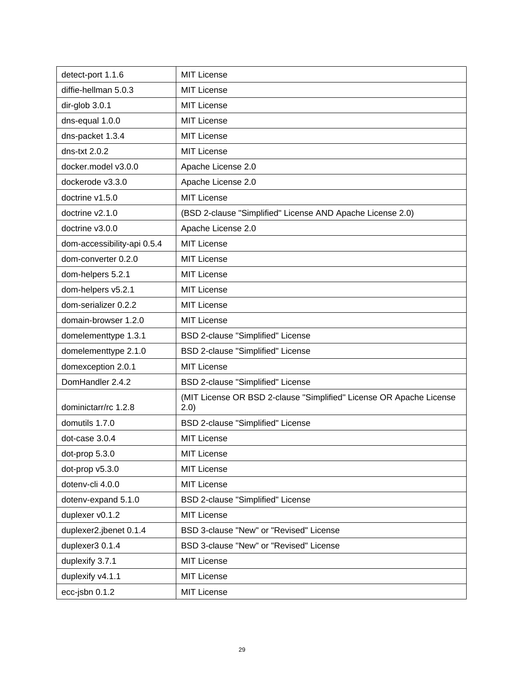| detect-port 1.1.6           | <b>MIT License</b>                                                           |
|-----------------------------|------------------------------------------------------------------------------|
| diffie-hellman 5.0.3        | <b>MIT License</b>                                                           |
| dir-glob 3.0.1              | <b>MIT License</b>                                                           |
| dns-equal 1.0.0             | <b>MIT License</b>                                                           |
| dns-packet 1.3.4            | <b>MIT License</b>                                                           |
| dns-txt $2.0.2$             | <b>MIT License</b>                                                           |
| docker.model v3.0.0         | Apache License 2.0                                                           |
| dockerode v3.3.0            | Apache License 2.0                                                           |
| doctrine v1.5.0             | <b>MIT License</b>                                                           |
| doctrine v2.1.0             | (BSD 2-clause "Simplified" License AND Apache License 2.0)                   |
| doctrine v3.0.0             | Apache License 2.0                                                           |
| dom-accessibility-api 0.5.4 | <b>MIT License</b>                                                           |
| dom-converter 0.2.0         | <b>MIT License</b>                                                           |
| dom-helpers 5.2.1           | <b>MIT License</b>                                                           |
| dom-helpers v5.2.1          | <b>MIT License</b>                                                           |
| dom-serializer 0.2.2        | <b>MIT License</b>                                                           |
| domain-browser 1.2.0        | <b>MIT License</b>                                                           |
| domelementtype 1.3.1        | BSD 2-clause "Simplified" License                                            |
| domelementtype 2.1.0        | BSD 2-clause "Simplified" License                                            |
| domexception 2.0.1          | <b>MIT License</b>                                                           |
| DomHandler 2.4.2            | BSD 2-clause "Simplified" License                                            |
| dominictarr/rc 1.2.8        | (MIT License OR BSD 2-clause "Simplified" License OR Apache License<br>(2.0) |
| domutils 1.7.0              | <b>BSD 2-clause "Simplified" License</b>                                     |
| dot-case 3.0.4              | <b>MIT License</b>                                                           |
| dot-prop 5.3.0              | <b>MIT License</b>                                                           |
| dot-prop v5.3.0             | <b>MIT License</b>                                                           |
| dotenv-cli 4.0.0            | <b>MIT License</b>                                                           |
| dotenv-expand 5.1.0         | BSD 2-clause "Simplified" License                                            |
| duplexer v0.1.2             | <b>MIT License</b>                                                           |
| duplexer2.jbenet 0.1.4      | BSD 3-clause "New" or "Revised" License                                      |
| duplexer3 0.1.4             | BSD 3-clause "New" or "Revised" License                                      |
| duplexify 3.7.1             | <b>MIT License</b>                                                           |
| duplexify v4.1.1            | <b>MIT License</b>                                                           |
| ecc-jsbn 0.1.2              | <b>MIT License</b>                                                           |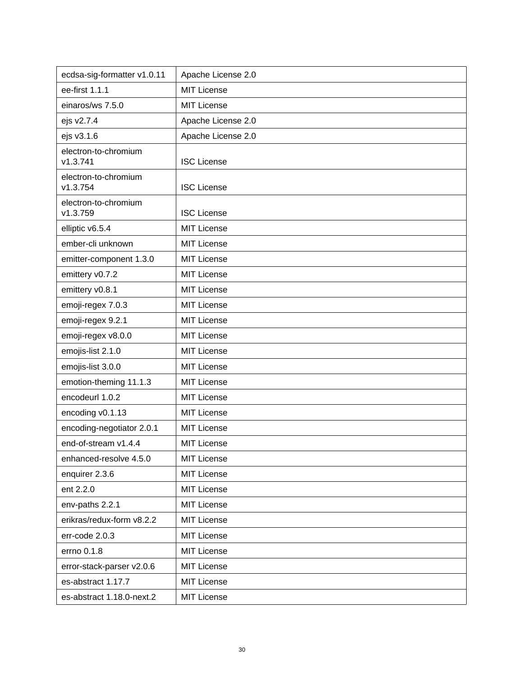| ecdsa-sig-formatter v1.0.11      | Apache License 2.0 |
|----------------------------------|--------------------|
| ee-first 1.1.1                   | <b>MIT License</b> |
| einaros/ws 7.5.0                 | <b>MIT License</b> |
| ejs v2.7.4                       | Apache License 2.0 |
| ejs v3.1.6                       | Apache License 2.0 |
| electron-to-chromium<br>v1.3.741 | <b>ISC License</b> |
| electron-to-chromium<br>v1.3.754 | <b>ISC License</b> |
| electron-to-chromium<br>v1.3.759 | <b>ISC License</b> |
| elliptic v6.5.4                  | <b>MIT License</b> |
| ember-cli unknown                | <b>MIT License</b> |
| emitter-component 1.3.0          | <b>MIT License</b> |
| emittery v0.7.2                  | <b>MIT License</b> |
| emittery v0.8.1                  | <b>MIT License</b> |
| emoji-regex 7.0.3                | <b>MIT License</b> |
| emoji-regex 9.2.1                | <b>MIT License</b> |
| emoji-regex v8.0.0               | <b>MIT License</b> |
| emojis-list 2.1.0                | <b>MIT License</b> |
| emojis-list 3.0.0                | <b>MIT License</b> |
| emotion-theming 11.1.3           | <b>MIT License</b> |
| encodeurl 1.0.2                  | <b>MIT License</b> |
| encoding v0.1.13                 | <b>MIT License</b> |
| encoding-negotiator 2.0.1        | <b>MIT License</b> |
| end-of-stream v1.4.4             | <b>MIT License</b> |
| enhanced-resolve 4.5.0           | <b>MIT License</b> |
| enquirer 2.3.6                   | <b>MIT License</b> |
| ent 2.2.0                        | <b>MIT License</b> |
| env-paths 2.2.1                  | <b>MIT License</b> |
| erikras/redux-form v8.2.2        | <b>MIT License</b> |
| err-code 2.0.3                   | <b>MIT License</b> |
| errno 0.1.8                      | <b>MIT License</b> |
| error-stack-parser v2.0.6        | <b>MIT License</b> |
| es-abstract 1.17.7               | <b>MIT License</b> |
| es-abstract 1.18.0-next.2        | <b>MIT License</b> |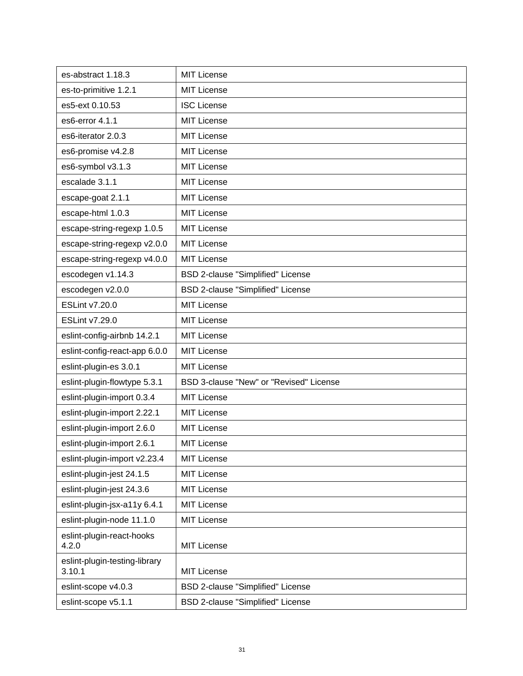| es-abstract 1.18.3                      | MIT License                              |
|-----------------------------------------|------------------------------------------|
| es-to-primitive 1.2.1                   | <b>MIT License</b>                       |
| es5-ext 0.10.53                         | <b>ISC License</b>                       |
| es6-error 4.1.1                         | <b>MIT License</b>                       |
| es6-iterator 2.0.3                      | <b>MIT License</b>                       |
| es6-promise v4.2.8                      | <b>MIT License</b>                       |
| es6-symbol v3.1.3                       | <b>MIT License</b>                       |
| escalade 3.1.1                          | <b>MIT License</b>                       |
| escape-goat 2.1.1                       | <b>MIT License</b>                       |
| escape-html 1.0.3                       | <b>MIT License</b>                       |
| escape-string-regexp 1.0.5              | <b>MIT License</b>                       |
| escape-string-regexp v2.0.0             | <b>MIT License</b>                       |
| escape-string-regexp v4.0.0             | MIT License                              |
| escodegen v1.14.3                       | <b>BSD 2-clause "Simplified" License</b> |
| escodegen v2.0.0                        | BSD 2-clause "Simplified" License        |
| ESLint v7.20.0                          | <b>MIT License</b>                       |
| ESLint v7.29.0                          | <b>MIT License</b>                       |
| eslint-config-airbnb 14.2.1             | <b>MIT License</b>                       |
| eslint-config-react-app 6.0.0           | <b>MIT License</b>                       |
| eslint-plugin-es 3.0.1                  | MIT License                              |
| eslint-plugin-flowtype 5.3.1            | BSD 3-clause "New" or "Revised" License  |
| eslint-plugin-import 0.3.4              | <b>MIT License</b>                       |
| eslint-plugin-import 2.22.1             | <b>MIT License</b>                       |
| eslint-plugin-import 2.6.0              | MIT License                              |
| eslint-plugin-import 2.6.1              | <b>MIT License</b>                       |
| eslint-plugin-import v2.23.4            | <b>MIT License</b>                       |
| eslint-plugin-jest 24.1.5               | <b>MIT License</b>                       |
| eslint-plugin-jest 24.3.6               | <b>MIT License</b>                       |
| eslint-plugin-jsx-a11y 6.4.1            | <b>MIT License</b>                       |
| eslint-plugin-node 11.1.0               | <b>MIT License</b>                       |
| eslint-plugin-react-hooks<br>4.2.0      | <b>MIT License</b>                       |
| eslint-plugin-testing-library<br>3.10.1 | <b>MIT License</b>                       |
| eslint-scope v4.0.3                     | BSD 2-clause "Simplified" License        |
| eslint-scope v5.1.1                     | BSD 2-clause "Simplified" License        |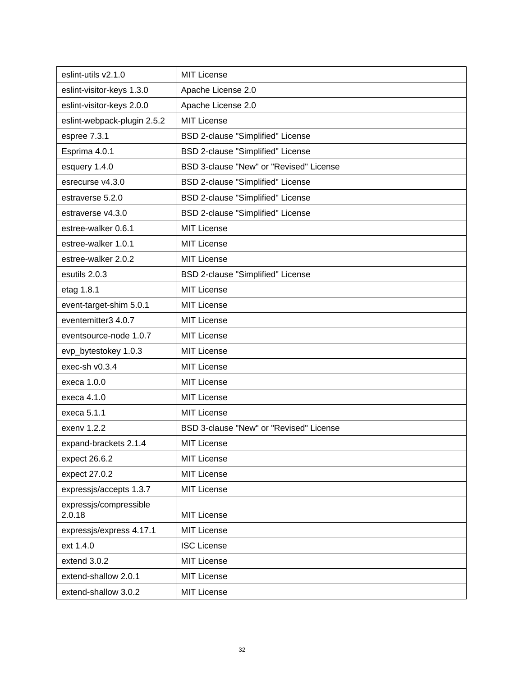| eslint-utils v2.1.0              | <b>MIT License</b>                       |
|----------------------------------|------------------------------------------|
| eslint-visitor-keys 1.3.0        | Apache License 2.0                       |
| eslint-visitor-keys 2.0.0        | Apache License 2.0                       |
| eslint-webpack-plugin 2.5.2      | <b>MIT License</b>                       |
| espree 7.3.1                     | BSD 2-clause "Simplified" License        |
| Esprima 4.0.1                    | BSD 2-clause "Simplified" License        |
| esquery 1.4.0                    | BSD 3-clause "New" or "Revised" License  |
| esrecurse v4.3.0                 | BSD 2-clause "Simplified" License        |
| estraverse 5.2.0                 | BSD 2-clause "Simplified" License        |
| estraverse v4.3.0                | BSD 2-clause "Simplified" License        |
| estree-walker 0.6.1              | <b>MIT License</b>                       |
| estree-walker 1.0.1              | <b>MIT License</b>                       |
| estree-walker 2.0.2              | <b>MIT License</b>                       |
| esutils 2.0.3                    | <b>BSD 2-clause "Simplified" License</b> |
| etag 1.8.1                       | <b>MIT License</b>                       |
| event-target-shim 5.0.1          | <b>MIT License</b>                       |
| eventemitter3 4.0.7              | <b>MIT License</b>                       |
| eventsource-node 1.0.7           | <b>MIT License</b>                       |
| evp_bytestokey 1.0.3             | <b>MIT License</b>                       |
| exec-sh v0.3.4                   | <b>MIT License</b>                       |
| execa 1.0.0                      | <b>MIT License</b>                       |
| execa 4.1.0                      | <b>MIT License</b>                       |
| execa 5.1.1                      | <b>MIT License</b>                       |
| exenv 1.2.2                      | BSD 3-clause "New" or "Revised" License  |
| expand-brackets 2.1.4            | <b>MIT License</b>                       |
| expect 26.6.2                    | <b>MIT License</b>                       |
| expect 27.0.2                    | <b>MIT License</b>                       |
| expressjs/accepts 1.3.7          | <b>MIT License</b>                       |
| expressjs/compressible<br>2.0.18 | MIT License                              |
| expressjs/express 4.17.1         | <b>MIT License</b>                       |
| ext 1.4.0                        | <b>ISC License</b>                       |
| extend 3.0.2                     | <b>MIT License</b>                       |
| extend-shallow 2.0.1             | <b>MIT License</b>                       |
| extend-shallow 3.0.2             | <b>MIT License</b>                       |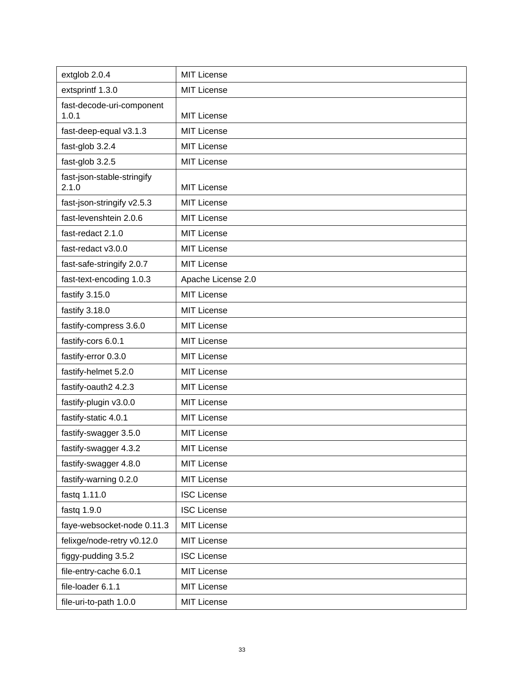| extglob 2.0.4                       | <b>MIT License</b> |
|-------------------------------------|--------------------|
| extsprintf 1.3.0                    | <b>MIT License</b> |
| fast-decode-uri-component           |                    |
| 1.0.1                               | <b>MIT License</b> |
| fast-deep-equal v3.1.3              | <b>MIT License</b> |
| fast-glob 3.2.4                     | <b>MIT License</b> |
| fast-glob 3.2.5                     | <b>MIT License</b> |
| fast-json-stable-stringify<br>2.1.0 | <b>MIT License</b> |
| fast-json-stringify v2.5.3          | <b>MIT License</b> |
| fast-levenshtein 2.0.6              | <b>MIT License</b> |
| fast-redact 2.1.0                   | <b>MIT License</b> |
| fast-redact v3.0.0                  | <b>MIT License</b> |
| fast-safe-stringify 2.0.7           | <b>MIT License</b> |
| fast-text-encoding 1.0.3            | Apache License 2.0 |
| fastify 3.15.0                      | <b>MIT License</b> |
| fastify 3.18.0                      | <b>MIT License</b> |
| fastify-compress 3.6.0              | <b>MIT License</b> |
| fastify-cors 6.0.1                  | <b>MIT License</b> |
| fastify-error 0.3.0                 | <b>MIT License</b> |
| fastify-helmet 5.2.0                | <b>MIT License</b> |
| fastify-oauth2 4.2.3                | <b>MIT License</b> |
| fastify-plugin v3.0.0               | <b>MIT License</b> |
| fastify-static 4.0.1                | <b>MIT License</b> |
| fastify-swagger 3.5.0               | <b>MIT License</b> |
| fastify-swagger 4.3.2               | MIT License        |
| fastify-swagger 4.8.0               | <b>MIT License</b> |
| fastify-warning 0.2.0               | <b>MIT License</b> |
| fastq 1.11.0                        | <b>ISC License</b> |
| fastq 1.9.0                         | <b>ISC License</b> |
| faye-websocket-node 0.11.3          | <b>MIT License</b> |
| felixge/node-retry v0.12.0          | <b>MIT License</b> |
| figgy-pudding 3.5.2                 | <b>ISC License</b> |
| file-entry-cache 6.0.1              | <b>MIT License</b> |
| file-loader 6.1.1                   | <b>MIT License</b> |
| file-uri-to-path 1.0.0              | <b>MIT License</b> |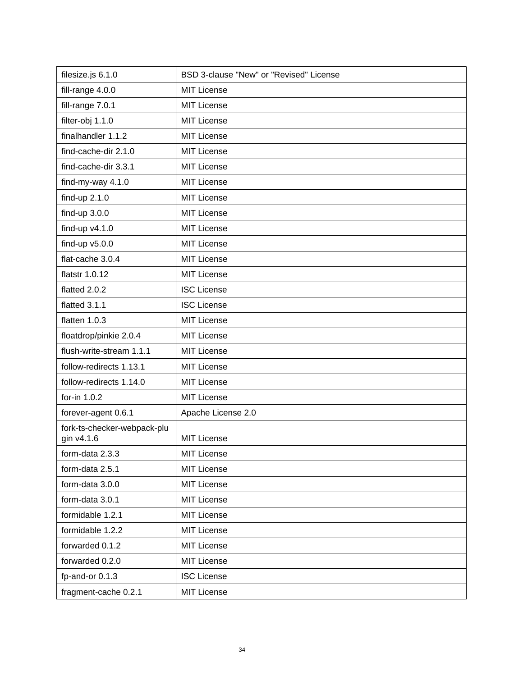| filesize.js 6.1.0                         | BSD 3-clause "New" or "Revised" License |
|-------------------------------------------|-----------------------------------------|
| fill-range 4.0.0                          | <b>MIT License</b>                      |
| fill-range 7.0.1                          | <b>MIT License</b>                      |
| filter-obj 1.1.0                          | <b>MIT License</b>                      |
| finalhandler 1.1.2                        | <b>MIT License</b>                      |
| find-cache-dir 2.1.0                      | <b>MIT License</b>                      |
| find-cache-dir 3.3.1                      | <b>MIT License</b>                      |
| find-my-way 4.1.0                         | <b>MIT License</b>                      |
| find-up 2.1.0                             | <b>MIT License</b>                      |
| find-up $3.0.0$                           | <b>MIT License</b>                      |
| find-up $v4.1.0$                          | <b>MIT License</b>                      |
| find-up $v5.0.0$                          | <b>MIT License</b>                      |
| flat-cache 3.0.4                          | <b>MIT License</b>                      |
| flatstr 1.0.12                            | <b>MIT License</b>                      |
| flatted 2.0.2                             | <b>ISC License</b>                      |
| flatted 3.1.1                             | <b>ISC License</b>                      |
| flatten 1.0.3                             | <b>MIT License</b>                      |
| floatdrop/pinkie 2.0.4                    | <b>MIT License</b>                      |
| flush-write-stream 1.1.1                  | <b>MIT License</b>                      |
| follow-redirects 1.13.1                   | <b>MIT License</b>                      |
| follow-redirects 1.14.0                   | <b>MIT License</b>                      |
| for-in 1.0.2                              | <b>MIT License</b>                      |
| forever-agent 0.6.1                       | Apache License 2.0                      |
| fork-ts-checker-webpack-plu<br>gin v4.1.6 | <b>MIT License</b>                      |
| form-data 2.3.3                           | <b>MIT License</b>                      |
| form-data 2.5.1                           | <b>MIT License</b>                      |
| form-data 3.0.0                           | <b>MIT License</b>                      |
| form-data 3.0.1                           | <b>MIT License</b>                      |
| formidable 1.2.1                          | <b>MIT License</b>                      |
| formidable 1.2.2                          | <b>MIT License</b>                      |
| forwarded 0.1.2                           | <b>MIT License</b>                      |
| forwarded 0.2.0                           | <b>MIT License</b>                      |
| fp-and-or 0.1.3                           | <b>ISC License</b>                      |
| fragment-cache 0.2.1                      | <b>MIT License</b>                      |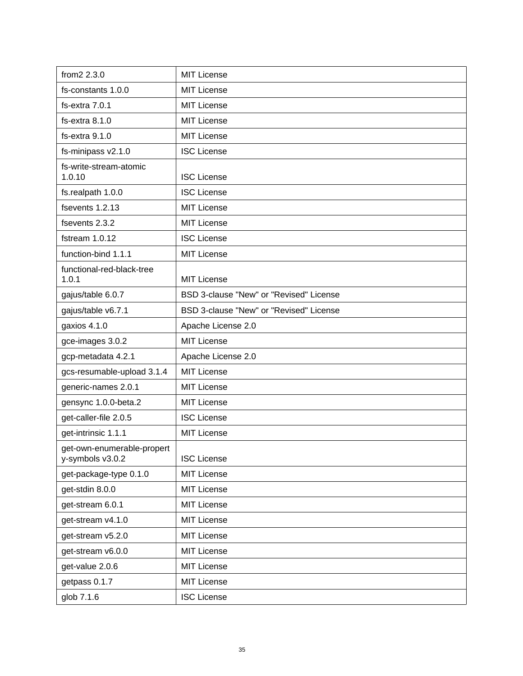| from2 2.3.0                                    | <b>MIT License</b>                      |
|------------------------------------------------|-----------------------------------------|
| fs-constants 1.0.0                             | <b>MIT License</b>                      |
| fs-extra 7.0.1                                 | <b>MIT License</b>                      |
| fs-extra 8.1.0                                 | <b>MIT License</b>                      |
| fs-extra 9.1.0                                 | <b>MIT License</b>                      |
| fs-minipass v2.1.0                             | <b>ISC License</b>                      |
| fs-write-stream-atomic<br>1.0.10               | <b>ISC License</b>                      |
| fs.realpath 1.0.0                              | <b>ISC License</b>                      |
| fsevents 1.2.13                                | <b>MIT License</b>                      |
| fsevents 2.3.2                                 | <b>MIT License</b>                      |
| fstream 1.0.12                                 | <b>ISC License</b>                      |
| function-bind 1.1.1                            | <b>MIT License</b>                      |
| functional-red-black-tree<br>1.0.1             | <b>MIT License</b>                      |
| gajus/table 6.0.7                              | BSD 3-clause "New" or "Revised" License |
| gajus/table v6.7.1                             | BSD 3-clause "New" or "Revised" License |
| gaxios 4.1.0                                   | Apache License 2.0                      |
| gce-images 3.0.2                               | <b>MIT License</b>                      |
| gcp-metadata 4.2.1                             | Apache License 2.0                      |
| gcs-resumable-upload 3.1.4                     | <b>MIT License</b>                      |
| generic-names 2.0.1                            | <b>MIT License</b>                      |
| gensync 1.0.0-beta.2                           | <b>MIT License</b>                      |
| get-caller-file 2.0.5                          | <b>ISC License</b>                      |
| get-intrinsic 1.1.1                            | <b>MIT License</b>                      |
| get-own-enumerable-propert<br>y-symbols v3.0.2 | <b>ISC License</b>                      |
| get-package-type 0.1.0                         | <b>MIT License</b>                      |
| get-stdin 8.0.0                                | <b>MIT License</b>                      |
| get-stream 6.0.1                               | <b>MIT License</b>                      |
| get-stream v4.1.0                              | <b>MIT License</b>                      |
| get-stream v5.2.0                              | <b>MIT License</b>                      |
| get-stream v6.0.0                              | <b>MIT License</b>                      |
| get-value 2.0.6                                | MIT License                             |
| getpass 0.1.7                                  | <b>MIT License</b>                      |
| glob 7.1.6                                     | <b>ISC License</b>                      |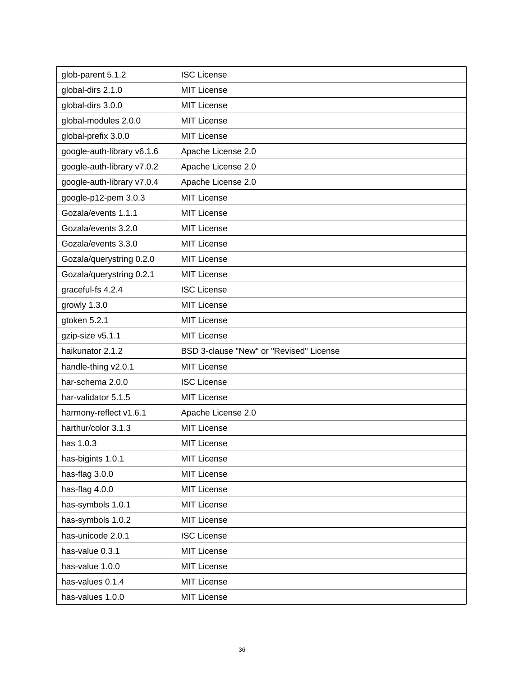| glob-parent 5.1.2          | <b>ISC License</b>                      |
|----------------------------|-----------------------------------------|
| global-dirs 2.1.0          | <b>MIT License</b>                      |
| global-dirs 3.0.0          | <b>MIT License</b>                      |
| global-modules 2.0.0       | <b>MIT License</b>                      |
| global-prefix 3.0.0        | <b>MIT License</b>                      |
| google-auth-library v6.1.6 | Apache License 2.0                      |
| google-auth-library v7.0.2 | Apache License 2.0                      |
| google-auth-library v7.0.4 | Apache License 2.0                      |
| google-p12-pem 3.0.3       | <b>MIT License</b>                      |
| Gozala/events 1.1.1        | <b>MIT License</b>                      |
| Gozala/events 3.2.0        | <b>MIT License</b>                      |
| Gozala/events 3.3.0        | <b>MIT License</b>                      |
| Gozala/querystring 0.2.0   | <b>MIT License</b>                      |
| Gozala/querystring 0.2.1   | <b>MIT License</b>                      |
| graceful-fs 4.2.4          | <b>ISC License</b>                      |
| growly 1.3.0               | <b>MIT License</b>                      |
| gtoken 5.2.1               | <b>MIT License</b>                      |
| gzip-size v5.1.1           | <b>MIT License</b>                      |
| haikunator 2.1.2           | BSD 3-clause "New" or "Revised" License |
| handle-thing v2.0.1        | <b>MIT License</b>                      |
| har-schema 2.0.0           | <b>ISC License</b>                      |
| har-validator 5.1.5        | <b>MIT License</b>                      |
| harmony-reflect v1.6.1     | Apache License 2.0                      |
| harthur/color 3.1.3        | <b>MIT License</b>                      |
| has 1.0.3                  | <b>MIT License</b>                      |
| has-bigints 1.0.1          | <b>MIT License</b>                      |
| has-flag 3.0.0             | MIT License                             |
| has-flag 4.0.0             | <b>MIT License</b>                      |
| has-symbols 1.0.1          | <b>MIT License</b>                      |
| has-symbols 1.0.2          | <b>MIT License</b>                      |
| has-unicode 2.0.1          | <b>ISC License</b>                      |
| has-value 0.3.1            | <b>MIT License</b>                      |
| has-value 1.0.0            | <b>MIT License</b>                      |
| has-values 0.1.4           | <b>MIT License</b>                      |
| has-values 1.0.0           | <b>MIT License</b>                      |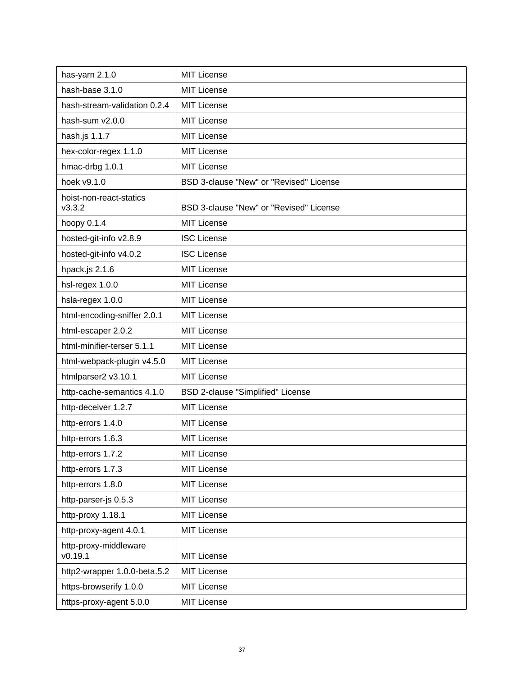| has-yarn 2.1.0                    | <b>MIT License</b>                      |
|-----------------------------------|-----------------------------------------|
| hash-base 3.1.0                   | <b>MIT License</b>                      |
| hash-stream-validation 0.2.4      | <b>MIT License</b>                      |
| hash-sum v2.0.0                   | <b>MIT License</b>                      |
| hash.js 1.1.7                     | <b>MIT License</b>                      |
| hex-color-regex 1.1.0             | <b>MIT License</b>                      |
| hmac-drbg 1.0.1                   | <b>MIT License</b>                      |
| hoek v9.1.0                       | BSD 3-clause "New" or "Revised" License |
| hoist-non-react-statics<br>V3.3.2 | BSD 3-clause "New" or "Revised" License |
| hoopy 0.1.4                       | <b>MIT License</b>                      |
| hosted-git-info v2.8.9            | <b>ISC License</b>                      |
| hosted-git-info v4.0.2            | <b>ISC License</b>                      |
| hpack.js 2.1.6                    | <b>MIT License</b>                      |
| hsl-regex 1.0.0                   | <b>MIT License</b>                      |
| hsla-regex 1.0.0                  | <b>MIT License</b>                      |
| html-encoding-sniffer 2.0.1       | <b>MIT License</b>                      |
| html-escaper 2.0.2                | <b>MIT License</b>                      |
| html-minifier-terser 5.1.1        | <b>MIT License</b>                      |
| html-webpack-plugin v4.5.0        | <b>MIT License</b>                      |
| htmlparser2 v3.10.1               | <b>MIT License</b>                      |
| http-cache-semantics 4.1.0        | BSD 2-clause "Simplified" License       |
| http-deceiver 1.2.7               | <b>MIT License</b>                      |
| http-errors 1.4.0                 | <b>MIT License</b>                      |
| http-errors 1.6.3                 | <b>MIT License</b>                      |
| http-errors 1.7.2                 | <b>MIT License</b>                      |
| http-errors 1.7.3                 | <b>MIT License</b>                      |
| http-errors 1.8.0                 | <b>MIT License</b>                      |
| http-parser-js 0.5.3              | <b>MIT License</b>                      |
| http-proxy 1.18.1                 | <b>MIT License</b>                      |
| http-proxy-agent 4.0.1            | <b>MIT License</b>                      |
| http-proxy-middleware<br>v0.19.1  | <b>MIT License</b>                      |
| http2-wrapper 1.0.0-beta.5.2      | <b>MIT License</b>                      |
| https-browserify 1.0.0            | <b>MIT License</b>                      |
| https-proxy-agent 5.0.0           | <b>MIT License</b>                      |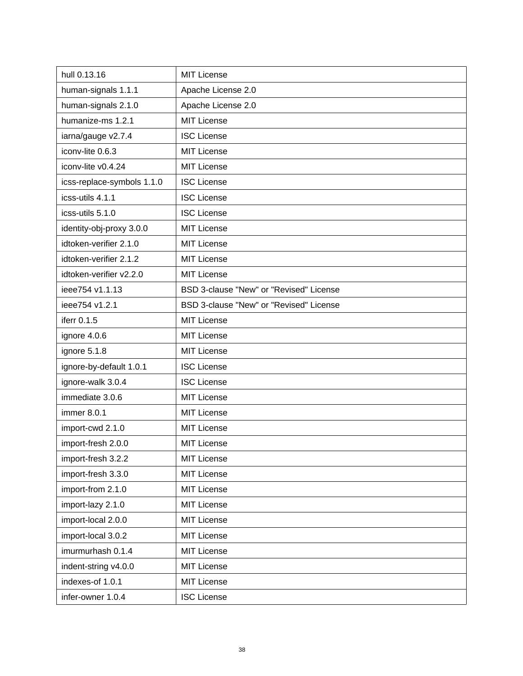| hull 0.13.16               | <b>MIT License</b>                      |
|----------------------------|-----------------------------------------|
| human-signals 1.1.1        | Apache License 2.0                      |
| human-signals 2.1.0        | Apache License 2.0                      |
| humanize-ms 1.2.1          | <b>MIT License</b>                      |
| iarna/gauge v2.7.4         | <b>ISC License</b>                      |
| iconv-lite 0.6.3           | <b>MIT License</b>                      |
| iconv-lite v0.4.24         | <b>MIT License</b>                      |
| icss-replace-symbols 1.1.0 | <b>ISC License</b>                      |
| icss-utils 4.1.1           | <b>ISC License</b>                      |
| icss-utils 5.1.0           | <b>ISC License</b>                      |
| identity-obj-proxy 3.0.0   | <b>MIT License</b>                      |
| idtoken-verifier 2.1.0     | <b>MIT License</b>                      |
| idtoken-verifier 2.1.2     | <b>MIT License</b>                      |
| idtoken-verifier v2.2.0    | <b>MIT License</b>                      |
| ieee754 v1.1.13            | BSD 3-clause "New" or "Revised" License |
| ieee754 v1.2.1             | BSD 3-clause "New" or "Revised" License |
| iferr 0.1.5                | <b>MIT License</b>                      |
| ignore 4.0.6               | <b>MIT License</b>                      |
| ignore 5.1.8               | MIT License                             |
| ignore-by-default 1.0.1    | <b>ISC License</b>                      |
| ignore-walk 3.0.4          | <b>ISC License</b>                      |
| immediate 3.0.6            | <b>MIT License</b>                      |
| immer 8.0.1                | <b>MIT License</b>                      |
| import-cwd 2.1.0           | <b>MIT License</b>                      |
| import-fresh 2.0.0         | <b>MIT License</b>                      |
| import-fresh 3.2.2         | <b>MIT License</b>                      |
| import-fresh 3.3.0         | <b>MIT License</b>                      |
| import-from 2.1.0          | <b>MIT License</b>                      |
| import-lazy 2.1.0          | <b>MIT License</b>                      |
| import-local 2.0.0         | <b>MIT License</b>                      |
| import-local 3.0.2         | <b>MIT License</b>                      |
| imurmurhash 0.1.4          | <b>MIT License</b>                      |
| indent-string v4.0.0       | <b>MIT License</b>                      |
| indexes-of 1.0.1           | <b>MIT License</b>                      |
| infer-owner 1.0.4          | <b>ISC License</b>                      |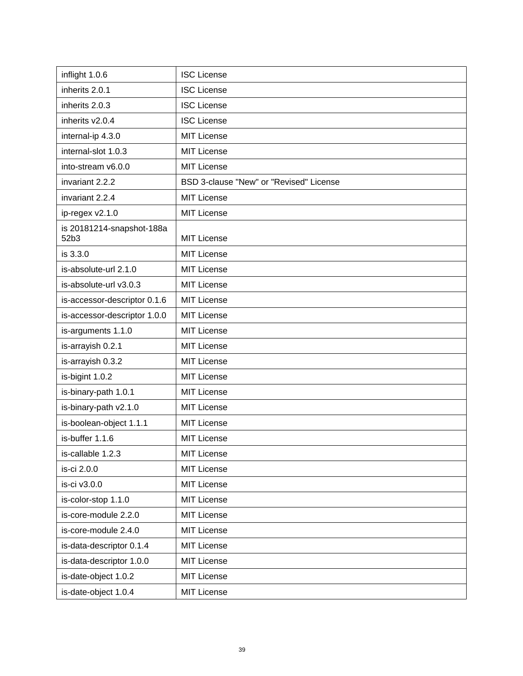| inflight 1.0.6                    | <b>ISC License</b>                      |
|-----------------------------------|-----------------------------------------|
| inherits 2.0.1                    | <b>ISC License</b>                      |
| inherits 2.0.3                    | <b>ISC License</b>                      |
| inherits v2.0.4                   | <b>ISC License</b>                      |
| internal-ip 4.3.0                 | <b>MIT License</b>                      |
| internal-slot 1.0.3               | <b>MIT License</b>                      |
| into-stream v6.0.0                | <b>MIT License</b>                      |
| invariant 2.2.2                   | BSD 3-clause "New" or "Revised" License |
| invariant 2.2.4                   | <b>MIT License</b>                      |
| ip-regex v2.1.0                   | <b>MIT License</b>                      |
| is 20181214-snapshot-188a<br>52b3 | <b>MIT License</b>                      |
| is 3.3.0                          | <b>MIT License</b>                      |
| is-absolute-url 2.1.0             | <b>MIT License</b>                      |
| is-absolute-url v3.0.3            | <b>MIT License</b>                      |
| is-accessor-descriptor 0.1.6      | <b>MIT License</b>                      |
| is-accessor-descriptor 1.0.0      | MIT License                             |
| is-arguments 1.1.0                | <b>MIT License</b>                      |
| is-arrayish 0.2.1                 | <b>MIT License</b>                      |
| is-arrayish 0.3.2                 | <b>MIT License</b>                      |
| is-bigint 1.0.2                   | <b>MIT License</b>                      |
| is-binary-path 1.0.1              | <b>MIT License</b>                      |
| is-binary-path v2.1.0             | <b>MIT License</b>                      |
| is-boolean-object 1.1.1           | <b>MIT License</b>                      |
| is-buffer 1.1.6                   | <b>MIT License</b>                      |
| is-callable 1.2.3                 | <b>MIT License</b>                      |
| is-ci 2.0.0                       | <b>MIT License</b>                      |
| is-ci v3.0.0                      | <b>MIT License</b>                      |
| is-color-stop 1.1.0               | <b>MIT License</b>                      |
| is-core-module 2.2.0              | <b>MIT License</b>                      |
| is-core-module 2.4.0              | <b>MIT License</b>                      |
| is-data-descriptor 0.1.4          | <b>MIT License</b>                      |
| is-data-descriptor 1.0.0          | <b>MIT License</b>                      |
| is-date-object 1.0.2              | <b>MIT License</b>                      |
| is-date-object 1.0.4              | <b>MIT License</b>                      |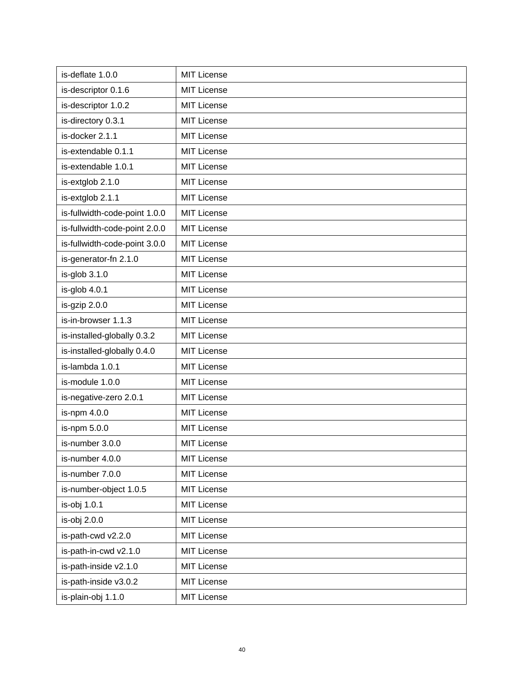| is-deflate 1.0.0              | <b>MIT License</b> |
|-------------------------------|--------------------|
| is-descriptor 0.1.6           | <b>MIT License</b> |
| is-descriptor 1.0.2           | <b>MIT License</b> |
| is-directory 0.3.1            | <b>MIT License</b> |
| is-docker 2.1.1               | <b>MIT License</b> |
| is-extendable 0.1.1           | <b>MIT License</b> |
| is-extendable 1.0.1           | <b>MIT License</b> |
| is-extglob 2.1.0              | <b>MIT License</b> |
| is-extglob 2.1.1              | <b>MIT License</b> |
| is-fullwidth-code-point 1.0.0 | <b>MIT License</b> |
| is-fullwidth-code-point 2.0.0 | MIT License        |
| is-fullwidth-code-point 3.0.0 | <b>MIT License</b> |
| is-generator-fn 2.1.0         | <b>MIT License</b> |
| $is-glob 3.1.0$               | <b>MIT License</b> |
| is-glob 4.0.1                 | <b>MIT License</b> |
| is-gzip 2.0.0                 | <b>MIT License</b> |
| is-in-browser 1.1.3           | <b>MIT License</b> |
| is-installed-globally 0.3.2   | <b>MIT License</b> |
| is-installed-globally 0.4.0   | <b>MIT License</b> |
| is-lambda 1.0.1               | <b>MIT License</b> |
| is-module 1.0.0               | <b>MIT License</b> |
| is-negative-zero 2.0.1        | <b>MIT License</b> |
| is-npm 4.0.0                  | <b>MIT License</b> |
| is-npm 5.0.0                  | <b>MIT License</b> |
| is-number 3.0.0               | <b>MIT License</b> |
| is-number 4.0.0               | <b>MIT License</b> |
| is-number 7.0.0               | <b>MIT License</b> |
| is-number-object 1.0.5        | <b>MIT License</b> |
| is-obj 1.0.1                  | <b>MIT License</b> |
| is-obj 2.0.0                  | <b>MIT License</b> |
| is-path-cwd v2.2.0            | <b>MIT License</b> |
| is-path-in-cwd v2.1.0         | <b>MIT License</b> |
| is-path-inside v2.1.0         | <b>MIT License</b> |
| is-path-inside v3.0.2         | <b>MIT License</b> |
| is-plain-obj 1.1.0            | <b>MIT License</b> |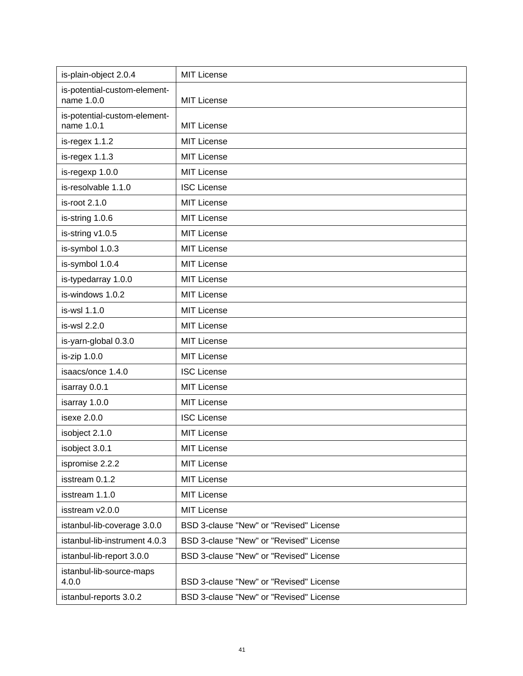| is-plain-object 2.0.4                      | <b>MIT License</b>                      |
|--------------------------------------------|-----------------------------------------|
| is-potential-custom-element-<br>name 1.0.0 | <b>MIT License</b>                      |
| is-potential-custom-element-<br>name 1.0.1 | <b>MIT License</b>                      |
| is-regex 1.1.2                             | <b>MIT License</b>                      |
| is-regex 1.1.3                             | <b>MIT License</b>                      |
| is-regexp 1.0.0                            | <b>MIT License</b>                      |
| is-resolvable 1.1.0                        | <b>ISC License</b>                      |
| is-root 2.1.0                              | <b>MIT License</b>                      |
| is-string 1.0.6                            | <b>MIT License</b>                      |
| is-string v1.0.5                           | <b>MIT License</b>                      |
| is-symbol 1.0.3                            | <b>MIT License</b>                      |
| is-symbol 1.0.4                            | <b>MIT License</b>                      |
| is-typedarray 1.0.0                        | <b>MIT License</b>                      |
| is-windows 1.0.2                           | <b>MIT License</b>                      |
| is-wsl 1.1.0                               | <b>MIT License</b>                      |
| is-wsl 2.2.0                               | <b>MIT License</b>                      |
| is-yarn-global 0.3.0                       | <b>MIT License</b>                      |
| is-zip 1.0.0                               | <b>MIT License</b>                      |
| isaacs/once 1.4.0                          | <b>ISC License</b>                      |
| isarray 0.0.1                              | <b>MIT License</b>                      |
| isarray 1.0.0                              | <b>MIT License</b>                      |
| isexe 2.0.0                                | <b>ISC License</b>                      |
| isobject 2.1.0                             | <b>MIT License</b>                      |
| isobject 3.0.1                             | <b>MIT License</b>                      |
| ispromise 2.2.2                            | <b>MIT License</b>                      |
| isstream 0.1.2                             | <b>MIT License</b>                      |
| isstream 1.1.0                             | <b>MIT License</b>                      |
| isstream v2.0.0                            | <b>MIT License</b>                      |
| istanbul-lib-coverage 3.0.0                | BSD 3-clause "New" or "Revised" License |
| istanbul-lib-instrument 4.0.3              | BSD 3-clause "New" or "Revised" License |
| istanbul-lib-report 3.0.0                  | BSD 3-clause "New" or "Revised" License |
| istanbul-lib-source-maps<br>4.0.0          | BSD 3-clause "New" or "Revised" License |
| istanbul-reports 3.0.2                     | BSD 3-clause "New" or "Revised" License |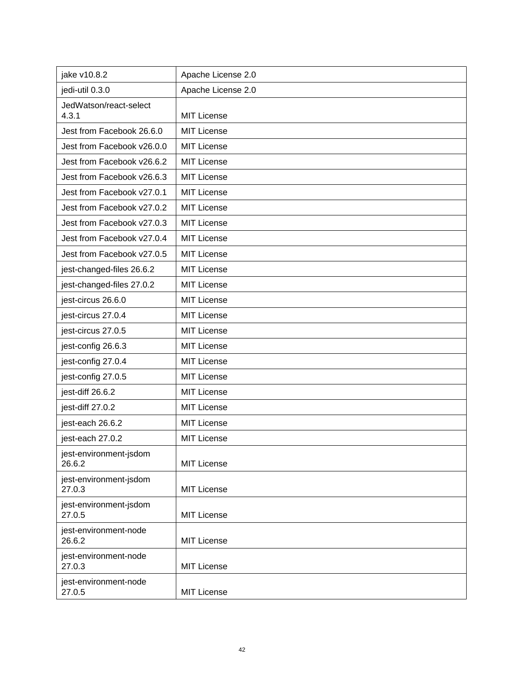| jake v10.8.2                     | Apache License 2.0 |
|----------------------------------|--------------------|
| jedi-util 0.3.0                  | Apache License 2.0 |
| JedWatson/react-select           |                    |
| 4.3.1                            | <b>MIT License</b> |
| Jest from Facebook 26.6.0        | <b>MIT License</b> |
| Jest from Facebook v26.0.0       | <b>MIT License</b> |
| Jest from Facebook v26.6.2       | <b>MIT License</b> |
| Jest from Facebook v26.6.3       | <b>MIT License</b> |
| Jest from Facebook v27.0.1       | <b>MIT License</b> |
| Jest from Facebook v27.0.2       | <b>MIT License</b> |
| Jest from Facebook v27.0.3       | <b>MIT License</b> |
| Jest from Facebook v27.0.4       | <b>MIT License</b> |
| Jest from Facebook v27.0.5       | <b>MIT License</b> |
| jest-changed-files 26.6.2        | <b>MIT License</b> |
| jest-changed-files 27.0.2        | <b>MIT License</b> |
| jest-circus 26.6.0               | <b>MIT License</b> |
| jest-circus 27.0.4               | <b>MIT License</b> |
| jest-circus 27.0.5               | <b>MIT License</b> |
| jest-config 26.6.3               | <b>MIT License</b> |
| jest-config 27.0.4               | <b>MIT License</b> |
| jest-config 27.0.5               | <b>MIT License</b> |
| jest-diff 26.6.2                 | <b>MIT License</b> |
| jest-diff 27.0.2                 | <b>MIT License</b> |
| jest-each 26.6.2                 | <b>MIT License</b> |
| jest-each 27.0.2                 | <b>MIT License</b> |
| jest-environment-jsdom<br>26.6.2 | <b>MIT License</b> |
| jest-environment-jsdom<br>27.0.3 | <b>MIT License</b> |
| jest-environment-jsdom<br>27.0.5 | <b>MIT License</b> |
| jest-environment-node<br>26.6.2  | <b>MIT License</b> |
| jest-environment-node<br>27.0.3  | <b>MIT License</b> |
| jest-environment-node<br>27.0.5  | <b>MIT License</b> |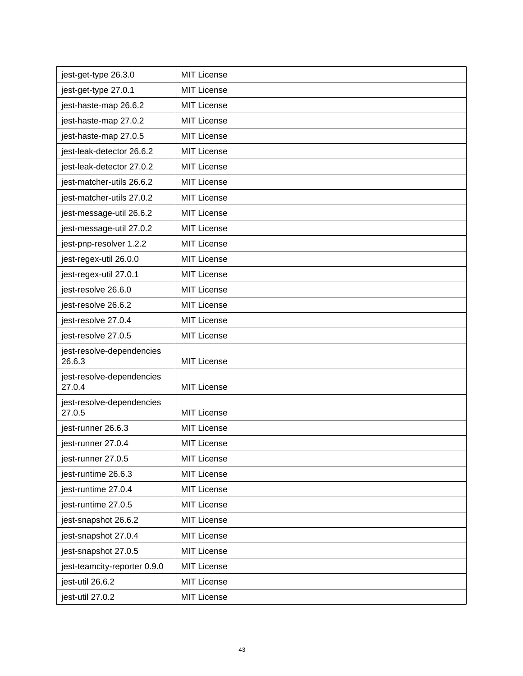| jest-get-type 26.3.0                | <b>MIT License</b> |
|-------------------------------------|--------------------|
| jest-get-type 27.0.1                | <b>MIT License</b> |
| jest-haste-map 26.6.2               | <b>MIT License</b> |
| jest-haste-map 27.0.2               | <b>MIT License</b> |
| jest-haste-map 27.0.5               | <b>MIT License</b> |
| jest-leak-detector 26.6.2           | <b>MIT License</b> |
| jest-leak-detector 27.0.2           | <b>MIT License</b> |
| jest-matcher-utils 26.6.2           | <b>MIT License</b> |
| jest-matcher-utils 27.0.2           | <b>MIT License</b> |
| jest-message-util 26.6.2            | <b>MIT License</b> |
| jest-message-util 27.0.2            | <b>MIT License</b> |
| jest-pnp-resolver 1.2.2             | <b>MIT License</b> |
| jest-regex-util 26.0.0              | <b>MIT License</b> |
| jest-regex-util 27.0.1              | <b>MIT License</b> |
| jest-resolve 26.6.0                 | <b>MIT License</b> |
| jest-resolve 26.6.2                 | <b>MIT License</b> |
| jest-resolve 27.0.4                 | <b>MIT License</b> |
| jest-resolve 27.0.5                 | <b>MIT License</b> |
| jest-resolve-dependencies<br>26.6.3 | <b>MIT License</b> |
| jest-resolve-dependencies           |                    |
| 27.0.4                              | <b>MIT License</b> |
| jest-resolve-dependencies<br>27.0.5 | <b>MIT License</b> |
| jest-runner 26.6.3                  | <b>MIT License</b> |
| iest-runner 27.0.4                  | <b>MIT License</b> |
| jest-runner 27.0.5                  | <b>MIT License</b> |
| jest-runtime 26.6.3                 | <b>MIT License</b> |
| jest-runtime 27.0.4                 | <b>MIT License</b> |
| jest-runtime 27.0.5                 | <b>MIT License</b> |
| jest-snapshot 26.6.2                | <b>MIT License</b> |
| jest-snapshot 27.0.4                | <b>MIT License</b> |
| jest-snapshot 27.0.5                | <b>MIT License</b> |
| jest-teamcity-reporter 0.9.0        | <b>MIT License</b> |
| jest-util 26.6.2                    | <b>MIT License</b> |
| jest-util 27.0.2                    | MIT License        |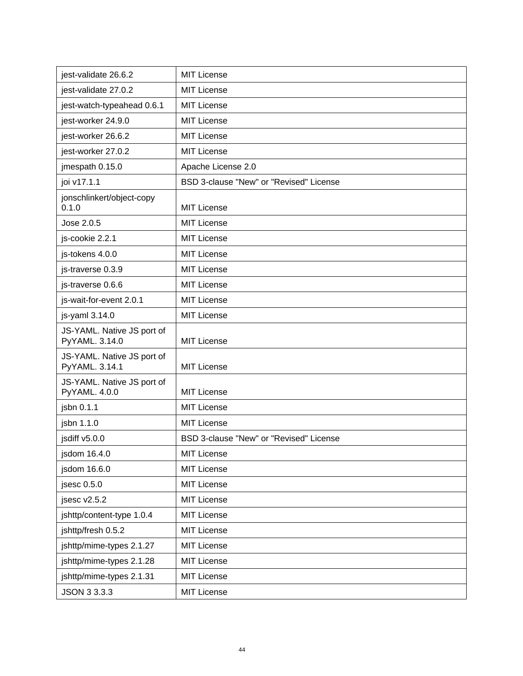| jest-validate 26.6.2                         | <b>MIT License</b>                      |
|----------------------------------------------|-----------------------------------------|
| jest-validate 27.0.2                         | <b>MIT License</b>                      |
| jest-watch-typeahead 0.6.1                   | <b>MIT License</b>                      |
| jest-worker 24.9.0                           | <b>MIT License</b>                      |
| jest-worker 26.6.2                           | <b>MIT License</b>                      |
| jest-worker 27.0.2                           | <b>MIT License</b>                      |
| jmespath 0.15.0                              | Apache License 2.0                      |
| joi v17.1.1                                  | BSD 3-clause "New" or "Revised" License |
| jonschlinkert/object-copy<br>0.1.0           | <b>MIT License</b>                      |
| Jose 2.0.5                                   | <b>MIT License</b>                      |
| js-cookie 2.2.1                              | <b>MIT License</b>                      |
| js-tokens 4.0.0                              | <b>MIT License</b>                      |
| js-traverse 0.3.9                            | <b>MIT License</b>                      |
| js-traverse 0.6.6                            | <b>MIT License</b>                      |
| js-wait-for-event 2.0.1                      | <b>MIT License</b>                      |
| js-yaml 3.14.0                               | <b>MIT License</b>                      |
| JS-YAML. Native JS port of<br>PyYAML. 3.14.0 | <b>MIT License</b>                      |
| JS-YAML. Native JS port of<br>PyYAML. 3.14.1 | <b>MIT License</b>                      |
| JS-YAML. Native JS port of<br>PyYAML. 4.0.0  | <b>MIT License</b>                      |
| jsbn 0.1.1                                   | <b>MIT License</b>                      |
| jsbn 1.1.0                                   | <b>MIT License</b>                      |
| jsdiff v5.0.0                                | BSD 3-clause "New" or "Revised" License |
| jsdom 16.4.0                                 | MIT License                             |
| jsdom 16.6.0                                 | <b>MIT License</b>                      |
| jsesc 0.5.0                                  | <b>MIT License</b>                      |
| jsesc v2.5.2                                 | <b>MIT License</b>                      |
| jshttp/content-type 1.0.4                    | MIT License                             |
| jshttp/fresh 0.5.2                           | <b>MIT License</b>                      |
| jshttp/mime-types 2.1.27                     | MIT License                             |
| jshttp/mime-types 2.1.28                     | <b>MIT License</b>                      |
| jshttp/mime-types 2.1.31                     | <b>MIT License</b>                      |
| JSON 3 3.3.3                                 | <b>MIT License</b>                      |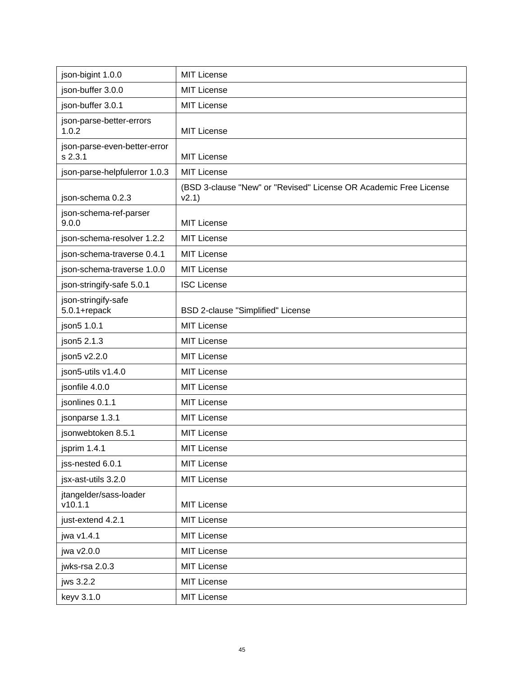| json-bigint 1.0.0                       | <b>MIT License</b>                                                         |
|-----------------------------------------|----------------------------------------------------------------------------|
| json-buffer 3.0.0                       | <b>MIT License</b>                                                         |
| json-buffer 3.0.1                       | <b>MIT License</b>                                                         |
| json-parse-better-errors<br>1.0.2       | <b>MIT License</b>                                                         |
| json-parse-even-better-error<br>s 2.3.1 | <b>MIT License</b>                                                         |
| json-parse-helpfulerror 1.0.3           | <b>MIT License</b>                                                         |
| json-schema 0.2.3                       | (BSD 3-clause "New" or "Revised" License OR Academic Free License<br>v2.1) |
| json-schema-ref-parser<br>9.0.0         | <b>MIT License</b>                                                         |
| json-schema-resolver 1.2.2              | <b>MIT License</b>                                                         |
| json-schema-traverse 0.4.1              | <b>MIT License</b>                                                         |
| json-schema-traverse 1.0.0              | <b>MIT License</b>                                                         |
| json-stringify-safe 5.0.1               | <b>ISC License</b>                                                         |
| json-stringify-safe<br>$5.0.1 +$ repack | <b>BSD 2-clause "Simplified" License</b>                                   |
| json5 1.0.1                             | <b>MIT License</b>                                                         |
| json5 2.1.3                             | <b>MIT License</b>                                                         |
| json5 v2.2.0                            | <b>MIT License</b>                                                         |
| json5-utils v1.4.0                      | <b>MIT License</b>                                                         |
| jsonfile 4.0.0                          | <b>MIT License</b>                                                         |
| jsonlines 0.1.1                         | <b>MIT License</b>                                                         |
| jsonparse 1.3.1                         | <b>MIT License</b>                                                         |
| jsonwebtoken 8.5.1                      | <b>MIT License</b>                                                         |
| jsprim 1.4.1                            | MIT License                                                                |
| jss-nested 6.0.1                        | MIT License                                                                |
| jsx-ast-utils 3.2.0                     | <b>MIT License</b>                                                         |
| jtangelder/sass-loader<br>v10.1.1       | <b>MIT License</b>                                                         |
| just-extend 4.2.1                       | <b>MIT License</b>                                                         |
| jwa v1.4.1                              | <b>MIT License</b>                                                         |
| jwa v2.0.0                              | <b>MIT License</b>                                                         |
| jwks-rsa 2.0.3                          | <b>MIT License</b>                                                         |
| jws 3.2.2                               | <b>MIT License</b>                                                         |
| keyv 3.1.0                              | <b>MIT License</b>                                                         |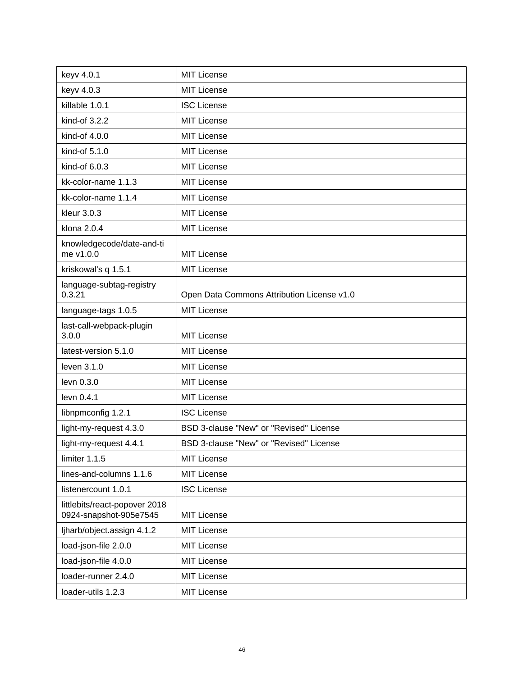| keyv 4.0.1                                              | <b>MIT License</b>                         |
|---------------------------------------------------------|--------------------------------------------|
| keyv 4.0.3                                              | <b>MIT License</b>                         |
| killable 1.0.1                                          | <b>ISC License</b>                         |
| kind-of 3.2.2                                           | <b>MIT License</b>                         |
| kind-of 4.0.0                                           | <b>MIT License</b>                         |
| kind-of 5.1.0                                           | <b>MIT License</b>                         |
| kind-of 6.0.3                                           | <b>MIT License</b>                         |
| kk-color-name 1.1.3                                     | <b>MIT License</b>                         |
| kk-color-name 1.1.4                                     | <b>MIT License</b>                         |
| kleur 3.0.3                                             | <b>MIT License</b>                         |
| klona 2.0.4                                             | <b>MIT License</b>                         |
| knowledgecode/date-and-ti<br>me v1.0.0                  | <b>MIT License</b>                         |
| kriskowal's q 1.5.1                                     | <b>MIT License</b>                         |
| language-subtag-registry<br>0.3.21                      | Open Data Commons Attribution License v1.0 |
| language-tags 1.0.5                                     | MIT License                                |
| last-call-webpack-plugin<br>3.0.0                       | <b>MIT License</b>                         |
| latest-version 5.1.0                                    | <b>MIT License</b>                         |
| leven 3.1.0                                             | <b>MIT License</b>                         |
| levn 0.3.0                                              | <b>MIT License</b>                         |
| levn 0.4.1                                              | <b>MIT License</b>                         |
| libnpmconfig 1.2.1                                      | <b>ISC License</b>                         |
| light-my-request 4.3.0                                  | BSD 3-clause "New" or "Revised" License    |
| light-my-request 4.4.1                                  | BSD 3-clause "New" or "Revised" License    |
| limiter 1.1.5                                           | <b>MIT License</b>                         |
| lines-and-columns 1.1.6                                 | <b>MIT License</b>                         |
| listenercount 1.0.1                                     | <b>ISC License</b>                         |
| littlebits/react-popover 2018<br>0924-snapshot-905e7545 | <b>MIT License</b>                         |
| ljharb/object.assign 4.1.2                              | <b>MIT License</b>                         |
| load-json-file 2.0.0                                    | <b>MIT License</b>                         |
| load-json-file 4.0.0                                    | <b>MIT License</b>                         |
| loader-runner 2.4.0                                     | <b>MIT License</b>                         |
| loader-utils 1.2.3                                      | <b>MIT License</b>                         |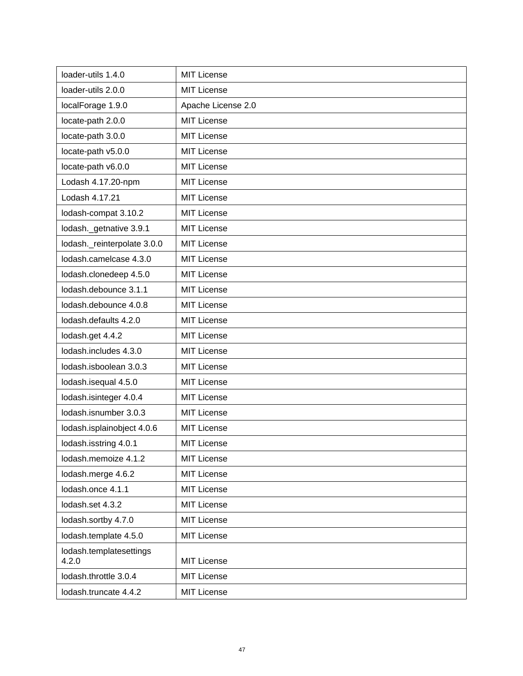| loader-utils 1.4.0               | <b>MIT License</b> |
|----------------------------------|--------------------|
| loader-utils 2.0.0               | <b>MIT License</b> |
| localForage 1.9.0                | Apache License 2.0 |
| locate-path 2.0.0                | <b>MIT License</b> |
| locate-path 3.0.0                | <b>MIT License</b> |
| locate-path v5.0.0               | <b>MIT License</b> |
| locate-path v6.0.0               | <b>MIT License</b> |
| Lodash 4.17.20-npm               | <b>MIT License</b> |
| Lodash 4.17.21                   | <b>MIT License</b> |
| lodash-compat 3.10.2             | <b>MIT License</b> |
| lodash._getnative 3.9.1          | MIT License        |
| lodash._reinterpolate 3.0.0      | <b>MIT License</b> |
| lodash.camelcase 4.3.0           | MIT License        |
| lodash.clonedeep 4.5.0           | <b>MIT License</b> |
| lodash.debounce 3.1.1            | <b>MIT License</b> |
| lodash.debounce 4.0.8            | <b>MIT License</b> |
| lodash.defaults 4.2.0            | <b>MIT License</b> |
| lodash.get 4.4.2                 | <b>MIT License</b> |
| lodash.includes 4.3.0            | MIT License        |
| lodash.isboolean 3.0.3           | <b>MIT License</b> |
| lodash.isequal 4.5.0             | <b>MIT License</b> |
| lodash.isinteger 4.0.4           | <b>MIT License</b> |
| lodash.isnumber 3.0.3            | <b>MIT License</b> |
| lodash.isplainobject 4.0.6       | MIT License        |
| lodash.isstring 4.0.1            | <b>MIT License</b> |
| lodash.memoize 4.1.2             | <b>MIT License</b> |
| lodash.merge 4.6.2               | <b>MIT License</b> |
| lodash.once 4.1.1                | <b>MIT License</b> |
| lodash.set 4.3.2                 | <b>MIT License</b> |
| lodash.sortby 4.7.0              | <b>MIT License</b> |
| lodash.template 4.5.0            | <b>MIT License</b> |
| lodash.templatesettings<br>4.2.0 | <b>MIT License</b> |
| lodash.throttle 3.0.4            | <b>MIT License</b> |
| lodash.truncate 4.4.2            | <b>MIT License</b> |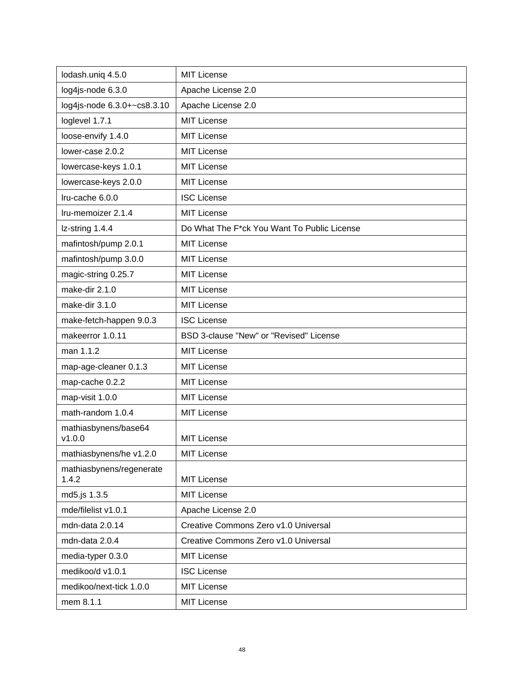| lodash.uniq 4.5.0                 | <b>MIT License</b>                          |
|-----------------------------------|---------------------------------------------|
| log4js-node 6.3.0                 | Apache License 2.0                          |
| log4js-node 6.3.0+~cs8.3.10       | Apache License 2.0                          |
| loglevel 1.7.1                    | <b>MIT License</b>                          |
| loose-envify 1.4.0                | <b>MIT License</b>                          |
| lower-case 2.0.2                  | <b>MIT License</b>                          |
| lowercase-keys 1.0.1              | <b>MIT License</b>                          |
| lowercase-keys 2.0.0              | <b>MIT License</b>                          |
| Iru-cache 6.0.0                   | <b>ISC License</b>                          |
| Iru-memoizer 2.1.4                | <b>MIT License</b>                          |
| Iz-string 1.4.4                   | Do What The F*ck You Want To Public License |
| mafintosh/pump 2.0.1              | <b>MIT License</b>                          |
| mafintosh/pump 3.0.0              | <b>MIT License</b>                          |
| magic-string 0.25.7               | <b>MIT License</b>                          |
| make-dir 2.1.0                    | <b>MIT License</b>                          |
| make-dir 3.1.0                    | <b>MIT License</b>                          |
| make-fetch-happen 9.0.3           | <b>ISC License</b>                          |
| makeerror 1.0.11                  | BSD 3-clause "New" or "Revised" License     |
| man 1.1.2                         | <b>MIT License</b>                          |
| map-age-cleaner 0.1.3             | <b>MIT License</b>                          |
| map-cache 0.2.2                   | <b>MIT License</b>                          |
| map-visit 1.0.0                   | <b>MIT License</b>                          |
| math-random 1.0.4                 | <b>MIT License</b>                          |
| mathiasbynens/base64<br>v1.0.0    | <b>MIT License</b>                          |
| mathiasbynens/he v1.2.0           | <b>MIT License</b>                          |
| mathiasbynens/regenerate<br>1.4.2 | <b>MIT License</b>                          |
| md5.js 1.3.5                      | <b>MIT License</b>                          |
| mde/filelist v1.0.1               | Apache License 2.0                          |
| mdn-data 2.0.14                   | Creative Commons Zero v1.0 Universal        |
| mdn-data 2.0.4                    | Creative Commons Zero v1.0 Universal        |
| media-typer 0.3.0                 | <b>MIT License</b>                          |
| medikoo/d v1.0.1                  | <b>ISC License</b>                          |
| medikoo/next-tick 1.0.0           | <b>MIT License</b>                          |
| mem 8.1.1                         | <b>MIT License</b>                          |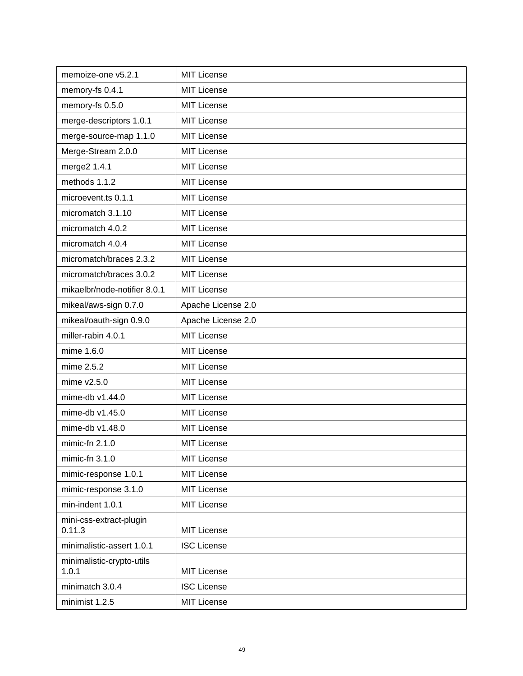| memoize-one v5.2.1                 | <b>MIT License</b> |
|------------------------------------|--------------------|
| memory-fs 0.4.1                    | <b>MIT License</b> |
| memory-fs 0.5.0                    | <b>MIT License</b> |
| merge-descriptors 1.0.1            | <b>MIT License</b> |
| merge-source-map 1.1.0             | <b>MIT License</b> |
| Merge-Stream 2.0.0                 | <b>MIT License</b> |
| merge2 1.4.1                       | <b>MIT License</b> |
| methods 1.1.2                      | <b>MIT License</b> |
| microevent.ts 0.1.1                | <b>MIT License</b> |
| micromatch 3.1.10                  | <b>MIT License</b> |
| micromatch 4.0.2                   | <b>MIT License</b> |
| micromatch 4.0.4                   | <b>MIT License</b> |
| micromatch/braces 2.3.2            | <b>MIT License</b> |
| micromatch/braces 3.0.2            | <b>MIT License</b> |
| mikaelbr/node-notifier 8.0.1       | <b>MIT License</b> |
| mikeal/aws-sign 0.7.0              | Apache License 2.0 |
| mikeal/oauth-sign 0.9.0            | Apache License 2.0 |
| miller-rabin 4.0.1                 | <b>MIT License</b> |
| mime 1.6.0                         | <b>MIT License</b> |
| mime 2.5.2                         | <b>MIT License</b> |
| mime v2.5.0                        | <b>MIT License</b> |
| mime-db v1.44.0                    | <b>MIT License</b> |
| mime-db v1.45.0                    | <b>MIT License</b> |
| mime-db v1.48.0                    | <b>MIT License</b> |
| mimic-fn $2.1.0$                   | <b>MIT License</b> |
| mimic-fn 3.1.0                     | <b>MIT License</b> |
| mimic-response 1.0.1               | <b>MIT License</b> |
| mimic-response 3.1.0               | <b>MIT License</b> |
| min-indent 1.0.1                   | <b>MIT License</b> |
| mini-css-extract-plugin<br>0.11.3  | <b>MIT License</b> |
| minimalistic-assert 1.0.1          | <b>ISC License</b> |
| minimalistic-crypto-utils<br>1.0.1 | <b>MIT License</b> |
| minimatch 3.0.4                    | <b>ISC License</b> |
| minimist 1.2.5                     | <b>MIT License</b> |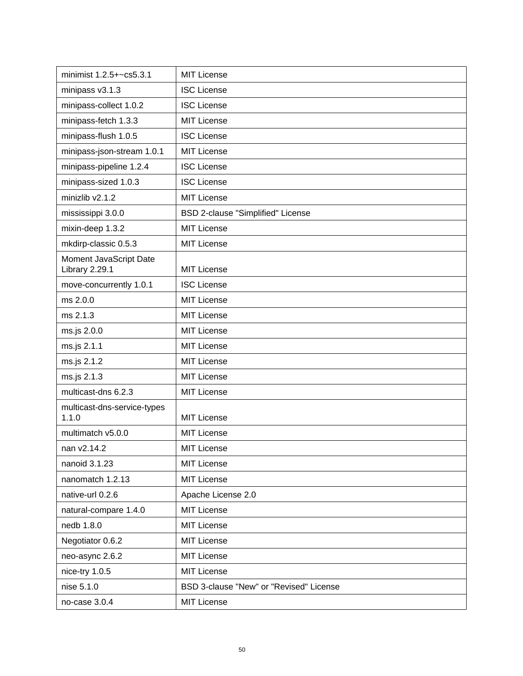| minimist 1.2.5+~cs5.3.1                  | <b>MIT License</b>                      |
|------------------------------------------|-----------------------------------------|
| minipass v3.1.3                          | <b>ISC License</b>                      |
| minipass-collect 1.0.2                   | <b>ISC License</b>                      |
| minipass-fetch 1.3.3                     | <b>MIT License</b>                      |
| minipass-flush 1.0.5                     | <b>ISC License</b>                      |
| minipass-json-stream 1.0.1               | <b>MIT License</b>                      |
| minipass-pipeline 1.2.4                  | <b>ISC License</b>                      |
| minipass-sized 1.0.3                     | <b>ISC License</b>                      |
| minizlib v2.1.2                          | <b>MIT License</b>                      |
| mississippi 3.0.0                        | BSD 2-clause "Simplified" License       |
| mixin-deep 1.3.2                         | <b>MIT License</b>                      |
| mkdirp-classic 0.5.3                     | <b>MIT License</b>                      |
| Moment JavaScript Date<br>Library 2.29.1 | <b>MIT License</b>                      |
| move-concurrently 1.0.1                  | <b>ISC License</b>                      |
| ms 2.0.0                                 | <b>MIT License</b>                      |
| ms 2.1.3                                 | <b>MIT License</b>                      |
| ms.js 2.0.0                              | <b>MIT License</b>                      |
| ms.js 2.1.1                              | <b>MIT License</b>                      |
| ms.js 2.1.2                              | <b>MIT License</b>                      |
| ms.js 2.1.3                              | <b>MIT License</b>                      |
| multicast-dns 6.2.3                      | <b>MIT License</b>                      |
| multicast-dns-service-types<br>1.1.0     | <b>MIT License</b>                      |
| multimatch v5.0.0                        | <b>MIT License</b>                      |
| nan v2.14.2                              | MIT License                             |
| nanoid 3.1.23                            | MIT License                             |
| nanomatch 1.2.13                         | <b>MIT License</b>                      |
| native-url 0.2.6                         | Apache License 2.0                      |
| natural-compare 1.4.0                    | MIT License                             |
| nedb 1.8.0                               | <b>MIT License</b>                      |
| Negotiator 0.6.2                         | <b>MIT License</b>                      |
| neo-async 2.6.2                          | <b>MIT License</b>                      |
| nice-try 1.0.5                           | <b>MIT License</b>                      |
| nise 5.1.0                               | BSD 3-clause "New" or "Revised" License |
| no-case 3.0.4                            | <b>MIT License</b>                      |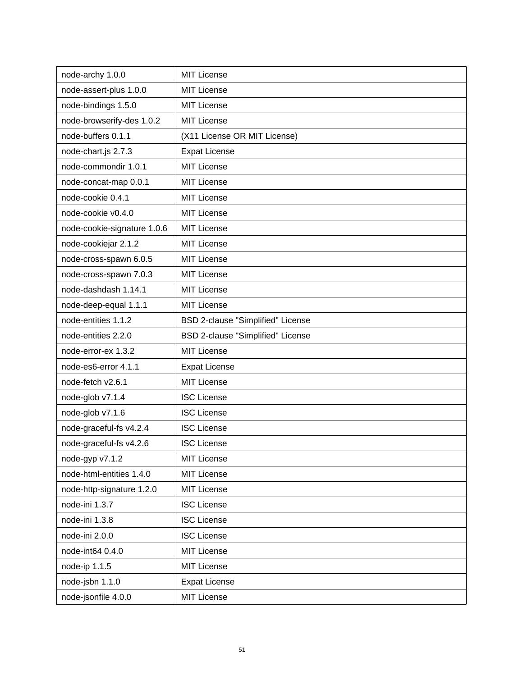| node-archy 1.0.0            | <b>MIT License</b>                       |
|-----------------------------|------------------------------------------|
| node-assert-plus 1.0.0      | <b>MIT License</b>                       |
| node-bindings 1.5.0         | <b>MIT License</b>                       |
| node-browserify-des 1.0.2   | <b>MIT License</b>                       |
| node-buffers 0.1.1          | (X11 License OR MIT License)             |
| node-chart.js 2.7.3         | <b>Expat License</b>                     |
| node-commondir 1.0.1        | <b>MIT License</b>                       |
| node-concat-map 0.0.1       | <b>MIT License</b>                       |
| node-cookie 0.4.1           | <b>MIT License</b>                       |
| node-cookie v0.4.0          | <b>MIT License</b>                       |
| node-cookie-signature 1.0.6 | <b>MIT License</b>                       |
| node-cookiejar 2.1.2        | MIT License                              |
| node-cross-spawn 6.0.5      | <b>MIT License</b>                       |
| node-cross-spawn 7.0.3      | <b>MIT License</b>                       |
| node-dashdash 1.14.1        | <b>MIT License</b>                       |
| node-deep-equal 1.1.1       | <b>MIT License</b>                       |
| node-entities 1.1.2         | BSD 2-clause "Simplified" License        |
| node-entities 2.2.0         | <b>BSD 2-clause "Simplified" License</b> |
| node-error-ex 1.3.2         | <b>MIT License</b>                       |
| node-es6-error 4.1.1        | <b>Expat License</b>                     |
| node-fetch v2.6.1           | MIT License                              |
| node-glob v7.1.4            | <b>ISC License</b>                       |
| node-glob v7.1.6            | <b>ISC License</b>                       |
| node-graceful-fs v4.2.4     | <b>ISC License</b>                       |
| node-graceful-fs v4.2.6     | <b>ISC License</b>                       |
| node-gyp v7.1.2             | <b>MIT License</b>                       |
| node-html-entities 1.4.0    | <b>MIT License</b>                       |
| node-http-signature 1.2.0   | <b>MIT License</b>                       |
| node-ini 1.3.7              | <b>ISC License</b>                       |
| node-ini 1.3.8              | <b>ISC License</b>                       |
| node-ini 2.0.0              | <b>ISC License</b>                       |
| node-int64 0.4.0            | <b>MIT License</b>                       |
| node-ip 1.1.5               | <b>MIT License</b>                       |
| node-jsbn 1.1.0             | <b>Expat License</b>                     |
| node-jsonfile 4.0.0         | <b>MIT License</b>                       |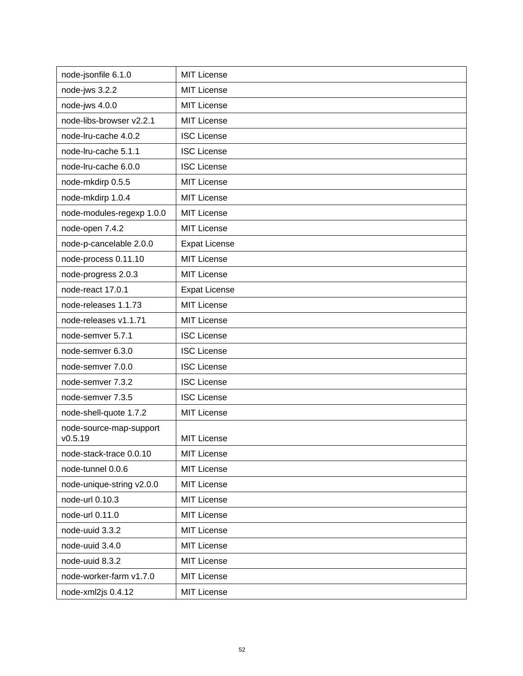| node-jsonfile 6.1.0                | <b>MIT License</b>   |
|------------------------------------|----------------------|
| node-jws 3.2.2                     | <b>MIT License</b>   |
| node-jws 4.0.0                     | <b>MIT License</b>   |
| node-libs-browser v2.2.1           | <b>MIT License</b>   |
| node-Iru-cache 4.0.2               | <b>ISC License</b>   |
| node-Iru-cache 5.1.1               | <b>ISC License</b>   |
| node-Iru-cache 6.0.0               | <b>ISC License</b>   |
| node-mkdirp 0.5.5                  | MIT License          |
| node-mkdirp 1.0.4                  | <b>MIT License</b>   |
| node-modules-regexp 1.0.0          | <b>MIT License</b>   |
| node-open 7.4.2                    | <b>MIT License</b>   |
| node-p-cancelable 2.0.0            | <b>Expat License</b> |
| node-process 0.11.10               | MIT License          |
| node-progress 2.0.3                | <b>MIT License</b>   |
| node-react 17.0.1                  | <b>Expat License</b> |
| node-releases 1.1.73               | <b>MIT License</b>   |
| node-releases v1.1.71              | <b>MIT License</b>   |
| node-semver 5.7.1                  | <b>ISC License</b>   |
| node-semver 6.3.0                  | <b>ISC License</b>   |
| node-semver 7.0.0                  | <b>ISC License</b>   |
| node-semver 7.3.2                  | <b>ISC License</b>   |
| node-semver 7.3.5                  | <b>ISC License</b>   |
| node-shell-quote 1.7.2             | <b>MIT License</b>   |
| node-source-map-support<br>V0.5.19 | <b>MIT License</b>   |
| node-stack-trace 0.0.10            | <b>MIT License</b>   |
| node-tunnel 0.0.6                  | <b>MIT License</b>   |
| node-unique-string v2.0.0          | <b>MIT License</b>   |
| node-url 0.10.3                    | <b>MIT License</b>   |
| node-url 0.11.0                    | <b>MIT License</b>   |
| node-uuid 3.3.2                    | <b>MIT License</b>   |
| node-uuid 3.4.0                    | <b>MIT License</b>   |
| node-uuid 8.3.2                    | <b>MIT License</b>   |
| node-worker-farm v1.7.0            | <b>MIT License</b>   |
| node-xml2js 0.4.12                 | MIT License          |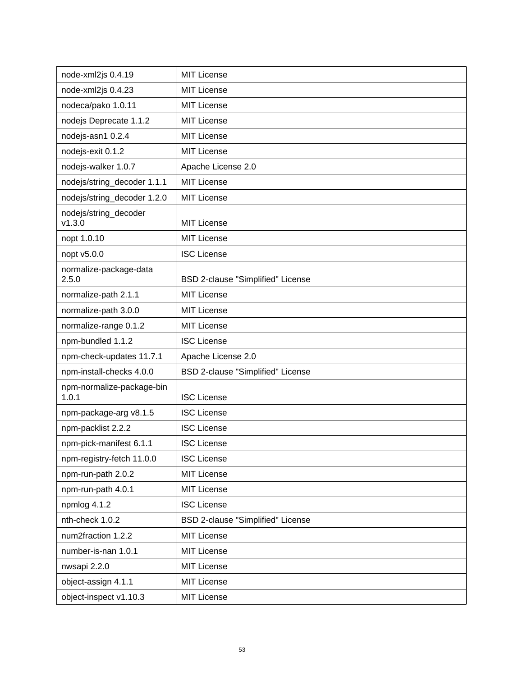| node-xml2js 0.4.19                 | <b>MIT License</b>                       |
|------------------------------------|------------------------------------------|
| node-xml2js 0.4.23                 | <b>MIT License</b>                       |
| nodeca/pako 1.0.11                 | <b>MIT License</b>                       |
| nodejs Deprecate 1.1.2             | <b>MIT License</b>                       |
| nodejs-asn1 0.2.4                  | <b>MIT License</b>                       |
| nodejs-exit 0.1.2                  | <b>MIT License</b>                       |
| nodejs-walker 1.0.7                | Apache License 2.0                       |
| nodejs/string_decoder 1.1.1        | <b>MIT License</b>                       |
| nodejs/string_decoder 1.2.0        | <b>MIT License</b>                       |
| nodejs/string_decoder<br>v1.3.0    | <b>MIT License</b>                       |
| nopt 1.0.10                        | <b>MIT License</b>                       |
| nopt v5.0.0                        | <b>ISC License</b>                       |
| normalize-package-data<br>2.5.0    | BSD 2-clause "Simplified" License        |
| normalize-path 2.1.1               | <b>MIT License</b>                       |
| normalize-path 3.0.0               | <b>MIT License</b>                       |
| normalize-range 0.1.2              | <b>MIT License</b>                       |
| npm-bundled 1.1.2                  | <b>ISC License</b>                       |
| npm-check-updates 11.7.1           | Apache License 2.0                       |
| npm-install-checks 4.0.0           | BSD 2-clause "Simplified" License        |
| npm-normalize-package-bin<br>1.0.1 | <b>ISC License</b>                       |
| npm-package-arg v8.1.5             | <b>ISC License</b>                       |
| npm-packlist 2.2.2                 | <b>ISC License</b>                       |
| npm-pick-manifest 6.1.1            | <b>ISC License</b>                       |
| npm-registry-fetch 11.0.0          | <b>ISC License</b>                       |
| npm-run-path 2.0.2                 | <b>MIT License</b>                       |
| npm-run-path 4.0.1                 | <b>MIT License</b>                       |
| npmlog 4.1.2                       | <b>ISC License</b>                       |
| nth-check 1.0.2                    | <b>BSD 2-clause "Simplified" License</b> |
| num2fraction 1.2.2                 | <b>MIT License</b>                       |
| number-is-nan 1.0.1                | <b>MIT License</b>                       |
| nwsapi 2.2.0                       | <b>MIT License</b>                       |
| object-assign 4.1.1                | <b>MIT License</b>                       |
| object-inspect v1.10.3             | <b>MIT License</b>                       |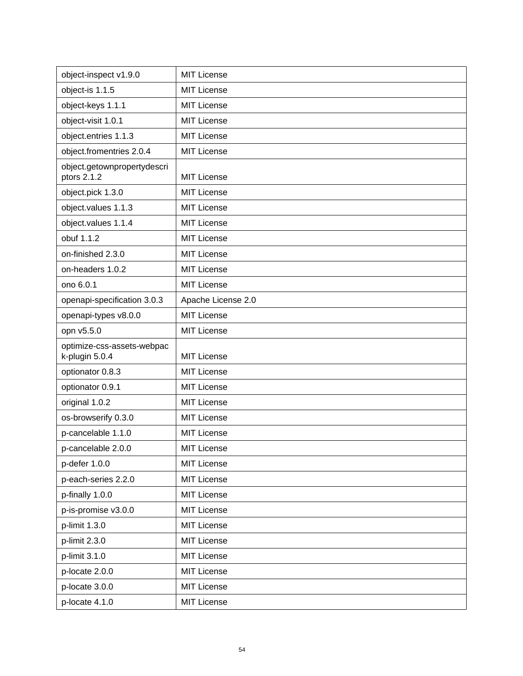| object-inspect v1.9.0                        | <b>MIT License</b> |
|----------------------------------------------|--------------------|
| object-is 1.1.5                              | <b>MIT License</b> |
| object-keys 1.1.1                            | <b>MIT License</b> |
| object-visit 1.0.1                           | <b>MIT License</b> |
| object.entries 1.1.3                         | <b>MIT License</b> |
| object.fromentries 2.0.4                     | <b>MIT License</b> |
| object.getownpropertydescri<br>ptors 2.1.2   | <b>MIT License</b> |
| object.pick 1.3.0                            | <b>MIT License</b> |
| object.values 1.1.3                          | <b>MIT License</b> |
| object.values 1.1.4                          | <b>MIT License</b> |
| obuf 1.1.2                                   | <b>MIT License</b> |
| on-finished 2.3.0                            | <b>MIT License</b> |
| on-headers 1.0.2                             | <b>MIT License</b> |
| ono 6.0.1                                    | <b>MIT License</b> |
| openapi-specification 3.0.3                  | Apache License 2.0 |
| openapi-types v8.0.0                         | <b>MIT License</b> |
| opn v5.5.0                                   | <b>MIT License</b> |
|                                              |                    |
| optimize-css-assets-webpac<br>k-plugin 5.0.4 | <b>MIT License</b> |
| optionator 0.8.3                             | <b>MIT License</b> |
| optionator 0.9.1                             | <b>MIT License</b> |
| original 1.0.2                               | <b>MIT License</b> |
| os-browserify 0.3.0                          | <b>MIT License</b> |
| p-cancelable 1.1.0                           | MIT License        |
| p-cancelable 2.0.0                           | <b>MIT License</b> |
| p-defer 1.0.0                                | <b>MIT License</b> |
| p-each-series 2.2.0                          | <b>MIT License</b> |
| p-finally 1.0.0                              | <b>MIT License</b> |
| p-is-promise v3.0.0                          | <b>MIT License</b> |
| p-limit 1.3.0                                | <b>MIT License</b> |
| p-limit 2.3.0                                | <b>MIT License</b> |
| p-limit 3.1.0                                | <b>MIT License</b> |
| p-locate 2.0.0                               | <b>MIT License</b> |
| p-locate 3.0.0                               | <b>MIT License</b> |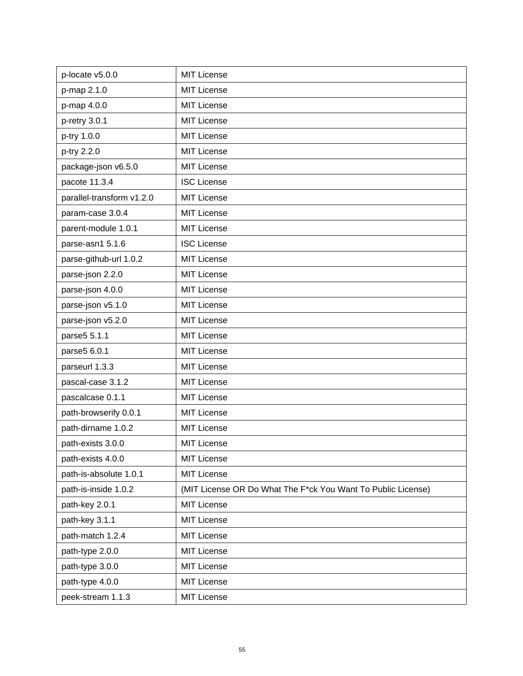| p-locate v5.0.0           | <b>MIT License</b>                                           |
|---------------------------|--------------------------------------------------------------|
| p-map 2.1.0               | <b>MIT License</b>                                           |
| p-map 4.0.0               | <b>MIT License</b>                                           |
| p-retry 3.0.1             | <b>MIT License</b>                                           |
| p-try 1.0.0               | <b>MIT License</b>                                           |
| p-try 2.2.0               | <b>MIT License</b>                                           |
| package-json v6.5.0       | <b>MIT License</b>                                           |
| pacote 11.3.4             | <b>ISC License</b>                                           |
| parallel-transform v1.2.0 | <b>MIT License</b>                                           |
| param-case 3.0.4          | <b>MIT License</b>                                           |
| parent-module 1.0.1       | <b>MIT License</b>                                           |
| parse-asn1 5.1.6          | <b>ISC License</b>                                           |
| parse-github-url 1.0.2    | <b>MIT License</b>                                           |
| parse-json 2.2.0          | <b>MIT License</b>                                           |
| parse-json 4.0.0          | <b>MIT License</b>                                           |
| parse-json v5.1.0         | <b>MIT License</b>                                           |
| parse-json v5.2.0         | <b>MIT License</b>                                           |
| parse5 5.1.1              | <b>MIT License</b>                                           |
| parse5 6.0.1              | <b>MIT License</b>                                           |
| parseurl 1.3.3            | <b>MIT License</b>                                           |
| pascal-case 3.1.2         | <b>MIT License</b>                                           |
| pascalcase 0.1.1          | <b>MIT License</b>                                           |
| path-browserify 0.0.1     | <b>MIT License</b>                                           |
| path-dirname 1.0.2        | <b>MIT License</b>                                           |
| path-exists 3.0.0         | <b>MIT License</b>                                           |
| path-exists 4.0.0         | <b>MIT License</b>                                           |
| path-is-absolute 1.0.1    | <b>MIT License</b>                                           |
| path-is-inside 1.0.2      | (MIT License OR Do What The F*ck You Want To Public License) |
| path-key 2.0.1            | <b>MIT License</b>                                           |
| path-key 3.1.1            | <b>MIT License</b>                                           |
| path-match 1.2.4          | <b>MIT License</b>                                           |
| path-type 2.0.0           | <b>MIT License</b>                                           |
| path-type 3.0.0           | <b>MIT License</b>                                           |
| path-type 4.0.0           | <b>MIT License</b>                                           |
| peek-stream 1.1.3         | <b>MIT License</b>                                           |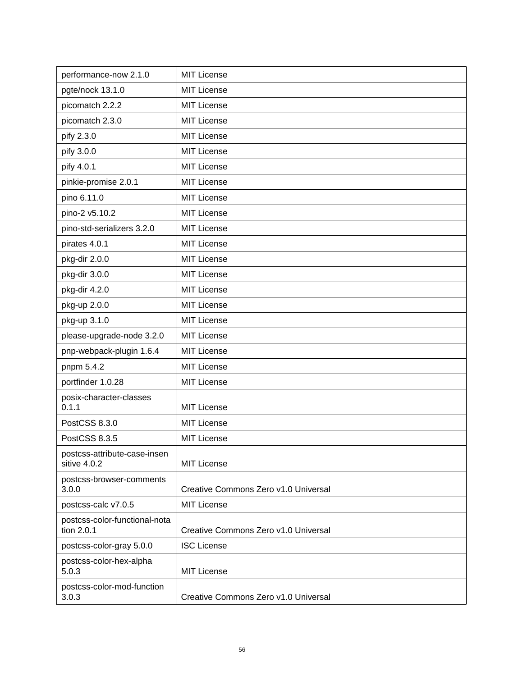| performance-now 2.1.0                        | <b>MIT License</b>                   |
|----------------------------------------------|--------------------------------------|
| pgte/nock 13.1.0                             | <b>MIT License</b>                   |
| picomatch 2.2.2                              | <b>MIT License</b>                   |
| picomatch 2.3.0                              | <b>MIT License</b>                   |
| pify 2.3.0                                   | <b>MIT License</b>                   |
| pify 3.0.0                                   | <b>MIT License</b>                   |
| pify 4.0.1                                   | <b>MIT License</b>                   |
| pinkie-promise 2.0.1                         | <b>MIT License</b>                   |
| pino 6.11.0                                  | <b>MIT License</b>                   |
| pino-2 v5.10.2                               | <b>MIT License</b>                   |
| pino-std-serializers 3.2.0                   | <b>MIT License</b>                   |
| pirates 4.0.1                                | <b>MIT License</b>                   |
| pkg-dir 2.0.0                                | <b>MIT License</b>                   |
| pkg-dir 3.0.0                                | <b>MIT License</b>                   |
| pkg-dir 4.2.0                                | <b>MIT License</b>                   |
| pkg-up 2.0.0                                 | <b>MIT License</b>                   |
| pkg-up 3.1.0                                 | <b>MIT License</b>                   |
| please-upgrade-node 3.2.0                    | <b>MIT License</b>                   |
| pnp-webpack-plugin 1.6.4                     | <b>MIT License</b>                   |
| pnpm 5.4.2                                   | <b>MIT License</b>                   |
| portfinder 1.0.28                            | <b>MIT License</b>                   |
| posix-character-classes<br>0.1.1             | <b>MIT License</b>                   |
| PostCSS 8.3.0                                | <b>MIT License</b>                   |
| PostCSS 8.3.5                                | <b>MIT License</b>                   |
| postcss-attribute-case-insen<br>sitive 4.0.2 | <b>MIT License</b>                   |
| postcss-browser-comments<br>3.0.0            | Creative Commons Zero v1.0 Universal |
| postcss-calc v7.0.5                          | <b>MIT License</b>                   |
| postcss-color-functional-nota<br>tion 2.0.1  | Creative Commons Zero v1.0 Universal |
| postcss-color-gray 5.0.0                     | <b>ISC License</b>                   |
| postcss-color-hex-alpha<br>5.0.3             | <b>MIT License</b>                   |
| postcss-color-mod-function<br>3.0.3          | Creative Commons Zero v1.0 Universal |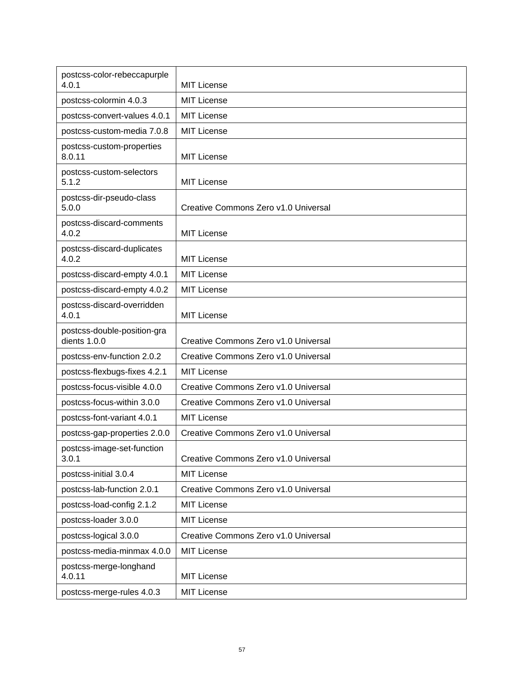| postcss-color-rebeccapurple<br>4.0.1        | <b>MIT License</b>                   |
|---------------------------------------------|--------------------------------------|
| postcss-colormin 4.0.3                      | <b>MIT License</b>                   |
| postcss-convert-values 4.0.1                | <b>MIT License</b>                   |
| postcss-custom-media 7.0.8                  | <b>MIT License</b>                   |
| postcss-custom-properties<br>8.0.11         | <b>MIT License</b>                   |
| postcss-custom-selectors<br>5.1.2           | <b>MIT License</b>                   |
| postcss-dir-pseudo-class<br>5.0.0           | Creative Commons Zero v1.0 Universal |
| postcss-discard-comments<br>4.0.2           | <b>MIT License</b>                   |
| postcss-discard-duplicates<br>4.0.2         | <b>MIT License</b>                   |
| postcss-discard-empty 4.0.1                 | <b>MIT License</b>                   |
| postcss-discard-empty 4.0.2                 | <b>MIT License</b>                   |
| postcss-discard-overridden<br>4.0.1         | <b>MIT License</b>                   |
| postcss-double-position-gra<br>dients 1.0.0 | Creative Commons Zero v1.0 Universal |
| postcss-env-function 2.0.2                  | Creative Commons Zero v1.0 Universal |
| postcss-flexbugs-fixes 4.2.1                | <b>MIT License</b>                   |
| postcss-focus-visible 4.0.0                 | Creative Commons Zero v1.0 Universal |
| postcss-focus-within 3.0.0                  | Creative Commons Zero v1.0 Universal |
| postcss-font-variant 4.0.1                  | <b>MIT License</b>                   |
| postcss-gap-properties 2.0.0                | Creative Commons Zero v1.0 Universal |
| postcss-image-set-function<br>3.0.1         | Creative Commons Zero v1.0 Universal |
| postcss-initial 3.0.4                       | <b>MIT License</b>                   |
| postcss-lab-function 2.0.1                  | Creative Commons Zero v1.0 Universal |
| postcss-load-config 2.1.2                   | <b>MIT License</b>                   |
| postcss-loader 3.0.0                        | <b>MIT License</b>                   |
| postcss-logical 3.0.0                       | Creative Commons Zero v1.0 Universal |
| postcss-media-minmax 4.0.0                  | <b>MIT License</b>                   |
| postcss-merge-longhand<br>4.0.11            | <b>MIT License</b>                   |
| postcss-merge-rules 4.0.3                   | <b>MIT License</b>                   |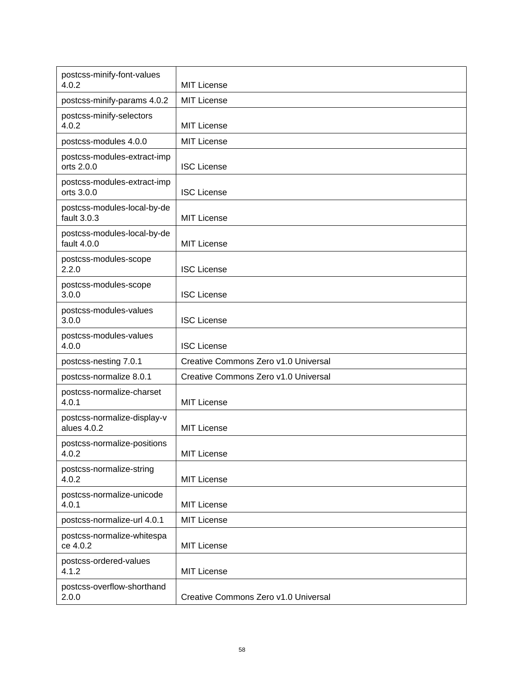| postcss-minify-font-values<br>4.0.2        | <b>MIT License</b>                   |
|--------------------------------------------|--------------------------------------|
| postcss-minify-params 4.0.2                | <b>MIT License</b>                   |
| postcss-minify-selectors<br>4.0.2          | <b>MIT License</b>                   |
| postcss-modules 4.0.0                      | <b>MIT License</b>                   |
| postcss-modules-extract-imp<br>orts 2.0.0  | <b>ISC License</b>                   |
| postcss-modules-extract-imp<br>orts 3.0.0  | <b>ISC License</b>                   |
| postcss-modules-local-by-de<br>fault 3.0.3 | MIT License                          |
| postcss-modules-local-by-de<br>fault 4.0.0 | <b>MIT License</b>                   |
| postcss-modules-scope<br>2.2.0             | <b>ISC License</b>                   |
| postcss-modules-scope<br>3.0.0             | <b>ISC License</b>                   |
| postcss-modules-values<br>3.0.0            | <b>ISC License</b>                   |
| postcss-modules-values<br>4.0.0            | <b>ISC License</b>                   |
| postcss-nesting 7.0.1                      | Creative Commons Zero v1.0 Universal |
| postcss-normalize 8.0.1                    | Creative Commons Zero v1.0 Universal |
| postcss-normalize-charset<br>4.0.1         | <b>MIT License</b>                   |
| postcss-normalize-display-v<br>alues 4.0.2 | <b>MIT License</b>                   |
| postcss-normalize-positions<br>4.0.2       | <b>MIT License</b>                   |
| postcss-normalize-string<br>4.0.2          | <b>MIT License</b>                   |
| postcss-normalize-unicode<br>4.0.1         | <b>MIT License</b>                   |
| postcss-normalize-url 4.0.1                | <b>MIT License</b>                   |
| postcss-normalize-whitespa<br>ce 4.0.2     | <b>MIT License</b>                   |
| postcss-ordered-values<br>4.1.2            | <b>MIT License</b>                   |
| postcss-overflow-shorthand<br>2.0.0        | Creative Commons Zero v1.0 Universal |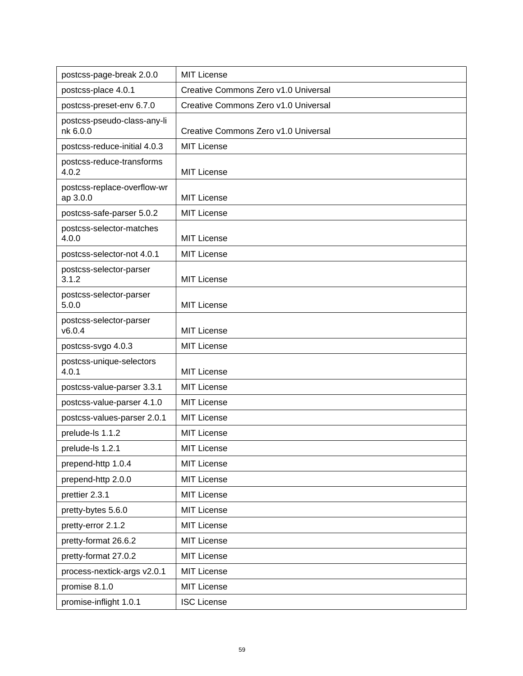| postcss-page-break 2.0.0                | <b>MIT License</b>                   |
|-----------------------------------------|--------------------------------------|
| postcss-place 4.0.1                     | Creative Commons Zero v1.0 Universal |
| postcss-preset-env 6.7.0                | Creative Commons Zero v1.0 Universal |
| postcss-pseudo-class-any-li<br>nk 6.0.0 | Creative Commons Zero v1.0 Universal |
| postcss-reduce-initial 4.0.3            | <b>MIT License</b>                   |
| postcss-reduce-transforms<br>4.0.2      | <b>MIT License</b>                   |
| postcss-replace-overflow-wr<br>ap 3.0.0 | <b>MIT License</b>                   |
| postcss-safe-parser 5.0.2               | <b>MIT License</b>                   |
| postcss-selector-matches<br>4.0.0       | <b>MIT License</b>                   |
| postcss-selector-not 4.0.1              | <b>MIT License</b>                   |
| postcss-selector-parser<br>3.1.2        | MIT License                          |
| postcss-selector-parser<br>5.0.0        | <b>MIT License</b>                   |
| postcss-selector-parser<br>v6.0.4       | <b>MIT License</b>                   |
| postcss-svgo 4.0.3                      | <b>MIT License</b>                   |
| postcss-unique-selectors<br>4.0.1       | <b>MIT License</b>                   |
| postcss-value-parser 3.3.1              | <b>MIT License</b>                   |
| postcss-value-parser 4.1.0              | <b>MIT License</b>                   |
| postcss-values-parser 2.0.1             | <b>MIT License</b>                   |
| prelude-ls 1.1.2                        | <b>MIT License</b>                   |
| prelude-ls 1.2.1                        | MIT License                          |
| prepend-http 1.0.4                      | <b>MIT License</b>                   |
| prepend-http 2.0.0                      | <b>MIT License</b>                   |
| prettier 2.3.1                          | <b>MIT License</b>                   |
| pretty-bytes 5.6.0                      | <b>MIT License</b>                   |
| pretty-error 2.1.2                      | <b>MIT License</b>                   |
| pretty-format 26.6.2                    | <b>MIT License</b>                   |
| pretty-format 27.0.2                    | <b>MIT License</b>                   |
| process-nextick-args v2.0.1             | <b>MIT License</b>                   |
| promise 8.1.0                           | <b>MIT License</b>                   |
| promise-inflight 1.0.1                  | <b>ISC License</b>                   |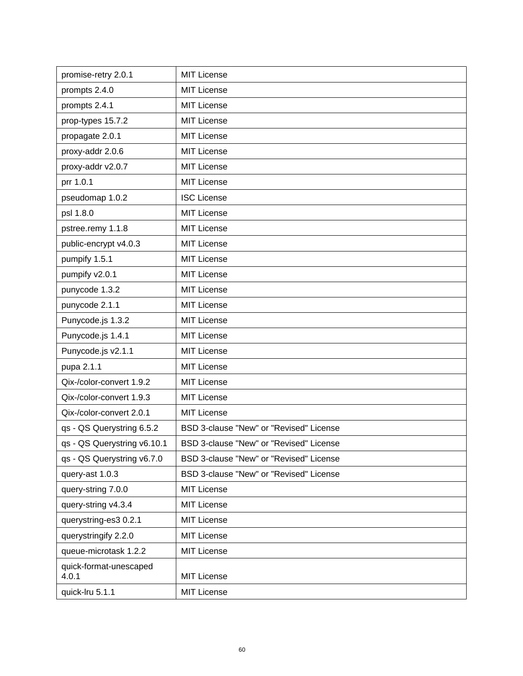| promise-retry 2.0.1             | <b>MIT License</b>                      |
|---------------------------------|-----------------------------------------|
| prompts 2.4.0                   | <b>MIT License</b>                      |
| prompts 2.4.1                   | <b>MIT License</b>                      |
| prop-types 15.7.2               | <b>MIT License</b>                      |
| propagate 2.0.1                 | <b>MIT License</b>                      |
| proxy-addr 2.0.6                | <b>MIT License</b>                      |
| proxy-addr v2.0.7               | <b>MIT License</b>                      |
| prr 1.0.1                       | <b>MIT License</b>                      |
| pseudomap 1.0.2                 | <b>ISC License</b>                      |
| psl 1.8.0                       | <b>MIT License</b>                      |
| pstree.remy 1.1.8               | <b>MIT License</b>                      |
| public-encrypt v4.0.3           | <b>MIT License</b>                      |
| pumpify 1.5.1                   | <b>MIT License</b>                      |
| pumpify v2.0.1                  | <b>MIT License</b>                      |
| punycode 1.3.2                  | <b>MIT License</b>                      |
| punycode 2.1.1                  | <b>MIT License</b>                      |
| Punycode.js 1.3.2               | <b>MIT License</b>                      |
| Punycode.js 1.4.1               | <b>MIT License</b>                      |
| Punycode.js v2.1.1              | <b>MIT License</b>                      |
| pupa 2.1.1                      | <b>MIT License</b>                      |
| Qix-/color-convert 1.9.2        | <b>MIT License</b>                      |
| Qix-/color-convert 1.9.3        | <b>MIT License</b>                      |
| Qix-/color-convert 2.0.1        | <b>MIT License</b>                      |
| qs - QS Querystring 6.5.2       | BSD 3-clause "New" or "Revised" License |
| qs - QS Querystring v6.10.1     | BSD 3-clause "New" or "Revised" License |
| qs - QS Querystring v6.7.0      | BSD 3-clause "New" or "Revised" License |
| query-ast 1.0.3                 | BSD 3-clause "New" or "Revised" License |
| query-string 7.0.0              | <b>MIT License</b>                      |
| query-string v4.3.4             | <b>MIT License</b>                      |
| querystring-es3 0.2.1           | <b>MIT License</b>                      |
| querystringify 2.2.0            | <b>MIT License</b>                      |
| queue-microtask 1.2.2           | <b>MIT License</b>                      |
| quick-format-unescaped<br>4.0.1 | <b>MIT License</b>                      |
| quick-Iru 5.1.1                 | <b>MIT License</b>                      |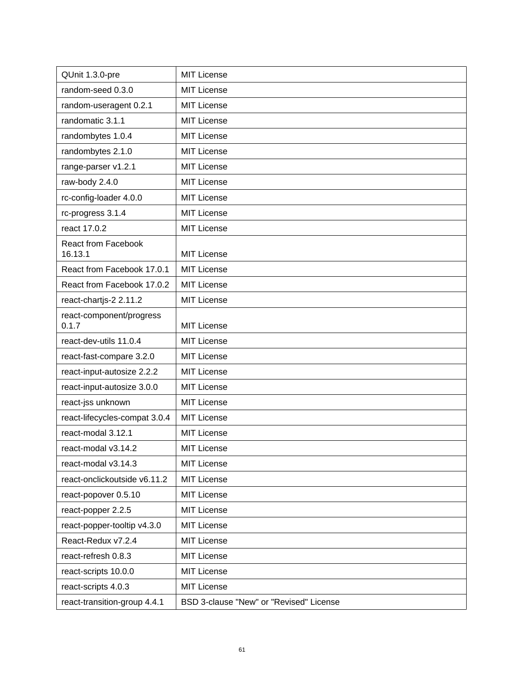| QUnit 1.3.0-pre                   | <b>MIT License</b>                      |
|-----------------------------------|-----------------------------------------|
| random-seed 0.3.0                 | <b>MIT License</b>                      |
| random-useragent 0.2.1            | <b>MIT License</b>                      |
| randomatic 3.1.1                  | <b>MIT License</b>                      |
| randombytes 1.0.4                 | <b>MIT License</b>                      |
| randombytes 2.1.0                 | <b>MIT License</b>                      |
| range-parser v1.2.1               | <b>MIT License</b>                      |
| raw-body 2.4.0                    | <b>MIT License</b>                      |
| rc-config-loader 4.0.0            | <b>MIT License</b>                      |
| rc-progress 3.1.4                 | <b>MIT License</b>                      |
| react 17.0.2                      | <b>MIT License</b>                      |
| <b>React from Facebook</b>        |                                         |
| 16.13.1                           | <b>MIT License</b>                      |
| React from Facebook 17.0.1        | <b>MIT License</b>                      |
| React from Facebook 17.0.2        | <b>MIT License</b>                      |
| react-chartjs-2 2.11.2            | <b>MIT License</b>                      |
| react-component/progress<br>0.1.7 | <b>MIT License</b>                      |
| react-dev-utils 11.0.4            | <b>MIT License</b>                      |
| react-fast-compare 3.2.0          | <b>MIT License</b>                      |
| react-input-autosize 2.2.2        | <b>MIT License</b>                      |
| react-input-autosize 3.0.0        | <b>MIT License</b>                      |
| react-jss unknown                 | <b>MIT License</b>                      |
| react-lifecycles-compat 3.0.4     | <b>MIT License</b>                      |
| react-modal 3.12.1                | <b>MIT License</b>                      |
| react-modal v3.14.2               | <b>MIT License</b>                      |
| react-modal v3.14.3               | <b>MIT License</b>                      |
| react-onclickoutside v6.11.2      | <b>MIT License</b>                      |
| react-popover 0.5.10              | <b>MIT License</b>                      |
| react-popper 2.2.5                | <b>MIT License</b>                      |
| react-popper-tooltip v4.3.0       | <b>MIT License</b>                      |
| React-Redux v7.2.4                | <b>MIT License</b>                      |
| react-refresh 0.8.3               | <b>MIT License</b>                      |
| react-scripts 10.0.0              | <b>MIT License</b>                      |
| react-scripts 4.0.3               | MIT License                             |
| react-transition-group 4.4.1      | BSD 3-clause "New" or "Revised" License |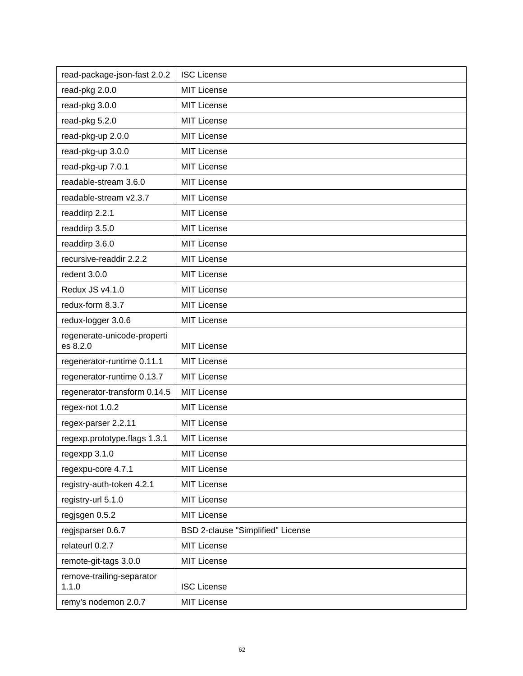| read-package-json-fast 2.0.2            | <b>ISC License</b>                       |
|-----------------------------------------|------------------------------------------|
| read-pkg 2.0.0                          | <b>MIT License</b>                       |
| read-pkg 3.0.0                          | <b>MIT License</b>                       |
| read-pkg 5.2.0                          | <b>MIT License</b>                       |
| read-pkg-up 2.0.0                       | <b>MIT License</b>                       |
| read-pkg-up 3.0.0                       | <b>MIT License</b>                       |
| read-pkg-up 7.0.1                       | <b>MIT License</b>                       |
| readable-stream 3.6.0                   | <b>MIT License</b>                       |
| readable-stream v2.3.7                  | <b>MIT License</b>                       |
| readdirp 2.2.1                          | <b>MIT License</b>                       |
| readdirp 3.5.0                          | <b>MIT License</b>                       |
| readdirp 3.6.0                          | <b>MIT License</b>                       |
| recursive-readdir 2.2.2                 | <b>MIT License</b>                       |
| redent 3.0.0                            | <b>MIT License</b>                       |
| Redux JS v4.1.0                         | <b>MIT License</b>                       |
| redux-form 8.3.7                        | <b>MIT License</b>                       |
| redux-logger 3.0.6                      | <b>MIT License</b>                       |
| regenerate-unicode-properti<br>es 8.2.0 | <b>MIT License</b>                       |
| regenerator-runtime 0.11.1              | <b>MIT License</b>                       |
| regenerator-runtime 0.13.7              | <b>MIT License</b>                       |
| regenerator-transform 0.14.5            | <b>MIT License</b>                       |
| regex-not 1.0.2                         | <b>MIT License</b>                       |
| regex-parser 2.2.11                     | <b>MIT License</b>                       |
| regexp.prototype.flags 1.3.1            | <b>MIT License</b>                       |
| regexpp 3.1.0                           | MIT License                              |
| regexpu-core 4.7.1                      | MIT License                              |
| registry-auth-token 4.2.1               | MIT License                              |
| registry-url 5.1.0                      | <b>MIT License</b>                       |
| regjsgen 0.5.2                          | MIT License                              |
| regjsparser 0.6.7                       | <b>BSD 2-clause "Simplified" License</b> |
| relateurl 0.2.7                         | <b>MIT License</b>                       |
| remote-git-tags 3.0.0                   | MIT License                              |
| remove-trailing-separator<br>1.1.0      | <b>ISC License</b>                       |
| remy's nodemon 2.0.7                    | <b>MIT License</b>                       |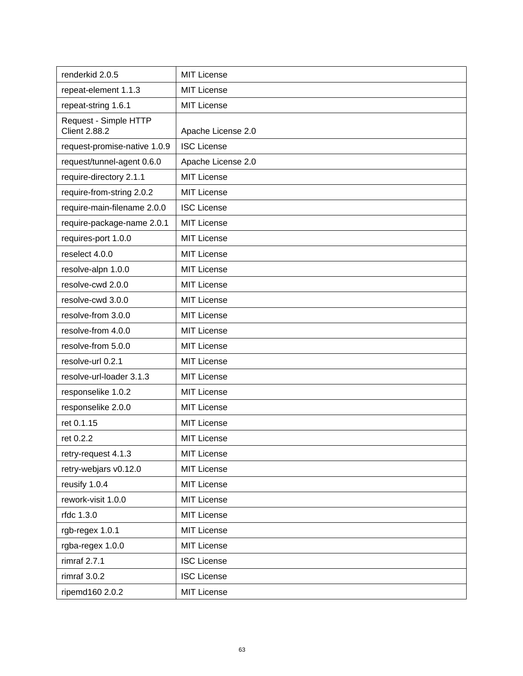| renderkid 2.0.5                               | <b>MIT License</b> |
|-----------------------------------------------|--------------------|
| repeat-element 1.1.3                          | <b>MIT License</b> |
| repeat-string 1.6.1                           | <b>MIT License</b> |
| Request - Simple HTTP<br><b>Client 2.88.2</b> | Apache License 2.0 |
| request-promise-native 1.0.9                  | <b>ISC License</b> |
| request/tunnel-agent 0.6.0                    | Apache License 2.0 |
| require-directory 2.1.1                       | <b>MIT License</b> |
| require-from-string 2.0.2                     | <b>MIT License</b> |
| require-main-filename 2.0.0                   | <b>ISC License</b> |
| require-package-name 2.0.1                    | <b>MIT License</b> |
| requires-port 1.0.0                           | <b>MIT License</b> |
| reselect 4.0.0                                | <b>MIT License</b> |
| resolve-alpn 1.0.0                            | <b>MIT License</b> |
| resolve-cwd 2.0.0                             | <b>MIT License</b> |
| resolve-cwd 3.0.0                             | <b>MIT License</b> |
| resolve-from 3.0.0                            | <b>MIT License</b> |
| resolve-from 4.0.0                            | <b>MIT License</b> |
| resolve-from 5.0.0                            | <b>MIT License</b> |
| resolve-url 0.2.1                             | <b>MIT License</b> |
| resolve-url-loader 3.1.3                      | <b>MIT License</b> |
| responselike 1.0.2                            | <b>MIT License</b> |
| responselike 2.0.0                            | <b>MIT License</b> |
| ret 0.1.15                                    | <b>MIT License</b> |
| ret 0.2.2                                     | <b>MIT License</b> |
| retry-request 4.1.3                           | <b>MIT License</b> |
| retry-webjars v0.12.0                         | <b>MIT License</b> |
| reusify 1.0.4                                 | <b>MIT License</b> |
| rework-visit 1.0.0                            | <b>MIT License</b> |
| rfdc 1.3.0                                    | <b>MIT License</b> |
| rgb-regex 1.0.1                               | <b>MIT License</b> |
| rgba-regex 1.0.0                              | <b>MIT License</b> |
| rimraf 2.7.1                                  | <b>ISC License</b> |
| rimraf $3.0.2$                                | <b>ISC License</b> |
| ripemd160 2.0.2                               | <b>MIT License</b> |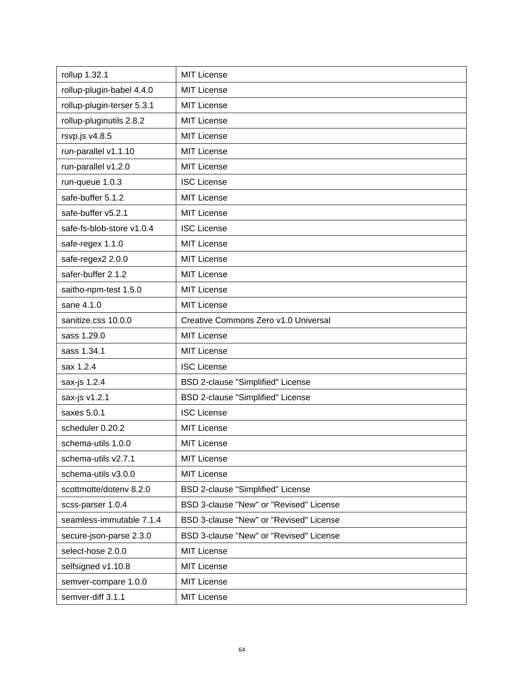| rollup 1.32.1              | <b>MIT License</b>                       |
|----------------------------|------------------------------------------|
| rollup-plugin-babel 4.4.0  | <b>MIT License</b>                       |
| rollup-plugin-terser 5.3.1 | <b>MIT License</b>                       |
| rollup-pluginutils 2.8.2   | <b>MIT License</b>                       |
| rsvp.js v4.8.5             | <b>MIT License</b>                       |
| run-parallel v1.1.10       | <b>MIT License</b>                       |
| run-parallel v1.2.0        | <b>MIT License</b>                       |
| run-queue 1.0.3            | <b>ISC License</b>                       |
| safe-buffer 5.1.2          | <b>MIT License</b>                       |
| safe-buffer v5.2.1         | <b>MIT License</b>                       |
| safe-fs-blob-store v1.0.4  | <b>ISC License</b>                       |
| safe-regex 1.1.0           | <b>MIT License</b>                       |
| safe-regex2 2.0.0          | <b>MIT License</b>                       |
| safer-buffer 2.1.2         | <b>MIT License</b>                       |
| saitho-npm-test 1.5.0      | <b>MIT License</b>                       |
| sane 4.1.0                 | <b>MIT License</b>                       |
| sanitize.css 10.0.0        | Creative Commons Zero v1.0 Universal     |
| sass 1.29.0                | <b>MIT License</b>                       |
| sass 1.34.1                | <b>MIT License</b>                       |
| sax 1.2.4                  | <b>ISC License</b>                       |
| sax-js 1.2.4               | <b>BSD 2-clause "Simplified" License</b> |
| sax-js v1.2.1              | BSD 2-clause "Simplified" License        |
| saxes 5.0.1                | <b>ISC License</b>                       |
| scheduler 0.20.2           | <b>MIT License</b>                       |
| schema-utils 1.0.0         | <b>MIT License</b>                       |
| schema-utils v2.7.1        | <b>MIT License</b>                       |
| schema-utils v3.0.0        | <b>MIT License</b>                       |
| scottmotte/dotenv 8.2.0    | BSD 2-clause "Simplified" License        |
| scss-parser 1.0.4          | BSD 3-clause "New" or "Revised" License  |
| seamless-immutable 7.1.4   | BSD 3-clause "New" or "Revised" License  |
| secure-json-parse 2.3.0    | BSD 3-clause "New" or "Revised" License  |
| select-hose 2.0.0          | <b>MIT License</b>                       |
| selfsigned v1.10.8         | <b>MIT License</b>                       |
| semver-compare 1.0.0       | <b>MIT License</b>                       |
| semver-diff 3.1.1          | <b>MIT License</b>                       |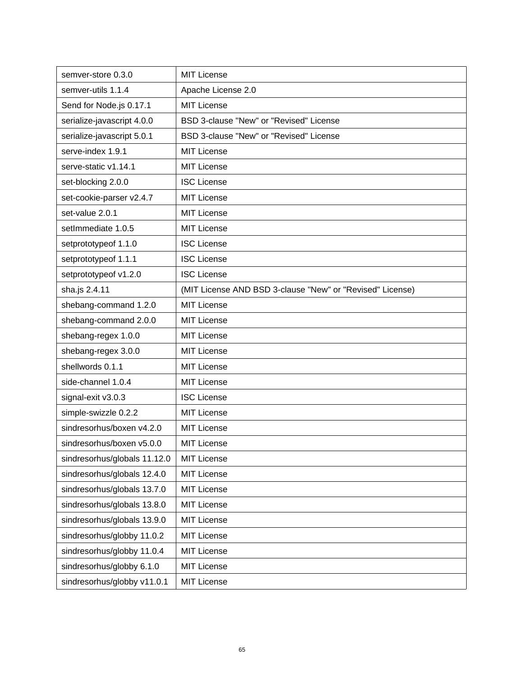| semver-store 0.3.0           | <b>MIT License</b>                                        |
|------------------------------|-----------------------------------------------------------|
| semver-utils 1.1.4           | Apache License 2.0                                        |
| Send for Node.js 0.17.1      | <b>MIT License</b>                                        |
| serialize-javascript 4.0.0   | BSD 3-clause "New" or "Revised" License                   |
| serialize-javascript 5.0.1   | BSD 3-clause "New" or "Revised" License                   |
| serve-index 1.9.1            | <b>MIT License</b>                                        |
| serve-static v1.14.1         | <b>MIT License</b>                                        |
| set-blocking 2.0.0           | <b>ISC License</b>                                        |
| set-cookie-parser v2.4.7     | <b>MIT License</b>                                        |
| set-value 2.0.1              | <b>MIT License</b>                                        |
| setImmediate 1.0.5           | <b>MIT License</b>                                        |
| setprototypeof 1.1.0         | <b>ISC License</b>                                        |
| setprototypeof 1.1.1         | <b>ISC License</b>                                        |
| setprototypeof v1.2.0        | <b>ISC License</b>                                        |
| sha.js 2.4.11                | (MIT License AND BSD 3-clause "New" or "Revised" License) |
| shebang-command 1.2.0        | <b>MIT License</b>                                        |
| shebang-command 2.0.0        | <b>MIT License</b>                                        |
| shebang-regex 1.0.0          | <b>MIT License</b>                                        |
| shebang-regex 3.0.0          | <b>MIT License</b>                                        |
| shellwords 0.1.1             | <b>MIT License</b>                                        |
| side-channel 1.0.4           | <b>MIT License</b>                                        |
| signal-exit v3.0.3           | <b>ISC License</b>                                        |
| simple-swizzle 0.2.2         | <b>MIT License</b>                                        |
| sindresorhus/boxen v4.2.0    | <b>MIT License</b>                                        |
| sindresorhus/boxen v5.0.0    | <b>MIT License</b>                                        |
| sindresorhus/globals 11.12.0 | <b>MIT License</b>                                        |
| sindresorhus/globals 12.4.0  | <b>MIT License</b>                                        |
| sindresorhus/globals 13.7.0  | <b>MIT License</b>                                        |
| sindresorhus/globals 13.8.0  | <b>MIT License</b>                                        |
| sindresorhus/globals 13.9.0  | <b>MIT License</b>                                        |
| sindresorhus/globby 11.0.2   | <b>MIT License</b>                                        |
| sindresorhus/globby 11.0.4   | <b>MIT License</b>                                        |
| sindresorhus/globby 6.1.0    | <b>MIT License</b>                                        |
| sindresorhus/globby v11.0.1  | <b>MIT License</b>                                        |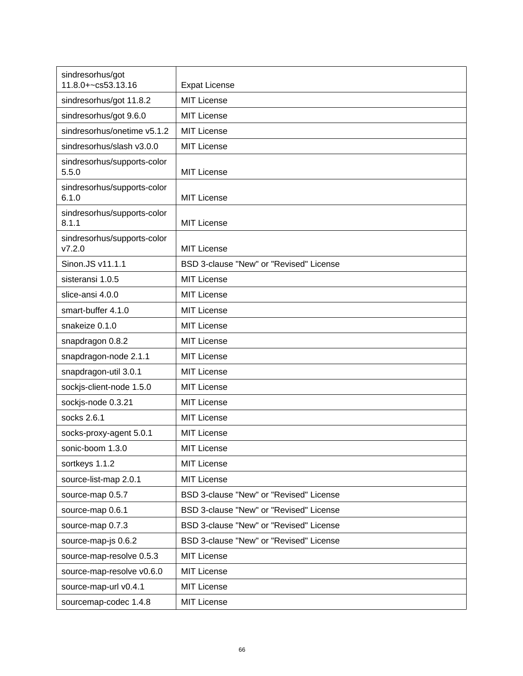| sindresorhus/got<br>11.8.0+~cs53.13.16 | <b>Expat License</b>                    |
|----------------------------------------|-----------------------------------------|
| sindresorhus/got 11.8.2                | <b>MIT License</b>                      |
| sindresorhus/got 9.6.0                 | <b>MIT License</b>                      |
| sindresorhus/onetime v5.1.2            | <b>MIT License</b>                      |
| sindresorhus/slash v3.0.0              | MIT License                             |
| sindresorhus/supports-color<br>5.5.0   | MIT License                             |
| sindresorhus/supports-color<br>6.1.0   | <b>MIT License</b>                      |
| sindresorhus/supports-color<br>8.1.1   | MIT License                             |
| sindresorhus/supports-color<br>V7.2.0  | <b>MIT License</b>                      |
| Sinon.JS v11.1.1                       | BSD 3-clause "New" or "Revised" License |
| sisteransi 1.0.5                       | <b>MIT License</b>                      |
| slice-ansi 4.0.0                       | <b>MIT License</b>                      |
| smart-buffer 4.1.0                     | <b>MIT License</b>                      |
| snakeize 0.1.0                         | <b>MIT License</b>                      |
| snapdragon 0.8.2                       | <b>MIT License</b>                      |
| snapdragon-node 2.1.1                  | <b>MIT License</b>                      |
| snapdragon-util 3.0.1                  | <b>MIT License</b>                      |
| sockjs-client-node 1.5.0               | <b>MIT License</b>                      |
| sockjs-node 0.3.21                     | MIT License                             |
| socks 2.6.1                            | <b>MIT License</b>                      |
| socks-proxy-agent 5.0.1                | <b>MIT License</b>                      |
| sonic-boom 1.3.0                       | <b>MIT License</b>                      |
| sortkeys 1.1.2                         | <b>MIT License</b>                      |
| source-list-map 2.0.1                  | <b>MIT License</b>                      |
| source-map 0.5.7                       | BSD 3-clause "New" or "Revised" License |
| source-map 0.6.1                       | BSD 3-clause "New" or "Revised" License |
| source-map 0.7.3                       | BSD 3-clause "New" or "Revised" License |
| source-map-js 0.6.2                    | BSD 3-clause "New" or "Revised" License |
| source-map-resolve 0.5.3               | <b>MIT License</b>                      |
| source-map-resolve v0.6.0              | <b>MIT License</b>                      |
| source-map-url v0.4.1                  | <b>MIT License</b>                      |
| sourcemap-codec 1.4.8                  | <b>MIT License</b>                      |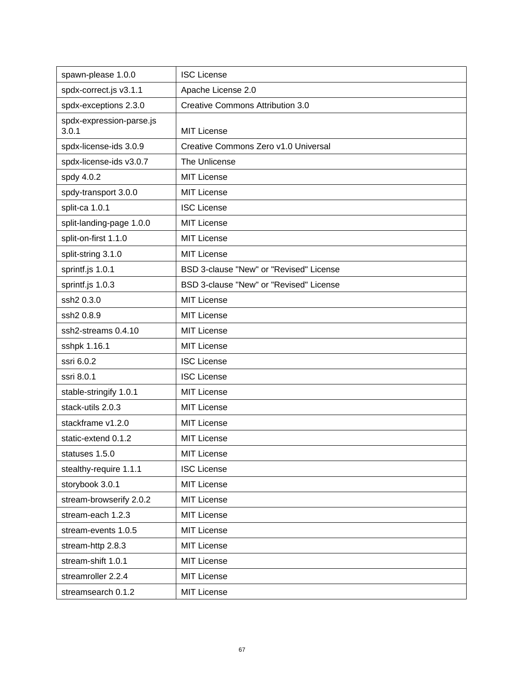| spawn-please 1.0.0                | <b>ISC License</b>                      |
|-----------------------------------|-----------------------------------------|
| spdx-correct.js v3.1.1            | Apache License 2.0                      |
| spdx-exceptions 2.3.0             | <b>Creative Commons Attribution 3.0</b> |
| spdx-expression-parse.js<br>3.0.1 | <b>MIT License</b>                      |
| spdx-license-ids 3.0.9            | Creative Commons Zero v1.0 Universal    |
| spdx-license-ids v3.0.7           | The Unlicense                           |
| spdy 4.0.2                        | <b>MIT License</b>                      |
| spdy-transport 3.0.0              | <b>MIT License</b>                      |
| split-ca 1.0.1                    | <b>ISC License</b>                      |
| split-landing-page 1.0.0          | <b>MIT License</b>                      |
| split-on-first 1.1.0              | <b>MIT License</b>                      |
| split-string 3.1.0                | <b>MIT License</b>                      |
| sprintf.js 1.0.1                  | BSD 3-clause "New" or "Revised" License |
| sprintf.js 1.0.3                  | BSD 3-clause "New" or "Revised" License |
| ssh2 0.3.0                        | <b>MIT License</b>                      |
| ssh2 0.8.9                        | <b>MIT License</b>                      |
| ssh2-streams 0.4.10               | <b>MIT License</b>                      |
| sshpk 1.16.1                      | <b>MIT License</b>                      |
| ssri 6.0.2                        | <b>ISC License</b>                      |
| ssri 8.0.1                        | <b>ISC License</b>                      |
| stable-stringify 1.0.1            | <b>MIT License</b>                      |
| stack-utils 2.0.3                 | <b>MIT License</b>                      |
| stackframe v1.2.0                 | <b>MIT License</b>                      |
| static-extend 0.1.2               | <b>MIT License</b>                      |
| statuses 1.5.0                    | <b>MIT License</b>                      |
| stealthy-require 1.1.1            | <b>ISC License</b>                      |
| storybook 3.0.1                   | MIT License                             |
| stream-browserify 2.0.2           | <b>MIT License</b>                      |
| stream-each 1.2.3                 | MIT License                             |
| stream-events 1.0.5               | <b>MIT License</b>                      |
| stream-http 2.8.3                 | MIT License                             |
| stream-shift 1.0.1                | <b>MIT License</b>                      |
| streamroller 2.2.4                | <b>MIT License</b>                      |
| streamsearch 0.1.2                | <b>MIT License</b>                      |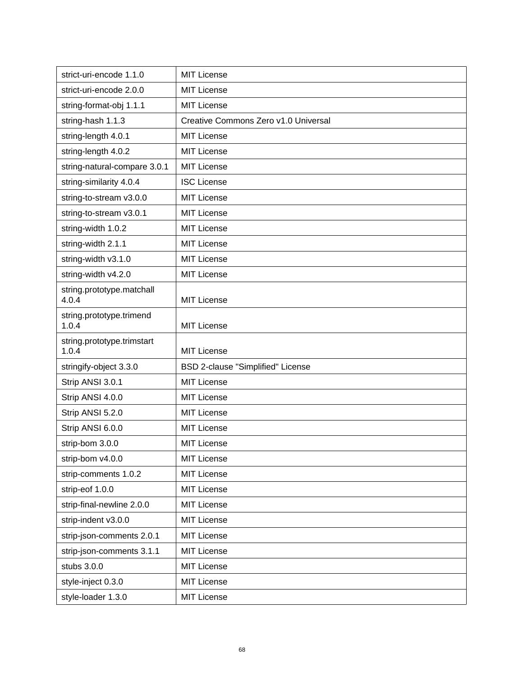| strict-uri-encode 1.1.0             | <b>MIT License</b>                   |
|-------------------------------------|--------------------------------------|
| strict-uri-encode 2.0.0             | <b>MIT License</b>                   |
| string-format-obj 1.1.1             | <b>MIT License</b>                   |
| string-hash 1.1.3                   | Creative Commons Zero v1.0 Universal |
| string-length 4.0.1                 | <b>MIT License</b>                   |
| string-length 4.0.2                 | <b>MIT License</b>                   |
| string-natural-compare 3.0.1        | <b>MIT License</b>                   |
| string-similarity 4.0.4             | <b>ISC License</b>                   |
| string-to-stream v3.0.0             | <b>MIT License</b>                   |
| string-to-stream v3.0.1             | <b>MIT License</b>                   |
| string-width 1.0.2                  | <b>MIT License</b>                   |
| string-width 2.1.1                  | <b>MIT License</b>                   |
| string-width v3.1.0                 | <b>MIT License</b>                   |
| string-width v4.2.0                 | <b>MIT License</b>                   |
| string.prototype.matchall<br>4.0.4  | <b>MIT License</b>                   |
| string.prototype.trimend<br>1.0.4   | <b>MIT License</b>                   |
| string.prototype.trimstart<br>1.0.4 | <b>MIT License</b>                   |
| stringify-object 3.3.0              | BSD 2-clause "Simplified" License    |
| Strip ANSI 3.0.1                    | <b>MIT License</b>                   |
| Strip ANSI 4.0.0                    | <b>MIT License</b>                   |
| Strip ANSI 5.2.0                    | <b>MIT License</b>                   |
| Strip ANSI 6.0.0                    | <b>MIT License</b>                   |
| strip-bom 3.0.0                     | <b>MIT License</b>                   |
| strip-bom v4.0.0                    | <b>MIT License</b>                   |
| strip-comments 1.0.2                | <b>MIT License</b>                   |
| strip-eof 1.0.0                     | <b>MIT License</b>                   |
| strip-final-newline 2.0.0           | MIT License                          |
| strip-indent v3.0.0                 | <b>MIT License</b>                   |
| strip-json-comments 2.0.1           | <b>MIT License</b>                   |
| strip-json-comments 3.1.1           | <b>MIT License</b>                   |
| stubs 3.0.0                         | <b>MIT License</b>                   |
| style-inject 0.3.0                  | <b>MIT License</b>                   |
| style-loader 1.3.0                  | <b>MIT License</b>                   |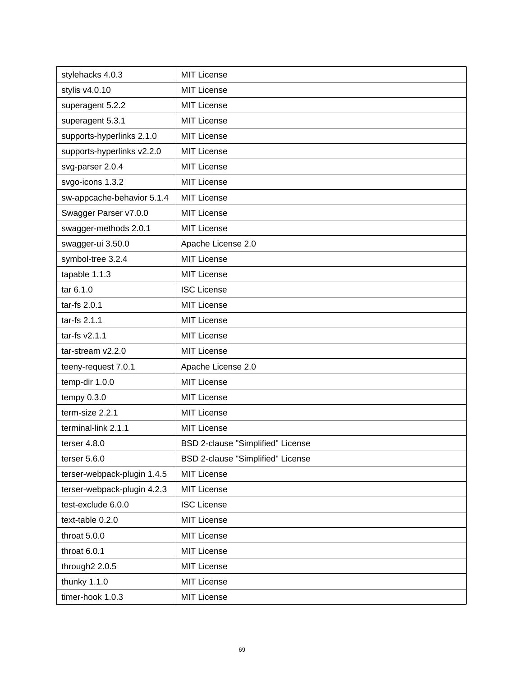| stylehacks 4.0.3            | <b>MIT License</b>                       |
|-----------------------------|------------------------------------------|
| stylis v4.0.10              | <b>MIT License</b>                       |
| superagent 5.2.2            | <b>MIT License</b>                       |
| superagent 5.3.1            | <b>MIT License</b>                       |
| supports-hyperlinks 2.1.0   | <b>MIT License</b>                       |
| supports-hyperlinks v2.2.0  | <b>MIT License</b>                       |
| svg-parser 2.0.4            | <b>MIT License</b>                       |
| svgo-icons 1.3.2            | <b>MIT License</b>                       |
| sw-appcache-behavior 5.1.4  | <b>MIT License</b>                       |
| Swagger Parser v7.0.0       | <b>MIT License</b>                       |
| swagger-methods 2.0.1       | <b>MIT License</b>                       |
| swagger-ui 3.50.0           | Apache License 2.0                       |
| symbol-tree 3.2.4           | <b>MIT License</b>                       |
| tapable 1.1.3               | <b>MIT License</b>                       |
| tar 6.1.0                   | <b>ISC License</b>                       |
| tar-fs 2.0.1                | <b>MIT License</b>                       |
| tar-fs 2.1.1                | <b>MIT License</b>                       |
| tar-fs v2.1.1               | <b>MIT License</b>                       |
| tar-stream v2.2.0           | <b>MIT License</b>                       |
| teeny-request 7.0.1         | Apache License 2.0                       |
| temp-dir 1.0.0              | <b>MIT License</b>                       |
| tempy $0.3.0$               | <b>MIT License</b>                       |
| term-size 2.2.1             | <b>MIT License</b>                       |
| terminal-link 2.1.1         | <b>MIT License</b>                       |
| terser 4.8.0                | <b>BSD 2-clause "Simplified" License</b> |
| terser $5.6.0$              | BSD 2-clause "Simplified" License        |
| terser-webpack-plugin 1.4.5 | MIT License                              |
| terser-webpack-plugin 4.2.3 | <b>MIT License</b>                       |
| test-exclude 6.0.0          | <b>ISC License</b>                       |
| text-table 0.2.0            | <b>MIT License</b>                       |
| throat 5.0.0                | <b>MIT License</b>                       |
| throat 6.0.1                | <b>MIT License</b>                       |
| through2 2.0.5              | <b>MIT License</b>                       |
| thunky 1.1.0                | <b>MIT License</b>                       |
| timer-hook 1.0.3            | <b>MIT License</b>                       |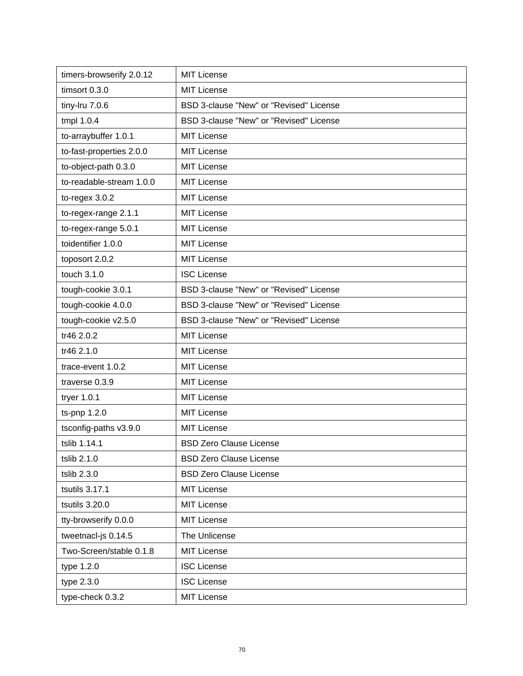| timers-browserify 2.0.12 | <b>MIT License</b>                      |
|--------------------------|-----------------------------------------|
| timsort 0.3.0            | <b>MIT License</b>                      |
| tiny-Iru 7.0.6           | BSD 3-clause "New" or "Revised" License |
| tmpl 1.0.4               | BSD 3-clause "New" or "Revised" License |
| to-arraybuffer 1.0.1     | <b>MIT License</b>                      |
| to-fast-properties 2.0.0 | <b>MIT License</b>                      |
| to-object-path 0.3.0     | <b>MIT License</b>                      |
| to-readable-stream 1.0.0 | <b>MIT License</b>                      |
| $to$ -regex $3.0.2$      | <b>MIT License</b>                      |
| to-regex-range 2.1.1     | <b>MIT License</b>                      |
| to-regex-range 5.0.1     | <b>MIT License</b>                      |
| toidentifier 1.0.0       | <b>MIT License</b>                      |
| toposort 2.0.2           | <b>MIT License</b>                      |
| touch 3.1.0              | <b>ISC License</b>                      |
| tough-cookie 3.0.1       | BSD 3-clause "New" or "Revised" License |
| tough-cookie 4.0.0       | BSD 3-clause "New" or "Revised" License |
| tough-cookie v2.5.0      | BSD 3-clause "New" or "Revised" License |
| tr46 2.0.2               | <b>MIT License</b>                      |
| tr46 2.1.0               | <b>MIT License</b>                      |
| trace-event 1.0.2        | <b>MIT License</b>                      |
| traverse 0.3.9           | <b>MIT License</b>                      |
| tryer 1.0.1              | <b>MIT License</b>                      |
| ts-pnp 1.2.0             | <b>MIT License</b>                      |
| tsconfig-paths v3.9.0    | <b>MIT License</b>                      |
| tslib 1.14.1             | <b>BSD Zero Clause License</b>          |
| tslib 2.1.0              | <b>BSD Zero Clause License</b>          |
| tslib 2.3.0              | <b>BSD Zero Clause License</b>          |
| tsutils 3.17.1           | <b>MIT License</b>                      |
| tsutils 3.20.0           | <b>MIT License</b>                      |
| tty-browserify 0.0.0     | <b>MIT License</b>                      |
| tweetnacl-js 0.14.5      | The Unlicense                           |
| Two-Screen/stable 0.1.8  | <b>MIT License</b>                      |
| type 1.2.0               | <b>ISC License</b>                      |
| type 2.3.0               | <b>ISC License</b>                      |
| type-check 0.3.2         | <b>MIT License</b>                      |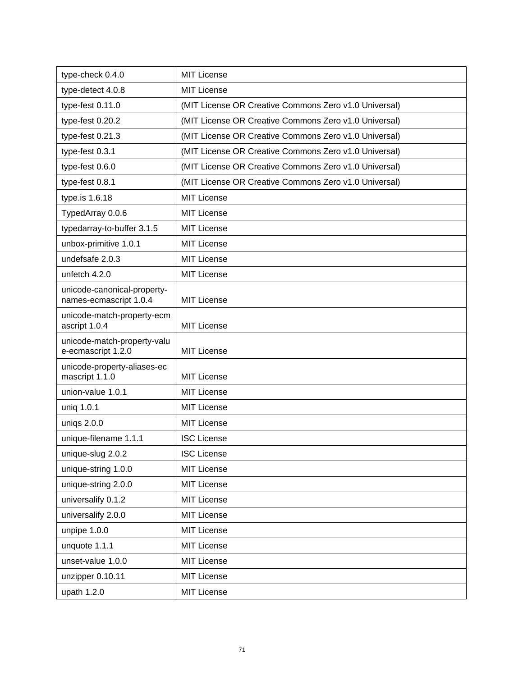| type-check 0.4.0                                      | <b>MIT License</b>                                    |
|-------------------------------------------------------|-------------------------------------------------------|
| type-detect 4.0.8                                     | <b>MIT License</b>                                    |
| type-fest 0.11.0                                      | (MIT License OR Creative Commons Zero v1.0 Universal) |
| type-fest 0.20.2                                      | (MIT License OR Creative Commons Zero v1.0 Universal) |
| type-fest 0.21.3                                      | (MIT License OR Creative Commons Zero v1.0 Universal) |
| type-fest 0.3.1                                       | (MIT License OR Creative Commons Zero v1.0 Universal) |
| type-fest 0.6.0                                       | (MIT License OR Creative Commons Zero v1.0 Universal) |
| type-fest 0.8.1                                       | (MIT License OR Creative Commons Zero v1.0 Universal) |
| type.is 1.6.18                                        | <b>MIT License</b>                                    |
| TypedArray 0.0.6                                      | <b>MIT License</b>                                    |
| typedarray-to-buffer 3.1.5                            | <b>MIT License</b>                                    |
| unbox-primitive 1.0.1                                 | <b>MIT License</b>                                    |
| undefsafe 2.0.3                                       | <b>MIT License</b>                                    |
| unfetch 4.2.0                                         | <b>MIT License</b>                                    |
| unicode-canonical-property-<br>names-ecmascript 1.0.4 | <b>MIT License</b>                                    |
| unicode-match-property-ecm<br>ascript 1.0.4           | <b>MIT License</b>                                    |
| unicode-match-property-valu<br>e-ecmascript 1.2.0     | <b>MIT License</b>                                    |
| unicode-property-aliases-ec<br>mascript 1.1.0         | <b>MIT License</b>                                    |
| union-value 1.0.1                                     | <b>MIT License</b>                                    |
| uniq 1.0.1                                            | <b>MIT License</b>                                    |
| uniqs 2.0.0                                           | <b>MIT License</b>                                    |
| unique-filename 1.1.1                                 | <b>ISC License</b>                                    |
| unique-slug 2.0.2                                     | <b>ISC License</b>                                    |
| unique-string 1.0.0                                   | <b>MIT License</b>                                    |
| unique-string 2.0.0                                   | <b>MIT License</b>                                    |
| universalify 0.1.2                                    | <b>MIT License</b>                                    |
| universalify 2.0.0                                    | <b>MIT License</b>                                    |
| unpipe 1.0.0                                          | <b>MIT License</b>                                    |
| unquote 1.1.1                                         | <b>MIT License</b>                                    |
| unset-value 1.0.0                                     | <b>MIT License</b>                                    |
| unzipper 0.10.11                                      | <b>MIT License</b>                                    |
| upath 1.2.0                                           | <b>MIT License</b>                                    |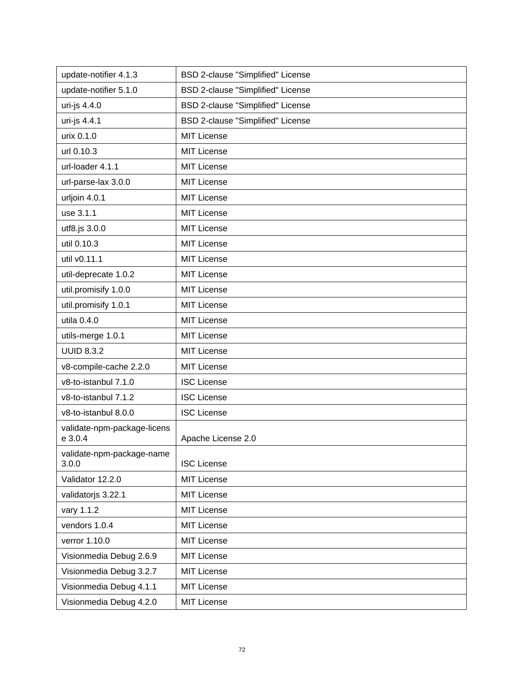| update-notifier 4.1.3                  | BSD 2-clause "Simplified" License |
|----------------------------------------|-----------------------------------|
| update-notifier 5.1.0                  | BSD 2-clause "Simplified" License |
| uri-js 4.4.0                           | BSD 2-clause "Simplified" License |
| uri-js 4.4.1                           | BSD 2-clause "Simplified" License |
| urix 0.1.0                             | <b>MIT License</b>                |
| url 0.10.3                             | <b>MIT License</b>                |
| url-loader 4.1.1                       | <b>MIT License</b>                |
| url-parse-lax 3.0.0                    | <b>MIT License</b>                |
| urljoin 4.0.1                          | <b>MIT License</b>                |
| use 3.1.1                              | <b>MIT License</b>                |
| utf8.js 3.0.0                          | <b>MIT License</b>                |
| util 0.10.3                            | <b>MIT License</b>                |
| util v0.11.1                           | <b>MIT License</b>                |
| util-deprecate 1.0.2                   | <b>MIT License</b>                |
| util.promisify 1.0.0                   | <b>MIT License</b>                |
| util.promisify 1.0.1                   | <b>MIT License</b>                |
| utila 0.4.0                            | <b>MIT License</b>                |
| utils-merge 1.0.1                      | <b>MIT License</b>                |
| <b>UUID 8.3.2</b>                      | <b>MIT License</b>                |
| v8-compile-cache 2.2.0                 | <b>MIT License</b>                |
| v8-to-istanbul 7.1.0                   | <b>ISC License</b>                |
| v8-to-istanbul 7.1.2                   | <b>ISC License</b>                |
| v8-to-istanbul 8.0.0                   | <b>ISC License</b>                |
| validate-npm-package-licens<br>e 3.0.4 | Apache License 2.0                |
| validate-npm-package-name<br>3.0.0     | <b>ISC License</b>                |
| Validator 12.2.0                       | <b>MIT License</b>                |
| validatorjs 3.22.1                     | <b>MIT License</b>                |
| vary 1.1.2                             | <b>MIT License</b>                |
| vendors 1.0.4                          | <b>MIT License</b>                |
| verror 1.10.0                          | <b>MIT License</b>                |
| Visionmedia Debug 2.6.9                | <b>MIT License</b>                |
| Visionmedia Debug 3.2.7                | <b>MIT License</b>                |
| Visionmedia Debug 4.1.1                | <b>MIT License</b>                |
| Visionmedia Debug 4.2.0                | <b>MIT License</b>                |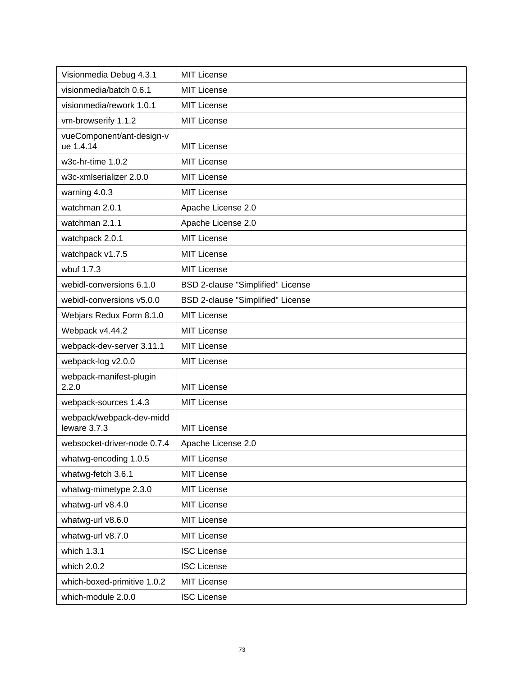| Visionmedia Debug 4.3.1                  | <b>MIT License</b>                |
|------------------------------------------|-----------------------------------|
| visionmedia/batch 0.6.1                  | <b>MIT License</b>                |
| visionmedia/rework 1.0.1                 | <b>MIT License</b>                |
| vm-browserify 1.1.2                      | <b>MIT License</b>                |
| vueComponent/ant-design-v<br>ue 1.4.14   | <b>MIT License</b>                |
| w3c-hr-time 1.0.2                        | <b>MIT License</b>                |
| w3c-xmlserializer 2.0.0                  | <b>MIT License</b>                |
| warning 4.0.3                            | <b>MIT License</b>                |
| watchman 2.0.1                           | Apache License 2.0                |
| watchman 2.1.1                           | Apache License 2.0                |
| watchpack 2.0.1                          | <b>MIT License</b>                |
| watchpack v1.7.5                         | <b>MIT License</b>                |
| wbuf 1.7.3                               | <b>MIT License</b>                |
| webidl-conversions 6.1.0                 | BSD 2-clause "Simplified" License |
| webidl-conversions v5.0.0                | BSD 2-clause "Simplified" License |
| Webjars Redux Form 8.1.0                 | <b>MIT License</b>                |
| Webpack v4.44.2                          | <b>MIT License</b>                |
| webpack-dev-server 3.11.1                | <b>MIT License</b>                |
| webpack-log v2.0.0                       | <b>MIT License</b>                |
| webpack-manifest-plugin<br>2.2.0         | <b>MIT License</b>                |
| webpack-sources 1.4.3                    | <b>MIT License</b>                |
| webpack/webpack-dev-midd<br>leware 3.7.3 | <b>MIT License</b>                |
| websocket-driver-node 0.7.4              | Apache License 2.0                |
| whatwg-encoding 1.0.5                    | <b>MIT License</b>                |
| whatwg-fetch 3.6.1                       | <b>MIT License</b>                |
| whatwg-mimetype 2.3.0                    | <b>MIT License</b>                |
| whatwg-url v8.4.0                        | <b>MIT License</b>                |
| whatwg-url v8.6.0                        | <b>MIT License</b>                |
| whatwg-url v8.7.0                        | <b>MIT License</b>                |
| which 1.3.1                              | <b>ISC License</b>                |
| which 2.0.2                              | <b>ISC License</b>                |
| which-boxed-primitive 1.0.2              | <b>MIT License</b>                |
| which-module 2.0.0                       | <b>ISC License</b>                |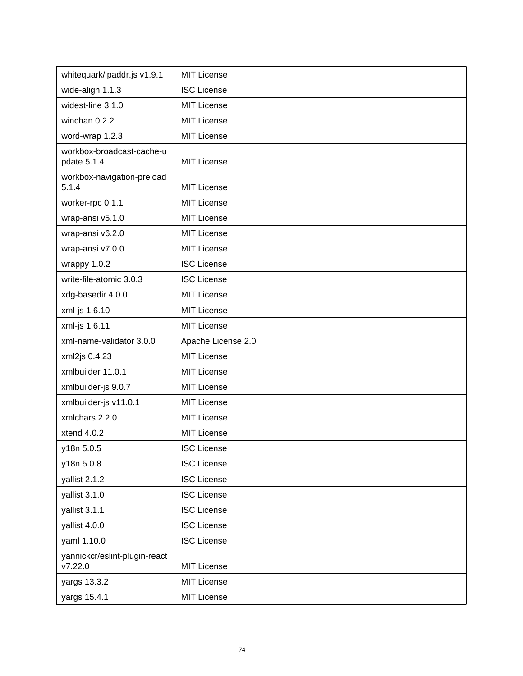| whitequark/ipaddr.js v1.9.1              | <b>MIT License</b> |
|------------------------------------------|--------------------|
| wide-align 1.1.3                         | <b>ISC License</b> |
| widest-line 3.1.0                        | <b>MIT License</b> |
| winchan 0.2.2                            | <b>MIT License</b> |
| word-wrap 1.2.3                          | <b>MIT License</b> |
| workbox-broadcast-cache-u<br>pdate 5.1.4 | <b>MIT License</b> |
| workbox-navigation-preload<br>5.1.4      | <b>MIT License</b> |
| worker-rpc 0.1.1                         | <b>MIT License</b> |
| wrap-ansi v5.1.0                         | <b>MIT License</b> |
| wrap-ansi v6.2.0                         | <b>MIT License</b> |
| wrap-ansi v7.0.0                         | MIT License        |
| wrappy 1.0.2                             | <b>ISC License</b> |
| write-file-atomic 3.0.3                  | <b>ISC License</b> |
| xdg-basedir 4.0.0                        | <b>MIT License</b> |
| xml-js 1.6.10                            | <b>MIT License</b> |
| xml-js 1.6.11                            | MIT License        |
| xml-name-validator 3.0.0                 | Apache License 2.0 |
| xml2js 0.4.23                            | <b>MIT License</b> |
| xmlbuilder 11.0.1                        | <b>MIT License</b> |
| xmlbuilder-js 9.0.7                      | MIT License        |
| xmlbuilder-js v11.0.1                    | MIT License        |
| xmlchars 2.2.0                           | <b>MIT License</b> |
| xtend 4.0.2                              | <b>MIT License</b> |
| y18n 5.0.5                               | <b>ISC License</b> |
| y18n 5.0.8                               | <b>ISC License</b> |
| yallist 2.1.2                            | <b>ISC License</b> |
| yallist 3.1.0                            | <b>ISC License</b> |
| yallist 3.1.1                            | <b>ISC License</b> |
| yallist 4.0.0                            | <b>ISC License</b> |
| yaml 1.10.0                              | <b>ISC License</b> |
| yannickcr/eslint-plugin-react<br>V7.22.0 | <b>MIT License</b> |
|                                          |                    |
| yargs 13.3.2                             | <b>MIT License</b> |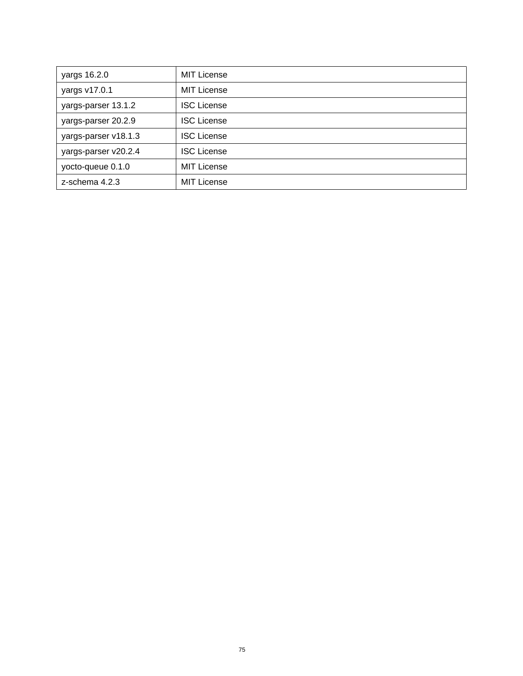| yargs 16.2.0         | <b>MIT License</b> |
|----------------------|--------------------|
| yargs v17.0.1        | <b>MIT License</b> |
| yargs-parser 13.1.2  | <b>ISC License</b> |
| yargs-parser 20.2.9  | <b>ISC License</b> |
| yargs-parser v18.1.3 | <b>ISC License</b> |
| yargs-parser v20.2.4 | <b>ISC License</b> |
| yocto-queue 0.1.0    | <b>MIT License</b> |
| z-schema 4.2.3       | <b>MIT License</b> |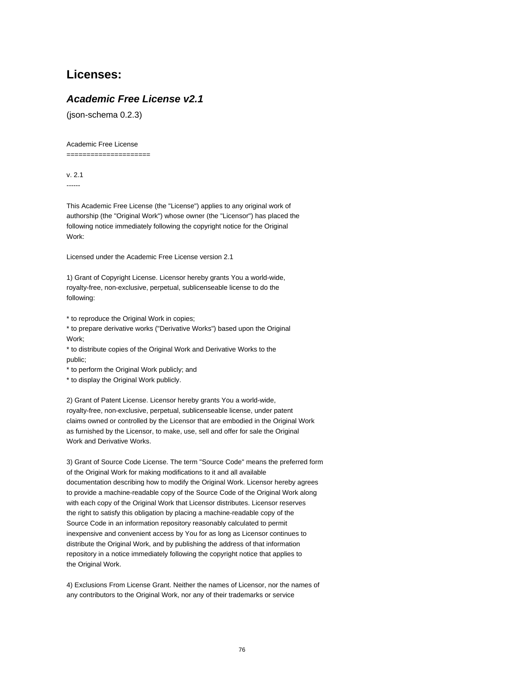# **Licenses:**

# **Academic Free License v2.1**

(json-schema 0.2.3)

Academic Free License

=====================

v. 2.1 ------

This Academic Free License (the "License") applies to any original work of authorship (the "Original Work") whose owner (the "Licensor") has placed the following notice immediately following the copyright notice for the Original Work:

Licensed under the Academic Free License version 2.1

1) Grant of Copyright License. Licensor hereby grants You a world-wide, royalty-free, non-exclusive, perpetual, sublicenseable license to do the following:

\* to reproduce the Original Work in copies;

\* to prepare derivative works ("Derivative Works") based upon the Original Work;

\* to distribute copies of the Original Work and Derivative Works to the public;

\* to perform the Original Work publicly; and

\* to display the Original Work publicly.

2) Grant of Patent License. Licensor hereby grants You a world-wide, royalty-free, non-exclusive, perpetual, sublicenseable license, under patent claims owned or controlled by the Licensor that are embodied in the Original Work as furnished by the Licensor, to make, use, sell and offer for sale the Original Work and Derivative Works.

3) Grant of Source Code License. The term "Source Code" means the preferred form of the Original Work for making modifications to it and all available documentation describing how to modify the Original Work. Licensor hereby agrees to provide a machine-readable copy of the Source Code of the Original Work along with each copy of the Original Work that Licensor distributes. Licensor reserves the right to satisfy this obligation by placing a machine-readable copy of the Source Code in an information repository reasonably calculated to permit inexpensive and convenient access by You for as long as Licensor continues to distribute the Original Work, and by publishing the address of that information repository in a notice immediately following the copyright notice that applies to the Original Work.

4) Exclusions From License Grant. Neither the names of Licensor, nor the names of any contributors to the Original Work, nor any of their trademarks or service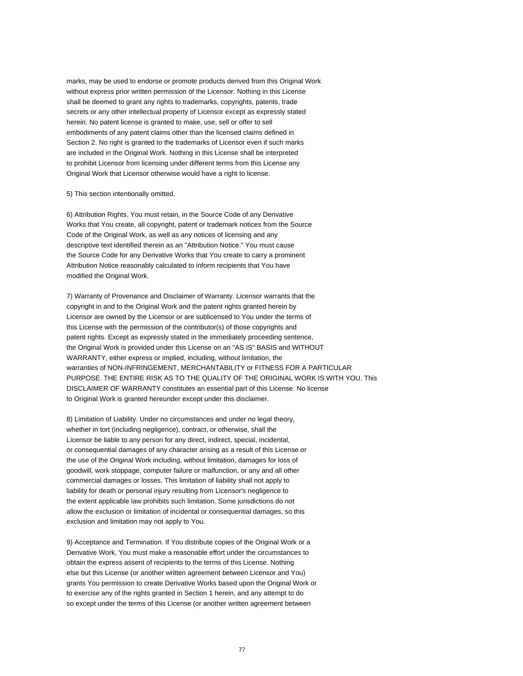marks, may be used to endorse or promote products derived from this Original Work without express prior written permission of the Licensor. Nothing in this License shall be deemed to grant any rights to trademarks, copyrights, patents, trade secrets or any other intellectual property of Licensor except as expressly stated herein. No patent license is granted to make, use, sell or offer to sell embodiments of any patent claims other than the licensed claims defined in Section 2. No right is granted to the trademarks of Licensor even if such marks are included in the Original Work. Nothing in this License shall be interpreted to prohibit Licensor from licensing under different terms from this License any Original Work that Licensor otherwise would have a right to license.

#### 5) This section intentionally omitted.

6) Attribution Rights. You must retain, in the Source Code of any Derivative Works that You create, all copyright, patent or trademark notices from the Source Code of the Original Work, as well as any notices of licensing and any descriptive text identified therein as an "Attribution Notice." You must cause the Source Code for any Derivative Works that You create to carry a prominent Attribution Notice reasonably calculated to inform recipients that You have modified the Original Work.

7) Warranty of Provenance and Disclaimer of Warranty. Licensor warrants that the copyright in and to the Original Work and the patent rights granted herein by Licensor are owned by the Licensor or are sublicensed to You under the terms of this License with the permission of the contributor(s) of those copyrights and patent rights. Except as expressly stated in the immediately proceeding sentence, the Original Work is provided under this License on an "AS IS" BASIS and WITHOUT WARRANTY, either express or implied, including, without limitation, the warranties of NON-INFRINGEMENT, MERCHANTABILITY or FITNESS FOR A PARTICULAR PURPOSE. THE ENTIRE RISK AS TO THE QUALITY OF THE ORIGINAL WORK IS WITH YOU. This DISCLAIMER OF WARRANTY constitutes an essential part of this License. No license to Original Work is granted hereunder except under this disclaimer.

8) Limitation of Liability. Under no circumstances and under no legal theory, whether in tort (including negligence), contract, or otherwise, shall the Licensor be liable to any person for any direct, indirect, special, incidental, or consequential damages of any character arising as a result of this License or the use of the Original Work including, without limitation, damages for loss of goodwill, work stoppage, computer failure or malfunction, or any and all other commercial damages or losses. This limitation of liability shall not apply to liability for death or personal injury resulting from Licensor's negligence to the extent applicable law prohibits such limitation. Some jurisdictions do not allow the exclusion or limitation of incidental or consequential damages, so this exclusion and limitation may not apply to You.

9) Acceptance and Termination. If You distribute copies of the Original Work or a Derivative Work, You must make a reasonable effort under the circumstances to obtain the express assent of recipients to the terms of this License. Nothing else but this License (or another written agreement between Licensor and You) grants You permission to create Derivative Works based upon the Original Work or to exercise any of the rights granted in Section 1 herein, and any attempt to do so except under the terms of this License (or another written agreement between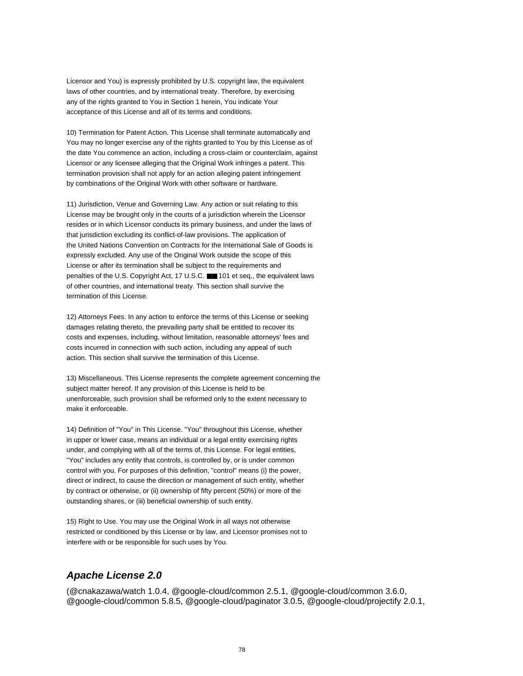Licensor and You) is expressly prohibited by U.S. copyright law, the equivalent laws of other countries, and by international treaty. Therefore, by exercising any of the rights granted to You in Section 1 herein, You indicate Your acceptance of this License and all of its terms and conditions.

10) Termination for Patent Action. This License shall terminate automatically and You may no longer exercise any of the rights granted to You by this License as of the date You commence an action, including a cross-claim or counterclaim, against Licensor or any licensee alleging that the Original Work infringes a patent. This termination provision shall not apply for an action alleging patent infringement by combinations of the Original Work with other software or hardware.

11) Jurisdiction, Venue and Governing Law. Any action or suit relating to this License may be brought only in the courts of a jurisdiction wherein the Licensor resides or in which Licensor conducts its primary business, and under the laws of that jurisdiction excluding its conflict-of-law provisions. The application of the United Nations Convention on Contracts for the International Sale of Goods is expressly excluded. Any use of the Original Work outside the scope of this License or after its termination shall be subject to the requirements and penalties of the U.S. Copyright Act, 17 U.S.C. ■■ 101 et seq., the equivalent laws of other countries, and international treaty. This section shall survive the termination of this License.

12) Attorneys Fees. In any action to enforce the terms of this License or seeking damages relating thereto, the prevailing party shall be entitled to recover its costs and expenses, including, without limitation, reasonable attorneys' fees and costs incurred in connection with such action, including any appeal of such action. This section shall survive the termination of this License.

13) Miscellaneous. This License represents the complete agreement concerning the subject matter hereof. If any provision of this License is held to be unenforceable, such provision shall be reformed only to the extent necessary to make it enforceable.

14) Definition of "You" in This License. "You" throughout this License, whether in upper or lower case, means an individual or a legal entity exercising rights under, and complying with all of the terms of, this License. For legal entities, "You" includes any entity that controls, is controlled by, or is under common control with you. For purposes of this definition, "control" means (i) the power, direct or indirect, to cause the direction or management of such entity, whether by contract or otherwise, or (ii) ownership of fifty percent (50%) or more of the outstanding shares, or (iii) beneficial ownership of such entity.

15) Right to Use. You may use the Original Work in all ways not otherwise restricted or conditioned by this License or by law, and Licensor promises not to interfere with or be responsible for such uses by You.

### **Apache License 2.0**

(@cnakazawa/watch 1.0.4, @google-cloud/common 2.5.1, @google-cloud/common 3.6.0, @google-cloud/common 5.8.5, @google-cloud/paginator 3.0.5, @google-cloud/projectify 2.0.1,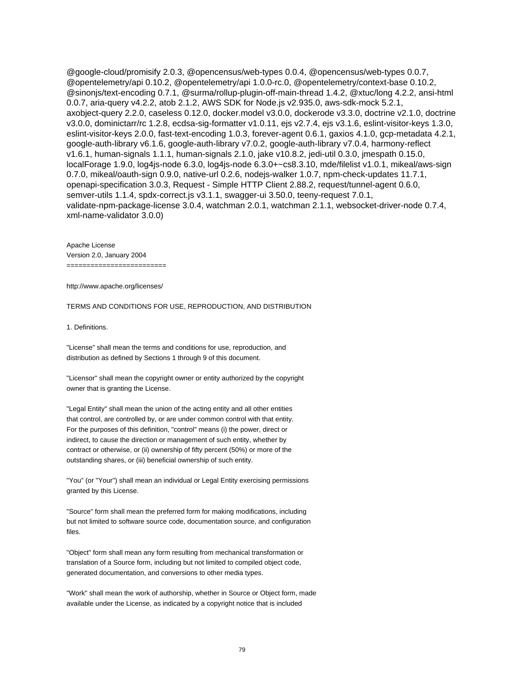@google-cloud/promisify 2.0.3, @opencensus/web-types 0.0.4, @opencensus/web-types 0.0.7, @opentelemetry/api 0.10.2, @opentelemetry/api 1.0.0-rc.0, @opentelemetry/context-base 0.10.2, @sinonjs/text-encoding 0.7.1, @surma/rollup-plugin-off-main-thread 1.4.2, @xtuc/long 4.2.2, ansi-html 0.0.7, aria-query v4.2.2, atob 2.1.2, AWS SDK for Node.js v2.935.0, aws-sdk-mock 5.2.1, axobject-query 2.2.0, caseless 0.12.0, docker.model v3.0.0, dockerode v3.3.0, doctrine v2.1.0, doctrine v3.0.0, dominictarr/rc 1.2.8, ecdsa-sig-formatter v1.0.11, ejs v2.7.4, ejs v3.1.6, eslint-visitor-keys 1.3.0, eslint-visitor-keys 2.0.0, fast-text-encoding 1.0.3, forever-agent 0.6.1, gaxios 4.1.0, gcp-metadata 4.2.1, google-auth-library v6.1.6, google-auth-library v7.0.2, google-auth-library v7.0.4, harmony-reflect v1.6.1, human-signals 1.1.1, human-signals 2.1.0, jake v10.8.2, jedi-util 0.3.0, jmespath 0.15.0, localForage 1.9.0, log4js-node 6.3.0, log4js-node 6.3.0+~cs8.3.10, mde/filelist v1.0.1, mikeal/aws-sign 0.7.0, mikeal/oauth-sign 0.9.0, native-url 0.2.6, nodejs-walker 1.0.7, npm-check-updates 11.7.1, openapi-specification 3.0.3, Request - Simple HTTP Client 2.88.2, request/tunnel-agent 0.6.0, semver-utils 1.1.4, spdx-correct.js v3.1.1, swagger-ui 3.50.0, teeny-request 7.0.1, validate-npm-package-license 3.0.4, watchman 2.0.1, watchman 2.1.1, websocket-driver-node 0.7.4, xml-name-validator 3.0.0)

Apache License Version 2.0, January 2004 =========================

http://www.apache.org/licenses/

TERMS AND CONDITIONS FOR USE, REPRODUCTION, AND DISTRIBUTION

1. Definitions.

"License" shall mean the terms and conditions for use, reproduction, and distribution as defined by Sections 1 through 9 of this document.

"Licensor" shall mean the copyright owner or entity authorized by the copyright owner that is granting the License.

"Legal Entity" shall mean the union of the acting entity and all other entities that control, are controlled by, or are under common control with that entity. For the purposes of this definition, "control" means (i) the power, direct or indirect, to cause the direction or management of such entity, whether by contract or otherwise, or (ii) ownership of fifty percent (50%) or more of the outstanding shares, or (iii) beneficial ownership of such entity.

"You" (or "Your") shall mean an individual or Legal Entity exercising permissions granted by this License.

"Source" form shall mean the preferred form for making modifications, including but not limited to software source code, documentation source, and configuration files.

"Object" form shall mean any form resulting from mechanical transformation or translation of a Source form, including but not limited to compiled object code, generated documentation, and conversions to other media types.

"Work" shall mean the work of authorship, whether in Source or Object form, made available under the License, as indicated by a copyright notice that is included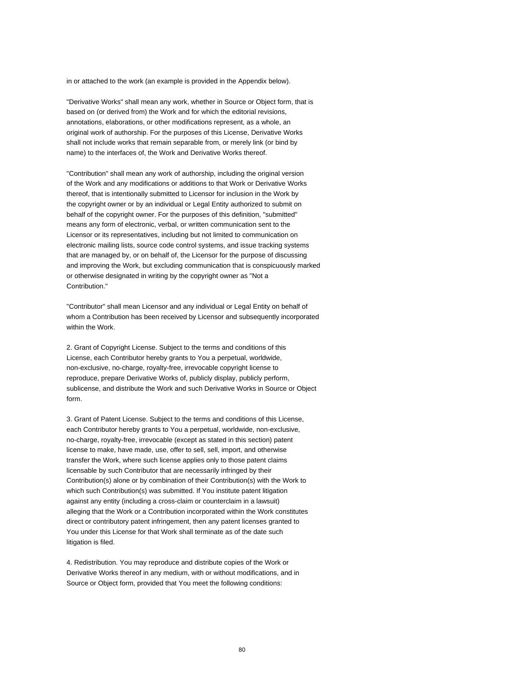in or attached to the work (an example is provided in the Appendix below).

"Derivative Works" shall mean any work, whether in Source or Object form, that is based on (or derived from) the Work and for which the editorial revisions, annotations, elaborations, or other modifications represent, as a whole, an original work of authorship. For the purposes of this License, Derivative Works shall not include works that remain separable from, or merely link (or bind by name) to the interfaces of, the Work and Derivative Works thereof.

"Contribution" shall mean any work of authorship, including the original version of the Work and any modifications or additions to that Work or Derivative Works thereof, that is intentionally submitted to Licensor for inclusion in the Work by the copyright owner or by an individual or Legal Entity authorized to submit on behalf of the copyright owner. For the purposes of this definition, "submitted" means any form of electronic, verbal, or written communication sent to the Licensor or its representatives, including but not limited to communication on electronic mailing lists, source code control systems, and issue tracking systems that are managed by, or on behalf of, the Licensor for the purpose of discussing and improving the Work, but excluding communication that is conspicuously marked or otherwise designated in writing by the copyright owner as "Not a Contribution."

"Contributor" shall mean Licensor and any individual or Legal Entity on behalf of whom a Contribution has been received by Licensor and subsequently incorporated within the Work.

2. Grant of Copyright License. Subject to the terms and conditions of this License, each Contributor hereby grants to You a perpetual, worldwide, non-exclusive, no-charge, royalty-free, irrevocable copyright license to reproduce, prepare Derivative Works of, publicly display, publicly perform, sublicense, and distribute the Work and such Derivative Works in Source or Object form.

3. Grant of Patent License. Subject to the terms and conditions of this License, each Contributor hereby grants to You a perpetual, worldwide, non-exclusive, no-charge, royalty-free, irrevocable (except as stated in this section) patent license to make, have made, use, offer to sell, sell, import, and otherwise transfer the Work, where such license applies only to those patent claims licensable by such Contributor that are necessarily infringed by their Contribution(s) alone or by combination of their Contribution(s) with the Work to which such Contribution(s) was submitted. If You institute patent litigation against any entity (including a cross-claim or counterclaim in a lawsuit) alleging that the Work or a Contribution incorporated within the Work constitutes direct or contributory patent infringement, then any patent licenses granted to You under this License for that Work shall terminate as of the date such litigation is filed.

4. Redistribution. You may reproduce and distribute copies of the Work or Derivative Works thereof in any medium, with or without modifications, and in Source or Object form, provided that You meet the following conditions: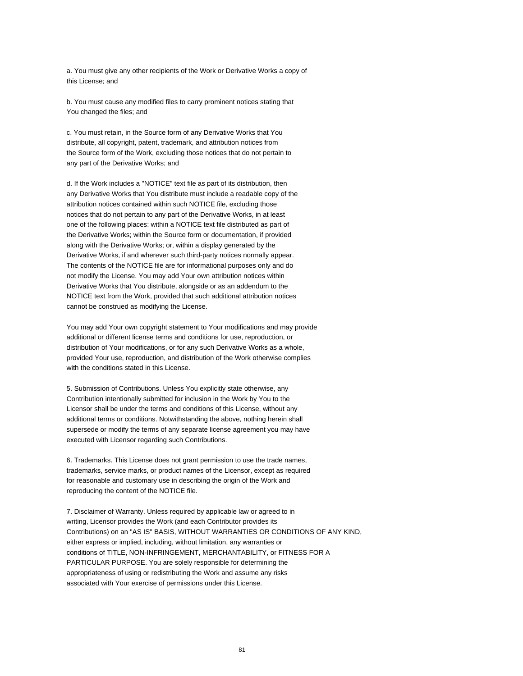a. You must give any other recipients of the Work or Derivative Works a copy of this License; and

b. You must cause any modified files to carry prominent notices stating that You changed the files; and

c. You must retain, in the Source form of any Derivative Works that You distribute, all copyright, patent, trademark, and attribution notices from the Source form of the Work, excluding those notices that do not pertain to any part of the Derivative Works; and

d. If the Work includes a "NOTICE" text file as part of its distribution, then any Derivative Works that You distribute must include a readable copy of the attribution notices contained within such NOTICE file, excluding those notices that do not pertain to any part of the Derivative Works, in at least one of the following places: within a NOTICE text file distributed as part of the Derivative Works; within the Source form or documentation, if provided along with the Derivative Works; or, within a display generated by the Derivative Works, if and wherever such third-party notices normally appear. The contents of the NOTICE file are for informational purposes only and do not modify the License. You may add Your own attribution notices within Derivative Works that You distribute, alongside or as an addendum to the NOTICE text from the Work, provided that such additional attribution notices cannot be construed as modifying the License.

You may add Your own copyright statement to Your modifications and may provide additional or different license terms and conditions for use, reproduction, or distribution of Your modifications, or for any such Derivative Works as a whole, provided Your use, reproduction, and distribution of the Work otherwise complies with the conditions stated in this License.

5. Submission of Contributions. Unless You explicitly state otherwise, any Contribution intentionally submitted for inclusion in the Work by You to the Licensor shall be under the terms and conditions of this License, without any additional terms or conditions. Notwithstanding the above, nothing herein shall supersede or modify the terms of any separate license agreement you may have executed with Licensor regarding such Contributions.

6. Trademarks. This License does not grant permission to use the trade names, trademarks, service marks, or product names of the Licensor, except as required for reasonable and customary use in describing the origin of the Work and reproducing the content of the NOTICE file.

7. Disclaimer of Warranty. Unless required by applicable law or agreed to in writing, Licensor provides the Work (and each Contributor provides its Contributions) on an "AS IS" BASIS, WITHOUT WARRANTIES OR CONDITIONS OF ANY KIND, either express or implied, including, without limitation, any warranties or conditions of TITLE, NON-INFRINGEMENT, MERCHANTABILITY, or FITNESS FOR A PARTICULAR PURPOSE. You are solely responsible for determining the appropriateness of using or redistributing the Work and assume any risks associated with Your exercise of permissions under this License.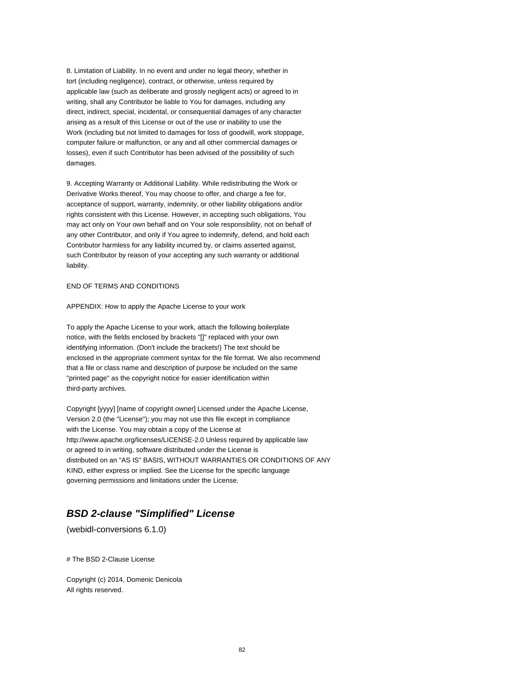8. Limitation of Liability. In no event and under no legal theory, whether in tort (including negligence), contract, or otherwise, unless required by applicable law (such as deliberate and grossly negligent acts) or agreed to in writing, shall any Contributor be liable to You for damages, including any direct, indirect, special, incidental, or consequential damages of any character arising as a result of this License or out of the use or inability to use the Work (including but not limited to damages for loss of goodwill, work stoppage, computer failure or malfunction, or any and all other commercial damages or losses), even if such Contributor has been advised of the possibility of such damages.

9. Accepting Warranty or Additional Liability. While redistributing the Work or Derivative Works thereof, You may choose to offer, and charge a fee for, acceptance of support, warranty, indemnity, or other liability obligations and/or rights consistent with this License. However, in accepting such obligations, You may act only on Your own behalf and on Your sole responsibility, not on behalf of any other Contributor, and only if You agree to indemnify, defend, and hold each Contributor harmless for any liability incurred by, or claims asserted against, such Contributor by reason of your accepting any such warranty or additional liability.

#### END OF TERMS AND CONDITIONS

APPENDIX: How to apply the Apache License to your work

To apply the Apache License to your work, attach the following boilerplate notice, with the fields enclosed by brackets "[]" replaced with your own identifying information. (Don't include the brackets!) The text should be enclosed in the appropriate comment syntax for the file format. We also recommend that a file or class name and description of purpose be included on the same "printed page" as the copyright notice for easier identification within third-party archives.

Copyright [yyyy] [name of copyright owner] Licensed under the Apache License, Version 2.0 (the "License"); you may not use this file except in compliance with the License. You may obtain a copy of the License at http://www.apache.org/licenses/LICENSE-2.0 Unless required by applicable law or agreed to in writing, software distributed under the License is distributed on an "AS IS" BASIS, WITHOUT WARRANTIES OR CONDITIONS OF ANY KIND, either express or implied. See the License for the specific language governing permissions and limitations under the License.

# **BSD 2-clause "Simplified" License**

(webidl-conversions 6.1.0)

# The BSD 2-Clause License

Copyright (c) 2014, Domenic Denicola All rights reserved.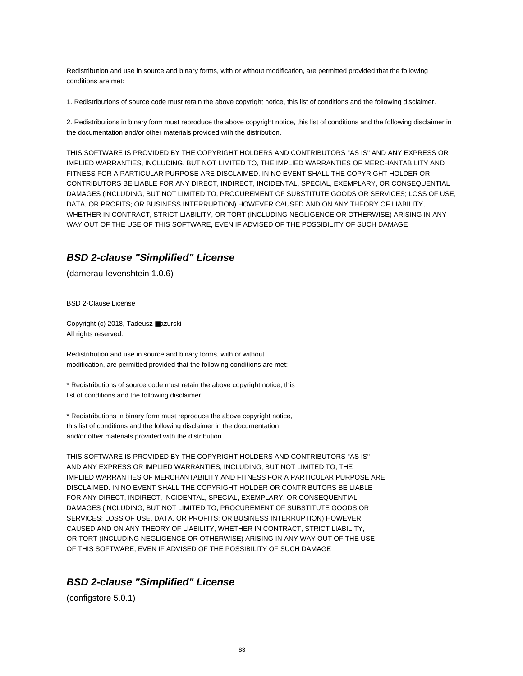Redistribution and use in source and binary forms, with or without modification, are permitted provided that the following conditions are met:

1. Redistributions of source code must retain the above copyright notice, this list of conditions and the following disclaimer.

2. Redistributions in binary form must reproduce the above copyright notice, this list of conditions and the following disclaimer in the documentation and/or other materials provided with the distribution.

THIS SOFTWARE IS PROVIDED BY THE COPYRIGHT HOLDERS AND CONTRIBUTORS "AS IS" AND ANY EXPRESS OR IMPLIED WARRANTIES, INCLUDING, BUT NOT LIMITED TO, THE IMPLIED WARRANTIES OF MERCHANTABILITY AND FITNESS FOR A PARTICULAR PURPOSE ARE DISCLAIMED. IN NO EVENT SHALL THE COPYRIGHT HOLDER OR CONTRIBUTORS BE LIABLE FOR ANY DIRECT, INDIRECT, INCIDENTAL, SPECIAL, EXEMPLARY, OR CONSEQUENTIAL DAMAGES (INCLUDING, BUT NOT LIMITED TO, PROCUREMENT OF SUBSTITUTE GOODS OR SERVICES; LOSS OF USE, DATA, OR PROFITS; OR BUSINESS INTERRUPTION) HOWEVER CAUSED AND ON ANY THEORY OF LIABILITY, WHETHER IN CONTRACT, STRICT LIABILITY, OR TORT (INCLUDING NEGLIGENCE OR OTHERWISE) ARISING IN ANY WAY OUT OF THE USE OF THIS SOFTWARE, EVEN IF ADVISED OF THE POSSIBILITY OF SUCH DAMAGE

### **BSD 2-clause "Simplified" License**

(damerau-levenshtein 1.0.6)

BSD 2-Clause License

Copyright (c) 2018, Tadeusz ■azurski All rights reserved.

Redistribution and use in source and binary forms, with or without modification, are permitted provided that the following conditions are met:

\* Redistributions of source code must retain the above copyright notice, this list of conditions and the following disclaimer.

\* Redistributions in binary form must reproduce the above copyright notice, this list of conditions and the following disclaimer in the documentation and/or other materials provided with the distribution.

THIS SOFTWARE IS PROVIDED BY THE COPYRIGHT HOLDERS AND CONTRIBUTORS "AS IS" AND ANY EXPRESS OR IMPLIED WARRANTIES, INCLUDING, BUT NOT LIMITED TO, THE IMPLIED WARRANTIES OF MERCHANTABILITY AND FITNESS FOR A PARTICULAR PURPOSE ARE DISCLAIMED. IN NO EVENT SHALL THE COPYRIGHT HOLDER OR CONTRIBUTORS BE LIABLE FOR ANY DIRECT, INDIRECT, INCIDENTAL, SPECIAL, EXEMPLARY, OR CONSEQUENTIAL DAMAGES (INCLUDING, BUT NOT LIMITED TO, PROCUREMENT OF SUBSTITUTE GOODS OR SERVICES; LOSS OF USE, DATA, OR PROFITS; OR BUSINESS INTERRUPTION) HOWEVER CAUSED AND ON ANY THEORY OF LIABILITY, WHETHER IN CONTRACT, STRICT LIABILITY, OR TORT (INCLUDING NEGLIGENCE OR OTHERWISE) ARISING IN ANY WAY OUT OF THE USE OF THIS SOFTWARE, EVEN IF ADVISED OF THE POSSIBILITY OF SUCH DAMAGE

### **BSD 2-clause "Simplified" License**

(configstore 5.0.1)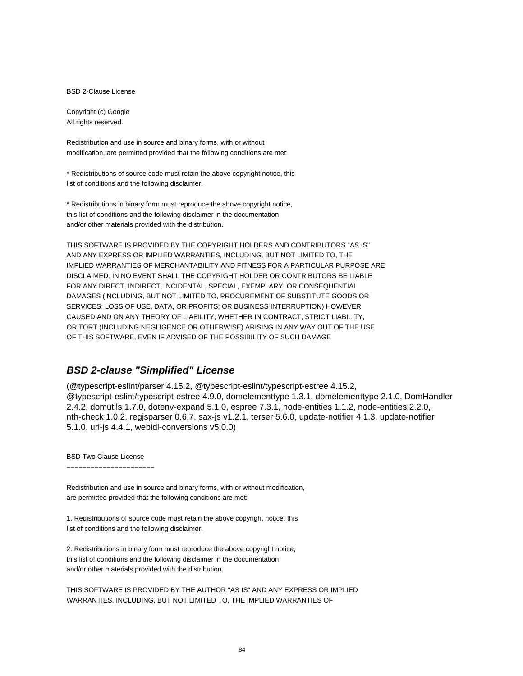BSD 2-Clause License

Copyright (c) Google All rights reserved.

Redistribution and use in source and binary forms, with or without modification, are permitted provided that the following conditions are met:

\* Redistributions of source code must retain the above copyright notice, this list of conditions and the following disclaimer.

\* Redistributions in binary form must reproduce the above copyright notice, this list of conditions and the following disclaimer in the documentation and/or other materials provided with the distribution.

THIS SOFTWARE IS PROVIDED BY THE COPYRIGHT HOLDERS AND CONTRIBUTORS "AS IS" AND ANY EXPRESS OR IMPLIED WARRANTIES, INCLUDING, BUT NOT LIMITED TO, THE IMPLIED WARRANTIES OF MERCHANTABILITY AND FITNESS FOR A PARTICULAR PURPOSE ARE DISCLAIMED. IN NO EVENT SHALL THE COPYRIGHT HOLDER OR CONTRIBUTORS BE LIABLE FOR ANY DIRECT, INDIRECT, INCIDENTAL, SPECIAL, EXEMPLARY, OR CONSEQUENTIAL DAMAGES (INCLUDING, BUT NOT LIMITED TO, PROCUREMENT OF SUBSTITUTE GOODS OR SERVICES; LOSS OF USE, DATA, OR PROFITS; OR BUSINESS INTERRUPTION) HOWEVER CAUSED AND ON ANY THEORY OF LIABILITY, WHETHER IN CONTRACT, STRICT LIABILITY, OR TORT (INCLUDING NEGLIGENCE OR OTHERWISE) ARISING IN ANY WAY OUT OF THE USE OF THIS SOFTWARE, EVEN IF ADVISED OF THE POSSIBILITY OF SUCH DAMAGE

#### **BSD 2-clause "Simplified" License**

(@typescript-eslint/parser 4.15.2, @typescript-eslint/typescript-estree 4.15.2, @typescript-eslint/typescript-estree 4.9.0, domelementtype 1.3.1, domelementtype 2.1.0, DomHandler 2.4.2, domutils 1.7.0, dotenv-expand 5.1.0, espree 7.3.1, node-entities 1.1.2, node-entities 2.2.0, nth-check 1.0.2, regjsparser 0.6.7, sax-js v1.2.1, terser 5.6.0, update-notifier 4.1.3, update-notifier 5.1.0, uri-js 4.4.1, webidl-conversions v5.0.0)

BSD Two Clause License

======================

Redistribution and use in source and binary forms, with or without modification, are permitted provided that the following conditions are met:

1. Redistributions of source code must retain the above copyright notice, this list of conditions and the following disclaimer.

2. Redistributions in binary form must reproduce the above copyright notice, this list of conditions and the following disclaimer in the documentation and/or other materials provided with the distribution.

THIS SOFTWARE IS PROVIDED BY THE AUTHOR "AS IS" AND ANY EXPRESS OR IMPLIED WARRANTIES, INCLUDING, BUT NOT LIMITED TO, THE IMPLIED WARRANTIES OF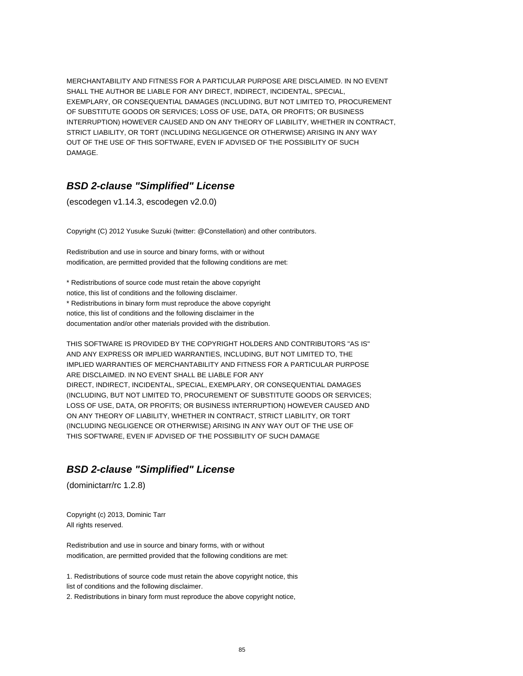MERCHANTABILITY AND FITNESS FOR A PARTICULAR PURPOSE ARE DISCLAIMED. IN NO EVENT SHALL THE AUTHOR BE LIABLE FOR ANY DIRECT, INDIRECT, INCIDENTAL, SPECIAL, EXEMPLARY, OR CONSEQUENTIAL DAMAGES (INCLUDING, BUT NOT LIMITED TO, PROCUREMENT OF SUBSTITUTE GOODS OR SERVICES; LOSS OF USE, DATA, OR PROFITS; OR BUSINESS INTERRUPTION) HOWEVER CAUSED AND ON ANY THEORY OF LIABILITY, WHETHER IN CONTRACT, STRICT LIABILITY, OR TORT (INCLUDING NEGLIGENCE OR OTHERWISE) ARISING IN ANY WAY OUT OF THE USE OF THIS SOFTWARE, EVEN IF ADVISED OF THE POSSIBILITY OF SUCH DAMAGE.

#### **BSD 2-clause "Simplified" License**

(escodegen v1.14.3, escodegen v2.0.0)

Copyright (C) 2012 Yusuke Suzuki (twitter: @Constellation) and other contributors.

Redistribution and use in source and binary forms, with or without modification, are permitted provided that the following conditions are met:

\* Redistributions of source code must retain the above copyright notice, this list of conditions and the following disclaimer. \* Redistributions in binary form must reproduce the above copyright notice, this list of conditions and the following disclaimer in the documentation and/or other materials provided with the distribution.

THIS SOFTWARE IS PROVIDED BY THE COPYRIGHT HOLDERS AND CONTRIBUTORS "AS IS" AND ANY EXPRESS OR IMPLIED WARRANTIES, INCLUDING, BUT NOT LIMITED TO, THE IMPLIED WARRANTIES OF MERCHANTABILITY AND FITNESS FOR A PARTICULAR PURPOSE ARE DISCLAIMED. IN NO EVENT SHALL BE LIABLE FOR ANY DIRECT, INDIRECT, INCIDENTAL, SPECIAL, EXEMPLARY, OR CONSEQUENTIAL DAMAGES (INCLUDING, BUT NOT LIMITED TO, PROCUREMENT OF SUBSTITUTE GOODS OR SERVICES; LOSS OF USE, DATA, OR PROFITS; OR BUSINESS INTERRUPTION) HOWEVER CAUSED AND ON ANY THEORY OF LIABILITY, WHETHER IN CONTRACT, STRICT LIABILITY, OR TORT (INCLUDING NEGLIGENCE OR OTHERWISE) ARISING IN ANY WAY OUT OF THE USE OF THIS SOFTWARE, EVEN IF ADVISED OF THE POSSIBILITY OF SUCH DAMAGE

### **BSD 2-clause "Simplified" License**

(dominictarr/rc 1.2.8)

Copyright (c) 2013, Dominic Tarr All rights reserved.

Redistribution and use in source and binary forms, with or without modification, are permitted provided that the following conditions are met:

1. Redistributions of source code must retain the above copyright notice, this list of conditions and the following disclaimer.

2. Redistributions in binary form must reproduce the above copyright notice,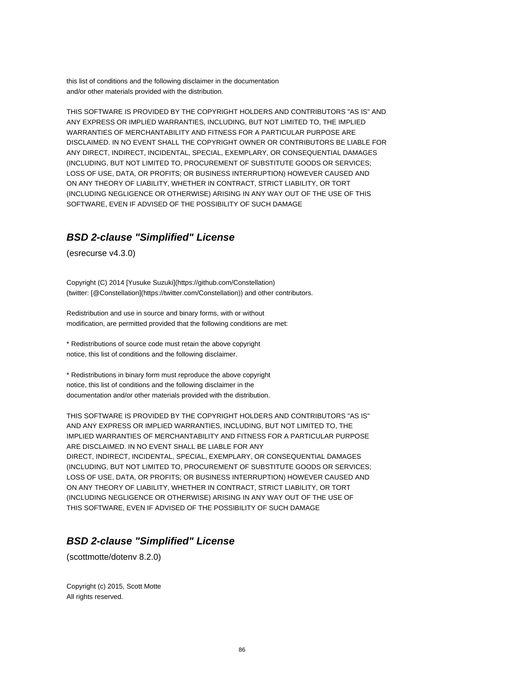this list of conditions and the following disclaimer in the documentation and/or other materials provided with the distribution.

THIS SOFTWARE IS PROVIDED BY THE COPYRIGHT HOLDERS AND CONTRIBUTORS "AS IS" AND ANY EXPRESS OR IMPLIED WARRANTIES, INCLUDING, BUT NOT LIMITED TO, THE IMPLIED WARRANTIES OF MERCHANTABILITY AND FITNESS FOR A PARTICULAR PURPOSE ARE DISCLAIMED. IN NO EVENT SHALL THE COPYRIGHT OWNER OR CONTRIBUTORS BE LIABLE FOR ANY DIRECT, INDIRECT, INCIDENTAL, SPECIAL, EXEMPLARY, OR CONSEQUENTIAL DAMAGES (INCLUDING, BUT NOT LIMITED TO, PROCUREMENT OF SUBSTITUTE GOODS OR SERVICES; LOSS OF USE, DATA, OR PROFITS; OR BUSINESS INTERRUPTION) HOWEVER CAUSED AND ON ANY THEORY OF LIABILITY, WHETHER IN CONTRACT, STRICT LIABILITY, OR TORT (INCLUDING NEGLIGENCE OR OTHERWISE) ARISING IN ANY WAY OUT OF THE USE OF THIS SOFTWARE, EVEN IF ADVISED OF THE POSSIBILITY OF SUCH DAMAGE

### **BSD 2-clause "Simplified" License**

(esrecurse v4.3.0)

Copyright (C) 2014 [Yusuke Suzuki](https://github.com/Constellation) (twitter: [@Constellation](https://twitter.com/Constellation)) and other contributors.

Redistribution and use in source and binary forms, with or without modification, are permitted provided that the following conditions are met:

\* Redistributions of source code must retain the above copyright notice, this list of conditions and the following disclaimer.

\* Redistributions in binary form must reproduce the above copyright notice, this list of conditions and the following disclaimer in the documentation and/or other materials provided with the distribution.

THIS SOFTWARE IS PROVIDED BY THE COPYRIGHT HOLDERS AND CONTRIBUTORS "AS IS" AND ANY EXPRESS OR IMPLIED WARRANTIES, INCLUDING, BUT NOT LIMITED TO, THE IMPLIED WARRANTIES OF MERCHANTABILITY AND FITNESS FOR A PARTICULAR PURPOSE ARE DISCLAIMED. IN NO EVENT SHALL BE LIABLE FOR ANY DIRECT, INDIRECT, INCIDENTAL, SPECIAL, EXEMPLARY, OR CONSEQUENTIAL DAMAGES (INCLUDING, BUT NOT LIMITED TO, PROCUREMENT OF SUBSTITUTE GOODS OR SERVICES; LOSS OF USE, DATA, OR PROFITS; OR BUSINESS INTERRUPTION) HOWEVER CAUSED AND ON ANY THEORY OF LIABILITY, WHETHER IN CONTRACT, STRICT LIABILITY, OR TORT (INCLUDING NEGLIGENCE OR OTHERWISE) ARISING IN ANY WAY OUT OF THE USE OF THIS SOFTWARE, EVEN IF ADVISED OF THE POSSIBILITY OF SUCH DAMAGE

### **BSD 2-clause "Simplified" License**

(scottmotte/dotenv 8.2.0)

Copyright (c) 2015, Scott Motte All rights reserved.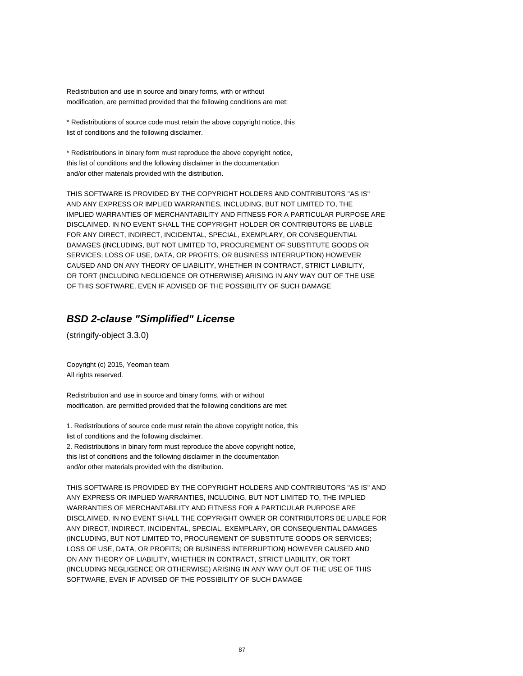Redistribution and use in source and binary forms, with or without modification, are permitted provided that the following conditions are met:

\* Redistributions of source code must retain the above copyright notice, this list of conditions and the following disclaimer.

\* Redistributions in binary form must reproduce the above copyright notice, this list of conditions and the following disclaimer in the documentation and/or other materials provided with the distribution.

THIS SOFTWARE IS PROVIDED BY THE COPYRIGHT HOLDERS AND CONTRIBUTORS "AS IS" AND ANY EXPRESS OR IMPLIED WARRANTIES, INCLUDING, BUT NOT LIMITED TO, THE IMPLIED WARRANTIES OF MERCHANTABILITY AND FITNESS FOR A PARTICULAR PURPOSE ARE DISCLAIMED. IN NO EVENT SHALL THE COPYRIGHT HOLDER OR CONTRIBUTORS BE LIABLE FOR ANY DIRECT, INDIRECT, INCIDENTAL, SPECIAL, EXEMPLARY, OR CONSEQUENTIAL DAMAGES (INCLUDING, BUT NOT LIMITED TO, PROCUREMENT OF SUBSTITUTE GOODS OR SERVICES; LOSS OF USE, DATA, OR PROFITS; OR BUSINESS INTERRUPTION) HOWEVER CAUSED AND ON ANY THEORY OF LIABILITY, WHETHER IN CONTRACT, STRICT LIABILITY, OR TORT (INCLUDING NEGLIGENCE OR OTHERWISE) ARISING IN ANY WAY OUT OF THE USE OF THIS SOFTWARE, EVEN IF ADVISED OF THE POSSIBILITY OF SUCH DAMAGE

# **BSD 2-clause "Simplified" License**

(stringify-object 3.3.0)

Copyright (c) 2015, Yeoman team All rights reserved.

Redistribution and use in source and binary forms, with or without modification, are permitted provided that the following conditions are met:

1. Redistributions of source code must retain the above copyright notice, this list of conditions and the following disclaimer.

2. Redistributions in binary form must reproduce the above copyright notice, this list of conditions and the following disclaimer in the documentation and/or other materials provided with the distribution.

THIS SOFTWARE IS PROVIDED BY THE COPYRIGHT HOLDERS AND CONTRIBUTORS "AS IS" AND ANY EXPRESS OR IMPLIED WARRANTIES, INCLUDING, BUT NOT LIMITED TO, THE IMPLIED WARRANTIES OF MERCHANTABILITY AND FITNESS FOR A PARTICULAR PURPOSE ARE DISCLAIMED. IN NO EVENT SHALL THE COPYRIGHT OWNER OR CONTRIBUTORS BE LIABLE FOR ANY DIRECT, INDIRECT, INCIDENTAL, SPECIAL, EXEMPLARY, OR CONSEQUENTIAL DAMAGES (INCLUDING, BUT NOT LIMITED TO, PROCUREMENT OF SUBSTITUTE GOODS OR SERVICES; LOSS OF USE, DATA, OR PROFITS; OR BUSINESS INTERRUPTION) HOWEVER CAUSED AND ON ANY THEORY OF LIABILITY, WHETHER IN CONTRACT, STRICT LIABILITY, OR TORT (INCLUDING NEGLIGENCE OR OTHERWISE) ARISING IN ANY WAY OUT OF THE USE OF THIS SOFTWARE, EVEN IF ADVISED OF THE POSSIBILITY OF SUCH DAMAGE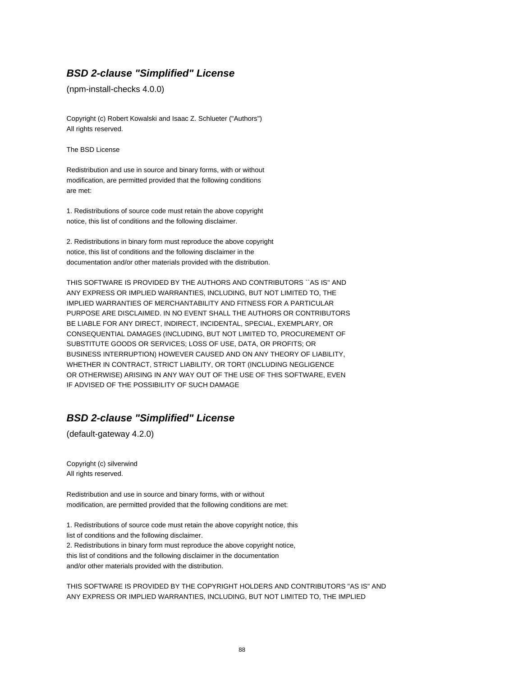### **BSD 2-clause "Simplified" License**

(npm-install-checks 4.0.0)

Copyright (c) Robert Kowalski and Isaac Z. Schlueter ("Authors") All rights reserved.

The BSD License

Redistribution and use in source and binary forms, with or without modification, are permitted provided that the following conditions are met:

1. Redistributions of source code must retain the above copyright notice, this list of conditions and the following disclaimer.

2. Redistributions in binary form must reproduce the above copyright notice, this list of conditions and the following disclaimer in the documentation and/or other materials provided with the distribution.

THIS SOFTWARE IS PROVIDED BY THE AUTHORS AND CONTRIBUTORS ``AS IS'' AND ANY EXPRESS OR IMPLIED WARRANTIES, INCLUDING, BUT NOT LIMITED TO, THE IMPLIED WARRANTIES OF MERCHANTABILITY AND FITNESS FOR A PARTICULAR PURPOSE ARE DISCLAIMED. IN NO EVENT SHALL THE AUTHORS OR CONTRIBUTORS BE LIABLE FOR ANY DIRECT, INDIRECT, INCIDENTAL, SPECIAL, EXEMPLARY, OR CONSEQUENTIAL DAMAGES (INCLUDING, BUT NOT LIMITED TO, PROCUREMENT OF SUBSTITUTE GOODS OR SERVICES; LOSS OF USE, DATA, OR PROFITS; OR BUSINESS INTERRUPTION) HOWEVER CAUSED AND ON ANY THEORY OF LIABILITY, WHETHER IN CONTRACT, STRICT LIABILITY, OR TORT (INCLUDING NEGLIGENCE OR OTHERWISE) ARISING IN ANY WAY OUT OF THE USE OF THIS SOFTWARE, EVEN IF ADVISED OF THE POSSIBILITY OF SUCH DAMAGE

# **BSD 2-clause "Simplified" License**

(default-gateway 4.2.0)

Copyright (c) silverwind All rights reserved.

Redistribution and use in source and binary forms, with or without modification, are permitted provided that the following conditions are met:

1. Redistributions of source code must retain the above copyright notice, this list of conditions and the following disclaimer. 2. Redistributions in binary form must reproduce the above copyright notice, this list of conditions and the following disclaimer in the documentation and/or other materials provided with the distribution.

THIS SOFTWARE IS PROVIDED BY THE COPYRIGHT HOLDERS AND CONTRIBUTORS "AS IS" AND ANY EXPRESS OR IMPLIED WARRANTIES, INCLUDING, BUT NOT LIMITED TO, THE IMPLIED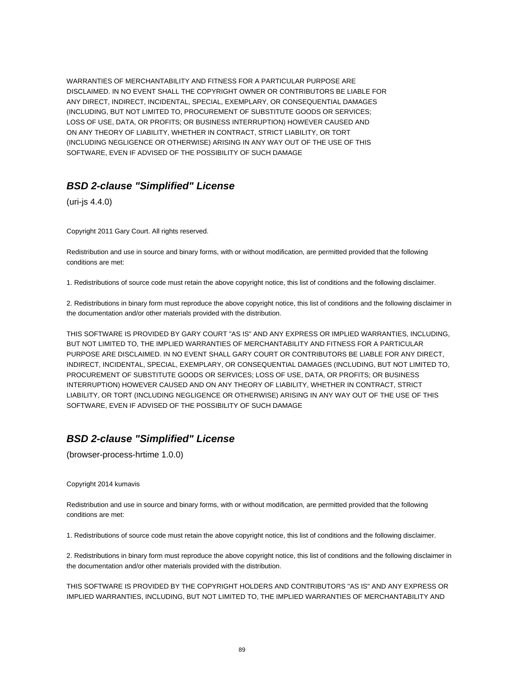WARRANTIES OF MERCHANTABILITY AND FITNESS FOR A PARTICULAR PURPOSE ARE DISCLAIMED. IN NO EVENT SHALL THE COPYRIGHT OWNER OR CONTRIBUTORS BE LIABLE FOR ANY DIRECT, INDIRECT, INCIDENTAL, SPECIAL, EXEMPLARY, OR CONSEQUENTIAL DAMAGES (INCLUDING, BUT NOT LIMITED TO, PROCUREMENT OF SUBSTITUTE GOODS OR SERVICES; LOSS OF USE, DATA, OR PROFITS; OR BUSINESS INTERRUPTION) HOWEVER CAUSED AND ON ANY THEORY OF LIABILITY, WHETHER IN CONTRACT, STRICT LIABILITY, OR TORT (INCLUDING NEGLIGENCE OR OTHERWISE) ARISING IN ANY WAY OUT OF THE USE OF THIS SOFTWARE, EVEN IF ADVISED OF THE POSSIBILITY OF SUCH DAMAGE

# **BSD 2-clause "Simplified" License**

(uri-js 4.4.0)

Copyright 2011 Gary Court. All rights reserved.

Redistribution and use in source and binary forms, with or without modification, are permitted provided that the following conditions are met:

1. Redistributions of source code must retain the above copyright notice, this list of conditions and the following disclaimer.

2. Redistributions in binary form must reproduce the above copyright notice, this list of conditions and the following disclaimer in the documentation and/or other materials provided with the distribution.

THIS SOFTWARE IS PROVIDED BY GARY COURT "AS IS" AND ANY EXPRESS OR IMPLIED WARRANTIES, INCLUDING, BUT NOT LIMITED TO, THE IMPLIED WARRANTIES OF MERCHANTABILITY AND FITNESS FOR A PARTICULAR PURPOSE ARE DISCLAIMED. IN NO EVENT SHALL GARY COURT OR CONTRIBUTORS BE LIABLE FOR ANY DIRECT, INDIRECT, INCIDENTAL, SPECIAL, EXEMPLARY, OR CONSEQUENTIAL DAMAGES (INCLUDING, BUT NOT LIMITED TO, PROCUREMENT OF SUBSTITUTE GOODS OR SERVICES; LOSS OF USE, DATA, OR PROFITS; OR BUSINESS INTERRUPTION) HOWEVER CAUSED AND ON ANY THEORY OF LIABILITY, WHETHER IN CONTRACT, STRICT LIABILITY, OR TORT (INCLUDING NEGLIGENCE OR OTHERWISE) ARISING IN ANY WAY OUT OF THE USE OF THIS SOFTWARE, EVEN IF ADVISED OF THE POSSIBILITY OF SUCH DAMAGE

# **BSD 2-clause "Simplified" License**

(browser-process-hrtime 1.0.0)

Copyright 2014 kumavis

Redistribution and use in source and binary forms, with or without modification, are permitted provided that the following conditions are met:

1. Redistributions of source code must retain the above copyright notice, this list of conditions and the following disclaimer.

2. Redistributions in binary form must reproduce the above copyright notice, this list of conditions and the following disclaimer in the documentation and/or other materials provided with the distribution.

THIS SOFTWARE IS PROVIDED BY THE COPYRIGHT HOLDERS AND CONTRIBUTORS "AS IS" AND ANY EXPRESS OR IMPLIED WARRANTIES, INCLUDING, BUT NOT LIMITED TO, THE IMPLIED WARRANTIES OF MERCHANTABILITY AND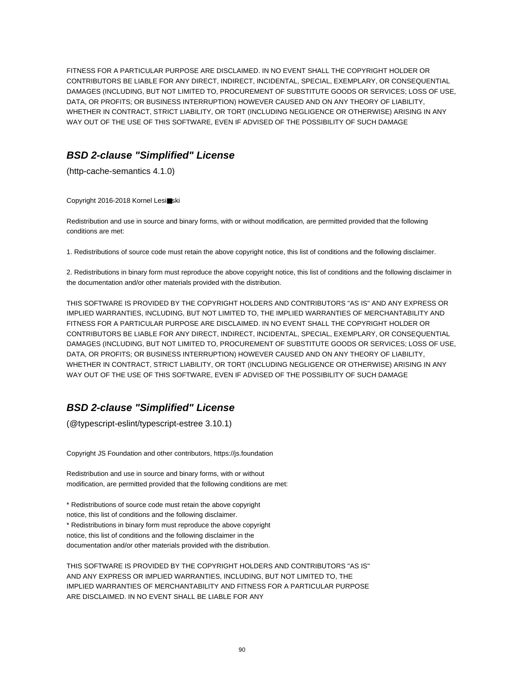FITNESS FOR A PARTICULAR PURPOSE ARE DISCLAIMED. IN NO EVENT SHALL THE COPYRIGHT HOLDER OR CONTRIBUTORS BE LIABLE FOR ANY DIRECT, INDIRECT, INCIDENTAL, SPECIAL, EXEMPLARY, OR CONSEQUENTIAL DAMAGES (INCLUDING, BUT NOT LIMITED TO, PROCUREMENT OF SUBSTITUTE GOODS OR SERVICES; LOSS OF USE, DATA, OR PROFITS; OR BUSINESS INTERRUPTION) HOWEVER CAUSED AND ON ANY THEORY OF LIABILITY, WHETHER IN CONTRACT, STRICT LIABILITY, OR TORT (INCLUDING NEGLIGENCE OR OTHERWISE) ARISING IN ANY WAY OUT OF THE USE OF THIS SOFTWARE, EVEN IF ADVISED OF THE POSSIBILITY OF SUCH DAMAGE

# **BSD 2-clause "Simplified" License**

(http-cache-semantics 4.1.0)

Copyright 2016-2018 Kornel Lesi■ski

Redistribution and use in source and binary forms, with or without modification, are permitted provided that the following conditions are met:

1. Redistributions of source code must retain the above copyright notice, this list of conditions and the following disclaimer.

2. Redistributions in binary form must reproduce the above copyright notice, this list of conditions and the following disclaimer in the documentation and/or other materials provided with the distribution.

THIS SOFTWARE IS PROVIDED BY THE COPYRIGHT HOLDERS AND CONTRIBUTORS "AS IS" AND ANY EXPRESS OR IMPLIED WARRANTIES, INCLUDING, BUT NOT LIMITED TO, THE IMPLIED WARRANTIES OF MERCHANTABILITY AND FITNESS FOR A PARTICULAR PURPOSE ARE DISCLAIMED. IN NO EVENT SHALL THE COPYRIGHT HOLDER OR CONTRIBUTORS BE LIABLE FOR ANY DIRECT, INDIRECT, INCIDENTAL, SPECIAL, EXEMPLARY, OR CONSEQUENTIAL DAMAGES (INCLUDING, BUT NOT LIMITED TO, PROCUREMENT OF SUBSTITUTE GOODS OR SERVICES; LOSS OF USE, DATA, OR PROFITS; OR BUSINESS INTERRUPTION) HOWEVER CAUSED AND ON ANY THEORY OF LIABILITY, WHETHER IN CONTRACT, STRICT LIABILITY, OR TORT (INCLUDING NEGLIGENCE OR OTHERWISE) ARISING IN ANY WAY OUT OF THE USE OF THIS SOFTWARE, EVEN IF ADVISED OF THE POSSIBILITY OF SUCH DAMAGE

# **BSD 2-clause "Simplified" License**

(@typescript-eslint/typescript-estree 3.10.1)

Copyright JS Foundation and other contributors, https://js.foundation

Redistribution and use in source and binary forms, with or without modification, are permitted provided that the following conditions are met:

\* Redistributions of source code must retain the above copyright notice, this list of conditions and the following disclaimer. \* Redistributions in binary form must reproduce the above copyright notice, this list of conditions and the following disclaimer in the documentation and/or other materials provided with the distribution.

THIS SOFTWARE IS PROVIDED BY THE COPYRIGHT HOLDERS AND CONTRIBUTORS "AS IS" AND ANY EXPRESS OR IMPLIED WARRANTIES, INCLUDING, BUT NOT LIMITED TO, THE IMPLIED WARRANTIES OF MERCHANTABILITY AND FITNESS FOR A PARTICULAR PURPOSE ARE DISCLAIMED. IN NO EVENT SHALL BE LIABLE FOR ANY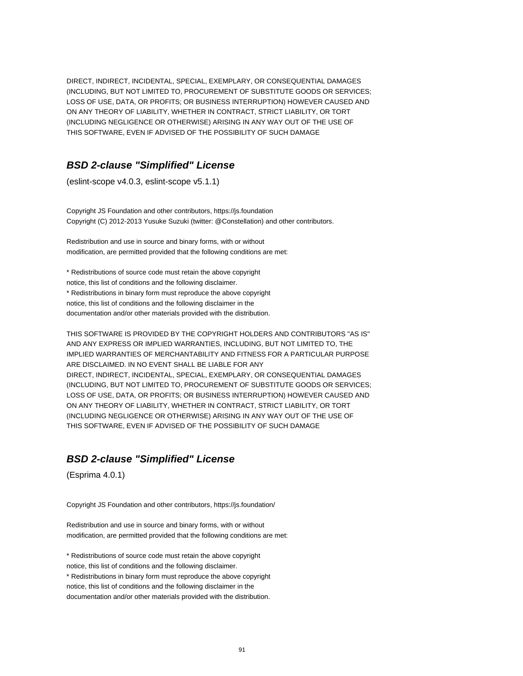DIRECT, INDIRECT, INCIDENTAL, SPECIAL, EXEMPLARY, OR CONSEQUENTIAL DAMAGES (INCLUDING, BUT NOT LIMITED TO, PROCUREMENT OF SUBSTITUTE GOODS OR SERVICES; LOSS OF USE, DATA, OR PROFITS; OR BUSINESS INTERRUPTION) HOWEVER CAUSED AND ON ANY THEORY OF LIABILITY, WHETHER IN CONTRACT, STRICT LIABILITY, OR TORT (INCLUDING NEGLIGENCE OR OTHERWISE) ARISING IN ANY WAY OUT OF THE USE OF THIS SOFTWARE, EVEN IF ADVISED OF THE POSSIBILITY OF SUCH DAMAGE

#### **BSD 2-clause "Simplified" License**

(eslint-scope v4.0.3, eslint-scope v5.1.1)

Copyright JS Foundation and other contributors, https://js.foundation Copyright (C) 2012-2013 Yusuke Suzuki (twitter: @Constellation) and other contributors.

Redistribution and use in source and binary forms, with or without modification, are permitted provided that the following conditions are met:

\* Redistributions of source code must retain the above copyright notice, this list of conditions and the following disclaimer. \* Redistributions in binary form must reproduce the above copyright notice, this list of conditions and the following disclaimer in the documentation and/or other materials provided with the distribution.

THIS SOFTWARE IS PROVIDED BY THE COPYRIGHT HOLDERS AND CONTRIBUTORS "AS IS" AND ANY EXPRESS OR IMPLIED WARRANTIES, INCLUDING, BUT NOT LIMITED TO, THE IMPLIED WARRANTIES OF MERCHANTABILITY AND FITNESS FOR A PARTICULAR PURPOSE ARE DISCLAIMED. IN NO EVENT SHALL BE LIABLE FOR ANY DIRECT, INDIRECT, INCIDENTAL, SPECIAL, EXEMPLARY, OR CONSEQUENTIAL DAMAGES (INCLUDING, BUT NOT LIMITED TO, PROCUREMENT OF SUBSTITUTE GOODS OR SERVICES; LOSS OF USE, DATA, OR PROFITS; OR BUSINESS INTERRUPTION) HOWEVER CAUSED AND ON ANY THEORY OF LIABILITY, WHETHER IN CONTRACT, STRICT LIABILITY, OR TORT (INCLUDING NEGLIGENCE OR OTHERWISE) ARISING IN ANY WAY OUT OF THE USE OF THIS SOFTWARE, EVEN IF ADVISED OF THE POSSIBILITY OF SUCH DAMAGE

### **BSD 2-clause "Simplified" License**

(Esprima 4.0.1)

Copyright JS Foundation and other contributors, https://js.foundation/

Redistribution and use in source and binary forms, with or without modification, are permitted provided that the following conditions are met:

\* Redistributions of source code must retain the above copyright notice, this list of conditions and the following disclaimer. \* Redistributions in binary form must reproduce the above copyright notice, this list of conditions and the following disclaimer in the documentation and/or other materials provided with the distribution.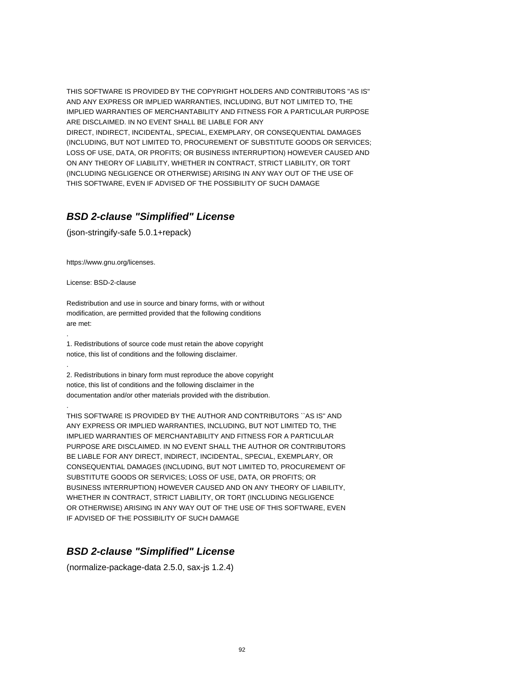THIS SOFTWARE IS PROVIDED BY THE COPYRIGHT HOLDERS AND CONTRIBUTORS "AS IS" AND ANY EXPRESS OR IMPLIED WARRANTIES, INCLUDING, BUT NOT LIMITED TO, THE IMPLIED WARRANTIES OF MERCHANTABILITY AND FITNESS FOR A PARTICULAR PURPOSE ARE DISCLAIMED. IN NO EVENT SHALL BE LIABLE FOR ANY

DIRECT, INDIRECT, INCIDENTAL, SPECIAL, EXEMPLARY, OR CONSEQUENTIAL DAMAGES (INCLUDING, BUT NOT LIMITED TO, PROCUREMENT OF SUBSTITUTE GOODS OR SERVICES; LOSS OF USE, DATA, OR PROFITS; OR BUSINESS INTERRUPTION) HOWEVER CAUSED AND ON ANY THEORY OF LIABILITY, WHETHER IN CONTRACT, STRICT LIABILITY, OR TORT (INCLUDING NEGLIGENCE OR OTHERWISE) ARISING IN ANY WAY OUT OF THE USE OF THIS SOFTWARE, EVEN IF ADVISED OF THE POSSIBILITY OF SUCH DAMAGE

# **BSD 2-clause "Simplified" License**

(json-stringify-safe 5.0.1+repack)

https://www.gnu.org/licenses.

License: BSD-2-clause

.

.

.

Redistribution and use in source and binary forms, with or without modification, are permitted provided that the following conditions are met:

1. Redistributions of source code must retain the above copyright notice, this list of conditions and the following disclaimer.

2. Redistributions in binary form must reproduce the above copyright notice, this list of conditions and the following disclaimer in the documentation and/or other materials provided with the distribution.

THIS SOFTWARE IS PROVIDED BY THE AUTHOR AND CONTRIBUTORS ``AS IS'' AND ANY EXPRESS OR IMPLIED WARRANTIES, INCLUDING, BUT NOT LIMITED TO, THE IMPLIED WARRANTIES OF MERCHANTABILITY AND FITNESS FOR A PARTICULAR PURPOSE ARE DISCLAIMED. IN NO EVENT SHALL THE AUTHOR OR CONTRIBUTORS BE LIABLE FOR ANY DIRECT, INDIRECT, INCIDENTAL, SPECIAL, EXEMPLARY, OR CONSEQUENTIAL DAMAGES (INCLUDING, BUT NOT LIMITED TO, PROCUREMENT OF SUBSTITUTE GOODS OR SERVICES; LOSS OF USE, DATA, OR PROFITS; OR BUSINESS INTERRUPTION) HOWEVER CAUSED AND ON ANY THEORY OF LIABILITY, WHETHER IN CONTRACT, STRICT LIABILITY, OR TORT (INCLUDING NEGLIGENCE OR OTHERWISE) ARISING IN ANY WAY OUT OF THE USE OF THIS SOFTWARE, EVEN IF ADVISED OF THE POSSIBILITY OF SUCH DAMAGE

# **BSD 2-clause "Simplified" License**

(normalize-package-data 2.5.0, sax-js 1.2.4)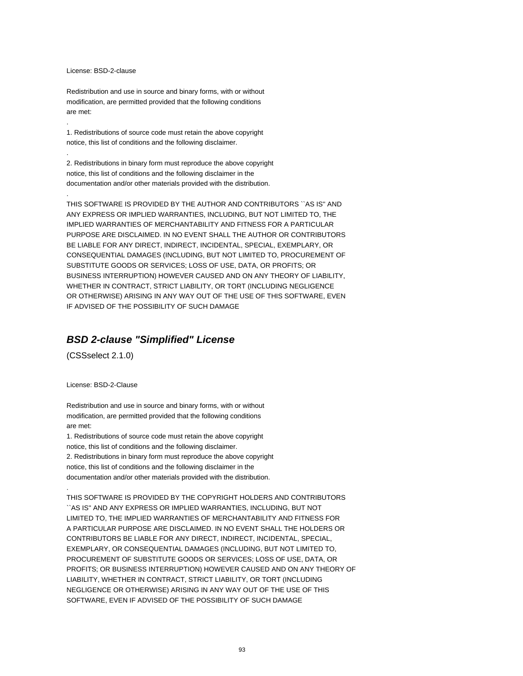#### License: BSD-2-clause

.

.

.

Redistribution and use in source and binary forms, with or without modification, are permitted provided that the following conditions are met:

1. Redistributions of source code must retain the above copyright notice, this list of conditions and the following disclaimer.

2. Redistributions in binary form must reproduce the above copyright notice, this list of conditions and the following disclaimer in the documentation and/or other materials provided with the distribution.

THIS SOFTWARE IS PROVIDED BY THE AUTHOR AND CONTRIBUTORS ``AS IS'' AND ANY EXPRESS OR IMPLIED WARRANTIES, INCLUDING, BUT NOT LIMITED TO, THE IMPLIED WARRANTIES OF MERCHANTABILITY AND FITNESS FOR A PARTICULAR PURPOSE ARE DISCLAIMED. IN NO EVENT SHALL THE AUTHOR OR CONTRIBUTORS BE LIABLE FOR ANY DIRECT, INDIRECT, INCIDENTAL, SPECIAL, EXEMPLARY, OR CONSEQUENTIAL DAMAGES (INCLUDING, BUT NOT LIMITED TO, PROCUREMENT OF SUBSTITUTE GOODS OR SERVICES; LOSS OF USE, DATA, OR PROFITS; OR BUSINESS INTERRUPTION) HOWEVER CAUSED AND ON ANY THEORY OF LIABILITY, WHETHER IN CONTRACT, STRICT LIABILITY, OR TORT (INCLUDING NEGLIGENCE OR OTHERWISE) ARISING IN ANY WAY OUT OF THE USE OF THIS SOFTWARE, EVEN IF ADVISED OF THE POSSIBILITY OF SUCH DAMAGE

#### **BSD 2-clause "Simplified" License**

(CSSselect 2.1.0)

License: BSD-2-Clause

.

Redistribution and use in source and binary forms, with or without modification, are permitted provided that the following conditions are met:

1. Redistributions of source code must retain the above copyright notice, this list of conditions and the following disclaimer. 2. Redistributions in binary form must reproduce the above copyright notice, this list of conditions and the following disclaimer in the documentation and/or other materials provided with the distribution.

THIS SOFTWARE IS PROVIDED BY THE COPYRIGHT HOLDERS AND CONTRIBUTORS ``AS IS'' AND ANY EXPRESS OR IMPLIED WARRANTIES, INCLUDING, BUT NOT LIMITED TO, THE IMPLIED WARRANTIES OF MERCHANTABILITY AND FITNESS FOR A PARTICULAR PURPOSE ARE DISCLAIMED. IN NO EVENT SHALL THE HOLDERS OR CONTRIBUTORS BE LIABLE FOR ANY DIRECT, INDIRECT, INCIDENTAL, SPECIAL, EXEMPLARY, OR CONSEQUENTIAL DAMAGES (INCLUDING, BUT NOT LIMITED TO, PROCUREMENT OF SUBSTITUTE GOODS OR SERVICES; LOSS OF USE, DATA, OR PROFITS; OR BUSINESS INTERRUPTION) HOWEVER CAUSED AND ON ANY THEORY OF LIABILITY, WHETHER IN CONTRACT, STRICT LIABILITY, OR TORT (INCLUDING NEGLIGENCE OR OTHERWISE) ARISING IN ANY WAY OUT OF THE USE OF THIS SOFTWARE, EVEN IF ADVISED OF THE POSSIBILITY OF SUCH DAMAGE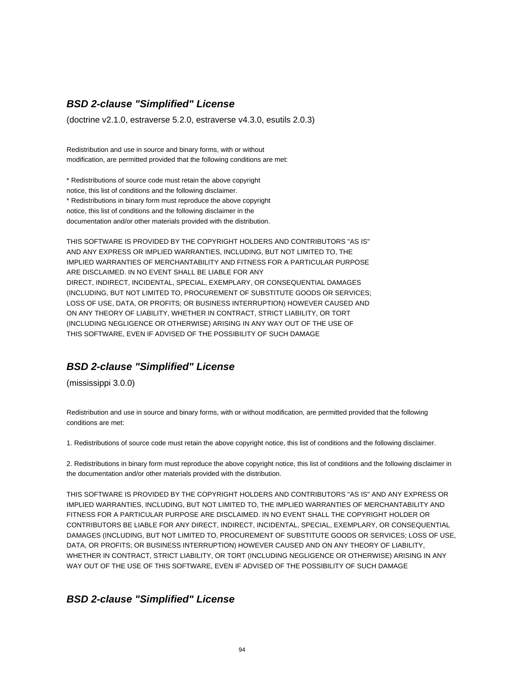# **BSD 2-clause "Simplified" License**

(doctrine v2.1.0, estraverse 5.2.0, estraverse v4.3.0, esutils 2.0.3)

Redistribution and use in source and binary forms, with or without modification, are permitted provided that the following conditions are met:

\* Redistributions of source code must retain the above copyright notice, this list of conditions and the following disclaimer. \* Redistributions in binary form must reproduce the above copyright notice, this list of conditions and the following disclaimer in the documentation and/or other materials provided with the distribution.

THIS SOFTWARE IS PROVIDED BY THE COPYRIGHT HOLDERS AND CONTRIBUTORS "AS IS" AND ANY EXPRESS OR IMPLIED WARRANTIES, INCLUDING, BUT NOT LIMITED TO, THE IMPLIED WARRANTIES OF MERCHANTABILITY AND FITNESS FOR A PARTICULAR PURPOSE ARE DISCLAIMED. IN NO EVENT SHALL BE LIABLE FOR ANY DIRECT, INDIRECT, INCIDENTAL, SPECIAL, EXEMPLARY, OR CONSEQUENTIAL DAMAGES (INCLUDING, BUT NOT LIMITED TO, PROCUREMENT OF SUBSTITUTE GOODS OR SERVICES; LOSS OF USE, DATA, OR PROFITS; OR BUSINESS INTERRUPTION) HOWEVER CAUSED AND ON ANY THEORY OF LIABILITY, WHETHER IN CONTRACT, STRICT LIABILITY, OR TORT (INCLUDING NEGLIGENCE OR OTHERWISE) ARISING IN ANY WAY OUT OF THE USE OF THIS SOFTWARE, EVEN IF ADVISED OF THE POSSIBILITY OF SUCH DAMAGE

## **BSD 2-clause "Simplified" License**

(mississippi 3.0.0)

Redistribution and use in source and binary forms, with or without modification, are permitted provided that the following conditions are met:

1. Redistributions of source code must retain the above copyright notice, this list of conditions and the following disclaimer.

2. Redistributions in binary form must reproduce the above copyright notice, this list of conditions and the following disclaimer in the documentation and/or other materials provided with the distribution.

THIS SOFTWARE IS PROVIDED BY THE COPYRIGHT HOLDERS AND CONTRIBUTORS "AS IS" AND ANY EXPRESS OR IMPLIED WARRANTIES, INCLUDING, BUT NOT LIMITED TO, THE IMPLIED WARRANTIES OF MERCHANTABILITY AND FITNESS FOR A PARTICULAR PURPOSE ARE DISCLAIMED. IN NO EVENT SHALL THE COPYRIGHT HOLDER OR CONTRIBUTORS BE LIABLE FOR ANY DIRECT, INDIRECT, INCIDENTAL, SPECIAL, EXEMPLARY, OR CONSEQUENTIAL DAMAGES (INCLUDING, BUT NOT LIMITED TO, PROCUREMENT OF SUBSTITUTE GOODS OR SERVICES; LOSS OF USE, DATA, OR PROFITS; OR BUSINESS INTERRUPTION) HOWEVER CAUSED AND ON ANY THEORY OF LIABILITY, WHETHER IN CONTRACT, STRICT LIABILITY, OR TORT (INCLUDING NEGLIGENCE OR OTHERWISE) ARISING IN ANY WAY OUT OF THE USE OF THIS SOFTWARE, EVEN IF ADVISED OF THE POSSIBILITY OF SUCH DAMAGE

### **BSD 2-clause "Simplified" License**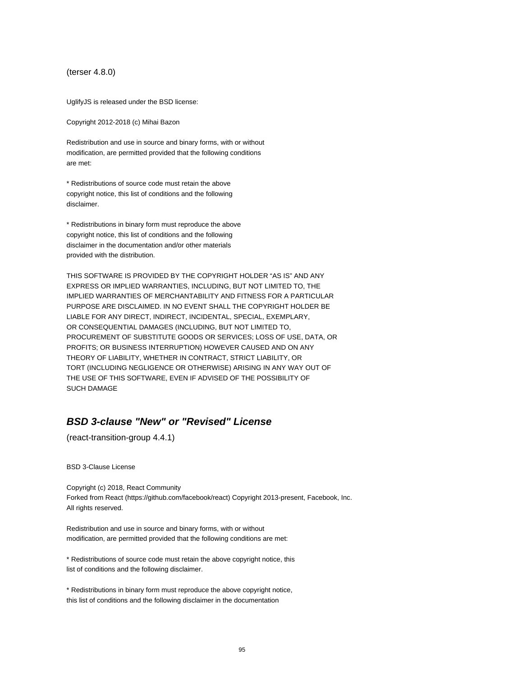(terser 4.8.0)

UglifyJS is released under the BSD license:

Copyright 2012-2018 (c) Mihai Bazon

Redistribution and use in source and binary forms, with or without modification, are permitted provided that the following conditions are met:

\* Redistributions of source code must retain the above copyright notice, this list of conditions and the following disclaimer.

\* Redistributions in binary form must reproduce the above copyright notice, this list of conditions and the following disclaimer in the documentation and/or other materials provided with the distribution.

THIS SOFTWARE IS PROVIDED BY THE COPYRIGHT HOLDER "AS IS" AND ANY EXPRESS OR IMPLIED WARRANTIES, INCLUDING, BUT NOT LIMITED TO, THE IMPLIED WARRANTIES OF MERCHANTABILITY AND FITNESS FOR A PARTICULAR PURPOSE ARE DISCLAIMED. IN NO EVENT SHALL THE COPYRIGHT HOLDER BE LIABLE FOR ANY DIRECT, INDIRECT, INCIDENTAL, SPECIAL, EXEMPLARY, OR CONSEQUENTIAL DAMAGES (INCLUDING, BUT NOT LIMITED TO, PROCUREMENT OF SUBSTITUTE GOODS OR SERVICES; LOSS OF USE, DATA, OR PROFITS; OR BUSINESS INTERRUPTION) HOWEVER CAUSED AND ON ANY THEORY OF LIABILITY, WHETHER IN CONTRACT, STRICT LIABILITY, OR TORT (INCLUDING NEGLIGENCE OR OTHERWISE) ARISING IN ANY WAY OUT OF THE USE OF THIS SOFTWARE, EVEN IF ADVISED OF THE POSSIBILITY OF SUCH DAMAGE

# **BSD 3-clause "New" or "Revised" License**

(react-transition-group 4.4.1)

BSD 3-Clause License

Copyright (c) 2018, React Community Forked from React (https://github.com/facebook/react) Copyright 2013-present, Facebook, Inc. All rights reserved.

Redistribution and use in source and binary forms, with or without modification, are permitted provided that the following conditions are met:

\* Redistributions of source code must retain the above copyright notice, this list of conditions and the following disclaimer.

\* Redistributions in binary form must reproduce the above copyright notice, this list of conditions and the following disclaimer in the documentation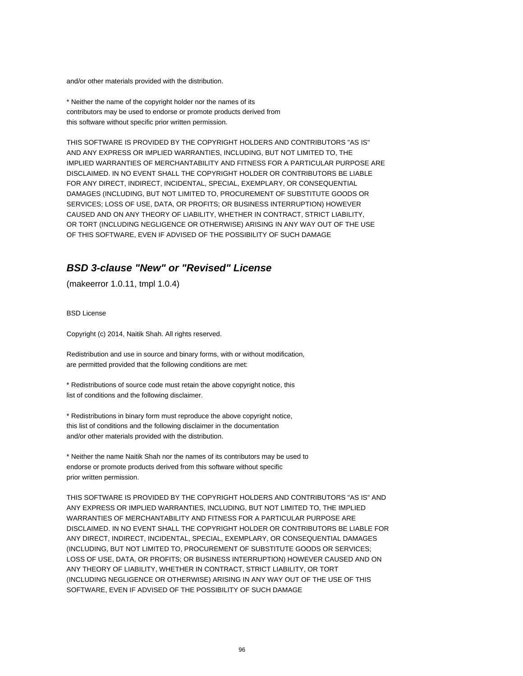and/or other materials provided with the distribution.

\* Neither the name of the copyright holder nor the names of its contributors may be used to endorse or promote products derived from this software without specific prior written permission.

THIS SOFTWARE IS PROVIDED BY THE COPYRIGHT HOLDERS AND CONTRIBUTORS "AS IS" AND ANY EXPRESS OR IMPLIED WARRANTIES, INCLUDING, BUT NOT LIMITED TO, THE IMPLIED WARRANTIES OF MERCHANTABILITY AND FITNESS FOR A PARTICULAR PURPOSE ARE DISCLAIMED. IN NO EVENT SHALL THE COPYRIGHT HOLDER OR CONTRIBUTORS BE LIABLE FOR ANY DIRECT, INDIRECT, INCIDENTAL, SPECIAL, EXEMPLARY, OR CONSEQUENTIAL DAMAGES (INCLUDING, BUT NOT LIMITED TO, PROCUREMENT OF SUBSTITUTE GOODS OR SERVICES; LOSS OF USE, DATA, OR PROFITS; OR BUSINESS INTERRUPTION) HOWEVER CAUSED AND ON ANY THEORY OF LIABILITY, WHETHER IN CONTRACT, STRICT LIABILITY, OR TORT (INCLUDING NEGLIGENCE OR OTHERWISE) ARISING IN ANY WAY OUT OF THE USE OF THIS SOFTWARE, EVEN IF ADVISED OF THE POSSIBILITY OF SUCH DAMAGE

# **BSD 3-clause "New" or "Revised" License**

(makeerror 1.0.11, tmpl 1.0.4)

BSD License

Copyright (c) 2014, Naitik Shah. All rights reserved.

Redistribution and use in source and binary forms, with or without modification, are permitted provided that the following conditions are met:

\* Redistributions of source code must retain the above copyright notice, this list of conditions and the following disclaimer.

\* Redistributions in binary form must reproduce the above copyright notice, this list of conditions and the following disclaimer in the documentation and/or other materials provided with the distribution.

\* Neither the name Naitik Shah nor the names of its contributors may be used to endorse or promote products derived from this software without specific prior written permission.

THIS SOFTWARE IS PROVIDED BY THE COPYRIGHT HOLDERS AND CONTRIBUTORS "AS IS" AND ANY EXPRESS OR IMPLIED WARRANTIES, INCLUDING, BUT NOT LIMITED TO, THE IMPLIED WARRANTIES OF MERCHANTABILITY AND FITNESS FOR A PARTICULAR PURPOSE ARE DISCLAIMED. IN NO EVENT SHALL THE COPYRIGHT HOLDER OR CONTRIBUTORS BE LIABLE FOR ANY DIRECT, INDIRECT, INCIDENTAL, SPECIAL, EXEMPLARY, OR CONSEQUENTIAL DAMAGES (INCLUDING, BUT NOT LIMITED TO, PROCUREMENT OF SUBSTITUTE GOODS OR SERVICES; LOSS OF USE, DATA, OR PROFITS; OR BUSINESS INTERRUPTION) HOWEVER CAUSED AND ON ANY THEORY OF LIABILITY, WHETHER IN CONTRACT, STRICT LIABILITY, OR TORT (INCLUDING NEGLIGENCE OR OTHERWISE) ARISING IN ANY WAY OUT OF THE USE OF THIS SOFTWARE, EVEN IF ADVISED OF THE POSSIBILITY OF SUCH DAMAGE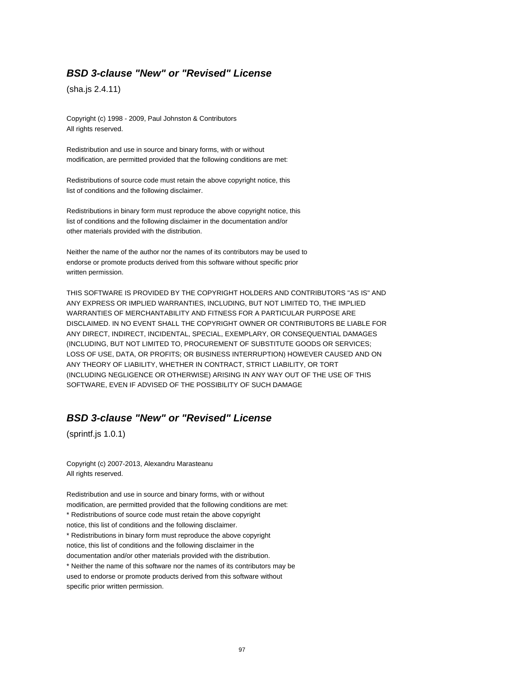#### **BSD 3-clause "New" or "Revised" License**

(sha.js 2.4.11)

Copyright (c) 1998 - 2009, Paul Johnston & Contributors All rights reserved.

Redistribution and use in source and binary forms, with or without modification, are permitted provided that the following conditions are met:

Redistributions of source code must retain the above copyright notice, this list of conditions and the following disclaimer.

Redistributions in binary form must reproduce the above copyright notice, this list of conditions and the following disclaimer in the documentation and/or other materials provided with the distribution.

Neither the name of the author nor the names of its contributors may be used to endorse or promote products derived from this software without specific prior written permission.

THIS SOFTWARE IS PROVIDED BY THE COPYRIGHT HOLDERS AND CONTRIBUTORS "AS IS" AND ANY EXPRESS OR IMPLIED WARRANTIES, INCLUDING, BUT NOT LIMITED TO, THE IMPLIED WARRANTIES OF MERCHANTABILITY AND FITNESS FOR A PARTICULAR PURPOSE ARE DISCLAIMED. IN NO EVENT SHALL THE COPYRIGHT OWNER OR CONTRIBUTORS BE LIABLE FOR ANY DIRECT, INDIRECT, INCIDENTAL, SPECIAL, EXEMPLARY, OR CONSEQUENTIAL DAMAGES (INCLUDING, BUT NOT LIMITED TO, PROCUREMENT OF SUBSTITUTE GOODS OR SERVICES; LOSS OF USE, DATA, OR PROFITS; OR BUSINESS INTERRUPTION) HOWEVER CAUSED AND ON ANY THEORY OF LIABILITY, WHETHER IN CONTRACT, STRICT LIABILITY, OR TORT (INCLUDING NEGLIGENCE OR OTHERWISE) ARISING IN ANY WAY OUT OF THE USE OF THIS SOFTWARE, EVEN IF ADVISED OF THE POSSIBILITY OF SUCH DAMAGE

# **BSD 3-clause "New" or "Revised" License**

(sprintf.js 1.0.1)

Copyright (c) 2007-2013, Alexandru Marasteanu All rights reserved.

Redistribution and use in source and binary forms, with or without modification, are permitted provided that the following conditions are met: \* Redistributions of source code must retain the above copyright notice, this list of conditions and the following disclaimer. \* Redistributions in binary form must reproduce the above copyright notice, this list of conditions and the following disclaimer in the documentation and/or other materials provided with the distribution. \* Neither the name of this software nor the names of its contributors may be used to endorse or promote products derived from this software without specific prior written permission.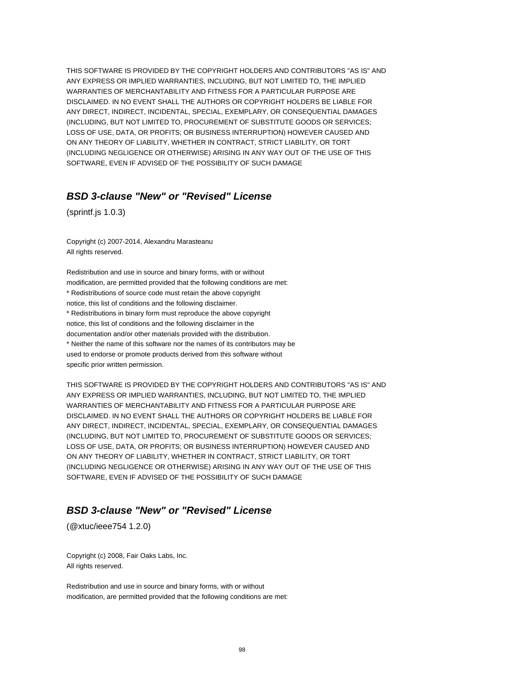THIS SOFTWARE IS PROVIDED BY THE COPYRIGHT HOLDERS AND CONTRIBUTORS "AS IS" AND ANY EXPRESS OR IMPLIED WARRANTIES, INCLUDING, BUT NOT LIMITED TO, THE IMPLIED WARRANTIES OF MERCHANTABILITY AND FITNESS FOR A PARTICULAR PURPOSE ARE DISCLAIMED. IN NO EVENT SHALL THE AUTHORS OR COPYRIGHT HOLDERS BE LIABLE FOR ANY DIRECT, INDIRECT, INCIDENTAL, SPECIAL, EXEMPLARY, OR CONSEQUENTIAL DAMAGES (INCLUDING, BUT NOT LIMITED TO, PROCUREMENT OF SUBSTITUTE GOODS OR SERVICES; LOSS OF USE, DATA, OR PROFITS; OR BUSINESS INTERRUPTION) HOWEVER CAUSED AND ON ANY THEORY OF LIABILITY, WHETHER IN CONTRACT, STRICT LIABILITY, OR TORT (INCLUDING NEGLIGENCE OR OTHERWISE) ARISING IN ANY WAY OUT OF THE USE OF THIS SOFTWARE, EVEN IF ADVISED OF THE POSSIBILITY OF SUCH DAMAGE

#### **BSD 3-clause "New" or "Revised" License**

(sprintf.js 1.0.3)

Copyright (c) 2007-2014, Alexandru Marasteanu All rights reserved.

Redistribution and use in source and binary forms, with or without modification, are permitted provided that the following conditions are met: \* Redistributions of source code must retain the above copyright notice, this list of conditions and the following disclaimer. \* Redistributions in binary form must reproduce the above copyright notice, this list of conditions and the following disclaimer in the documentation and/or other materials provided with the distribution. \* Neither the name of this software nor the names of its contributors may be used to endorse or promote products derived from this software without specific prior written permission.

THIS SOFTWARE IS PROVIDED BY THE COPYRIGHT HOLDERS AND CONTRIBUTORS "AS IS" AND ANY EXPRESS OR IMPLIED WARRANTIES, INCLUDING, BUT NOT LIMITED TO, THE IMPLIED WARRANTIES OF MERCHANTABILITY AND FITNESS FOR A PARTICULAR PURPOSE ARE DISCLAIMED. IN NO EVENT SHALL THE AUTHORS OR COPYRIGHT HOLDERS BE LIABLE FOR ANY DIRECT, INDIRECT, INCIDENTAL, SPECIAL, EXEMPLARY, OR CONSEQUENTIAL DAMAGES (INCLUDING, BUT NOT LIMITED TO, PROCUREMENT OF SUBSTITUTE GOODS OR SERVICES; LOSS OF USE, DATA, OR PROFITS; OR BUSINESS INTERRUPTION) HOWEVER CAUSED AND ON ANY THEORY OF LIABILITY, WHETHER IN CONTRACT, STRICT LIABILITY, OR TORT (INCLUDING NEGLIGENCE OR OTHERWISE) ARISING IN ANY WAY OUT OF THE USE OF THIS SOFTWARE, EVEN IF ADVISED OF THE POSSIBILITY OF SUCH DAMAGE

### **BSD 3-clause "New" or "Revised" License**

(@xtuc/ieee754 1.2.0)

Copyright (c) 2008, Fair Oaks Labs, Inc. All rights reserved.

Redistribution and use in source and binary forms, with or without modification, are permitted provided that the following conditions are met: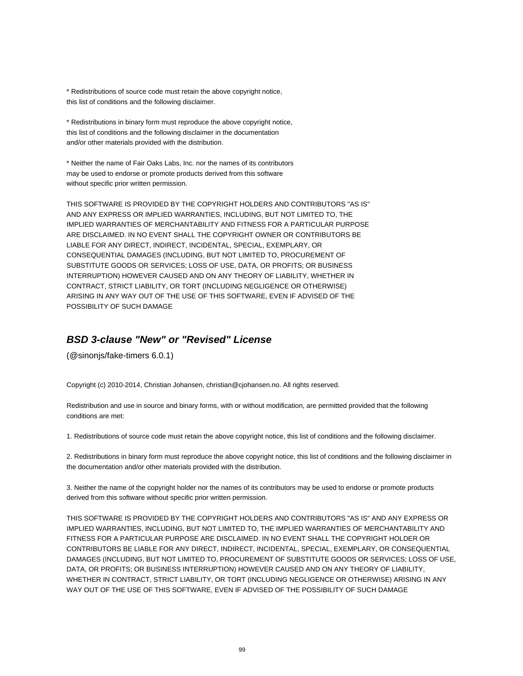\* Redistributions of source code must retain the above copyright notice, this list of conditions and the following disclaimer.

\* Redistributions in binary form must reproduce the above copyright notice, this list of conditions and the following disclaimer in the documentation and/or other materials provided with the distribution.

\* Neither the name of Fair Oaks Labs, Inc. nor the names of its contributors may be used to endorse or promote products derived from this software without specific prior written permission.

THIS SOFTWARE IS PROVIDED BY THE COPYRIGHT HOLDERS AND CONTRIBUTORS "AS IS" AND ANY EXPRESS OR IMPLIED WARRANTIES, INCLUDING, BUT NOT LIMITED TO, THE IMPLIED WARRANTIES OF MERCHANTABILITY AND FITNESS FOR A PARTICULAR PURPOSE ARE DISCLAIMED. IN NO EVENT SHALL THE COPYRIGHT OWNER OR CONTRIBUTORS BE LIABLE FOR ANY DIRECT, INDIRECT, INCIDENTAL, SPECIAL, EXEMPLARY, OR CONSEQUENTIAL DAMAGES (INCLUDING, BUT NOT LIMITED TO, PROCUREMENT OF SUBSTITUTE GOODS OR SERVICES; LOSS OF USE, DATA, OR PROFITS; OR BUSINESS INTERRUPTION) HOWEVER CAUSED AND ON ANY THEORY OF LIABILITY, WHETHER IN CONTRACT, STRICT LIABILITY, OR TORT (INCLUDING NEGLIGENCE OR OTHERWISE) ARISING IN ANY WAY OUT OF THE USE OF THIS SOFTWARE, EVEN IF ADVISED OF THE POSSIBILITY OF SUCH DAMAGE

### **BSD 3-clause "New" or "Revised" License**

(@sinonjs/fake-timers 6.0.1)

Copyright (c) 2010-2014, Christian Johansen, christian@cjohansen.no. All rights reserved.

Redistribution and use in source and binary forms, with or without modification, are permitted provided that the following conditions are met:

1. Redistributions of source code must retain the above copyright notice, this list of conditions and the following disclaimer.

2. Redistributions in binary form must reproduce the above copyright notice, this list of conditions and the following disclaimer in the documentation and/or other materials provided with the distribution.

3. Neither the name of the copyright holder nor the names of its contributors may be used to endorse or promote products derived from this software without specific prior written permission.

THIS SOFTWARE IS PROVIDED BY THE COPYRIGHT HOLDERS AND CONTRIBUTORS "AS IS" AND ANY EXPRESS OR IMPLIED WARRANTIES, INCLUDING, BUT NOT LIMITED TO, THE IMPLIED WARRANTIES OF MERCHANTABILITY AND FITNESS FOR A PARTICULAR PURPOSE ARE DISCLAIMED. IN NO EVENT SHALL THE COPYRIGHT HOLDER OR CONTRIBUTORS BE LIABLE FOR ANY DIRECT, INDIRECT, INCIDENTAL, SPECIAL, EXEMPLARY, OR CONSEQUENTIAL DAMAGES (INCLUDING, BUT NOT LIMITED TO, PROCUREMENT OF SUBSTITUTE GOODS OR SERVICES; LOSS OF USE, DATA, OR PROFITS; OR BUSINESS INTERRUPTION) HOWEVER CAUSED AND ON ANY THEORY OF LIABILITY, WHETHER IN CONTRACT, STRICT LIABILITY, OR TORT (INCLUDING NEGLIGENCE OR OTHERWISE) ARISING IN ANY WAY OUT OF THE USE OF THIS SOFTWARE, EVEN IF ADVISED OF THE POSSIBILITY OF SUCH DAMAGE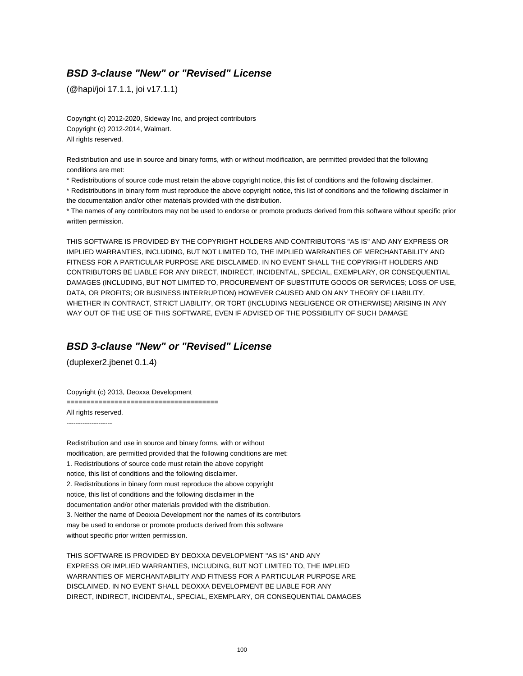# **BSD 3-clause "New" or "Revised" License**

(@hapi/joi 17.1.1, joi v17.1.1)

Copyright (c) 2012-2020, Sideway Inc, and project contributors Copyright (c) 2012-2014, Walmart. All rights reserved.

Redistribution and use in source and binary forms, with or without modification, are permitted provided that the following conditions are met:

\* Redistributions of source code must retain the above copyright notice, this list of conditions and the following disclaimer.

\* Redistributions in binary form must reproduce the above copyright notice, this list of conditions and the following disclaimer in the documentation and/or other materials provided with the distribution.

\* The names of any contributors may not be used to endorse or promote products derived from this software without specific prior written permission.

THIS SOFTWARE IS PROVIDED BY THE COPYRIGHT HOLDERS AND CONTRIBUTORS "AS IS" AND ANY EXPRESS OR IMPLIED WARRANTIES, INCLUDING, BUT NOT LIMITED TO, THE IMPLIED WARRANTIES OF MERCHANTABILITY AND FITNESS FOR A PARTICULAR PURPOSE ARE DISCLAIMED. IN NO EVENT SHALL THE COPYRIGHT HOLDERS AND CONTRIBUTORS BE LIABLE FOR ANY DIRECT, INDIRECT, INCIDENTAL, SPECIAL, EXEMPLARY, OR CONSEQUENTIAL DAMAGES (INCLUDING, BUT NOT LIMITED TO, PROCUREMENT OF SUBSTITUTE GOODS OR SERVICES; LOSS OF USE, DATA, OR PROFITS; OR BUSINESS INTERRUPTION) HOWEVER CAUSED AND ON ANY THEORY OF LIABILITY, WHETHER IN CONTRACT, STRICT LIABILITY, OR TORT (INCLUDING NEGLIGENCE OR OTHERWISE) ARISING IN ANY WAY OUT OF THE USE OF THIS SOFTWARE, EVEN IF ADVISED OF THE POSSIBILITY OF SUCH DAMAGE

# **BSD 3-clause "New" or "Revised" License**

(duplexer2.jbenet 0.1.4)

Copyright (c) 2013, Deoxxa Development

======================================

All rights reserved. --------------------

Redistribution and use in source and binary forms, with or without modification, are permitted provided that the following conditions are met: 1. Redistributions of source code must retain the above copyright notice, this list of conditions and the following disclaimer. 2. Redistributions in binary form must reproduce the above copyright notice, this list of conditions and the following disclaimer in the documentation and/or other materials provided with the distribution. 3. Neither the name of Deoxxa Development nor the names of its contributors may be used to endorse or promote products derived from this software without specific prior written permission.

THIS SOFTWARE IS PROVIDED BY DEOXXA DEVELOPMENT ''AS IS'' AND ANY EXPRESS OR IMPLIED WARRANTIES, INCLUDING, BUT NOT LIMITED TO, THE IMPLIED WARRANTIES OF MERCHANTABILITY AND FITNESS FOR A PARTICULAR PURPOSE ARE DISCLAIMED. IN NO EVENT SHALL DEOXXA DEVELOPMENT BE LIABLE FOR ANY DIRECT, INDIRECT, INCIDENTAL, SPECIAL, EXEMPLARY, OR CONSEQUENTIAL DAMAGES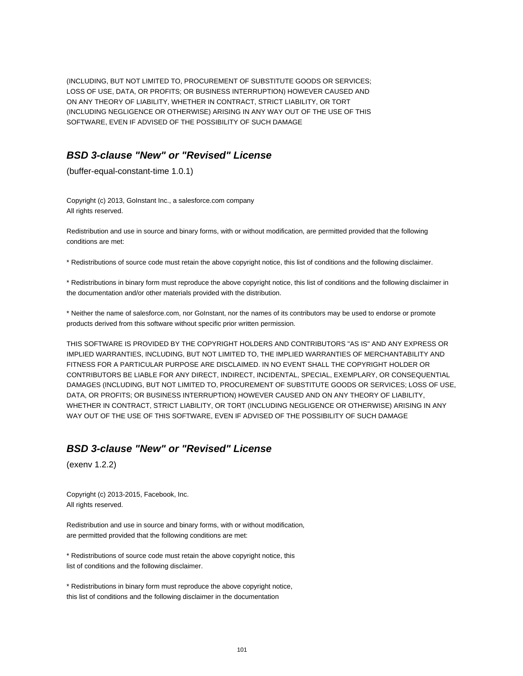(INCLUDING, BUT NOT LIMITED TO, PROCUREMENT OF SUBSTITUTE GOODS OR SERVICES; LOSS OF USE, DATA, OR PROFITS; OR BUSINESS INTERRUPTION) HOWEVER CAUSED AND ON ANY THEORY OF LIABILITY, WHETHER IN CONTRACT, STRICT LIABILITY, OR TORT (INCLUDING NEGLIGENCE OR OTHERWISE) ARISING IN ANY WAY OUT OF THE USE OF THIS SOFTWARE, EVEN IF ADVISED OF THE POSSIBILITY OF SUCH DAMAGE

# **BSD 3-clause "New" or "Revised" License**

(buffer-equal-constant-time 1.0.1)

Copyright (c) 2013, GoInstant Inc., a salesforce.com company All rights reserved.

Redistribution and use in source and binary forms, with or without modification, are permitted provided that the following conditions are met:

\* Redistributions of source code must retain the above copyright notice, this list of conditions and the following disclaimer.

\* Redistributions in binary form must reproduce the above copyright notice, this list of conditions and the following disclaimer in the documentation and/or other materials provided with the distribution.

\* Neither the name of salesforce.com, nor GoInstant, nor the names of its contributors may be used to endorse or promote products derived from this software without specific prior written permission.

THIS SOFTWARE IS PROVIDED BY THE COPYRIGHT HOLDERS AND CONTRIBUTORS "AS IS" AND ANY EXPRESS OR IMPLIED WARRANTIES, INCLUDING, BUT NOT LIMITED TO, THE IMPLIED WARRANTIES OF MERCHANTABILITY AND FITNESS FOR A PARTICULAR PURPOSE ARE DISCLAIMED. IN NO EVENT SHALL THE COPYRIGHT HOLDER OR CONTRIBUTORS BE LIABLE FOR ANY DIRECT, INDIRECT, INCIDENTAL, SPECIAL, EXEMPLARY, OR CONSEQUENTIAL DAMAGES (INCLUDING, BUT NOT LIMITED TO, PROCUREMENT OF SUBSTITUTE GOODS OR SERVICES; LOSS OF USE, DATA, OR PROFITS; OR BUSINESS INTERRUPTION) HOWEVER CAUSED AND ON ANY THEORY OF LIABILITY, WHETHER IN CONTRACT, STRICT LIABILITY, OR TORT (INCLUDING NEGLIGENCE OR OTHERWISE) ARISING IN ANY WAY OUT OF THE USE OF THIS SOFTWARE, EVEN IF ADVISED OF THE POSSIBILITY OF SUCH DAMAGE

### **BSD 3-clause "New" or "Revised" License**

(exenv 1.2.2)

Copyright (c) 2013-2015, Facebook, Inc. All rights reserved.

Redistribution and use in source and binary forms, with or without modification, are permitted provided that the following conditions are met:

\* Redistributions of source code must retain the above copyright notice, this list of conditions and the following disclaimer.

\* Redistributions in binary form must reproduce the above copyright notice, this list of conditions and the following disclaimer in the documentation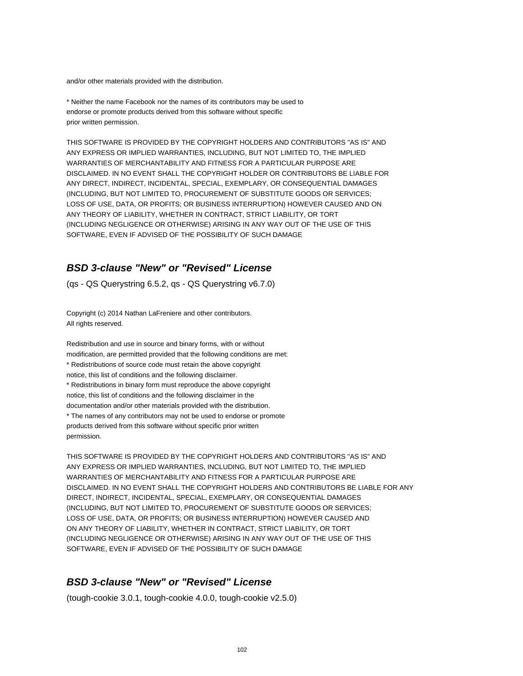and/or other materials provided with the distribution.

\* Neither the name Facebook nor the names of its contributors may be used to endorse or promote products derived from this software without specific prior written permission.

THIS SOFTWARE IS PROVIDED BY THE COPYRIGHT HOLDERS AND CONTRIBUTORS "AS IS" AND ANY EXPRESS OR IMPLIED WARRANTIES, INCLUDING, BUT NOT LIMITED TO, THE IMPLIED WARRANTIES OF MERCHANTABILITY AND FITNESS FOR A PARTICULAR PURPOSE ARE DISCLAIMED. IN NO EVENT SHALL THE COPYRIGHT HOLDER OR CONTRIBUTORS BE LIABLE FOR ANY DIRECT, INDIRECT, INCIDENTAL, SPECIAL, EXEMPLARY, OR CONSEQUENTIAL DAMAGES (INCLUDING, BUT NOT LIMITED TO, PROCUREMENT OF SUBSTITUTE GOODS OR SERVICES; LOSS OF USE, DATA, OR PROFITS; OR BUSINESS INTERRUPTION) HOWEVER CAUSED AND ON ANY THEORY OF LIABILITY, WHETHER IN CONTRACT, STRICT LIABILITY, OR TORT (INCLUDING NEGLIGENCE OR OTHERWISE) ARISING IN ANY WAY OUT OF THE USE OF THIS SOFTWARE, EVEN IF ADVISED OF THE POSSIBILITY OF SUCH DAMAGE

# **BSD 3-clause "New" or "Revised" License**

(qs - QS Querystring 6.5.2, qs - QS Querystring v6.7.0)

Copyright (c) 2014 Nathan LaFreniere and other contributors. All rights reserved.

Redistribution and use in source and binary forms, with or without modification, are permitted provided that the following conditions are met: \* Redistributions of source code must retain the above copyright notice, this list of conditions and the following disclaimer. \* Redistributions in binary form must reproduce the above copyright notice, this list of conditions and the following disclaimer in the documentation and/or other materials provided with the distribution. \* The names of any contributors may not be used to endorse or promote products derived from this software without specific prior written permission.

THIS SOFTWARE IS PROVIDED BY THE COPYRIGHT HOLDERS AND CONTRIBUTORS "AS IS" AND ANY EXPRESS OR IMPLIED WARRANTIES, INCLUDING, BUT NOT LIMITED TO, THE IMPLIED WARRANTIES OF MERCHANTABILITY AND FITNESS FOR A PARTICULAR PURPOSE ARE DISCLAIMED. IN NO EVENT SHALL THE COPYRIGHT HOLDERS AND CONTRIBUTORS BE LIABLE FOR ANY DIRECT, INDIRECT, INCIDENTAL, SPECIAL, EXEMPLARY, OR CONSEQUENTIAL DAMAGES (INCLUDING, BUT NOT LIMITED TO, PROCUREMENT OF SUBSTITUTE GOODS OR SERVICES; LOSS OF USE, DATA, OR PROFITS; OR BUSINESS INTERRUPTION) HOWEVER CAUSED AND ON ANY THEORY OF LIABILITY, WHETHER IN CONTRACT, STRICT LIABILITY, OR TORT (INCLUDING NEGLIGENCE OR OTHERWISE) ARISING IN ANY WAY OUT OF THE USE OF THIS SOFTWARE, EVEN IF ADVISED OF THE POSSIBILITY OF SUCH DAMAGE

#### **BSD 3-clause "New" or "Revised" License**

(tough-cookie 3.0.1, tough-cookie 4.0.0, tough-cookie v2.5.0)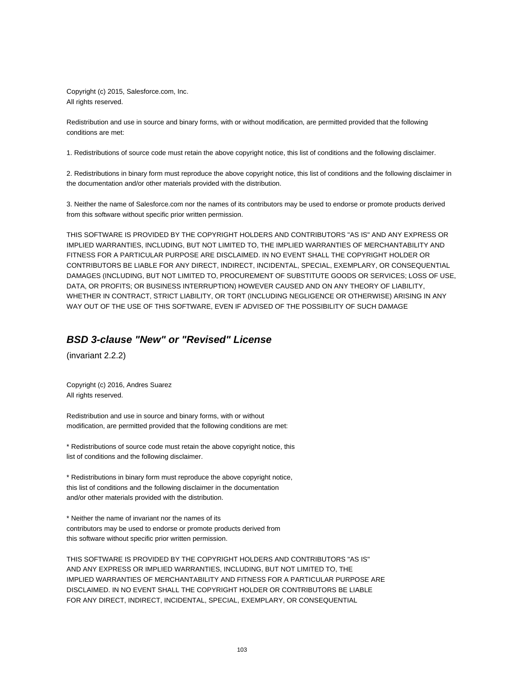Copyright (c) 2015, Salesforce.com, Inc. All rights reserved.

Redistribution and use in source and binary forms, with or without modification, are permitted provided that the following conditions are met:

1. Redistributions of source code must retain the above copyright notice, this list of conditions and the following disclaimer.

2. Redistributions in binary form must reproduce the above copyright notice, this list of conditions and the following disclaimer in the documentation and/or other materials provided with the distribution.

3. Neither the name of Salesforce.com nor the names of its contributors may be used to endorse or promote products derived from this software without specific prior written permission.

THIS SOFTWARE IS PROVIDED BY THE COPYRIGHT HOLDERS AND CONTRIBUTORS "AS IS" AND ANY EXPRESS OR IMPLIED WARRANTIES, INCLUDING, BUT NOT LIMITED TO, THE IMPLIED WARRANTIES OF MERCHANTABILITY AND FITNESS FOR A PARTICULAR PURPOSE ARE DISCLAIMED. IN NO EVENT SHALL THE COPYRIGHT HOLDER OR CONTRIBUTORS BE LIABLE FOR ANY DIRECT, INDIRECT, INCIDENTAL, SPECIAL, EXEMPLARY, OR CONSEQUENTIAL DAMAGES (INCLUDING, BUT NOT LIMITED TO, PROCUREMENT OF SUBSTITUTE GOODS OR SERVICES; LOSS OF USE, DATA, OR PROFITS; OR BUSINESS INTERRUPTION) HOWEVER CAUSED AND ON ANY THEORY OF LIABILITY, WHETHER IN CONTRACT, STRICT LIABILITY, OR TORT (INCLUDING NEGLIGENCE OR OTHERWISE) ARISING IN ANY WAY OUT OF THE USE OF THIS SOFTWARE, EVEN IF ADVISED OF THE POSSIBILITY OF SUCH DAMAGE

# **BSD 3-clause "New" or "Revised" License**

(invariant 2.2.2)

Copyright (c) 2016, Andres Suarez All rights reserved.

Redistribution and use in source and binary forms, with or without modification, are permitted provided that the following conditions are met:

\* Redistributions of source code must retain the above copyright notice, this list of conditions and the following disclaimer.

\* Redistributions in binary form must reproduce the above copyright notice, this list of conditions and the following disclaimer in the documentation and/or other materials provided with the distribution.

\* Neither the name of invariant nor the names of its contributors may be used to endorse or promote products derived from this software without specific prior written permission.

THIS SOFTWARE IS PROVIDED BY THE COPYRIGHT HOLDERS AND CONTRIBUTORS "AS IS" AND ANY EXPRESS OR IMPLIED WARRANTIES, INCLUDING, BUT NOT LIMITED TO, THE IMPLIED WARRANTIES OF MERCHANTABILITY AND FITNESS FOR A PARTICULAR PURPOSE ARE DISCLAIMED. IN NO EVENT SHALL THE COPYRIGHT HOLDER OR CONTRIBUTORS BE LIABLE FOR ANY DIRECT, INDIRECT, INCIDENTAL, SPECIAL, EXEMPLARY, OR CONSEQUENTIAL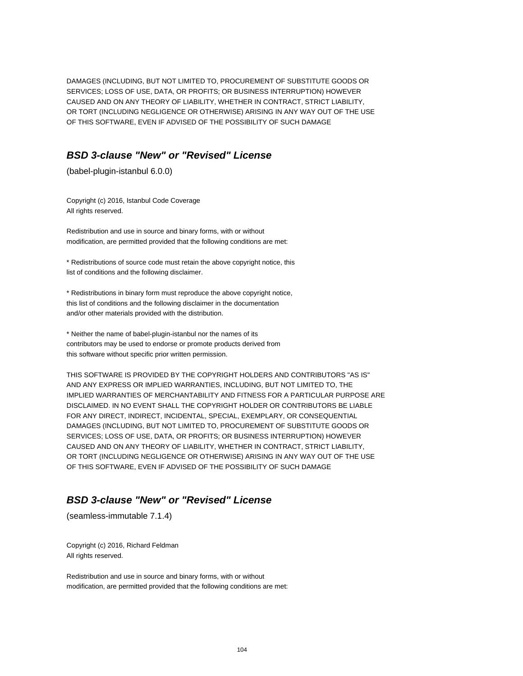DAMAGES (INCLUDING, BUT NOT LIMITED TO, PROCUREMENT OF SUBSTITUTE GOODS OR SERVICES; LOSS OF USE, DATA, OR PROFITS; OR BUSINESS INTERRUPTION) HOWEVER CAUSED AND ON ANY THEORY OF LIABILITY, WHETHER IN CONTRACT, STRICT LIABILITY, OR TORT (INCLUDING NEGLIGENCE OR OTHERWISE) ARISING IN ANY WAY OUT OF THE USE OF THIS SOFTWARE, EVEN IF ADVISED OF THE POSSIBILITY OF SUCH DAMAGE

# **BSD 3-clause "New" or "Revised" License**

(babel-plugin-istanbul 6.0.0)

Copyright (c) 2016, Istanbul Code Coverage All rights reserved.

Redistribution and use in source and binary forms, with or without modification, are permitted provided that the following conditions are met:

\* Redistributions of source code must retain the above copyright notice, this list of conditions and the following disclaimer.

\* Redistributions in binary form must reproduce the above copyright notice, this list of conditions and the following disclaimer in the documentation and/or other materials provided with the distribution.

\* Neither the name of babel-plugin-istanbul nor the names of its contributors may be used to endorse or promote products derived from this software without specific prior written permission.

THIS SOFTWARE IS PROVIDED BY THE COPYRIGHT HOLDERS AND CONTRIBUTORS "AS IS" AND ANY EXPRESS OR IMPLIED WARRANTIES, INCLUDING, BUT NOT LIMITED TO, THE IMPLIED WARRANTIES OF MERCHANTABILITY AND FITNESS FOR A PARTICULAR PURPOSE ARE DISCLAIMED. IN NO EVENT SHALL THE COPYRIGHT HOLDER OR CONTRIBUTORS BE LIABLE FOR ANY DIRECT, INDIRECT, INCIDENTAL, SPECIAL, EXEMPLARY, OR CONSEQUENTIAL DAMAGES (INCLUDING, BUT NOT LIMITED TO, PROCUREMENT OF SUBSTITUTE GOODS OR SERVICES; LOSS OF USE, DATA, OR PROFITS; OR BUSINESS INTERRUPTION) HOWEVER CAUSED AND ON ANY THEORY OF LIABILITY, WHETHER IN CONTRACT, STRICT LIABILITY, OR TORT (INCLUDING NEGLIGENCE OR OTHERWISE) ARISING IN ANY WAY OUT OF THE USE OF THIS SOFTWARE, EVEN IF ADVISED OF THE POSSIBILITY OF SUCH DAMAGE

# **BSD 3-clause "New" or "Revised" License**

(seamless-immutable 7.1.4)

Copyright (c) 2016, Richard Feldman All rights reserved.

Redistribution and use in source and binary forms, with or without modification, are permitted provided that the following conditions are met: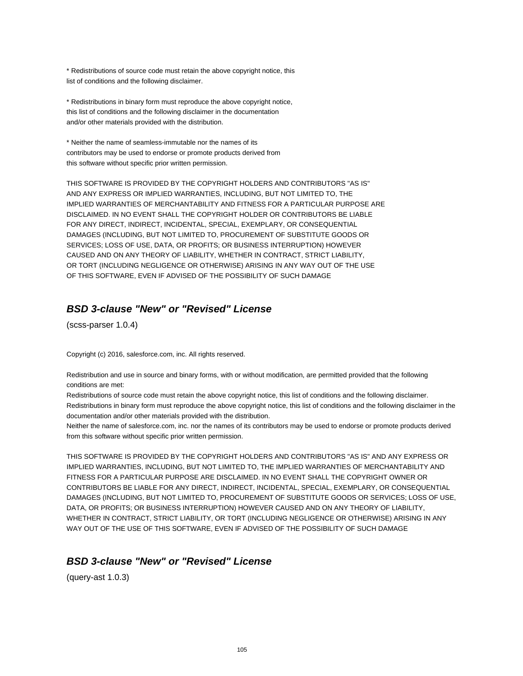\* Redistributions of source code must retain the above copyright notice, this list of conditions and the following disclaimer.

\* Redistributions in binary form must reproduce the above copyright notice, this list of conditions and the following disclaimer in the documentation and/or other materials provided with the distribution.

\* Neither the name of seamless-immutable nor the names of its contributors may be used to endorse or promote products derived from this software without specific prior written permission.

THIS SOFTWARE IS PROVIDED BY THE COPYRIGHT HOLDERS AND CONTRIBUTORS "AS IS" AND ANY EXPRESS OR IMPLIED WARRANTIES, INCLUDING, BUT NOT LIMITED TO, THE IMPLIED WARRANTIES OF MERCHANTABILITY AND FITNESS FOR A PARTICULAR PURPOSE ARE DISCLAIMED. IN NO EVENT SHALL THE COPYRIGHT HOLDER OR CONTRIBUTORS BE LIABLE FOR ANY DIRECT, INDIRECT, INCIDENTAL, SPECIAL, EXEMPLARY, OR CONSEQUENTIAL DAMAGES (INCLUDING, BUT NOT LIMITED TO, PROCUREMENT OF SUBSTITUTE GOODS OR SERVICES; LOSS OF USE, DATA, OR PROFITS; OR BUSINESS INTERRUPTION) HOWEVER CAUSED AND ON ANY THEORY OF LIABILITY, WHETHER IN CONTRACT, STRICT LIABILITY, OR TORT (INCLUDING NEGLIGENCE OR OTHERWISE) ARISING IN ANY WAY OUT OF THE USE OF THIS SOFTWARE, EVEN IF ADVISED OF THE POSSIBILITY OF SUCH DAMAGE

# **BSD 3-clause "New" or "Revised" License**

(scss-parser 1.0.4)

Copyright (c) 2016, salesforce.com, inc. All rights reserved.

Redistribution and use in source and binary forms, with or without modification, are permitted provided that the following conditions are met:

Redistributions of source code must retain the above copyright notice, this list of conditions and the following disclaimer. Redistributions in binary form must reproduce the above copyright notice, this list of conditions and the following disclaimer in the documentation and/or other materials provided with the distribution.

Neither the name of salesforce.com, inc. nor the names of its contributors may be used to endorse or promote products derived from this software without specific prior written permission.

THIS SOFTWARE IS PROVIDED BY THE COPYRIGHT HOLDERS AND CONTRIBUTORS "AS IS" AND ANY EXPRESS OR IMPLIED WARRANTIES, INCLUDING, BUT NOT LIMITED TO, THE IMPLIED WARRANTIES OF MERCHANTABILITY AND FITNESS FOR A PARTICULAR PURPOSE ARE DISCLAIMED. IN NO EVENT SHALL THE COPYRIGHT OWNER OR CONTRIBUTORS BE LIABLE FOR ANY DIRECT, INDIRECT, INCIDENTAL, SPECIAL, EXEMPLARY, OR CONSEQUENTIAL DAMAGES (INCLUDING, BUT NOT LIMITED TO, PROCUREMENT OF SUBSTITUTE GOODS OR SERVICES; LOSS OF USE, DATA, OR PROFITS; OR BUSINESS INTERRUPTION) HOWEVER CAUSED AND ON ANY THEORY OF LIABILITY, WHETHER IN CONTRACT, STRICT LIABILITY, OR TORT (INCLUDING NEGLIGENCE OR OTHERWISE) ARISING IN ANY WAY OUT OF THE USE OF THIS SOFTWARE, EVEN IF ADVISED OF THE POSSIBILITY OF SUCH DAMAGE

### **BSD 3-clause "New" or "Revised" License**

(query-ast 1.0.3)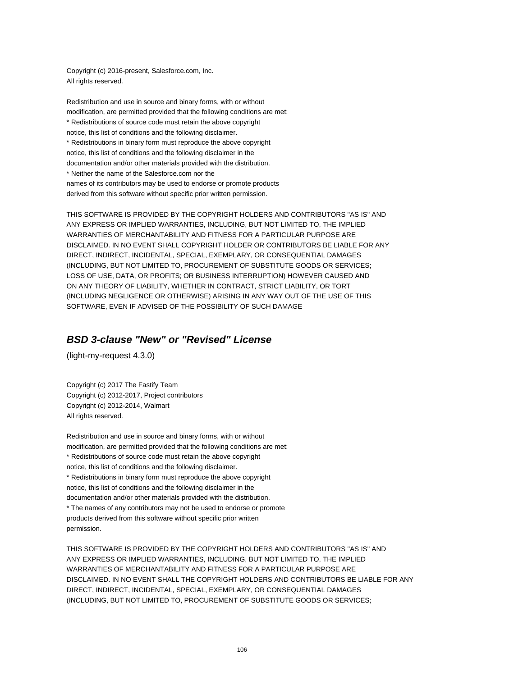Copyright (c) 2016-present, Salesforce.com, Inc. All rights reserved.

Redistribution and use in source and binary forms, with or without modification, are permitted provided that the following conditions are met: \* Redistributions of source code must retain the above copyright notice, this list of conditions and the following disclaimer. \* Redistributions in binary form must reproduce the above copyright notice, this list of conditions and the following disclaimer in the documentation and/or other materials provided with the distribution. \* Neither the name of the Salesforce.com nor the names of its contributors may be used to endorse or promote products derived from this software without specific prior written permission.

THIS SOFTWARE IS PROVIDED BY THE COPYRIGHT HOLDERS AND CONTRIBUTORS "AS IS" AND ANY EXPRESS OR IMPLIED WARRANTIES, INCLUDING, BUT NOT LIMITED TO, THE IMPLIED WARRANTIES OF MERCHANTABILITY AND FITNESS FOR A PARTICULAR PURPOSE ARE DISCLAIMED. IN NO EVENT SHALL COPYRIGHT HOLDER OR CONTRIBUTORS BE LIABLE FOR ANY DIRECT, INDIRECT, INCIDENTAL, SPECIAL, EXEMPLARY, OR CONSEQUENTIAL DAMAGES (INCLUDING, BUT NOT LIMITED TO, PROCUREMENT OF SUBSTITUTE GOODS OR SERVICES; LOSS OF USE, DATA, OR PROFITS; OR BUSINESS INTERRUPTION) HOWEVER CAUSED AND ON ANY THEORY OF LIABILITY, WHETHER IN CONTRACT, STRICT LIABILITY, OR TORT (INCLUDING NEGLIGENCE OR OTHERWISE) ARISING IN ANY WAY OUT OF THE USE OF THIS SOFTWARE, EVEN IF ADVISED OF THE POSSIBILITY OF SUCH DAMAGE

# **BSD 3-clause "New" or "Revised" License**

(light-my-request 4.3.0)

Copyright (c) 2017 The Fastify Team Copyright (c) 2012-2017, Project contributors Copyright (c) 2012-2014, Walmart All rights reserved.

Redistribution and use in source and binary forms, with or without modification, are permitted provided that the following conditions are met: \* Redistributions of source code must retain the above copyright notice, this list of conditions and the following disclaimer. \* Redistributions in binary form must reproduce the above copyright notice, this list of conditions and the following disclaimer in the documentation and/or other materials provided with the distribution. \* The names of any contributors may not be used to endorse or promote products derived from this software without specific prior written permission.

THIS SOFTWARE IS PROVIDED BY THE COPYRIGHT HOLDERS AND CONTRIBUTORS "AS IS" AND ANY EXPRESS OR IMPLIED WARRANTIES, INCLUDING, BUT NOT LIMITED TO, THE IMPLIED WARRANTIES OF MERCHANTABILITY AND FITNESS FOR A PARTICULAR PURPOSE ARE DISCLAIMED. IN NO EVENT SHALL THE COPYRIGHT HOLDERS AND CONTRIBUTORS BE LIABLE FOR ANY DIRECT, INDIRECT, INCIDENTAL, SPECIAL, EXEMPLARY, OR CONSEQUENTIAL DAMAGES (INCLUDING, BUT NOT LIMITED TO, PROCUREMENT OF SUBSTITUTE GOODS OR SERVICES;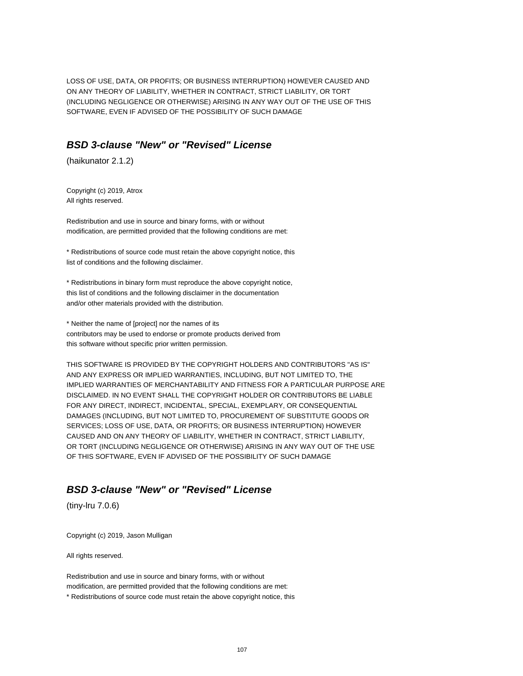LOSS OF USE, DATA, OR PROFITS; OR BUSINESS INTERRUPTION) HOWEVER CAUSED AND ON ANY THEORY OF LIABILITY, WHETHER IN CONTRACT, STRICT LIABILITY, OR TORT (INCLUDING NEGLIGENCE OR OTHERWISE) ARISING IN ANY WAY OUT OF THE USE OF THIS SOFTWARE, EVEN IF ADVISED OF THE POSSIBILITY OF SUCH DAMAGE

# **BSD 3-clause "New" or "Revised" License**

(haikunator 2.1.2)

Copyright (c) 2019, Atrox All rights reserved.

Redistribution and use in source and binary forms, with or without modification, are permitted provided that the following conditions are met:

\* Redistributions of source code must retain the above copyright notice, this list of conditions and the following disclaimer.

\* Redistributions in binary form must reproduce the above copyright notice, this list of conditions and the following disclaimer in the documentation and/or other materials provided with the distribution.

\* Neither the name of [project] nor the names of its contributors may be used to endorse or promote products derived from this software without specific prior written permission.

THIS SOFTWARE IS PROVIDED BY THE COPYRIGHT HOLDERS AND CONTRIBUTORS "AS IS" AND ANY EXPRESS OR IMPLIED WARRANTIES, INCLUDING, BUT NOT LIMITED TO, THE IMPLIED WARRANTIES OF MERCHANTABILITY AND FITNESS FOR A PARTICULAR PURPOSE ARE DISCLAIMED. IN NO EVENT SHALL THE COPYRIGHT HOLDER OR CONTRIBUTORS BE LIABLE FOR ANY DIRECT, INDIRECT, INCIDENTAL, SPECIAL, EXEMPLARY, OR CONSEQUENTIAL DAMAGES (INCLUDING, BUT NOT LIMITED TO, PROCUREMENT OF SUBSTITUTE GOODS OR SERVICES; LOSS OF USE, DATA, OR PROFITS; OR BUSINESS INTERRUPTION) HOWEVER CAUSED AND ON ANY THEORY OF LIABILITY, WHETHER IN CONTRACT, STRICT LIABILITY, OR TORT (INCLUDING NEGLIGENCE OR OTHERWISE) ARISING IN ANY WAY OUT OF THE USE OF THIS SOFTWARE, EVEN IF ADVISED OF THE POSSIBILITY OF SUCH DAMAGE

# **BSD 3-clause "New" or "Revised" License**

(tiny-lru 7.0.6)

Copyright (c) 2019, Jason Mulligan

All rights reserved.

Redistribution and use in source and binary forms, with or without modification, are permitted provided that the following conditions are met: \* Redistributions of source code must retain the above copyright notice, this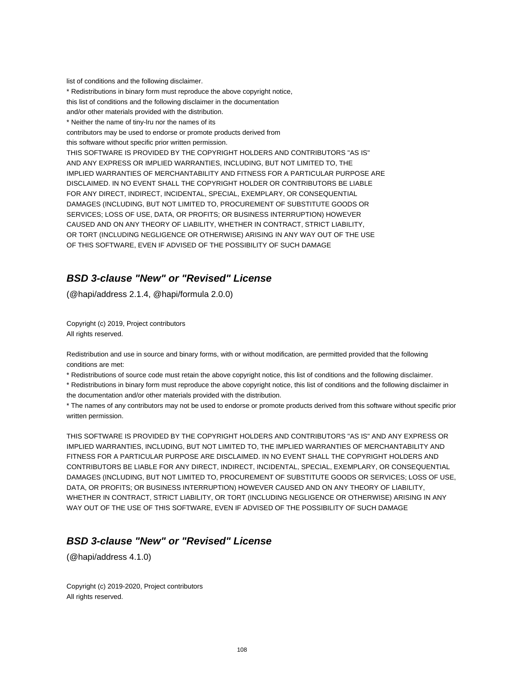list of conditions and the following disclaimer.

\* Redistributions in binary form must reproduce the above copyright notice, this list of conditions and the following disclaimer in the documentation and/or other materials provided with the distribution. \* Neither the name of tiny-lru nor the names of its contributors may be used to endorse or promote products derived from this software without specific prior written permission. THIS SOFTWARE IS PROVIDED BY THE COPYRIGHT HOLDERS AND CONTRIBUTORS "AS IS" AND ANY EXPRESS OR IMPLIED WARRANTIES, INCLUDING, BUT NOT LIMITED TO, THE IMPLIED WARRANTIES OF MERCHANTABILITY AND FITNESS FOR A PARTICULAR PURPOSE ARE DISCLAIMED. IN NO EVENT SHALL THE COPYRIGHT HOLDER OR CONTRIBUTORS BE LIABLE FOR ANY DIRECT, INDIRECT, INCIDENTAL, SPECIAL, EXEMPLARY, OR CONSEQUENTIAL DAMAGES (INCLUDING, BUT NOT LIMITED TO, PROCUREMENT OF SUBSTITUTE GOODS OR SERVICES; LOSS OF USE, DATA, OR PROFITS; OR BUSINESS INTERRUPTION) HOWEVER CAUSED AND ON ANY THEORY OF LIABILITY, WHETHER IN CONTRACT, STRICT LIABILITY, OR TORT (INCLUDING NEGLIGENCE OR OTHERWISE) ARISING IN ANY WAY OUT OF THE USE OF THIS SOFTWARE, EVEN IF ADVISED OF THE POSSIBILITY OF SUCH DAMAGE

### **BSD 3-clause "New" or "Revised" License**

(@hapi/address 2.1.4, @hapi/formula 2.0.0)

Copyright (c) 2019, Project contributors All rights reserved.

Redistribution and use in source and binary forms, with or without modification, are permitted provided that the following conditions are met:

\* Redistributions of source code must retain the above copyright notice, this list of conditions and the following disclaimer.

\* Redistributions in binary form must reproduce the above copyright notice, this list of conditions and the following disclaimer in the documentation and/or other materials provided with the distribution.

\* The names of any contributors may not be used to endorse or promote products derived from this software without specific prior written permission.

THIS SOFTWARE IS PROVIDED BY THE COPYRIGHT HOLDERS AND CONTRIBUTORS "AS IS" AND ANY EXPRESS OR IMPLIED WARRANTIES, INCLUDING, BUT NOT LIMITED TO, THE IMPLIED WARRANTIES OF MERCHANTABILITY AND FITNESS FOR A PARTICULAR PURPOSE ARE DISCLAIMED. IN NO EVENT SHALL THE COPYRIGHT HOLDERS AND CONTRIBUTORS BE LIABLE FOR ANY DIRECT, INDIRECT, INCIDENTAL, SPECIAL, EXEMPLARY, OR CONSEQUENTIAL DAMAGES (INCLUDING, BUT NOT LIMITED TO, PROCUREMENT OF SUBSTITUTE GOODS OR SERVICES; LOSS OF USE, DATA, OR PROFITS; OR BUSINESS INTERRUPTION) HOWEVER CAUSED AND ON ANY THEORY OF LIABILITY, WHETHER IN CONTRACT, STRICT LIABILITY, OR TORT (INCLUDING NEGLIGENCE OR OTHERWISE) ARISING IN ANY WAY OUT OF THE USE OF THIS SOFTWARE, EVEN IF ADVISED OF THE POSSIBILITY OF SUCH DAMAGE

# **BSD 3-clause "New" or "Revised" License**

(@hapi/address 4.1.0)

Copyright (c) 2019-2020, Project contributors All rights reserved.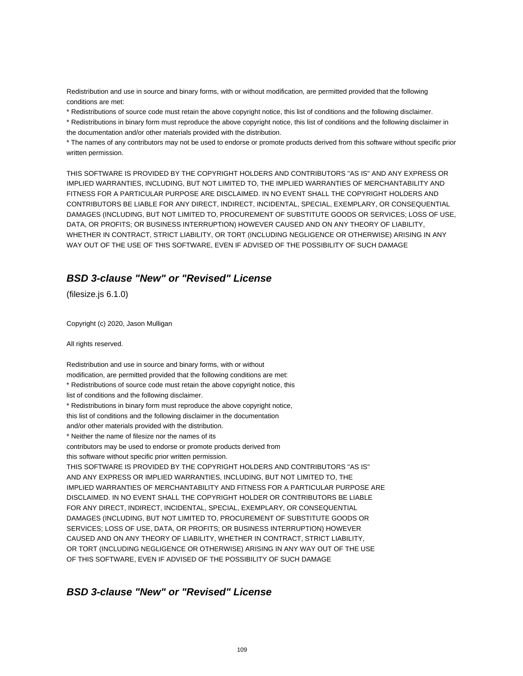Redistribution and use in source and binary forms, with or without modification, are permitted provided that the following conditions are met:

\* Redistributions of source code must retain the above copyright notice, this list of conditions and the following disclaimer.

\* Redistributions in binary form must reproduce the above copyright notice, this list of conditions and the following disclaimer in the documentation and/or other materials provided with the distribution.

\* The names of any contributors may not be used to endorse or promote products derived from this software without specific prior written permission.

THIS SOFTWARE IS PROVIDED BY THE COPYRIGHT HOLDERS AND CONTRIBUTORS "AS IS" AND ANY EXPRESS OR IMPLIED WARRANTIES, INCLUDING, BUT NOT LIMITED TO, THE IMPLIED WARRANTIES OF MERCHANTABILITY AND FITNESS FOR A PARTICULAR PURPOSE ARE DISCLAIMED. IN NO EVENT SHALL THE COPYRIGHT HOLDERS AND CONTRIBUTORS BE LIABLE FOR ANY DIRECT, INDIRECT, INCIDENTAL, SPECIAL, EXEMPLARY, OR CONSEQUENTIAL DAMAGES (INCLUDING, BUT NOT LIMITED TO, PROCUREMENT OF SUBSTITUTE GOODS OR SERVICES; LOSS OF USE, DATA, OR PROFITS; OR BUSINESS INTERRUPTION) HOWEVER CAUSED AND ON ANY THEORY OF LIABILITY, WHETHER IN CONTRACT, STRICT LIABILITY, OR TORT (INCLUDING NEGLIGENCE OR OTHERWISE) ARISING IN ANY WAY OUT OF THE USE OF THIS SOFTWARE, EVEN IF ADVISED OF THE POSSIBILITY OF SUCH DAMAGE

# **BSD 3-clause "New" or "Revised" License**

(filesize.js 6.1.0)

Copyright (c) 2020, Jason Mulligan

All rights reserved.

Redistribution and use in source and binary forms, with or without modification, are permitted provided that the following conditions are met: \* Redistributions of source code must retain the above copyright notice, this list of conditions and the following disclaimer. \* Redistributions in binary form must reproduce the above copyright notice, this list of conditions and the following disclaimer in the documentation and/or other materials provided with the distribution. \* Neither the name of filesize nor the names of its contributors may be used to endorse or promote products derived from this software without specific prior written permission. THIS SOFTWARE IS PROVIDED BY THE COPYRIGHT HOLDERS AND CONTRIBUTORS "AS IS" AND ANY EXPRESS OR IMPLIED WARRANTIES, INCLUDING, BUT NOT LIMITED TO, THE IMPLIED WARRANTIES OF MERCHANTABILITY AND FITNESS FOR A PARTICULAR PURPOSE ARE DISCLAIMED. IN NO EVENT SHALL THE COPYRIGHT HOLDER OR CONTRIBUTORS BE LIABLE FOR ANY DIRECT, INDIRECT, INCIDENTAL, SPECIAL, EXEMPLARY, OR CONSEQUENTIAL DAMAGES (INCLUDING, BUT NOT LIMITED TO, PROCUREMENT OF SUBSTITUTE GOODS OR SERVICES; LOSS OF USE, DATA, OR PROFITS; OR BUSINESS INTERRUPTION) HOWEVER CAUSED AND ON ANY THEORY OF LIABILITY, WHETHER IN CONTRACT, STRICT LIABILITY, OR TORT (INCLUDING NEGLIGENCE OR OTHERWISE) ARISING IN ANY WAY OUT OF THE USE OF THIS SOFTWARE, EVEN IF ADVISED OF THE POSSIBILITY OF SUCH DAMAGE

## **BSD 3-clause "New" or "Revised" License**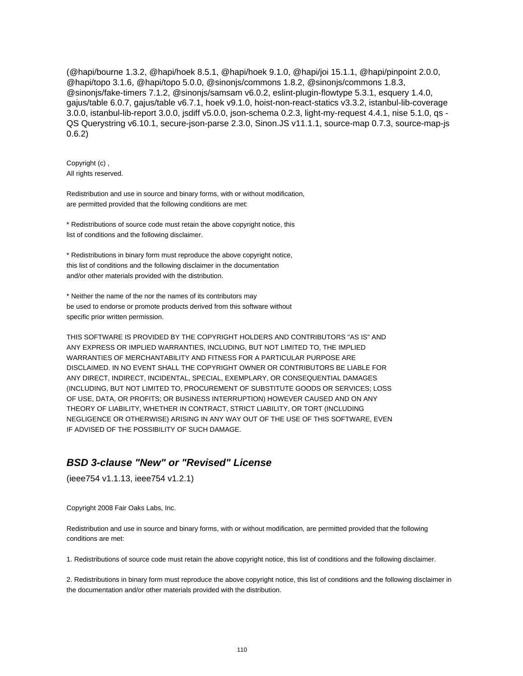(@hapi/bourne 1.3.2, @hapi/hoek 8.5.1, @hapi/hoek 9.1.0, @hapi/joi 15.1.1, @hapi/pinpoint 2.0.0, @hapi/topo 3.1.6, @hapi/topo 5.0.0, @sinonjs/commons 1.8.2, @sinonjs/commons 1.8.3, @sinonjs/fake-timers 7.1.2, @sinonjs/samsam v6.0.2, eslint-plugin-flowtype 5.3.1, esquery 1.4.0, gajus/table 6.0.7, gajus/table v6.7.1, hoek v9.1.0, hoist-non-react-statics v3.3.2, istanbul-lib-coverage 3.0.0, istanbul-lib-report 3.0.0, jsdiff v5.0.0, json-schema 0.2.3, light-my-request 4.4.1, nise 5.1.0, qs - QS Querystring v6.10.1, secure-json-parse 2.3.0, Sinon.JS v11.1.1, source-map 0.7.3, source-map-js 0.6.2)

Copyright (c) , All rights reserved.

Redistribution and use in source and binary forms, with or without modification, are permitted provided that the following conditions are met:

\* Redistributions of source code must retain the above copyright notice, this list of conditions and the following disclaimer.

\* Redistributions in binary form must reproduce the above copyright notice, this list of conditions and the following disclaimer in the documentation and/or other materials provided with the distribution.

\* Neither the name of the nor the names of its contributors may be used to endorse or promote products derived from this software without specific prior written permission.

THIS SOFTWARE IS PROVIDED BY THE COPYRIGHT HOLDERS AND CONTRIBUTORS "AS IS" AND ANY EXPRESS OR IMPLIED WARRANTIES, INCLUDING, BUT NOT LIMITED TO, THE IMPLIED WARRANTIES OF MERCHANTABILITY AND FITNESS FOR A PARTICULAR PURPOSE ARE DISCLAIMED. IN NO EVENT SHALL THE COPYRIGHT OWNER OR CONTRIBUTORS BE LIABLE FOR ANY DIRECT, INDIRECT, INCIDENTAL, SPECIAL, EXEMPLARY, OR CONSEQUENTIAL DAMAGES (INCLUDING, BUT NOT LIMITED TO, PROCUREMENT OF SUBSTITUTE GOODS OR SERVICES; LOSS OF USE, DATA, OR PROFITS; OR BUSINESS INTERRUPTION) HOWEVER CAUSED AND ON ANY THEORY OF LIABILITY, WHETHER IN CONTRACT, STRICT LIABILITY, OR TORT (INCLUDING NEGLIGENCE OR OTHERWISE) ARISING IN ANY WAY OUT OF THE USE OF THIS SOFTWARE, EVEN IF ADVISED OF THE POSSIBILITY OF SUCH DAMAGE.

# **BSD 3-clause "New" or "Revised" License**

(ieee754 v1.1.13, ieee754 v1.2.1)

Copyright 2008 Fair Oaks Labs, Inc.

Redistribution and use in source and binary forms, with or without modification, are permitted provided that the following conditions are met:

1. Redistributions of source code must retain the above copyright notice, this list of conditions and the following disclaimer.

2. Redistributions in binary form must reproduce the above copyright notice, this list of conditions and the following disclaimer in the documentation and/or other materials provided with the distribution.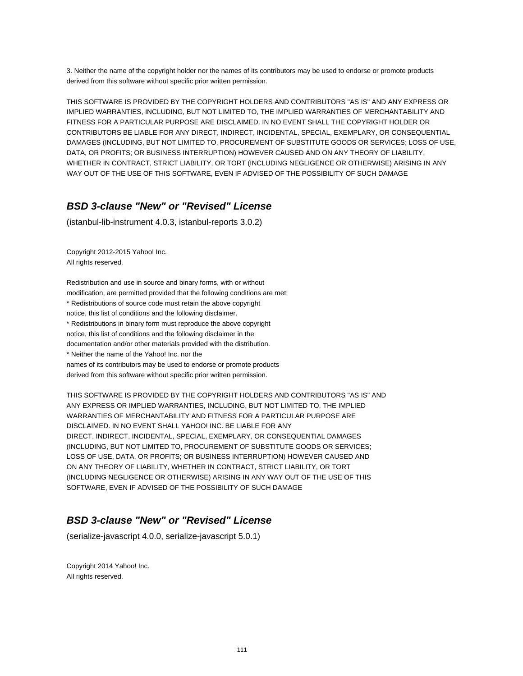3. Neither the name of the copyright holder nor the names of its contributors may be used to endorse or promote products derived from this software without specific prior written permission.

THIS SOFTWARE IS PROVIDED BY THE COPYRIGHT HOLDERS AND CONTRIBUTORS "AS IS" AND ANY EXPRESS OR IMPLIED WARRANTIES, INCLUDING, BUT NOT LIMITED TO, THE IMPLIED WARRANTIES OF MERCHANTABILITY AND FITNESS FOR A PARTICULAR PURPOSE ARE DISCLAIMED. IN NO EVENT SHALL THE COPYRIGHT HOLDER OR CONTRIBUTORS BE LIABLE FOR ANY DIRECT, INDIRECT, INCIDENTAL, SPECIAL, EXEMPLARY, OR CONSEQUENTIAL DAMAGES (INCLUDING, BUT NOT LIMITED TO, PROCUREMENT OF SUBSTITUTE GOODS OR SERVICES; LOSS OF USE, DATA, OR PROFITS; OR BUSINESS INTERRUPTION) HOWEVER CAUSED AND ON ANY THEORY OF LIABILITY, WHETHER IN CONTRACT, STRICT LIABILITY, OR TORT (INCLUDING NEGLIGENCE OR OTHERWISE) ARISING IN ANY WAY OUT OF THE USE OF THIS SOFTWARE, EVEN IF ADVISED OF THE POSSIBILITY OF SUCH DAMAGE

# **BSD 3-clause "New" or "Revised" License**

(istanbul-lib-instrument 4.0.3, istanbul-reports 3.0.2)

Copyright 2012-2015 Yahoo! Inc. All rights reserved.

Redistribution and use in source and binary forms, with or without modification, are permitted provided that the following conditions are met: \* Redistributions of source code must retain the above copyright notice, this list of conditions and the following disclaimer. \* Redistributions in binary form must reproduce the above copyright notice, this list of conditions and the following disclaimer in the documentation and/or other materials provided with the distribution. \* Neither the name of the Yahoo! Inc. nor the names of its contributors may be used to endorse or promote products derived from this software without specific prior written permission.

THIS SOFTWARE IS PROVIDED BY THE COPYRIGHT HOLDERS AND CONTRIBUTORS "AS IS" AND ANY EXPRESS OR IMPLIED WARRANTIES, INCLUDING, BUT NOT LIMITED TO, THE IMPLIED WARRANTIES OF MERCHANTABILITY AND FITNESS FOR A PARTICULAR PURPOSE ARE DISCLAIMED. IN NO EVENT SHALL YAHOO! INC. BE LIABLE FOR ANY DIRECT, INDIRECT, INCIDENTAL, SPECIAL, EXEMPLARY, OR CONSEQUENTIAL DAMAGES (INCLUDING, BUT NOT LIMITED TO, PROCUREMENT OF SUBSTITUTE GOODS OR SERVICES; LOSS OF USE, DATA, OR PROFITS; OR BUSINESS INTERRUPTION) HOWEVER CAUSED AND ON ANY THEORY OF LIABILITY, WHETHER IN CONTRACT, STRICT LIABILITY, OR TORT (INCLUDING NEGLIGENCE OR OTHERWISE) ARISING IN ANY WAY OUT OF THE USE OF THIS SOFTWARE, EVEN IF ADVISED OF THE POSSIBILITY OF SUCH DAMAGE

# **BSD 3-clause "New" or "Revised" License**

(serialize-javascript 4.0.0, serialize-javascript 5.0.1)

Copyright 2014 Yahoo! Inc. All rights reserved.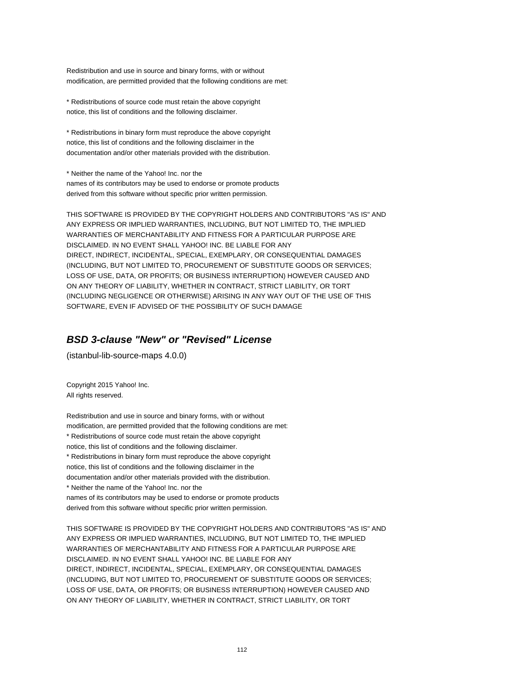Redistribution and use in source and binary forms, with or without modification, are permitted provided that the following conditions are met:

\* Redistributions of source code must retain the above copyright notice, this list of conditions and the following disclaimer.

\* Redistributions in binary form must reproduce the above copyright notice, this list of conditions and the following disclaimer in the documentation and/or other materials provided with the distribution.

\* Neither the name of the Yahoo! Inc. nor the names of its contributors may be used to endorse or promote products derived from this software without specific prior written permission.

THIS SOFTWARE IS PROVIDED BY THE COPYRIGHT HOLDERS AND CONTRIBUTORS "AS IS" AND ANY EXPRESS OR IMPLIED WARRANTIES, INCLUDING, BUT NOT LIMITED TO, THE IMPLIED WARRANTIES OF MERCHANTABILITY AND FITNESS FOR A PARTICULAR PURPOSE ARE DISCLAIMED. IN NO EVENT SHALL YAHOO! INC. BE LIABLE FOR ANY DIRECT, INDIRECT, INCIDENTAL, SPECIAL, EXEMPLARY, OR CONSEQUENTIAL DAMAGES (INCLUDING, BUT NOT LIMITED TO, PROCUREMENT OF SUBSTITUTE GOODS OR SERVICES; LOSS OF USE, DATA, OR PROFITS; OR BUSINESS INTERRUPTION) HOWEVER CAUSED AND ON ANY THEORY OF LIABILITY, WHETHER IN CONTRACT, STRICT LIABILITY, OR TORT (INCLUDING NEGLIGENCE OR OTHERWISE) ARISING IN ANY WAY OUT OF THE USE OF THIS SOFTWARE, EVEN IF ADVISED OF THE POSSIBILITY OF SUCH DAMAGE

# **BSD 3-clause "New" or "Revised" License**

(istanbul-lib-source-maps 4.0.0)

Copyright 2015 Yahoo! Inc. All rights reserved.

Redistribution and use in source and binary forms, with or without modification, are permitted provided that the following conditions are met: \* Redistributions of source code must retain the above copyright notice, this list of conditions and the following disclaimer. \* Redistributions in binary form must reproduce the above copyright notice, this list of conditions and the following disclaimer in the documentation and/or other materials provided with the distribution. \* Neither the name of the Yahoo! Inc. nor the names of its contributors may be used to endorse or promote products derived from this software without specific prior written permission.

THIS SOFTWARE IS PROVIDED BY THE COPYRIGHT HOLDERS AND CONTRIBUTORS "AS IS" AND ANY EXPRESS OR IMPLIED WARRANTIES, INCLUDING, BUT NOT LIMITED TO, THE IMPLIED WARRANTIES OF MERCHANTABILITY AND FITNESS FOR A PARTICULAR PURPOSE ARE DISCLAIMED. IN NO EVENT SHALL YAHOO! INC. BE LIABLE FOR ANY DIRECT, INDIRECT, INCIDENTAL, SPECIAL, EXEMPLARY, OR CONSEQUENTIAL DAMAGES (INCLUDING, BUT NOT LIMITED TO, PROCUREMENT OF SUBSTITUTE GOODS OR SERVICES; LOSS OF USE, DATA, OR PROFITS; OR BUSINESS INTERRUPTION) HOWEVER CAUSED AND ON ANY THEORY OF LIABILITY, WHETHER IN CONTRACT, STRICT LIABILITY, OR TORT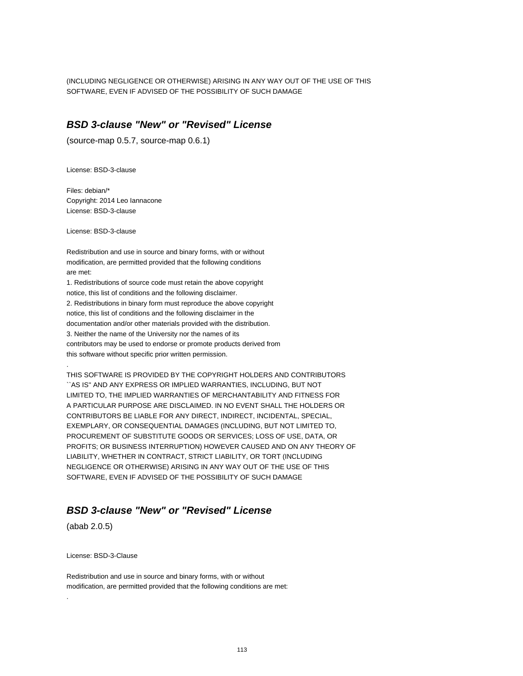(INCLUDING NEGLIGENCE OR OTHERWISE) ARISING IN ANY WAY OUT OF THE USE OF THIS SOFTWARE, EVEN IF ADVISED OF THE POSSIBILITY OF SUCH DAMAGE

## **BSD 3-clause "New" or "Revised" License**

(source-map 0.5.7, source-map 0.6.1)

License: BSD-3-clause

Files: debian/\* Copyright: 2014 Leo Iannacone License: BSD-3-clause

License: BSD-3-clause

Redistribution and use in source and binary forms, with or without modification, are permitted provided that the following conditions are met:

1. Redistributions of source code must retain the above copyright notice, this list of conditions and the following disclaimer. 2. Redistributions in binary form must reproduce the above copyright notice, this list of conditions and the following disclaimer in the documentation and/or other materials provided with the distribution. 3. Neither the name of the University nor the names of its contributors may be used to endorse or promote products derived from this software without specific prior written permission.

THIS SOFTWARE IS PROVIDED BY THE COPYRIGHT HOLDERS AND CONTRIBUTORS ``AS IS'' AND ANY EXPRESS OR IMPLIED WARRANTIES, INCLUDING, BUT NOT LIMITED TO, THE IMPLIED WARRANTIES OF MERCHANTABILITY AND FITNESS FOR A PARTICULAR PURPOSE ARE DISCLAIMED. IN NO EVENT SHALL THE HOLDERS OR CONTRIBUTORS BE LIABLE FOR ANY DIRECT, INDIRECT, INCIDENTAL, SPECIAL, EXEMPLARY, OR CONSEQUENTIAL DAMAGES (INCLUDING, BUT NOT LIMITED TO, PROCUREMENT OF SUBSTITUTE GOODS OR SERVICES; LOSS OF USE, DATA, OR PROFITS; OR BUSINESS INTERRUPTION) HOWEVER CAUSED AND ON ANY THEORY OF LIABILITY, WHETHER IN CONTRACT, STRICT LIABILITY, OR TORT (INCLUDING NEGLIGENCE OR OTHERWISE) ARISING IN ANY WAY OUT OF THE USE OF THIS SOFTWARE, EVEN IF ADVISED OF THE POSSIBILITY OF SUCH DAMAGE

# **BSD 3-clause "New" or "Revised" License**

(abab 2.0.5)

.

.

License: BSD-3-Clause

Redistribution and use in source and binary forms, with or without modification, are permitted provided that the following conditions are met: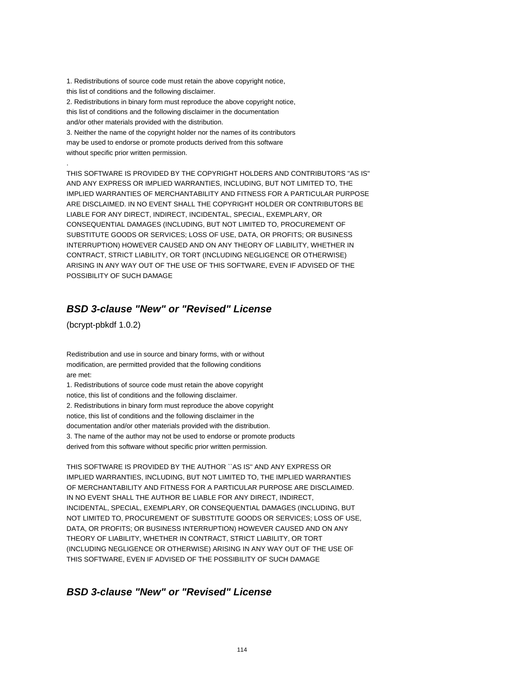1. Redistributions of source code must retain the above copyright notice, this list of conditions and the following disclaimer. 2. Redistributions in binary form must reproduce the above copyright notice, this list of conditions and the following disclaimer in the documentation

and/or other materials provided with the distribution.

3. Neither the name of the copyright holder nor the names of its contributors may be used to endorse or promote products derived from this software without specific prior written permission.

THIS SOFTWARE IS PROVIDED BY THE COPYRIGHT HOLDERS AND CONTRIBUTORS "AS IS" AND ANY EXPRESS OR IMPLIED WARRANTIES, INCLUDING, BUT NOT LIMITED TO, THE IMPLIED WARRANTIES OF MERCHANTABILITY AND FITNESS FOR A PARTICULAR PURPOSE ARE DISCLAIMED. IN NO EVENT SHALL THE COPYRIGHT HOLDER OR CONTRIBUTORS BE LIABLE FOR ANY DIRECT, INDIRECT, INCIDENTAL, SPECIAL, EXEMPLARY, OR CONSEQUENTIAL DAMAGES (INCLUDING, BUT NOT LIMITED TO, PROCUREMENT OF SUBSTITUTE GOODS OR SERVICES; LOSS OF USE, DATA, OR PROFITS; OR BUSINESS INTERRUPTION) HOWEVER CAUSED AND ON ANY THEORY OF LIABILITY, WHETHER IN CONTRACT, STRICT LIABILITY, OR TORT (INCLUDING NEGLIGENCE OR OTHERWISE) ARISING IN ANY WAY OUT OF THE USE OF THIS SOFTWARE, EVEN IF ADVISED OF THE POSSIBILITY OF SUCH DAMAGE

# **BSD 3-clause "New" or "Revised" License**

(bcrypt-pbkdf 1.0.2)

.

Redistribution and use in source and binary forms, with or without modification, are permitted provided that the following conditions are met:

1. Redistributions of source code must retain the above copyright notice, this list of conditions and the following disclaimer. 2. Redistributions in binary form must reproduce the above copyright notice, this list of conditions and the following disclaimer in the documentation and/or other materials provided with the distribution. 3. The name of the author may not be used to endorse or promote products derived from this software without specific prior written permission.

THIS SOFTWARE IS PROVIDED BY THE AUTHOR ``AS IS'' AND ANY EXPRESS OR IMPLIED WARRANTIES, INCLUDING, BUT NOT LIMITED TO, THE IMPLIED WARRANTIES OF MERCHANTABILITY AND FITNESS FOR A PARTICULAR PURPOSE ARE DISCLAIMED. IN NO EVENT SHALL THE AUTHOR BE LIABLE FOR ANY DIRECT, INDIRECT, INCIDENTAL, SPECIAL, EXEMPLARY, OR CONSEQUENTIAL DAMAGES (INCLUDING, BUT NOT LIMITED TO, PROCUREMENT OF SUBSTITUTE GOODS OR SERVICES; LOSS OF USE, DATA, OR PROFITS; OR BUSINESS INTERRUPTION) HOWEVER CAUSED AND ON ANY THEORY OF LIABILITY, WHETHER IN CONTRACT, STRICT LIABILITY, OR TORT (INCLUDING NEGLIGENCE OR OTHERWISE) ARISING IN ANY WAY OUT OF THE USE OF THIS SOFTWARE, EVEN IF ADVISED OF THE POSSIBILITY OF SUCH DAMAGE

# **BSD 3-clause "New" or "Revised" License**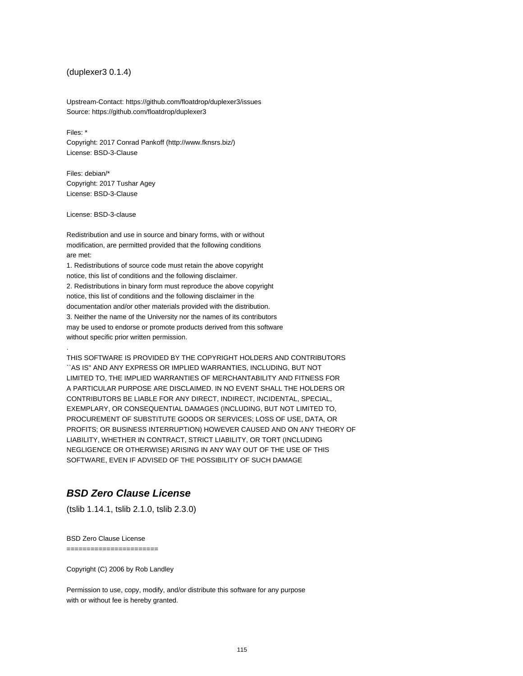## (duplexer3 0.1.4)

Upstream-Contact: https://github.com/floatdrop/duplexer3/issues Source: https://github.com/floatdrop/duplexer3

Files: \* Copyright: 2017 Conrad Pankoff (http://www.fknsrs.biz/) License: BSD-3-Clause

Files: debian/\* Copyright: 2017 Tushar Agey License: BSD-3-Clause

License: BSD-3-clause

.

Redistribution and use in source and binary forms, with or without modification, are permitted provided that the following conditions are met:

1. Redistributions of source code must retain the above copyright notice, this list of conditions and the following disclaimer. 2. Redistributions in binary form must reproduce the above copyright notice, this list of conditions and the following disclaimer in the documentation and/or other materials provided with the distribution. 3. Neither the name of the University nor the names of its contributors may be used to endorse or promote products derived from this software without specific prior written permission.

THIS SOFTWARE IS PROVIDED BY THE COPYRIGHT HOLDERS AND CONTRIBUTORS ``AS IS'' AND ANY EXPRESS OR IMPLIED WARRANTIES, INCLUDING, BUT NOT LIMITED TO, THE IMPLIED WARRANTIES OF MERCHANTABILITY AND FITNESS FOR A PARTICULAR PURPOSE ARE DISCLAIMED. IN NO EVENT SHALL THE HOLDERS OR CONTRIBUTORS BE LIABLE FOR ANY DIRECT, INDIRECT, INCIDENTAL, SPECIAL, EXEMPLARY, OR CONSEQUENTIAL DAMAGES (INCLUDING, BUT NOT LIMITED TO, PROCUREMENT OF SUBSTITUTE GOODS OR SERVICES; LOSS OF USE, DATA, OR PROFITS; OR BUSINESS INTERRUPTION) HOWEVER CAUSED AND ON ANY THEORY OF LIABILITY, WHETHER IN CONTRACT, STRICT LIABILITY, OR TORT (INCLUDING NEGLIGENCE OR OTHERWISE) ARISING IN ANY WAY OUT OF THE USE OF THIS SOFTWARE, EVEN IF ADVISED OF THE POSSIBILITY OF SUCH DAMAGE

# **BSD Zero Clause License**

(tslib 1.14.1, tslib 2.1.0, tslib 2.3.0)

BSD Zero Clause License

=======================

Copyright (C) 2006 by Rob Landley

Permission to use, copy, modify, and/or distribute this software for any purpose with or without fee is hereby granted.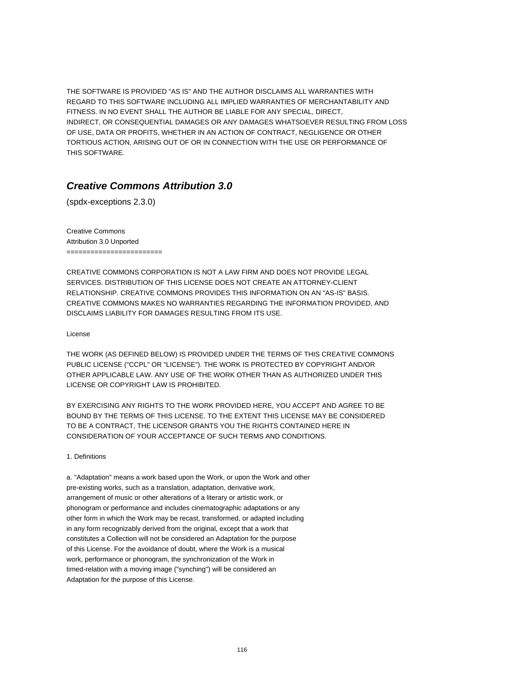THE SOFTWARE IS PROVIDED "AS IS" AND THE AUTHOR DISCLAIMS ALL WARRANTIES WITH REGARD TO THIS SOFTWARE INCLUDING ALL IMPLIED WARRANTIES OF MERCHANTABILITY AND FITNESS. IN NO EVENT SHALL THE AUTHOR BE LIABLE FOR ANY SPECIAL, DIRECT, INDIRECT, OR CONSEQUENTIAL DAMAGES OR ANY DAMAGES WHATSOEVER RESULTING FROM LOSS OF USE, DATA OR PROFITS, WHETHER IN AN ACTION OF CONTRACT, NEGLIGENCE OR OTHER TORTIOUS ACTION, ARISING OUT OF OR IN CONNECTION WITH THE USE OR PERFORMANCE OF THIS SOFTWARE.

# **Creative Commons Attribution 3.0**

(spdx-exceptions 2.3.0)

Creative Commons Attribution 3.0 Unported ========================

CREATIVE COMMONS CORPORATION IS NOT A LAW FIRM AND DOES NOT PROVIDE LEGAL SERVICES. DISTRIBUTION OF THIS LICENSE DOES NOT CREATE AN ATTORNEY-CLIENT RELATIONSHIP. CREATIVE COMMONS PROVIDES THIS INFORMATION ON AN "AS-IS" BASIS. CREATIVE COMMONS MAKES NO WARRANTIES REGARDING THE INFORMATION PROVIDED, AND DISCLAIMS LIABILITY FOR DAMAGES RESULTING FROM ITS USE.

License

THE WORK (AS DEFINED BELOW) IS PROVIDED UNDER THE TERMS OF THIS CREATIVE COMMONS PUBLIC LICENSE ("CCPL" OR "LICENSE"). THE WORK IS PROTECTED BY COPYRIGHT AND/OR OTHER APPLICABLE LAW. ANY USE OF THE WORK OTHER THAN AS AUTHORIZED UNDER THIS LICENSE OR COPYRIGHT LAW IS PROHIBITED.

BY EXERCISING ANY RIGHTS TO THE WORK PROVIDED HERE, YOU ACCEPT AND AGREE TO BE BOUND BY THE TERMS OF THIS LICENSE. TO THE EXTENT THIS LICENSE MAY BE CONSIDERED TO BE A CONTRACT, THE LICENSOR GRANTS YOU THE RIGHTS CONTAINED HERE IN CONSIDERATION OF YOUR ACCEPTANCE OF SUCH TERMS AND CONDITIONS.

1. Definitions

a. "Adaptation" means a work based upon the Work, or upon the Work and other pre-existing works, such as a translation, adaptation, derivative work, arrangement of music or other alterations of a literary or artistic work, or phonogram or performance and includes cinematographic adaptations or any other form in which the Work may be recast, transformed, or adapted including in any form recognizably derived from the original, except that a work that constitutes a Collection will not be considered an Adaptation for the purpose of this License. For the avoidance of doubt, where the Work is a musical work, performance or phonogram, the synchronization of the Work in timed-relation with a moving image ("synching") will be considered an Adaptation for the purpose of this License.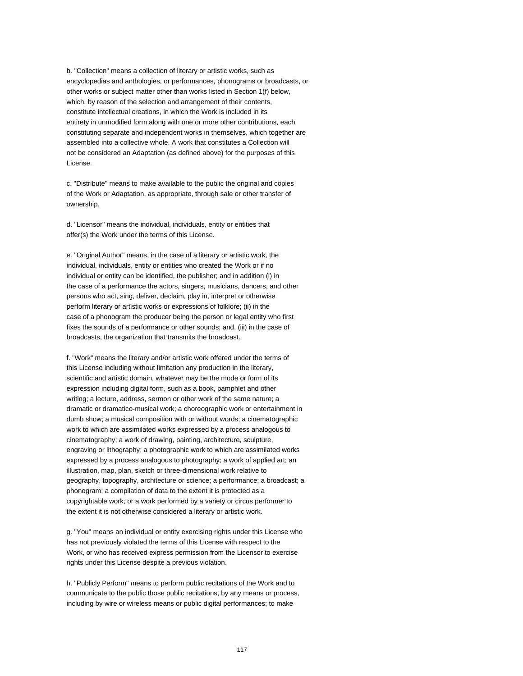b. "Collection" means a collection of literary or artistic works, such as encyclopedias and anthologies, or performances, phonograms or broadcasts, or other works or subject matter other than works listed in Section 1(f) below, which, by reason of the selection and arrangement of their contents, constitute intellectual creations, in which the Work is included in its entirety in unmodified form along with one or more other contributions, each constituting separate and independent works in themselves, which together are assembled into a collective whole. A work that constitutes a Collection will not be considered an Adaptation (as defined above) for the purposes of this License.

c. "Distribute" means to make available to the public the original and copies of the Work or Adaptation, as appropriate, through sale or other transfer of ownership.

d. "Licensor" means the individual, individuals, entity or entities that offer(s) the Work under the terms of this License.

e. "Original Author" means, in the case of a literary or artistic work, the individual, individuals, entity or entities who created the Work or if no individual or entity can be identified, the publisher; and in addition (i) in the case of a performance the actors, singers, musicians, dancers, and other persons who act, sing, deliver, declaim, play in, interpret or otherwise perform literary or artistic works or expressions of folklore; (ii) in the case of a phonogram the producer being the person or legal entity who first fixes the sounds of a performance or other sounds; and, (iii) in the case of broadcasts, the organization that transmits the broadcast.

f. "Work" means the literary and/or artistic work offered under the terms of this License including without limitation any production in the literary, scientific and artistic domain, whatever may be the mode or form of its expression including digital form, such as a book, pamphlet and other writing; a lecture, address, sermon or other work of the same nature; a dramatic or dramatico-musical work; a choreographic work or entertainment in dumb show; a musical composition with or without words; a cinematographic work to which are assimilated works expressed by a process analogous to cinematography; a work of drawing, painting, architecture, sculpture, engraving or lithography; a photographic work to which are assimilated works expressed by a process analogous to photography; a work of applied art; an illustration, map, plan, sketch or three-dimensional work relative to geography, topography, architecture or science; a performance; a broadcast; a phonogram; a compilation of data to the extent it is protected as a copyrightable work; or a work performed by a variety or circus performer to the extent it is not otherwise considered a literary or artistic work.

g. "You" means an individual or entity exercising rights under this License who has not previously violated the terms of this License with respect to the Work, or who has received express permission from the Licensor to exercise rights under this License despite a previous violation.

h. "Publicly Perform" means to perform public recitations of the Work and to communicate to the public those public recitations, by any means or process, including by wire or wireless means or public digital performances; to make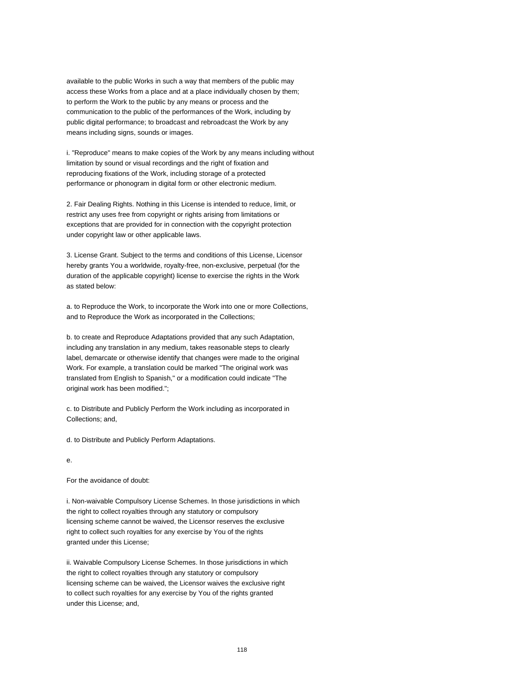available to the public Works in such a way that members of the public may access these Works from a place and at a place individually chosen by them; to perform the Work to the public by any means or process and the communication to the public of the performances of the Work, including by public digital performance; to broadcast and rebroadcast the Work by any means including signs, sounds or images.

i. "Reproduce" means to make copies of the Work by any means including without limitation by sound or visual recordings and the right of fixation and reproducing fixations of the Work, including storage of a protected performance or phonogram in digital form or other electronic medium.

2. Fair Dealing Rights. Nothing in this License is intended to reduce, limit, or restrict any uses free from copyright or rights arising from limitations or exceptions that are provided for in connection with the copyright protection under copyright law or other applicable laws.

3. License Grant. Subject to the terms and conditions of this License, Licensor hereby grants You a worldwide, royalty-free, non-exclusive, perpetual (for the duration of the applicable copyright) license to exercise the rights in the Work as stated below:

a. to Reproduce the Work, to incorporate the Work into one or more Collections, and to Reproduce the Work as incorporated in the Collections;

b. to create and Reproduce Adaptations provided that any such Adaptation, including any translation in any medium, takes reasonable steps to clearly label, demarcate or otherwise identify that changes were made to the original Work. For example, a translation could be marked "The original work was translated from English to Spanish," or a modification could indicate "The original work has been modified.";

c. to Distribute and Publicly Perform the Work including as incorporated in Collections; and,

d. to Distribute and Publicly Perform Adaptations.

## e.

For the avoidance of doubt:

i. Non-waivable Compulsory License Schemes. In those jurisdictions in which the right to collect royalties through any statutory or compulsory licensing scheme cannot be waived, the Licensor reserves the exclusive right to collect such royalties for any exercise by You of the rights granted under this License;

ii. Waivable Compulsory License Schemes. In those jurisdictions in which the right to collect royalties through any statutory or compulsory licensing scheme can be waived, the Licensor waives the exclusive right to collect such royalties for any exercise by You of the rights granted under this License; and,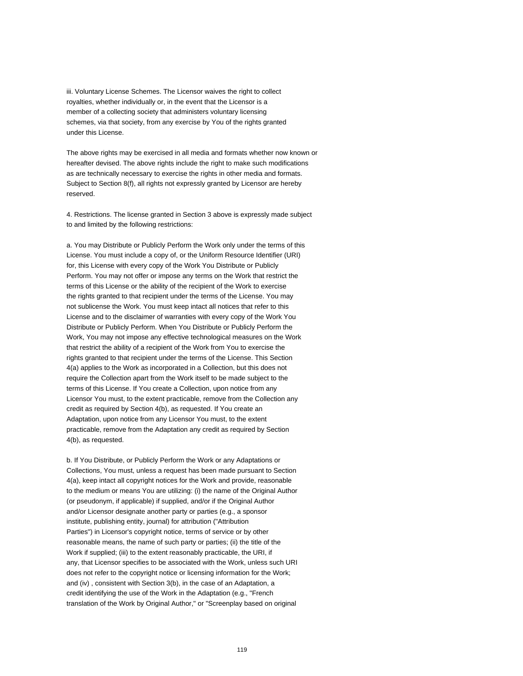iii. Voluntary License Schemes. The Licensor waives the right to collect royalties, whether individually or, in the event that the Licensor is a member of a collecting society that administers voluntary licensing schemes, via that society, from any exercise by You of the rights granted under this License.

The above rights may be exercised in all media and formats whether now known or hereafter devised. The above rights include the right to make such modifications as are technically necessary to exercise the rights in other media and formats. Subject to Section 8(f), all rights not expressly granted by Licensor are hereby reserved.

4. Restrictions. The license granted in Section 3 above is expressly made subject to and limited by the following restrictions:

a. You may Distribute or Publicly Perform the Work only under the terms of this License. You must include a copy of, or the Uniform Resource Identifier (URI) for, this License with every copy of the Work You Distribute or Publicly Perform. You may not offer or impose any terms on the Work that restrict the terms of this License or the ability of the recipient of the Work to exercise the rights granted to that recipient under the terms of the License. You may not sublicense the Work. You must keep intact all notices that refer to this License and to the disclaimer of warranties with every copy of the Work You Distribute or Publicly Perform. When You Distribute or Publicly Perform the Work, You may not impose any effective technological measures on the Work that restrict the ability of a recipient of the Work from You to exercise the rights granted to that recipient under the terms of the License. This Section 4(a) applies to the Work as incorporated in a Collection, but this does not require the Collection apart from the Work itself to be made subject to the terms of this License. If You create a Collection, upon notice from any Licensor You must, to the extent practicable, remove from the Collection any credit as required by Section 4(b), as requested. If You create an Adaptation, upon notice from any Licensor You must, to the extent practicable, remove from the Adaptation any credit as required by Section 4(b), as requested.

b. If You Distribute, or Publicly Perform the Work or any Adaptations or Collections, You must, unless a request has been made pursuant to Section 4(a), keep intact all copyright notices for the Work and provide, reasonable to the medium or means You are utilizing: (i) the name of the Original Author (or pseudonym, if applicable) if supplied, and/or if the Original Author and/or Licensor designate another party or parties (e.g., a sponsor institute, publishing entity, journal) for attribution ("Attribution Parties") in Licensor's copyright notice, terms of service or by other reasonable means, the name of such party or parties; (ii) the title of the Work if supplied; (iii) to the extent reasonably practicable, the URI, if any, that Licensor specifies to be associated with the Work, unless such URI does not refer to the copyright notice or licensing information for the Work; and (iv) , consistent with Section 3(b), in the case of an Adaptation, a credit identifying the use of the Work in the Adaptation (e.g., "French translation of the Work by Original Author," or "Screenplay based on original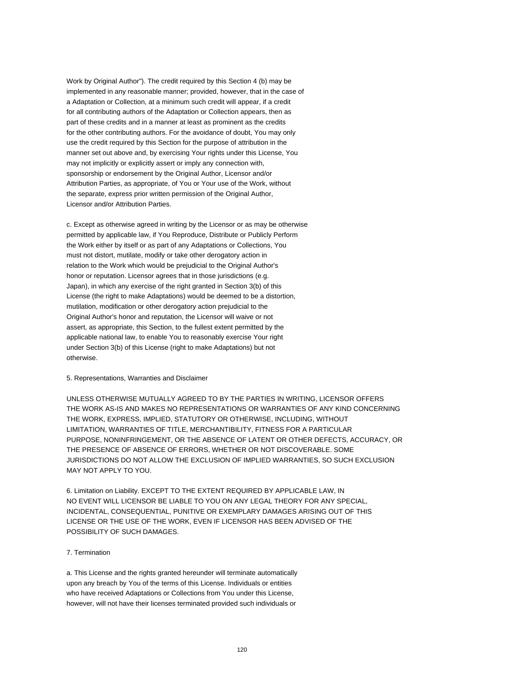Work by Original Author"). The credit required by this Section 4 (b) may be implemented in any reasonable manner; provided, however, that in the case of a Adaptation or Collection, at a minimum such credit will appear, if a credit for all contributing authors of the Adaptation or Collection appears, then as part of these credits and in a manner at least as prominent as the credits for the other contributing authors. For the avoidance of doubt, You may only use the credit required by this Section for the purpose of attribution in the manner set out above and, by exercising Your rights under this License, You may not implicitly or explicitly assert or imply any connection with, sponsorship or endorsement by the Original Author, Licensor and/or Attribution Parties, as appropriate, of You or Your use of the Work, without the separate, express prior written permission of the Original Author, Licensor and/or Attribution Parties.

c. Except as otherwise agreed in writing by the Licensor or as may be otherwise permitted by applicable law, if You Reproduce, Distribute or Publicly Perform the Work either by itself or as part of any Adaptations or Collections, You must not distort, mutilate, modify or take other derogatory action in relation to the Work which would be prejudicial to the Original Author's honor or reputation. Licensor agrees that in those jurisdictions (e.g. Japan), in which any exercise of the right granted in Section 3(b) of this License (the right to make Adaptations) would be deemed to be a distortion, mutilation, modification or other derogatory action prejudicial to the Original Author's honor and reputation, the Licensor will waive or not assert, as appropriate, this Section, to the fullest extent permitted by the applicable national law, to enable You to reasonably exercise Your right under Section 3(b) of this License (right to make Adaptations) but not otherwise.

#### 5. Representations, Warranties and Disclaimer

UNLESS OTHERWISE MUTUALLY AGREED TO BY THE PARTIES IN WRITING, LICENSOR OFFERS THE WORK AS-IS AND MAKES NO REPRESENTATIONS OR WARRANTIES OF ANY KIND CONCERNING THE WORK, EXPRESS, IMPLIED, STATUTORY OR OTHERWISE, INCLUDING, WITHOUT LIMITATION, WARRANTIES OF TITLE, MERCHANTIBILITY, FITNESS FOR A PARTICULAR PURPOSE, NONINFRINGEMENT, OR THE ABSENCE OF LATENT OR OTHER DEFECTS, ACCURACY, OR THE PRESENCE OF ABSENCE OF ERRORS, WHETHER OR NOT DISCOVERABLE. SOME JURISDICTIONS DO NOT ALLOW THE EXCLUSION OF IMPLIED WARRANTIES, SO SUCH EXCLUSION MAY NOT APPLY TO YOU.

6. Limitation on Liability. EXCEPT TO THE EXTENT REQUIRED BY APPLICABLE LAW, IN NO EVENT WILL LICENSOR BE LIABLE TO YOU ON ANY LEGAL THEORY FOR ANY SPECIAL, INCIDENTAL, CONSEQUENTIAL, PUNITIVE OR EXEMPLARY DAMAGES ARISING OUT OF THIS LICENSE OR THE USE OF THE WORK, EVEN IF LICENSOR HAS BEEN ADVISED OF THE POSSIBILITY OF SUCH DAMAGES.

### 7. Termination

a. This License and the rights granted hereunder will terminate automatically upon any breach by You of the terms of this License. Individuals or entities who have received Adaptations or Collections from You under this License, however, will not have their licenses terminated provided such individuals or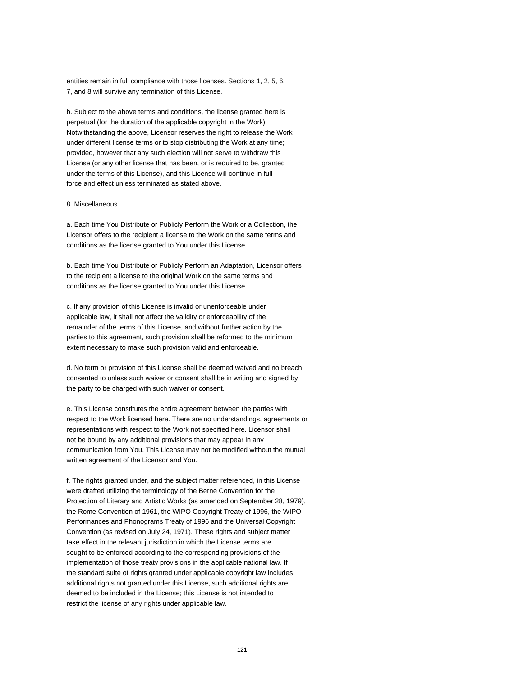entities remain in full compliance with those licenses. Sections 1, 2, 5, 6, 7, and 8 will survive any termination of this License.

b. Subject to the above terms and conditions, the license granted here is perpetual (for the duration of the applicable copyright in the Work). Notwithstanding the above, Licensor reserves the right to release the Work under different license terms or to stop distributing the Work at any time; provided, however that any such election will not serve to withdraw this License (or any other license that has been, or is required to be, granted under the terms of this License), and this License will continue in full force and effect unless terminated as stated above.

#### 8. Miscellaneous

a. Each time You Distribute or Publicly Perform the Work or a Collection, the Licensor offers to the recipient a license to the Work on the same terms and conditions as the license granted to You under this License.

b. Each time You Distribute or Publicly Perform an Adaptation, Licensor offers to the recipient a license to the original Work on the same terms and conditions as the license granted to You under this License.

c. If any provision of this License is invalid or unenforceable under applicable law, it shall not affect the validity or enforceability of the remainder of the terms of this License, and without further action by the parties to this agreement, such provision shall be reformed to the minimum extent necessary to make such provision valid and enforceable.

d. No term or provision of this License shall be deemed waived and no breach consented to unless such waiver or consent shall be in writing and signed by the party to be charged with such waiver or consent.

e. This License constitutes the entire agreement between the parties with respect to the Work licensed here. There are no understandings, agreements or representations with respect to the Work not specified here. Licensor shall not be bound by any additional provisions that may appear in any communication from You. This License may not be modified without the mutual written agreement of the Licensor and You.

f. The rights granted under, and the subject matter referenced, in this License were drafted utilizing the terminology of the Berne Convention for the Protection of Literary and Artistic Works (as amended on September 28, 1979), the Rome Convention of 1961, the WIPO Copyright Treaty of 1996, the WIPO Performances and Phonograms Treaty of 1996 and the Universal Copyright Convention (as revised on July 24, 1971). These rights and subject matter take effect in the relevant jurisdiction in which the License terms are sought to be enforced according to the corresponding provisions of the implementation of those treaty provisions in the applicable national law. If the standard suite of rights granted under applicable copyright law includes additional rights not granted under this License, such additional rights are deemed to be included in the License; this License is not intended to restrict the license of any rights under applicable law.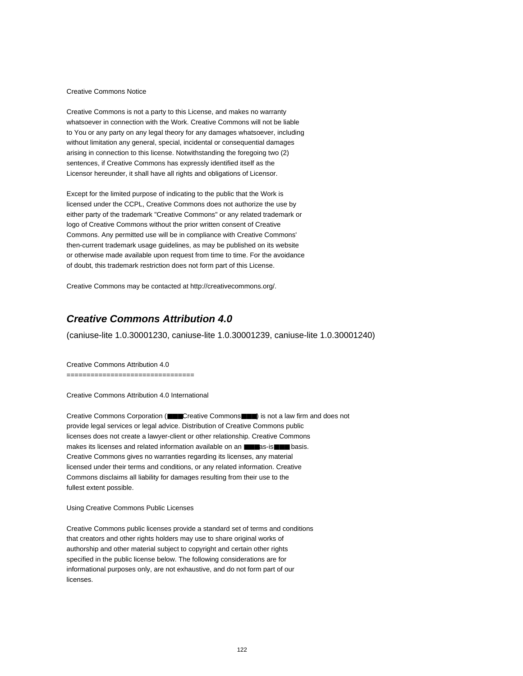#### Creative Commons Notice

Creative Commons is not a party to this License, and makes no warranty whatsoever in connection with the Work. Creative Commons will not be liable to You or any party on any legal theory for any damages whatsoever, including without limitation any general, special, incidental or consequential damages arising in connection to this license. Notwithstanding the foregoing two (2) sentences, if Creative Commons has expressly identified itself as the Licensor hereunder, it shall have all rights and obligations of Licensor.

Except for the limited purpose of indicating to the public that the Work is licensed under the CCPL, Creative Commons does not authorize the use by either party of the trademark "Creative Commons" or any related trademark or logo of Creative Commons without the prior written consent of Creative Commons. Any permitted use will be in compliance with Creative Commons' then-current trademark usage guidelines, as may be published on its website or otherwise made available upon request from time to time. For the avoidance of doubt, this trademark restriction does not form part of this License.

Creative Commons may be contacted at http://creativecommons.org/.

# **Creative Commons Attribution 4.0**

(caniuse-lite 1.0.30001230, caniuse-lite 1.0.30001239, caniuse-lite 1.0.30001240)

Creative Commons Attribution 4.0

================================

Creative Commons Attribution 4.0 International

Creative Commons Corporation (■■■Creative Commons■■■) is not a law firm and does not provide legal services or legal advice. Distribution of Creative Commons public licenses does not create a lawyer-client or other relationship. Creative Commons makes its licenses and related information available on an ■■■as-is■■■ basis. Creative Commons gives no warranties regarding its licenses, any material licensed under their terms and conditions, or any related information. Creative Commons disclaims all liability for damages resulting from their use to the fullest extent possible.

#### Using Creative Commons Public Licenses

Creative Commons public licenses provide a standard set of terms and conditions that creators and other rights holders may use to share original works of authorship and other material subject to copyright and certain other rights specified in the public license below. The following considerations are for informational purposes only, are not exhaustive, and do not form part of our licenses.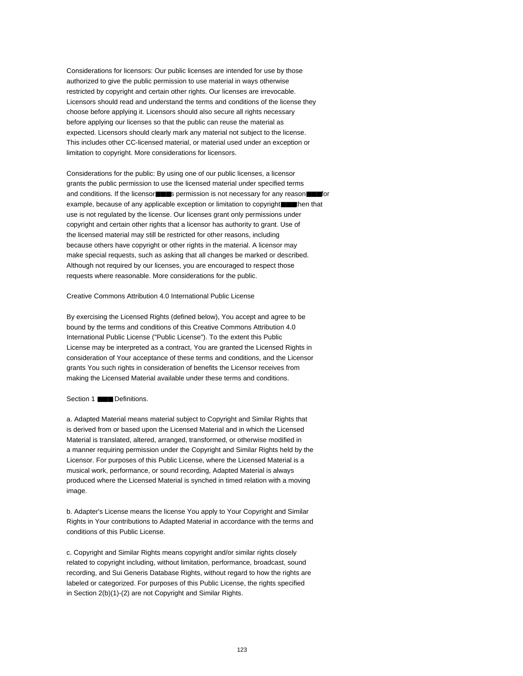Considerations for licensors: Our public licenses are intended for use by those authorized to give the public permission to use material in ways otherwise restricted by copyright and certain other rights. Our licenses are irrevocable. Licensors should read and understand the terms and conditions of the license they choose before applying it. Licensors should also secure all rights necessary before applying our licenses so that the public can reuse the material as expected. Licensors should clearly mark any material not subject to the license. This includes other CC-licensed material, or material used under an exception or limitation to copyright. More considerations for licensors.

Considerations for the public: By using one of our public licenses, a licensor grants the public permission to use the licensed material under specified terms and conditions. If the licensor■■■s permission is not necessary for any reason■■■for example, because of any applicable exception or limitation to copyright■■■then that use is not regulated by the license. Our licenses grant only permissions under copyright and certain other rights that a licensor has authority to grant. Use of the licensed material may still be restricted for other reasons, including because others have copyright or other rights in the material. A licensor may make special requests, such as asking that all changes be marked or described. Although not required by our licenses, you are encouraged to respect those requests where reasonable. More considerations for the public.

Creative Commons Attribution 4.0 International Public License

By exercising the Licensed Rights (defined below), You accept and agree to be bound by the terms and conditions of this Creative Commons Attribution 4.0 International Public License ("Public License"). To the extent this Public License may be interpreted as a contract, You are granted the Licensed Rights in consideration of Your acceptance of these terms and conditions, and the Licensor grants You such rights in consideration of benefits the Licensor receives from making the Licensed Material available under these terms and conditions.

## Section 1 ■■■ Definitions.

a. Adapted Material means material subject to Copyright and Similar Rights that is derived from or based upon the Licensed Material and in which the Licensed Material is translated, altered, arranged, transformed, or otherwise modified in a manner requiring permission under the Copyright and Similar Rights held by the Licensor. For purposes of this Public License, where the Licensed Material is a musical work, performance, or sound recording, Adapted Material is always produced where the Licensed Material is synched in timed relation with a moving image.

b. Adapter's License means the license You apply to Your Copyright and Similar Rights in Your contributions to Adapted Material in accordance with the terms and conditions of this Public License.

c. Copyright and Similar Rights means copyright and/or similar rights closely related to copyright including, without limitation, performance, broadcast, sound recording, and Sui Generis Database Rights, without regard to how the rights are labeled or categorized. For purposes of this Public License, the rights specified in Section 2(b)(1)-(2) are not Copyright and Similar Rights.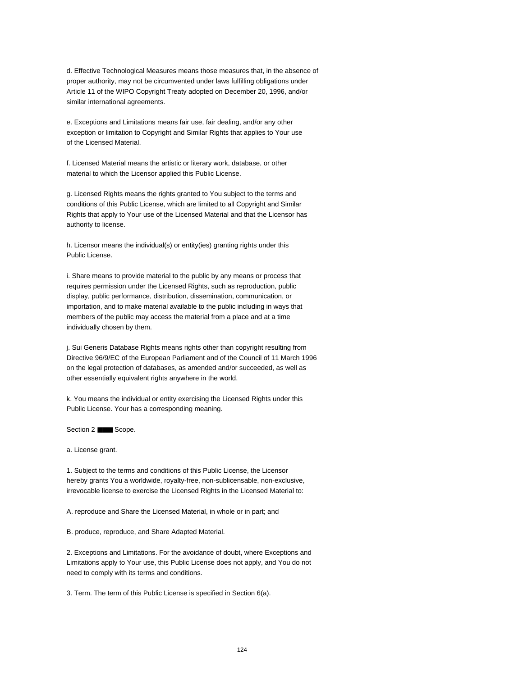d. Effective Technological Measures means those measures that, in the absence of proper authority, may not be circumvented under laws fulfilling obligations under Article 11 of the WIPO Copyright Treaty adopted on December 20, 1996, and/or similar international agreements.

e. Exceptions and Limitations means fair use, fair dealing, and/or any other exception or limitation to Copyright and Similar Rights that applies to Your use of the Licensed Material.

f. Licensed Material means the artistic or literary work, database, or other material to which the Licensor applied this Public License.

g. Licensed Rights means the rights granted to You subject to the terms and conditions of this Public License, which are limited to all Copyright and Similar Rights that apply to Your use of the Licensed Material and that the Licensor has authority to license.

h. Licensor means the individual(s) or entity(ies) granting rights under this Public License.

i. Share means to provide material to the public by any means or process that requires permission under the Licensed Rights, such as reproduction, public display, public performance, distribution, dissemination, communication, or importation, and to make material available to the public including in ways that members of the public may access the material from a place and at a time individually chosen by them.

j. Sui Generis Database Rights means rights other than copyright resulting from Directive 96/9/EC of the European Parliament and of the Council of 11 March 1996 on the legal protection of databases, as amended and/or succeeded, as well as other essentially equivalent rights anywhere in the world.

k. You means the individual or entity exercising the Licensed Rights under this Public License. Your has a corresponding meaning.

Section 2 ■■■ Scope.

a. License grant.

1. Subject to the terms and conditions of this Public License, the Licensor hereby grants You a worldwide, royalty-free, non-sublicensable, non-exclusive, irrevocable license to exercise the Licensed Rights in the Licensed Material to:

A. reproduce and Share the Licensed Material, in whole or in part; and

B. produce, reproduce, and Share Adapted Material.

2. Exceptions and Limitations. For the avoidance of doubt, where Exceptions and Limitations apply to Your use, this Public License does not apply, and You do not need to comply with its terms and conditions.

3. Term. The term of this Public License is specified in Section 6(a).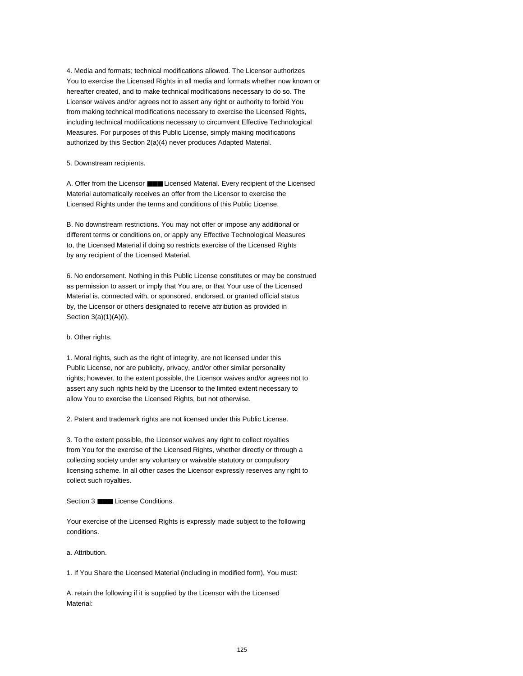4. Media and formats; technical modifications allowed. The Licensor authorizes You to exercise the Licensed Rights in all media and formats whether now known or hereafter created, and to make technical modifications necessary to do so. The Licensor waives and/or agrees not to assert any right or authority to forbid You from making technical modifications necessary to exercise the Licensed Rights, including technical modifications necessary to circumvent Effective Technological Measures. For purposes of this Public License, simply making modifications authorized by this Section 2(a)(4) never produces Adapted Material.

5. Downstream recipients.

A. Offer from the Licensor ■■■ Licensed Material. Every recipient of the Licensed Material automatically receives an offer from the Licensor to exercise the Licensed Rights under the terms and conditions of this Public License.

B. No downstream restrictions. You may not offer or impose any additional or different terms or conditions on, or apply any Effective Technological Measures to, the Licensed Material if doing so restricts exercise of the Licensed Rights by any recipient of the Licensed Material.

6. No endorsement. Nothing in this Public License constitutes or may be construed as permission to assert or imply that You are, or that Your use of the Licensed Material is, connected with, or sponsored, endorsed, or granted official status by, the Licensor or others designated to receive attribution as provided in Section 3(a)(1)(A)(i).

b. Other rights.

1. Moral rights, such as the right of integrity, are not licensed under this Public License, nor are publicity, privacy, and/or other similar personality rights; however, to the extent possible, the Licensor waives and/or agrees not to assert any such rights held by the Licensor to the limited extent necessary to allow You to exercise the Licensed Rights, but not otherwise.

2. Patent and trademark rights are not licensed under this Public License.

3. To the extent possible, the Licensor waives any right to collect royalties from You for the exercise of the Licensed Rights, whether directly or through a collecting society under any voluntary or waivable statutory or compulsory licensing scheme. In all other cases the Licensor expressly reserves any right to collect such royalties.

Section 3 ■■■ License Conditions.

Your exercise of the Licensed Rights is expressly made subject to the following conditions.

a. Attribution.

1. If You Share the Licensed Material (including in modified form), You must:

A. retain the following if it is supplied by the Licensor with the Licensed Material: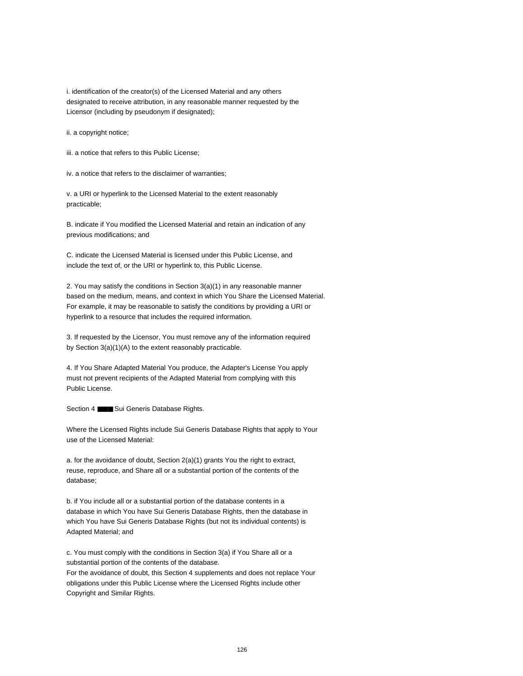i. identification of the creator(s) of the Licensed Material and any others designated to receive attribution, in any reasonable manner requested by the Licensor (including by pseudonym if designated);

ii. a copyright notice;

iii. a notice that refers to this Public License;

iv. a notice that refers to the disclaimer of warranties;

v. a URI or hyperlink to the Licensed Material to the extent reasonably practicable;

B. indicate if You modified the Licensed Material and retain an indication of any previous modifications; and

C. indicate the Licensed Material is licensed under this Public License, and include the text of, or the URI or hyperlink to, this Public License.

2. You may satisfy the conditions in Section 3(a)(1) in any reasonable manner based on the medium, means, and context in which You Share the Licensed Material. For example, it may be reasonable to satisfy the conditions by providing a URI or hyperlink to a resource that includes the required information.

3. If requested by the Licensor, You must remove any of the information required by Section 3(a)(1)(A) to the extent reasonably practicable.

4. If You Share Adapted Material You produce, the Adapter's License You apply must not prevent recipients of the Adapted Material from complying with this Public License.

Section 4 **■■■** Sui Generis Database Rights.

Where the Licensed Rights include Sui Generis Database Rights that apply to Your use of the Licensed Material:

a. for the avoidance of doubt, Section 2(a)(1) grants You the right to extract, reuse, reproduce, and Share all or a substantial portion of the contents of the database;

b. if You include all or a substantial portion of the database contents in a database in which You have Sui Generis Database Rights, then the database in which You have Sui Generis Database Rights (but not its individual contents) is Adapted Material; and

c. You must comply with the conditions in Section 3(a) if You Share all or a substantial portion of the contents of the database.

For the avoidance of doubt, this Section 4 supplements and does not replace Your obligations under this Public License where the Licensed Rights include other Copyright and Similar Rights.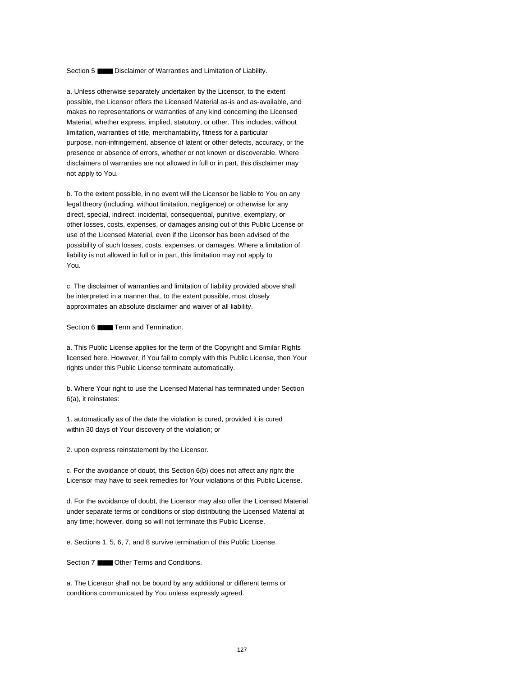Section 5 **■■■** Disclaimer of Warranties and Limitation of Liability.

a. Unless otherwise separately undertaken by the Licensor, to the extent possible, the Licensor offers the Licensed Material as-is and as-available, and makes no representations or warranties of any kind concerning the Licensed Material, whether express, implied, statutory, or other. This includes, without limitation, warranties of title, merchantability, fitness for a particular purpose, non-infringement, absence of latent or other defects, accuracy, or the presence or absence of errors, whether or not known or discoverable. Where disclaimers of warranties are not allowed in full or in part, this disclaimer may not apply to You.

b. To the extent possible, in no event will the Licensor be liable to You on any legal theory (including, without limitation, negligence) or otherwise for any direct, special, indirect, incidental, consequential, punitive, exemplary, or other losses, costs, expenses, or damages arising out of this Public License or use of the Licensed Material, even if the Licensor has been advised of the possibility of such losses, costs, expenses, or damages. Where a limitation of liability is not allowed in full or in part, this limitation may not apply to You.

c. The disclaimer of warranties and limitation of liability provided above shall be interpreted in a manner that, to the extent possible, most closely approximates an absolute disclaimer and waiver of all liability.

Section 6 ■■■ Term and Termination.

a. This Public License applies for the term of the Copyright and Similar Rights licensed here. However, if You fail to comply with this Public License, then Your rights under this Public License terminate automatically.

b. Where Your right to use the Licensed Material has terminated under Section 6(a), it reinstates:

1. automatically as of the date the violation is cured, provided it is cured within 30 days of Your discovery of the violation; or

2. upon express reinstatement by the Licensor.

c. For the avoidance of doubt, this Section 6(b) does not affect any right the Licensor may have to seek remedies for Your violations of this Public License.

d. For the avoidance of doubt, the Licensor may also offer the Licensed Material under separate terms or conditions or stop distributing the Licensed Material at any time; however, doing so will not terminate this Public License.

e. Sections 1, 5, 6, 7, and 8 survive termination of this Public License.

Section 7 ■■■ Other Terms and Conditions.

a. The Licensor shall not be bound by any additional or different terms or conditions communicated by You unless expressly agreed.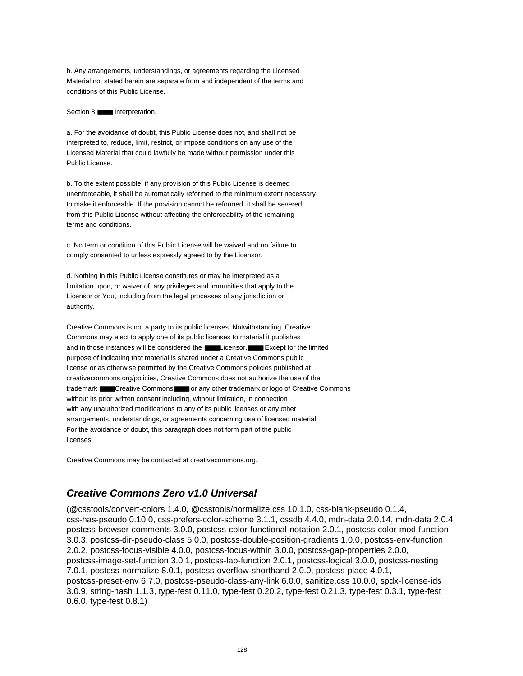b. Any arrangements, understandings, or agreements regarding the Licensed Material not stated herein are separate from and independent of the terms and conditions of this Public License.

### Section 8 **■■■** Interpretation.

a. For the avoidance of doubt, this Public License does not, and shall not be interpreted to, reduce, limit, restrict, or impose conditions on any use of the Licensed Material that could lawfully be made without permission under this Public License.

b. To the extent possible, if any provision of this Public License is deemed unenforceable, it shall be automatically reformed to the minimum extent necessary to make it enforceable. If the provision cannot be reformed, it shall be severed from this Public License without affecting the enforceability of the remaining terms and conditions.

c. No term or condition of this Public License will be waived and no failure to comply consented to unless expressly agreed to by the Licensor.

d. Nothing in this Public License constitutes or may be interpreted as a limitation upon, or waiver of, any privileges and immunities that apply to the Licensor or You, including from the legal processes of any jurisdiction or authority.

Creative Commons is not a party to its public licenses. Notwithstanding, Creative Commons may elect to apply one of its public licenses to material it publishes and in those instances will be considered the ■■■Licensor.■■■ Except for the limited purpose of indicating that material is shared under a Creative Commons public license or as otherwise permitted by the Creative Commons policies published at creativecommons.org/policies, Creative Commons does not authorize the use of the trademark ■■■Creative Commons■■■ or any other trademark or logo of Creative Commons without its prior written consent including, without limitation, in connection with any unauthorized modifications to any of its public licenses or any other arrangements, understandings, or agreements concerning use of licensed material. For the avoidance of doubt, this paragraph does not form part of the public licenses.

Creative Commons may be contacted at creativecommons.org.

# **Creative Commons Zero v1.0 Universal**

(@csstools/convert-colors 1.4.0, @csstools/normalize.css 10.1.0, css-blank-pseudo 0.1.4, css-has-pseudo 0.10.0, css-prefers-color-scheme 3.1.1, cssdb 4.4.0, mdn-data 2.0.14, mdn-data 2.0.4, postcss-browser-comments 3.0.0, postcss-color-functional-notation 2.0.1, postcss-color-mod-function 3.0.3, postcss-dir-pseudo-class 5.0.0, postcss-double-position-gradients 1.0.0, postcss-env-function 2.0.2, postcss-focus-visible 4.0.0, postcss-focus-within 3.0.0, postcss-gap-properties 2.0.0, postcss-image-set-function 3.0.1, postcss-lab-function 2.0.1, postcss-logical 3.0.0, postcss-nesting 7.0.1, postcss-normalize 8.0.1, postcss-overflow-shorthand 2.0.0, postcss-place 4.0.1, postcss-preset-env 6.7.0, postcss-pseudo-class-any-link 6.0.0, sanitize.css 10.0.0, spdx-license-ids 3.0.9, string-hash 1.1.3, type-fest 0.11.0, type-fest 0.20.2, type-fest 0.21.3, type-fest 0.3.1, type-fest 0.6.0, type-fest 0.8.1)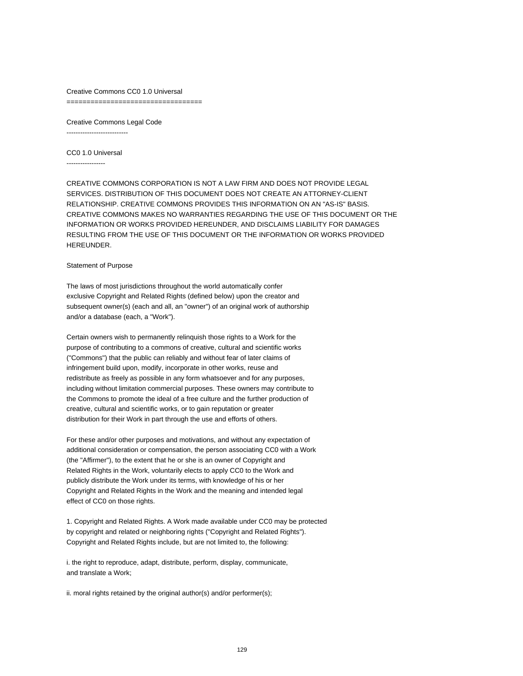Creative Commons CC0 1.0 Universal =====================================

Creative Commons Legal Code ---------------------------

CC0 1.0 Universal

-----------------

CREATIVE COMMONS CORPORATION IS NOT A LAW FIRM AND DOES NOT PROVIDE LEGAL SERVICES. DISTRIBUTION OF THIS DOCUMENT DOES NOT CREATE AN ATTORNEY-CLIENT RELATIONSHIP. CREATIVE COMMONS PROVIDES THIS INFORMATION ON AN "AS-IS" BASIS. CREATIVE COMMONS MAKES NO WARRANTIES REGARDING THE USE OF THIS DOCUMENT OR THE INFORMATION OR WORKS PROVIDED HEREUNDER, AND DISCLAIMS LIABILITY FOR DAMAGES RESULTING FROM THE USE OF THIS DOCUMENT OR THE INFORMATION OR WORKS PROVIDED HEREUNDER.

### Statement of Purpose

The laws of most jurisdictions throughout the world automatically confer exclusive Copyright and Related Rights (defined below) upon the creator and subsequent owner(s) (each and all, an "owner") of an original work of authorship and/or a database (each, a "Work").

Certain owners wish to permanently relinquish those rights to a Work for the purpose of contributing to a commons of creative, cultural and scientific works ("Commons") that the public can reliably and without fear of later claims of infringement build upon, modify, incorporate in other works, reuse and redistribute as freely as possible in any form whatsoever and for any purposes, including without limitation commercial purposes. These owners may contribute to the Commons to promote the ideal of a free culture and the further production of creative, cultural and scientific works, or to gain reputation or greater distribution for their Work in part through the use and efforts of others.

For these and/or other purposes and motivations, and without any expectation of additional consideration or compensation, the person associating CC0 with a Work (the "Affirmer"), to the extent that he or she is an owner of Copyright and Related Rights in the Work, voluntarily elects to apply CC0 to the Work and publicly distribute the Work under its terms, with knowledge of his or her Copyright and Related Rights in the Work and the meaning and intended legal effect of CC0 on those rights.

1. Copyright and Related Rights. A Work made available under CC0 may be protected by copyright and related or neighboring rights ("Copyright and Related Rights"). Copyright and Related Rights include, but are not limited to, the following:

i. the right to reproduce, adapt, distribute, perform, display, communicate, and translate a Work;

ii. moral rights retained by the original author(s) and/or performer(s);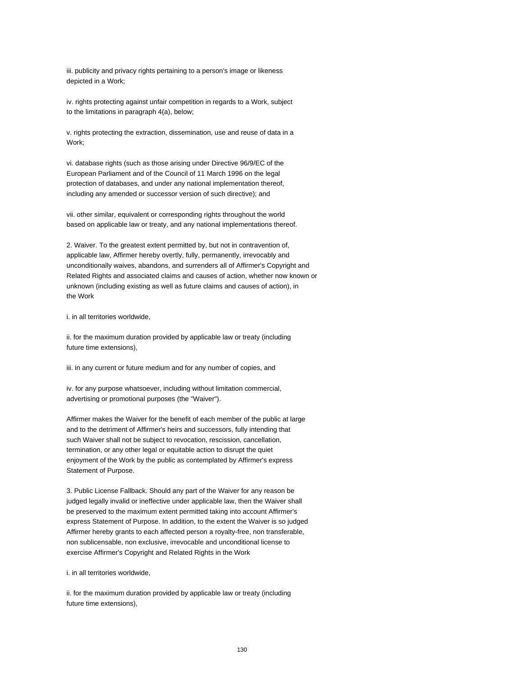iii. publicity and privacy rights pertaining to a person's image or likeness depicted in a Work;

iv. rights protecting against unfair competition in regards to a Work, subject to the limitations in paragraph 4(a), below;

v. rights protecting the extraction, dissemination, use and reuse of data in a Work;

vi. database rights (such as those arising under Directive 96/9/EC of the European Parliament and of the Council of 11 March 1996 on the legal protection of databases, and under any national implementation thereof, including any amended or successor version of such directive); and

vii. other similar, equivalent or corresponding rights throughout the world based on applicable law or treaty, and any national implementations thereof.

2. Waiver. To the greatest extent permitted by, but not in contravention of, applicable law, Affirmer hereby overtly, fully, permanently, irrevocably and unconditionally waives, abandons, and surrenders all of Affirmer's Copyright and Related Rights and associated claims and causes of action, whether now known or unknown (including existing as well as future claims and causes of action), in the Work

i. in all territories worldwide,

ii. for the maximum duration provided by applicable law or treaty (including future time extensions),

iii. in any current or future medium and for any number of copies, and

iv. for any purpose whatsoever, including without limitation commercial, advertising or promotional purposes (the "Waiver").

Affirmer makes the Waiver for the benefit of each member of the public at large and to the detriment of Affirmer's heirs and successors, fully intending that such Waiver shall not be subject to revocation, rescission, cancellation, termination, or any other legal or equitable action to disrupt the quiet enjoyment of the Work by the public as contemplated by Affirmer's express Statement of Purpose.

3. Public License Fallback. Should any part of the Waiver for any reason be judged legally invalid or ineffective under applicable law, then the Waiver shall be preserved to the maximum extent permitted taking into account Affirmer's express Statement of Purpose. In addition, to the extent the Waiver is so judged Affirmer hereby grants to each affected person a royalty-free, non transferable, non sublicensable, non exclusive, irrevocable and unconditional license to exercise Affirmer's Copyright and Related Rights in the Work

i. in all territories worldwide,

ii. for the maximum duration provided by applicable law or treaty (including future time extensions),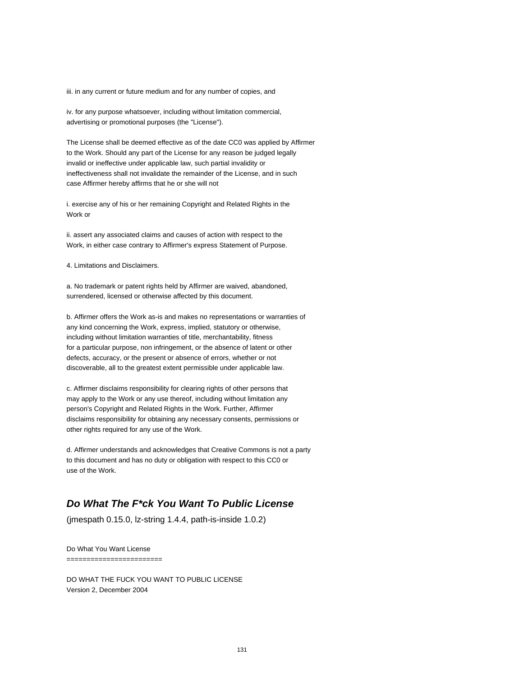iii. in any current or future medium and for any number of copies, and

iv. for any purpose whatsoever, including without limitation commercial, advertising or promotional purposes (the "License").

The License shall be deemed effective as of the date CC0 was applied by Affirmer to the Work. Should any part of the License for any reason be judged legally invalid or ineffective under applicable law, such partial invalidity or ineffectiveness shall not invalidate the remainder of the License, and in such case Affirmer hereby affirms that he or she will not

i. exercise any of his or her remaining Copyright and Related Rights in the Work or

ii. assert any associated claims and causes of action with respect to the Work, in either case contrary to Affirmer's express Statement of Purpose.

4. Limitations and Disclaimers.

a. No trademark or patent rights held by Affirmer are waived, abandoned, surrendered, licensed or otherwise affected by this document.

b. Affirmer offers the Work as-is and makes no representations or warranties of any kind concerning the Work, express, implied, statutory or otherwise, including without limitation warranties of title, merchantability, fitness for a particular purpose, non infringement, or the absence of latent or other defects, accuracy, or the present or absence of errors, whether or not discoverable, all to the greatest extent permissible under applicable law.

c. Affirmer disclaims responsibility for clearing rights of other persons that may apply to the Work or any use thereof, including without limitation any person's Copyright and Related Rights in the Work. Further, Affirmer disclaims responsibility for obtaining any necessary consents, permissions or other rights required for any use of the Work.

d. Affirmer understands and acknowledges that Creative Commons is not a party to this document and has no duty or obligation with respect to this CC0 or use of the Work.

## **Do What The F\*ck You Want To Public License**

(jmespath 0.15.0, lz-string 1.4.4, path-is-inside 1.0.2)

Do What You Want License ========================

DO WHAT THE FUCK YOU WANT TO PUBLIC LICENSE Version 2, December 2004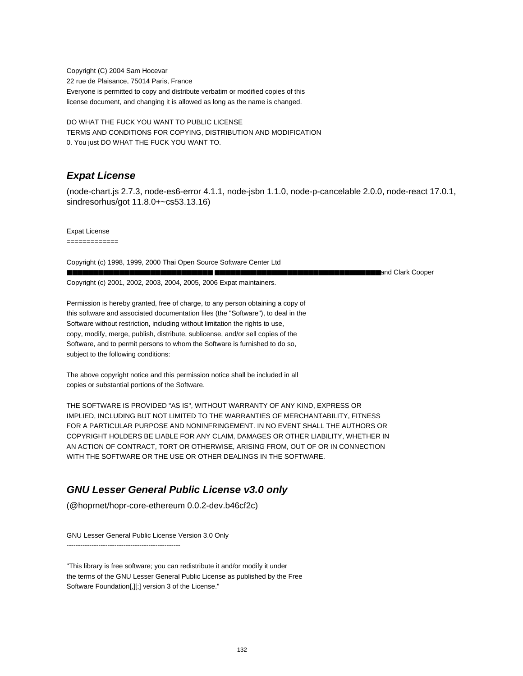Copyright (C) 2004 Sam Hocevar 22 rue de Plaisance, 75014 Paris, France Everyone is permitted to copy and distribute verbatim or modified copies of this license document, and changing it is allowed as long as the name is changed.

DO WHAT THE FUCK YOU WANT TO PUBLIC LICENSE TERMS AND CONDITIONS FOR COPYING, DISTRIBUTION AND MODIFICATION 0. You just DO WHAT THE FUCK YOU WANT TO.

# **Expat License**

(node-chart.js 2.7.3, node-es6-error 4.1.1, node-jsbn 1.1.0, node-p-cancelable 2.0.0, node-react 17.0.1, sindresorhus/got 11.8.0+~cs53.13.16)

Expat License

=============

Copyright (c) 1998, 1999, 2000 Thai Open Source Software Center Ltd ■■■■■■■■■■■■■■■■■■■■■■■■■■■■ ■■■■■■■■■■■■■■■■■■■■■■■■■■■■■■■■and Clark Cooper Copyright (c) 2001, 2002, 2003, 2004, 2005, 2006 Expat maintainers.

Permission is hereby granted, free of charge, to any person obtaining a copy of this software and associated documentation files (the "Software"), to deal in the Software without restriction, including without limitation the rights to use, copy, modify, merge, publish, distribute, sublicense, and/or sell copies of the Software, and to permit persons to whom the Software is furnished to do so, subject to the following conditions:

The above copyright notice and this permission notice shall be included in all copies or substantial portions of the Software.

THE SOFTWARE IS PROVIDED "AS IS", WITHOUT WARRANTY OF ANY KIND, EXPRESS OR IMPLIED, INCLUDING BUT NOT LIMITED TO THE WARRANTIES OF MERCHANTABILITY, FITNESS FOR A PARTICULAR PURPOSE AND NONINFRINGEMENT. IN NO EVENT SHALL THE AUTHORS OR COPYRIGHT HOLDERS BE LIABLE FOR ANY CLAIM, DAMAGES OR OTHER LIABILITY, WHETHER IN AN ACTION OF CONTRACT, TORT OR OTHERWISE, ARISING FROM, OUT OF OR IN CONNECTION WITH THE SOFTWARE OR THE USE OR OTHER DEALINGS IN THE SOFTWARE.

# **GNU Lesser General Public License v3.0 only**

(@hoprnet/hopr-core-ethereum 0.0.2-dev.b46cf2c)

GNU Lesser General Public License Version 3.0 Only

--------------------------------------------------

"This library is free software; you can redistribute it and/or modify it under the terms of the GNU Lesser General Public License as published by the Free Software Foundation[,][;] version 3 of the License."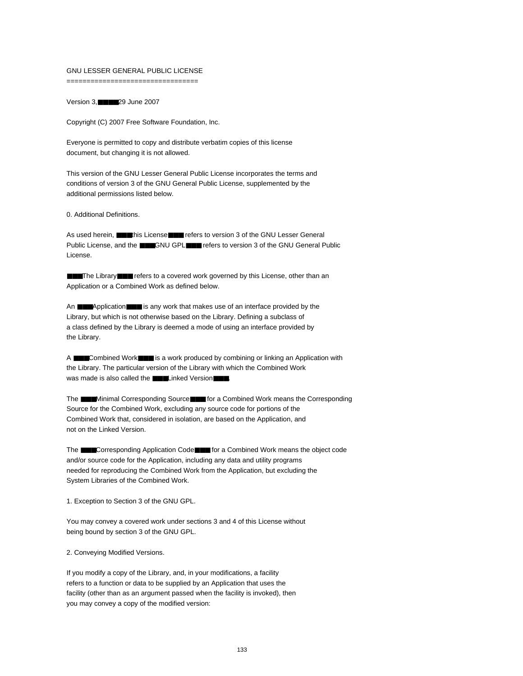## GNU LESSER GENERAL PUBLIC LICENSE

=================================

Version 3,■■■■29 June 2007

Copyright (C) 2007 Free Software Foundation, Inc.

Everyone is permitted to copy and distribute verbatim copies of this license document, but changing it is not allowed.

This version of the GNU Lesser General Public License incorporates the terms and conditions of version 3 of the GNU General Public License, supplemented by the additional permissions listed below.

0. Additional Definitions.

As used herein, ■■■this License■■■ refers to version 3 of the GNU Lesser General Public License, and the **■■■**GNU GPL■■ refers to version 3 of the GNU General Public License.

■■■The Library■■■ refers to a covered work governed by this License, other than an Application or a Combined Work as defined below.

An ■■■Application■■■ is any work that makes use of an interface provided by the Library, but which is not otherwise based on the Library. Defining a subclass of a class defined by the Library is deemed a mode of using an interface provided by the Library.

A ■■■Combined Work■■■ is a work produced by combining or linking an Application with the Library. The particular version of the Library with which the Combined Work was made is also called the **■■■Linked Version■■■**.

The ■■■Minimal Corresponding Source■■■ for a Combined Work means the Corresponding Source for the Combined Work, excluding any source code for portions of the Combined Work that, considered in isolation, are based on the Application, and not on the Linked Version.

The ■■■Corresponding Application Code■■■ for a Combined Work means the object code and/or source code for the Application, including any data and utility programs needed for reproducing the Combined Work from the Application, but excluding the System Libraries of the Combined Work.

1. Exception to Section 3 of the GNU GPL.

You may convey a covered work under sections 3 and 4 of this License without being bound by section 3 of the GNU GPL.

2. Conveying Modified Versions.

If you modify a copy of the Library, and, in your modifications, a facility refers to a function or data to be supplied by an Application that uses the facility (other than as an argument passed when the facility is invoked), then you may convey a copy of the modified version: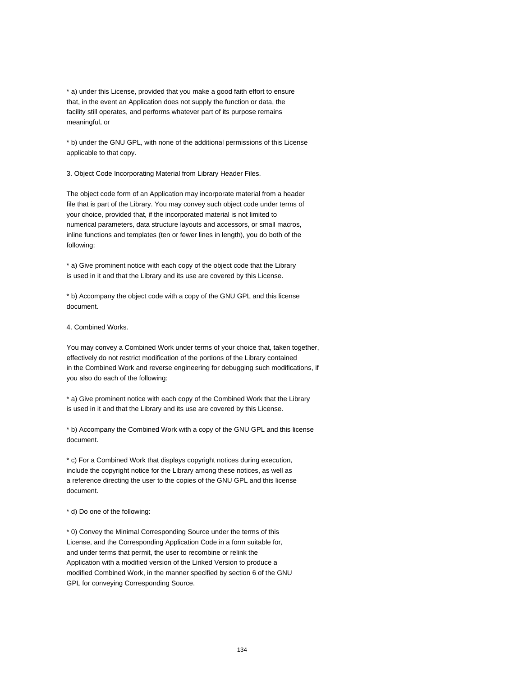\* a) under this License, provided that you make a good faith effort to ensure that, in the event an Application does not supply the function or data, the facility still operates, and performs whatever part of its purpose remains meaningful, or

\* b) under the GNU GPL, with none of the additional permissions of this License applicable to that copy.

3. Object Code Incorporating Material from Library Header Files.

The object code form of an Application may incorporate material from a header file that is part of the Library. You may convey such object code under terms of your choice, provided that, if the incorporated material is not limited to numerical parameters, data structure layouts and accessors, or small macros, inline functions and templates (ten or fewer lines in length), you do both of the following:

\* a) Give prominent notice with each copy of the object code that the Library is used in it and that the Library and its use are covered by this License.

\* b) Accompany the object code with a copy of the GNU GPL and this license document.

4. Combined Works.

You may convey a Combined Work under terms of your choice that, taken together, effectively do not restrict modification of the portions of the Library contained in the Combined Work and reverse engineering for debugging such modifications, if you also do each of the following:

\* a) Give prominent notice with each copy of the Combined Work that the Library is used in it and that the Library and its use are covered by this License.

\* b) Accompany the Combined Work with a copy of the GNU GPL and this license document.

\* c) For a Combined Work that displays copyright notices during execution, include the copyright notice for the Library among these notices, as well as a reference directing the user to the copies of the GNU GPL and this license document.

\* d) Do one of the following:

\* 0) Convey the Minimal Corresponding Source under the terms of this License, and the Corresponding Application Code in a form suitable for, and under terms that permit, the user to recombine or relink the Application with a modified version of the Linked Version to produce a modified Combined Work, in the manner specified by section 6 of the GNU GPL for conveying Corresponding Source.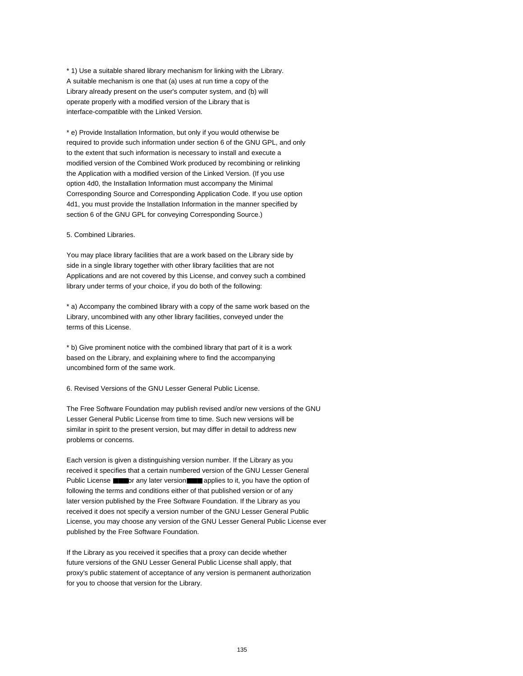\* 1) Use a suitable shared library mechanism for linking with the Library. A suitable mechanism is one that (a) uses at run time a copy of the Library already present on the user's computer system, and (b) will operate properly with a modified version of the Library that is interface-compatible with the Linked Version.

\* e) Provide Installation Information, but only if you would otherwise be required to provide such information under section 6 of the GNU GPL, and only to the extent that such information is necessary to install and execute a modified version of the Combined Work produced by recombining or relinking the Application with a modified version of the Linked Version. (If you use option 4d0, the Installation Information must accompany the Minimal Corresponding Source and Corresponding Application Code. If you use option 4d1, you must provide the Installation Information in the manner specified by section 6 of the GNU GPL for conveying Corresponding Source.)

## 5. Combined Libraries.

You may place library facilities that are a work based on the Library side by side in a single library together with other library facilities that are not Applications and are not covered by this License, and convey such a combined library under terms of your choice, if you do both of the following:

\* a) Accompany the combined library with a copy of the same work based on the Library, uncombined with any other library facilities, conveyed under the terms of this License.

\* b) Give prominent notice with the combined library that part of it is a work based on the Library, and explaining where to find the accompanying uncombined form of the same work.

6. Revised Versions of the GNU Lesser General Public License.

The Free Software Foundation may publish revised and/or new versions of the GNU Lesser General Public License from time to time. Such new versions will be similar in spirit to the present version, but may differ in detail to address new problems or concerns.

Each version is given a distinguishing version number. If the Library as you received it specifies that a certain numbered version of the GNU Lesser General Public License ■■■or any later version■■■ applies to it, you have the option of following the terms and conditions either of that published version or of any later version published by the Free Software Foundation. If the Library as you received it does not specify a version number of the GNU Lesser General Public License, you may choose any version of the GNU Lesser General Public License ever published by the Free Software Foundation.

If the Library as you received it specifies that a proxy can decide whether future versions of the GNU Lesser General Public License shall apply, that proxy's public statement of acceptance of any version is permanent authorization for you to choose that version for the Library.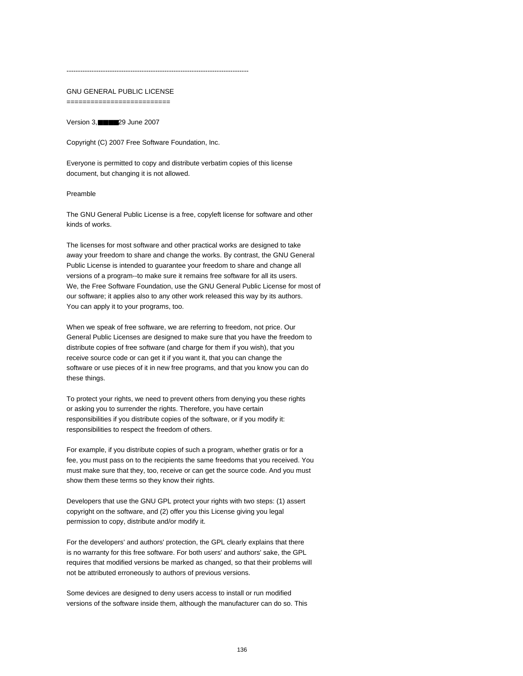#### --------------------------------------------------------------------------------

## GNU GENERAL PUBLIC LICENSE

==========================

Version 3,■■■■29 June 2007

Copyright (C) 2007 Free Software Foundation, Inc.

Everyone is permitted to copy and distribute verbatim copies of this license document, but changing it is not allowed.

## Preamble

The GNU General Public License is a free, copyleft license for software and other kinds of works.

The licenses for most software and other practical works are designed to take away your freedom to share and change the works. By contrast, the GNU General Public License is intended to guarantee your freedom to share and change all versions of a program--to make sure it remains free software for all its users. We, the Free Software Foundation, use the GNU General Public License for most of our software; it applies also to any other work released this way by its authors. You can apply it to your programs, too.

When we speak of free software, we are referring to freedom, not price. Our General Public Licenses are designed to make sure that you have the freedom to distribute copies of free software (and charge for them if you wish), that you receive source code or can get it if you want it, that you can change the software or use pieces of it in new free programs, and that you know you can do these things.

To protect your rights, we need to prevent others from denying you these rights or asking you to surrender the rights. Therefore, you have certain responsibilities if you distribute copies of the software, or if you modify it: responsibilities to respect the freedom of others.

For example, if you distribute copies of such a program, whether gratis or for a fee, you must pass on to the recipients the same freedoms that you received. You must make sure that they, too, receive or can get the source code. And you must show them these terms so they know their rights.

Developers that use the GNU GPL protect your rights with two steps: (1) assert copyright on the software, and (2) offer you this License giving you legal permission to copy, distribute and/or modify it.

For the developers' and authors' protection, the GPL clearly explains that there is no warranty for this free software. For both users' and authors' sake, the GPL requires that modified versions be marked as changed, so that their problems will not be attributed erroneously to authors of previous versions.

Some devices are designed to deny users access to install or run modified versions of the software inside them, although the manufacturer can do so. This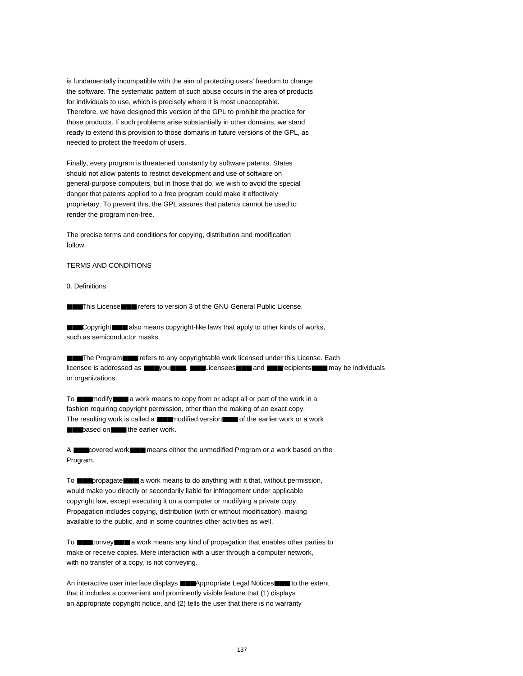is fundamentally incompatible with the aim of protecting users' freedom to change the software. The systematic pattern of such abuse occurs in the area of products for individuals to use, which is precisely where it is most unacceptable. Therefore, we have designed this version of the GPL to prohibit the practice for those products. If such problems arise substantially in other domains, we stand ready to extend this provision to those domains in future versions of the GPL, as needed to protect the freedom of users.

Finally, every program is threatened constantly by software patents. States should not allow patents to restrict development and use of software on general-purpose computers, but in those that do, we wish to avoid the special danger that patents applied to a free program could make it effectively proprietary. To prevent this, the GPL assures that patents cannot be used to render the program non-free.

The precise terms and conditions for copying, distribution and modification follow.

#### TERMS AND CONDITIONS

0. Definitions.

■■■This License■■■ refers to version 3 of the GNU General Public License.

■■■Copyright■■■ also means copyright-like laws that apply to other kinds of works, such as semiconductor masks.

■■■The Program■■■ refers to any copyrightable work licensed under this License. Each licensee is addressed as ■■■you■■■. ■■■Licensees■■■ and ■■■recipients■■■ may be individuals or organizations.

To ■■■modify■■■ a work means to copy from or adapt all or part of the work in a fashion requiring copyright permission, other than the making of an exact copy. The resulting work is called a ■■■modified version■■■ of the earlier work or a work ■■■based on■■■ the earlier work.

A ■■■covered work■■■ means either the unmodified Program or a work based on the Program.

To ■■■propagate■■■ a work means to do anything with it that, without permission, would make you directly or secondarily liable for infringement under applicable copyright law, except executing it on a computer or modifying a private copy. Propagation includes copying, distribution (with or without modification), making available to the public, and in some countries other activities as well.

To ■■■convey■■■ a work means any kind of propagation that enables other parties to make or receive copies. Mere interaction with a user through a computer network, with no transfer of a copy, is not conveying.

An interactive user interface displays ■■■Appropriate Legal Notices■■■ to the extent that it includes a convenient and prominently visible feature that (1) displays an appropriate copyright notice, and (2) tells the user that there is no warranty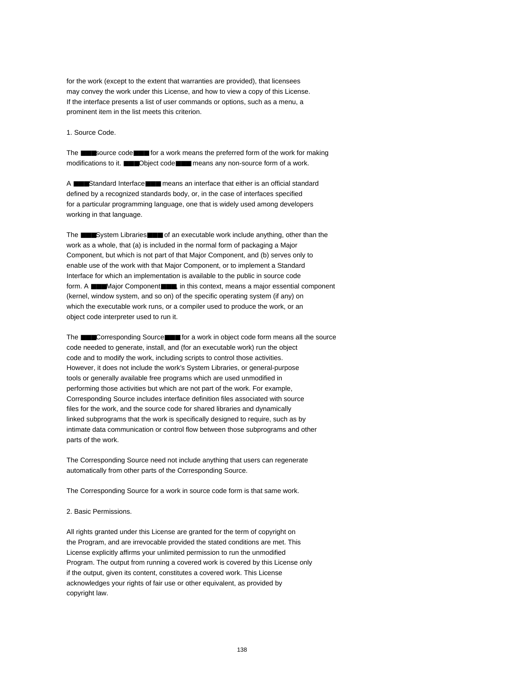for the work (except to the extent that warranties are provided), that licensees may convey the work under this License, and how to view a copy of this License. If the interface presents a list of user commands or options, such as a menu, a prominent item in the list meets this criterion.

1. Source Code.

The ■■■source code■■■ for a work means the preferred form of the work for making modifications to it. ■■■Object code■■■ means any non-source form of a work.

A ■■■Standard Interface■■■ means an interface that either is an official standard defined by a recognized standards body, or, in the case of interfaces specified for a particular programming language, one that is widely used among developers working in that language.

The ■■■System Libraries■■■ of an executable work include anything, other than the work as a whole, that (a) is included in the normal form of packaging a Major Component, but which is not part of that Major Component, and (b) serves only to enable use of the work with that Major Component, or to implement a Standard Interface for which an implementation is available to the public in source code form. A ■■■Major Component■■■, in this context, means a major essential component (kernel, window system, and so on) of the specific operating system (if any) on which the executable work runs, or a compiler used to produce the work, or an object code interpreter used to run it.

The ■■■Corresponding Source■■■ for a work in object code form means all the source code needed to generate, install, and (for an executable work) run the object code and to modify the work, including scripts to control those activities. However, it does not include the work's System Libraries, or general-purpose tools or generally available free programs which are used unmodified in performing those activities but which are not part of the work. For example, Corresponding Source includes interface definition files associated with source files for the work, and the source code for shared libraries and dynamically linked subprograms that the work is specifically designed to require, such as by intimate data communication or control flow between those subprograms and other parts of the work.

The Corresponding Source need not include anything that users can regenerate automatically from other parts of the Corresponding Source.

The Corresponding Source for a work in source code form is that same work.

2. Basic Permissions.

All rights granted under this License are granted for the term of copyright on the Program, and are irrevocable provided the stated conditions are met. This License explicitly affirms your unlimited permission to run the unmodified Program. The output from running a covered work is covered by this License only if the output, given its content, constitutes a covered work. This License acknowledges your rights of fair use or other equivalent, as provided by copyright law.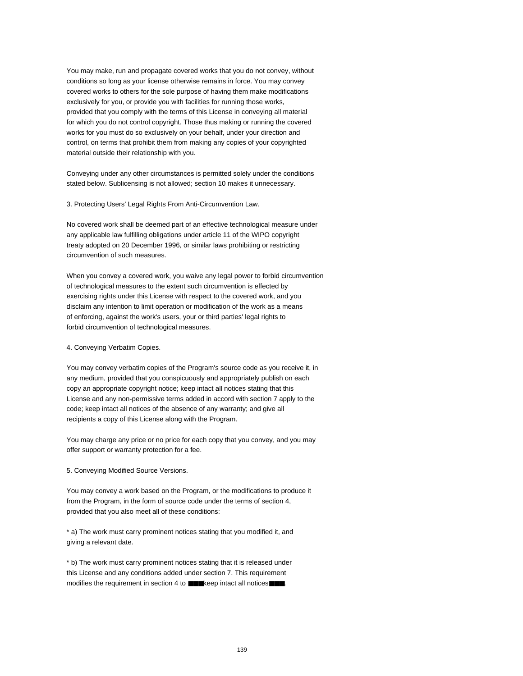You may make, run and propagate covered works that you do not convey, without conditions so long as your license otherwise remains in force. You may convey covered works to others for the sole purpose of having them make modifications exclusively for you, or provide you with facilities for running those works, provided that you comply with the terms of this License in conveying all material for which you do not control copyright. Those thus making or running the covered works for you must do so exclusively on your behalf, under your direction and control, on terms that prohibit them from making any copies of your copyrighted material outside their relationship with you.

Conveying under any other circumstances is permitted solely under the conditions stated below. Sublicensing is not allowed; section 10 makes it unnecessary.

3. Protecting Users' Legal Rights From Anti-Circumvention Law.

No covered work shall be deemed part of an effective technological measure under any applicable law fulfilling obligations under article 11 of the WIPO copyright treaty adopted on 20 December 1996, or similar laws prohibiting or restricting circumvention of such measures.

When you convey a covered work, you waive any legal power to forbid circumvention of technological measures to the extent such circumvention is effected by exercising rights under this License with respect to the covered work, and you disclaim any intention to limit operation or modification of the work as a means of enforcing, against the work's users, your or third parties' legal rights to forbid circumvention of technological measures.

4. Conveying Verbatim Copies.

You may convey verbatim copies of the Program's source code as you receive it, in any medium, provided that you conspicuously and appropriately publish on each copy an appropriate copyright notice; keep intact all notices stating that this License and any non-permissive terms added in accord with section 7 apply to the code; keep intact all notices of the absence of any warranty; and give all recipients a copy of this License along with the Program.

You may charge any price or no price for each copy that you convey, and you may offer support or warranty protection for a fee.

5. Conveying Modified Source Versions.

You may convey a work based on the Program, or the modifications to produce it from the Program, in the form of source code under the terms of section 4, provided that you also meet all of these conditions:

\* a) The work must carry prominent notices stating that you modified it, and giving a relevant date.

\* b) The work must carry prominent notices stating that it is released under this License and any conditions added under section 7. This requirement modifies the requirement in section 4 to ■■■keep intact all notices■■■.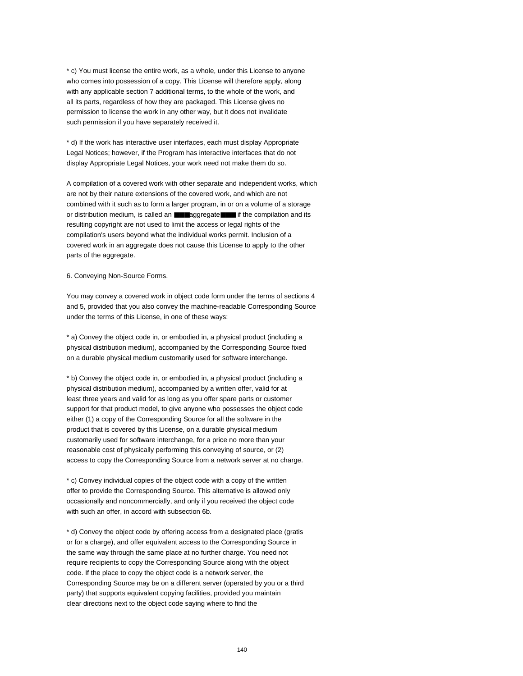\* c) You must license the entire work, as a whole, under this License to anyone who comes into possession of a copy. This License will therefore apply, along with any applicable section 7 additional terms, to the whole of the work, and all its parts, regardless of how they are packaged. This License gives no permission to license the work in any other way, but it does not invalidate such permission if you have separately received it.

\* d) If the work has interactive user interfaces, each must display Appropriate Legal Notices; however, if the Program has interactive interfaces that do not display Appropriate Legal Notices, your work need not make them do so.

A compilation of a covered work with other separate and independent works, which are not by their nature extensions of the covered work, and which are not combined with it such as to form a larger program, in or on a volume of a storage or distribution medium, is called an ■■■aggregate■■■ if the compilation and its resulting copyright are not used to limit the access or legal rights of the compilation's users beyond what the individual works permit. Inclusion of a covered work in an aggregate does not cause this License to apply to the other parts of the aggregate.

6. Conveying Non-Source Forms.

You may convey a covered work in object code form under the terms of sections 4 and 5, provided that you also convey the machine-readable Corresponding Source under the terms of this License, in one of these ways:

\* a) Convey the object code in, or embodied in, a physical product (including a physical distribution medium), accompanied by the Corresponding Source fixed on a durable physical medium customarily used for software interchange.

\* b) Convey the object code in, or embodied in, a physical product (including a physical distribution medium), accompanied by a written offer, valid for at least three years and valid for as long as you offer spare parts or customer support for that product model, to give anyone who possesses the object code either (1) a copy of the Corresponding Source for all the software in the product that is covered by this License, on a durable physical medium customarily used for software interchange, for a price no more than your reasonable cost of physically performing this conveying of source, or (2) access to copy the Corresponding Source from a network server at no charge.

\* c) Convey individual copies of the object code with a copy of the written offer to provide the Corresponding Source. This alternative is allowed only occasionally and noncommercially, and only if you received the object code with such an offer, in accord with subsection 6b.

\* d) Convey the object code by offering access from a designated place (gratis or for a charge), and offer equivalent access to the Corresponding Source in the same way through the same place at no further charge. You need not require recipients to copy the Corresponding Source along with the object code. If the place to copy the object code is a network server, the Corresponding Source may be on a different server (operated by you or a third party) that supports equivalent copying facilities, provided you maintain clear directions next to the object code saying where to find the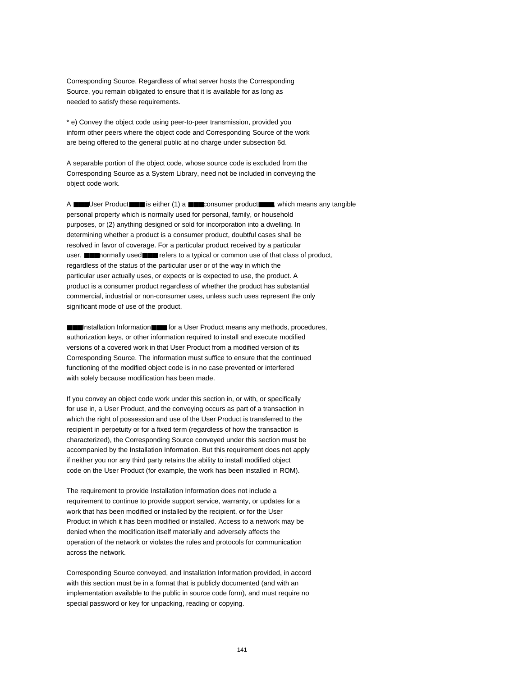Corresponding Source. Regardless of what server hosts the Corresponding Source, you remain obligated to ensure that it is available for as long as needed to satisfy these requirements.

\* e) Convey the object code using peer-to-peer transmission, provided you inform other peers where the object code and Corresponding Source of the work are being offered to the general public at no charge under subsection 6d.

A separable portion of the object code, whose source code is excluded from the Corresponding Source as a System Library, need not be included in conveying the object code work.

A ■■■User Product■■■ is either (1) a ■■■consumer product■■■, which means any tangible personal property which is normally used for personal, family, or household purposes, or (2) anything designed or sold for incorporation into a dwelling. In determining whether a product is a consumer product, doubtful cases shall be resolved in favor of coverage. For a particular product received by a particular user, ■■■normally used■■■ refers to a typical or common use of that class of product, regardless of the status of the particular user or of the way in which the particular user actually uses, or expects or is expected to use, the product. A product is a consumer product regardless of whether the product has substantial commercial, industrial or non-consumer uses, unless such uses represent the only significant mode of use of the product.

■■Installation Information■■■ for a User Product means any methods, procedures, authorization keys, or other information required to install and execute modified versions of a covered work in that User Product from a modified version of its Corresponding Source. The information must suffice to ensure that the continued functioning of the modified object code is in no case prevented or interfered with solely because modification has been made.

If you convey an object code work under this section in, or with, or specifically for use in, a User Product, and the conveying occurs as part of a transaction in which the right of possession and use of the User Product is transferred to the recipient in perpetuity or for a fixed term (regardless of how the transaction is characterized), the Corresponding Source conveyed under this section must be accompanied by the Installation Information. But this requirement does not apply if neither you nor any third party retains the ability to install modified object code on the User Product (for example, the work has been installed in ROM).

The requirement to provide Installation Information does not include a requirement to continue to provide support service, warranty, or updates for a work that has been modified or installed by the recipient, or for the User Product in which it has been modified or installed. Access to a network may be denied when the modification itself materially and adversely affects the operation of the network or violates the rules and protocols for communication across the network.

Corresponding Source conveyed, and Installation Information provided, in accord with this section must be in a format that is publicly documented (and with an implementation available to the public in source code form), and must require no special password or key for unpacking, reading or copying.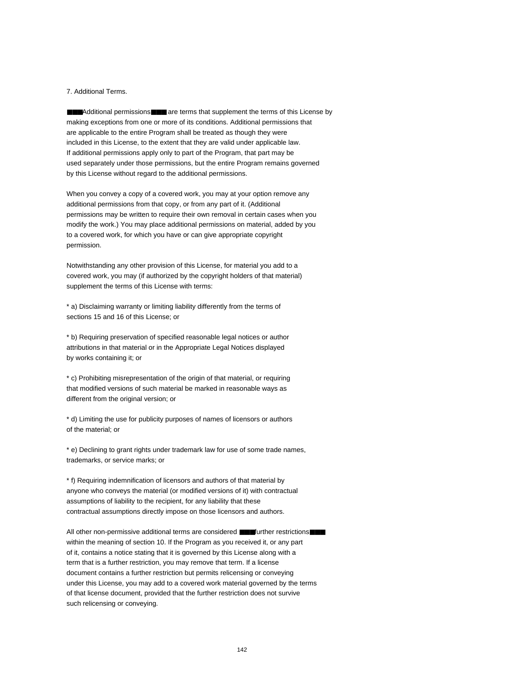#### 7. Additional Terms.

■■■Additional permissions■■■ are terms that supplement the terms of this License by making exceptions from one or more of its conditions. Additional permissions that are applicable to the entire Program shall be treated as though they were included in this License, to the extent that they are valid under applicable law. If additional permissions apply only to part of the Program, that part may be used separately under those permissions, but the entire Program remains governed by this License without regard to the additional permissions.

When you convey a copy of a covered work, you may at your option remove any additional permissions from that copy, or from any part of it. (Additional permissions may be written to require their own removal in certain cases when you modify the work.) You may place additional permissions on material, added by you to a covered work, for which you have or can give appropriate copyright permission.

Notwithstanding any other provision of this License, for material you add to a covered work, you may (if authorized by the copyright holders of that material) supplement the terms of this License with terms:

\* a) Disclaiming warranty or limiting liability differently from the terms of sections 15 and 16 of this License; or

\* b) Requiring preservation of specified reasonable legal notices or author attributions in that material or in the Appropriate Legal Notices displayed by works containing it; or

\* c) Prohibiting misrepresentation of the origin of that material, or requiring that modified versions of such material be marked in reasonable ways as different from the original version; or

\* d) Limiting the use for publicity purposes of names of licensors or authors of the material; or

\* e) Declining to grant rights under trademark law for use of some trade names, trademarks, or service marks; or

\* f) Requiring indemnification of licensors and authors of that material by anyone who conveys the material (or modified versions of it) with contractual assumptions of liability to the recipient, for any liability that these contractual assumptions directly impose on those licensors and authors.

All other non-permissive additional terms are considered ■■■further restrictions■■■ within the meaning of section 10. If the Program as you received it, or any part of it, contains a notice stating that it is governed by this License along with a term that is a further restriction, you may remove that term. If a license document contains a further restriction but permits relicensing or conveying under this License, you may add to a covered work material governed by the terms of that license document, provided that the further restriction does not survive such relicensing or conveying.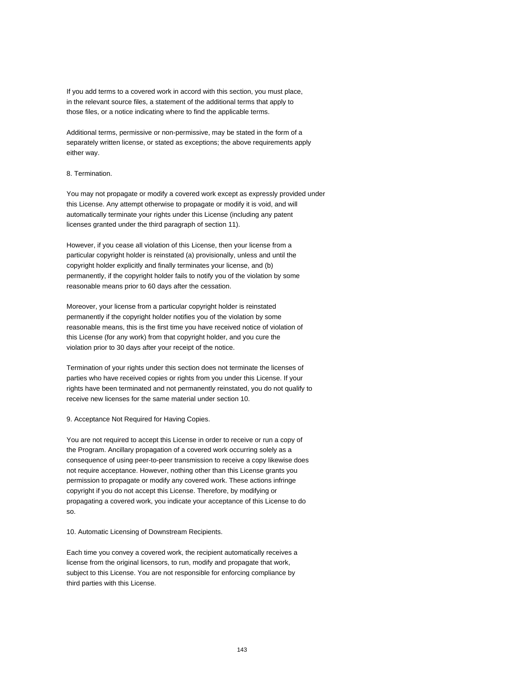If you add terms to a covered work in accord with this section, you must place, in the relevant source files, a statement of the additional terms that apply to those files, or a notice indicating where to find the applicable terms.

Additional terms, permissive or non-permissive, may be stated in the form of a separately written license, or stated as exceptions; the above requirements apply either way.

## 8. Termination.

You may not propagate or modify a covered work except as expressly provided under this License. Any attempt otherwise to propagate or modify it is void, and will automatically terminate your rights under this License (including any patent licenses granted under the third paragraph of section 11).

However, if you cease all violation of this License, then your license from a particular copyright holder is reinstated (a) provisionally, unless and until the copyright holder explicitly and finally terminates your license, and (b) permanently, if the copyright holder fails to notify you of the violation by some reasonable means prior to 60 days after the cessation.

Moreover, your license from a particular copyright holder is reinstated permanently if the copyright holder notifies you of the violation by some reasonable means, this is the first time you have received notice of violation of this License (for any work) from that copyright holder, and you cure the violation prior to 30 days after your receipt of the notice.

Termination of your rights under this section does not terminate the licenses of parties who have received copies or rights from you under this License. If your rights have been terminated and not permanently reinstated, you do not qualify to receive new licenses for the same material under section 10.

#### 9. Acceptance Not Required for Having Copies.

You are not required to accept this License in order to receive or run a copy of the Program. Ancillary propagation of a covered work occurring solely as a consequence of using peer-to-peer transmission to receive a copy likewise does not require acceptance. However, nothing other than this License grants you permission to propagate or modify any covered work. These actions infringe copyright if you do not accept this License. Therefore, by modifying or propagating a covered work, you indicate your acceptance of this License to do so.

10. Automatic Licensing of Downstream Recipients.

Each time you convey a covered work, the recipient automatically receives a license from the original licensors, to run, modify and propagate that work, subject to this License. You are not responsible for enforcing compliance by third parties with this License.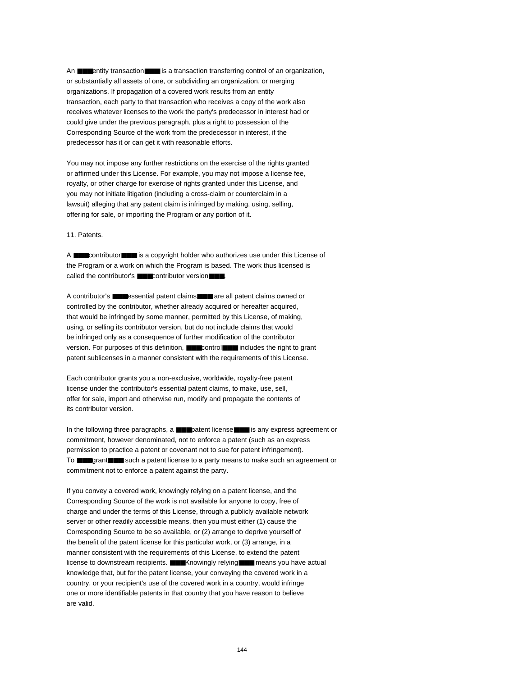An **■■**entity transaction■■■ is a transaction transferring control of an organization, or substantially all assets of one, or subdividing an organization, or merging organizations. If propagation of a covered work results from an entity transaction, each party to that transaction who receives a copy of the work also receives whatever licenses to the work the party's predecessor in interest had or could give under the previous paragraph, plus a right to possession of the Corresponding Source of the work from the predecessor in interest, if the predecessor has it or can get it with reasonable efforts.

You may not impose any further restrictions on the exercise of the rights granted or affirmed under this License. For example, you may not impose a license fee, royalty, or other charge for exercise of rights granted under this License, and you may not initiate litigation (including a cross-claim or counterclaim in a lawsuit) alleging that any patent claim is infringed by making, using, selling, offering for sale, or importing the Program or any portion of it.

11. Patents.

A ■■■contributor■■■ is a copyright holder who authorizes use under this License of the Program or a work on which the Program is based. The work thus licensed is called the contributor's ■■■contributor version■■■.

A contributor's ■■■essential patent claims■■■ are all patent claims owned or controlled by the contributor, whether already acquired or hereafter acquired, that would be infringed by some manner, permitted by this License, of making, using, or selling its contributor version, but do not include claims that would be infringed only as a consequence of further modification of the contributor version. For purposes of this definition, ■■■control■■■ includes the right to grant patent sublicenses in a manner consistent with the requirements of this License.

Each contributor grants you a non-exclusive, worldwide, royalty-free patent license under the contributor's essential patent claims, to make, use, sell, offer for sale, import and otherwise run, modify and propagate the contents of its contributor version.

In the following three paragraphs, a ■■■patent license■■■ is any express agreement or commitment, however denominated, not to enforce a patent (such as an express permission to practice a patent or covenant not to sue for patent infringement). To ■■■grant■■■ such a patent license to a party means to make such an agreement or commitment not to enforce a patent against the party.

If you convey a covered work, knowingly relying on a patent license, and the Corresponding Source of the work is not available for anyone to copy, free of charge and under the terms of this License, through a publicly available network server or other readily accessible means, then you must either (1) cause the Corresponding Source to be so available, or (2) arrange to deprive yourself of the benefit of the patent license for this particular work, or (3) arrange, in a manner consistent with the requirements of this License, to extend the patent license to downstream recipients. ■■■Knowingly relying■■■ means you have actual knowledge that, but for the patent license, your conveying the covered work in a country, or your recipient's use of the covered work in a country, would infringe one or more identifiable patents in that country that you have reason to believe are valid.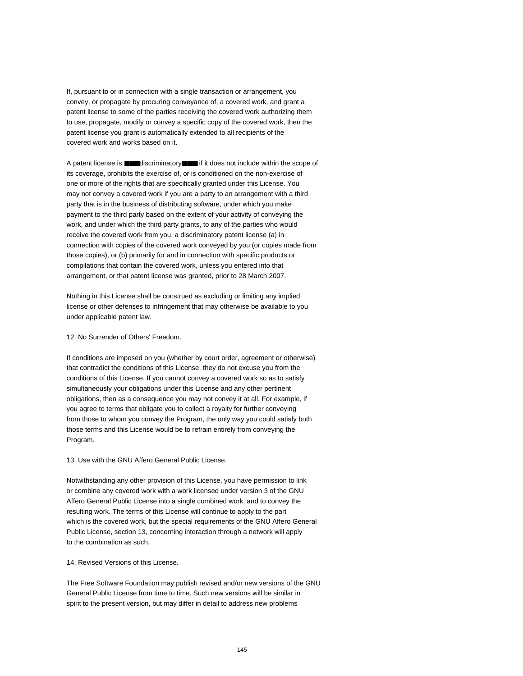If, pursuant to or in connection with a single transaction or arrangement, you convey, or propagate by procuring conveyance of, a covered work, and grant a patent license to some of the parties receiving the covered work authorizing them to use, propagate, modify or convey a specific copy of the covered work, then the patent license you grant is automatically extended to all recipients of the covered work and works based on it.

A patent license is ■■■discriminatory■■■ if it does not include within the scope of its coverage, prohibits the exercise of, or is conditioned on the non-exercise of one or more of the rights that are specifically granted under this License. You may not convey a covered work if you are a party to an arrangement with a third party that is in the business of distributing software, under which you make payment to the third party based on the extent of your activity of conveying the work, and under which the third party grants, to any of the parties who would receive the covered work from you, a discriminatory patent license (a) in connection with copies of the covered work conveyed by you (or copies made from those copies), or (b) primarily for and in connection with specific products or compilations that contain the covered work, unless you entered into that arrangement, or that patent license was granted, prior to 28 March 2007.

Nothing in this License shall be construed as excluding or limiting any implied license or other defenses to infringement that may otherwise be available to you under applicable patent law.

#### 12. No Surrender of Others' Freedom.

If conditions are imposed on you (whether by court order, agreement or otherwise) that contradict the conditions of this License, they do not excuse you from the conditions of this License. If you cannot convey a covered work so as to satisfy simultaneously your obligations under this License and any other pertinent obligations, then as a consequence you may not convey it at all. For example, if you agree to terms that obligate you to collect a royalty for further conveying from those to whom you convey the Program, the only way you could satisfy both those terms and this License would be to refrain entirely from conveying the Program.

13. Use with the GNU Affero General Public License.

Notwithstanding any other provision of this License, you have permission to link or combine any covered work with a work licensed under version 3 of the GNU Affero General Public License into a single combined work, and to convey the resulting work. The terms of this License will continue to apply to the part which is the covered work, but the special requirements of the GNU Affero General Public License, section 13, concerning interaction through a network will apply to the combination as such.

#### 14. Revised Versions of this License.

The Free Software Foundation may publish revised and/or new versions of the GNU General Public License from time to time. Such new versions will be similar in spirit to the present version, but may differ in detail to address new problems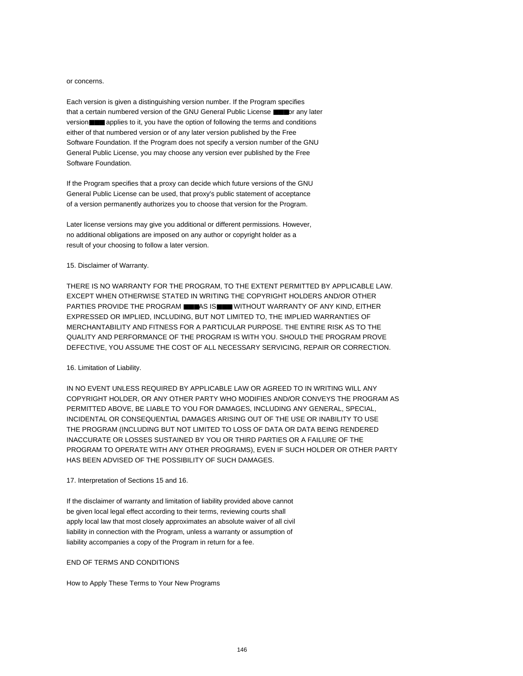#### or concerns.

Each version is given a distinguishing version number. If the Program specifies that a certain numbered version of the GNU General Public License ■■■or any later version■■■ applies to it, you have the option of following the terms and conditions either of that numbered version or of any later version published by the Free Software Foundation. If the Program does not specify a version number of the GNU General Public License, you may choose any version ever published by the Free Software Foundation.

If the Program specifies that a proxy can decide which future versions of the GNU General Public License can be used, that proxy's public statement of acceptance of a version permanently authorizes you to choose that version for the Program.

Later license versions may give you additional or different permissions. However, no additional obligations are imposed on any author or copyright holder as a result of your choosing to follow a later version.

#### 15. Disclaimer of Warranty.

THERE IS NO WARRANTY FOR THE PROGRAM, TO THE EXTENT PERMITTED BY APPLICABLE LAW. EXCEPT WHEN OTHERWISE STATED IN WRITING THE COPYRIGHT HOLDERS AND/OR OTHER PARTIES PROVIDE THE PROGRAM ■■■AS IS■■■ WITHOUT WARRANTY OF ANY KIND, EITHER EXPRESSED OR IMPLIED, INCLUDING, BUT NOT LIMITED TO, THE IMPLIED WARRANTIES OF MERCHANTABILITY AND FITNESS FOR A PARTICULAR PURPOSE. THE ENTIRE RISK AS TO THE QUALITY AND PERFORMANCE OF THE PROGRAM IS WITH YOU. SHOULD THE PROGRAM PROVE DEFECTIVE, YOU ASSUME THE COST OF ALL NECESSARY SERVICING, REPAIR OR CORRECTION.

#### 16. Limitation of Liability.

IN NO EVENT UNLESS REQUIRED BY APPLICABLE LAW OR AGREED TO IN WRITING WILL ANY COPYRIGHT HOLDER, OR ANY OTHER PARTY WHO MODIFIES AND/OR CONVEYS THE PROGRAM AS PERMITTED ABOVE, BE LIABLE TO YOU FOR DAMAGES, INCLUDING ANY GENERAL, SPECIAL, INCIDENTAL OR CONSEQUENTIAL DAMAGES ARISING OUT OF THE USE OR INABILITY TO USE THE PROGRAM (INCLUDING BUT NOT LIMITED TO LOSS OF DATA OR DATA BEING RENDERED INACCURATE OR LOSSES SUSTAINED BY YOU OR THIRD PARTIES OR A FAILURE OF THE PROGRAM TO OPERATE WITH ANY OTHER PROGRAMS), EVEN IF SUCH HOLDER OR OTHER PARTY HAS BEEN ADVISED OF THE POSSIBILITY OF SUCH DAMAGES.

#### 17. Interpretation of Sections 15 and 16.

If the disclaimer of warranty and limitation of liability provided above cannot be given local legal effect according to their terms, reviewing courts shall apply local law that most closely approximates an absolute waiver of all civil liability in connection with the Program, unless a warranty or assumption of liability accompanies a copy of the Program in return for a fee.

#### END OF TERMS AND CONDITIONS

How to Apply These Terms to Your New Programs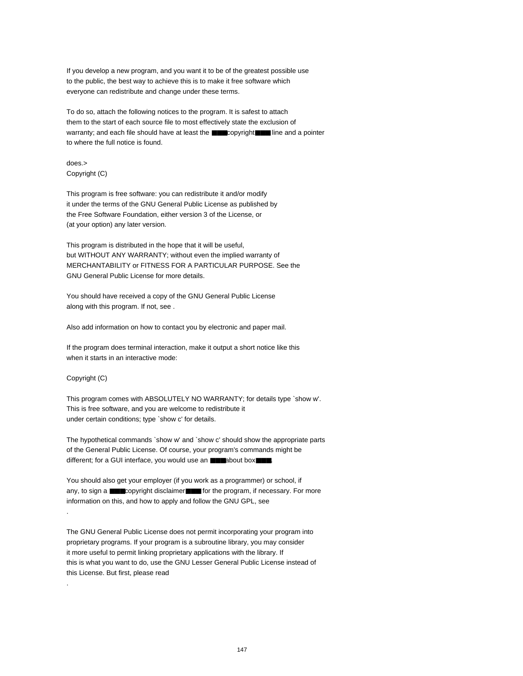If you develop a new program, and you want it to be of the greatest possible use to the public, the best way to achieve this is to make it free software which everyone can redistribute and change under these terms.

To do so, attach the following notices to the program. It is safest to attach them to the start of each source file to most effectively state the exclusion of warranty; and each file should have at least the ■■■copyright■■■ line and a pointer to where the full notice is found.

does.> Copyright (C)

This program is free software: you can redistribute it and/or modify it under the terms of the GNU General Public License as published by the Free Software Foundation, either version 3 of the License, or (at your option) any later version.

This program is distributed in the hope that it will be useful, but WITHOUT ANY WARRANTY; without even the implied warranty of MERCHANTABILITY or FITNESS FOR A PARTICULAR PURPOSE. See the GNU General Public License for more details.

You should have received a copy of the GNU General Public License along with this program. If not, see .

Also add information on how to contact you by electronic and paper mail.

If the program does terminal interaction, make it output a short notice like this when it starts in an interactive mode:

#### Copyright (C)

.

.

This program comes with ABSOLUTELY NO WARRANTY; for details type `show w'. This is free software, and you are welcome to redistribute it under certain conditions; type `show c' for details.

The hypothetical commands `show w' and `show c' should show the appropriate parts of the General Public License. Of course, your program's commands might be different; for a GUI interface, you would use an ■■■about box■■■.

You should also get your employer (if you work as a programmer) or school, if any, to sign a ■■■copyright disclaimer■■■ for the program, if necessary. For more information on this, and how to apply and follow the GNU GPL, see

The GNU General Public License does not permit incorporating your program into proprietary programs. If your program is a subroutine library, you may consider it more useful to permit linking proprietary applications with the library. If this is what you want to do, use the GNU Lesser General Public License instead of this License. But first, please read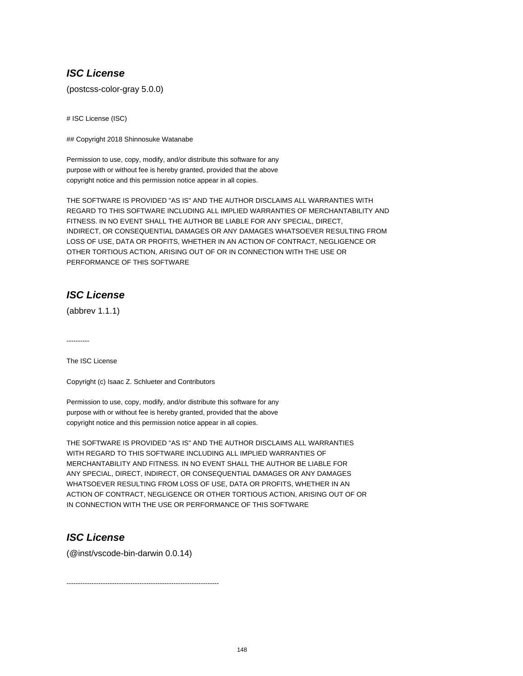# **ISC License**

(postcss-color-gray 5.0.0)

# ISC License (ISC)

## Copyright 2018 Shinnosuke Watanabe

Permission to use, copy, modify, and/or distribute this software for any purpose with or without fee is hereby granted, provided that the above copyright notice and this permission notice appear in all copies.

THE SOFTWARE IS PROVIDED "AS IS" AND THE AUTHOR DISCLAIMS ALL WARRANTIES WITH REGARD TO THIS SOFTWARE INCLUDING ALL IMPLIED WARRANTIES OF MERCHANTABILITY AND FITNESS. IN NO EVENT SHALL THE AUTHOR BE LIABLE FOR ANY SPECIAL, DIRECT, INDIRECT, OR CONSEQUENTIAL DAMAGES OR ANY DAMAGES WHATSOEVER RESULTING FROM LOSS OF USE, DATA OR PROFITS, WHETHER IN AN ACTION OF CONTRACT, NEGLIGENCE OR OTHER TORTIOUS ACTION, ARISING OUT OF OR IN CONNECTION WITH THE USE OR PERFORMANCE OF THIS SOFTWARE

# **ISC License**

(abbrev 1.1.1)

----------

The ISC License

Copyright (c) Isaac Z. Schlueter and Contributors

Permission to use, copy, modify, and/or distribute this software for any purpose with or without fee is hereby granted, provided that the above copyright notice and this permission notice appear in all copies.

THE SOFTWARE IS PROVIDED "AS IS" AND THE AUTHOR DISCLAIMS ALL WARRANTIES WITH REGARD TO THIS SOFTWARE INCLUDING ALL IMPLIED WARRANTIES OF MERCHANTABILITY AND FITNESS. IN NO EVENT SHALL THE AUTHOR BE LIABLE FOR ANY SPECIAL, DIRECT, INDIRECT, OR CONSEQUENTIAL DAMAGES OR ANY DAMAGES WHATSOEVER RESULTING FROM LOSS OF USE, DATA OR PROFITS, WHETHER IN AN ACTION OF CONTRACT, NEGLIGENCE OR OTHER TORTIOUS ACTION, ARISING OUT OF OR IN CONNECTION WITH THE USE OR PERFORMANCE OF THIS SOFTWARE

# **ISC License**

(@inst/vscode-bin-darwin 0.0.14)

-------------------------------------------------------------------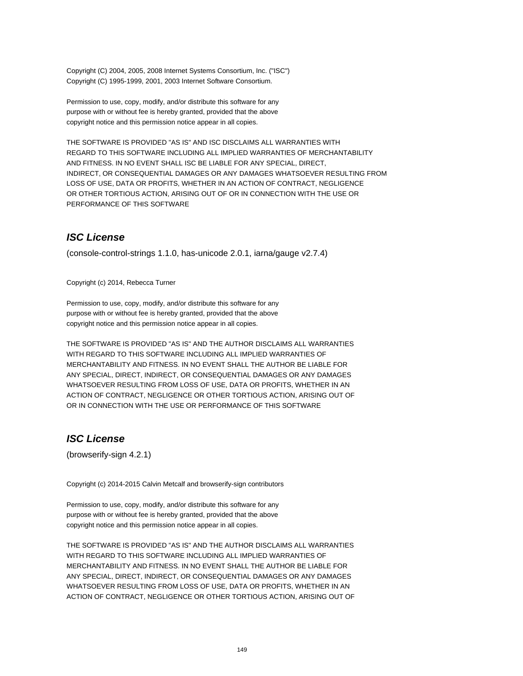Copyright (C) 2004, 2005, 2008 Internet Systems Consortium, Inc. ("ISC") Copyright (C) 1995-1999, 2001, 2003 Internet Software Consortium.

Permission to use, copy, modify, and/or distribute this software for any purpose with or without fee is hereby granted, provided that the above copyright notice and this permission notice appear in all copies.

THE SOFTWARE IS PROVIDED "AS IS" AND ISC DISCLAIMS ALL WARRANTIES WITH REGARD TO THIS SOFTWARE INCLUDING ALL IMPLIED WARRANTIES OF MERCHANTABILITY AND FITNESS. IN NO EVENT SHALL ISC BE LIABLE FOR ANY SPECIAL, DIRECT, INDIRECT, OR CONSEQUENTIAL DAMAGES OR ANY DAMAGES WHATSOEVER RESULTING FROM LOSS OF USE, DATA OR PROFITS, WHETHER IN AN ACTION OF CONTRACT, NEGLIGENCE OR OTHER TORTIOUS ACTION, ARISING OUT OF OR IN CONNECTION WITH THE USE OR PERFORMANCE OF THIS SOFTWARE

## **ISC License**

(console-control-strings 1.1.0, has-unicode 2.0.1, iarna/gauge v2.7.4)

Copyright (c) 2014, Rebecca Turner

Permission to use, copy, modify, and/or distribute this software for any purpose with or without fee is hereby granted, provided that the above copyright notice and this permission notice appear in all copies.

THE SOFTWARE IS PROVIDED "AS IS" AND THE AUTHOR DISCLAIMS ALL WARRANTIES WITH REGARD TO THIS SOFTWARE INCLUDING ALL IMPLIED WARRANTIES OF MERCHANTABILITY AND FITNESS. IN NO EVENT SHALL THE AUTHOR BE LIABLE FOR ANY SPECIAL, DIRECT, INDIRECT, OR CONSEQUENTIAL DAMAGES OR ANY DAMAGES WHATSOEVER RESULTING FROM LOSS OF USE, DATA OR PROFITS, WHETHER IN AN ACTION OF CONTRACT, NEGLIGENCE OR OTHER TORTIOUS ACTION, ARISING OUT OF OR IN CONNECTION WITH THE USE OR PERFORMANCE OF THIS SOFTWARE

# **ISC License**

(browserify-sign 4.2.1)

Copyright (c) 2014-2015 Calvin Metcalf and browserify-sign contributors

Permission to use, copy, modify, and/or distribute this software for any purpose with or without fee is hereby granted, provided that the above copyright notice and this permission notice appear in all copies.

THE SOFTWARE IS PROVIDED "AS IS" AND THE AUTHOR DISCLAIMS ALL WARRANTIES WITH REGARD TO THIS SOFTWARE INCLUDING ALL IMPLIED WARRANTIES OF MERCHANTABILITY AND FITNESS. IN NO EVENT SHALL THE AUTHOR BE LIABLE FOR ANY SPECIAL, DIRECT, INDIRECT, OR CONSEQUENTIAL DAMAGES OR ANY DAMAGES WHATSOEVER RESULTING FROM LOSS OF USE, DATA OR PROFITS, WHETHER IN AN ACTION OF CONTRACT, NEGLIGENCE OR OTHER TORTIOUS ACTION, ARISING OUT OF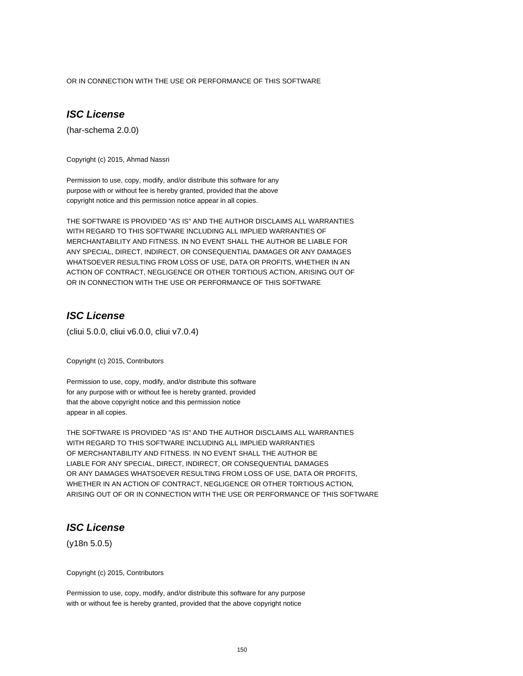OR IN CONNECTION WITH THE USE OR PERFORMANCE OF THIS SOFTWARE

## **ISC License**

(har-schema 2.0.0)

Copyright (c) 2015, Ahmad Nassri

Permission to use, copy, modify, and/or distribute this software for any purpose with or without fee is hereby granted, provided that the above copyright notice and this permission notice appear in all copies.

THE SOFTWARE IS PROVIDED "AS IS" AND THE AUTHOR DISCLAIMS ALL WARRANTIES WITH REGARD TO THIS SOFTWARE INCLUDING ALL IMPLIED WARRANTIES OF MERCHANTABILITY AND FITNESS. IN NO EVENT SHALL THE AUTHOR BE LIABLE FOR ANY SPECIAL, DIRECT, INDIRECT, OR CONSEQUENTIAL DAMAGES OR ANY DAMAGES WHATSOEVER RESULTING FROM LOSS OF USE, DATA OR PROFITS, WHETHER IN AN ACTION OF CONTRACT, NEGLIGENCE OR OTHER TORTIOUS ACTION, ARISING OUT OF OR IN CONNECTION WITH THE USE OR PERFORMANCE OF THIS SOFTWARE

### **ISC License**

(cliui 5.0.0, cliui v6.0.0, cliui v7.0.4)

Copyright (c) 2015, Contributors

Permission to use, copy, modify, and/or distribute this software for any purpose with or without fee is hereby granted, provided that the above copyright notice and this permission notice appear in all copies.

THE SOFTWARE IS PROVIDED "AS IS" AND THE AUTHOR DISCLAIMS ALL WARRANTIES WITH REGARD TO THIS SOFTWARE INCLUDING ALL IMPLIED WARRANTIES OF MERCHANTABILITY AND FITNESS. IN NO EVENT SHALL THE AUTHOR BE LIABLE FOR ANY SPECIAL, DIRECT, INDIRECT, OR CONSEQUENTIAL DAMAGES OR ANY DAMAGES WHATSOEVER RESULTING FROM LOSS OF USE, DATA OR PROFITS, WHETHER IN AN ACTION OF CONTRACT, NEGLIGENCE OR OTHER TORTIOUS ACTION, ARISING OUT OF OR IN CONNECTION WITH THE USE OR PERFORMANCE OF THIS SOFTWARE

# **ISC License**

(y18n 5.0.5)

Copyright (c) 2015, Contributors

Permission to use, copy, modify, and/or distribute this software for any purpose with or without fee is hereby granted, provided that the above copyright notice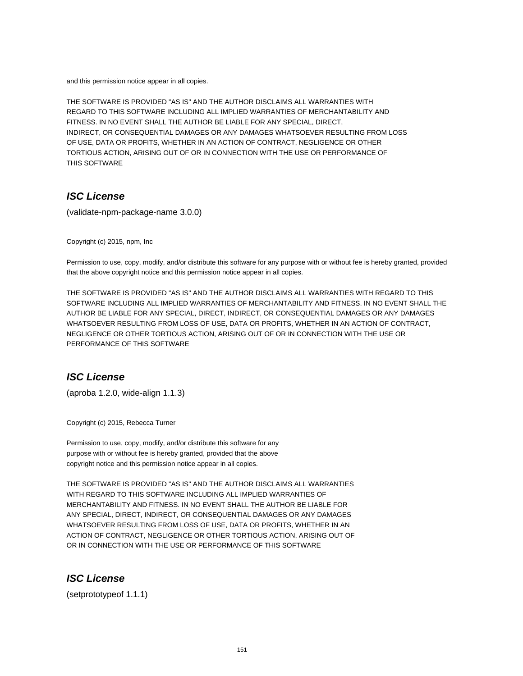and this permission notice appear in all copies.

THE SOFTWARE IS PROVIDED "AS IS" AND THE AUTHOR DISCLAIMS ALL WARRANTIES WITH REGARD TO THIS SOFTWARE INCLUDING ALL IMPLIED WARRANTIES OF MERCHANTABILITY AND FITNESS. IN NO EVENT SHALL THE AUTHOR BE LIABLE FOR ANY SPECIAL, DIRECT, INDIRECT, OR CONSEQUENTIAL DAMAGES OR ANY DAMAGES WHATSOEVER RESULTING FROM LOSS OF USE, DATA OR PROFITS, WHETHER IN AN ACTION OF CONTRACT, NEGLIGENCE OR OTHER TORTIOUS ACTION, ARISING OUT OF OR IN CONNECTION WITH THE USE OR PERFORMANCE OF THIS SOFTWARE

# **ISC License**

(validate-npm-package-name 3.0.0)

Copyright (c) 2015, npm, Inc

Permission to use, copy, modify, and/or distribute this software for any purpose with or without fee is hereby granted, provided that the above copyright notice and this permission notice appear in all copies.

THE SOFTWARE IS PROVIDED "AS IS" AND THE AUTHOR DISCLAIMS ALL WARRANTIES WITH REGARD TO THIS SOFTWARE INCLUDING ALL IMPLIED WARRANTIES OF MERCHANTABILITY AND FITNESS. IN NO EVENT SHALL THE AUTHOR BE LIABLE FOR ANY SPECIAL, DIRECT, INDIRECT, OR CONSEQUENTIAL DAMAGES OR ANY DAMAGES WHATSOEVER RESULTING FROM LOSS OF USE, DATA OR PROFITS, WHETHER IN AN ACTION OF CONTRACT, NEGLIGENCE OR OTHER TORTIOUS ACTION, ARISING OUT OF OR IN CONNECTION WITH THE USE OR PERFORMANCE OF THIS SOFTWARE

## **ISC License**

(aproba 1.2.0, wide-align 1.1.3)

Copyright (c) 2015, Rebecca Turner

Permission to use, copy, modify, and/or distribute this software for any purpose with or without fee is hereby granted, provided that the above copyright notice and this permission notice appear in all copies.

THE SOFTWARE IS PROVIDED "AS IS" AND THE AUTHOR DISCLAIMS ALL WARRANTIES WITH REGARD TO THIS SOFTWARE INCLUDING ALL IMPLIED WARRANTIES OF MERCHANTABILITY AND FITNESS. IN NO EVENT SHALL THE AUTHOR BE LIABLE FOR ANY SPECIAL, DIRECT, INDIRECT, OR CONSEQUENTIAL DAMAGES OR ANY DAMAGES WHATSOEVER RESULTING FROM LOSS OF USE, DATA OR PROFITS, WHETHER IN AN ACTION OF CONTRACT, NEGLIGENCE OR OTHER TORTIOUS ACTION, ARISING OUT OF OR IN CONNECTION WITH THE USE OR PERFORMANCE OF THIS SOFTWARE

## **ISC License**

(setprototypeof 1.1.1)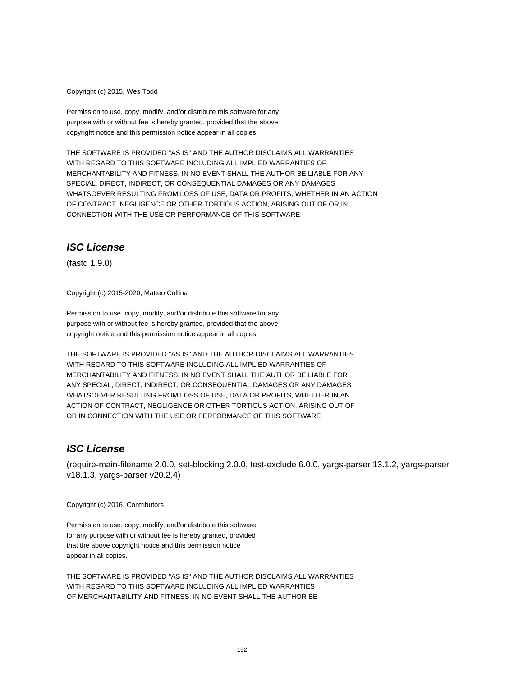Copyright (c) 2015, Wes Todd

Permission to use, copy, modify, and/or distribute this software for any purpose with or without fee is hereby granted, provided that the above copyright notice and this permission notice appear in all copies.

THE SOFTWARE IS PROVIDED "AS IS" AND THE AUTHOR DISCLAIMS ALL WARRANTIES WITH REGARD TO THIS SOFTWARE INCLUDING ALL IMPLIED WARRANTIES OF MERCHANTABILITY AND FITNESS. IN NO EVENT SHALL THE AUTHOR BE LIABLE FOR ANY SPECIAL, DIRECT, INDIRECT, OR CONSEQUENTIAL DAMAGES OR ANY DAMAGES WHATSOEVER RESULTING FROM LOSS OF USE, DATA OR PROFITS, WHETHER IN AN ACTION OF CONTRACT, NEGLIGENCE OR OTHER TORTIOUS ACTION, ARISING OUT OF OR IN CONNECTION WITH THE USE OR PERFORMANCE OF THIS SOFTWARE

### **ISC License**

(fastq 1.9.0)

Copyright (c) 2015-2020, Matteo Collina

Permission to use, copy, modify, and/or distribute this software for any purpose with or without fee is hereby granted, provided that the above copyright notice and this permission notice appear in all copies.

THE SOFTWARE IS PROVIDED "AS IS" AND THE AUTHOR DISCLAIMS ALL WARRANTIES WITH REGARD TO THIS SOFTWARE INCLUDING ALL IMPLIED WARRANTIES OF MERCHANTABILITY AND FITNESS. IN NO EVENT SHALL THE AUTHOR BE LIABLE FOR ANY SPECIAL, DIRECT, INDIRECT, OR CONSEQUENTIAL DAMAGES OR ANY DAMAGES WHATSOEVER RESULTING FROM LOSS OF USE, DATA OR PROFITS, WHETHER IN AN ACTION OF CONTRACT, NEGLIGENCE OR OTHER TORTIOUS ACTION, ARISING OUT OF OR IN CONNECTION WITH THE USE OR PERFORMANCE OF THIS SOFTWARE

## **ISC License**

(require-main-filename 2.0.0, set-blocking 2.0.0, test-exclude 6.0.0, yargs-parser 13.1.2, yargs-parser v18.1.3, yargs-parser v20.2.4)

Copyright (c) 2016, Contributors

Permission to use, copy, modify, and/or distribute this software for any purpose with or without fee is hereby granted, provided that the above copyright notice and this permission notice appear in all copies.

THE SOFTWARE IS PROVIDED "AS IS" AND THE AUTHOR DISCLAIMS ALL WARRANTIES WITH REGARD TO THIS SOFTWARE INCLUDING ALL IMPLIED WARRANTIES OF MERCHANTABILITY AND FITNESS. IN NO EVENT SHALL THE AUTHOR BE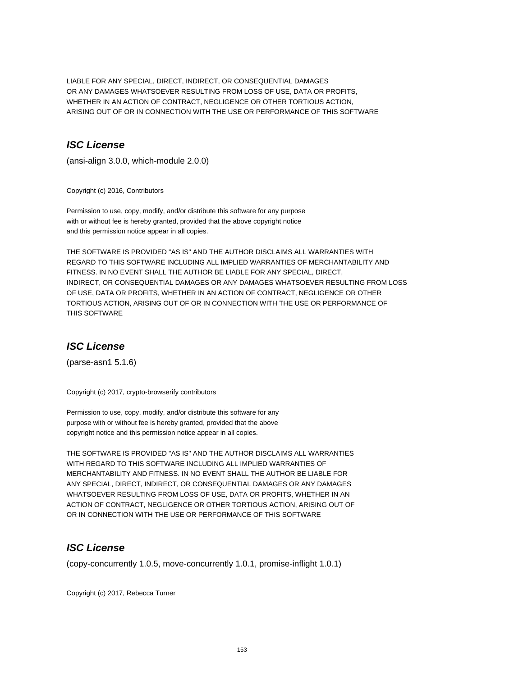LIABLE FOR ANY SPECIAL, DIRECT, INDIRECT, OR CONSEQUENTIAL DAMAGES OR ANY DAMAGES WHATSOEVER RESULTING FROM LOSS OF USE, DATA OR PROFITS, WHETHER IN AN ACTION OF CONTRACT, NEGLIGENCE OR OTHER TORTIOUS ACTION, ARISING OUT OF OR IN CONNECTION WITH THE USE OR PERFORMANCE OF THIS SOFTWARE

## **ISC License**

(ansi-align 3.0.0, which-module 2.0.0)

Copyright (c) 2016, Contributors

Permission to use, copy, modify, and/or distribute this software for any purpose with or without fee is hereby granted, provided that the above copyright notice and this permission notice appear in all copies.

THE SOFTWARE IS PROVIDED "AS IS" AND THE AUTHOR DISCLAIMS ALL WARRANTIES WITH REGARD TO THIS SOFTWARE INCLUDING ALL IMPLIED WARRANTIES OF MERCHANTABILITY AND FITNESS. IN NO EVENT SHALL THE AUTHOR BE LIABLE FOR ANY SPECIAL, DIRECT, INDIRECT, OR CONSEQUENTIAL DAMAGES OR ANY DAMAGES WHATSOEVER RESULTING FROM LOSS OF USE, DATA OR PROFITS, WHETHER IN AN ACTION OF CONTRACT, NEGLIGENCE OR OTHER TORTIOUS ACTION, ARISING OUT OF OR IN CONNECTION WITH THE USE OR PERFORMANCE OF THIS SOFTWARE

# **ISC License**

(parse-asn1 5.1.6)

Copyright (c) 2017, crypto-browserify contributors

Permission to use, copy, modify, and/or distribute this software for any purpose with or without fee is hereby granted, provided that the above copyright notice and this permission notice appear in all copies.

THE SOFTWARE IS PROVIDED "AS IS" AND THE AUTHOR DISCLAIMS ALL WARRANTIES WITH REGARD TO THIS SOFTWARE INCLUDING ALL IMPLIED WARRANTIES OF MERCHANTABILITY AND FITNESS. IN NO EVENT SHALL THE AUTHOR BE LIABLE FOR ANY SPECIAL, DIRECT, INDIRECT, OR CONSEQUENTIAL DAMAGES OR ANY DAMAGES WHATSOEVER RESULTING FROM LOSS OF USE, DATA OR PROFITS, WHETHER IN AN ACTION OF CONTRACT, NEGLIGENCE OR OTHER TORTIOUS ACTION, ARISING OUT OF OR IN CONNECTION WITH THE USE OR PERFORMANCE OF THIS SOFTWARE

# **ISC License**

(copy-concurrently 1.0.5, move-concurrently 1.0.1, promise-inflight 1.0.1)

Copyright (c) 2017, Rebecca Turner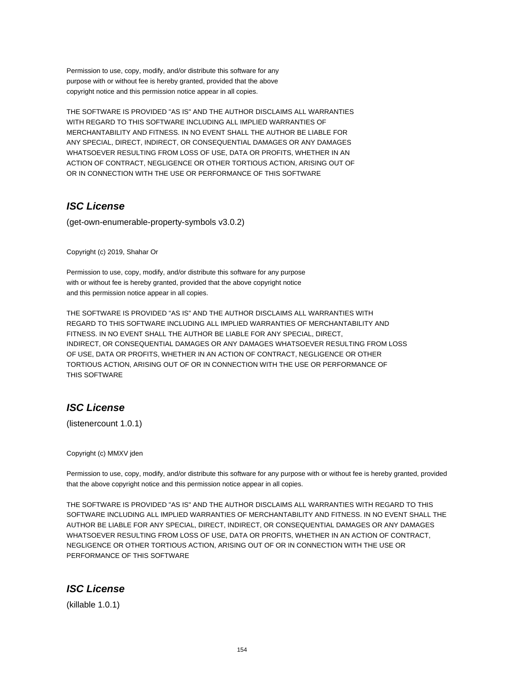Permission to use, copy, modify, and/or distribute this software for any purpose with or without fee is hereby granted, provided that the above copyright notice and this permission notice appear in all copies.

THE SOFTWARE IS PROVIDED "AS IS" AND THE AUTHOR DISCLAIMS ALL WARRANTIES WITH REGARD TO THIS SOFTWARE INCLUDING ALL IMPLIED WARRANTIES OF MERCHANTABILITY AND FITNESS. IN NO EVENT SHALL THE AUTHOR BE LIABLE FOR ANY SPECIAL, DIRECT, INDIRECT, OR CONSEQUENTIAL DAMAGES OR ANY DAMAGES WHATSOEVER RESULTING FROM LOSS OF USE, DATA OR PROFITS, WHETHER IN AN ACTION OF CONTRACT, NEGLIGENCE OR OTHER TORTIOUS ACTION, ARISING OUT OF OR IN CONNECTION WITH THE USE OR PERFORMANCE OF THIS SOFTWARE

# **ISC License**

(get-own-enumerable-property-symbols v3.0.2)

Copyright (c) 2019, Shahar Or

Permission to use, copy, modify, and/or distribute this software for any purpose with or without fee is hereby granted, provided that the above copyright notice and this permission notice appear in all copies.

THE SOFTWARE IS PROVIDED "AS IS" AND THE AUTHOR DISCLAIMS ALL WARRANTIES WITH REGARD TO THIS SOFTWARE INCLUDING ALL IMPLIED WARRANTIES OF MERCHANTABILITY AND FITNESS. IN NO EVENT SHALL THE AUTHOR BE LIABLE FOR ANY SPECIAL, DIRECT, INDIRECT, OR CONSEQUENTIAL DAMAGES OR ANY DAMAGES WHATSOEVER RESULTING FROM LOSS OF USE, DATA OR PROFITS, WHETHER IN AN ACTION OF CONTRACT, NEGLIGENCE OR OTHER TORTIOUS ACTION, ARISING OUT OF OR IN CONNECTION WITH THE USE OR PERFORMANCE OF THIS SOFTWARE

# **ISC License**

(listenercount 1.0.1)

Copyright (c) MMXV jden

Permission to use, copy, modify, and/or distribute this software for any purpose with or without fee is hereby granted, provided that the above copyright notice and this permission notice appear in all copies.

THE SOFTWARE IS PROVIDED "AS IS" AND THE AUTHOR DISCLAIMS ALL WARRANTIES WITH REGARD TO THIS SOFTWARE INCLUDING ALL IMPLIED WARRANTIES OF MERCHANTABILITY AND FITNESS. IN NO EVENT SHALL THE AUTHOR BE LIABLE FOR ANY SPECIAL, DIRECT, INDIRECT, OR CONSEQUENTIAL DAMAGES OR ANY DAMAGES WHATSOEVER RESULTING FROM LOSS OF USE, DATA OR PROFITS, WHETHER IN AN ACTION OF CONTRACT, NEGLIGENCE OR OTHER TORTIOUS ACTION, ARISING OUT OF OR IN CONNECTION WITH THE USE OR PERFORMANCE OF THIS SOFTWARE

## **ISC License**

(killable 1.0.1)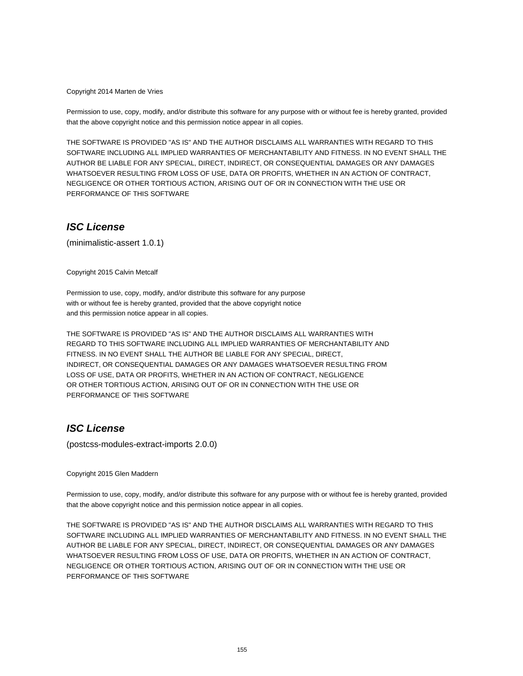#### Copyright 2014 Marten de Vries

Permission to use, copy, modify, and/or distribute this software for any purpose with or without fee is hereby granted, provided that the above copyright notice and this permission notice appear in all copies.

THE SOFTWARE IS PROVIDED "AS IS" AND THE AUTHOR DISCLAIMS ALL WARRANTIES WITH REGARD TO THIS SOFTWARE INCLUDING ALL IMPLIED WARRANTIES OF MERCHANTABILITY AND FITNESS. IN NO EVENT SHALL THE AUTHOR BE LIABLE FOR ANY SPECIAL, DIRECT, INDIRECT, OR CONSEQUENTIAL DAMAGES OR ANY DAMAGES WHATSOEVER RESULTING FROM LOSS OF USE, DATA OR PROFITS, WHETHER IN AN ACTION OF CONTRACT, NEGLIGENCE OR OTHER TORTIOUS ACTION, ARISING OUT OF OR IN CONNECTION WITH THE USE OR PERFORMANCE OF THIS SOFTWARE

#### **ISC License**

(minimalistic-assert 1.0.1)

Copyright 2015 Calvin Metcalf

Permission to use, copy, modify, and/or distribute this software for any purpose with or without fee is hereby granted, provided that the above copyright notice and this permission notice appear in all copies.

THE SOFTWARE IS PROVIDED "AS IS" AND THE AUTHOR DISCLAIMS ALL WARRANTIES WITH REGARD TO THIS SOFTWARE INCLUDING ALL IMPLIED WARRANTIES OF MERCHANTABILITY AND FITNESS. IN NO EVENT SHALL THE AUTHOR BE LIABLE FOR ANY SPECIAL, DIRECT, INDIRECT, OR CONSEQUENTIAL DAMAGES OR ANY DAMAGES WHATSOEVER RESULTING FROM LOSS OF USE, DATA OR PROFITS, WHETHER IN AN ACTION OF CONTRACT, NEGLIGENCE OR OTHER TORTIOUS ACTION, ARISING OUT OF OR IN CONNECTION WITH THE USE OR PERFORMANCE OF THIS SOFTWARE

#### **ISC License**

(postcss-modules-extract-imports 2.0.0)

Copyright 2015 Glen Maddern

Permission to use, copy, modify, and/or distribute this software for any purpose with or without fee is hereby granted, provided that the above copyright notice and this permission notice appear in all copies.

THE SOFTWARE IS PROVIDED "AS IS" AND THE AUTHOR DISCLAIMS ALL WARRANTIES WITH REGARD TO THIS SOFTWARE INCLUDING ALL IMPLIED WARRANTIES OF MERCHANTABILITY AND FITNESS. IN NO EVENT SHALL THE AUTHOR BE LIABLE FOR ANY SPECIAL, DIRECT, INDIRECT, OR CONSEQUENTIAL DAMAGES OR ANY DAMAGES WHATSOEVER RESULTING FROM LOSS OF USE, DATA OR PROFITS, WHETHER IN AN ACTION OF CONTRACT, NEGLIGENCE OR OTHER TORTIOUS ACTION, ARISING OUT OF OR IN CONNECTION WITH THE USE OR PERFORMANCE OF THIS SOFTWARE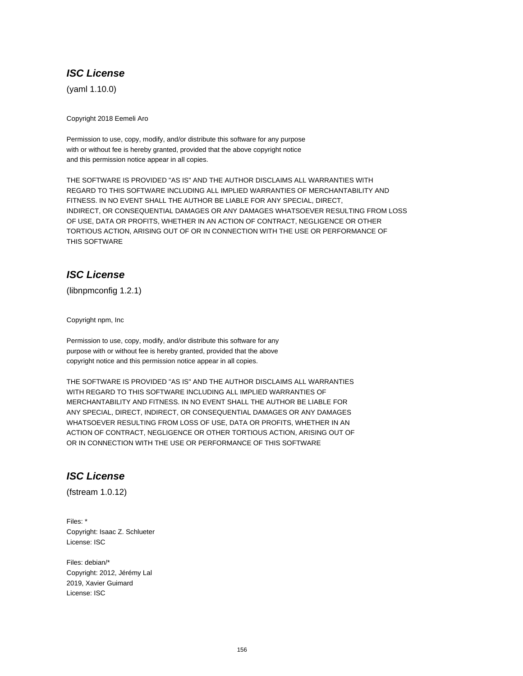## **ISC License**

(yaml 1.10.0)

Copyright 2018 Eemeli Aro

Permission to use, copy, modify, and/or distribute this software for any purpose with or without fee is hereby granted, provided that the above copyright notice and this permission notice appear in all copies.

THE SOFTWARE IS PROVIDED "AS IS" AND THE AUTHOR DISCLAIMS ALL WARRANTIES WITH REGARD TO THIS SOFTWARE INCLUDING ALL IMPLIED WARRANTIES OF MERCHANTABILITY AND FITNESS. IN NO EVENT SHALL THE AUTHOR BE LIABLE FOR ANY SPECIAL, DIRECT, INDIRECT, OR CONSEQUENTIAL DAMAGES OR ANY DAMAGES WHATSOEVER RESULTING FROM LOSS OF USE, DATA OR PROFITS, WHETHER IN AN ACTION OF CONTRACT, NEGLIGENCE OR OTHER TORTIOUS ACTION, ARISING OUT OF OR IN CONNECTION WITH THE USE OR PERFORMANCE OF THIS SOFTWARE

# **ISC License**

(libnpmconfig 1.2.1)

Copyright npm, Inc

Permission to use, copy, modify, and/or distribute this software for any purpose with or without fee is hereby granted, provided that the above copyright notice and this permission notice appear in all copies.

THE SOFTWARE IS PROVIDED "AS IS" AND THE AUTHOR DISCLAIMS ALL WARRANTIES WITH REGARD TO THIS SOFTWARE INCLUDING ALL IMPLIED WARRANTIES OF MERCHANTABILITY AND FITNESS. IN NO EVENT SHALL THE AUTHOR BE LIABLE FOR ANY SPECIAL, DIRECT, INDIRECT, OR CONSEQUENTIAL DAMAGES OR ANY DAMAGES WHATSOEVER RESULTING FROM LOSS OF USE, DATA OR PROFITS, WHETHER IN AN ACTION OF CONTRACT, NEGLIGENCE OR OTHER TORTIOUS ACTION, ARISING OUT OF OR IN CONNECTION WITH THE USE OR PERFORMANCE OF THIS SOFTWARE

# **ISC License**

(fstream 1.0.12)

Files: \* Copyright: Isaac Z. Schlueter License: ISC

Files: debian/\* Copyright: 2012, Jérémy Lal 2019, Xavier Guimard License: ISC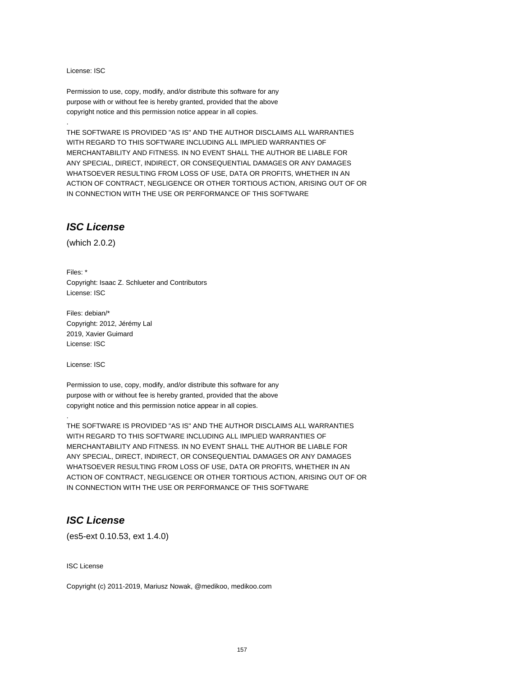License: ISC

.

Permission to use, copy, modify, and/or distribute this software for any purpose with or without fee is hereby granted, provided that the above copyright notice and this permission notice appear in all copies.

THE SOFTWARE IS PROVIDED "AS IS" AND THE AUTHOR DISCLAIMS ALL WARRANTIES WITH REGARD TO THIS SOFTWARE INCLUDING ALL IMPLIED WARRANTIES OF MERCHANTABILITY AND FITNESS. IN NO EVENT SHALL THE AUTHOR BE LIABLE FOR ANY SPECIAL, DIRECT, INDIRECT, OR CONSEQUENTIAL DAMAGES OR ANY DAMAGES WHATSOEVER RESULTING FROM LOSS OF USE, DATA OR PROFITS, WHETHER IN AN ACTION OF CONTRACT, NEGLIGENCE OR OTHER TORTIOUS ACTION, ARISING OUT OF OR IN CONNECTION WITH THE USE OR PERFORMANCE OF THIS SOFTWARE

### **ISC License**

(which 2.0.2)

Files: \* Copyright: Isaac Z. Schlueter and Contributors License: ISC

Files: debian/\* Copyright: 2012, Jérémy Lal 2019, Xavier Guimard License: ISC

License: ISC

.

Permission to use, copy, modify, and/or distribute this software for any purpose with or without fee is hereby granted, provided that the above copyright notice and this permission notice appear in all copies.

THE SOFTWARE IS PROVIDED "AS IS" AND THE AUTHOR DISCLAIMS ALL WARRANTIES WITH REGARD TO THIS SOFTWARE INCLUDING ALL IMPLIED WARRANTIES OF MERCHANTABILITY AND FITNESS. IN NO EVENT SHALL THE AUTHOR BE LIABLE FOR ANY SPECIAL, DIRECT, INDIRECT, OR CONSEQUENTIAL DAMAGES OR ANY DAMAGES WHATSOEVER RESULTING FROM LOSS OF USE, DATA OR PROFITS, WHETHER IN AN ACTION OF CONTRACT, NEGLIGENCE OR OTHER TORTIOUS ACTION, ARISING OUT OF OR IN CONNECTION WITH THE USE OR PERFORMANCE OF THIS SOFTWARE

## **ISC License**

(es5-ext 0.10.53, ext 1.4.0)

ISC License

Copyright (c) 2011-2019, Mariusz Nowak, @medikoo, medikoo.com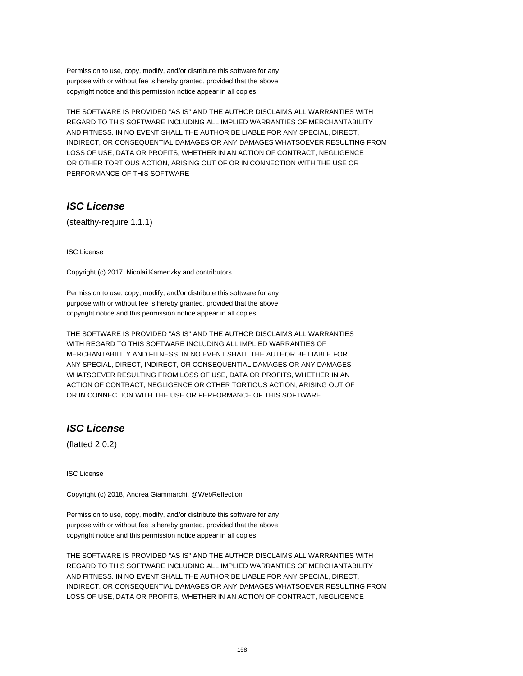Permission to use, copy, modify, and/or distribute this software for any purpose with or without fee is hereby granted, provided that the above copyright notice and this permission notice appear in all copies.

THE SOFTWARE IS PROVIDED "AS IS" AND THE AUTHOR DISCLAIMS ALL WARRANTIES WITH REGARD TO THIS SOFTWARE INCLUDING ALL IMPLIED WARRANTIES OF MERCHANTABILITY AND FITNESS. IN NO EVENT SHALL THE AUTHOR BE LIABLE FOR ANY SPECIAL, DIRECT, INDIRECT, OR CONSEQUENTIAL DAMAGES OR ANY DAMAGES WHATSOEVER RESULTING FROM LOSS OF USE, DATA OR PROFITS, WHETHER IN AN ACTION OF CONTRACT, NEGLIGENCE OR OTHER TORTIOUS ACTION, ARISING OUT OF OR IN CONNECTION WITH THE USE OR PERFORMANCE OF THIS SOFTWARE

## **ISC License**

(stealthy-require 1.1.1)

ISC License

Copyright (c) 2017, Nicolai Kamenzky and contributors

Permission to use, copy, modify, and/or distribute this software for any purpose with or without fee is hereby granted, provided that the above copyright notice and this permission notice appear in all copies.

THE SOFTWARE IS PROVIDED "AS IS" AND THE AUTHOR DISCLAIMS ALL WARRANTIES WITH REGARD TO THIS SOFTWARE INCLUDING ALL IMPLIED WARRANTIES OF MERCHANTABILITY AND FITNESS. IN NO EVENT SHALL THE AUTHOR BE LIABLE FOR ANY SPECIAL, DIRECT, INDIRECT, OR CONSEQUENTIAL DAMAGES OR ANY DAMAGES WHATSOEVER RESULTING FROM LOSS OF USE, DATA OR PROFITS, WHETHER IN AN ACTION OF CONTRACT, NEGLIGENCE OR OTHER TORTIOUS ACTION, ARISING OUT OF OR IN CONNECTION WITH THE USE OR PERFORMANCE OF THIS SOFTWARE

# **ISC License**

(flatted 2.0.2)

ISC License

Copyright (c) 2018, Andrea Giammarchi, @WebReflection

Permission to use, copy, modify, and/or distribute this software for any purpose with or without fee is hereby granted, provided that the above copyright notice and this permission notice appear in all copies.

THE SOFTWARE IS PROVIDED "AS IS" AND THE AUTHOR DISCLAIMS ALL WARRANTIES WITH REGARD TO THIS SOFTWARE INCLUDING ALL IMPLIED WARRANTIES OF MERCHANTABILITY AND FITNESS. IN NO EVENT SHALL THE AUTHOR BE LIABLE FOR ANY SPECIAL, DIRECT, INDIRECT, OR CONSEQUENTIAL DAMAGES OR ANY DAMAGES WHATSOEVER RESULTING FROM LOSS OF USE, DATA OR PROFITS, WHETHER IN AN ACTION OF CONTRACT, NEGLIGENCE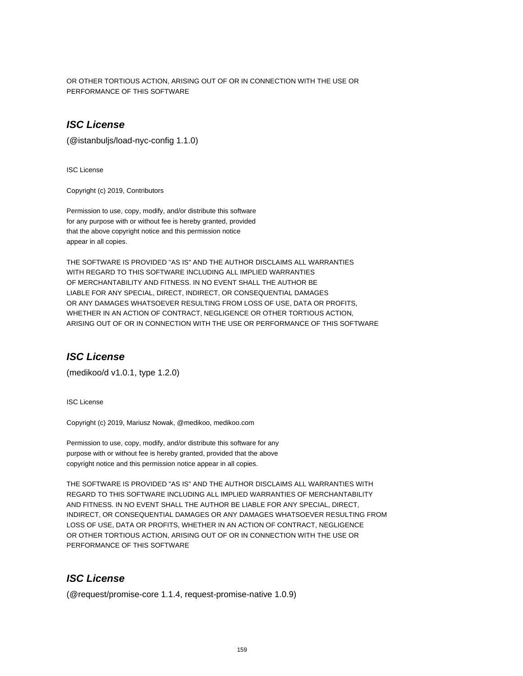OR OTHER TORTIOUS ACTION, ARISING OUT OF OR IN CONNECTION WITH THE USE OR PERFORMANCE OF THIS SOFTWARE

# **ISC License**

(@istanbuljs/load-nyc-config 1.1.0)

ISC License

Copyright (c) 2019, Contributors

Permission to use, copy, modify, and/or distribute this software for any purpose with or without fee is hereby granted, provided that the above copyright notice and this permission notice appear in all copies.

THE SOFTWARE IS PROVIDED "AS IS" AND THE AUTHOR DISCLAIMS ALL WARRANTIES WITH REGARD TO THIS SOFTWARE INCLUDING ALL IMPLIED WARRANTIES OF MERCHANTABILITY AND FITNESS. IN NO EVENT SHALL THE AUTHOR BE LIABLE FOR ANY SPECIAL, DIRECT, INDIRECT, OR CONSEQUENTIAL DAMAGES OR ANY DAMAGES WHATSOEVER RESULTING FROM LOSS OF USE, DATA OR PROFITS, WHETHER IN AN ACTION OF CONTRACT, NEGLIGENCE OR OTHER TORTIOUS ACTION, ARISING OUT OF OR IN CONNECTION WITH THE USE OR PERFORMANCE OF THIS SOFTWARE

### **ISC License**

(medikoo/d v1.0.1, type 1.2.0)

ISC License

Copyright (c) 2019, Mariusz Nowak, @medikoo, medikoo.com

Permission to use, copy, modify, and/or distribute this software for any purpose with or without fee is hereby granted, provided that the above copyright notice and this permission notice appear in all copies.

THE SOFTWARE IS PROVIDED "AS IS" AND THE AUTHOR DISCLAIMS ALL WARRANTIES WITH REGARD TO THIS SOFTWARE INCLUDING ALL IMPLIED WARRANTIES OF MERCHANTABILITY AND FITNESS. IN NO EVENT SHALL THE AUTHOR BE LIABLE FOR ANY SPECIAL, DIRECT, INDIRECT, OR CONSEQUENTIAL DAMAGES OR ANY DAMAGES WHATSOEVER RESULTING FROM LOSS OF USE, DATA OR PROFITS, WHETHER IN AN ACTION OF CONTRACT, NEGLIGENCE OR OTHER TORTIOUS ACTION, ARISING OUT OF OR IN CONNECTION WITH THE USE OR PERFORMANCE OF THIS SOFTWARE

# **ISC License**

(@request/promise-core 1.1.4, request-promise-native 1.0.9)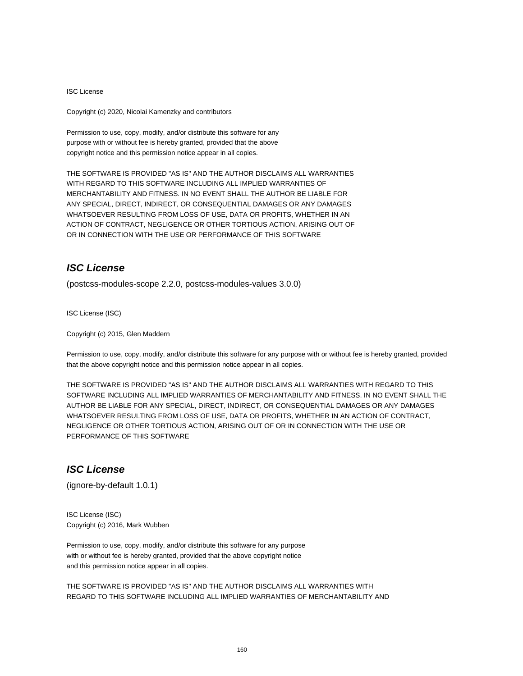#### ISC License

Copyright (c) 2020, Nicolai Kamenzky and contributors

Permission to use, copy, modify, and/or distribute this software for any purpose with or without fee is hereby granted, provided that the above copyright notice and this permission notice appear in all copies.

THE SOFTWARE IS PROVIDED "AS IS" AND THE AUTHOR DISCLAIMS ALL WARRANTIES WITH REGARD TO THIS SOFTWARE INCLUDING ALL IMPLIED WARRANTIES OF MERCHANTABILITY AND FITNESS. IN NO EVENT SHALL THE AUTHOR BE LIABLE FOR ANY SPECIAL, DIRECT, INDIRECT, OR CONSEQUENTIAL DAMAGES OR ANY DAMAGES WHATSOEVER RESULTING FROM LOSS OF USE, DATA OR PROFITS, WHETHER IN AN ACTION OF CONTRACT, NEGLIGENCE OR OTHER TORTIOUS ACTION, ARISING OUT OF OR IN CONNECTION WITH THE USE OR PERFORMANCE OF THIS SOFTWARE

## **ISC License**

(postcss-modules-scope 2.2.0, postcss-modules-values 3.0.0)

ISC License (ISC)

Copyright (c) 2015, Glen Maddern

Permission to use, copy, modify, and/or distribute this software for any purpose with or without fee is hereby granted, provided that the above copyright notice and this permission notice appear in all copies.

THE SOFTWARE IS PROVIDED "AS IS" AND THE AUTHOR DISCLAIMS ALL WARRANTIES WITH REGARD TO THIS SOFTWARE INCLUDING ALL IMPLIED WARRANTIES OF MERCHANTABILITY AND FITNESS. IN NO EVENT SHALL THE AUTHOR BE LIABLE FOR ANY SPECIAL, DIRECT, INDIRECT, OR CONSEQUENTIAL DAMAGES OR ANY DAMAGES WHATSOEVER RESULTING FROM LOSS OF USE, DATA OR PROFITS, WHETHER IN AN ACTION OF CONTRACT, NEGLIGENCE OR OTHER TORTIOUS ACTION, ARISING OUT OF OR IN CONNECTION WITH THE USE OR PERFORMANCE OF THIS SOFTWARE

## **ISC License**

(ignore-by-default 1.0.1)

ISC License (ISC) Copyright (c) 2016, Mark Wubben

Permission to use, copy, modify, and/or distribute this software for any purpose with or without fee is hereby granted, provided that the above copyright notice and this permission notice appear in all copies.

THE SOFTWARE IS PROVIDED "AS IS" AND THE AUTHOR DISCLAIMS ALL WARRANTIES WITH REGARD TO THIS SOFTWARE INCLUDING ALL IMPLIED WARRANTIES OF MERCHANTABILITY AND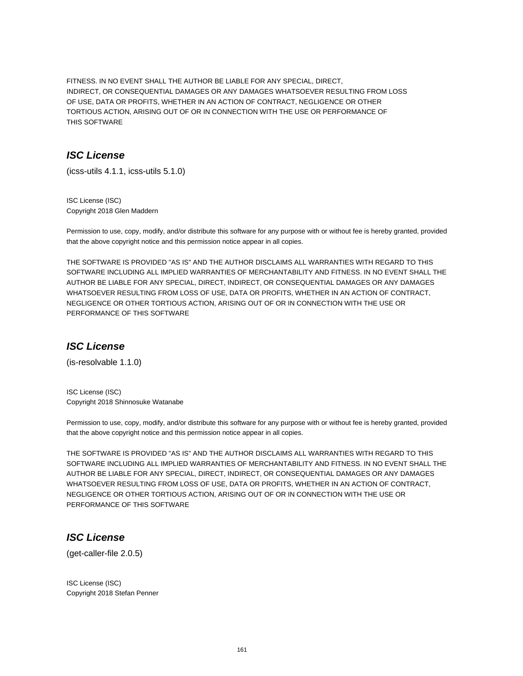FITNESS. IN NO EVENT SHALL THE AUTHOR BE LIABLE FOR ANY SPECIAL, DIRECT, INDIRECT, OR CONSEQUENTIAL DAMAGES OR ANY DAMAGES WHATSOEVER RESULTING FROM LOSS OF USE, DATA OR PROFITS, WHETHER IN AN ACTION OF CONTRACT, NEGLIGENCE OR OTHER TORTIOUS ACTION, ARISING OUT OF OR IN CONNECTION WITH THE USE OR PERFORMANCE OF THIS SOFTWARE

# **ISC License**

(icss-utils 4.1.1, icss-utils 5.1.0)

ISC License (ISC) Copyright 2018 Glen Maddern

Permission to use, copy, modify, and/or distribute this software for any purpose with or without fee is hereby granted, provided that the above copyright notice and this permission notice appear in all copies.

THE SOFTWARE IS PROVIDED "AS IS" AND THE AUTHOR DISCLAIMS ALL WARRANTIES WITH REGARD TO THIS SOFTWARE INCLUDING ALL IMPLIED WARRANTIES OF MERCHANTABILITY AND FITNESS. IN NO EVENT SHALL THE AUTHOR BE LIABLE FOR ANY SPECIAL, DIRECT, INDIRECT, OR CONSEQUENTIAL DAMAGES OR ANY DAMAGES WHATSOEVER RESULTING FROM LOSS OF USE, DATA OR PROFITS, WHETHER IN AN ACTION OF CONTRACT, NEGLIGENCE OR OTHER TORTIOUS ACTION, ARISING OUT OF OR IN CONNECTION WITH THE USE OR PERFORMANCE OF THIS SOFTWARE

## **ISC License**

(is-resolvable 1.1.0)

ISC License (ISC) Copyright 2018 Shinnosuke Watanabe

Permission to use, copy, modify, and/or distribute this software for any purpose with or without fee is hereby granted, provided that the above copyright notice and this permission notice appear in all copies.

THE SOFTWARE IS PROVIDED "AS IS" AND THE AUTHOR DISCLAIMS ALL WARRANTIES WITH REGARD TO THIS SOFTWARE INCLUDING ALL IMPLIED WARRANTIES OF MERCHANTABILITY AND FITNESS. IN NO EVENT SHALL THE AUTHOR BE LIABLE FOR ANY SPECIAL, DIRECT, INDIRECT, OR CONSEQUENTIAL DAMAGES OR ANY DAMAGES WHATSOEVER RESULTING FROM LOSS OF USE, DATA OR PROFITS, WHETHER IN AN ACTION OF CONTRACT, NEGLIGENCE OR OTHER TORTIOUS ACTION, ARISING OUT OF OR IN CONNECTION WITH THE USE OR PERFORMANCE OF THIS SOFTWARE

# **ISC License**

(get-caller-file 2.0.5)

ISC License (ISC) Copyright 2018 Stefan Penner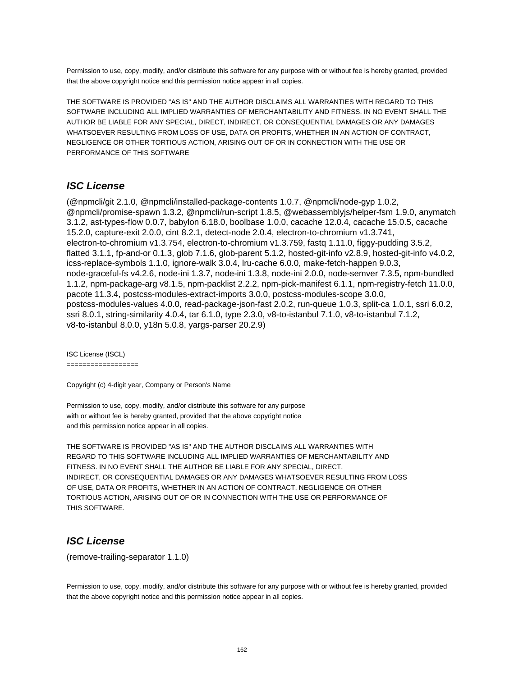Permission to use, copy, modify, and/or distribute this software for any purpose with or without fee is hereby granted, provided that the above copyright notice and this permission notice appear in all copies.

THE SOFTWARE IS PROVIDED "AS IS" AND THE AUTHOR DISCLAIMS ALL WARRANTIES WITH REGARD TO THIS SOFTWARE INCLUDING ALL IMPLIED WARRANTIES OF MERCHANTABILITY AND FITNESS. IN NO EVENT SHALL THE AUTHOR BE LIABLE FOR ANY SPECIAL, DIRECT, INDIRECT, OR CONSEQUENTIAL DAMAGES OR ANY DAMAGES WHATSOEVER RESULTING FROM LOSS OF USE, DATA OR PROFITS, WHETHER IN AN ACTION OF CONTRACT, NEGLIGENCE OR OTHER TORTIOUS ACTION, ARISING OUT OF OR IN CONNECTION WITH THE USE OR PERFORMANCE OF THIS SOFTWARE

## **ISC License**

(@npmcli/git 2.1.0, @npmcli/installed-package-contents 1.0.7, @npmcli/node-gyp 1.0.2, @npmcli/promise-spawn 1.3.2, @npmcli/run-script 1.8.5, @webassemblyjs/helper-fsm 1.9.0, anymatch 3.1.2, ast-types-flow 0.0.7, babylon 6.18.0, boolbase 1.0.0, cacache 12.0.4, cacache 15.0.5, cacache 15.2.0, capture-exit 2.0.0, cint 8.2.1, detect-node 2.0.4, electron-to-chromium v1.3.741, electron-to-chromium v1.3.754, electron-to-chromium v1.3.759, fastq 1.11.0, figgy-pudding 3.5.2, flatted 3.1.1, fp-and-or 0.1.3, glob 7.1.6, glob-parent 5.1.2, hosted-git-info v2.8.9, hosted-git-info v4.0.2, icss-replace-symbols 1.1.0, ignore-walk 3.0.4, lru-cache 6.0.0, make-fetch-happen 9.0.3, node-graceful-fs v4.2.6, node-ini 1.3.7, node-ini 1.3.8, node-ini 2.0.0, node-semver 7.3.5, npm-bundled 1.1.2, npm-package-arg v8.1.5, npm-packlist 2.2.2, npm-pick-manifest 6.1.1, npm-registry-fetch 11.0.0, pacote 11.3.4, postcss-modules-extract-imports 3.0.0, postcss-modules-scope 3.0.0, postcss-modules-values 4.0.0, read-package-json-fast 2.0.2, run-queue 1.0.3, split-ca 1.0.1, ssri 6.0.2, ssri 8.0.1, string-similarity 4.0.4, tar 6.1.0, type 2.3.0, v8-to-istanbul 7.1.0, v8-to-istanbul 7.1.2, v8-to-istanbul 8.0.0, y18n 5.0.8, yargs-parser 20.2.9)

ISC License (ISCL)

==================

Copyright (c) 4-digit year, Company or Person's Name

Permission to use, copy, modify, and/or distribute this software for any purpose with or without fee is hereby granted, provided that the above copyright notice and this permission notice appear in all copies.

THE SOFTWARE IS PROVIDED "AS IS" AND THE AUTHOR DISCLAIMS ALL WARRANTIES WITH REGARD TO THIS SOFTWARE INCLUDING ALL IMPLIED WARRANTIES OF MERCHANTABILITY AND FITNESS. IN NO EVENT SHALL THE AUTHOR BE LIABLE FOR ANY SPECIAL, DIRECT, INDIRECT, OR CONSEQUENTIAL DAMAGES OR ANY DAMAGES WHATSOEVER RESULTING FROM LOSS OF USE, DATA OR PROFITS, WHETHER IN AN ACTION OF CONTRACT, NEGLIGENCE OR OTHER TORTIOUS ACTION, ARISING OUT OF OR IN CONNECTION WITH THE USE OR PERFORMANCE OF THIS SOFTWARE.

## **ISC License**

(remove-trailing-separator 1.1.0)

Permission to use, copy, modify, and/or distribute this software for any purpose with or without fee is hereby granted, provided that the above copyright notice and this permission notice appear in all copies.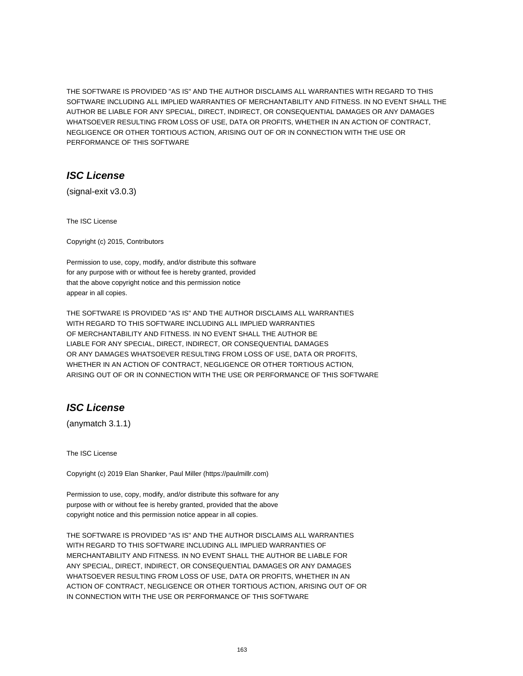THE SOFTWARE IS PROVIDED "AS IS" AND THE AUTHOR DISCLAIMS ALL WARRANTIES WITH REGARD TO THIS SOFTWARE INCLUDING ALL IMPLIED WARRANTIES OF MERCHANTABILITY AND FITNESS. IN NO EVENT SHALL THE AUTHOR BE LIABLE FOR ANY SPECIAL, DIRECT, INDIRECT, OR CONSEQUENTIAL DAMAGES OR ANY DAMAGES WHATSOEVER RESULTING FROM LOSS OF USE, DATA OR PROFITS, WHETHER IN AN ACTION OF CONTRACT, NEGLIGENCE OR OTHER TORTIOUS ACTION, ARISING OUT OF OR IN CONNECTION WITH THE USE OR PERFORMANCE OF THIS SOFTWARE

# **ISC License**

(signal-exit v3.0.3)

The ISC License

Copyright (c) 2015, Contributors

Permission to use, copy, modify, and/or distribute this software for any purpose with or without fee is hereby granted, provided that the above copyright notice and this permission notice appear in all copies.

THE SOFTWARE IS PROVIDED "AS IS" AND THE AUTHOR DISCLAIMS ALL WARRANTIES WITH REGARD TO THIS SOFTWARE INCLUDING ALL IMPLIED WARRANTIES OF MERCHANTABILITY AND FITNESS. IN NO EVENT SHALL THE AUTHOR BE LIABLE FOR ANY SPECIAL, DIRECT, INDIRECT, OR CONSEQUENTIAL DAMAGES OR ANY DAMAGES WHATSOEVER RESULTING FROM LOSS OF USE, DATA OR PROFITS, WHETHER IN AN ACTION OF CONTRACT, NEGLIGENCE OR OTHER TORTIOUS ACTION, ARISING OUT OF OR IN CONNECTION WITH THE USE OR PERFORMANCE OF THIS SOFTWARE

# **ISC License**

(anymatch 3.1.1)

The ISC License

Copyright (c) 2019 Elan Shanker, Paul Miller (https://paulmillr.com)

Permission to use, copy, modify, and/or distribute this software for any purpose with or without fee is hereby granted, provided that the above copyright notice and this permission notice appear in all copies.

THE SOFTWARE IS PROVIDED "AS IS" AND THE AUTHOR DISCLAIMS ALL WARRANTIES WITH REGARD TO THIS SOFTWARE INCLUDING ALL IMPLIED WARRANTIES OF MERCHANTABILITY AND FITNESS. IN NO EVENT SHALL THE AUTHOR BE LIABLE FOR ANY SPECIAL, DIRECT, INDIRECT, OR CONSEQUENTIAL DAMAGES OR ANY DAMAGES WHATSOEVER RESULTING FROM LOSS OF USE, DATA OR PROFITS, WHETHER IN AN ACTION OF CONTRACT, NEGLIGENCE OR OTHER TORTIOUS ACTION, ARISING OUT OF OR IN CONNECTION WITH THE USE OR PERFORMANCE OF THIS SOFTWARE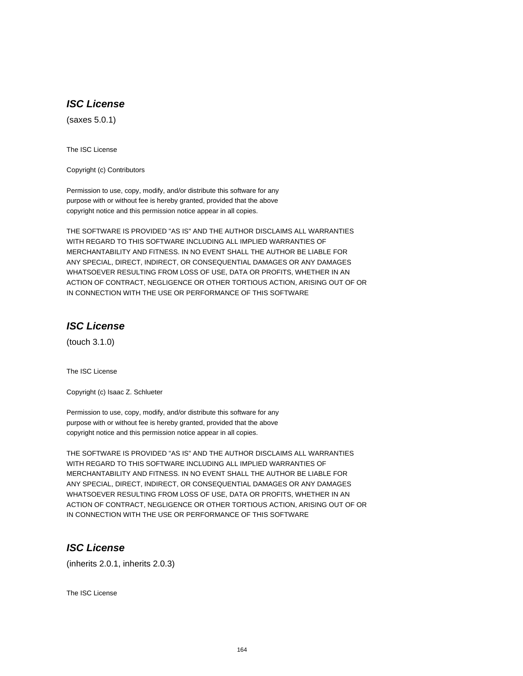# **ISC License**

(saxes 5.0.1)

The ISC License

Copyright (c) Contributors

Permission to use, copy, modify, and/or distribute this software for any purpose with or without fee is hereby granted, provided that the above copyright notice and this permission notice appear in all copies.

THE SOFTWARE IS PROVIDED "AS IS" AND THE AUTHOR DISCLAIMS ALL WARRANTIES WITH REGARD TO THIS SOFTWARE INCLUDING ALL IMPLIED WARRANTIES OF MERCHANTABILITY AND FITNESS. IN NO EVENT SHALL THE AUTHOR BE LIABLE FOR ANY SPECIAL, DIRECT, INDIRECT, OR CONSEQUENTIAL DAMAGES OR ANY DAMAGES WHATSOEVER RESULTING FROM LOSS OF USE, DATA OR PROFITS, WHETHER IN AN ACTION OF CONTRACT, NEGLIGENCE OR OTHER TORTIOUS ACTION, ARISING OUT OF OR IN CONNECTION WITH THE USE OR PERFORMANCE OF THIS SOFTWARE

# **ISC License**

(touch 3.1.0)

The ISC License

Copyright (c) Isaac Z. Schlueter

Permission to use, copy, modify, and/or distribute this software for any purpose with or without fee is hereby granted, provided that the above copyright notice and this permission notice appear in all copies.

THE SOFTWARE IS PROVIDED "AS IS" AND THE AUTHOR DISCLAIMS ALL WARRANTIES WITH REGARD TO THIS SOFTWARE INCLUDING ALL IMPLIED WARRANTIES OF MERCHANTABILITY AND FITNESS. IN NO EVENT SHALL THE AUTHOR BE LIABLE FOR ANY SPECIAL, DIRECT, INDIRECT, OR CONSEQUENTIAL DAMAGES OR ANY DAMAGES WHATSOEVER RESULTING FROM LOSS OF USE, DATA OR PROFITS, WHETHER IN AN ACTION OF CONTRACT, NEGLIGENCE OR OTHER TORTIOUS ACTION, ARISING OUT OF OR IN CONNECTION WITH THE USE OR PERFORMANCE OF THIS SOFTWARE

# **ISC License**

(inherits 2.0.1, inherits 2.0.3)

The ISC License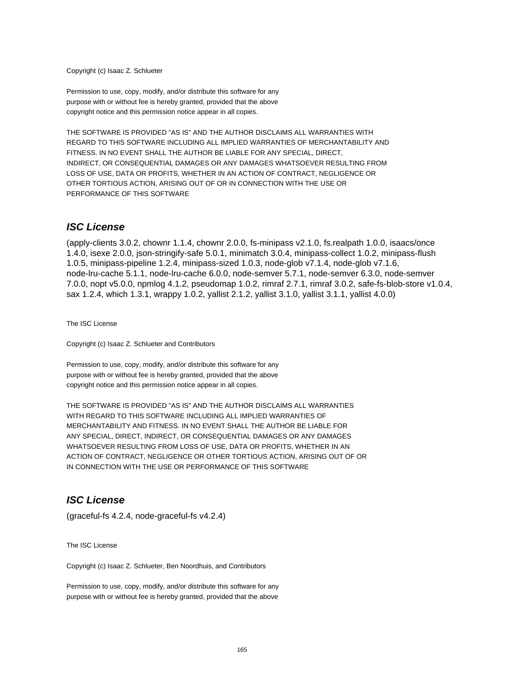Copyright (c) Isaac Z. Schlueter

Permission to use, copy, modify, and/or distribute this software for any purpose with or without fee is hereby granted, provided that the above copyright notice and this permission notice appear in all copies.

THE SOFTWARE IS PROVIDED "AS IS" AND THE AUTHOR DISCLAIMS ALL WARRANTIES WITH REGARD TO THIS SOFTWARE INCLUDING ALL IMPLIED WARRANTIES OF MERCHANTABILITY AND FITNESS. IN NO EVENT SHALL THE AUTHOR BE LIABLE FOR ANY SPECIAL, DIRECT, INDIRECT, OR CONSEQUENTIAL DAMAGES OR ANY DAMAGES WHATSOEVER RESULTING FROM LOSS OF USE, DATA OR PROFITS, WHETHER IN AN ACTION OF CONTRACT, NEGLIGENCE OR OTHER TORTIOUS ACTION, ARISING OUT OF OR IN CONNECTION WITH THE USE OR PERFORMANCE OF THIS SOFTWARE

### **ISC License**

(apply-clients 3.0.2, chownr 1.1.4, chownr 2.0.0, fs-minipass v2.1.0, fs.realpath 1.0.0, isaacs/once 1.4.0, isexe 2.0.0, json-stringify-safe 5.0.1, minimatch 3.0.4, minipass-collect 1.0.2, minipass-flush 1.0.5, minipass-pipeline 1.2.4, minipass-sized 1.0.3, node-glob v7.1.4, node-glob v7.1.6, node-lru-cache 5.1.1, node-lru-cache 6.0.0, node-semver 5.7.1, node-semver 6.3.0, node-semver 7.0.0, nopt v5.0.0, npmlog 4.1.2, pseudomap 1.0.2, rimraf 2.7.1, rimraf 3.0.2, safe-fs-blob-store v1.0.4, sax 1.2.4, which 1.3.1, wrappy 1.0.2, yallist 2.1.2, yallist 3.1.0, yallist 3.1.1, yallist 4.0.0)

The ISC License

Copyright (c) Isaac Z. Schlueter and Contributors

Permission to use, copy, modify, and/or distribute this software for any purpose with or without fee is hereby granted, provided that the above copyright notice and this permission notice appear in all copies.

THE SOFTWARE IS PROVIDED "AS IS" AND THE AUTHOR DISCLAIMS ALL WARRANTIES WITH REGARD TO THIS SOFTWARE INCLUDING ALL IMPLIED WARRANTIES OF MERCHANTABILITY AND FITNESS. IN NO EVENT SHALL THE AUTHOR BE LIABLE FOR ANY SPECIAL, DIRECT, INDIRECT, OR CONSEQUENTIAL DAMAGES OR ANY DAMAGES WHATSOEVER RESULTING FROM LOSS OF USE, DATA OR PROFITS, WHETHER IN AN ACTION OF CONTRACT, NEGLIGENCE OR OTHER TORTIOUS ACTION, ARISING OUT OF OR IN CONNECTION WITH THE USE OR PERFORMANCE OF THIS SOFTWARE

### **ISC License**

(graceful-fs 4.2.4, node-graceful-fs v4.2.4)

The ISC License

Copyright (c) Isaac Z. Schlueter, Ben Noordhuis, and Contributors

Permission to use, copy, modify, and/or distribute this software for any purpose with or without fee is hereby granted, provided that the above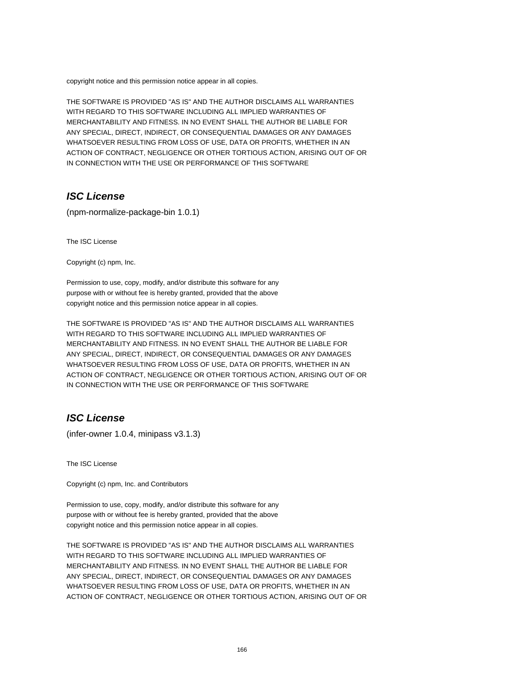copyright notice and this permission notice appear in all copies.

THE SOFTWARE IS PROVIDED "AS IS" AND THE AUTHOR DISCLAIMS ALL WARRANTIES WITH REGARD TO THIS SOFTWARE INCLUDING ALL IMPLIED WARRANTIES OF MERCHANTABILITY AND FITNESS. IN NO EVENT SHALL THE AUTHOR BE LIABLE FOR ANY SPECIAL, DIRECT, INDIRECT, OR CONSEQUENTIAL DAMAGES OR ANY DAMAGES WHATSOEVER RESULTING FROM LOSS OF USE, DATA OR PROFITS, WHETHER IN AN ACTION OF CONTRACT, NEGLIGENCE OR OTHER TORTIOUS ACTION, ARISING OUT OF OR IN CONNECTION WITH THE USE OR PERFORMANCE OF THIS SOFTWARE

## **ISC License**

(npm-normalize-package-bin 1.0.1)

The ISC License

Copyright (c) npm, Inc.

Permission to use, copy, modify, and/or distribute this software for any purpose with or without fee is hereby granted, provided that the above copyright notice and this permission notice appear in all copies.

THE SOFTWARE IS PROVIDED "AS IS" AND THE AUTHOR DISCLAIMS ALL WARRANTIES WITH REGARD TO THIS SOFTWARE INCLUDING ALL IMPLIED WARRANTIES OF MERCHANTABILITY AND FITNESS. IN NO EVENT SHALL THE AUTHOR BE LIABLE FOR ANY SPECIAL, DIRECT, INDIRECT, OR CONSEQUENTIAL DAMAGES OR ANY DAMAGES WHATSOEVER RESULTING FROM LOSS OF USE, DATA OR PROFITS, WHETHER IN AN ACTION OF CONTRACT, NEGLIGENCE OR OTHER TORTIOUS ACTION, ARISING OUT OF OR IN CONNECTION WITH THE USE OR PERFORMANCE OF THIS SOFTWARE

## **ISC License**

(infer-owner 1.0.4, minipass v3.1.3)

The ISC License

Copyright (c) npm, Inc. and Contributors

Permission to use, copy, modify, and/or distribute this software for any purpose with or without fee is hereby granted, provided that the above copyright notice and this permission notice appear in all copies.

THE SOFTWARE IS PROVIDED "AS IS" AND THE AUTHOR DISCLAIMS ALL WARRANTIES WITH REGARD TO THIS SOFTWARE INCLUDING ALL IMPLIED WARRANTIES OF MERCHANTABILITY AND FITNESS. IN NO EVENT SHALL THE AUTHOR BE LIABLE FOR ANY SPECIAL, DIRECT, INDIRECT, OR CONSEQUENTIAL DAMAGES OR ANY DAMAGES WHATSOEVER RESULTING FROM LOSS OF USE, DATA OR PROFITS, WHETHER IN AN ACTION OF CONTRACT, NEGLIGENCE OR OTHER TORTIOUS ACTION, ARISING OUT OF OR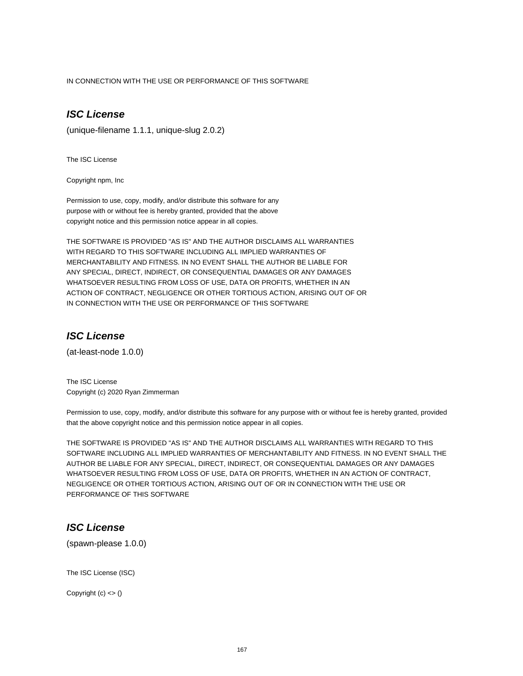IN CONNECTION WITH THE USE OR PERFORMANCE OF THIS SOFTWARE

# **ISC License**

(unique-filename 1.1.1, unique-slug 2.0.2)

The ISC License

Copyright npm, Inc

Permission to use, copy, modify, and/or distribute this software for any purpose with or without fee is hereby granted, provided that the above copyright notice and this permission notice appear in all copies.

THE SOFTWARE IS PROVIDED "AS IS" AND THE AUTHOR DISCLAIMS ALL WARRANTIES WITH REGARD TO THIS SOFTWARE INCLUDING ALL IMPLIED WARRANTIES OF MERCHANTABILITY AND FITNESS. IN NO EVENT SHALL THE AUTHOR BE LIABLE FOR ANY SPECIAL, DIRECT, INDIRECT, OR CONSEQUENTIAL DAMAGES OR ANY DAMAGES WHATSOEVER RESULTING FROM LOSS OF USE, DATA OR PROFITS, WHETHER IN AN ACTION OF CONTRACT, NEGLIGENCE OR OTHER TORTIOUS ACTION, ARISING OUT OF OR IN CONNECTION WITH THE USE OR PERFORMANCE OF THIS SOFTWARE

### **ISC License**

(at-least-node 1.0.0)

The ISC License Copyright (c) 2020 Ryan Zimmerman

Permission to use, copy, modify, and/or distribute this software for any purpose with or without fee is hereby granted, provided that the above copyright notice and this permission notice appear in all copies.

THE SOFTWARE IS PROVIDED "AS IS" AND THE AUTHOR DISCLAIMS ALL WARRANTIES WITH REGARD TO THIS SOFTWARE INCLUDING ALL IMPLIED WARRANTIES OF MERCHANTABILITY AND FITNESS. IN NO EVENT SHALL THE AUTHOR BE LIABLE FOR ANY SPECIAL, DIRECT, INDIRECT, OR CONSEQUENTIAL DAMAGES OR ANY DAMAGES WHATSOEVER RESULTING FROM LOSS OF USE, DATA OR PROFITS, WHETHER IN AN ACTION OF CONTRACT, NEGLIGENCE OR OTHER TORTIOUS ACTION, ARISING OUT OF OR IN CONNECTION WITH THE USE OR PERFORMANCE OF THIS SOFTWARE

# **ISC License**

(spawn-please 1.0.0)

The ISC License (ISC)

Copyright  $(c) \leq ($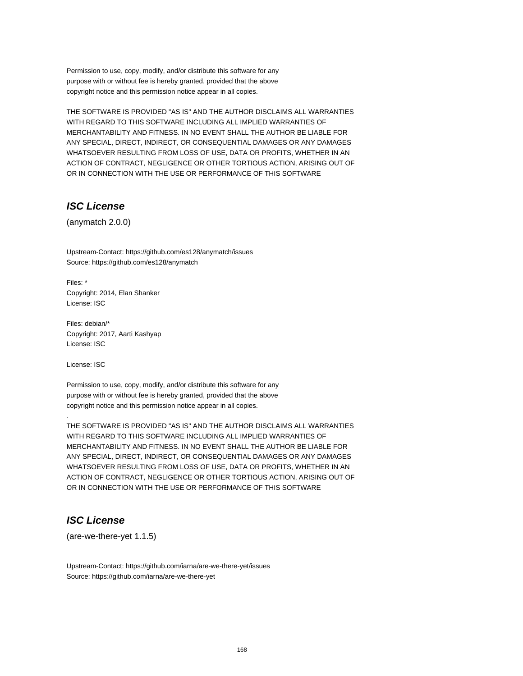Permission to use, copy, modify, and/or distribute this software for any purpose with or without fee is hereby granted, provided that the above copyright notice and this permission notice appear in all copies.

THE SOFTWARE IS PROVIDED "AS IS" AND THE AUTHOR DISCLAIMS ALL WARRANTIES WITH REGARD TO THIS SOFTWARE INCLUDING ALL IMPLIED WARRANTIES OF MERCHANTABILITY AND FITNESS. IN NO EVENT SHALL THE AUTHOR BE LIABLE FOR ANY SPECIAL, DIRECT, INDIRECT, OR CONSEQUENTIAL DAMAGES OR ANY DAMAGES WHATSOEVER RESULTING FROM LOSS OF USE, DATA OR PROFITS, WHETHER IN AN ACTION OF CONTRACT, NEGLIGENCE OR OTHER TORTIOUS ACTION, ARISING OUT OF OR IN CONNECTION WITH THE USE OR PERFORMANCE OF THIS SOFTWARE

### **ISC License**

(anymatch 2.0.0)

Upstream-Contact: https://github.com/es128/anymatch/issues Source: https://github.com/es128/anymatch

Files: \* Copyright: 2014, Elan Shanker License: ISC

Files: debian/\* Copyright: 2017, Aarti Kashyap License: ISC

License: ISC

.

Permission to use, copy, modify, and/or distribute this software for any purpose with or without fee is hereby granted, provided that the above copyright notice and this permission notice appear in all copies.

THE SOFTWARE IS PROVIDED "AS IS" AND THE AUTHOR DISCLAIMS ALL WARRANTIES WITH REGARD TO THIS SOFTWARE INCLUDING ALL IMPLIED WARRANTIES OF MERCHANTABILITY AND FITNESS. IN NO EVENT SHALL THE AUTHOR BE LIABLE FOR ANY SPECIAL, DIRECT, INDIRECT, OR CONSEQUENTIAL DAMAGES OR ANY DAMAGES WHATSOEVER RESULTING FROM LOSS OF USE, DATA OR PROFITS, WHETHER IN AN ACTION OF CONTRACT, NEGLIGENCE OR OTHER TORTIOUS ACTION, ARISING OUT OF OR IN CONNECTION WITH THE USE OR PERFORMANCE OF THIS SOFTWARE

## **ISC License**

(are-we-there-yet 1.1.5)

Upstream-Contact: https://github.com/iarna/are-we-there-yet/issues Source: https://github.com/iarna/are-we-there-yet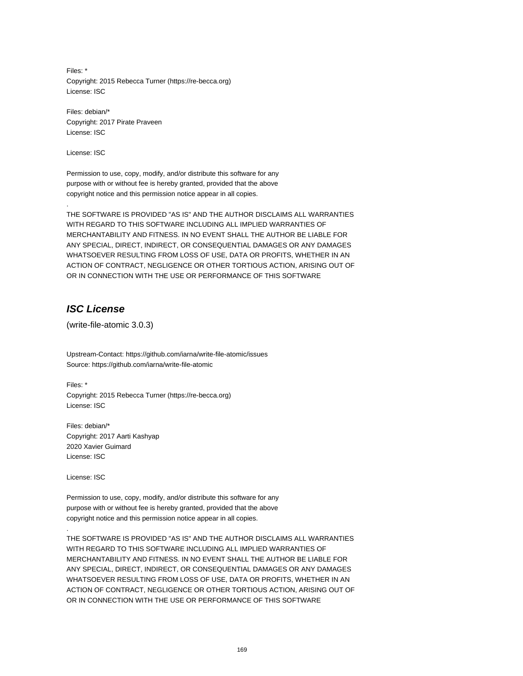Files: \* Copyright: 2015 Rebecca Turner (https://re-becca.org) License: ISC

Files: debian/\* Copyright: 2017 Pirate Praveen License: ISC

License: ISC

.

Permission to use, copy, modify, and/or distribute this software for any purpose with or without fee is hereby granted, provided that the above copyright notice and this permission notice appear in all copies.

THE SOFTWARE IS PROVIDED "AS IS" AND THE AUTHOR DISCLAIMS ALL WARRANTIES WITH REGARD TO THIS SOFTWARE INCLUDING ALL IMPLIED WARRANTIES OF MERCHANTABILITY AND FITNESS. IN NO EVENT SHALL THE AUTHOR BE LIABLE FOR ANY SPECIAL, DIRECT, INDIRECT, OR CONSEQUENTIAL DAMAGES OR ANY DAMAGES WHATSOEVER RESULTING FROM LOSS OF USE, DATA OR PROFITS, WHETHER IN AN ACTION OF CONTRACT, NEGLIGENCE OR OTHER TORTIOUS ACTION, ARISING OUT OF OR IN CONNECTION WITH THE USE OR PERFORMANCE OF THIS SOFTWARE

# **ISC License**

(write-file-atomic 3.0.3)

Upstream-Contact: https://github.com/iarna/write-file-atomic/issues Source: https://github.com/iarna/write-file-atomic

Files: \* Copyright: 2015 Rebecca Turner (https://re-becca.org) License: ISC

Files: debian/\* Copyright: 2017 Aarti Kashyap 2020 Xavier Guimard License: ISC

License: ISC

.

Permission to use, copy, modify, and/or distribute this software for any purpose with or without fee is hereby granted, provided that the above copyright notice and this permission notice appear in all copies.

THE SOFTWARE IS PROVIDED "AS IS" AND THE AUTHOR DISCLAIMS ALL WARRANTIES WITH REGARD TO THIS SOFTWARE INCLUDING ALL IMPLIED WARRANTIES OF MERCHANTABILITY AND FITNESS. IN NO EVENT SHALL THE AUTHOR BE LIABLE FOR ANY SPECIAL, DIRECT, INDIRECT, OR CONSEQUENTIAL DAMAGES OR ANY DAMAGES WHATSOEVER RESULTING FROM LOSS OF USE, DATA OR PROFITS, WHETHER IN AN ACTION OF CONTRACT, NEGLIGENCE OR OTHER TORTIOUS ACTION, ARISING OUT OF OR IN CONNECTION WITH THE USE OR PERFORMANCE OF THIS SOFTWARE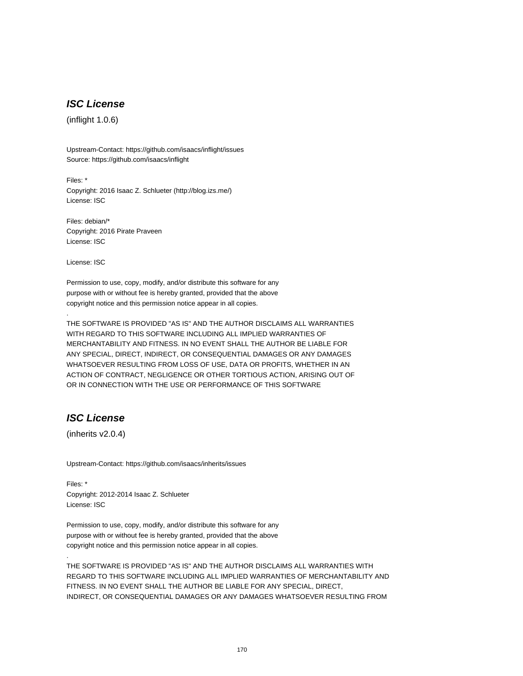# **ISC License**

(inflight 1.0.6)

Upstream-Contact: https://github.com/isaacs/inflight/issues Source: https://github.com/isaacs/inflight

Files: \* Copyright: 2016 Isaac Z. Schlueter (http://blog.izs.me/) License: ISC

Files: debian/\* Copyright: 2016 Pirate Praveen License: ISC

License: ISC

.

.

Permission to use, copy, modify, and/or distribute this software for any purpose with or without fee is hereby granted, provided that the above copyright notice and this permission notice appear in all copies.

THE SOFTWARE IS PROVIDED "AS IS" AND THE AUTHOR DISCLAIMS ALL WARRANTIES WITH REGARD TO THIS SOFTWARE INCLUDING ALL IMPLIED WARRANTIES OF MERCHANTABILITY AND FITNESS. IN NO EVENT SHALL THE AUTHOR BE LIABLE FOR ANY SPECIAL, DIRECT, INDIRECT, OR CONSEQUENTIAL DAMAGES OR ANY DAMAGES WHATSOEVER RESULTING FROM LOSS OF USE, DATA OR PROFITS, WHETHER IN AN ACTION OF CONTRACT, NEGLIGENCE OR OTHER TORTIOUS ACTION, ARISING OUT OF OR IN CONNECTION WITH THE USE OR PERFORMANCE OF THIS SOFTWARE

# **ISC License**

(inherits v2.0.4)

Upstream-Contact: https://github.com/isaacs/inherits/issues

Files: \* Copyright: 2012-2014 Isaac Z. Schlueter License: ISC

Permission to use, copy, modify, and/or distribute this software for any purpose with or without fee is hereby granted, provided that the above copyright notice and this permission notice appear in all copies.

THE SOFTWARE IS PROVIDED "AS IS" AND THE AUTHOR DISCLAIMS ALL WARRANTIES WITH REGARD TO THIS SOFTWARE INCLUDING ALL IMPLIED WARRANTIES OF MERCHANTABILITY AND FITNESS. IN NO EVENT SHALL THE AUTHOR BE LIABLE FOR ANY SPECIAL, DIRECT, INDIRECT, OR CONSEQUENTIAL DAMAGES OR ANY DAMAGES WHATSOEVER RESULTING FROM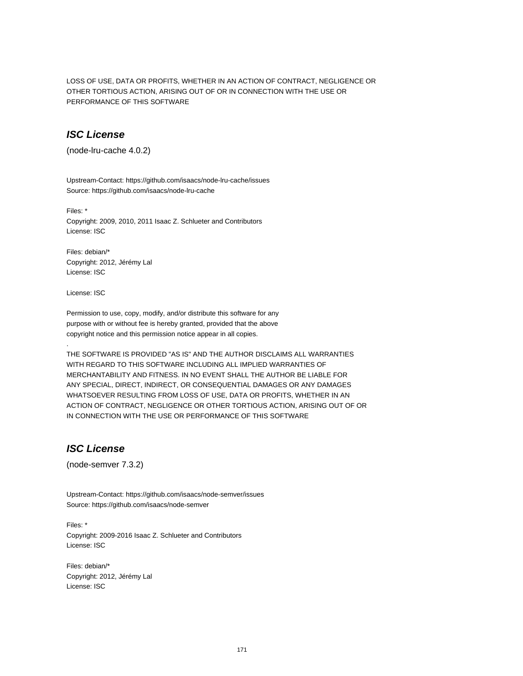LOSS OF USE, DATA OR PROFITS, WHETHER IN AN ACTION OF CONTRACT, NEGLIGENCE OR OTHER TORTIOUS ACTION, ARISING OUT OF OR IN CONNECTION WITH THE USE OR PERFORMANCE OF THIS SOFTWARE

### **ISC License**

(node-lru-cache 4.0.2)

Upstream-Contact: https://github.com/isaacs/node-lru-cache/issues Source: https://github.com/isaacs/node-lru-cache

Files: \*

Copyright: 2009, 2010, 2011 Isaac Z. Schlueter and Contributors License: ISC

Files: debian/\* Copyright: 2012, Jérémy Lal License: ISC

License: ISC

.

Permission to use, copy, modify, and/or distribute this software for any purpose with or without fee is hereby granted, provided that the above copyright notice and this permission notice appear in all copies.

THE SOFTWARE IS PROVIDED "AS IS" AND THE AUTHOR DISCLAIMS ALL WARRANTIES WITH REGARD TO THIS SOFTWARE INCLUDING ALL IMPLIED WARRANTIES OF MERCHANTABILITY AND FITNESS. IN NO EVENT SHALL THE AUTHOR BE LIABLE FOR ANY SPECIAL, DIRECT, INDIRECT, OR CONSEQUENTIAL DAMAGES OR ANY DAMAGES WHATSOEVER RESULTING FROM LOSS OF USE, DATA OR PROFITS, WHETHER IN AN ACTION OF CONTRACT, NEGLIGENCE OR OTHER TORTIOUS ACTION, ARISING OUT OF OR IN CONNECTION WITH THE USE OR PERFORMANCE OF THIS SOFTWARE

# **ISC License**

(node-semver 7.3.2)

Upstream-Contact: https://github.com/isaacs/node-semver/issues Source: https://github.com/isaacs/node-semver

Files: \* Copyright: 2009-2016 Isaac Z. Schlueter and Contributors License: ISC

Files: debian/\* Copyright: 2012, Jérémy Lal License: ISC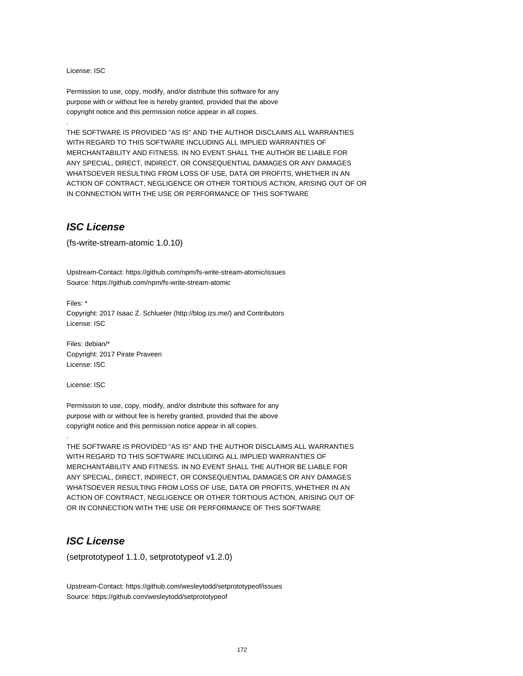License: ISC

.

Permission to use, copy, modify, and/or distribute this software for any purpose with or without fee is hereby granted, provided that the above copyright notice and this permission notice appear in all copies.

THE SOFTWARE IS PROVIDED "AS IS" AND THE AUTHOR DISCLAIMS ALL WARRANTIES WITH REGARD TO THIS SOFTWARE INCLUDING ALL IMPLIED WARRANTIES OF MERCHANTABILITY AND FITNESS. IN NO EVENT SHALL THE AUTHOR BE LIABLE FOR ANY SPECIAL, DIRECT, INDIRECT, OR CONSEQUENTIAL DAMAGES OR ANY DAMAGES WHATSOEVER RESULTING FROM LOSS OF USE, DATA OR PROFITS, WHETHER IN AN ACTION OF CONTRACT, NEGLIGENCE OR OTHER TORTIOUS ACTION, ARISING OUT OF OR IN CONNECTION WITH THE USE OR PERFORMANCE OF THIS SOFTWARE

#### **ISC License**

(fs-write-stream-atomic 1.0.10)

Upstream-Contact: https://github.com/npm/fs-write-stream-atomic/issues Source: https://github.com/npm/fs-write-stream-atomic

Files: \* Copyright: 2017 Isaac Z. Schlueter (http://blog.izs.me/) and Contributors License: ISC

Files: debian/\* Copyright: 2017 Pirate Praveen License: ISC

License: ISC

.

Permission to use, copy, modify, and/or distribute this software for any purpose with or without fee is hereby granted, provided that the above copyright notice and this permission notice appear in all copies.

THE SOFTWARE IS PROVIDED "AS IS" AND THE AUTHOR DISCLAIMS ALL WARRANTIES WITH REGARD TO THIS SOFTWARE INCLUDING ALL IMPLIED WARRANTIES OF MERCHANTABILITY AND FITNESS. IN NO EVENT SHALL THE AUTHOR BE LIABLE FOR ANY SPECIAL, DIRECT, INDIRECT, OR CONSEQUENTIAL DAMAGES OR ANY DAMAGES WHATSOEVER RESULTING FROM LOSS OF USE, DATA OR PROFITS, WHETHER IN AN ACTION OF CONTRACT, NEGLIGENCE OR OTHER TORTIOUS ACTION, ARISING OUT OF OR IN CONNECTION WITH THE USE OR PERFORMANCE OF THIS SOFTWARE

### **ISC License**

(setprototypeof 1.1.0, setprototypeof v1.2.0)

Upstream-Contact: https://github.com/wesleytodd/setprototypeof/issues Source: https://github.com/wesleytodd/setprototypeof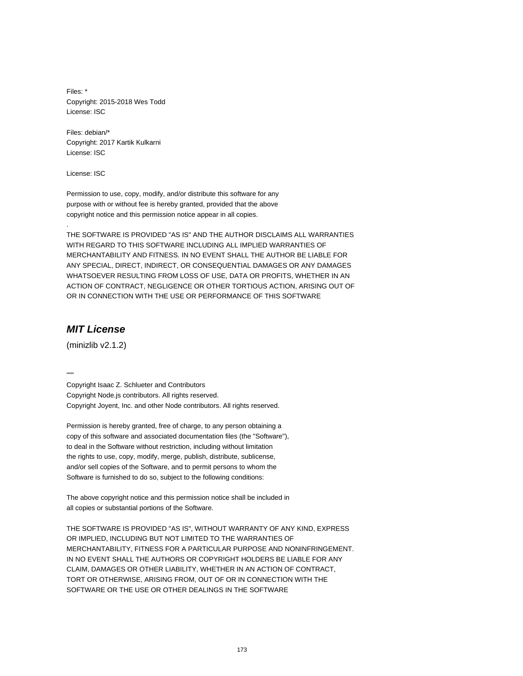Files: \* Copyright: 2015-2018 Wes Todd License: ISC

Files: debian/\* Copyright: 2017 Kartik Kulkarni License: ISC

License: ISC

.

Permission to use, copy, modify, and/or distribute this software for any purpose with or without fee is hereby granted, provided that the above copyright notice and this permission notice appear in all copies.

THE SOFTWARE IS PROVIDED "AS IS" AND THE AUTHOR DISCLAIMS ALL WARRANTIES WITH REGARD TO THIS SOFTWARE INCLUDING ALL IMPLIED WARRANTIES OF MERCHANTABILITY AND FITNESS. IN NO EVENT SHALL THE AUTHOR BE LIABLE FOR ANY SPECIAL, DIRECT, INDIRECT, OR CONSEQUENTIAL DAMAGES OR ANY DAMAGES WHATSOEVER RESULTING FROM LOSS OF USE, DATA OR PROFITS, WHETHER IN AN ACTION OF CONTRACT, NEGLIGENCE OR OTHER TORTIOUS ACTION, ARISING OUT OF OR IN CONNECTION WITH THE USE OR PERFORMANCE OF THIS SOFTWARE

## **MIT License**

(minizlib v2.1.2)

....

Copyright Isaac Z. Schlueter and Contributors Copyright Node.js contributors. All rights reserved. Copyright Joyent, Inc. and other Node contributors. All rights reserved.

Permission is hereby granted, free of charge, to any person obtaining a copy of this software and associated documentation files (the "Software"), to deal in the Software without restriction, including without limitation the rights to use, copy, modify, merge, publish, distribute, sublicense, and/or sell copies of the Software, and to permit persons to whom the Software is furnished to do so, subject to the following conditions:

The above copyright notice and this permission notice shall be included in all copies or substantial portions of the Software.

THE SOFTWARE IS PROVIDED "AS IS", WITHOUT WARRANTY OF ANY KIND, EXPRESS OR IMPLIED, INCLUDING BUT NOT LIMITED TO THE WARRANTIES OF MERCHANTABILITY, FITNESS FOR A PARTICULAR PURPOSE AND NONINFRINGEMENT. IN NO EVENT SHALL THE AUTHORS OR COPYRIGHT HOLDERS BE LIABLE FOR ANY CLAIM, DAMAGES OR OTHER LIABILITY, WHETHER IN AN ACTION OF CONTRACT, TORT OR OTHERWISE, ARISING FROM, OUT OF OR IN CONNECTION WITH THE SOFTWARE OR THE USE OR OTHER DEALINGS IN THE SOFTWARE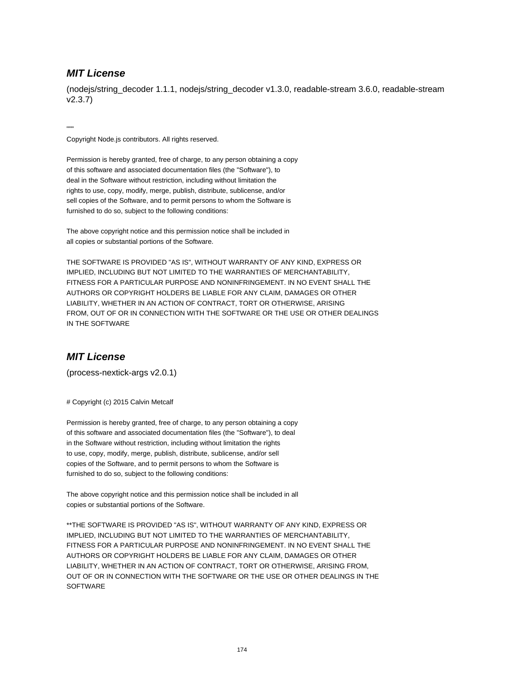### **MIT License**

(nodejs/string\_decoder 1.1.1, nodejs/string\_decoder v1.3.0, readable-stream 3.6.0, readable-stream v2.3.7)

"""

Copyright Node.js contributors. All rights reserved.

Permission is hereby granted, free of charge, to any person obtaining a copy of this software and associated documentation files (the "Software"), to deal in the Software without restriction, including without limitation the rights to use, copy, modify, merge, publish, distribute, sublicense, and/or sell copies of the Software, and to permit persons to whom the Software is furnished to do so, subject to the following conditions:

The above copyright notice and this permission notice shall be included in all copies or substantial portions of the Software.

THE SOFTWARE IS PROVIDED "AS IS", WITHOUT WARRANTY OF ANY KIND, EXPRESS OR IMPLIED, INCLUDING BUT NOT LIMITED TO THE WARRANTIES OF MERCHANTABILITY, FITNESS FOR A PARTICULAR PURPOSE AND NONINFRINGEMENT. IN NO EVENT SHALL THE AUTHORS OR COPYRIGHT HOLDERS BE LIABLE FOR ANY CLAIM, DAMAGES OR OTHER LIABILITY, WHETHER IN AN ACTION OF CONTRACT, TORT OR OTHERWISE, ARISING FROM, OUT OF OR IN CONNECTION WITH THE SOFTWARE OR THE USE OR OTHER DEALINGS IN THE SOFTWARE

#### **MIT License**

(process-nextick-args v2.0.1)

# Copyright (c) 2015 Calvin Metcalf

Permission is hereby granted, free of charge, to any person obtaining a copy of this software and associated documentation files (the "Software"), to deal in the Software without restriction, including without limitation the rights to use, copy, modify, merge, publish, distribute, sublicense, and/or sell copies of the Software, and to permit persons to whom the Software is furnished to do so, subject to the following conditions:

The above copyright notice and this permission notice shall be included in all copies or substantial portions of the Software.

\*\*THE SOFTWARE IS PROVIDED "AS IS", WITHOUT WARRANTY OF ANY KIND, EXPRESS OR IMPLIED, INCLUDING BUT NOT LIMITED TO THE WARRANTIES OF MERCHANTABILITY, FITNESS FOR A PARTICULAR PURPOSE AND NONINFRINGEMENT. IN NO EVENT SHALL THE AUTHORS OR COPYRIGHT HOLDERS BE LIABLE FOR ANY CLAIM, DAMAGES OR OTHER LIABILITY, WHETHER IN AN ACTION OF CONTRACT, TORT OR OTHERWISE, ARISING FROM, OUT OF OR IN CONNECTION WITH THE SOFTWARE OR THE USE OR OTHER DEALINGS IN THE **SOFTWARE**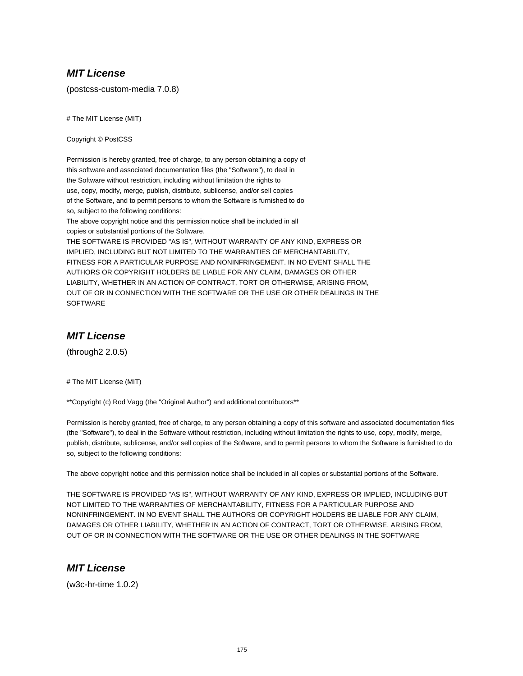### **MIT License**

(postcss-custom-media 7.0.8)

# The MIT License (MIT)

Copyright © PostCSS

Permission is hereby granted, free of charge, to any person obtaining a copy of this software and associated documentation files (the "Software"), to deal in the Software without restriction, including without limitation the rights to use, copy, modify, merge, publish, distribute, sublicense, and/or sell copies of the Software, and to permit persons to whom the Software is furnished to do so, subject to the following conditions:

The above copyright notice and this permission notice shall be included in all copies or substantial portions of the Software.

THE SOFTWARE IS PROVIDED "AS IS", WITHOUT WARRANTY OF ANY KIND, EXPRESS OR IMPLIED, INCLUDING BUT NOT LIMITED TO THE WARRANTIES OF MERCHANTABILITY, FITNESS FOR A PARTICULAR PURPOSE AND NONINFRINGEMENT. IN NO EVENT SHALL THE AUTHORS OR COPYRIGHT HOLDERS BE LIABLE FOR ANY CLAIM, DAMAGES OR OTHER LIABILITY, WHETHER IN AN ACTION OF CONTRACT, TORT OR OTHERWISE, ARISING FROM, OUT OF OR IN CONNECTION WITH THE SOFTWARE OR THE USE OR OTHER DEALINGS IN THE **SOFTWARE** 

### **MIT License**

(through2 2.0.5)

# The MIT License (MIT)

\*\*Copyright (c) Rod Vagg (the "Original Author") and additional contributors\*\*

Permission is hereby granted, free of charge, to any person obtaining a copy of this software and associated documentation files (the "Software"), to deal in the Software without restriction, including without limitation the rights to use, copy, modify, merge, publish, distribute, sublicense, and/or sell copies of the Software, and to permit persons to whom the Software is furnished to do so, subject to the following conditions:

The above copyright notice and this permission notice shall be included in all copies or substantial portions of the Software.

THE SOFTWARE IS PROVIDED "AS IS", WITHOUT WARRANTY OF ANY KIND, EXPRESS OR IMPLIED, INCLUDING BUT NOT LIMITED TO THE WARRANTIES OF MERCHANTABILITY, FITNESS FOR A PARTICULAR PURPOSE AND NONINFRINGEMENT. IN NO EVENT SHALL THE AUTHORS OR COPYRIGHT HOLDERS BE LIABLE FOR ANY CLAIM, DAMAGES OR OTHER LIABILITY, WHETHER IN AN ACTION OF CONTRACT, TORT OR OTHERWISE, ARISING FROM, OUT OF OR IN CONNECTION WITH THE SOFTWARE OR THE USE OR OTHER DEALINGS IN THE SOFTWARE

## **MIT License**

(w3c-hr-time 1.0.2)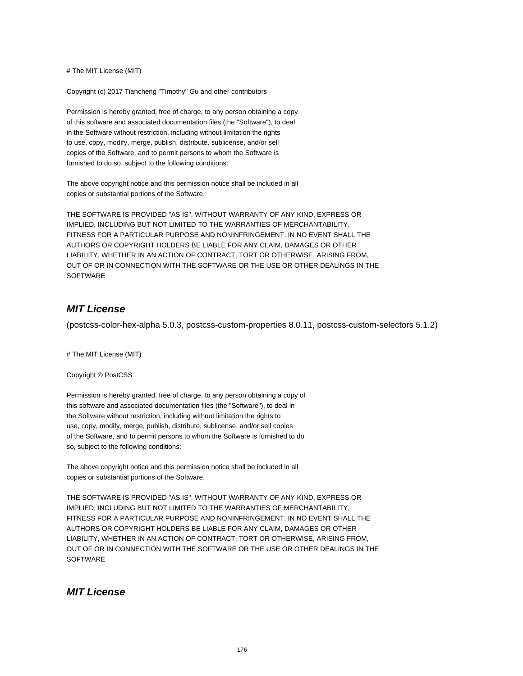# The MIT License (MIT)

Copyright (c) 2017 Tiancheng "Timothy" Gu and other contributors

Permission is hereby granted, free of charge, to any person obtaining a copy of this software and associated documentation files (the "Software"), to deal in the Software without restriction, including without limitation the rights to use, copy, modify, merge, publish, distribute, sublicense, and/or sell copies of the Software, and to permit persons to whom the Software is furnished to do so, subject to the following conditions:

The above copyright notice and this permission notice shall be included in all copies or substantial portions of the Software.

THE SOFTWARE IS PROVIDED "AS IS", WITHOUT WARRANTY OF ANY KIND, EXPRESS OR IMPLIED, INCLUDING BUT NOT LIMITED TO THE WARRANTIES OF MERCHANTABILITY, FITNESS FOR A PARTICULAR PURPOSE AND NONINFRINGEMENT. IN NO EVENT SHALL THE AUTHORS OR COPYRIGHT HOLDERS BE LIABLE FOR ANY CLAIM, DAMAGES OR OTHER LIABILITY, WHETHER IN AN ACTION OF CONTRACT, TORT OR OTHERWISE, ARISING FROM, OUT OF OR IN CONNECTION WITH THE SOFTWARE OR THE USE OR OTHER DEALINGS IN THE **SOFTWARE** 

## **MIT License**

(postcss-color-hex-alpha 5.0.3, postcss-custom-properties 8.0.11, postcss-custom-selectors 5.1.2)

# The MIT License (MIT)

Copyright © PostCSS

Permission is hereby granted, free of charge, to any person obtaining a copy of this software and associated documentation files (the "Software"), to deal in the Software without restriction, including without limitation the rights to use, copy, modify, merge, publish, distribute, sublicense, and/or sell copies of the Software, and to permit persons to whom the Software is furnished to do so, subject to the following conditions:

The above copyright notice and this permission notice shall be included in all copies or substantial portions of the Software.

THE SOFTWARE IS PROVIDED "AS IS", WITHOUT WARRANTY OF ANY KIND, EXPRESS OR IMPLIED, INCLUDING BUT NOT LIMITED TO THE WARRANTIES OF MERCHANTABILITY, FITNESS FOR A PARTICULAR PURPOSE AND NONINFRINGEMENT. IN NO EVENT SHALL THE AUTHORS OR COPYRIGHT HOLDERS BE LIABLE FOR ANY CLAIM, DAMAGES OR OTHER LIABILITY, WHETHER IN AN ACTION OF CONTRACT, TORT OR OTHERWISE, ARISING FROM, OUT OF OR IN CONNECTION WITH THE SOFTWARE OR THE USE OR OTHER DEALINGS IN THE **SOFTWARE** 

#### **MIT License**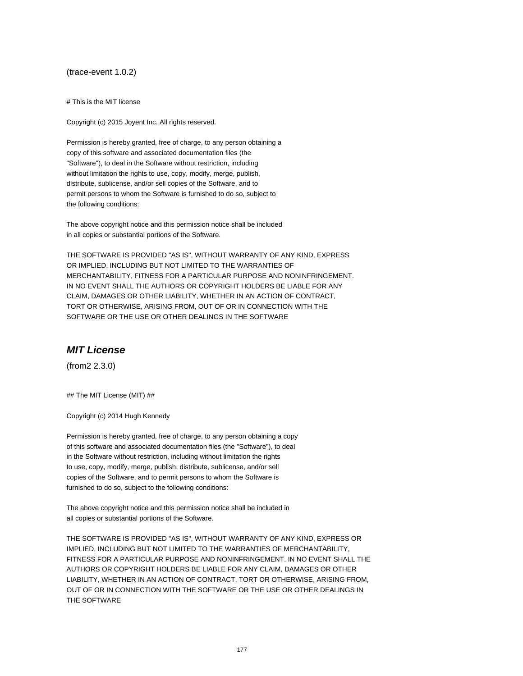#### (trace-event 1.0.2)

# This is the MIT license

Copyright (c) 2015 Joyent Inc. All rights reserved.

Permission is hereby granted, free of charge, to any person obtaining a copy of this software and associated documentation files (the "Software"), to deal in the Software without restriction, including without limitation the rights to use, copy, modify, merge, publish, distribute, sublicense, and/or sell copies of the Software, and to permit persons to whom the Software is furnished to do so, subject to the following conditions:

The above copyright notice and this permission notice shall be included in all copies or substantial portions of the Software.

THE SOFTWARE IS PROVIDED "AS IS", WITHOUT WARRANTY OF ANY KIND, EXPRESS OR IMPLIED, INCLUDING BUT NOT LIMITED TO THE WARRANTIES OF MERCHANTABILITY, FITNESS FOR A PARTICULAR PURPOSE AND NONINFRINGEMENT. IN NO EVENT SHALL THE AUTHORS OR COPYRIGHT HOLDERS BE LIABLE FOR ANY CLAIM, DAMAGES OR OTHER LIABILITY, WHETHER IN AN ACTION OF CONTRACT, TORT OR OTHERWISE, ARISING FROM, OUT OF OR IN CONNECTION WITH THE SOFTWARE OR THE USE OR OTHER DEALINGS IN THE SOFTWARE

#### **MIT License**

(from2 2.3.0)

## The MIT License (MIT) ##

Copyright (c) 2014 Hugh Kennedy

Permission is hereby granted, free of charge, to any person obtaining a copy of this software and associated documentation files (the "Software"), to deal in the Software without restriction, including without limitation the rights to use, copy, modify, merge, publish, distribute, sublicense, and/or sell copies of the Software, and to permit persons to whom the Software is furnished to do so, subject to the following conditions:

The above copyright notice and this permission notice shall be included in all copies or substantial portions of the Software.

THE SOFTWARE IS PROVIDED "AS IS", WITHOUT WARRANTY OF ANY KIND, EXPRESS OR IMPLIED, INCLUDING BUT NOT LIMITED TO THE WARRANTIES OF MERCHANTABILITY, FITNESS FOR A PARTICULAR PURPOSE AND NONINFRINGEMENT. IN NO EVENT SHALL THE AUTHORS OR COPYRIGHT HOLDERS BE LIABLE FOR ANY CLAIM, DAMAGES OR OTHER LIABILITY, WHETHER IN AN ACTION OF CONTRACT, TORT OR OTHERWISE, ARISING FROM, OUT OF OR IN CONNECTION WITH THE SOFTWARE OR THE USE OR OTHER DEALINGS IN THE SOFTWARE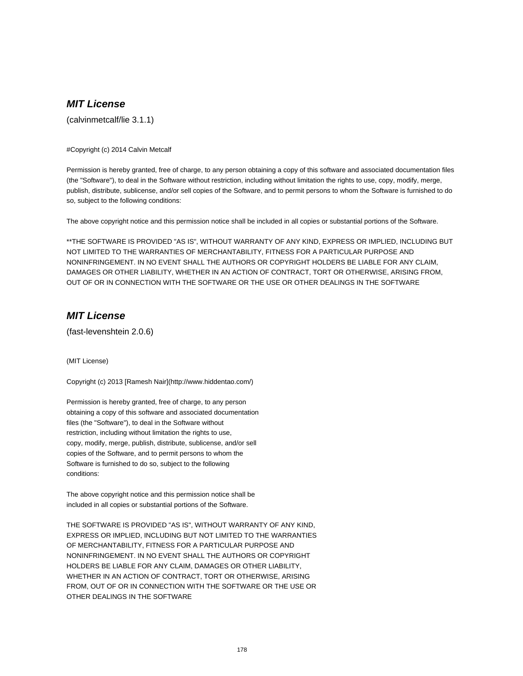# **MIT License**

(calvinmetcalf/lie 3.1.1)

#### #Copyright (c) 2014 Calvin Metcalf

Permission is hereby granted, free of charge, to any person obtaining a copy of this software and associated documentation files (the "Software"), to deal in the Software without restriction, including without limitation the rights to use, copy, modify, merge, publish, distribute, sublicense, and/or sell copies of the Software, and to permit persons to whom the Software is furnished to do so, subject to the following conditions:

The above copyright notice and this permission notice shall be included in all copies or substantial portions of the Software.

\*\*THE SOFTWARE IS PROVIDED "AS IS", WITHOUT WARRANTY OF ANY KIND, EXPRESS OR IMPLIED, INCLUDING BUT NOT LIMITED TO THE WARRANTIES OF MERCHANTABILITY, FITNESS FOR A PARTICULAR PURPOSE AND NONINFRINGEMENT. IN NO EVENT SHALL THE AUTHORS OR COPYRIGHT HOLDERS BE LIABLE FOR ANY CLAIM, DAMAGES OR OTHER LIABILITY, WHETHER IN AN ACTION OF CONTRACT, TORT OR OTHERWISE, ARISING FROM, OUT OF OR IN CONNECTION WITH THE SOFTWARE OR THE USE OR OTHER DEALINGS IN THE SOFTWARE

### **MIT License**

(fast-levenshtein 2.0.6)

(MIT License)

Copyright (c) 2013 [Ramesh Nair](http://www.hiddentao.com/)

Permission is hereby granted, free of charge, to any person obtaining a copy of this software and associated documentation files (the "Software"), to deal in the Software without restriction, including without limitation the rights to use, copy, modify, merge, publish, distribute, sublicense, and/or sell copies of the Software, and to permit persons to whom the Software is furnished to do so, subject to the following conditions:

The above copyright notice and this permission notice shall be included in all copies or substantial portions of the Software.

THE SOFTWARE IS PROVIDED "AS IS", WITHOUT WARRANTY OF ANY KIND, EXPRESS OR IMPLIED, INCLUDING BUT NOT LIMITED TO THE WARRANTIES OF MERCHANTABILITY, FITNESS FOR A PARTICULAR PURPOSE AND NONINFRINGEMENT. IN NO EVENT SHALL THE AUTHORS OR COPYRIGHT HOLDERS BE LIABLE FOR ANY CLAIM, DAMAGES OR OTHER LIABILITY, WHETHER IN AN ACTION OF CONTRACT, TORT OR OTHERWISE, ARISING FROM, OUT OF OR IN CONNECTION WITH THE SOFTWARE OR THE USE OR OTHER DEALINGS IN THE SOFTWARE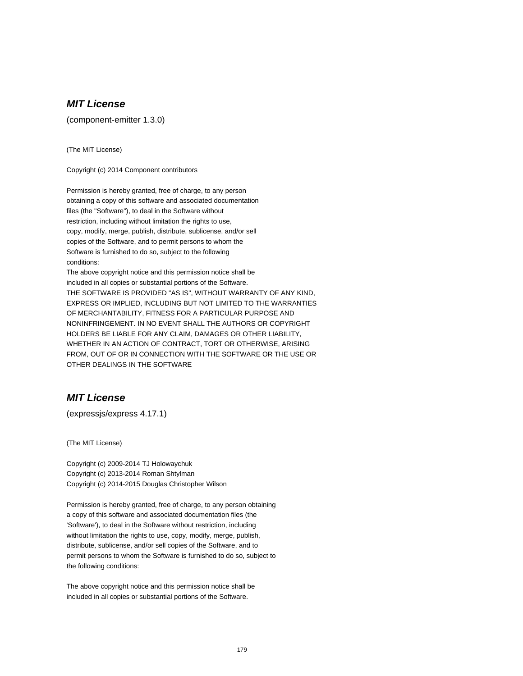# **MIT License**

(component-emitter 1.3.0)

(The MIT License)

Copyright (c) 2014 Component contributors

Permission is hereby granted, free of charge, to any person obtaining a copy of this software and associated documentation files (the "Software"), to deal in the Software without restriction, including without limitation the rights to use, copy, modify, merge, publish, distribute, sublicense, and/or sell copies of the Software, and to permit persons to whom the Software is furnished to do so, subject to the following conditions:

The above copyright notice and this permission notice shall be included in all copies or substantial portions of the Software. THE SOFTWARE IS PROVIDED "AS IS", WITHOUT WARRANTY OF ANY KIND, EXPRESS OR IMPLIED, INCLUDING BUT NOT LIMITED TO THE WARRANTIES OF MERCHANTABILITY, FITNESS FOR A PARTICULAR PURPOSE AND NONINFRINGEMENT. IN NO EVENT SHALL THE AUTHORS OR COPYRIGHT HOLDERS BE LIABLE FOR ANY CLAIM, DAMAGES OR OTHER LIABILITY, WHETHER IN AN ACTION OF CONTRACT, TORT OR OTHERWISE, ARISING FROM, OUT OF OR IN CONNECTION WITH THE SOFTWARE OR THE USE OR OTHER DEALINGS IN THE SOFTWARE

### **MIT License**

(expressjs/express 4.17.1)

(The MIT License)

Copyright (c) 2009-2014 TJ Holowaychuk Copyright (c) 2013-2014 Roman Shtylman Copyright (c) 2014-2015 Douglas Christopher Wilson

Permission is hereby granted, free of charge, to any person obtaining a copy of this software and associated documentation files (the 'Software'), to deal in the Software without restriction, including without limitation the rights to use, copy, modify, merge, publish, distribute, sublicense, and/or sell copies of the Software, and to permit persons to whom the Software is furnished to do so, subject to the following conditions:

The above copyright notice and this permission notice shall be included in all copies or substantial portions of the Software.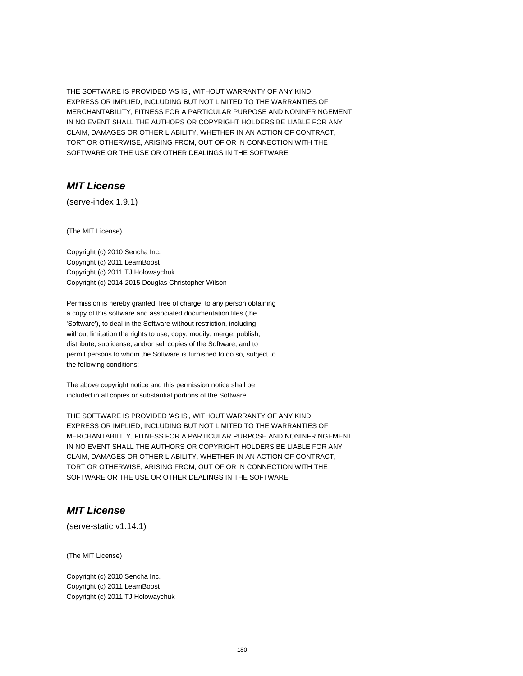THE SOFTWARE IS PROVIDED 'AS IS', WITHOUT WARRANTY OF ANY KIND, EXPRESS OR IMPLIED, INCLUDING BUT NOT LIMITED TO THE WARRANTIES OF MERCHANTABILITY, FITNESS FOR A PARTICULAR PURPOSE AND NONINFRINGEMENT. IN NO EVENT SHALL THE AUTHORS OR COPYRIGHT HOLDERS BE LIABLE FOR ANY CLAIM, DAMAGES OR OTHER LIABILITY, WHETHER IN AN ACTION OF CONTRACT, TORT OR OTHERWISE, ARISING FROM, OUT OF OR IN CONNECTION WITH THE SOFTWARE OR THE USE OR OTHER DEALINGS IN THE SOFTWARE

#### **MIT License**

(serve-index 1.9.1)

(The MIT License)

Copyright (c) 2010 Sencha Inc. Copyright (c) 2011 LearnBoost Copyright (c) 2011 TJ Holowaychuk Copyright (c) 2014-2015 Douglas Christopher Wilson

Permission is hereby granted, free of charge, to any person obtaining a copy of this software and associated documentation files (the 'Software'), to deal in the Software without restriction, including without limitation the rights to use, copy, modify, merge, publish, distribute, sublicense, and/or sell copies of the Software, and to permit persons to whom the Software is furnished to do so, subject to the following conditions:

The above copyright notice and this permission notice shall be included in all copies or substantial portions of the Software.

THE SOFTWARE IS PROVIDED 'AS IS', WITHOUT WARRANTY OF ANY KIND, EXPRESS OR IMPLIED, INCLUDING BUT NOT LIMITED TO THE WARRANTIES OF MERCHANTABILITY, FITNESS FOR A PARTICULAR PURPOSE AND NONINFRINGEMENT. IN NO EVENT SHALL THE AUTHORS OR COPYRIGHT HOLDERS BE LIABLE FOR ANY CLAIM, DAMAGES OR OTHER LIABILITY, WHETHER IN AN ACTION OF CONTRACT, TORT OR OTHERWISE, ARISING FROM, OUT OF OR IN CONNECTION WITH THE SOFTWARE OR THE USE OR OTHER DEALINGS IN THE SOFTWARE

### **MIT License**

(serve-static v1.14.1)

(The MIT License)

Copyright (c) 2010 Sencha Inc. Copyright (c) 2011 LearnBoost Copyright (c) 2011 TJ Holowaychuk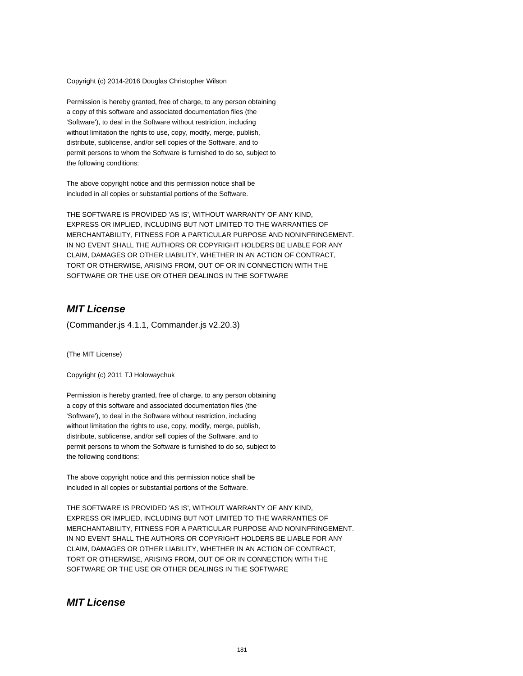Copyright (c) 2014-2016 Douglas Christopher Wilson

Permission is hereby granted, free of charge, to any person obtaining a copy of this software and associated documentation files (the 'Software'), to deal in the Software without restriction, including without limitation the rights to use, copy, modify, merge, publish, distribute, sublicense, and/or sell copies of the Software, and to permit persons to whom the Software is furnished to do so, subject to the following conditions:

The above copyright notice and this permission notice shall be included in all copies or substantial portions of the Software.

THE SOFTWARE IS PROVIDED 'AS IS', WITHOUT WARRANTY OF ANY KIND, EXPRESS OR IMPLIED, INCLUDING BUT NOT LIMITED TO THE WARRANTIES OF MERCHANTABILITY, FITNESS FOR A PARTICULAR PURPOSE AND NONINFRINGEMENT. IN NO EVENT SHALL THE AUTHORS OR COPYRIGHT HOLDERS BE LIABLE FOR ANY CLAIM, DAMAGES OR OTHER LIABILITY, WHETHER IN AN ACTION OF CONTRACT, TORT OR OTHERWISE, ARISING FROM, OUT OF OR IN CONNECTION WITH THE SOFTWARE OR THE USE OR OTHER DEALINGS IN THE SOFTWARE

### **MIT License**

(Commander.js 4.1.1, Commander.js v2.20.3)

(The MIT License)

Copyright (c) 2011 TJ Holowaychuk

Permission is hereby granted, free of charge, to any person obtaining a copy of this software and associated documentation files (the 'Software'), to deal in the Software without restriction, including without limitation the rights to use, copy, modify, merge, publish, distribute, sublicense, and/or sell copies of the Software, and to permit persons to whom the Software is furnished to do so, subject to the following conditions:

The above copyright notice and this permission notice shall be included in all copies or substantial portions of the Software.

THE SOFTWARE IS PROVIDED 'AS IS', WITHOUT WARRANTY OF ANY KIND, EXPRESS OR IMPLIED, INCLUDING BUT NOT LIMITED TO THE WARRANTIES OF MERCHANTABILITY, FITNESS FOR A PARTICULAR PURPOSE AND NONINFRINGEMENT. IN NO EVENT SHALL THE AUTHORS OR COPYRIGHT HOLDERS BE LIABLE FOR ANY CLAIM, DAMAGES OR OTHER LIABILITY, WHETHER IN AN ACTION OF CONTRACT, TORT OR OTHERWISE, ARISING FROM, OUT OF OR IN CONNECTION WITH THE SOFTWARE OR THE USE OR OTHER DEALINGS IN THE SOFTWARE

#### **MIT License**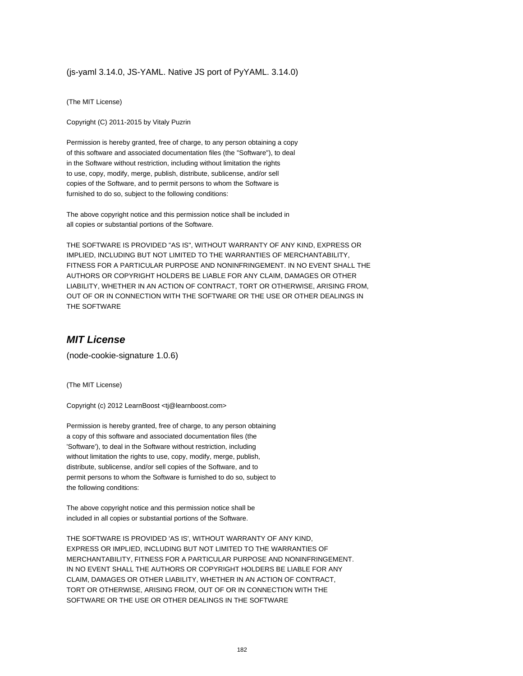#### (js-yaml 3.14.0, JS-YAML. Native JS port of PyYAML. 3.14.0)

(The MIT License)

Copyright (C) 2011-2015 by Vitaly Puzrin

Permission is hereby granted, free of charge, to any person obtaining a copy of this software and associated documentation files (the "Software"), to deal in the Software without restriction, including without limitation the rights to use, copy, modify, merge, publish, distribute, sublicense, and/or sell copies of the Software, and to permit persons to whom the Software is furnished to do so, subject to the following conditions:

The above copyright notice and this permission notice shall be included in all copies or substantial portions of the Software.

THE SOFTWARE IS PROVIDED "AS IS", WITHOUT WARRANTY OF ANY KIND, EXPRESS OR IMPLIED, INCLUDING BUT NOT LIMITED TO THE WARRANTIES OF MERCHANTABILITY, FITNESS FOR A PARTICULAR PURPOSE AND NONINFRINGEMENT. IN NO EVENT SHALL THE AUTHORS OR COPYRIGHT HOLDERS BE LIABLE FOR ANY CLAIM, DAMAGES OR OTHER LIABILITY, WHETHER IN AN ACTION OF CONTRACT, TORT OR OTHERWISE, ARISING FROM, OUT OF OR IN CONNECTION WITH THE SOFTWARE OR THE USE OR OTHER DEALINGS IN THE SOFTWARE

#### **MIT License**

(node-cookie-signature 1.0.6)

(The MIT License)

Copyright (c) 2012 LearnBoost <tj@learnboost.com>

Permission is hereby granted, free of charge, to any person obtaining a copy of this software and associated documentation files (the 'Software'), to deal in the Software without restriction, including without limitation the rights to use, copy, modify, merge, publish, distribute, sublicense, and/or sell copies of the Software, and to permit persons to whom the Software is furnished to do so, subject to the following conditions:

The above copyright notice and this permission notice shall be included in all copies or substantial portions of the Software.

THE SOFTWARE IS PROVIDED 'AS IS', WITHOUT WARRANTY OF ANY KIND, EXPRESS OR IMPLIED, INCLUDING BUT NOT LIMITED TO THE WARRANTIES OF MERCHANTABILITY, FITNESS FOR A PARTICULAR PURPOSE AND NONINFRINGEMENT. IN NO EVENT SHALL THE AUTHORS OR COPYRIGHT HOLDERS BE LIABLE FOR ANY CLAIM, DAMAGES OR OTHER LIABILITY, WHETHER IN AN ACTION OF CONTRACT, TORT OR OTHERWISE, ARISING FROM, OUT OF OR IN CONNECTION WITH THE SOFTWARE OR THE USE OR OTHER DEALINGS IN THE SOFTWARE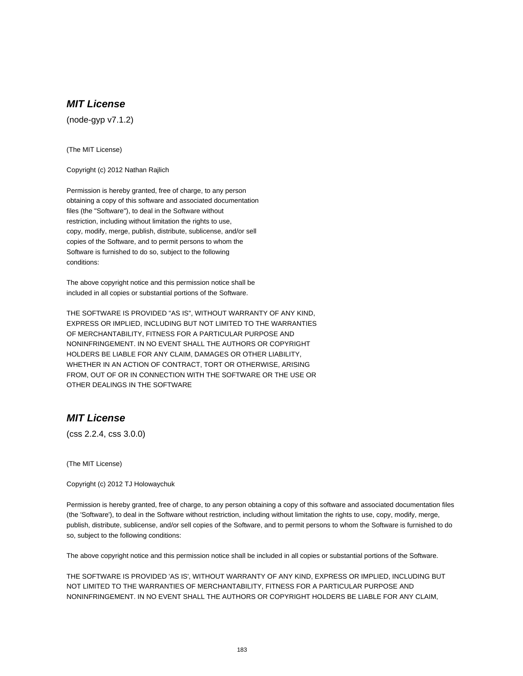### **MIT License**

(node-gyp v7.1.2)

(The MIT License)

Copyright (c) 2012 Nathan Rajlich

Permission is hereby granted, free of charge, to any person obtaining a copy of this software and associated documentation files (the "Software"), to deal in the Software without restriction, including without limitation the rights to use, copy, modify, merge, publish, distribute, sublicense, and/or sell copies of the Software, and to permit persons to whom the Software is furnished to do so, subject to the following conditions:

The above copyright notice and this permission notice shall be included in all copies or substantial portions of the Software.

THE SOFTWARE IS PROVIDED "AS IS", WITHOUT WARRANTY OF ANY KIND, EXPRESS OR IMPLIED, INCLUDING BUT NOT LIMITED TO THE WARRANTIES OF MERCHANTABILITY, FITNESS FOR A PARTICULAR PURPOSE AND NONINFRINGEMENT. IN NO EVENT SHALL THE AUTHORS OR COPYRIGHT HOLDERS BE LIABLE FOR ANY CLAIM, DAMAGES OR OTHER LIABILITY, WHETHER IN AN ACTION OF CONTRACT, TORT OR OTHERWISE, ARISING FROM, OUT OF OR IN CONNECTION WITH THE SOFTWARE OR THE USE OR OTHER DEALINGS IN THE SOFTWARE

### **MIT License**

(css 2.2.4, css 3.0.0)

(The MIT License)

Copyright (c) 2012 TJ Holowaychuk

Permission is hereby granted, free of charge, to any person obtaining a copy of this software and associated documentation files (the 'Software'), to deal in the Software without restriction, including without limitation the rights to use, copy, modify, merge, publish, distribute, sublicense, and/or sell copies of the Software, and to permit persons to whom the Software is furnished to do so, subject to the following conditions:

The above copyright notice and this permission notice shall be included in all copies or substantial portions of the Software.

THE SOFTWARE IS PROVIDED 'AS IS', WITHOUT WARRANTY OF ANY KIND, EXPRESS OR IMPLIED, INCLUDING BUT NOT LIMITED TO THE WARRANTIES OF MERCHANTABILITY, FITNESS FOR A PARTICULAR PURPOSE AND NONINFRINGEMENT. IN NO EVENT SHALL THE AUTHORS OR COPYRIGHT HOLDERS BE LIABLE FOR ANY CLAIM,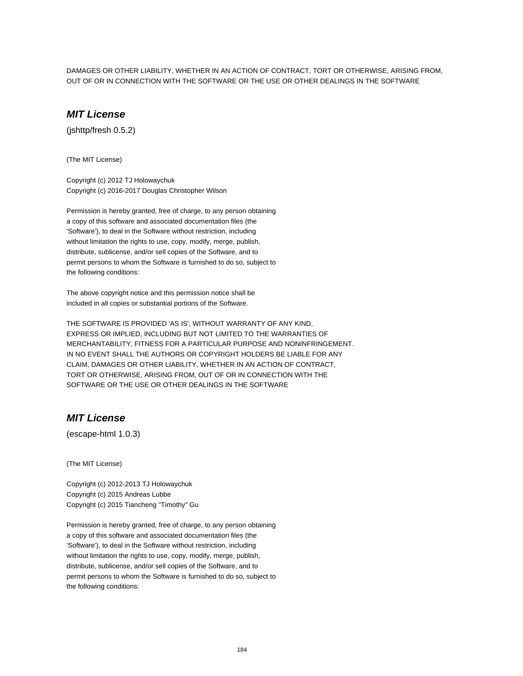DAMAGES OR OTHER LIABILITY, WHETHER IN AN ACTION OF CONTRACT, TORT OR OTHERWISE, ARISING FROM, OUT OF OR IN CONNECTION WITH THE SOFTWARE OR THE USE OR OTHER DEALINGS IN THE SOFTWARE

# **MIT License**

(jshttp/fresh 0.5.2)

(The MIT License)

Copyright (c) 2012 TJ Holowaychuk Copyright (c) 2016-2017 Douglas Christopher Wilson

Permission is hereby granted, free of charge, to any person obtaining a copy of this software and associated documentation files (the 'Software'), to deal in the Software without restriction, including without limitation the rights to use, copy, modify, merge, publish, distribute, sublicense, and/or sell copies of the Software, and to permit persons to whom the Software is furnished to do so, subject to the following conditions:

The above copyright notice and this permission notice shall be included in all copies or substantial portions of the Software.

THE SOFTWARE IS PROVIDED 'AS IS', WITHOUT WARRANTY OF ANY KIND, EXPRESS OR IMPLIED, INCLUDING BUT NOT LIMITED TO THE WARRANTIES OF MERCHANTABILITY, FITNESS FOR A PARTICULAR PURPOSE AND NONINFRINGEMENT. IN NO EVENT SHALL THE AUTHORS OR COPYRIGHT HOLDERS BE LIABLE FOR ANY CLAIM, DAMAGES OR OTHER LIABILITY, WHETHER IN AN ACTION OF CONTRACT, TORT OR OTHERWISE, ARISING FROM, OUT OF OR IN CONNECTION WITH THE SOFTWARE OR THE USE OR OTHER DEALINGS IN THE SOFTWARE

### **MIT License**

(escape-html 1.0.3)

(The MIT License)

Copyright (c) 2012-2013 TJ Holowaychuk Copyright (c) 2015 Andreas Lubbe Copyright (c) 2015 Tiancheng "Timothy" Gu

Permission is hereby granted, free of charge, to any person obtaining a copy of this software and associated documentation files (the 'Software'), to deal in the Software without restriction, including without limitation the rights to use, copy, modify, merge, publish, distribute, sublicense, and/or sell copies of the Software, and to permit persons to whom the Software is furnished to do so, subject to the following conditions: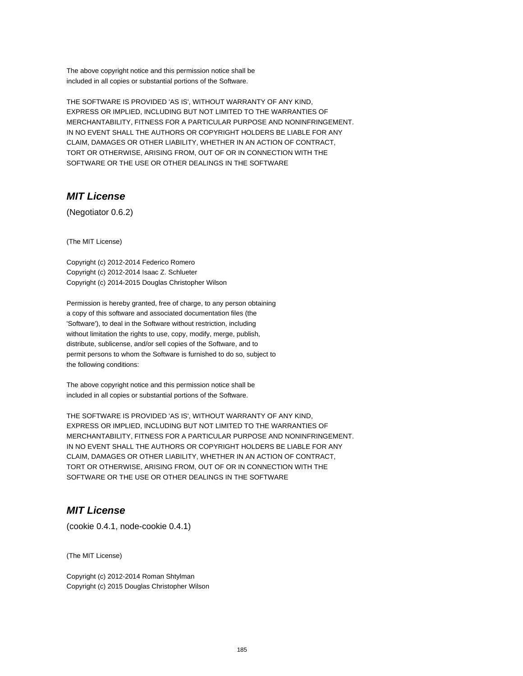The above copyright notice and this permission notice shall be included in all copies or substantial portions of the Software.

THE SOFTWARE IS PROVIDED 'AS IS', WITHOUT WARRANTY OF ANY KIND, EXPRESS OR IMPLIED, INCLUDING BUT NOT LIMITED TO THE WARRANTIES OF MERCHANTABILITY, FITNESS FOR A PARTICULAR PURPOSE AND NONINFRINGEMENT. IN NO EVENT SHALL THE AUTHORS OR COPYRIGHT HOLDERS BE LIABLE FOR ANY CLAIM, DAMAGES OR OTHER LIABILITY, WHETHER IN AN ACTION OF CONTRACT, TORT OR OTHERWISE, ARISING FROM, OUT OF OR IN CONNECTION WITH THE SOFTWARE OR THE USE OR OTHER DEALINGS IN THE SOFTWARE

### **MIT License**

(Negotiator 0.6.2)

(The MIT License)

Copyright (c) 2012-2014 Federico Romero Copyright (c) 2012-2014 Isaac Z. Schlueter Copyright (c) 2014-2015 Douglas Christopher Wilson

Permission is hereby granted, free of charge, to any person obtaining a copy of this software and associated documentation files (the 'Software'), to deal in the Software without restriction, including without limitation the rights to use, copy, modify, merge, publish, distribute, sublicense, and/or sell copies of the Software, and to permit persons to whom the Software is furnished to do so, subject to the following conditions:

The above copyright notice and this permission notice shall be included in all copies or substantial portions of the Software.

THE SOFTWARE IS PROVIDED 'AS IS', WITHOUT WARRANTY OF ANY KIND, EXPRESS OR IMPLIED, INCLUDING BUT NOT LIMITED TO THE WARRANTIES OF MERCHANTABILITY, FITNESS FOR A PARTICULAR PURPOSE AND NONINFRINGEMENT. IN NO EVENT SHALL THE AUTHORS OR COPYRIGHT HOLDERS BE LIABLE FOR ANY CLAIM, DAMAGES OR OTHER LIABILITY, WHETHER IN AN ACTION OF CONTRACT, TORT OR OTHERWISE, ARISING FROM, OUT OF OR IN CONNECTION WITH THE SOFTWARE OR THE USE OR OTHER DEALINGS IN THE SOFTWARE

### **MIT License**

(cookie 0.4.1, node-cookie 0.4.1)

(The MIT License)

Copyright (c) 2012-2014 Roman Shtylman Copyright (c) 2015 Douglas Christopher Wilson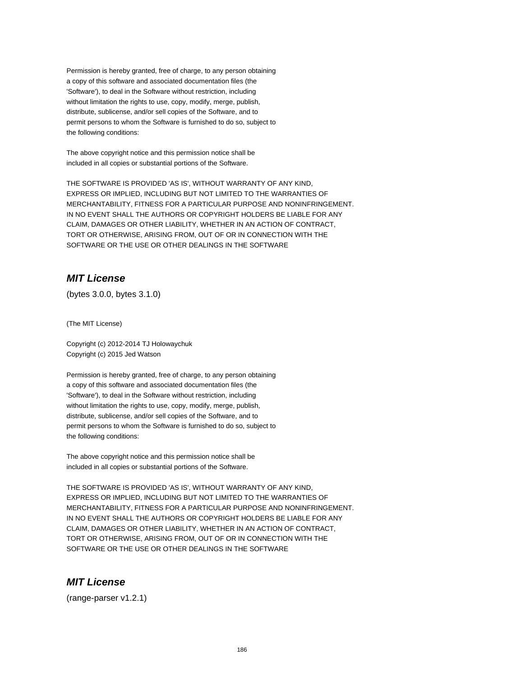Permission is hereby granted, free of charge, to any person obtaining a copy of this software and associated documentation files (the 'Software'), to deal in the Software without restriction, including without limitation the rights to use, copy, modify, merge, publish, distribute, sublicense, and/or sell copies of the Software, and to permit persons to whom the Software is furnished to do so, subject to the following conditions:

The above copyright notice and this permission notice shall be included in all copies or substantial portions of the Software.

THE SOFTWARE IS PROVIDED 'AS IS', WITHOUT WARRANTY OF ANY KIND, EXPRESS OR IMPLIED, INCLUDING BUT NOT LIMITED TO THE WARRANTIES OF MERCHANTABILITY, FITNESS FOR A PARTICULAR PURPOSE AND NONINFRINGEMENT. IN NO EVENT SHALL THE AUTHORS OR COPYRIGHT HOLDERS BE LIABLE FOR ANY CLAIM, DAMAGES OR OTHER LIABILITY, WHETHER IN AN ACTION OF CONTRACT, TORT OR OTHERWISE, ARISING FROM, OUT OF OR IN CONNECTION WITH THE SOFTWARE OR THE USE OR OTHER DEALINGS IN THE SOFTWARE

### **MIT License**

(bytes 3.0.0, bytes 3.1.0)

(The MIT License)

Copyright (c) 2012-2014 TJ Holowaychuk Copyright (c) 2015 Jed Watson

Permission is hereby granted, free of charge, to any person obtaining a copy of this software and associated documentation files (the 'Software'), to deal in the Software without restriction, including without limitation the rights to use, copy, modify, merge, publish, distribute, sublicense, and/or sell copies of the Software, and to permit persons to whom the Software is furnished to do so, subject to the following conditions:

The above copyright notice and this permission notice shall be included in all copies or substantial portions of the Software.

THE SOFTWARE IS PROVIDED 'AS IS', WITHOUT WARRANTY OF ANY KIND, EXPRESS OR IMPLIED, INCLUDING BUT NOT LIMITED TO THE WARRANTIES OF MERCHANTABILITY, FITNESS FOR A PARTICULAR PURPOSE AND NONINFRINGEMENT. IN NO EVENT SHALL THE AUTHORS OR COPYRIGHT HOLDERS BE LIABLE FOR ANY CLAIM, DAMAGES OR OTHER LIABILITY, WHETHER IN AN ACTION OF CONTRACT, TORT OR OTHERWISE, ARISING FROM, OUT OF OR IN CONNECTION WITH THE SOFTWARE OR THE USE OR OTHER DEALINGS IN THE SOFTWARE

## **MIT License**

(range-parser v1.2.1)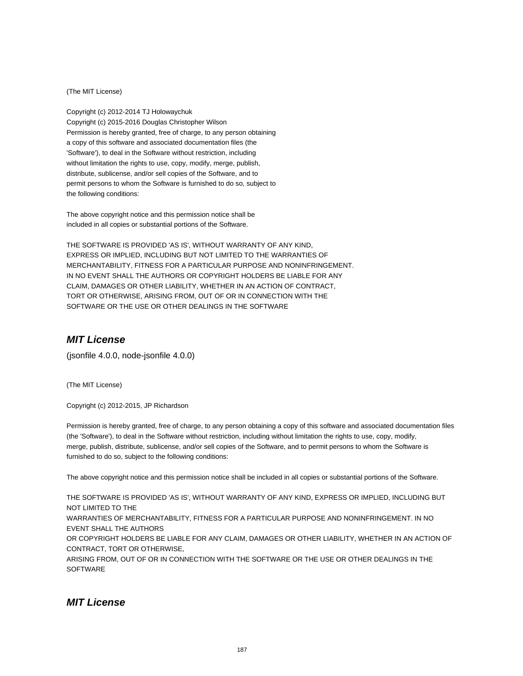#### (The MIT License)

Copyright (c) 2012-2014 TJ Holowaychuk Copyright (c) 2015-2016 Douglas Christopher Wilson Permission is hereby granted, free of charge, to any person obtaining a copy of this software and associated documentation files (the 'Software'), to deal in the Software without restriction, including without limitation the rights to use, copy, modify, merge, publish, distribute, sublicense, and/or sell copies of the Software, and to permit persons to whom the Software is furnished to do so, subject to the following conditions:

The above copyright notice and this permission notice shall be included in all copies or substantial portions of the Software.

THE SOFTWARE IS PROVIDED 'AS IS', WITHOUT WARRANTY OF ANY KIND, EXPRESS OR IMPLIED, INCLUDING BUT NOT LIMITED TO THE WARRANTIES OF MERCHANTABILITY, FITNESS FOR A PARTICULAR PURPOSE AND NONINFRINGEMENT. IN NO EVENT SHALL THE AUTHORS OR COPYRIGHT HOLDERS BE LIABLE FOR ANY CLAIM, DAMAGES OR OTHER LIABILITY, WHETHER IN AN ACTION OF CONTRACT, TORT OR OTHERWISE, ARISING FROM, OUT OF OR IN CONNECTION WITH THE SOFTWARE OR THE USE OR OTHER DEALINGS IN THE SOFTWARE

#### **MIT License**

(jsonfile 4.0.0, node-jsonfile 4.0.0)

(The MIT License)

Copyright (c) 2012-2015, JP Richardson

Permission is hereby granted, free of charge, to any person obtaining a copy of this software and associated documentation files (the 'Software'), to deal in the Software without restriction, including without limitation the rights to use, copy, modify, merge, publish, distribute, sublicense, and/or sell copies of the Software, and to permit persons to whom the Software is furnished to do so, subject to the following conditions:

The above copyright notice and this permission notice shall be included in all copies or substantial portions of the Software.

THE SOFTWARE IS PROVIDED 'AS IS', WITHOUT WARRANTY OF ANY KIND, EXPRESS OR IMPLIED, INCLUDING BUT NOT LIMITED TO THE WARRANTIES OF MERCHANTABILITY, FITNESS FOR A PARTICULAR PURPOSE AND NONINFRINGEMENT. IN NO EVENT SHALL THE AUTHORS OR COPYRIGHT HOLDERS BE LIABLE FOR ANY CLAIM, DAMAGES OR OTHER LIABILITY, WHETHER IN AN ACTION OF CONTRACT, TORT OR OTHERWISE, ARISING FROM, OUT OF OR IN CONNECTION WITH THE SOFTWARE OR THE USE OR OTHER DEALINGS IN THE **SOFTWARE** 

#### **MIT License**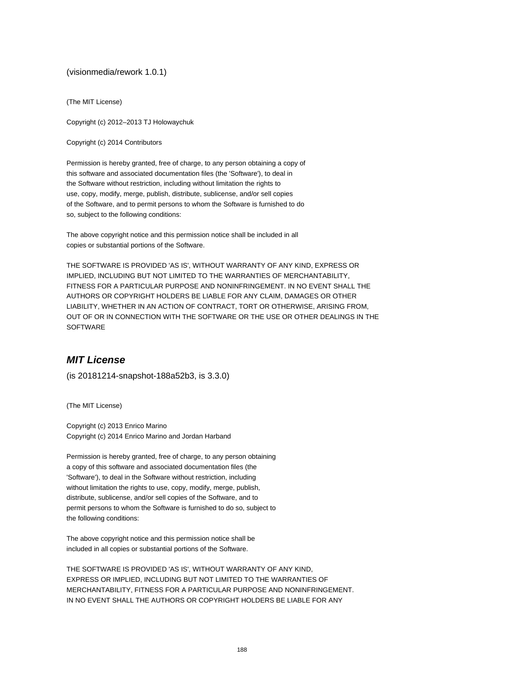#### (visionmedia/rework 1.0.1)

(The MIT License)

Copyright (c) 2012–2013 TJ Holowaychuk

Copyright (c) 2014 Contributors

Permission is hereby granted, free of charge, to any person obtaining a copy of this software and associated documentation files (the 'Software'), to deal in the Software without restriction, including without limitation the rights to use, copy, modify, merge, publish, distribute, sublicense, and/or sell copies of the Software, and to permit persons to whom the Software is furnished to do so, subject to the following conditions:

The above copyright notice and this permission notice shall be included in all copies or substantial portions of the Software.

THE SOFTWARE IS PROVIDED 'AS IS', WITHOUT WARRANTY OF ANY KIND, EXPRESS OR IMPLIED, INCLUDING BUT NOT LIMITED TO THE WARRANTIES OF MERCHANTABILITY, FITNESS FOR A PARTICULAR PURPOSE AND NONINFRINGEMENT. IN NO EVENT SHALL THE AUTHORS OR COPYRIGHT HOLDERS BE LIABLE FOR ANY CLAIM, DAMAGES OR OTHER LIABILITY, WHETHER IN AN ACTION OF CONTRACT, TORT OR OTHERWISE, ARISING FROM, OUT OF OR IN CONNECTION WITH THE SOFTWARE OR THE USE OR OTHER DEALINGS IN THE **SOFTWARE** 

#### **MIT License**

(is 20181214-snapshot-188a52b3, is 3.3.0)

(The MIT License)

Copyright (c) 2013 Enrico Marino Copyright (c) 2014 Enrico Marino and Jordan Harband

Permission is hereby granted, free of charge, to any person obtaining a copy of this software and associated documentation files (the 'Software'), to deal in the Software without restriction, including without limitation the rights to use, copy, modify, merge, publish, distribute, sublicense, and/or sell copies of the Software, and to permit persons to whom the Software is furnished to do so, subject to the following conditions:

The above copyright notice and this permission notice shall be included in all copies or substantial portions of the Software.

THE SOFTWARE IS PROVIDED 'AS IS', WITHOUT WARRANTY OF ANY KIND, EXPRESS OR IMPLIED, INCLUDING BUT NOT LIMITED TO THE WARRANTIES OF MERCHANTABILITY, FITNESS FOR A PARTICULAR PURPOSE AND NONINFRINGEMENT. IN NO EVENT SHALL THE AUTHORS OR COPYRIGHT HOLDERS BE LIABLE FOR ANY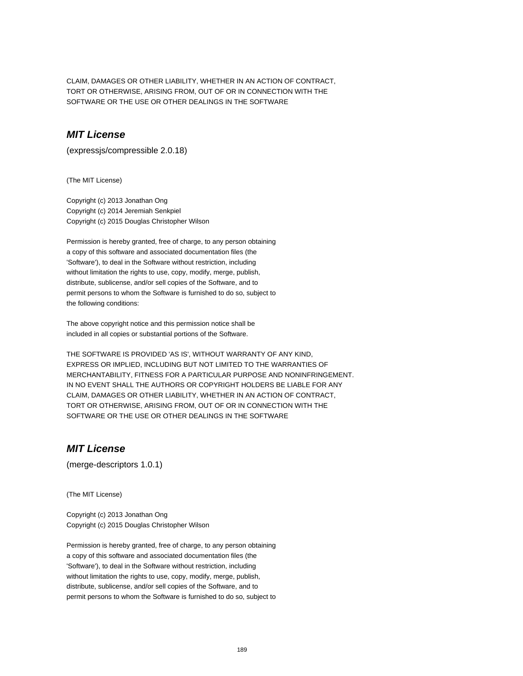CLAIM, DAMAGES OR OTHER LIABILITY, WHETHER IN AN ACTION OF CONTRACT, TORT OR OTHERWISE, ARISING FROM, OUT OF OR IN CONNECTION WITH THE SOFTWARE OR THE USE OR OTHER DEALINGS IN THE SOFTWARE

### **MIT License**

(expressjs/compressible 2.0.18)

(The MIT License)

Copyright (c) 2013 Jonathan Ong Copyright (c) 2014 Jeremiah Senkpiel Copyright (c) 2015 Douglas Christopher Wilson

Permission is hereby granted, free of charge, to any person obtaining a copy of this software and associated documentation files (the 'Software'), to deal in the Software without restriction, including without limitation the rights to use, copy, modify, merge, publish, distribute, sublicense, and/or sell copies of the Software, and to permit persons to whom the Software is furnished to do so, subject to the following conditions:

The above copyright notice and this permission notice shall be included in all copies or substantial portions of the Software.

THE SOFTWARE IS PROVIDED 'AS IS', WITHOUT WARRANTY OF ANY KIND, EXPRESS OR IMPLIED, INCLUDING BUT NOT LIMITED TO THE WARRANTIES OF MERCHANTABILITY, FITNESS FOR A PARTICULAR PURPOSE AND NONINFRINGEMENT. IN NO EVENT SHALL THE AUTHORS OR COPYRIGHT HOLDERS BE LIABLE FOR ANY CLAIM, DAMAGES OR OTHER LIABILITY, WHETHER IN AN ACTION OF CONTRACT, TORT OR OTHERWISE, ARISING FROM, OUT OF OR IN CONNECTION WITH THE SOFTWARE OR THE USE OR OTHER DEALINGS IN THE SOFTWARE

### **MIT License**

(merge-descriptors 1.0.1)

(The MIT License)

Copyright (c) 2013 Jonathan Ong Copyright (c) 2015 Douglas Christopher Wilson

Permission is hereby granted, free of charge, to any person obtaining a copy of this software and associated documentation files (the 'Software'), to deal in the Software without restriction, including without limitation the rights to use, copy, modify, merge, publish, distribute, sublicense, and/or sell copies of the Software, and to permit persons to whom the Software is furnished to do so, subject to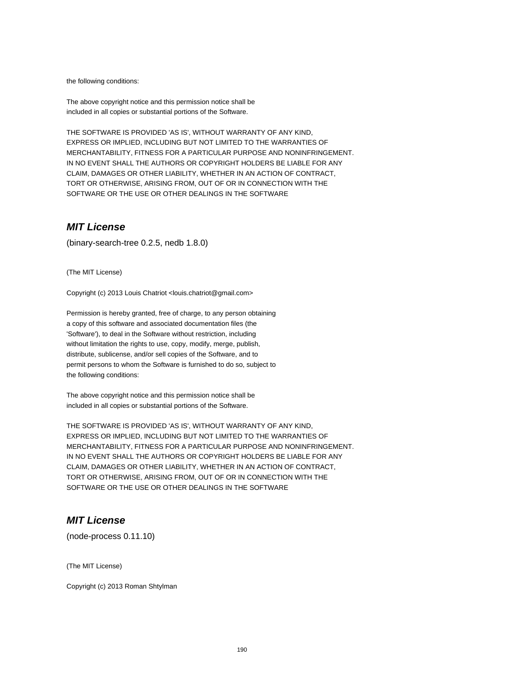the following conditions:

The above copyright notice and this permission notice shall be included in all copies or substantial portions of the Software.

THE SOFTWARE IS PROVIDED 'AS IS', WITHOUT WARRANTY OF ANY KIND, EXPRESS OR IMPLIED, INCLUDING BUT NOT LIMITED TO THE WARRANTIES OF MERCHANTABILITY, FITNESS FOR A PARTICULAR PURPOSE AND NONINFRINGEMENT. IN NO EVENT SHALL THE AUTHORS OR COPYRIGHT HOLDERS BE LIABLE FOR ANY CLAIM, DAMAGES OR OTHER LIABILITY, WHETHER IN AN ACTION OF CONTRACT, TORT OR OTHERWISE, ARISING FROM, OUT OF OR IN CONNECTION WITH THE SOFTWARE OR THE USE OR OTHER DEALINGS IN THE SOFTWARE

#### **MIT License**

(binary-search-tree 0.2.5, nedb 1.8.0)

(The MIT License)

Copyright (c) 2013 Louis Chatriot <louis.chatriot@gmail.com>

Permission is hereby granted, free of charge, to any person obtaining a copy of this software and associated documentation files (the 'Software'), to deal in the Software without restriction, including without limitation the rights to use, copy, modify, merge, publish, distribute, sublicense, and/or sell copies of the Software, and to permit persons to whom the Software is furnished to do so, subject to the following conditions:

The above copyright notice and this permission notice shall be included in all copies or substantial portions of the Software.

THE SOFTWARE IS PROVIDED 'AS IS', WITHOUT WARRANTY OF ANY KIND, EXPRESS OR IMPLIED, INCLUDING BUT NOT LIMITED TO THE WARRANTIES OF MERCHANTABILITY, FITNESS FOR A PARTICULAR PURPOSE AND NONINFRINGEMENT. IN NO EVENT SHALL THE AUTHORS OR COPYRIGHT HOLDERS BE LIABLE FOR ANY CLAIM, DAMAGES OR OTHER LIABILITY, WHETHER IN AN ACTION OF CONTRACT, TORT OR OTHERWISE, ARISING FROM, OUT OF OR IN CONNECTION WITH THE SOFTWARE OR THE USE OR OTHER DEALINGS IN THE SOFTWARE

### **MIT License**

(node-process 0.11.10)

(The MIT License)

Copyright (c) 2013 Roman Shtylman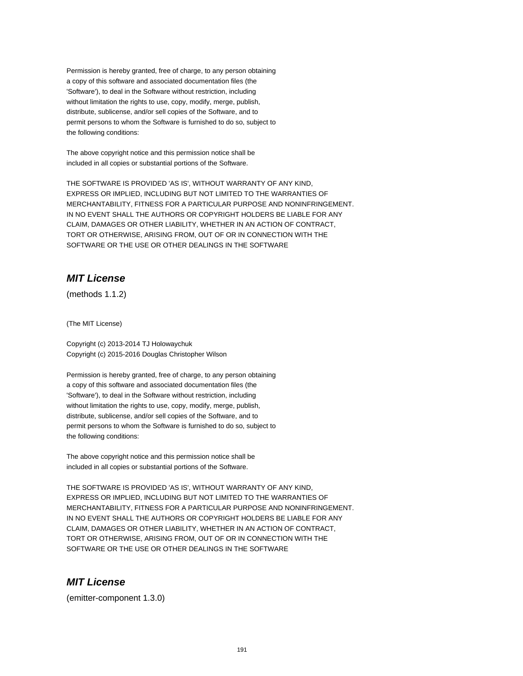Permission is hereby granted, free of charge, to any person obtaining a copy of this software and associated documentation files (the 'Software'), to deal in the Software without restriction, including without limitation the rights to use, copy, modify, merge, publish, distribute, sublicense, and/or sell copies of the Software, and to permit persons to whom the Software is furnished to do so, subject to the following conditions:

The above copyright notice and this permission notice shall be included in all copies or substantial portions of the Software.

THE SOFTWARE IS PROVIDED 'AS IS', WITHOUT WARRANTY OF ANY KIND, EXPRESS OR IMPLIED, INCLUDING BUT NOT LIMITED TO THE WARRANTIES OF MERCHANTABILITY, FITNESS FOR A PARTICULAR PURPOSE AND NONINFRINGEMENT. IN NO EVENT SHALL THE AUTHORS OR COPYRIGHT HOLDERS BE LIABLE FOR ANY CLAIM, DAMAGES OR OTHER LIABILITY, WHETHER IN AN ACTION OF CONTRACT, TORT OR OTHERWISE, ARISING FROM, OUT OF OR IN CONNECTION WITH THE SOFTWARE OR THE USE OR OTHER DEALINGS IN THE SOFTWARE

# **MIT License**

(methods 1.1.2)

(The MIT License)

Copyright (c) 2013-2014 TJ Holowaychuk Copyright (c) 2015-2016 Douglas Christopher Wilson

Permission is hereby granted, free of charge, to any person obtaining a copy of this software and associated documentation files (the 'Software'), to deal in the Software without restriction, including without limitation the rights to use, copy, modify, merge, publish, distribute, sublicense, and/or sell copies of the Software, and to permit persons to whom the Software is furnished to do so, subject to the following conditions:

The above copyright notice and this permission notice shall be included in all copies or substantial portions of the Software.

THE SOFTWARE IS PROVIDED 'AS IS', WITHOUT WARRANTY OF ANY KIND, EXPRESS OR IMPLIED, INCLUDING BUT NOT LIMITED TO THE WARRANTIES OF MERCHANTABILITY, FITNESS FOR A PARTICULAR PURPOSE AND NONINFRINGEMENT. IN NO EVENT SHALL THE AUTHORS OR COPYRIGHT HOLDERS BE LIABLE FOR ANY CLAIM, DAMAGES OR OTHER LIABILITY, WHETHER IN AN ACTION OF CONTRACT, TORT OR OTHERWISE, ARISING FROM, OUT OF OR IN CONNECTION WITH THE SOFTWARE OR THE USE OR OTHER DEALINGS IN THE SOFTWARE

### **MIT License**

(emitter-component 1.3.0)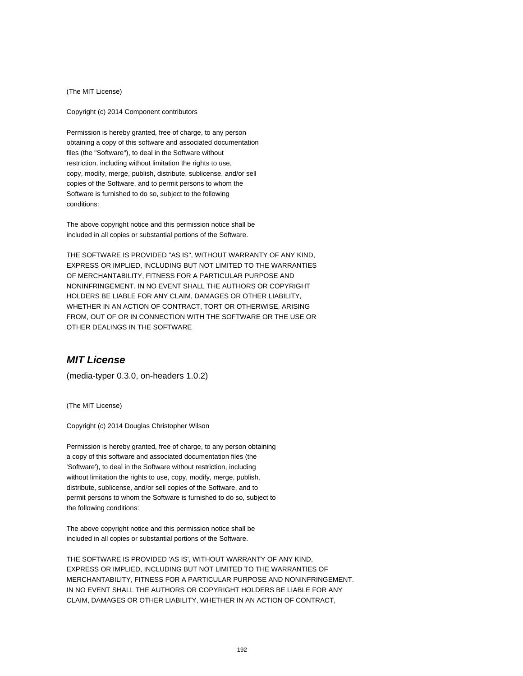(The MIT License)

Copyright (c) 2014 Component contributors

Permission is hereby granted, free of charge, to any person obtaining a copy of this software and associated documentation files (the "Software"), to deal in the Software without restriction, including without limitation the rights to use, copy, modify, merge, publish, distribute, sublicense, and/or sell copies of the Software, and to permit persons to whom the Software is furnished to do so, subject to the following conditions:

The above copyright notice and this permission notice shall be included in all copies or substantial portions of the Software.

THE SOFTWARE IS PROVIDED "AS IS", WITHOUT WARRANTY OF ANY KIND, EXPRESS OR IMPLIED, INCLUDING BUT NOT LIMITED TO THE WARRANTIES OF MERCHANTABILITY, FITNESS FOR A PARTICULAR PURPOSE AND NONINFRINGEMENT. IN NO EVENT SHALL THE AUTHORS OR COPYRIGHT HOLDERS BE LIABLE FOR ANY CLAIM, DAMAGES OR OTHER LIABILITY, WHETHER IN AN ACTION OF CONTRACT, TORT OR OTHERWISE, ARISING FROM, OUT OF OR IN CONNECTION WITH THE SOFTWARE OR THE USE OR OTHER DEALINGS IN THE SOFTWARE

#### **MIT License**

(media-typer 0.3.0, on-headers 1.0.2)

(The MIT License)

Copyright (c) 2014 Douglas Christopher Wilson

Permission is hereby granted, free of charge, to any person obtaining a copy of this software and associated documentation files (the 'Software'), to deal in the Software without restriction, including without limitation the rights to use, copy, modify, merge, publish, distribute, sublicense, and/or sell copies of the Software, and to permit persons to whom the Software is furnished to do so, subject to the following conditions:

The above copyright notice and this permission notice shall be included in all copies or substantial portions of the Software.

THE SOFTWARE IS PROVIDED 'AS IS', WITHOUT WARRANTY OF ANY KIND, EXPRESS OR IMPLIED, INCLUDING BUT NOT LIMITED TO THE WARRANTIES OF MERCHANTABILITY, FITNESS FOR A PARTICULAR PURPOSE AND NONINFRINGEMENT. IN NO EVENT SHALL THE AUTHORS OR COPYRIGHT HOLDERS BE LIABLE FOR ANY CLAIM, DAMAGES OR OTHER LIABILITY, WHETHER IN AN ACTION OF CONTRACT,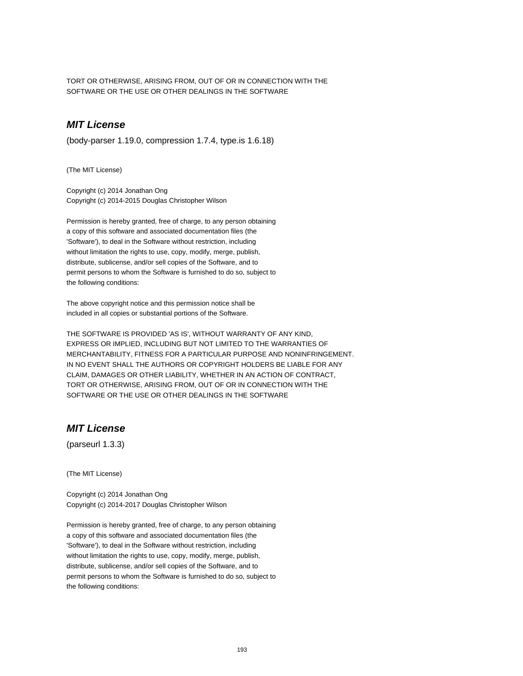TORT OR OTHERWISE, ARISING FROM, OUT OF OR IN CONNECTION WITH THE SOFTWARE OR THE USE OR OTHER DEALINGS IN THE SOFTWARE

# **MIT License**

(body-parser 1.19.0, compression 1.7.4, type.is 1.6.18)

(The MIT License)

Copyright (c) 2014 Jonathan Ong Copyright (c) 2014-2015 Douglas Christopher Wilson

Permission is hereby granted, free of charge, to any person obtaining a copy of this software and associated documentation files (the 'Software'), to deal in the Software without restriction, including without limitation the rights to use, copy, modify, merge, publish, distribute, sublicense, and/or sell copies of the Software, and to permit persons to whom the Software is furnished to do so, subject to the following conditions:

The above copyright notice and this permission notice shall be included in all copies or substantial portions of the Software.

THE SOFTWARE IS PROVIDED 'AS IS', WITHOUT WARRANTY OF ANY KIND, EXPRESS OR IMPLIED, INCLUDING BUT NOT LIMITED TO THE WARRANTIES OF MERCHANTABILITY, FITNESS FOR A PARTICULAR PURPOSE AND NONINFRINGEMENT. IN NO EVENT SHALL THE AUTHORS OR COPYRIGHT HOLDERS BE LIABLE FOR ANY CLAIM, DAMAGES OR OTHER LIABILITY, WHETHER IN AN ACTION OF CONTRACT, TORT OR OTHERWISE, ARISING FROM, OUT OF OR IN CONNECTION WITH THE SOFTWARE OR THE USE OR OTHER DEALINGS IN THE SOFTWARE

# **MIT License**

(parseurl 1.3.3)

(The MIT License)

Copyright (c) 2014 Jonathan Ong Copyright (c) 2014-2017 Douglas Christopher Wilson

Permission is hereby granted, free of charge, to any person obtaining a copy of this software and associated documentation files (the 'Software'), to deal in the Software without restriction, including without limitation the rights to use, copy, modify, merge, publish, distribute, sublicense, and/or sell copies of the Software, and to permit persons to whom the Software is furnished to do so, subject to the following conditions: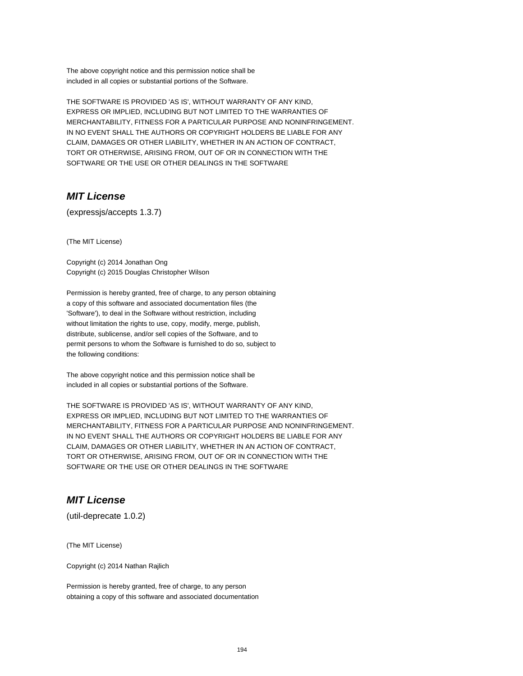The above copyright notice and this permission notice shall be included in all copies or substantial portions of the Software.

THE SOFTWARE IS PROVIDED 'AS IS', WITHOUT WARRANTY OF ANY KIND, EXPRESS OR IMPLIED, INCLUDING BUT NOT LIMITED TO THE WARRANTIES OF MERCHANTABILITY, FITNESS FOR A PARTICULAR PURPOSE AND NONINFRINGEMENT. IN NO EVENT SHALL THE AUTHORS OR COPYRIGHT HOLDERS BE LIABLE FOR ANY CLAIM, DAMAGES OR OTHER LIABILITY, WHETHER IN AN ACTION OF CONTRACT, TORT OR OTHERWISE, ARISING FROM, OUT OF OR IN CONNECTION WITH THE SOFTWARE OR THE USE OR OTHER DEALINGS IN THE SOFTWARE

### **MIT License**

(expressjs/accepts 1.3.7)

(The MIT License)

Copyright (c) 2014 Jonathan Ong Copyright (c) 2015 Douglas Christopher Wilson

Permission is hereby granted, free of charge, to any person obtaining a copy of this software and associated documentation files (the 'Software'), to deal in the Software without restriction, including without limitation the rights to use, copy, modify, merge, publish, distribute, sublicense, and/or sell copies of the Software, and to permit persons to whom the Software is furnished to do so, subject to the following conditions:

The above copyright notice and this permission notice shall be included in all copies or substantial portions of the Software.

THE SOFTWARE IS PROVIDED 'AS IS', WITHOUT WARRANTY OF ANY KIND, EXPRESS OR IMPLIED, INCLUDING BUT NOT LIMITED TO THE WARRANTIES OF MERCHANTABILITY, FITNESS FOR A PARTICULAR PURPOSE AND NONINFRINGEMENT. IN NO EVENT SHALL THE AUTHORS OR COPYRIGHT HOLDERS BE LIABLE FOR ANY CLAIM, DAMAGES OR OTHER LIABILITY, WHETHER IN AN ACTION OF CONTRACT, TORT OR OTHERWISE, ARISING FROM, OUT OF OR IN CONNECTION WITH THE SOFTWARE OR THE USE OR OTHER DEALINGS IN THE SOFTWARE

# **MIT License**

(util-deprecate 1.0.2)

(The MIT License)

Copyright (c) 2014 Nathan Rajlich

Permission is hereby granted, free of charge, to any person obtaining a copy of this software and associated documentation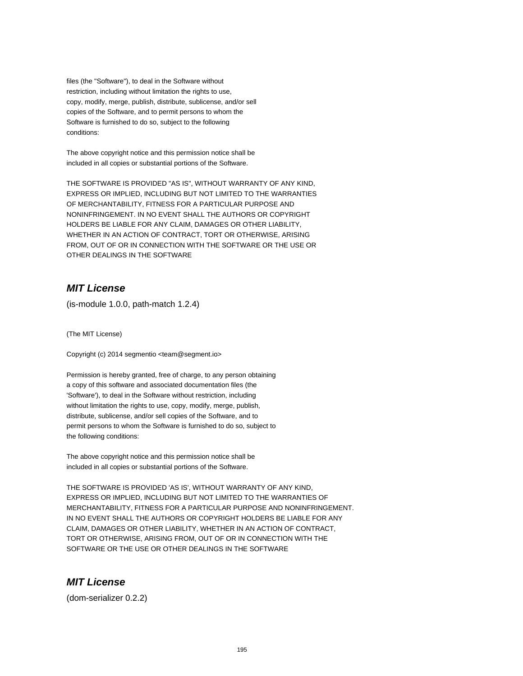files (the "Software"), to deal in the Software without restriction, including without limitation the rights to use, copy, modify, merge, publish, distribute, sublicense, and/or sell copies of the Software, and to permit persons to whom the Software is furnished to do so, subject to the following conditions:

The above copyright notice and this permission notice shall be included in all copies or substantial portions of the Software.

THE SOFTWARE IS PROVIDED "AS IS", WITHOUT WARRANTY OF ANY KIND, EXPRESS OR IMPLIED, INCLUDING BUT NOT LIMITED TO THE WARRANTIES OF MERCHANTABILITY, FITNESS FOR A PARTICULAR PURPOSE AND NONINFRINGEMENT. IN NO EVENT SHALL THE AUTHORS OR COPYRIGHT HOLDERS BE LIABLE FOR ANY CLAIM, DAMAGES OR OTHER LIABILITY, WHETHER IN AN ACTION OF CONTRACT, TORT OR OTHERWISE, ARISING FROM, OUT OF OR IN CONNECTION WITH THE SOFTWARE OR THE USE OR OTHER DEALINGS IN THE SOFTWARE

### **MIT License**

(is-module 1.0.0, path-match 1.2.4)

(The MIT License)

Copyright (c) 2014 segmentio <team@segment.io>

Permission is hereby granted, free of charge, to any person obtaining a copy of this software and associated documentation files (the 'Software'), to deal in the Software without restriction, including without limitation the rights to use, copy, modify, merge, publish, distribute, sublicense, and/or sell copies of the Software, and to permit persons to whom the Software is furnished to do so, subject to the following conditions:

The above copyright notice and this permission notice shall be included in all copies or substantial portions of the Software.

THE SOFTWARE IS PROVIDED 'AS IS', WITHOUT WARRANTY OF ANY KIND, EXPRESS OR IMPLIED, INCLUDING BUT NOT LIMITED TO THE WARRANTIES OF MERCHANTABILITY, FITNESS FOR A PARTICULAR PURPOSE AND NONINFRINGEMENT. IN NO EVENT SHALL THE AUTHORS OR COPYRIGHT HOLDERS BE LIABLE FOR ANY CLAIM, DAMAGES OR OTHER LIABILITY, WHETHER IN AN ACTION OF CONTRACT, TORT OR OTHERWISE, ARISING FROM, OUT OF OR IN CONNECTION WITH THE SOFTWARE OR THE USE OR OTHER DEALINGS IN THE SOFTWARE

### **MIT License**

(dom-serializer 0.2.2)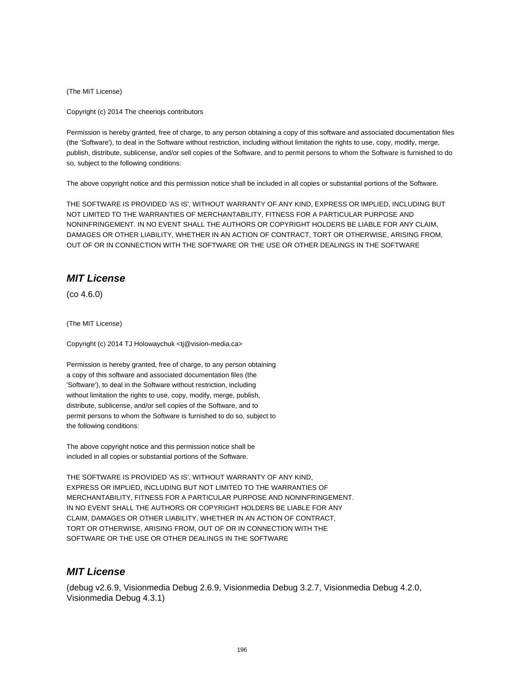(The MIT License)

Copyright (c) 2014 The cheeriojs contributors

Permission is hereby granted, free of charge, to any person obtaining a copy of this software and associated documentation files (the 'Software'), to deal in the Software without restriction, including without limitation the rights to use, copy, modify, merge, publish, distribute, sublicense, and/or sell copies of the Software, and to permit persons to whom the Software is furnished to do so, subject to the following conditions:

The above copyright notice and this permission notice shall be included in all copies or substantial portions of the Software.

THE SOFTWARE IS PROVIDED 'AS IS', WITHOUT WARRANTY OF ANY KIND, EXPRESS OR IMPLIED, INCLUDING BUT NOT LIMITED TO THE WARRANTIES OF MERCHANTABILITY, FITNESS FOR A PARTICULAR PURPOSE AND NONINFRINGEMENT. IN NO EVENT SHALL THE AUTHORS OR COPYRIGHT HOLDERS BE LIABLE FOR ANY CLAIM, DAMAGES OR OTHER LIABILITY, WHETHER IN AN ACTION OF CONTRACT, TORT OR OTHERWISE, ARISING FROM, OUT OF OR IN CONNECTION WITH THE SOFTWARE OR THE USE OR OTHER DEALINGS IN THE SOFTWARE

#### **MIT License**

(co 4.6.0)

(The MIT License)

Copyright (c) 2014 TJ Holowaychuk <tj@vision-media.ca>

Permission is hereby granted, free of charge, to any person obtaining a copy of this software and associated documentation files (the 'Software'), to deal in the Software without restriction, including without limitation the rights to use, copy, modify, merge, publish, distribute, sublicense, and/or sell copies of the Software, and to permit persons to whom the Software is furnished to do so, subject to the following conditions:

The above copyright notice and this permission notice shall be included in all copies or substantial portions of the Software.

THE SOFTWARE IS PROVIDED 'AS IS', WITHOUT WARRANTY OF ANY KIND, EXPRESS OR IMPLIED, INCLUDING BUT NOT LIMITED TO THE WARRANTIES OF MERCHANTABILITY, FITNESS FOR A PARTICULAR PURPOSE AND NONINFRINGEMENT. IN NO EVENT SHALL THE AUTHORS OR COPYRIGHT HOLDERS BE LIABLE FOR ANY CLAIM, DAMAGES OR OTHER LIABILITY, WHETHER IN AN ACTION OF CONTRACT, TORT OR OTHERWISE, ARISING FROM, OUT OF OR IN CONNECTION WITH THE SOFTWARE OR THE USE OR OTHER DEALINGS IN THE SOFTWARE

#### **MIT License**

(debug v2.6.9, Visionmedia Debug 2.6.9, Visionmedia Debug 3.2.7, Visionmedia Debug 4.2.0, Visionmedia Debug 4.3.1)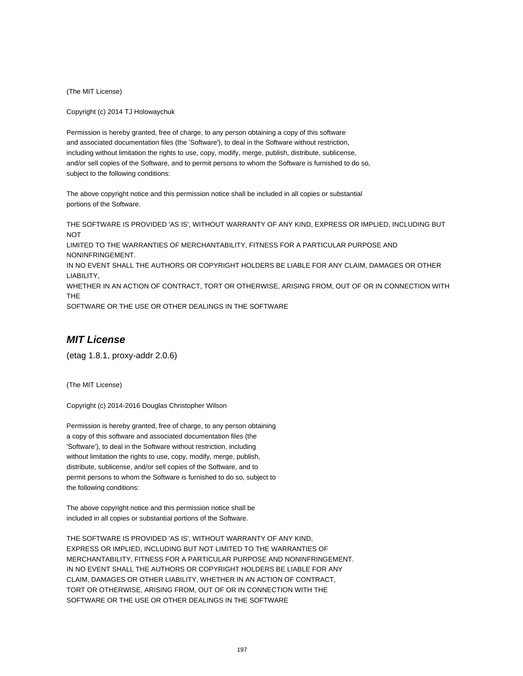(The MIT License)

Copyright (c) 2014 TJ Holowaychuk

Permission is hereby granted, free of charge, to any person obtaining a copy of this software and associated documentation files (the 'Software'), to deal in the Software without restriction, including without limitation the rights to use, copy, modify, merge, publish, distribute, sublicense, and/or sell copies of the Software, and to permit persons to whom the Software is furnished to do so, subject to the following conditions:

The above copyright notice and this permission notice shall be included in all copies or substantial portions of the Software.

THE SOFTWARE IS PROVIDED 'AS IS', WITHOUT WARRANTY OF ANY KIND, EXPRESS OR IMPLIED, INCLUDING BUT **NOT** 

LIMITED TO THE WARRANTIES OF MERCHANTABILITY, FITNESS FOR A PARTICULAR PURPOSE AND NONINFRINGEMENT.

IN NO EVENT SHALL THE AUTHORS OR COPYRIGHT HOLDERS BE LIABLE FOR ANY CLAIM, DAMAGES OR OTHER LIABILITY,

WHETHER IN AN ACTION OF CONTRACT, TORT OR OTHERWISE, ARISING FROM, OUT OF OR IN CONNECTION WITH THE

SOFTWARE OR THE USE OR OTHER DEALINGS IN THE SOFTWARE

### **MIT License**

(etag 1.8.1, proxy-addr 2.0.6)

(The MIT License)

Copyright (c) 2014-2016 Douglas Christopher Wilson

Permission is hereby granted, free of charge, to any person obtaining a copy of this software and associated documentation files (the 'Software'), to deal in the Software without restriction, including without limitation the rights to use, copy, modify, merge, publish, distribute, sublicense, and/or sell copies of the Software, and to permit persons to whom the Software is furnished to do so, subject to the following conditions:

The above copyright notice and this permission notice shall be included in all copies or substantial portions of the Software.

THE SOFTWARE IS PROVIDED 'AS IS', WITHOUT WARRANTY OF ANY KIND, EXPRESS OR IMPLIED, INCLUDING BUT NOT LIMITED TO THE WARRANTIES OF MERCHANTABILITY, FITNESS FOR A PARTICULAR PURPOSE AND NONINFRINGEMENT. IN NO EVENT SHALL THE AUTHORS OR COPYRIGHT HOLDERS BE LIABLE FOR ANY CLAIM, DAMAGES OR OTHER LIABILITY, WHETHER IN AN ACTION OF CONTRACT, TORT OR OTHERWISE, ARISING FROM, OUT OF OR IN CONNECTION WITH THE SOFTWARE OR THE USE OR OTHER DEALINGS IN THE SOFTWARE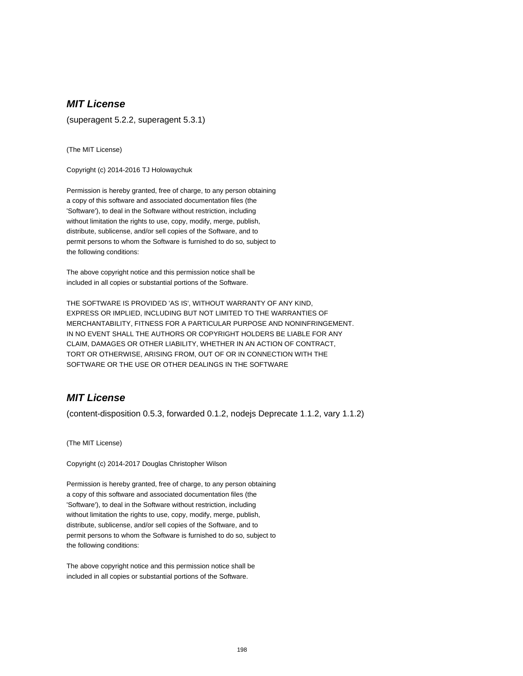# **MIT License**

(superagent 5.2.2, superagent 5.3.1)

(The MIT License)

Copyright (c) 2014-2016 TJ Holowaychuk

Permission is hereby granted, free of charge, to any person obtaining a copy of this software and associated documentation files (the 'Software'), to deal in the Software without restriction, including without limitation the rights to use, copy, modify, merge, publish, distribute, sublicense, and/or sell copies of the Software, and to permit persons to whom the Software is furnished to do so, subject to the following conditions:

The above copyright notice and this permission notice shall be included in all copies or substantial portions of the Software.

THE SOFTWARE IS PROVIDED 'AS IS', WITHOUT WARRANTY OF ANY KIND, EXPRESS OR IMPLIED, INCLUDING BUT NOT LIMITED TO THE WARRANTIES OF MERCHANTABILITY, FITNESS FOR A PARTICULAR PURPOSE AND NONINFRINGEMENT. IN NO EVENT SHALL THE AUTHORS OR COPYRIGHT HOLDERS BE LIABLE FOR ANY CLAIM, DAMAGES OR OTHER LIABILITY, WHETHER IN AN ACTION OF CONTRACT, TORT OR OTHERWISE, ARISING FROM, OUT OF OR IN CONNECTION WITH THE SOFTWARE OR THE USE OR OTHER DEALINGS IN THE SOFTWARE

### **MIT License**

(content-disposition 0.5.3, forwarded 0.1.2, nodejs Deprecate 1.1.2, vary 1.1.2)

(The MIT License)

Copyright (c) 2014-2017 Douglas Christopher Wilson

Permission is hereby granted, free of charge, to any person obtaining a copy of this software and associated documentation files (the 'Software'), to deal in the Software without restriction, including without limitation the rights to use, copy, modify, merge, publish, distribute, sublicense, and/or sell copies of the Software, and to permit persons to whom the Software is furnished to do so, subject to the following conditions:

The above copyright notice and this permission notice shall be included in all copies or substantial portions of the Software.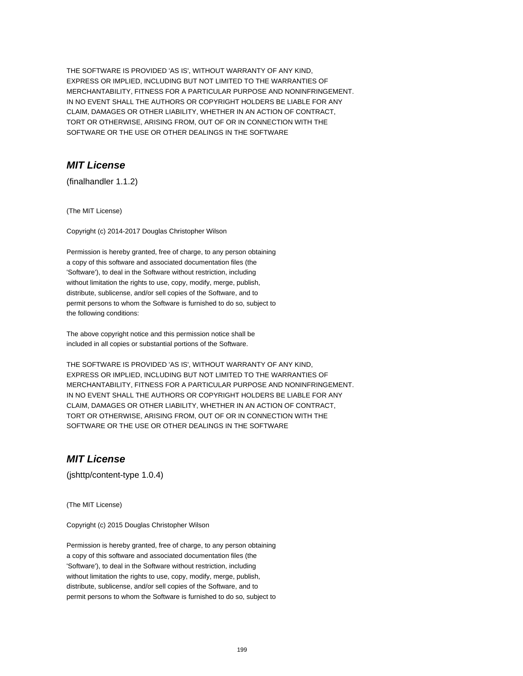THE SOFTWARE IS PROVIDED 'AS IS', WITHOUT WARRANTY OF ANY KIND, EXPRESS OR IMPLIED, INCLUDING BUT NOT LIMITED TO THE WARRANTIES OF MERCHANTABILITY, FITNESS FOR A PARTICULAR PURPOSE AND NONINFRINGEMENT. IN NO EVENT SHALL THE AUTHORS OR COPYRIGHT HOLDERS BE LIABLE FOR ANY CLAIM, DAMAGES OR OTHER LIABILITY, WHETHER IN AN ACTION OF CONTRACT, TORT OR OTHERWISE, ARISING FROM, OUT OF OR IN CONNECTION WITH THE SOFTWARE OR THE USE OR OTHER DEALINGS IN THE SOFTWARE

# **MIT License**

(finalhandler 1.1.2)

(The MIT License)

Copyright (c) 2014-2017 Douglas Christopher Wilson

Permission is hereby granted, free of charge, to any person obtaining a copy of this software and associated documentation files (the 'Software'), to deal in the Software without restriction, including without limitation the rights to use, copy, modify, merge, publish, distribute, sublicense, and/or sell copies of the Software, and to permit persons to whom the Software is furnished to do so, subject to the following conditions:

The above copyright notice and this permission notice shall be included in all copies or substantial portions of the Software.

THE SOFTWARE IS PROVIDED 'AS IS', WITHOUT WARRANTY OF ANY KIND, EXPRESS OR IMPLIED, INCLUDING BUT NOT LIMITED TO THE WARRANTIES OF MERCHANTABILITY, FITNESS FOR A PARTICULAR PURPOSE AND NONINFRINGEMENT. IN NO EVENT SHALL THE AUTHORS OR COPYRIGHT HOLDERS BE LIABLE FOR ANY CLAIM, DAMAGES OR OTHER LIABILITY, WHETHER IN AN ACTION OF CONTRACT, TORT OR OTHERWISE, ARISING FROM, OUT OF OR IN CONNECTION WITH THE SOFTWARE OR THE USE OR OTHER DEALINGS IN THE SOFTWARE

### **MIT License**

(jshttp/content-type 1.0.4)

(The MIT License)

Copyright (c) 2015 Douglas Christopher Wilson

Permission is hereby granted, free of charge, to any person obtaining a copy of this software and associated documentation files (the 'Software'), to deal in the Software without restriction, including without limitation the rights to use, copy, modify, merge, publish, distribute, sublicense, and/or sell copies of the Software, and to permit persons to whom the Software is furnished to do so, subject to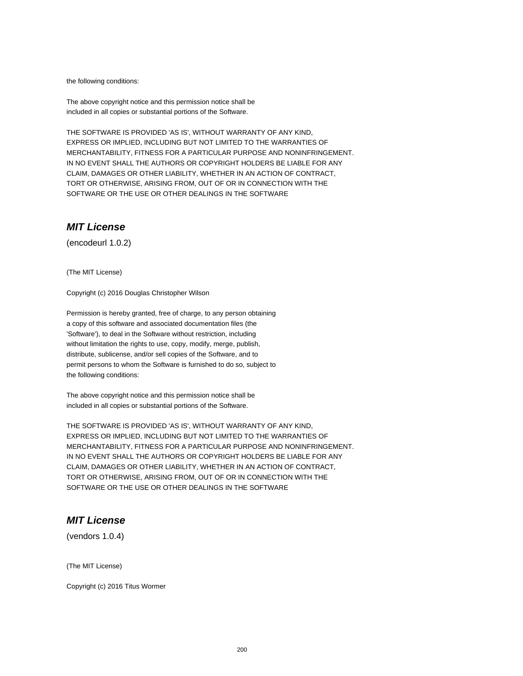the following conditions:

The above copyright notice and this permission notice shall be included in all copies or substantial portions of the Software.

THE SOFTWARE IS PROVIDED 'AS IS', WITHOUT WARRANTY OF ANY KIND, EXPRESS OR IMPLIED, INCLUDING BUT NOT LIMITED TO THE WARRANTIES OF MERCHANTABILITY, FITNESS FOR A PARTICULAR PURPOSE AND NONINFRINGEMENT. IN NO EVENT SHALL THE AUTHORS OR COPYRIGHT HOLDERS BE LIABLE FOR ANY CLAIM, DAMAGES OR OTHER LIABILITY, WHETHER IN AN ACTION OF CONTRACT, TORT OR OTHERWISE, ARISING FROM, OUT OF OR IN CONNECTION WITH THE SOFTWARE OR THE USE OR OTHER DEALINGS IN THE SOFTWARE

### **MIT License**

(encodeurl 1.0.2)

(The MIT License)

Copyright (c) 2016 Douglas Christopher Wilson

Permission is hereby granted, free of charge, to any person obtaining a copy of this software and associated documentation files (the 'Software'), to deal in the Software without restriction, including without limitation the rights to use, copy, modify, merge, publish, distribute, sublicense, and/or sell copies of the Software, and to permit persons to whom the Software is furnished to do so, subject to the following conditions:

The above copyright notice and this permission notice shall be included in all copies or substantial portions of the Software.

THE SOFTWARE IS PROVIDED 'AS IS', WITHOUT WARRANTY OF ANY KIND, EXPRESS OR IMPLIED, INCLUDING BUT NOT LIMITED TO THE WARRANTIES OF MERCHANTABILITY, FITNESS FOR A PARTICULAR PURPOSE AND NONINFRINGEMENT. IN NO EVENT SHALL THE AUTHORS OR COPYRIGHT HOLDERS BE LIABLE FOR ANY CLAIM, DAMAGES OR OTHER LIABILITY, WHETHER IN AN ACTION OF CONTRACT, TORT OR OTHERWISE, ARISING FROM, OUT OF OR IN CONNECTION WITH THE SOFTWARE OR THE USE OR OTHER DEALINGS IN THE SOFTWARE

### **MIT License**

(vendors 1.0.4)

(The MIT License)

Copyright (c) 2016 Titus Wormer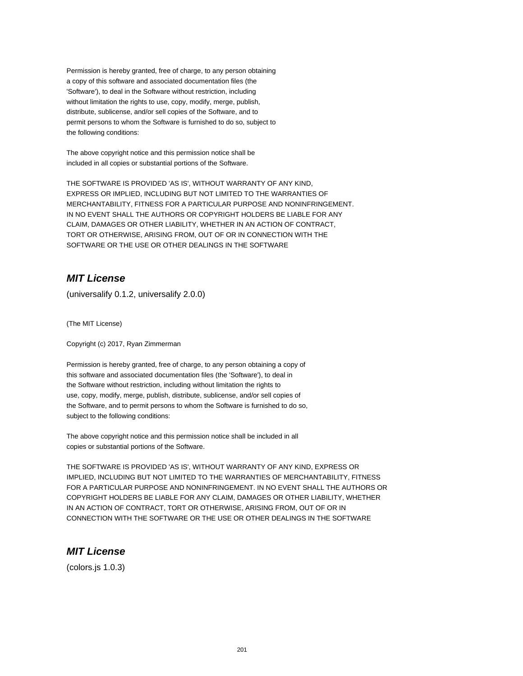Permission is hereby granted, free of charge, to any person obtaining a copy of this software and associated documentation files (the 'Software'), to deal in the Software without restriction, including without limitation the rights to use, copy, modify, merge, publish, distribute, sublicense, and/or sell copies of the Software, and to permit persons to whom the Software is furnished to do so, subject to the following conditions:

The above copyright notice and this permission notice shall be included in all copies or substantial portions of the Software.

THE SOFTWARE IS PROVIDED 'AS IS', WITHOUT WARRANTY OF ANY KIND, EXPRESS OR IMPLIED, INCLUDING BUT NOT LIMITED TO THE WARRANTIES OF MERCHANTABILITY, FITNESS FOR A PARTICULAR PURPOSE AND NONINFRINGEMENT. IN NO EVENT SHALL THE AUTHORS OR COPYRIGHT HOLDERS BE LIABLE FOR ANY CLAIM, DAMAGES OR OTHER LIABILITY, WHETHER IN AN ACTION OF CONTRACT, TORT OR OTHERWISE, ARISING FROM, OUT OF OR IN CONNECTION WITH THE SOFTWARE OR THE USE OR OTHER DEALINGS IN THE SOFTWARE

### **MIT License**

(universalify 0.1.2, universalify 2.0.0)

(The MIT License)

Copyright (c) 2017, Ryan Zimmerman

Permission is hereby granted, free of charge, to any person obtaining a copy of this software and associated documentation files (the 'Software'), to deal in the Software without restriction, including without limitation the rights to use, copy, modify, merge, publish, distribute, sublicense, and/or sell copies of the Software, and to permit persons to whom the Software is furnished to do so, subject to the following conditions:

The above copyright notice and this permission notice shall be included in all copies or substantial portions of the Software.

THE SOFTWARE IS PROVIDED 'AS IS', WITHOUT WARRANTY OF ANY KIND, EXPRESS OR IMPLIED, INCLUDING BUT NOT LIMITED TO THE WARRANTIES OF MERCHANTABILITY, FITNESS FOR A PARTICULAR PURPOSE AND NONINFRINGEMENT. IN NO EVENT SHALL THE AUTHORS OR COPYRIGHT HOLDERS BE LIABLE FOR ANY CLAIM, DAMAGES OR OTHER LIABILITY, WHETHER IN AN ACTION OF CONTRACT, TORT OR OTHERWISE, ARISING FROM, OUT OF OR IN CONNECTION WITH THE SOFTWARE OR THE USE OR OTHER DEALINGS IN THE SOFTWARE

### **MIT License**

(colors.js 1.0.3)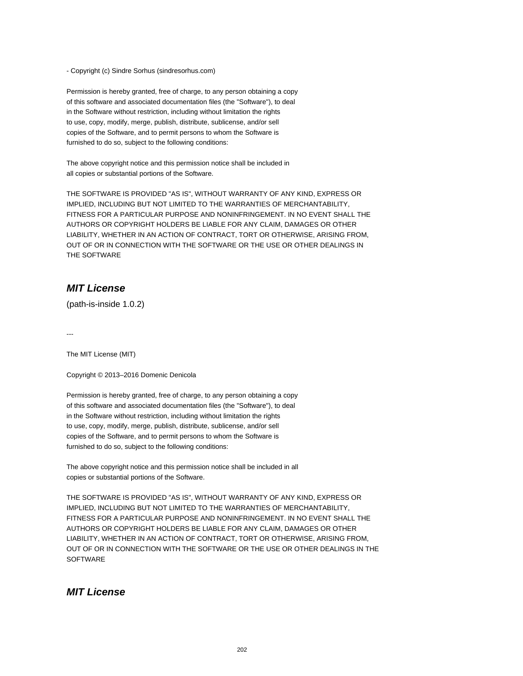- Copyright (c) Sindre Sorhus (sindresorhus.com)

Permission is hereby granted, free of charge, to any person obtaining a copy of this software and associated documentation files (the "Software"), to deal in the Software without restriction, including without limitation the rights to use, copy, modify, merge, publish, distribute, sublicense, and/or sell copies of the Software, and to permit persons to whom the Software is furnished to do so, subject to the following conditions:

The above copyright notice and this permission notice shall be included in all copies or substantial portions of the Software.

THE SOFTWARE IS PROVIDED "AS IS", WITHOUT WARRANTY OF ANY KIND, EXPRESS OR IMPLIED, INCLUDING BUT NOT LIMITED TO THE WARRANTIES OF MERCHANTABILITY, FITNESS FOR A PARTICULAR PURPOSE AND NONINFRINGEMENT. IN NO EVENT SHALL THE AUTHORS OR COPYRIGHT HOLDERS BE LIABLE FOR ANY CLAIM, DAMAGES OR OTHER LIABILITY, WHETHER IN AN ACTION OF CONTRACT, TORT OR OTHERWISE, ARISING FROM, OUT OF OR IN CONNECTION WITH THE SOFTWARE OR THE USE OR OTHER DEALINGS IN THE SOFTWARE

### **MIT License**

(path-is-inside 1.0.2)

---

The MIT License (MIT)

Copyright © 2013–2016 Domenic Denicola

Permission is hereby granted, free of charge, to any person obtaining a copy of this software and associated documentation files (the "Software"), to deal in the Software without restriction, including without limitation the rights to use, copy, modify, merge, publish, distribute, sublicense, and/or sell copies of the Software, and to permit persons to whom the Software is furnished to do so, subject to the following conditions:

The above copyright notice and this permission notice shall be included in all copies or substantial portions of the Software.

THE SOFTWARE IS PROVIDED "AS IS", WITHOUT WARRANTY OF ANY KIND, EXPRESS OR IMPLIED, INCLUDING BUT NOT LIMITED TO THE WARRANTIES OF MERCHANTABILITY, FITNESS FOR A PARTICULAR PURPOSE AND NONINFRINGEMENT. IN NO EVENT SHALL THE AUTHORS OR COPYRIGHT HOLDERS BE LIABLE FOR ANY CLAIM, DAMAGES OR OTHER LIABILITY, WHETHER IN AN ACTION OF CONTRACT, TORT OR OTHERWISE, ARISING FROM, OUT OF OR IN CONNECTION WITH THE SOFTWARE OR THE USE OR OTHER DEALINGS IN THE **SOFTWARE** 

### **MIT License**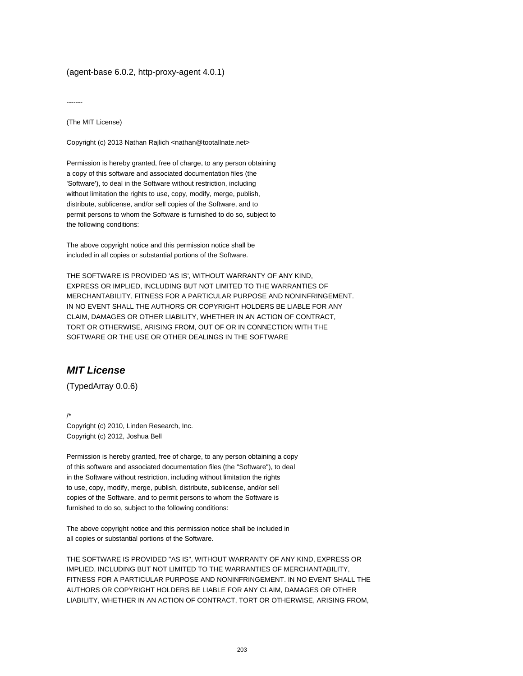#### (agent-base 6.0.2, http-proxy-agent 4.0.1)

-------

(The MIT License)

Copyright (c) 2013 Nathan Rajlich <nathan@tootallnate.net>

Permission is hereby granted, free of charge, to any person obtaining a copy of this software and associated documentation files (the 'Software'), to deal in the Software without restriction, including without limitation the rights to use, copy, modify, merge, publish, distribute, sublicense, and/or sell copies of the Software, and to permit persons to whom the Software is furnished to do so, subject to the following conditions:

The above copyright notice and this permission notice shall be included in all copies or substantial portions of the Software.

THE SOFTWARE IS PROVIDED 'AS IS', WITHOUT WARRANTY OF ANY KIND, EXPRESS OR IMPLIED, INCLUDING BUT NOT LIMITED TO THE WARRANTIES OF MERCHANTABILITY, FITNESS FOR A PARTICULAR PURPOSE AND NONINFRINGEMENT. IN NO EVENT SHALL THE AUTHORS OR COPYRIGHT HOLDERS BE LIABLE FOR ANY CLAIM, DAMAGES OR OTHER LIABILITY, WHETHER IN AN ACTION OF CONTRACT, TORT OR OTHERWISE, ARISING FROM, OUT OF OR IN CONNECTION WITH THE SOFTWARE OR THE USE OR OTHER DEALINGS IN THE SOFTWARE

# **MIT License**

(TypedArray 0.0.6)

/\* Copyright (c) 2010, Linden Research, Inc. Copyright (c) 2012, Joshua Bell

Permission is hereby granted, free of charge, to any person obtaining a copy of this software and associated documentation files (the "Software"), to deal in the Software without restriction, including without limitation the rights to use, copy, modify, merge, publish, distribute, sublicense, and/or sell copies of the Software, and to permit persons to whom the Software is furnished to do so, subject to the following conditions:

The above copyright notice and this permission notice shall be included in all copies or substantial portions of the Software.

THE SOFTWARE IS PROVIDED "AS IS", WITHOUT WARRANTY OF ANY KIND, EXPRESS OR IMPLIED, INCLUDING BUT NOT LIMITED TO THE WARRANTIES OF MERCHANTABILITY, FITNESS FOR A PARTICULAR PURPOSE AND NONINFRINGEMENT. IN NO EVENT SHALL THE AUTHORS OR COPYRIGHT HOLDERS BE LIABLE FOR ANY CLAIM, DAMAGES OR OTHER LIABILITY, WHETHER IN AN ACTION OF CONTRACT, TORT OR OTHERWISE, ARISING FROM,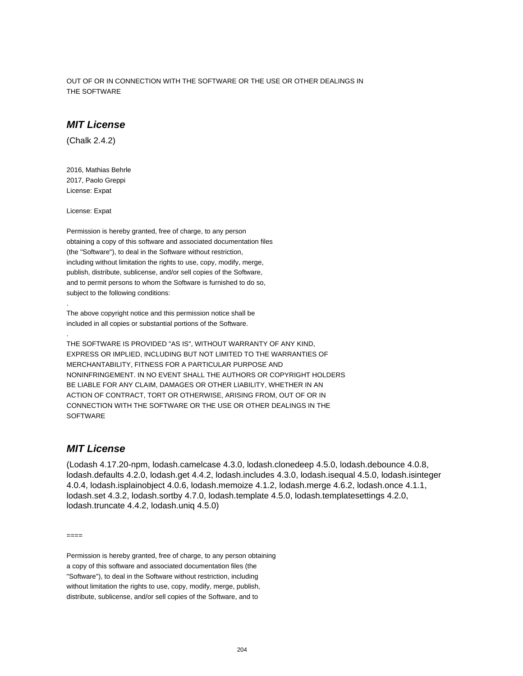OUT OF OR IN CONNECTION WITH THE SOFTWARE OR THE USE OR OTHER DEALINGS IN THE SOFTWARE

#### **MIT License**

(Chalk 2.4.2)

2016, Mathias Behrle 2017, Paolo Greppi License: Expat

License: Expat

.

.

Permission is hereby granted, free of charge, to any person obtaining a copy of this software and associated documentation files (the "Software"), to deal in the Software without restriction, including without limitation the rights to use, copy, modify, merge, publish, distribute, sublicense, and/or sell copies of the Software, and to permit persons to whom the Software is furnished to do so, subject to the following conditions:

The above copyright notice and this permission notice shall be included in all copies or substantial portions of the Software.

THE SOFTWARE IS PROVIDED "AS IS", WITHOUT WARRANTY OF ANY KIND, EXPRESS OR IMPLIED, INCLUDING BUT NOT LIMITED TO THE WARRANTIES OF MERCHANTABILITY, FITNESS FOR A PARTICULAR PURPOSE AND NONINFRINGEMENT. IN NO EVENT SHALL THE AUTHORS OR COPYRIGHT HOLDERS BE LIABLE FOR ANY CLAIM, DAMAGES OR OTHER LIABILITY, WHETHER IN AN ACTION OF CONTRACT, TORT OR OTHERWISE, ARISING FROM, OUT OF OR IN CONNECTION WITH THE SOFTWARE OR THE USE OR OTHER DEALINGS IN THE **SOFTWARE** 

#### **MIT License**

(Lodash 4.17.20-npm, lodash.camelcase 4.3.0, lodash.clonedeep 4.5.0, lodash.debounce 4.0.8, lodash.defaults 4.2.0, lodash.get 4.4.2, lodash.includes 4.3.0, lodash.isequal 4.5.0, lodash.isinteger 4.0.4, lodash.isplainobject 4.0.6, lodash.memoize 4.1.2, lodash.merge 4.6.2, lodash.once 4.1.1, lodash.set 4.3.2, lodash.sortby 4.7.0, lodash.template 4.5.0, lodash.templatesettings 4.2.0, lodash.truncate 4.4.2, lodash.uniq 4.5.0)

====

Permission is hereby granted, free of charge, to any person obtaining a copy of this software and associated documentation files (the "Software"), to deal in the Software without restriction, including without limitation the rights to use, copy, modify, merge, publish, distribute, sublicense, and/or sell copies of the Software, and to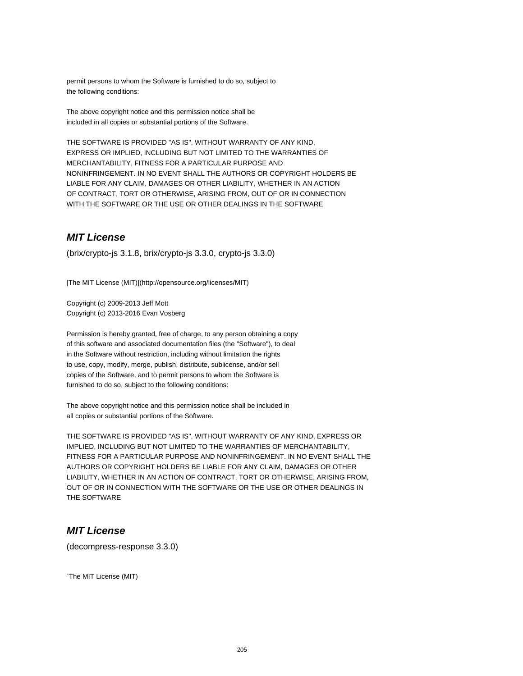permit persons to whom the Software is furnished to do so, subject to the following conditions:

The above copyright notice and this permission notice shall be included in all copies or substantial portions of the Software.

THE SOFTWARE IS PROVIDED "AS IS", WITHOUT WARRANTY OF ANY KIND, EXPRESS OR IMPLIED, INCLUDING BUT NOT LIMITED TO THE WARRANTIES OF MERCHANTABILITY, FITNESS FOR A PARTICULAR PURPOSE AND NONINFRINGEMENT. IN NO EVENT SHALL THE AUTHORS OR COPYRIGHT HOLDERS BE LIABLE FOR ANY CLAIM, DAMAGES OR OTHER LIABILITY, WHETHER IN AN ACTION OF CONTRACT, TORT OR OTHERWISE, ARISING FROM, OUT OF OR IN CONNECTION WITH THE SOFTWARE OR THE USE OR OTHER DEALINGS IN THE SOFTWARE

### **MIT License**

(brix/crypto-js 3.1.8, brix/crypto-js 3.3.0, crypto-js 3.3.0)

[The MIT License (MIT)](http://opensource.org/licenses/MIT)

Copyright (c) 2009-2013 Jeff Mott Copyright (c) 2013-2016 Evan Vosberg

Permission is hereby granted, free of charge, to any person obtaining a copy of this software and associated documentation files (the "Software"), to deal in the Software without restriction, including without limitation the rights to use, copy, modify, merge, publish, distribute, sublicense, and/or sell copies of the Software, and to permit persons to whom the Software is furnished to do so, subject to the following conditions:

The above copyright notice and this permission notice shall be included in all copies or substantial portions of the Software.

THE SOFTWARE IS PROVIDED "AS IS", WITHOUT WARRANTY OF ANY KIND, EXPRESS OR IMPLIED, INCLUDING BUT NOT LIMITED TO THE WARRANTIES OF MERCHANTABILITY, FITNESS FOR A PARTICULAR PURPOSE AND NONINFRINGEMENT. IN NO EVENT SHALL THE AUTHORS OR COPYRIGHT HOLDERS BE LIABLE FOR ANY CLAIM, DAMAGES OR OTHER LIABILITY, WHETHER IN AN ACTION OF CONTRACT, TORT OR OTHERWISE, ARISING FROM, OUT OF OR IN CONNECTION WITH THE SOFTWARE OR THE USE OR OTHER DEALINGS IN THE SOFTWARE

### **MIT License**

(decompress-response 3.3.0)

`The MIT License (MIT)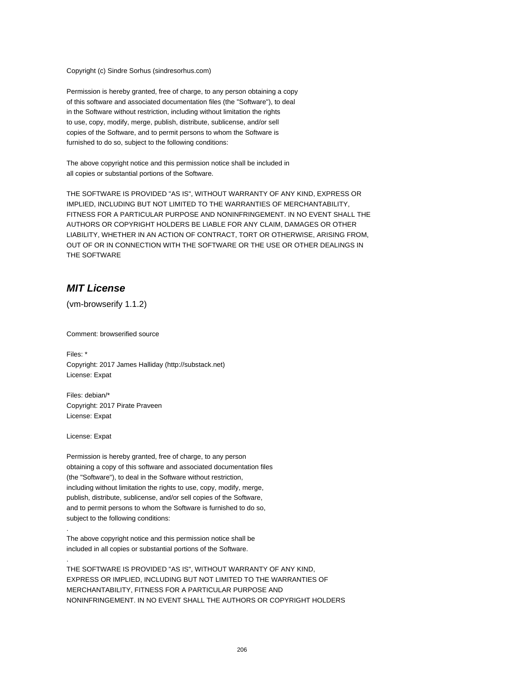Copyright (c) Sindre Sorhus (sindresorhus.com)

Permission is hereby granted, free of charge, to any person obtaining a copy of this software and associated documentation files (the "Software"), to deal in the Software without restriction, including without limitation the rights to use, copy, modify, merge, publish, distribute, sublicense, and/or sell copies of the Software, and to permit persons to whom the Software is furnished to do so, subject to the following conditions:

The above copyright notice and this permission notice shall be included in all copies or substantial portions of the Software.

THE SOFTWARE IS PROVIDED "AS IS", WITHOUT WARRANTY OF ANY KIND, EXPRESS OR IMPLIED, INCLUDING BUT NOT LIMITED TO THE WARRANTIES OF MERCHANTABILITY, FITNESS FOR A PARTICULAR PURPOSE AND NONINFRINGEMENT. IN NO EVENT SHALL THE AUTHORS OR COPYRIGHT HOLDERS BE LIABLE FOR ANY CLAIM, DAMAGES OR OTHER LIABILITY, WHETHER IN AN ACTION OF CONTRACT, TORT OR OTHERWISE, ARISING FROM, OUT OF OR IN CONNECTION WITH THE SOFTWARE OR THE USE OR OTHER DEALINGS IN THE SOFTWARE

### **MIT License**

(vm-browserify 1.1.2)

Comment: browserified source

Files: \* Copyright: 2017 James Halliday (http://substack.net) License: Expat

Files: debian/\* Copyright: 2017 Pirate Praveen License: Expat

License: Expat

.

.

Permission is hereby granted, free of charge, to any person obtaining a copy of this software and associated documentation files (the "Software"), to deal in the Software without restriction, including without limitation the rights to use, copy, modify, merge, publish, distribute, sublicense, and/or sell copies of the Software, and to permit persons to whom the Software is furnished to do so, subject to the following conditions:

The above copyright notice and this permission notice shall be included in all copies or substantial portions of the Software.

THE SOFTWARE IS PROVIDED "AS IS", WITHOUT WARRANTY OF ANY KIND, EXPRESS OR IMPLIED, INCLUDING BUT NOT LIMITED TO THE WARRANTIES OF MERCHANTABILITY, FITNESS FOR A PARTICULAR PURPOSE AND NONINFRINGEMENT. IN NO EVENT SHALL THE AUTHORS OR COPYRIGHT HOLDERS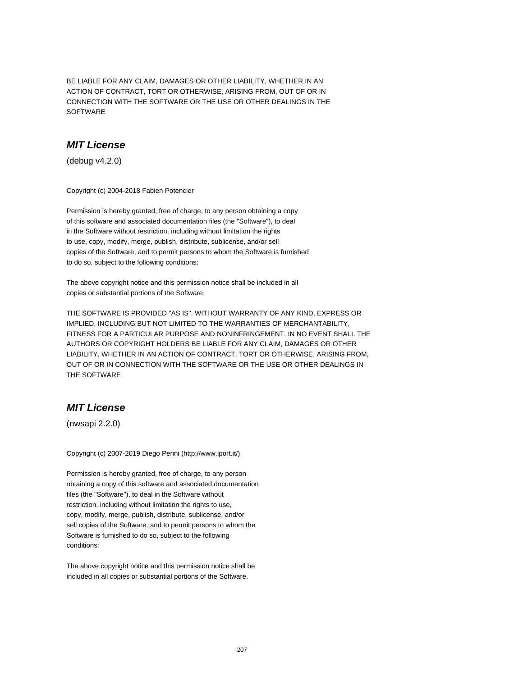BE LIABLE FOR ANY CLAIM, DAMAGES OR OTHER LIABILITY, WHETHER IN AN ACTION OF CONTRACT, TORT OR OTHERWISE, ARISING FROM, OUT OF OR IN CONNECTION WITH THE SOFTWARE OR THE USE OR OTHER DEALINGS IN THE SOFTWARE

### **MIT License**

(debug v4.2.0)

Copyright (c) 2004-2018 Fabien Potencier

Permission is hereby granted, free of charge, to any person obtaining a copy of this software and associated documentation files (the "Software"), to deal in the Software without restriction, including without limitation the rights to use, copy, modify, merge, publish, distribute, sublicense, and/or sell copies of the Software, and to permit persons to whom the Software is furnished to do so, subject to the following conditions:

The above copyright notice and this permission notice shall be included in all copies or substantial portions of the Software.

THE SOFTWARE IS PROVIDED "AS IS", WITHOUT WARRANTY OF ANY KIND, EXPRESS OR IMPLIED, INCLUDING BUT NOT LIMITED TO THE WARRANTIES OF MERCHANTABILITY, FITNESS FOR A PARTICULAR PURPOSE AND NONINFRINGEMENT. IN NO EVENT SHALL THE AUTHORS OR COPYRIGHT HOLDERS BE LIABLE FOR ANY CLAIM, DAMAGES OR OTHER LIABILITY, WHETHER IN AN ACTION OF CONTRACT, TORT OR OTHERWISE, ARISING FROM, OUT OF OR IN CONNECTION WITH THE SOFTWARE OR THE USE OR OTHER DEALINGS IN THE SOFTWARE

### **MIT License**

(nwsapi 2.2.0)

Copyright (c) 2007-2019 Diego Perini (http://www.iport.it/)

Permission is hereby granted, free of charge, to any person obtaining a copy of this software and associated documentation files (the "Software"), to deal in the Software without restriction, including without limitation the rights to use, copy, modify, merge, publish, distribute, sublicense, and/or sell copies of the Software, and to permit persons to whom the Software is furnished to do so, subject to the following conditions:

The above copyright notice and this permission notice shall be included in all copies or substantial portions of the Software.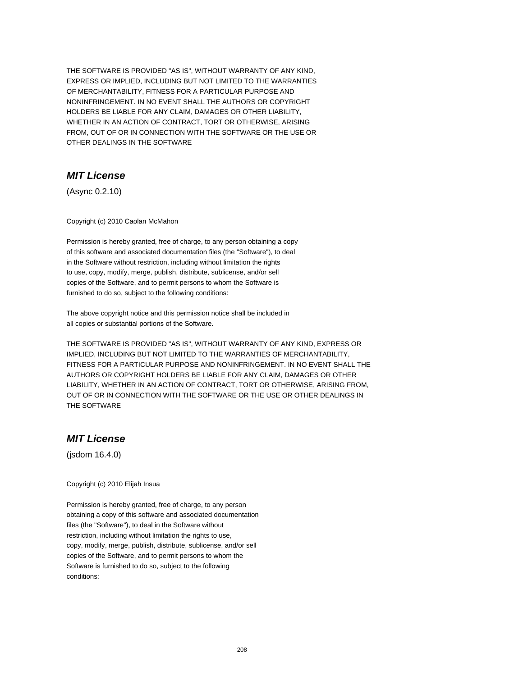THE SOFTWARE IS PROVIDED "AS IS", WITHOUT WARRANTY OF ANY KIND, EXPRESS OR IMPLIED, INCLUDING BUT NOT LIMITED TO THE WARRANTIES OF MERCHANTABILITY, FITNESS FOR A PARTICULAR PURPOSE AND NONINFRINGEMENT. IN NO EVENT SHALL THE AUTHORS OR COPYRIGHT HOLDERS BE LIABLE FOR ANY CLAIM, DAMAGES OR OTHER LIABILITY, WHETHER IN AN ACTION OF CONTRACT, TORT OR OTHERWISE, ARISING FROM, OUT OF OR IN CONNECTION WITH THE SOFTWARE OR THE USE OR OTHER DEALINGS IN THE SOFTWARE

# **MIT License**

(Async 0.2.10)

Copyright (c) 2010 Caolan McMahon

Permission is hereby granted, free of charge, to any person obtaining a copy of this software and associated documentation files (the "Software"), to deal in the Software without restriction, including without limitation the rights to use, copy, modify, merge, publish, distribute, sublicense, and/or sell copies of the Software, and to permit persons to whom the Software is furnished to do so, subject to the following conditions:

The above copyright notice and this permission notice shall be included in all copies or substantial portions of the Software.

THE SOFTWARE IS PROVIDED "AS IS", WITHOUT WARRANTY OF ANY KIND, EXPRESS OR IMPLIED, INCLUDING BUT NOT LIMITED TO THE WARRANTIES OF MERCHANTABILITY, FITNESS FOR A PARTICULAR PURPOSE AND NONINFRINGEMENT. IN NO EVENT SHALL THE AUTHORS OR COPYRIGHT HOLDERS BE LIABLE FOR ANY CLAIM, DAMAGES OR OTHER LIABILITY, WHETHER IN AN ACTION OF CONTRACT, TORT OR OTHERWISE, ARISING FROM, OUT OF OR IN CONNECTION WITH THE SOFTWARE OR THE USE OR OTHER DEALINGS IN THE SOFTWARE

#### **MIT License**

(jsdom 16.4.0)

Copyright (c) 2010 Elijah Insua

Permission is hereby granted, free of charge, to any person obtaining a copy of this software and associated documentation files (the "Software"), to deal in the Software without restriction, including without limitation the rights to use, copy, modify, merge, publish, distribute, sublicense, and/or sell copies of the Software, and to permit persons to whom the Software is furnished to do so, subject to the following conditions: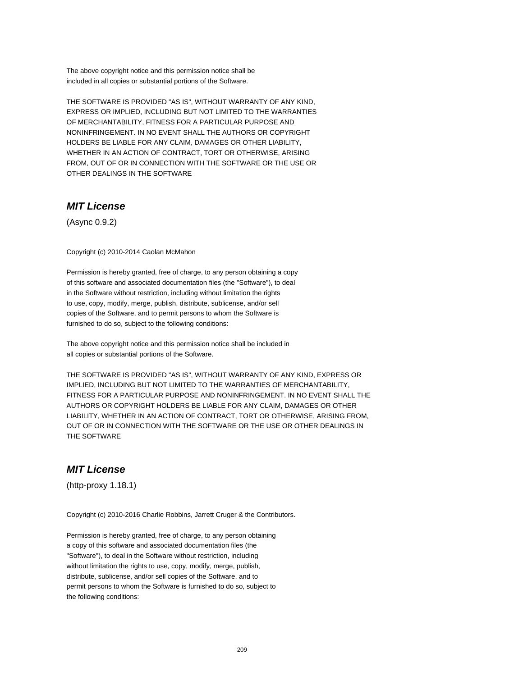The above copyright notice and this permission notice shall be included in all copies or substantial portions of the Software.

THE SOFTWARE IS PROVIDED "AS IS", WITHOUT WARRANTY OF ANY KIND, EXPRESS OR IMPLIED, INCLUDING BUT NOT LIMITED TO THE WARRANTIES OF MERCHANTABILITY, FITNESS FOR A PARTICULAR PURPOSE AND NONINFRINGEMENT. IN NO EVENT SHALL THE AUTHORS OR COPYRIGHT HOLDERS BE LIABLE FOR ANY CLAIM, DAMAGES OR OTHER LIABILITY, WHETHER IN AN ACTION OF CONTRACT, TORT OR OTHERWISE, ARISING FROM, OUT OF OR IN CONNECTION WITH THE SOFTWARE OR THE USE OR OTHER DEALINGS IN THE SOFTWARE

### **MIT License**

(Async 0.9.2)

Copyright (c) 2010-2014 Caolan McMahon

Permission is hereby granted, free of charge, to any person obtaining a copy of this software and associated documentation files (the "Software"), to deal in the Software without restriction, including without limitation the rights to use, copy, modify, merge, publish, distribute, sublicense, and/or sell copies of the Software, and to permit persons to whom the Software is furnished to do so, subject to the following conditions:

The above copyright notice and this permission notice shall be included in all copies or substantial portions of the Software.

THE SOFTWARE IS PROVIDED "AS IS", WITHOUT WARRANTY OF ANY KIND, EXPRESS OR IMPLIED, INCLUDING BUT NOT LIMITED TO THE WARRANTIES OF MERCHANTABILITY, FITNESS FOR A PARTICULAR PURPOSE AND NONINFRINGEMENT. IN NO EVENT SHALL THE AUTHORS OR COPYRIGHT HOLDERS BE LIABLE FOR ANY CLAIM, DAMAGES OR OTHER LIABILITY, WHETHER IN AN ACTION OF CONTRACT, TORT OR OTHERWISE, ARISING FROM, OUT OF OR IN CONNECTION WITH THE SOFTWARE OR THE USE OR OTHER DEALINGS IN THE SOFTWARE

### **MIT License**

(http-proxy 1.18.1)

Copyright (c) 2010-2016 Charlie Robbins, Jarrett Cruger & the Contributors.

Permission is hereby granted, free of charge, to any person obtaining a copy of this software and associated documentation files (the "Software"), to deal in the Software without restriction, including without limitation the rights to use, copy, modify, merge, publish, distribute, sublicense, and/or sell copies of the Software, and to permit persons to whom the Software is furnished to do so, subject to the following conditions: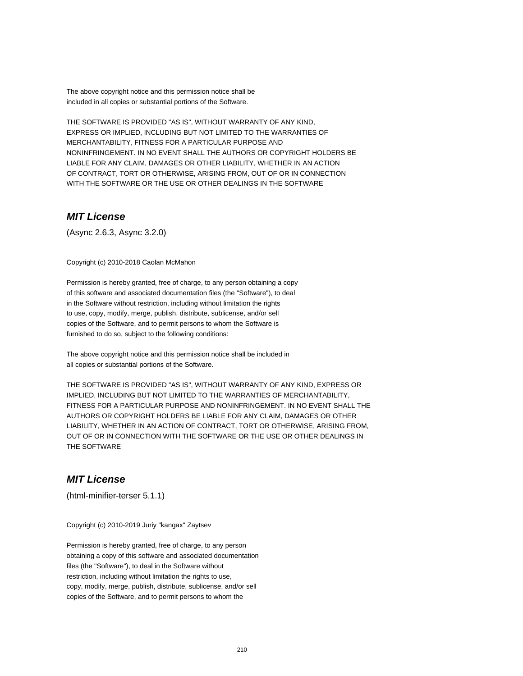The above copyright notice and this permission notice shall be included in all copies or substantial portions of the Software.

THE SOFTWARE IS PROVIDED "AS IS", WITHOUT WARRANTY OF ANY KIND, EXPRESS OR IMPLIED, INCLUDING BUT NOT LIMITED TO THE WARRANTIES OF MERCHANTABILITY, FITNESS FOR A PARTICULAR PURPOSE AND NONINFRINGEMENT. IN NO EVENT SHALL THE AUTHORS OR COPYRIGHT HOLDERS BE LIABLE FOR ANY CLAIM, DAMAGES OR OTHER LIABILITY, WHETHER IN AN ACTION OF CONTRACT, TORT OR OTHERWISE, ARISING FROM, OUT OF OR IN CONNECTION WITH THE SOFTWARE OR THE USE OR OTHER DEALINGS IN THE SOFTWARE

### **MIT License**

(Async 2.6.3, Async 3.2.0)

Copyright (c) 2010-2018 Caolan McMahon

Permission is hereby granted, free of charge, to any person obtaining a copy of this software and associated documentation files (the "Software"), to deal in the Software without restriction, including without limitation the rights to use, copy, modify, merge, publish, distribute, sublicense, and/or sell copies of the Software, and to permit persons to whom the Software is furnished to do so, subject to the following conditions:

The above copyright notice and this permission notice shall be included in all copies or substantial portions of the Software.

THE SOFTWARE IS PROVIDED "AS IS", WITHOUT WARRANTY OF ANY KIND, EXPRESS OR IMPLIED, INCLUDING BUT NOT LIMITED TO THE WARRANTIES OF MERCHANTABILITY, FITNESS FOR A PARTICULAR PURPOSE AND NONINFRINGEMENT. IN NO EVENT SHALL THE AUTHORS OR COPYRIGHT HOLDERS BE LIABLE FOR ANY CLAIM, DAMAGES OR OTHER LIABILITY, WHETHER IN AN ACTION OF CONTRACT, TORT OR OTHERWISE, ARISING FROM, OUT OF OR IN CONNECTION WITH THE SOFTWARE OR THE USE OR OTHER DEALINGS IN THE SOFTWARE

### **MIT License**

(html-minifier-terser 5.1.1)

Copyright (c) 2010-2019 Juriy "kangax" Zaytsev

Permission is hereby granted, free of charge, to any person obtaining a copy of this software and associated documentation files (the "Software"), to deal in the Software without restriction, including without limitation the rights to use, copy, modify, merge, publish, distribute, sublicense, and/or sell copies of the Software, and to permit persons to whom the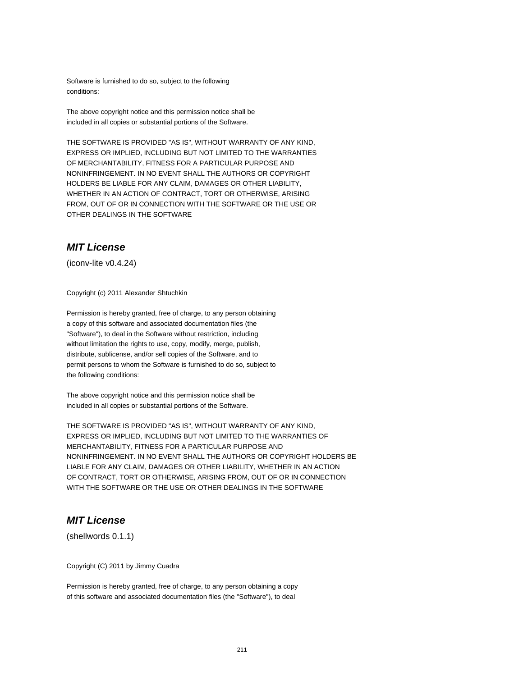Software is furnished to do so, subject to the following conditions:

The above copyright notice and this permission notice shall be included in all copies or substantial portions of the Software.

THE SOFTWARE IS PROVIDED "AS IS", WITHOUT WARRANTY OF ANY KIND, EXPRESS OR IMPLIED, INCLUDING BUT NOT LIMITED TO THE WARRANTIES OF MERCHANTABILITY, FITNESS FOR A PARTICULAR PURPOSE AND NONINFRINGEMENT. IN NO EVENT SHALL THE AUTHORS OR COPYRIGHT HOLDERS BE LIABLE FOR ANY CLAIM, DAMAGES OR OTHER LIABILITY, WHETHER IN AN ACTION OF CONTRACT, TORT OR OTHERWISE, ARISING FROM, OUT OF OR IN CONNECTION WITH THE SOFTWARE OR THE USE OR OTHER DEALINGS IN THE SOFTWARE

#### **MIT License**

(iconv-lite v0.4.24)

Copyright (c) 2011 Alexander Shtuchkin

Permission is hereby granted, free of charge, to any person obtaining a copy of this software and associated documentation files (the "Software"), to deal in the Software without restriction, including without limitation the rights to use, copy, modify, merge, publish, distribute, sublicense, and/or sell copies of the Software, and to permit persons to whom the Software is furnished to do so, subject to the following conditions:

The above copyright notice and this permission notice shall be included in all copies or substantial portions of the Software.

THE SOFTWARE IS PROVIDED "AS IS", WITHOUT WARRANTY OF ANY KIND, EXPRESS OR IMPLIED, INCLUDING BUT NOT LIMITED TO THE WARRANTIES OF MERCHANTABILITY, FITNESS FOR A PARTICULAR PURPOSE AND NONINFRINGEMENT. IN NO EVENT SHALL THE AUTHORS OR COPYRIGHT HOLDERS BE LIABLE FOR ANY CLAIM, DAMAGES OR OTHER LIABILITY, WHETHER IN AN ACTION OF CONTRACT, TORT OR OTHERWISE, ARISING FROM, OUT OF OR IN CONNECTION WITH THE SOFTWARE OR THE USE OR OTHER DEALINGS IN THE SOFTWARE

### **MIT License**

(shellwords 0.1.1)

Copyright (C) 2011 by Jimmy Cuadra

Permission is hereby granted, free of charge, to any person obtaining a copy of this software and associated documentation files (the "Software"), to deal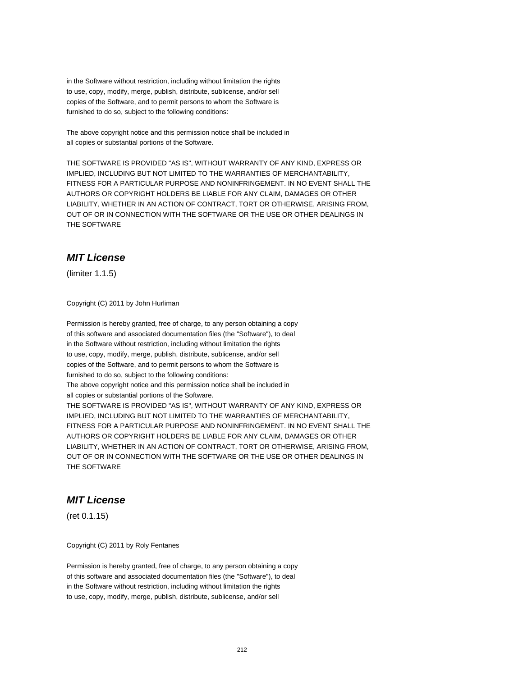in the Software without restriction, including without limitation the rights to use, copy, modify, merge, publish, distribute, sublicense, and/or sell copies of the Software, and to permit persons to whom the Software is furnished to do so, subject to the following conditions:

The above copyright notice and this permission notice shall be included in all copies or substantial portions of the Software.

THE SOFTWARE IS PROVIDED "AS IS", WITHOUT WARRANTY OF ANY KIND, EXPRESS OR IMPLIED, INCLUDING BUT NOT LIMITED TO THE WARRANTIES OF MERCHANTABILITY, FITNESS FOR A PARTICULAR PURPOSE AND NONINFRINGEMENT. IN NO EVENT SHALL THE AUTHORS OR COPYRIGHT HOLDERS BE LIABLE FOR ANY CLAIM, DAMAGES OR OTHER LIABILITY, WHETHER IN AN ACTION OF CONTRACT, TORT OR OTHERWISE, ARISING FROM, OUT OF OR IN CONNECTION WITH THE SOFTWARE OR THE USE OR OTHER DEALINGS IN THE SOFTWARE

# **MIT License**

(limiter 1.1.5)

Copyright (C) 2011 by John Hurliman

Permission is hereby granted, free of charge, to any person obtaining a copy of this software and associated documentation files (the "Software"), to deal in the Software without restriction, including without limitation the rights to use, copy, modify, merge, publish, distribute, sublicense, and/or sell copies of the Software, and to permit persons to whom the Software is furnished to do so, subject to the following conditions: The above copyright notice and this permission notice shall be included in all copies or substantial portions of the Software. THE SOFTWARE IS PROVIDED "AS IS", WITHOUT WARRANTY OF ANY KIND, EXPRESS OR IMPLIED, INCLUDING BUT NOT LIMITED TO THE WARRANTIES OF MERCHANTABILITY, FITNESS FOR A PARTICULAR PURPOSE AND NONINFRINGEMENT. IN NO EVENT SHALL THE AUTHORS OR COPYRIGHT HOLDERS BE LIABLE FOR ANY CLAIM, DAMAGES OR OTHER LIABILITY, WHETHER IN AN ACTION OF CONTRACT, TORT OR OTHERWISE, ARISING FROM, OUT OF OR IN CONNECTION WITH THE SOFTWARE OR THE USE OR OTHER DEALINGS IN THE SOFTWARE

### **MIT License**

(ret 0.1.15)

Copyright (C) 2011 by Roly Fentanes

Permission is hereby granted, free of charge, to any person obtaining a copy of this software and associated documentation files (the "Software"), to deal in the Software without restriction, including without limitation the rights to use, copy, modify, merge, publish, distribute, sublicense, and/or sell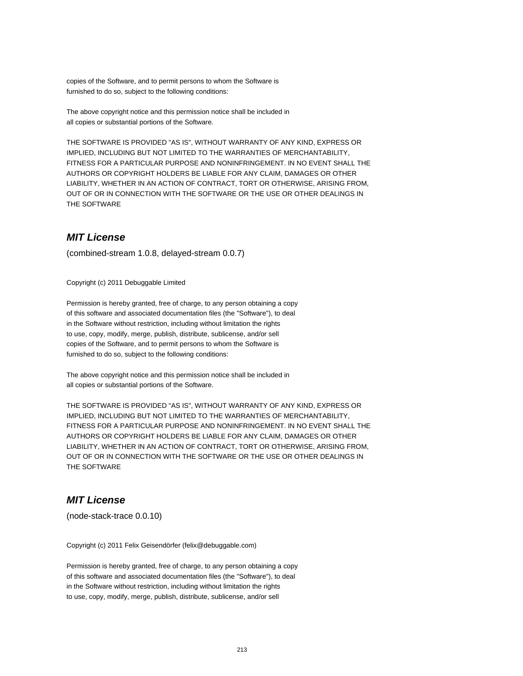copies of the Software, and to permit persons to whom the Software is furnished to do so, subject to the following conditions:

The above copyright notice and this permission notice shall be included in all copies or substantial portions of the Software.

THE SOFTWARE IS PROVIDED "AS IS", WITHOUT WARRANTY OF ANY KIND, EXPRESS OR IMPLIED, INCLUDING BUT NOT LIMITED TO THE WARRANTIES OF MERCHANTABILITY, FITNESS FOR A PARTICULAR PURPOSE AND NONINFRINGEMENT. IN NO EVENT SHALL THE AUTHORS OR COPYRIGHT HOLDERS BE LIABLE FOR ANY CLAIM, DAMAGES OR OTHER LIABILITY, WHETHER IN AN ACTION OF CONTRACT, TORT OR OTHERWISE, ARISING FROM, OUT OF OR IN CONNECTION WITH THE SOFTWARE OR THE USE OR OTHER DEALINGS IN THE SOFTWARE

### **MIT License**

(combined-stream 1.0.8, delayed-stream 0.0.7)

Copyright (c) 2011 Debuggable Limited

Permission is hereby granted, free of charge, to any person obtaining a copy of this software and associated documentation files (the "Software"), to deal in the Software without restriction, including without limitation the rights to use, copy, modify, merge, publish, distribute, sublicense, and/or sell copies of the Software, and to permit persons to whom the Software is furnished to do so, subject to the following conditions:

The above copyright notice and this permission notice shall be included in all copies or substantial portions of the Software.

THE SOFTWARE IS PROVIDED "AS IS", WITHOUT WARRANTY OF ANY KIND, EXPRESS OR IMPLIED, INCLUDING BUT NOT LIMITED TO THE WARRANTIES OF MERCHANTABILITY, FITNESS FOR A PARTICULAR PURPOSE AND NONINFRINGEMENT. IN NO EVENT SHALL THE AUTHORS OR COPYRIGHT HOLDERS BE LIABLE FOR ANY CLAIM, DAMAGES OR OTHER LIABILITY, WHETHER IN AN ACTION OF CONTRACT, TORT OR OTHERWISE, ARISING FROM, OUT OF OR IN CONNECTION WITH THE SOFTWARE OR THE USE OR OTHER DEALINGS IN THE SOFTWARE

### **MIT License**

(node-stack-trace 0.0.10)

Copyright (c) 2011 Felix Geisendörfer (felix@debuggable.com)

Permission is hereby granted, free of charge, to any person obtaining a copy of this software and associated documentation files (the "Software"), to deal in the Software without restriction, including without limitation the rights to use, copy, modify, merge, publish, distribute, sublicense, and/or sell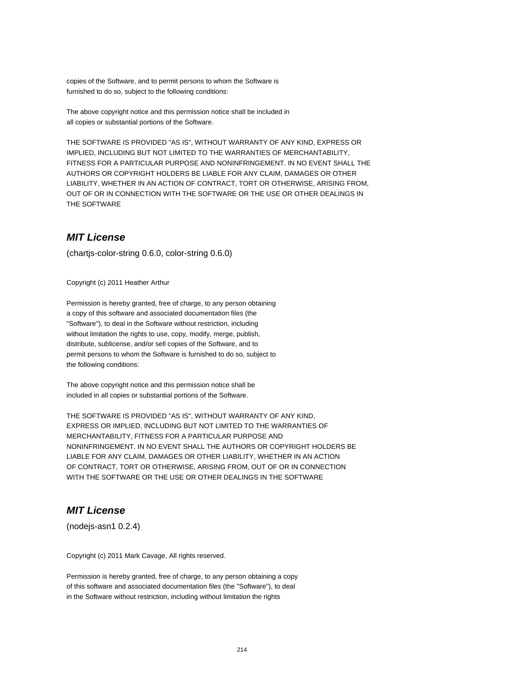copies of the Software, and to permit persons to whom the Software is furnished to do so, subject to the following conditions:

The above copyright notice and this permission notice shall be included in all copies or substantial portions of the Software.

THE SOFTWARE IS PROVIDED "AS IS", WITHOUT WARRANTY OF ANY KIND, EXPRESS OR IMPLIED, INCLUDING BUT NOT LIMITED TO THE WARRANTIES OF MERCHANTABILITY, FITNESS FOR A PARTICULAR PURPOSE AND NONINFRINGEMENT. IN NO EVENT SHALL THE AUTHORS OR COPYRIGHT HOLDERS BE LIABLE FOR ANY CLAIM, DAMAGES OR OTHER LIABILITY, WHETHER IN AN ACTION OF CONTRACT, TORT OR OTHERWISE, ARISING FROM, OUT OF OR IN CONNECTION WITH THE SOFTWARE OR THE USE OR OTHER DEALINGS IN THE SOFTWARE

### **MIT License**

(chartjs-color-string 0.6.0, color-string 0.6.0)

Copyright (c) 2011 Heather Arthur

Permission is hereby granted, free of charge, to any person obtaining a copy of this software and associated documentation files (the "Software"), to deal in the Software without restriction, including without limitation the rights to use, copy, modify, merge, publish, distribute, sublicense, and/or sell copies of the Software, and to permit persons to whom the Software is furnished to do so, subject to the following conditions:

The above copyright notice and this permission notice shall be included in all copies or substantial portions of the Software.

THE SOFTWARE IS PROVIDED "AS IS", WITHOUT WARRANTY OF ANY KIND, EXPRESS OR IMPLIED, INCLUDING BUT NOT LIMITED TO THE WARRANTIES OF MERCHANTABILITY, FITNESS FOR A PARTICULAR PURPOSE AND NONINFRINGEMENT. IN NO EVENT SHALL THE AUTHORS OR COPYRIGHT HOLDERS BE LIABLE FOR ANY CLAIM, DAMAGES OR OTHER LIABILITY, WHETHER IN AN ACTION OF CONTRACT, TORT OR OTHERWISE, ARISING FROM, OUT OF OR IN CONNECTION WITH THE SOFTWARE OR THE USE OR OTHER DEALINGS IN THE SOFTWARE

### **MIT License**

(nodejs-asn1 0.2.4)

Copyright (c) 2011 Mark Cavage, All rights reserved.

Permission is hereby granted, free of charge, to any person obtaining a copy of this software and associated documentation files (the "Software"), to deal in the Software without restriction, including without limitation the rights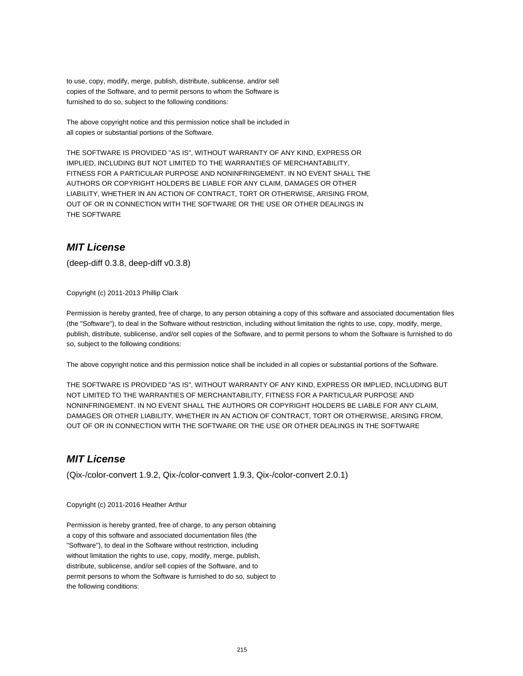to use, copy, modify, merge, publish, distribute, sublicense, and/or sell copies of the Software, and to permit persons to whom the Software is furnished to do so, subject to the following conditions:

The above copyright notice and this permission notice shall be included in all copies or substantial portions of the Software.

THE SOFTWARE IS PROVIDED "AS IS", WITHOUT WARRANTY OF ANY KIND, EXPRESS OR IMPLIED, INCLUDING BUT NOT LIMITED TO THE WARRANTIES OF MERCHANTABILITY, FITNESS FOR A PARTICULAR PURPOSE AND NONINFRINGEMENT. IN NO EVENT SHALL THE AUTHORS OR COPYRIGHT HOLDERS BE LIABLE FOR ANY CLAIM, DAMAGES OR OTHER LIABILITY, WHETHER IN AN ACTION OF CONTRACT, TORT OR OTHERWISE, ARISING FROM, OUT OF OR IN CONNECTION WITH THE SOFTWARE OR THE USE OR OTHER DEALINGS IN THE SOFTWARE

#### **MIT License**

(deep-diff 0.3.8, deep-diff v0.3.8)

Copyright (c) 2011-2013 Phillip Clark

Permission is hereby granted, free of charge, to any person obtaining a copy of this software and associated documentation files (the "Software"), to deal in the Software without restriction, including without limitation the rights to use, copy, modify, merge, publish, distribute, sublicense, and/or sell copies of the Software, and to permit persons to whom the Software is furnished to do so, subject to the following conditions:

The above copyright notice and this permission notice shall be included in all copies or substantial portions of the Software.

THE SOFTWARE IS PROVIDED "AS IS", WITHOUT WARRANTY OF ANY KIND, EXPRESS OR IMPLIED, INCLUDING BUT NOT LIMITED TO THE WARRANTIES OF MERCHANTABILITY, FITNESS FOR A PARTICULAR PURPOSE AND NONINFRINGEMENT. IN NO EVENT SHALL THE AUTHORS OR COPYRIGHT HOLDERS BE LIABLE FOR ANY CLAIM, DAMAGES OR OTHER LIABILITY, WHETHER IN AN ACTION OF CONTRACT, TORT OR OTHERWISE, ARISING FROM, OUT OF OR IN CONNECTION WITH THE SOFTWARE OR THE USE OR OTHER DEALINGS IN THE SOFTWARE

### **MIT License**

(Qix-/color-convert 1.9.2, Qix-/color-convert 1.9.3, Qix-/color-convert 2.0.1)

Copyright (c) 2011-2016 Heather Arthur

Permission is hereby granted, free of charge, to any person obtaining a copy of this software and associated documentation files (the "Software"), to deal in the Software without restriction, including without limitation the rights to use, copy, modify, merge, publish, distribute, sublicense, and/or sell copies of the Software, and to permit persons to whom the Software is furnished to do so, subject to the following conditions: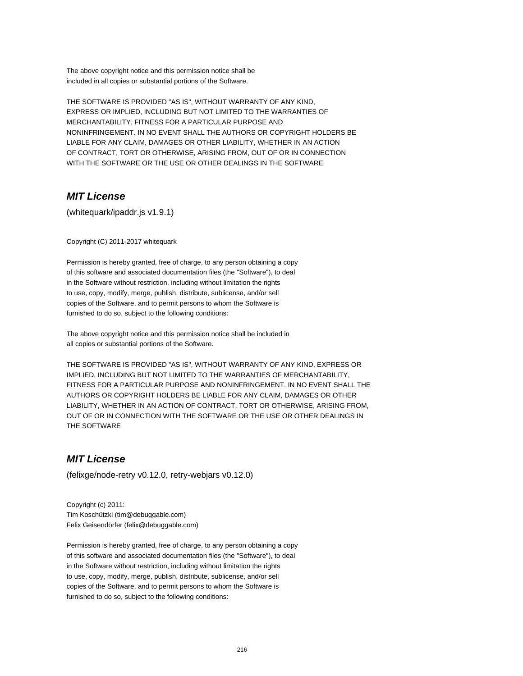The above copyright notice and this permission notice shall be included in all copies or substantial portions of the Software.

THE SOFTWARE IS PROVIDED "AS IS", WITHOUT WARRANTY OF ANY KIND, EXPRESS OR IMPLIED, INCLUDING BUT NOT LIMITED TO THE WARRANTIES OF MERCHANTABILITY, FITNESS FOR A PARTICULAR PURPOSE AND NONINFRINGEMENT. IN NO EVENT SHALL THE AUTHORS OR COPYRIGHT HOLDERS BE LIABLE FOR ANY CLAIM, DAMAGES OR OTHER LIABILITY, WHETHER IN AN ACTION OF CONTRACT, TORT OR OTHERWISE, ARISING FROM, OUT OF OR IN CONNECTION WITH THE SOFTWARE OR THE USE OR OTHER DEALINGS IN THE SOFTWARE

### **MIT License**

(whitequark/ipaddr.js v1.9.1)

Copyright (C) 2011-2017 whitequark

Permission is hereby granted, free of charge, to any person obtaining a copy of this software and associated documentation files (the "Software"), to deal in the Software without restriction, including without limitation the rights to use, copy, modify, merge, publish, distribute, sublicense, and/or sell copies of the Software, and to permit persons to whom the Software is furnished to do so, subject to the following conditions:

The above copyright notice and this permission notice shall be included in all copies or substantial portions of the Software.

THE SOFTWARE IS PROVIDED "AS IS", WITHOUT WARRANTY OF ANY KIND, EXPRESS OR IMPLIED, INCLUDING BUT NOT LIMITED TO THE WARRANTIES OF MERCHANTABILITY, FITNESS FOR A PARTICULAR PURPOSE AND NONINFRINGEMENT. IN NO EVENT SHALL THE AUTHORS OR COPYRIGHT HOLDERS BE LIABLE FOR ANY CLAIM, DAMAGES OR OTHER LIABILITY, WHETHER IN AN ACTION OF CONTRACT, TORT OR OTHERWISE, ARISING FROM, OUT OF OR IN CONNECTION WITH THE SOFTWARE OR THE USE OR OTHER DEALINGS IN THE SOFTWARE

### **MIT License**

(felixge/node-retry v0.12.0, retry-webjars v0.12.0)

Copyright (c) 2011: Tim Koschützki (tim@debuggable.com) Felix Geisendörfer (felix@debuggable.com)

Permission is hereby granted, free of charge, to any person obtaining a copy of this software and associated documentation files (the "Software"), to deal in the Software without restriction, including without limitation the rights to use, copy, modify, merge, publish, distribute, sublicense, and/or sell copies of the Software, and to permit persons to whom the Software is furnished to do so, subject to the following conditions: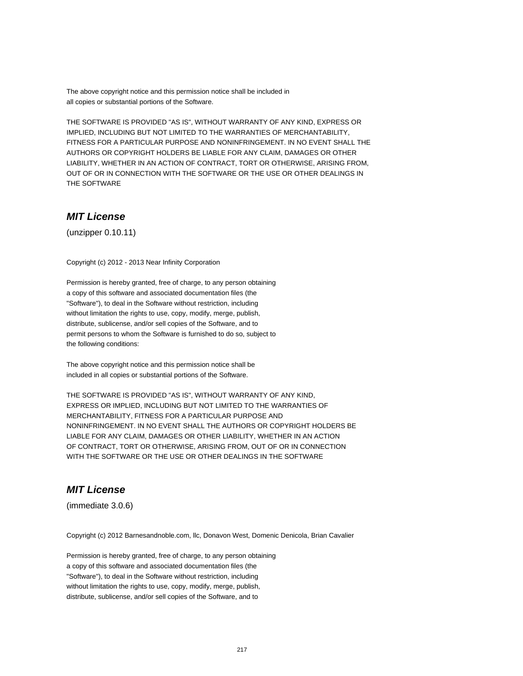The above copyright notice and this permission notice shall be included in all copies or substantial portions of the Software.

THE SOFTWARE IS PROVIDED "AS IS", WITHOUT WARRANTY OF ANY KIND, EXPRESS OR IMPLIED, INCLUDING BUT NOT LIMITED TO THE WARRANTIES OF MERCHANTABILITY, FITNESS FOR A PARTICULAR PURPOSE AND NONINFRINGEMENT. IN NO EVENT SHALL THE AUTHORS OR COPYRIGHT HOLDERS BE LIABLE FOR ANY CLAIM, DAMAGES OR OTHER LIABILITY, WHETHER IN AN ACTION OF CONTRACT, TORT OR OTHERWISE, ARISING FROM, OUT OF OR IN CONNECTION WITH THE SOFTWARE OR THE USE OR OTHER DEALINGS IN THE SOFTWARE

## **MIT License**

(unzipper 0.10.11)

Copyright (c) 2012 - 2013 Near Infinity Corporation

Permission is hereby granted, free of charge, to any person obtaining a copy of this software and associated documentation files (the "Software"), to deal in the Software without restriction, including without limitation the rights to use, copy, modify, merge, publish, distribute, sublicense, and/or sell copies of the Software, and to permit persons to whom the Software is furnished to do so, subject to the following conditions:

The above copyright notice and this permission notice shall be included in all copies or substantial portions of the Software.

THE SOFTWARE IS PROVIDED "AS IS", WITHOUT WARRANTY OF ANY KIND, EXPRESS OR IMPLIED, INCLUDING BUT NOT LIMITED TO THE WARRANTIES OF MERCHANTABILITY, FITNESS FOR A PARTICULAR PURPOSE AND NONINFRINGEMENT. IN NO EVENT SHALL THE AUTHORS OR COPYRIGHT HOLDERS BE LIABLE FOR ANY CLAIM, DAMAGES OR OTHER LIABILITY, WHETHER IN AN ACTION OF CONTRACT, TORT OR OTHERWISE, ARISING FROM, OUT OF OR IN CONNECTION WITH THE SOFTWARE OR THE USE OR OTHER DEALINGS IN THE SOFTWARE

# **MIT License**

(immediate 3.0.6)

Copyright (c) 2012 Barnesandnoble.com, llc, Donavon West, Domenic Denicola, Brian Cavalier

Permission is hereby granted, free of charge, to any person obtaining a copy of this software and associated documentation files (the "Software"), to deal in the Software without restriction, including without limitation the rights to use, copy, modify, merge, publish, distribute, sublicense, and/or sell copies of the Software, and to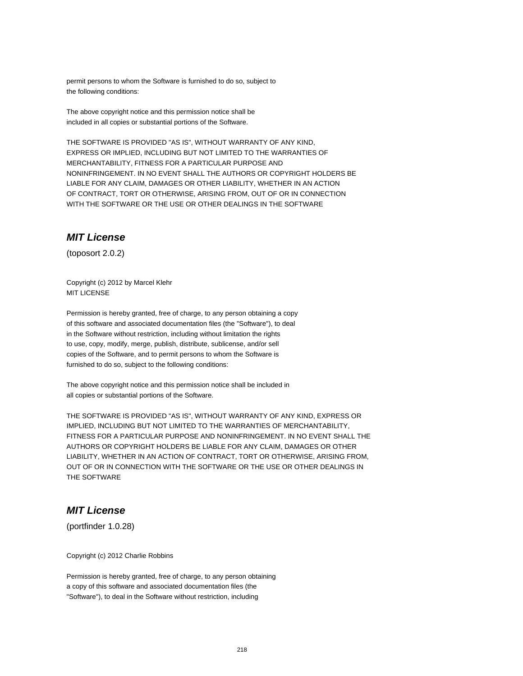permit persons to whom the Software is furnished to do so, subject to the following conditions:

The above copyright notice and this permission notice shall be included in all copies or substantial portions of the Software.

THE SOFTWARE IS PROVIDED "AS IS", WITHOUT WARRANTY OF ANY KIND, EXPRESS OR IMPLIED, INCLUDING BUT NOT LIMITED TO THE WARRANTIES OF MERCHANTABILITY, FITNESS FOR A PARTICULAR PURPOSE AND NONINFRINGEMENT. IN NO EVENT SHALL THE AUTHORS OR COPYRIGHT HOLDERS BE LIABLE FOR ANY CLAIM, DAMAGES OR OTHER LIABILITY, WHETHER IN AN ACTION OF CONTRACT, TORT OR OTHERWISE, ARISING FROM, OUT OF OR IN CONNECTION WITH THE SOFTWARE OR THE USE OR OTHER DEALINGS IN THE SOFTWARE

## **MIT License**

(toposort 2.0.2)

Copyright (c) 2012 by Marcel Klehr MIT LICENSE

Permission is hereby granted, free of charge, to any person obtaining a copy of this software and associated documentation files (the "Software"), to deal in the Software without restriction, including without limitation the rights to use, copy, modify, merge, publish, distribute, sublicense, and/or sell copies of the Software, and to permit persons to whom the Software is furnished to do so, subject to the following conditions:

The above copyright notice and this permission notice shall be included in all copies or substantial portions of the Software.

THE SOFTWARE IS PROVIDED "AS IS", WITHOUT WARRANTY OF ANY KIND, EXPRESS OR IMPLIED, INCLUDING BUT NOT LIMITED TO THE WARRANTIES OF MERCHANTABILITY, FITNESS FOR A PARTICULAR PURPOSE AND NONINFRINGEMENT. IN NO EVENT SHALL THE AUTHORS OR COPYRIGHT HOLDERS BE LIABLE FOR ANY CLAIM, DAMAGES OR OTHER LIABILITY, WHETHER IN AN ACTION OF CONTRACT, TORT OR OTHERWISE, ARISING FROM, OUT OF OR IN CONNECTION WITH THE SOFTWARE OR THE USE OR OTHER DEALINGS IN THE SOFTWARE

# **MIT License**

(portfinder 1.0.28)

Copyright (c) 2012 Charlie Robbins

Permission is hereby granted, free of charge, to any person obtaining a copy of this software and associated documentation files (the "Software"), to deal in the Software without restriction, including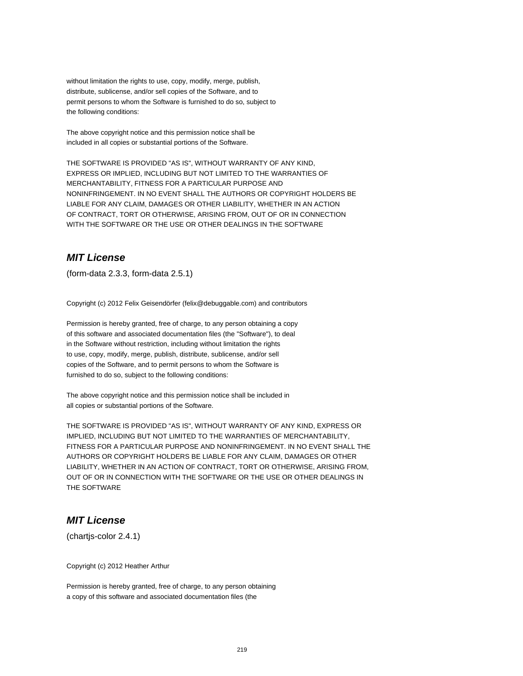without limitation the rights to use, copy, modify, merge, publish, distribute, sublicense, and/or sell copies of the Software, and to permit persons to whom the Software is furnished to do so, subject to the following conditions:

The above copyright notice and this permission notice shall be included in all copies or substantial portions of the Software.

THE SOFTWARE IS PROVIDED "AS IS", WITHOUT WARRANTY OF ANY KIND, EXPRESS OR IMPLIED, INCLUDING BUT NOT LIMITED TO THE WARRANTIES OF MERCHANTABILITY, FITNESS FOR A PARTICULAR PURPOSE AND NONINFRINGEMENT. IN NO EVENT SHALL THE AUTHORS OR COPYRIGHT HOLDERS BE LIABLE FOR ANY CLAIM, DAMAGES OR OTHER LIABILITY, WHETHER IN AN ACTION OF CONTRACT, TORT OR OTHERWISE, ARISING FROM, OUT OF OR IN CONNECTION WITH THE SOFTWARE OR THE USE OR OTHER DEALINGS IN THE SOFTWARE

# **MIT License**

(form-data 2.3.3, form-data 2.5.1)

Copyright (c) 2012 Felix Geisendörfer (felix@debuggable.com) and contributors

Permission is hereby granted, free of charge, to any person obtaining a copy of this software and associated documentation files (the "Software"), to deal in the Software without restriction, including without limitation the rights to use, copy, modify, merge, publish, distribute, sublicense, and/or sell copies of the Software, and to permit persons to whom the Software is furnished to do so, subject to the following conditions:

The above copyright notice and this permission notice shall be included in all copies or substantial portions of the Software.

THE SOFTWARE IS PROVIDED "AS IS", WITHOUT WARRANTY OF ANY KIND, EXPRESS OR IMPLIED, INCLUDING BUT NOT LIMITED TO THE WARRANTIES OF MERCHANTABILITY, FITNESS FOR A PARTICULAR PURPOSE AND NONINFRINGEMENT. IN NO EVENT SHALL THE AUTHORS OR COPYRIGHT HOLDERS BE LIABLE FOR ANY CLAIM, DAMAGES OR OTHER LIABILITY, WHETHER IN AN ACTION OF CONTRACT, TORT OR OTHERWISE, ARISING FROM, OUT OF OR IN CONNECTION WITH THE SOFTWARE OR THE USE OR OTHER DEALINGS IN THE SOFTWARE

# **MIT License**

(chartjs-color 2.4.1)

Copyright (c) 2012 Heather Arthur

Permission is hereby granted, free of charge, to any person obtaining a copy of this software and associated documentation files (the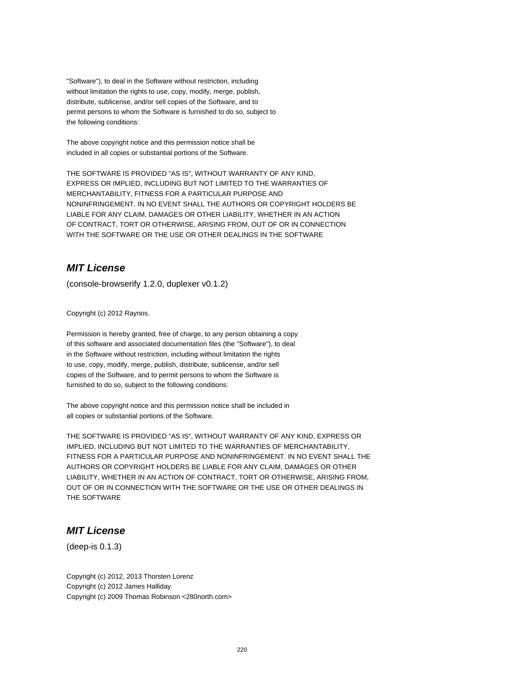"Software"), to deal in the Software without restriction, including without limitation the rights to use, copy, modify, merge, publish, distribute, sublicense, and/or sell copies of the Software, and to permit persons to whom the Software is furnished to do so, subject to the following conditions:

The above copyright notice and this permission notice shall be included in all copies or substantial portions of the Software.

THE SOFTWARE IS PROVIDED "AS IS", WITHOUT WARRANTY OF ANY KIND, EXPRESS OR IMPLIED, INCLUDING BUT NOT LIMITED TO THE WARRANTIES OF MERCHANTABILITY, FITNESS FOR A PARTICULAR PURPOSE AND NONINFRINGEMENT. IN NO EVENT SHALL THE AUTHORS OR COPYRIGHT HOLDERS BE LIABLE FOR ANY CLAIM, DAMAGES OR OTHER LIABILITY, WHETHER IN AN ACTION OF CONTRACT, TORT OR OTHERWISE, ARISING FROM, OUT OF OR IN CONNECTION WITH THE SOFTWARE OR THE USE OR OTHER DEALINGS IN THE SOFTWARE

# **MIT License**

(console-browserify 1.2.0, duplexer v0.1.2)

Copyright (c) 2012 Raynos.

Permission is hereby granted, free of charge, to any person obtaining a copy of this software and associated documentation files (the "Software"), to deal in the Software without restriction, including without limitation the rights to use, copy, modify, merge, publish, distribute, sublicense, and/or sell copies of the Software, and to permit persons to whom the Software is furnished to do so, subject to the following conditions:

The above copyright notice and this permission notice shall be included in all copies or substantial portions of the Software.

THE SOFTWARE IS PROVIDED "AS IS", WITHOUT WARRANTY OF ANY KIND, EXPRESS OR IMPLIED, INCLUDING BUT NOT LIMITED TO THE WARRANTIES OF MERCHANTABILITY, FITNESS FOR A PARTICULAR PURPOSE AND NONINFRINGEMENT. IN NO EVENT SHALL THE AUTHORS OR COPYRIGHT HOLDERS BE LIABLE FOR ANY CLAIM, DAMAGES OR OTHER LIABILITY, WHETHER IN AN ACTION OF CONTRACT, TORT OR OTHERWISE, ARISING FROM, OUT OF OR IN CONNECTION WITH THE SOFTWARE OR THE USE OR OTHER DEALINGS IN THE SOFTWARE

### **MIT License**

(deep-is 0.1.3)

Copyright (c) 2012, 2013 Thorsten Lorenz Copyright (c) 2012 James Halliday Copyright (c) 2009 Thomas Robinson <280north.com>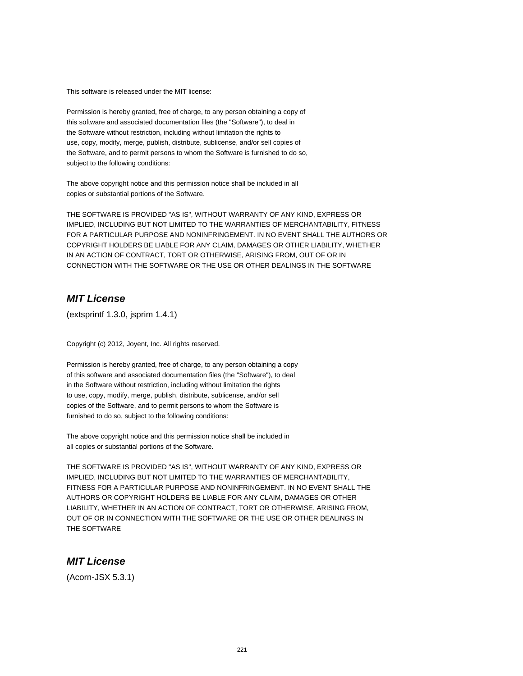This software is released under the MIT license:

Permission is hereby granted, free of charge, to any person obtaining a copy of this software and associated documentation files (the "Software"), to deal in the Software without restriction, including without limitation the rights to use, copy, modify, merge, publish, distribute, sublicense, and/or sell copies of the Software, and to permit persons to whom the Software is furnished to do so, subject to the following conditions:

The above copyright notice and this permission notice shall be included in all copies or substantial portions of the Software.

THE SOFTWARE IS PROVIDED "AS IS", WITHOUT WARRANTY OF ANY KIND, EXPRESS OR IMPLIED, INCLUDING BUT NOT LIMITED TO THE WARRANTIES OF MERCHANTABILITY, FITNESS FOR A PARTICULAR PURPOSE AND NONINFRINGEMENT. IN NO EVENT SHALL THE AUTHORS OR COPYRIGHT HOLDERS BE LIABLE FOR ANY CLAIM, DAMAGES OR OTHER LIABILITY, WHETHER IN AN ACTION OF CONTRACT, TORT OR OTHERWISE, ARISING FROM, OUT OF OR IN CONNECTION WITH THE SOFTWARE OR THE USE OR OTHER DEALINGS IN THE SOFTWARE

# **MIT License**

(extsprintf 1.3.0, jsprim 1.4.1)

Copyright (c) 2012, Joyent, Inc. All rights reserved.

Permission is hereby granted, free of charge, to any person obtaining a copy of this software and associated documentation files (the "Software"), to deal in the Software without restriction, including without limitation the rights to use, copy, modify, merge, publish, distribute, sublicense, and/or sell copies of the Software, and to permit persons to whom the Software is furnished to do so, subject to the following conditions:

The above copyright notice and this permission notice shall be included in all copies or substantial portions of the Software.

THE SOFTWARE IS PROVIDED "AS IS", WITHOUT WARRANTY OF ANY KIND, EXPRESS OR IMPLIED, INCLUDING BUT NOT LIMITED TO THE WARRANTIES OF MERCHANTABILITY, FITNESS FOR A PARTICULAR PURPOSE AND NONINFRINGEMENT. IN NO EVENT SHALL THE AUTHORS OR COPYRIGHT HOLDERS BE LIABLE FOR ANY CLAIM, DAMAGES OR OTHER LIABILITY, WHETHER IN AN ACTION OF CONTRACT, TORT OR OTHERWISE, ARISING FROM, OUT OF OR IN CONNECTION WITH THE SOFTWARE OR THE USE OR OTHER DEALINGS IN THE SOFTWARE

#### **MIT License**

(Acorn-JSX 5.3.1)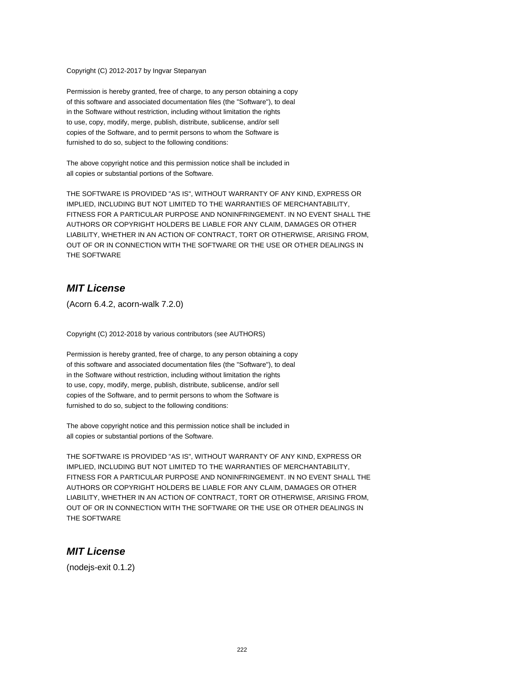Copyright (C) 2012-2017 by Ingvar Stepanyan

Permission is hereby granted, free of charge, to any person obtaining a copy of this software and associated documentation files (the "Software"), to deal in the Software without restriction, including without limitation the rights to use, copy, modify, merge, publish, distribute, sublicense, and/or sell copies of the Software, and to permit persons to whom the Software is furnished to do so, subject to the following conditions:

The above copyright notice and this permission notice shall be included in all copies or substantial portions of the Software.

THE SOFTWARE IS PROVIDED "AS IS", WITHOUT WARRANTY OF ANY KIND, EXPRESS OR IMPLIED, INCLUDING BUT NOT LIMITED TO THE WARRANTIES OF MERCHANTABILITY, FITNESS FOR A PARTICULAR PURPOSE AND NONINFRINGEMENT. IN NO EVENT SHALL THE AUTHORS OR COPYRIGHT HOLDERS BE LIABLE FOR ANY CLAIM, DAMAGES OR OTHER LIABILITY, WHETHER IN AN ACTION OF CONTRACT, TORT OR OTHERWISE, ARISING FROM, OUT OF OR IN CONNECTION WITH THE SOFTWARE OR THE USE OR OTHER DEALINGS IN THE SOFTWARE

## **MIT License**

(Acorn 6.4.2, acorn-walk 7.2.0)

Copyright (C) 2012-2018 by various contributors (see AUTHORS)

Permission is hereby granted, free of charge, to any person obtaining a copy of this software and associated documentation files (the "Software"), to deal in the Software without restriction, including without limitation the rights to use, copy, modify, merge, publish, distribute, sublicense, and/or sell copies of the Software, and to permit persons to whom the Software is furnished to do so, subject to the following conditions:

The above copyright notice and this permission notice shall be included in all copies or substantial portions of the Software.

THE SOFTWARE IS PROVIDED "AS IS", WITHOUT WARRANTY OF ANY KIND, EXPRESS OR IMPLIED, INCLUDING BUT NOT LIMITED TO THE WARRANTIES OF MERCHANTABILITY, FITNESS FOR A PARTICULAR PURPOSE AND NONINFRINGEMENT. IN NO EVENT SHALL THE AUTHORS OR COPYRIGHT HOLDERS BE LIABLE FOR ANY CLAIM, DAMAGES OR OTHER LIABILITY, WHETHER IN AN ACTION OF CONTRACT, TORT OR OTHERWISE, ARISING FROM, OUT OF OR IN CONNECTION WITH THE SOFTWARE OR THE USE OR OTHER DEALINGS IN THE SOFTWARE

### **MIT License**

(nodejs-exit 0.1.2)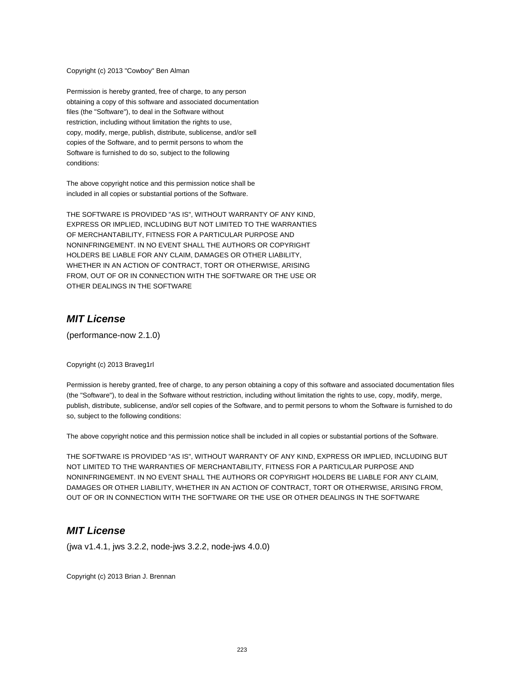Copyright (c) 2013 "Cowboy" Ben Alman

Permission is hereby granted, free of charge, to any person obtaining a copy of this software and associated documentation files (the "Software"), to deal in the Software without restriction, including without limitation the rights to use, copy, modify, merge, publish, distribute, sublicense, and/or sell copies of the Software, and to permit persons to whom the Software is furnished to do so, subject to the following conditions:

The above copyright notice and this permission notice shall be included in all copies or substantial portions of the Software.

THE SOFTWARE IS PROVIDED "AS IS", WITHOUT WARRANTY OF ANY KIND, EXPRESS OR IMPLIED, INCLUDING BUT NOT LIMITED TO THE WARRANTIES OF MERCHANTABILITY, FITNESS FOR A PARTICULAR PURPOSE AND NONINFRINGEMENT. IN NO EVENT SHALL THE AUTHORS OR COPYRIGHT HOLDERS BE LIABLE FOR ANY CLAIM, DAMAGES OR OTHER LIABILITY, WHETHER IN AN ACTION OF CONTRACT, TORT OR OTHERWISE, ARISING FROM, OUT OF OR IN CONNECTION WITH THE SOFTWARE OR THE USE OR OTHER DEALINGS IN THE SOFTWARE

#### **MIT License**

(performance-now 2.1.0)

Copyright (c) 2013 Braveg1rl

Permission is hereby granted, free of charge, to any person obtaining a copy of this software and associated documentation files (the "Software"), to deal in the Software without restriction, including without limitation the rights to use, copy, modify, merge, publish, distribute, sublicense, and/or sell copies of the Software, and to permit persons to whom the Software is furnished to do so, subject to the following conditions:

The above copyright notice and this permission notice shall be included in all copies or substantial portions of the Software.

THE SOFTWARE IS PROVIDED "AS IS", WITHOUT WARRANTY OF ANY KIND, EXPRESS OR IMPLIED, INCLUDING BUT NOT LIMITED TO THE WARRANTIES OF MERCHANTABILITY, FITNESS FOR A PARTICULAR PURPOSE AND NONINFRINGEMENT. IN NO EVENT SHALL THE AUTHORS OR COPYRIGHT HOLDERS BE LIABLE FOR ANY CLAIM, DAMAGES OR OTHER LIABILITY, WHETHER IN AN ACTION OF CONTRACT, TORT OR OTHERWISE, ARISING FROM, OUT OF OR IN CONNECTION WITH THE SOFTWARE OR THE USE OR OTHER DEALINGS IN THE SOFTWARE

#### **MIT License**

(jwa v1.4.1, jws 3.2.2, node-jws 3.2.2, node-jws 4.0.0)

Copyright (c) 2013 Brian J. Brennan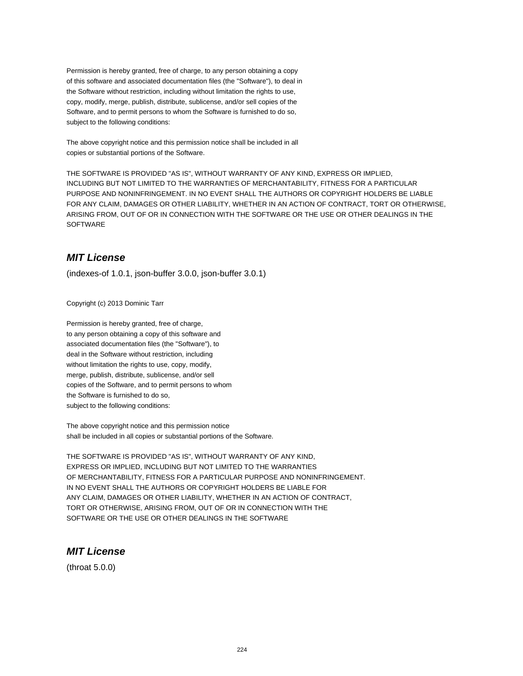Permission is hereby granted, free of charge, to any person obtaining a copy of this software and associated documentation files (the "Software"), to deal in the Software without restriction, including without limitation the rights to use, copy, modify, merge, publish, distribute, sublicense, and/or sell copies of the Software, and to permit persons to whom the Software is furnished to do so, subject to the following conditions:

The above copyright notice and this permission notice shall be included in all copies or substantial portions of the Software.

THE SOFTWARE IS PROVIDED "AS IS", WITHOUT WARRANTY OF ANY KIND, EXPRESS OR IMPLIED, INCLUDING BUT NOT LIMITED TO THE WARRANTIES OF MERCHANTABILITY, FITNESS FOR A PARTICULAR PURPOSE AND NONINFRINGEMENT. IN NO EVENT SHALL THE AUTHORS OR COPYRIGHT HOLDERS BE LIABLE FOR ANY CLAIM, DAMAGES OR OTHER LIABILITY, WHETHER IN AN ACTION OF CONTRACT, TORT OR OTHERWISE, ARISING FROM, OUT OF OR IN CONNECTION WITH THE SOFTWARE OR THE USE OR OTHER DEALINGS IN THE SOFTWARE

# **MIT License**

(indexes-of 1.0.1, json-buffer 3.0.0, json-buffer 3.0.1)

Copyright (c) 2013 Dominic Tarr

Permission is hereby granted, free of charge, to any person obtaining a copy of this software and associated documentation files (the "Software"), to deal in the Software without restriction, including without limitation the rights to use, copy, modify, merge, publish, distribute, sublicense, and/or sell copies of the Software, and to permit persons to whom the Software is furnished to do so, subject to the following conditions:

The above copyright notice and this permission notice shall be included in all copies or substantial portions of the Software.

THE SOFTWARE IS PROVIDED "AS IS", WITHOUT WARRANTY OF ANY KIND, EXPRESS OR IMPLIED, INCLUDING BUT NOT LIMITED TO THE WARRANTIES OF MERCHANTABILITY, FITNESS FOR A PARTICULAR PURPOSE AND NONINFRINGEMENT. IN NO EVENT SHALL THE AUTHORS OR COPYRIGHT HOLDERS BE LIABLE FOR ANY CLAIM, DAMAGES OR OTHER LIABILITY, WHETHER IN AN ACTION OF CONTRACT, TORT OR OTHERWISE, ARISING FROM, OUT OF OR IN CONNECTION WITH THE SOFTWARE OR THE USE OR OTHER DEALINGS IN THE SOFTWARE

# **MIT License**

(throat 5.0.0)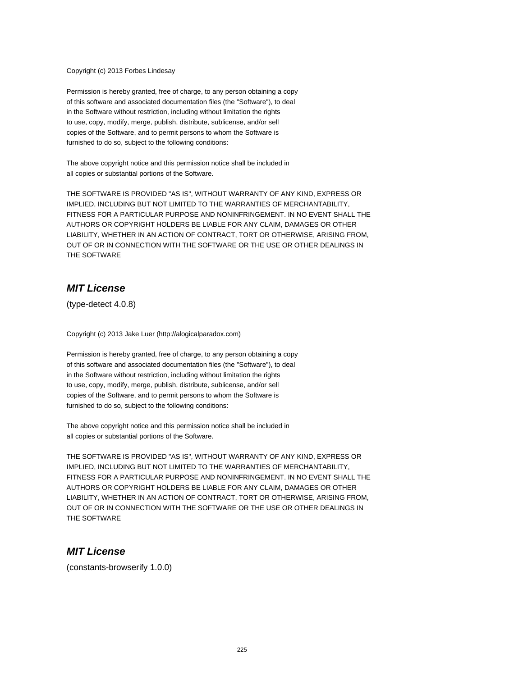Copyright (c) 2013 Forbes Lindesay

Permission is hereby granted, free of charge, to any person obtaining a copy of this software and associated documentation files (the "Software"), to deal in the Software without restriction, including without limitation the rights to use, copy, modify, merge, publish, distribute, sublicense, and/or sell copies of the Software, and to permit persons to whom the Software is furnished to do so, subject to the following conditions:

The above copyright notice and this permission notice shall be included in all copies or substantial portions of the Software.

THE SOFTWARE IS PROVIDED "AS IS", WITHOUT WARRANTY OF ANY KIND, EXPRESS OR IMPLIED, INCLUDING BUT NOT LIMITED TO THE WARRANTIES OF MERCHANTABILITY, FITNESS FOR A PARTICULAR PURPOSE AND NONINFRINGEMENT. IN NO EVENT SHALL THE AUTHORS OR COPYRIGHT HOLDERS BE LIABLE FOR ANY CLAIM, DAMAGES OR OTHER LIABILITY, WHETHER IN AN ACTION OF CONTRACT, TORT OR OTHERWISE, ARISING FROM, OUT OF OR IN CONNECTION WITH THE SOFTWARE OR THE USE OR OTHER DEALINGS IN THE SOFTWARE

# **MIT License**

(type-detect 4.0.8)

Copyright (c) 2013 Jake Luer (http://alogicalparadox.com)

Permission is hereby granted, free of charge, to any person obtaining a copy of this software and associated documentation files (the "Software"), to deal in the Software without restriction, including without limitation the rights to use, copy, modify, merge, publish, distribute, sublicense, and/or sell copies of the Software, and to permit persons to whom the Software is furnished to do so, subject to the following conditions:

The above copyright notice and this permission notice shall be included in all copies or substantial portions of the Software.

THE SOFTWARE IS PROVIDED "AS IS", WITHOUT WARRANTY OF ANY KIND, EXPRESS OR IMPLIED, INCLUDING BUT NOT LIMITED TO THE WARRANTIES OF MERCHANTABILITY, FITNESS FOR A PARTICULAR PURPOSE AND NONINFRINGEMENT. IN NO EVENT SHALL THE AUTHORS OR COPYRIGHT HOLDERS BE LIABLE FOR ANY CLAIM, DAMAGES OR OTHER LIABILITY, WHETHER IN AN ACTION OF CONTRACT, TORT OR OTHERWISE, ARISING FROM, OUT OF OR IN CONNECTION WITH THE SOFTWARE OR THE USE OR OTHER DEALINGS IN THE SOFTWARE

#### **MIT License**

(constants-browserify 1.0.0)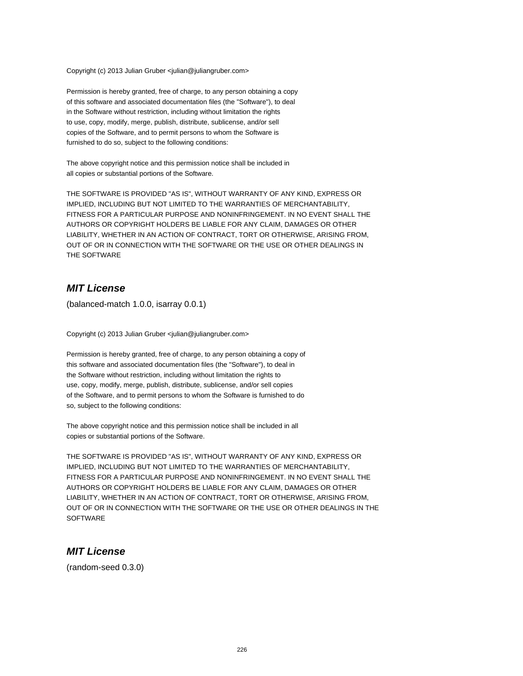Copyright (c) 2013 Julian Gruber <julian@juliangruber.com>

Permission is hereby granted, free of charge, to any person obtaining a copy of this software and associated documentation files (the "Software"), to deal in the Software without restriction, including without limitation the rights to use, copy, modify, merge, publish, distribute, sublicense, and/or sell copies of the Software, and to permit persons to whom the Software is furnished to do so, subject to the following conditions:

The above copyright notice and this permission notice shall be included in all copies or substantial portions of the Software.

THE SOFTWARE IS PROVIDED "AS IS", WITHOUT WARRANTY OF ANY KIND, EXPRESS OR IMPLIED, INCLUDING BUT NOT LIMITED TO THE WARRANTIES OF MERCHANTABILITY, FITNESS FOR A PARTICULAR PURPOSE AND NONINFRINGEMENT. IN NO EVENT SHALL THE AUTHORS OR COPYRIGHT HOLDERS BE LIABLE FOR ANY CLAIM, DAMAGES OR OTHER LIABILITY, WHETHER IN AN ACTION OF CONTRACT, TORT OR OTHERWISE, ARISING FROM, OUT OF OR IN CONNECTION WITH THE SOFTWARE OR THE USE OR OTHER DEALINGS IN THE SOFTWARE

## **MIT License**

(balanced-match 1.0.0, isarray 0.0.1)

Copyright (c) 2013 Julian Gruber <julian@juliangruber.com>

Permission is hereby granted, free of charge, to any person obtaining a copy of this software and associated documentation files (the "Software"), to deal in the Software without restriction, including without limitation the rights to use, copy, modify, merge, publish, distribute, sublicense, and/or sell copies of the Software, and to permit persons to whom the Software is furnished to do so, subject to the following conditions:

The above copyright notice and this permission notice shall be included in all copies or substantial portions of the Software.

THE SOFTWARE IS PROVIDED "AS IS", WITHOUT WARRANTY OF ANY KIND, EXPRESS OR IMPLIED, INCLUDING BUT NOT LIMITED TO THE WARRANTIES OF MERCHANTABILITY, FITNESS FOR A PARTICULAR PURPOSE AND NONINFRINGEMENT. IN NO EVENT SHALL THE AUTHORS OR COPYRIGHT HOLDERS BE LIABLE FOR ANY CLAIM, DAMAGES OR OTHER LIABILITY, WHETHER IN AN ACTION OF CONTRACT, TORT OR OTHERWISE, ARISING FROM, OUT OF OR IN CONNECTION WITH THE SOFTWARE OR THE USE OR OTHER DEALINGS IN THE **SOFTWARE** 

### **MIT License**

(random-seed 0.3.0)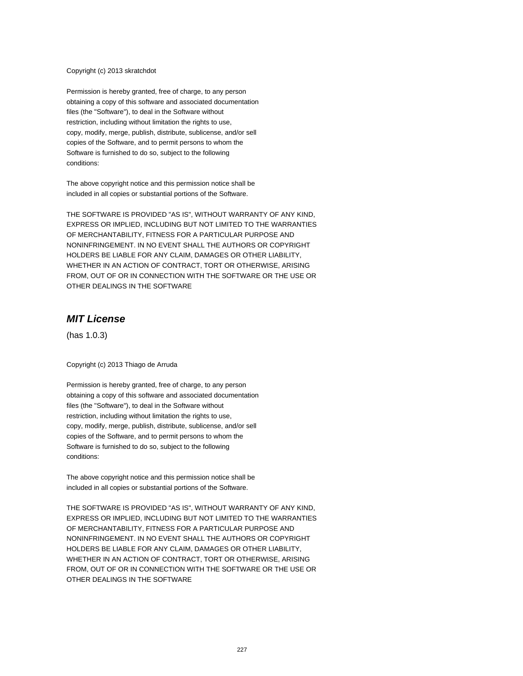Copyright (c) 2013 skratchdot

Permission is hereby granted, free of charge, to any person obtaining a copy of this software and associated documentation files (the "Software"), to deal in the Software without restriction, including without limitation the rights to use, copy, modify, merge, publish, distribute, sublicense, and/or sell copies of the Software, and to permit persons to whom the Software is furnished to do so, subject to the following conditions:

The above copyright notice and this permission notice shall be included in all copies or substantial portions of the Software.

THE SOFTWARE IS PROVIDED "AS IS", WITHOUT WARRANTY OF ANY KIND, EXPRESS OR IMPLIED, INCLUDING BUT NOT LIMITED TO THE WARRANTIES OF MERCHANTABILITY, FITNESS FOR A PARTICULAR PURPOSE AND NONINFRINGEMENT. IN NO EVENT SHALL THE AUTHORS OR COPYRIGHT HOLDERS BE LIABLE FOR ANY CLAIM, DAMAGES OR OTHER LIABILITY, WHETHER IN AN ACTION OF CONTRACT, TORT OR OTHERWISE, ARISING FROM, OUT OF OR IN CONNECTION WITH THE SOFTWARE OR THE USE OR OTHER DEALINGS IN THE SOFTWARE

#### **MIT License**

(has 1.0.3)

Copyright (c) 2013 Thiago de Arruda

Permission is hereby granted, free of charge, to any person obtaining a copy of this software and associated documentation files (the "Software"), to deal in the Software without restriction, including without limitation the rights to use, copy, modify, merge, publish, distribute, sublicense, and/or sell copies of the Software, and to permit persons to whom the Software is furnished to do so, subject to the following conditions:

The above copyright notice and this permission notice shall be included in all copies or substantial portions of the Software.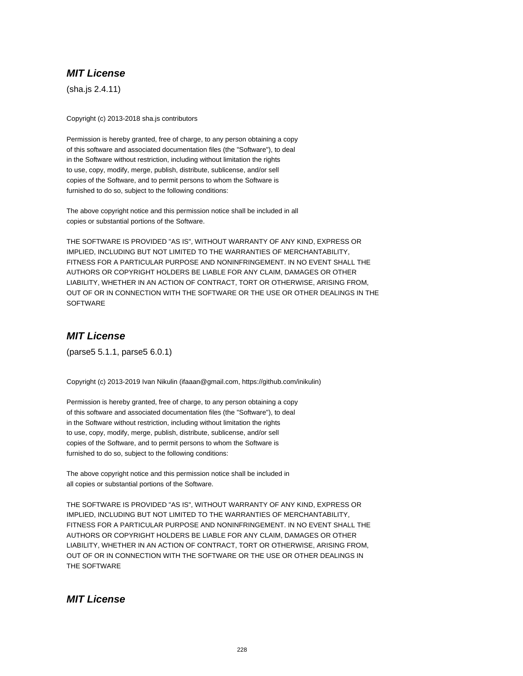(sha.js 2.4.11)

Copyright (c) 2013-2018 sha.js contributors

Permission is hereby granted, free of charge, to any person obtaining a copy of this software and associated documentation files (the "Software"), to deal in the Software without restriction, including without limitation the rights to use, copy, modify, merge, publish, distribute, sublicense, and/or sell copies of the Software, and to permit persons to whom the Software is furnished to do so, subject to the following conditions:

The above copyright notice and this permission notice shall be included in all copies or substantial portions of the Software.

THE SOFTWARE IS PROVIDED "AS IS", WITHOUT WARRANTY OF ANY KIND, EXPRESS OR IMPLIED, INCLUDING BUT NOT LIMITED TO THE WARRANTIES OF MERCHANTABILITY, FITNESS FOR A PARTICULAR PURPOSE AND NONINFRINGEMENT. IN NO EVENT SHALL THE AUTHORS OR COPYRIGHT HOLDERS BE LIABLE FOR ANY CLAIM, DAMAGES OR OTHER LIABILITY, WHETHER IN AN ACTION OF CONTRACT, TORT OR OTHERWISE, ARISING FROM, OUT OF OR IN CONNECTION WITH THE SOFTWARE OR THE USE OR OTHER DEALINGS IN THE **SOFTWARE** 

# **MIT License**

(parse5 5.1.1, parse5 6.0.1)

Copyright (c) 2013-2019 Ivan Nikulin (ifaaan@gmail.com, https://github.com/inikulin)

Permission is hereby granted, free of charge, to any person obtaining a copy of this software and associated documentation files (the "Software"), to deal in the Software without restriction, including without limitation the rights to use, copy, modify, merge, publish, distribute, sublicense, and/or sell copies of the Software, and to permit persons to whom the Software is furnished to do so, subject to the following conditions:

The above copyright notice and this permission notice shall be included in all copies or substantial portions of the Software.

THE SOFTWARE IS PROVIDED "AS IS", WITHOUT WARRANTY OF ANY KIND, EXPRESS OR IMPLIED, INCLUDING BUT NOT LIMITED TO THE WARRANTIES OF MERCHANTABILITY, FITNESS FOR A PARTICULAR PURPOSE AND NONINFRINGEMENT. IN NO EVENT SHALL THE AUTHORS OR COPYRIGHT HOLDERS BE LIABLE FOR ANY CLAIM, DAMAGES OR OTHER LIABILITY, WHETHER IN AN ACTION OF CONTRACT, TORT OR OTHERWISE, ARISING FROM, OUT OF OR IN CONNECTION WITH THE SOFTWARE OR THE USE OR OTHER DEALINGS IN THE SOFTWARE

# **MIT License**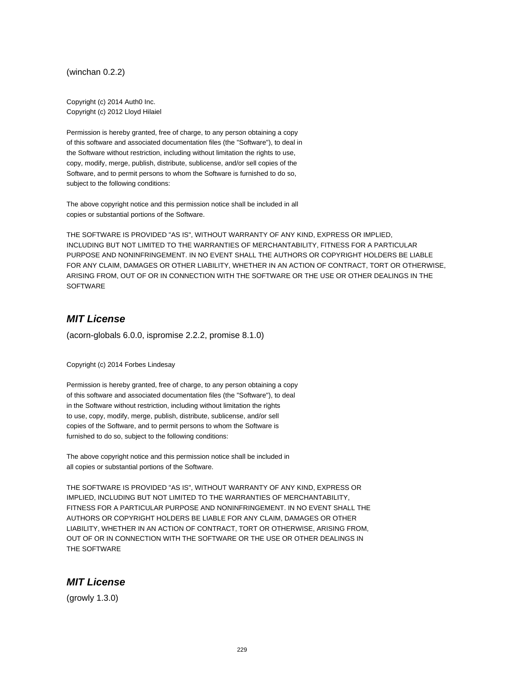(winchan 0.2.2)

Copyright (c) 2014 Auth0 Inc. Copyright (c) 2012 Lloyd Hilaiel

Permission is hereby granted, free of charge, to any person obtaining a copy of this software and associated documentation files (the "Software"), to deal in the Software without restriction, including without limitation the rights to use, copy, modify, merge, publish, distribute, sublicense, and/or sell copies of the Software, and to permit persons to whom the Software is furnished to do so, subject to the following conditions:

The above copyright notice and this permission notice shall be included in all copies or substantial portions of the Software.

THE SOFTWARE IS PROVIDED "AS IS", WITHOUT WARRANTY OF ANY KIND, EXPRESS OR IMPLIED, INCLUDING BUT NOT LIMITED TO THE WARRANTIES OF MERCHANTABILITY, FITNESS FOR A PARTICULAR PURPOSE AND NONINFRINGEMENT. IN NO EVENT SHALL THE AUTHORS OR COPYRIGHT HOLDERS BE LIABLE FOR ANY CLAIM, DAMAGES OR OTHER LIABILITY, WHETHER IN AN ACTION OF CONTRACT, TORT OR OTHERWISE, ARISING FROM, OUT OF OR IN CONNECTION WITH THE SOFTWARE OR THE USE OR OTHER DEALINGS IN THE SOFTWARE

## **MIT License**

(acorn-globals 6.0.0, ispromise 2.2.2, promise 8.1.0)

Copyright (c) 2014 Forbes Lindesay

Permission is hereby granted, free of charge, to any person obtaining a copy of this software and associated documentation files (the "Software"), to deal in the Software without restriction, including without limitation the rights to use, copy, modify, merge, publish, distribute, sublicense, and/or sell copies of the Software, and to permit persons to whom the Software is furnished to do so, subject to the following conditions:

The above copyright notice and this permission notice shall be included in all copies or substantial portions of the Software.

THE SOFTWARE IS PROVIDED "AS IS", WITHOUT WARRANTY OF ANY KIND, EXPRESS OR IMPLIED, INCLUDING BUT NOT LIMITED TO THE WARRANTIES OF MERCHANTABILITY, FITNESS FOR A PARTICULAR PURPOSE AND NONINFRINGEMENT. IN NO EVENT SHALL THE AUTHORS OR COPYRIGHT HOLDERS BE LIABLE FOR ANY CLAIM, DAMAGES OR OTHER LIABILITY, WHETHER IN AN ACTION OF CONTRACT, TORT OR OTHERWISE, ARISING FROM, OUT OF OR IN CONNECTION WITH THE SOFTWARE OR THE USE OR OTHER DEALINGS IN THE SOFTWARE

### **MIT License**

(growly 1.3.0)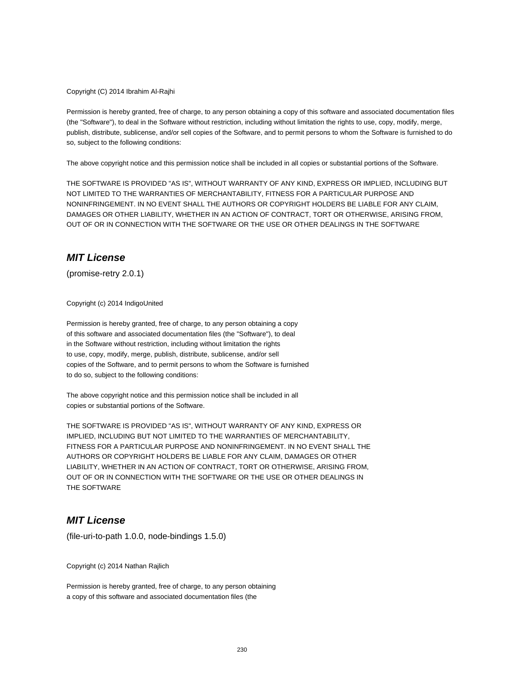Copyright (C) 2014 Ibrahim Al-Rajhi

Permission is hereby granted, free of charge, to any person obtaining a copy of this software and associated documentation files (the "Software"), to deal in the Software without restriction, including without limitation the rights to use, copy, modify, merge, publish, distribute, sublicense, and/or sell copies of the Software, and to permit persons to whom the Software is furnished to do so, subject to the following conditions:

The above copyright notice and this permission notice shall be included in all copies or substantial portions of the Software.

THE SOFTWARE IS PROVIDED "AS IS", WITHOUT WARRANTY OF ANY KIND, EXPRESS OR IMPLIED, INCLUDING BUT NOT LIMITED TO THE WARRANTIES OF MERCHANTABILITY, FITNESS FOR A PARTICULAR PURPOSE AND NONINFRINGEMENT. IN NO EVENT SHALL THE AUTHORS OR COPYRIGHT HOLDERS BE LIABLE FOR ANY CLAIM, DAMAGES OR OTHER LIABILITY, WHETHER IN AN ACTION OF CONTRACT, TORT OR OTHERWISE, ARISING FROM, OUT OF OR IN CONNECTION WITH THE SOFTWARE OR THE USE OR OTHER DEALINGS IN THE SOFTWARE

# **MIT License**

(promise-retry 2.0.1)

Copyright (c) 2014 IndigoUnited

Permission is hereby granted, free of charge, to any person obtaining a copy of this software and associated documentation files (the "Software"), to deal in the Software without restriction, including without limitation the rights to use, copy, modify, merge, publish, distribute, sublicense, and/or sell copies of the Software, and to permit persons to whom the Software is furnished to do so, subject to the following conditions:

The above copyright notice and this permission notice shall be included in all copies or substantial portions of the Software.

THE SOFTWARE IS PROVIDED "AS IS", WITHOUT WARRANTY OF ANY KIND, EXPRESS OR IMPLIED, INCLUDING BUT NOT LIMITED TO THE WARRANTIES OF MERCHANTABILITY, FITNESS FOR A PARTICULAR PURPOSE AND NONINFRINGEMENT. IN NO EVENT SHALL THE AUTHORS OR COPYRIGHT HOLDERS BE LIABLE FOR ANY CLAIM, DAMAGES OR OTHER LIABILITY, WHETHER IN AN ACTION OF CONTRACT, TORT OR OTHERWISE, ARISING FROM, OUT OF OR IN CONNECTION WITH THE SOFTWARE OR THE USE OR OTHER DEALINGS IN THE SOFTWARE

### **MIT License**

(file-uri-to-path 1.0.0, node-bindings 1.5.0)

Copyright (c) 2014 Nathan Rajlich

Permission is hereby granted, free of charge, to any person obtaining a copy of this software and associated documentation files (the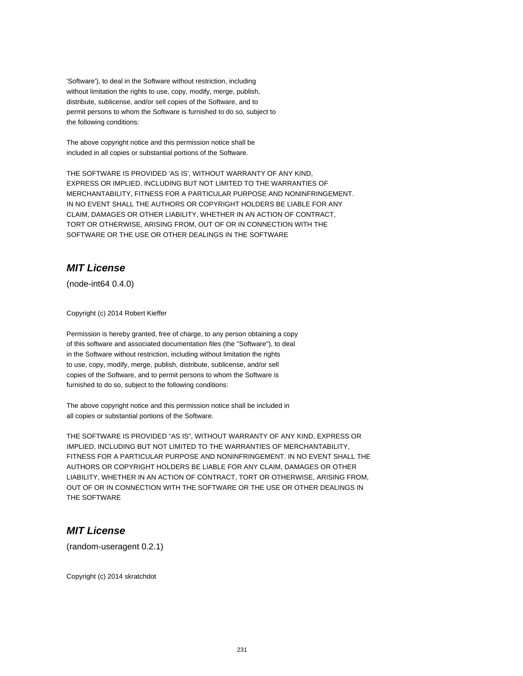'Software'), to deal in the Software without restriction, including without limitation the rights to use, copy, modify, merge, publish, distribute, sublicense, and/or sell copies of the Software, and to permit persons to whom the Software is furnished to do so, subject to the following conditions:

The above copyright notice and this permission notice shall be included in all copies or substantial portions of the Software.

THE SOFTWARE IS PROVIDED 'AS IS', WITHOUT WARRANTY OF ANY KIND, EXPRESS OR IMPLIED, INCLUDING BUT NOT LIMITED TO THE WARRANTIES OF MERCHANTABILITY, FITNESS FOR A PARTICULAR PURPOSE AND NONINFRINGEMENT. IN NO EVENT SHALL THE AUTHORS OR COPYRIGHT HOLDERS BE LIABLE FOR ANY CLAIM, DAMAGES OR OTHER LIABILITY, WHETHER IN AN ACTION OF CONTRACT, TORT OR OTHERWISE, ARISING FROM, OUT OF OR IN CONNECTION WITH THE SOFTWARE OR THE USE OR OTHER DEALINGS IN THE SOFTWARE

# **MIT License**

(node-int64 0.4.0)

Copyright (c) 2014 Robert Kieffer

Permission is hereby granted, free of charge, to any person obtaining a copy of this software and associated documentation files (the "Software"), to deal in the Software without restriction, including without limitation the rights to use, copy, modify, merge, publish, distribute, sublicense, and/or sell copies of the Software, and to permit persons to whom the Software is furnished to do so, subject to the following conditions:

The above copyright notice and this permission notice shall be included in all copies or substantial portions of the Software.

THE SOFTWARE IS PROVIDED "AS IS", WITHOUT WARRANTY OF ANY KIND, EXPRESS OR IMPLIED, INCLUDING BUT NOT LIMITED TO THE WARRANTIES OF MERCHANTABILITY, FITNESS FOR A PARTICULAR PURPOSE AND NONINFRINGEMENT. IN NO EVENT SHALL THE AUTHORS OR COPYRIGHT HOLDERS BE LIABLE FOR ANY CLAIM, DAMAGES OR OTHER LIABILITY, WHETHER IN AN ACTION OF CONTRACT, TORT OR OTHERWISE, ARISING FROM, OUT OF OR IN CONNECTION WITH THE SOFTWARE OR THE USE OR OTHER DEALINGS IN THE SOFTWARE

### **MIT License**

(random-useragent 0.2.1)

Copyright (c) 2014 skratchdot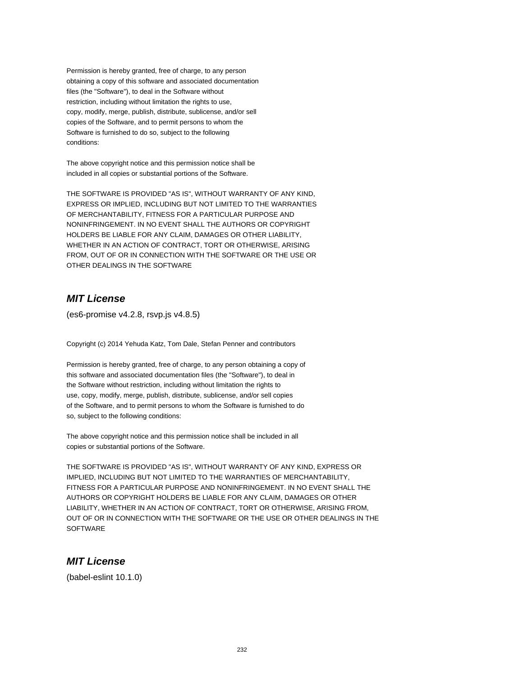Permission is hereby granted, free of charge, to any person obtaining a copy of this software and associated documentation files (the "Software"), to deal in the Software without restriction, including without limitation the rights to use, copy, modify, merge, publish, distribute, sublicense, and/or sell copies of the Software, and to permit persons to whom the Software is furnished to do so, subject to the following conditions:

The above copyright notice and this permission notice shall be included in all copies or substantial portions of the Software.

THE SOFTWARE IS PROVIDED "AS IS", WITHOUT WARRANTY OF ANY KIND, EXPRESS OR IMPLIED, INCLUDING BUT NOT LIMITED TO THE WARRANTIES OF MERCHANTABILITY, FITNESS FOR A PARTICULAR PURPOSE AND NONINFRINGEMENT. IN NO EVENT SHALL THE AUTHORS OR COPYRIGHT HOLDERS BE LIABLE FOR ANY CLAIM, DAMAGES OR OTHER LIABILITY, WHETHER IN AN ACTION OF CONTRACT, TORT OR OTHERWISE, ARISING FROM, OUT OF OR IN CONNECTION WITH THE SOFTWARE OR THE USE OR OTHER DEALINGS IN THE SOFTWARE

# **MIT License**

(es6-promise v4.2.8, rsvp.js v4.8.5)

Copyright (c) 2014 Yehuda Katz, Tom Dale, Stefan Penner and contributors

Permission is hereby granted, free of charge, to any person obtaining a copy of this software and associated documentation files (the "Software"), to deal in the Software without restriction, including without limitation the rights to use, copy, modify, merge, publish, distribute, sublicense, and/or sell copies of the Software, and to permit persons to whom the Software is furnished to do so, subject to the following conditions:

The above copyright notice and this permission notice shall be included in all copies or substantial portions of the Software.

THE SOFTWARE IS PROVIDED "AS IS", WITHOUT WARRANTY OF ANY KIND, EXPRESS OR IMPLIED, INCLUDING BUT NOT LIMITED TO THE WARRANTIES OF MERCHANTABILITY, FITNESS FOR A PARTICULAR PURPOSE AND NONINFRINGEMENT. IN NO EVENT SHALL THE AUTHORS OR COPYRIGHT HOLDERS BE LIABLE FOR ANY CLAIM, DAMAGES OR OTHER LIABILITY, WHETHER IN AN ACTION OF CONTRACT, TORT OR OTHERWISE, ARISING FROM, OUT OF OR IN CONNECTION WITH THE SOFTWARE OR THE USE OR OTHER DEALINGS IN THE **SOFTWARE** 

#### **MIT License**

(babel-eslint 10.1.0)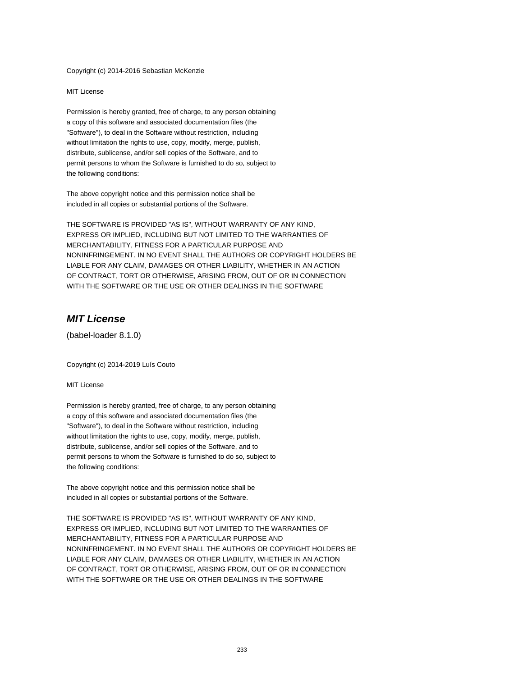Copyright (c) 2014-2016 Sebastian McKenzie

MIT License

Permission is hereby granted, free of charge, to any person obtaining a copy of this software and associated documentation files (the "Software"), to deal in the Software without restriction, including without limitation the rights to use, copy, modify, merge, publish, distribute, sublicense, and/or sell copies of the Software, and to permit persons to whom the Software is furnished to do so, subject to the following conditions:

The above copyright notice and this permission notice shall be included in all copies or substantial portions of the Software.

THE SOFTWARE IS PROVIDED "AS IS", WITHOUT WARRANTY OF ANY KIND, EXPRESS OR IMPLIED, INCLUDING BUT NOT LIMITED TO THE WARRANTIES OF MERCHANTABILITY, FITNESS FOR A PARTICULAR PURPOSE AND NONINFRINGEMENT. IN NO EVENT SHALL THE AUTHORS OR COPYRIGHT HOLDERS BE LIABLE FOR ANY CLAIM, DAMAGES OR OTHER LIABILITY, WHETHER IN AN ACTION OF CONTRACT, TORT OR OTHERWISE, ARISING FROM, OUT OF OR IN CONNECTION WITH THE SOFTWARE OR THE USE OR OTHER DEALINGS IN THE SOFTWARE

## **MIT License**

(babel-loader 8.1.0)

Copyright (c) 2014-2019 Luís Couto

MIT License

Permission is hereby granted, free of charge, to any person obtaining a copy of this software and associated documentation files (the "Software"), to deal in the Software without restriction, including without limitation the rights to use, copy, modify, merge, publish, distribute, sublicense, and/or sell copies of the Software, and to permit persons to whom the Software is furnished to do so, subject to the following conditions:

The above copyright notice and this permission notice shall be included in all copies or substantial portions of the Software.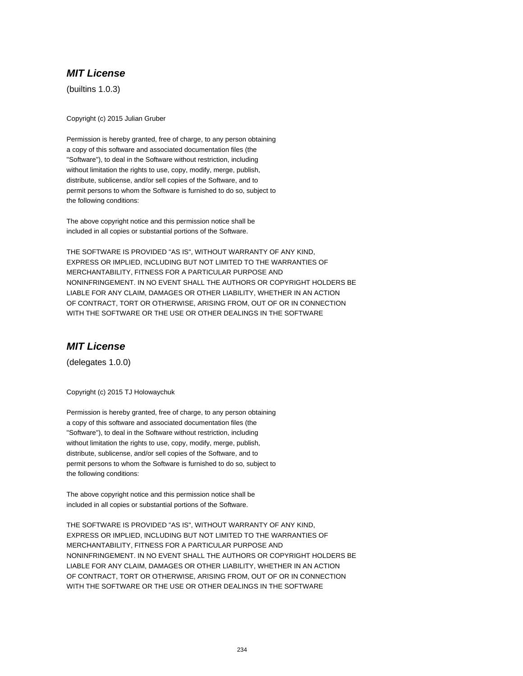(builtins 1.0.3)

Copyright (c) 2015 Julian Gruber

Permission is hereby granted, free of charge, to any person obtaining a copy of this software and associated documentation files (the "Software"), to deal in the Software without restriction, including without limitation the rights to use, copy, modify, merge, publish, distribute, sublicense, and/or sell copies of the Software, and to permit persons to whom the Software is furnished to do so, subject to the following conditions:

The above copyright notice and this permission notice shall be included in all copies or substantial portions of the Software.

THE SOFTWARE IS PROVIDED "AS IS", WITHOUT WARRANTY OF ANY KIND, EXPRESS OR IMPLIED, INCLUDING BUT NOT LIMITED TO THE WARRANTIES OF MERCHANTABILITY, FITNESS FOR A PARTICULAR PURPOSE AND NONINFRINGEMENT. IN NO EVENT SHALL THE AUTHORS OR COPYRIGHT HOLDERS BE LIABLE FOR ANY CLAIM, DAMAGES OR OTHER LIABILITY, WHETHER IN AN ACTION OF CONTRACT, TORT OR OTHERWISE, ARISING FROM, OUT OF OR IN CONNECTION WITH THE SOFTWARE OR THE USE OR OTHER DEALINGS IN THE SOFTWARE

# **MIT License**

(delegates 1.0.0)

Copyright (c) 2015 TJ Holowaychuk

Permission is hereby granted, free of charge, to any person obtaining a copy of this software and associated documentation files (the "Software"), to deal in the Software without restriction, including without limitation the rights to use, copy, modify, merge, publish, distribute, sublicense, and/or sell copies of the Software, and to permit persons to whom the Software is furnished to do so, subject to the following conditions:

The above copyright notice and this permission notice shall be included in all copies or substantial portions of the Software.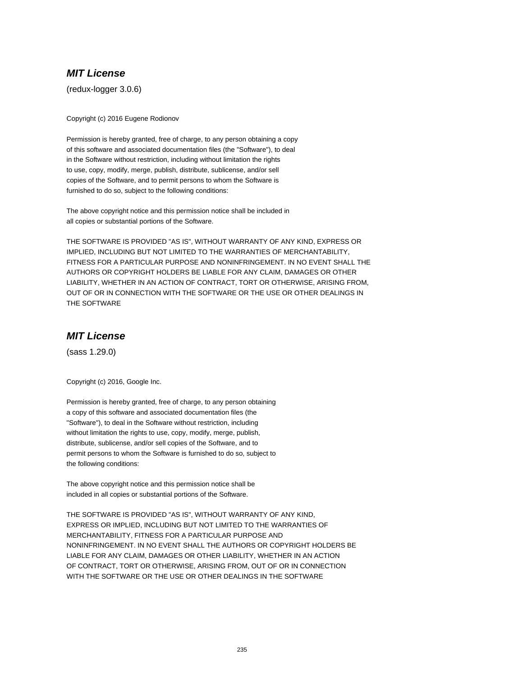(redux-logger 3.0.6)

Copyright (c) 2016 Eugene Rodionov

Permission is hereby granted, free of charge, to any person obtaining a copy of this software and associated documentation files (the "Software"), to deal in the Software without restriction, including without limitation the rights to use, copy, modify, merge, publish, distribute, sublicense, and/or sell copies of the Software, and to permit persons to whom the Software is furnished to do so, subject to the following conditions:

The above copyright notice and this permission notice shall be included in all copies or substantial portions of the Software.

THE SOFTWARE IS PROVIDED "AS IS", WITHOUT WARRANTY OF ANY KIND, EXPRESS OR IMPLIED, INCLUDING BUT NOT LIMITED TO THE WARRANTIES OF MERCHANTABILITY, FITNESS FOR A PARTICULAR PURPOSE AND NONINFRINGEMENT. IN NO EVENT SHALL THE AUTHORS OR COPYRIGHT HOLDERS BE LIABLE FOR ANY CLAIM, DAMAGES OR OTHER LIABILITY, WHETHER IN AN ACTION OF CONTRACT, TORT OR OTHERWISE, ARISING FROM, OUT OF OR IN CONNECTION WITH THE SOFTWARE OR THE USE OR OTHER DEALINGS IN THE SOFTWARE

# **MIT License**

(sass 1.29.0)

Copyright (c) 2016, Google Inc.

Permission is hereby granted, free of charge, to any person obtaining a copy of this software and associated documentation files (the "Software"), to deal in the Software without restriction, including without limitation the rights to use, copy, modify, merge, publish, distribute, sublicense, and/or sell copies of the Software, and to permit persons to whom the Software is furnished to do so, subject to the following conditions:

The above copyright notice and this permission notice shall be included in all copies or substantial portions of the Software.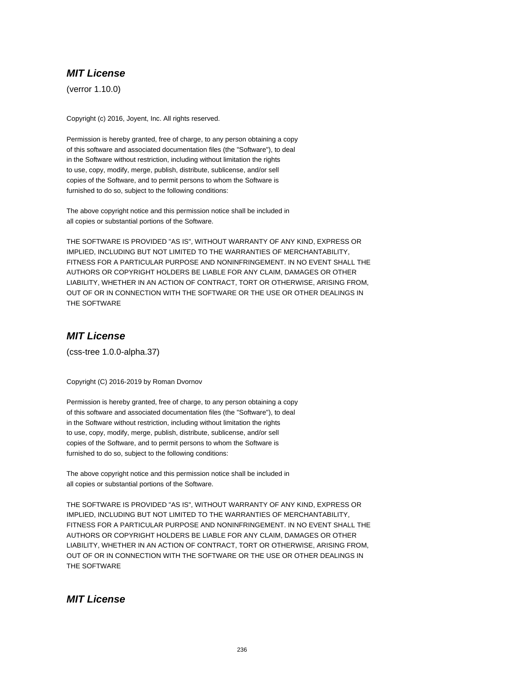(verror 1.10.0)

Copyright (c) 2016, Joyent, Inc. All rights reserved.

Permission is hereby granted, free of charge, to any person obtaining a copy of this software and associated documentation files (the "Software"), to deal in the Software without restriction, including without limitation the rights to use, copy, modify, merge, publish, distribute, sublicense, and/or sell copies of the Software, and to permit persons to whom the Software is furnished to do so, subject to the following conditions:

The above copyright notice and this permission notice shall be included in all copies or substantial portions of the Software.

THE SOFTWARE IS PROVIDED "AS IS", WITHOUT WARRANTY OF ANY KIND, EXPRESS OR IMPLIED, INCLUDING BUT NOT LIMITED TO THE WARRANTIES OF MERCHANTABILITY, FITNESS FOR A PARTICULAR PURPOSE AND NONINFRINGEMENT. IN NO EVENT SHALL THE AUTHORS OR COPYRIGHT HOLDERS BE LIABLE FOR ANY CLAIM, DAMAGES OR OTHER LIABILITY, WHETHER IN AN ACTION OF CONTRACT, TORT OR OTHERWISE, ARISING FROM, OUT OF OR IN CONNECTION WITH THE SOFTWARE OR THE USE OR OTHER DEALINGS IN THE SOFTWARE

# **MIT License**

(css-tree 1.0.0-alpha.37)

Copyright (C) 2016-2019 by Roman Dvornov

Permission is hereby granted, free of charge, to any person obtaining a copy of this software and associated documentation files (the "Software"), to deal in the Software without restriction, including without limitation the rights to use, copy, modify, merge, publish, distribute, sublicense, and/or sell copies of the Software, and to permit persons to whom the Software is furnished to do so, subject to the following conditions:

The above copyright notice and this permission notice shall be included in all copies or substantial portions of the Software.

THE SOFTWARE IS PROVIDED "AS IS", WITHOUT WARRANTY OF ANY KIND, EXPRESS OR IMPLIED, INCLUDING BUT NOT LIMITED TO THE WARRANTIES OF MERCHANTABILITY, FITNESS FOR A PARTICULAR PURPOSE AND NONINFRINGEMENT. IN NO EVENT SHALL THE AUTHORS OR COPYRIGHT HOLDERS BE LIABLE FOR ANY CLAIM, DAMAGES OR OTHER LIABILITY, WHETHER IN AN ACTION OF CONTRACT, TORT OR OTHERWISE, ARISING FROM, OUT OF OR IN CONNECTION WITH THE SOFTWARE OR THE USE OR OTHER DEALINGS IN THE SOFTWARE

#### **MIT License**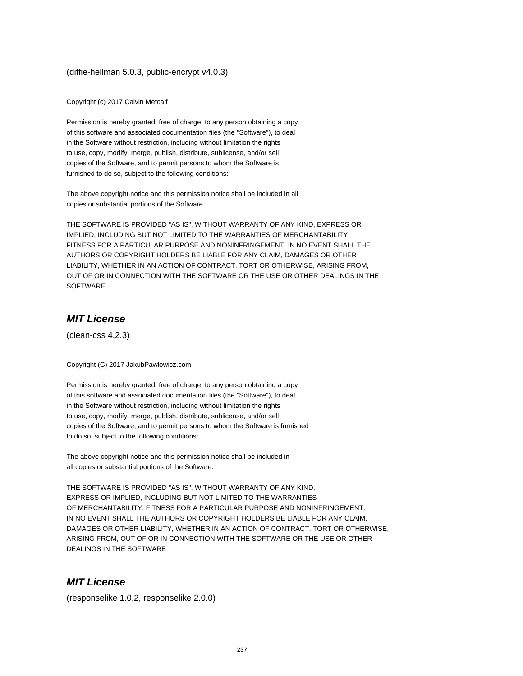(diffie-hellman 5.0.3, public-encrypt v4.0.3)

Copyright (c) 2017 Calvin Metcalf

Permission is hereby granted, free of charge, to any person obtaining a copy of this software and associated documentation files (the "Software"), to deal in the Software without restriction, including without limitation the rights to use, copy, modify, merge, publish, distribute, sublicense, and/or sell copies of the Software, and to permit persons to whom the Software is furnished to do so, subject to the following conditions:

The above copyright notice and this permission notice shall be included in all copies or substantial portions of the Software.

THE SOFTWARE IS PROVIDED "AS IS", WITHOUT WARRANTY OF ANY KIND, EXPRESS OR IMPLIED, INCLUDING BUT NOT LIMITED TO THE WARRANTIES OF MERCHANTABILITY, FITNESS FOR A PARTICULAR PURPOSE AND NONINFRINGEMENT. IN NO EVENT SHALL THE AUTHORS OR COPYRIGHT HOLDERS BE LIABLE FOR ANY CLAIM, DAMAGES OR OTHER LIABILITY, WHETHER IN AN ACTION OF CONTRACT, TORT OR OTHERWISE, ARISING FROM, OUT OF OR IN CONNECTION WITH THE SOFTWARE OR THE USE OR OTHER DEALINGS IN THE SOFTWARE

#### **MIT License**

(clean-css 4.2.3)

Copyright (C) 2017 JakubPawlowicz.com

Permission is hereby granted, free of charge, to any person obtaining a copy of this software and associated documentation files (the "Software"), to deal in the Software without restriction, including without limitation the rights to use, copy, modify, merge, publish, distribute, sublicense, and/or sell copies of the Software, and to permit persons to whom the Software is furnished to do so, subject to the following conditions:

The above copyright notice and this permission notice shall be included in all copies or substantial portions of the Software.

THE SOFTWARE IS PROVIDED "AS IS", WITHOUT WARRANTY OF ANY KIND, EXPRESS OR IMPLIED, INCLUDING BUT NOT LIMITED TO THE WARRANTIES OF MERCHANTABILITY, FITNESS FOR A PARTICULAR PURPOSE AND NONINFRINGEMENT. IN NO EVENT SHALL THE AUTHORS OR COPYRIGHT HOLDERS BE LIABLE FOR ANY CLAIM, DAMAGES OR OTHER LIABILITY, WHETHER IN AN ACTION OF CONTRACT, TORT OR OTHERWISE, ARISING FROM, OUT OF OR IN CONNECTION WITH THE SOFTWARE OR THE USE OR OTHER DEALINGS IN THE SOFTWARE

## **MIT License**

(responselike 1.0.2, responselike 2.0.0)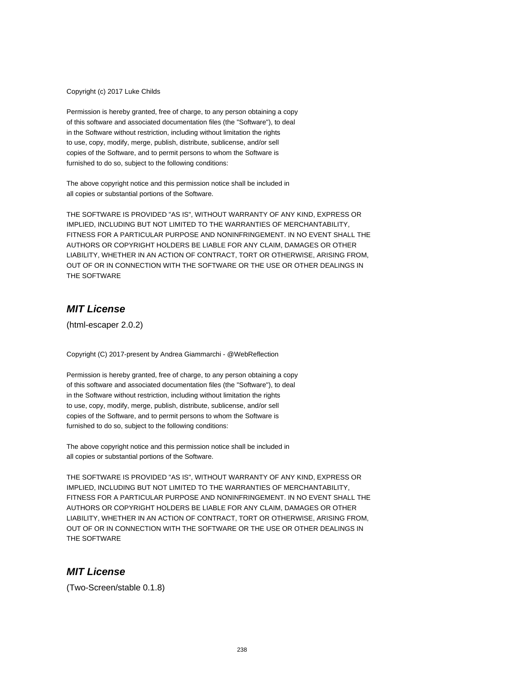Copyright (c) 2017 Luke Childs

Permission is hereby granted, free of charge, to any person obtaining a copy of this software and associated documentation files (the "Software"), to deal in the Software without restriction, including without limitation the rights to use, copy, modify, merge, publish, distribute, sublicense, and/or sell copies of the Software, and to permit persons to whom the Software is furnished to do so, subject to the following conditions:

The above copyright notice and this permission notice shall be included in all copies or substantial portions of the Software.

THE SOFTWARE IS PROVIDED "AS IS", WITHOUT WARRANTY OF ANY KIND, EXPRESS OR IMPLIED, INCLUDING BUT NOT LIMITED TO THE WARRANTIES OF MERCHANTABILITY, FITNESS FOR A PARTICULAR PURPOSE AND NONINFRINGEMENT. IN NO EVENT SHALL THE AUTHORS OR COPYRIGHT HOLDERS BE LIABLE FOR ANY CLAIM, DAMAGES OR OTHER LIABILITY, WHETHER IN AN ACTION OF CONTRACT, TORT OR OTHERWISE, ARISING FROM, OUT OF OR IN CONNECTION WITH THE SOFTWARE OR THE USE OR OTHER DEALINGS IN THE SOFTWARE

# **MIT License**

(html-escaper 2.0.2)

Copyright (C) 2017-present by Andrea Giammarchi - @WebReflection

Permission is hereby granted, free of charge, to any person obtaining a copy of this software and associated documentation files (the "Software"), to deal in the Software without restriction, including without limitation the rights to use, copy, modify, merge, publish, distribute, sublicense, and/or sell copies of the Software, and to permit persons to whom the Software is furnished to do so, subject to the following conditions:

The above copyright notice and this permission notice shall be included in all copies or substantial portions of the Software.

THE SOFTWARE IS PROVIDED "AS IS", WITHOUT WARRANTY OF ANY KIND, EXPRESS OR IMPLIED, INCLUDING BUT NOT LIMITED TO THE WARRANTIES OF MERCHANTABILITY, FITNESS FOR A PARTICULAR PURPOSE AND NONINFRINGEMENT. IN NO EVENT SHALL THE AUTHORS OR COPYRIGHT HOLDERS BE LIABLE FOR ANY CLAIM, DAMAGES OR OTHER LIABILITY, WHETHER IN AN ACTION OF CONTRACT, TORT OR OTHERWISE, ARISING FROM, OUT OF OR IN CONNECTION WITH THE SOFTWARE OR THE USE OR OTHER DEALINGS IN THE SOFTWARE

## **MIT License**

(Two-Screen/stable 0.1.8)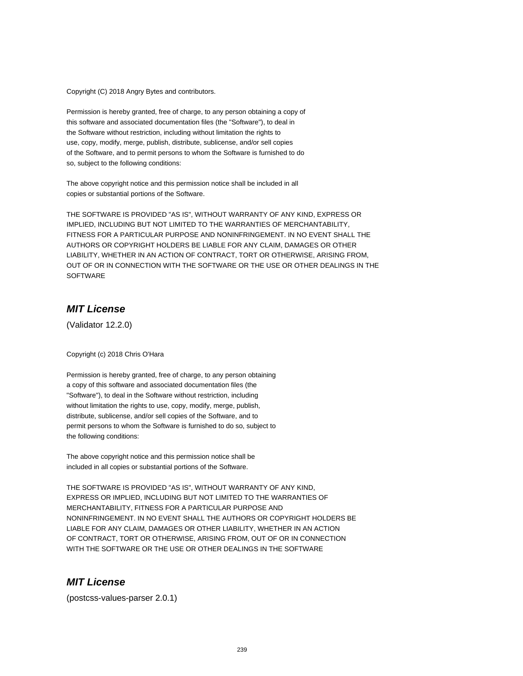Copyright (C) 2018 Angry Bytes and contributors.

Permission is hereby granted, free of charge, to any person obtaining a copy of this software and associated documentation files (the "Software"), to deal in the Software without restriction, including without limitation the rights to use, copy, modify, merge, publish, distribute, sublicense, and/or sell copies of the Software, and to permit persons to whom the Software is furnished to do so, subject to the following conditions:

The above copyright notice and this permission notice shall be included in all copies or substantial portions of the Software.

THE SOFTWARE IS PROVIDED "AS IS", WITHOUT WARRANTY OF ANY KIND, EXPRESS OR IMPLIED, INCLUDING BUT NOT LIMITED TO THE WARRANTIES OF MERCHANTABILITY, FITNESS FOR A PARTICULAR PURPOSE AND NONINFRINGEMENT. IN NO EVENT SHALL THE AUTHORS OR COPYRIGHT HOLDERS BE LIABLE FOR ANY CLAIM, DAMAGES OR OTHER LIABILITY, WHETHER IN AN ACTION OF CONTRACT, TORT OR OTHERWISE, ARISING FROM, OUT OF OR IN CONNECTION WITH THE SOFTWARE OR THE USE OR OTHER DEALINGS IN THE **SOFTWARE** 

# **MIT License**

(Validator 12.2.0)

Copyright (c) 2018 Chris O'Hara

Permission is hereby granted, free of charge, to any person obtaining a copy of this software and associated documentation files (the "Software"), to deal in the Software without restriction, including without limitation the rights to use, copy, modify, merge, publish, distribute, sublicense, and/or sell copies of the Software, and to permit persons to whom the Software is furnished to do so, subject to the following conditions:

The above copyright notice and this permission notice shall be included in all copies or substantial portions of the Software.

THE SOFTWARE IS PROVIDED "AS IS", WITHOUT WARRANTY OF ANY KIND, EXPRESS OR IMPLIED, INCLUDING BUT NOT LIMITED TO THE WARRANTIES OF MERCHANTABILITY, FITNESS FOR A PARTICULAR PURPOSE AND NONINFRINGEMENT. IN NO EVENT SHALL THE AUTHORS OR COPYRIGHT HOLDERS BE LIABLE FOR ANY CLAIM, DAMAGES OR OTHER LIABILITY, WHETHER IN AN ACTION OF CONTRACT, TORT OR OTHERWISE, ARISING FROM, OUT OF OR IN CONNECTION WITH THE SOFTWARE OR THE USE OR OTHER DEALINGS IN THE SOFTWARE

## **MIT License**

(postcss-values-parser 2.0.1)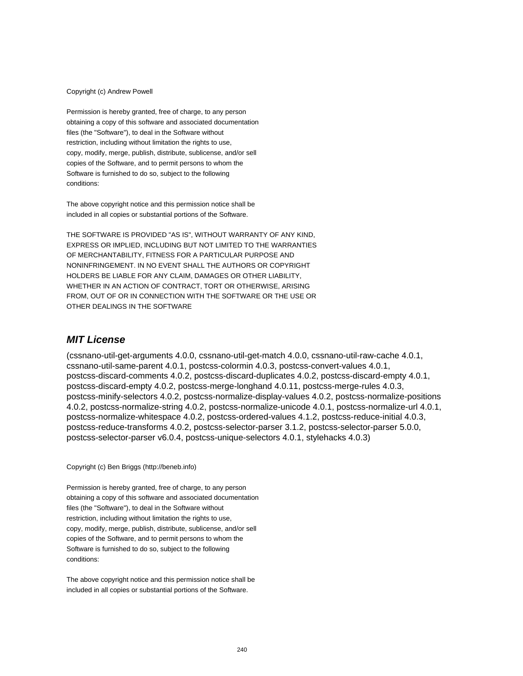#### Copyright (c) Andrew Powell

Permission is hereby granted, free of charge, to any person obtaining a copy of this software and associated documentation files (the "Software"), to deal in the Software without restriction, including without limitation the rights to use, copy, modify, merge, publish, distribute, sublicense, and/or sell copies of the Software, and to permit persons to whom the Software is furnished to do so, subject to the following conditions:

The above copyright notice and this permission notice shall be included in all copies or substantial portions of the Software.

THE SOFTWARE IS PROVIDED "AS IS", WITHOUT WARRANTY OF ANY KIND, EXPRESS OR IMPLIED, INCLUDING BUT NOT LIMITED TO THE WARRANTIES OF MERCHANTABILITY, FITNESS FOR A PARTICULAR PURPOSE AND NONINFRINGEMENT. IN NO EVENT SHALL THE AUTHORS OR COPYRIGHT HOLDERS BE LIABLE FOR ANY CLAIM, DAMAGES OR OTHER LIABILITY, WHETHER IN AN ACTION OF CONTRACT, TORT OR OTHERWISE, ARISING FROM, OUT OF OR IN CONNECTION WITH THE SOFTWARE OR THE USE OR OTHER DEALINGS IN THE SOFTWARE

#### **MIT License**

(cssnano-util-get-arguments 4.0.0, cssnano-util-get-match 4.0.0, cssnano-util-raw-cache 4.0.1, cssnano-util-same-parent 4.0.1, postcss-colormin 4.0.3, postcss-convert-values 4.0.1, postcss-discard-comments 4.0.2, postcss-discard-duplicates 4.0.2, postcss-discard-empty 4.0.1, postcss-discard-empty 4.0.2, postcss-merge-longhand 4.0.11, postcss-merge-rules 4.0.3, postcss-minify-selectors 4.0.2, postcss-normalize-display-values 4.0.2, postcss-normalize-positions 4.0.2, postcss-normalize-string 4.0.2, postcss-normalize-unicode 4.0.1, postcss-normalize-url 4.0.1, postcss-normalize-whitespace 4.0.2, postcss-ordered-values 4.1.2, postcss-reduce-initial 4.0.3, postcss-reduce-transforms 4.0.2, postcss-selector-parser 3.1.2, postcss-selector-parser 5.0.0, postcss-selector-parser v6.0.4, postcss-unique-selectors 4.0.1, stylehacks 4.0.3)

Copyright (c) Ben Briggs (http://beneb.info)

Permission is hereby granted, free of charge, to any person obtaining a copy of this software and associated documentation files (the "Software"), to deal in the Software without restriction, including without limitation the rights to use, copy, modify, merge, publish, distribute, sublicense, and/or sell copies of the Software, and to permit persons to whom the Software is furnished to do so, subject to the following conditions:

The above copyright notice and this permission notice shall be included in all copies or substantial portions of the Software.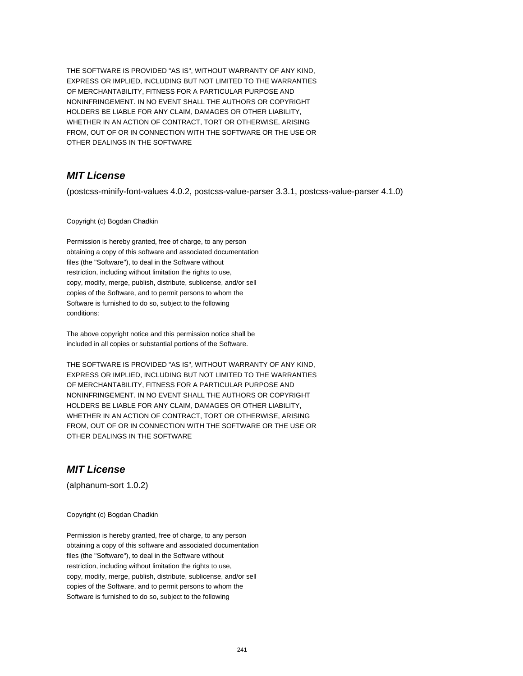THE SOFTWARE IS PROVIDED "AS IS", WITHOUT WARRANTY OF ANY KIND, EXPRESS OR IMPLIED, INCLUDING BUT NOT LIMITED TO THE WARRANTIES OF MERCHANTABILITY, FITNESS FOR A PARTICULAR PURPOSE AND NONINFRINGEMENT. IN NO EVENT SHALL THE AUTHORS OR COPYRIGHT HOLDERS BE LIABLE FOR ANY CLAIM, DAMAGES OR OTHER LIABILITY, WHETHER IN AN ACTION OF CONTRACT, TORT OR OTHERWISE, ARISING FROM, OUT OF OR IN CONNECTION WITH THE SOFTWARE OR THE USE OR OTHER DEALINGS IN THE SOFTWARE

# **MIT License**

(postcss-minify-font-values 4.0.2, postcss-value-parser 3.3.1, postcss-value-parser 4.1.0)

#### Copyright (c) Bogdan Chadkin

Permission is hereby granted, free of charge, to any person obtaining a copy of this software and associated documentation files (the "Software"), to deal in the Software without restriction, including without limitation the rights to use, copy, modify, merge, publish, distribute, sublicense, and/or sell copies of the Software, and to permit persons to whom the Software is furnished to do so, subject to the following conditions:

The above copyright notice and this permission notice shall be included in all copies or substantial portions of the Software.

THE SOFTWARE IS PROVIDED "AS IS", WITHOUT WARRANTY OF ANY KIND, EXPRESS OR IMPLIED, INCLUDING BUT NOT LIMITED TO THE WARRANTIES OF MERCHANTABILITY, FITNESS FOR A PARTICULAR PURPOSE AND NONINFRINGEMENT. IN NO EVENT SHALL THE AUTHORS OR COPYRIGHT HOLDERS BE LIABLE FOR ANY CLAIM, DAMAGES OR OTHER LIABILITY, WHETHER IN AN ACTION OF CONTRACT, TORT OR OTHERWISE, ARISING FROM, OUT OF OR IN CONNECTION WITH THE SOFTWARE OR THE USE OR OTHER DEALINGS IN THE SOFTWARE

#### **MIT License**

(alphanum-sort 1.0.2)

Copyright (c) Bogdan Chadkin

Permission is hereby granted, free of charge, to any person obtaining a copy of this software and associated documentation files (the "Software"), to deal in the Software without restriction, including without limitation the rights to use, copy, modify, merge, publish, distribute, sublicense, and/or sell copies of the Software, and to permit persons to whom the Software is furnished to do so, subject to the following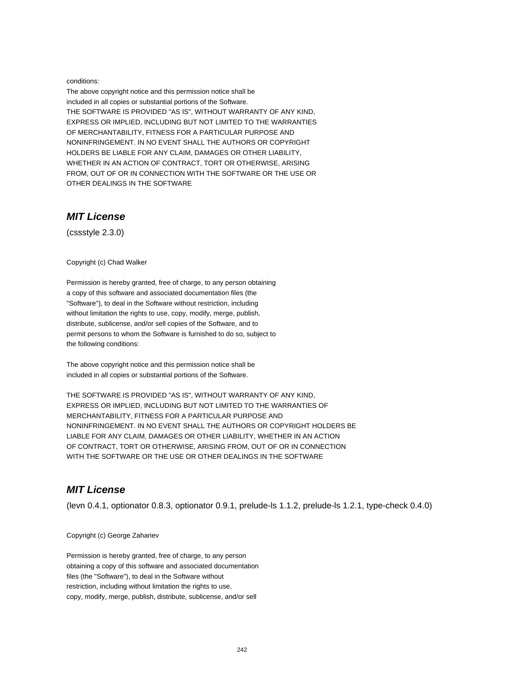#### conditions:

The above copyright notice and this permission notice shall be included in all copies or substantial portions of the Software. THE SOFTWARE IS PROVIDED "AS IS", WITHOUT WARRANTY OF ANY KIND, EXPRESS OR IMPLIED, INCLUDING BUT NOT LIMITED TO THE WARRANTIES OF MERCHANTABILITY, FITNESS FOR A PARTICULAR PURPOSE AND NONINFRINGEMENT. IN NO EVENT SHALL THE AUTHORS OR COPYRIGHT HOLDERS BE LIABLE FOR ANY CLAIM, DAMAGES OR OTHER LIABILITY, WHETHER IN AN ACTION OF CONTRACT, TORT OR OTHERWISE, ARISING FROM, OUT OF OR IN CONNECTION WITH THE SOFTWARE OR THE USE OR OTHER DEALINGS IN THE SOFTWARE

## **MIT License**

(cssstyle 2.3.0)

Copyright (c) Chad Walker

Permission is hereby granted, free of charge, to any person obtaining a copy of this software and associated documentation files (the "Software"), to deal in the Software without restriction, including without limitation the rights to use, copy, modify, merge, publish, distribute, sublicense, and/or sell copies of the Software, and to permit persons to whom the Software is furnished to do so, subject to the following conditions:

The above copyright notice and this permission notice shall be included in all copies or substantial portions of the Software.

THE SOFTWARE IS PROVIDED "AS IS", WITHOUT WARRANTY OF ANY KIND, EXPRESS OR IMPLIED, INCLUDING BUT NOT LIMITED TO THE WARRANTIES OF MERCHANTABILITY, FITNESS FOR A PARTICULAR PURPOSE AND NONINFRINGEMENT. IN NO EVENT SHALL THE AUTHORS OR COPYRIGHT HOLDERS BE LIABLE FOR ANY CLAIM, DAMAGES OR OTHER LIABILITY, WHETHER IN AN ACTION OF CONTRACT, TORT OR OTHERWISE, ARISING FROM, OUT OF OR IN CONNECTION WITH THE SOFTWARE OR THE USE OR OTHER DEALINGS IN THE SOFTWARE

## **MIT License**

(levn 0.4.1, optionator 0.8.3, optionator 0.9.1, prelude-ls 1.1.2, prelude-ls 1.2.1, type-check 0.4.0)

Copyright (c) George Zahariev

Permission is hereby granted, free of charge, to any person obtaining a copy of this software and associated documentation files (the "Software"), to deal in the Software without restriction, including without limitation the rights to use, copy, modify, merge, publish, distribute, sublicense, and/or sell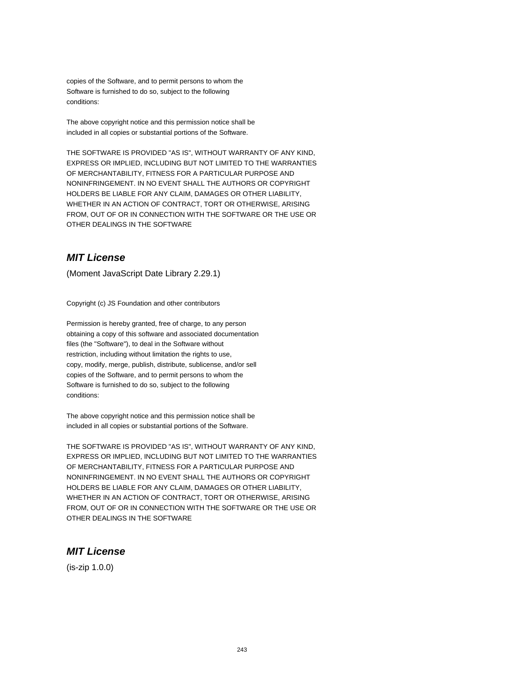copies of the Software, and to permit persons to whom the Software is furnished to do so, subject to the following conditions:

The above copyright notice and this permission notice shall be included in all copies or substantial portions of the Software.

THE SOFTWARE IS PROVIDED "AS IS", WITHOUT WARRANTY OF ANY KIND, EXPRESS OR IMPLIED, INCLUDING BUT NOT LIMITED TO THE WARRANTIES OF MERCHANTABILITY, FITNESS FOR A PARTICULAR PURPOSE AND NONINFRINGEMENT. IN NO EVENT SHALL THE AUTHORS OR COPYRIGHT HOLDERS BE LIABLE FOR ANY CLAIM, DAMAGES OR OTHER LIABILITY, WHETHER IN AN ACTION OF CONTRACT, TORT OR OTHERWISE, ARISING FROM, OUT OF OR IN CONNECTION WITH THE SOFTWARE OR THE USE OR OTHER DEALINGS IN THE SOFTWARE

# **MIT License**

(Moment JavaScript Date Library 2.29.1)

Copyright (c) JS Foundation and other contributors

Permission is hereby granted, free of charge, to any person obtaining a copy of this software and associated documentation files (the "Software"), to deal in the Software without restriction, including without limitation the rights to use. copy, modify, merge, publish, distribute, sublicense, and/or sell copies of the Software, and to permit persons to whom the Software is furnished to do so, subject to the following conditions:

The above copyright notice and this permission notice shall be included in all copies or substantial portions of the Software.

THE SOFTWARE IS PROVIDED "AS IS", WITHOUT WARRANTY OF ANY KIND, EXPRESS OR IMPLIED, INCLUDING BUT NOT LIMITED TO THE WARRANTIES OF MERCHANTABILITY, FITNESS FOR A PARTICULAR PURPOSE AND NONINFRINGEMENT. IN NO EVENT SHALL THE AUTHORS OR COPYRIGHT HOLDERS BE LIABLE FOR ANY CLAIM, DAMAGES OR OTHER LIABILITY, WHETHER IN AN ACTION OF CONTRACT, TORT OR OTHERWISE, ARISING FROM, OUT OF OR IN CONNECTION WITH THE SOFTWARE OR THE USE OR OTHER DEALINGS IN THE SOFTWARE

#### **MIT License**

(is-zip 1.0.0)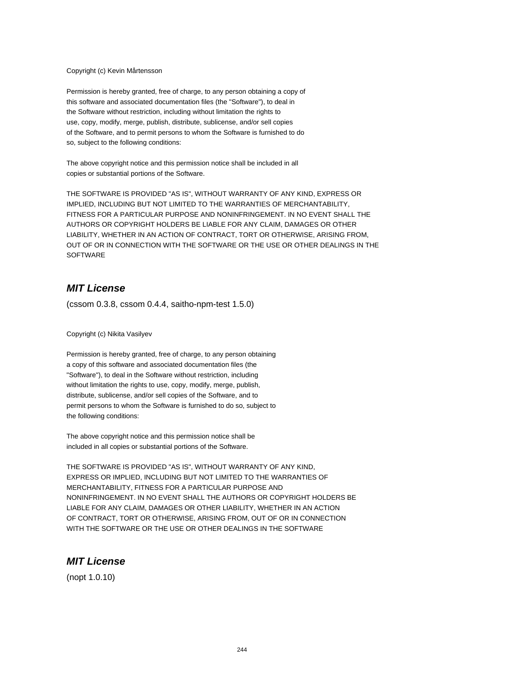#### Copyright (c) Kevin Mårtensson

Permission is hereby granted, free of charge, to any person obtaining a copy of this software and associated documentation files (the "Software"), to deal in the Software without restriction, including without limitation the rights to use, copy, modify, merge, publish, distribute, sublicense, and/or sell copies of the Software, and to permit persons to whom the Software is furnished to do so, subject to the following conditions:

The above copyright notice and this permission notice shall be included in all copies or substantial portions of the Software.

THE SOFTWARE IS PROVIDED "AS IS", WITHOUT WARRANTY OF ANY KIND, EXPRESS OR IMPLIED, INCLUDING BUT NOT LIMITED TO THE WARRANTIES OF MERCHANTABILITY, FITNESS FOR A PARTICULAR PURPOSE AND NONINFRINGEMENT. IN NO EVENT SHALL THE AUTHORS OR COPYRIGHT HOLDERS BE LIABLE FOR ANY CLAIM, DAMAGES OR OTHER LIABILITY, WHETHER IN AN ACTION OF CONTRACT, TORT OR OTHERWISE, ARISING FROM, OUT OF OR IN CONNECTION WITH THE SOFTWARE OR THE USE OR OTHER DEALINGS IN THE **SOFTWARE** 

### **MIT License**

(cssom 0.3.8, cssom 0.4.4, saitho-npm-test 1.5.0)

Copyright (c) Nikita Vasilyev

Permission is hereby granted, free of charge, to any person obtaining a copy of this software and associated documentation files (the "Software"), to deal in the Software without restriction, including without limitation the rights to use, copy, modify, merge, publish, distribute, sublicense, and/or sell copies of the Software, and to permit persons to whom the Software is furnished to do so, subject to the following conditions:

The above copyright notice and this permission notice shall be included in all copies or substantial portions of the Software.

THE SOFTWARE IS PROVIDED "AS IS", WITHOUT WARRANTY OF ANY KIND, EXPRESS OR IMPLIED, INCLUDING BUT NOT LIMITED TO THE WARRANTIES OF MERCHANTABILITY, FITNESS FOR A PARTICULAR PURPOSE AND NONINFRINGEMENT. IN NO EVENT SHALL THE AUTHORS OR COPYRIGHT HOLDERS BE LIABLE FOR ANY CLAIM, DAMAGES OR OTHER LIABILITY, WHETHER IN AN ACTION OF CONTRACT, TORT OR OTHERWISE, ARISING FROM, OUT OF OR IN CONNECTION WITH THE SOFTWARE OR THE USE OR OTHER DEALINGS IN THE SOFTWARE

### **MIT License**

(nopt 1.0.10)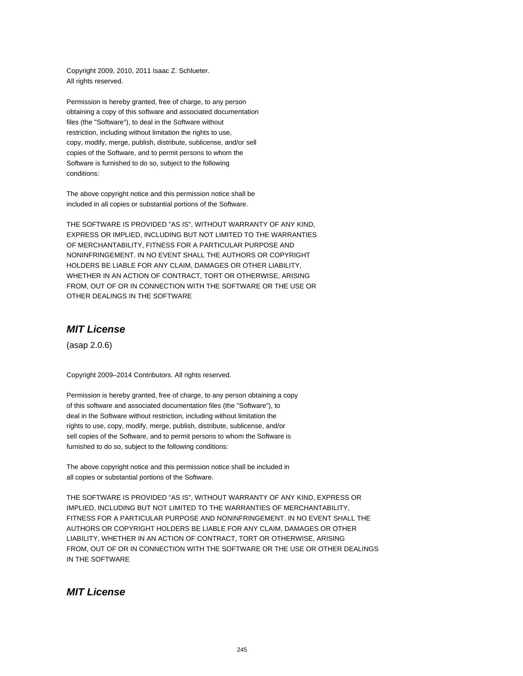Copyright 2009, 2010, 2011 Isaac Z. Schlueter. All rights reserved.

Permission is hereby granted, free of charge, to any person obtaining a copy of this software and associated documentation files (the "Software"), to deal in the Software without restriction, including without limitation the rights to use, copy, modify, merge, publish, distribute, sublicense, and/or sell copies of the Software, and to permit persons to whom the Software is furnished to do so, subject to the following conditions:

The above copyright notice and this permission notice shall be included in all copies or substantial portions of the Software.

THE SOFTWARE IS PROVIDED "AS IS", WITHOUT WARRANTY OF ANY KIND, EXPRESS OR IMPLIED, INCLUDING BUT NOT LIMITED TO THE WARRANTIES OF MERCHANTABILITY, FITNESS FOR A PARTICULAR PURPOSE AND NONINFRINGEMENT. IN NO EVENT SHALL THE AUTHORS OR COPYRIGHT HOLDERS BE LIABLE FOR ANY CLAIM, DAMAGES OR OTHER LIABILITY, WHETHER IN AN ACTION OF CONTRACT, TORT OR OTHERWISE, ARISING FROM, OUT OF OR IN CONNECTION WITH THE SOFTWARE OR THE USE OR OTHER DEALINGS IN THE SOFTWARE

# **MIT License**

(asap 2.0.6)

Copyright 2009–2014 Contributors. All rights reserved.

Permission is hereby granted, free of charge, to any person obtaining a copy of this software and associated documentation files (the "Software"), to deal in the Software without restriction, including without limitation the rights to use, copy, modify, merge, publish, distribute, sublicense, and/or sell copies of the Software, and to permit persons to whom the Software is furnished to do so, subject to the following conditions:

The above copyright notice and this permission notice shall be included in all copies or substantial portions of the Software.

THE SOFTWARE IS PROVIDED "AS IS", WITHOUT WARRANTY OF ANY KIND, EXPRESS OR IMPLIED, INCLUDING BUT NOT LIMITED TO THE WARRANTIES OF MERCHANTABILITY, FITNESS FOR A PARTICULAR PURPOSE AND NONINFRINGEMENT. IN NO EVENT SHALL THE AUTHORS OR COPYRIGHT HOLDERS BE LIABLE FOR ANY CLAIM, DAMAGES OR OTHER LIABILITY, WHETHER IN AN ACTION OF CONTRACT, TORT OR OTHERWISE, ARISING FROM, OUT OF OR IN CONNECTION WITH THE SOFTWARE OR THE USE OR OTHER DEALINGS IN THE SOFTWARE

## **MIT License**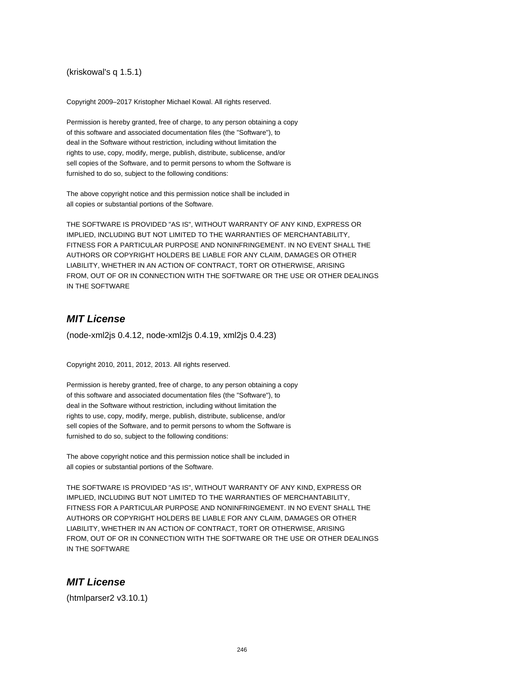(kriskowal's q 1.5.1)

Copyright 2009–2017 Kristopher Michael Kowal. All rights reserved.

Permission is hereby granted, free of charge, to any person obtaining a copy of this software and associated documentation files (the "Software"), to deal in the Software without restriction, including without limitation the rights to use, copy, modify, merge, publish, distribute, sublicense, and/or sell copies of the Software, and to permit persons to whom the Software is furnished to do so, subject to the following conditions:

The above copyright notice and this permission notice shall be included in all copies or substantial portions of the Software.

THE SOFTWARE IS PROVIDED "AS IS", WITHOUT WARRANTY OF ANY KIND, EXPRESS OR IMPLIED, INCLUDING BUT NOT LIMITED TO THE WARRANTIES OF MERCHANTABILITY, FITNESS FOR A PARTICULAR PURPOSE AND NONINFRINGEMENT. IN NO EVENT SHALL THE AUTHORS OR COPYRIGHT HOLDERS BE LIABLE FOR ANY CLAIM, DAMAGES OR OTHER LIABILITY, WHETHER IN AN ACTION OF CONTRACT, TORT OR OTHERWISE, ARISING FROM, OUT OF OR IN CONNECTION WITH THE SOFTWARE OR THE USE OR OTHER DEALINGS IN THE SOFTWARE

### **MIT License**

(node-xml2js 0.4.12, node-xml2js 0.4.19, xml2js 0.4.23)

Copyright 2010, 2011, 2012, 2013. All rights reserved.

Permission is hereby granted, free of charge, to any person obtaining a copy of this software and associated documentation files (the "Software"), to deal in the Software without restriction, including without limitation the rights to use, copy, modify, merge, publish, distribute, sublicense, and/or sell copies of the Software, and to permit persons to whom the Software is furnished to do so, subject to the following conditions:

The above copyright notice and this permission notice shall be included in all copies or substantial portions of the Software.

THE SOFTWARE IS PROVIDED "AS IS", WITHOUT WARRANTY OF ANY KIND, EXPRESS OR IMPLIED, INCLUDING BUT NOT LIMITED TO THE WARRANTIES OF MERCHANTABILITY, FITNESS FOR A PARTICULAR PURPOSE AND NONINFRINGEMENT. IN NO EVENT SHALL THE AUTHORS OR COPYRIGHT HOLDERS BE LIABLE FOR ANY CLAIM, DAMAGES OR OTHER LIABILITY, WHETHER IN AN ACTION OF CONTRACT, TORT OR OTHERWISE, ARISING FROM, OUT OF OR IN CONNECTION WITH THE SOFTWARE OR THE USE OR OTHER DEALINGS IN THE SOFTWARE

### **MIT License**

(htmlparser2 v3.10.1)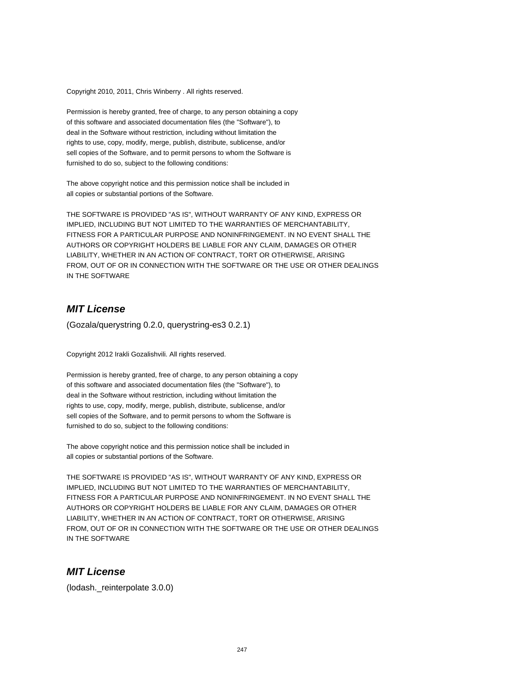Copyright 2010, 2011, Chris Winberry . All rights reserved.

Permission is hereby granted, free of charge, to any person obtaining a copy of this software and associated documentation files (the "Software"), to deal in the Software without restriction, including without limitation the rights to use, copy, modify, merge, publish, distribute, sublicense, and/or sell copies of the Software, and to permit persons to whom the Software is furnished to do so, subject to the following conditions:

The above copyright notice and this permission notice shall be included in all copies or substantial portions of the Software.

THE SOFTWARE IS PROVIDED "AS IS", WITHOUT WARRANTY OF ANY KIND, EXPRESS OR IMPLIED, INCLUDING BUT NOT LIMITED TO THE WARRANTIES OF MERCHANTABILITY, FITNESS FOR A PARTICULAR PURPOSE AND NONINFRINGEMENT. IN NO EVENT SHALL THE AUTHORS OR COPYRIGHT HOLDERS BE LIABLE FOR ANY CLAIM, DAMAGES OR OTHER LIABILITY, WHETHER IN AN ACTION OF CONTRACT, TORT OR OTHERWISE, ARISING FROM, OUT OF OR IN CONNECTION WITH THE SOFTWARE OR THE USE OR OTHER DEALINGS IN THE SOFTWARE

# **MIT License**

(Gozala/querystring 0.2.0, querystring-es3 0.2.1)

Copyright 2012 Irakli Gozalishvili. All rights reserved.

Permission is hereby granted, free of charge, to any person obtaining a copy of this software and associated documentation files (the "Software"), to deal in the Software without restriction, including without limitation the rights to use, copy, modify, merge, publish, distribute, sublicense, and/or sell copies of the Software, and to permit persons to whom the Software is furnished to do so, subject to the following conditions:

The above copyright notice and this permission notice shall be included in all copies or substantial portions of the Software.

THE SOFTWARE IS PROVIDED "AS IS", WITHOUT WARRANTY OF ANY KIND, EXPRESS OR IMPLIED, INCLUDING BUT NOT LIMITED TO THE WARRANTIES OF MERCHANTABILITY, FITNESS FOR A PARTICULAR PURPOSE AND NONINFRINGEMENT. IN NO EVENT SHALL THE AUTHORS OR COPYRIGHT HOLDERS BE LIABLE FOR ANY CLAIM, DAMAGES OR OTHER LIABILITY, WHETHER IN AN ACTION OF CONTRACT, TORT OR OTHERWISE, ARISING FROM, OUT OF OR IN CONNECTION WITH THE SOFTWARE OR THE USE OR OTHER DEALINGS IN THE SOFTWARE

#### **MIT License**

(lodash.\_reinterpolate 3.0.0)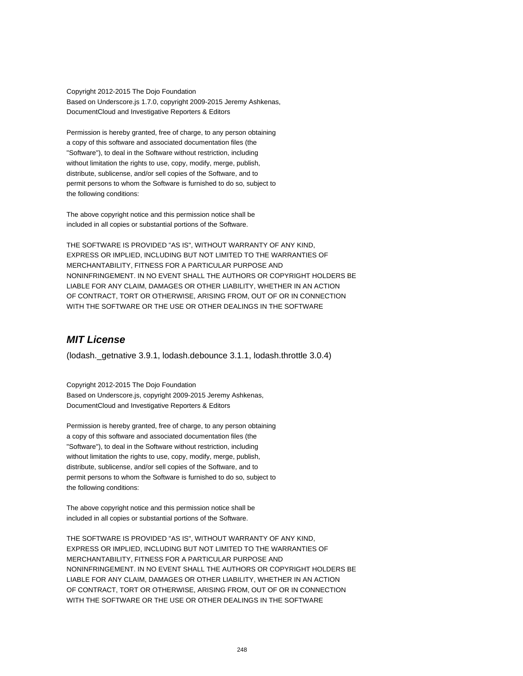Copyright 2012-2015 The Dojo Foundation Based on Underscore.js 1.7.0, copyright 2009-2015 Jeremy Ashkenas, DocumentCloud and Investigative Reporters & Editors

Permission is hereby granted, free of charge, to any person obtaining a copy of this software and associated documentation files (the "Software"), to deal in the Software without restriction, including without limitation the rights to use, copy, modify, merge, publish, distribute, sublicense, and/or sell copies of the Software, and to permit persons to whom the Software is furnished to do so, subject to the following conditions:

The above copyright notice and this permission notice shall be included in all copies or substantial portions of the Software.

THE SOFTWARE IS PROVIDED "AS IS", WITHOUT WARRANTY OF ANY KIND, EXPRESS OR IMPLIED, INCLUDING BUT NOT LIMITED TO THE WARRANTIES OF MERCHANTABILITY, FITNESS FOR A PARTICULAR PURPOSE AND NONINFRINGEMENT. IN NO EVENT SHALL THE AUTHORS OR COPYRIGHT HOLDERS BE LIABLE FOR ANY CLAIM, DAMAGES OR OTHER LIABILITY, WHETHER IN AN ACTION OF CONTRACT, TORT OR OTHERWISE, ARISING FROM, OUT OF OR IN CONNECTION WITH THE SOFTWARE OR THE USE OR OTHER DEALINGS IN THE SOFTWARE

# **MIT License**

(lodash.\_getnative 3.9.1, lodash.debounce 3.1.1, lodash.throttle 3.0.4)

Copyright 2012-2015 The Dojo Foundation Based on Underscore.js, copyright 2009-2015 Jeremy Ashkenas, DocumentCloud and Investigative Reporters & Editors

Permission is hereby granted, free of charge, to any person obtaining a copy of this software and associated documentation files (the "Software"), to deal in the Software without restriction, including without limitation the rights to use, copy, modify, merge, publish, distribute, sublicense, and/or sell copies of the Software, and to permit persons to whom the Software is furnished to do so, subject to the following conditions:

The above copyright notice and this permission notice shall be included in all copies or substantial portions of the Software.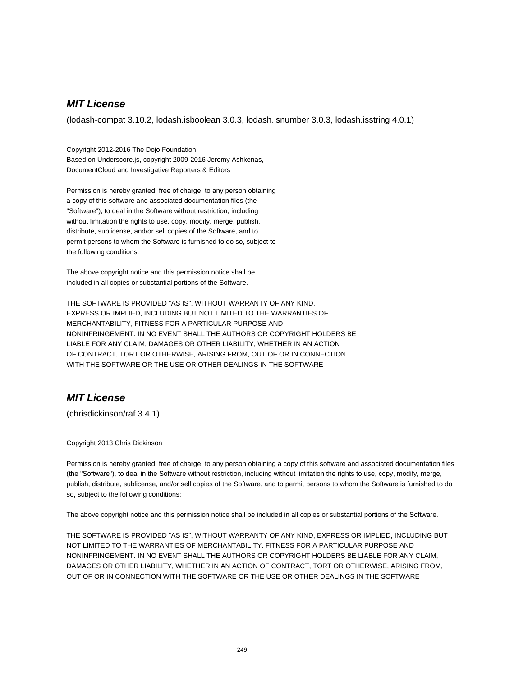(lodash-compat 3.10.2, lodash.isboolean 3.0.3, lodash.isnumber 3.0.3, lodash.isstring 4.0.1)

Copyright 2012-2016 The Dojo Foundation Based on Underscore.js, copyright 2009-2016 Jeremy Ashkenas, DocumentCloud and Investigative Reporters & Editors

Permission is hereby granted, free of charge, to any person obtaining a copy of this software and associated documentation files (the "Software"), to deal in the Software without restriction, including without limitation the rights to use, copy, modify, merge, publish, distribute, sublicense, and/or sell copies of the Software, and to permit persons to whom the Software is furnished to do so, subject to the following conditions:

The above copyright notice and this permission notice shall be included in all copies or substantial portions of the Software.

THE SOFTWARE IS PROVIDED "AS IS", WITHOUT WARRANTY OF ANY KIND, EXPRESS OR IMPLIED, INCLUDING BUT NOT LIMITED TO THE WARRANTIES OF MERCHANTABILITY, FITNESS FOR A PARTICULAR PURPOSE AND NONINFRINGEMENT. IN NO EVENT SHALL THE AUTHORS OR COPYRIGHT HOLDERS BE LIABLE FOR ANY CLAIM, DAMAGES OR OTHER LIABILITY, WHETHER IN AN ACTION OF CONTRACT, TORT OR OTHERWISE, ARISING FROM, OUT OF OR IN CONNECTION WITH THE SOFTWARE OR THE USE OR OTHER DEALINGS IN THE SOFTWARE

# **MIT License**

(chrisdickinson/raf 3.4.1)

Copyright 2013 Chris Dickinson

Permission is hereby granted, free of charge, to any person obtaining a copy of this software and associated documentation files (the "Software"), to deal in the Software without restriction, including without limitation the rights to use, copy, modify, merge, publish, distribute, sublicense, and/or sell copies of the Software, and to permit persons to whom the Software is furnished to do so, subject to the following conditions:

The above copyright notice and this permission notice shall be included in all copies or substantial portions of the Software.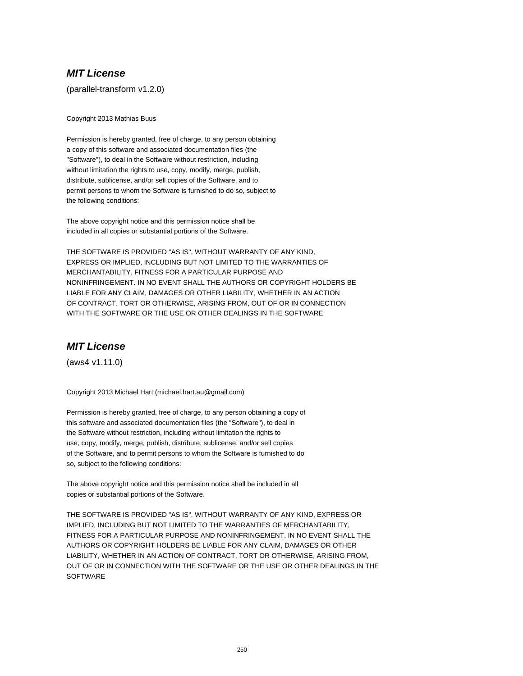(parallel-transform v1.2.0)

Copyright 2013 Mathias Buus

Permission is hereby granted, free of charge, to any person obtaining a copy of this software and associated documentation files (the "Software"), to deal in the Software without restriction, including without limitation the rights to use, copy, modify, merge, publish, distribute, sublicense, and/or sell copies of the Software, and to permit persons to whom the Software is furnished to do so, subject to the following conditions:

The above copyright notice and this permission notice shall be included in all copies or substantial portions of the Software.

THE SOFTWARE IS PROVIDED "AS IS", WITHOUT WARRANTY OF ANY KIND, EXPRESS OR IMPLIED, INCLUDING BUT NOT LIMITED TO THE WARRANTIES OF MERCHANTABILITY, FITNESS FOR A PARTICULAR PURPOSE AND NONINFRINGEMENT. IN NO EVENT SHALL THE AUTHORS OR COPYRIGHT HOLDERS BE LIABLE FOR ANY CLAIM, DAMAGES OR OTHER LIABILITY, WHETHER IN AN ACTION OF CONTRACT, TORT OR OTHERWISE, ARISING FROM, OUT OF OR IN CONNECTION WITH THE SOFTWARE OR THE USE OR OTHER DEALINGS IN THE SOFTWARE

# **MIT License**

(aws4 v1.11.0)

Copyright 2013 Michael Hart (michael.hart.au@gmail.com)

Permission is hereby granted, free of charge, to any person obtaining a copy of this software and associated documentation files (the "Software"), to deal in the Software without restriction, including without limitation the rights to use, copy, modify, merge, publish, distribute, sublicense, and/or sell copies of the Software, and to permit persons to whom the Software is furnished to do so, subject to the following conditions:

The above copyright notice and this permission notice shall be included in all copies or substantial portions of the Software.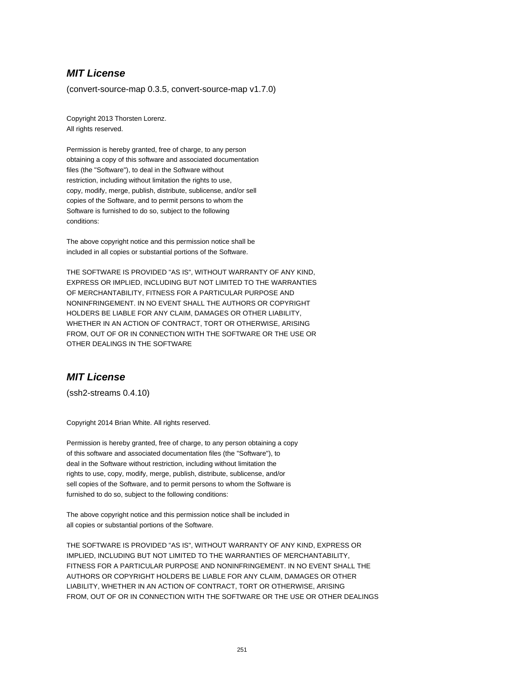(convert-source-map 0.3.5, convert-source-map v1.7.0)

Copyright 2013 Thorsten Lorenz. All rights reserved.

Permission is hereby granted, free of charge, to any person obtaining a copy of this software and associated documentation files (the "Software"), to deal in the Software without restriction, including without limitation the rights to use, copy, modify, merge, publish, distribute, sublicense, and/or sell copies of the Software, and to permit persons to whom the Software is furnished to do so, subject to the following conditions:

The above copyright notice and this permission notice shall be included in all copies or substantial portions of the Software.

THE SOFTWARE IS PROVIDED "AS IS", WITHOUT WARRANTY OF ANY KIND, EXPRESS OR IMPLIED, INCLUDING BUT NOT LIMITED TO THE WARRANTIES OF MERCHANTABILITY, FITNESS FOR A PARTICULAR PURPOSE AND NONINFRINGEMENT. IN NO EVENT SHALL THE AUTHORS OR COPYRIGHT HOLDERS BE LIABLE FOR ANY CLAIM, DAMAGES OR OTHER LIABILITY, WHETHER IN AN ACTION OF CONTRACT, TORT OR OTHERWISE, ARISING FROM, OUT OF OR IN CONNECTION WITH THE SOFTWARE OR THE USE OR OTHER DEALINGS IN THE SOFTWARE

## **MIT License**

(ssh2-streams 0.4.10)

Copyright 2014 Brian White. All rights reserved.

Permission is hereby granted, free of charge, to any person obtaining a copy of this software and associated documentation files (the "Software"), to deal in the Software without restriction, including without limitation the rights to use, copy, modify, merge, publish, distribute, sublicense, and/or sell copies of the Software, and to permit persons to whom the Software is furnished to do so, subject to the following conditions:

The above copyright notice and this permission notice shall be included in all copies or substantial portions of the Software.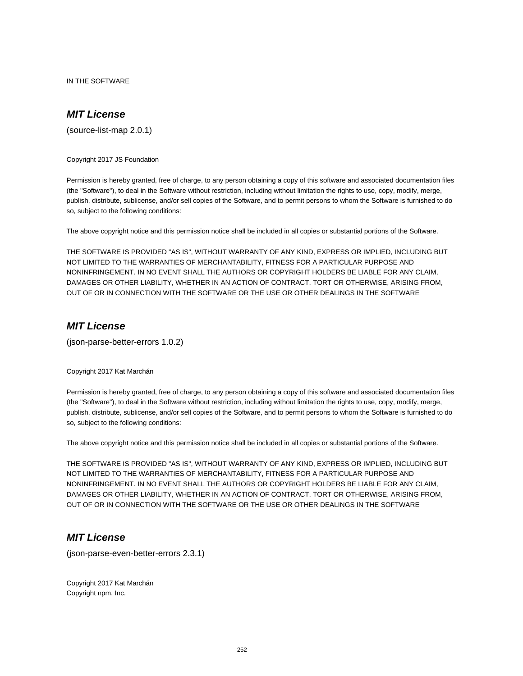IN THE SOFTWARE

# **MIT License**

(source-list-map 2.0.1)

Copyright 2017 JS Foundation

Permission is hereby granted, free of charge, to any person obtaining a copy of this software and associated documentation files (the "Software"), to deal in the Software without restriction, including without limitation the rights to use, copy, modify, merge, publish, distribute, sublicense, and/or sell copies of the Software, and to permit persons to whom the Software is furnished to do so, subject to the following conditions:

The above copyright notice and this permission notice shall be included in all copies or substantial portions of the Software.

THE SOFTWARE IS PROVIDED "AS IS", WITHOUT WARRANTY OF ANY KIND, EXPRESS OR IMPLIED, INCLUDING BUT NOT LIMITED TO THE WARRANTIES OF MERCHANTABILITY, FITNESS FOR A PARTICULAR PURPOSE AND NONINFRINGEMENT. IN NO EVENT SHALL THE AUTHORS OR COPYRIGHT HOLDERS BE LIABLE FOR ANY CLAIM, DAMAGES OR OTHER LIABILITY, WHETHER IN AN ACTION OF CONTRACT, TORT OR OTHERWISE, ARISING FROM, OUT OF OR IN CONNECTION WITH THE SOFTWARE OR THE USE OR OTHER DEALINGS IN THE SOFTWARE

#### **MIT License**

(json-parse-better-errors 1.0.2)

Copyright 2017 Kat Marchán

Permission is hereby granted, free of charge, to any person obtaining a copy of this software and associated documentation files (the "Software"), to deal in the Software without restriction, including without limitation the rights to use, copy, modify, merge, publish, distribute, sublicense, and/or sell copies of the Software, and to permit persons to whom the Software is furnished to do so, subject to the following conditions:

The above copyright notice and this permission notice shall be included in all copies or substantial portions of the Software.

THE SOFTWARE IS PROVIDED "AS IS", WITHOUT WARRANTY OF ANY KIND, EXPRESS OR IMPLIED, INCLUDING BUT NOT LIMITED TO THE WARRANTIES OF MERCHANTABILITY, FITNESS FOR A PARTICULAR PURPOSE AND NONINFRINGEMENT. IN NO EVENT SHALL THE AUTHORS OR COPYRIGHT HOLDERS BE LIABLE FOR ANY CLAIM, DAMAGES OR OTHER LIABILITY, WHETHER IN AN ACTION OF CONTRACT, TORT OR OTHERWISE, ARISING FROM, OUT OF OR IN CONNECTION WITH THE SOFTWARE OR THE USE OR OTHER DEALINGS IN THE SOFTWARE

#### **MIT License**

(json-parse-even-better-errors 2.3.1)

Copyright 2017 Kat Marchán Copyright npm, Inc.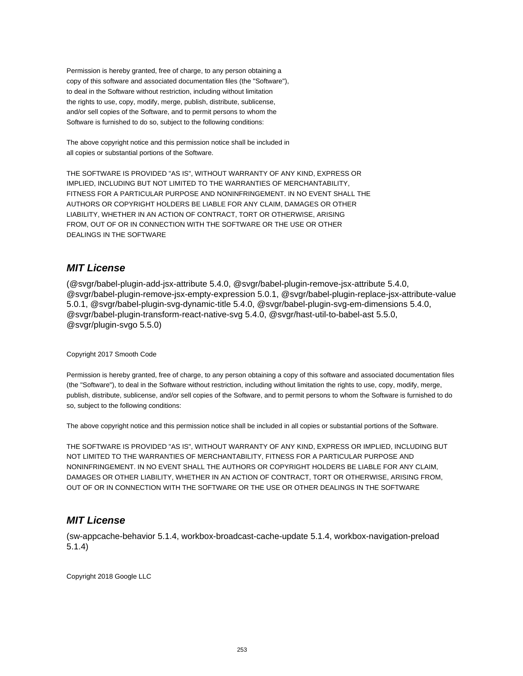Permission is hereby granted, free of charge, to any person obtaining a copy of this software and associated documentation files (the "Software"), to deal in the Software without restriction, including without limitation the rights to use, copy, modify, merge, publish, distribute, sublicense, and/or sell copies of the Software, and to permit persons to whom the Software is furnished to do so, subject to the following conditions:

The above copyright notice and this permission notice shall be included in all copies or substantial portions of the Software.

THE SOFTWARE IS PROVIDED "AS IS", WITHOUT WARRANTY OF ANY KIND, EXPRESS OR IMPLIED, INCLUDING BUT NOT LIMITED TO THE WARRANTIES OF MERCHANTABILITY, FITNESS FOR A PARTICULAR PURPOSE AND NONINFRINGEMENT. IN NO EVENT SHALL THE AUTHORS OR COPYRIGHT HOLDERS BE LIABLE FOR ANY CLAIM, DAMAGES OR OTHER LIABILITY, WHETHER IN AN ACTION OF CONTRACT, TORT OR OTHERWISE, ARISING FROM, OUT OF OR IN CONNECTION WITH THE SOFTWARE OR THE USE OR OTHER DEALINGS IN THE SOFTWARE

# **MIT License**

(@svgr/babel-plugin-add-jsx-attribute 5.4.0, @svgr/babel-plugin-remove-jsx-attribute 5.4.0, @svgr/babel-plugin-remove-jsx-empty-expression 5.0.1, @svgr/babel-plugin-replace-jsx-attribute-value 5.0.1, @svgr/babel-plugin-svg-dynamic-title 5.4.0, @svgr/babel-plugin-svg-em-dimensions 5.4.0, @svgr/babel-plugin-transform-react-native-svg 5.4.0, @svgr/hast-util-to-babel-ast 5.5.0, @svgr/plugin-svgo 5.5.0)

#### Copyright 2017 Smooth Code

Permission is hereby granted, free of charge, to any person obtaining a copy of this software and associated documentation files (the "Software"), to deal in the Software without restriction, including without limitation the rights to use, copy, modify, merge, publish, distribute, sublicense, and/or sell copies of the Software, and to permit persons to whom the Software is furnished to do so, subject to the following conditions:

The above copyright notice and this permission notice shall be included in all copies or substantial portions of the Software.

THE SOFTWARE IS PROVIDED "AS IS", WITHOUT WARRANTY OF ANY KIND, EXPRESS OR IMPLIED, INCLUDING BUT NOT LIMITED TO THE WARRANTIES OF MERCHANTABILITY, FITNESS FOR A PARTICULAR PURPOSE AND NONINFRINGEMENT. IN NO EVENT SHALL THE AUTHORS OR COPYRIGHT HOLDERS BE LIABLE FOR ANY CLAIM, DAMAGES OR OTHER LIABILITY, WHETHER IN AN ACTION OF CONTRACT, TORT OR OTHERWISE, ARISING FROM, OUT OF OR IN CONNECTION WITH THE SOFTWARE OR THE USE OR OTHER DEALINGS IN THE SOFTWARE

#### **MIT License**

(sw-appcache-behavior 5.1.4, workbox-broadcast-cache-update 5.1.4, workbox-navigation-preload 5.1.4)

Copyright 2018 Google LLC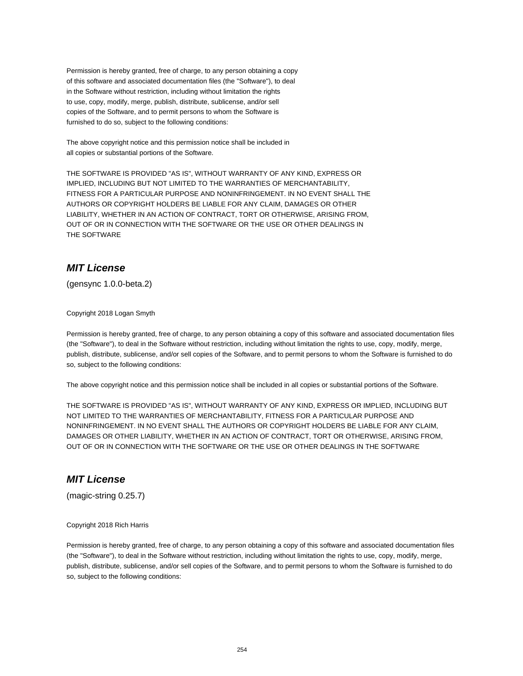Permission is hereby granted, free of charge, to any person obtaining a copy of this software and associated documentation files (the "Software"), to deal in the Software without restriction, including without limitation the rights to use, copy, modify, merge, publish, distribute, sublicense, and/or sell copies of the Software, and to permit persons to whom the Software is furnished to do so, subject to the following conditions:

The above copyright notice and this permission notice shall be included in all copies or substantial portions of the Software.

THE SOFTWARE IS PROVIDED "AS IS", WITHOUT WARRANTY OF ANY KIND, EXPRESS OR IMPLIED, INCLUDING BUT NOT LIMITED TO THE WARRANTIES OF MERCHANTABILITY, FITNESS FOR A PARTICULAR PURPOSE AND NONINFRINGEMENT. IN NO EVENT SHALL THE AUTHORS OR COPYRIGHT HOLDERS BE LIABLE FOR ANY CLAIM, DAMAGES OR OTHER LIABILITY, WHETHER IN AN ACTION OF CONTRACT, TORT OR OTHERWISE, ARISING FROM, OUT OF OR IN CONNECTION WITH THE SOFTWARE OR THE USE OR OTHER DEALINGS IN THE SOFTWARE

# **MIT License**

(gensync 1.0.0-beta.2)

Copyright 2018 Logan Smyth

Permission is hereby granted, free of charge, to any person obtaining a copy of this software and associated documentation files (the "Software"), to deal in the Software without restriction, including without limitation the rights to use, copy, modify, merge, publish, distribute, sublicense, and/or sell copies of the Software, and to permit persons to whom the Software is furnished to do so, subject to the following conditions:

The above copyright notice and this permission notice shall be included in all copies or substantial portions of the Software.

THE SOFTWARE IS PROVIDED "AS IS", WITHOUT WARRANTY OF ANY KIND, EXPRESS OR IMPLIED, INCLUDING BUT NOT LIMITED TO THE WARRANTIES OF MERCHANTABILITY, FITNESS FOR A PARTICULAR PURPOSE AND NONINFRINGEMENT. IN NO EVENT SHALL THE AUTHORS OR COPYRIGHT HOLDERS BE LIABLE FOR ANY CLAIM, DAMAGES OR OTHER LIABILITY, WHETHER IN AN ACTION OF CONTRACT, TORT OR OTHERWISE, ARISING FROM, OUT OF OR IN CONNECTION WITH THE SOFTWARE OR THE USE OR OTHER DEALINGS IN THE SOFTWARE

# **MIT License**

(magic-string 0.25.7)

#### Copyright 2018 Rich Harris

Permission is hereby granted, free of charge, to any person obtaining a copy of this software and associated documentation files (the "Software"), to deal in the Software without restriction, including without limitation the rights to use, copy, modify, merge, publish, distribute, sublicense, and/or sell copies of the Software, and to permit persons to whom the Software is furnished to do so, subject to the following conditions: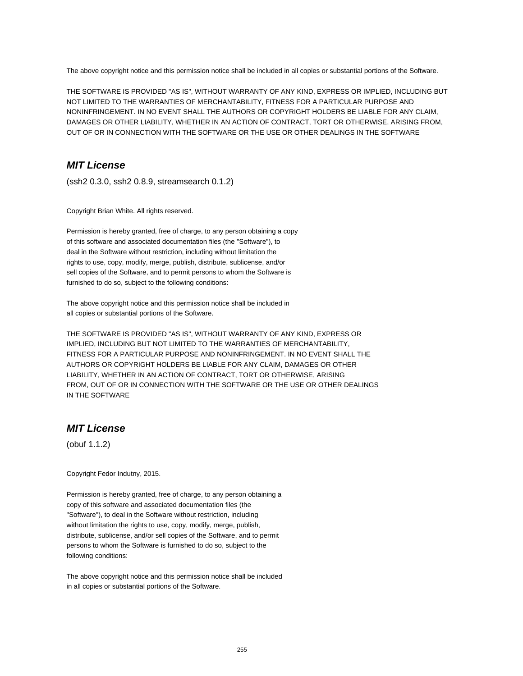The above copyright notice and this permission notice shall be included in all copies or substantial portions of the Software.

THE SOFTWARE IS PROVIDED "AS IS", WITHOUT WARRANTY OF ANY KIND, EXPRESS OR IMPLIED, INCLUDING BUT NOT LIMITED TO THE WARRANTIES OF MERCHANTABILITY, FITNESS FOR A PARTICULAR PURPOSE AND NONINFRINGEMENT. IN NO EVENT SHALL THE AUTHORS OR COPYRIGHT HOLDERS BE LIABLE FOR ANY CLAIM, DAMAGES OR OTHER LIABILITY, WHETHER IN AN ACTION OF CONTRACT, TORT OR OTHERWISE, ARISING FROM, OUT OF OR IN CONNECTION WITH THE SOFTWARE OR THE USE OR OTHER DEALINGS IN THE SOFTWARE

# **MIT License**

(ssh2 0.3.0, ssh2 0.8.9, streamsearch 0.1.2)

Copyright Brian White. All rights reserved.

Permission is hereby granted, free of charge, to any person obtaining a copy of this software and associated documentation files (the "Software"), to deal in the Software without restriction, including without limitation the rights to use, copy, modify, merge, publish, distribute, sublicense, and/or sell copies of the Software, and to permit persons to whom the Software is furnished to do so, subject to the following conditions:

The above copyright notice and this permission notice shall be included in all copies or substantial portions of the Software.

THE SOFTWARE IS PROVIDED "AS IS", WITHOUT WARRANTY OF ANY KIND, EXPRESS OR IMPLIED, INCLUDING BUT NOT LIMITED TO THE WARRANTIES OF MERCHANTABILITY, FITNESS FOR A PARTICULAR PURPOSE AND NONINFRINGEMENT. IN NO EVENT SHALL THE AUTHORS OR COPYRIGHT HOLDERS BE LIABLE FOR ANY CLAIM, DAMAGES OR OTHER LIABILITY, WHETHER IN AN ACTION OF CONTRACT, TORT OR OTHERWISE, ARISING FROM, OUT OF OR IN CONNECTION WITH THE SOFTWARE OR THE USE OR OTHER DEALINGS IN THE SOFTWARE

#### **MIT License**

(obuf 1.1.2)

Copyright Fedor Indutny, 2015.

Permission is hereby granted, free of charge, to any person obtaining a copy of this software and associated documentation files (the "Software"), to deal in the Software without restriction, including without limitation the rights to use, copy, modify, merge, publish, distribute, sublicense, and/or sell copies of the Software, and to permit persons to whom the Software is furnished to do so, subject to the following conditions:

The above copyright notice and this permission notice shall be included in all copies or substantial portions of the Software.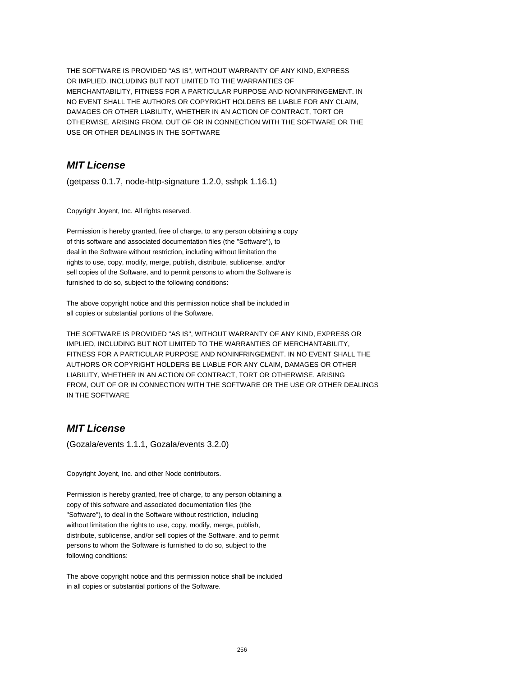THE SOFTWARE IS PROVIDED "AS IS", WITHOUT WARRANTY OF ANY KIND, EXPRESS OR IMPLIED, INCLUDING BUT NOT LIMITED TO THE WARRANTIES OF MERCHANTABILITY, FITNESS FOR A PARTICULAR PURPOSE AND NONINFRINGEMENT. IN NO EVENT SHALL THE AUTHORS OR COPYRIGHT HOLDERS BE LIABLE FOR ANY CLAIM, DAMAGES OR OTHER LIABILITY, WHETHER IN AN ACTION OF CONTRACT, TORT OR OTHERWISE, ARISING FROM, OUT OF OR IN CONNECTION WITH THE SOFTWARE OR THE USE OR OTHER DEALINGS IN THE SOFTWARE

# **MIT License**

(getpass 0.1.7, node-http-signature 1.2.0, sshpk 1.16.1)

Copyright Joyent, Inc. All rights reserved.

Permission is hereby granted, free of charge, to any person obtaining a copy of this software and associated documentation files (the "Software"), to deal in the Software without restriction, including without limitation the rights to use, copy, modify, merge, publish, distribute, sublicense, and/or sell copies of the Software, and to permit persons to whom the Software is furnished to do so, subject to the following conditions:

The above copyright notice and this permission notice shall be included in all copies or substantial portions of the Software.

THE SOFTWARE IS PROVIDED "AS IS", WITHOUT WARRANTY OF ANY KIND, EXPRESS OR IMPLIED, INCLUDING BUT NOT LIMITED TO THE WARRANTIES OF MERCHANTABILITY, FITNESS FOR A PARTICULAR PURPOSE AND NONINFRINGEMENT. IN NO EVENT SHALL THE AUTHORS OR COPYRIGHT HOLDERS BE LIABLE FOR ANY CLAIM, DAMAGES OR OTHER LIABILITY, WHETHER IN AN ACTION OF CONTRACT, TORT OR OTHERWISE, ARISING FROM, OUT OF OR IN CONNECTION WITH THE SOFTWARE OR THE USE OR OTHER DEALINGS IN THE SOFTWARE

#### **MIT License**

(Gozala/events 1.1.1, Gozala/events 3.2.0)

Copyright Joyent, Inc. and other Node contributors.

Permission is hereby granted, free of charge, to any person obtaining a copy of this software and associated documentation files (the "Software"), to deal in the Software without restriction, including without limitation the rights to use, copy, modify, merge, publish, distribute, sublicense, and/or sell copies of the Software, and to permit persons to whom the Software is furnished to do so, subject to the following conditions:

The above copyright notice and this permission notice shall be included in all copies or substantial portions of the Software.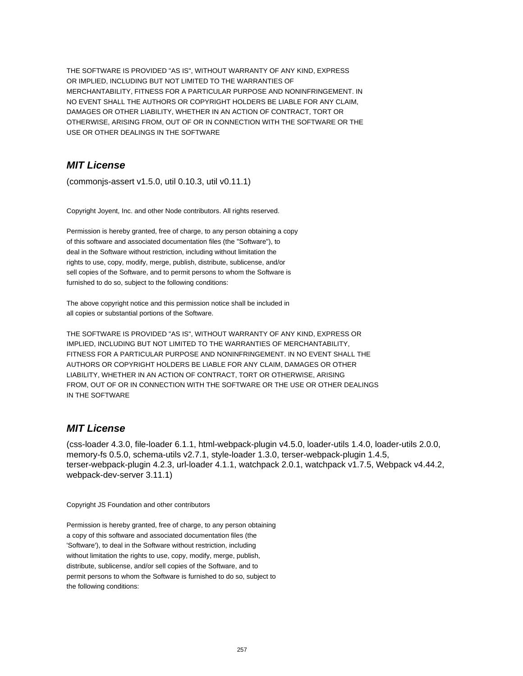THE SOFTWARE IS PROVIDED "AS IS", WITHOUT WARRANTY OF ANY KIND, EXPRESS OR IMPLIED, INCLUDING BUT NOT LIMITED TO THE WARRANTIES OF MERCHANTABILITY, FITNESS FOR A PARTICULAR PURPOSE AND NONINFRINGEMENT. IN NO EVENT SHALL THE AUTHORS OR COPYRIGHT HOLDERS BE LIABLE FOR ANY CLAIM, DAMAGES OR OTHER LIABILITY, WHETHER IN AN ACTION OF CONTRACT, TORT OR OTHERWISE, ARISING FROM, OUT OF OR IN CONNECTION WITH THE SOFTWARE OR THE USE OR OTHER DEALINGS IN THE SOFTWARE

# **MIT License**

(commonjs-assert v1.5.0, util 0.10.3, util v0.11.1)

Copyright Joyent, Inc. and other Node contributors. All rights reserved.

Permission is hereby granted, free of charge, to any person obtaining a copy of this software and associated documentation files (the "Software"), to deal in the Software without restriction, including without limitation the rights to use, copy, modify, merge, publish, distribute, sublicense, and/or sell copies of the Software, and to permit persons to whom the Software is furnished to do so, subject to the following conditions:

The above copyright notice and this permission notice shall be included in all copies or substantial portions of the Software.

THE SOFTWARE IS PROVIDED "AS IS", WITHOUT WARRANTY OF ANY KIND, EXPRESS OR IMPLIED, INCLUDING BUT NOT LIMITED TO THE WARRANTIES OF MERCHANTABILITY, FITNESS FOR A PARTICULAR PURPOSE AND NONINFRINGEMENT. IN NO EVENT SHALL THE AUTHORS OR COPYRIGHT HOLDERS BE LIABLE FOR ANY CLAIM, DAMAGES OR OTHER LIABILITY, WHETHER IN AN ACTION OF CONTRACT, TORT OR OTHERWISE, ARISING FROM, OUT OF OR IN CONNECTION WITH THE SOFTWARE OR THE USE OR OTHER DEALINGS IN THE SOFTWARE

#### **MIT License**

(css-loader 4.3.0, file-loader 6.1.1, html-webpack-plugin v4.5.0, loader-utils 1.4.0, loader-utils 2.0.0, memory-fs 0.5.0, schema-utils v2.7.1, style-loader 1.3.0, terser-webpack-plugin 1.4.5, terser-webpack-plugin 4.2.3, url-loader 4.1.1, watchpack 2.0.1, watchpack v1.7.5, Webpack v4.44.2, webpack-dev-server 3.11.1)

Copyright JS Foundation and other contributors

Permission is hereby granted, free of charge, to any person obtaining a copy of this software and associated documentation files (the 'Software'), to deal in the Software without restriction, including without limitation the rights to use, copy, modify, merge, publish, distribute, sublicense, and/or sell copies of the Software, and to permit persons to whom the Software is furnished to do so, subject to the following conditions: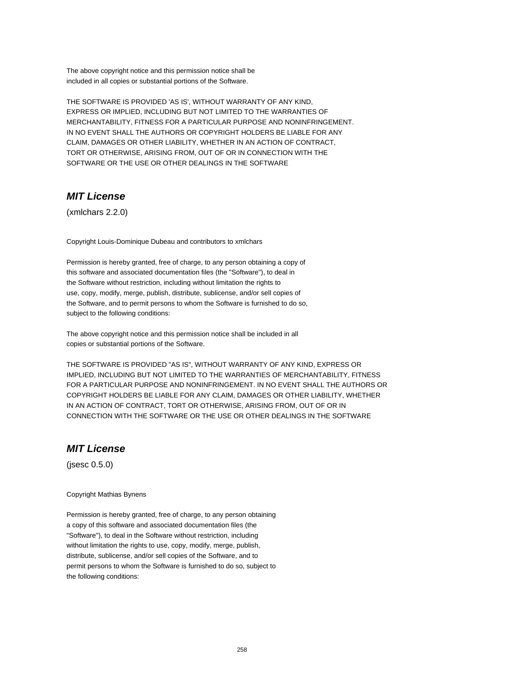The above copyright notice and this permission notice shall be included in all copies or substantial portions of the Software.

THE SOFTWARE IS PROVIDED 'AS IS', WITHOUT WARRANTY OF ANY KIND, EXPRESS OR IMPLIED, INCLUDING BUT NOT LIMITED TO THE WARRANTIES OF MERCHANTABILITY, FITNESS FOR A PARTICULAR PURPOSE AND NONINFRINGEMENT. IN NO EVENT SHALL THE AUTHORS OR COPYRIGHT HOLDERS BE LIABLE FOR ANY CLAIM, DAMAGES OR OTHER LIABILITY, WHETHER IN AN ACTION OF CONTRACT, TORT OR OTHERWISE, ARISING FROM, OUT OF OR IN CONNECTION WITH THE SOFTWARE OR THE USE OR OTHER DEALINGS IN THE SOFTWARE

# **MIT License**

(xmlchars 2.2.0)

Copyright Louis-Dominique Dubeau and contributors to xmlchars

Permission is hereby granted, free of charge, to any person obtaining a copy of this software and associated documentation files (the "Software"), to deal in the Software without restriction, including without limitation the rights to use, copy, modify, merge, publish, distribute, sublicense, and/or sell copies of the Software, and to permit persons to whom the Software is furnished to do so, subject to the following conditions:

The above copyright notice and this permission notice shall be included in all copies or substantial portions of the Software.

THE SOFTWARE IS PROVIDED "AS IS", WITHOUT WARRANTY OF ANY KIND, EXPRESS OR IMPLIED, INCLUDING BUT NOT LIMITED TO THE WARRANTIES OF MERCHANTABILITY, FITNESS FOR A PARTICULAR PURPOSE AND NONINFRINGEMENT. IN NO EVENT SHALL THE AUTHORS OR COPYRIGHT HOLDERS BE LIABLE FOR ANY CLAIM, DAMAGES OR OTHER LIABILITY, WHETHER IN AN ACTION OF CONTRACT, TORT OR OTHERWISE, ARISING FROM, OUT OF OR IN CONNECTION WITH THE SOFTWARE OR THE USE OR OTHER DEALINGS IN THE SOFTWARE

#### **MIT License**

(jsesc 0.5.0)

Copyright Mathias Bynens

Permission is hereby granted, free of charge, to any person obtaining a copy of this software and associated documentation files (the "Software"), to deal in the Software without restriction, including without limitation the rights to use, copy, modify, merge, publish, distribute, sublicense, and/or sell copies of the Software, and to permit persons to whom the Software is furnished to do so, subject to the following conditions: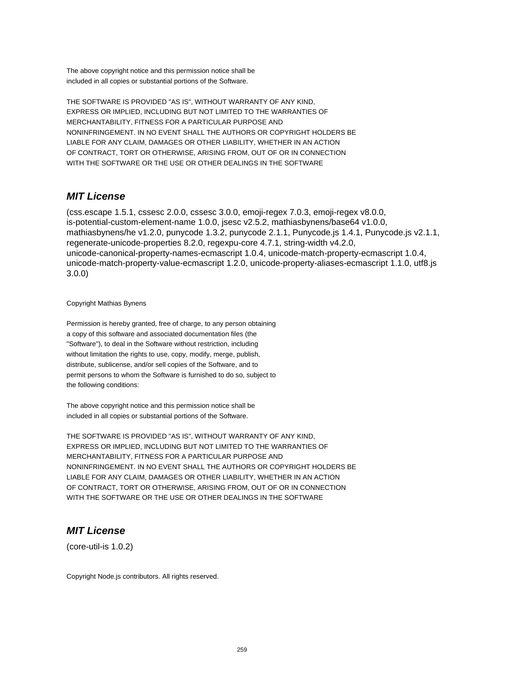The above copyright notice and this permission notice shall be included in all copies or substantial portions of the Software.

THE SOFTWARE IS PROVIDED "AS IS", WITHOUT WARRANTY OF ANY KIND, EXPRESS OR IMPLIED, INCLUDING BUT NOT LIMITED TO THE WARRANTIES OF MERCHANTABILITY, FITNESS FOR A PARTICULAR PURPOSE AND NONINFRINGEMENT. IN NO EVENT SHALL THE AUTHORS OR COPYRIGHT HOLDERS BE LIABLE FOR ANY CLAIM, DAMAGES OR OTHER LIABILITY, WHETHER IN AN ACTION OF CONTRACT, TORT OR OTHERWISE, ARISING FROM, OUT OF OR IN CONNECTION WITH THE SOFTWARE OR THE USE OR OTHER DEALINGS IN THE SOFTWARE

# **MIT License**

(css.escape 1.5.1, cssesc 2.0.0, cssesc 3.0.0, emoji-regex 7.0.3, emoji-regex v8.0.0, is-potential-custom-element-name 1.0.0, jsesc v2.5.2, mathiasbynens/base64 v1.0.0, mathiasbynens/he v1.2.0, punycode 1.3.2, punycode 2.1.1, Punycode.js 1.4.1, Punycode.js v2.1.1, regenerate-unicode-properties 8.2.0, regexpu-core 4.7.1, string-width v4.2.0, unicode-canonical-property-names-ecmascript 1.0.4, unicode-match-property-ecmascript 1.0.4, unicode-match-property-value-ecmascript 1.2.0, unicode-property-aliases-ecmascript 1.1.0, utf8.js 3.0.0)

#### Copyright Mathias Bynens

Permission is hereby granted, free of charge, to any person obtaining a copy of this software and associated documentation files (the "Software"), to deal in the Software without restriction, including without limitation the rights to use, copy, modify, merge, publish, distribute, sublicense, and/or sell copies of the Software, and to permit persons to whom the Software is furnished to do so, subject to the following conditions:

The above copyright notice and this permission notice shall be included in all copies or substantial portions of the Software.

THE SOFTWARE IS PROVIDED "AS IS", WITHOUT WARRANTY OF ANY KIND, EXPRESS OR IMPLIED, INCLUDING BUT NOT LIMITED TO THE WARRANTIES OF MERCHANTABILITY, FITNESS FOR A PARTICULAR PURPOSE AND NONINFRINGEMENT. IN NO EVENT SHALL THE AUTHORS OR COPYRIGHT HOLDERS BE LIABLE FOR ANY CLAIM, DAMAGES OR OTHER LIABILITY, WHETHER IN AN ACTION OF CONTRACT, TORT OR OTHERWISE, ARISING FROM, OUT OF OR IN CONNECTION WITH THE SOFTWARE OR THE USE OR OTHER DEALINGS IN THE SOFTWARE

#### **MIT License**

(core-util-is 1.0.2)

Copyright Node.js contributors. All rights reserved.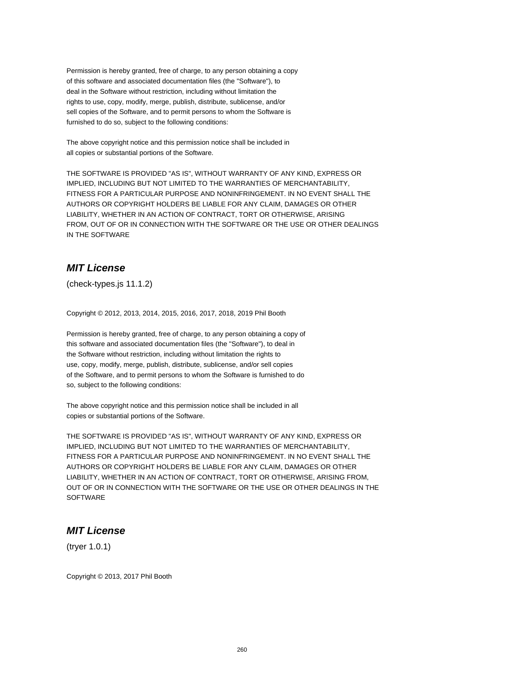Permission is hereby granted, free of charge, to any person obtaining a copy of this software and associated documentation files (the "Software"), to deal in the Software without restriction, including without limitation the rights to use, copy, modify, merge, publish, distribute, sublicense, and/or sell copies of the Software, and to permit persons to whom the Software is furnished to do so, subject to the following conditions:

The above copyright notice and this permission notice shall be included in all copies or substantial portions of the Software.

THE SOFTWARE IS PROVIDED "AS IS", WITHOUT WARRANTY OF ANY KIND, EXPRESS OR IMPLIED, INCLUDING BUT NOT LIMITED TO THE WARRANTIES OF MERCHANTABILITY, FITNESS FOR A PARTICULAR PURPOSE AND NONINFRINGEMENT. IN NO EVENT SHALL THE AUTHORS OR COPYRIGHT HOLDERS BE LIABLE FOR ANY CLAIM, DAMAGES OR OTHER LIABILITY, WHETHER IN AN ACTION OF CONTRACT, TORT OR OTHERWISE, ARISING FROM, OUT OF OR IN CONNECTION WITH THE SOFTWARE OR THE USE OR OTHER DEALINGS IN THE SOFTWARE

# **MIT License**

(check-types.js 11.1.2)

Copyright © 2012, 2013, 2014, 2015, 2016, 2017, 2018, 2019 Phil Booth

Permission is hereby granted, free of charge, to any person obtaining a copy of this software and associated documentation files (the "Software"), to deal in the Software without restriction, including without limitation the rights to use, copy, modify, merge, publish, distribute, sublicense, and/or sell copies of the Software, and to permit persons to whom the Software is furnished to do so, subject to the following conditions:

The above copyright notice and this permission notice shall be included in all copies or substantial portions of the Software.

THE SOFTWARE IS PROVIDED "AS IS", WITHOUT WARRANTY OF ANY KIND, EXPRESS OR IMPLIED, INCLUDING BUT NOT LIMITED TO THE WARRANTIES OF MERCHANTABILITY, FITNESS FOR A PARTICULAR PURPOSE AND NONINFRINGEMENT. IN NO EVENT SHALL THE AUTHORS OR COPYRIGHT HOLDERS BE LIABLE FOR ANY CLAIM, DAMAGES OR OTHER LIABILITY, WHETHER IN AN ACTION OF CONTRACT, TORT OR OTHERWISE, ARISING FROM, OUT OF OR IN CONNECTION WITH THE SOFTWARE OR THE USE OR OTHER DEALINGS IN THE **SOFTWARE** 

#### **MIT License**

(tryer 1.0.1)

Copyright © 2013, 2017 Phil Booth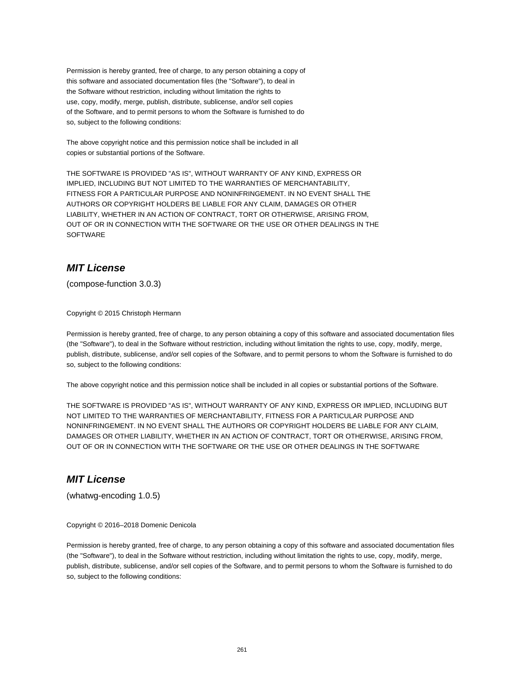Permission is hereby granted, free of charge, to any person obtaining a copy of this software and associated documentation files (the "Software"), to deal in the Software without restriction, including without limitation the rights to use, copy, modify, merge, publish, distribute, sublicense, and/or sell copies of the Software, and to permit persons to whom the Software is furnished to do so, subject to the following conditions:

The above copyright notice and this permission notice shall be included in all copies or substantial portions of the Software.

THE SOFTWARE IS PROVIDED "AS IS", WITHOUT WARRANTY OF ANY KIND, EXPRESS OR IMPLIED, INCLUDING BUT NOT LIMITED TO THE WARRANTIES OF MERCHANTABILITY, FITNESS FOR A PARTICULAR PURPOSE AND NONINFRINGEMENT. IN NO EVENT SHALL THE AUTHORS OR COPYRIGHT HOLDERS BE LIABLE FOR ANY CLAIM, DAMAGES OR OTHER LIABILITY, WHETHER IN AN ACTION OF CONTRACT, TORT OR OTHERWISE, ARISING FROM, OUT OF OR IN CONNECTION WITH THE SOFTWARE OR THE USE OR OTHER DEALINGS IN THE SOFTWARE

# **MIT License**

(compose-function 3.0.3)

Copyright © 2015 Christoph Hermann

Permission is hereby granted, free of charge, to any person obtaining a copy of this software and associated documentation files (the "Software"), to deal in the Software without restriction, including without limitation the rights to use, copy, modify, merge, publish, distribute, sublicense, and/or sell copies of the Software, and to permit persons to whom the Software is furnished to do so, subject to the following conditions:

The above copyright notice and this permission notice shall be included in all copies or substantial portions of the Software.

THE SOFTWARE IS PROVIDED "AS IS", WITHOUT WARRANTY OF ANY KIND, EXPRESS OR IMPLIED, INCLUDING BUT NOT LIMITED TO THE WARRANTIES OF MERCHANTABILITY, FITNESS FOR A PARTICULAR PURPOSE AND NONINFRINGEMENT. IN NO EVENT SHALL THE AUTHORS OR COPYRIGHT HOLDERS BE LIABLE FOR ANY CLAIM, DAMAGES OR OTHER LIABILITY, WHETHER IN AN ACTION OF CONTRACT, TORT OR OTHERWISE, ARISING FROM, OUT OF OR IN CONNECTION WITH THE SOFTWARE OR THE USE OR OTHER DEALINGS IN THE SOFTWARE

# **MIT License**

(whatwg-encoding 1.0.5)

Copyright © 2016–2018 Domenic Denicola

Permission is hereby granted, free of charge, to any person obtaining a copy of this software and associated documentation files (the "Software"), to deal in the Software without restriction, including without limitation the rights to use, copy, modify, merge, publish, distribute, sublicense, and/or sell copies of the Software, and to permit persons to whom the Software is furnished to do so, subject to the following conditions: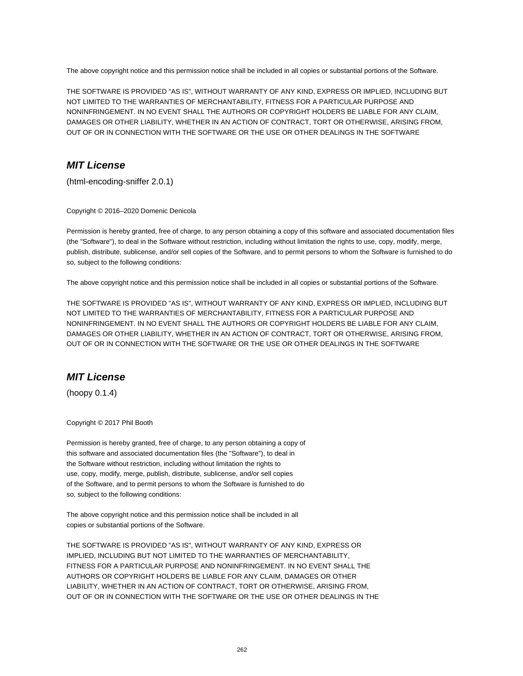The above copyright notice and this permission notice shall be included in all copies or substantial portions of the Software.

THE SOFTWARE IS PROVIDED "AS IS", WITHOUT WARRANTY OF ANY KIND, EXPRESS OR IMPLIED, INCLUDING BUT NOT LIMITED TO THE WARRANTIES OF MERCHANTABILITY, FITNESS FOR A PARTICULAR PURPOSE AND NONINFRINGEMENT. IN NO EVENT SHALL THE AUTHORS OR COPYRIGHT HOLDERS BE LIABLE FOR ANY CLAIM, DAMAGES OR OTHER LIABILITY, WHETHER IN AN ACTION OF CONTRACT, TORT OR OTHERWISE, ARISING FROM, OUT OF OR IN CONNECTION WITH THE SOFTWARE OR THE USE OR OTHER DEALINGS IN THE SOFTWARE

# **MIT License**

(html-encoding-sniffer 2.0.1)

Copyright © 2016–2020 Domenic Denicola

Permission is hereby granted, free of charge, to any person obtaining a copy of this software and associated documentation files (the "Software"), to deal in the Software without restriction, including without limitation the rights to use, copy, modify, merge, publish, distribute, sublicense, and/or sell copies of the Software, and to permit persons to whom the Software is furnished to do so, subject to the following conditions:

The above copyright notice and this permission notice shall be included in all copies or substantial portions of the Software.

THE SOFTWARE IS PROVIDED "AS IS", WITHOUT WARRANTY OF ANY KIND, EXPRESS OR IMPLIED, INCLUDING BUT NOT LIMITED TO THE WARRANTIES OF MERCHANTABILITY, FITNESS FOR A PARTICULAR PURPOSE AND NONINFRINGEMENT. IN NO EVENT SHALL THE AUTHORS OR COPYRIGHT HOLDERS BE LIABLE FOR ANY CLAIM, DAMAGES OR OTHER LIABILITY, WHETHER IN AN ACTION OF CONTRACT, TORT OR OTHERWISE, ARISING FROM, OUT OF OR IN CONNECTION WITH THE SOFTWARE OR THE USE OR OTHER DEALINGS IN THE SOFTWARE

# **MIT License**

(hoopy 0.1.4)

Copyright © 2017 Phil Booth

Permission is hereby granted, free of charge, to any person obtaining a copy of this software and associated documentation files (the "Software"), to deal in the Software without restriction, including without limitation the rights to use, copy, modify, merge, publish, distribute, sublicense, and/or sell copies of the Software, and to permit persons to whom the Software is furnished to do so, subject to the following conditions:

The above copyright notice and this permission notice shall be included in all copies or substantial portions of the Software.

THE SOFTWARE IS PROVIDED "AS IS", WITHOUT WARRANTY OF ANY KIND, EXPRESS OR IMPLIED, INCLUDING BUT NOT LIMITED TO THE WARRANTIES OF MERCHANTABILITY, FITNESS FOR A PARTICULAR PURPOSE AND NONINFRINGEMENT. IN NO EVENT SHALL THE AUTHORS OR COPYRIGHT HOLDERS BE LIABLE FOR ANY CLAIM, DAMAGES OR OTHER LIABILITY, WHETHER IN AN ACTION OF CONTRACT, TORT OR OTHERWISE, ARISING FROM, OUT OF OR IN CONNECTION WITH THE SOFTWARE OR THE USE OR OTHER DEALINGS IN THE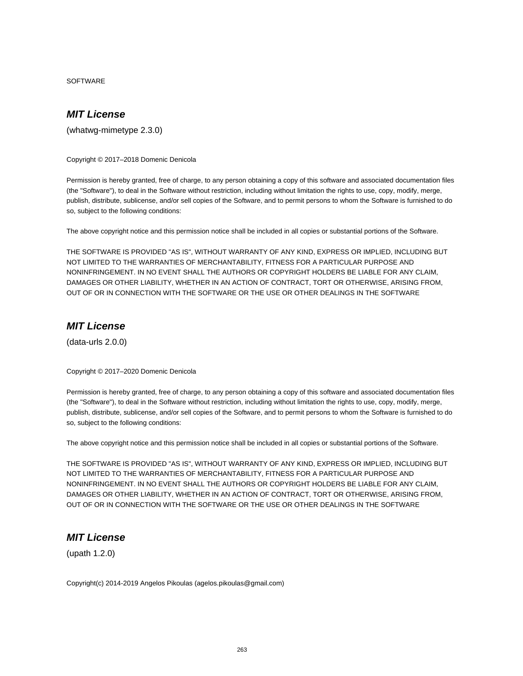**SOFTWARE** 

# **MIT License**

(whatwg-mimetype 2.3.0)

Copyright © 2017–2018 Domenic Denicola

Permission is hereby granted, free of charge, to any person obtaining a copy of this software and associated documentation files (the "Software"), to deal in the Software without restriction, including without limitation the rights to use, copy, modify, merge, publish, distribute, sublicense, and/or sell copies of the Software, and to permit persons to whom the Software is furnished to do so, subject to the following conditions:

The above copyright notice and this permission notice shall be included in all copies or substantial portions of the Software.

THE SOFTWARE IS PROVIDED "AS IS", WITHOUT WARRANTY OF ANY KIND, EXPRESS OR IMPLIED, INCLUDING BUT NOT LIMITED TO THE WARRANTIES OF MERCHANTABILITY, FITNESS FOR A PARTICULAR PURPOSE AND NONINFRINGEMENT. IN NO EVENT SHALL THE AUTHORS OR COPYRIGHT HOLDERS BE LIABLE FOR ANY CLAIM, DAMAGES OR OTHER LIABILITY, WHETHER IN AN ACTION OF CONTRACT, TORT OR OTHERWISE, ARISING FROM, OUT OF OR IN CONNECTION WITH THE SOFTWARE OR THE USE OR OTHER DEALINGS IN THE SOFTWARE

#### **MIT License**

(data-urls 2.0.0)

Copyright © 2017–2020 Domenic Denicola

Permission is hereby granted, free of charge, to any person obtaining a copy of this software and associated documentation files (the "Software"), to deal in the Software without restriction, including without limitation the rights to use, copy, modify, merge, publish, distribute, sublicense, and/or sell copies of the Software, and to permit persons to whom the Software is furnished to do so, subject to the following conditions:

The above copyright notice and this permission notice shall be included in all copies or substantial portions of the Software.

THE SOFTWARE IS PROVIDED "AS IS", WITHOUT WARRANTY OF ANY KIND, EXPRESS OR IMPLIED, INCLUDING BUT NOT LIMITED TO THE WARRANTIES OF MERCHANTABILITY, FITNESS FOR A PARTICULAR PURPOSE AND NONINFRINGEMENT. IN NO EVENT SHALL THE AUTHORS OR COPYRIGHT HOLDERS BE LIABLE FOR ANY CLAIM, DAMAGES OR OTHER LIABILITY, WHETHER IN AN ACTION OF CONTRACT, TORT OR OTHERWISE, ARISING FROM, OUT OF OR IN CONNECTION WITH THE SOFTWARE OR THE USE OR OTHER DEALINGS IN THE SOFTWARE

# **MIT License**

(upath 1.2.0)

Copyright(c) 2014-2019 Angelos Pikoulas (agelos.pikoulas@gmail.com)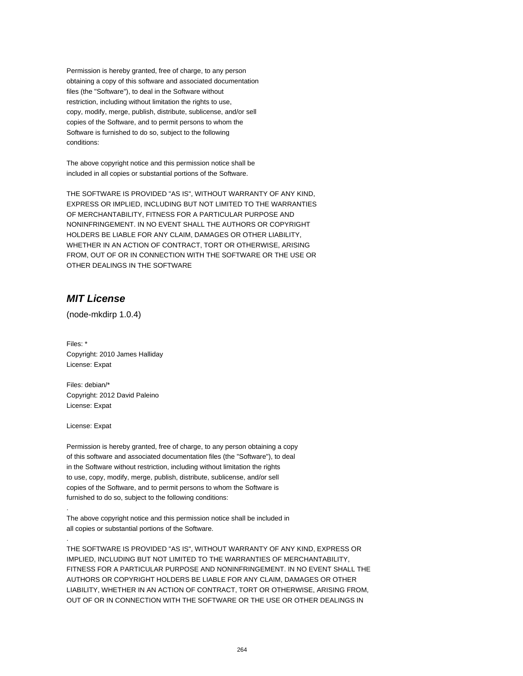Permission is hereby granted, free of charge, to any person obtaining a copy of this software and associated documentation files (the "Software"), to deal in the Software without restriction, including without limitation the rights to use, copy, modify, merge, publish, distribute, sublicense, and/or sell copies of the Software, and to permit persons to whom the Software is furnished to do so, subject to the following conditions:

The above copyright notice and this permission notice shall be included in all copies or substantial portions of the Software.

THE SOFTWARE IS PROVIDED "AS IS", WITHOUT WARRANTY OF ANY KIND, EXPRESS OR IMPLIED, INCLUDING BUT NOT LIMITED TO THE WARRANTIES OF MERCHANTABILITY, FITNESS FOR A PARTICULAR PURPOSE AND NONINFRINGEMENT. IN NO EVENT SHALL THE AUTHORS OR COPYRIGHT HOLDERS BE LIABLE FOR ANY CLAIM, DAMAGES OR OTHER LIABILITY, WHETHER IN AN ACTION OF CONTRACT, TORT OR OTHERWISE, ARISING FROM, OUT OF OR IN CONNECTION WITH THE SOFTWARE OR THE USE OR OTHER DEALINGS IN THE SOFTWARE

#### **MIT License**

(node-mkdirp 1.0.4)

Files: \* Copyright: 2010 James Halliday License: Expat

Files: debian/\* Copyright: 2012 David Paleino License: Expat

License: Expat

.

.

Permission is hereby granted, free of charge, to any person obtaining a copy of this software and associated documentation files (the "Software"), to deal in the Software without restriction, including without limitation the rights to use, copy, modify, merge, publish, distribute, sublicense, and/or sell copies of the Software, and to permit persons to whom the Software is furnished to do so, subject to the following conditions:

The above copyright notice and this permission notice shall be included in all copies or substantial portions of the Software.

THE SOFTWARE IS PROVIDED "AS IS", WITHOUT WARRANTY OF ANY KIND, EXPRESS OR IMPLIED, INCLUDING BUT NOT LIMITED TO THE WARRANTIES OF MERCHANTABILITY, FITNESS FOR A PARTICULAR PURPOSE AND NONINFRINGEMENT. IN NO EVENT SHALL THE AUTHORS OR COPYRIGHT HOLDERS BE LIABLE FOR ANY CLAIM, DAMAGES OR OTHER LIABILITY, WHETHER IN AN ACTION OF CONTRACT, TORT OR OTHERWISE, ARISING FROM, OUT OF OR IN CONNECTION WITH THE SOFTWARE OR THE USE OR OTHER DEALINGS IN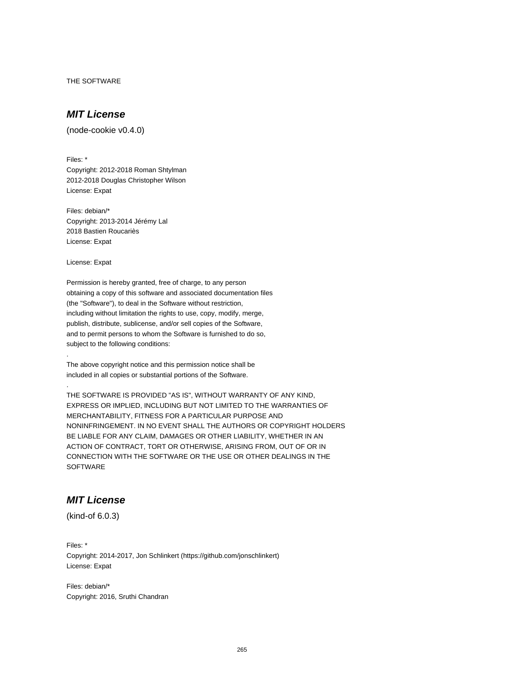THE SOFTWARE

# **MIT License**

(node-cookie v0.4.0)

Files: \* Copyright: 2012-2018 Roman Shtylman 2012-2018 Douglas Christopher Wilson License: Expat

Files: debian/\* Copyright: 2013-2014 Jérémy Lal 2018 Bastien Roucariès License: Expat

License: Expat

.

.

Permission is hereby granted, free of charge, to any person obtaining a copy of this software and associated documentation files (the "Software"), to deal in the Software without restriction, including without limitation the rights to use, copy, modify, merge, publish, distribute, sublicense, and/or sell copies of the Software, and to permit persons to whom the Software is furnished to do so, subject to the following conditions:

The above copyright notice and this permission notice shall be included in all copies or substantial portions of the Software.

THE SOFTWARE IS PROVIDED "AS IS", WITHOUT WARRANTY OF ANY KIND, EXPRESS OR IMPLIED, INCLUDING BUT NOT LIMITED TO THE WARRANTIES OF MERCHANTABILITY, FITNESS FOR A PARTICULAR PURPOSE AND NONINFRINGEMENT. IN NO EVENT SHALL THE AUTHORS OR COPYRIGHT HOLDERS BE LIABLE FOR ANY CLAIM, DAMAGES OR OTHER LIABILITY, WHETHER IN AN ACTION OF CONTRACT, TORT OR OTHERWISE, ARISING FROM, OUT OF OR IN CONNECTION WITH THE SOFTWARE OR THE USE OR OTHER DEALINGS IN THE **SOFTWARE** 

#### **MIT License**

(kind-of 6.0.3)

Files: \* Copyright: 2014-2017, Jon Schlinkert (https://github.com/jonschlinkert) License: Expat

Files: debian/\* Copyright: 2016, Sruthi Chandran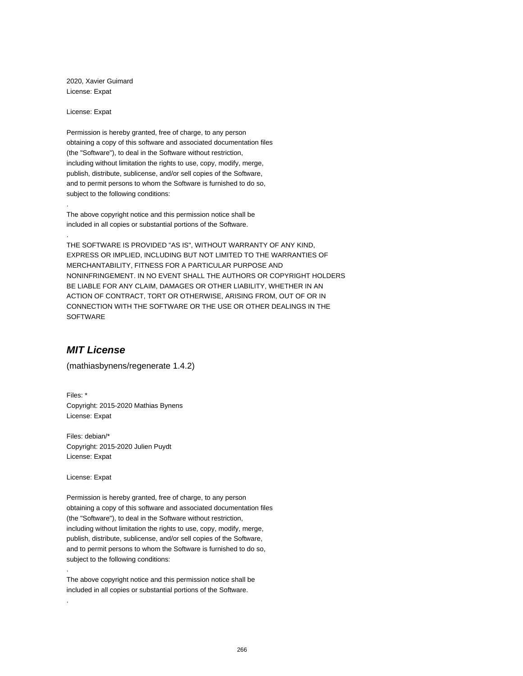2020, Xavier Guimard License: Expat

License: Expat

.

.

Permission is hereby granted, free of charge, to any person obtaining a copy of this software and associated documentation files (the "Software"), to deal in the Software without restriction, including without limitation the rights to use, copy, modify, merge, publish, distribute, sublicense, and/or sell copies of the Software, and to permit persons to whom the Software is furnished to do so, subject to the following conditions:

The above copyright notice and this permission notice shall be included in all copies or substantial portions of the Software.

THE SOFTWARE IS PROVIDED "AS IS", WITHOUT WARRANTY OF ANY KIND, EXPRESS OR IMPLIED, INCLUDING BUT NOT LIMITED TO THE WARRANTIES OF MERCHANTABILITY, FITNESS FOR A PARTICULAR PURPOSE AND NONINFRINGEMENT. IN NO EVENT SHALL THE AUTHORS OR COPYRIGHT HOLDERS BE LIABLE FOR ANY CLAIM, DAMAGES OR OTHER LIABILITY, WHETHER IN AN ACTION OF CONTRACT, TORT OR OTHERWISE, ARISING FROM, OUT OF OR IN CONNECTION WITH THE SOFTWARE OR THE USE OR OTHER DEALINGS IN THE SOFTWARE

# **MIT License**

(mathiasbynens/regenerate 1.4.2)

Files: \* Copyright: 2015-2020 Mathias Bynens License: Expat

Files: debian/\* Copyright: 2015-2020 Julien Puydt License: Expat

License: Expat

.

.

Permission is hereby granted, free of charge, to any person obtaining a copy of this software and associated documentation files (the "Software"), to deal in the Software without restriction, including without limitation the rights to use, copy, modify, merge, publish, distribute, sublicense, and/or sell copies of the Software, and to permit persons to whom the Software is furnished to do so, subject to the following conditions:

The above copyright notice and this permission notice shall be included in all copies or substantial portions of the Software.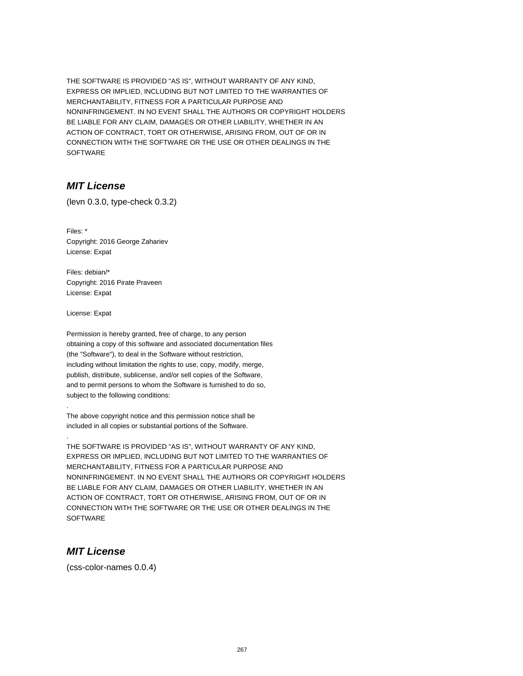THE SOFTWARE IS PROVIDED "AS IS", WITHOUT WARRANTY OF ANY KIND, EXPRESS OR IMPLIED, INCLUDING BUT NOT LIMITED TO THE WARRANTIES OF MERCHANTABILITY, FITNESS FOR A PARTICULAR PURPOSE AND NONINFRINGEMENT. IN NO EVENT SHALL THE AUTHORS OR COPYRIGHT HOLDERS BE LIABLE FOR ANY CLAIM, DAMAGES OR OTHER LIABILITY, WHETHER IN AN ACTION OF CONTRACT, TORT OR OTHERWISE, ARISING FROM, OUT OF OR IN CONNECTION WITH THE SOFTWARE OR THE USE OR OTHER DEALINGS IN THE **SOFTWARE** 

#### **MIT License**

(levn 0.3.0, type-check 0.3.2)

Files: \* Copyright: 2016 George Zahariev License: Expat

Files: debian/\* Copyright: 2016 Pirate Praveen License: Expat

License: Expat

.

.

Permission is hereby granted, free of charge, to any person obtaining a copy of this software and associated documentation files (the "Software"), to deal in the Software without restriction, including without limitation the rights to use, copy, modify, merge, publish, distribute, sublicense, and/or sell copies of the Software, and to permit persons to whom the Software is furnished to do so, subject to the following conditions:

The above copyright notice and this permission notice shall be included in all copies or substantial portions of the Software.

THE SOFTWARE IS PROVIDED "AS IS", WITHOUT WARRANTY OF ANY KIND, EXPRESS OR IMPLIED, INCLUDING BUT NOT LIMITED TO THE WARRANTIES OF MERCHANTABILITY, FITNESS FOR A PARTICULAR PURPOSE AND NONINFRINGEMENT. IN NO EVENT SHALL THE AUTHORS OR COPYRIGHT HOLDERS BE LIABLE FOR ANY CLAIM, DAMAGES OR OTHER LIABILITY, WHETHER IN AN ACTION OF CONTRACT, TORT OR OTHERWISE, ARISING FROM, OUT OF OR IN CONNECTION WITH THE SOFTWARE OR THE USE OR OTHER DEALINGS IN THE **SOFTWARE** 

#### **MIT License**

(css-color-names 0.0.4)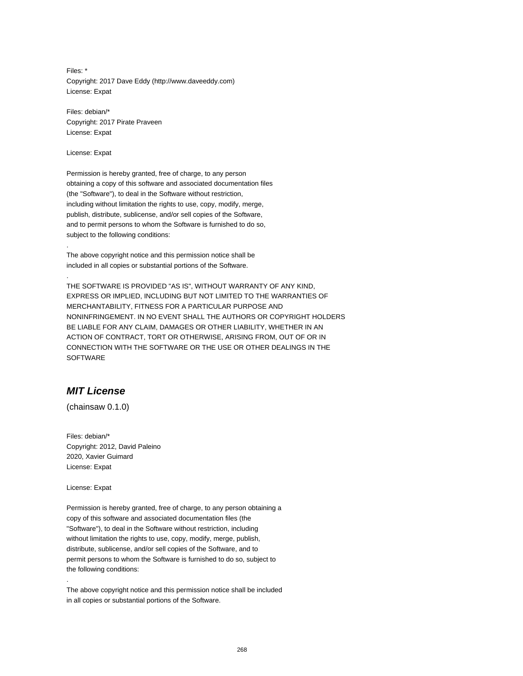Files: \* Copyright: 2017 Dave Eddy (http://www.daveeddy.com) License: Expat

Files: debian/\* Copyright: 2017 Pirate Praveen License: Expat

License: Expat

.

.

Permission is hereby granted, free of charge, to any person obtaining a copy of this software and associated documentation files (the "Software"), to deal in the Software without restriction, including without limitation the rights to use, copy, modify, merge, publish, distribute, sublicense, and/or sell copies of the Software, and to permit persons to whom the Software is furnished to do so, subject to the following conditions:

The above copyright notice and this permission notice shall be included in all copies or substantial portions of the Software.

THE SOFTWARE IS PROVIDED "AS IS", WITHOUT WARRANTY OF ANY KIND, EXPRESS OR IMPLIED, INCLUDING BUT NOT LIMITED TO THE WARRANTIES OF MERCHANTABILITY, FITNESS FOR A PARTICULAR PURPOSE AND NONINFRINGEMENT. IN NO EVENT SHALL THE AUTHORS OR COPYRIGHT HOLDERS BE LIABLE FOR ANY CLAIM, DAMAGES OR OTHER LIABILITY, WHETHER IN AN ACTION OF CONTRACT, TORT OR OTHERWISE, ARISING FROM, OUT OF OR IN CONNECTION WITH THE SOFTWARE OR THE USE OR OTHER DEALINGS IN THE SOFTWARE

# **MIT License**

(chainsaw 0.1.0)

Files: debian/\* Copyright: 2012, David Paleino 2020, Xavier Guimard License: Expat

License: Expat

.

Permission is hereby granted, free of charge, to any person obtaining a copy of this software and associated documentation files (the "Software"), to deal in the Software without restriction, including without limitation the rights to use, copy, modify, merge, publish, distribute, sublicense, and/or sell copies of the Software, and to permit persons to whom the Software is furnished to do so, subject to the following conditions:

The above copyright notice and this permission notice shall be included in all copies or substantial portions of the Software.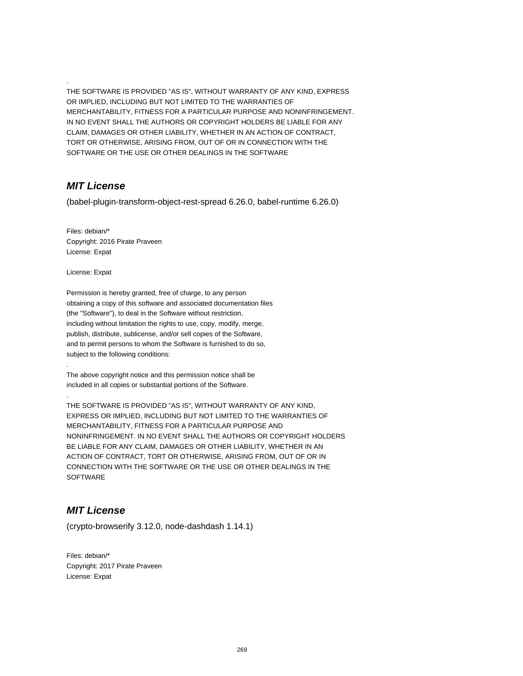THE SOFTWARE IS PROVIDED "AS IS", WITHOUT WARRANTY OF ANY KIND, EXPRESS OR IMPLIED, INCLUDING BUT NOT LIMITED TO THE WARRANTIES OF MERCHANTABILITY, FITNESS FOR A PARTICULAR PURPOSE AND NONINFRINGEMENT. IN NO EVENT SHALL THE AUTHORS OR COPYRIGHT HOLDERS BE LIABLE FOR ANY CLAIM, DAMAGES OR OTHER LIABILITY, WHETHER IN AN ACTION OF CONTRACT, TORT OR OTHERWISE, ARISING FROM, OUT OF OR IN CONNECTION WITH THE SOFTWARE OR THE USE OR OTHER DEALINGS IN THE SOFTWARE

#### **MIT License**

.

(babel-plugin-transform-object-rest-spread 6.26.0, babel-runtime 6.26.0)

Files: debian/\* Copyright: 2016 Pirate Praveen License: Expat

License: Expat

.

.

Permission is hereby granted, free of charge, to any person obtaining a copy of this software and associated documentation files (the "Software"), to deal in the Software without restriction, including without limitation the rights to use, copy, modify, merge, publish, distribute, sublicense, and/or sell copies of the Software, and to permit persons to whom the Software is furnished to do so, subject to the following conditions:

The above copyright notice and this permission notice shall be included in all copies or substantial portions of the Software.

THE SOFTWARE IS PROVIDED "AS IS", WITHOUT WARRANTY OF ANY KIND, EXPRESS OR IMPLIED, INCLUDING BUT NOT LIMITED TO THE WARRANTIES OF MERCHANTABILITY, FITNESS FOR A PARTICULAR PURPOSE AND NONINFRINGEMENT. IN NO EVENT SHALL THE AUTHORS OR COPYRIGHT HOLDERS BE LIABLE FOR ANY CLAIM, DAMAGES OR OTHER LIABILITY, WHETHER IN AN ACTION OF CONTRACT, TORT OR OTHERWISE, ARISING FROM, OUT OF OR IN CONNECTION WITH THE SOFTWARE OR THE USE OR OTHER DEALINGS IN THE **SOFTWARE** 

# **MIT License**

(crypto-browserify 3.12.0, node-dashdash 1.14.1)

Files: debian/\* Copyright: 2017 Pirate Praveen License: Expat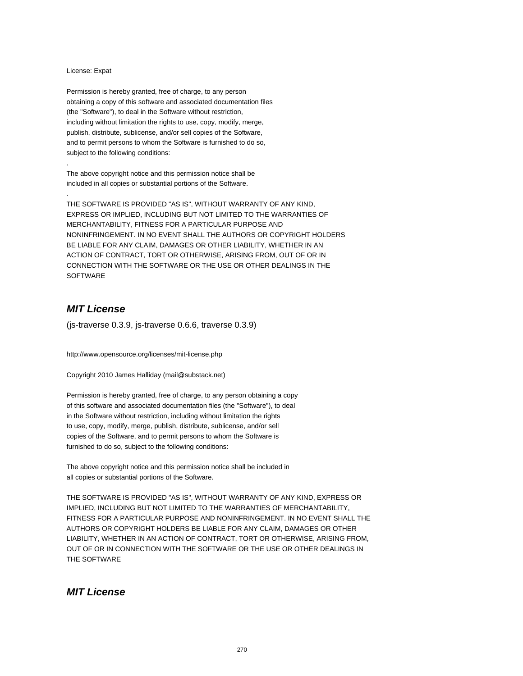#### License: Expat

.

.

Permission is hereby granted, free of charge, to any person obtaining a copy of this software and associated documentation files (the "Software"), to deal in the Software without restriction, including without limitation the rights to use, copy, modify, merge, publish, distribute, sublicense, and/or sell copies of the Software, and to permit persons to whom the Software is furnished to do so, subject to the following conditions:

The above copyright notice and this permission notice shall be included in all copies or substantial portions of the Software.

THE SOFTWARE IS PROVIDED "AS IS", WITHOUT WARRANTY OF ANY KIND, EXPRESS OR IMPLIED, INCLUDING BUT NOT LIMITED TO THE WARRANTIES OF MERCHANTABILITY, FITNESS FOR A PARTICULAR PURPOSE AND NONINFRINGEMENT. IN NO EVENT SHALL THE AUTHORS OR COPYRIGHT HOLDERS BE LIABLE FOR ANY CLAIM, DAMAGES OR OTHER LIABILITY, WHETHER IN AN ACTION OF CONTRACT, TORT OR OTHERWISE, ARISING FROM, OUT OF OR IN CONNECTION WITH THE SOFTWARE OR THE USE OR OTHER DEALINGS IN THE **SOFTWARE** 

# **MIT License**

(js-traverse 0.3.9, js-traverse 0.6.6, traverse 0.3.9)

http://www.opensource.org/licenses/mit-license.php

Copyright 2010 James Halliday (mail@substack.net)

Permission is hereby granted, free of charge, to any person obtaining a copy of this software and associated documentation files (the "Software"), to deal in the Software without restriction, including without limitation the rights to use, copy, modify, merge, publish, distribute, sublicense, and/or sell copies of the Software, and to permit persons to whom the Software is furnished to do so, subject to the following conditions:

The above copyright notice and this permission notice shall be included in all copies or substantial portions of the Software.

THE SOFTWARE IS PROVIDED "AS IS", WITHOUT WARRANTY OF ANY KIND, EXPRESS OR IMPLIED, INCLUDING BUT NOT LIMITED TO THE WARRANTIES OF MERCHANTABILITY, FITNESS FOR A PARTICULAR PURPOSE AND NONINFRINGEMENT. IN NO EVENT SHALL THE AUTHORS OR COPYRIGHT HOLDERS BE LIABLE FOR ANY CLAIM, DAMAGES OR OTHER LIABILITY, WHETHER IN AN ACTION OF CONTRACT, TORT OR OTHERWISE, ARISING FROM, OUT OF OR IN CONNECTION WITH THE SOFTWARE OR THE USE OR OTHER DEALINGS IN THE SOFTWARE

# **MIT License**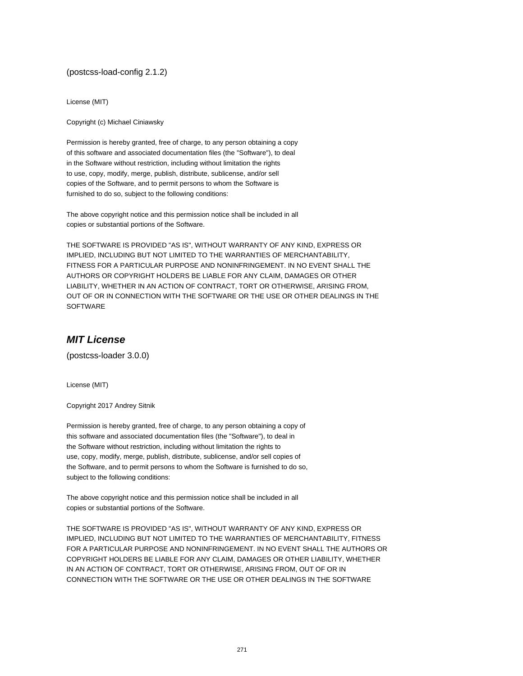(postcss-load-config 2.1.2)

License (MIT)

Copyright (c) Michael Ciniawsky

Permission is hereby granted, free of charge, to any person obtaining a copy of this software and associated documentation files (the "Software"), to deal in the Software without restriction, including without limitation the rights to use, copy, modify, merge, publish, distribute, sublicense, and/or sell copies of the Software, and to permit persons to whom the Software is furnished to do so, subject to the following conditions:

The above copyright notice and this permission notice shall be included in all copies or substantial portions of the Software.

THE SOFTWARE IS PROVIDED "AS IS", WITHOUT WARRANTY OF ANY KIND, EXPRESS OR IMPLIED, INCLUDING BUT NOT LIMITED TO THE WARRANTIES OF MERCHANTABILITY, FITNESS FOR A PARTICULAR PURPOSE AND NONINFRINGEMENT. IN NO EVENT SHALL THE AUTHORS OR COPYRIGHT HOLDERS BE LIABLE FOR ANY CLAIM, DAMAGES OR OTHER LIABILITY, WHETHER IN AN ACTION OF CONTRACT, TORT OR OTHERWISE, ARISING FROM, OUT OF OR IN CONNECTION WITH THE SOFTWARE OR THE USE OR OTHER DEALINGS IN THE SOFTWARE

# **MIT License**

(postcss-loader 3.0.0)

License (MIT)

Copyright 2017 Andrey Sitnik

Permission is hereby granted, free of charge, to any person obtaining a copy of this software and associated documentation files (the "Software"), to deal in the Software without restriction, including without limitation the rights to use, copy, modify, merge, publish, distribute, sublicense, and/or sell copies of the Software, and to permit persons to whom the Software is furnished to do so, subject to the following conditions:

The above copyright notice and this permission notice shall be included in all copies or substantial portions of the Software.

THE SOFTWARE IS PROVIDED "AS IS", WITHOUT WARRANTY OF ANY KIND, EXPRESS OR IMPLIED, INCLUDING BUT NOT LIMITED TO THE WARRANTIES OF MERCHANTABILITY, FITNESS FOR A PARTICULAR PURPOSE AND NONINFRINGEMENT. IN NO EVENT SHALL THE AUTHORS OR COPYRIGHT HOLDERS BE LIABLE FOR ANY CLAIM, DAMAGES OR OTHER LIABILITY, WHETHER IN AN ACTION OF CONTRACT, TORT OR OTHERWISE, ARISING FROM, OUT OF OR IN CONNECTION WITH THE SOFTWARE OR THE USE OR OTHER DEALINGS IN THE SOFTWARE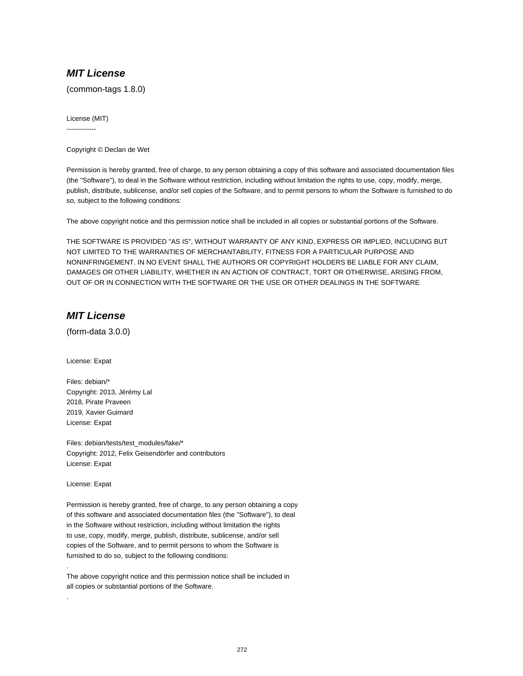## **MIT License**

(common-tags 1.8.0)

License (MIT) -------------

Copyright © Declan de Wet

Permission is hereby granted, free of charge, to any person obtaining a copy of this software and associated documentation files (the "Software"), to deal in the Software without restriction, including without limitation the rights to use, copy, modify, merge, publish, distribute, sublicense, and/or sell copies of the Software, and to permit persons to whom the Software is furnished to do so, subject to the following conditions:

The above copyright notice and this permission notice shall be included in all copies or substantial portions of the Software.

THE SOFTWARE IS PROVIDED "AS IS", WITHOUT WARRANTY OF ANY KIND, EXPRESS OR IMPLIED, INCLUDING BUT NOT LIMITED TO THE WARRANTIES OF MERCHANTABILITY, FITNESS FOR A PARTICULAR PURPOSE AND NONINFRINGEMENT. IN NO EVENT SHALL THE AUTHORS OR COPYRIGHT HOLDERS BE LIABLE FOR ANY CLAIM, DAMAGES OR OTHER LIABILITY, WHETHER IN AN ACTION OF CONTRACT, TORT OR OTHERWISE, ARISING FROM, OUT OF OR IN CONNECTION WITH THE SOFTWARE OR THE USE OR OTHER DEALINGS IN THE SOFTWARE

# **MIT License**

(form-data 3.0.0)

License: Expat

Files: debian/\* Copyright: 2013, Jérémy Lal 2018, Pirate Praveen 2019, Xavier Guimard License: Expat

Files: debian/tests/test\_modules/fake/\* Copyright: 2012, Felix Geisendörfer and contributors License: Expat

License: Expat

.

.

Permission is hereby granted, free of charge, to any person obtaining a copy of this software and associated documentation files (the "Software"), to deal in the Software without restriction, including without limitation the rights to use, copy, modify, merge, publish, distribute, sublicense, and/or sell copies of the Software, and to permit persons to whom the Software is furnished to do so, subject to the following conditions:

The above copyright notice and this permission notice shall be included in all copies or substantial portions of the Software.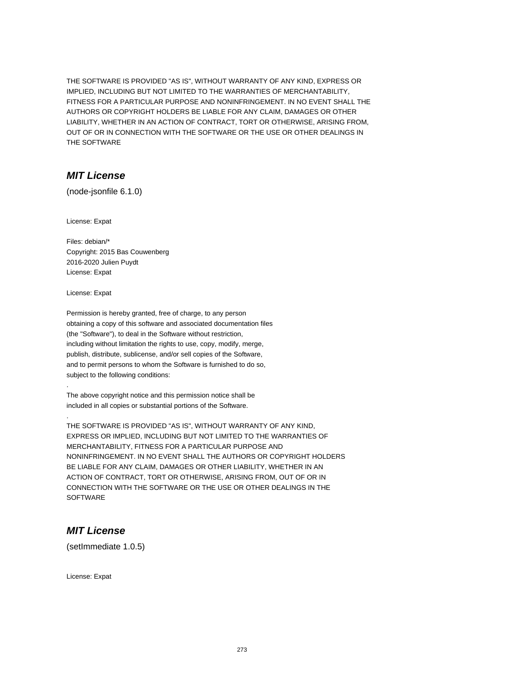THE SOFTWARE IS PROVIDED "AS IS", WITHOUT WARRANTY OF ANY KIND, EXPRESS OR IMPLIED, INCLUDING BUT NOT LIMITED TO THE WARRANTIES OF MERCHANTABILITY, FITNESS FOR A PARTICULAR PURPOSE AND NONINFRINGEMENT. IN NO EVENT SHALL THE AUTHORS OR COPYRIGHT HOLDERS BE LIABLE FOR ANY CLAIM, DAMAGES OR OTHER LIABILITY, WHETHER IN AN ACTION OF CONTRACT, TORT OR OTHERWISE, ARISING FROM, OUT OF OR IN CONNECTION WITH THE SOFTWARE OR THE USE OR OTHER DEALINGS IN THE SOFTWARE

# **MIT License**

(node-jsonfile 6.1.0)

License: Expat

Files: debian/\* Copyright: 2015 Bas Couwenberg 2016-2020 Julien Puydt License: Expat

License: Expat

.

.

Permission is hereby granted, free of charge, to any person obtaining a copy of this software and associated documentation files (the "Software"), to deal in the Software without restriction, including without limitation the rights to use, copy, modify, merge, publish, distribute, sublicense, and/or sell copies of the Software, and to permit persons to whom the Software is furnished to do so, subject to the following conditions:

The above copyright notice and this permission notice shall be included in all copies or substantial portions of the Software.

THE SOFTWARE IS PROVIDED "AS IS", WITHOUT WARRANTY OF ANY KIND, EXPRESS OR IMPLIED, INCLUDING BUT NOT LIMITED TO THE WARRANTIES OF MERCHANTABILITY, FITNESS FOR A PARTICULAR PURPOSE AND NONINFRINGEMENT. IN NO EVENT SHALL THE AUTHORS OR COPYRIGHT HOLDERS BE LIABLE FOR ANY CLAIM, DAMAGES OR OTHER LIABILITY, WHETHER IN AN ACTION OF CONTRACT, TORT OR OTHERWISE, ARISING FROM, OUT OF OR IN CONNECTION WITH THE SOFTWARE OR THE USE OR OTHER DEALINGS IN THE **SOFTWARE** 

#### **MIT License**

(setImmediate 1.0.5)

License: Expat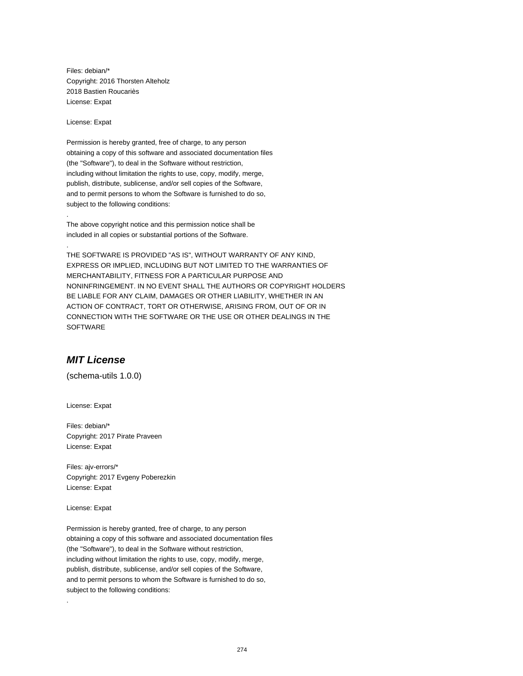Files: debian/\* Copyright: 2016 Thorsten Alteholz 2018 Bastien Roucariès License: Expat

License: Expat

.

.

Permission is hereby granted, free of charge, to any person obtaining a copy of this software and associated documentation files (the "Software"), to deal in the Software without restriction, including without limitation the rights to use, copy, modify, merge, publish, distribute, sublicense, and/or sell copies of the Software, and to permit persons to whom the Software is furnished to do so, subject to the following conditions:

The above copyright notice and this permission notice shall be included in all copies or substantial portions of the Software.

THE SOFTWARE IS PROVIDED "AS IS", WITHOUT WARRANTY OF ANY KIND, EXPRESS OR IMPLIED, INCLUDING BUT NOT LIMITED TO THE WARRANTIES OF MERCHANTABILITY, FITNESS FOR A PARTICULAR PURPOSE AND NONINFRINGEMENT. IN NO EVENT SHALL THE AUTHORS OR COPYRIGHT HOLDERS BE LIABLE FOR ANY CLAIM, DAMAGES OR OTHER LIABILITY, WHETHER IN AN ACTION OF CONTRACT, TORT OR OTHERWISE, ARISING FROM, OUT OF OR IN CONNECTION WITH THE SOFTWARE OR THE USE OR OTHER DEALINGS IN THE **SOFTWARE** 

#### **MIT License**

(schema-utils 1.0.0)

License: Expat

Files: debian/\* Copyright: 2017 Pirate Praveen License: Expat

Files: ajv-errors/\* Copyright: 2017 Evgeny Poberezkin License: Expat

License: Expat

.

Permission is hereby granted, free of charge, to any person obtaining a copy of this software and associated documentation files (the "Software"), to deal in the Software without restriction, including without limitation the rights to use, copy, modify, merge, publish, distribute, sublicense, and/or sell copies of the Software, and to permit persons to whom the Software is furnished to do so, subject to the following conditions: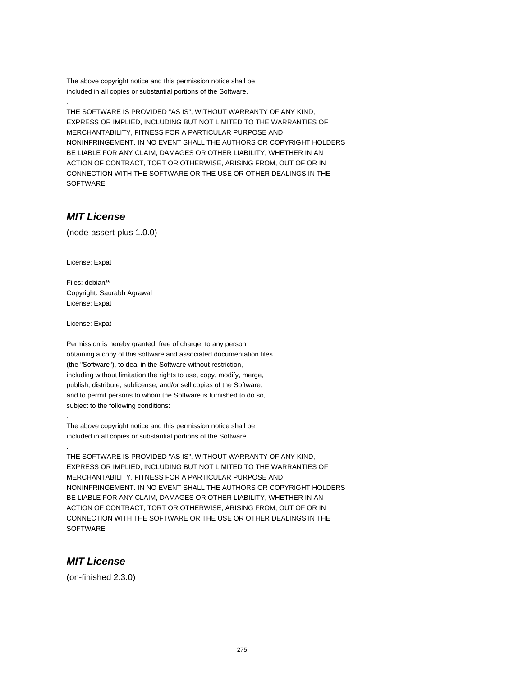The above copyright notice and this permission notice shall be included in all copies or substantial portions of the Software.

THE SOFTWARE IS PROVIDED "AS IS", WITHOUT WARRANTY OF ANY KIND, EXPRESS OR IMPLIED, INCLUDING BUT NOT LIMITED TO THE WARRANTIES OF MERCHANTABILITY, FITNESS FOR A PARTICULAR PURPOSE AND NONINFRINGEMENT. IN NO EVENT SHALL THE AUTHORS OR COPYRIGHT HOLDERS BE LIABLE FOR ANY CLAIM, DAMAGES OR OTHER LIABILITY, WHETHER IN AN ACTION OF CONTRACT, TORT OR OTHERWISE, ARISING FROM, OUT OF OR IN CONNECTION WITH THE SOFTWARE OR THE USE OR OTHER DEALINGS IN THE **SOFTWARE** 

# **MIT License**

.

(node-assert-plus 1.0.0)

License: Expat

Files: debian/\* Copyright: Saurabh Agrawal License: Expat

License: Expat

.

.

Permission is hereby granted, free of charge, to any person obtaining a copy of this software and associated documentation files (the "Software"), to deal in the Software without restriction, including without limitation the rights to use, copy, modify, merge, publish, distribute, sublicense, and/or sell copies of the Software, and to permit persons to whom the Software is furnished to do so, subject to the following conditions:

The above copyright notice and this permission notice shall be included in all copies or substantial portions of the Software.

THE SOFTWARE IS PROVIDED "AS IS", WITHOUT WARRANTY OF ANY KIND, EXPRESS OR IMPLIED, INCLUDING BUT NOT LIMITED TO THE WARRANTIES OF MERCHANTABILITY, FITNESS FOR A PARTICULAR PURPOSE AND NONINFRINGEMENT. IN NO EVENT SHALL THE AUTHORS OR COPYRIGHT HOLDERS BE LIABLE FOR ANY CLAIM, DAMAGES OR OTHER LIABILITY, WHETHER IN AN ACTION OF CONTRACT, TORT OR OTHERWISE, ARISING FROM, OUT OF OR IN CONNECTION WITH THE SOFTWARE OR THE USE OR OTHER DEALINGS IN THE **SOFTWARE** 

#### **MIT License**

(on-finished 2.3.0)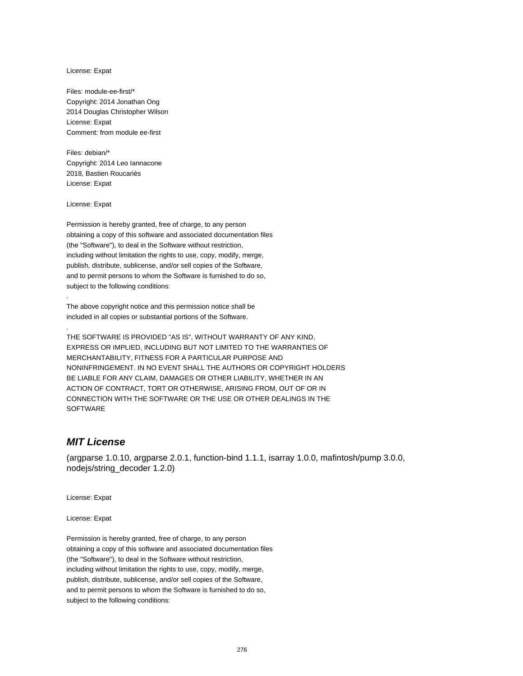License: Expat

Files: module-ee-first/\* Copyright: 2014 Jonathan Ong 2014 Douglas Christopher Wilson License: Expat Comment: from module ee-first

Files: debian/\* Copyright: 2014 Leo Iannacone 2018, Bastien Roucariès License: Expat

License: Expat

.

.

Permission is hereby granted, free of charge, to any person obtaining a copy of this software and associated documentation files (the "Software"), to deal in the Software without restriction, including without limitation the rights to use, copy, modify, merge, publish, distribute, sublicense, and/or sell copies of the Software, and to permit persons to whom the Software is furnished to do so, subject to the following conditions:

The above copyright notice and this permission notice shall be included in all copies or substantial portions of the Software.

THE SOFTWARE IS PROVIDED "AS IS", WITHOUT WARRANTY OF ANY KIND, EXPRESS OR IMPLIED, INCLUDING BUT NOT LIMITED TO THE WARRANTIES OF MERCHANTABILITY, FITNESS FOR A PARTICULAR PURPOSE AND NONINFRINGEMENT. IN NO EVENT SHALL THE AUTHORS OR COPYRIGHT HOLDERS BE LIABLE FOR ANY CLAIM, DAMAGES OR OTHER LIABILITY, WHETHER IN AN ACTION OF CONTRACT, TORT OR OTHERWISE, ARISING FROM, OUT OF OR IN CONNECTION WITH THE SOFTWARE OR THE USE OR OTHER DEALINGS IN THE **SOFTWARE** 

# **MIT License**

(argparse 1.0.10, argparse 2.0.1, function-bind 1.1.1, isarray 1.0.0, mafintosh/pump 3.0.0, nodejs/string\_decoder 1.2.0)

License: Expat

License: Expat

Permission is hereby granted, free of charge, to any person obtaining a copy of this software and associated documentation files (the "Software"), to deal in the Software without restriction, including without limitation the rights to use, copy, modify, merge, publish, distribute, sublicense, and/or sell copies of the Software, and to permit persons to whom the Software is furnished to do so, subject to the following conditions: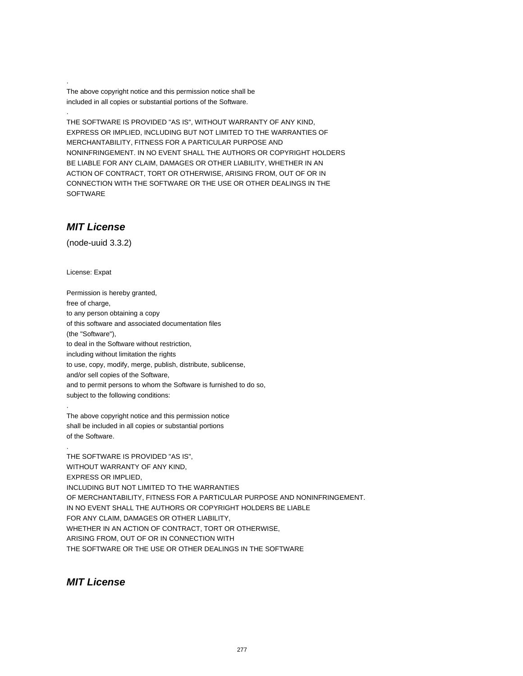The above copyright notice and this permission notice shall be included in all copies or substantial portions of the Software.

THE SOFTWARE IS PROVIDED "AS IS", WITHOUT WARRANTY OF ANY KIND, EXPRESS OR IMPLIED, INCLUDING BUT NOT LIMITED TO THE WARRANTIES OF MERCHANTABILITY, FITNESS FOR A PARTICULAR PURPOSE AND NONINFRINGEMENT. IN NO EVENT SHALL THE AUTHORS OR COPYRIGHT HOLDERS BE LIABLE FOR ANY CLAIM, DAMAGES OR OTHER LIABILITY, WHETHER IN AN ACTION OF CONTRACT, TORT OR OTHERWISE, ARISING FROM, OUT OF OR IN CONNECTION WITH THE SOFTWARE OR THE USE OR OTHER DEALINGS IN THE SOFTWARE

#### **MIT License**

.

.

(node-uuid 3.3.2)

License: Expat

.

.

Permission is hereby granted, free of charge, to any person obtaining a copy of this software and associated documentation files (the "Software"), to deal in the Software without restriction, including without limitation the rights to use, copy, modify, merge, publish, distribute, sublicense, and/or sell copies of the Software, and to permit persons to whom the Software is furnished to do so, subject to the following conditions:

The above copyright notice and this permission notice shall be included in all copies or substantial portions of the Software.

THE SOFTWARE IS PROVIDED "AS IS", WITHOUT WARRANTY OF ANY KIND, EXPRESS OR IMPLIED, INCLUDING BUT NOT LIMITED TO THE WARRANTIES OF MERCHANTABILITY, FITNESS FOR A PARTICULAR PURPOSE AND NONINFRINGEMENT. IN NO EVENT SHALL THE AUTHORS OR COPYRIGHT HOLDERS BE LIABLE FOR ANY CLAIM, DAMAGES OR OTHER LIABILITY, WHETHER IN AN ACTION OF CONTRACT, TORT OR OTHERWISE, ARISING FROM, OUT OF OR IN CONNECTION WITH THE SOFTWARE OR THE USE OR OTHER DEALINGS IN THE SOFTWARE

**MIT License**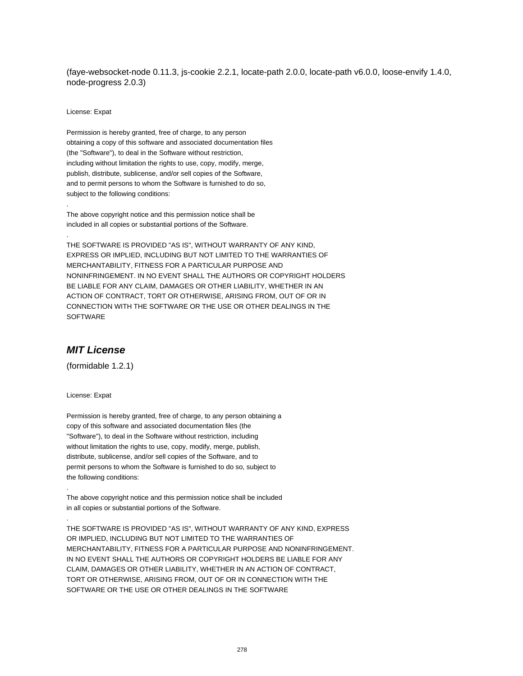(faye-websocket-node 0.11.3, js-cookie 2.2.1, locate-path 2.0.0, locate-path v6.0.0, loose-envify 1.4.0, node-progress 2.0.3)

License: Expat

.

.

Permission is hereby granted, free of charge, to any person obtaining a copy of this software and associated documentation files (the "Software"), to deal in the Software without restriction, including without limitation the rights to use, copy, modify, merge, publish, distribute, sublicense, and/or sell copies of the Software, and to permit persons to whom the Software is furnished to do so, subject to the following conditions:

The above copyright notice and this permission notice shall be included in all copies or substantial portions of the Software.

THE SOFTWARE IS PROVIDED "AS IS", WITHOUT WARRANTY OF ANY KIND, EXPRESS OR IMPLIED, INCLUDING BUT NOT LIMITED TO THE WARRANTIES OF MERCHANTABILITY, FITNESS FOR A PARTICULAR PURPOSE AND NONINFRINGEMENT. IN NO EVENT SHALL THE AUTHORS OR COPYRIGHT HOLDERS BE LIABLE FOR ANY CLAIM, DAMAGES OR OTHER LIABILITY, WHETHER IN AN ACTION OF CONTRACT, TORT OR OTHERWISE, ARISING FROM, OUT OF OR IN CONNECTION WITH THE SOFTWARE OR THE USE OR OTHER DEALINGS IN THE SOFTWARE

# **MIT License**

(formidable 1.2.1)

License: Expat

.

.

Permission is hereby granted, free of charge, to any person obtaining a copy of this software and associated documentation files (the "Software"), to deal in the Software without restriction, including without limitation the rights to use, copy, modify, merge, publish, distribute, sublicense, and/or sell copies of the Software, and to permit persons to whom the Software is furnished to do so, subject to the following conditions:

The above copyright notice and this permission notice shall be included in all copies or substantial portions of the Software.

THE SOFTWARE IS PROVIDED "AS IS", WITHOUT WARRANTY OF ANY KIND, EXPRESS OR IMPLIED, INCLUDING BUT NOT LIMITED TO THE WARRANTIES OF MERCHANTABILITY, FITNESS FOR A PARTICULAR PURPOSE AND NONINFRINGEMENT. IN NO EVENT SHALL THE AUTHORS OR COPYRIGHT HOLDERS BE LIABLE FOR ANY CLAIM, DAMAGES OR OTHER LIABILITY, WHETHER IN AN ACTION OF CONTRACT, TORT OR OTHERWISE, ARISING FROM, OUT OF OR IN CONNECTION WITH THE SOFTWARE OR THE USE OR OTHER DEALINGS IN THE SOFTWARE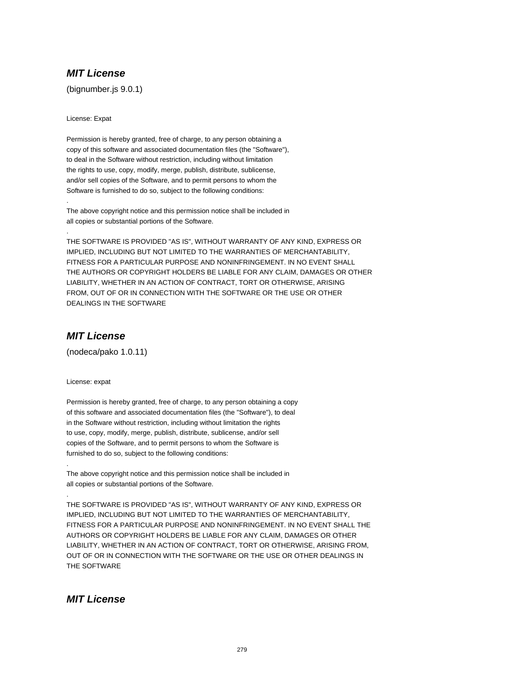# **MIT License**

(bignumber.js 9.0.1)

License: Expat

.

.

Permission is hereby granted, free of charge, to any person obtaining a copy of this software and associated documentation files (the "Software"), to deal in the Software without restriction, including without limitation the rights to use, copy, modify, merge, publish, distribute, sublicense, and/or sell copies of the Software, and to permit persons to whom the Software is furnished to do so, subject to the following conditions:

The above copyright notice and this permission notice shall be included in all copies or substantial portions of the Software.

THE SOFTWARE IS PROVIDED "AS IS", WITHOUT WARRANTY OF ANY KIND, EXPRESS OR IMPLIED, INCLUDING BUT NOT LIMITED TO THE WARRANTIES OF MERCHANTABILITY, FITNESS FOR A PARTICULAR PURPOSE AND NONINFRINGEMENT. IN NO EVENT SHALL THE AUTHORS OR COPYRIGHT HOLDERS BE LIABLE FOR ANY CLAIM, DAMAGES OR OTHER LIABILITY, WHETHER IN AN ACTION OF CONTRACT, TORT OR OTHERWISE, ARISING FROM, OUT OF OR IN CONNECTION WITH THE SOFTWARE OR THE USE OR OTHER DEALINGS IN THE SOFTWARE

# **MIT License**

(nodeca/pako 1.0.11)

License: expat

.

.

Permission is hereby granted, free of charge, to any person obtaining a copy of this software and associated documentation files (the "Software"), to deal in the Software without restriction, including without limitation the rights to use, copy, modify, merge, publish, distribute, sublicense, and/or sell copies of the Software, and to permit persons to whom the Software is furnished to do so, subject to the following conditions:

The above copyright notice and this permission notice shall be included in all copies or substantial portions of the Software.

THE SOFTWARE IS PROVIDED "AS IS", WITHOUT WARRANTY OF ANY KIND, EXPRESS OR IMPLIED, INCLUDING BUT NOT LIMITED TO THE WARRANTIES OF MERCHANTABILITY, FITNESS FOR A PARTICULAR PURPOSE AND NONINFRINGEMENT. IN NO EVENT SHALL THE AUTHORS OR COPYRIGHT HOLDERS BE LIABLE FOR ANY CLAIM, DAMAGES OR OTHER LIABILITY, WHETHER IN AN ACTION OF CONTRACT, TORT OR OTHERWISE, ARISING FROM, OUT OF OR IN CONNECTION WITH THE SOFTWARE OR THE USE OR OTHER DEALINGS IN THE SOFTWARE

#### **MIT License**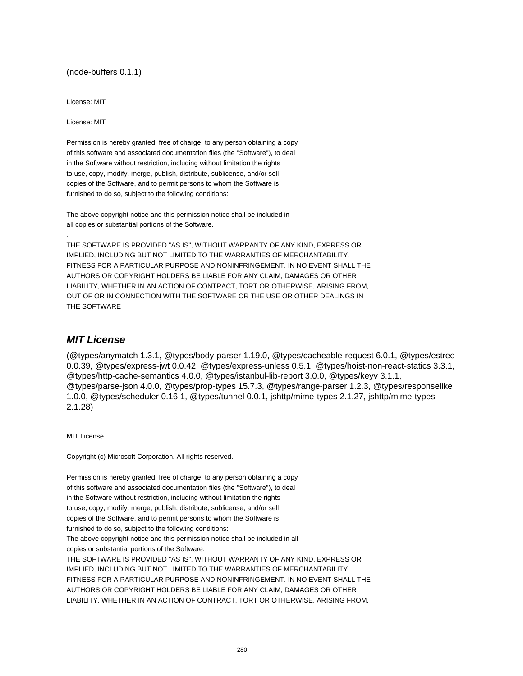#### (node-buffers 0.1.1)

License: MIT

License: MIT

.

.

Permission is hereby granted, free of charge, to any person obtaining a copy of this software and associated documentation files (the "Software"), to deal in the Software without restriction, including without limitation the rights to use, copy, modify, merge, publish, distribute, sublicense, and/or sell copies of the Software, and to permit persons to whom the Software is furnished to do so, subject to the following conditions:

The above copyright notice and this permission notice shall be included in all copies or substantial portions of the Software.

THE SOFTWARE IS PROVIDED "AS IS", WITHOUT WARRANTY OF ANY KIND, EXPRESS OR IMPLIED, INCLUDING BUT NOT LIMITED TO THE WARRANTIES OF MERCHANTABILITY, FITNESS FOR A PARTICULAR PURPOSE AND NONINFRINGEMENT. IN NO EVENT SHALL THE AUTHORS OR COPYRIGHT HOLDERS BE LIABLE FOR ANY CLAIM, DAMAGES OR OTHER LIABILITY, WHETHER IN AN ACTION OF CONTRACT, TORT OR OTHERWISE, ARISING FROM, OUT OF OR IN CONNECTION WITH THE SOFTWARE OR THE USE OR OTHER DEALINGS IN THE SOFTWARE

#### **MIT License**

(@types/anymatch 1.3.1, @types/body-parser 1.19.0, @types/cacheable-request 6.0.1, @types/estree 0.0.39, @types/express-jwt 0.0.42, @types/express-unless 0.5.1, @types/hoist-non-react-statics 3.3.1, @types/http-cache-semantics 4.0.0, @types/istanbul-lib-report 3.0.0, @types/keyv 3.1.1, @types/parse-json 4.0.0, @types/prop-types 15.7.3, @types/range-parser 1.2.3, @types/responselike 1.0.0, @types/scheduler 0.16.1, @types/tunnel 0.0.1, jshttp/mime-types 2.1.27, jshttp/mime-types 2.1.28)

MIT License

Copyright (c) Microsoft Corporation. All rights reserved.

Permission is hereby granted, free of charge, to any person obtaining a copy of this software and associated documentation files (the "Software"), to deal in the Software without restriction, including without limitation the rights to use, copy, modify, merge, publish, distribute, sublicense, and/or sell copies of the Software, and to permit persons to whom the Software is furnished to do so, subject to the following conditions: The above copyright notice and this permission notice shall be included in all copies or substantial portions of the Software. THE SOFTWARE IS PROVIDED "AS IS", WITHOUT WARRANTY OF ANY KIND, EXPRESS OR IMPLIED, INCLUDING BUT NOT LIMITED TO THE WARRANTIES OF MERCHANTABILITY, FITNESS FOR A PARTICULAR PURPOSE AND NONINFRINGEMENT. IN NO EVENT SHALL THE AUTHORS OR COPYRIGHT HOLDERS BE LIABLE FOR ANY CLAIM, DAMAGES OR OTHER LIABILITY, WHETHER IN AN ACTION OF CONTRACT, TORT OR OTHERWISE, ARISING FROM,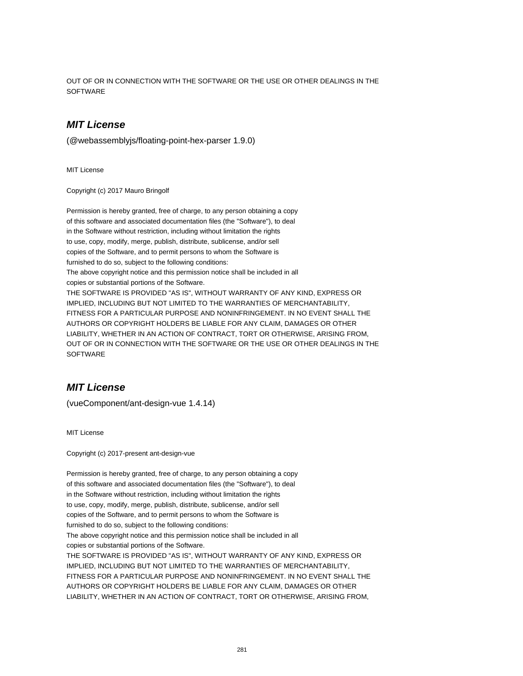OUT OF OR IN CONNECTION WITH THE SOFTWARE OR THE USE OR OTHER DEALINGS IN THE **SOFTWARE** 

# **MIT License**

(@webassemblyjs/floating-point-hex-parser 1.9.0)

MIT License

Copyright (c) 2017 Mauro Bringolf

Permission is hereby granted, free of charge, to any person obtaining a copy of this software and associated documentation files (the "Software"), to deal in the Software without restriction, including without limitation the rights to use, copy, modify, merge, publish, distribute, sublicense, and/or sell copies of the Software, and to permit persons to whom the Software is furnished to do so, subject to the following conditions: The above copyright notice and this permission notice shall be included in all copies or substantial portions of the Software. THE SOFTWARE IS PROVIDED "AS IS", WITHOUT WARRANTY OF ANY KIND, EXPRESS OR IMPLIED, INCLUDING BUT NOT LIMITED TO THE WARRANTIES OF MERCHANTABILITY, FITNESS FOR A PARTICULAR PURPOSE AND NONINFRINGEMENT. IN NO EVENT SHALL THE AUTHORS OR COPYRIGHT HOLDERS BE LIABLE FOR ANY CLAIM, DAMAGES OR OTHER LIABILITY, WHETHER IN AN ACTION OF CONTRACT, TORT OR OTHERWISE, ARISING FROM, OUT OF OR IN CONNECTION WITH THE SOFTWARE OR THE USE OR OTHER DEALINGS IN THE **SOFTWARE** 

#### **MIT License**

(vueComponent/ant-design-vue 1.4.14)

MIT License

Copyright (c) 2017-present ant-design-vue

Permission is hereby granted, free of charge, to any person obtaining a copy of this software and associated documentation files (the "Software"), to deal in the Software without restriction, including without limitation the rights to use, copy, modify, merge, publish, distribute, sublicense, and/or sell copies of the Software, and to permit persons to whom the Software is furnished to do so, subject to the following conditions: The above copyright notice and this permission notice shall be included in all copies or substantial portions of the Software. THE SOFTWARE IS PROVIDED "AS IS", WITHOUT WARRANTY OF ANY KIND, EXPRESS OR IMPLIED, INCLUDING BUT NOT LIMITED TO THE WARRANTIES OF MERCHANTABILITY, FITNESS FOR A PARTICULAR PURPOSE AND NONINFRINGEMENT. IN NO EVENT SHALL THE AUTHORS OR COPYRIGHT HOLDERS BE LIABLE FOR ANY CLAIM, DAMAGES OR OTHER LIABILITY, WHETHER IN AN ACTION OF CONTRACT, TORT OR OTHERWISE, ARISING FROM,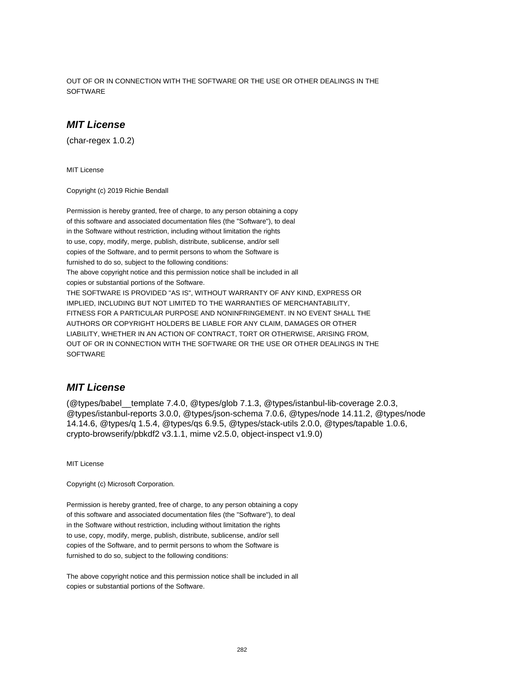OUT OF OR IN CONNECTION WITH THE SOFTWARE OR THE USE OR OTHER DEALINGS IN THE **SOFTWARE** 

# **MIT License**

(char-regex 1.0.2)

MIT License

Copyright (c) 2019 Richie Bendall

Permission is hereby granted, free of charge, to any person obtaining a copy of this software and associated documentation files (the "Software"), to deal in the Software without restriction, including without limitation the rights to use, copy, modify, merge, publish, distribute, sublicense, and/or sell copies of the Software, and to permit persons to whom the Software is furnished to do so, subject to the following conditions: The above copyright notice and this permission notice shall be included in all copies or substantial portions of the Software. THE SOFTWARE IS PROVIDED "AS IS", WITHOUT WARRANTY OF ANY KIND, EXPRESS OR IMPLIED, INCLUDING BUT NOT LIMITED TO THE WARRANTIES OF MERCHANTABILITY, FITNESS FOR A PARTICULAR PURPOSE AND NONINFRINGEMENT. IN NO EVENT SHALL THE AUTHORS OR COPYRIGHT HOLDERS BE LIABLE FOR ANY CLAIM, DAMAGES OR OTHER LIABILITY, WHETHER IN AN ACTION OF CONTRACT, TORT OR OTHERWISE, ARISING FROM, OUT OF OR IN CONNECTION WITH THE SOFTWARE OR THE USE OR OTHER DEALINGS IN THE **SOFTWARE** 

#### **MIT License**

(@types/babel\_\_template 7.4.0, @types/glob 7.1.3, @types/istanbul-lib-coverage 2.0.3, @types/istanbul-reports 3.0.0, @types/json-schema 7.0.6, @types/node 14.11.2, @types/node 14.14.6, @types/q 1.5.4, @types/qs 6.9.5, @types/stack-utils 2.0.0, @types/tapable 1.0.6, crypto-browserify/pbkdf2 v3.1.1, mime v2.5.0, object-inspect v1.9.0)

MIT License

Copyright (c) Microsoft Corporation.

Permission is hereby granted, free of charge, to any person obtaining a copy of this software and associated documentation files (the "Software"), to deal in the Software without restriction, including without limitation the rights to use, copy, modify, merge, publish, distribute, sublicense, and/or sell copies of the Software, and to permit persons to whom the Software is furnished to do so, subject to the following conditions:

The above copyright notice and this permission notice shall be included in all copies or substantial portions of the Software.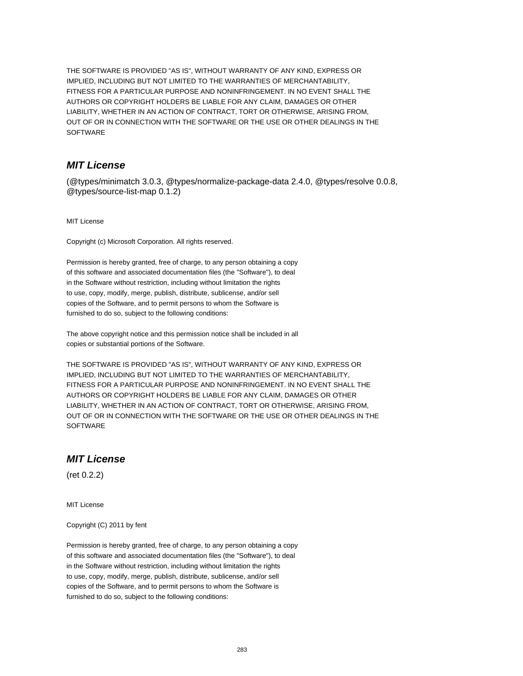THE SOFTWARE IS PROVIDED "AS IS", WITHOUT WARRANTY OF ANY KIND, EXPRESS OR IMPLIED, INCLUDING BUT NOT LIMITED TO THE WARRANTIES OF MERCHANTABILITY, FITNESS FOR A PARTICULAR PURPOSE AND NONINFRINGEMENT. IN NO EVENT SHALL THE AUTHORS OR COPYRIGHT HOLDERS BE LIABLE FOR ANY CLAIM, DAMAGES OR OTHER LIABILITY, WHETHER IN AN ACTION OF CONTRACT, TORT OR OTHERWISE, ARISING FROM, OUT OF OR IN CONNECTION WITH THE SOFTWARE OR THE USE OR OTHER DEALINGS IN THE SOFTWARE

# **MIT License**

(@types/minimatch 3.0.3, @types/normalize-package-data 2.4.0, @types/resolve 0.0.8, @types/source-list-map 0.1.2)

MIT License

Copyright (c) Microsoft Corporation. All rights reserved.

Permission is hereby granted, free of charge, to any person obtaining a copy of this software and associated documentation files (the "Software"), to deal in the Software without restriction, including without limitation the rights to use, copy, modify, merge, publish, distribute, sublicense, and/or sell copies of the Software, and to permit persons to whom the Software is furnished to do so, subject to the following conditions:

The above copyright notice and this permission notice shall be included in all copies or substantial portions of the Software.

THE SOFTWARE IS PROVIDED "AS IS", WITHOUT WARRANTY OF ANY KIND, EXPRESS OR IMPLIED, INCLUDING BUT NOT LIMITED TO THE WARRANTIES OF MERCHANTABILITY, FITNESS FOR A PARTICULAR PURPOSE AND NONINFRINGEMENT. IN NO EVENT SHALL THE AUTHORS OR COPYRIGHT HOLDERS BE LIABLE FOR ANY CLAIM, DAMAGES OR OTHER LIABILITY, WHETHER IN AN ACTION OF CONTRACT, TORT OR OTHERWISE, ARISING FROM, OUT OF OR IN CONNECTION WITH THE SOFTWARE OR THE USE OR OTHER DEALINGS IN THE **SOFTWARE** 

#### **MIT License**

(ret 0.2.2)

MIT License

Copyright (C) 2011 by fent

Permission is hereby granted, free of charge, to any person obtaining a copy of this software and associated documentation files (the "Software"), to deal in the Software without restriction, including without limitation the rights to use, copy, modify, merge, publish, distribute, sublicense, and/or sell copies of the Software, and to permit persons to whom the Software is furnished to do so, subject to the following conditions: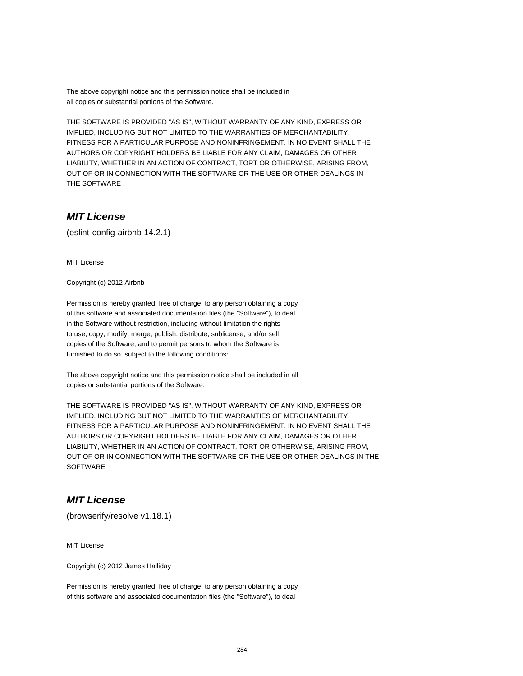The above copyright notice and this permission notice shall be included in all copies or substantial portions of the Software.

THE SOFTWARE IS PROVIDED "AS IS", WITHOUT WARRANTY OF ANY KIND, EXPRESS OR IMPLIED, INCLUDING BUT NOT LIMITED TO THE WARRANTIES OF MERCHANTABILITY, FITNESS FOR A PARTICULAR PURPOSE AND NONINFRINGEMENT. IN NO EVENT SHALL THE AUTHORS OR COPYRIGHT HOLDERS BE LIABLE FOR ANY CLAIM, DAMAGES OR OTHER LIABILITY, WHETHER IN AN ACTION OF CONTRACT, TORT OR OTHERWISE, ARISING FROM, OUT OF OR IN CONNECTION WITH THE SOFTWARE OR THE USE OR OTHER DEALINGS IN THE SOFTWARE

# **MIT License**

(eslint-config-airbnb 14.2.1)

MIT License

Copyright (c) 2012 Airbnb

Permission is hereby granted, free of charge, to any person obtaining a copy of this software and associated documentation files (the "Software"), to deal in the Software without restriction, including without limitation the rights to use, copy, modify, merge, publish, distribute, sublicense, and/or sell copies of the Software, and to permit persons to whom the Software is furnished to do so, subject to the following conditions:

The above copyright notice and this permission notice shall be included in all copies or substantial portions of the Software.

THE SOFTWARE IS PROVIDED "AS IS", WITHOUT WARRANTY OF ANY KIND, EXPRESS OR IMPLIED, INCLUDING BUT NOT LIMITED TO THE WARRANTIES OF MERCHANTABILITY, FITNESS FOR A PARTICULAR PURPOSE AND NONINFRINGEMENT. IN NO EVENT SHALL THE AUTHORS OR COPYRIGHT HOLDERS BE LIABLE FOR ANY CLAIM, DAMAGES OR OTHER LIABILITY, WHETHER IN AN ACTION OF CONTRACT, TORT OR OTHERWISE, ARISING FROM, OUT OF OR IN CONNECTION WITH THE SOFTWARE OR THE USE OR OTHER DEALINGS IN THE **SOFTWARE** 

#### **MIT License**

(browserify/resolve v1.18.1)

MIT License

Copyright (c) 2012 James Halliday

Permission is hereby granted, free of charge, to any person obtaining a copy of this software and associated documentation files (the "Software"), to deal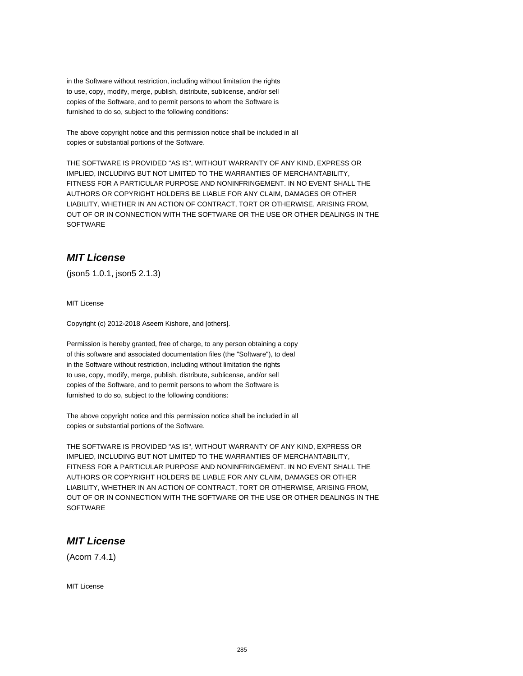in the Software without restriction, including without limitation the rights to use, copy, modify, merge, publish, distribute, sublicense, and/or sell copies of the Software, and to permit persons to whom the Software is furnished to do so, subject to the following conditions:

The above copyright notice and this permission notice shall be included in all copies or substantial portions of the Software.

THE SOFTWARE IS PROVIDED "AS IS", WITHOUT WARRANTY OF ANY KIND, EXPRESS OR IMPLIED, INCLUDING BUT NOT LIMITED TO THE WARRANTIES OF MERCHANTABILITY, FITNESS FOR A PARTICULAR PURPOSE AND NONINFRINGEMENT. IN NO EVENT SHALL THE AUTHORS OR COPYRIGHT HOLDERS BE LIABLE FOR ANY CLAIM, DAMAGES OR OTHER LIABILITY, WHETHER IN AN ACTION OF CONTRACT, TORT OR OTHERWISE, ARISING FROM, OUT OF OR IN CONNECTION WITH THE SOFTWARE OR THE USE OR OTHER DEALINGS IN THE SOFTWARE

# **MIT License**

(json5 1.0.1, json5 2.1.3)

MIT License

Copyright (c) 2012-2018 Aseem Kishore, and [others].

Permission is hereby granted, free of charge, to any person obtaining a copy of this software and associated documentation files (the "Software"), to deal in the Software without restriction, including without limitation the rights to use, copy, modify, merge, publish, distribute, sublicense, and/or sell copies of the Software, and to permit persons to whom the Software is furnished to do so, subject to the following conditions:

The above copyright notice and this permission notice shall be included in all copies or substantial portions of the Software.

THE SOFTWARE IS PROVIDED "AS IS", WITHOUT WARRANTY OF ANY KIND, EXPRESS OR IMPLIED, INCLUDING BUT NOT LIMITED TO THE WARRANTIES OF MERCHANTABILITY, FITNESS FOR A PARTICULAR PURPOSE AND NONINFRINGEMENT. IN NO EVENT SHALL THE AUTHORS OR COPYRIGHT HOLDERS BE LIABLE FOR ANY CLAIM, DAMAGES OR OTHER LIABILITY, WHETHER IN AN ACTION OF CONTRACT, TORT OR OTHERWISE, ARISING FROM, OUT OF OR IN CONNECTION WITH THE SOFTWARE OR THE USE OR OTHER DEALINGS IN THE **SOFTWARE** 

# **MIT License**

(Acorn 7.4.1)

MIT License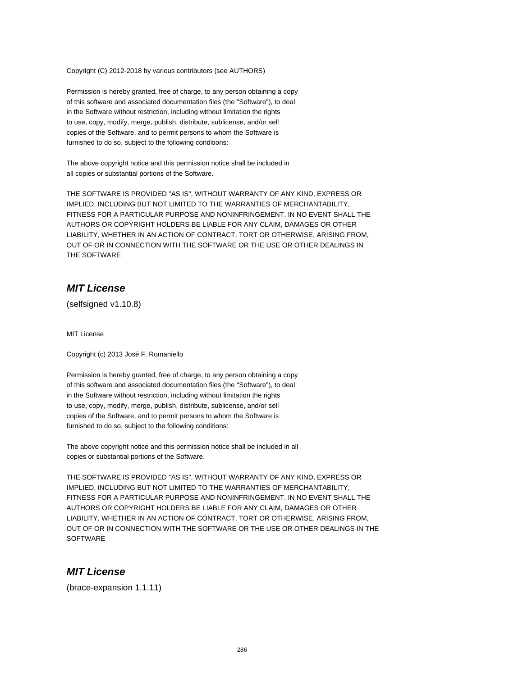Copyright (C) 2012-2018 by various contributors (see AUTHORS)

Permission is hereby granted, free of charge, to any person obtaining a copy of this software and associated documentation files (the "Software"), to deal in the Software without restriction, including without limitation the rights to use, copy, modify, merge, publish, distribute, sublicense, and/or sell copies of the Software, and to permit persons to whom the Software is furnished to do so, subject to the following conditions:

The above copyright notice and this permission notice shall be included in all copies or substantial portions of the Software.

THE SOFTWARE IS PROVIDED "AS IS", WITHOUT WARRANTY OF ANY KIND, EXPRESS OR IMPLIED, INCLUDING BUT NOT LIMITED TO THE WARRANTIES OF MERCHANTABILITY, FITNESS FOR A PARTICULAR PURPOSE AND NONINFRINGEMENT. IN NO EVENT SHALL THE AUTHORS OR COPYRIGHT HOLDERS BE LIABLE FOR ANY CLAIM, DAMAGES OR OTHER LIABILITY, WHETHER IN AN ACTION OF CONTRACT, TORT OR OTHERWISE, ARISING FROM, OUT OF OR IN CONNECTION WITH THE SOFTWARE OR THE USE OR OTHER DEALINGS IN THE SOFTWARE

#### **MIT License**

(selfsigned v1.10.8)

MIT License

Copyright (c) 2013 José F. Romaniello

Permission is hereby granted, free of charge, to any person obtaining a copy of this software and associated documentation files (the "Software"), to deal in the Software without restriction, including without limitation the rights to use, copy, modify, merge, publish, distribute, sublicense, and/or sell copies of the Software, and to permit persons to whom the Software is furnished to do so, subject to the following conditions:

The above copyright notice and this permission notice shall be included in all copies or substantial portions of the Software.

THE SOFTWARE IS PROVIDED "AS IS", WITHOUT WARRANTY OF ANY KIND, EXPRESS OR IMPLIED, INCLUDING BUT NOT LIMITED TO THE WARRANTIES OF MERCHANTABILITY, FITNESS FOR A PARTICULAR PURPOSE AND NONINFRINGEMENT. IN NO EVENT SHALL THE AUTHORS OR COPYRIGHT HOLDERS BE LIABLE FOR ANY CLAIM, DAMAGES OR OTHER LIABILITY, WHETHER IN AN ACTION OF CONTRACT, TORT OR OTHERWISE, ARISING FROM, OUT OF OR IN CONNECTION WITH THE SOFTWARE OR THE USE OR OTHER DEALINGS IN THE **SOFTWARE** 

# **MIT License**

(brace-expansion 1.1.11)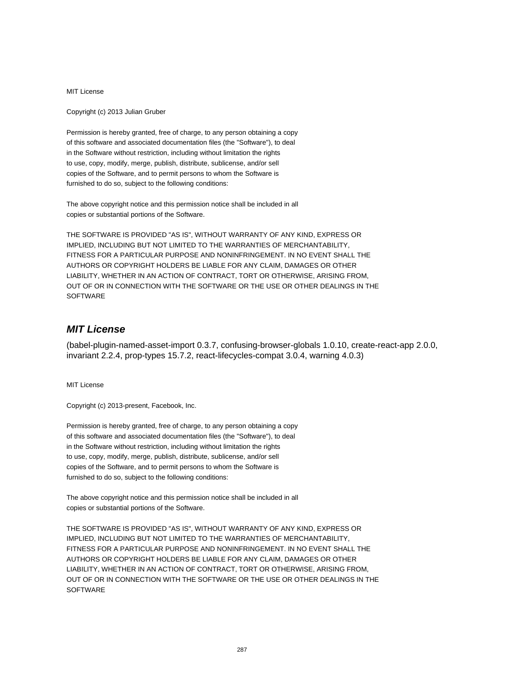MIT License

Copyright (c) 2013 Julian Gruber

Permission is hereby granted, free of charge, to any person obtaining a copy of this software and associated documentation files (the "Software"), to deal in the Software without restriction, including without limitation the rights to use, copy, modify, merge, publish, distribute, sublicense, and/or sell copies of the Software, and to permit persons to whom the Software is furnished to do so, subject to the following conditions:

The above copyright notice and this permission notice shall be included in all copies or substantial portions of the Software.

THE SOFTWARE IS PROVIDED "AS IS", WITHOUT WARRANTY OF ANY KIND, EXPRESS OR IMPLIED, INCLUDING BUT NOT LIMITED TO THE WARRANTIES OF MERCHANTABILITY, FITNESS FOR A PARTICULAR PURPOSE AND NONINFRINGEMENT. IN NO EVENT SHALL THE AUTHORS OR COPYRIGHT HOLDERS BE LIABLE FOR ANY CLAIM, DAMAGES OR OTHER LIABILITY, WHETHER IN AN ACTION OF CONTRACT, TORT OR OTHERWISE, ARISING FROM, OUT OF OR IN CONNECTION WITH THE SOFTWARE OR THE USE OR OTHER DEALINGS IN THE SOFTWARE

# **MIT License**

(babel-plugin-named-asset-import 0.3.7, confusing-browser-globals 1.0.10, create-react-app 2.0.0, invariant 2.2.4, prop-types 15.7.2, react-lifecycles-compat 3.0.4, warning 4.0.3)

MIT License

Copyright (c) 2013-present, Facebook, Inc.

Permission is hereby granted, free of charge, to any person obtaining a copy of this software and associated documentation files (the "Software"), to deal in the Software without restriction, including without limitation the rights to use, copy, modify, merge, publish, distribute, sublicense, and/or sell copies of the Software, and to permit persons to whom the Software is furnished to do so, subject to the following conditions:

The above copyright notice and this permission notice shall be included in all copies or substantial portions of the Software.

THE SOFTWARE IS PROVIDED "AS IS", WITHOUT WARRANTY OF ANY KIND, EXPRESS OR IMPLIED, INCLUDING BUT NOT LIMITED TO THE WARRANTIES OF MERCHANTABILITY, FITNESS FOR A PARTICULAR PURPOSE AND NONINFRINGEMENT. IN NO EVENT SHALL THE AUTHORS OR COPYRIGHT HOLDERS BE LIABLE FOR ANY CLAIM, DAMAGES OR OTHER LIABILITY, WHETHER IN AN ACTION OF CONTRACT, TORT OR OTHERWISE, ARISING FROM, OUT OF OR IN CONNECTION WITH THE SOFTWARE OR THE USE OR OTHER DEALINGS IN THE **SOFTWARE**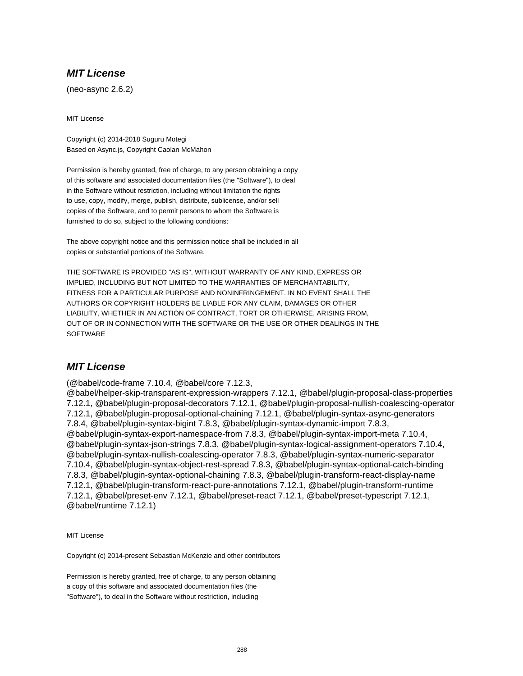# **MIT License**

(neo-async 2.6.2)

MIT License

Copyright (c) 2014-2018 Suguru Motegi Based on Async.js, Copyright Caolan McMahon

Permission is hereby granted, free of charge, to any person obtaining a copy of this software and associated documentation files (the "Software"), to deal in the Software without restriction, including without limitation the rights to use, copy, modify, merge, publish, distribute, sublicense, and/or sell copies of the Software, and to permit persons to whom the Software is furnished to do so, subject to the following conditions:

The above copyright notice and this permission notice shall be included in all copies or substantial portions of the Software.

THE SOFTWARE IS PROVIDED "AS IS", WITHOUT WARRANTY OF ANY KIND, EXPRESS OR IMPLIED, INCLUDING BUT NOT LIMITED TO THE WARRANTIES OF MERCHANTABILITY, FITNESS FOR A PARTICULAR PURPOSE AND NONINFRINGEMENT. IN NO EVENT SHALL THE AUTHORS OR COPYRIGHT HOLDERS BE LIABLE FOR ANY CLAIM, DAMAGES OR OTHER LIABILITY, WHETHER IN AN ACTION OF CONTRACT, TORT OR OTHERWISE, ARISING FROM, OUT OF OR IN CONNECTION WITH THE SOFTWARE OR THE USE OR OTHER DEALINGS IN THE **SOFTWARE** 

### **MIT License**

(@babel/code-frame 7.10.4, @babel/core 7.12.3,

@babel/helper-skip-transparent-expression-wrappers 7.12.1, @babel/plugin-proposal-class-properties 7.12.1, @babel/plugin-proposal-decorators 7.12.1, @babel/plugin-proposal-nullish-coalescing-operator 7.12.1, @babel/plugin-proposal-optional-chaining 7.12.1, @babel/plugin-syntax-async-generators 7.8.4, @babel/plugin-syntax-bigint 7.8.3, @babel/plugin-syntax-dynamic-import 7.8.3, @babel/plugin-syntax-export-namespace-from 7.8.3, @babel/plugin-syntax-import-meta 7.10.4, @babel/plugin-syntax-json-strings 7.8.3, @babel/plugin-syntax-logical-assignment-operators 7.10.4, @babel/plugin-syntax-nullish-coalescing-operator 7.8.3, @babel/plugin-syntax-numeric-separator 7.10.4, @babel/plugin-syntax-object-rest-spread 7.8.3, @babel/plugin-syntax-optional-catch-binding 7.8.3, @babel/plugin-syntax-optional-chaining 7.8.3, @babel/plugin-transform-react-display-name 7.12.1, @babel/plugin-transform-react-pure-annotations 7.12.1, @babel/plugin-transform-runtime 7.12.1, @babel/preset-env 7.12.1, @babel/preset-react 7.12.1, @babel/preset-typescript 7.12.1, @babel/runtime 7.12.1)

MIT License

Copyright (c) 2014-present Sebastian McKenzie and other contributors

Permission is hereby granted, free of charge, to any person obtaining a copy of this software and associated documentation files (the "Software"), to deal in the Software without restriction, including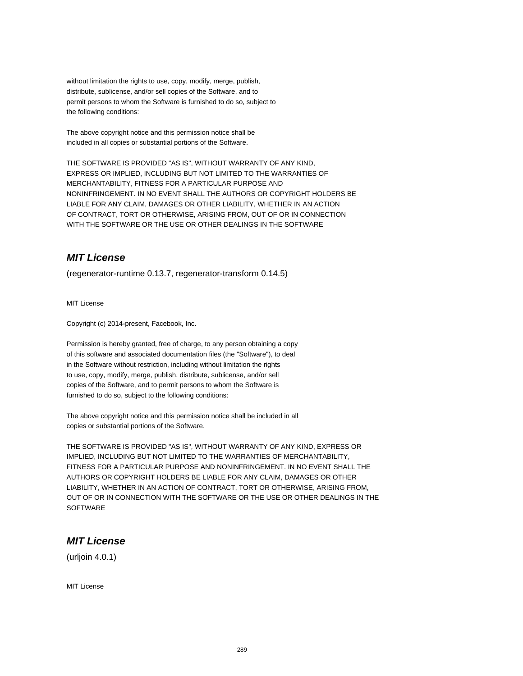without limitation the rights to use, copy, modify, merge, publish, distribute, sublicense, and/or sell copies of the Software, and to permit persons to whom the Software is furnished to do so, subject to the following conditions:

The above copyright notice and this permission notice shall be included in all copies or substantial portions of the Software.

THE SOFTWARE IS PROVIDED "AS IS", WITHOUT WARRANTY OF ANY KIND, EXPRESS OR IMPLIED, INCLUDING BUT NOT LIMITED TO THE WARRANTIES OF MERCHANTABILITY, FITNESS FOR A PARTICULAR PURPOSE AND NONINFRINGEMENT. IN NO EVENT SHALL THE AUTHORS OR COPYRIGHT HOLDERS BE LIABLE FOR ANY CLAIM, DAMAGES OR OTHER LIABILITY, WHETHER IN AN ACTION OF CONTRACT, TORT OR OTHERWISE, ARISING FROM, OUT OF OR IN CONNECTION WITH THE SOFTWARE OR THE USE OR OTHER DEALINGS IN THE SOFTWARE

# **MIT License**

(regenerator-runtime 0.13.7, regenerator-transform 0.14.5)

MIT License

Copyright (c) 2014-present, Facebook, Inc.

Permission is hereby granted, free of charge, to any person obtaining a copy of this software and associated documentation files (the "Software"), to deal in the Software without restriction, including without limitation the rights to use, copy, modify, merge, publish, distribute, sublicense, and/or sell copies of the Software, and to permit persons to whom the Software is furnished to do so, subject to the following conditions:

The above copyright notice and this permission notice shall be included in all copies or substantial portions of the Software.

THE SOFTWARE IS PROVIDED "AS IS", WITHOUT WARRANTY OF ANY KIND, EXPRESS OR IMPLIED, INCLUDING BUT NOT LIMITED TO THE WARRANTIES OF MERCHANTABILITY, FITNESS FOR A PARTICULAR PURPOSE AND NONINFRINGEMENT. IN NO EVENT SHALL THE AUTHORS OR COPYRIGHT HOLDERS BE LIABLE FOR ANY CLAIM, DAMAGES OR OTHER LIABILITY, WHETHER IN AN ACTION OF CONTRACT, TORT OR OTHERWISE, ARISING FROM, OUT OF OR IN CONNECTION WITH THE SOFTWARE OR THE USE OR OTHER DEALINGS IN THE **SOFTWARE** 

## **MIT License**

(urljoin 4.0.1)

MIT License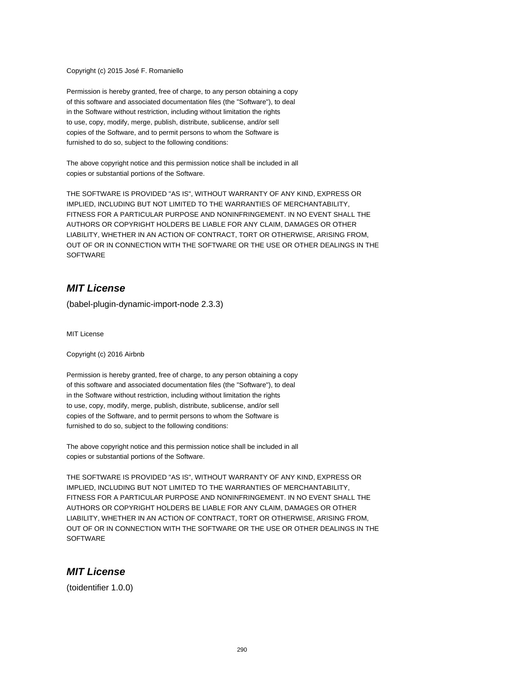Copyright (c) 2015 José F. Romaniello

Permission is hereby granted, free of charge, to any person obtaining a copy of this software and associated documentation files (the "Software"), to deal in the Software without restriction, including without limitation the rights to use, copy, modify, merge, publish, distribute, sublicense, and/or sell copies of the Software, and to permit persons to whom the Software is furnished to do so, subject to the following conditions:

The above copyright notice and this permission notice shall be included in all copies or substantial portions of the Software.

THE SOFTWARE IS PROVIDED "AS IS", WITHOUT WARRANTY OF ANY KIND, EXPRESS OR IMPLIED, INCLUDING BUT NOT LIMITED TO THE WARRANTIES OF MERCHANTABILITY, FITNESS FOR A PARTICULAR PURPOSE AND NONINFRINGEMENT. IN NO EVENT SHALL THE AUTHORS OR COPYRIGHT HOLDERS BE LIABLE FOR ANY CLAIM, DAMAGES OR OTHER LIABILITY, WHETHER IN AN ACTION OF CONTRACT, TORT OR OTHERWISE, ARISING FROM, OUT OF OR IN CONNECTION WITH THE SOFTWARE OR THE USE OR OTHER DEALINGS IN THE **SOFTWARE** 

#### **MIT License**

(babel-plugin-dynamic-import-node 2.3.3)

MIT License

Copyright (c) 2016 Airbnb

Permission is hereby granted, free of charge, to any person obtaining a copy of this software and associated documentation files (the "Software"), to deal in the Software without restriction, including without limitation the rights to use, copy, modify, merge, publish, distribute, sublicense, and/or sell copies of the Software, and to permit persons to whom the Software is furnished to do so, subject to the following conditions:

The above copyright notice and this permission notice shall be included in all copies or substantial portions of the Software.

THE SOFTWARE IS PROVIDED "AS IS", WITHOUT WARRANTY OF ANY KIND, EXPRESS OR IMPLIED, INCLUDING BUT NOT LIMITED TO THE WARRANTIES OF MERCHANTABILITY, FITNESS FOR A PARTICULAR PURPOSE AND NONINFRINGEMENT. IN NO EVENT SHALL THE AUTHORS OR COPYRIGHT HOLDERS BE LIABLE FOR ANY CLAIM, DAMAGES OR OTHER LIABILITY, WHETHER IN AN ACTION OF CONTRACT, TORT OR OTHERWISE, ARISING FROM, OUT OF OR IN CONNECTION WITH THE SOFTWARE OR THE USE OR OTHER DEALINGS IN THE **SOFTWARE** 

#### **MIT License**

(toidentifier 1.0.0)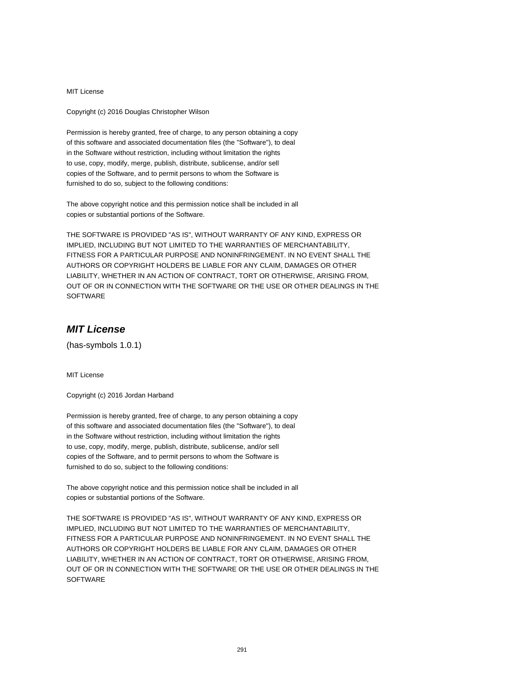Copyright (c) 2016 Douglas Christopher Wilson

Permission is hereby granted, free of charge, to any person obtaining a copy of this software and associated documentation files (the "Software"), to deal in the Software without restriction, including without limitation the rights to use, copy, modify, merge, publish, distribute, sublicense, and/or sell copies of the Software, and to permit persons to whom the Software is furnished to do so, subject to the following conditions:

The above copyright notice and this permission notice shall be included in all copies or substantial portions of the Software.

THE SOFTWARE IS PROVIDED "AS IS", WITHOUT WARRANTY OF ANY KIND, EXPRESS OR IMPLIED, INCLUDING BUT NOT LIMITED TO THE WARRANTIES OF MERCHANTABILITY, FITNESS FOR A PARTICULAR PURPOSE AND NONINFRINGEMENT. IN NO EVENT SHALL THE AUTHORS OR COPYRIGHT HOLDERS BE LIABLE FOR ANY CLAIM, DAMAGES OR OTHER LIABILITY, WHETHER IN AN ACTION OF CONTRACT, TORT OR OTHERWISE, ARISING FROM, OUT OF OR IN CONNECTION WITH THE SOFTWARE OR THE USE OR OTHER DEALINGS IN THE **SOFTWARE** 

## **MIT License**

(has-symbols 1.0.1)

MIT License

Copyright (c) 2016 Jordan Harband

Permission is hereby granted, free of charge, to any person obtaining a copy of this software and associated documentation files (the "Software"), to deal in the Software without restriction, including without limitation the rights to use, copy, modify, merge, publish, distribute, sublicense, and/or sell copies of the Software, and to permit persons to whom the Software is furnished to do so, subject to the following conditions:

The above copyright notice and this permission notice shall be included in all copies or substantial portions of the Software.

THE SOFTWARE IS PROVIDED "AS IS", WITHOUT WARRANTY OF ANY KIND, EXPRESS OR IMPLIED, INCLUDING BUT NOT LIMITED TO THE WARRANTIES OF MERCHANTABILITY, FITNESS FOR A PARTICULAR PURPOSE AND NONINFRINGEMENT. IN NO EVENT SHALL THE AUTHORS OR COPYRIGHT HOLDERS BE LIABLE FOR ANY CLAIM, DAMAGES OR OTHER LIABILITY, WHETHER IN AN ACTION OF CONTRACT, TORT OR OTHERWISE, ARISING FROM, OUT OF OR IN CONNECTION WITH THE SOFTWARE OR THE USE OR OTHER DEALINGS IN THE **SOFTWARE**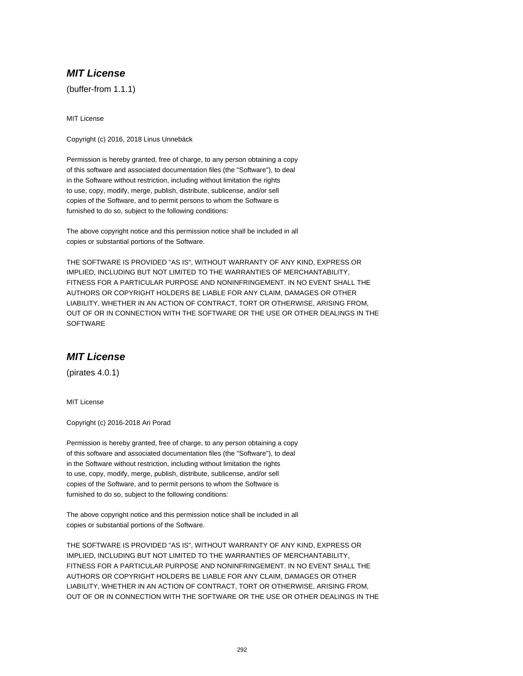(buffer-from 1.1.1)

MIT License

Copyright (c) 2016, 2018 Linus Unnebäck

Permission is hereby granted, free of charge, to any person obtaining a copy of this software and associated documentation files (the "Software"), to deal in the Software without restriction, including without limitation the rights to use, copy, modify, merge, publish, distribute, sublicense, and/or sell copies of the Software, and to permit persons to whom the Software is furnished to do so, subject to the following conditions:

The above copyright notice and this permission notice shall be included in all copies or substantial portions of the Software.

THE SOFTWARE IS PROVIDED "AS IS", WITHOUT WARRANTY OF ANY KIND, EXPRESS OR IMPLIED, INCLUDING BUT NOT LIMITED TO THE WARRANTIES OF MERCHANTABILITY, FITNESS FOR A PARTICULAR PURPOSE AND NONINFRINGEMENT. IN NO EVENT SHALL THE AUTHORS OR COPYRIGHT HOLDERS BE LIABLE FOR ANY CLAIM, DAMAGES OR OTHER LIABILITY, WHETHER IN AN ACTION OF CONTRACT, TORT OR OTHERWISE, ARISING FROM, OUT OF OR IN CONNECTION WITH THE SOFTWARE OR THE USE OR OTHER DEALINGS IN THE **SOFTWARE** 

## **MIT License**

(pirates 4.0.1)

MIT License

Copyright (c) 2016-2018 Ari Porad

Permission is hereby granted, free of charge, to any person obtaining a copy of this software and associated documentation files (the "Software"), to deal in the Software without restriction, including without limitation the rights to use, copy, modify, merge, publish, distribute, sublicense, and/or sell copies of the Software, and to permit persons to whom the Software is furnished to do so, subject to the following conditions:

The above copyright notice and this permission notice shall be included in all copies or substantial portions of the Software.

THE SOFTWARE IS PROVIDED "AS IS", WITHOUT WARRANTY OF ANY KIND, EXPRESS OR IMPLIED, INCLUDING BUT NOT LIMITED TO THE WARRANTIES OF MERCHANTABILITY, FITNESS FOR A PARTICULAR PURPOSE AND NONINFRINGEMENT. IN NO EVENT SHALL THE AUTHORS OR COPYRIGHT HOLDERS BE LIABLE FOR ANY CLAIM, DAMAGES OR OTHER LIABILITY, WHETHER IN AN ACTION OF CONTRACT, TORT OR OTHERWISE, ARISING FROM, OUT OF OR IN CONNECTION WITH THE SOFTWARE OR THE USE OR OTHER DEALINGS IN THE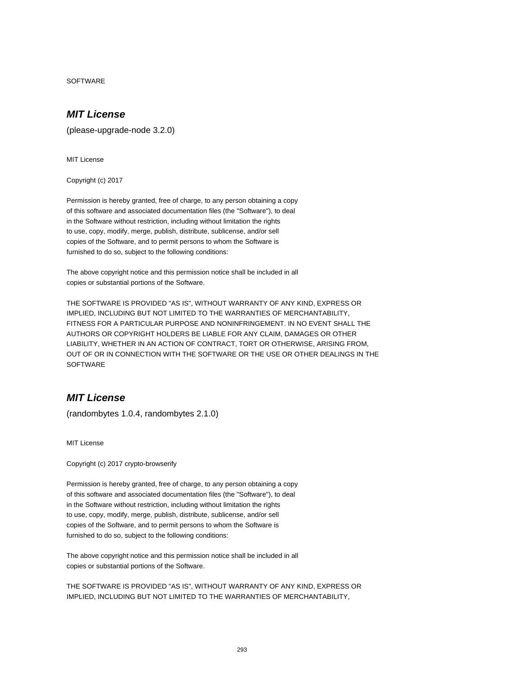SOFTWARE

## **MIT License**

(please-upgrade-node 3.2.0)

MIT License

Copyright (c) 2017

Permission is hereby granted, free of charge, to any person obtaining a copy of this software and associated documentation files (the "Software"), to deal in the Software without restriction, including without limitation the rights to use, copy, modify, merge, publish, distribute, sublicense, and/or sell copies of the Software, and to permit persons to whom the Software is furnished to do so, subject to the following conditions:

The above copyright notice and this permission notice shall be included in all copies or substantial portions of the Software.

THE SOFTWARE IS PROVIDED "AS IS", WITHOUT WARRANTY OF ANY KIND, EXPRESS OR IMPLIED, INCLUDING BUT NOT LIMITED TO THE WARRANTIES OF MERCHANTABILITY, FITNESS FOR A PARTICULAR PURPOSE AND NONINFRINGEMENT. IN NO EVENT SHALL THE AUTHORS OR COPYRIGHT HOLDERS BE LIABLE FOR ANY CLAIM, DAMAGES OR OTHER LIABILITY, WHETHER IN AN ACTION OF CONTRACT, TORT OR OTHERWISE, ARISING FROM, OUT OF OR IN CONNECTION WITH THE SOFTWARE OR THE USE OR OTHER DEALINGS IN THE **SOFTWARE** 

# **MIT License**

(randombytes 1.0.4, randombytes 2.1.0)

MIT License

Copyright (c) 2017 crypto-browserify

Permission is hereby granted, free of charge, to any person obtaining a copy of this software and associated documentation files (the "Software"), to deal in the Software without restriction, including without limitation the rights to use, copy, modify, merge, publish, distribute, sublicense, and/or sell copies of the Software, and to permit persons to whom the Software is furnished to do so, subject to the following conditions:

The above copyright notice and this permission notice shall be included in all copies or substantial portions of the Software.

THE SOFTWARE IS PROVIDED "AS IS", WITHOUT WARRANTY OF ANY KIND, EXPRESS OR IMPLIED, INCLUDING BUT NOT LIMITED TO THE WARRANTIES OF MERCHANTABILITY,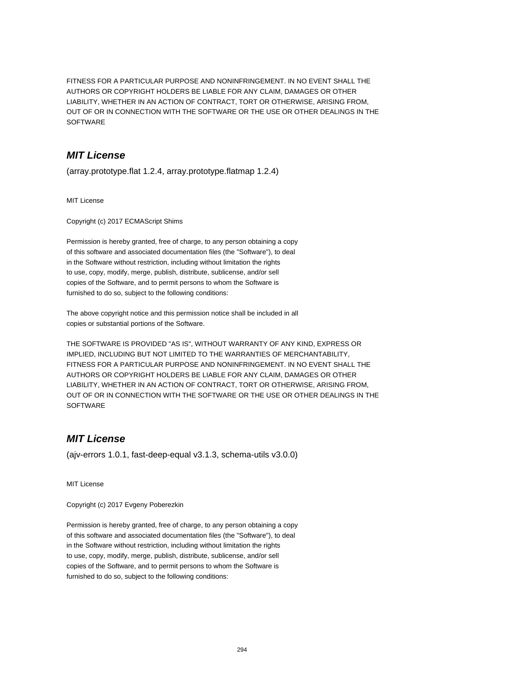FITNESS FOR A PARTICULAR PURPOSE AND NONINFRINGEMENT. IN NO EVENT SHALL THE AUTHORS OR COPYRIGHT HOLDERS BE LIABLE FOR ANY CLAIM, DAMAGES OR OTHER LIABILITY, WHETHER IN AN ACTION OF CONTRACT, TORT OR OTHERWISE, ARISING FROM, OUT OF OR IN CONNECTION WITH THE SOFTWARE OR THE USE OR OTHER DEALINGS IN THE SOFTWARE

## **MIT License**

(array.prototype.flat 1.2.4, array.prototype.flatmap 1.2.4)

MIT License

Copyright (c) 2017 ECMAScript Shims

Permission is hereby granted, free of charge, to any person obtaining a copy of this software and associated documentation files (the "Software"), to deal in the Software without restriction, including without limitation the rights to use, copy, modify, merge, publish, distribute, sublicense, and/or sell copies of the Software, and to permit persons to whom the Software is furnished to do so, subject to the following conditions:

The above copyright notice and this permission notice shall be included in all copies or substantial portions of the Software.

THE SOFTWARE IS PROVIDED "AS IS", WITHOUT WARRANTY OF ANY KIND, EXPRESS OR IMPLIED, INCLUDING BUT NOT LIMITED TO THE WARRANTIES OF MERCHANTABILITY, FITNESS FOR A PARTICULAR PURPOSE AND NONINFRINGEMENT. IN NO EVENT SHALL THE AUTHORS OR COPYRIGHT HOLDERS BE LIABLE FOR ANY CLAIM, DAMAGES OR OTHER LIABILITY, WHETHER IN AN ACTION OF CONTRACT, TORT OR OTHERWISE, ARISING FROM, OUT OF OR IN CONNECTION WITH THE SOFTWARE OR THE USE OR OTHER DEALINGS IN THE **SOFTWARE** 

## **MIT License**

(ajv-errors 1.0.1, fast-deep-equal v3.1.3, schema-utils v3.0.0)

MIT License

Copyright (c) 2017 Evgeny Poberezkin

Permission is hereby granted, free of charge, to any person obtaining a copy of this software and associated documentation files (the "Software"), to deal in the Software without restriction, including without limitation the rights to use, copy, modify, merge, publish, distribute, sublicense, and/or sell copies of the Software, and to permit persons to whom the Software is furnished to do so, subject to the following conditions: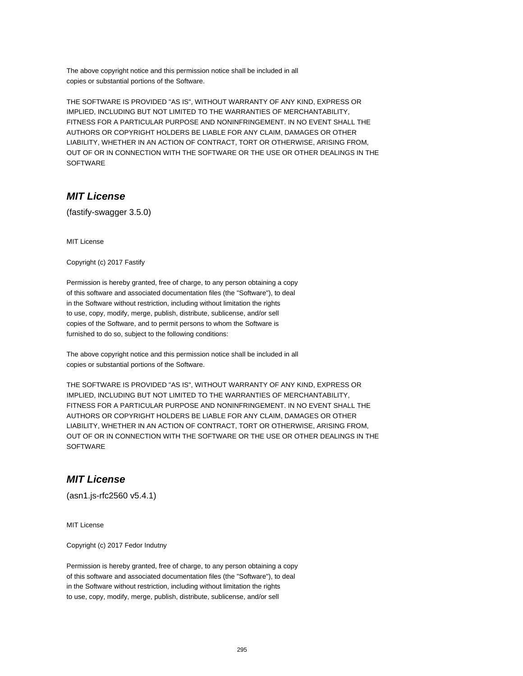The above copyright notice and this permission notice shall be included in all copies or substantial portions of the Software.

THE SOFTWARE IS PROVIDED "AS IS", WITHOUT WARRANTY OF ANY KIND, EXPRESS OR IMPLIED, INCLUDING BUT NOT LIMITED TO THE WARRANTIES OF MERCHANTABILITY, FITNESS FOR A PARTICULAR PURPOSE AND NONINFRINGEMENT. IN NO EVENT SHALL THE AUTHORS OR COPYRIGHT HOLDERS BE LIABLE FOR ANY CLAIM, DAMAGES OR OTHER LIABILITY, WHETHER IN AN ACTION OF CONTRACT, TORT OR OTHERWISE, ARISING FROM, OUT OF OR IN CONNECTION WITH THE SOFTWARE OR THE USE OR OTHER DEALINGS IN THE SOFTWARE

## **MIT License**

(fastify-swagger 3.5.0)

MIT License

Copyright (c) 2017 Fastify

Permission is hereby granted, free of charge, to any person obtaining a copy of this software and associated documentation files (the "Software"), to deal in the Software without restriction, including without limitation the rights to use, copy, modify, merge, publish, distribute, sublicense, and/or sell copies of the Software, and to permit persons to whom the Software is furnished to do so, subject to the following conditions:

The above copyright notice and this permission notice shall be included in all copies or substantial portions of the Software.

THE SOFTWARE IS PROVIDED "AS IS", WITHOUT WARRANTY OF ANY KIND, EXPRESS OR IMPLIED, INCLUDING BUT NOT LIMITED TO THE WARRANTIES OF MERCHANTABILITY, FITNESS FOR A PARTICULAR PURPOSE AND NONINFRINGEMENT. IN NO EVENT SHALL THE AUTHORS OR COPYRIGHT HOLDERS BE LIABLE FOR ANY CLAIM, DAMAGES OR OTHER LIABILITY, WHETHER IN AN ACTION OF CONTRACT, TORT OR OTHERWISE, ARISING FROM, OUT OF OR IN CONNECTION WITH THE SOFTWARE OR THE USE OR OTHER DEALINGS IN THE **SOFTWARE** 

## **MIT License**

(asn1.js-rfc2560 v5.4.1)

MIT License

Copyright (c) 2017 Fedor Indutny

Permission is hereby granted, free of charge, to any person obtaining a copy of this software and associated documentation files (the "Software"), to deal in the Software without restriction, including without limitation the rights to use, copy, modify, merge, publish, distribute, sublicense, and/or sell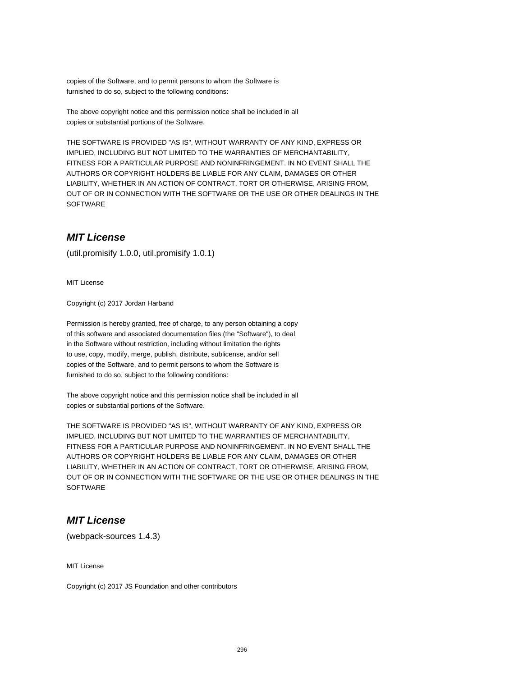copies of the Software, and to permit persons to whom the Software is furnished to do so, subject to the following conditions:

The above copyright notice and this permission notice shall be included in all copies or substantial portions of the Software.

THE SOFTWARE IS PROVIDED "AS IS", WITHOUT WARRANTY OF ANY KIND, EXPRESS OR IMPLIED, INCLUDING BUT NOT LIMITED TO THE WARRANTIES OF MERCHANTABILITY, FITNESS FOR A PARTICULAR PURPOSE AND NONINFRINGEMENT. IN NO EVENT SHALL THE AUTHORS OR COPYRIGHT HOLDERS BE LIABLE FOR ANY CLAIM, DAMAGES OR OTHER LIABILITY, WHETHER IN AN ACTION OF CONTRACT, TORT OR OTHERWISE, ARISING FROM, OUT OF OR IN CONNECTION WITH THE SOFTWARE OR THE USE OR OTHER DEALINGS IN THE **SOFTWARE** 

## **MIT License**

(util.promisify 1.0.0, util.promisify 1.0.1)

MIT License

Copyright (c) 2017 Jordan Harband

Permission is hereby granted, free of charge, to any person obtaining a copy of this software and associated documentation files (the "Software"), to deal in the Software without restriction, including without limitation the rights to use, copy, modify, merge, publish, distribute, sublicense, and/or sell copies of the Software, and to permit persons to whom the Software is furnished to do so, subject to the following conditions:

The above copyright notice and this permission notice shall be included in all copies or substantial portions of the Software.

THE SOFTWARE IS PROVIDED "AS IS", WITHOUT WARRANTY OF ANY KIND, EXPRESS OR IMPLIED, INCLUDING BUT NOT LIMITED TO THE WARRANTIES OF MERCHANTABILITY, FITNESS FOR A PARTICULAR PURPOSE AND NONINFRINGEMENT. IN NO EVENT SHALL THE AUTHORS OR COPYRIGHT HOLDERS BE LIABLE FOR ANY CLAIM, DAMAGES OR OTHER LIABILITY, WHETHER IN AN ACTION OF CONTRACT, TORT OR OTHERWISE, ARISING FROM, OUT OF OR IN CONNECTION WITH THE SOFTWARE OR THE USE OR OTHER DEALINGS IN THE **SOFTWARE** 

## **MIT License**

(webpack-sources 1.4.3)

MIT License

Copyright (c) 2017 JS Foundation and other contributors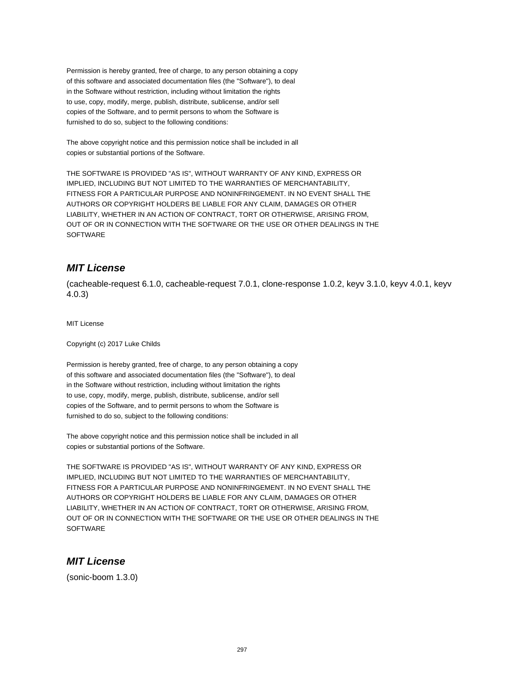Permission is hereby granted, free of charge, to any person obtaining a copy of this software and associated documentation files (the "Software"), to deal in the Software without restriction, including without limitation the rights to use, copy, modify, merge, publish, distribute, sublicense, and/or sell copies of the Software, and to permit persons to whom the Software is furnished to do so, subject to the following conditions:

The above copyright notice and this permission notice shall be included in all copies or substantial portions of the Software.

THE SOFTWARE IS PROVIDED "AS IS", WITHOUT WARRANTY OF ANY KIND, EXPRESS OR IMPLIED, INCLUDING BUT NOT LIMITED TO THE WARRANTIES OF MERCHANTABILITY, FITNESS FOR A PARTICULAR PURPOSE AND NONINFRINGEMENT. IN NO EVENT SHALL THE AUTHORS OR COPYRIGHT HOLDERS BE LIABLE FOR ANY CLAIM, DAMAGES OR OTHER LIABILITY, WHETHER IN AN ACTION OF CONTRACT, TORT OR OTHERWISE, ARISING FROM, OUT OF OR IN CONNECTION WITH THE SOFTWARE OR THE USE OR OTHER DEALINGS IN THE SOFTWARE

## **MIT License**

(cacheable-request 6.1.0, cacheable-request 7.0.1, clone-response 1.0.2, keyv 3.1.0, keyv 4.0.1, keyv 4.0.3)

MIT License

Copyright (c) 2017 Luke Childs

Permission is hereby granted, free of charge, to any person obtaining a copy of this software and associated documentation files (the "Software"), to deal in the Software without restriction, including without limitation the rights to use, copy, modify, merge, publish, distribute, sublicense, and/or sell copies of the Software, and to permit persons to whom the Software is furnished to do so, subject to the following conditions:

The above copyright notice and this permission notice shall be included in all copies or substantial portions of the Software.

THE SOFTWARE IS PROVIDED "AS IS", WITHOUT WARRANTY OF ANY KIND, EXPRESS OR IMPLIED, INCLUDING BUT NOT LIMITED TO THE WARRANTIES OF MERCHANTABILITY, FITNESS FOR A PARTICULAR PURPOSE AND NONINFRINGEMENT. IN NO EVENT SHALL THE AUTHORS OR COPYRIGHT HOLDERS BE LIABLE FOR ANY CLAIM, DAMAGES OR OTHER LIABILITY, WHETHER IN AN ACTION OF CONTRACT, TORT OR OTHERWISE, ARISING FROM, OUT OF OR IN CONNECTION WITH THE SOFTWARE OR THE USE OR OTHER DEALINGS IN THE **SOFTWARE** 

## **MIT License**

(sonic-boom 1.3.0)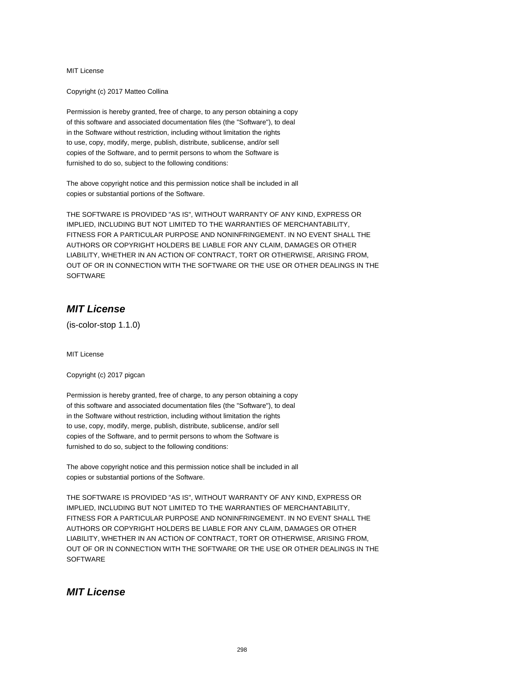Copyright (c) 2017 Matteo Collina

Permission is hereby granted, free of charge, to any person obtaining a copy of this software and associated documentation files (the "Software"), to deal in the Software without restriction, including without limitation the rights to use, copy, modify, merge, publish, distribute, sublicense, and/or sell copies of the Software, and to permit persons to whom the Software is furnished to do so, subject to the following conditions:

The above copyright notice and this permission notice shall be included in all copies or substantial portions of the Software.

THE SOFTWARE IS PROVIDED "AS IS", WITHOUT WARRANTY OF ANY KIND, EXPRESS OR IMPLIED, INCLUDING BUT NOT LIMITED TO THE WARRANTIES OF MERCHANTABILITY, FITNESS FOR A PARTICULAR PURPOSE AND NONINFRINGEMENT. IN NO EVENT SHALL THE AUTHORS OR COPYRIGHT HOLDERS BE LIABLE FOR ANY CLAIM, DAMAGES OR OTHER LIABILITY, WHETHER IN AN ACTION OF CONTRACT, TORT OR OTHERWISE, ARISING FROM, OUT OF OR IN CONNECTION WITH THE SOFTWARE OR THE USE OR OTHER DEALINGS IN THE **SOFTWARE** 

## **MIT License**

(is-color-stop 1.1.0)

MIT License

Copyright (c) 2017 pigcan

Permission is hereby granted, free of charge, to any person obtaining a copy of this software and associated documentation files (the "Software"), to deal in the Software without restriction, including without limitation the rights to use, copy, modify, merge, publish, distribute, sublicense, and/or sell copies of the Software, and to permit persons to whom the Software is furnished to do so, subject to the following conditions:

The above copyright notice and this permission notice shall be included in all copies or substantial portions of the Software.

THE SOFTWARE IS PROVIDED "AS IS", WITHOUT WARRANTY OF ANY KIND, EXPRESS OR IMPLIED, INCLUDING BUT NOT LIMITED TO THE WARRANTIES OF MERCHANTABILITY, FITNESS FOR A PARTICULAR PURPOSE AND NONINFRINGEMENT. IN NO EVENT SHALL THE AUTHORS OR COPYRIGHT HOLDERS BE LIABLE FOR ANY CLAIM, DAMAGES OR OTHER LIABILITY, WHETHER IN AN ACTION OF CONTRACT, TORT OR OTHERWISE, ARISING FROM, OUT OF OR IN CONNECTION WITH THE SOFTWARE OR THE USE OR OTHER DEALINGS IN THE **SOFTWARE** 

#### **MIT License**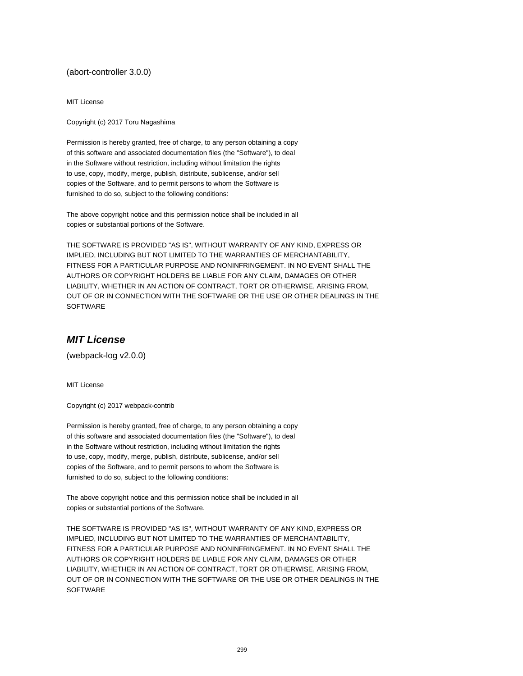(abort-controller 3.0.0)

MIT License

Copyright (c) 2017 Toru Nagashima

Permission is hereby granted, free of charge, to any person obtaining a copy of this software and associated documentation files (the "Software"), to deal in the Software without restriction, including without limitation the rights to use, copy, modify, merge, publish, distribute, sublicense, and/or sell copies of the Software, and to permit persons to whom the Software is furnished to do so, subject to the following conditions:

The above copyright notice and this permission notice shall be included in all copies or substantial portions of the Software.

THE SOFTWARE IS PROVIDED "AS IS", WITHOUT WARRANTY OF ANY KIND, EXPRESS OR IMPLIED, INCLUDING BUT NOT LIMITED TO THE WARRANTIES OF MERCHANTABILITY, FITNESS FOR A PARTICULAR PURPOSE AND NONINFRINGEMENT. IN NO EVENT SHALL THE AUTHORS OR COPYRIGHT HOLDERS BE LIABLE FOR ANY CLAIM, DAMAGES OR OTHER LIABILITY, WHETHER IN AN ACTION OF CONTRACT, TORT OR OTHERWISE, ARISING FROM, OUT OF OR IN CONNECTION WITH THE SOFTWARE OR THE USE OR OTHER DEALINGS IN THE SOFTWARE

#### **MIT License**

(webpack-log v2.0.0)

MIT License

Copyright (c) 2017 webpack-contrib

Permission is hereby granted, free of charge, to any person obtaining a copy of this software and associated documentation files (the "Software"), to deal in the Software without restriction, including without limitation the rights to use, copy, modify, merge, publish, distribute, sublicense, and/or sell copies of the Software, and to permit persons to whom the Software is furnished to do so, subject to the following conditions:

The above copyright notice and this permission notice shall be included in all copies or substantial portions of the Software.

THE SOFTWARE IS PROVIDED "AS IS", WITHOUT WARRANTY OF ANY KIND, EXPRESS OR IMPLIED, INCLUDING BUT NOT LIMITED TO THE WARRANTIES OF MERCHANTABILITY, FITNESS FOR A PARTICULAR PURPOSE AND NONINFRINGEMENT. IN NO EVENT SHALL THE AUTHORS OR COPYRIGHT HOLDERS BE LIABLE FOR ANY CLAIM, DAMAGES OR OTHER LIABILITY, WHETHER IN AN ACTION OF CONTRACT, TORT OR OTHERWISE, ARISING FROM, OUT OF OR IN CONNECTION WITH THE SOFTWARE OR THE USE OR OTHER DEALINGS IN THE **SOFTWARE**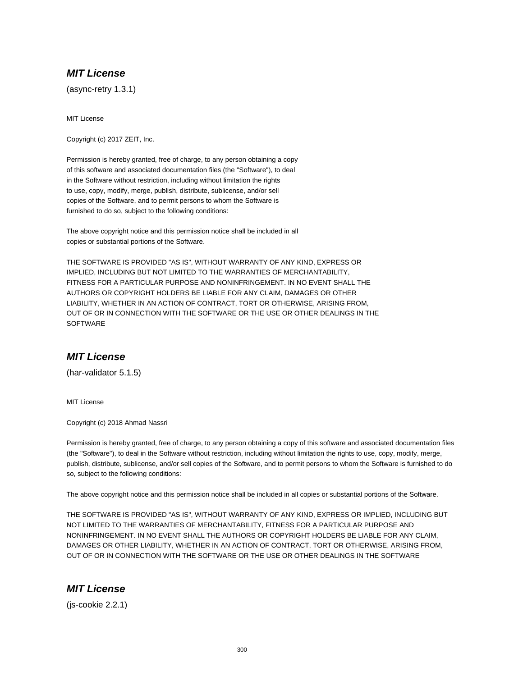(async-retry 1.3.1)

MIT License

Copyright (c) 2017 ZEIT, Inc.

Permission is hereby granted, free of charge, to any person obtaining a copy of this software and associated documentation files (the "Software"), to deal in the Software without restriction, including without limitation the rights to use, copy, modify, merge, publish, distribute, sublicense, and/or sell copies of the Software, and to permit persons to whom the Software is furnished to do so, subject to the following conditions:

The above copyright notice and this permission notice shall be included in all copies or substantial portions of the Software.

THE SOFTWARE IS PROVIDED "AS IS", WITHOUT WARRANTY OF ANY KIND, EXPRESS OR IMPLIED, INCLUDING BUT NOT LIMITED TO THE WARRANTIES OF MERCHANTABILITY, FITNESS FOR A PARTICULAR PURPOSE AND NONINFRINGEMENT. IN NO EVENT SHALL THE AUTHORS OR COPYRIGHT HOLDERS BE LIABLE FOR ANY CLAIM, DAMAGES OR OTHER LIABILITY, WHETHER IN AN ACTION OF CONTRACT, TORT OR OTHERWISE, ARISING FROM, OUT OF OR IN CONNECTION WITH THE SOFTWARE OR THE USE OR OTHER DEALINGS IN THE **SOFTWARE** 

#### **MIT License**

(har-validator 5.1.5)

MIT License

Copyright (c) 2018 Ahmad Nassri

Permission is hereby granted, free of charge, to any person obtaining a copy of this software and associated documentation files (the "Software"), to deal in the Software without restriction, including without limitation the rights to use, copy, modify, merge, publish, distribute, sublicense, and/or sell copies of the Software, and to permit persons to whom the Software is furnished to do so, subject to the following conditions:

The above copyright notice and this permission notice shall be included in all copies or substantial portions of the Software.

THE SOFTWARE IS PROVIDED "AS IS", WITHOUT WARRANTY OF ANY KIND, EXPRESS OR IMPLIED, INCLUDING BUT NOT LIMITED TO THE WARRANTIES OF MERCHANTABILITY, FITNESS FOR A PARTICULAR PURPOSE AND NONINFRINGEMENT. IN NO EVENT SHALL THE AUTHORS OR COPYRIGHT HOLDERS BE LIABLE FOR ANY CLAIM, DAMAGES OR OTHER LIABILITY, WHETHER IN AN ACTION OF CONTRACT, TORT OR OTHERWISE, ARISING FROM, OUT OF OR IN CONNECTION WITH THE SOFTWARE OR THE USE OR OTHER DEALINGS IN THE SOFTWARE

#### **MIT License**

(js-cookie 2.2.1)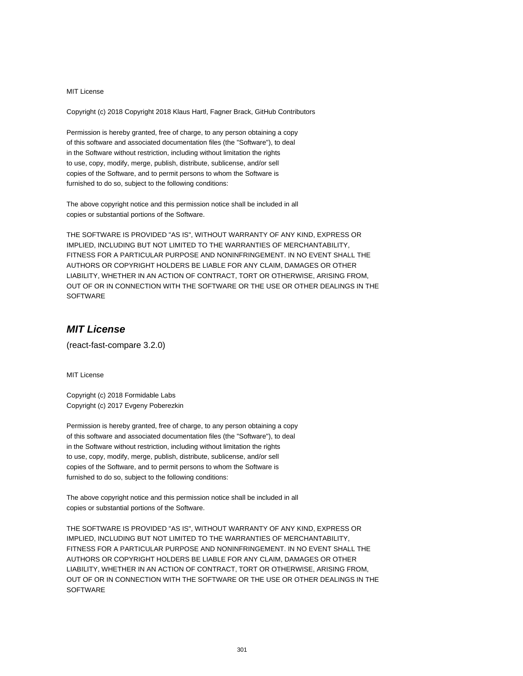Copyright (c) 2018 Copyright 2018 Klaus Hartl, Fagner Brack, GitHub Contributors

Permission is hereby granted, free of charge, to any person obtaining a copy of this software and associated documentation files (the "Software"), to deal in the Software without restriction, including without limitation the rights to use, copy, modify, merge, publish, distribute, sublicense, and/or sell copies of the Software, and to permit persons to whom the Software is furnished to do so, subject to the following conditions:

The above copyright notice and this permission notice shall be included in all copies or substantial portions of the Software.

THE SOFTWARE IS PROVIDED "AS IS", WITHOUT WARRANTY OF ANY KIND, EXPRESS OR IMPLIED, INCLUDING BUT NOT LIMITED TO THE WARRANTIES OF MERCHANTABILITY, FITNESS FOR A PARTICULAR PURPOSE AND NONINFRINGEMENT. IN NO EVENT SHALL THE AUTHORS OR COPYRIGHT HOLDERS BE LIABLE FOR ANY CLAIM, DAMAGES OR OTHER LIABILITY, WHETHER IN AN ACTION OF CONTRACT, TORT OR OTHERWISE, ARISING FROM, OUT OF OR IN CONNECTION WITH THE SOFTWARE OR THE USE OR OTHER DEALINGS IN THE SOFTWARE

# **MIT License**

(react-fast-compare 3.2.0)

MIT License

Copyright (c) 2018 Formidable Labs Copyright (c) 2017 Evgeny Poberezkin

Permission is hereby granted, free of charge, to any person obtaining a copy of this software and associated documentation files (the "Software"), to deal in the Software without restriction, including without limitation the rights to use, copy, modify, merge, publish, distribute, sublicense, and/or sell copies of the Software, and to permit persons to whom the Software is furnished to do so, subject to the following conditions:

The above copyright notice and this permission notice shall be included in all copies or substantial portions of the Software.

THE SOFTWARE IS PROVIDED "AS IS", WITHOUT WARRANTY OF ANY KIND, EXPRESS OR IMPLIED, INCLUDING BUT NOT LIMITED TO THE WARRANTIES OF MERCHANTABILITY, FITNESS FOR A PARTICULAR PURPOSE AND NONINFRINGEMENT. IN NO EVENT SHALL THE AUTHORS OR COPYRIGHT HOLDERS BE LIABLE FOR ANY CLAIM, DAMAGES OR OTHER LIABILITY, WHETHER IN AN ACTION OF CONTRACT, TORT OR OTHERWISE, ARISING FROM, OUT OF OR IN CONNECTION WITH THE SOFTWARE OR THE USE OR OTHER DEALINGS IN THE **SOFTWARE**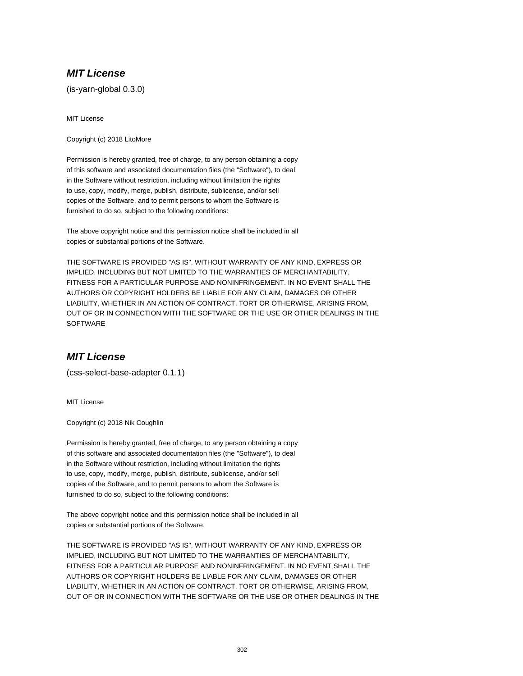(is-yarn-global 0.3.0)

MIT License

Copyright (c) 2018 LitoMore

Permission is hereby granted, free of charge, to any person obtaining a copy of this software and associated documentation files (the "Software"), to deal in the Software without restriction, including without limitation the rights to use, copy, modify, merge, publish, distribute, sublicense, and/or sell copies of the Software, and to permit persons to whom the Software is furnished to do so, subject to the following conditions:

The above copyright notice and this permission notice shall be included in all copies or substantial portions of the Software.

THE SOFTWARE IS PROVIDED "AS IS", WITHOUT WARRANTY OF ANY KIND, EXPRESS OR IMPLIED, INCLUDING BUT NOT LIMITED TO THE WARRANTIES OF MERCHANTABILITY, FITNESS FOR A PARTICULAR PURPOSE AND NONINFRINGEMENT. IN NO EVENT SHALL THE AUTHORS OR COPYRIGHT HOLDERS BE LIABLE FOR ANY CLAIM, DAMAGES OR OTHER LIABILITY, WHETHER IN AN ACTION OF CONTRACT, TORT OR OTHERWISE, ARISING FROM, OUT OF OR IN CONNECTION WITH THE SOFTWARE OR THE USE OR OTHER DEALINGS IN THE **SOFTWARE** 

## **MIT License**

(css-select-base-adapter 0.1.1)

MIT License

Copyright (c) 2018 Nik Coughlin

Permission is hereby granted, free of charge, to any person obtaining a copy of this software and associated documentation files (the "Software"), to deal in the Software without restriction, including without limitation the rights to use, copy, modify, merge, publish, distribute, sublicense, and/or sell copies of the Software, and to permit persons to whom the Software is furnished to do so, subject to the following conditions:

The above copyright notice and this permission notice shall be included in all copies or substantial portions of the Software.

THE SOFTWARE IS PROVIDED "AS IS", WITHOUT WARRANTY OF ANY KIND, EXPRESS OR IMPLIED, INCLUDING BUT NOT LIMITED TO THE WARRANTIES OF MERCHANTABILITY, FITNESS FOR A PARTICULAR PURPOSE AND NONINFRINGEMENT. IN NO EVENT SHALL THE AUTHORS OR COPYRIGHT HOLDERS BE LIABLE FOR ANY CLAIM, DAMAGES OR OTHER LIABILITY, WHETHER IN AN ACTION OF CONTRACT, TORT OR OTHERWISE, ARISING FROM, OUT OF OR IN CONNECTION WITH THE SOFTWARE OR THE USE OR OTHER DEALINGS IN THE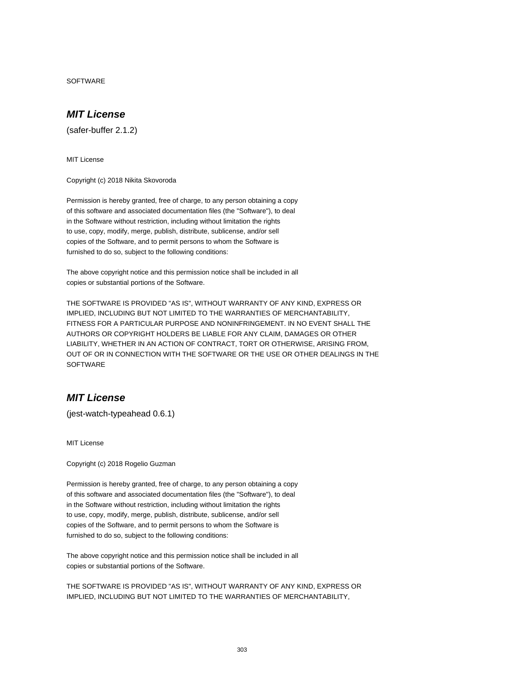SOFTWARE

#### **MIT License**

(safer-buffer 2.1.2)

MIT License

Copyright (c) 2018 Nikita Skovoroda

Permission is hereby granted, free of charge, to any person obtaining a copy of this software and associated documentation files (the "Software"), to deal in the Software without restriction, including without limitation the rights to use, copy, modify, merge, publish, distribute, sublicense, and/or sell copies of the Software, and to permit persons to whom the Software is furnished to do so, subject to the following conditions:

The above copyright notice and this permission notice shall be included in all copies or substantial portions of the Software.

THE SOFTWARE IS PROVIDED "AS IS", WITHOUT WARRANTY OF ANY KIND, EXPRESS OR IMPLIED, INCLUDING BUT NOT LIMITED TO THE WARRANTIES OF MERCHANTABILITY, FITNESS FOR A PARTICULAR PURPOSE AND NONINFRINGEMENT. IN NO EVENT SHALL THE AUTHORS OR COPYRIGHT HOLDERS BE LIABLE FOR ANY CLAIM, DAMAGES OR OTHER LIABILITY, WHETHER IN AN ACTION OF CONTRACT, TORT OR OTHERWISE, ARISING FROM, OUT OF OR IN CONNECTION WITH THE SOFTWARE OR THE USE OR OTHER DEALINGS IN THE **SOFTWARE** 

# **MIT License**

(jest-watch-typeahead 0.6.1)

MIT License

Copyright (c) 2018 Rogelio Guzman

Permission is hereby granted, free of charge, to any person obtaining a copy of this software and associated documentation files (the "Software"), to deal in the Software without restriction, including without limitation the rights to use, copy, modify, merge, publish, distribute, sublicense, and/or sell copies of the Software, and to permit persons to whom the Software is furnished to do so, subject to the following conditions:

The above copyright notice and this permission notice shall be included in all copies or substantial portions of the Software.

THE SOFTWARE IS PROVIDED "AS IS", WITHOUT WARRANTY OF ANY KIND, EXPRESS OR IMPLIED, INCLUDING BUT NOT LIMITED TO THE WARRANTIES OF MERCHANTABILITY,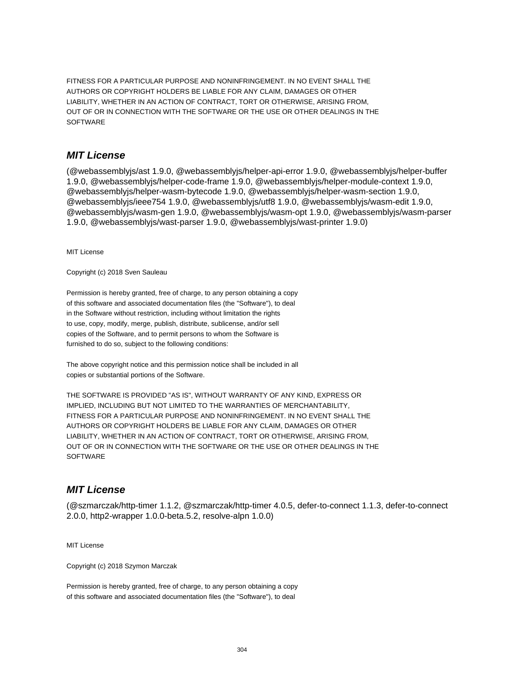FITNESS FOR A PARTICULAR PURPOSE AND NONINFRINGEMENT. IN NO EVENT SHALL THE AUTHORS OR COPYRIGHT HOLDERS BE LIABLE FOR ANY CLAIM, DAMAGES OR OTHER LIABILITY, WHETHER IN AN ACTION OF CONTRACT, TORT OR OTHERWISE, ARISING FROM, OUT OF OR IN CONNECTION WITH THE SOFTWARE OR THE USE OR OTHER DEALINGS IN THE **SOFTWARE** 

#### **MIT License**

(@webassemblyjs/ast 1.9.0, @webassemblyjs/helper-api-error 1.9.0, @webassemblyjs/helper-buffer 1.9.0, @webassemblyjs/helper-code-frame 1.9.0, @webassemblyjs/helper-module-context 1.9.0, @webassemblyjs/helper-wasm-bytecode 1.9.0, @webassemblyjs/helper-wasm-section 1.9.0, @webassemblyjs/ieee754 1.9.0, @webassemblyjs/utf8 1.9.0, @webassemblyjs/wasm-edit 1.9.0, @webassemblyjs/wasm-gen 1.9.0, @webassemblyjs/wasm-opt 1.9.0, @webassemblyjs/wasm-parser 1.9.0, @webassemblyjs/wast-parser 1.9.0, @webassemblyjs/wast-printer 1.9.0)

MIT License

Copyright (c) 2018 Sven Sauleau

Permission is hereby granted, free of charge, to any person obtaining a copy of this software and associated documentation files (the "Software"), to deal in the Software without restriction, including without limitation the rights to use, copy, modify, merge, publish, distribute, sublicense, and/or sell copies of the Software, and to permit persons to whom the Software is furnished to do so, subject to the following conditions:

The above copyright notice and this permission notice shall be included in all copies or substantial portions of the Software.

THE SOFTWARE IS PROVIDED "AS IS", WITHOUT WARRANTY OF ANY KIND, EXPRESS OR IMPLIED, INCLUDING BUT NOT LIMITED TO THE WARRANTIES OF MERCHANTABILITY, FITNESS FOR A PARTICULAR PURPOSE AND NONINFRINGEMENT. IN NO EVENT SHALL THE AUTHORS OR COPYRIGHT HOLDERS BE LIABLE FOR ANY CLAIM, DAMAGES OR OTHER LIABILITY, WHETHER IN AN ACTION OF CONTRACT, TORT OR OTHERWISE, ARISING FROM, OUT OF OR IN CONNECTION WITH THE SOFTWARE OR THE USE OR OTHER DEALINGS IN THE **SOFTWARE** 

## **MIT License**

(@szmarczak/http-timer 1.1.2, @szmarczak/http-timer 4.0.5, defer-to-connect 1.1.3, defer-to-connect 2.0.0, http2-wrapper 1.0.0-beta.5.2, resolve-alpn 1.0.0)

MIT License

Copyright (c) 2018 Szymon Marczak

Permission is hereby granted, free of charge, to any person obtaining a copy of this software and associated documentation files (the "Software"), to deal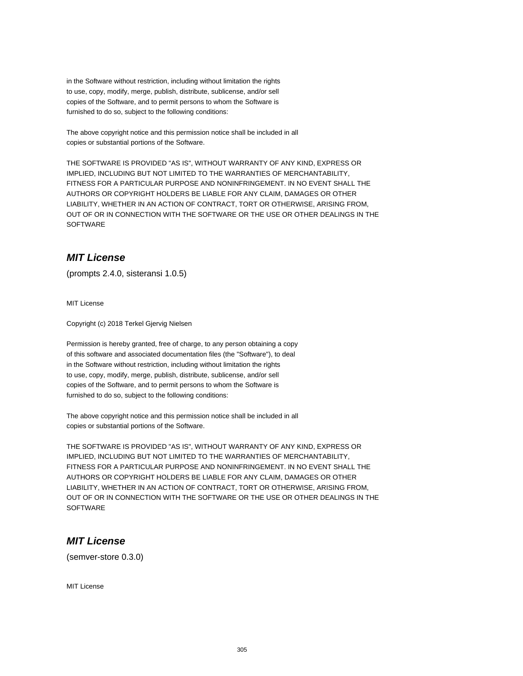in the Software without restriction, including without limitation the rights to use, copy, modify, merge, publish, distribute, sublicense, and/or sell copies of the Software, and to permit persons to whom the Software is furnished to do so, subject to the following conditions:

The above copyright notice and this permission notice shall be included in all copies or substantial portions of the Software.

THE SOFTWARE IS PROVIDED "AS IS", WITHOUT WARRANTY OF ANY KIND, EXPRESS OR IMPLIED, INCLUDING BUT NOT LIMITED TO THE WARRANTIES OF MERCHANTABILITY, FITNESS FOR A PARTICULAR PURPOSE AND NONINFRINGEMENT. IN NO EVENT SHALL THE AUTHORS OR COPYRIGHT HOLDERS BE LIABLE FOR ANY CLAIM, DAMAGES OR OTHER LIABILITY, WHETHER IN AN ACTION OF CONTRACT, TORT OR OTHERWISE, ARISING FROM, OUT OF OR IN CONNECTION WITH THE SOFTWARE OR THE USE OR OTHER DEALINGS IN THE SOFTWARE

# **MIT License**

(prompts 2.4.0, sisteransi 1.0.5)

MIT License

Copyright (c) 2018 Terkel Gjervig Nielsen

Permission is hereby granted, free of charge, to any person obtaining a copy of this software and associated documentation files (the "Software"), to deal in the Software without restriction, including without limitation the rights to use, copy, modify, merge, publish, distribute, sublicense, and/or sell copies of the Software, and to permit persons to whom the Software is furnished to do so, subject to the following conditions:

The above copyright notice and this permission notice shall be included in all copies or substantial portions of the Software.

THE SOFTWARE IS PROVIDED "AS IS", WITHOUT WARRANTY OF ANY KIND, EXPRESS OR IMPLIED, INCLUDING BUT NOT LIMITED TO THE WARRANTIES OF MERCHANTABILITY, FITNESS FOR A PARTICULAR PURPOSE AND NONINFRINGEMENT. IN NO EVENT SHALL THE AUTHORS OR COPYRIGHT HOLDERS BE LIABLE FOR ANY CLAIM, DAMAGES OR OTHER LIABILITY, WHETHER IN AN ACTION OF CONTRACT, TORT OR OTHERWISE, ARISING FROM, OUT OF OR IN CONNECTION WITH THE SOFTWARE OR THE USE OR OTHER DEALINGS IN THE **SOFTWARE** 

#### **MIT License**

(semver-store 0.3.0)

MIT License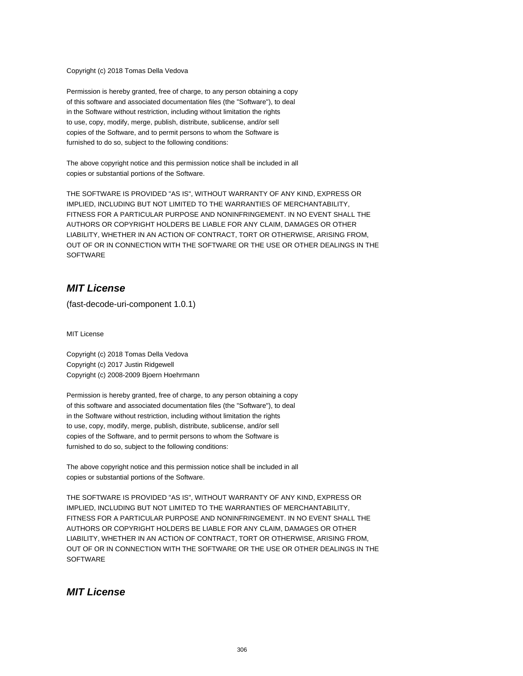Copyright (c) 2018 Tomas Della Vedova

Permission is hereby granted, free of charge, to any person obtaining a copy of this software and associated documentation files (the "Software"), to deal in the Software without restriction, including without limitation the rights to use, copy, modify, merge, publish, distribute, sublicense, and/or sell copies of the Software, and to permit persons to whom the Software is furnished to do so, subject to the following conditions:

The above copyright notice and this permission notice shall be included in all copies or substantial portions of the Software.

THE SOFTWARE IS PROVIDED "AS IS", WITHOUT WARRANTY OF ANY KIND, EXPRESS OR IMPLIED, INCLUDING BUT NOT LIMITED TO THE WARRANTIES OF MERCHANTABILITY, FITNESS FOR A PARTICULAR PURPOSE AND NONINFRINGEMENT. IN NO EVENT SHALL THE AUTHORS OR COPYRIGHT HOLDERS BE LIABLE FOR ANY CLAIM, DAMAGES OR OTHER LIABILITY, WHETHER IN AN ACTION OF CONTRACT, TORT OR OTHERWISE, ARISING FROM, OUT OF OR IN CONNECTION WITH THE SOFTWARE OR THE USE OR OTHER DEALINGS IN THE **SOFTWARE** 

#### **MIT License**

(fast-decode-uri-component 1.0.1)

MIT License

Copyright (c) 2018 Tomas Della Vedova Copyright (c) 2017 Justin Ridgewell Copyright (c) 2008-2009 Bjoern Hoehrmann

Permission is hereby granted, free of charge, to any person obtaining a copy of this software and associated documentation files (the "Software"), to deal in the Software without restriction, including without limitation the rights to use, copy, modify, merge, publish, distribute, sublicense, and/or sell copies of the Software, and to permit persons to whom the Software is furnished to do so, subject to the following conditions:

The above copyright notice and this permission notice shall be included in all copies or substantial portions of the Software.

THE SOFTWARE IS PROVIDED "AS IS", WITHOUT WARRANTY OF ANY KIND, EXPRESS OR IMPLIED, INCLUDING BUT NOT LIMITED TO THE WARRANTIES OF MERCHANTABILITY, FITNESS FOR A PARTICULAR PURPOSE AND NONINFRINGEMENT. IN NO EVENT SHALL THE AUTHORS OR COPYRIGHT HOLDERS BE LIABLE FOR ANY CLAIM, DAMAGES OR OTHER LIABILITY, WHETHER IN AN ACTION OF CONTRACT, TORT OR OTHERWISE, ARISING FROM, OUT OF OR IN CONNECTION WITH THE SOFTWARE OR THE USE OR OTHER DEALINGS IN THE **SOFTWARE** 

#### **MIT License**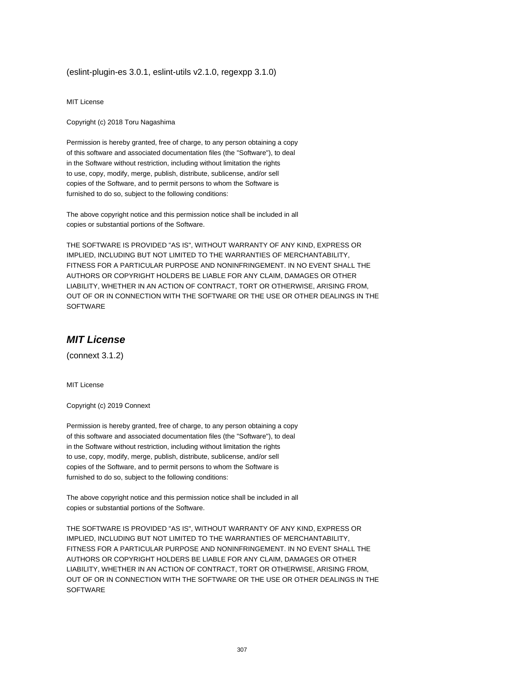(eslint-plugin-es 3.0.1, eslint-utils v2.1.0, regexpp 3.1.0)

MIT License

Copyright (c) 2018 Toru Nagashima

Permission is hereby granted, free of charge, to any person obtaining a copy of this software and associated documentation files (the "Software"), to deal in the Software without restriction, including without limitation the rights to use, copy, modify, merge, publish, distribute, sublicense, and/or sell copies of the Software, and to permit persons to whom the Software is furnished to do so, subject to the following conditions:

The above copyright notice and this permission notice shall be included in all copies or substantial portions of the Software.

THE SOFTWARE IS PROVIDED "AS IS", WITHOUT WARRANTY OF ANY KIND, EXPRESS OR IMPLIED, INCLUDING BUT NOT LIMITED TO THE WARRANTIES OF MERCHANTABILITY, FITNESS FOR A PARTICULAR PURPOSE AND NONINFRINGEMENT. IN NO EVENT SHALL THE AUTHORS OR COPYRIGHT HOLDERS BE LIABLE FOR ANY CLAIM, DAMAGES OR OTHER LIABILITY, WHETHER IN AN ACTION OF CONTRACT, TORT OR OTHERWISE, ARISING FROM, OUT OF OR IN CONNECTION WITH THE SOFTWARE OR THE USE OR OTHER DEALINGS IN THE SOFTWARE

#### **MIT License**

(connext 3.1.2)

MIT License

Copyright (c) 2019 Connext

Permission is hereby granted, free of charge, to any person obtaining a copy of this software and associated documentation files (the "Software"), to deal in the Software without restriction, including without limitation the rights to use, copy, modify, merge, publish, distribute, sublicense, and/or sell copies of the Software, and to permit persons to whom the Software is furnished to do so, subject to the following conditions:

The above copyright notice and this permission notice shall be included in all copies or substantial portions of the Software.

THE SOFTWARE IS PROVIDED "AS IS", WITHOUT WARRANTY OF ANY KIND, EXPRESS OR IMPLIED, INCLUDING BUT NOT LIMITED TO THE WARRANTIES OF MERCHANTABILITY, FITNESS FOR A PARTICULAR PURPOSE AND NONINFRINGEMENT. IN NO EVENT SHALL THE AUTHORS OR COPYRIGHT HOLDERS BE LIABLE FOR ANY CLAIM, DAMAGES OR OTHER LIABILITY, WHETHER IN AN ACTION OF CONTRACT, TORT OR OTHERWISE, ARISING FROM, OUT OF OR IN CONNECTION WITH THE SOFTWARE OR THE USE OR OTHER DEALINGS IN THE **SOFTWARE**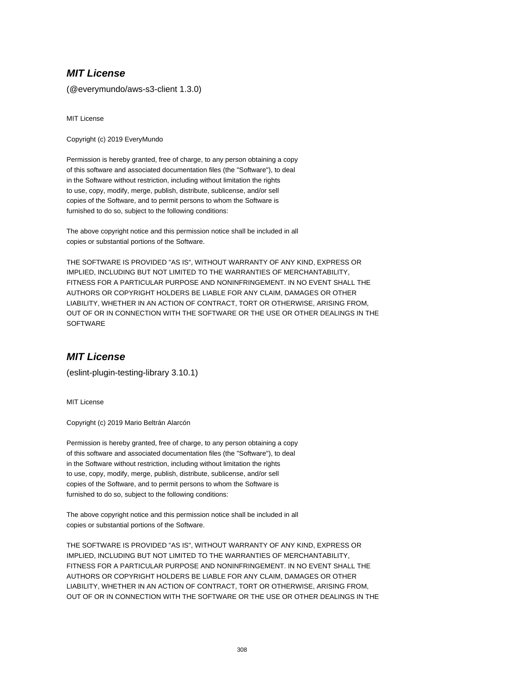(@everymundo/aws-s3-client 1.3.0)

MIT License

Copyright (c) 2019 EveryMundo

Permission is hereby granted, free of charge, to any person obtaining a copy of this software and associated documentation files (the "Software"), to deal in the Software without restriction, including without limitation the rights to use, copy, modify, merge, publish, distribute, sublicense, and/or sell copies of the Software, and to permit persons to whom the Software is furnished to do so, subject to the following conditions:

The above copyright notice and this permission notice shall be included in all copies or substantial portions of the Software.

THE SOFTWARE IS PROVIDED "AS IS", WITHOUT WARRANTY OF ANY KIND, EXPRESS OR IMPLIED, INCLUDING BUT NOT LIMITED TO THE WARRANTIES OF MERCHANTABILITY, FITNESS FOR A PARTICULAR PURPOSE AND NONINFRINGEMENT. IN NO EVENT SHALL THE AUTHORS OR COPYRIGHT HOLDERS BE LIABLE FOR ANY CLAIM, DAMAGES OR OTHER LIABILITY, WHETHER IN AN ACTION OF CONTRACT, TORT OR OTHERWISE, ARISING FROM, OUT OF OR IN CONNECTION WITH THE SOFTWARE OR THE USE OR OTHER DEALINGS IN THE **SOFTWARE** 

## **MIT License**

(eslint-plugin-testing-library 3.10.1)

MIT License

Copyright (c) 2019 Mario Beltrán Alarcón

Permission is hereby granted, free of charge, to any person obtaining a copy of this software and associated documentation files (the "Software"), to deal in the Software without restriction, including without limitation the rights to use, copy, modify, merge, publish, distribute, sublicense, and/or sell copies of the Software, and to permit persons to whom the Software is furnished to do so, subject to the following conditions:

The above copyright notice and this permission notice shall be included in all copies or substantial portions of the Software.

THE SOFTWARE IS PROVIDED "AS IS", WITHOUT WARRANTY OF ANY KIND, EXPRESS OR IMPLIED, INCLUDING BUT NOT LIMITED TO THE WARRANTIES OF MERCHANTABILITY, FITNESS FOR A PARTICULAR PURPOSE AND NONINFRINGEMENT. IN NO EVENT SHALL THE AUTHORS OR COPYRIGHT HOLDERS BE LIABLE FOR ANY CLAIM, DAMAGES OR OTHER LIABILITY, WHETHER IN AN ACTION OF CONTRACT, TORT OR OTHERWISE, ARISING FROM, OUT OF OR IN CONNECTION WITH THE SOFTWARE OR THE USE OR OTHER DEALINGS IN THE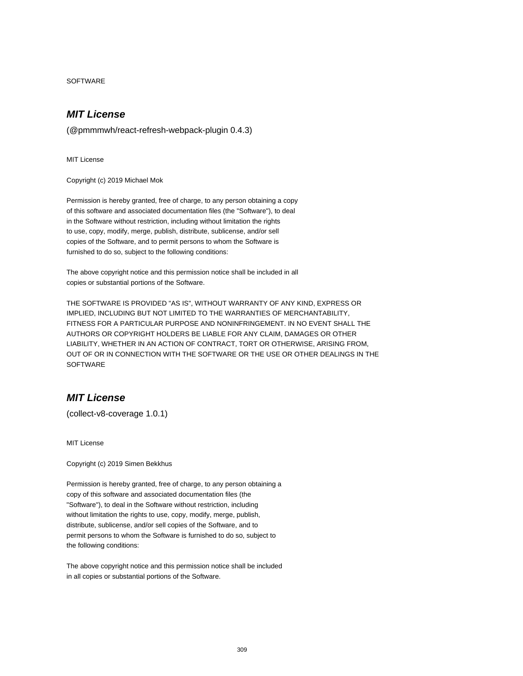SOFTWARE

#### **MIT License**

(@pmmmwh/react-refresh-webpack-plugin 0.4.3)

MIT License

Copyright (c) 2019 Michael Mok

Permission is hereby granted, free of charge, to any person obtaining a copy of this software and associated documentation files (the "Software"), to deal in the Software without restriction, including without limitation the rights to use, copy, modify, merge, publish, distribute, sublicense, and/or sell copies of the Software, and to permit persons to whom the Software is furnished to do so, subject to the following conditions:

The above copyright notice and this permission notice shall be included in all copies or substantial portions of the Software.

THE SOFTWARE IS PROVIDED "AS IS", WITHOUT WARRANTY OF ANY KIND, EXPRESS OR IMPLIED, INCLUDING BUT NOT LIMITED TO THE WARRANTIES OF MERCHANTABILITY, FITNESS FOR A PARTICULAR PURPOSE AND NONINFRINGEMENT. IN NO EVENT SHALL THE AUTHORS OR COPYRIGHT HOLDERS BE LIABLE FOR ANY CLAIM, DAMAGES OR OTHER LIABILITY, WHETHER IN AN ACTION OF CONTRACT, TORT OR OTHERWISE, ARISING FROM, OUT OF OR IN CONNECTION WITH THE SOFTWARE OR THE USE OR OTHER DEALINGS IN THE **SOFTWARE** 

## **MIT License**

(collect-v8-coverage 1.0.1)

MIT License

Copyright (c) 2019 Simen Bekkhus

Permission is hereby granted, free of charge, to any person obtaining a copy of this software and associated documentation files (the "Software"), to deal in the Software without restriction, including without limitation the rights to use, copy, modify, merge, publish, distribute, sublicense, and/or sell copies of the Software, and to permit persons to whom the Software is furnished to do so, subject to the following conditions:

The above copyright notice and this permission notice shall be included in all copies or substantial portions of the Software.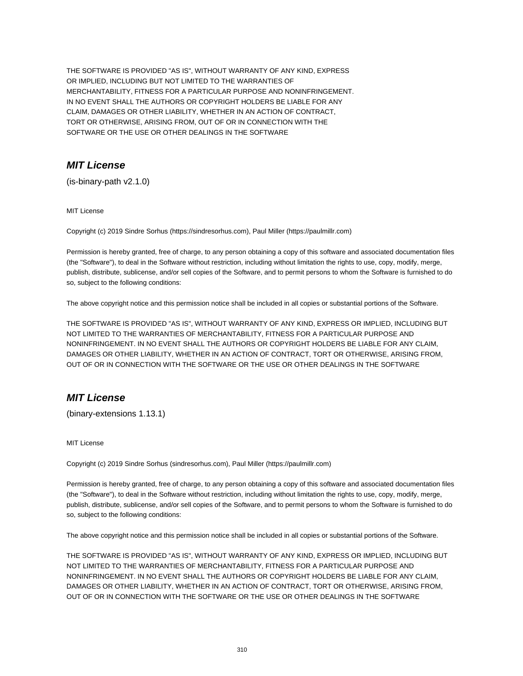THE SOFTWARE IS PROVIDED "AS IS", WITHOUT WARRANTY OF ANY KIND, EXPRESS OR IMPLIED, INCLUDING BUT NOT LIMITED TO THE WARRANTIES OF MERCHANTABILITY, FITNESS FOR A PARTICULAR PURPOSE AND NONINFRINGEMENT. IN NO EVENT SHALL THE AUTHORS OR COPYRIGHT HOLDERS BE LIABLE FOR ANY CLAIM, DAMAGES OR OTHER LIABILITY, WHETHER IN AN ACTION OF CONTRACT, TORT OR OTHERWISE, ARISING FROM, OUT OF OR IN CONNECTION WITH THE SOFTWARE OR THE USE OR OTHER DEALINGS IN THE SOFTWARE

## **MIT License**

(is-binary-path v2.1.0)

MIT License

Copyright (c) 2019 Sindre Sorhus (https://sindresorhus.com), Paul Miller (https://paulmillr.com)

Permission is hereby granted, free of charge, to any person obtaining a copy of this software and associated documentation files (the "Software"), to deal in the Software without restriction, including without limitation the rights to use, copy, modify, merge, publish, distribute, sublicense, and/or sell copies of the Software, and to permit persons to whom the Software is furnished to do so, subject to the following conditions:

The above copyright notice and this permission notice shall be included in all copies or substantial portions of the Software.

THE SOFTWARE IS PROVIDED "AS IS", WITHOUT WARRANTY OF ANY KIND, EXPRESS OR IMPLIED, INCLUDING BUT NOT LIMITED TO THE WARRANTIES OF MERCHANTABILITY, FITNESS FOR A PARTICULAR PURPOSE AND NONINFRINGEMENT. IN NO EVENT SHALL THE AUTHORS OR COPYRIGHT HOLDERS BE LIABLE FOR ANY CLAIM, DAMAGES OR OTHER LIABILITY, WHETHER IN AN ACTION OF CONTRACT, TORT OR OTHERWISE, ARISING FROM, OUT OF OR IN CONNECTION WITH THE SOFTWARE OR THE USE OR OTHER DEALINGS IN THE SOFTWARE

# **MIT License**

(binary-extensions 1.13.1)

MIT License

Copyright (c) 2019 Sindre Sorhus (sindresorhus.com), Paul Miller (https://paulmillr.com)

Permission is hereby granted, free of charge, to any person obtaining a copy of this software and associated documentation files (the "Software"), to deal in the Software without restriction, including without limitation the rights to use, copy, modify, merge, publish, distribute, sublicense, and/or sell copies of the Software, and to permit persons to whom the Software is furnished to do so, subject to the following conditions:

The above copyright notice and this permission notice shall be included in all copies or substantial portions of the Software.

THE SOFTWARE IS PROVIDED "AS IS", WITHOUT WARRANTY OF ANY KIND, EXPRESS OR IMPLIED, INCLUDING BUT NOT LIMITED TO THE WARRANTIES OF MERCHANTABILITY, FITNESS FOR A PARTICULAR PURPOSE AND NONINFRINGEMENT. IN NO EVENT SHALL THE AUTHORS OR COPYRIGHT HOLDERS BE LIABLE FOR ANY CLAIM, DAMAGES OR OTHER LIABILITY, WHETHER IN AN ACTION OF CONTRACT, TORT OR OTHERWISE, ARISING FROM, OUT OF OR IN CONNECTION WITH THE SOFTWARE OR THE USE OR OTHER DEALINGS IN THE SOFTWARE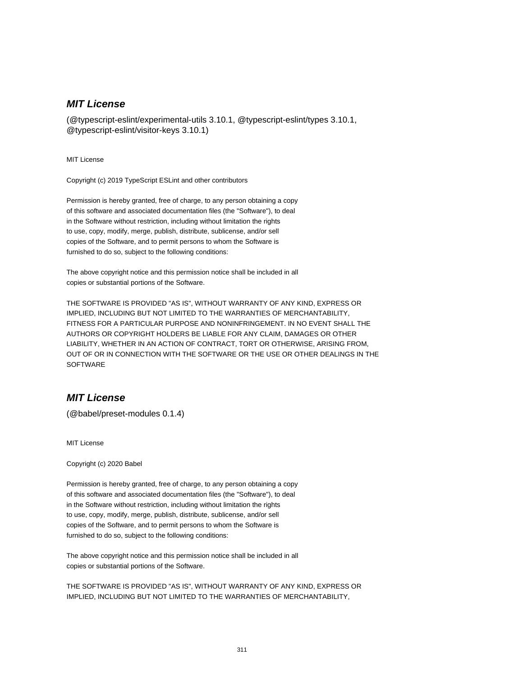(@typescript-eslint/experimental-utils 3.10.1, @typescript-eslint/types 3.10.1, @typescript-eslint/visitor-keys 3.10.1)

MIT License

Copyright (c) 2019 TypeScript ESLint and other contributors

Permission is hereby granted, free of charge, to any person obtaining a copy of this software and associated documentation files (the "Software"), to deal in the Software without restriction, including without limitation the rights to use, copy, modify, merge, publish, distribute, sublicense, and/or sell copies of the Software, and to permit persons to whom the Software is furnished to do so, subject to the following conditions:

The above copyright notice and this permission notice shall be included in all copies or substantial portions of the Software.

THE SOFTWARE IS PROVIDED "AS IS", WITHOUT WARRANTY OF ANY KIND, EXPRESS OR IMPLIED, INCLUDING BUT NOT LIMITED TO THE WARRANTIES OF MERCHANTABILITY, FITNESS FOR A PARTICULAR PURPOSE AND NONINFRINGEMENT. IN NO EVENT SHALL THE AUTHORS OR COPYRIGHT HOLDERS BE LIABLE FOR ANY CLAIM, DAMAGES OR OTHER LIABILITY, WHETHER IN AN ACTION OF CONTRACT, TORT OR OTHERWISE, ARISING FROM, OUT OF OR IN CONNECTION WITH THE SOFTWARE OR THE USE OR OTHER DEALINGS IN THE **SOFTWARE** 

#### **MIT License**

(@babel/preset-modules 0.1.4)

MIT License

Copyright (c) 2020 Babel

Permission is hereby granted, free of charge, to any person obtaining a copy of this software and associated documentation files (the "Software"), to deal in the Software without restriction, including without limitation the rights to use, copy, modify, merge, publish, distribute, sublicense, and/or sell copies of the Software, and to permit persons to whom the Software is furnished to do so, subject to the following conditions:

The above copyright notice and this permission notice shall be included in all copies or substantial portions of the Software.

THE SOFTWARE IS PROVIDED "AS IS", WITHOUT WARRANTY OF ANY KIND, EXPRESS OR IMPLIED, INCLUDING BUT NOT LIMITED TO THE WARRANTIES OF MERCHANTABILITY,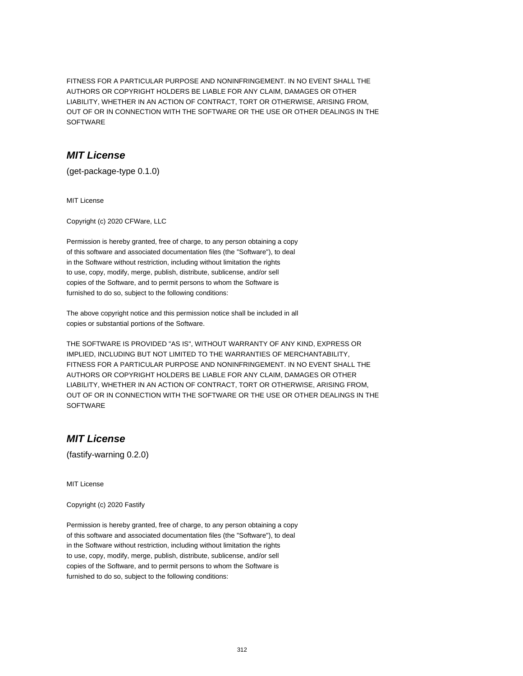FITNESS FOR A PARTICULAR PURPOSE AND NONINFRINGEMENT. IN NO EVENT SHALL THE AUTHORS OR COPYRIGHT HOLDERS BE LIABLE FOR ANY CLAIM, DAMAGES OR OTHER LIABILITY, WHETHER IN AN ACTION OF CONTRACT, TORT OR OTHERWISE, ARISING FROM, OUT OF OR IN CONNECTION WITH THE SOFTWARE OR THE USE OR OTHER DEALINGS IN THE **SOFTWARE** 

## **MIT License**

(get-package-type 0.1.0)

MIT License

Copyright (c) 2020 CFWare, LLC

Permission is hereby granted, free of charge, to any person obtaining a copy of this software and associated documentation files (the "Software"), to deal in the Software without restriction, including without limitation the rights to use, copy, modify, merge, publish, distribute, sublicense, and/or sell copies of the Software, and to permit persons to whom the Software is furnished to do so, subject to the following conditions:

The above copyright notice and this permission notice shall be included in all copies or substantial portions of the Software.

THE SOFTWARE IS PROVIDED "AS IS", WITHOUT WARRANTY OF ANY KIND, EXPRESS OR IMPLIED, INCLUDING BUT NOT LIMITED TO THE WARRANTIES OF MERCHANTABILITY, FITNESS FOR A PARTICULAR PURPOSE AND NONINFRINGEMENT. IN NO EVENT SHALL THE AUTHORS OR COPYRIGHT HOLDERS BE LIABLE FOR ANY CLAIM, DAMAGES OR OTHER LIABILITY, WHETHER IN AN ACTION OF CONTRACT, TORT OR OTHERWISE, ARISING FROM, OUT OF OR IN CONNECTION WITH THE SOFTWARE OR THE USE OR OTHER DEALINGS IN THE **SOFTWARE** 

# **MIT License**

(fastify-warning 0.2.0)

MIT License

Copyright (c) 2020 Fastify

Permission is hereby granted, free of charge, to any person obtaining a copy of this software and associated documentation files (the "Software"), to deal in the Software without restriction, including without limitation the rights to use, copy, modify, merge, publish, distribute, sublicense, and/or sell copies of the Software, and to permit persons to whom the Software is furnished to do so, subject to the following conditions: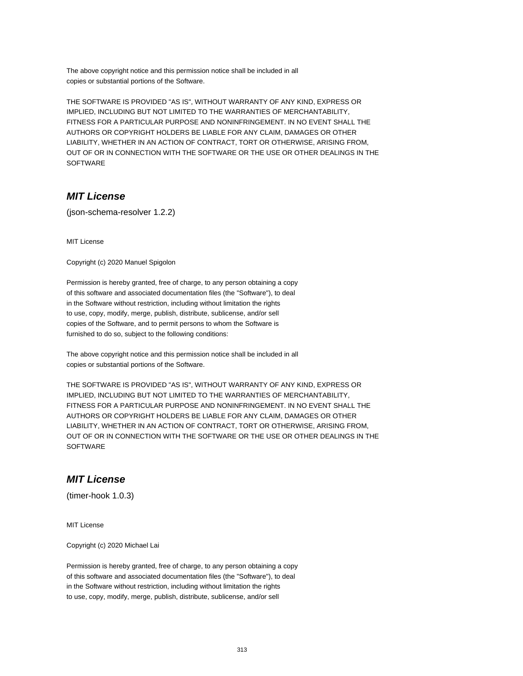The above copyright notice and this permission notice shall be included in all copies or substantial portions of the Software.

THE SOFTWARE IS PROVIDED "AS IS", WITHOUT WARRANTY OF ANY KIND, EXPRESS OR IMPLIED, INCLUDING BUT NOT LIMITED TO THE WARRANTIES OF MERCHANTABILITY, FITNESS FOR A PARTICULAR PURPOSE AND NONINFRINGEMENT. IN NO EVENT SHALL THE AUTHORS OR COPYRIGHT HOLDERS BE LIABLE FOR ANY CLAIM, DAMAGES OR OTHER LIABILITY, WHETHER IN AN ACTION OF CONTRACT, TORT OR OTHERWISE, ARISING FROM, OUT OF OR IN CONNECTION WITH THE SOFTWARE OR THE USE OR OTHER DEALINGS IN THE SOFTWARE

## **MIT License**

(json-schema-resolver 1.2.2)

MIT License

Copyright (c) 2020 Manuel Spigolon

Permission is hereby granted, free of charge, to any person obtaining a copy of this software and associated documentation files (the "Software"), to deal in the Software without restriction, including without limitation the rights to use, copy, modify, merge, publish, distribute, sublicense, and/or sell copies of the Software, and to permit persons to whom the Software is furnished to do so, subject to the following conditions:

The above copyright notice and this permission notice shall be included in all copies or substantial portions of the Software.

THE SOFTWARE IS PROVIDED "AS IS", WITHOUT WARRANTY OF ANY KIND, EXPRESS OR IMPLIED, INCLUDING BUT NOT LIMITED TO THE WARRANTIES OF MERCHANTABILITY, FITNESS FOR A PARTICULAR PURPOSE AND NONINFRINGEMENT. IN NO EVENT SHALL THE AUTHORS OR COPYRIGHT HOLDERS BE LIABLE FOR ANY CLAIM, DAMAGES OR OTHER LIABILITY, WHETHER IN AN ACTION OF CONTRACT, TORT OR OTHERWISE, ARISING FROM, OUT OF OR IN CONNECTION WITH THE SOFTWARE OR THE USE OR OTHER DEALINGS IN THE **SOFTWARE** 

#### **MIT License**

(timer-hook 1.0.3)

MIT License

Copyright (c) 2020 Michael Lai

Permission is hereby granted, free of charge, to any person obtaining a copy of this software and associated documentation files (the "Software"), to deal in the Software without restriction, including without limitation the rights to use, copy, modify, merge, publish, distribute, sublicense, and/or sell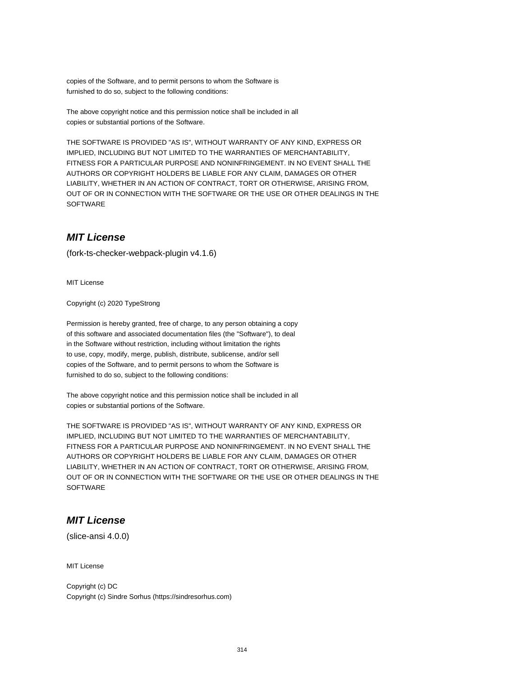copies of the Software, and to permit persons to whom the Software is furnished to do so, subject to the following conditions:

The above copyright notice and this permission notice shall be included in all copies or substantial portions of the Software.

THE SOFTWARE IS PROVIDED "AS IS", WITHOUT WARRANTY OF ANY KIND, EXPRESS OR IMPLIED, INCLUDING BUT NOT LIMITED TO THE WARRANTIES OF MERCHANTABILITY, FITNESS FOR A PARTICULAR PURPOSE AND NONINFRINGEMENT. IN NO EVENT SHALL THE AUTHORS OR COPYRIGHT HOLDERS BE LIABLE FOR ANY CLAIM, DAMAGES OR OTHER LIABILITY, WHETHER IN AN ACTION OF CONTRACT, TORT OR OTHERWISE, ARISING FROM, OUT OF OR IN CONNECTION WITH THE SOFTWARE OR THE USE OR OTHER DEALINGS IN THE **SOFTWARE** 

## **MIT License**

(fork-ts-checker-webpack-plugin v4.1.6)

MIT License

Copyright (c) 2020 TypeStrong

Permission is hereby granted, free of charge, to any person obtaining a copy of this software and associated documentation files (the "Software"), to deal in the Software without restriction, including without limitation the rights to use, copy, modify, merge, publish, distribute, sublicense, and/or sell copies of the Software, and to permit persons to whom the Software is furnished to do so, subject to the following conditions:

The above copyright notice and this permission notice shall be included in all copies or substantial portions of the Software.

THE SOFTWARE IS PROVIDED "AS IS", WITHOUT WARRANTY OF ANY KIND, EXPRESS OR IMPLIED, INCLUDING BUT NOT LIMITED TO THE WARRANTIES OF MERCHANTABILITY, FITNESS FOR A PARTICULAR PURPOSE AND NONINFRINGEMENT. IN NO EVENT SHALL THE AUTHORS OR COPYRIGHT HOLDERS BE LIABLE FOR ANY CLAIM, DAMAGES OR OTHER LIABILITY, WHETHER IN AN ACTION OF CONTRACT, TORT OR OTHERWISE, ARISING FROM, OUT OF OR IN CONNECTION WITH THE SOFTWARE OR THE USE OR OTHER DEALINGS IN THE **SOFTWARE** 

#### **MIT License**

(slice-ansi 4.0.0)

MIT License

Copyright (c) DC Copyright (c) Sindre Sorhus (https://sindresorhus.com)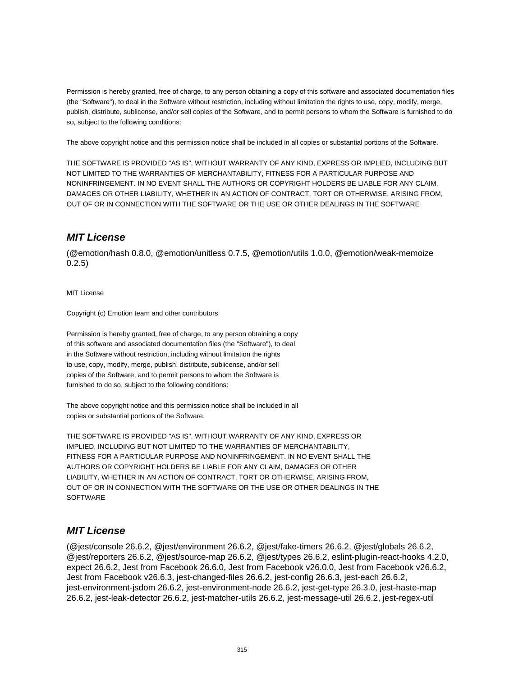Permission is hereby granted, free of charge, to any person obtaining a copy of this software and associated documentation files (the "Software"), to deal in the Software without restriction, including without limitation the rights to use, copy, modify, merge, publish, distribute, sublicense, and/or sell copies of the Software, and to permit persons to whom the Software is furnished to do so, subject to the following conditions:

The above copyright notice and this permission notice shall be included in all copies or substantial portions of the Software.

THE SOFTWARE IS PROVIDED "AS IS", WITHOUT WARRANTY OF ANY KIND, EXPRESS OR IMPLIED, INCLUDING BUT NOT LIMITED TO THE WARRANTIES OF MERCHANTABILITY, FITNESS FOR A PARTICULAR PURPOSE AND NONINFRINGEMENT. IN NO EVENT SHALL THE AUTHORS OR COPYRIGHT HOLDERS BE LIABLE FOR ANY CLAIM, DAMAGES OR OTHER LIABILITY, WHETHER IN AN ACTION OF CONTRACT, TORT OR OTHERWISE, ARISING FROM, OUT OF OR IN CONNECTION WITH THE SOFTWARE OR THE USE OR OTHER DEALINGS IN THE SOFTWARE

# **MIT License**

(@emotion/hash 0.8.0, @emotion/unitless 0.7.5, @emotion/utils 1.0.0, @emotion/weak-memoize 0.2.5)

MIT License

Copyright (c) Emotion team and other contributors

Permission is hereby granted, free of charge, to any person obtaining a copy of this software and associated documentation files (the "Software"), to deal in the Software without restriction, including without limitation the rights to use, copy, modify, merge, publish, distribute, sublicense, and/or sell copies of the Software, and to permit persons to whom the Software is furnished to do so, subject to the following conditions:

The above copyright notice and this permission notice shall be included in all copies or substantial portions of the Software.

THE SOFTWARE IS PROVIDED "AS IS", WITHOUT WARRANTY OF ANY KIND, EXPRESS OR IMPLIED, INCLUDING BUT NOT LIMITED TO THE WARRANTIES OF MERCHANTABILITY, FITNESS FOR A PARTICULAR PURPOSE AND NONINFRINGEMENT. IN NO EVENT SHALL THE AUTHORS OR COPYRIGHT HOLDERS BE LIABLE FOR ANY CLAIM, DAMAGES OR OTHER LIABILITY, WHETHER IN AN ACTION OF CONTRACT, TORT OR OTHERWISE, ARISING FROM, OUT OF OR IN CONNECTION WITH THE SOFTWARE OR THE USE OR OTHER DEALINGS IN THE **SOFTWARE** 

## **MIT License**

(@jest/console 26.6.2, @jest/environment 26.6.2, @jest/fake-timers 26.6.2, @jest/globals 26.6.2, @jest/reporters 26.6.2, @jest/source-map 26.6.2, @jest/types 26.6.2, eslint-plugin-react-hooks 4.2.0, expect 26.6.2, Jest from Facebook 26.6.0, Jest from Facebook v26.0.0, Jest from Facebook v26.6.2, Jest from Facebook v26.6.3, jest-changed-files 26.6.2, jest-config 26.6.3, jest-each 26.6.2, jest-environment-jsdom 26.6.2, jest-environment-node 26.6.2, jest-get-type 26.3.0, jest-haste-map 26.6.2, jest-leak-detector 26.6.2, jest-matcher-utils 26.6.2, jest-message-util 26.6.2, jest-regex-util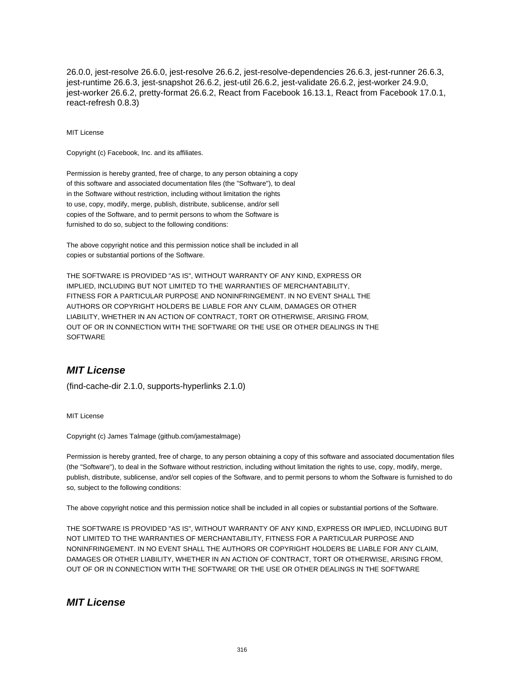26.0.0, jest-resolve 26.6.0, jest-resolve 26.6.2, jest-resolve-dependencies 26.6.3, jest-runner 26.6.3, jest-runtime 26.6.3, jest-snapshot 26.6.2, jest-util 26.6.2, jest-validate 26.6.2, jest-worker 24.9.0, jest-worker 26.6.2, pretty-format 26.6.2, React from Facebook 16.13.1, React from Facebook 17.0.1, react-refresh 0.8.3)

#### MIT License

Copyright (c) Facebook, Inc. and its affiliates.

Permission is hereby granted, free of charge, to any person obtaining a copy of this software and associated documentation files (the "Software"), to deal in the Software without restriction, including without limitation the rights to use, copy, modify, merge, publish, distribute, sublicense, and/or sell copies of the Software, and to permit persons to whom the Software is furnished to do so, subject to the following conditions:

The above copyright notice and this permission notice shall be included in all copies or substantial portions of the Software.

THE SOFTWARE IS PROVIDED "AS IS", WITHOUT WARRANTY OF ANY KIND, EXPRESS OR IMPLIED, INCLUDING BUT NOT LIMITED TO THE WARRANTIES OF MERCHANTABILITY, FITNESS FOR A PARTICULAR PURPOSE AND NONINFRINGEMENT. IN NO EVENT SHALL THE AUTHORS OR COPYRIGHT HOLDERS BE LIABLE FOR ANY CLAIM, DAMAGES OR OTHER LIABILITY, WHETHER IN AN ACTION OF CONTRACT, TORT OR OTHERWISE, ARISING FROM, OUT OF OR IN CONNECTION WITH THE SOFTWARE OR THE USE OR OTHER DEALINGS IN THE SOFTWARE

#### **MIT License**

(find-cache-dir 2.1.0, supports-hyperlinks 2.1.0)

MIT License

Copyright (c) James Talmage (github.com/jamestalmage)

Permission is hereby granted, free of charge, to any person obtaining a copy of this software and associated documentation files (the "Software"), to deal in the Software without restriction, including without limitation the rights to use, copy, modify, merge, publish, distribute, sublicense, and/or sell copies of the Software, and to permit persons to whom the Software is furnished to do so, subject to the following conditions:

The above copyright notice and this permission notice shall be included in all copies or substantial portions of the Software.

THE SOFTWARE IS PROVIDED "AS IS", WITHOUT WARRANTY OF ANY KIND, EXPRESS OR IMPLIED, INCLUDING BUT NOT LIMITED TO THE WARRANTIES OF MERCHANTABILITY, FITNESS FOR A PARTICULAR PURPOSE AND NONINFRINGEMENT. IN NO EVENT SHALL THE AUTHORS OR COPYRIGHT HOLDERS BE LIABLE FOR ANY CLAIM, DAMAGES OR OTHER LIABILITY, WHETHER IN AN ACTION OF CONTRACT, TORT OR OTHERWISE, ARISING FROM, OUT OF OR IN CONNECTION WITH THE SOFTWARE OR THE USE OR OTHER DEALINGS IN THE SOFTWARE

#### **MIT License**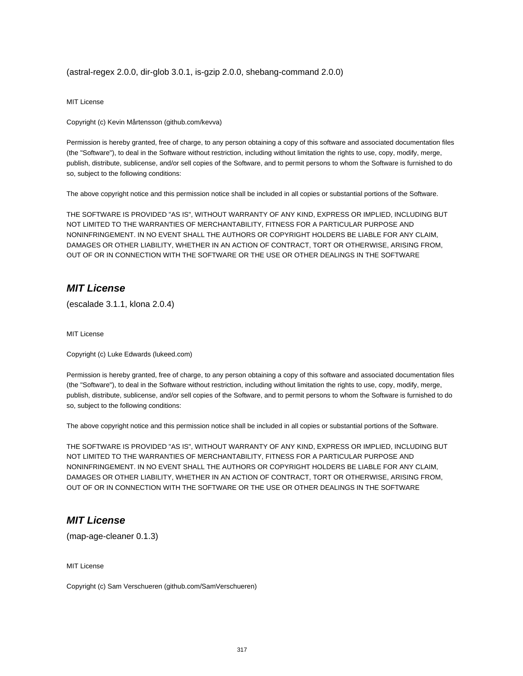(astral-regex 2.0.0, dir-glob 3.0.1, is-gzip 2.0.0, shebang-command 2.0.0)

MIT License

Copyright (c) Kevin Mårtensson (github.com/kevva)

Permission is hereby granted, free of charge, to any person obtaining a copy of this software and associated documentation files (the "Software"), to deal in the Software without restriction, including without limitation the rights to use, copy, modify, merge, publish, distribute, sublicense, and/or sell copies of the Software, and to permit persons to whom the Software is furnished to do so, subject to the following conditions:

The above copyright notice and this permission notice shall be included in all copies or substantial portions of the Software.

THE SOFTWARE IS PROVIDED "AS IS", WITHOUT WARRANTY OF ANY KIND, EXPRESS OR IMPLIED, INCLUDING BUT NOT LIMITED TO THE WARRANTIES OF MERCHANTABILITY, FITNESS FOR A PARTICULAR PURPOSE AND NONINFRINGEMENT. IN NO EVENT SHALL THE AUTHORS OR COPYRIGHT HOLDERS BE LIABLE FOR ANY CLAIM, DAMAGES OR OTHER LIABILITY, WHETHER IN AN ACTION OF CONTRACT, TORT OR OTHERWISE, ARISING FROM, OUT OF OR IN CONNECTION WITH THE SOFTWARE OR THE USE OR OTHER DEALINGS IN THE SOFTWARE

#### **MIT License**

(escalade 3.1.1, klona 2.0.4)

MIT License

Copyright (c) Luke Edwards (lukeed.com)

Permission is hereby granted, free of charge, to any person obtaining a copy of this software and associated documentation files (the "Software"), to deal in the Software without restriction, including without limitation the rights to use, copy, modify, merge, publish, distribute, sublicense, and/or sell copies of the Software, and to permit persons to whom the Software is furnished to do so, subject to the following conditions:

The above copyright notice and this permission notice shall be included in all copies or substantial portions of the Software.

THE SOFTWARE IS PROVIDED "AS IS", WITHOUT WARRANTY OF ANY KIND, EXPRESS OR IMPLIED, INCLUDING BUT NOT LIMITED TO THE WARRANTIES OF MERCHANTABILITY, FITNESS FOR A PARTICULAR PURPOSE AND NONINFRINGEMENT. IN NO EVENT SHALL THE AUTHORS OR COPYRIGHT HOLDERS BE LIABLE FOR ANY CLAIM, DAMAGES OR OTHER LIABILITY, WHETHER IN AN ACTION OF CONTRACT, TORT OR OTHERWISE, ARISING FROM, OUT OF OR IN CONNECTION WITH THE SOFTWARE OR THE USE OR OTHER DEALINGS IN THE SOFTWARE

#### **MIT License**

(map-age-cleaner 0.1.3)

MIT License

Copyright (c) Sam Verschueren (github.com/SamVerschueren)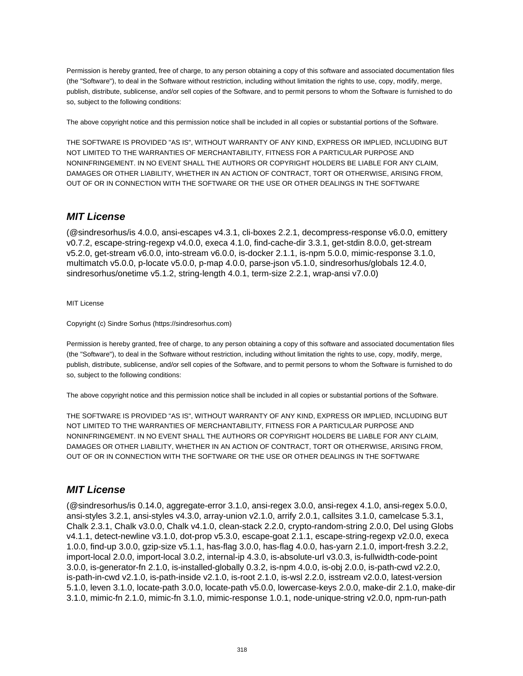Permission is hereby granted, free of charge, to any person obtaining a copy of this software and associated documentation files (the "Software"), to deal in the Software without restriction, including without limitation the rights to use, copy, modify, merge, publish, distribute, sublicense, and/or sell copies of the Software, and to permit persons to whom the Software is furnished to do so, subject to the following conditions:

The above copyright notice and this permission notice shall be included in all copies or substantial portions of the Software.

THE SOFTWARE IS PROVIDED "AS IS", WITHOUT WARRANTY OF ANY KIND, EXPRESS OR IMPLIED, INCLUDING BUT NOT LIMITED TO THE WARRANTIES OF MERCHANTABILITY, FITNESS FOR A PARTICULAR PURPOSE AND NONINFRINGEMENT. IN NO EVENT SHALL THE AUTHORS OR COPYRIGHT HOLDERS BE LIABLE FOR ANY CLAIM, DAMAGES OR OTHER LIABILITY, WHETHER IN AN ACTION OF CONTRACT, TORT OR OTHERWISE, ARISING FROM, OUT OF OR IN CONNECTION WITH THE SOFTWARE OR THE USE OR OTHER DEALINGS IN THE SOFTWARE

## **MIT License**

(@sindresorhus/is 4.0.0, ansi-escapes v4.3.1, cli-boxes 2.2.1, decompress-response v6.0.0, emittery v0.7.2, escape-string-regexp v4.0.0, execa 4.1.0, find-cache-dir 3.3.1, get-stdin 8.0.0, get-stream v5.2.0, get-stream v6.0.0, into-stream v6.0.0, is-docker 2.1.1, is-npm 5.0.0, mimic-response 3.1.0, multimatch v5.0.0, p-locate v5.0.0, p-map 4.0.0, parse-json v5.1.0, sindresorhus/globals 12.4.0, sindresorhus/onetime v5.1.2, string-length 4.0.1, term-size 2.2.1, wrap-ansi v7.0.0)

#### MIT License

Copyright (c) Sindre Sorhus (https://sindresorhus.com)

Permission is hereby granted, free of charge, to any person obtaining a copy of this software and associated documentation files (the "Software"), to deal in the Software without restriction, including without limitation the rights to use, copy, modify, merge, publish, distribute, sublicense, and/or sell copies of the Software, and to permit persons to whom the Software is furnished to do so, subject to the following conditions:

The above copyright notice and this permission notice shall be included in all copies or substantial portions of the Software.

THE SOFTWARE IS PROVIDED "AS IS", WITHOUT WARRANTY OF ANY KIND, EXPRESS OR IMPLIED, INCLUDING BUT NOT LIMITED TO THE WARRANTIES OF MERCHANTABILITY, FITNESS FOR A PARTICULAR PURPOSE AND NONINFRINGEMENT. IN NO EVENT SHALL THE AUTHORS OR COPYRIGHT HOLDERS BE LIABLE FOR ANY CLAIM, DAMAGES OR OTHER LIABILITY, WHETHER IN AN ACTION OF CONTRACT, TORT OR OTHERWISE, ARISING FROM, OUT OF OR IN CONNECTION WITH THE SOFTWARE OR THE USE OR OTHER DEALINGS IN THE SOFTWARE

## **MIT License**

(@sindresorhus/is 0.14.0, aggregate-error 3.1.0, ansi-regex 3.0.0, ansi-regex 4.1.0, ansi-regex 5.0.0, ansi-styles 3.2.1, ansi-styles v4.3.0, array-union v2.1.0, arrify 2.0.1, callsites 3.1.0, camelcase 5.3.1, Chalk 2.3.1, Chalk v3.0.0, Chalk v4.1.0, clean-stack 2.2.0, crypto-random-string 2.0.0, Del using Globs v4.1.1, detect-newline v3.1.0, dot-prop v5.3.0, escape-goat 2.1.1, escape-string-regexp v2.0.0, execa 1.0.0, find-up 3.0.0, gzip-size v5.1.1, has-flag 3.0.0, has-flag 4.0.0, has-yarn 2.1.0, import-fresh 3.2.2, import-local 2.0.0, import-local 3.0.2, internal-ip 4.3.0, is-absolute-url v3.0.3, is-fullwidth-code-point 3.0.0, is-generator-fn 2.1.0, is-installed-globally 0.3.2, is-npm 4.0.0, is-obj 2.0.0, is-path-cwd v2.2.0, is-path-in-cwd v2.1.0, is-path-inside v2.1.0, is-root 2.1.0, is-wsl 2.2.0, isstream v2.0.0, latest-version 5.1.0, leven 3.1.0, locate-path 3.0.0, locate-path v5.0.0, lowercase-keys 2.0.0, make-dir 2.1.0, make-dir 3.1.0, mimic-fn 2.1.0, mimic-fn 3.1.0, mimic-response 1.0.1, node-unique-string v2.0.0, npm-run-path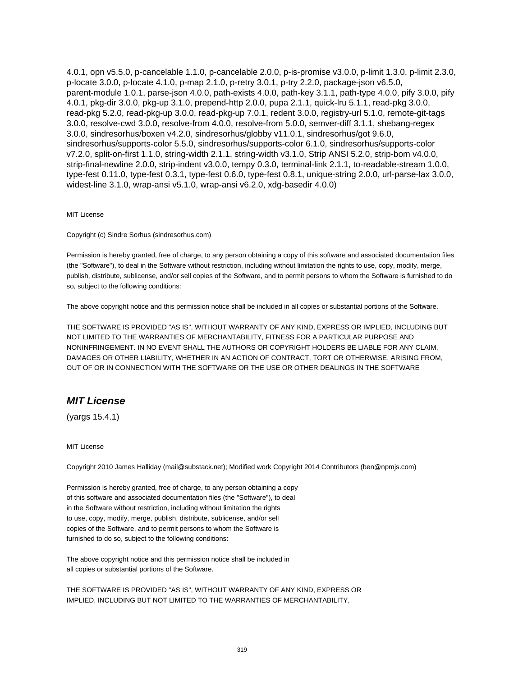4.0.1, opn v5.5.0, p-cancelable 1.1.0, p-cancelable 2.0.0, p-is-promise v3.0.0, p-limit 1.3.0, p-limit 2.3.0, p-locate 3.0.0, p-locate 4.1.0, p-map 2.1.0, p-retry 3.0.1, p-try 2.2.0, package-json v6.5.0, parent-module 1.0.1, parse-json 4.0.0, path-exists 4.0.0, path-key 3.1.1, path-type 4.0.0, pify 3.0.0, pify 4.0.1, pkg-dir 3.0.0, pkg-up 3.1.0, prepend-http 2.0.0, pupa 2.1.1, quick-lru 5.1.1, read-pkg 3.0.0, read-pkg 5.2.0, read-pkg-up 3.0.0, read-pkg-up 7.0.1, redent 3.0.0, registry-url 5.1.0, remote-git-tags 3.0.0, resolve-cwd 3.0.0, resolve-from 4.0.0, resolve-from 5.0.0, semver-diff 3.1.1, shebang-regex 3.0.0, sindresorhus/boxen v4.2.0, sindresorhus/globby v11.0.1, sindresorhus/got 9.6.0, sindresorhus/supports-color 5.5.0, sindresorhus/supports-color 6.1.0, sindresorhus/supports-color v7.2.0, split-on-first 1.1.0, string-width 2.1.1, string-width v3.1.0, Strip ANSI 5.2.0, strip-bom v4.0.0, strip-final-newline 2.0.0, strip-indent v3.0.0, tempy 0.3.0, terminal-link 2.1.1, to-readable-stream 1.0.0, type-fest 0.11.0, type-fest 0.3.1, type-fest 0.6.0, type-fest 0.8.1, unique-string 2.0.0, url-parse-lax 3.0.0, widest-line 3.1.0, wrap-ansi v5.1.0, wrap-ansi v6.2.0, xdg-basedir 4.0.0)

MIT License

Copyright (c) Sindre Sorhus (sindresorhus.com)

Permission is hereby granted, free of charge, to any person obtaining a copy of this software and associated documentation files (the "Software"), to deal in the Software without restriction, including without limitation the rights to use, copy, modify, merge, publish, distribute, sublicense, and/or sell copies of the Software, and to permit persons to whom the Software is furnished to do so, subject to the following conditions:

The above copyright notice and this permission notice shall be included in all copies or substantial portions of the Software.

THE SOFTWARE IS PROVIDED "AS IS", WITHOUT WARRANTY OF ANY KIND, EXPRESS OR IMPLIED, INCLUDING BUT NOT LIMITED TO THE WARRANTIES OF MERCHANTABILITY, FITNESS FOR A PARTICULAR PURPOSE AND NONINFRINGEMENT. IN NO EVENT SHALL THE AUTHORS OR COPYRIGHT HOLDERS BE LIABLE FOR ANY CLAIM, DAMAGES OR OTHER LIABILITY, WHETHER IN AN ACTION OF CONTRACT, TORT OR OTHERWISE, ARISING FROM, OUT OF OR IN CONNECTION WITH THE SOFTWARE OR THE USE OR OTHER DEALINGS IN THE SOFTWARE

## **MIT License**

(yargs 15.4.1)

MIT License

Copyright 2010 James Halliday (mail@substack.net); Modified work Copyright 2014 Contributors (ben@npmjs.com)

Permission is hereby granted, free of charge, to any person obtaining a copy of this software and associated documentation files (the "Software"), to deal in the Software without restriction, including without limitation the rights to use, copy, modify, merge, publish, distribute, sublicense, and/or sell copies of the Software, and to permit persons to whom the Software is furnished to do so, subject to the following conditions:

The above copyright notice and this permission notice shall be included in all copies or substantial portions of the Software.

THE SOFTWARE IS PROVIDED "AS IS", WITHOUT WARRANTY OF ANY KIND, EXPRESS OR IMPLIED, INCLUDING BUT NOT LIMITED TO THE WARRANTIES OF MERCHANTABILITY,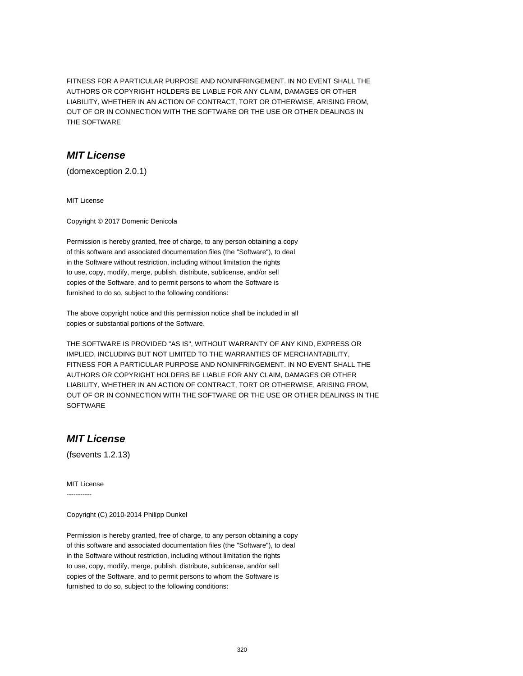FITNESS FOR A PARTICULAR PURPOSE AND NONINFRINGEMENT. IN NO EVENT SHALL THE AUTHORS OR COPYRIGHT HOLDERS BE LIABLE FOR ANY CLAIM, DAMAGES OR OTHER LIABILITY, WHETHER IN AN ACTION OF CONTRACT, TORT OR OTHERWISE, ARISING FROM, OUT OF OR IN CONNECTION WITH THE SOFTWARE OR THE USE OR OTHER DEALINGS IN THE SOFTWARE

#### **MIT License**

(domexception 2.0.1)

MIT License

Copyright © 2017 Domenic Denicola

Permission is hereby granted, free of charge, to any person obtaining a copy of this software and associated documentation files (the "Software"), to deal in the Software without restriction, including without limitation the rights to use, copy, modify, merge, publish, distribute, sublicense, and/or sell copies of the Software, and to permit persons to whom the Software is furnished to do so, subject to the following conditions:

The above copyright notice and this permission notice shall be included in all copies or substantial portions of the Software.

THE SOFTWARE IS PROVIDED "AS IS", WITHOUT WARRANTY OF ANY KIND, EXPRESS OR IMPLIED, INCLUDING BUT NOT LIMITED TO THE WARRANTIES OF MERCHANTABILITY, FITNESS FOR A PARTICULAR PURPOSE AND NONINFRINGEMENT. IN NO EVENT SHALL THE AUTHORS OR COPYRIGHT HOLDERS BE LIABLE FOR ANY CLAIM, DAMAGES OR OTHER LIABILITY, WHETHER IN AN ACTION OF CONTRACT, TORT OR OTHERWISE, ARISING FROM, OUT OF OR IN CONNECTION WITH THE SOFTWARE OR THE USE OR OTHER DEALINGS IN THE **SOFTWARE** 

# **MIT License**

(fsevents 1.2.13)

MIT License -----------

Copyright (C) 2010-2014 Philipp Dunkel

Permission is hereby granted, free of charge, to any person obtaining a copy of this software and associated documentation files (the "Software"), to deal in the Software without restriction, including without limitation the rights to use, copy, modify, merge, publish, distribute, sublicense, and/or sell copies of the Software, and to permit persons to whom the Software is furnished to do so, subject to the following conditions: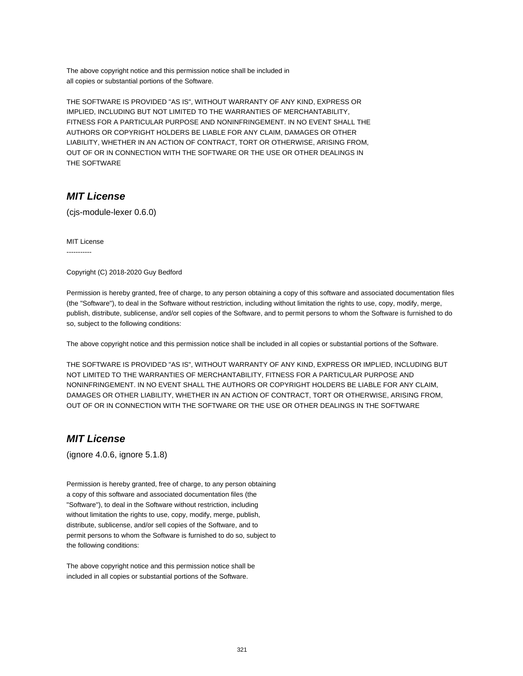The above copyright notice and this permission notice shall be included in all copies or substantial portions of the Software.

THE SOFTWARE IS PROVIDED "AS IS", WITHOUT WARRANTY OF ANY KIND, EXPRESS OR IMPLIED, INCLUDING BUT NOT LIMITED TO THE WARRANTIES OF MERCHANTABILITY, FITNESS FOR A PARTICULAR PURPOSE AND NONINFRINGEMENT. IN NO EVENT SHALL THE AUTHORS OR COPYRIGHT HOLDERS BE LIABLE FOR ANY CLAIM, DAMAGES OR OTHER LIABILITY, WHETHER IN AN ACTION OF CONTRACT, TORT OR OTHERWISE, ARISING FROM, OUT OF OR IN CONNECTION WITH THE SOFTWARE OR THE USE OR OTHER DEALINGS IN THE SOFTWARE

## **MIT License**

(cjs-module-lexer 0.6.0)

MIT License -----------

Copyright (C) 2018-2020 Guy Bedford

Permission is hereby granted, free of charge, to any person obtaining a copy of this software and associated documentation files (the "Software"), to deal in the Software without restriction, including without limitation the rights to use, copy, modify, merge, publish, distribute, sublicense, and/or sell copies of the Software, and to permit persons to whom the Software is furnished to do so, subject to the following conditions:

The above copyright notice and this permission notice shall be included in all copies or substantial portions of the Software.

THE SOFTWARE IS PROVIDED "AS IS", WITHOUT WARRANTY OF ANY KIND, EXPRESS OR IMPLIED, INCLUDING BUT NOT LIMITED TO THE WARRANTIES OF MERCHANTABILITY, FITNESS FOR A PARTICULAR PURPOSE AND NONINFRINGEMENT. IN NO EVENT SHALL THE AUTHORS OR COPYRIGHT HOLDERS BE LIABLE FOR ANY CLAIM, DAMAGES OR OTHER LIABILITY, WHETHER IN AN ACTION OF CONTRACT, TORT OR OTHERWISE, ARISING FROM, OUT OF OR IN CONNECTION WITH THE SOFTWARE OR THE USE OR OTHER DEALINGS IN THE SOFTWARE

## **MIT License**

(ignore 4.0.6, ignore 5.1.8)

Permission is hereby granted, free of charge, to any person obtaining a copy of this software and associated documentation files (the "Software"), to deal in the Software without restriction, including without limitation the rights to use, copy, modify, merge, publish, distribute, sublicense, and/or sell copies of the Software, and to permit persons to whom the Software is furnished to do so, subject to the following conditions:

The above copyright notice and this permission notice shall be included in all copies or substantial portions of the Software.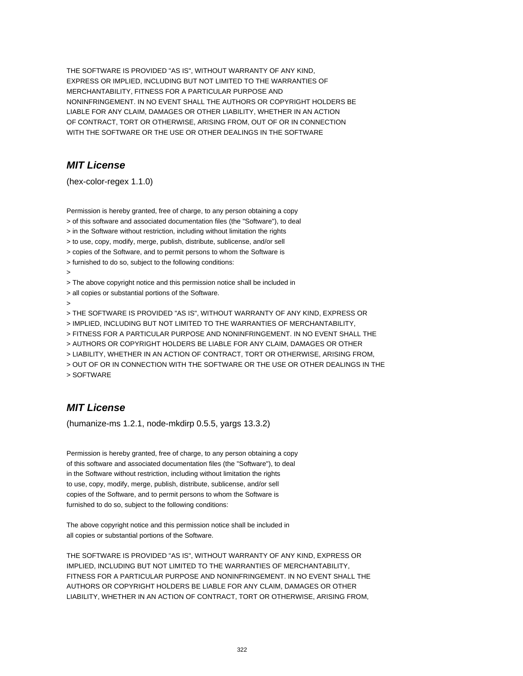THE SOFTWARE IS PROVIDED "AS IS", WITHOUT WARRANTY OF ANY KIND, EXPRESS OR IMPLIED, INCLUDING BUT NOT LIMITED TO THE WARRANTIES OF MERCHANTABILITY, FITNESS FOR A PARTICULAR PURPOSE AND NONINFRINGEMENT. IN NO EVENT SHALL THE AUTHORS OR COPYRIGHT HOLDERS BE LIABLE FOR ANY CLAIM, DAMAGES OR OTHER LIABILITY, WHETHER IN AN ACTION OF CONTRACT, TORT OR OTHERWISE, ARISING FROM, OUT OF OR IN CONNECTION WITH THE SOFTWARE OR THE USE OR OTHER DEALINGS IN THE SOFTWARE

## **MIT License**

(hex-color-regex 1.1.0)

Permission is hereby granted, free of charge, to any person obtaining a copy > of this software and associated documentation files (the "Software"), to deal > in the Software without restriction, including without limitation the rights > to use, copy, modify, merge, publish, distribute, sublicense, and/or sell > copies of the Software, and to permit persons to whom the Software is > furnished to do so, subject to the following conditions: > > The above copyright notice and this permission notice shall be included in > all copies or substantial portions of the Software. > > THE SOFTWARE IS PROVIDED "AS IS", WITHOUT WARRANTY OF ANY KIND, EXPRESS OR > IMPLIED, INCLUDING BUT NOT LIMITED TO THE WARRANTIES OF MERCHANTABILITY, > FITNESS FOR A PARTICULAR PURPOSE AND NONINFRINGEMENT. IN NO EVENT SHALL THE > AUTHORS OR COPYRIGHT HOLDERS BE LIABLE FOR ANY CLAIM, DAMAGES OR OTHER > LIABILITY, WHETHER IN AN ACTION OF CONTRACT, TORT OR OTHERWISE, ARISING FROM, > OUT OF OR IN CONNECTION WITH THE SOFTWARE OR THE USE OR OTHER DEALINGS IN THE > SOFTWARE

## **MIT License**

(humanize-ms 1.2.1, node-mkdirp 0.5.5, yargs 13.3.2)

Permission is hereby granted, free of charge, to any person obtaining a copy of this software and associated documentation files (the "Software"), to deal in the Software without restriction, including without limitation the rights to use, copy, modify, merge, publish, distribute, sublicense, and/or sell copies of the Software, and to permit persons to whom the Software is furnished to do so, subject to the following conditions:

The above copyright notice and this permission notice shall be included in all copies or substantial portions of the Software.

THE SOFTWARE IS PROVIDED "AS IS", WITHOUT WARRANTY OF ANY KIND, EXPRESS OR IMPLIED, INCLUDING BUT NOT LIMITED TO THE WARRANTIES OF MERCHANTABILITY, FITNESS FOR A PARTICULAR PURPOSE AND NONINFRINGEMENT. IN NO EVENT SHALL THE AUTHORS OR COPYRIGHT HOLDERS BE LIABLE FOR ANY CLAIM, DAMAGES OR OTHER LIABILITY, WHETHER IN AN ACTION OF CONTRACT, TORT OR OTHERWISE, ARISING FROM,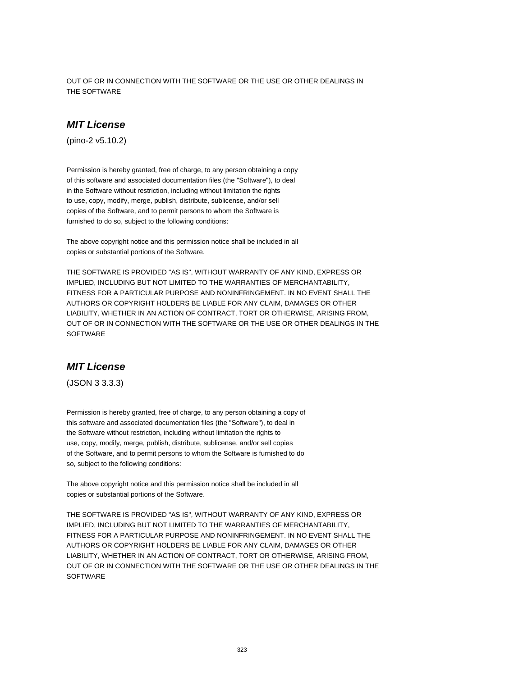OUT OF OR IN CONNECTION WITH THE SOFTWARE OR THE USE OR OTHER DEALINGS IN THE SOFTWARE

#### **MIT License**

(pino-2 v5.10.2)

Permission is hereby granted, free of charge, to any person obtaining a copy of this software and associated documentation files (the "Software"), to deal in the Software without restriction, including without limitation the rights to use, copy, modify, merge, publish, distribute, sublicense, and/or sell copies of the Software, and to permit persons to whom the Software is furnished to do so, subject to the following conditions:

The above copyright notice and this permission notice shall be included in all copies or substantial portions of the Software.

THE SOFTWARE IS PROVIDED "AS IS", WITHOUT WARRANTY OF ANY KIND, EXPRESS OR IMPLIED, INCLUDING BUT NOT LIMITED TO THE WARRANTIES OF MERCHANTABILITY, FITNESS FOR A PARTICULAR PURPOSE AND NONINFRINGEMENT. IN NO EVENT SHALL THE AUTHORS OR COPYRIGHT HOLDERS BE LIABLE FOR ANY CLAIM, DAMAGES OR OTHER LIABILITY, WHETHER IN AN ACTION OF CONTRACT, TORT OR OTHERWISE, ARISING FROM, OUT OF OR IN CONNECTION WITH THE SOFTWARE OR THE USE OR OTHER DEALINGS IN THE **SOFTWARE** 

# **MIT License**

(JSON 3 3.3.3)

Permission is hereby granted, free of charge, to any person obtaining a copy of this software and associated documentation files (the "Software"), to deal in the Software without restriction, including without limitation the rights to use, copy, modify, merge, publish, distribute, sublicense, and/or sell copies of the Software, and to permit persons to whom the Software is furnished to do so, subject to the following conditions:

The above copyright notice and this permission notice shall be included in all copies or substantial portions of the Software.

THE SOFTWARE IS PROVIDED "AS IS", WITHOUT WARRANTY OF ANY KIND, EXPRESS OR IMPLIED, INCLUDING BUT NOT LIMITED TO THE WARRANTIES OF MERCHANTABILITY, FITNESS FOR A PARTICULAR PURPOSE AND NONINFRINGEMENT. IN NO EVENT SHALL THE AUTHORS OR COPYRIGHT HOLDERS BE LIABLE FOR ANY CLAIM, DAMAGES OR OTHER LIABILITY, WHETHER IN AN ACTION OF CONTRACT, TORT OR OTHERWISE, ARISING FROM, OUT OF OR IN CONNECTION WITH THE SOFTWARE OR THE USE OR OTHER DEALINGS IN THE **SOFTWARE**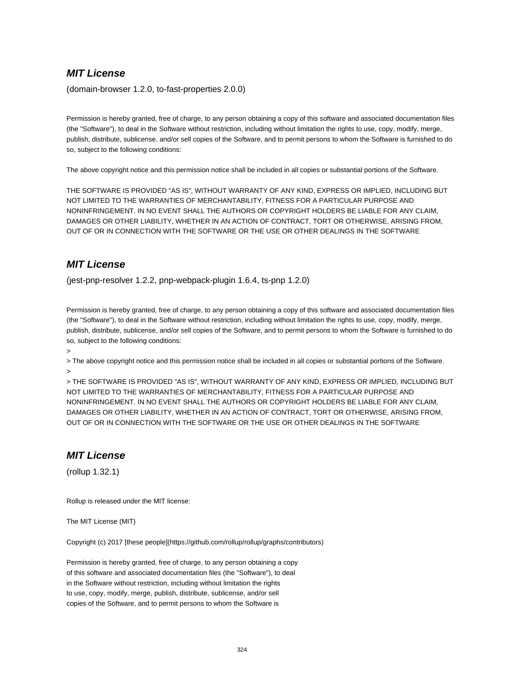(domain-browser 1.2.0, to-fast-properties 2.0.0)

Permission is hereby granted, free of charge, to any person obtaining a copy of this software and associated documentation files (the "Software"), to deal in the Software without restriction, including without limitation the rights to use, copy, modify, merge, publish, distribute, sublicense, and/or sell copies of the Software, and to permit persons to whom the Software is furnished to do so, subject to the following conditions:

The above copyright notice and this permission notice shall be included in all copies or substantial portions of the Software.

THE SOFTWARE IS PROVIDED "AS IS", WITHOUT WARRANTY OF ANY KIND, EXPRESS OR IMPLIED, INCLUDING BUT NOT LIMITED TO THE WARRANTIES OF MERCHANTABILITY, FITNESS FOR A PARTICULAR PURPOSE AND NONINFRINGEMENT. IN NO EVENT SHALL THE AUTHORS OR COPYRIGHT HOLDERS BE LIABLE FOR ANY CLAIM, DAMAGES OR OTHER LIABILITY, WHETHER IN AN ACTION OF CONTRACT, TORT OR OTHERWISE, ARISING FROM, OUT OF OR IN CONNECTION WITH THE SOFTWARE OR THE USE OR OTHER DEALINGS IN THE SOFTWARE

# **MIT License**

(jest-pnp-resolver 1.2.2, pnp-webpack-plugin 1.6.4, ts-pnp 1.2.0)

Permission is hereby granted, free of charge, to any person obtaining a copy of this software and associated documentation files (the "Software"), to deal in the Software without restriction, including without limitation the rights to use, copy, modify, merge, publish, distribute, sublicense, and/or sell copies of the Software, and to permit persons to whom the Software is furnished to do so, subject to the following conditions:

>

> The above copyright notice and this permission notice shall be included in all copies or substantial portions of the Software. >

> THE SOFTWARE IS PROVIDED "AS IS", WITHOUT WARRANTY OF ANY KIND, EXPRESS OR IMPLIED, INCLUDING BUT NOT LIMITED TO THE WARRANTIES OF MERCHANTABILITY, FITNESS FOR A PARTICULAR PURPOSE AND NONINFRINGEMENT. IN NO EVENT SHALL THE AUTHORS OR COPYRIGHT HOLDERS BE LIABLE FOR ANY CLAIM, DAMAGES OR OTHER LIABILITY, WHETHER IN AN ACTION OF CONTRACT, TORT OR OTHERWISE, ARISING FROM, OUT OF OR IN CONNECTION WITH THE SOFTWARE OR THE USE OR OTHER DEALINGS IN THE SOFTWARE

## **MIT License**

(rollup 1.32.1)

Rollup is released under the MIT license:

The MIT License (MIT)

Copyright (c) 2017 [these people](https://github.com/rollup/rollup/graphs/contributors)

Permission is hereby granted, free of charge, to any person obtaining a copy of this software and associated documentation files (the "Software"), to deal in the Software without restriction, including without limitation the rights to use, copy, modify, merge, publish, distribute, sublicense, and/or sell copies of the Software, and to permit persons to whom the Software is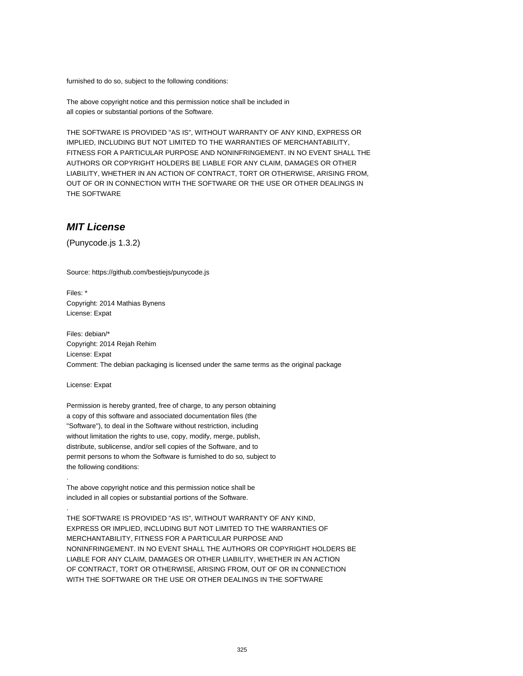furnished to do so, subject to the following conditions:

The above copyright notice and this permission notice shall be included in all copies or substantial portions of the Software.

THE SOFTWARE IS PROVIDED "AS IS", WITHOUT WARRANTY OF ANY KIND, EXPRESS OR IMPLIED, INCLUDING BUT NOT LIMITED TO THE WARRANTIES OF MERCHANTABILITY, FITNESS FOR A PARTICULAR PURPOSE AND NONINFRINGEMENT. IN NO EVENT SHALL THE AUTHORS OR COPYRIGHT HOLDERS BE LIABLE FOR ANY CLAIM, DAMAGES OR OTHER LIABILITY, WHETHER IN AN ACTION OF CONTRACT, TORT OR OTHERWISE, ARISING FROM, OUT OF OR IN CONNECTION WITH THE SOFTWARE OR THE USE OR OTHER DEALINGS IN THE SOFTWARE

### **MIT License**

(Punycode.js 1.3.2)

Source: https://github.com/bestiejs/punycode.js

Files: \* Copyright: 2014 Mathias Bynens License: Expat

Files: debian/\* Copyright: 2014 Rejah Rehim License: Expat Comment: The debian packaging is licensed under the same terms as the original package

License: Expat

.

.

Permission is hereby granted, free of charge, to any person obtaining a copy of this software and associated documentation files (the "Software"), to deal in the Software without restriction, including without limitation the rights to use, copy, modify, merge, publish, distribute, sublicense, and/or sell copies of the Software, and to permit persons to whom the Software is furnished to do so, subject to the following conditions:

The above copyright notice and this permission notice shall be included in all copies or substantial portions of the Software.

THE SOFTWARE IS PROVIDED "AS IS", WITHOUT WARRANTY OF ANY KIND, EXPRESS OR IMPLIED, INCLUDING BUT NOT LIMITED TO THE WARRANTIES OF MERCHANTABILITY, FITNESS FOR A PARTICULAR PURPOSE AND NONINFRINGEMENT. IN NO EVENT SHALL THE AUTHORS OR COPYRIGHT HOLDERS BE LIABLE FOR ANY CLAIM, DAMAGES OR OTHER LIABILITY, WHETHER IN AN ACTION OF CONTRACT, TORT OR OTHERWISE, ARISING FROM, OUT OF OR IN CONNECTION WITH THE SOFTWARE OR THE USE OR OTHER DEALINGS IN THE SOFTWARE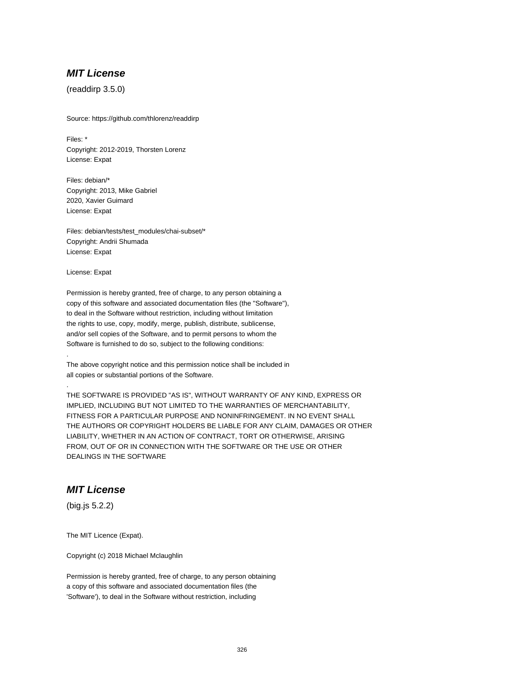(readdirp 3.5.0)

Source: https://github.com/thlorenz/readdirp

Files: \* Copyright: 2012-2019, Thorsten Lorenz License: Expat

Files: debian/\* Copyright: 2013, Mike Gabriel 2020, Xavier Guimard License: Expat

Files: debian/tests/test\_modules/chai-subset/\* Copyright: Andrii Shumada License: Expat

License: Expat

.

.

Permission is hereby granted, free of charge, to any person obtaining a copy of this software and associated documentation files (the "Software"), to deal in the Software without restriction, including without limitation the rights to use, copy, modify, merge, publish, distribute, sublicense, and/or sell copies of the Software, and to permit persons to whom the Software is furnished to do so, subject to the following conditions:

The above copyright notice and this permission notice shall be included in all copies or substantial portions of the Software.

THE SOFTWARE IS PROVIDED "AS IS", WITHOUT WARRANTY OF ANY KIND, EXPRESS OR IMPLIED, INCLUDING BUT NOT LIMITED TO THE WARRANTIES OF MERCHANTABILITY, FITNESS FOR A PARTICULAR PURPOSE AND NONINFRINGEMENT. IN NO EVENT SHALL THE AUTHORS OR COPYRIGHT HOLDERS BE LIABLE FOR ANY CLAIM, DAMAGES OR OTHER LIABILITY, WHETHER IN AN ACTION OF CONTRACT, TORT OR OTHERWISE, ARISING FROM, OUT OF OR IN CONNECTION WITH THE SOFTWARE OR THE USE OR OTHER DEALINGS IN THE SOFTWARE

# **MIT License**

(big.js 5.2.2)

The MIT Licence (Expat).

Copyright (c) 2018 Michael Mclaughlin

Permission is hereby granted, free of charge, to any person obtaining a copy of this software and associated documentation files (the 'Software'), to deal in the Software without restriction, including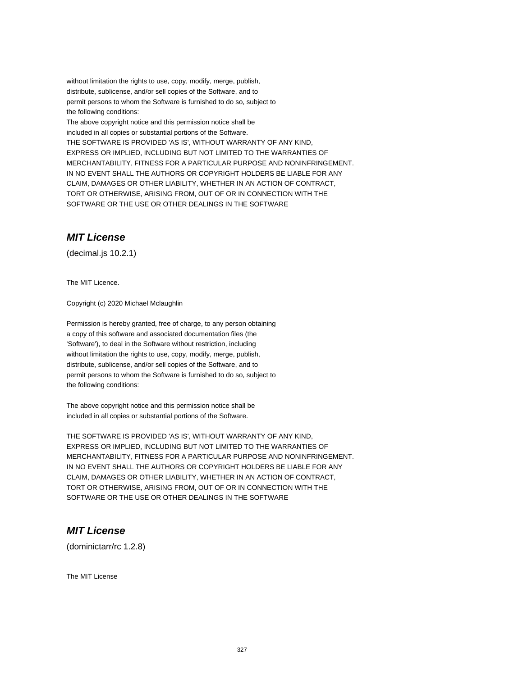without limitation the rights to use, copy, modify, merge, publish, distribute, sublicense, and/or sell copies of the Software, and to permit persons to whom the Software is furnished to do so, subject to the following conditions:

The above copyright notice and this permission notice shall be included in all copies or substantial portions of the Software. THE SOFTWARE IS PROVIDED 'AS IS', WITHOUT WARRANTY OF ANY KIND, EXPRESS OR IMPLIED, INCLUDING BUT NOT LIMITED TO THE WARRANTIES OF MERCHANTABILITY, FITNESS FOR A PARTICULAR PURPOSE AND NONINFRINGEMENT. IN NO EVENT SHALL THE AUTHORS OR COPYRIGHT HOLDERS BE LIABLE FOR ANY CLAIM, DAMAGES OR OTHER LIABILITY, WHETHER IN AN ACTION OF CONTRACT, TORT OR OTHERWISE, ARISING FROM, OUT OF OR IN CONNECTION WITH THE SOFTWARE OR THE USE OR OTHER DEALINGS IN THE SOFTWARE

# **MIT License**

(decimal.js 10.2.1)

The MIT Licence.

Copyright (c) 2020 Michael Mclaughlin

Permission is hereby granted, free of charge, to any person obtaining a copy of this software and associated documentation files (the 'Software'), to deal in the Software without restriction, including without limitation the rights to use, copy, modify, merge, publish, distribute, sublicense, and/or sell copies of the Software, and to permit persons to whom the Software is furnished to do so, subject to the following conditions:

The above copyright notice and this permission notice shall be included in all copies or substantial portions of the Software.

THE SOFTWARE IS PROVIDED 'AS IS', WITHOUT WARRANTY OF ANY KIND, EXPRESS OR IMPLIED, INCLUDING BUT NOT LIMITED TO THE WARRANTIES OF MERCHANTABILITY, FITNESS FOR A PARTICULAR PURPOSE AND NONINFRINGEMENT. IN NO EVENT SHALL THE AUTHORS OR COPYRIGHT HOLDERS BE LIABLE FOR ANY CLAIM, DAMAGES OR OTHER LIABILITY, WHETHER IN AN ACTION OF CONTRACT, TORT OR OTHERWISE, ARISING FROM, OUT OF OR IN CONNECTION WITH THE SOFTWARE OR THE USE OR OTHER DEALINGS IN THE SOFTWARE

### **MIT License**

(dominictarr/rc 1.2.8)

The MIT License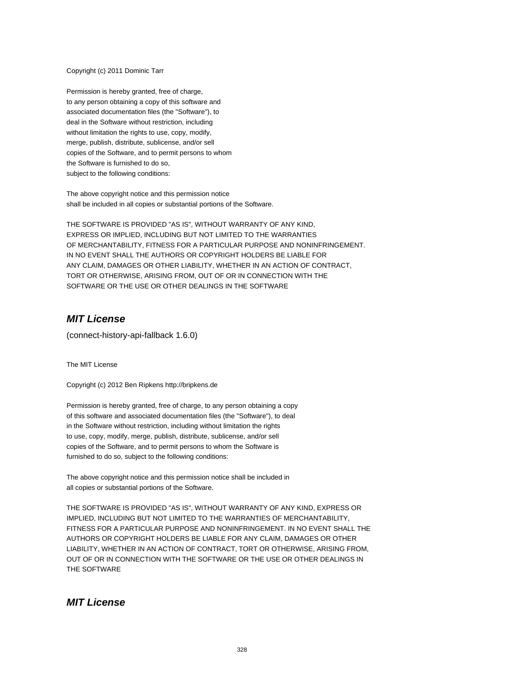Copyright (c) 2011 Dominic Tarr

Permission is hereby granted, free of charge, to any person obtaining a copy of this software and associated documentation files (the "Software"), to deal in the Software without restriction, including without limitation the rights to use, copy, modify, merge, publish, distribute, sublicense, and/or sell copies of the Software, and to permit persons to whom the Software is furnished to do so, subject to the following conditions:

The above copyright notice and this permission notice shall be included in all copies or substantial portions of the Software.

THE SOFTWARE IS PROVIDED "AS IS", WITHOUT WARRANTY OF ANY KIND, EXPRESS OR IMPLIED, INCLUDING BUT NOT LIMITED TO THE WARRANTIES OF MERCHANTABILITY, FITNESS FOR A PARTICULAR PURPOSE AND NONINFRINGEMENT. IN NO EVENT SHALL THE AUTHORS OR COPYRIGHT HOLDERS BE LIABLE FOR ANY CLAIM, DAMAGES OR OTHER LIABILITY, WHETHER IN AN ACTION OF CONTRACT, TORT OR OTHERWISE, ARISING FROM, OUT OF OR IN CONNECTION WITH THE SOFTWARE OR THE USE OR OTHER DEALINGS IN THE SOFTWARE

# **MIT License**

(connect-history-api-fallback 1.6.0)

The MIT License

Copyright (c) 2012 Ben Ripkens http://bripkens.de

Permission is hereby granted, free of charge, to any person obtaining a copy of this software and associated documentation files (the "Software"), to deal in the Software without restriction, including without limitation the rights to use, copy, modify, merge, publish, distribute, sublicense, and/or sell copies of the Software, and to permit persons to whom the Software is furnished to do so, subject to the following conditions:

The above copyright notice and this permission notice shall be included in all copies or substantial portions of the Software.

THE SOFTWARE IS PROVIDED "AS IS", WITHOUT WARRANTY OF ANY KIND, EXPRESS OR IMPLIED, INCLUDING BUT NOT LIMITED TO THE WARRANTIES OF MERCHANTABILITY, FITNESS FOR A PARTICULAR PURPOSE AND NONINFRINGEMENT. IN NO EVENT SHALL THE AUTHORS OR COPYRIGHT HOLDERS BE LIABLE FOR ANY CLAIM, DAMAGES OR OTHER LIABILITY, WHETHER IN AN ACTION OF CONTRACT, TORT OR OTHERWISE, ARISING FROM, OUT OF OR IN CONNECTION WITH THE SOFTWARE OR THE USE OR OTHER DEALINGS IN THE SOFTWARE

### **MIT License**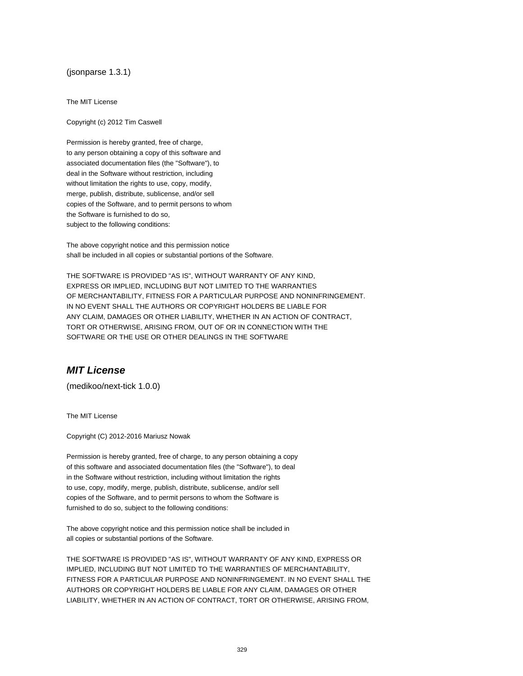#### (jsonparse 1.3.1)

The MIT License

Copyright (c) 2012 Tim Caswell

Permission is hereby granted, free of charge, to any person obtaining a copy of this software and associated documentation files (the "Software"), to deal in the Software without restriction, including without limitation the rights to use, copy, modify, merge, publish, distribute, sublicense, and/or sell copies of the Software, and to permit persons to whom the Software is furnished to do so, subject to the following conditions:

The above copyright notice and this permission notice shall be included in all copies or substantial portions of the Software.

THE SOFTWARE IS PROVIDED "AS IS", WITHOUT WARRANTY OF ANY KIND, EXPRESS OR IMPLIED, INCLUDING BUT NOT LIMITED TO THE WARRANTIES OF MERCHANTABILITY, FITNESS FOR A PARTICULAR PURPOSE AND NONINFRINGEMENT. IN NO EVENT SHALL THE AUTHORS OR COPYRIGHT HOLDERS BE LIABLE FOR ANY CLAIM, DAMAGES OR OTHER LIABILITY, WHETHER IN AN ACTION OF CONTRACT, TORT OR OTHERWISE, ARISING FROM, OUT OF OR IN CONNECTION WITH THE SOFTWARE OR THE USE OR OTHER DEALINGS IN THE SOFTWARE

# **MIT License**

(medikoo/next-tick 1.0.0)

The MIT License

Copyright (C) 2012-2016 Mariusz Nowak

Permission is hereby granted, free of charge, to any person obtaining a copy of this software and associated documentation files (the "Software"), to deal in the Software without restriction, including without limitation the rights to use, copy, modify, merge, publish, distribute, sublicense, and/or sell copies of the Software, and to permit persons to whom the Software is furnished to do so, subject to the following conditions:

The above copyright notice and this permission notice shall be included in all copies or substantial portions of the Software.

THE SOFTWARE IS PROVIDED "AS IS", WITHOUT WARRANTY OF ANY KIND, EXPRESS OR IMPLIED, INCLUDING BUT NOT LIMITED TO THE WARRANTIES OF MERCHANTABILITY, FITNESS FOR A PARTICULAR PURPOSE AND NONINFRINGEMENT. IN NO EVENT SHALL THE AUTHORS OR COPYRIGHT HOLDERS BE LIABLE FOR ANY CLAIM, DAMAGES OR OTHER LIABILITY, WHETHER IN AN ACTION OF CONTRACT, TORT OR OTHERWISE, ARISING FROM,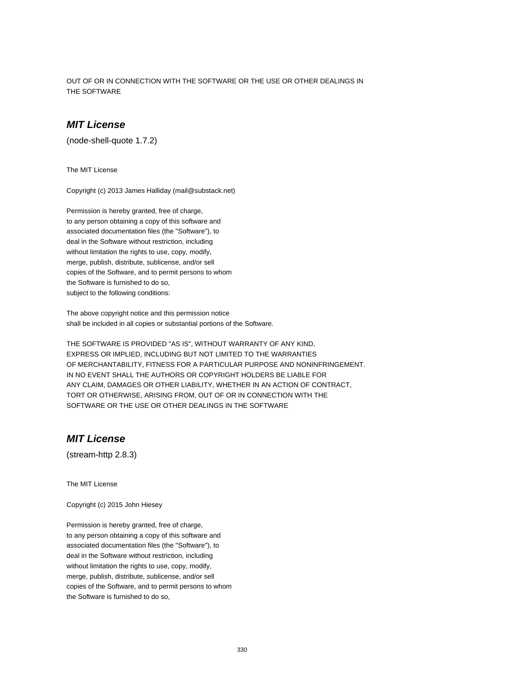OUT OF OR IN CONNECTION WITH THE SOFTWARE OR THE USE OR OTHER DEALINGS IN THE SOFTWARE

### **MIT License**

(node-shell-quote 1.7.2)

The MIT License

Copyright (c) 2013 James Halliday (mail@substack.net)

Permission is hereby granted, free of charge, to any person obtaining a copy of this software and associated documentation files (the "Software"), to deal in the Software without restriction, including without limitation the rights to use, copy, modify, merge, publish, distribute, sublicense, and/or sell copies of the Software, and to permit persons to whom the Software is furnished to do so, subject to the following conditions:

The above copyright notice and this permission notice shall be included in all copies or substantial portions of the Software.

THE SOFTWARE IS PROVIDED "AS IS", WITHOUT WARRANTY OF ANY KIND, EXPRESS OR IMPLIED, INCLUDING BUT NOT LIMITED TO THE WARRANTIES OF MERCHANTABILITY, FITNESS FOR A PARTICULAR PURPOSE AND NONINFRINGEMENT. IN NO EVENT SHALL THE AUTHORS OR COPYRIGHT HOLDERS BE LIABLE FOR ANY CLAIM, DAMAGES OR OTHER LIABILITY, WHETHER IN AN ACTION OF CONTRACT, TORT OR OTHERWISE, ARISING FROM, OUT OF OR IN CONNECTION WITH THE SOFTWARE OR THE USE OR OTHER DEALINGS IN THE SOFTWARE

# **MIT License**

(stream-http 2.8.3)

The MIT License

Copyright (c) 2015 John Hiesey

Permission is hereby granted, free of charge, to any person obtaining a copy of this software and associated documentation files (the "Software"), to deal in the Software without restriction, including without limitation the rights to use, copy, modify, merge, publish, distribute, sublicense, and/or sell copies of the Software, and to permit persons to whom the Software is furnished to do so,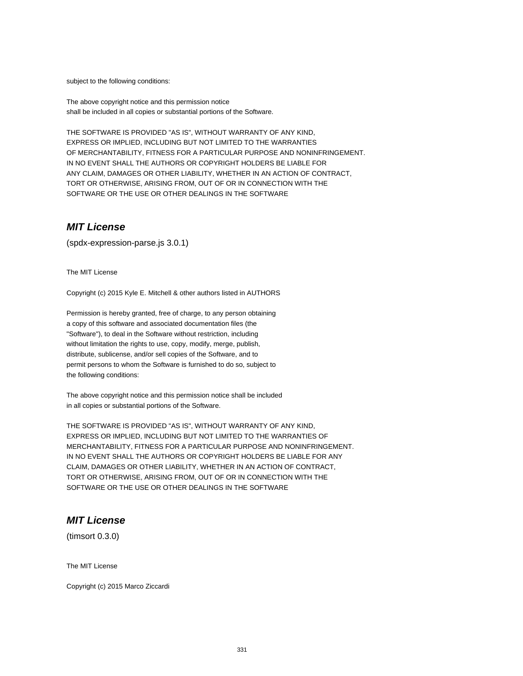subject to the following conditions:

The above copyright notice and this permission notice shall be included in all copies or substantial portions of the Software.

THE SOFTWARE IS PROVIDED "AS IS", WITHOUT WARRANTY OF ANY KIND, EXPRESS OR IMPLIED, INCLUDING BUT NOT LIMITED TO THE WARRANTIES OF MERCHANTABILITY, FITNESS FOR A PARTICULAR PURPOSE AND NONINFRINGEMENT. IN NO EVENT SHALL THE AUTHORS OR COPYRIGHT HOLDERS BE LIABLE FOR ANY CLAIM, DAMAGES OR OTHER LIABILITY, WHETHER IN AN ACTION OF CONTRACT, TORT OR OTHERWISE, ARISING FROM, OUT OF OR IN CONNECTION WITH THE SOFTWARE OR THE USE OR OTHER DEALINGS IN THE SOFTWARE

#### **MIT License**

(spdx-expression-parse.js 3.0.1)

The MIT License

Copyright (c) 2015 Kyle E. Mitchell & other authors listed in AUTHORS

Permission is hereby granted, free of charge, to any person obtaining a copy of this software and associated documentation files (the "Software"), to deal in the Software without restriction, including without limitation the rights to use, copy, modify, merge, publish, distribute, sublicense, and/or sell copies of the Software, and to permit persons to whom the Software is furnished to do so, subject to the following conditions:

The above copyright notice and this permission notice shall be included in all copies or substantial portions of the Software.

THE SOFTWARE IS PROVIDED "AS IS", WITHOUT WARRANTY OF ANY KIND, EXPRESS OR IMPLIED, INCLUDING BUT NOT LIMITED TO THE WARRANTIES OF MERCHANTABILITY, FITNESS FOR A PARTICULAR PURPOSE AND NONINFRINGEMENT. IN NO EVENT SHALL THE AUTHORS OR COPYRIGHT HOLDERS BE LIABLE FOR ANY CLAIM, DAMAGES OR OTHER LIABILITY, WHETHER IN AN ACTION OF CONTRACT, TORT OR OTHERWISE, ARISING FROM, OUT OF OR IN CONNECTION WITH THE SOFTWARE OR THE USE OR OTHER DEALINGS IN THE SOFTWARE

### **MIT License**

(timsort 0.3.0)

The MIT License

Copyright (c) 2015 Marco Ziccardi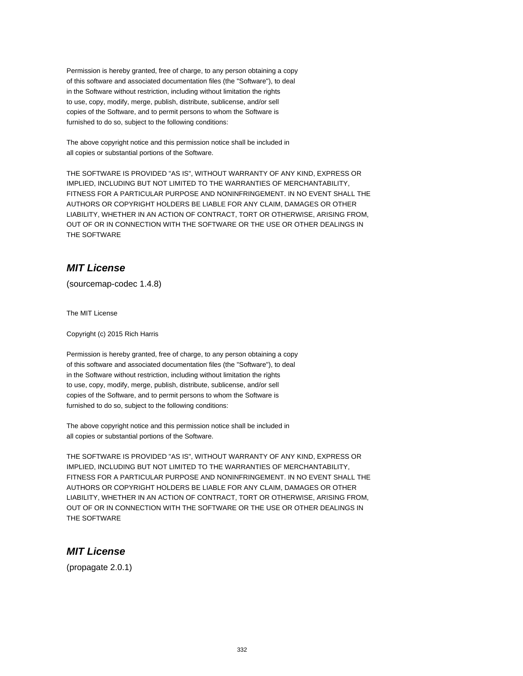Permission is hereby granted, free of charge, to any person obtaining a copy of this software and associated documentation files (the "Software"), to deal in the Software without restriction, including without limitation the rights to use, copy, modify, merge, publish, distribute, sublicense, and/or sell copies of the Software, and to permit persons to whom the Software is furnished to do so, subject to the following conditions:

The above copyright notice and this permission notice shall be included in all copies or substantial portions of the Software.

THE SOFTWARE IS PROVIDED "AS IS", WITHOUT WARRANTY OF ANY KIND, EXPRESS OR IMPLIED, INCLUDING BUT NOT LIMITED TO THE WARRANTIES OF MERCHANTABILITY, FITNESS FOR A PARTICULAR PURPOSE AND NONINFRINGEMENT. IN NO EVENT SHALL THE AUTHORS OR COPYRIGHT HOLDERS BE LIABLE FOR ANY CLAIM, DAMAGES OR OTHER LIABILITY, WHETHER IN AN ACTION OF CONTRACT, TORT OR OTHERWISE, ARISING FROM, OUT OF OR IN CONNECTION WITH THE SOFTWARE OR THE USE OR OTHER DEALINGS IN THE SOFTWARE

# **MIT License**

(sourcemap-codec 1.4.8)

The MIT License

Copyright (c) 2015 Rich Harris

Permission is hereby granted, free of charge, to any person obtaining a copy of this software and associated documentation files (the "Software"), to deal in the Software without restriction, including without limitation the rights to use, copy, modify, merge, publish, distribute, sublicense, and/or sell copies of the Software, and to permit persons to whom the Software is furnished to do so, subject to the following conditions:

The above copyright notice and this permission notice shall be included in all copies or substantial portions of the Software.

THE SOFTWARE IS PROVIDED "AS IS", WITHOUT WARRANTY OF ANY KIND, EXPRESS OR IMPLIED, INCLUDING BUT NOT LIMITED TO THE WARRANTIES OF MERCHANTABILITY, FITNESS FOR A PARTICULAR PURPOSE AND NONINFRINGEMENT. IN NO EVENT SHALL THE AUTHORS OR COPYRIGHT HOLDERS BE LIABLE FOR ANY CLAIM, DAMAGES OR OTHER LIABILITY, WHETHER IN AN ACTION OF CONTRACT, TORT OR OTHERWISE, ARISING FROM, OUT OF OR IN CONNECTION WITH THE SOFTWARE OR THE USE OR OTHER DEALINGS IN THE SOFTWARE

# **MIT License**

(propagate 2.0.1)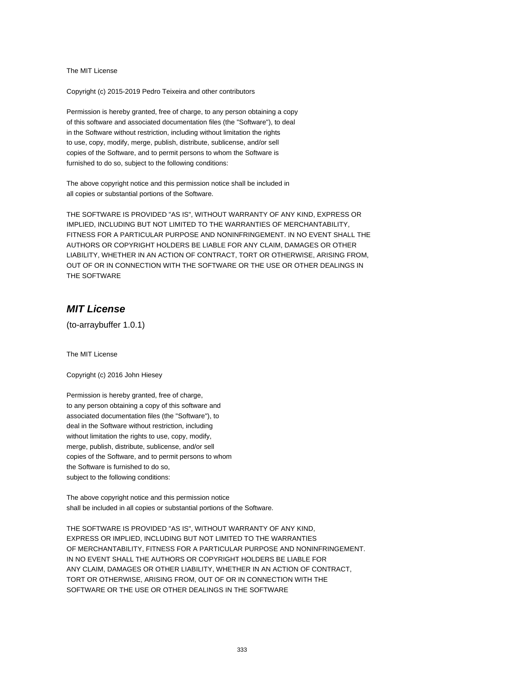The MIT License

Copyright (c) 2015-2019 Pedro Teixeira and other contributors

Permission is hereby granted, free of charge, to any person obtaining a copy of this software and associated documentation files (the "Software"), to deal in the Software without restriction, including without limitation the rights to use, copy, modify, merge, publish, distribute, sublicense, and/or sell copies of the Software, and to permit persons to whom the Software is furnished to do so, subject to the following conditions:

The above copyright notice and this permission notice shall be included in all copies or substantial portions of the Software.

THE SOFTWARE IS PROVIDED "AS IS", WITHOUT WARRANTY OF ANY KIND, EXPRESS OR IMPLIED, INCLUDING BUT NOT LIMITED TO THE WARRANTIES OF MERCHANTABILITY, FITNESS FOR A PARTICULAR PURPOSE AND NONINFRINGEMENT. IN NO EVENT SHALL THE AUTHORS OR COPYRIGHT HOLDERS BE LIABLE FOR ANY CLAIM, DAMAGES OR OTHER LIABILITY, WHETHER IN AN ACTION OF CONTRACT, TORT OR OTHERWISE, ARISING FROM, OUT OF OR IN CONNECTION WITH THE SOFTWARE OR THE USE OR OTHER DEALINGS IN THE SOFTWARE

### **MIT License**

(to-arraybuffer 1.0.1)

The MIT License

Copyright (c) 2016 John Hiesey

Permission is hereby granted, free of charge, to any person obtaining a copy of this software and associated documentation files (the "Software"), to deal in the Software without restriction, including without limitation the rights to use, copy, modify, merge, publish, distribute, sublicense, and/or sell copies of the Software, and to permit persons to whom the Software is furnished to do so, subject to the following conditions:

The above copyright notice and this permission notice shall be included in all copies or substantial portions of the Software.

THE SOFTWARE IS PROVIDED "AS IS", WITHOUT WARRANTY OF ANY KIND, EXPRESS OR IMPLIED, INCLUDING BUT NOT LIMITED TO THE WARRANTIES OF MERCHANTABILITY, FITNESS FOR A PARTICULAR PURPOSE AND NONINFRINGEMENT. IN NO EVENT SHALL THE AUTHORS OR COPYRIGHT HOLDERS BE LIABLE FOR ANY CLAIM, DAMAGES OR OTHER LIABILITY, WHETHER IN AN ACTION OF CONTRACT, TORT OR OTHERWISE, ARISING FROM, OUT OF OR IN CONNECTION WITH THE SOFTWARE OR THE USE OR OTHER DEALINGS IN THE SOFTWARE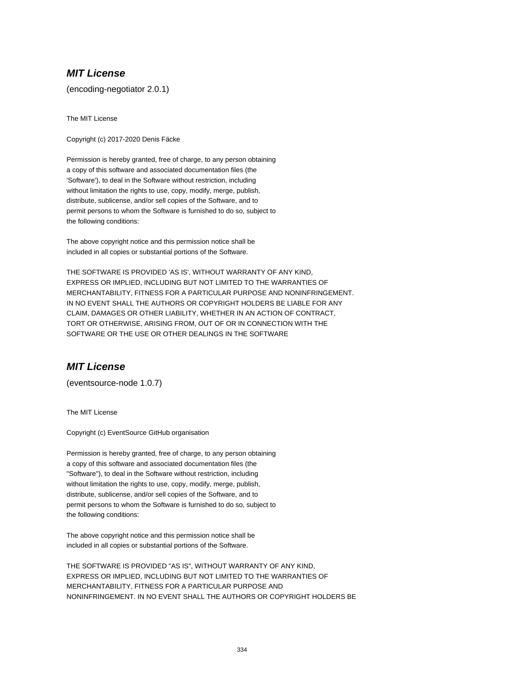(encoding-negotiator 2.0.1)

The MIT License

Copyright (c) 2017-2020 Denis Fäcke

Permission is hereby granted, free of charge, to any person obtaining a copy of this software and associated documentation files (the 'Software'), to deal in the Software without restriction, including without limitation the rights to use, copy, modify, merge, publish, distribute, sublicense, and/or sell copies of the Software, and to permit persons to whom the Software is furnished to do so, subject to the following conditions:

The above copyright notice and this permission notice shall be included in all copies or substantial portions of the Software.

THE SOFTWARE IS PROVIDED 'AS IS', WITHOUT WARRANTY OF ANY KIND, EXPRESS OR IMPLIED, INCLUDING BUT NOT LIMITED TO THE WARRANTIES OF MERCHANTABILITY, FITNESS FOR A PARTICULAR PURPOSE AND NONINFRINGEMENT. IN NO EVENT SHALL THE AUTHORS OR COPYRIGHT HOLDERS BE LIABLE FOR ANY CLAIM, DAMAGES OR OTHER LIABILITY, WHETHER IN AN ACTION OF CONTRACT, TORT OR OTHERWISE, ARISING FROM, OUT OF OR IN CONNECTION WITH THE SOFTWARE OR THE USE OR OTHER DEALINGS IN THE SOFTWARE

### **MIT License**

(eventsource-node 1.0.7)

The MIT License

Copyright (c) EventSource GitHub organisation

Permission is hereby granted, free of charge, to any person obtaining a copy of this software and associated documentation files (the "Software"), to deal in the Software without restriction, including without limitation the rights to use, copy, modify, merge, publish, distribute, sublicense, and/or sell copies of the Software, and to permit persons to whom the Software is furnished to do so, subject to the following conditions:

The above copyright notice and this permission notice shall be included in all copies or substantial portions of the Software.

THE SOFTWARE IS PROVIDED "AS IS", WITHOUT WARRANTY OF ANY KIND, EXPRESS OR IMPLIED, INCLUDING BUT NOT LIMITED TO THE WARRANTIES OF MERCHANTABILITY, FITNESS FOR A PARTICULAR PURPOSE AND NONINFRINGEMENT. IN NO EVENT SHALL THE AUTHORS OR COPYRIGHT HOLDERS BE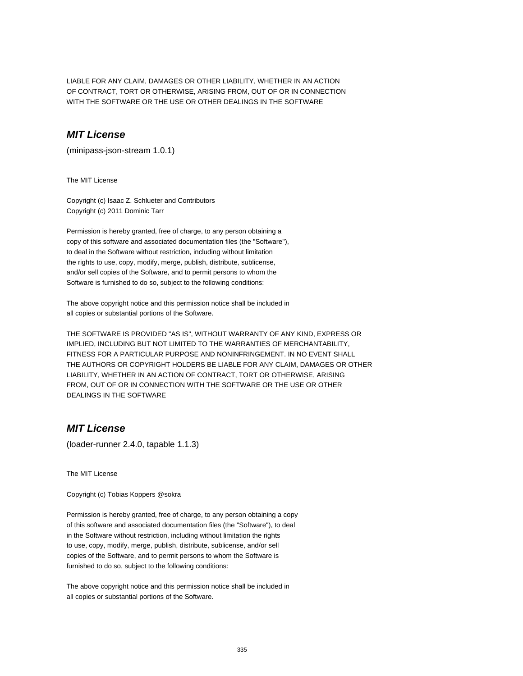LIABLE FOR ANY CLAIM, DAMAGES OR OTHER LIABILITY, WHETHER IN AN ACTION OF CONTRACT, TORT OR OTHERWISE, ARISING FROM, OUT OF OR IN CONNECTION WITH THE SOFTWARE OR THE USE OR OTHER DEALINGS IN THE SOFTWARE

### **MIT License**

(minipass-json-stream 1.0.1)

The MIT License

Copyright (c) Isaac Z. Schlueter and Contributors Copyright (c) 2011 Dominic Tarr

Permission is hereby granted, free of charge, to any person obtaining a copy of this software and associated documentation files (the "Software"), to deal in the Software without restriction, including without limitation the rights to use, copy, modify, merge, publish, distribute, sublicense, and/or sell copies of the Software, and to permit persons to whom the Software is furnished to do so, subject to the following conditions:

The above copyright notice and this permission notice shall be included in all copies or substantial portions of the Software.

THE SOFTWARE IS PROVIDED "AS IS", WITHOUT WARRANTY OF ANY KIND, EXPRESS OR IMPLIED, INCLUDING BUT NOT LIMITED TO THE WARRANTIES OF MERCHANTABILITY, FITNESS FOR A PARTICULAR PURPOSE AND NONINFRINGEMENT. IN NO EVENT SHALL THE AUTHORS OR COPYRIGHT HOLDERS BE LIABLE FOR ANY CLAIM, DAMAGES OR OTHER LIABILITY, WHETHER IN AN ACTION OF CONTRACT, TORT OR OTHERWISE, ARISING FROM, OUT OF OR IN CONNECTION WITH THE SOFTWARE OR THE USE OR OTHER DEALINGS IN THE SOFTWARE

### **MIT License**

(loader-runner 2.4.0, tapable 1.1.3)

The MIT License

Copyright (c) Tobias Koppers @sokra

Permission is hereby granted, free of charge, to any person obtaining a copy of this software and associated documentation files (the "Software"), to deal in the Software without restriction, including without limitation the rights to use, copy, modify, merge, publish, distribute, sublicense, and/or sell copies of the Software, and to permit persons to whom the Software is furnished to do so, subject to the following conditions:

The above copyright notice and this permission notice shall be included in all copies or substantial portions of the Software.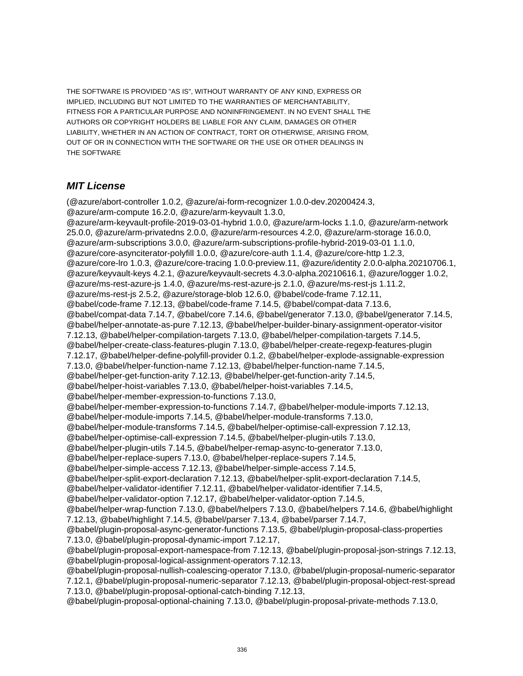THE SOFTWARE IS PROVIDED "AS IS", WITHOUT WARRANTY OF ANY KIND, EXPRESS OR IMPLIED, INCLUDING BUT NOT LIMITED TO THE WARRANTIES OF MERCHANTABILITY, FITNESS FOR A PARTICULAR PURPOSE AND NONINFRINGEMENT. IN NO EVENT SHALL THE AUTHORS OR COPYRIGHT HOLDERS BE LIABLE FOR ANY CLAIM, DAMAGES OR OTHER LIABILITY, WHETHER IN AN ACTION OF CONTRACT, TORT OR OTHERWISE, ARISING FROM, OUT OF OR IN CONNECTION WITH THE SOFTWARE OR THE USE OR OTHER DEALINGS IN THE SOFTWARE

# **MIT License**

(@azure/abort-controller 1.0.2, @azure/ai-form-recognizer 1.0.0-dev.20200424.3, @azure/arm-compute 16.2.0, @azure/arm-keyvault 1.3.0, @azure/arm-keyvault-profile-2019-03-01-hybrid 1.0.0, @azure/arm-locks 1.1.0, @azure/arm-network 25.0.0, @azure/arm-privatedns 2.0.0, @azure/arm-resources 4.2.0, @azure/arm-storage 16.0.0, @azure/arm-subscriptions 3.0.0, @azure/arm-subscriptions-profile-hybrid-2019-03-01 1.1.0, @azure/core-asynciterator-polyfill 1.0.0, @azure/core-auth 1.1.4, @azure/core-http 1.2.3, @azure/core-lro 1.0.3, @azure/core-tracing 1.0.0-preview.11, @azure/identity 2.0.0-alpha.20210706.1, @azure/keyvault-keys 4.2.1, @azure/keyvault-secrets 4.3.0-alpha.20210616.1, @azure/logger 1.0.2, @azure/ms-rest-azure-js 1.4.0, @azure/ms-rest-azure-js 2.1.0, @azure/ms-rest-js 1.11.2, @azure/ms-rest-js 2.5.2, @azure/storage-blob 12.6.0, @babel/code-frame 7.12.11, @babel/code-frame 7.12.13, @babel/code-frame 7.14.5, @babel/compat-data 7.13.6, @babel/compat-data 7.14.7, @babel/core 7.14.6, @babel/generator 7.13.0, @babel/generator 7.14.5, @babel/helper-annotate-as-pure 7.12.13, @babel/helper-builder-binary-assignment-operator-visitor 7.12.13, @babel/helper-compilation-targets 7.13.0, @babel/helper-compilation-targets 7.14.5, @babel/helper-create-class-features-plugin 7.13.0, @babel/helper-create-regexp-features-plugin 7.12.17, @babel/helper-define-polyfill-provider 0.1.2, @babel/helper-explode-assignable-expression 7.13.0, @babel/helper-function-name 7.12.13, @babel/helper-function-name 7.14.5, @babel/helper-get-function-arity 7.12.13, @babel/helper-get-function-arity 7.14.5, @babel/helper-hoist-variables 7.13.0, @babel/helper-hoist-variables 7.14.5, @babel/helper-member-expression-to-functions 7.13.0, @babel/helper-member-expression-to-functions 7.14.7, @babel/helper-module-imports 7.12.13, @babel/helper-module-imports 7.14.5, @babel/helper-module-transforms 7.13.0, @babel/helper-module-transforms 7.14.5, @babel/helper-optimise-call-expression 7.12.13, @babel/helper-optimise-call-expression 7.14.5, @babel/helper-plugin-utils 7.13.0, @babel/helper-plugin-utils 7.14.5, @babel/helper-remap-async-to-generator 7.13.0, @babel/helper-replace-supers 7.13.0, @babel/helper-replace-supers 7.14.5, @babel/helper-simple-access 7.12.13, @babel/helper-simple-access 7.14.5, @babel/helper-split-export-declaration 7.12.13, @babel/helper-split-export-declaration 7.14.5, @babel/helper-validator-identifier 7.12.11, @babel/helper-validator-identifier 7.14.5, @babel/helper-validator-option 7.12.17, @babel/helper-validator-option 7.14.5, @babel/helper-wrap-function 7.13.0, @babel/helpers 7.13.0, @babel/helpers 7.14.6, @babel/highlight 7.12.13, @babel/highlight 7.14.5, @babel/parser 7.13.4, @babel/parser 7.14.7, @babel/plugin-proposal-async-generator-functions 7.13.5, @babel/plugin-proposal-class-properties 7.13.0, @babel/plugin-proposal-dynamic-import 7.12.17, @babel/plugin-proposal-export-namespace-from 7.12.13, @babel/plugin-proposal-json-strings 7.12.13, @babel/plugin-proposal-logical-assignment-operators 7.12.13, @babel/plugin-proposal-nullish-coalescing-operator 7.13.0, @babel/plugin-proposal-numeric-separator 7.12.1, @babel/plugin-proposal-numeric-separator 7.12.13, @babel/plugin-proposal-object-rest-spread 7.13.0, @babel/plugin-proposal-optional-catch-binding 7.12.13, @babel/plugin-proposal-optional-chaining 7.13.0, @babel/plugin-proposal-private-methods 7.13.0,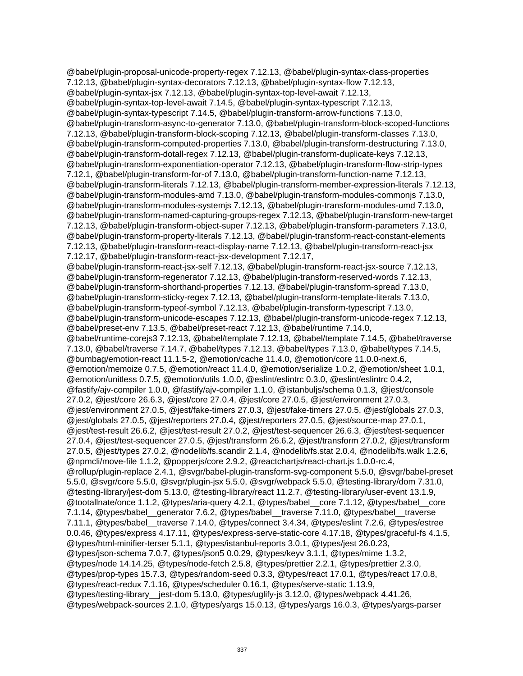@babel/plugin-proposal-unicode-property-regex 7.12.13, @babel/plugin-syntax-class-properties 7.12.13, @babel/plugin-syntax-decorators 7.12.13, @babel/plugin-syntax-flow 7.12.13, @babel/plugin-syntax-jsx 7.12.13, @babel/plugin-syntax-top-level-await 7.12.13, @babel/plugin-syntax-top-level-await 7.14.5, @babel/plugin-syntax-typescript 7.12.13, @babel/plugin-syntax-typescript 7.14.5, @babel/plugin-transform-arrow-functions 7.13.0, @babel/plugin-transform-async-to-generator 7.13.0, @babel/plugin-transform-block-scoped-functions 7.12.13, @babel/plugin-transform-block-scoping 7.12.13, @babel/plugin-transform-classes 7.13.0, @babel/plugin-transform-computed-properties 7.13.0, @babel/plugin-transform-destructuring 7.13.0, @babel/plugin-transform-dotall-regex 7.12.13, @babel/plugin-transform-duplicate-keys 7.12.13, @babel/plugin-transform-exponentiation-operator 7.12.13, @babel/plugin-transform-flow-strip-types 7.12.1, @babel/plugin-transform-for-of 7.13.0, @babel/plugin-transform-function-name 7.12.13, @babel/plugin-transform-literals 7.12.13, @babel/plugin-transform-member-expression-literals 7.12.13, @babel/plugin-transform-modules-amd 7.13.0, @babel/plugin-transform-modules-commonjs 7.13.0, @babel/plugin-transform-modules-systemjs 7.12.13, @babel/plugin-transform-modules-umd 7.13.0, @babel/plugin-transform-named-capturing-groups-regex 7.12.13, @babel/plugin-transform-new-target 7.12.13, @babel/plugin-transform-object-super 7.12.13, @babel/plugin-transform-parameters 7.13.0, @babel/plugin-transform-property-literals 7.12.13, @babel/plugin-transform-react-constant-elements 7.12.13, @babel/plugin-transform-react-display-name 7.12.13, @babel/plugin-transform-react-jsx 7.12.17, @babel/plugin-transform-react-jsx-development 7.12.17, @babel/plugin-transform-react-jsx-self 7.12.13, @babel/plugin-transform-react-jsx-source 7.12.13, @babel/plugin-transform-regenerator 7.12.13, @babel/plugin-transform-reserved-words 7.12.13, @babel/plugin-transform-shorthand-properties 7.12.13, @babel/plugin-transform-spread 7.13.0, @babel/plugin-transform-sticky-regex 7.12.13, @babel/plugin-transform-template-literals 7.13.0, @babel/plugin-transform-typeof-symbol 7.12.13, @babel/plugin-transform-typescript 7.13.0, @babel/plugin-transform-unicode-escapes 7.12.13, @babel/plugin-transform-unicode-regex 7.12.13, @babel/preset-env 7.13.5, @babel/preset-react 7.12.13, @babel/runtime 7.14.0, @babel/runtime-corejs3 7.12.13, @babel/template 7.12.13, @babel/template 7.14.5, @babel/traverse 7.13.0, @babel/traverse 7.14.7, @babel/types 7.12.13, @babel/types 7.13.0, @babel/types 7.14.5, @bumbag/emotion-react 11.1.5-2, @emotion/cache 11.4.0, @emotion/core 11.0.0-next.6, @emotion/memoize 0.7.5, @emotion/react 11.4.0, @emotion/serialize 1.0.2, @emotion/sheet 1.0.1, @emotion/unitless 0.7.5, @emotion/utils 1.0.0, @eslint/eslintrc 0.3.0, @eslint/eslintrc 0.4.2, @fastify/ajv-compiler 1.0.0, @fastify/ajv-compiler 1.1.0, @istanbuljs/schema 0.1.3, @jest/console 27.0.2, @jest/core 26.6.3, @jest/core 27.0.4, @jest/core 27.0.5, @jest/environment 27.0.3, @jest/environment 27.0.5, @jest/fake-timers 27.0.3, @jest/fake-timers 27.0.5, @jest/globals 27.0.3, @jest/globals 27.0.5, @jest/reporters 27.0.4, @jest/reporters 27.0.5, @jest/source-map 27.0.1, @jest/test-result 26.6.2, @jest/test-result 27.0.2, @jest/test-sequencer 26.6.3, @jest/test-sequencer 27.0.4, @jest/test-sequencer 27.0.5, @jest/transform 26.6.2, @jest/transform 27.0.2, @jest/transform 27.0.5, @jest/types 27.0.2, @nodelib/fs.scandir 2.1.4, @nodelib/fs.stat 2.0.4, @nodelib/fs.walk 1.2.6, @npmcli/move-file 1.1.2, @popperjs/core 2.9.2, @reactchartjs/react-chart.js 1.0.0-rc.4, @rollup/plugin-replace 2.4.1, @svgr/babel-plugin-transform-svg-component 5.5.0, @svgr/babel-preset 5.5.0, @svgr/core 5.5.0, @svgr/plugin-jsx 5.5.0, @svgr/webpack 5.5.0, @testing-library/dom 7.31.0, @testing-library/jest-dom 5.13.0, @testing-library/react 11.2.7, @testing-library/user-event 13.1.9, @tootallnate/once 1.1.2, @types/aria-query 4.2.1, @types/babel\_\_core 7.1.12, @types/babel\_\_core 7.1.14, @types/babel\_\_generator 7.6.2, @types/babel\_\_traverse 7.11.0, @types/babel\_\_traverse 7.11.1, @types/babel\_\_traverse 7.14.0, @types/connect 3.4.34, @types/eslint 7.2.6, @types/estree 0.0.46, @types/express 4.17.11, @types/express-serve-static-core 4.17.18, @types/graceful-fs 4.1.5, @types/html-minifier-terser 5.1.1, @types/istanbul-reports 3.0.1, @types/jest 26.0.23, @types/json-schema 7.0.7, @types/json5 0.0.29, @types/keyv 3.1.1, @types/mime 1.3.2, @types/node 14.14.25, @types/node-fetch 2.5.8, @types/prettier 2.2.1, @types/prettier 2.3.0, @types/prop-types 15.7.3, @types/random-seed 0.3.3, @types/react 17.0.1, @types/react 17.0.8, @types/react-redux 7.1.16, @types/scheduler 0.16.1, @types/serve-static 1.13.9, @types/testing-library\_\_jest-dom 5.13.0, @types/uglify-js 3.12.0, @types/webpack 4.41.26, @types/webpack-sources 2.1.0, @types/yargs 15.0.13, @types/yargs 16.0.3, @types/yargs-parser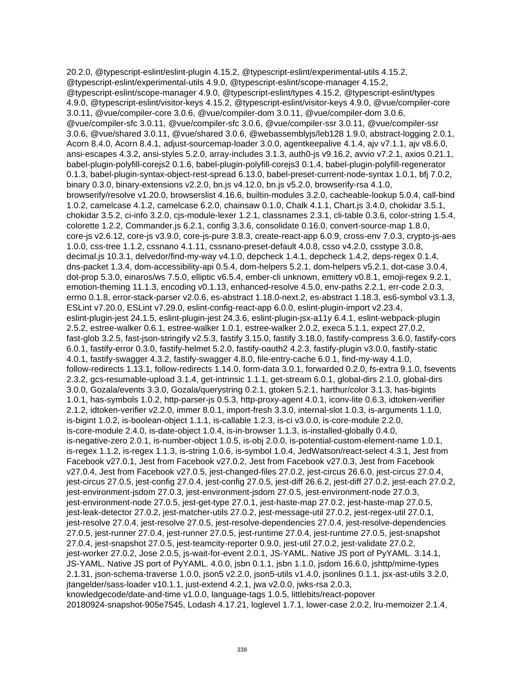20.2.0, @typescript-eslint/eslint-plugin 4.15.2, @typescript-eslint/experimental-utils 4.15.2, @typescript-eslint/experimental-utils 4.9.0, @typescript-eslint/scope-manager 4.15.2, @typescript-eslint/scope-manager 4.9.0, @typescript-eslint/types 4.15.2, @typescript-eslint/types 4.9.0, @typescript-eslint/visitor-keys 4.15.2, @typescript-eslint/visitor-keys 4.9.0, @vue/compiler-core 3.0.11, @vue/compiler-core 3.0.6, @vue/compiler-dom 3.0.11, @vue/compiler-dom 3.0.6, @vue/compiler-sfc 3.0.11, @vue/compiler-sfc 3.0.6, @vue/compiler-ssr 3.0.11, @vue/compiler-ssr 3.0.6, @vue/shared 3.0.11, @vue/shared 3.0.6, @webassemblyjs/leb128 1.9.0, abstract-logging 2.0.1, Acorn 8.4.0, Acorn 8.4.1, adjust-sourcemap-loader 3.0.0, agentkeepalive 4.1.4, ajv v7.1.1, ajv v8.6.0, ansi-escapes 4.3.2, ansi-styles 5.2.0, array-includes 3.1.3, auth0-js v9.16.2, avvio v7.2.1, axios 0.21.1, babel-plugin-polyfill-corejs2 0.1.6, babel-plugin-polyfill-corejs3 0.1.4, babel-plugin-polyfill-regenerator 0.1.3, babel-plugin-syntax-object-rest-spread 6.13.0, babel-preset-current-node-syntax 1.0.1, bfj 7.0.2, binary 0.3.0, binary-extensions v2.2.0, bn.js v4.12.0, bn.js v5.2.0, browserify-rsa 4.1.0, browserify/resolve v1.20.0, browserslist 4.16.6, builtin-modules 3.2.0, cacheable-lookup 5.0.4, call-bind 1.0.2, camelcase 4.1.2, camelcase 6.2.0, chainsaw 0.1.0, Chalk 4.1.1, Chart.js 3.4.0, chokidar 3.5.1, chokidar 3.5.2, ci-info 3.2.0, cjs-module-lexer 1.2.1, classnames 2.3.1, cli-table 0.3.6, color-string 1.5.4, colorette 1.2.2, Commander.js 6.2.1, config 3.3.6, consolidate 0.16.0, convert-source-map 1.8.0, core-js v2.6.12, core-js v3.9.0, core-js-pure 3.8.3, create-react-app 6.0.9, cross-env 7.0.3, crypto-js-aes 1.0.0, css-tree 1.1.2, cssnano 4.1.11, cssnano-preset-default 4.0.8, csso v4.2.0, csstype 3.0.8, decimal.js 10.3.1, delvedor/find-my-way v4.1.0, depcheck 1.4.1, depcheck 1.4.2, deps-regex 0.1.4, dns-packet 1.3.4, dom-accessibility-api 0.5.4, dom-helpers 5.2.1, dom-helpers v5.2.1, dot-case 3.0.4, dot-prop 5.3.0, einaros/ws 7.5.0, elliptic v6.5.4, ember-cli unknown, emittery v0.8.1, emoji-regex 9.2.1, emotion-theming 11.1.3, encoding v0.1.13, enhanced-resolve 4.5.0, env-paths 2.2.1, err-code 2.0.3, errno 0.1.8, error-stack-parser v2.0.6, es-abstract 1.18.0-next.2, es-abstract 1.18.3, es6-symbol v3.1.3, ESLint v7.20.0, ESLint v7.29.0, eslint-config-react-app 6.0.0, eslint-plugin-import v2.23.4, eslint-plugin-jest 24.1.5, eslint-plugin-jest 24.3.6, eslint-plugin-jsx-a11y 6.4.1, eslint-webpack-plugin 2.5.2, estree-walker 0.6.1, estree-walker 1.0.1, estree-walker 2.0.2, execa 5.1.1, expect 27.0.2, fast-glob 3.2.5, fast-json-stringify v2.5.3, fastify 3.15.0, fastify 3.18.0, fastify-compress 3.6.0, fastify-cors 6.0.1, fastify-error 0.3.0, fastify-helmet 5.2.0, fastify-oauth2 4.2.3, fastify-plugin v3.0.0, fastify-static 4.0.1, fastify-swagger 4.3.2, fastify-swagger 4.8.0, file-entry-cache 6.0.1, find-my-way 4.1.0, follow-redirects 1.13.1, follow-redirects 1.14.0, form-data 3.0.1, forwarded 0.2.0, fs-extra 9.1.0, fsevents 2.3.2, gcs-resumable-upload 3.1.4, get-intrinsic 1.1.1, get-stream 6.0.1, global-dirs 2.1.0, global-dirs 3.0.0, Gozala/events 3.3.0, Gozala/querystring 0.2.1, gtoken 5.2.1, harthur/color 3.1.3, has-bigints 1.0.1, has-symbols 1.0.2, http-parser-js 0.5.3, http-proxy-agent 4.0.1, iconv-lite 0.6.3, idtoken-verifier 2.1.2, idtoken-verifier v2.2.0, immer 8.0.1, import-fresh 3.3.0, internal-slot 1.0.3, is-arguments 1.1.0, is-bigint 1.0.2, is-boolean-object 1.1.1, is-callable 1.2.3, is-ci v3.0.0, is-core-module 2.2.0, is-core-module 2.4.0, is-date-object 1.0.4, is-in-browser 1.1.3, is-installed-globally 0.4.0, is-negative-zero 2.0.1, is-number-object 1.0.5, is-obj 2.0.0, is-potential-custom-element-name 1.0.1, is-regex 1.1.2, is-regex 1.1.3, is-string 1.0.6, is-symbol 1.0.4, JedWatson/react-select 4.3.1, Jest from Facebook v27.0.1, Jest from Facebook v27.0.2, Jest from Facebook v27.0.3, Jest from Facebook v27.0.4, Jest from Facebook v27.0.5, jest-changed-files 27.0.2, jest-circus 26.6.0, jest-circus 27.0.4, jest-circus 27.0.5, jest-config 27.0.4, jest-config 27.0.5, jest-diff 26.6.2, jest-diff 27.0.2, jest-each 27.0.2, jest-environment-jsdom 27.0.3, jest-environment-jsdom 27.0.5, jest-environment-node 27.0.3, jest-environment-node 27.0.5, jest-get-type 27.0.1, jest-haste-map 27.0.2, jest-haste-map 27.0.5, jest-leak-detector 27.0.2, jest-matcher-utils 27.0.2, jest-message-util 27.0.2, jest-regex-util 27.0.1, jest-resolve 27.0.4, jest-resolve 27.0.5, jest-resolve-dependencies 27.0.4, jest-resolve-dependencies 27.0.5, jest-runner 27.0.4, jest-runner 27.0.5, jest-runtime 27.0.4, jest-runtime 27.0.5, jest-snapshot 27.0.4, jest-snapshot 27.0.5, jest-teamcity-reporter 0.9.0, jest-util 27.0.2, jest-validate 27.0.2, jest-worker 27.0.2, Jose 2.0.5, js-wait-for-event 2.0.1, JS-YAML. Native JS port of PyYAML. 3.14.1, JS-YAML. Native JS port of PyYAML. 4.0.0, jsbn 0.1.1, jsbn 1.1.0, jsdom 16.6.0, jshttp/mime-types 2.1.31, json-schema-traverse 1.0.0, json5 v2.2.0, json5-utils v1.4.0, jsonlines 0.1.1, jsx-ast-utils 3.2.0, jtangelder/sass-loader v10.1.1, just-extend 4.2.1, jwa v2.0.0, jwks-rsa 2.0.3, knowledgecode/date-and-time v1.0.0, language-tags 1.0.5, littlebits/react-popover 20180924-snapshot-905e7545, Lodash 4.17.21, loglevel 1.7.1, lower-case 2.0.2, lru-memoizer 2.1.4,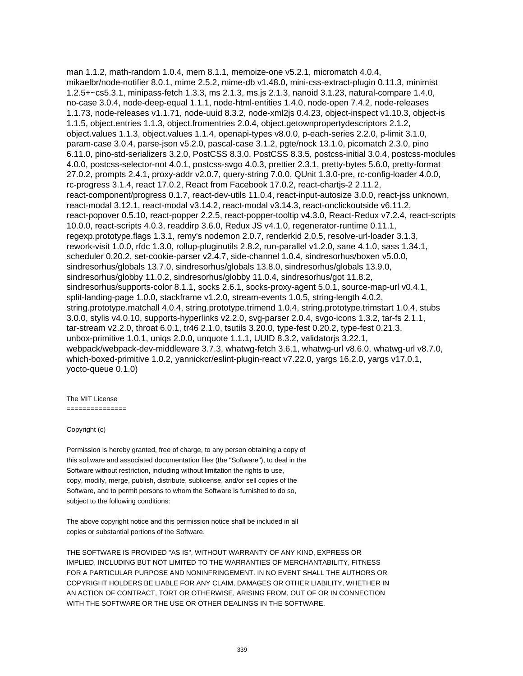man 1.1.2, math-random 1.0.4, mem 8.1.1, memoize-one v5.2.1, micromatch 4.0.4, mikaelbr/node-notifier 8.0.1, mime 2.5.2, mime-db v1.48.0, mini-css-extract-plugin 0.11.3, minimist 1.2.5+~cs5.3.1, minipass-fetch 1.3.3, ms 2.1.3, ms.js 2.1.3, nanoid 3.1.23, natural-compare 1.4.0, no-case 3.0.4, node-deep-equal 1.1.1, node-html-entities 1.4.0, node-open 7.4.2, node-releases 1.1.73, node-releases v1.1.71, node-uuid 8.3.2, node-xml2js 0.4.23, object-inspect v1.10.3, object-is 1.1.5, object.entries 1.1.3, object.fromentries 2.0.4, object.getownpropertydescriptors 2.1.2, object.values 1.1.3, object.values 1.1.4, openapi-types v8.0.0, p-each-series 2.2.0, p-limit 3.1.0, param-case 3.0.4, parse-json v5.2.0, pascal-case 3.1.2, pgte/nock 13.1.0, picomatch 2.3.0, pino 6.11.0, pino-std-serializers 3.2.0, PostCSS 8.3.0, PostCSS 8.3.5, postcss-initial 3.0.4, postcss-modules 4.0.0, postcss-selector-not 4.0.1, postcss-svgo 4.0.3, prettier 2.3.1, pretty-bytes 5.6.0, pretty-format 27.0.2, prompts 2.4.1, proxy-addr v2.0.7, query-string 7.0.0, QUnit 1.3.0-pre, rc-config-loader 4.0.0, rc-progress 3.1.4, react 17.0.2, React from Facebook 17.0.2, react-chartjs-2 2.11.2, react-component/progress 0.1.7, react-dev-utils 11.0.4, react-input-autosize 3.0.0, react-jss unknown, react-modal 3.12.1, react-modal v3.14.2, react-modal v3.14.3, react-onclickoutside v6.11.2, react-popover 0.5.10, react-popper 2.2.5, react-popper-tooltip v4.3.0, React-Redux v7.2.4, react-scripts 10.0.0, react-scripts 4.0.3, readdirp 3.6.0, Redux JS v4.1.0, regenerator-runtime 0.11.1, regexp.prototype.flags 1.3.1, remy's nodemon 2.0.7, renderkid 2.0.5, resolve-url-loader 3.1.3, rework-visit 1.0.0, rfdc 1.3.0, rollup-pluginutils 2.8.2, run-parallel v1.2.0, sane 4.1.0, sass 1.34.1, scheduler 0.20.2, set-cookie-parser v2.4.7, side-channel 1.0.4, sindresorhus/boxen v5.0.0, sindresorhus/globals 13.7.0, sindresorhus/globals 13.8.0, sindresorhus/globals 13.9.0, sindresorhus/globby 11.0.2, sindresorhus/globby 11.0.4, sindresorhus/got 11.8.2, sindresorhus/supports-color 8.1.1, socks 2.6.1, socks-proxy-agent 5.0.1, source-map-url v0.4.1, split-landing-page 1.0.0, stackframe v1.2.0, stream-events 1.0.5, string-length 4.0.2, string.prototype.matchall 4.0.4, string.prototype.trimend 1.0.4, string.prototype.trimstart 1.0.4, stubs 3.0.0, stylis v4.0.10, supports-hyperlinks v2.2.0, svg-parser 2.0.4, svgo-icons 1.3.2, tar-fs 2.1.1, tar-stream v2.2.0, throat 6.0.1, tr46 2.1.0, tsutils 3.20.0, type-fest 0.20.2, type-fest 0.21.3, unbox-primitive 1.0.1, uniqs 2.0.0, unquote 1.1.1, UUID 8.3.2, validatorjs 3.22.1, webpack/webpack-dev-middleware 3.7.3, whatwg-fetch 3.6.1, whatwg-url v8.6.0, whatwg-url v8.7.0, which-boxed-primitive 1.0.2, yannickcr/eslint-plugin-react v7.22.0, yargs 16.2.0, yargs v17.0.1, yocto-queue 0.1.0)

#### The MIT License

===============

#### Copyright (c)

Permission is hereby granted, free of charge, to any person obtaining a copy of this software and associated documentation files (the "Software"), to deal in the Software without restriction, including without limitation the rights to use, copy, modify, merge, publish, distribute, sublicense, and/or sell copies of the Software, and to permit persons to whom the Software is furnished to do so, subject to the following conditions:

The above copyright notice and this permission notice shall be included in all copies or substantial portions of the Software.

THE SOFTWARE IS PROVIDED "AS IS", WITHOUT WARRANTY OF ANY KIND, EXPRESS OR IMPLIED, INCLUDING BUT NOT LIMITED TO THE WARRANTIES OF MERCHANTABILITY, FITNESS FOR A PARTICULAR PURPOSE AND NONINFRINGEMENT. IN NO EVENT SHALL THE AUTHORS OR COPYRIGHT HOLDERS BE LIABLE FOR ANY CLAIM, DAMAGES OR OTHER LIABILITY, WHETHER IN AN ACTION OF CONTRACT, TORT OR OTHERWISE, ARISING FROM, OUT OF OR IN CONNECTION WITH THE SOFTWARE OR THE USE OR OTHER DEALINGS IN THE SOFTWARE.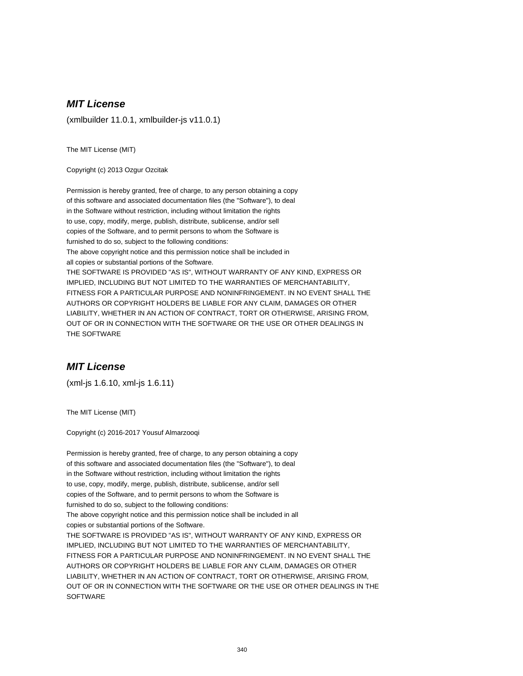(xmlbuilder 11.0.1, xmlbuilder-js v11.0.1)

The MIT License (MIT)

Copyright (c) 2013 Ozgur Ozcitak

Permission is hereby granted, free of charge, to any person obtaining a copy of this software and associated documentation files (the "Software"), to deal in the Software without restriction, including without limitation the rights to use, copy, modify, merge, publish, distribute, sublicense, and/or sell copies of the Software, and to permit persons to whom the Software is furnished to do so, subject to the following conditions: The above copyright notice and this permission notice shall be included in all copies or substantial portions of the Software. THE SOFTWARE IS PROVIDED "AS IS", WITHOUT WARRANTY OF ANY KIND, EXPRESS OR IMPLIED, INCLUDING BUT NOT LIMITED TO THE WARRANTIES OF MERCHANTABILITY, FITNESS FOR A PARTICULAR PURPOSE AND NONINFRINGEMENT. IN NO EVENT SHALL THE AUTHORS OR COPYRIGHT HOLDERS BE LIABLE FOR ANY CLAIM, DAMAGES OR OTHER LIABILITY, WHETHER IN AN ACTION OF CONTRACT, TORT OR OTHERWISE, ARISING FROM, OUT OF OR IN CONNECTION WITH THE SOFTWARE OR THE USE OR OTHER DEALINGS IN THE SOFTWARE

# **MIT License**

(xml-js 1.6.10, xml-js 1.6.11)

The MIT License (MIT)

Copyright (c) 2016-2017 Yousuf Almarzooqi

Permission is hereby granted, free of charge, to any person obtaining a copy of this software and associated documentation files (the "Software"), to deal in the Software without restriction, including without limitation the rights to use, copy, modify, merge, publish, distribute, sublicense, and/or sell copies of the Software, and to permit persons to whom the Software is furnished to do so, subject to the following conditions: The above copyright notice and this permission notice shall be included in all copies or substantial portions of the Software. THE SOFTWARE IS PROVIDED "AS IS", WITHOUT WARRANTY OF ANY KIND, EXPRESS OR IMPLIED, INCLUDING BUT NOT LIMITED TO THE WARRANTIES OF MERCHANTABILITY, FITNESS FOR A PARTICULAR PURPOSE AND NONINFRINGEMENT. IN NO EVENT SHALL THE AUTHORS OR COPYRIGHT HOLDERS BE LIABLE FOR ANY CLAIM, DAMAGES OR OTHER LIABILITY, WHETHER IN AN ACTION OF CONTRACT, TORT OR OTHERWISE, ARISING FROM, OUT OF OR IN CONNECTION WITH THE SOFTWARE OR THE USE OR OTHER DEALINGS IN THE **SOFTWARE**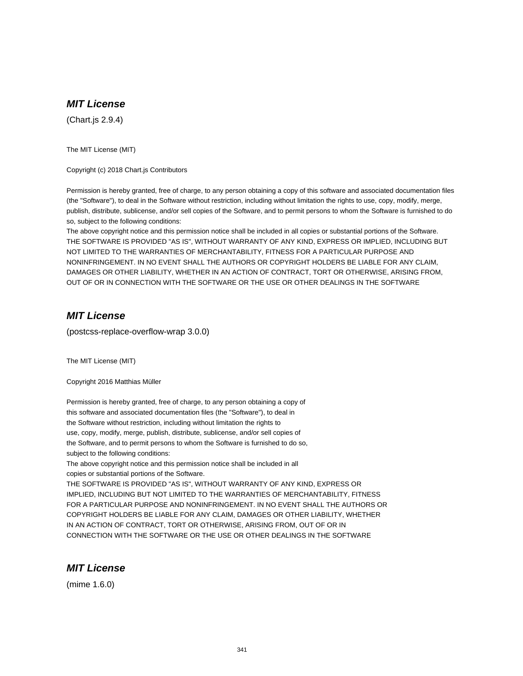(Chart.js 2.9.4)

The MIT License (MIT)

Copyright (c) 2018 Chart.js Contributors

Permission is hereby granted, free of charge, to any person obtaining a copy of this software and associated documentation files (the "Software"), to deal in the Software without restriction, including without limitation the rights to use, copy, modify, merge, publish, distribute, sublicense, and/or sell copies of the Software, and to permit persons to whom the Software is furnished to do so, subject to the following conditions:

The above copyright notice and this permission notice shall be included in all copies or substantial portions of the Software. THE SOFTWARE IS PROVIDED "AS IS", WITHOUT WARRANTY OF ANY KIND, EXPRESS OR IMPLIED, INCLUDING BUT NOT LIMITED TO THE WARRANTIES OF MERCHANTABILITY, FITNESS FOR A PARTICULAR PURPOSE AND NONINFRINGEMENT. IN NO EVENT SHALL THE AUTHORS OR COPYRIGHT HOLDERS BE LIABLE FOR ANY CLAIM, DAMAGES OR OTHER LIABILITY, WHETHER IN AN ACTION OF CONTRACT, TORT OR OTHERWISE, ARISING FROM, OUT OF OR IN CONNECTION WITH THE SOFTWARE OR THE USE OR OTHER DEALINGS IN THE SOFTWARE

### **MIT License**

(postcss-replace-overflow-wrap 3.0.0)

The MIT License (MIT)

Copyright 2016 Matthias Müller

Permission is hereby granted, free of charge, to any person obtaining a copy of this software and associated documentation files (the "Software"), to deal in the Software without restriction, including without limitation the rights to use, copy, modify, merge, publish, distribute, sublicense, and/or sell copies of the Software, and to permit persons to whom the Software is furnished to do so, subject to the following conditions:

The above copyright notice and this permission notice shall be included in all copies or substantial portions of the Software.

THE SOFTWARE IS PROVIDED "AS IS", WITHOUT WARRANTY OF ANY KIND, EXPRESS OR IMPLIED, INCLUDING BUT NOT LIMITED TO THE WARRANTIES OF MERCHANTABILITY, FITNESS FOR A PARTICULAR PURPOSE AND NONINFRINGEMENT. IN NO EVENT SHALL THE AUTHORS OR COPYRIGHT HOLDERS BE LIABLE FOR ANY CLAIM, DAMAGES OR OTHER LIABILITY, WHETHER IN AN ACTION OF CONTRACT, TORT OR OTHERWISE, ARISING FROM, OUT OF OR IN CONNECTION WITH THE SOFTWARE OR THE USE OR OTHER DEALINGS IN THE SOFTWARE

### **MIT License**

(mime 1.6.0)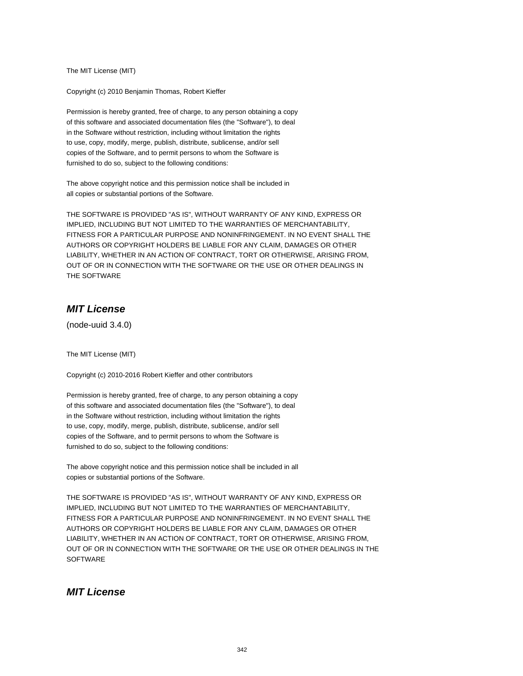The MIT License (MIT)

Copyright (c) 2010 Benjamin Thomas, Robert Kieffer

Permission is hereby granted, free of charge, to any person obtaining a copy of this software and associated documentation files (the "Software"), to deal in the Software without restriction, including without limitation the rights to use, copy, modify, merge, publish, distribute, sublicense, and/or sell copies of the Software, and to permit persons to whom the Software is furnished to do so, subject to the following conditions:

The above copyright notice and this permission notice shall be included in all copies or substantial portions of the Software.

THE SOFTWARE IS PROVIDED "AS IS", WITHOUT WARRANTY OF ANY KIND, EXPRESS OR IMPLIED, INCLUDING BUT NOT LIMITED TO THE WARRANTIES OF MERCHANTABILITY, FITNESS FOR A PARTICULAR PURPOSE AND NONINFRINGEMENT. IN NO EVENT SHALL THE AUTHORS OR COPYRIGHT HOLDERS BE LIABLE FOR ANY CLAIM, DAMAGES OR OTHER LIABILITY, WHETHER IN AN ACTION OF CONTRACT, TORT OR OTHERWISE, ARISING FROM, OUT OF OR IN CONNECTION WITH THE SOFTWARE OR THE USE OR OTHER DEALINGS IN THE SOFTWARE

# **MIT License**

(node-uuid 3.4.0)

The MIT License (MIT)

Copyright (c) 2010-2016 Robert Kieffer and other contributors

Permission is hereby granted, free of charge, to any person obtaining a copy of this software and associated documentation files (the "Software"), to deal in the Software without restriction, including without limitation the rights to use, copy, modify, merge, publish, distribute, sublicense, and/or sell copies of the Software, and to permit persons to whom the Software is furnished to do so, subject to the following conditions:

The above copyright notice and this permission notice shall be included in all copies or substantial portions of the Software.

THE SOFTWARE IS PROVIDED "AS IS", WITHOUT WARRANTY OF ANY KIND, EXPRESS OR IMPLIED, INCLUDING BUT NOT LIMITED TO THE WARRANTIES OF MERCHANTABILITY, FITNESS FOR A PARTICULAR PURPOSE AND NONINFRINGEMENT. IN NO EVENT SHALL THE AUTHORS OR COPYRIGHT HOLDERS BE LIABLE FOR ANY CLAIM, DAMAGES OR OTHER LIABILITY, WHETHER IN AN ACTION OF CONTRACT, TORT OR OTHERWISE, ARISING FROM, OUT OF OR IN CONNECTION WITH THE SOFTWARE OR THE USE OR OTHER DEALINGS IN THE **SOFTWARE** 

### **MIT License**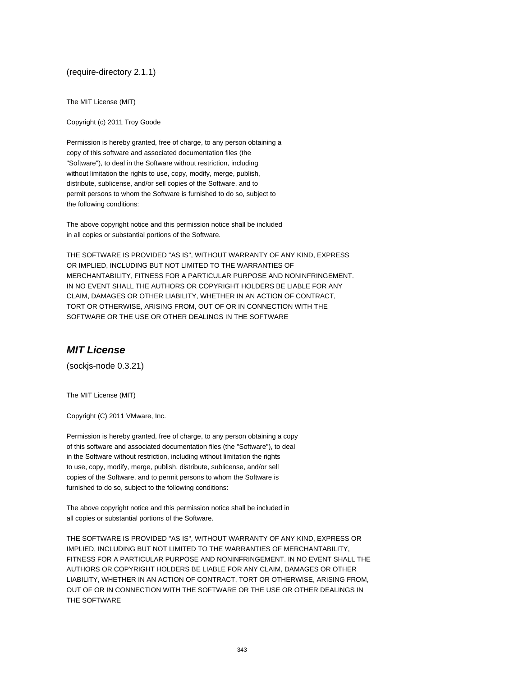(require-directory 2.1.1)

The MIT License (MIT)

Copyright (c) 2011 Troy Goode

Permission is hereby granted, free of charge, to any person obtaining a copy of this software and associated documentation files (the "Software"), to deal in the Software without restriction, including without limitation the rights to use, copy, modify, merge, publish, distribute, sublicense, and/or sell copies of the Software, and to permit persons to whom the Software is furnished to do so, subject to the following conditions:

The above copyright notice and this permission notice shall be included in all copies or substantial portions of the Software.

THE SOFTWARE IS PROVIDED "AS IS", WITHOUT WARRANTY OF ANY KIND, EXPRESS OR IMPLIED, INCLUDING BUT NOT LIMITED TO THE WARRANTIES OF MERCHANTABILITY, FITNESS FOR A PARTICULAR PURPOSE AND NONINFRINGEMENT. IN NO EVENT SHALL THE AUTHORS OR COPYRIGHT HOLDERS BE LIABLE FOR ANY CLAIM, DAMAGES OR OTHER LIABILITY, WHETHER IN AN ACTION OF CONTRACT, TORT OR OTHERWISE, ARISING FROM, OUT OF OR IN CONNECTION WITH THE SOFTWARE OR THE USE OR OTHER DEALINGS IN THE SOFTWARE

# **MIT License**

(sockjs-node 0.3.21)

The MIT License (MIT)

Copyright (C) 2011 VMware, Inc.

Permission is hereby granted, free of charge, to any person obtaining a copy of this software and associated documentation files (the "Software"), to deal in the Software without restriction, including without limitation the rights to use, copy, modify, merge, publish, distribute, sublicense, and/or sell copies of the Software, and to permit persons to whom the Software is furnished to do so, subject to the following conditions:

The above copyright notice and this permission notice shall be included in all copies or substantial portions of the Software.

THE SOFTWARE IS PROVIDED "AS IS", WITHOUT WARRANTY OF ANY KIND, EXPRESS OR IMPLIED, INCLUDING BUT NOT LIMITED TO THE WARRANTIES OF MERCHANTABILITY, FITNESS FOR A PARTICULAR PURPOSE AND NONINFRINGEMENT. IN NO EVENT SHALL THE AUTHORS OR COPYRIGHT HOLDERS BE LIABLE FOR ANY CLAIM, DAMAGES OR OTHER LIABILITY, WHETHER IN AN ACTION OF CONTRACT, TORT OR OTHERWISE, ARISING FROM, OUT OF OR IN CONNECTION WITH THE SOFTWARE OR THE USE OR OTHER DEALINGS IN THE SOFTWARE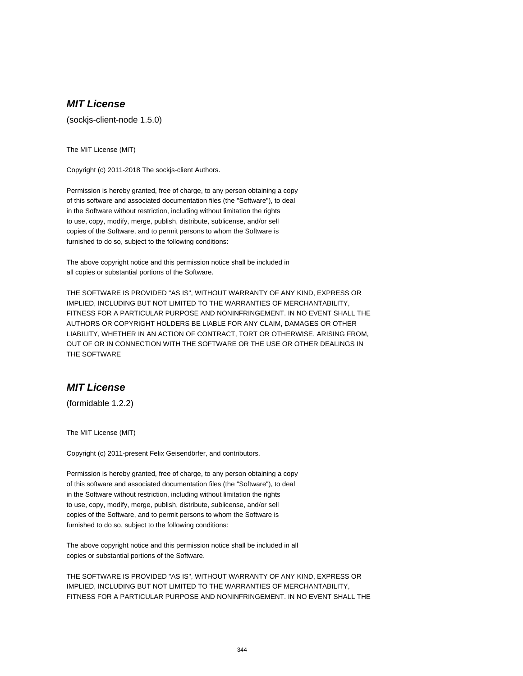(sockjs-client-node 1.5.0)

The MIT License (MIT)

Copyright (c) 2011-2018 The sockjs-client Authors.

Permission is hereby granted, free of charge, to any person obtaining a copy of this software and associated documentation files (the "Software"), to deal in the Software without restriction, including without limitation the rights to use, copy, modify, merge, publish, distribute, sublicense, and/or sell copies of the Software, and to permit persons to whom the Software is furnished to do so, subject to the following conditions:

The above copyright notice and this permission notice shall be included in all copies or substantial portions of the Software.

THE SOFTWARE IS PROVIDED "AS IS", WITHOUT WARRANTY OF ANY KIND, EXPRESS OR IMPLIED, INCLUDING BUT NOT LIMITED TO THE WARRANTIES OF MERCHANTABILITY, FITNESS FOR A PARTICULAR PURPOSE AND NONINFRINGEMENT. IN NO EVENT SHALL THE AUTHORS OR COPYRIGHT HOLDERS BE LIABLE FOR ANY CLAIM, DAMAGES OR OTHER LIABILITY, WHETHER IN AN ACTION OF CONTRACT, TORT OR OTHERWISE, ARISING FROM, OUT OF OR IN CONNECTION WITH THE SOFTWARE OR THE USE OR OTHER DEALINGS IN THE SOFTWARE

### **MIT License**

(formidable 1.2.2)

The MIT License (MIT)

Copyright (c) 2011-present Felix Geisendörfer, and contributors.

Permission is hereby granted, free of charge, to any person obtaining a copy of this software and associated documentation files (the "Software"), to deal in the Software without restriction, including without limitation the rights to use, copy, modify, merge, publish, distribute, sublicense, and/or sell copies of the Software, and to permit persons to whom the Software is furnished to do so, subject to the following conditions:

The above copyright notice and this permission notice shall be included in all copies or substantial portions of the Software.

THE SOFTWARE IS PROVIDED "AS IS", WITHOUT WARRANTY OF ANY KIND, EXPRESS OR IMPLIED, INCLUDING BUT NOT LIMITED TO THE WARRANTIES OF MERCHANTABILITY, FITNESS FOR A PARTICULAR PURPOSE AND NONINFRINGEMENT. IN NO EVENT SHALL THE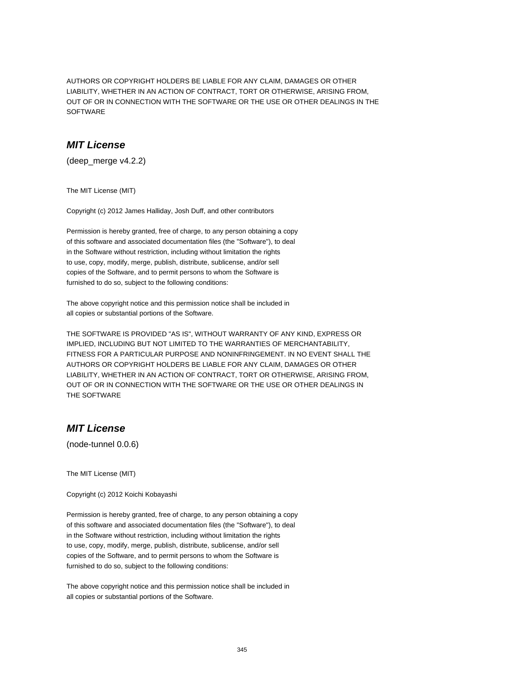AUTHORS OR COPYRIGHT HOLDERS BE LIABLE FOR ANY CLAIM, DAMAGES OR OTHER LIABILITY, WHETHER IN AN ACTION OF CONTRACT, TORT OR OTHERWISE, ARISING FROM, OUT OF OR IN CONNECTION WITH THE SOFTWARE OR THE USE OR OTHER DEALINGS IN THE SOFTWARE

### **MIT License**

(deep\_merge v4.2.2)

The MIT License (MIT)

Copyright (c) 2012 James Halliday, Josh Duff, and other contributors

Permission is hereby granted, free of charge, to any person obtaining a copy of this software and associated documentation files (the "Software"), to deal in the Software without restriction, including without limitation the rights to use, copy, modify, merge, publish, distribute, sublicense, and/or sell copies of the Software, and to permit persons to whom the Software is furnished to do so, subject to the following conditions:

The above copyright notice and this permission notice shall be included in all copies or substantial portions of the Software.

THE SOFTWARE IS PROVIDED "AS IS", WITHOUT WARRANTY OF ANY KIND, EXPRESS OR IMPLIED, INCLUDING BUT NOT LIMITED TO THE WARRANTIES OF MERCHANTABILITY, FITNESS FOR A PARTICULAR PURPOSE AND NONINFRINGEMENT. IN NO EVENT SHALL THE AUTHORS OR COPYRIGHT HOLDERS BE LIABLE FOR ANY CLAIM, DAMAGES OR OTHER LIABILITY, WHETHER IN AN ACTION OF CONTRACT, TORT OR OTHERWISE, ARISING FROM, OUT OF OR IN CONNECTION WITH THE SOFTWARE OR THE USE OR OTHER DEALINGS IN THE SOFTWARE

#### **MIT License**

(node-tunnel 0.0.6)

The MIT License (MIT)

Copyright (c) 2012 Koichi Kobayashi

Permission is hereby granted, free of charge, to any person obtaining a copy of this software and associated documentation files (the "Software"), to deal in the Software without restriction, including without limitation the rights to use, copy, modify, merge, publish, distribute, sublicense, and/or sell copies of the Software, and to permit persons to whom the Software is furnished to do so, subject to the following conditions:

The above copyright notice and this permission notice shall be included in all copies or substantial portions of the Software.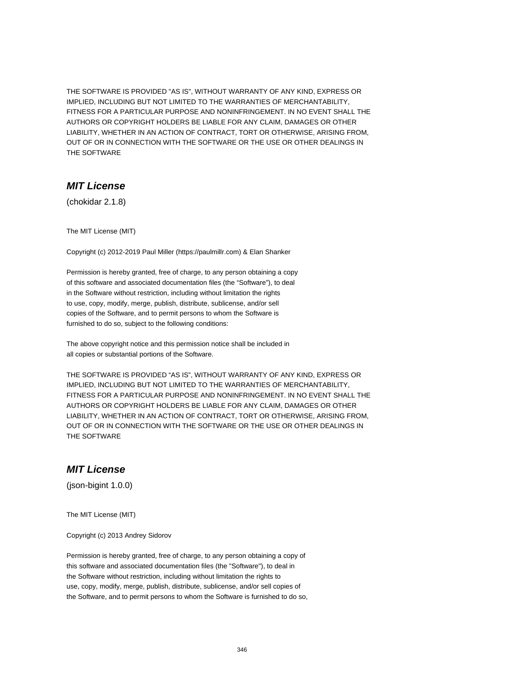THE SOFTWARE IS PROVIDED "AS IS", WITHOUT WARRANTY OF ANY KIND, EXPRESS OR IMPLIED, INCLUDING BUT NOT LIMITED TO THE WARRANTIES OF MERCHANTABILITY, FITNESS FOR A PARTICULAR PURPOSE AND NONINFRINGEMENT. IN NO EVENT SHALL THE AUTHORS OR COPYRIGHT HOLDERS BE LIABLE FOR ANY CLAIM, DAMAGES OR OTHER LIABILITY, WHETHER IN AN ACTION OF CONTRACT, TORT OR OTHERWISE, ARISING FROM, OUT OF OR IN CONNECTION WITH THE SOFTWARE OR THE USE OR OTHER DEALINGS IN THE SOFTWARE

### **MIT License**

(chokidar 2.1.8)

The MIT License (MIT)

Copyright (c) 2012-2019 Paul Miller (https://paulmillr.com) & Elan Shanker

Permission is hereby granted, free of charge, to any person obtaining a copy of this software and associated documentation files (the "Software"), to deal in the Software without restriction, including without limitation the rights to use, copy, modify, merge, publish, distribute, sublicense, and/or sell copies of the Software, and to permit persons to whom the Software is furnished to do so, subject to the following conditions:

The above copyright notice and this permission notice shall be included in all copies or substantial portions of the Software.

THE SOFTWARE IS PROVIDED "AS IS", WITHOUT WARRANTY OF ANY KIND, EXPRESS OR IMPLIED, INCLUDING BUT NOT LIMITED TO THE WARRANTIES OF MERCHANTABILITY, FITNESS FOR A PARTICULAR PURPOSE AND NONINFRINGEMENT. IN NO EVENT SHALL THE AUTHORS OR COPYRIGHT HOLDERS BE LIABLE FOR ANY CLAIM, DAMAGES OR OTHER LIABILITY, WHETHER IN AN ACTION OF CONTRACT, TORT OR OTHERWISE, ARISING FROM, OUT OF OR IN CONNECTION WITH THE SOFTWARE OR THE USE OR OTHER DEALINGS IN THE SOFTWARE

#### **MIT License**

(json-bigint 1.0.0)

The MIT License (MIT)

Copyright (c) 2013 Andrey Sidorov

Permission is hereby granted, free of charge, to any person obtaining a copy of this software and associated documentation files (the "Software"), to deal in the Software without restriction, including without limitation the rights to use, copy, modify, merge, publish, distribute, sublicense, and/or sell copies of the Software, and to permit persons to whom the Software is furnished to do so,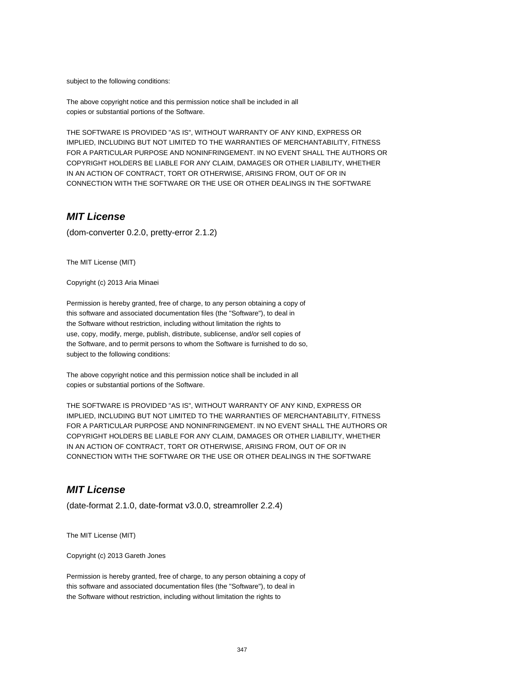subject to the following conditions:

The above copyright notice and this permission notice shall be included in all copies or substantial portions of the Software.

THE SOFTWARE IS PROVIDED "AS IS", WITHOUT WARRANTY OF ANY KIND, EXPRESS OR IMPLIED, INCLUDING BUT NOT LIMITED TO THE WARRANTIES OF MERCHANTABILITY, FITNESS FOR A PARTICULAR PURPOSE AND NONINFRINGEMENT. IN NO EVENT SHALL THE AUTHORS OR COPYRIGHT HOLDERS BE LIABLE FOR ANY CLAIM, DAMAGES OR OTHER LIABILITY, WHETHER IN AN ACTION OF CONTRACT, TORT OR OTHERWISE, ARISING FROM, OUT OF OR IN CONNECTION WITH THE SOFTWARE OR THE USE OR OTHER DEALINGS IN THE SOFTWARE

### **MIT License**

(dom-converter 0.2.0, pretty-error 2.1.2)

The MIT License (MIT)

Copyright (c) 2013 Aria Minaei

Permission is hereby granted, free of charge, to any person obtaining a copy of this software and associated documentation files (the "Software"), to deal in the Software without restriction, including without limitation the rights to use, copy, modify, merge, publish, distribute, sublicense, and/or sell copies of the Software, and to permit persons to whom the Software is furnished to do so, subject to the following conditions:

The above copyright notice and this permission notice shall be included in all copies or substantial portions of the Software.

THE SOFTWARE IS PROVIDED "AS IS", WITHOUT WARRANTY OF ANY KIND, EXPRESS OR IMPLIED, INCLUDING BUT NOT LIMITED TO THE WARRANTIES OF MERCHANTABILITY, FITNESS FOR A PARTICULAR PURPOSE AND NONINFRINGEMENT. IN NO EVENT SHALL THE AUTHORS OR COPYRIGHT HOLDERS BE LIABLE FOR ANY CLAIM, DAMAGES OR OTHER LIABILITY, WHETHER IN AN ACTION OF CONTRACT, TORT OR OTHERWISE, ARISING FROM, OUT OF OR IN CONNECTION WITH THE SOFTWARE OR THE USE OR OTHER DEALINGS IN THE SOFTWARE

# **MIT License**

(date-format 2.1.0, date-format v3.0.0, streamroller 2.2.4)

The MIT License (MIT)

Copyright (c) 2013 Gareth Jones

Permission is hereby granted, free of charge, to any person obtaining a copy of this software and associated documentation files (the "Software"), to deal in the Software without restriction, including without limitation the rights to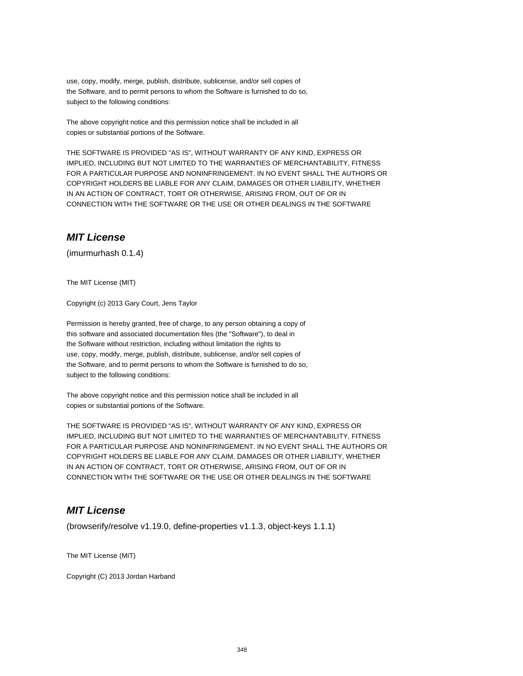use, copy, modify, merge, publish, distribute, sublicense, and/or sell copies of the Software, and to permit persons to whom the Software is furnished to do so, subject to the following conditions:

The above copyright notice and this permission notice shall be included in all copies or substantial portions of the Software.

THE SOFTWARE IS PROVIDED "AS IS", WITHOUT WARRANTY OF ANY KIND, EXPRESS OR IMPLIED, INCLUDING BUT NOT LIMITED TO THE WARRANTIES OF MERCHANTABILITY, FITNESS FOR A PARTICULAR PURPOSE AND NONINFRINGEMENT. IN NO EVENT SHALL THE AUTHORS OR COPYRIGHT HOLDERS BE LIABLE FOR ANY CLAIM, DAMAGES OR OTHER LIABILITY, WHETHER IN AN ACTION OF CONTRACT, TORT OR OTHERWISE, ARISING FROM, OUT OF OR IN CONNECTION WITH THE SOFTWARE OR THE USE OR OTHER DEALINGS IN THE SOFTWARE

# **MIT License**

(imurmurhash 0.1.4)

The MIT License (MIT)

Copyright (c) 2013 Gary Court, Jens Taylor

Permission is hereby granted, free of charge, to any person obtaining a copy of this software and associated documentation files (the "Software"), to deal in the Software without restriction, including without limitation the rights to use, copy, modify, merge, publish, distribute, sublicense, and/or sell copies of the Software, and to permit persons to whom the Software is furnished to do so, subject to the following conditions:

The above copyright notice and this permission notice shall be included in all copies or substantial portions of the Software.

THE SOFTWARE IS PROVIDED "AS IS", WITHOUT WARRANTY OF ANY KIND, EXPRESS OR IMPLIED, INCLUDING BUT NOT LIMITED TO THE WARRANTIES OF MERCHANTABILITY, FITNESS FOR A PARTICULAR PURPOSE AND NONINFRINGEMENT. IN NO EVENT SHALL THE AUTHORS OR COPYRIGHT HOLDERS BE LIABLE FOR ANY CLAIM, DAMAGES OR OTHER LIABILITY, WHETHER IN AN ACTION OF CONTRACT, TORT OR OTHERWISE, ARISING FROM, OUT OF OR IN CONNECTION WITH THE SOFTWARE OR THE USE OR OTHER DEALINGS IN THE SOFTWARE

# **MIT License**

(browserify/resolve v1.19.0, define-properties v1.1.3, object-keys 1.1.1)

The MIT License (MIT)

Copyright (C) 2013 Jordan Harband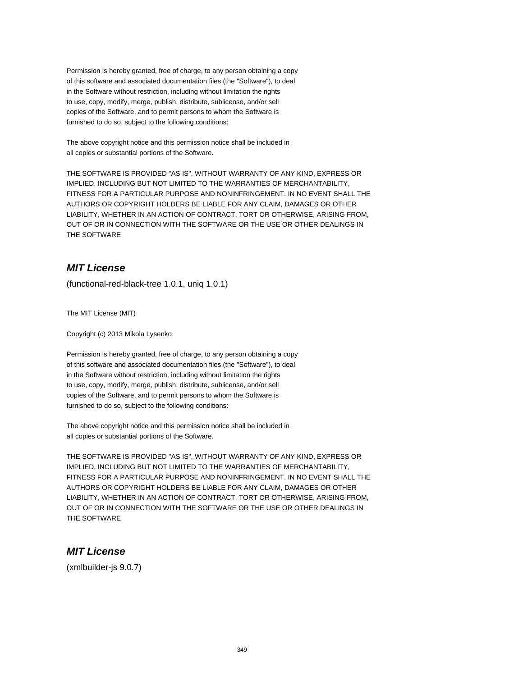Permission is hereby granted, free of charge, to any person obtaining a copy of this software and associated documentation files (the "Software"), to deal in the Software without restriction, including without limitation the rights to use, copy, modify, merge, publish, distribute, sublicense, and/or sell copies of the Software, and to permit persons to whom the Software is furnished to do so, subject to the following conditions:

The above copyright notice and this permission notice shall be included in all copies or substantial portions of the Software.

THE SOFTWARE IS PROVIDED "AS IS", WITHOUT WARRANTY OF ANY KIND, EXPRESS OR IMPLIED, INCLUDING BUT NOT LIMITED TO THE WARRANTIES OF MERCHANTABILITY, FITNESS FOR A PARTICULAR PURPOSE AND NONINFRINGEMENT. IN NO EVENT SHALL THE AUTHORS OR COPYRIGHT HOLDERS BE LIABLE FOR ANY CLAIM, DAMAGES OR OTHER LIABILITY, WHETHER IN AN ACTION OF CONTRACT, TORT OR OTHERWISE, ARISING FROM, OUT OF OR IN CONNECTION WITH THE SOFTWARE OR THE USE OR OTHER DEALINGS IN THE SOFTWARE

# **MIT License**

(functional-red-black-tree 1.0.1, uniq 1.0.1)

The MIT License (MIT)

Copyright (c) 2013 Mikola Lysenko

Permission is hereby granted, free of charge, to any person obtaining a copy of this software and associated documentation files (the "Software"), to deal in the Software without restriction, including without limitation the rights to use, copy, modify, merge, publish, distribute, sublicense, and/or sell copies of the Software, and to permit persons to whom the Software is furnished to do so, subject to the following conditions:

The above copyright notice and this permission notice shall be included in all copies or substantial portions of the Software.

THE SOFTWARE IS PROVIDED "AS IS", WITHOUT WARRANTY OF ANY KIND, EXPRESS OR IMPLIED, INCLUDING BUT NOT LIMITED TO THE WARRANTIES OF MERCHANTABILITY, FITNESS FOR A PARTICULAR PURPOSE AND NONINFRINGEMENT. IN NO EVENT SHALL THE AUTHORS OR COPYRIGHT HOLDERS BE LIABLE FOR ANY CLAIM, DAMAGES OR OTHER LIABILITY, WHETHER IN AN ACTION OF CONTRACT, TORT OR OTHERWISE, ARISING FROM, OUT OF OR IN CONNECTION WITH THE SOFTWARE OR THE USE OR OTHER DEALINGS IN THE SOFTWARE

# **MIT License**

(xmlbuilder-js 9.0.7)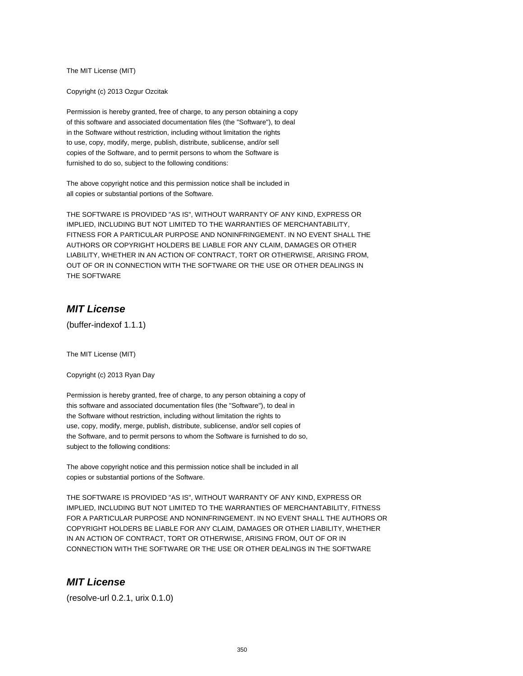The MIT License (MIT)

Copyright (c) 2013 Ozgur Ozcitak

Permission is hereby granted, free of charge, to any person obtaining a copy of this software and associated documentation files (the "Software"), to deal in the Software without restriction, including without limitation the rights to use, copy, modify, merge, publish, distribute, sublicense, and/or sell copies of the Software, and to permit persons to whom the Software is furnished to do so, subject to the following conditions:

The above copyright notice and this permission notice shall be included in all copies or substantial portions of the Software.

THE SOFTWARE IS PROVIDED "AS IS", WITHOUT WARRANTY OF ANY KIND, EXPRESS OR IMPLIED, INCLUDING BUT NOT LIMITED TO THE WARRANTIES OF MERCHANTABILITY, FITNESS FOR A PARTICULAR PURPOSE AND NONINFRINGEMENT. IN NO EVENT SHALL THE AUTHORS OR COPYRIGHT HOLDERS BE LIABLE FOR ANY CLAIM, DAMAGES OR OTHER LIABILITY, WHETHER IN AN ACTION OF CONTRACT, TORT OR OTHERWISE, ARISING FROM, OUT OF OR IN CONNECTION WITH THE SOFTWARE OR THE USE OR OTHER DEALINGS IN THE SOFTWARE

# **MIT License**

(buffer-indexof 1.1.1)

The MIT License (MIT)

Copyright (c) 2013 Ryan Day

Permission is hereby granted, free of charge, to any person obtaining a copy of this software and associated documentation files (the "Software"), to deal in the Software without restriction, including without limitation the rights to use, copy, modify, merge, publish, distribute, sublicense, and/or sell copies of the Software, and to permit persons to whom the Software is furnished to do so, subject to the following conditions:

The above copyright notice and this permission notice shall be included in all copies or substantial portions of the Software.

THE SOFTWARE IS PROVIDED "AS IS", WITHOUT WARRANTY OF ANY KIND, EXPRESS OR IMPLIED, INCLUDING BUT NOT LIMITED TO THE WARRANTIES OF MERCHANTABILITY, FITNESS FOR A PARTICULAR PURPOSE AND NONINFRINGEMENT. IN NO EVENT SHALL THE AUTHORS OR COPYRIGHT HOLDERS BE LIABLE FOR ANY CLAIM, DAMAGES OR OTHER LIABILITY, WHETHER IN AN ACTION OF CONTRACT, TORT OR OTHERWISE, ARISING FROM, OUT OF OR IN CONNECTION WITH THE SOFTWARE OR THE USE OR OTHER DEALINGS IN THE SOFTWARE

#### **MIT License**

(resolve-url 0.2.1, urix 0.1.0)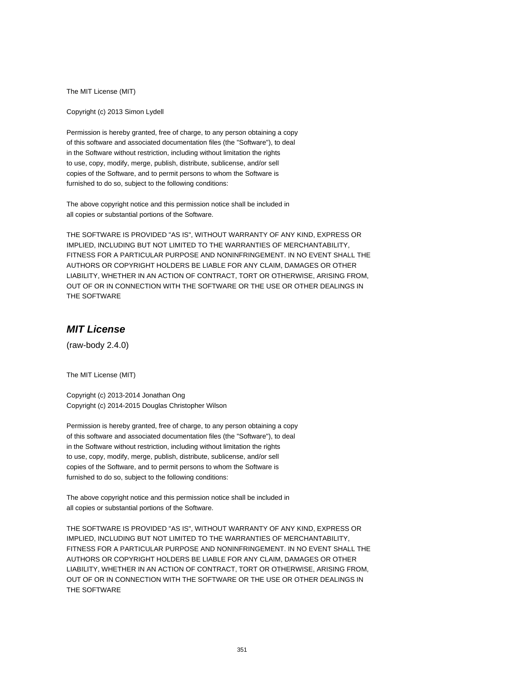The MIT License (MIT)

Copyright (c) 2013 Simon Lydell

Permission is hereby granted, free of charge, to any person obtaining a copy of this software and associated documentation files (the "Software"), to deal in the Software without restriction, including without limitation the rights to use, copy, modify, merge, publish, distribute, sublicense, and/or sell copies of the Software, and to permit persons to whom the Software is furnished to do so, subject to the following conditions:

The above copyright notice and this permission notice shall be included in all copies or substantial portions of the Software.

THE SOFTWARE IS PROVIDED "AS IS", WITHOUT WARRANTY OF ANY KIND, EXPRESS OR IMPLIED, INCLUDING BUT NOT LIMITED TO THE WARRANTIES OF MERCHANTABILITY, FITNESS FOR A PARTICULAR PURPOSE AND NONINFRINGEMENT. IN NO EVENT SHALL THE AUTHORS OR COPYRIGHT HOLDERS BE LIABLE FOR ANY CLAIM, DAMAGES OR OTHER LIABILITY, WHETHER IN AN ACTION OF CONTRACT, TORT OR OTHERWISE, ARISING FROM, OUT OF OR IN CONNECTION WITH THE SOFTWARE OR THE USE OR OTHER DEALINGS IN THE SOFTWARE

# **MIT License**

(raw-body 2.4.0)

The MIT License (MIT)

Copyright (c) 2013-2014 Jonathan Ong Copyright (c) 2014-2015 Douglas Christopher Wilson

Permission is hereby granted, free of charge, to any person obtaining a copy of this software and associated documentation files (the "Software"), to deal in the Software without restriction, including without limitation the rights to use, copy, modify, merge, publish, distribute, sublicense, and/or sell copies of the Software, and to permit persons to whom the Software is furnished to do so, subject to the following conditions:

The above copyright notice and this permission notice shall be included in all copies or substantial portions of the Software.

THE SOFTWARE IS PROVIDED "AS IS", WITHOUT WARRANTY OF ANY KIND, EXPRESS OR IMPLIED, INCLUDING BUT NOT LIMITED TO THE WARRANTIES OF MERCHANTABILITY, FITNESS FOR A PARTICULAR PURPOSE AND NONINFRINGEMENT. IN NO EVENT SHALL THE AUTHORS OR COPYRIGHT HOLDERS BE LIABLE FOR ANY CLAIM, DAMAGES OR OTHER LIABILITY, WHETHER IN AN ACTION OF CONTRACT, TORT OR OTHERWISE, ARISING FROM, OUT OF OR IN CONNECTION WITH THE SOFTWARE OR THE USE OR OTHER DEALINGS IN THE SOFTWARE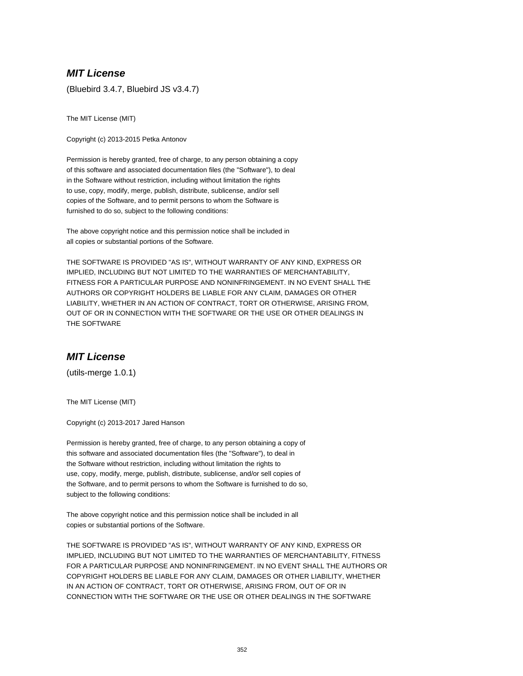(Bluebird 3.4.7, Bluebird JS v3.4.7)

The MIT License (MIT)

Copyright (c) 2013-2015 Petka Antonov

Permission is hereby granted, free of charge, to any person obtaining a copy of this software and associated documentation files (the "Software"), to deal in the Software without restriction, including without limitation the rights to use, copy, modify, merge, publish, distribute, sublicense, and/or sell copies of the Software, and to permit persons to whom the Software is furnished to do so, subject to the following conditions:

The above copyright notice and this permission notice shall be included in all copies or substantial portions of the Software.

THE SOFTWARE IS PROVIDED "AS IS", WITHOUT WARRANTY OF ANY KIND, EXPRESS OR IMPLIED, INCLUDING BUT NOT LIMITED TO THE WARRANTIES OF MERCHANTABILITY, FITNESS FOR A PARTICULAR PURPOSE AND NONINFRINGEMENT. IN NO EVENT SHALL THE AUTHORS OR COPYRIGHT HOLDERS BE LIABLE FOR ANY CLAIM, DAMAGES OR OTHER LIABILITY, WHETHER IN AN ACTION OF CONTRACT, TORT OR OTHERWISE, ARISING FROM, OUT OF OR IN CONNECTION WITH THE SOFTWARE OR THE USE OR OTHER DEALINGS IN THE SOFTWARE

### **MIT License**

(utils-merge 1.0.1)

The MIT License (MIT)

Copyright (c) 2013-2017 Jared Hanson

Permission is hereby granted, free of charge, to any person obtaining a copy of this software and associated documentation files (the "Software"), to deal in the Software without restriction, including without limitation the rights to use, copy, modify, merge, publish, distribute, sublicense, and/or sell copies of the Software, and to permit persons to whom the Software is furnished to do so, subject to the following conditions:

The above copyright notice and this permission notice shall be included in all copies or substantial portions of the Software.

THE SOFTWARE IS PROVIDED "AS IS", WITHOUT WARRANTY OF ANY KIND, EXPRESS OR IMPLIED, INCLUDING BUT NOT LIMITED TO THE WARRANTIES OF MERCHANTABILITY, FITNESS FOR A PARTICULAR PURPOSE AND NONINFRINGEMENT. IN NO EVENT SHALL THE AUTHORS OR COPYRIGHT HOLDERS BE LIABLE FOR ANY CLAIM, DAMAGES OR OTHER LIABILITY, WHETHER IN AN ACTION OF CONTRACT, TORT OR OTHERWISE, ARISING FROM, OUT OF OR IN CONNECTION WITH THE SOFTWARE OR THE USE OR OTHER DEALINGS IN THE SOFTWARE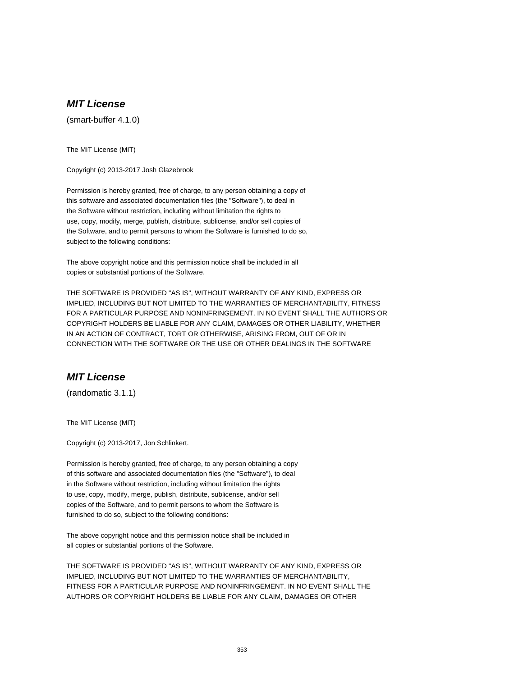(smart-buffer 4.1.0)

The MIT License (MIT)

Copyright (c) 2013-2017 Josh Glazebrook

Permission is hereby granted, free of charge, to any person obtaining a copy of this software and associated documentation files (the "Software"), to deal in the Software without restriction, including without limitation the rights to use, copy, modify, merge, publish, distribute, sublicense, and/or sell copies of the Software, and to permit persons to whom the Software is furnished to do so, subject to the following conditions:

The above copyright notice and this permission notice shall be included in all copies or substantial portions of the Software.

THE SOFTWARE IS PROVIDED "AS IS", WITHOUT WARRANTY OF ANY KIND, EXPRESS OR IMPLIED, INCLUDING BUT NOT LIMITED TO THE WARRANTIES OF MERCHANTABILITY, FITNESS FOR A PARTICULAR PURPOSE AND NONINFRINGEMENT. IN NO EVENT SHALL THE AUTHORS OR COPYRIGHT HOLDERS BE LIABLE FOR ANY CLAIM, DAMAGES OR OTHER LIABILITY, WHETHER IN AN ACTION OF CONTRACT, TORT OR OTHERWISE, ARISING FROM, OUT OF OR IN CONNECTION WITH THE SOFTWARE OR THE USE OR OTHER DEALINGS IN THE SOFTWARE

### **MIT License**

(randomatic 3.1.1)

The MIT License (MIT)

Copyright (c) 2013-2017, Jon Schlinkert.

Permission is hereby granted, free of charge, to any person obtaining a copy of this software and associated documentation files (the "Software"), to deal in the Software without restriction, including without limitation the rights to use, copy, modify, merge, publish, distribute, sublicense, and/or sell copies of the Software, and to permit persons to whom the Software is furnished to do so, subject to the following conditions:

The above copyright notice and this permission notice shall be included in all copies or substantial portions of the Software.

THE SOFTWARE IS PROVIDED "AS IS", WITHOUT WARRANTY OF ANY KIND, EXPRESS OR IMPLIED, INCLUDING BUT NOT LIMITED TO THE WARRANTIES OF MERCHANTABILITY, FITNESS FOR A PARTICULAR PURPOSE AND NONINFRINGEMENT. IN NO EVENT SHALL THE AUTHORS OR COPYRIGHT HOLDERS BE LIABLE FOR ANY CLAIM, DAMAGES OR OTHER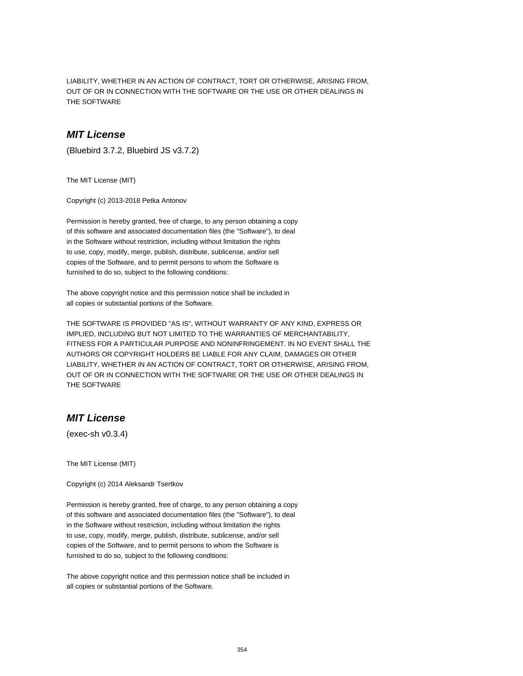LIABILITY, WHETHER IN AN ACTION OF CONTRACT, TORT OR OTHERWISE, ARISING FROM, OUT OF OR IN CONNECTION WITH THE SOFTWARE OR THE USE OR OTHER DEALINGS IN THE SOFTWARE

### **MIT License**

(Bluebird 3.7.2, Bluebird JS v3.7.2)

The MIT License (MIT)

Copyright (c) 2013-2018 Petka Antonov

Permission is hereby granted, free of charge, to any person obtaining a copy of this software and associated documentation files (the "Software"), to deal in the Software without restriction, including without limitation the rights to use, copy, modify, merge, publish, distribute, sublicense, and/or sell copies of the Software, and to permit persons to whom the Software is furnished to do so, subject to the following conditions:

The above copyright notice and this permission notice shall be included in all copies or substantial portions of the Software.

THE SOFTWARE IS PROVIDED "AS IS", WITHOUT WARRANTY OF ANY KIND, EXPRESS OR IMPLIED, INCLUDING BUT NOT LIMITED TO THE WARRANTIES OF MERCHANTABILITY, FITNESS FOR A PARTICULAR PURPOSE AND NONINFRINGEMENT. IN NO EVENT SHALL THE AUTHORS OR COPYRIGHT HOLDERS BE LIABLE FOR ANY CLAIM, DAMAGES OR OTHER LIABILITY, WHETHER IN AN ACTION OF CONTRACT, TORT OR OTHERWISE, ARISING FROM, OUT OF OR IN CONNECTION WITH THE SOFTWARE OR THE USE OR OTHER DEALINGS IN THE SOFTWARE

# **MIT License**

(exec-sh v0.3.4)

The MIT License (MIT)

Copyright (c) 2014 Aleksandr Tsertkov

Permission is hereby granted, free of charge, to any person obtaining a copy of this software and associated documentation files (the "Software"), to deal in the Software without restriction, including without limitation the rights to use, copy, modify, merge, publish, distribute, sublicense, and/or sell copies of the Software, and to permit persons to whom the Software is furnished to do so, subject to the following conditions:

The above copyright notice and this permission notice shall be included in all copies or substantial portions of the Software.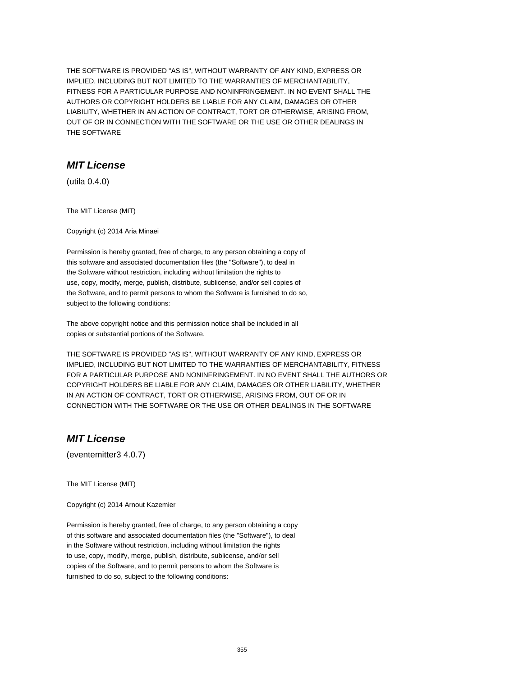THE SOFTWARE IS PROVIDED "AS IS", WITHOUT WARRANTY OF ANY KIND, EXPRESS OR IMPLIED, INCLUDING BUT NOT LIMITED TO THE WARRANTIES OF MERCHANTABILITY, FITNESS FOR A PARTICULAR PURPOSE AND NONINFRINGEMENT. IN NO EVENT SHALL THE AUTHORS OR COPYRIGHT HOLDERS BE LIABLE FOR ANY CLAIM, DAMAGES OR OTHER LIABILITY, WHETHER IN AN ACTION OF CONTRACT, TORT OR OTHERWISE, ARISING FROM, OUT OF OR IN CONNECTION WITH THE SOFTWARE OR THE USE OR OTHER DEALINGS IN THE SOFTWARE

### **MIT License**

(utila 0.4.0)

The MIT License (MIT)

Copyright (c) 2014 Aria Minaei

Permission is hereby granted, free of charge, to any person obtaining a copy of this software and associated documentation files (the "Software"), to deal in the Software without restriction, including without limitation the rights to use, copy, modify, merge, publish, distribute, sublicense, and/or sell copies of the Software, and to permit persons to whom the Software is furnished to do so, subject to the following conditions:

The above copyright notice and this permission notice shall be included in all copies or substantial portions of the Software.

THE SOFTWARE IS PROVIDED "AS IS", WITHOUT WARRANTY OF ANY KIND, EXPRESS OR IMPLIED, INCLUDING BUT NOT LIMITED TO THE WARRANTIES OF MERCHANTABILITY, FITNESS FOR A PARTICULAR PURPOSE AND NONINFRINGEMENT. IN NO EVENT SHALL THE AUTHORS OR COPYRIGHT HOLDERS BE LIABLE FOR ANY CLAIM, DAMAGES OR OTHER LIABILITY, WHETHER IN AN ACTION OF CONTRACT, TORT OR OTHERWISE, ARISING FROM, OUT OF OR IN CONNECTION WITH THE SOFTWARE OR THE USE OR OTHER DEALINGS IN THE SOFTWARE

# **MIT License**

(eventemitter3 4.0.7)

The MIT License (MIT)

Copyright (c) 2014 Arnout Kazemier

Permission is hereby granted, free of charge, to any person obtaining a copy of this software and associated documentation files (the "Software"), to deal in the Software without restriction, including without limitation the rights to use, copy, modify, merge, publish, distribute, sublicense, and/or sell copies of the Software, and to permit persons to whom the Software is furnished to do so, subject to the following conditions: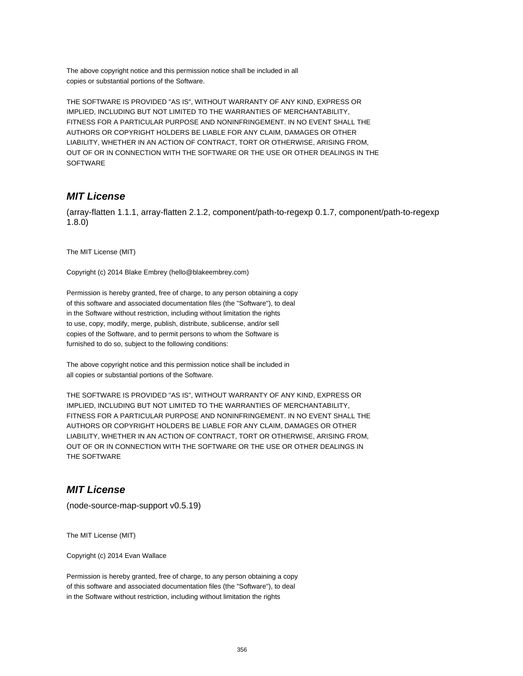The above copyright notice and this permission notice shall be included in all copies or substantial portions of the Software.

THE SOFTWARE IS PROVIDED "AS IS", WITHOUT WARRANTY OF ANY KIND, EXPRESS OR IMPLIED, INCLUDING BUT NOT LIMITED TO THE WARRANTIES OF MERCHANTABILITY, FITNESS FOR A PARTICULAR PURPOSE AND NONINFRINGEMENT. IN NO EVENT SHALL THE AUTHORS OR COPYRIGHT HOLDERS BE LIABLE FOR ANY CLAIM, DAMAGES OR OTHER LIABILITY, WHETHER IN AN ACTION OF CONTRACT, TORT OR OTHERWISE, ARISING FROM, OUT OF OR IN CONNECTION WITH THE SOFTWARE OR THE USE OR OTHER DEALINGS IN THE **SOFTWARE** 

# **MIT License**

(array-flatten 1.1.1, array-flatten 2.1.2, component/path-to-regexp 0.1.7, component/path-to-regexp 1.8.0)

The MIT License (MIT)

Copyright (c) 2014 Blake Embrey (hello@blakeembrey.com)

Permission is hereby granted, free of charge, to any person obtaining a copy of this software and associated documentation files (the "Software"), to deal in the Software without restriction, including without limitation the rights to use, copy, modify, merge, publish, distribute, sublicense, and/or sell copies of the Software, and to permit persons to whom the Software is furnished to do so, subject to the following conditions:

The above copyright notice and this permission notice shall be included in all copies or substantial portions of the Software.

THE SOFTWARE IS PROVIDED "AS IS", WITHOUT WARRANTY OF ANY KIND, EXPRESS OR IMPLIED, INCLUDING BUT NOT LIMITED TO THE WARRANTIES OF MERCHANTABILITY, FITNESS FOR A PARTICULAR PURPOSE AND NONINFRINGEMENT. IN NO EVENT SHALL THE AUTHORS OR COPYRIGHT HOLDERS BE LIABLE FOR ANY CLAIM, DAMAGES OR OTHER LIABILITY, WHETHER IN AN ACTION OF CONTRACT, TORT OR OTHERWISE, ARISING FROM, OUT OF OR IN CONNECTION WITH THE SOFTWARE OR THE USE OR OTHER DEALINGS IN THE SOFTWARE

### **MIT License**

(node-source-map-support v0.5.19)

The MIT License (MIT)

Copyright (c) 2014 Evan Wallace

Permission is hereby granted, free of charge, to any person obtaining a copy of this software and associated documentation files (the "Software"), to deal in the Software without restriction, including without limitation the rights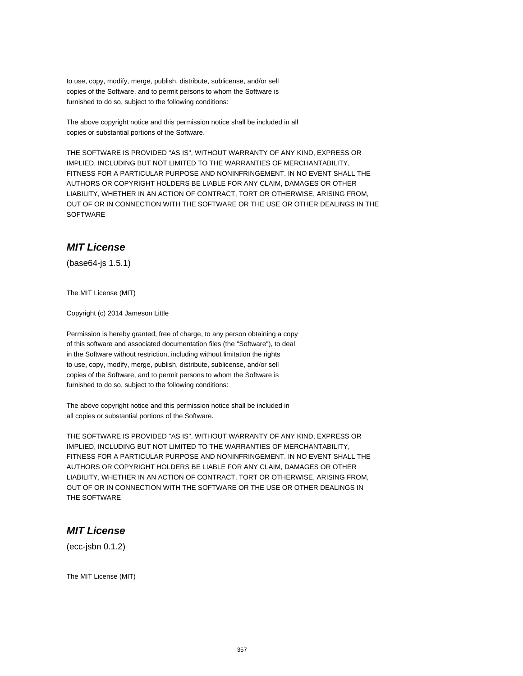to use, copy, modify, merge, publish, distribute, sublicense, and/or sell copies of the Software, and to permit persons to whom the Software is furnished to do so, subject to the following conditions:

The above copyright notice and this permission notice shall be included in all copies or substantial portions of the Software.

THE SOFTWARE IS PROVIDED "AS IS", WITHOUT WARRANTY OF ANY KIND, EXPRESS OR IMPLIED, INCLUDING BUT NOT LIMITED TO THE WARRANTIES OF MERCHANTABILITY, FITNESS FOR A PARTICULAR PURPOSE AND NONINFRINGEMENT. IN NO EVENT SHALL THE AUTHORS OR COPYRIGHT HOLDERS BE LIABLE FOR ANY CLAIM, DAMAGES OR OTHER LIABILITY, WHETHER IN AN ACTION OF CONTRACT, TORT OR OTHERWISE, ARISING FROM, OUT OF OR IN CONNECTION WITH THE SOFTWARE OR THE USE OR OTHER DEALINGS IN THE **SOFTWARE** 

### **MIT License**

(base64-js 1.5.1)

The MIT License (MIT)

Copyright (c) 2014 Jameson Little

Permission is hereby granted, free of charge, to any person obtaining a copy of this software and associated documentation files (the "Software"), to deal in the Software without restriction, including without limitation the rights to use, copy, modify, merge, publish, distribute, sublicense, and/or sell copies of the Software, and to permit persons to whom the Software is furnished to do so, subject to the following conditions:

The above copyright notice and this permission notice shall be included in all copies or substantial portions of the Software.

THE SOFTWARE IS PROVIDED "AS IS", WITHOUT WARRANTY OF ANY KIND, EXPRESS OR IMPLIED, INCLUDING BUT NOT LIMITED TO THE WARRANTIES OF MERCHANTABILITY, FITNESS FOR A PARTICULAR PURPOSE AND NONINFRINGEMENT. IN NO EVENT SHALL THE AUTHORS OR COPYRIGHT HOLDERS BE LIABLE FOR ANY CLAIM, DAMAGES OR OTHER LIABILITY, WHETHER IN AN ACTION OF CONTRACT, TORT OR OTHERWISE, ARISING FROM, OUT OF OR IN CONNECTION WITH THE SOFTWARE OR THE USE OR OTHER DEALINGS IN THE SOFTWARE

### **MIT License**

(ecc-jsbn 0.1.2)

The MIT License (MIT)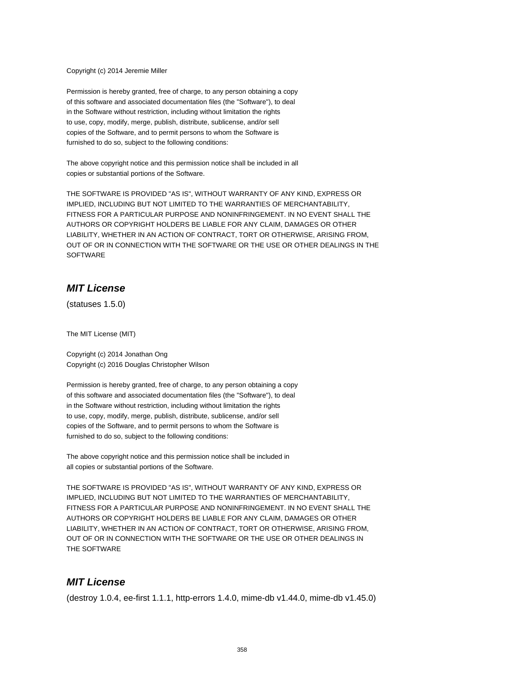Copyright (c) 2014 Jeremie Miller

Permission is hereby granted, free of charge, to any person obtaining a copy of this software and associated documentation files (the "Software"), to deal in the Software without restriction, including without limitation the rights to use, copy, modify, merge, publish, distribute, sublicense, and/or sell copies of the Software, and to permit persons to whom the Software is furnished to do so, subject to the following conditions:

The above copyright notice and this permission notice shall be included in all copies or substantial portions of the Software.

THE SOFTWARE IS PROVIDED "AS IS", WITHOUT WARRANTY OF ANY KIND, EXPRESS OR IMPLIED, INCLUDING BUT NOT LIMITED TO THE WARRANTIES OF MERCHANTABILITY, FITNESS FOR A PARTICULAR PURPOSE AND NONINFRINGEMENT. IN NO EVENT SHALL THE AUTHORS OR COPYRIGHT HOLDERS BE LIABLE FOR ANY CLAIM, DAMAGES OR OTHER LIABILITY, WHETHER IN AN ACTION OF CONTRACT, TORT OR OTHERWISE, ARISING FROM, OUT OF OR IN CONNECTION WITH THE SOFTWARE OR THE USE OR OTHER DEALINGS IN THE **SOFTWARE** 

# **MIT License**

(statuses 1.5.0)

The MIT License (MIT)

Copyright (c) 2014 Jonathan Ong Copyright (c) 2016 Douglas Christopher Wilson

Permission is hereby granted, free of charge, to any person obtaining a copy of this software and associated documentation files (the "Software"), to deal in the Software without restriction, including without limitation the rights to use, copy, modify, merge, publish, distribute, sublicense, and/or sell copies of the Software, and to permit persons to whom the Software is furnished to do so, subject to the following conditions:

The above copyright notice and this permission notice shall be included in all copies or substantial portions of the Software.

THE SOFTWARE IS PROVIDED "AS IS", WITHOUT WARRANTY OF ANY KIND, EXPRESS OR IMPLIED, INCLUDING BUT NOT LIMITED TO THE WARRANTIES OF MERCHANTABILITY, FITNESS FOR A PARTICULAR PURPOSE AND NONINFRINGEMENT. IN NO EVENT SHALL THE AUTHORS OR COPYRIGHT HOLDERS BE LIABLE FOR ANY CLAIM, DAMAGES OR OTHER LIABILITY, WHETHER IN AN ACTION OF CONTRACT, TORT OR OTHERWISE, ARISING FROM, OUT OF OR IN CONNECTION WITH THE SOFTWARE OR THE USE OR OTHER DEALINGS IN THE SOFTWARE

# **MIT License**

(destroy 1.0.4, ee-first 1.1.1, http-errors 1.4.0, mime-db v1.44.0, mime-db v1.45.0)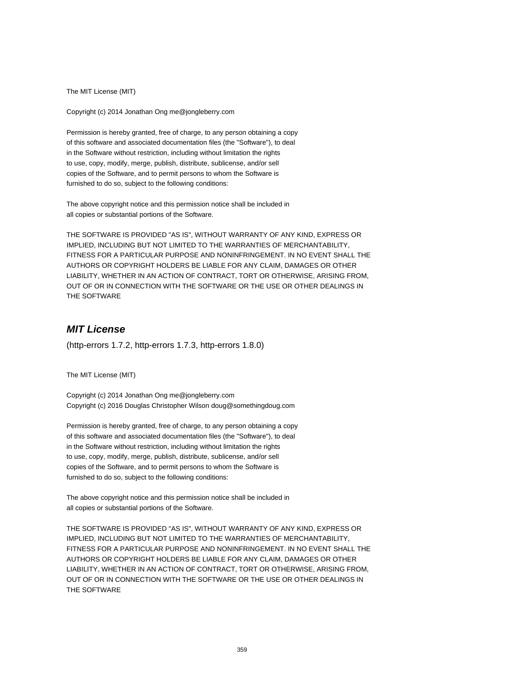The MIT License (MIT)

Copyright (c) 2014 Jonathan Ong me@jongleberry.com

Permission is hereby granted, free of charge, to any person obtaining a copy of this software and associated documentation files (the "Software"), to deal in the Software without restriction, including without limitation the rights to use, copy, modify, merge, publish, distribute, sublicense, and/or sell copies of the Software, and to permit persons to whom the Software is furnished to do so, subject to the following conditions:

The above copyright notice and this permission notice shall be included in all copies or substantial portions of the Software.

THE SOFTWARE IS PROVIDED "AS IS", WITHOUT WARRANTY OF ANY KIND, EXPRESS OR IMPLIED, INCLUDING BUT NOT LIMITED TO THE WARRANTIES OF MERCHANTABILITY, FITNESS FOR A PARTICULAR PURPOSE AND NONINFRINGEMENT. IN NO EVENT SHALL THE AUTHORS OR COPYRIGHT HOLDERS BE LIABLE FOR ANY CLAIM, DAMAGES OR OTHER LIABILITY, WHETHER IN AN ACTION OF CONTRACT, TORT OR OTHERWISE, ARISING FROM, OUT OF OR IN CONNECTION WITH THE SOFTWARE OR THE USE OR OTHER DEALINGS IN THE SOFTWARE

# **MIT License**

(http-errors 1.7.2, http-errors 1.7.3, http-errors 1.8.0)

The MIT License (MIT)

Copyright (c) 2014 Jonathan Ong me@jongleberry.com Copyright (c) 2016 Douglas Christopher Wilson doug@somethingdoug.com

Permission is hereby granted, free of charge, to any person obtaining a copy of this software and associated documentation files (the "Software"), to deal in the Software without restriction, including without limitation the rights to use, copy, modify, merge, publish, distribute, sublicense, and/or sell copies of the Software, and to permit persons to whom the Software is furnished to do so, subject to the following conditions:

The above copyright notice and this permission notice shall be included in all copies or substantial portions of the Software.

THE SOFTWARE IS PROVIDED "AS IS", WITHOUT WARRANTY OF ANY KIND, EXPRESS OR IMPLIED, INCLUDING BUT NOT LIMITED TO THE WARRANTIES OF MERCHANTABILITY, FITNESS FOR A PARTICULAR PURPOSE AND NONINFRINGEMENT. IN NO EVENT SHALL THE AUTHORS OR COPYRIGHT HOLDERS BE LIABLE FOR ANY CLAIM, DAMAGES OR OTHER LIABILITY, WHETHER IN AN ACTION OF CONTRACT, TORT OR OTHERWISE, ARISING FROM, OUT OF OR IN CONNECTION WITH THE SOFTWARE OR THE USE OR OTHER DEALINGS IN THE SOFTWARE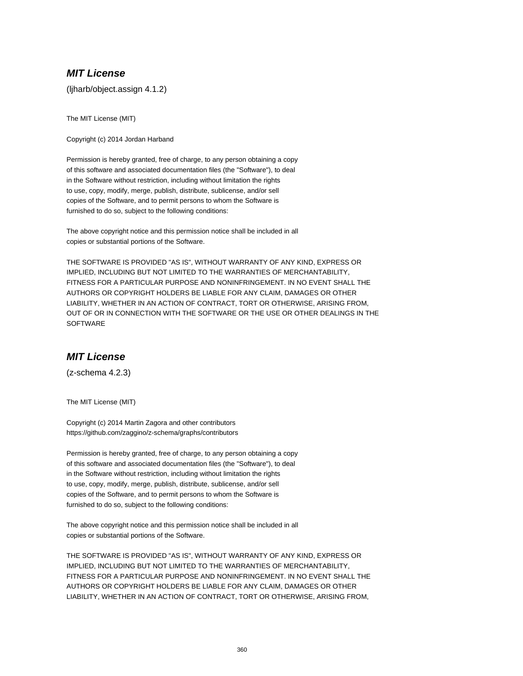(ljharb/object.assign 4.1.2)

The MIT License (MIT)

Copyright (c) 2014 Jordan Harband

Permission is hereby granted, free of charge, to any person obtaining a copy of this software and associated documentation files (the "Software"), to deal in the Software without restriction, including without limitation the rights to use, copy, modify, merge, publish, distribute, sublicense, and/or sell copies of the Software, and to permit persons to whom the Software is furnished to do so, subject to the following conditions:

The above copyright notice and this permission notice shall be included in all copies or substantial portions of the Software.

THE SOFTWARE IS PROVIDED "AS IS", WITHOUT WARRANTY OF ANY KIND, EXPRESS OR IMPLIED, INCLUDING BUT NOT LIMITED TO THE WARRANTIES OF MERCHANTABILITY, FITNESS FOR A PARTICULAR PURPOSE AND NONINFRINGEMENT. IN NO EVENT SHALL THE AUTHORS OR COPYRIGHT HOLDERS BE LIABLE FOR ANY CLAIM, DAMAGES OR OTHER LIABILITY, WHETHER IN AN ACTION OF CONTRACT, TORT OR OTHERWISE, ARISING FROM, OUT OF OR IN CONNECTION WITH THE SOFTWARE OR THE USE OR OTHER DEALINGS IN THE **SOFTWARE** 

### **MIT License**

(z-schema 4.2.3)

The MIT License (MIT)

Copyright (c) 2014 Martin Zagora and other contributors https://github.com/zaggino/z-schema/graphs/contributors

Permission is hereby granted, free of charge, to any person obtaining a copy of this software and associated documentation files (the "Software"), to deal in the Software without restriction, including without limitation the rights to use, copy, modify, merge, publish, distribute, sublicense, and/or sell copies of the Software, and to permit persons to whom the Software is furnished to do so, subject to the following conditions:

The above copyright notice and this permission notice shall be included in all copies or substantial portions of the Software.

THE SOFTWARE IS PROVIDED "AS IS", WITHOUT WARRANTY OF ANY KIND, EXPRESS OR IMPLIED, INCLUDING BUT NOT LIMITED TO THE WARRANTIES OF MERCHANTABILITY, FITNESS FOR A PARTICULAR PURPOSE AND NONINFRINGEMENT. IN NO EVENT SHALL THE AUTHORS OR COPYRIGHT HOLDERS BE LIABLE FOR ANY CLAIM, DAMAGES OR OTHER LIABILITY, WHETHER IN AN ACTION OF CONTRACT, TORT OR OTHERWISE, ARISING FROM,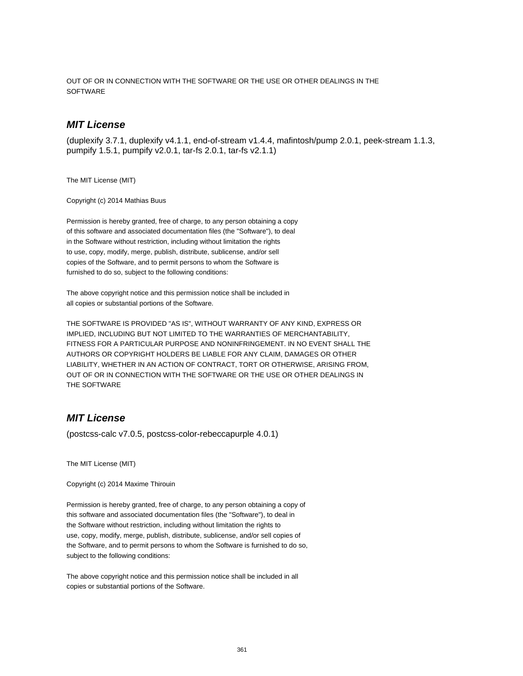OUT OF OR IN CONNECTION WITH THE SOFTWARE OR THE USE OR OTHER DEALINGS IN THE **SOFTWARE** 

## **MIT License**

(duplexify 3.7.1, duplexify v4.1.1, end-of-stream v1.4.4, mafintosh/pump 2.0.1, peek-stream 1.1.3, pumpify 1.5.1, pumpify v2.0.1, tar-fs 2.0.1, tar-fs v2.1.1)

The MIT License (MIT)

Copyright (c) 2014 Mathias Buus

Permission is hereby granted, free of charge, to any person obtaining a copy of this software and associated documentation files (the "Software"), to deal in the Software without restriction, including without limitation the rights to use, copy, modify, merge, publish, distribute, sublicense, and/or sell copies of the Software, and to permit persons to whom the Software is furnished to do so, subject to the following conditions:

The above copyright notice and this permission notice shall be included in all copies or substantial portions of the Software.

THE SOFTWARE IS PROVIDED "AS IS", WITHOUT WARRANTY OF ANY KIND, EXPRESS OR IMPLIED, INCLUDING BUT NOT LIMITED TO THE WARRANTIES OF MERCHANTABILITY, FITNESS FOR A PARTICULAR PURPOSE AND NONINFRINGEMENT. IN NO EVENT SHALL THE AUTHORS OR COPYRIGHT HOLDERS BE LIABLE FOR ANY CLAIM, DAMAGES OR OTHER LIABILITY, WHETHER IN AN ACTION OF CONTRACT, TORT OR OTHERWISE, ARISING FROM, OUT OF OR IN CONNECTION WITH THE SOFTWARE OR THE USE OR OTHER DEALINGS IN THE SOFTWARE

# **MIT License**

(postcss-calc v7.0.5, postcss-color-rebeccapurple 4.0.1)

The MIT License (MIT)

Copyright (c) 2014 Maxime Thirouin

Permission is hereby granted, free of charge, to any person obtaining a copy of this software and associated documentation files (the "Software"), to deal in the Software without restriction, including without limitation the rights to use, copy, modify, merge, publish, distribute, sublicense, and/or sell copies of the Software, and to permit persons to whom the Software is furnished to do so, subject to the following conditions:

The above copyright notice and this permission notice shall be included in all copies or substantial portions of the Software.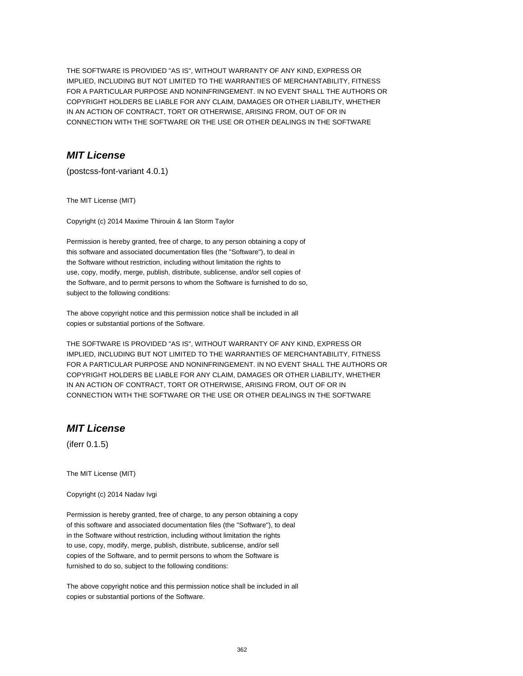THE SOFTWARE IS PROVIDED "AS IS", WITHOUT WARRANTY OF ANY KIND, EXPRESS OR IMPLIED, INCLUDING BUT NOT LIMITED TO THE WARRANTIES OF MERCHANTABILITY, FITNESS FOR A PARTICULAR PURPOSE AND NONINFRINGEMENT. IN NO EVENT SHALL THE AUTHORS OR COPYRIGHT HOLDERS BE LIABLE FOR ANY CLAIM, DAMAGES OR OTHER LIABILITY, WHETHER IN AN ACTION OF CONTRACT, TORT OR OTHERWISE, ARISING FROM, OUT OF OR IN CONNECTION WITH THE SOFTWARE OR THE USE OR OTHER DEALINGS IN THE SOFTWARE

# **MIT License**

(postcss-font-variant 4.0.1)

The MIT License (MIT)

Copyright (c) 2014 Maxime Thirouin & Ian Storm Taylor

Permission is hereby granted, free of charge, to any person obtaining a copy of this software and associated documentation files (the "Software"), to deal in the Software without restriction, including without limitation the rights to use, copy, modify, merge, publish, distribute, sublicense, and/or sell copies of the Software, and to permit persons to whom the Software is furnished to do so, subject to the following conditions:

The above copyright notice and this permission notice shall be included in all copies or substantial portions of the Software.

THE SOFTWARE IS PROVIDED "AS IS", WITHOUT WARRANTY OF ANY KIND, EXPRESS OR IMPLIED, INCLUDING BUT NOT LIMITED TO THE WARRANTIES OF MERCHANTABILITY, FITNESS FOR A PARTICULAR PURPOSE AND NONINFRINGEMENT. IN NO EVENT SHALL THE AUTHORS OR COPYRIGHT HOLDERS BE LIABLE FOR ANY CLAIM, DAMAGES OR OTHER LIABILITY, WHETHER IN AN ACTION OF CONTRACT, TORT OR OTHERWISE, ARISING FROM, OUT OF OR IN CONNECTION WITH THE SOFTWARE OR THE USE OR OTHER DEALINGS IN THE SOFTWARE

# **MIT License**

(iferr 0.1.5)

The MIT License (MIT)

Copyright (c) 2014 Nadav Ivgi

Permission is hereby granted, free of charge, to any person obtaining a copy of this software and associated documentation files (the "Software"), to deal in the Software without restriction, including without limitation the rights to use, copy, modify, merge, publish, distribute, sublicense, and/or sell copies of the Software, and to permit persons to whom the Software is furnished to do so, subject to the following conditions:

The above copyright notice and this permission notice shall be included in all copies or substantial portions of the Software.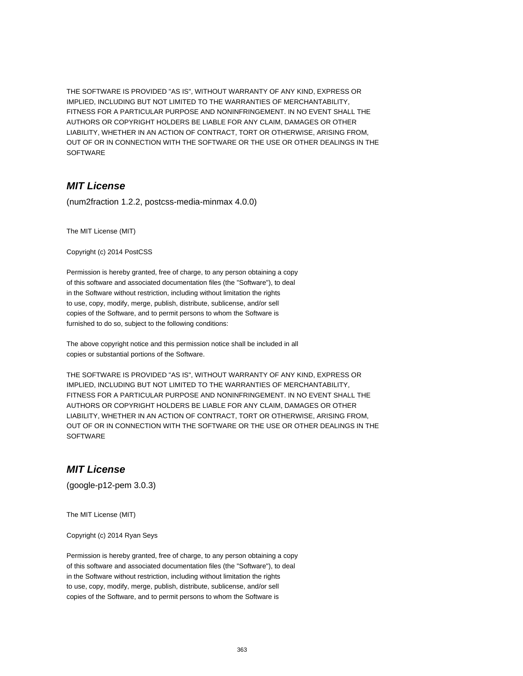THE SOFTWARE IS PROVIDED "AS IS", WITHOUT WARRANTY OF ANY KIND, EXPRESS OR IMPLIED, INCLUDING BUT NOT LIMITED TO THE WARRANTIES OF MERCHANTABILITY, FITNESS FOR A PARTICULAR PURPOSE AND NONINFRINGEMENT. IN NO EVENT SHALL THE AUTHORS OR COPYRIGHT HOLDERS BE LIABLE FOR ANY CLAIM, DAMAGES OR OTHER LIABILITY, WHETHER IN AN ACTION OF CONTRACT, TORT OR OTHERWISE, ARISING FROM, OUT OF OR IN CONNECTION WITH THE SOFTWARE OR THE USE OR OTHER DEALINGS IN THE **SOFTWARE** 

## **MIT License**

(num2fraction 1.2.2, postcss-media-minmax 4.0.0)

The MIT License (MIT)

Copyright (c) 2014 PostCSS

Permission is hereby granted, free of charge, to any person obtaining a copy of this software and associated documentation files (the "Software"), to deal in the Software without restriction, including without limitation the rights to use, copy, modify, merge, publish, distribute, sublicense, and/or sell copies of the Software, and to permit persons to whom the Software is furnished to do so, subject to the following conditions:

The above copyright notice and this permission notice shall be included in all copies or substantial portions of the Software.

THE SOFTWARE IS PROVIDED "AS IS", WITHOUT WARRANTY OF ANY KIND, EXPRESS OR IMPLIED, INCLUDING BUT NOT LIMITED TO THE WARRANTIES OF MERCHANTABILITY, FITNESS FOR A PARTICULAR PURPOSE AND NONINFRINGEMENT. IN NO EVENT SHALL THE AUTHORS OR COPYRIGHT HOLDERS BE LIABLE FOR ANY CLAIM, DAMAGES OR OTHER LIABILITY, WHETHER IN AN ACTION OF CONTRACT, TORT OR OTHERWISE, ARISING FROM, OUT OF OR IN CONNECTION WITH THE SOFTWARE OR THE USE OR OTHER DEALINGS IN THE **SOFTWARE** 

## **MIT License**

(google-p12-pem 3.0.3)

The MIT License (MIT)

Copyright (c) 2014 Ryan Seys

Permission is hereby granted, free of charge, to any person obtaining a copy of this software and associated documentation files (the "Software"), to deal in the Software without restriction, including without limitation the rights to use, copy, modify, merge, publish, distribute, sublicense, and/or sell copies of the Software, and to permit persons to whom the Software is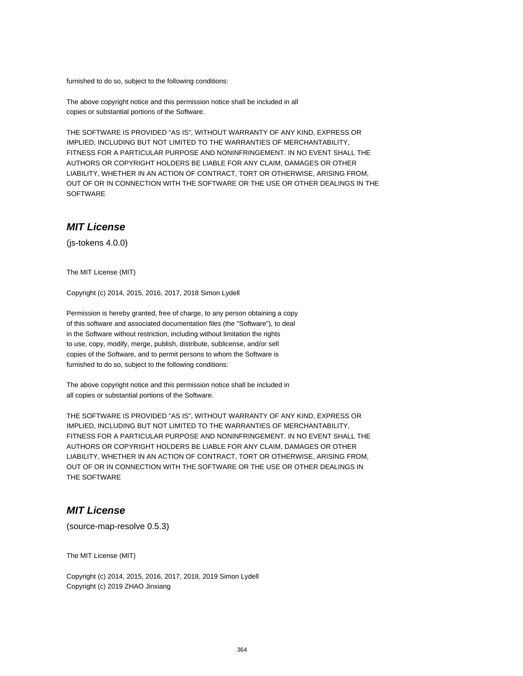furnished to do so, subject to the following conditions:

The above copyright notice and this permission notice shall be included in all copies or substantial portions of the Software.

THE SOFTWARE IS PROVIDED "AS IS", WITHOUT WARRANTY OF ANY KIND, EXPRESS OR IMPLIED, INCLUDING BUT NOT LIMITED TO THE WARRANTIES OF MERCHANTABILITY, FITNESS FOR A PARTICULAR PURPOSE AND NONINFRINGEMENT. IN NO EVENT SHALL THE AUTHORS OR COPYRIGHT HOLDERS BE LIABLE FOR ANY CLAIM, DAMAGES OR OTHER LIABILITY, WHETHER IN AN ACTION OF CONTRACT, TORT OR OTHERWISE, ARISING FROM, OUT OF OR IN CONNECTION WITH THE SOFTWARE OR THE USE OR OTHER DEALINGS IN THE SOFTWARE

## **MIT License**

(js-tokens 4.0.0)

The MIT License (MIT)

Copyright (c) 2014, 2015, 2016, 2017, 2018 Simon Lydell

Permission is hereby granted, free of charge, to any person obtaining a copy of this software and associated documentation files (the "Software"), to deal in the Software without restriction, including without limitation the rights to use, copy, modify, merge, publish, distribute, sublicense, and/or sell copies of the Software, and to permit persons to whom the Software is furnished to do so, subject to the following conditions:

The above copyright notice and this permission notice shall be included in all copies or substantial portions of the Software.

THE SOFTWARE IS PROVIDED "AS IS", WITHOUT WARRANTY OF ANY KIND, EXPRESS OR IMPLIED, INCLUDING BUT NOT LIMITED TO THE WARRANTIES OF MERCHANTABILITY, FITNESS FOR A PARTICULAR PURPOSE AND NONINFRINGEMENT. IN NO EVENT SHALL THE AUTHORS OR COPYRIGHT HOLDERS BE LIABLE FOR ANY CLAIM, DAMAGES OR OTHER LIABILITY, WHETHER IN AN ACTION OF CONTRACT, TORT OR OTHERWISE, ARISING FROM, OUT OF OR IN CONNECTION WITH THE SOFTWARE OR THE USE OR OTHER DEALINGS IN THE SOFTWARE

# **MIT License**

(source-map-resolve 0.5.3)

The MIT License (MIT)

Copyright (c) 2014, 2015, 2016, 2017, 2018, 2019 Simon Lydell Copyright (c) 2019 ZHAO Jinxiang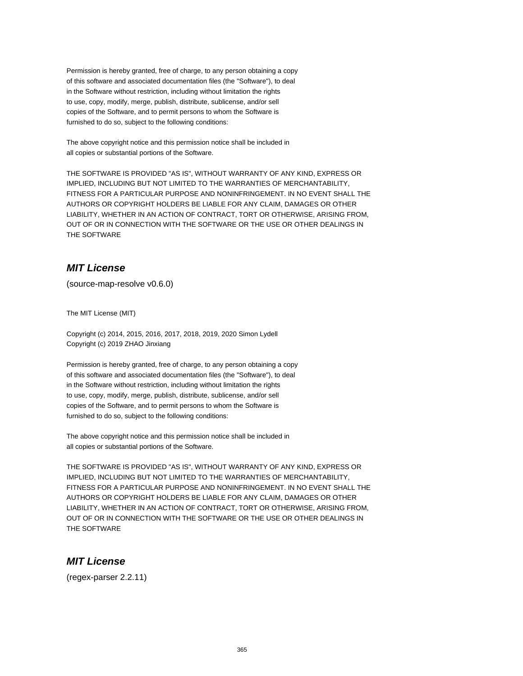Permission is hereby granted, free of charge, to any person obtaining a copy of this software and associated documentation files (the "Software"), to deal in the Software without restriction, including without limitation the rights to use, copy, modify, merge, publish, distribute, sublicense, and/or sell copies of the Software, and to permit persons to whom the Software is furnished to do so, subject to the following conditions:

The above copyright notice and this permission notice shall be included in all copies or substantial portions of the Software.

THE SOFTWARE IS PROVIDED "AS IS", WITHOUT WARRANTY OF ANY KIND, EXPRESS OR IMPLIED, INCLUDING BUT NOT LIMITED TO THE WARRANTIES OF MERCHANTABILITY, FITNESS FOR A PARTICULAR PURPOSE AND NONINFRINGEMENT. IN NO EVENT SHALL THE AUTHORS OR COPYRIGHT HOLDERS BE LIABLE FOR ANY CLAIM, DAMAGES OR OTHER LIABILITY, WHETHER IN AN ACTION OF CONTRACT, TORT OR OTHERWISE, ARISING FROM, OUT OF OR IN CONNECTION WITH THE SOFTWARE OR THE USE OR OTHER DEALINGS IN THE SOFTWARE

# **MIT License**

(source-map-resolve v0.6.0)

The MIT License (MIT)

Copyright (c) 2014, 2015, 2016, 2017, 2018, 2019, 2020 Simon Lydell Copyright (c) 2019 ZHAO Jinxiang

Permission is hereby granted, free of charge, to any person obtaining a copy of this software and associated documentation files (the "Software"), to deal in the Software without restriction, including without limitation the rights to use, copy, modify, merge, publish, distribute, sublicense, and/or sell copies of the Software, and to permit persons to whom the Software is furnished to do so, subject to the following conditions:

The above copyright notice and this permission notice shall be included in all copies or substantial portions of the Software.

THE SOFTWARE IS PROVIDED "AS IS", WITHOUT WARRANTY OF ANY KIND, EXPRESS OR IMPLIED, INCLUDING BUT NOT LIMITED TO THE WARRANTIES OF MERCHANTABILITY, FITNESS FOR A PARTICULAR PURPOSE AND NONINFRINGEMENT. IN NO EVENT SHALL THE AUTHORS OR COPYRIGHT HOLDERS BE LIABLE FOR ANY CLAIM, DAMAGES OR OTHER LIABILITY, WHETHER IN AN ACTION OF CONTRACT, TORT OR OTHERWISE, ARISING FROM, OUT OF OR IN CONNECTION WITH THE SOFTWARE OR THE USE OR OTHER DEALINGS IN THE SOFTWARE

## **MIT License**

(regex-parser 2.2.11)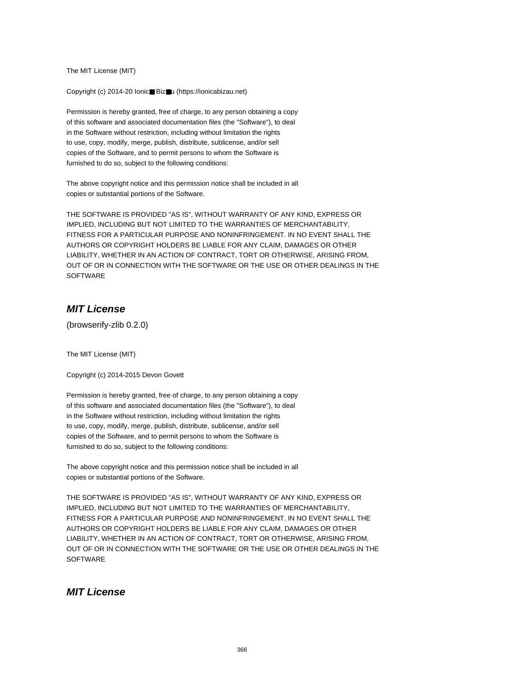The MIT License (MIT)

Copyright (c) 2014-20 Ionic■ Biz■u (https://ionicabizau.net)

Permission is hereby granted, free of charge, to any person obtaining a copy of this software and associated documentation files (the "Software"), to deal in the Software without restriction, including without limitation the rights to use, copy, modify, merge, publish, distribute, sublicense, and/or sell copies of the Software, and to permit persons to whom the Software is furnished to do so, subject to the following conditions:

The above copyright notice and this permission notice shall be included in all copies or substantial portions of the Software.

THE SOFTWARE IS PROVIDED "AS IS", WITHOUT WARRANTY OF ANY KIND, EXPRESS OR IMPLIED, INCLUDING BUT NOT LIMITED TO THE WARRANTIES OF MERCHANTABILITY, FITNESS FOR A PARTICULAR PURPOSE AND NONINFRINGEMENT. IN NO EVENT SHALL THE AUTHORS OR COPYRIGHT HOLDERS BE LIABLE FOR ANY CLAIM, DAMAGES OR OTHER LIABILITY, WHETHER IN AN ACTION OF CONTRACT, TORT OR OTHERWISE, ARISING FROM, OUT OF OR IN CONNECTION WITH THE SOFTWARE OR THE USE OR OTHER DEALINGS IN THE **SOFTWARE** 

# **MIT License**

(browserify-zlib 0.2.0)

The MIT License (MIT)

Copyright (c) 2014-2015 Devon Govett

Permission is hereby granted, free of charge, to any person obtaining a copy of this software and associated documentation files (the "Software"), to deal in the Software without restriction, including without limitation the rights to use, copy, modify, merge, publish, distribute, sublicense, and/or sell copies of the Software, and to permit persons to whom the Software is furnished to do so, subject to the following conditions:

The above copyright notice and this permission notice shall be included in all copies or substantial portions of the Software.

THE SOFTWARE IS PROVIDED "AS IS", WITHOUT WARRANTY OF ANY KIND, EXPRESS OR IMPLIED, INCLUDING BUT NOT LIMITED TO THE WARRANTIES OF MERCHANTABILITY, FITNESS FOR A PARTICULAR PURPOSE AND NONINFRINGEMENT. IN NO EVENT SHALL THE AUTHORS OR COPYRIGHT HOLDERS BE LIABLE FOR ANY CLAIM, DAMAGES OR OTHER LIABILITY, WHETHER IN AN ACTION OF CONTRACT, TORT OR OTHERWISE, ARISING FROM, OUT OF OR IN CONNECTION WITH THE SOFTWARE OR THE USE OR OTHER DEALINGS IN THE **SOFTWARE** 

## **MIT License**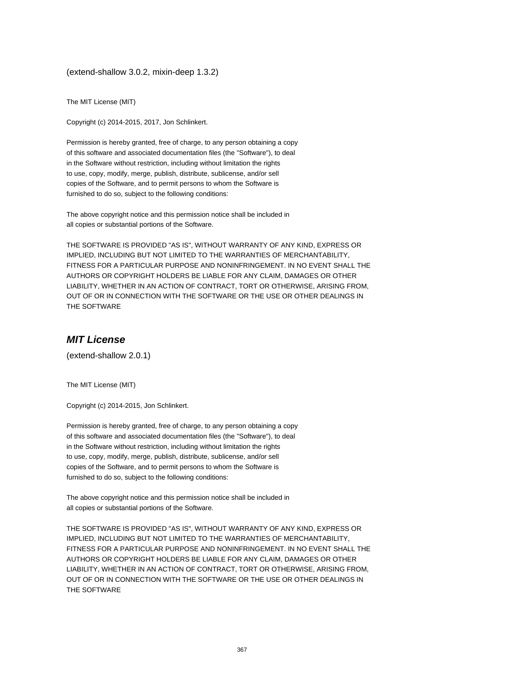(extend-shallow 3.0.2, mixin-deep 1.3.2)

The MIT License (MIT)

Copyright (c) 2014-2015, 2017, Jon Schlinkert.

Permission is hereby granted, free of charge, to any person obtaining a copy of this software and associated documentation files (the "Software"), to deal in the Software without restriction, including without limitation the rights to use, copy, modify, merge, publish, distribute, sublicense, and/or sell copies of the Software, and to permit persons to whom the Software is furnished to do so, subject to the following conditions:

The above copyright notice and this permission notice shall be included in all copies or substantial portions of the Software.

THE SOFTWARE IS PROVIDED "AS IS", WITHOUT WARRANTY OF ANY KIND, EXPRESS OR IMPLIED, INCLUDING BUT NOT LIMITED TO THE WARRANTIES OF MERCHANTABILITY, FITNESS FOR A PARTICULAR PURPOSE AND NONINFRINGEMENT. IN NO EVENT SHALL THE AUTHORS OR COPYRIGHT HOLDERS BE LIABLE FOR ANY CLAIM, DAMAGES OR OTHER LIABILITY, WHETHER IN AN ACTION OF CONTRACT, TORT OR OTHERWISE, ARISING FROM, OUT OF OR IN CONNECTION WITH THE SOFTWARE OR THE USE OR OTHER DEALINGS IN THE SOFTWARE

#### **MIT License**

(extend-shallow 2.0.1)

The MIT License (MIT)

Copyright (c) 2014-2015, Jon Schlinkert.

Permission is hereby granted, free of charge, to any person obtaining a copy of this software and associated documentation files (the "Software"), to deal in the Software without restriction, including without limitation the rights to use, copy, modify, merge, publish, distribute, sublicense, and/or sell copies of the Software, and to permit persons to whom the Software is furnished to do so, subject to the following conditions:

The above copyright notice and this permission notice shall be included in all copies or substantial portions of the Software.

THE SOFTWARE IS PROVIDED "AS IS", WITHOUT WARRANTY OF ANY KIND, EXPRESS OR IMPLIED, INCLUDING BUT NOT LIMITED TO THE WARRANTIES OF MERCHANTABILITY, FITNESS FOR A PARTICULAR PURPOSE AND NONINFRINGEMENT. IN NO EVENT SHALL THE AUTHORS OR COPYRIGHT HOLDERS BE LIABLE FOR ANY CLAIM, DAMAGES OR OTHER LIABILITY, WHETHER IN AN ACTION OF CONTRACT, TORT OR OTHERWISE, ARISING FROM, OUT OF OR IN CONNECTION WITH THE SOFTWARE OR THE USE OR OTHER DEALINGS IN THE SOFTWARE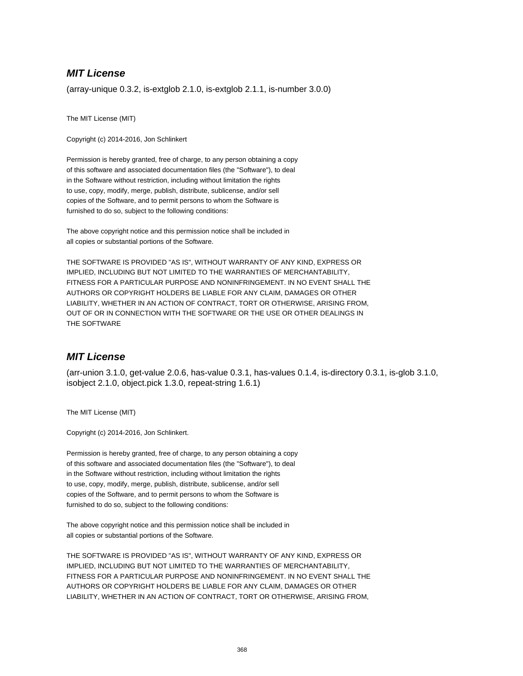## **MIT License**

(array-unique 0.3.2, is-extglob 2.1.0, is-extglob 2.1.1, is-number 3.0.0)

The MIT License (MIT)

Copyright (c) 2014-2016, Jon Schlinkert

Permission is hereby granted, free of charge, to any person obtaining a copy of this software and associated documentation files (the "Software"), to deal in the Software without restriction, including without limitation the rights to use, copy, modify, merge, publish, distribute, sublicense, and/or sell copies of the Software, and to permit persons to whom the Software is furnished to do so, subject to the following conditions:

The above copyright notice and this permission notice shall be included in all copies or substantial portions of the Software.

THE SOFTWARE IS PROVIDED "AS IS", WITHOUT WARRANTY OF ANY KIND, EXPRESS OR IMPLIED, INCLUDING BUT NOT LIMITED TO THE WARRANTIES OF MERCHANTABILITY, FITNESS FOR A PARTICULAR PURPOSE AND NONINFRINGEMENT. IN NO EVENT SHALL THE AUTHORS OR COPYRIGHT HOLDERS BE LIABLE FOR ANY CLAIM, DAMAGES OR OTHER LIABILITY, WHETHER IN AN ACTION OF CONTRACT, TORT OR OTHERWISE, ARISING FROM, OUT OF OR IN CONNECTION WITH THE SOFTWARE OR THE USE OR OTHER DEALINGS IN THE SOFTWARE

## **MIT License**

(arr-union 3.1.0, get-value 2.0.6, has-value 0.3.1, has-values 0.1.4, is-directory 0.3.1, is-glob 3.1.0, isobject 2.1.0, object.pick 1.3.0, repeat-string 1.6.1)

The MIT License (MIT)

Copyright (c) 2014-2016, Jon Schlinkert.

Permission is hereby granted, free of charge, to any person obtaining a copy of this software and associated documentation files (the "Software"), to deal in the Software without restriction, including without limitation the rights to use, copy, modify, merge, publish, distribute, sublicense, and/or sell copies of the Software, and to permit persons to whom the Software is furnished to do so, subject to the following conditions:

The above copyright notice and this permission notice shall be included in all copies or substantial portions of the Software.

THE SOFTWARE IS PROVIDED "AS IS", WITHOUT WARRANTY OF ANY KIND, EXPRESS OR IMPLIED, INCLUDING BUT NOT LIMITED TO THE WARRANTIES OF MERCHANTABILITY, FITNESS FOR A PARTICULAR PURPOSE AND NONINFRINGEMENT. IN NO EVENT SHALL THE AUTHORS OR COPYRIGHT HOLDERS BE LIABLE FOR ANY CLAIM, DAMAGES OR OTHER LIABILITY, WHETHER IN AN ACTION OF CONTRACT, TORT OR OTHERWISE, ARISING FROM,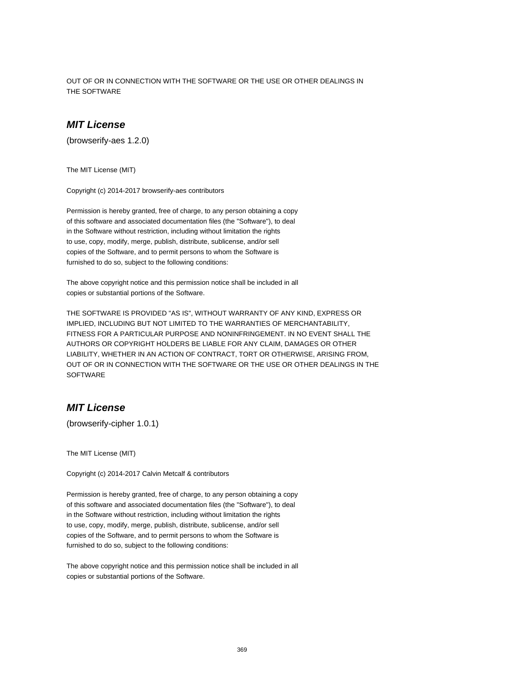OUT OF OR IN CONNECTION WITH THE SOFTWARE OR THE USE OR OTHER DEALINGS IN THE SOFTWARE

## **MIT License**

(browserify-aes 1.2.0)

The MIT License (MIT)

Copyright (c) 2014-2017 browserify-aes contributors

Permission is hereby granted, free of charge, to any person obtaining a copy of this software and associated documentation files (the "Software"), to deal in the Software without restriction, including without limitation the rights to use, copy, modify, merge, publish, distribute, sublicense, and/or sell copies of the Software, and to permit persons to whom the Software is furnished to do so, subject to the following conditions:

The above copyright notice and this permission notice shall be included in all copies or substantial portions of the Software.

THE SOFTWARE IS PROVIDED "AS IS", WITHOUT WARRANTY OF ANY KIND, EXPRESS OR IMPLIED, INCLUDING BUT NOT LIMITED TO THE WARRANTIES OF MERCHANTABILITY, FITNESS FOR A PARTICULAR PURPOSE AND NONINFRINGEMENT. IN NO EVENT SHALL THE AUTHORS OR COPYRIGHT HOLDERS BE LIABLE FOR ANY CLAIM, DAMAGES OR OTHER LIABILITY, WHETHER IN AN ACTION OF CONTRACT, TORT OR OTHERWISE, ARISING FROM, OUT OF OR IN CONNECTION WITH THE SOFTWARE OR THE USE OR OTHER DEALINGS IN THE **SOFTWARE** 

### **MIT License**

(browserify-cipher 1.0.1)

The MIT License (MIT)

Copyright (c) 2014-2017 Calvin Metcalf & contributors

Permission is hereby granted, free of charge, to any person obtaining a copy of this software and associated documentation files (the "Software"), to deal in the Software without restriction, including without limitation the rights to use, copy, modify, merge, publish, distribute, sublicense, and/or sell copies of the Software, and to permit persons to whom the Software is furnished to do so, subject to the following conditions:

The above copyright notice and this permission notice shall be included in all copies or substantial portions of the Software.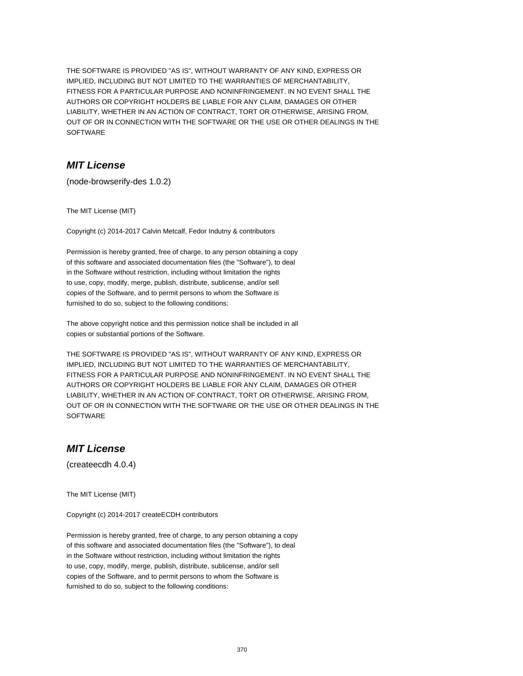THE SOFTWARE IS PROVIDED "AS IS", WITHOUT WARRANTY OF ANY KIND, EXPRESS OR IMPLIED, INCLUDING BUT NOT LIMITED TO THE WARRANTIES OF MERCHANTABILITY, FITNESS FOR A PARTICULAR PURPOSE AND NONINFRINGEMENT. IN NO EVENT SHALL THE AUTHORS OR COPYRIGHT HOLDERS BE LIABLE FOR ANY CLAIM, DAMAGES OR OTHER LIABILITY, WHETHER IN AN ACTION OF CONTRACT, TORT OR OTHERWISE, ARISING FROM, OUT OF OR IN CONNECTION WITH THE SOFTWARE OR THE USE OR OTHER DEALINGS IN THE SOFTWARE

## **MIT License**

(node-browserify-des 1.0.2)

The MIT License (MIT)

Copyright (c) 2014-2017 Calvin Metcalf, Fedor Indutny & contributors

Permission is hereby granted, free of charge, to any person obtaining a copy of this software and associated documentation files (the "Software"), to deal in the Software without restriction, including without limitation the rights to use, copy, modify, merge, publish, distribute, sublicense, and/or sell copies of the Software, and to permit persons to whom the Software is furnished to do so, subject to the following conditions:

The above copyright notice and this permission notice shall be included in all copies or substantial portions of the Software.

THE SOFTWARE IS PROVIDED "AS IS", WITHOUT WARRANTY OF ANY KIND, EXPRESS OR IMPLIED, INCLUDING BUT NOT LIMITED TO THE WARRANTIES OF MERCHANTABILITY, FITNESS FOR A PARTICULAR PURPOSE AND NONINFRINGEMENT. IN NO EVENT SHALL THE AUTHORS OR COPYRIGHT HOLDERS BE LIABLE FOR ANY CLAIM, DAMAGES OR OTHER LIABILITY, WHETHER IN AN ACTION OF CONTRACT, TORT OR OTHERWISE, ARISING FROM, OUT OF OR IN CONNECTION WITH THE SOFTWARE OR THE USE OR OTHER DEALINGS IN THE **SOFTWARE** 

## **MIT License**

(createecdh 4.0.4)

The MIT License (MIT)

Copyright (c) 2014-2017 createECDH contributors

Permission is hereby granted, free of charge, to any person obtaining a copy of this software and associated documentation files (the "Software"), to deal in the Software without restriction, including without limitation the rights to use, copy, modify, merge, publish, distribute, sublicense, and/or sell copies of the Software, and to permit persons to whom the Software is furnished to do so, subject to the following conditions: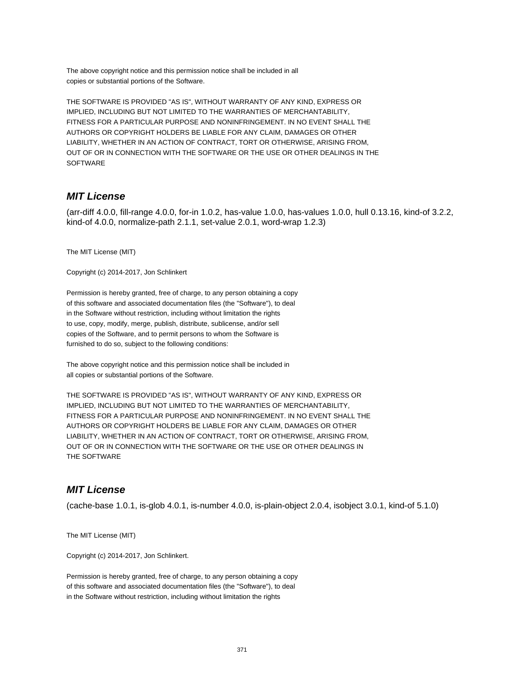The above copyright notice and this permission notice shall be included in all copies or substantial portions of the Software.

THE SOFTWARE IS PROVIDED "AS IS", WITHOUT WARRANTY OF ANY KIND, EXPRESS OR IMPLIED, INCLUDING BUT NOT LIMITED TO THE WARRANTIES OF MERCHANTABILITY, FITNESS FOR A PARTICULAR PURPOSE AND NONINFRINGEMENT. IN NO EVENT SHALL THE AUTHORS OR COPYRIGHT HOLDERS BE LIABLE FOR ANY CLAIM, DAMAGES OR OTHER LIABILITY, WHETHER IN AN ACTION OF CONTRACT, TORT OR OTHERWISE, ARISING FROM, OUT OF OR IN CONNECTION WITH THE SOFTWARE OR THE USE OR OTHER DEALINGS IN THE **SOFTWARE** 

## **MIT License**

(arr-diff 4.0.0, fill-range 4.0.0, for-in 1.0.2, has-value 1.0.0, has-values 1.0.0, hull 0.13.16, kind-of 3.2.2, kind-of 4.0.0, normalize-path 2.1.1, set-value 2.0.1, word-wrap 1.2.3)

The MIT License (MIT)

Copyright (c) 2014-2017, Jon Schlinkert

Permission is hereby granted, free of charge, to any person obtaining a copy of this software and associated documentation files (the "Software"), to deal in the Software without restriction, including without limitation the rights to use, copy, modify, merge, publish, distribute, sublicense, and/or sell copies of the Software, and to permit persons to whom the Software is furnished to do so, subject to the following conditions:

The above copyright notice and this permission notice shall be included in all copies or substantial portions of the Software.

THE SOFTWARE IS PROVIDED "AS IS", WITHOUT WARRANTY OF ANY KIND, EXPRESS OR IMPLIED, INCLUDING BUT NOT LIMITED TO THE WARRANTIES OF MERCHANTABILITY, FITNESS FOR A PARTICULAR PURPOSE AND NONINFRINGEMENT. IN NO EVENT SHALL THE AUTHORS OR COPYRIGHT HOLDERS BE LIABLE FOR ANY CLAIM, DAMAGES OR OTHER LIABILITY, WHETHER IN AN ACTION OF CONTRACT, TORT OR OTHERWISE, ARISING FROM, OUT OF OR IN CONNECTION WITH THE SOFTWARE OR THE USE OR OTHER DEALINGS IN THE SOFTWARE

## **MIT License**

(cache-base 1.0.1, is-glob 4.0.1, is-number 4.0.0, is-plain-object 2.0.4, isobject 3.0.1, kind-of 5.1.0)

The MIT License (MIT)

Copyright (c) 2014-2017, Jon Schlinkert.

Permission is hereby granted, free of charge, to any person obtaining a copy of this software and associated documentation files (the "Software"), to deal in the Software without restriction, including without limitation the rights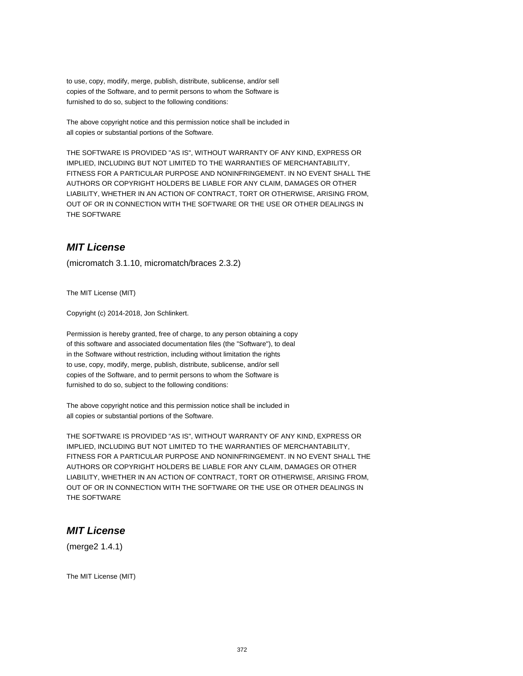to use, copy, modify, merge, publish, distribute, sublicense, and/or sell copies of the Software, and to permit persons to whom the Software is furnished to do so, subject to the following conditions:

The above copyright notice and this permission notice shall be included in all copies or substantial portions of the Software.

THE SOFTWARE IS PROVIDED "AS IS", WITHOUT WARRANTY OF ANY KIND, EXPRESS OR IMPLIED, INCLUDING BUT NOT LIMITED TO THE WARRANTIES OF MERCHANTABILITY, FITNESS FOR A PARTICULAR PURPOSE AND NONINFRINGEMENT. IN NO EVENT SHALL THE AUTHORS OR COPYRIGHT HOLDERS BE LIABLE FOR ANY CLAIM, DAMAGES OR OTHER LIABILITY, WHETHER IN AN ACTION OF CONTRACT, TORT OR OTHERWISE, ARISING FROM, OUT OF OR IN CONNECTION WITH THE SOFTWARE OR THE USE OR OTHER DEALINGS IN THE SOFTWARE

## **MIT License**

(micromatch 3.1.10, micromatch/braces 2.3.2)

The MIT License (MIT)

Copyright (c) 2014-2018, Jon Schlinkert.

Permission is hereby granted, free of charge, to any person obtaining a copy of this software and associated documentation files (the "Software"), to deal in the Software without restriction, including without limitation the rights to use, copy, modify, merge, publish, distribute, sublicense, and/or sell copies of the Software, and to permit persons to whom the Software is furnished to do so, subject to the following conditions:

The above copyright notice and this permission notice shall be included in all copies or substantial portions of the Software.

THE SOFTWARE IS PROVIDED "AS IS", WITHOUT WARRANTY OF ANY KIND, EXPRESS OR IMPLIED, INCLUDING BUT NOT LIMITED TO THE WARRANTIES OF MERCHANTABILITY, FITNESS FOR A PARTICULAR PURPOSE AND NONINFRINGEMENT. IN NO EVENT SHALL THE AUTHORS OR COPYRIGHT HOLDERS BE LIABLE FOR ANY CLAIM, DAMAGES OR OTHER LIABILITY, WHETHER IN AN ACTION OF CONTRACT, TORT OR OTHERWISE, ARISING FROM, OUT OF OR IN CONNECTION WITH THE SOFTWARE OR THE USE OR OTHER DEALINGS IN THE SOFTWARE

#### **MIT License**

(merge2 1.4.1)

The MIT License (MIT)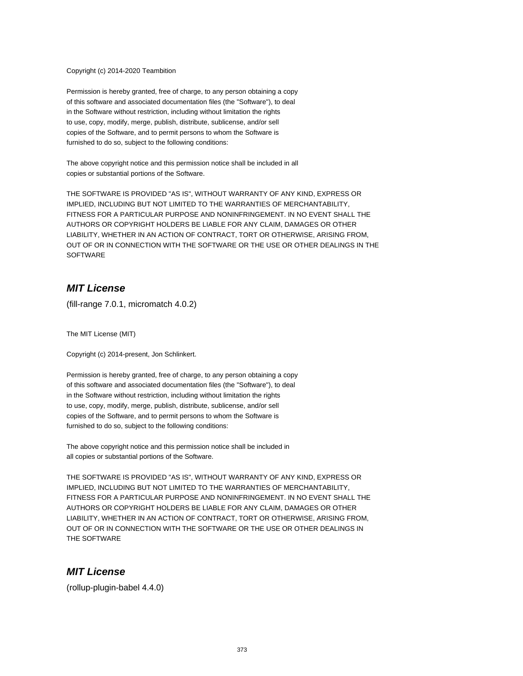#### Copyright (c) 2014-2020 Teambition

Permission is hereby granted, free of charge, to any person obtaining a copy of this software and associated documentation files (the "Software"), to deal in the Software without restriction, including without limitation the rights to use, copy, modify, merge, publish, distribute, sublicense, and/or sell copies of the Software, and to permit persons to whom the Software is furnished to do so, subject to the following conditions:

The above copyright notice and this permission notice shall be included in all copies or substantial portions of the Software.

THE SOFTWARE IS PROVIDED "AS IS", WITHOUT WARRANTY OF ANY KIND, EXPRESS OR IMPLIED, INCLUDING BUT NOT LIMITED TO THE WARRANTIES OF MERCHANTABILITY, FITNESS FOR A PARTICULAR PURPOSE AND NONINFRINGEMENT. IN NO EVENT SHALL THE AUTHORS OR COPYRIGHT HOLDERS BE LIABLE FOR ANY CLAIM, DAMAGES OR OTHER LIABILITY, WHETHER IN AN ACTION OF CONTRACT, TORT OR OTHERWISE, ARISING FROM, OUT OF OR IN CONNECTION WITH THE SOFTWARE OR THE USE OR OTHER DEALINGS IN THE **SOFTWARE** 

# **MIT License**

(fill-range 7.0.1, micromatch 4.0.2)

The MIT License (MIT)

Copyright (c) 2014-present, Jon Schlinkert.

Permission is hereby granted, free of charge, to any person obtaining a copy of this software and associated documentation files (the "Software"), to deal in the Software without restriction, including without limitation the rights to use, copy, modify, merge, publish, distribute, sublicense, and/or sell copies of the Software, and to permit persons to whom the Software is furnished to do so, subject to the following conditions:

The above copyright notice and this permission notice shall be included in all copies or substantial portions of the Software.

THE SOFTWARE IS PROVIDED "AS IS", WITHOUT WARRANTY OF ANY KIND, EXPRESS OR IMPLIED, INCLUDING BUT NOT LIMITED TO THE WARRANTIES OF MERCHANTABILITY, FITNESS FOR A PARTICULAR PURPOSE AND NONINFRINGEMENT. IN NO EVENT SHALL THE AUTHORS OR COPYRIGHT HOLDERS BE LIABLE FOR ANY CLAIM, DAMAGES OR OTHER LIABILITY, WHETHER IN AN ACTION OF CONTRACT, TORT OR OTHERWISE, ARISING FROM, OUT OF OR IN CONNECTION WITH THE SOFTWARE OR THE USE OR OTHER DEALINGS IN THE SOFTWARE

#### **MIT License**

(rollup-plugin-babel 4.4.0)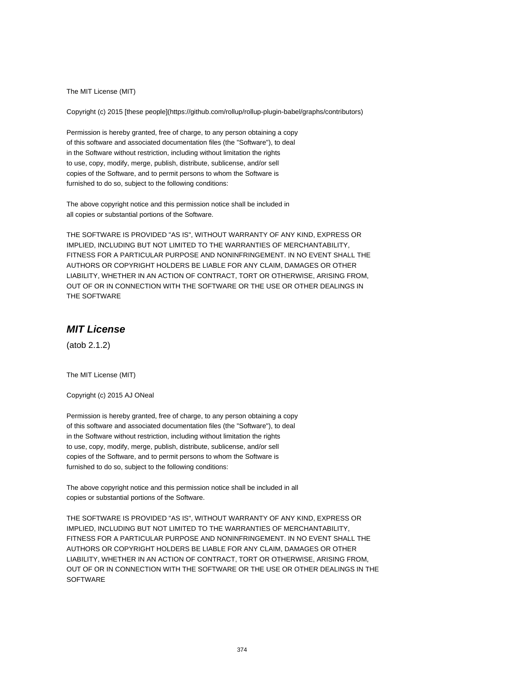The MIT License (MIT)

Copyright (c) 2015 [these people](https://github.com/rollup/rollup-plugin-babel/graphs/contributors)

Permission is hereby granted, free of charge, to any person obtaining a copy of this software and associated documentation files (the "Software"), to deal in the Software without restriction, including without limitation the rights to use, copy, modify, merge, publish, distribute, sublicense, and/or sell copies of the Software, and to permit persons to whom the Software is furnished to do so, subject to the following conditions:

The above copyright notice and this permission notice shall be included in all copies or substantial portions of the Software.

THE SOFTWARE IS PROVIDED "AS IS", WITHOUT WARRANTY OF ANY KIND, EXPRESS OR IMPLIED, INCLUDING BUT NOT LIMITED TO THE WARRANTIES OF MERCHANTABILITY, FITNESS FOR A PARTICULAR PURPOSE AND NONINFRINGEMENT. IN NO EVENT SHALL THE AUTHORS OR COPYRIGHT HOLDERS BE LIABLE FOR ANY CLAIM, DAMAGES OR OTHER LIABILITY, WHETHER IN AN ACTION OF CONTRACT, TORT OR OTHERWISE, ARISING FROM, OUT OF OR IN CONNECTION WITH THE SOFTWARE OR THE USE OR OTHER DEALINGS IN THE SOFTWARE

# **MIT License**

(atob 2.1.2)

The MIT License (MIT)

Copyright (c) 2015 AJ ONeal

Permission is hereby granted, free of charge, to any person obtaining a copy of this software and associated documentation files (the "Software"), to deal in the Software without restriction, including without limitation the rights to use, copy, modify, merge, publish, distribute, sublicense, and/or sell copies of the Software, and to permit persons to whom the Software is furnished to do so, subject to the following conditions:

The above copyright notice and this permission notice shall be included in all copies or substantial portions of the Software.

THE SOFTWARE IS PROVIDED "AS IS", WITHOUT WARRANTY OF ANY KIND, EXPRESS OR IMPLIED, INCLUDING BUT NOT LIMITED TO THE WARRANTIES OF MERCHANTABILITY, FITNESS FOR A PARTICULAR PURPOSE AND NONINFRINGEMENT. IN NO EVENT SHALL THE AUTHORS OR COPYRIGHT HOLDERS BE LIABLE FOR ANY CLAIM, DAMAGES OR OTHER LIABILITY, WHETHER IN AN ACTION OF CONTRACT, TORT OR OTHERWISE, ARISING FROM, OUT OF OR IN CONNECTION WITH THE SOFTWARE OR THE USE OR OTHER DEALINGS IN THE **SOFTWARE**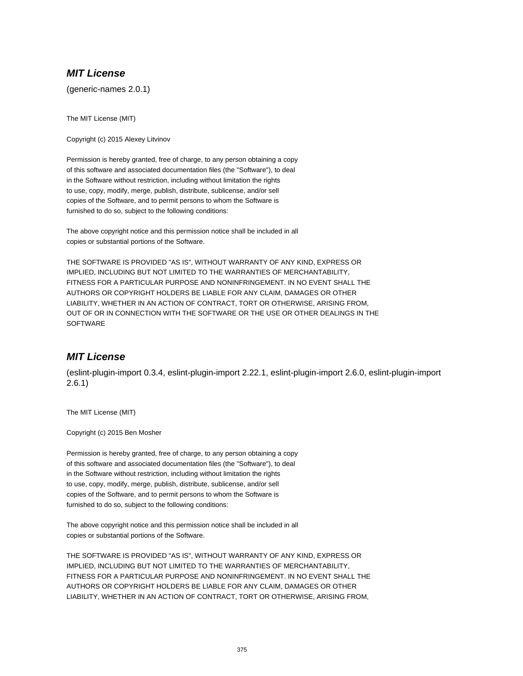# **MIT License**

(generic-names 2.0.1)

The MIT License (MIT)

Copyright (c) 2015 Alexey Litvinov

Permission is hereby granted, free of charge, to any person obtaining a copy of this software and associated documentation files (the "Software"), to deal in the Software without restriction, including without limitation the rights to use, copy, modify, merge, publish, distribute, sublicense, and/or sell copies of the Software, and to permit persons to whom the Software is furnished to do so, subject to the following conditions:

The above copyright notice and this permission notice shall be included in all copies or substantial portions of the Software.

THE SOFTWARE IS PROVIDED "AS IS", WITHOUT WARRANTY OF ANY KIND, EXPRESS OR IMPLIED, INCLUDING BUT NOT LIMITED TO THE WARRANTIES OF MERCHANTABILITY, FITNESS FOR A PARTICULAR PURPOSE AND NONINFRINGEMENT. IN NO EVENT SHALL THE AUTHORS OR COPYRIGHT HOLDERS BE LIABLE FOR ANY CLAIM, DAMAGES OR OTHER LIABILITY, WHETHER IN AN ACTION OF CONTRACT, TORT OR OTHERWISE, ARISING FROM, OUT OF OR IN CONNECTION WITH THE SOFTWARE OR THE USE OR OTHER DEALINGS IN THE **SOFTWARE** 

# **MIT License**

(eslint-plugin-import 0.3.4, eslint-plugin-import 2.22.1, eslint-plugin-import 2.6.0, eslint-plugin-import 2.6.1)

The MIT License (MIT)

Copyright (c) 2015 Ben Mosher

Permission is hereby granted, free of charge, to any person obtaining a copy of this software and associated documentation files (the "Software"), to deal in the Software without restriction, including without limitation the rights to use, copy, modify, merge, publish, distribute, sublicense, and/or sell copies of the Software, and to permit persons to whom the Software is furnished to do so, subject to the following conditions:

The above copyright notice and this permission notice shall be included in all copies or substantial portions of the Software.

THE SOFTWARE IS PROVIDED "AS IS", WITHOUT WARRANTY OF ANY KIND, EXPRESS OR IMPLIED, INCLUDING BUT NOT LIMITED TO THE WARRANTIES OF MERCHANTABILITY, FITNESS FOR A PARTICULAR PURPOSE AND NONINFRINGEMENT. IN NO EVENT SHALL THE AUTHORS OR COPYRIGHT HOLDERS BE LIABLE FOR ANY CLAIM, DAMAGES OR OTHER LIABILITY, WHETHER IN AN ACTION OF CONTRACT, TORT OR OTHERWISE, ARISING FROM,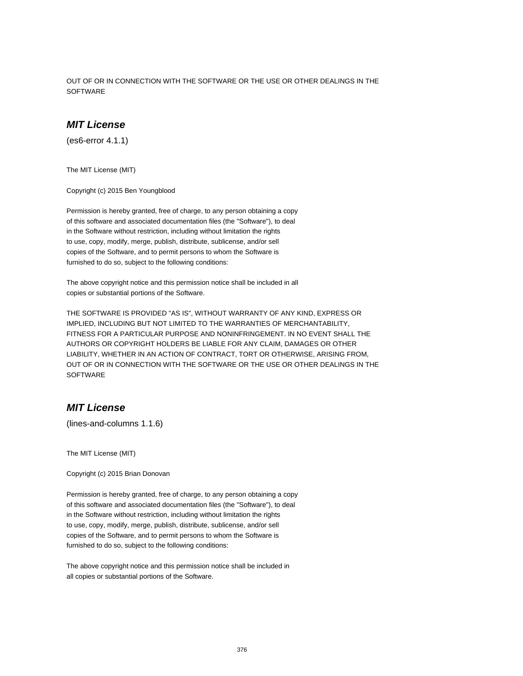OUT OF OR IN CONNECTION WITH THE SOFTWARE OR THE USE OR OTHER DEALINGS IN THE **SOFTWARE** 

## **MIT License**

(es6-error 4.1.1)

The MIT License (MIT)

Copyright (c) 2015 Ben Youngblood

Permission is hereby granted, free of charge, to any person obtaining a copy of this software and associated documentation files (the "Software"), to deal in the Software without restriction, including without limitation the rights to use, copy, modify, merge, publish, distribute, sublicense, and/or sell copies of the Software, and to permit persons to whom the Software is furnished to do so, subject to the following conditions:

The above copyright notice and this permission notice shall be included in all copies or substantial portions of the Software.

THE SOFTWARE IS PROVIDED "AS IS", WITHOUT WARRANTY OF ANY KIND, EXPRESS OR IMPLIED, INCLUDING BUT NOT LIMITED TO THE WARRANTIES OF MERCHANTABILITY, FITNESS FOR A PARTICULAR PURPOSE AND NONINFRINGEMENT. IN NO EVENT SHALL THE AUTHORS OR COPYRIGHT HOLDERS BE LIABLE FOR ANY CLAIM, DAMAGES OR OTHER LIABILITY, WHETHER IN AN ACTION OF CONTRACT, TORT OR OTHERWISE, ARISING FROM, OUT OF OR IN CONNECTION WITH THE SOFTWARE OR THE USE OR OTHER DEALINGS IN THE **SOFTWARE** 

## **MIT License**

(lines-and-columns 1.1.6)

The MIT License (MIT)

Copyright (c) 2015 Brian Donovan

Permission is hereby granted, free of charge, to any person obtaining a copy of this software and associated documentation files (the "Software"), to deal in the Software without restriction, including without limitation the rights to use, copy, modify, merge, publish, distribute, sublicense, and/or sell copies of the Software, and to permit persons to whom the Software is furnished to do so, subject to the following conditions:

The above copyright notice and this permission notice shall be included in all copies or substantial portions of the Software.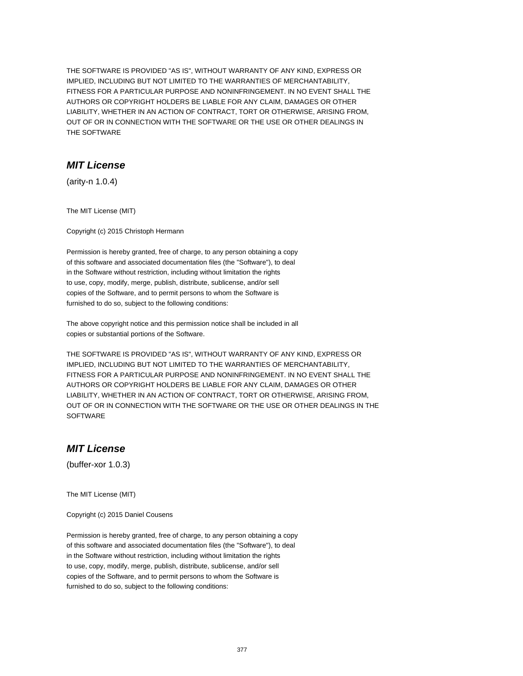THE SOFTWARE IS PROVIDED "AS IS", WITHOUT WARRANTY OF ANY KIND, EXPRESS OR IMPLIED, INCLUDING BUT NOT LIMITED TO THE WARRANTIES OF MERCHANTABILITY, FITNESS FOR A PARTICULAR PURPOSE AND NONINFRINGEMENT. IN NO EVENT SHALL THE AUTHORS OR COPYRIGHT HOLDERS BE LIABLE FOR ANY CLAIM, DAMAGES OR OTHER LIABILITY, WHETHER IN AN ACTION OF CONTRACT, TORT OR OTHERWISE, ARISING FROM, OUT OF OR IN CONNECTION WITH THE SOFTWARE OR THE USE OR OTHER DEALINGS IN THE SOFTWARE

## **MIT License**

(arity-n 1.0.4)

The MIT License (MIT)

Copyright (c) 2015 Christoph Hermann

Permission is hereby granted, free of charge, to any person obtaining a copy of this software and associated documentation files (the "Software"), to deal in the Software without restriction, including without limitation the rights to use, copy, modify, merge, publish, distribute, sublicense, and/or sell copies of the Software, and to permit persons to whom the Software is furnished to do so, subject to the following conditions:

The above copyright notice and this permission notice shall be included in all copies or substantial portions of the Software.

THE SOFTWARE IS PROVIDED "AS IS", WITHOUT WARRANTY OF ANY KIND, EXPRESS OR IMPLIED, INCLUDING BUT NOT LIMITED TO THE WARRANTIES OF MERCHANTABILITY, FITNESS FOR A PARTICULAR PURPOSE AND NONINFRINGEMENT. IN NO EVENT SHALL THE AUTHORS OR COPYRIGHT HOLDERS BE LIABLE FOR ANY CLAIM, DAMAGES OR OTHER LIABILITY, WHETHER IN AN ACTION OF CONTRACT, TORT OR OTHERWISE, ARISING FROM, OUT OF OR IN CONNECTION WITH THE SOFTWARE OR THE USE OR OTHER DEALINGS IN THE **SOFTWARE** 

## **MIT License**

(buffer-xor 1.0.3)

The MIT License (MIT)

Copyright (c) 2015 Daniel Cousens

Permission is hereby granted, free of charge, to any person obtaining a copy of this software and associated documentation files (the "Software"), to deal in the Software without restriction, including without limitation the rights to use, copy, modify, merge, publish, distribute, sublicense, and/or sell copies of the Software, and to permit persons to whom the Software is furnished to do so, subject to the following conditions: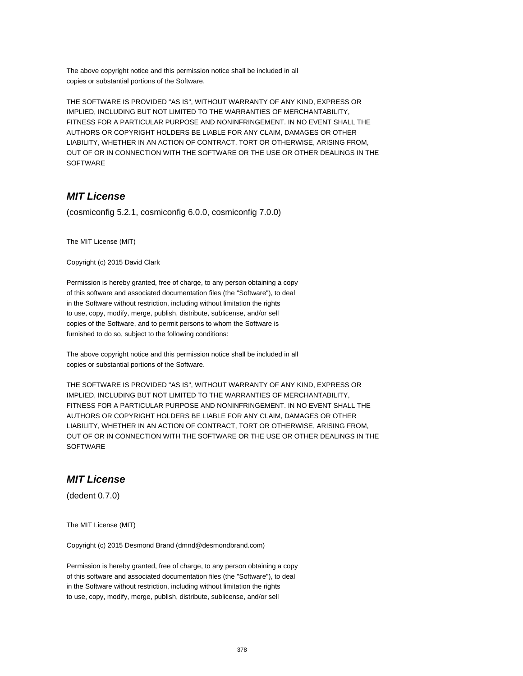The above copyright notice and this permission notice shall be included in all copies or substantial portions of the Software.

THE SOFTWARE IS PROVIDED "AS IS", WITHOUT WARRANTY OF ANY KIND, EXPRESS OR IMPLIED, INCLUDING BUT NOT LIMITED TO THE WARRANTIES OF MERCHANTABILITY, FITNESS FOR A PARTICULAR PURPOSE AND NONINFRINGEMENT. IN NO EVENT SHALL THE AUTHORS OR COPYRIGHT HOLDERS BE LIABLE FOR ANY CLAIM, DAMAGES OR OTHER LIABILITY, WHETHER IN AN ACTION OF CONTRACT, TORT OR OTHERWISE, ARISING FROM, OUT OF OR IN CONNECTION WITH THE SOFTWARE OR THE USE OR OTHER DEALINGS IN THE SOFTWARE

# **MIT License**

(cosmiconfig 5.2.1, cosmiconfig 6.0.0, cosmiconfig 7.0.0)

The MIT License (MIT)

Copyright (c) 2015 David Clark

Permission is hereby granted, free of charge, to any person obtaining a copy of this software and associated documentation files (the "Software"), to deal in the Software without restriction, including without limitation the rights to use, copy, modify, merge, publish, distribute, sublicense, and/or sell copies of the Software, and to permit persons to whom the Software is furnished to do so, subject to the following conditions:

The above copyright notice and this permission notice shall be included in all copies or substantial portions of the Software.

THE SOFTWARE IS PROVIDED "AS IS", WITHOUT WARRANTY OF ANY KIND, EXPRESS OR IMPLIED, INCLUDING BUT NOT LIMITED TO THE WARRANTIES OF MERCHANTABILITY, FITNESS FOR A PARTICULAR PURPOSE AND NONINFRINGEMENT. IN NO EVENT SHALL THE AUTHORS OR COPYRIGHT HOLDERS BE LIABLE FOR ANY CLAIM, DAMAGES OR OTHER LIABILITY, WHETHER IN AN ACTION OF CONTRACT, TORT OR OTHERWISE, ARISING FROM, OUT OF OR IN CONNECTION WITH THE SOFTWARE OR THE USE OR OTHER DEALINGS IN THE **SOFTWARE** 

# **MIT License**

(dedent 0.7.0)

The MIT License (MIT)

Copyright (c) 2015 Desmond Brand (dmnd@desmondbrand.com)

Permission is hereby granted, free of charge, to any person obtaining a copy of this software and associated documentation files (the "Software"), to deal in the Software without restriction, including without limitation the rights to use, copy, modify, merge, publish, distribute, sublicense, and/or sell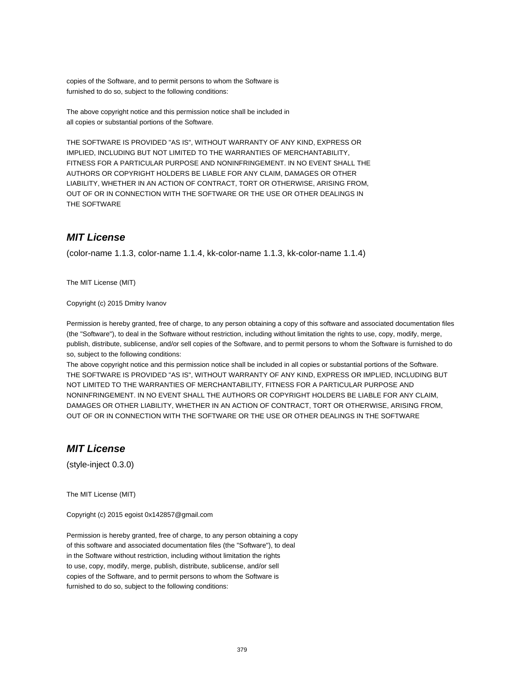copies of the Software, and to permit persons to whom the Software is furnished to do so, subject to the following conditions:

The above copyright notice and this permission notice shall be included in all copies or substantial portions of the Software.

THE SOFTWARE IS PROVIDED "AS IS", WITHOUT WARRANTY OF ANY KIND, EXPRESS OR IMPLIED, INCLUDING BUT NOT LIMITED TO THE WARRANTIES OF MERCHANTABILITY, FITNESS FOR A PARTICULAR PURPOSE AND NONINFRINGEMENT. IN NO EVENT SHALL THE AUTHORS OR COPYRIGHT HOLDERS BE LIABLE FOR ANY CLAIM, DAMAGES OR OTHER LIABILITY, WHETHER IN AN ACTION OF CONTRACT, TORT OR OTHERWISE, ARISING FROM, OUT OF OR IN CONNECTION WITH THE SOFTWARE OR THE USE OR OTHER DEALINGS IN THE SOFTWARE

# **MIT License**

(color-name 1.1.3, color-name 1.1.4, kk-color-name 1.1.3, kk-color-name 1.1.4)

The MIT License (MIT)

Copyright (c) 2015 Dmitry Ivanov

Permission is hereby granted, free of charge, to any person obtaining a copy of this software and associated documentation files (the "Software"), to deal in the Software without restriction, including without limitation the rights to use, copy, modify, merge, publish, distribute, sublicense, and/or sell copies of the Software, and to permit persons to whom the Software is furnished to do so, subject to the following conditions:

The above copyright notice and this permission notice shall be included in all copies or substantial portions of the Software. THE SOFTWARE IS PROVIDED "AS IS", WITHOUT WARRANTY OF ANY KIND, EXPRESS OR IMPLIED, INCLUDING BUT NOT LIMITED TO THE WARRANTIES OF MERCHANTABILITY, FITNESS FOR A PARTICULAR PURPOSE AND NONINFRINGEMENT. IN NO EVENT SHALL THE AUTHORS OR COPYRIGHT HOLDERS BE LIABLE FOR ANY CLAIM, DAMAGES OR OTHER LIABILITY, WHETHER IN AN ACTION OF CONTRACT, TORT OR OTHERWISE, ARISING FROM, OUT OF OR IN CONNECTION WITH THE SOFTWARE OR THE USE OR OTHER DEALINGS IN THE SOFTWARE

## **MIT License**

(style-inject 0.3.0)

The MIT License (MIT)

Copyright (c) 2015 egoist 0x142857@gmail.com

Permission is hereby granted, free of charge, to any person obtaining a copy of this software and associated documentation files (the "Software"), to deal in the Software without restriction, including without limitation the rights to use, copy, modify, merge, publish, distribute, sublicense, and/or sell copies of the Software, and to permit persons to whom the Software is furnished to do so, subject to the following conditions: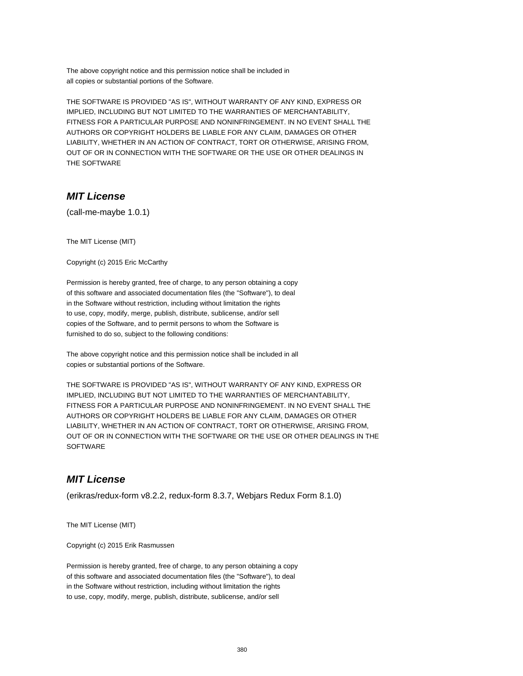The above copyright notice and this permission notice shall be included in all copies or substantial portions of the Software.

THE SOFTWARE IS PROVIDED "AS IS", WITHOUT WARRANTY OF ANY KIND, EXPRESS OR IMPLIED, INCLUDING BUT NOT LIMITED TO THE WARRANTIES OF MERCHANTABILITY, FITNESS FOR A PARTICULAR PURPOSE AND NONINFRINGEMENT. IN NO EVENT SHALL THE AUTHORS OR COPYRIGHT HOLDERS BE LIABLE FOR ANY CLAIM, DAMAGES OR OTHER LIABILITY, WHETHER IN AN ACTION OF CONTRACT, TORT OR OTHERWISE, ARISING FROM, OUT OF OR IN CONNECTION WITH THE SOFTWARE OR THE USE OR OTHER DEALINGS IN THE SOFTWARE

# **MIT License**

(call-me-maybe 1.0.1)

The MIT License (MIT)

Copyright (c) 2015 Eric McCarthy

Permission is hereby granted, free of charge, to any person obtaining a copy of this software and associated documentation files (the "Software"), to deal in the Software without restriction, including without limitation the rights to use, copy, modify, merge, publish, distribute, sublicense, and/or sell copies of the Software, and to permit persons to whom the Software is furnished to do so, subject to the following conditions:

The above copyright notice and this permission notice shall be included in all copies or substantial portions of the Software.

THE SOFTWARE IS PROVIDED "AS IS", WITHOUT WARRANTY OF ANY KIND, EXPRESS OR IMPLIED, INCLUDING BUT NOT LIMITED TO THE WARRANTIES OF MERCHANTABILITY, FITNESS FOR A PARTICULAR PURPOSE AND NONINFRINGEMENT. IN NO EVENT SHALL THE AUTHORS OR COPYRIGHT HOLDERS BE LIABLE FOR ANY CLAIM, DAMAGES OR OTHER LIABILITY, WHETHER IN AN ACTION OF CONTRACT, TORT OR OTHERWISE, ARISING FROM, OUT OF OR IN CONNECTION WITH THE SOFTWARE OR THE USE OR OTHER DEALINGS IN THE **SOFTWARE** 

#### **MIT License**

(erikras/redux-form v8.2.2, redux-form 8.3.7, Webjars Redux Form 8.1.0)

The MIT License (MIT)

Copyright (c) 2015 Erik Rasmussen

Permission is hereby granted, free of charge, to any person obtaining a copy of this software and associated documentation files (the "Software"), to deal in the Software without restriction, including without limitation the rights to use, copy, modify, merge, publish, distribute, sublicense, and/or sell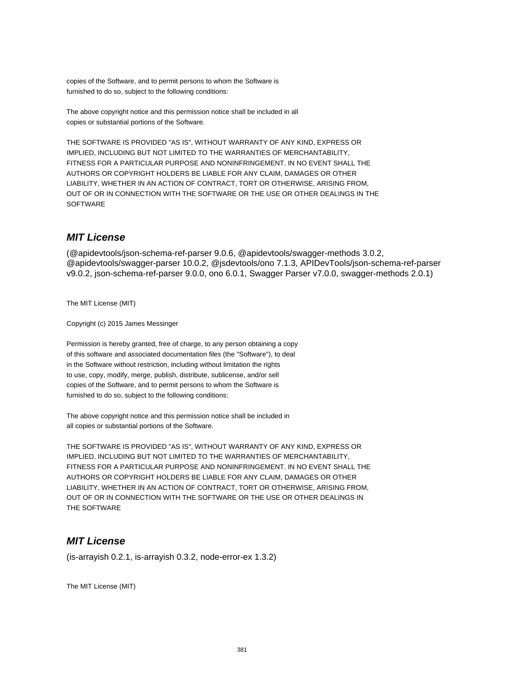copies of the Software, and to permit persons to whom the Software is furnished to do so, subject to the following conditions:

The above copyright notice and this permission notice shall be included in all copies or substantial portions of the Software.

THE SOFTWARE IS PROVIDED "AS IS", WITHOUT WARRANTY OF ANY KIND, EXPRESS OR IMPLIED, INCLUDING BUT NOT LIMITED TO THE WARRANTIES OF MERCHANTABILITY, FITNESS FOR A PARTICULAR PURPOSE AND NONINFRINGEMENT. IN NO EVENT SHALL THE AUTHORS OR COPYRIGHT HOLDERS BE LIABLE FOR ANY CLAIM, DAMAGES OR OTHER LIABILITY, WHETHER IN AN ACTION OF CONTRACT, TORT OR OTHERWISE, ARISING FROM, OUT OF OR IN CONNECTION WITH THE SOFTWARE OR THE USE OR OTHER DEALINGS IN THE **SOFTWARE** 

## **MIT License**

(@apidevtools/json-schema-ref-parser 9.0.6, @apidevtools/swagger-methods 3.0.2, @apidevtools/swagger-parser 10.0.2, @jsdevtools/ono 7.1.3, APIDevTools/json-schema-ref-parser v9.0.2, json-schema-ref-parser 9.0.0, ono 6.0.1, Swagger Parser v7.0.0, swagger-methods 2.0.1)

The MIT License (MIT)

Copyright (c) 2015 James Messinger

Permission is hereby granted, free of charge, to any person obtaining a copy of this software and associated documentation files (the "Software"), to deal in the Software without restriction, including without limitation the rights to use, copy, modify, merge, publish, distribute, sublicense, and/or sell copies of the Software, and to permit persons to whom the Software is furnished to do so, subject to the following conditions:

The above copyright notice and this permission notice shall be included in all copies or substantial portions of the Software.

THE SOFTWARE IS PROVIDED "AS IS", WITHOUT WARRANTY OF ANY KIND, EXPRESS OR IMPLIED, INCLUDING BUT NOT LIMITED TO THE WARRANTIES OF MERCHANTABILITY, FITNESS FOR A PARTICULAR PURPOSE AND NONINFRINGEMENT. IN NO EVENT SHALL THE AUTHORS OR COPYRIGHT HOLDERS BE LIABLE FOR ANY CLAIM, DAMAGES OR OTHER LIABILITY, WHETHER IN AN ACTION OF CONTRACT, TORT OR OTHERWISE, ARISING FROM, OUT OF OR IN CONNECTION WITH THE SOFTWARE OR THE USE OR OTHER DEALINGS IN THE SOFTWARE

# **MIT License**

(is-arrayish 0.2.1, is-arrayish 0.3.2, node-error-ex 1.3.2)

The MIT License (MIT)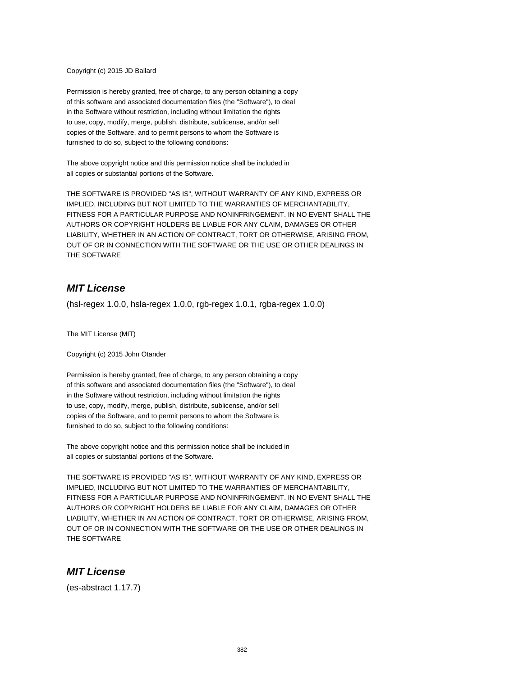#### Copyright (c) 2015 JD Ballard

Permission is hereby granted, free of charge, to any person obtaining a copy of this software and associated documentation files (the "Software"), to deal in the Software without restriction, including without limitation the rights to use, copy, modify, merge, publish, distribute, sublicense, and/or sell copies of the Software, and to permit persons to whom the Software is furnished to do so, subject to the following conditions:

The above copyright notice and this permission notice shall be included in all copies or substantial portions of the Software.

THE SOFTWARE IS PROVIDED "AS IS", WITHOUT WARRANTY OF ANY KIND, EXPRESS OR IMPLIED, INCLUDING BUT NOT LIMITED TO THE WARRANTIES OF MERCHANTABILITY, FITNESS FOR A PARTICULAR PURPOSE AND NONINFRINGEMENT. IN NO EVENT SHALL THE AUTHORS OR COPYRIGHT HOLDERS BE LIABLE FOR ANY CLAIM, DAMAGES OR OTHER LIABILITY, WHETHER IN AN ACTION OF CONTRACT, TORT OR OTHERWISE, ARISING FROM, OUT OF OR IN CONNECTION WITH THE SOFTWARE OR THE USE OR OTHER DEALINGS IN THE SOFTWARE

## **MIT License**

(hsl-regex 1.0.0, hsla-regex 1.0.0, rgb-regex 1.0.1, rgba-regex 1.0.0)

The MIT License (MIT)

Copyright (c) 2015 John Otander

Permission is hereby granted, free of charge, to any person obtaining a copy of this software and associated documentation files (the "Software"), to deal in the Software without restriction, including without limitation the rights to use, copy, modify, merge, publish, distribute, sublicense, and/or sell copies of the Software, and to permit persons to whom the Software is furnished to do so, subject to the following conditions:

The above copyright notice and this permission notice shall be included in all copies or substantial portions of the Software.

THE SOFTWARE IS PROVIDED "AS IS", WITHOUT WARRANTY OF ANY KIND, EXPRESS OR IMPLIED, INCLUDING BUT NOT LIMITED TO THE WARRANTIES OF MERCHANTABILITY, FITNESS FOR A PARTICULAR PURPOSE AND NONINFRINGEMENT. IN NO EVENT SHALL THE AUTHORS OR COPYRIGHT HOLDERS BE LIABLE FOR ANY CLAIM, DAMAGES OR OTHER LIABILITY, WHETHER IN AN ACTION OF CONTRACT, TORT OR OTHERWISE, ARISING FROM, OUT OF OR IN CONNECTION WITH THE SOFTWARE OR THE USE OR OTHER DEALINGS IN THE SOFTWARE

#### **MIT License**

(es-abstract 1.17.7)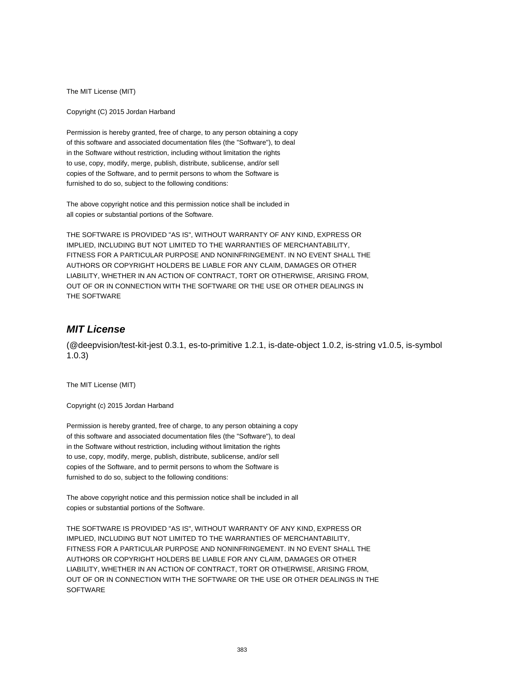The MIT License (MIT)

Copyright (C) 2015 Jordan Harband

Permission is hereby granted, free of charge, to any person obtaining a copy of this software and associated documentation files (the "Software"), to deal in the Software without restriction, including without limitation the rights to use, copy, modify, merge, publish, distribute, sublicense, and/or sell copies of the Software, and to permit persons to whom the Software is furnished to do so, subject to the following conditions:

The above copyright notice and this permission notice shall be included in all copies or substantial portions of the Software.

THE SOFTWARE IS PROVIDED "AS IS", WITHOUT WARRANTY OF ANY KIND, EXPRESS OR IMPLIED, INCLUDING BUT NOT LIMITED TO THE WARRANTIES OF MERCHANTABILITY, FITNESS FOR A PARTICULAR PURPOSE AND NONINFRINGEMENT. IN NO EVENT SHALL THE AUTHORS OR COPYRIGHT HOLDERS BE LIABLE FOR ANY CLAIM, DAMAGES OR OTHER LIABILITY, WHETHER IN AN ACTION OF CONTRACT, TORT OR OTHERWISE, ARISING FROM, OUT OF OR IN CONNECTION WITH THE SOFTWARE OR THE USE OR OTHER DEALINGS IN THE SOFTWARE

# **MIT License**

(@deepvision/test-kit-jest 0.3.1, es-to-primitive 1.2.1, is-date-object 1.0.2, is-string v1.0.5, is-symbol 1.0.3)

The MIT License (MIT)

Copyright (c) 2015 Jordan Harband

Permission is hereby granted, free of charge, to any person obtaining a copy of this software and associated documentation files (the "Software"), to deal in the Software without restriction, including without limitation the rights to use, copy, modify, merge, publish, distribute, sublicense, and/or sell copies of the Software, and to permit persons to whom the Software is furnished to do so, subject to the following conditions:

The above copyright notice and this permission notice shall be included in all copies or substantial portions of the Software.

THE SOFTWARE IS PROVIDED "AS IS", WITHOUT WARRANTY OF ANY KIND, EXPRESS OR IMPLIED, INCLUDING BUT NOT LIMITED TO THE WARRANTIES OF MERCHANTABILITY, FITNESS FOR A PARTICULAR PURPOSE AND NONINFRINGEMENT. IN NO EVENT SHALL THE AUTHORS OR COPYRIGHT HOLDERS BE LIABLE FOR ANY CLAIM, DAMAGES OR OTHER LIABILITY, WHETHER IN AN ACTION OF CONTRACT, TORT OR OTHERWISE, ARISING FROM, OUT OF OR IN CONNECTION WITH THE SOFTWARE OR THE USE OR OTHER DEALINGS IN THE **SOFTWARE**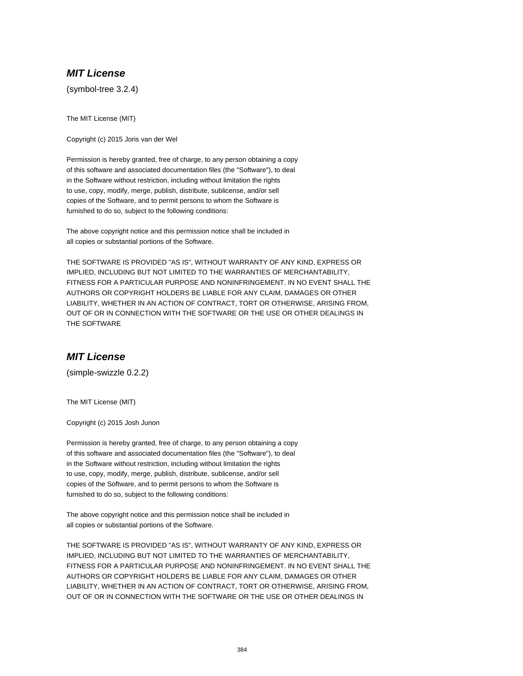## **MIT License**

(symbol-tree 3.2.4)

The MIT License (MIT)

Copyright (c) 2015 Joris van der Wel

Permission is hereby granted, free of charge, to any person obtaining a copy of this software and associated documentation files (the "Software"), to deal in the Software without restriction, including without limitation the rights to use, copy, modify, merge, publish, distribute, sublicense, and/or sell copies of the Software, and to permit persons to whom the Software is furnished to do so, subject to the following conditions:

The above copyright notice and this permission notice shall be included in all copies or substantial portions of the Software.

THE SOFTWARE IS PROVIDED "AS IS", WITHOUT WARRANTY OF ANY KIND, EXPRESS OR IMPLIED, INCLUDING BUT NOT LIMITED TO THE WARRANTIES OF MERCHANTABILITY, FITNESS FOR A PARTICULAR PURPOSE AND NONINFRINGEMENT. IN NO EVENT SHALL THE AUTHORS OR COPYRIGHT HOLDERS BE LIABLE FOR ANY CLAIM, DAMAGES OR OTHER LIABILITY, WHETHER IN AN ACTION OF CONTRACT, TORT OR OTHERWISE, ARISING FROM, OUT OF OR IN CONNECTION WITH THE SOFTWARE OR THE USE OR OTHER DEALINGS IN THE SOFTWARE

## **MIT License**

(simple-swizzle 0.2.2)

The MIT License (MIT)

Copyright (c) 2015 Josh Junon

Permission is hereby granted, free of charge, to any person obtaining a copy of this software and associated documentation files (the "Software"), to deal in the Software without restriction, including without limitation the rights to use, copy, modify, merge, publish, distribute, sublicense, and/or sell copies of the Software, and to permit persons to whom the Software is furnished to do so, subject to the following conditions:

The above copyright notice and this permission notice shall be included in all copies or substantial portions of the Software.

THE SOFTWARE IS PROVIDED "AS IS", WITHOUT WARRANTY OF ANY KIND, EXPRESS OR IMPLIED, INCLUDING BUT NOT LIMITED TO THE WARRANTIES OF MERCHANTABILITY, FITNESS FOR A PARTICULAR PURPOSE AND NONINFRINGEMENT. IN NO EVENT SHALL THE AUTHORS OR COPYRIGHT HOLDERS BE LIABLE FOR ANY CLAIM, DAMAGES OR OTHER LIABILITY, WHETHER IN AN ACTION OF CONTRACT, TORT OR OTHERWISE, ARISING FROM, OUT OF OR IN CONNECTION WITH THE SOFTWARE OR THE USE OR OTHER DEALINGS IN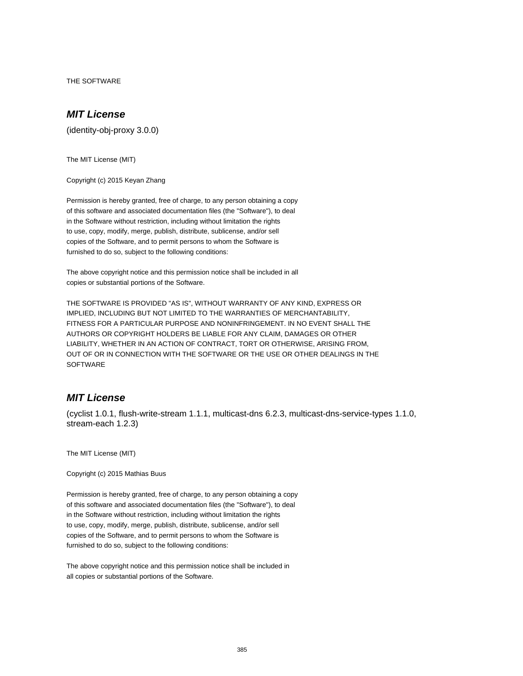THE SOFTWARE

# **MIT License**

(identity-obj-proxy 3.0.0)

The MIT License (MIT)

Copyright (c) 2015 Keyan Zhang

Permission is hereby granted, free of charge, to any person obtaining a copy of this software and associated documentation files (the "Software"), to deal in the Software without restriction, including without limitation the rights to use, copy, modify, merge, publish, distribute, sublicense, and/or sell copies of the Software, and to permit persons to whom the Software is furnished to do so, subject to the following conditions:

The above copyright notice and this permission notice shall be included in all copies or substantial portions of the Software.

THE SOFTWARE IS PROVIDED "AS IS", WITHOUT WARRANTY OF ANY KIND, EXPRESS OR IMPLIED, INCLUDING BUT NOT LIMITED TO THE WARRANTIES OF MERCHANTABILITY, FITNESS FOR A PARTICULAR PURPOSE AND NONINFRINGEMENT. IN NO EVENT SHALL THE AUTHORS OR COPYRIGHT HOLDERS BE LIABLE FOR ANY CLAIM, DAMAGES OR OTHER LIABILITY, WHETHER IN AN ACTION OF CONTRACT, TORT OR OTHERWISE, ARISING FROM, OUT OF OR IN CONNECTION WITH THE SOFTWARE OR THE USE OR OTHER DEALINGS IN THE **SOFTWARE** 

## **MIT License**

(cyclist 1.0.1, flush-write-stream 1.1.1, multicast-dns 6.2.3, multicast-dns-service-types 1.1.0, stream-each 1.2.3)

The MIT License (MIT)

Copyright (c) 2015 Mathias Buus

Permission is hereby granted, free of charge, to any person obtaining a copy of this software and associated documentation files (the "Software"), to deal in the Software without restriction, including without limitation the rights to use, copy, modify, merge, publish, distribute, sublicense, and/or sell copies of the Software, and to permit persons to whom the Software is furnished to do so, subject to the following conditions:

The above copyright notice and this permission notice shall be included in all copies or substantial portions of the Software.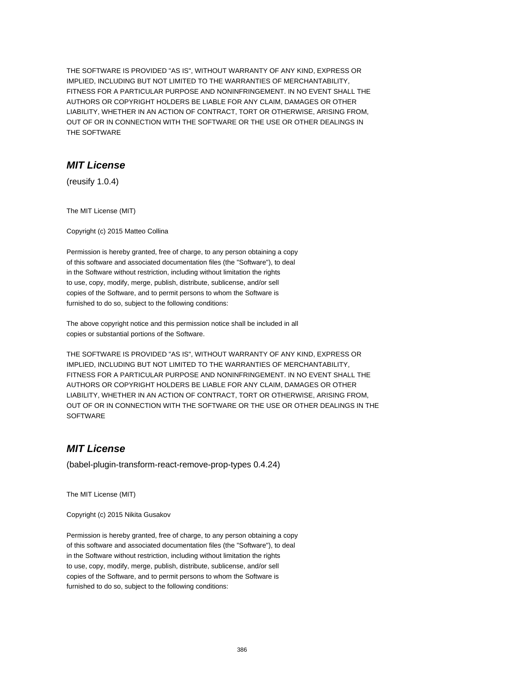THE SOFTWARE IS PROVIDED "AS IS", WITHOUT WARRANTY OF ANY KIND, EXPRESS OR IMPLIED, INCLUDING BUT NOT LIMITED TO THE WARRANTIES OF MERCHANTABILITY, FITNESS FOR A PARTICULAR PURPOSE AND NONINFRINGEMENT. IN NO EVENT SHALL THE AUTHORS OR COPYRIGHT HOLDERS BE LIABLE FOR ANY CLAIM, DAMAGES OR OTHER LIABILITY, WHETHER IN AN ACTION OF CONTRACT, TORT OR OTHERWISE, ARISING FROM, OUT OF OR IN CONNECTION WITH THE SOFTWARE OR THE USE OR OTHER DEALINGS IN THE SOFTWARE

## **MIT License**

(reusify 1.0.4)

The MIT License (MIT)

Copyright (c) 2015 Matteo Collina

Permission is hereby granted, free of charge, to any person obtaining a copy of this software and associated documentation files (the "Software"), to deal in the Software without restriction, including without limitation the rights to use, copy, modify, merge, publish, distribute, sublicense, and/or sell copies of the Software, and to permit persons to whom the Software is furnished to do so, subject to the following conditions:

The above copyright notice and this permission notice shall be included in all copies or substantial portions of the Software.

THE SOFTWARE IS PROVIDED "AS IS", WITHOUT WARRANTY OF ANY KIND, EXPRESS OR IMPLIED, INCLUDING BUT NOT LIMITED TO THE WARRANTIES OF MERCHANTABILITY, FITNESS FOR A PARTICULAR PURPOSE AND NONINFRINGEMENT. IN NO EVENT SHALL THE AUTHORS OR COPYRIGHT HOLDERS BE LIABLE FOR ANY CLAIM, DAMAGES OR OTHER LIABILITY, WHETHER IN AN ACTION OF CONTRACT, TORT OR OTHERWISE, ARISING FROM, OUT OF OR IN CONNECTION WITH THE SOFTWARE OR THE USE OR OTHER DEALINGS IN THE **SOFTWARE** 

# **MIT License**

(babel-plugin-transform-react-remove-prop-types 0.4.24)

The MIT License (MIT)

Copyright (c) 2015 Nikita Gusakov

Permission is hereby granted, free of charge, to any person obtaining a copy of this software and associated documentation files (the "Software"), to deal in the Software without restriction, including without limitation the rights to use, copy, modify, merge, publish, distribute, sublicense, and/or sell copies of the Software, and to permit persons to whom the Software is furnished to do so, subject to the following conditions: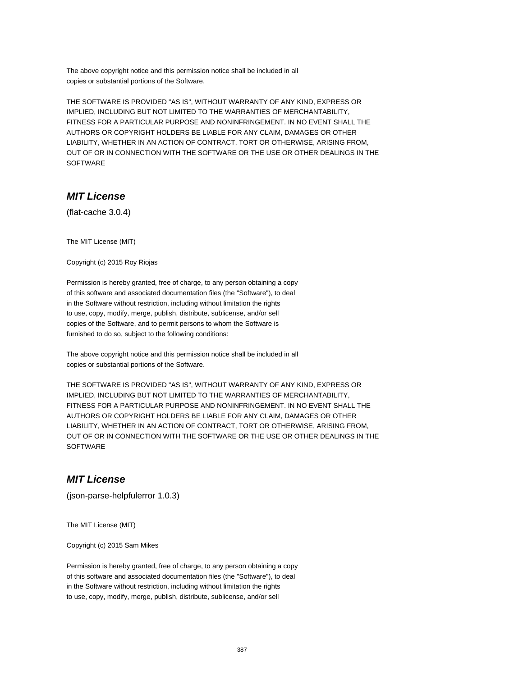The above copyright notice and this permission notice shall be included in all copies or substantial portions of the Software.

THE SOFTWARE IS PROVIDED "AS IS", WITHOUT WARRANTY OF ANY KIND, EXPRESS OR IMPLIED, INCLUDING BUT NOT LIMITED TO THE WARRANTIES OF MERCHANTABILITY, FITNESS FOR A PARTICULAR PURPOSE AND NONINFRINGEMENT. IN NO EVENT SHALL THE AUTHORS OR COPYRIGHT HOLDERS BE LIABLE FOR ANY CLAIM, DAMAGES OR OTHER LIABILITY, WHETHER IN AN ACTION OF CONTRACT, TORT OR OTHERWISE, ARISING FROM, OUT OF OR IN CONNECTION WITH THE SOFTWARE OR THE USE OR OTHER DEALINGS IN THE SOFTWARE

# **MIT License**

(flat-cache 3.0.4)

The MIT License (MIT)

Copyright (c) 2015 Roy Riojas

Permission is hereby granted, free of charge, to any person obtaining a copy of this software and associated documentation files (the "Software"), to deal in the Software without restriction, including without limitation the rights to use, copy, modify, merge, publish, distribute, sublicense, and/or sell copies of the Software, and to permit persons to whom the Software is furnished to do so, subject to the following conditions:

The above copyright notice and this permission notice shall be included in all copies or substantial portions of the Software.

THE SOFTWARE IS PROVIDED "AS IS", WITHOUT WARRANTY OF ANY KIND, EXPRESS OR IMPLIED, INCLUDING BUT NOT LIMITED TO THE WARRANTIES OF MERCHANTABILITY, FITNESS FOR A PARTICULAR PURPOSE AND NONINFRINGEMENT. IN NO EVENT SHALL THE AUTHORS OR COPYRIGHT HOLDERS BE LIABLE FOR ANY CLAIM, DAMAGES OR OTHER LIABILITY, WHETHER IN AN ACTION OF CONTRACT, TORT OR OTHERWISE, ARISING FROM, OUT OF OR IN CONNECTION WITH THE SOFTWARE OR THE USE OR OTHER DEALINGS IN THE **SOFTWARE** 

## **MIT License**

(json-parse-helpfulerror 1.0.3)

The MIT License (MIT)

Copyright (c) 2015 Sam Mikes

Permission is hereby granted, free of charge, to any person obtaining a copy of this software and associated documentation files (the "Software"), to deal in the Software without restriction, including without limitation the rights to use, copy, modify, merge, publish, distribute, sublicense, and/or sell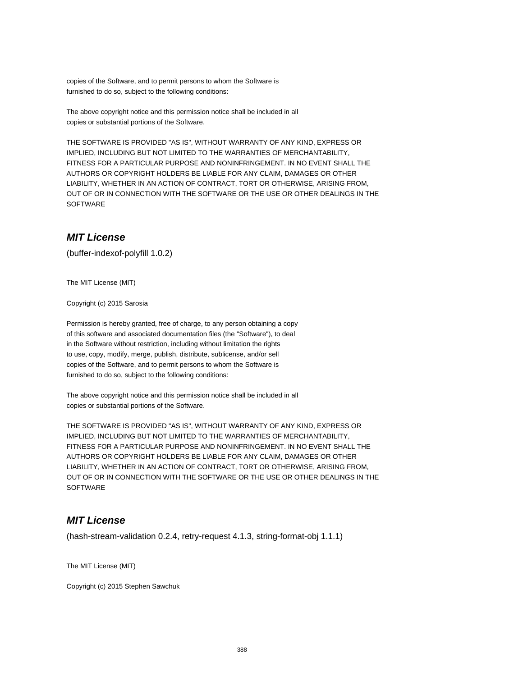copies of the Software, and to permit persons to whom the Software is furnished to do so, subject to the following conditions:

The above copyright notice and this permission notice shall be included in all copies or substantial portions of the Software.

THE SOFTWARE IS PROVIDED "AS IS", WITHOUT WARRANTY OF ANY KIND, EXPRESS OR IMPLIED, INCLUDING BUT NOT LIMITED TO THE WARRANTIES OF MERCHANTABILITY, FITNESS FOR A PARTICULAR PURPOSE AND NONINFRINGEMENT. IN NO EVENT SHALL THE AUTHORS OR COPYRIGHT HOLDERS BE LIABLE FOR ANY CLAIM, DAMAGES OR OTHER LIABILITY, WHETHER IN AN ACTION OF CONTRACT, TORT OR OTHERWISE, ARISING FROM, OUT OF OR IN CONNECTION WITH THE SOFTWARE OR THE USE OR OTHER DEALINGS IN THE **SOFTWARE** 

# **MIT License**

(buffer-indexof-polyfill 1.0.2)

The MIT License (MIT)

Copyright (c) 2015 Sarosia

Permission is hereby granted, free of charge, to any person obtaining a copy of this software and associated documentation files (the "Software"), to deal in the Software without restriction, including without limitation the rights to use, copy, modify, merge, publish, distribute, sublicense, and/or sell copies of the Software, and to permit persons to whom the Software is furnished to do so, subject to the following conditions:

The above copyright notice and this permission notice shall be included in all copies or substantial portions of the Software.

THE SOFTWARE IS PROVIDED "AS IS", WITHOUT WARRANTY OF ANY KIND, EXPRESS OR IMPLIED, INCLUDING BUT NOT LIMITED TO THE WARRANTIES OF MERCHANTABILITY, FITNESS FOR A PARTICULAR PURPOSE AND NONINFRINGEMENT. IN NO EVENT SHALL THE AUTHORS OR COPYRIGHT HOLDERS BE LIABLE FOR ANY CLAIM, DAMAGES OR OTHER LIABILITY, WHETHER IN AN ACTION OF CONTRACT, TORT OR OTHERWISE, ARISING FROM, OUT OF OR IN CONNECTION WITH THE SOFTWARE OR THE USE OR OTHER DEALINGS IN THE **SOFTWARE** 

## **MIT License**

(hash-stream-validation 0.2.4, retry-request 4.1.3, string-format-obj 1.1.1)

The MIT License (MIT)

Copyright (c) 2015 Stephen Sawchuk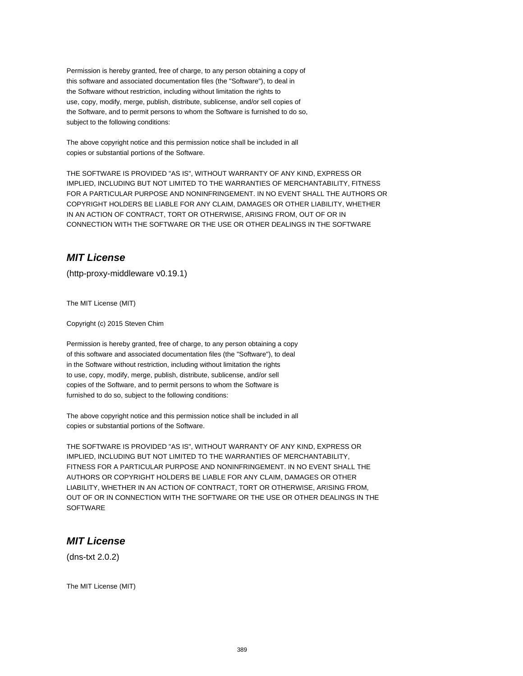Permission is hereby granted, free of charge, to any person obtaining a copy of this software and associated documentation files (the "Software"), to deal in the Software without restriction, including without limitation the rights to use, copy, modify, merge, publish, distribute, sublicense, and/or sell copies of the Software, and to permit persons to whom the Software is furnished to do so, subject to the following conditions:

The above copyright notice and this permission notice shall be included in all copies or substantial portions of the Software.

THE SOFTWARE IS PROVIDED "AS IS", WITHOUT WARRANTY OF ANY KIND, EXPRESS OR IMPLIED, INCLUDING BUT NOT LIMITED TO THE WARRANTIES OF MERCHANTABILITY, FITNESS FOR A PARTICULAR PURPOSE AND NONINFRINGEMENT. IN NO EVENT SHALL THE AUTHORS OR COPYRIGHT HOLDERS BE LIABLE FOR ANY CLAIM, DAMAGES OR OTHER LIABILITY, WHETHER IN AN ACTION OF CONTRACT, TORT OR OTHERWISE, ARISING FROM, OUT OF OR IN CONNECTION WITH THE SOFTWARE OR THE USE OR OTHER DEALINGS IN THE SOFTWARE

# **MIT License**

(http-proxy-middleware v0.19.1)

The MIT License (MIT)

Copyright (c) 2015 Steven Chim

Permission is hereby granted, free of charge, to any person obtaining a copy of this software and associated documentation files (the "Software"), to deal in the Software without restriction, including without limitation the rights to use, copy, modify, merge, publish, distribute, sublicense, and/or sell copies of the Software, and to permit persons to whom the Software is furnished to do so, subject to the following conditions:

The above copyright notice and this permission notice shall be included in all copies or substantial portions of the Software.

THE SOFTWARE IS PROVIDED "AS IS", WITHOUT WARRANTY OF ANY KIND, EXPRESS OR IMPLIED, INCLUDING BUT NOT LIMITED TO THE WARRANTIES OF MERCHANTABILITY, FITNESS FOR A PARTICULAR PURPOSE AND NONINFRINGEMENT. IN NO EVENT SHALL THE AUTHORS OR COPYRIGHT HOLDERS BE LIABLE FOR ANY CLAIM, DAMAGES OR OTHER LIABILITY, WHETHER IN AN ACTION OF CONTRACT, TORT OR OTHERWISE, ARISING FROM, OUT OF OR IN CONNECTION WITH THE SOFTWARE OR THE USE OR OTHER DEALINGS IN THE **SOFTWARE** 

# **MIT License**

(dns-txt 2.0.2)

The MIT License (MIT)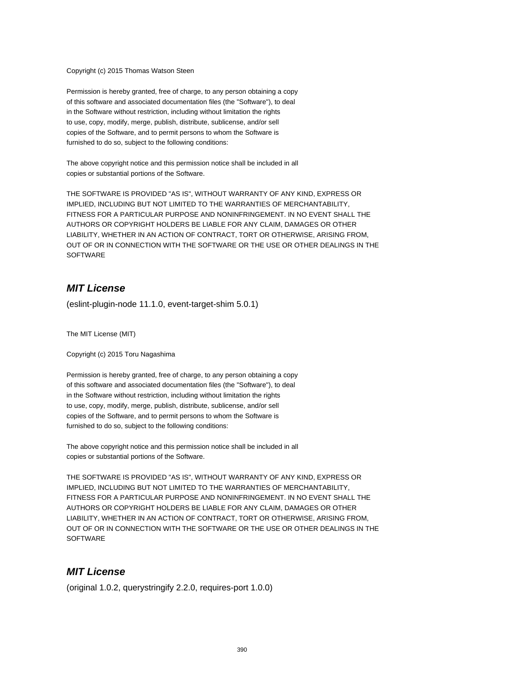Copyright (c) 2015 Thomas Watson Steen

Permission is hereby granted, free of charge, to any person obtaining a copy of this software and associated documentation files (the "Software"), to deal in the Software without restriction, including without limitation the rights to use, copy, modify, merge, publish, distribute, sublicense, and/or sell copies of the Software, and to permit persons to whom the Software is furnished to do so, subject to the following conditions:

The above copyright notice and this permission notice shall be included in all copies or substantial portions of the Software.

THE SOFTWARE IS PROVIDED "AS IS", WITHOUT WARRANTY OF ANY KIND, EXPRESS OR IMPLIED, INCLUDING BUT NOT LIMITED TO THE WARRANTIES OF MERCHANTABILITY, FITNESS FOR A PARTICULAR PURPOSE AND NONINFRINGEMENT. IN NO EVENT SHALL THE AUTHORS OR COPYRIGHT HOLDERS BE LIABLE FOR ANY CLAIM, DAMAGES OR OTHER LIABILITY, WHETHER IN AN ACTION OF CONTRACT, TORT OR OTHERWISE, ARISING FROM, OUT OF OR IN CONNECTION WITH THE SOFTWARE OR THE USE OR OTHER DEALINGS IN THE **SOFTWARE** 

## **MIT License**

(eslint-plugin-node 11.1.0, event-target-shim 5.0.1)

The MIT License (MIT)

Copyright (c) 2015 Toru Nagashima

Permission is hereby granted, free of charge, to any person obtaining a copy of this software and associated documentation files (the "Software"), to deal in the Software without restriction, including without limitation the rights to use, copy, modify, merge, publish, distribute, sublicense, and/or sell copies of the Software, and to permit persons to whom the Software is furnished to do so, subject to the following conditions:

The above copyright notice and this permission notice shall be included in all copies or substantial portions of the Software.

THE SOFTWARE IS PROVIDED "AS IS", WITHOUT WARRANTY OF ANY KIND, EXPRESS OR IMPLIED, INCLUDING BUT NOT LIMITED TO THE WARRANTIES OF MERCHANTABILITY, FITNESS FOR A PARTICULAR PURPOSE AND NONINFRINGEMENT. IN NO EVENT SHALL THE AUTHORS OR COPYRIGHT HOLDERS BE LIABLE FOR ANY CLAIM, DAMAGES OR OTHER LIABILITY, WHETHER IN AN ACTION OF CONTRACT, TORT OR OTHERWISE, ARISING FROM, OUT OF OR IN CONNECTION WITH THE SOFTWARE OR THE USE OR OTHER DEALINGS IN THE **SOFTWARE** 

## **MIT License**

(original 1.0.2, querystringify 2.2.0, requires-port 1.0.0)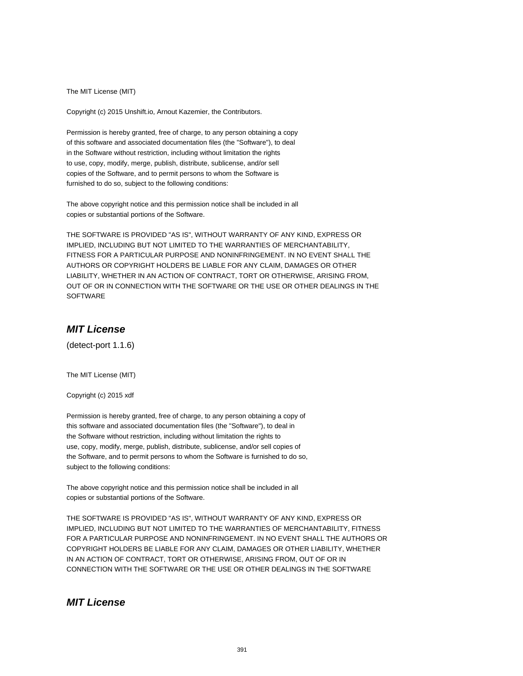The MIT License (MIT)

Copyright (c) 2015 Unshift.io, Arnout Kazemier, the Contributors.

Permission is hereby granted, free of charge, to any person obtaining a copy of this software and associated documentation files (the "Software"), to deal in the Software without restriction, including without limitation the rights to use, copy, modify, merge, publish, distribute, sublicense, and/or sell copies of the Software, and to permit persons to whom the Software is furnished to do so, subject to the following conditions:

The above copyright notice and this permission notice shall be included in all copies or substantial portions of the Software.

THE SOFTWARE IS PROVIDED "AS IS", WITHOUT WARRANTY OF ANY KIND, EXPRESS OR IMPLIED, INCLUDING BUT NOT LIMITED TO THE WARRANTIES OF MERCHANTABILITY, FITNESS FOR A PARTICULAR PURPOSE AND NONINFRINGEMENT. IN NO EVENT SHALL THE AUTHORS OR COPYRIGHT HOLDERS BE LIABLE FOR ANY CLAIM, DAMAGES OR OTHER LIABILITY, WHETHER IN AN ACTION OF CONTRACT, TORT OR OTHERWISE, ARISING FROM, OUT OF OR IN CONNECTION WITH THE SOFTWARE OR THE USE OR OTHER DEALINGS IN THE SOFTWARE

# **MIT License**

(detect-port 1.1.6)

The MIT License (MIT)

Copyright (c) 2015 xdf

Permission is hereby granted, free of charge, to any person obtaining a copy of this software and associated documentation files (the "Software"), to deal in the Software without restriction, including without limitation the rights to use, copy, modify, merge, publish, distribute, sublicense, and/or sell copies of the Software, and to permit persons to whom the Software is furnished to do so, subject to the following conditions:

The above copyright notice and this permission notice shall be included in all copies or substantial portions of the Software.

THE SOFTWARE IS PROVIDED "AS IS", WITHOUT WARRANTY OF ANY KIND, EXPRESS OR IMPLIED, INCLUDING BUT NOT LIMITED TO THE WARRANTIES OF MERCHANTABILITY, FITNESS FOR A PARTICULAR PURPOSE AND NONINFRINGEMENT. IN NO EVENT SHALL THE AUTHORS OR COPYRIGHT HOLDERS BE LIABLE FOR ANY CLAIM, DAMAGES OR OTHER LIABILITY, WHETHER IN AN ACTION OF CONTRACT, TORT OR OTHERWISE, ARISING FROM, OUT OF OR IN CONNECTION WITH THE SOFTWARE OR THE USE OR OTHER DEALINGS IN THE SOFTWARE

## **MIT License**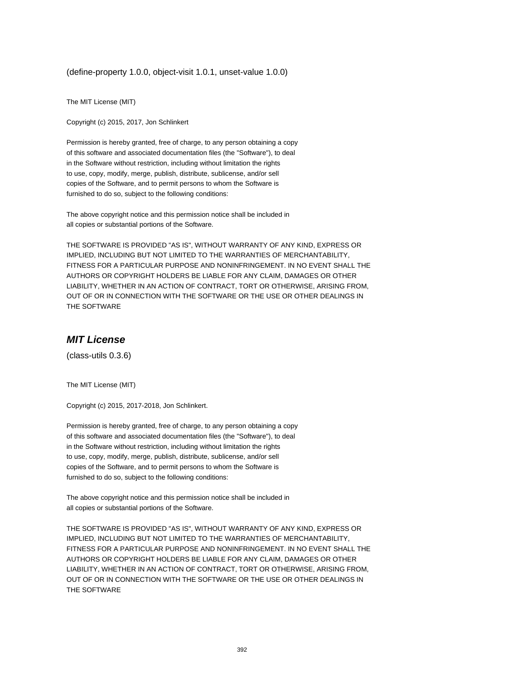(define-property 1.0.0, object-visit 1.0.1, unset-value 1.0.0)

The MIT License (MIT)

Copyright (c) 2015, 2017, Jon Schlinkert

Permission is hereby granted, free of charge, to any person obtaining a copy of this software and associated documentation files (the "Software"), to deal in the Software without restriction, including without limitation the rights to use, copy, modify, merge, publish, distribute, sublicense, and/or sell copies of the Software, and to permit persons to whom the Software is furnished to do so, subject to the following conditions:

The above copyright notice and this permission notice shall be included in all copies or substantial portions of the Software.

THE SOFTWARE IS PROVIDED "AS IS", WITHOUT WARRANTY OF ANY KIND, EXPRESS OR IMPLIED, INCLUDING BUT NOT LIMITED TO THE WARRANTIES OF MERCHANTABILITY, FITNESS FOR A PARTICULAR PURPOSE AND NONINFRINGEMENT. IN NO EVENT SHALL THE AUTHORS OR COPYRIGHT HOLDERS BE LIABLE FOR ANY CLAIM, DAMAGES OR OTHER LIABILITY, WHETHER IN AN ACTION OF CONTRACT, TORT OR OTHERWISE, ARISING FROM, OUT OF OR IN CONNECTION WITH THE SOFTWARE OR THE USE OR OTHER DEALINGS IN THE SOFTWARE

#### **MIT License**

(class-utils 0.3.6)

The MIT License (MIT)

Copyright (c) 2015, 2017-2018, Jon Schlinkert.

Permission is hereby granted, free of charge, to any person obtaining a copy of this software and associated documentation files (the "Software"), to deal in the Software without restriction, including without limitation the rights to use, copy, modify, merge, publish, distribute, sublicense, and/or sell copies of the Software, and to permit persons to whom the Software is furnished to do so, subject to the following conditions:

The above copyright notice and this permission notice shall be included in all copies or substantial portions of the Software.

THE SOFTWARE IS PROVIDED "AS IS", WITHOUT WARRANTY OF ANY KIND, EXPRESS OR IMPLIED, INCLUDING BUT NOT LIMITED TO THE WARRANTIES OF MERCHANTABILITY, FITNESS FOR A PARTICULAR PURPOSE AND NONINFRINGEMENT. IN NO EVENT SHALL THE AUTHORS OR COPYRIGHT HOLDERS BE LIABLE FOR ANY CLAIM, DAMAGES OR OTHER LIABILITY, WHETHER IN AN ACTION OF CONTRACT, TORT OR OTHERWISE, ARISING FROM, OUT OF OR IN CONNECTION WITH THE SOFTWARE OR THE USE OR OTHER DEALINGS IN THE SOFTWARE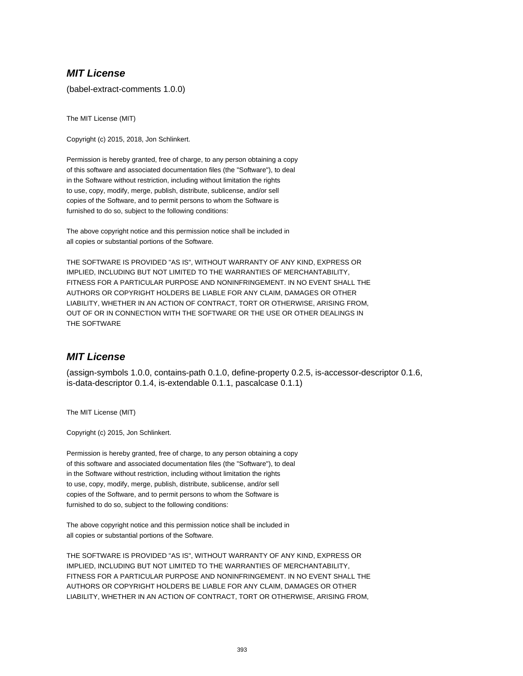## **MIT License**

(babel-extract-comments 1.0.0)

The MIT License (MIT)

Copyright (c) 2015, 2018, Jon Schlinkert.

Permission is hereby granted, free of charge, to any person obtaining a copy of this software and associated documentation files (the "Software"), to deal in the Software without restriction, including without limitation the rights to use, copy, modify, merge, publish, distribute, sublicense, and/or sell copies of the Software, and to permit persons to whom the Software is furnished to do so, subject to the following conditions:

The above copyright notice and this permission notice shall be included in all copies or substantial portions of the Software.

THE SOFTWARE IS PROVIDED "AS IS", WITHOUT WARRANTY OF ANY KIND, EXPRESS OR IMPLIED, INCLUDING BUT NOT LIMITED TO THE WARRANTIES OF MERCHANTABILITY, FITNESS FOR A PARTICULAR PURPOSE AND NONINFRINGEMENT. IN NO EVENT SHALL THE AUTHORS OR COPYRIGHT HOLDERS BE LIABLE FOR ANY CLAIM, DAMAGES OR OTHER LIABILITY, WHETHER IN AN ACTION OF CONTRACT, TORT OR OTHERWISE, ARISING FROM, OUT OF OR IN CONNECTION WITH THE SOFTWARE OR THE USE OR OTHER DEALINGS IN THE SOFTWARE

## **MIT License**

(assign-symbols 1.0.0, contains-path 0.1.0, define-property 0.2.5, is-accessor-descriptor 0.1.6, is-data-descriptor 0.1.4, is-extendable 0.1.1, pascalcase 0.1.1)

The MIT License (MIT)

Copyright (c) 2015, Jon Schlinkert.

Permission is hereby granted, free of charge, to any person obtaining a copy of this software and associated documentation files (the "Software"), to deal in the Software without restriction, including without limitation the rights to use, copy, modify, merge, publish, distribute, sublicense, and/or sell copies of the Software, and to permit persons to whom the Software is furnished to do so, subject to the following conditions:

The above copyright notice and this permission notice shall be included in all copies or substantial portions of the Software.

THE SOFTWARE IS PROVIDED "AS IS", WITHOUT WARRANTY OF ANY KIND, EXPRESS OR IMPLIED, INCLUDING BUT NOT LIMITED TO THE WARRANTIES OF MERCHANTABILITY, FITNESS FOR A PARTICULAR PURPOSE AND NONINFRINGEMENT. IN NO EVENT SHALL THE AUTHORS OR COPYRIGHT HOLDERS BE LIABLE FOR ANY CLAIM, DAMAGES OR OTHER LIABILITY, WHETHER IN AN ACTION OF CONTRACT, TORT OR OTHERWISE, ARISING FROM,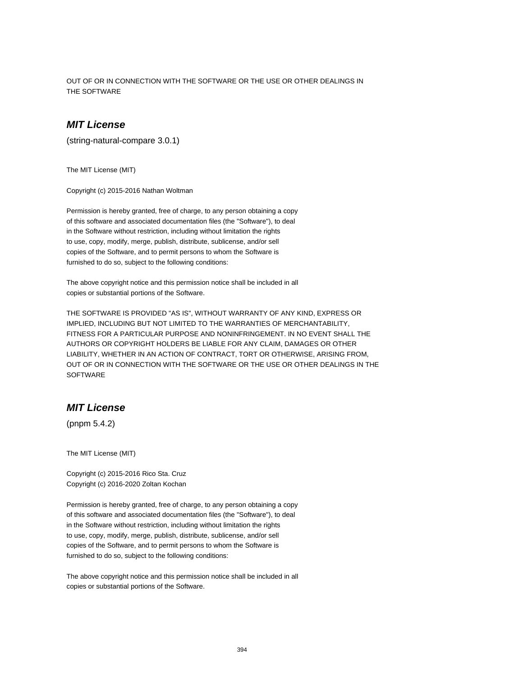OUT OF OR IN CONNECTION WITH THE SOFTWARE OR THE USE OR OTHER DEALINGS IN THE SOFTWARE

## **MIT License**

(string-natural-compare 3.0.1)

The MIT License (MIT)

Copyright (c) 2015-2016 Nathan Woltman

Permission is hereby granted, free of charge, to any person obtaining a copy of this software and associated documentation files (the "Software"), to deal in the Software without restriction, including without limitation the rights to use, copy, modify, merge, publish, distribute, sublicense, and/or sell copies of the Software, and to permit persons to whom the Software is furnished to do so, subject to the following conditions:

The above copyright notice and this permission notice shall be included in all copies or substantial portions of the Software.

THE SOFTWARE IS PROVIDED "AS IS", WITHOUT WARRANTY OF ANY KIND, EXPRESS OR IMPLIED, INCLUDING BUT NOT LIMITED TO THE WARRANTIES OF MERCHANTABILITY, FITNESS FOR A PARTICULAR PURPOSE AND NONINFRINGEMENT. IN NO EVENT SHALL THE AUTHORS OR COPYRIGHT HOLDERS BE LIABLE FOR ANY CLAIM, DAMAGES OR OTHER LIABILITY, WHETHER IN AN ACTION OF CONTRACT, TORT OR OTHERWISE, ARISING FROM, OUT OF OR IN CONNECTION WITH THE SOFTWARE OR THE USE OR OTHER DEALINGS IN THE **SOFTWARE** 

## **MIT License**

(pnpm 5.4.2)

The MIT License (MIT)

Copyright (c) 2015-2016 Rico Sta. Cruz Copyright (c) 2016-2020 Zoltan Kochan

Permission is hereby granted, free of charge, to any person obtaining a copy of this software and associated documentation files (the "Software"), to deal in the Software without restriction, including without limitation the rights to use, copy, modify, merge, publish, distribute, sublicense, and/or sell copies of the Software, and to permit persons to whom the Software is furnished to do so, subject to the following conditions:

The above copyright notice and this permission notice shall be included in all copies or substantial portions of the Software.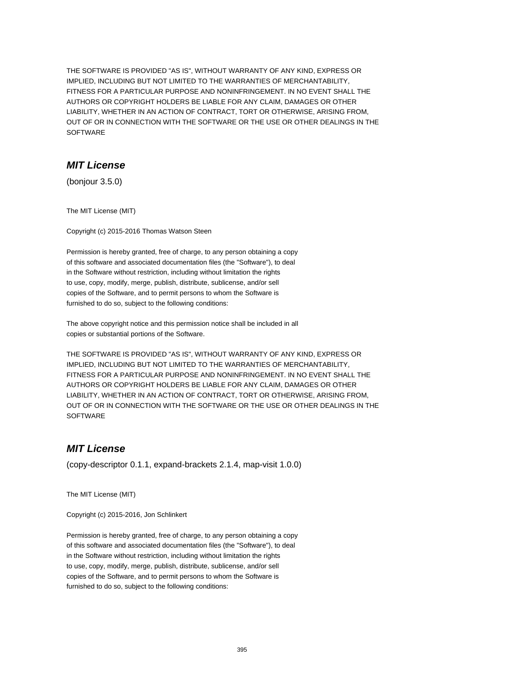THE SOFTWARE IS PROVIDED "AS IS", WITHOUT WARRANTY OF ANY KIND, EXPRESS OR IMPLIED, INCLUDING BUT NOT LIMITED TO THE WARRANTIES OF MERCHANTABILITY, FITNESS FOR A PARTICULAR PURPOSE AND NONINFRINGEMENT. IN NO EVENT SHALL THE AUTHORS OR COPYRIGHT HOLDERS BE LIABLE FOR ANY CLAIM, DAMAGES OR OTHER LIABILITY, WHETHER IN AN ACTION OF CONTRACT, TORT OR OTHERWISE, ARISING FROM, OUT OF OR IN CONNECTION WITH THE SOFTWARE OR THE USE OR OTHER DEALINGS IN THE SOFTWARE

# **MIT License**

(bonjour 3.5.0)

The MIT License (MIT)

Copyright (c) 2015-2016 Thomas Watson Steen

Permission is hereby granted, free of charge, to any person obtaining a copy of this software and associated documentation files (the "Software"), to deal in the Software without restriction, including without limitation the rights to use, copy, modify, merge, publish, distribute, sublicense, and/or sell copies of the Software, and to permit persons to whom the Software is furnished to do so, subject to the following conditions:

The above copyright notice and this permission notice shall be included in all copies or substantial portions of the Software.

THE SOFTWARE IS PROVIDED "AS IS", WITHOUT WARRANTY OF ANY KIND, EXPRESS OR IMPLIED, INCLUDING BUT NOT LIMITED TO THE WARRANTIES OF MERCHANTABILITY, FITNESS FOR A PARTICULAR PURPOSE AND NONINFRINGEMENT. IN NO EVENT SHALL THE AUTHORS OR COPYRIGHT HOLDERS BE LIABLE FOR ANY CLAIM, DAMAGES OR OTHER LIABILITY, WHETHER IN AN ACTION OF CONTRACT, TORT OR OTHERWISE, ARISING FROM, OUT OF OR IN CONNECTION WITH THE SOFTWARE OR THE USE OR OTHER DEALINGS IN THE **SOFTWARE** 

# **MIT License**

(copy-descriptor 0.1.1, expand-brackets 2.1.4, map-visit 1.0.0)

The MIT License (MIT)

Copyright (c) 2015-2016, Jon Schlinkert

Permission is hereby granted, free of charge, to any person obtaining a copy of this software and associated documentation files (the "Software"), to deal in the Software without restriction, including without limitation the rights to use, copy, modify, merge, publish, distribute, sublicense, and/or sell copies of the Software, and to permit persons to whom the Software is furnished to do so, subject to the following conditions: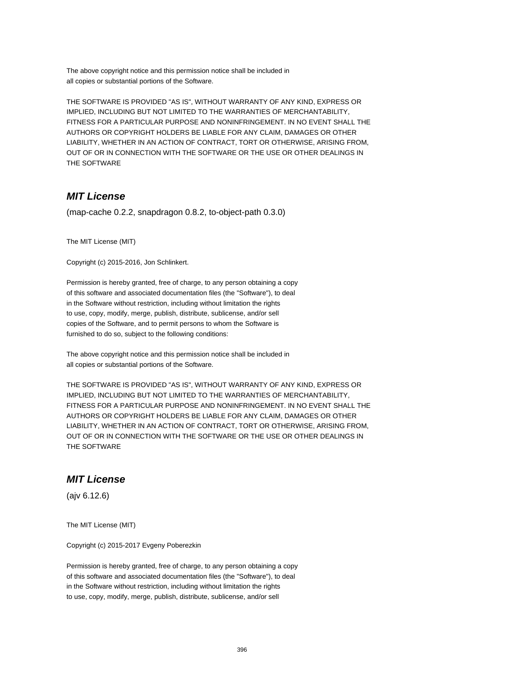The above copyright notice and this permission notice shall be included in all copies or substantial portions of the Software.

THE SOFTWARE IS PROVIDED "AS IS", WITHOUT WARRANTY OF ANY KIND, EXPRESS OR IMPLIED, INCLUDING BUT NOT LIMITED TO THE WARRANTIES OF MERCHANTABILITY, FITNESS FOR A PARTICULAR PURPOSE AND NONINFRINGEMENT. IN NO EVENT SHALL THE AUTHORS OR COPYRIGHT HOLDERS BE LIABLE FOR ANY CLAIM, DAMAGES OR OTHER LIABILITY, WHETHER IN AN ACTION OF CONTRACT, TORT OR OTHERWISE, ARISING FROM, OUT OF OR IN CONNECTION WITH THE SOFTWARE OR THE USE OR OTHER DEALINGS IN THE SOFTWARE

# **MIT License**

(map-cache 0.2.2, snapdragon 0.8.2, to-object-path 0.3.0)

The MIT License (MIT)

Copyright (c) 2015-2016, Jon Schlinkert.

Permission is hereby granted, free of charge, to any person obtaining a copy of this software and associated documentation files (the "Software"), to deal in the Software without restriction, including without limitation the rights to use, copy, modify, merge, publish, distribute, sublicense, and/or sell copies of the Software, and to permit persons to whom the Software is furnished to do so, subject to the following conditions:

The above copyright notice and this permission notice shall be included in all copies or substantial portions of the Software.

THE SOFTWARE IS PROVIDED "AS IS", WITHOUT WARRANTY OF ANY KIND, EXPRESS OR IMPLIED, INCLUDING BUT NOT LIMITED TO THE WARRANTIES OF MERCHANTABILITY, FITNESS FOR A PARTICULAR PURPOSE AND NONINFRINGEMENT. IN NO EVENT SHALL THE AUTHORS OR COPYRIGHT HOLDERS BE LIABLE FOR ANY CLAIM, DAMAGES OR OTHER LIABILITY, WHETHER IN AN ACTION OF CONTRACT, TORT OR OTHERWISE, ARISING FROM, OUT OF OR IN CONNECTION WITH THE SOFTWARE OR THE USE OR OTHER DEALINGS IN THE SOFTWARE

# **MIT License**

(ajv 6.12.6)

The MIT License (MIT)

Copyright (c) 2015-2017 Evgeny Poberezkin

Permission is hereby granted, free of charge, to any person obtaining a copy of this software and associated documentation files (the "Software"), to deal in the Software without restriction, including without limitation the rights to use, copy, modify, merge, publish, distribute, sublicense, and/or sell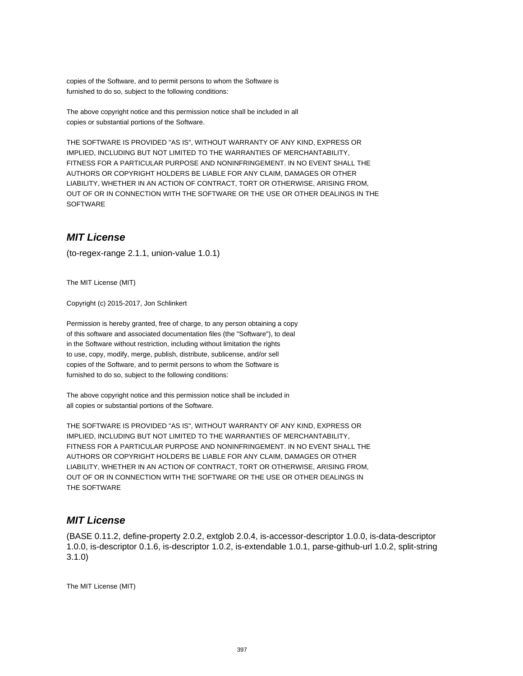copies of the Software, and to permit persons to whom the Software is furnished to do so, subject to the following conditions:

The above copyright notice and this permission notice shall be included in all copies or substantial portions of the Software.

THE SOFTWARE IS PROVIDED "AS IS", WITHOUT WARRANTY OF ANY KIND, EXPRESS OR IMPLIED, INCLUDING BUT NOT LIMITED TO THE WARRANTIES OF MERCHANTABILITY, FITNESS FOR A PARTICULAR PURPOSE AND NONINFRINGEMENT. IN NO EVENT SHALL THE AUTHORS OR COPYRIGHT HOLDERS BE LIABLE FOR ANY CLAIM, DAMAGES OR OTHER LIABILITY, WHETHER IN AN ACTION OF CONTRACT, TORT OR OTHERWISE, ARISING FROM, OUT OF OR IN CONNECTION WITH THE SOFTWARE OR THE USE OR OTHER DEALINGS IN THE **SOFTWARE** 

## **MIT License**

(to-regex-range 2.1.1, union-value 1.0.1)

The MIT License (MIT)

Copyright (c) 2015-2017, Jon Schlinkert

Permission is hereby granted, free of charge, to any person obtaining a copy of this software and associated documentation files (the "Software"), to deal in the Software without restriction, including without limitation the rights to use, copy, modify, merge, publish, distribute, sublicense, and/or sell copies of the Software, and to permit persons to whom the Software is furnished to do so, subject to the following conditions:

The above copyright notice and this permission notice shall be included in all copies or substantial portions of the Software.

THE SOFTWARE IS PROVIDED "AS IS", WITHOUT WARRANTY OF ANY KIND, EXPRESS OR IMPLIED, INCLUDING BUT NOT LIMITED TO THE WARRANTIES OF MERCHANTABILITY, FITNESS FOR A PARTICULAR PURPOSE AND NONINFRINGEMENT. IN NO EVENT SHALL THE AUTHORS OR COPYRIGHT HOLDERS BE LIABLE FOR ANY CLAIM, DAMAGES OR OTHER LIABILITY, WHETHER IN AN ACTION OF CONTRACT, TORT OR OTHERWISE, ARISING FROM, OUT OF OR IN CONNECTION WITH THE SOFTWARE OR THE USE OR OTHER DEALINGS IN THE SOFTWARE

## **MIT License**

(BASE 0.11.2, define-property 2.0.2, extglob 2.0.4, is-accessor-descriptor 1.0.0, is-data-descriptor 1.0.0, is-descriptor 0.1.6, is-descriptor 1.0.2, is-extendable 1.0.1, parse-github-url 1.0.2, split-string 3.1.0)

The MIT License (MIT)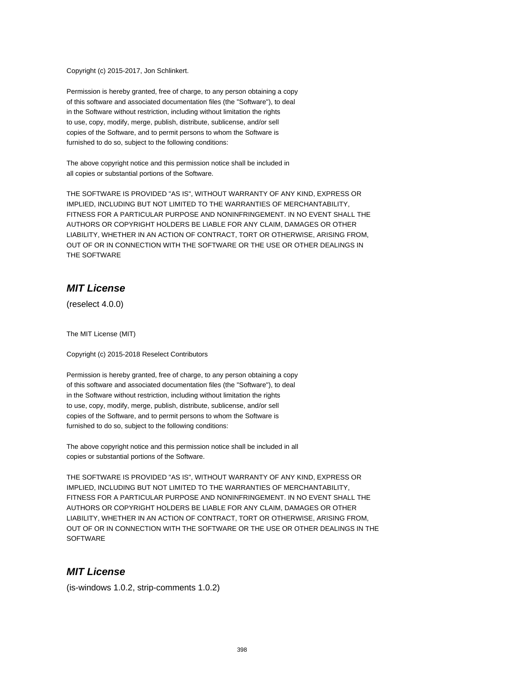Copyright (c) 2015-2017, Jon Schlinkert.

Permission is hereby granted, free of charge, to any person obtaining a copy of this software and associated documentation files (the "Software"), to deal in the Software without restriction, including without limitation the rights to use, copy, modify, merge, publish, distribute, sublicense, and/or sell copies of the Software, and to permit persons to whom the Software is furnished to do so, subject to the following conditions:

The above copyright notice and this permission notice shall be included in all copies or substantial portions of the Software.

THE SOFTWARE IS PROVIDED "AS IS", WITHOUT WARRANTY OF ANY KIND, EXPRESS OR IMPLIED, INCLUDING BUT NOT LIMITED TO THE WARRANTIES OF MERCHANTABILITY, FITNESS FOR A PARTICULAR PURPOSE AND NONINFRINGEMENT. IN NO EVENT SHALL THE AUTHORS OR COPYRIGHT HOLDERS BE LIABLE FOR ANY CLAIM, DAMAGES OR OTHER LIABILITY, WHETHER IN AN ACTION OF CONTRACT, TORT OR OTHERWISE, ARISING FROM, OUT OF OR IN CONNECTION WITH THE SOFTWARE OR THE USE OR OTHER DEALINGS IN THE SOFTWARE

## **MIT License**

(reselect 4.0.0)

The MIT License (MIT)

Copyright (c) 2015-2018 Reselect Contributors

Permission is hereby granted, free of charge, to any person obtaining a copy of this software and associated documentation files (the "Software"), to deal in the Software without restriction, including without limitation the rights to use, copy, modify, merge, publish, distribute, sublicense, and/or sell copies of the Software, and to permit persons to whom the Software is furnished to do so, subject to the following conditions:

The above copyright notice and this permission notice shall be included in all copies or substantial portions of the Software.

THE SOFTWARE IS PROVIDED "AS IS", WITHOUT WARRANTY OF ANY KIND, EXPRESS OR IMPLIED, INCLUDING BUT NOT LIMITED TO THE WARRANTIES OF MERCHANTABILITY, FITNESS FOR A PARTICULAR PURPOSE AND NONINFRINGEMENT. IN NO EVENT SHALL THE AUTHORS OR COPYRIGHT HOLDERS BE LIABLE FOR ANY CLAIM, DAMAGES OR OTHER LIABILITY, WHETHER IN AN ACTION OF CONTRACT, TORT OR OTHERWISE, ARISING FROM, OUT OF OR IN CONNECTION WITH THE SOFTWARE OR THE USE OR OTHER DEALINGS IN THE **SOFTWARE** 

# **MIT License**

(is-windows 1.0.2, strip-comments 1.0.2)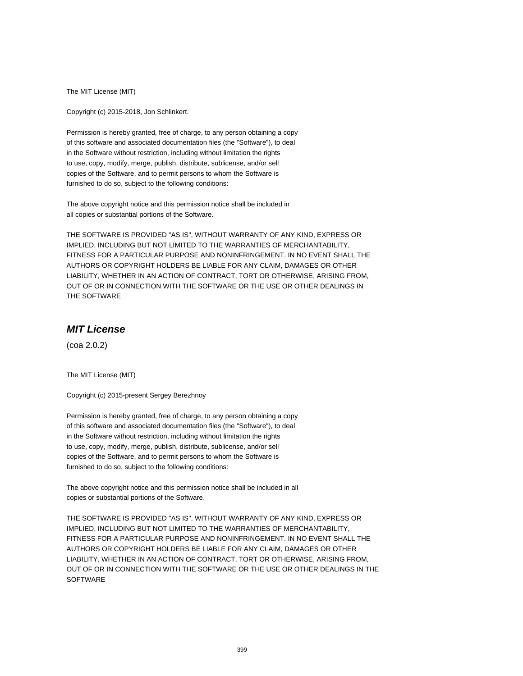The MIT License (MIT)

Copyright (c) 2015-2018, Jon Schlinkert.

Permission is hereby granted, free of charge, to any person obtaining a copy of this software and associated documentation files (the "Software"), to deal in the Software without restriction, including without limitation the rights to use, copy, modify, merge, publish, distribute, sublicense, and/or sell copies of the Software, and to permit persons to whom the Software is furnished to do so, subject to the following conditions:

The above copyright notice and this permission notice shall be included in all copies or substantial portions of the Software.

THE SOFTWARE IS PROVIDED "AS IS", WITHOUT WARRANTY OF ANY KIND, EXPRESS OR IMPLIED, INCLUDING BUT NOT LIMITED TO THE WARRANTIES OF MERCHANTABILITY, FITNESS FOR A PARTICULAR PURPOSE AND NONINFRINGEMENT. IN NO EVENT SHALL THE AUTHORS OR COPYRIGHT HOLDERS BE LIABLE FOR ANY CLAIM, DAMAGES OR OTHER LIABILITY, WHETHER IN AN ACTION OF CONTRACT, TORT OR OTHERWISE, ARISING FROM, OUT OF OR IN CONNECTION WITH THE SOFTWARE OR THE USE OR OTHER DEALINGS IN THE SOFTWARE

# **MIT License**

(coa 2.0.2)

The MIT License (MIT)

Copyright (c) 2015-present Sergey Berezhnoy

Permission is hereby granted, free of charge, to any person obtaining a copy of this software and associated documentation files (the "Software"), to deal in the Software without restriction, including without limitation the rights to use, copy, modify, merge, publish, distribute, sublicense, and/or sell copies of the Software, and to permit persons to whom the Software is furnished to do so, subject to the following conditions:

The above copyright notice and this permission notice shall be included in all copies or substantial portions of the Software.

THE SOFTWARE IS PROVIDED "AS IS", WITHOUT WARRANTY OF ANY KIND, EXPRESS OR IMPLIED, INCLUDING BUT NOT LIMITED TO THE WARRANTIES OF MERCHANTABILITY, FITNESS FOR A PARTICULAR PURPOSE AND NONINFRINGEMENT. IN NO EVENT SHALL THE AUTHORS OR COPYRIGHT HOLDERS BE LIABLE FOR ANY CLAIM, DAMAGES OR OTHER LIABILITY, WHETHER IN AN ACTION OF CONTRACT, TORT OR OTHERWISE, ARISING FROM, OUT OF OR IN CONNECTION WITH THE SOFTWARE OR THE USE OR OTHER DEALINGS IN THE **SOFTWARE**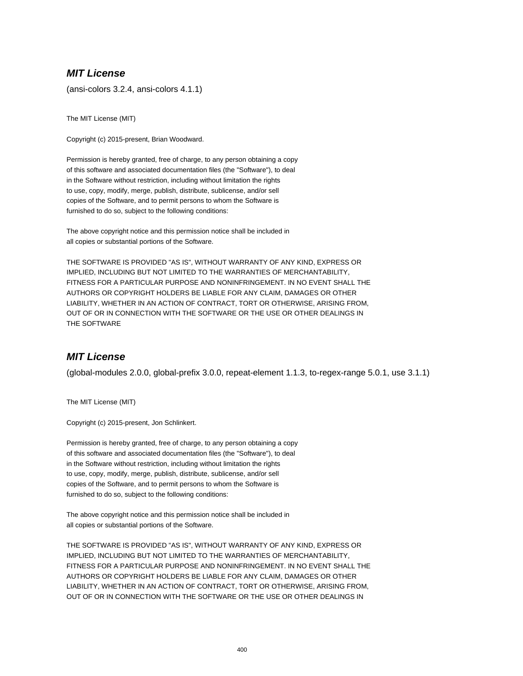## **MIT License**

(ansi-colors 3.2.4, ansi-colors 4.1.1)

The MIT License (MIT)

Copyright (c) 2015-present, Brian Woodward.

Permission is hereby granted, free of charge, to any person obtaining a copy of this software and associated documentation files (the "Software"), to deal in the Software without restriction, including without limitation the rights to use, copy, modify, merge, publish, distribute, sublicense, and/or sell copies of the Software, and to permit persons to whom the Software is furnished to do so, subject to the following conditions:

The above copyright notice and this permission notice shall be included in all copies or substantial portions of the Software.

THE SOFTWARE IS PROVIDED "AS IS", WITHOUT WARRANTY OF ANY KIND, EXPRESS OR IMPLIED, INCLUDING BUT NOT LIMITED TO THE WARRANTIES OF MERCHANTABILITY, FITNESS FOR A PARTICULAR PURPOSE AND NONINFRINGEMENT. IN NO EVENT SHALL THE AUTHORS OR COPYRIGHT HOLDERS BE LIABLE FOR ANY CLAIM, DAMAGES OR OTHER LIABILITY, WHETHER IN AN ACTION OF CONTRACT, TORT OR OTHERWISE, ARISING FROM, OUT OF OR IN CONNECTION WITH THE SOFTWARE OR THE USE OR OTHER DEALINGS IN THE SOFTWARE

# **MIT License**

(global-modules 2.0.0, global-prefix 3.0.0, repeat-element 1.1.3, to-regex-range 5.0.1, use 3.1.1)

The MIT License (MIT)

Copyright (c) 2015-present, Jon Schlinkert.

Permission is hereby granted, free of charge, to any person obtaining a copy of this software and associated documentation files (the "Software"), to deal in the Software without restriction, including without limitation the rights to use, copy, modify, merge, publish, distribute, sublicense, and/or sell copies of the Software, and to permit persons to whom the Software is furnished to do so, subject to the following conditions:

The above copyright notice and this permission notice shall be included in all copies or substantial portions of the Software.

THE SOFTWARE IS PROVIDED "AS IS", WITHOUT WARRANTY OF ANY KIND, EXPRESS OR IMPLIED, INCLUDING BUT NOT LIMITED TO THE WARRANTIES OF MERCHANTABILITY, FITNESS FOR A PARTICULAR PURPOSE AND NONINFRINGEMENT. IN NO EVENT SHALL THE AUTHORS OR COPYRIGHT HOLDERS BE LIABLE FOR ANY CLAIM, DAMAGES OR OTHER LIABILITY, WHETHER IN AN ACTION OF CONTRACT, TORT OR OTHERWISE, ARISING FROM, OUT OF OR IN CONNECTION WITH THE SOFTWARE OR THE USE OR OTHER DEALINGS IN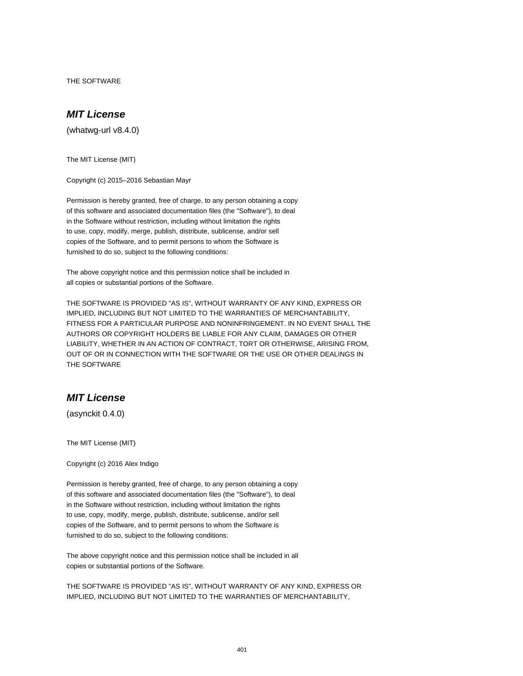THE SOFTWARE

# **MIT License**

(whatwg-url v8.4.0)

The MIT License (MIT)

Copyright (c) 2015–2016 Sebastian Mayr

Permission is hereby granted, free of charge, to any person obtaining a copy of this software and associated documentation files (the "Software"), to deal in the Software without restriction, including without limitation the rights to use, copy, modify, merge, publish, distribute, sublicense, and/or sell copies of the Software, and to permit persons to whom the Software is furnished to do so, subject to the following conditions:

The above copyright notice and this permission notice shall be included in all copies or substantial portions of the Software.

THE SOFTWARE IS PROVIDED "AS IS", WITHOUT WARRANTY OF ANY KIND, EXPRESS OR IMPLIED, INCLUDING BUT NOT LIMITED TO THE WARRANTIES OF MERCHANTABILITY, FITNESS FOR A PARTICULAR PURPOSE AND NONINFRINGEMENT. IN NO EVENT SHALL THE AUTHORS OR COPYRIGHT HOLDERS BE LIABLE FOR ANY CLAIM, DAMAGES OR OTHER LIABILITY, WHETHER IN AN ACTION OF CONTRACT, TORT OR OTHERWISE, ARISING FROM, OUT OF OR IN CONNECTION WITH THE SOFTWARE OR THE USE OR OTHER DEALINGS IN THE SOFTWARE

# **MIT License**

(asynckit 0.4.0)

The MIT License (MIT)

Copyright (c) 2016 Alex Indigo

Permission is hereby granted, free of charge, to any person obtaining a copy of this software and associated documentation files (the "Software"), to deal in the Software without restriction, including without limitation the rights to use, copy, modify, merge, publish, distribute, sublicense, and/or sell copies of the Software, and to permit persons to whom the Software is furnished to do so, subject to the following conditions:

The above copyright notice and this permission notice shall be included in all copies or substantial portions of the Software.

THE SOFTWARE IS PROVIDED "AS IS", WITHOUT WARRANTY OF ANY KIND, EXPRESS OR IMPLIED, INCLUDING BUT NOT LIMITED TO THE WARRANTIES OF MERCHANTABILITY,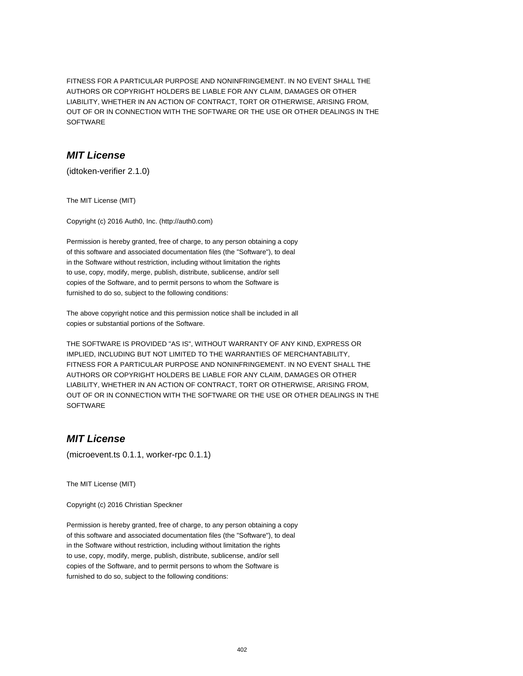FITNESS FOR A PARTICULAR PURPOSE AND NONINFRINGEMENT. IN NO EVENT SHALL THE AUTHORS OR COPYRIGHT HOLDERS BE LIABLE FOR ANY CLAIM, DAMAGES OR OTHER LIABILITY, WHETHER IN AN ACTION OF CONTRACT, TORT OR OTHERWISE, ARISING FROM, OUT OF OR IN CONNECTION WITH THE SOFTWARE OR THE USE OR OTHER DEALINGS IN THE SOFTWARE

### **MIT License**

(idtoken-verifier 2.1.0)

The MIT License (MIT)

Copyright (c) 2016 Auth0, Inc. (http://auth0.com)

Permission is hereby granted, free of charge, to any person obtaining a copy of this software and associated documentation files (the "Software"), to deal in the Software without restriction, including without limitation the rights to use, copy, modify, merge, publish, distribute, sublicense, and/or sell copies of the Software, and to permit persons to whom the Software is furnished to do so, subject to the following conditions:

The above copyright notice and this permission notice shall be included in all copies or substantial portions of the Software.

THE SOFTWARE IS PROVIDED "AS IS", WITHOUT WARRANTY OF ANY KIND, EXPRESS OR IMPLIED, INCLUDING BUT NOT LIMITED TO THE WARRANTIES OF MERCHANTABILITY, FITNESS FOR A PARTICULAR PURPOSE AND NONINFRINGEMENT. IN NO EVENT SHALL THE AUTHORS OR COPYRIGHT HOLDERS BE LIABLE FOR ANY CLAIM, DAMAGES OR OTHER LIABILITY, WHETHER IN AN ACTION OF CONTRACT, TORT OR OTHERWISE, ARISING FROM, OUT OF OR IN CONNECTION WITH THE SOFTWARE OR THE USE OR OTHER DEALINGS IN THE **SOFTWARE** 

# **MIT License**

(microevent.ts 0.1.1, worker-rpc 0.1.1)

The MIT License (MIT)

Copyright (c) 2016 Christian Speckner

Permission is hereby granted, free of charge, to any person obtaining a copy of this software and associated documentation files (the "Software"), to deal in the Software without restriction, including without limitation the rights to use, copy, modify, merge, publish, distribute, sublicense, and/or sell copies of the Software, and to permit persons to whom the Software is furnished to do so, subject to the following conditions: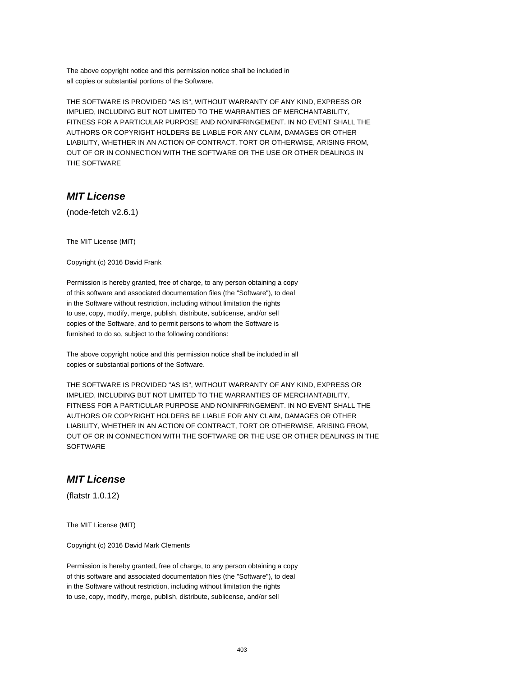The above copyright notice and this permission notice shall be included in all copies or substantial portions of the Software.

THE SOFTWARE IS PROVIDED "AS IS", WITHOUT WARRANTY OF ANY KIND, EXPRESS OR IMPLIED, INCLUDING BUT NOT LIMITED TO THE WARRANTIES OF MERCHANTABILITY, FITNESS FOR A PARTICULAR PURPOSE AND NONINFRINGEMENT. IN NO EVENT SHALL THE AUTHORS OR COPYRIGHT HOLDERS BE LIABLE FOR ANY CLAIM, DAMAGES OR OTHER LIABILITY, WHETHER IN AN ACTION OF CONTRACT, TORT OR OTHERWISE, ARISING FROM, OUT OF OR IN CONNECTION WITH THE SOFTWARE OR THE USE OR OTHER DEALINGS IN THE SOFTWARE

## **MIT License**

(node-fetch v2.6.1)

The MIT License (MIT)

Copyright (c) 2016 David Frank

Permission is hereby granted, free of charge, to any person obtaining a copy of this software and associated documentation files (the "Software"), to deal in the Software without restriction, including without limitation the rights to use, copy, modify, merge, publish, distribute, sublicense, and/or sell copies of the Software, and to permit persons to whom the Software is furnished to do so, subject to the following conditions:

The above copyright notice and this permission notice shall be included in all copies or substantial portions of the Software.

THE SOFTWARE IS PROVIDED "AS IS", WITHOUT WARRANTY OF ANY KIND, EXPRESS OR IMPLIED, INCLUDING BUT NOT LIMITED TO THE WARRANTIES OF MERCHANTABILITY, FITNESS FOR A PARTICULAR PURPOSE AND NONINFRINGEMENT. IN NO EVENT SHALL THE AUTHORS OR COPYRIGHT HOLDERS BE LIABLE FOR ANY CLAIM, DAMAGES OR OTHER LIABILITY, WHETHER IN AN ACTION OF CONTRACT, TORT OR OTHERWISE, ARISING FROM, OUT OF OR IN CONNECTION WITH THE SOFTWARE OR THE USE OR OTHER DEALINGS IN THE **SOFTWARE** 

### **MIT License**

(flatstr 1.0.12)

The MIT License (MIT)

Copyright (c) 2016 David Mark Clements

Permission is hereby granted, free of charge, to any person obtaining a copy of this software and associated documentation files (the "Software"), to deal in the Software without restriction, including without limitation the rights to use, copy, modify, merge, publish, distribute, sublicense, and/or sell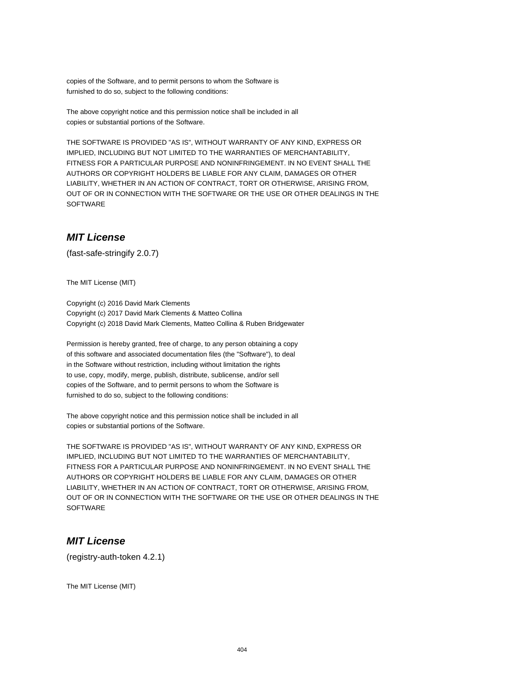copies of the Software, and to permit persons to whom the Software is furnished to do so, subject to the following conditions:

The above copyright notice and this permission notice shall be included in all copies or substantial portions of the Software.

THE SOFTWARE IS PROVIDED "AS IS", WITHOUT WARRANTY OF ANY KIND, EXPRESS OR IMPLIED, INCLUDING BUT NOT LIMITED TO THE WARRANTIES OF MERCHANTABILITY, FITNESS FOR A PARTICULAR PURPOSE AND NONINFRINGEMENT. IN NO EVENT SHALL THE AUTHORS OR COPYRIGHT HOLDERS BE LIABLE FOR ANY CLAIM, DAMAGES OR OTHER LIABILITY, WHETHER IN AN ACTION OF CONTRACT, TORT OR OTHERWISE, ARISING FROM, OUT OF OR IN CONNECTION WITH THE SOFTWARE OR THE USE OR OTHER DEALINGS IN THE **SOFTWARE** 

### **MIT License**

(fast-safe-stringify 2.0.7)

The MIT License (MIT)

Copyright (c) 2016 David Mark Clements Copyright (c) 2017 David Mark Clements & Matteo Collina Copyright (c) 2018 David Mark Clements, Matteo Collina & Ruben Bridgewater

Permission is hereby granted, free of charge, to any person obtaining a copy of this software and associated documentation files (the "Software"), to deal in the Software without restriction, including without limitation the rights to use, copy, modify, merge, publish, distribute, sublicense, and/or sell copies of the Software, and to permit persons to whom the Software is furnished to do so, subject to the following conditions:

The above copyright notice and this permission notice shall be included in all copies or substantial portions of the Software.

THE SOFTWARE IS PROVIDED "AS IS", WITHOUT WARRANTY OF ANY KIND, EXPRESS OR IMPLIED, INCLUDING BUT NOT LIMITED TO THE WARRANTIES OF MERCHANTABILITY, FITNESS FOR A PARTICULAR PURPOSE AND NONINFRINGEMENT. IN NO EVENT SHALL THE AUTHORS OR COPYRIGHT HOLDERS BE LIABLE FOR ANY CLAIM, DAMAGES OR OTHER LIABILITY, WHETHER IN AN ACTION OF CONTRACT, TORT OR OTHERWISE, ARISING FROM, OUT OF OR IN CONNECTION WITH THE SOFTWARE OR THE USE OR OTHER DEALINGS IN THE **SOFTWARE** 

### **MIT License**

(registry-auth-token 4.2.1)

The MIT License (MIT)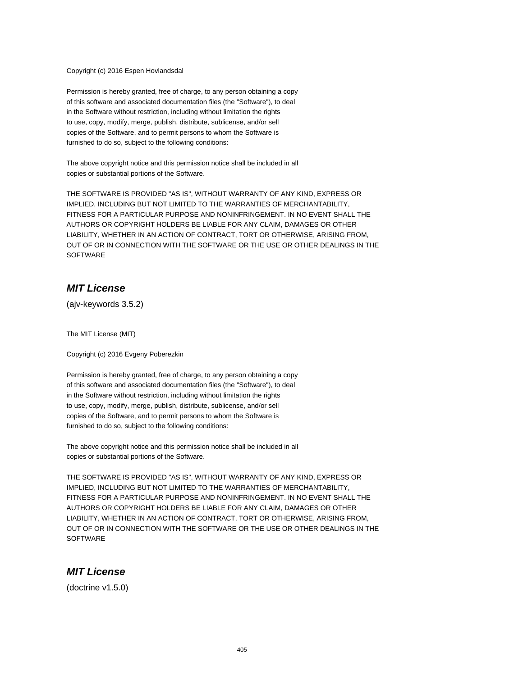Copyright (c) 2016 Espen Hovlandsdal

Permission is hereby granted, free of charge, to any person obtaining a copy of this software and associated documentation files (the "Software"), to deal in the Software without restriction, including without limitation the rights to use, copy, modify, merge, publish, distribute, sublicense, and/or sell copies of the Software, and to permit persons to whom the Software is furnished to do so, subject to the following conditions:

The above copyright notice and this permission notice shall be included in all copies or substantial portions of the Software.

THE SOFTWARE IS PROVIDED "AS IS", WITHOUT WARRANTY OF ANY KIND, EXPRESS OR IMPLIED, INCLUDING BUT NOT LIMITED TO THE WARRANTIES OF MERCHANTABILITY, FITNESS FOR A PARTICULAR PURPOSE AND NONINFRINGEMENT. IN NO EVENT SHALL THE AUTHORS OR COPYRIGHT HOLDERS BE LIABLE FOR ANY CLAIM, DAMAGES OR OTHER LIABILITY, WHETHER IN AN ACTION OF CONTRACT, TORT OR OTHERWISE, ARISING FROM, OUT OF OR IN CONNECTION WITH THE SOFTWARE OR THE USE OR OTHER DEALINGS IN THE **SOFTWARE** 

## **MIT License**

(ajv-keywords 3.5.2)

The MIT License (MIT)

Copyright (c) 2016 Evgeny Poberezkin

Permission is hereby granted, free of charge, to any person obtaining a copy of this software and associated documentation files (the "Software"), to deal in the Software without restriction, including without limitation the rights to use, copy, modify, merge, publish, distribute, sublicense, and/or sell copies of the Software, and to permit persons to whom the Software is furnished to do so, subject to the following conditions:

The above copyright notice and this permission notice shall be included in all copies or substantial portions of the Software.

THE SOFTWARE IS PROVIDED "AS IS", WITHOUT WARRANTY OF ANY KIND, EXPRESS OR IMPLIED, INCLUDING BUT NOT LIMITED TO THE WARRANTIES OF MERCHANTABILITY, FITNESS FOR A PARTICULAR PURPOSE AND NONINFRINGEMENT. IN NO EVENT SHALL THE AUTHORS OR COPYRIGHT HOLDERS BE LIABLE FOR ANY CLAIM, DAMAGES OR OTHER LIABILITY, WHETHER IN AN ACTION OF CONTRACT, TORT OR OTHERWISE, ARISING FROM, OUT OF OR IN CONNECTION WITH THE SOFTWARE OR THE USE OR OTHER DEALINGS IN THE **SOFTWARE** 

### **MIT License**

(doctrine v1.5.0)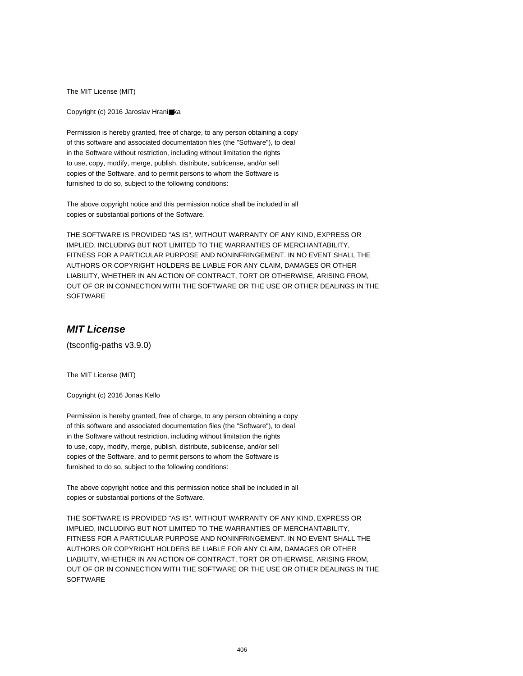The MIT License (MIT)

Copyright (c) 2016 Jaroslav Hrani■ka

Permission is hereby granted, free of charge, to any person obtaining a copy of this software and associated documentation files (the "Software"), to deal in the Software without restriction, including without limitation the rights to use, copy, modify, merge, publish, distribute, sublicense, and/or sell copies of the Software, and to permit persons to whom the Software is furnished to do so, subject to the following conditions:

The above copyright notice and this permission notice shall be included in all copies or substantial portions of the Software.

THE SOFTWARE IS PROVIDED "AS IS", WITHOUT WARRANTY OF ANY KIND, EXPRESS OR IMPLIED, INCLUDING BUT NOT LIMITED TO THE WARRANTIES OF MERCHANTABILITY, FITNESS FOR A PARTICULAR PURPOSE AND NONINFRINGEMENT. IN NO EVENT SHALL THE AUTHORS OR COPYRIGHT HOLDERS BE LIABLE FOR ANY CLAIM, DAMAGES OR OTHER LIABILITY, WHETHER IN AN ACTION OF CONTRACT, TORT OR OTHERWISE, ARISING FROM, OUT OF OR IN CONNECTION WITH THE SOFTWARE OR THE USE OR OTHER DEALINGS IN THE SOFTWARE

# **MIT License**

(tsconfig-paths v3.9.0)

The MIT License (MIT)

Copyright (c) 2016 Jonas Kello

Permission is hereby granted, free of charge, to any person obtaining a copy of this software and associated documentation files (the "Software"), to deal in the Software without restriction, including without limitation the rights to use, copy, modify, merge, publish, distribute, sublicense, and/or sell copies of the Software, and to permit persons to whom the Software is furnished to do so, subject to the following conditions:

The above copyright notice and this permission notice shall be included in all copies or substantial portions of the Software.

THE SOFTWARE IS PROVIDED "AS IS", WITHOUT WARRANTY OF ANY KIND, EXPRESS OR IMPLIED, INCLUDING BUT NOT LIMITED TO THE WARRANTIES OF MERCHANTABILITY, FITNESS FOR A PARTICULAR PURPOSE AND NONINFRINGEMENT. IN NO EVENT SHALL THE AUTHORS OR COPYRIGHT HOLDERS BE LIABLE FOR ANY CLAIM, DAMAGES OR OTHER LIABILITY, WHETHER IN AN ACTION OF CONTRACT, TORT OR OTHERWISE, ARISING FROM, OUT OF OR IN CONNECTION WITH THE SOFTWARE OR THE USE OR OTHER DEALINGS IN THE **SOFTWARE**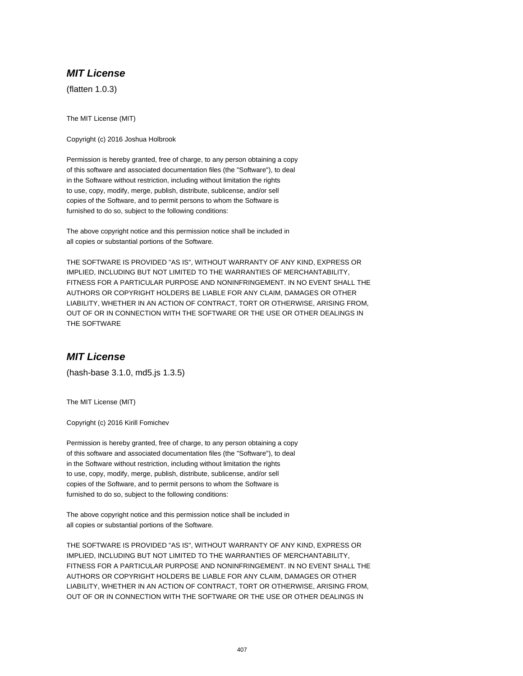# **MIT License**

(flatten 1.0.3)

The MIT License (MIT)

Copyright (c) 2016 Joshua Holbrook

Permission is hereby granted, free of charge, to any person obtaining a copy of this software and associated documentation files (the "Software"), to deal in the Software without restriction, including without limitation the rights to use, copy, modify, merge, publish, distribute, sublicense, and/or sell copies of the Software, and to permit persons to whom the Software is furnished to do so, subject to the following conditions:

The above copyright notice and this permission notice shall be included in all copies or substantial portions of the Software.

THE SOFTWARE IS PROVIDED "AS IS", WITHOUT WARRANTY OF ANY KIND, EXPRESS OR IMPLIED, INCLUDING BUT NOT LIMITED TO THE WARRANTIES OF MERCHANTABILITY, FITNESS FOR A PARTICULAR PURPOSE AND NONINFRINGEMENT. IN NO EVENT SHALL THE AUTHORS OR COPYRIGHT HOLDERS BE LIABLE FOR ANY CLAIM, DAMAGES OR OTHER LIABILITY, WHETHER IN AN ACTION OF CONTRACT, TORT OR OTHERWISE, ARISING FROM, OUT OF OR IN CONNECTION WITH THE SOFTWARE OR THE USE OR OTHER DEALINGS IN THE SOFTWARE

## **MIT License**

(hash-base 3.1.0, md5.js 1.3.5)

The MIT License (MIT)

Copyright (c) 2016 Kirill Fomichev

Permission is hereby granted, free of charge, to any person obtaining a copy of this software and associated documentation files (the "Software"), to deal in the Software without restriction, including without limitation the rights to use, copy, modify, merge, publish, distribute, sublicense, and/or sell copies of the Software, and to permit persons to whom the Software is furnished to do so, subject to the following conditions:

The above copyright notice and this permission notice shall be included in all copies or substantial portions of the Software.

THE SOFTWARE IS PROVIDED "AS IS", WITHOUT WARRANTY OF ANY KIND, EXPRESS OR IMPLIED, INCLUDING BUT NOT LIMITED TO THE WARRANTIES OF MERCHANTABILITY, FITNESS FOR A PARTICULAR PURPOSE AND NONINFRINGEMENT. IN NO EVENT SHALL THE AUTHORS OR COPYRIGHT HOLDERS BE LIABLE FOR ANY CLAIM, DAMAGES OR OTHER LIABILITY, WHETHER IN AN ACTION OF CONTRACT, TORT OR OTHERWISE, ARISING FROM, OUT OF OR IN CONNECTION WITH THE SOFTWARE OR THE USE OR OTHER DEALINGS IN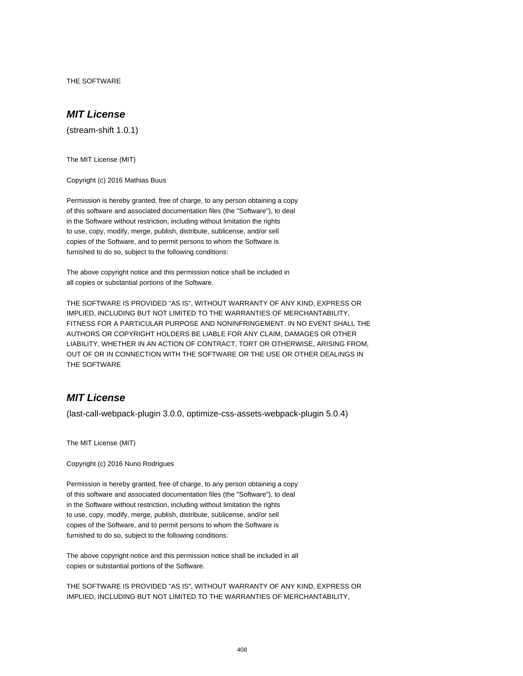THE SOFTWARE

### **MIT License**

(stream-shift 1.0.1)

The MIT License (MIT)

Copyright (c) 2016 Mathias Buus

Permission is hereby granted, free of charge, to any person obtaining a copy of this software and associated documentation files (the "Software"), to deal in the Software without restriction, including without limitation the rights to use, copy, modify, merge, publish, distribute, sublicense, and/or sell copies of the Software, and to permit persons to whom the Software is furnished to do so, subject to the following conditions:

The above copyright notice and this permission notice shall be included in all copies or substantial portions of the Software.

THE SOFTWARE IS PROVIDED "AS IS", WITHOUT WARRANTY OF ANY KIND, EXPRESS OR IMPLIED, INCLUDING BUT NOT LIMITED TO THE WARRANTIES OF MERCHANTABILITY, FITNESS FOR A PARTICULAR PURPOSE AND NONINFRINGEMENT. IN NO EVENT SHALL THE AUTHORS OR COPYRIGHT HOLDERS BE LIABLE FOR ANY CLAIM, DAMAGES OR OTHER LIABILITY, WHETHER IN AN ACTION OF CONTRACT, TORT OR OTHERWISE, ARISING FROM, OUT OF OR IN CONNECTION WITH THE SOFTWARE OR THE USE OR OTHER DEALINGS IN THE SOFTWARE

### **MIT License**

(last-call-webpack-plugin 3.0.0, optimize-css-assets-webpack-plugin 5.0.4)

The MIT License (MIT)

Copyright (c) 2016 Nuno Rodrigues

Permission is hereby granted, free of charge, to any person obtaining a copy of this software and associated documentation files (the "Software"), to deal in the Software without restriction, including without limitation the rights to use, copy, modify, merge, publish, distribute, sublicense, and/or sell copies of the Software, and to permit persons to whom the Software is furnished to do so, subject to the following conditions:

The above copyright notice and this permission notice shall be included in all copies or substantial portions of the Software.

THE SOFTWARE IS PROVIDED "AS IS", WITHOUT WARRANTY OF ANY KIND, EXPRESS OR IMPLIED, INCLUDING BUT NOT LIMITED TO THE WARRANTIES OF MERCHANTABILITY,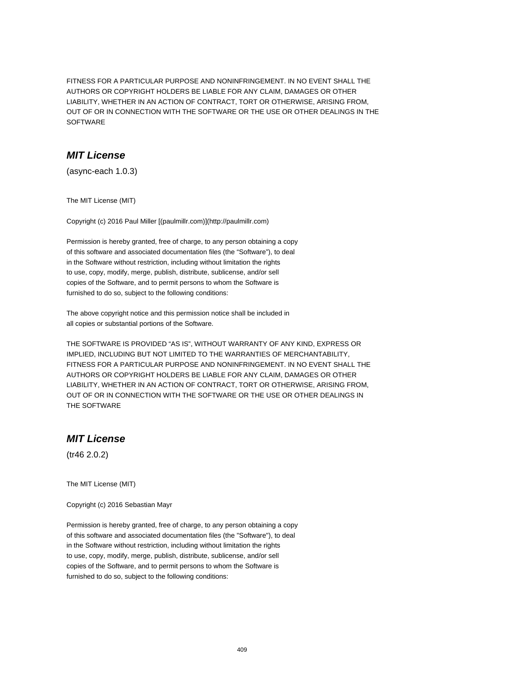FITNESS FOR A PARTICULAR PURPOSE AND NONINFRINGEMENT. IN NO EVENT SHALL THE AUTHORS OR COPYRIGHT HOLDERS BE LIABLE FOR ANY CLAIM, DAMAGES OR OTHER LIABILITY, WHETHER IN AN ACTION OF CONTRACT, TORT OR OTHERWISE, ARISING FROM, OUT OF OR IN CONNECTION WITH THE SOFTWARE OR THE USE OR OTHER DEALINGS IN THE SOFTWARE

### **MIT License**

(async-each 1.0.3)

The MIT License (MIT)

Copyright (c) 2016 Paul Miller [(paulmillr.com)](http://paulmillr.com)

Permission is hereby granted, free of charge, to any person obtaining a copy of this software and associated documentation files (the "Software"), to deal in the Software without restriction, including without limitation the rights to use, copy, modify, merge, publish, distribute, sublicense, and/or sell copies of the Software, and to permit persons to whom the Software is furnished to do so, subject to the following conditions:

The above copyright notice and this permission notice shall be included in all copies or substantial portions of the Software.

THE SOFTWARE IS PROVIDED "AS IS", WITHOUT WARRANTY OF ANY KIND, EXPRESS OR IMPLIED, INCLUDING BUT NOT LIMITED TO THE WARRANTIES OF MERCHANTABILITY, FITNESS FOR A PARTICULAR PURPOSE AND NONINFRINGEMENT. IN NO EVENT SHALL THE AUTHORS OR COPYRIGHT HOLDERS BE LIABLE FOR ANY CLAIM, DAMAGES OR OTHER LIABILITY, WHETHER IN AN ACTION OF CONTRACT, TORT OR OTHERWISE, ARISING FROM, OUT OF OR IN CONNECTION WITH THE SOFTWARE OR THE USE OR OTHER DEALINGS IN THE SOFTWARE

## **MIT License**

(tr46 2.0.2)

The MIT License (MIT)

Copyright (c) 2016 Sebastian Mayr

Permission is hereby granted, free of charge, to any person obtaining a copy of this software and associated documentation files (the "Software"), to deal in the Software without restriction, including without limitation the rights to use, copy, modify, merge, publish, distribute, sublicense, and/or sell copies of the Software, and to permit persons to whom the Software is furnished to do so, subject to the following conditions: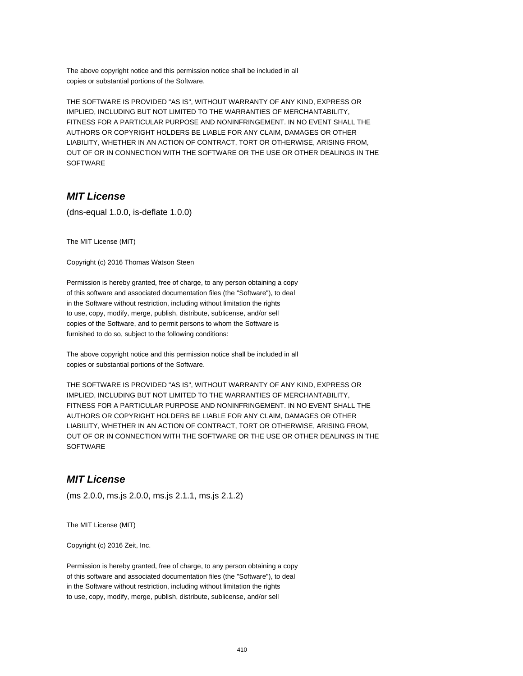The above copyright notice and this permission notice shall be included in all copies or substantial portions of the Software.

THE SOFTWARE IS PROVIDED "AS IS", WITHOUT WARRANTY OF ANY KIND, EXPRESS OR IMPLIED, INCLUDING BUT NOT LIMITED TO THE WARRANTIES OF MERCHANTABILITY, FITNESS FOR A PARTICULAR PURPOSE AND NONINFRINGEMENT. IN NO EVENT SHALL THE AUTHORS OR COPYRIGHT HOLDERS BE LIABLE FOR ANY CLAIM, DAMAGES OR OTHER LIABILITY, WHETHER IN AN ACTION OF CONTRACT, TORT OR OTHERWISE, ARISING FROM, OUT OF OR IN CONNECTION WITH THE SOFTWARE OR THE USE OR OTHER DEALINGS IN THE SOFTWARE

## **MIT License**

(dns-equal 1.0.0, is-deflate 1.0.0)

The MIT License (MIT)

Copyright (c) 2016 Thomas Watson Steen

Permission is hereby granted, free of charge, to any person obtaining a copy of this software and associated documentation files (the "Software"), to deal in the Software without restriction, including without limitation the rights to use, copy, modify, merge, publish, distribute, sublicense, and/or sell copies of the Software, and to permit persons to whom the Software is furnished to do so, subject to the following conditions:

The above copyright notice and this permission notice shall be included in all copies or substantial portions of the Software.

THE SOFTWARE IS PROVIDED "AS IS", WITHOUT WARRANTY OF ANY KIND, EXPRESS OR IMPLIED, INCLUDING BUT NOT LIMITED TO THE WARRANTIES OF MERCHANTABILITY, FITNESS FOR A PARTICULAR PURPOSE AND NONINFRINGEMENT. IN NO EVENT SHALL THE AUTHORS OR COPYRIGHT HOLDERS BE LIABLE FOR ANY CLAIM, DAMAGES OR OTHER LIABILITY, WHETHER IN AN ACTION OF CONTRACT, TORT OR OTHERWISE, ARISING FROM, OUT OF OR IN CONNECTION WITH THE SOFTWARE OR THE USE OR OTHER DEALINGS IN THE **SOFTWARE** 

## **MIT License**

(ms 2.0.0, ms.js 2.0.0, ms.js 2.1.1, ms.js 2.1.2)

The MIT License (MIT)

Copyright (c) 2016 Zeit, Inc.

Permission is hereby granted, free of charge, to any person obtaining a copy of this software and associated documentation files (the "Software"), to deal in the Software without restriction, including without limitation the rights to use, copy, modify, merge, publish, distribute, sublicense, and/or sell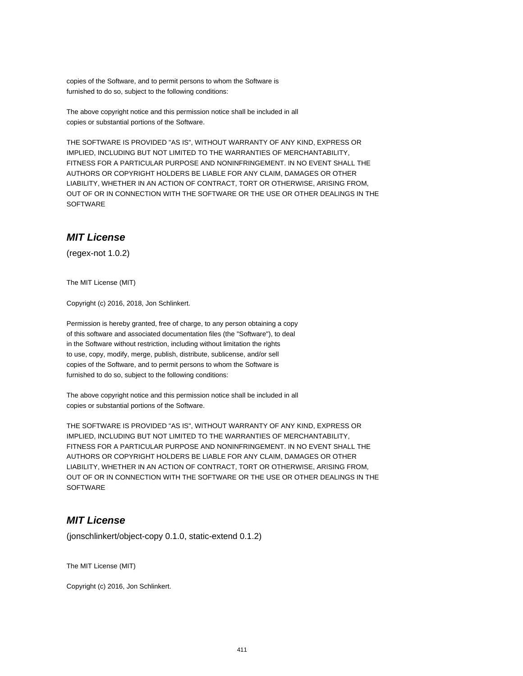copies of the Software, and to permit persons to whom the Software is furnished to do so, subject to the following conditions:

The above copyright notice and this permission notice shall be included in all copies or substantial portions of the Software.

THE SOFTWARE IS PROVIDED "AS IS", WITHOUT WARRANTY OF ANY KIND, EXPRESS OR IMPLIED, INCLUDING BUT NOT LIMITED TO THE WARRANTIES OF MERCHANTABILITY, FITNESS FOR A PARTICULAR PURPOSE AND NONINFRINGEMENT. IN NO EVENT SHALL THE AUTHORS OR COPYRIGHT HOLDERS BE LIABLE FOR ANY CLAIM, DAMAGES OR OTHER LIABILITY, WHETHER IN AN ACTION OF CONTRACT, TORT OR OTHERWISE, ARISING FROM, OUT OF OR IN CONNECTION WITH THE SOFTWARE OR THE USE OR OTHER DEALINGS IN THE **SOFTWARE** 

### **MIT License**

(regex-not 1.0.2)

The MIT License (MIT)

Copyright (c) 2016, 2018, Jon Schlinkert.

Permission is hereby granted, free of charge, to any person obtaining a copy of this software and associated documentation files (the "Software"), to deal in the Software without restriction, including without limitation the rights to use, copy, modify, merge, publish, distribute, sublicense, and/or sell copies of the Software, and to permit persons to whom the Software is furnished to do so, subject to the following conditions:

The above copyright notice and this permission notice shall be included in all copies or substantial portions of the Software.

THE SOFTWARE IS PROVIDED "AS IS", WITHOUT WARRANTY OF ANY KIND, EXPRESS OR IMPLIED, INCLUDING BUT NOT LIMITED TO THE WARRANTIES OF MERCHANTABILITY, FITNESS FOR A PARTICULAR PURPOSE AND NONINFRINGEMENT. IN NO EVENT SHALL THE AUTHORS OR COPYRIGHT HOLDERS BE LIABLE FOR ANY CLAIM, DAMAGES OR OTHER LIABILITY, WHETHER IN AN ACTION OF CONTRACT, TORT OR OTHERWISE, ARISING FROM, OUT OF OR IN CONNECTION WITH THE SOFTWARE OR THE USE OR OTHER DEALINGS IN THE **SOFTWARE** 

## **MIT License**

(jonschlinkert/object-copy 0.1.0, static-extend 0.1.2)

The MIT License (MIT)

Copyright (c) 2016, Jon Schlinkert.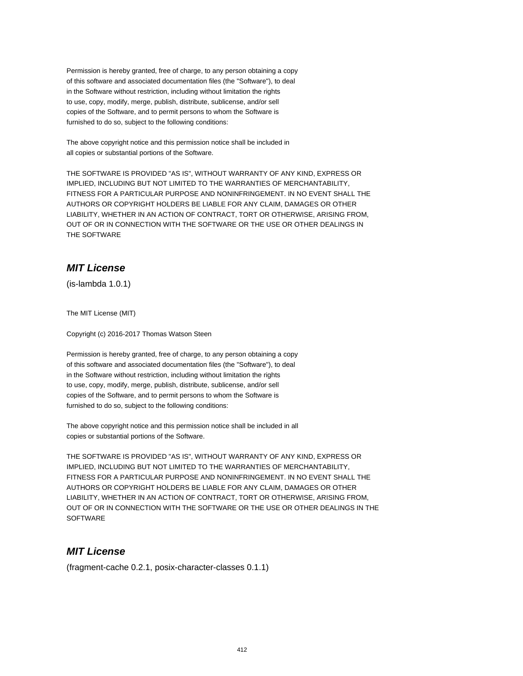Permission is hereby granted, free of charge, to any person obtaining a copy of this software and associated documentation files (the "Software"), to deal in the Software without restriction, including without limitation the rights to use, copy, modify, merge, publish, distribute, sublicense, and/or sell copies of the Software, and to permit persons to whom the Software is furnished to do so, subject to the following conditions:

The above copyright notice and this permission notice shall be included in all copies or substantial portions of the Software.

THE SOFTWARE IS PROVIDED "AS IS", WITHOUT WARRANTY OF ANY KIND, EXPRESS OR IMPLIED, INCLUDING BUT NOT LIMITED TO THE WARRANTIES OF MERCHANTABILITY, FITNESS FOR A PARTICULAR PURPOSE AND NONINFRINGEMENT. IN NO EVENT SHALL THE AUTHORS OR COPYRIGHT HOLDERS BE LIABLE FOR ANY CLAIM, DAMAGES OR OTHER LIABILITY, WHETHER IN AN ACTION OF CONTRACT, TORT OR OTHERWISE, ARISING FROM, OUT OF OR IN CONNECTION WITH THE SOFTWARE OR THE USE OR OTHER DEALINGS IN THE SOFTWARE

# **MIT License**

(is-lambda 1.0.1)

The MIT License (MIT)

Copyright (c) 2016-2017 Thomas Watson Steen

Permission is hereby granted, free of charge, to any person obtaining a copy of this software and associated documentation files (the "Software"), to deal in the Software without restriction, including without limitation the rights to use, copy, modify, merge, publish, distribute, sublicense, and/or sell copies of the Software, and to permit persons to whom the Software is furnished to do so, subject to the following conditions:

The above copyright notice and this permission notice shall be included in all copies or substantial portions of the Software.

THE SOFTWARE IS PROVIDED "AS IS", WITHOUT WARRANTY OF ANY KIND, EXPRESS OR IMPLIED, INCLUDING BUT NOT LIMITED TO THE WARRANTIES OF MERCHANTABILITY, FITNESS FOR A PARTICULAR PURPOSE AND NONINFRINGEMENT. IN NO EVENT SHALL THE AUTHORS OR COPYRIGHT HOLDERS BE LIABLE FOR ANY CLAIM, DAMAGES OR OTHER LIABILITY, WHETHER IN AN ACTION OF CONTRACT, TORT OR OTHERWISE, ARISING FROM, OUT OF OR IN CONNECTION WITH THE SOFTWARE OR THE USE OR OTHER DEALINGS IN THE **SOFTWARE** 

## **MIT License**

(fragment-cache 0.2.1, posix-character-classes 0.1.1)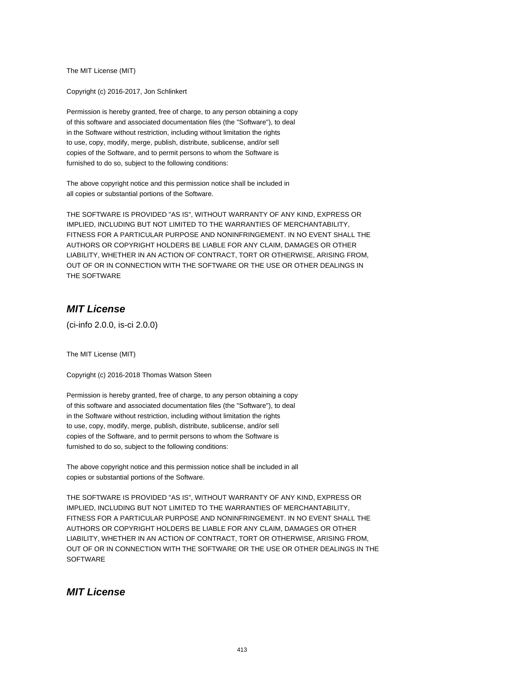The MIT License (MIT)

Copyright (c) 2016-2017, Jon Schlinkert

Permission is hereby granted, free of charge, to any person obtaining a copy of this software and associated documentation files (the "Software"), to deal in the Software without restriction, including without limitation the rights to use, copy, modify, merge, publish, distribute, sublicense, and/or sell copies of the Software, and to permit persons to whom the Software is furnished to do so, subject to the following conditions:

The above copyright notice and this permission notice shall be included in all copies or substantial portions of the Software.

THE SOFTWARE IS PROVIDED "AS IS", WITHOUT WARRANTY OF ANY KIND, EXPRESS OR IMPLIED, INCLUDING BUT NOT LIMITED TO THE WARRANTIES OF MERCHANTABILITY, FITNESS FOR A PARTICULAR PURPOSE AND NONINFRINGEMENT. IN NO EVENT SHALL THE AUTHORS OR COPYRIGHT HOLDERS BE LIABLE FOR ANY CLAIM, DAMAGES OR OTHER LIABILITY, WHETHER IN AN ACTION OF CONTRACT, TORT OR OTHERWISE, ARISING FROM, OUT OF OR IN CONNECTION WITH THE SOFTWARE OR THE USE OR OTHER DEALINGS IN THE SOFTWARE

# **MIT License**

(ci-info 2.0.0, is-ci 2.0.0)

The MIT License (MIT)

Copyright (c) 2016-2018 Thomas Watson Steen

Permission is hereby granted, free of charge, to any person obtaining a copy of this software and associated documentation files (the "Software"), to deal in the Software without restriction, including without limitation the rights to use, copy, modify, merge, publish, distribute, sublicense, and/or sell copies of the Software, and to permit persons to whom the Software is furnished to do so, subject to the following conditions:

The above copyright notice and this permission notice shall be included in all copies or substantial portions of the Software.

THE SOFTWARE IS PROVIDED "AS IS", WITHOUT WARRANTY OF ANY KIND, EXPRESS OR IMPLIED, INCLUDING BUT NOT LIMITED TO THE WARRANTIES OF MERCHANTABILITY, FITNESS FOR A PARTICULAR PURPOSE AND NONINFRINGEMENT. IN NO EVENT SHALL THE AUTHORS OR COPYRIGHT HOLDERS BE LIABLE FOR ANY CLAIM, DAMAGES OR OTHER LIABILITY, WHETHER IN AN ACTION OF CONTRACT, TORT OR OTHERWISE, ARISING FROM, OUT OF OR IN CONNECTION WITH THE SOFTWARE OR THE USE OR OTHER DEALINGS IN THE **SOFTWARE** 

## **MIT License**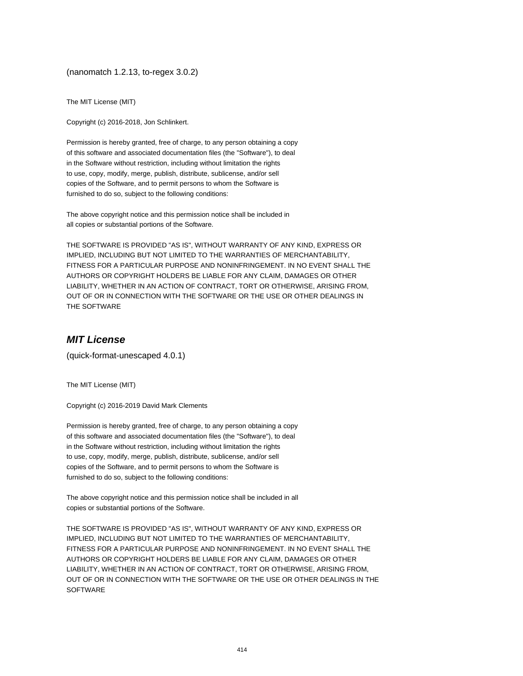(nanomatch 1.2.13, to-regex 3.0.2)

The MIT License (MIT)

Copyright (c) 2016-2018, Jon Schlinkert.

Permission is hereby granted, free of charge, to any person obtaining a copy of this software and associated documentation files (the "Software"), to deal in the Software without restriction, including without limitation the rights to use, copy, modify, merge, publish, distribute, sublicense, and/or sell copies of the Software, and to permit persons to whom the Software is furnished to do so, subject to the following conditions:

The above copyright notice and this permission notice shall be included in all copies or substantial portions of the Software.

THE SOFTWARE IS PROVIDED "AS IS", WITHOUT WARRANTY OF ANY KIND, EXPRESS OR IMPLIED, INCLUDING BUT NOT LIMITED TO THE WARRANTIES OF MERCHANTABILITY, FITNESS FOR A PARTICULAR PURPOSE AND NONINFRINGEMENT. IN NO EVENT SHALL THE AUTHORS OR COPYRIGHT HOLDERS BE LIABLE FOR ANY CLAIM, DAMAGES OR OTHER LIABILITY, WHETHER IN AN ACTION OF CONTRACT, TORT OR OTHERWISE, ARISING FROM, OUT OF OR IN CONNECTION WITH THE SOFTWARE OR THE USE OR OTHER DEALINGS IN THE SOFTWARE

### **MIT License**

(quick-format-unescaped 4.0.1)

The MIT License (MIT)

Copyright (c) 2016-2019 David Mark Clements

Permission is hereby granted, free of charge, to any person obtaining a copy of this software and associated documentation files (the "Software"), to deal in the Software without restriction, including without limitation the rights to use, copy, modify, merge, publish, distribute, sublicense, and/or sell copies of the Software, and to permit persons to whom the Software is furnished to do so, subject to the following conditions:

The above copyright notice and this permission notice shall be included in all copies or substantial portions of the Software.

THE SOFTWARE IS PROVIDED "AS IS", WITHOUT WARRANTY OF ANY KIND, EXPRESS OR IMPLIED, INCLUDING BUT NOT LIMITED TO THE WARRANTIES OF MERCHANTABILITY, FITNESS FOR A PARTICULAR PURPOSE AND NONINFRINGEMENT. IN NO EVENT SHALL THE AUTHORS OR COPYRIGHT HOLDERS BE LIABLE FOR ANY CLAIM, DAMAGES OR OTHER LIABILITY, WHETHER IN AN ACTION OF CONTRACT, TORT OR OTHERWISE, ARISING FROM, OUT OF OR IN CONNECTION WITH THE SOFTWARE OR THE USE OR OTHER DEALINGS IN THE **SOFTWARE**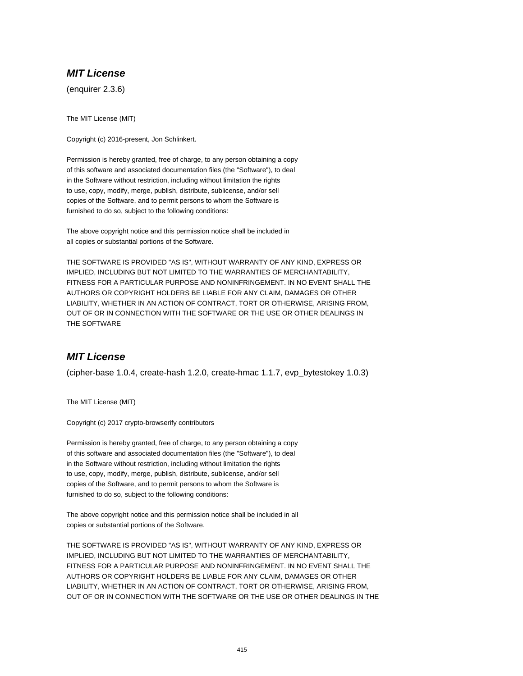# **MIT License**

(enquirer 2.3.6)

The MIT License (MIT)

Copyright (c) 2016-present, Jon Schlinkert.

Permission is hereby granted, free of charge, to any person obtaining a copy of this software and associated documentation files (the "Software"), to deal in the Software without restriction, including without limitation the rights to use, copy, modify, merge, publish, distribute, sublicense, and/or sell copies of the Software, and to permit persons to whom the Software is furnished to do so, subject to the following conditions:

The above copyright notice and this permission notice shall be included in all copies or substantial portions of the Software.

THE SOFTWARE IS PROVIDED "AS IS", WITHOUT WARRANTY OF ANY KIND, EXPRESS OR IMPLIED, INCLUDING BUT NOT LIMITED TO THE WARRANTIES OF MERCHANTABILITY, FITNESS FOR A PARTICULAR PURPOSE AND NONINFRINGEMENT. IN NO EVENT SHALL THE AUTHORS OR COPYRIGHT HOLDERS BE LIABLE FOR ANY CLAIM, DAMAGES OR OTHER LIABILITY, WHETHER IN AN ACTION OF CONTRACT, TORT OR OTHERWISE, ARISING FROM, OUT OF OR IN CONNECTION WITH THE SOFTWARE OR THE USE OR OTHER DEALINGS IN THE SOFTWARE

## **MIT License**

(cipher-base 1.0.4, create-hash 1.2.0, create-hmac 1.1.7, evp\_bytestokey 1.0.3)

The MIT License (MIT)

Copyright (c) 2017 crypto-browserify contributors

Permission is hereby granted, free of charge, to any person obtaining a copy of this software and associated documentation files (the "Software"), to deal in the Software without restriction, including without limitation the rights to use, copy, modify, merge, publish, distribute, sublicense, and/or sell copies of the Software, and to permit persons to whom the Software is furnished to do so, subject to the following conditions:

The above copyright notice and this permission notice shall be included in all copies or substantial portions of the Software.

THE SOFTWARE IS PROVIDED "AS IS", WITHOUT WARRANTY OF ANY KIND, EXPRESS OR IMPLIED, INCLUDING BUT NOT LIMITED TO THE WARRANTIES OF MERCHANTABILITY, FITNESS FOR A PARTICULAR PURPOSE AND NONINFRINGEMENT. IN NO EVENT SHALL THE AUTHORS OR COPYRIGHT HOLDERS BE LIABLE FOR ANY CLAIM, DAMAGES OR OTHER LIABILITY, WHETHER IN AN ACTION OF CONTRACT, TORT OR OTHERWISE, ARISING FROM, OUT OF OR IN CONNECTION WITH THE SOFTWARE OR THE USE OR OTHER DEALINGS IN THE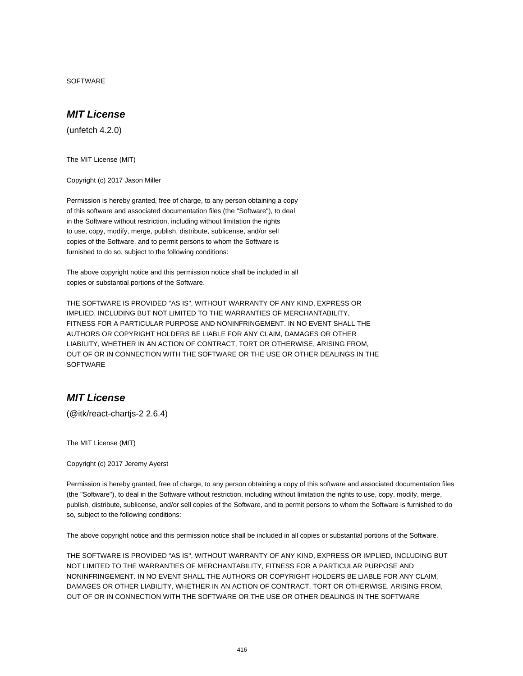SOFTWARE

## **MIT License**

(unfetch 4.2.0)

The MIT License (MIT)

Copyright (c) 2017 Jason Miller

Permission is hereby granted, free of charge, to any person obtaining a copy of this software and associated documentation files (the "Software"), to deal in the Software without restriction, including without limitation the rights to use, copy, modify, merge, publish, distribute, sublicense, and/or sell copies of the Software, and to permit persons to whom the Software is furnished to do so, subject to the following conditions:

The above copyright notice and this permission notice shall be included in all copies or substantial portions of the Software.

THE SOFTWARE IS PROVIDED "AS IS", WITHOUT WARRANTY OF ANY KIND, EXPRESS OR IMPLIED, INCLUDING BUT NOT LIMITED TO THE WARRANTIES OF MERCHANTABILITY, FITNESS FOR A PARTICULAR PURPOSE AND NONINFRINGEMENT. IN NO EVENT SHALL THE AUTHORS OR COPYRIGHT HOLDERS BE LIABLE FOR ANY CLAIM, DAMAGES OR OTHER LIABILITY, WHETHER IN AN ACTION OF CONTRACT, TORT OR OTHERWISE, ARISING FROM, OUT OF OR IN CONNECTION WITH THE SOFTWARE OR THE USE OR OTHER DEALINGS IN THE **SOFTWARE** 

### **MIT License**

(@itk/react-chartjs-2 2.6.4)

The MIT License (MIT)

Copyright (c) 2017 Jeremy Ayerst

Permission is hereby granted, free of charge, to any person obtaining a copy of this software and associated documentation files (the "Software"), to deal in the Software without restriction, including without limitation the rights to use, copy, modify, merge, publish, distribute, sublicense, and/or sell copies of the Software, and to permit persons to whom the Software is furnished to do so, subject to the following conditions:

The above copyright notice and this permission notice shall be included in all copies or substantial portions of the Software.

THE SOFTWARE IS PROVIDED "AS IS", WITHOUT WARRANTY OF ANY KIND, EXPRESS OR IMPLIED, INCLUDING BUT NOT LIMITED TO THE WARRANTIES OF MERCHANTABILITY, FITNESS FOR A PARTICULAR PURPOSE AND NONINFRINGEMENT. IN NO EVENT SHALL THE AUTHORS OR COPYRIGHT HOLDERS BE LIABLE FOR ANY CLAIM, DAMAGES OR OTHER LIABILITY, WHETHER IN AN ACTION OF CONTRACT, TORT OR OTHERWISE, ARISING FROM, OUT OF OR IN CONNECTION WITH THE SOFTWARE OR THE USE OR OTHER DEALINGS IN THE SOFTWARE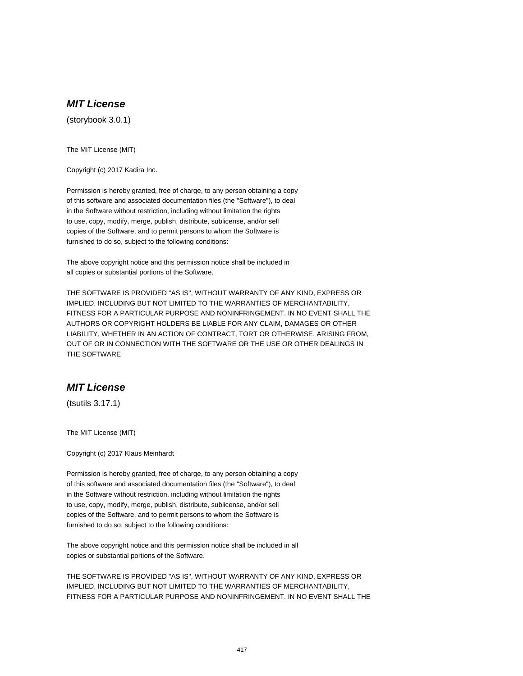# **MIT License**

(storybook 3.0.1)

The MIT License (MIT)

Copyright (c) 2017 Kadira Inc.

Permission is hereby granted, free of charge, to any person obtaining a copy of this software and associated documentation files (the "Software"), to deal in the Software without restriction, including without limitation the rights to use, copy, modify, merge, publish, distribute, sublicense, and/or sell copies of the Software, and to permit persons to whom the Software is furnished to do so, subject to the following conditions:

The above copyright notice and this permission notice shall be included in all copies or substantial portions of the Software.

THE SOFTWARE IS PROVIDED "AS IS", WITHOUT WARRANTY OF ANY KIND, EXPRESS OR IMPLIED, INCLUDING BUT NOT LIMITED TO THE WARRANTIES OF MERCHANTABILITY, FITNESS FOR A PARTICULAR PURPOSE AND NONINFRINGEMENT. IN NO EVENT SHALL THE AUTHORS OR COPYRIGHT HOLDERS BE LIABLE FOR ANY CLAIM, DAMAGES OR OTHER LIABILITY, WHETHER IN AN ACTION OF CONTRACT, TORT OR OTHERWISE, ARISING FROM, OUT OF OR IN CONNECTION WITH THE SOFTWARE OR THE USE OR OTHER DEALINGS IN THE SOFTWARE

### **MIT License**

(tsutils 3.17.1)

The MIT License (MIT)

Copyright (c) 2017 Klaus Meinhardt

Permission is hereby granted, free of charge, to any person obtaining a copy of this software and associated documentation files (the "Software"), to deal in the Software without restriction, including without limitation the rights to use, copy, modify, merge, publish, distribute, sublicense, and/or sell copies of the Software, and to permit persons to whom the Software is furnished to do so, subject to the following conditions:

The above copyright notice and this permission notice shall be included in all copies or substantial portions of the Software.

THE SOFTWARE IS PROVIDED "AS IS", WITHOUT WARRANTY OF ANY KIND, EXPRESS OR IMPLIED, INCLUDING BUT NOT LIMITED TO THE WARRANTIES OF MERCHANTABILITY, FITNESS FOR A PARTICULAR PURPOSE AND NONINFRINGEMENT. IN NO EVENT SHALL THE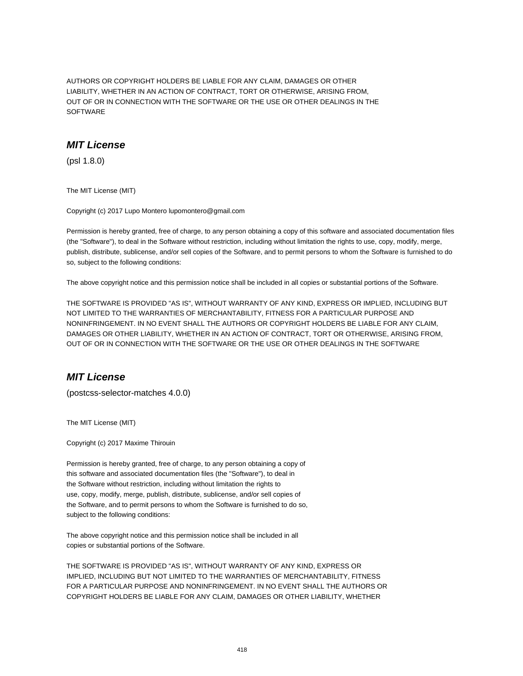AUTHORS OR COPYRIGHT HOLDERS BE LIABLE FOR ANY CLAIM, DAMAGES OR OTHER LIABILITY, WHETHER IN AN ACTION OF CONTRACT, TORT OR OTHERWISE, ARISING FROM, OUT OF OR IN CONNECTION WITH THE SOFTWARE OR THE USE OR OTHER DEALINGS IN THE SOFTWARE

# **MIT License**

(psl 1.8.0)

The MIT License (MIT)

Copyright (c) 2017 Lupo Montero lupomontero@gmail.com

Permission is hereby granted, free of charge, to any person obtaining a copy of this software and associated documentation files (the "Software"), to deal in the Software without restriction, including without limitation the rights to use, copy, modify, merge, publish, distribute, sublicense, and/or sell copies of the Software, and to permit persons to whom the Software is furnished to do so, subject to the following conditions:

The above copyright notice and this permission notice shall be included in all copies or substantial portions of the Software.

THE SOFTWARE IS PROVIDED "AS IS", WITHOUT WARRANTY OF ANY KIND, EXPRESS OR IMPLIED, INCLUDING BUT NOT LIMITED TO THE WARRANTIES OF MERCHANTABILITY, FITNESS FOR A PARTICULAR PURPOSE AND NONINFRINGEMENT. IN NO EVENT SHALL THE AUTHORS OR COPYRIGHT HOLDERS BE LIABLE FOR ANY CLAIM, DAMAGES OR OTHER LIABILITY, WHETHER IN AN ACTION OF CONTRACT, TORT OR OTHERWISE, ARISING FROM, OUT OF OR IN CONNECTION WITH THE SOFTWARE OR THE USE OR OTHER DEALINGS IN THE SOFTWARE

## **MIT License**

(postcss-selector-matches 4.0.0)

The MIT License (MIT)

Copyright (c) 2017 Maxime Thirouin

Permission is hereby granted, free of charge, to any person obtaining a copy of this software and associated documentation files (the "Software"), to deal in the Software without restriction, including without limitation the rights to use, copy, modify, merge, publish, distribute, sublicense, and/or sell copies of the Software, and to permit persons to whom the Software is furnished to do so, subject to the following conditions:

The above copyright notice and this permission notice shall be included in all copies or substantial portions of the Software.

THE SOFTWARE IS PROVIDED "AS IS", WITHOUT WARRANTY OF ANY KIND, EXPRESS OR IMPLIED, INCLUDING BUT NOT LIMITED TO THE WARRANTIES OF MERCHANTABILITY, FITNESS FOR A PARTICULAR PURPOSE AND NONINFRINGEMENT. IN NO EVENT SHALL THE AUTHORS OR COPYRIGHT HOLDERS BE LIABLE FOR ANY CLAIM, DAMAGES OR OTHER LIABILITY, WHETHER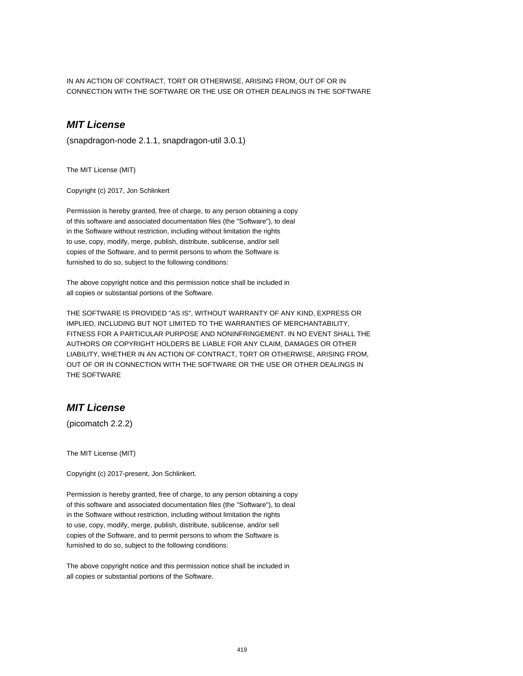IN AN ACTION OF CONTRACT, TORT OR OTHERWISE, ARISING FROM, OUT OF OR IN CONNECTION WITH THE SOFTWARE OR THE USE OR OTHER DEALINGS IN THE SOFTWARE

## **MIT License**

(snapdragon-node 2.1.1, snapdragon-util 3.0.1)

The MIT License (MIT)

Copyright (c) 2017, Jon Schlinkert

Permission is hereby granted, free of charge, to any person obtaining a copy of this software and associated documentation files (the "Software"), to deal in the Software without restriction, including without limitation the rights to use, copy, modify, merge, publish, distribute, sublicense, and/or sell copies of the Software, and to permit persons to whom the Software is furnished to do so, subject to the following conditions:

The above copyright notice and this permission notice shall be included in all copies or substantial portions of the Software.

THE SOFTWARE IS PROVIDED "AS IS", WITHOUT WARRANTY OF ANY KIND, EXPRESS OR IMPLIED, INCLUDING BUT NOT LIMITED TO THE WARRANTIES OF MERCHANTABILITY, FITNESS FOR A PARTICULAR PURPOSE AND NONINFRINGEMENT. IN NO EVENT SHALL THE AUTHORS OR COPYRIGHT HOLDERS BE LIABLE FOR ANY CLAIM, DAMAGES OR OTHER LIABILITY, WHETHER IN AN ACTION OF CONTRACT, TORT OR OTHERWISE, ARISING FROM, OUT OF OR IN CONNECTION WITH THE SOFTWARE OR THE USE OR OTHER DEALINGS IN THE SOFTWARE

### **MIT License**

(picomatch 2.2.2)

The MIT License (MIT)

Copyright (c) 2017-present, Jon Schlinkert.

Permission is hereby granted, free of charge, to any person obtaining a copy of this software and associated documentation files (the "Software"), to deal in the Software without restriction, including without limitation the rights to use, copy, modify, merge, publish, distribute, sublicense, and/or sell copies of the Software, and to permit persons to whom the Software is furnished to do so, subject to the following conditions:

The above copyright notice and this permission notice shall be included in all copies or substantial portions of the Software.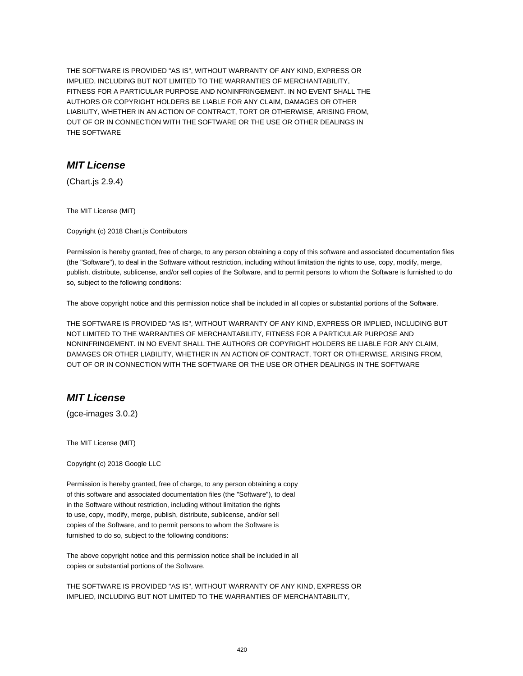THE SOFTWARE IS PROVIDED "AS IS", WITHOUT WARRANTY OF ANY KIND, EXPRESS OR IMPLIED, INCLUDING BUT NOT LIMITED TO THE WARRANTIES OF MERCHANTABILITY, FITNESS FOR A PARTICULAR PURPOSE AND NONINFRINGEMENT. IN NO EVENT SHALL THE AUTHORS OR COPYRIGHT HOLDERS BE LIABLE FOR ANY CLAIM, DAMAGES OR OTHER LIABILITY, WHETHER IN AN ACTION OF CONTRACT, TORT OR OTHERWISE, ARISING FROM, OUT OF OR IN CONNECTION WITH THE SOFTWARE OR THE USE OR OTHER DEALINGS IN THE SOFTWARE

### **MIT License**

(Chart.js 2.9.4)

The MIT License (MIT)

Copyright (c) 2018 Chart.js Contributors

Permission is hereby granted, free of charge, to any person obtaining a copy of this software and associated documentation files (the "Software"), to deal in the Software without restriction, including without limitation the rights to use, copy, modify, merge, publish, distribute, sublicense, and/or sell copies of the Software, and to permit persons to whom the Software is furnished to do so, subject to the following conditions:

The above copyright notice and this permission notice shall be included in all copies or substantial portions of the Software.

THE SOFTWARE IS PROVIDED "AS IS", WITHOUT WARRANTY OF ANY KIND, EXPRESS OR IMPLIED, INCLUDING BUT NOT LIMITED TO THE WARRANTIES OF MERCHANTABILITY, FITNESS FOR A PARTICULAR PURPOSE AND NONINFRINGEMENT. IN NO EVENT SHALL THE AUTHORS OR COPYRIGHT HOLDERS BE LIABLE FOR ANY CLAIM, DAMAGES OR OTHER LIABILITY, WHETHER IN AN ACTION OF CONTRACT, TORT OR OTHERWISE, ARISING FROM, OUT OF OR IN CONNECTION WITH THE SOFTWARE OR THE USE OR OTHER DEALINGS IN THE SOFTWARE

## **MIT License**

(gce-images 3.0.2)

The MIT License (MIT)

Copyright (c) 2018 Google LLC

Permission is hereby granted, free of charge, to any person obtaining a copy of this software and associated documentation files (the "Software"), to deal in the Software without restriction, including without limitation the rights to use, copy, modify, merge, publish, distribute, sublicense, and/or sell copies of the Software, and to permit persons to whom the Software is furnished to do so, subject to the following conditions:

The above copyright notice and this permission notice shall be included in all copies or substantial portions of the Software.

THE SOFTWARE IS PROVIDED "AS IS", WITHOUT WARRANTY OF ANY KIND, EXPRESS OR IMPLIED, INCLUDING BUT NOT LIMITED TO THE WARRANTIES OF MERCHANTABILITY,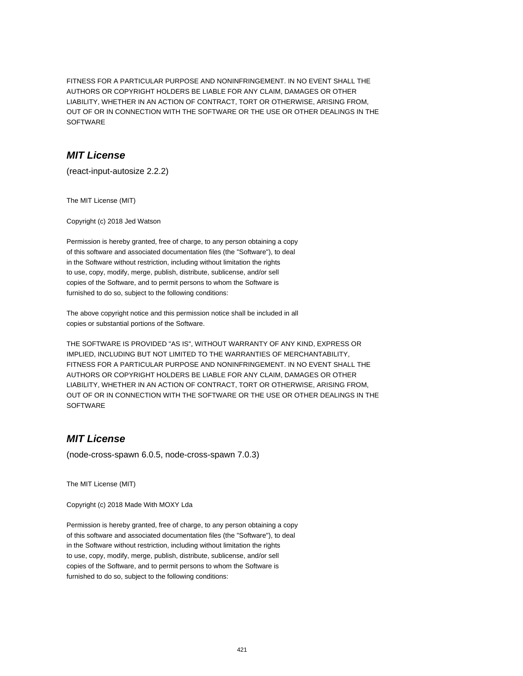FITNESS FOR A PARTICULAR PURPOSE AND NONINFRINGEMENT. IN NO EVENT SHALL THE AUTHORS OR COPYRIGHT HOLDERS BE LIABLE FOR ANY CLAIM, DAMAGES OR OTHER LIABILITY, WHETHER IN AN ACTION OF CONTRACT, TORT OR OTHERWISE, ARISING FROM, OUT OF OR IN CONNECTION WITH THE SOFTWARE OR THE USE OR OTHER DEALINGS IN THE SOFTWARE

## **MIT License**

(react-input-autosize 2.2.2)

The MIT License (MIT)

Copyright (c) 2018 Jed Watson

Permission is hereby granted, free of charge, to any person obtaining a copy of this software and associated documentation files (the "Software"), to deal in the Software without restriction, including without limitation the rights to use, copy, modify, merge, publish, distribute, sublicense, and/or sell copies of the Software, and to permit persons to whom the Software is furnished to do so, subject to the following conditions:

The above copyright notice and this permission notice shall be included in all copies or substantial portions of the Software.

THE SOFTWARE IS PROVIDED "AS IS", WITHOUT WARRANTY OF ANY KIND, EXPRESS OR IMPLIED, INCLUDING BUT NOT LIMITED TO THE WARRANTIES OF MERCHANTABILITY, FITNESS FOR A PARTICULAR PURPOSE AND NONINFRINGEMENT. IN NO EVENT SHALL THE AUTHORS OR COPYRIGHT HOLDERS BE LIABLE FOR ANY CLAIM, DAMAGES OR OTHER LIABILITY, WHETHER IN AN ACTION OF CONTRACT, TORT OR OTHERWISE, ARISING FROM, OUT OF OR IN CONNECTION WITH THE SOFTWARE OR THE USE OR OTHER DEALINGS IN THE **SOFTWARE** 

# **MIT License**

(node-cross-spawn 6.0.5, node-cross-spawn 7.0.3)

The MIT License (MIT)

Copyright (c) 2018 Made With MOXY Lda

Permission is hereby granted, free of charge, to any person obtaining a copy of this software and associated documentation files (the "Software"), to deal in the Software without restriction, including without limitation the rights to use, copy, modify, merge, publish, distribute, sublicense, and/or sell copies of the Software, and to permit persons to whom the Software is furnished to do so, subject to the following conditions: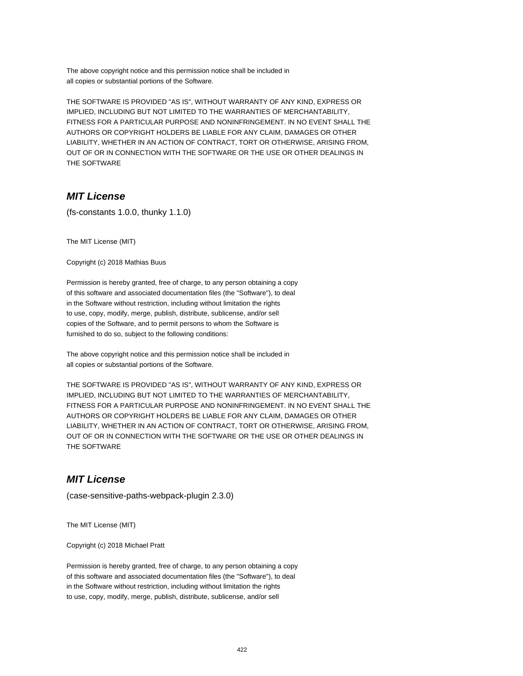The above copyright notice and this permission notice shall be included in all copies or substantial portions of the Software.

THE SOFTWARE IS PROVIDED "AS IS", WITHOUT WARRANTY OF ANY KIND, EXPRESS OR IMPLIED, INCLUDING BUT NOT LIMITED TO THE WARRANTIES OF MERCHANTABILITY, FITNESS FOR A PARTICULAR PURPOSE AND NONINFRINGEMENT. IN NO EVENT SHALL THE AUTHORS OR COPYRIGHT HOLDERS BE LIABLE FOR ANY CLAIM, DAMAGES OR OTHER LIABILITY, WHETHER IN AN ACTION OF CONTRACT, TORT OR OTHERWISE, ARISING FROM, OUT OF OR IN CONNECTION WITH THE SOFTWARE OR THE USE OR OTHER DEALINGS IN THE SOFTWARE

### **MIT License**

(fs-constants 1.0.0, thunky 1.1.0)

The MIT License (MIT)

Copyright (c) 2018 Mathias Buus

Permission is hereby granted, free of charge, to any person obtaining a copy of this software and associated documentation files (the "Software"), to deal in the Software without restriction, including without limitation the rights to use, copy, modify, merge, publish, distribute, sublicense, and/or sell copies of the Software, and to permit persons to whom the Software is furnished to do so, subject to the following conditions:

The above copyright notice and this permission notice shall be included in all copies or substantial portions of the Software.

THE SOFTWARE IS PROVIDED "AS IS", WITHOUT WARRANTY OF ANY KIND, EXPRESS OR IMPLIED, INCLUDING BUT NOT LIMITED TO THE WARRANTIES OF MERCHANTABILITY, FITNESS FOR A PARTICULAR PURPOSE AND NONINFRINGEMENT. IN NO EVENT SHALL THE AUTHORS OR COPYRIGHT HOLDERS BE LIABLE FOR ANY CLAIM, DAMAGES OR OTHER LIABILITY, WHETHER IN AN ACTION OF CONTRACT, TORT OR OTHERWISE, ARISING FROM, OUT OF OR IN CONNECTION WITH THE SOFTWARE OR THE USE OR OTHER DEALINGS IN THE SOFTWARE

### **MIT License**

(case-sensitive-paths-webpack-plugin 2.3.0)

The MIT License (MIT)

Copyright (c) 2018 Michael Pratt

Permission is hereby granted, free of charge, to any person obtaining a copy of this software and associated documentation files (the "Software"), to deal in the Software without restriction, including without limitation the rights to use, copy, modify, merge, publish, distribute, sublicense, and/or sell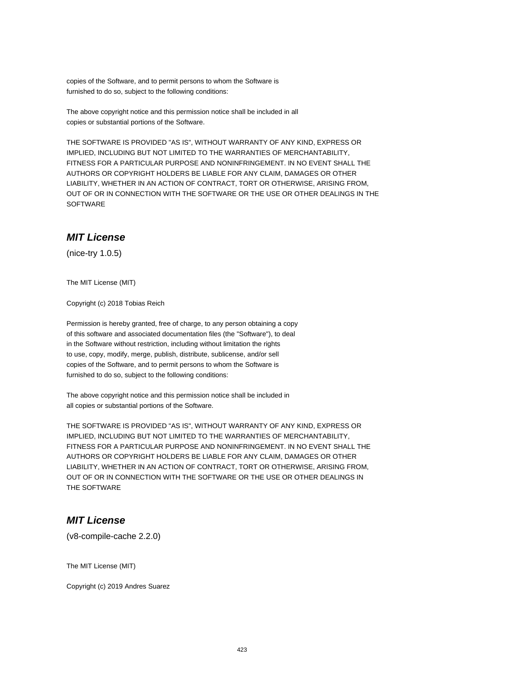copies of the Software, and to permit persons to whom the Software is furnished to do so, subject to the following conditions:

The above copyright notice and this permission notice shall be included in all copies or substantial portions of the Software.

THE SOFTWARE IS PROVIDED "AS IS", WITHOUT WARRANTY OF ANY KIND, EXPRESS OR IMPLIED, INCLUDING BUT NOT LIMITED TO THE WARRANTIES OF MERCHANTABILITY, FITNESS FOR A PARTICULAR PURPOSE AND NONINFRINGEMENT. IN NO EVENT SHALL THE AUTHORS OR COPYRIGHT HOLDERS BE LIABLE FOR ANY CLAIM, DAMAGES OR OTHER LIABILITY, WHETHER IN AN ACTION OF CONTRACT, TORT OR OTHERWISE, ARISING FROM, OUT OF OR IN CONNECTION WITH THE SOFTWARE OR THE USE OR OTHER DEALINGS IN THE **SOFTWARE** 

### **MIT License**

(nice-try 1.0.5)

The MIT License (MIT)

Copyright (c) 2018 Tobias Reich

Permission is hereby granted, free of charge, to any person obtaining a copy of this software and associated documentation files (the "Software"), to deal in the Software without restriction, including without limitation the rights to use, copy, modify, merge, publish, distribute, sublicense, and/or sell copies of the Software, and to permit persons to whom the Software is furnished to do so, subject to the following conditions:

The above copyright notice and this permission notice shall be included in all copies or substantial portions of the Software.

THE SOFTWARE IS PROVIDED "AS IS", WITHOUT WARRANTY OF ANY KIND, EXPRESS OR IMPLIED, INCLUDING BUT NOT LIMITED TO THE WARRANTIES OF MERCHANTABILITY, FITNESS FOR A PARTICULAR PURPOSE AND NONINFRINGEMENT. IN NO EVENT SHALL THE AUTHORS OR COPYRIGHT HOLDERS BE LIABLE FOR ANY CLAIM, DAMAGES OR OTHER LIABILITY, WHETHER IN AN ACTION OF CONTRACT, TORT OR OTHERWISE, ARISING FROM, OUT OF OR IN CONNECTION WITH THE SOFTWARE OR THE USE OR OTHER DEALINGS IN THE SOFTWARE

## **MIT License**

(v8-compile-cache 2.2.0)

The MIT License (MIT)

Copyright (c) 2019 Andres Suarez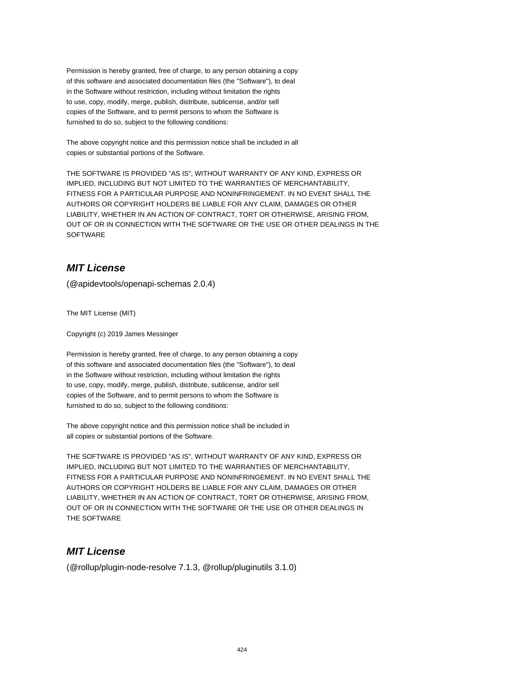Permission is hereby granted, free of charge, to any person obtaining a copy of this software and associated documentation files (the "Software"), to deal in the Software without restriction, including without limitation the rights to use, copy, modify, merge, publish, distribute, sublicense, and/or sell copies of the Software, and to permit persons to whom the Software is furnished to do so, subject to the following conditions:

The above copyright notice and this permission notice shall be included in all copies or substantial portions of the Software.

THE SOFTWARE IS PROVIDED "AS IS", WITHOUT WARRANTY OF ANY KIND, EXPRESS OR IMPLIED, INCLUDING BUT NOT LIMITED TO THE WARRANTIES OF MERCHANTABILITY, FITNESS FOR A PARTICULAR PURPOSE AND NONINFRINGEMENT. IN NO EVENT SHALL THE AUTHORS OR COPYRIGHT HOLDERS BE LIABLE FOR ANY CLAIM, DAMAGES OR OTHER LIABILITY, WHETHER IN AN ACTION OF CONTRACT, TORT OR OTHERWISE, ARISING FROM, OUT OF OR IN CONNECTION WITH THE SOFTWARE OR THE USE OR OTHER DEALINGS IN THE SOFTWARE

## **MIT License**

(@apidevtools/openapi-schemas 2.0.4)

The MIT License (MIT)

Copyright (c) 2019 James Messinger

Permission is hereby granted, free of charge, to any person obtaining a copy of this software and associated documentation files (the "Software"), to deal in the Software without restriction, including without limitation the rights to use, copy, modify, merge, publish, distribute, sublicense, and/or sell copies of the Software, and to permit persons to whom the Software is furnished to do so, subject to the following conditions:

The above copyright notice and this permission notice shall be included in all copies or substantial portions of the Software.

THE SOFTWARE IS PROVIDED "AS IS", WITHOUT WARRANTY OF ANY KIND, EXPRESS OR IMPLIED, INCLUDING BUT NOT LIMITED TO THE WARRANTIES OF MERCHANTABILITY, FITNESS FOR A PARTICULAR PURPOSE AND NONINFRINGEMENT. IN NO EVENT SHALL THE AUTHORS OR COPYRIGHT HOLDERS BE LIABLE FOR ANY CLAIM, DAMAGES OR OTHER LIABILITY, WHETHER IN AN ACTION OF CONTRACT, TORT OR OTHERWISE, ARISING FROM, OUT OF OR IN CONNECTION WITH THE SOFTWARE OR THE USE OR OTHER DEALINGS IN THE SOFTWARE

## **MIT License**

(@rollup/plugin-node-resolve 7.1.3, @rollup/pluginutils 3.1.0)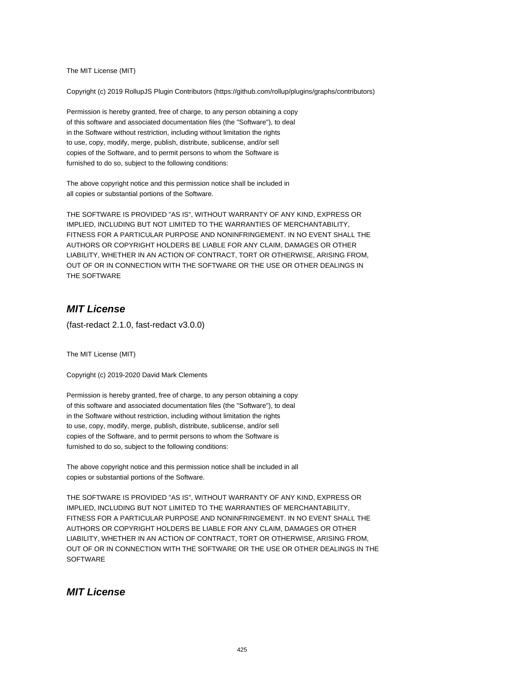The MIT License (MIT)

Copyright (c) 2019 RollupJS Plugin Contributors (https://github.com/rollup/plugins/graphs/contributors)

Permission is hereby granted, free of charge, to any person obtaining a copy of this software and associated documentation files (the "Software"), to deal in the Software without restriction, including without limitation the rights to use, copy, modify, merge, publish, distribute, sublicense, and/or sell copies of the Software, and to permit persons to whom the Software is furnished to do so, subject to the following conditions:

The above copyright notice and this permission notice shall be included in all copies or substantial portions of the Software.

THE SOFTWARE IS PROVIDED "AS IS", WITHOUT WARRANTY OF ANY KIND, EXPRESS OR IMPLIED, INCLUDING BUT NOT LIMITED TO THE WARRANTIES OF MERCHANTABILITY, FITNESS FOR A PARTICULAR PURPOSE AND NONINFRINGEMENT. IN NO EVENT SHALL THE AUTHORS OR COPYRIGHT HOLDERS BE LIABLE FOR ANY CLAIM, DAMAGES OR OTHER LIABILITY, WHETHER IN AN ACTION OF CONTRACT, TORT OR OTHERWISE, ARISING FROM, OUT OF OR IN CONNECTION WITH THE SOFTWARE OR THE USE OR OTHER DEALINGS IN THE SOFTWARE

## **MIT License**

(fast-redact 2.1.0, fast-redact v3.0.0)

The MIT License (MIT)

Copyright (c) 2019-2020 David Mark Clements

Permission is hereby granted, free of charge, to any person obtaining a copy of this software and associated documentation files (the "Software"), to deal in the Software without restriction, including without limitation the rights to use, copy, modify, merge, publish, distribute, sublicense, and/or sell copies of the Software, and to permit persons to whom the Software is furnished to do so, subject to the following conditions:

The above copyright notice and this permission notice shall be included in all copies or substantial portions of the Software.

THE SOFTWARE IS PROVIDED "AS IS", WITHOUT WARRANTY OF ANY KIND, EXPRESS OR IMPLIED, INCLUDING BUT NOT LIMITED TO THE WARRANTIES OF MERCHANTABILITY, FITNESS FOR A PARTICULAR PURPOSE AND NONINFRINGEMENT. IN NO EVENT SHALL THE AUTHORS OR COPYRIGHT HOLDERS BE LIABLE FOR ANY CLAIM, DAMAGES OR OTHER LIABILITY, WHETHER IN AN ACTION OF CONTRACT, TORT OR OTHERWISE, ARISING FROM, OUT OF OR IN CONNECTION WITH THE SOFTWARE OR THE USE OR OTHER DEALINGS IN THE **SOFTWARE** 

## **MIT License**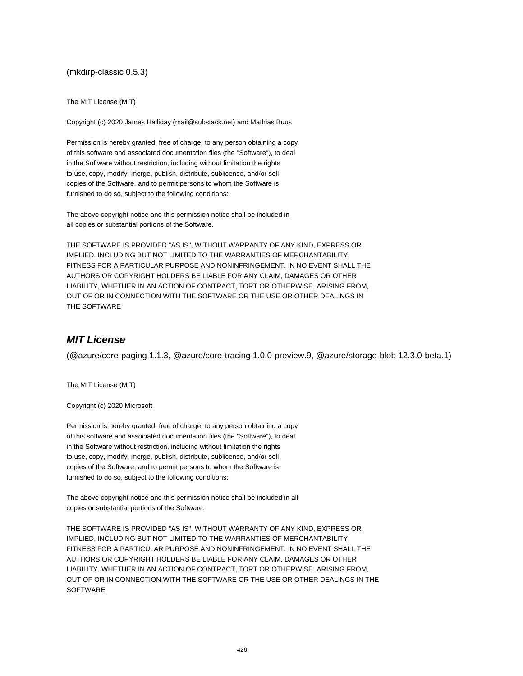(mkdirp-classic 0.5.3)

The MIT License (MIT)

Copyright (c) 2020 James Halliday (mail@substack.net) and Mathias Buus

Permission is hereby granted, free of charge, to any person obtaining a copy of this software and associated documentation files (the "Software"), to deal in the Software without restriction, including without limitation the rights to use, copy, modify, merge, publish, distribute, sublicense, and/or sell copies of the Software, and to permit persons to whom the Software is furnished to do so, subject to the following conditions:

The above copyright notice and this permission notice shall be included in all copies or substantial portions of the Software.

THE SOFTWARE IS PROVIDED "AS IS", WITHOUT WARRANTY OF ANY KIND, EXPRESS OR IMPLIED, INCLUDING BUT NOT LIMITED TO THE WARRANTIES OF MERCHANTABILITY, FITNESS FOR A PARTICULAR PURPOSE AND NONINFRINGEMENT. IN NO EVENT SHALL THE AUTHORS OR COPYRIGHT HOLDERS BE LIABLE FOR ANY CLAIM, DAMAGES OR OTHER LIABILITY, WHETHER IN AN ACTION OF CONTRACT, TORT OR OTHERWISE, ARISING FROM, OUT OF OR IN CONNECTION WITH THE SOFTWARE OR THE USE OR OTHER DEALINGS IN THE SOFTWARE

## **MIT License**

(@azure/core-paging 1.1.3, @azure/core-tracing 1.0.0-preview.9, @azure/storage-blob 12.3.0-beta.1)

The MIT License (MIT)

Copyright (c) 2020 Microsoft

Permission is hereby granted, free of charge, to any person obtaining a copy of this software and associated documentation files (the "Software"), to deal in the Software without restriction, including without limitation the rights to use, copy, modify, merge, publish, distribute, sublicense, and/or sell copies of the Software, and to permit persons to whom the Software is furnished to do so, subject to the following conditions:

The above copyright notice and this permission notice shall be included in all copies or substantial portions of the Software.

THE SOFTWARE IS PROVIDED "AS IS", WITHOUT WARRANTY OF ANY KIND, EXPRESS OR IMPLIED, INCLUDING BUT NOT LIMITED TO THE WARRANTIES OF MERCHANTABILITY, FITNESS FOR A PARTICULAR PURPOSE AND NONINFRINGEMENT. IN NO EVENT SHALL THE AUTHORS OR COPYRIGHT HOLDERS BE LIABLE FOR ANY CLAIM, DAMAGES OR OTHER LIABILITY, WHETHER IN AN ACTION OF CONTRACT, TORT OR OTHERWISE, ARISING FROM, OUT OF OR IN CONNECTION WITH THE SOFTWARE OR THE USE OR OTHER DEALINGS IN THE **SOFTWARE**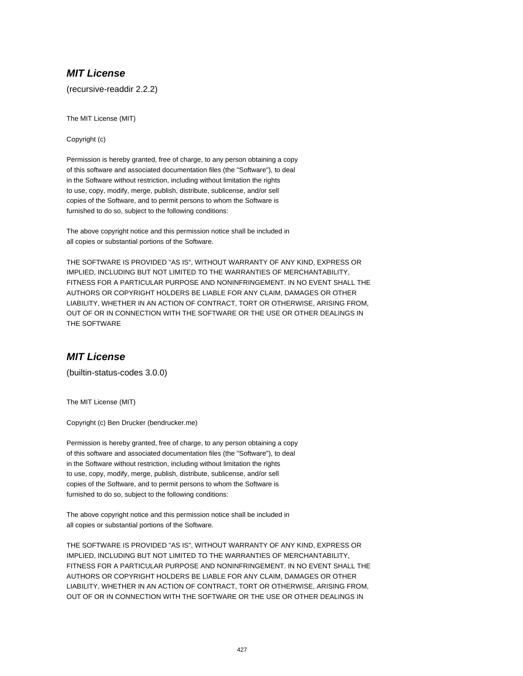## **MIT License**

(recursive-readdir 2.2.2)

The MIT License (MIT)

Copyright (c)

Permission is hereby granted, free of charge, to any person obtaining a copy of this software and associated documentation files (the "Software"), to deal in the Software without restriction, including without limitation the rights to use, copy, modify, merge, publish, distribute, sublicense, and/or sell copies of the Software, and to permit persons to whom the Software is furnished to do so, subject to the following conditions:

The above copyright notice and this permission notice shall be included in all copies or substantial portions of the Software.

THE SOFTWARE IS PROVIDED "AS IS", WITHOUT WARRANTY OF ANY KIND, EXPRESS OR IMPLIED, INCLUDING BUT NOT LIMITED TO THE WARRANTIES OF MERCHANTABILITY, FITNESS FOR A PARTICULAR PURPOSE AND NONINFRINGEMENT. IN NO EVENT SHALL THE AUTHORS OR COPYRIGHT HOLDERS BE LIABLE FOR ANY CLAIM, DAMAGES OR OTHER LIABILITY, WHETHER IN AN ACTION OF CONTRACT, TORT OR OTHERWISE, ARISING FROM, OUT OF OR IN CONNECTION WITH THE SOFTWARE OR THE USE OR OTHER DEALINGS IN THE SOFTWARE

### **MIT License**

(builtin-status-codes 3.0.0)

The MIT License (MIT)

Copyright (c) Ben Drucker (bendrucker.me)

Permission is hereby granted, free of charge, to any person obtaining a copy of this software and associated documentation files (the "Software"), to deal in the Software without restriction, including without limitation the rights to use, copy, modify, merge, publish, distribute, sublicense, and/or sell copies of the Software, and to permit persons to whom the Software is furnished to do so, subject to the following conditions:

The above copyright notice and this permission notice shall be included in all copies or substantial portions of the Software.

THE SOFTWARE IS PROVIDED "AS IS", WITHOUT WARRANTY OF ANY KIND, EXPRESS OR IMPLIED, INCLUDING BUT NOT LIMITED TO THE WARRANTIES OF MERCHANTABILITY, FITNESS FOR A PARTICULAR PURPOSE AND NONINFRINGEMENT. IN NO EVENT SHALL THE AUTHORS OR COPYRIGHT HOLDERS BE LIABLE FOR ANY CLAIM, DAMAGES OR OTHER LIABILITY, WHETHER IN AN ACTION OF CONTRACT, TORT OR OTHERWISE, ARISING FROM, OUT OF OR IN CONNECTION WITH THE SOFTWARE OR THE USE OR OTHER DEALINGS IN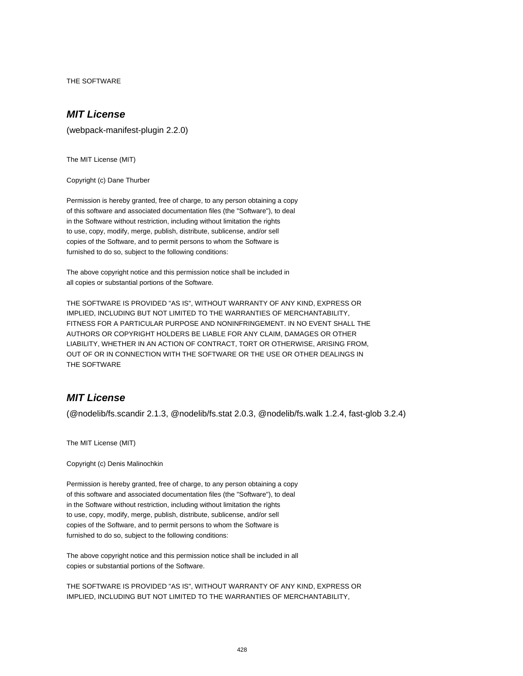THE SOFTWARE

# **MIT License**

(webpack-manifest-plugin 2.2.0)

The MIT License (MIT)

Copyright (c) Dane Thurber

Permission is hereby granted, free of charge, to any person obtaining a copy of this software and associated documentation files (the "Software"), to deal in the Software without restriction, including without limitation the rights to use, copy, modify, merge, publish, distribute, sublicense, and/or sell copies of the Software, and to permit persons to whom the Software is furnished to do so, subject to the following conditions:

The above copyright notice and this permission notice shall be included in all copies or substantial portions of the Software.

THE SOFTWARE IS PROVIDED "AS IS", WITHOUT WARRANTY OF ANY KIND, EXPRESS OR IMPLIED, INCLUDING BUT NOT LIMITED TO THE WARRANTIES OF MERCHANTABILITY, FITNESS FOR A PARTICULAR PURPOSE AND NONINFRINGEMENT. IN NO EVENT SHALL THE AUTHORS OR COPYRIGHT HOLDERS BE LIABLE FOR ANY CLAIM, DAMAGES OR OTHER LIABILITY, WHETHER IN AN ACTION OF CONTRACT, TORT OR OTHERWISE, ARISING FROM, OUT OF OR IN CONNECTION WITH THE SOFTWARE OR THE USE OR OTHER DEALINGS IN THE SOFTWARE

### **MIT License**

(@nodelib/fs.scandir 2.1.3, @nodelib/fs.stat 2.0.3, @nodelib/fs.walk 1.2.4, fast-glob 3.2.4)

The MIT License (MIT)

Copyright (c) Denis Malinochkin

Permission is hereby granted, free of charge, to any person obtaining a copy of this software and associated documentation files (the "Software"), to deal in the Software without restriction, including without limitation the rights to use, copy, modify, merge, publish, distribute, sublicense, and/or sell copies of the Software, and to permit persons to whom the Software is furnished to do so, subject to the following conditions:

The above copyright notice and this permission notice shall be included in all copies or substantial portions of the Software.

THE SOFTWARE IS PROVIDED "AS IS", WITHOUT WARRANTY OF ANY KIND, EXPRESS OR IMPLIED, INCLUDING BUT NOT LIMITED TO THE WARRANTIES OF MERCHANTABILITY,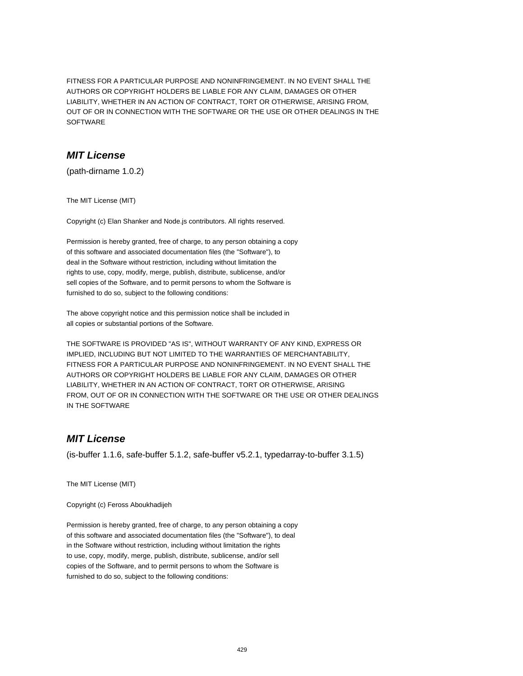FITNESS FOR A PARTICULAR PURPOSE AND NONINFRINGEMENT. IN NO EVENT SHALL THE AUTHORS OR COPYRIGHT HOLDERS BE LIABLE FOR ANY CLAIM, DAMAGES OR OTHER LIABILITY, WHETHER IN AN ACTION OF CONTRACT, TORT OR OTHERWISE, ARISING FROM, OUT OF OR IN CONNECTION WITH THE SOFTWARE OR THE USE OR OTHER DEALINGS IN THE SOFTWARE

### **MIT License**

(path-dirname 1.0.2)

The MIT License (MIT)

Copyright (c) Elan Shanker and Node.js contributors. All rights reserved.

Permission is hereby granted, free of charge, to any person obtaining a copy of this software and associated documentation files (the "Software"), to deal in the Software without restriction, including without limitation the rights to use, copy, modify, merge, publish, distribute, sublicense, and/or sell copies of the Software, and to permit persons to whom the Software is furnished to do so, subject to the following conditions:

The above copyright notice and this permission notice shall be included in all copies or substantial portions of the Software.

THE SOFTWARE IS PROVIDED "AS IS", WITHOUT WARRANTY OF ANY KIND, EXPRESS OR IMPLIED, INCLUDING BUT NOT LIMITED TO THE WARRANTIES OF MERCHANTABILITY, FITNESS FOR A PARTICULAR PURPOSE AND NONINFRINGEMENT. IN NO EVENT SHALL THE AUTHORS OR COPYRIGHT HOLDERS BE LIABLE FOR ANY CLAIM, DAMAGES OR OTHER LIABILITY, WHETHER IN AN ACTION OF CONTRACT, TORT OR OTHERWISE, ARISING FROM, OUT OF OR IN CONNECTION WITH THE SOFTWARE OR THE USE OR OTHER DEALINGS IN THE SOFTWARE

# **MIT License**

(is-buffer 1.1.6, safe-buffer 5.1.2, safe-buffer v5.2.1, typedarray-to-buffer 3.1.5)

The MIT License (MIT)

Copyright (c) Feross Aboukhadijeh

Permission is hereby granted, free of charge, to any person obtaining a copy of this software and associated documentation files (the "Software"), to deal in the Software without restriction, including without limitation the rights to use, copy, modify, merge, publish, distribute, sublicense, and/or sell copies of the Software, and to permit persons to whom the Software is furnished to do so, subject to the following conditions: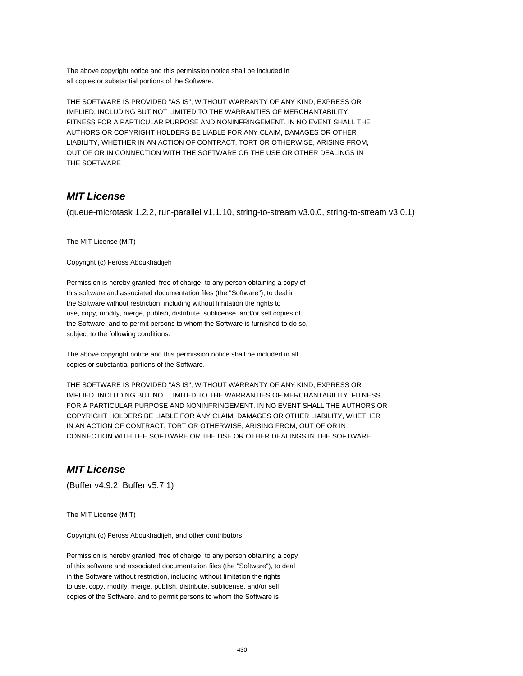The above copyright notice and this permission notice shall be included in all copies or substantial portions of the Software.

THE SOFTWARE IS PROVIDED "AS IS", WITHOUT WARRANTY OF ANY KIND, EXPRESS OR IMPLIED, INCLUDING BUT NOT LIMITED TO THE WARRANTIES OF MERCHANTABILITY, FITNESS FOR A PARTICULAR PURPOSE AND NONINFRINGEMENT. IN NO EVENT SHALL THE AUTHORS OR COPYRIGHT HOLDERS BE LIABLE FOR ANY CLAIM, DAMAGES OR OTHER LIABILITY, WHETHER IN AN ACTION OF CONTRACT, TORT OR OTHERWISE, ARISING FROM, OUT OF OR IN CONNECTION WITH THE SOFTWARE OR THE USE OR OTHER DEALINGS IN THE SOFTWARE

### **MIT License**

(queue-microtask 1.2.2, run-parallel v1.1.10, string-to-stream v3.0.0, string-to-stream v3.0.1)

The MIT License (MIT)

Copyright (c) Feross Aboukhadijeh

Permission is hereby granted, free of charge, to any person obtaining a copy of this software and associated documentation files (the "Software"), to deal in the Software without restriction, including without limitation the rights to use, copy, modify, merge, publish, distribute, sublicense, and/or sell copies of the Software, and to permit persons to whom the Software is furnished to do so, subject to the following conditions:

The above copyright notice and this permission notice shall be included in all copies or substantial portions of the Software.

THE SOFTWARE IS PROVIDED "AS IS", WITHOUT WARRANTY OF ANY KIND, EXPRESS OR IMPLIED, INCLUDING BUT NOT LIMITED TO THE WARRANTIES OF MERCHANTABILITY, FITNESS FOR A PARTICULAR PURPOSE AND NONINFRINGEMENT. IN NO EVENT SHALL THE AUTHORS OR COPYRIGHT HOLDERS BE LIABLE FOR ANY CLAIM, DAMAGES OR OTHER LIABILITY, WHETHER IN AN ACTION OF CONTRACT, TORT OR OTHERWISE, ARISING FROM, OUT OF OR IN CONNECTION WITH THE SOFTWARE OR THE USE OR OTHER DEALINGS IN THE SOFTWARE

### **MIT License**

(Buffer v4.9.2, Buffer v5.7.1)

The MIT License (MIT)

Copyright (c) Feross Aboukhadijeh, and other contributors.

Permission is hereby granted, free of charge, to any person obtaining a copy of this software and associated documentation files (the "Software"), to deal in the Software without restriction, including without limitation the rights to use, copy, modify, merge, publish, distribute, sublicense, and/or sell copies of the Software, and to permit persons to whom the Software is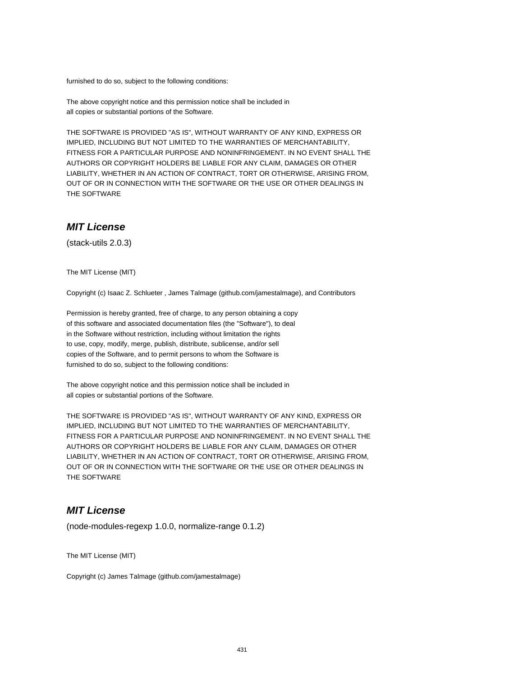furnished to do so, subject to the following conditions:

The above copyright notice and this permission notice shall be included in all copies or substantial portions of the Software.

THE SOFTWARE IS PROVIDED "AS IS", WITHOUT WARRANTY OF ANY KIND, EXPRESS OR IMPLIED, INCLUDING BUT NOT LIMITED TO THE WARRANTIES OF MERCHANTABILITY, FITNESS FOR A PARTICULAR PURPOSE AND NONINFRINGEMENT. IN NO EVENT SHALL THE AUTHORS OR COPYRIGHT HOLDERS BE LIABLE FOR ANY CLAIM, DAMAGES OR OTHER LIABILITY, WHETHER IN AN ACTION OF CONTRACT, TORT OR OTHERWISE, ARISING FROM, OUT OF OR IN CONNECTION WITH THE SOFTWARE OR THE USE OR OTHER DEALINGS IN THE SOFTWARE

### **MIT License**

(stack-utils 2.0.3)

The MIT License (MIT)

Copyright (c) Isaac Z. Schlueter , James Talmage (github.com/jamestalmage), and Contributors

Permission is hereby granted, free of charge, to any person obtaining a copy of this software and associated documentation files (the "Software"), to deal in the Software without restriction, including without limitation the rights to use, copy, modify, merge, publish, distribute, sublicense, and/or sell copies of the Software, and to permit persons to whom the Software is furnished to do so, subject to the following conditions:

The above copyright notice and this permission notice shall be included in all copies or substantial portions of the Software.

THE SOFTWARE IS PROVIDED "AS IS", WITHOUT WARRANTY OF ANY KIND, EXPRESS OR IMPLIED, INCLUDING BUT NOT LIMITED TO THE WARRANTIES OF MERCHANTABILITY, FITNESS FOR A PARTICULAR PURPOSE AND NONINFRINGEMENT. IN NO EVENT SHALL THE AUTHORS OR COPYRIGHT HOLDERS BE LIABLE FOR ANY CLAIM, DAMAGES OR OTHER LIABILITY, WHETHER IN AN ACTION OF CONTRACT, TORT OR OTHERWISE, ARISING FROM, OUT OF OR IN CONNECTION WITH THE SOFTWARE OR THE USE OR OTHER DEALINGS IN THE SOFTWARE

### **MIT License**

(node-modules-regexp 1.0.0, normalize-range 0.1.2)

The MIT License (MIT)

Copyright (c) James Talmage (github.com/jamestalmage)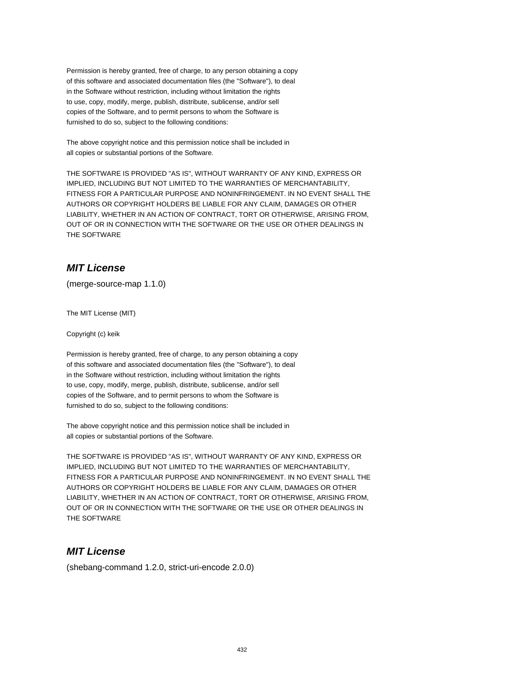Permission is hereby granted, free of charge, to any person obtaining a copy of this software and associated documentation files (the "Software"), to deal in the Software without restriction, including without limitation the rights to use, copy, modify, merge, publish, distribute, sublicense, and/or sell copies of the Software, and to permit persons to whom the Software is furnished to do so, subject to the following conditions:

The above copyright notice and this permission notice shall be included in all copies or substantial portions of the Software.

THE SOFTWARE IS PROVIDED "AS IS", WITHOUT WARRANTY OF ANY KIND, EXPRESS OR IMPLIED, INCLUDING BUT NOT LIMITED TO THE WARRANTIES OF MERCHANTABILITY, FITNESS FOR A PARTICULAR PURPOSE AND NONINFRINGEMENT. IN NO EVENT SHALL THE AUTHORS OR COPYRIGHT HOLDERS BE LIABLE FOR ANY CLAIM, DAMAGES OR OTHER LIABILITY, WHETHER IN AN ACTION OF CONTRACT, TORT OR OTHERWISE, ARISING FROM, OUT OF OR IN CONNECTION WITH THE SOFTWARE OR THE USE OR OTHER DEALINGS IN THE SOFTWARE

# **MIT License**

(merge-source-map 1.1.0)

The MIT License (MIT)

Copyright (c) keik

Permission is hereby granted, free of charge, to any person obtaining a copy of this software and associated documentation files (the "Software"), to deal in the Software without restriction, including without limitation the rights to use, copy, modify, merge, publish, distribute, sublicense, and/or sell copies of the Software, and to permit persons to whom the Software is furnished to do so, subject to the following conditions:

The above copyright notice and this permission notice shall be included in all copies or substantial portions of the Software.

THE SOFTWARE IS PROVIDED "AS IS", WITHOUT WARRANTY OF ANY KIND, EXPRESS OR IMPLIED, INCLUDING BUT NOT LIMITED TO THE WARRANTIES OF MERCHANTABILITY, FITNESS FOR A PARTICULAR PURPOSE AND NONINFRINGEMENT. IN NO EVENT SHALL THE AUTHORS OR COPYRIGHT HOLDERS BE LIABLE FOR ANY CLAIM, DAMAGES OR OTHER LIABILITY, WHETHER IN AN ACTION OF CONTRACT, TORT OR OTHERWISE, ARISING FROM, OUT OF OR IN CONNECTION WITH THE SOFTWARE OR THE USE OR OTHER DEALINGS IN THE SOFTWARE

## **MIT License**

(shebang-command 1.2.0, strict-uri-encode 2.0.0)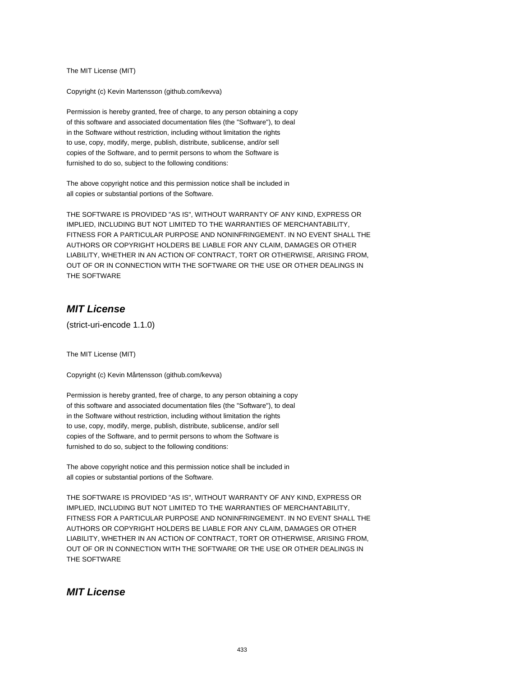The MIT License (MIT)

Copyright (c) Kevin Martensson (github.com/kevva)

Permission is hereby granted, free of charge, to any person obtaining a copy of this software and associated documentation files (the "Software"), to deal in the Software without restriction, including without limitation the rights to use, copy, modify, merge, publish, distribute, sublicense, and/or sell copies of the Software, and to permit persons to whom the Software is furnished to do so, subject to the following conditions:

The above copyright notice and this permission notice shall be included in all copies or substantial portions of the Software.

THE SOFTWARE IS PROVIDED "AS IS", WITHOUT WARRANTY OF ANY KIND, EXPRESS OR IMPLIED, INCLUDING BUT NOT LIMITED TO THE WARRANTIES OF MERCHANTABILITY, FITNESS FOR A PARTICULAR PURPOSE AND NONINFRINGEMENT. IN NO EVENT SHALL THE AUTHORS OR COPYRIGHT HOLDERS BE LIABLE FOR ANY CLAIM, DAMAGES OR OTHER LIABILITY, WHETHER IN AN ACTION OF CONTRACT, TORT OR OTHERWISE, ARISING FROM, OUT OF OR IN CONNECTION WITH THE SOFTWARE OR THE USE OR OTHER DEALINGS IN THE SOFTWARE

# **MIT License**

(strict-uri-encode 1.1.0)

The MIT License (MIT)

Copyright (c) Kevin Mårtensson (github.com/kevva)

Permission is hereby granted, free of charge, to any person obtaining a copy of this software and associated documentation files (the "Software"), to deal in the Software without restriction, including without limitation the rights to use, copy, modify, merge, publish, distribute, sublicense, and/or sell copies of the Software, and to permit persons to whom the Software is furnished to do so, subject to the following conditions:

The above copyright notice and this permission notice shall be included in all copies or substantial portions of the Software.

THE SOFTWARE IS PROVIDED "AS IS", WITHOUT WARRANTY OF ANY KIND, EXPRESS OR IMPLIED, INCLUDING BUT NOT LIMITED TO THE WARRANTIES OF MERCHANTABILITY, FITNESS FOR A PARTICULAR PURPOSE AND NONINFRINGEMENT. IN NO EVENT SHALL THE AUTHORS OR COPYRIGHT HOLDERS BE LIABLE FOR ANY CLAIM, DAMAGES OR OTHER LIABILITY, WHETHER IN AN ACTION OF CONTRACT, TORT OR OTHERWISE, ARISING FROM, OUT OF OR IN CONNECTION WITH THE SOFTWARE OR THE USE OR OTHER DEALINGS IN THE SOFTWARE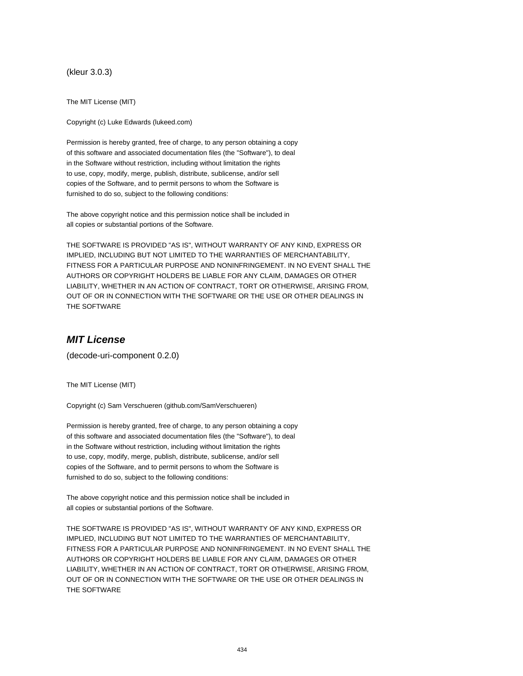(kleur 3.0.3)

The MIT License (MIT)

Copyright (c) Luke Edwards (lukeed.com)

Permission is hereby granted, free of charge, to any person obtaining a copy of this software and associated documentation files (the "Software"), to deal in the Software without restriction, including without limitation the rights to use, copy, modify, merge, publish, distribute, sublicense, and/or sell copies of the Software, and to permit persons to whom the Software is furnished to do so, subject to the following conditions:

The above copyright notice and this permission notice shall be included in all copies or substantial portions of the Software.

THE SOFTWARE IS PROVIDED "AS IS", WITHOUT WARRANTY OF ANY KIND, EXPRESS OR IMPLIED, INCLUDING BUT NOT LIMITED TO THE WARRANTIES OF MERCHANTABILITY, FITNESS FOR A PARTICULAR PURPOSE AND NONINFRINGEMENT. IN NO EVENT SHALL THE AUTHORS OR COPYRIGHT HOLDERS BE LIABLE FOR ANY CLAIM, DAMAGES OR OTHER LIABILITY, WHETHER IN AN ACTION OF CONTRACT, TORT OR OTHERWISE, ARISING FROM, OUT OF OR IN CONNECTION WITH THE SOFTWARE OR THE USE OR OTHER DEALINGS IN THE SOFTWARE

#### **MIT License**

(decode-uri-component 0.2.0)

The MIT License (MIT)

Copyright (c) Sam Verschueren (github.com/SamVerschueren)

Permission is hereby granted, free of charge, to any person obtaining a copy of this software and associated documentation files (the "Software"), to deal in the Software without restriction, including without limitation the rights to use, copy, modify, merge, publish, distribute, sublicense, and/or sell copies of the Software, and to permit persons to whom the Software is furnished to do so, subject to the following conditions:

The above copyright notice and this permission notice shall be included in all copies or substantial portions of the Software.

THE SOFTWARE IS PROVIDED "AS IS", WITHOUT WARRANTY OF ANY KIND, EXPRESS OR IMPLIED, INCLUDING BUT NOT LIMITED TO THE WARRANTIES OF MERCHANTABILITY, FITNESS FOR A PARTICULAR PURPOSE AND NONINFRINGEMENT. IN NO EVENT SHALL THE AUTHORS OR COPYRIGHT HOLDERS BE LIABLE FOR ANY CLAIM, DAMAGES OR OTHER LIABILITY, WHETHER IN AN ACTION OF CONTRACT, TORT OR OTHERWISE, ARISING FROM, OUT OF OR IN CONNECTION WITH THE SOFTWARE OR THE USE OR OTHER DEALINGS IN THE SOFTWARE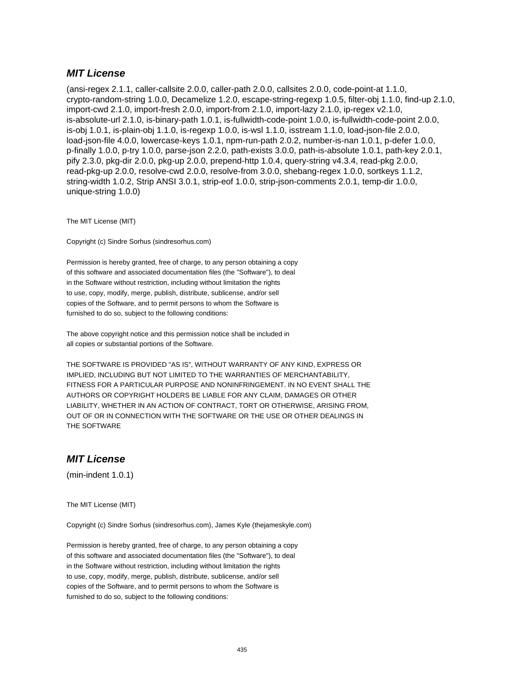#### **MIT License**

(ansi-regex 2.1.1, caller-callsite 2.0.0, caller-path 2.0.0, callsites 2.0.0, code-point-at 1.1.0, crypto-random-string 1.0.0, Decamelize 1.2.0, escape-string-regexp 1.0.5, filter-obj 1.1.0, find-up 2.1.0, import-cwd 2.1.0, import-fresh 2.0.0, import-from 2.1.0, import-lazy 2.1.0, ip-regex v2.1.0, is-absolute-url 2.1.0, is-binary-path 1.0.1, is-fullwidth-code-point 1.0.0, is-fullwidth-code-point 2.0.0, is-obj 1.0.1, is-plain-obj 1.1.0, is-regexp 1.0.0, is-wsl 1.1.0, isstream 1.1.0, load-json-file 2.0.0, load-json-file 4.0.0, lowercase-keys 1.0.1, npm-run-path 2.0.2, number-is-nan 1.0.1, p-defer 1.0.0, p-finally 1.0.0, p-try 1.0.0, parse-json 2.2.0, path-exists 3.0.0, path-is-absolute 1.0.1, path-key 2.0.1, pify 2.3.0, pkg-dir 2.0.0, pkg-up 2.0.0, prepend-http 1.0.4, query-string v4.3.4, read-pkg 2.0.0, read-pkg-up 2.0.0, resolve-cwd 2.0.0, resolve-from 3.0.0, shebang-regex 1.0.0, sortkeys 1.1.2, string-width 1.0.2, Strip ANSI 3.0.1, strip-eof 1.0.0, strip-json-comments 2.0.1, temp-dir 1.0.0, unique-string 1.0.0)

The MIT License (MIT)

Copyright (c) Sindre Sorhus (sindresorhus.com)

Permission is hereby granted, free of charge, to any person obtaining a copy of this software and associated documentation files (the "Software"), to deal in the Software without restriction, including without limitation the rights to use, copy, modify, merge, publish, distribute, sublicense, and/or sell copies of the Software, and to permit persons to whom the Software is furnished to do so, subject to the following conditions:

The above copyright notice and this permission notice shall be included in all copies or substantial portions of the Software.

THE SOFTWARE IS PROVIDED "AS IS", WITHOUT WARRANTY OF ANY KIND, EXPRESS OR IMPLIED, INCLUDING BUT NOT LIMITED TO THE WARRANTIES OF MERCHANTABILITY, FITNESS FOR A PARTICULAR PURPOSE AND NONINFRINGEMENT. IN NO EVENT SHALL THE AUTHORS OR COPYRIGHT HOLDERS BE LIABLE FOR ANY CLAIM, DAMAGES OR OTHER LIABILITY, WHETHER IN AN ACTION OF CONTRACT, TORT OR OTHERWISE, ARISING FROM, OUT OF OR IN CONNECTION WITH THE SOFTWARE OR THE USE OR OTHER DEALINGS IN THE SOFTWARE

#### **MIT License**

(min-indent 1.0.1)

The MIT License (MIT)

Copyright (c) Sindre Sorhus (sindresorhus.com), James Kyle (thejameskyle.com)

Permission is hereby granted, free of charge, to any person obtaining a copy of this software and associated documentation files (the "Software"), to deal in the Software without restriction, including without limitation the rights to use, copy, modify, merge, publish, distribute, sublicense, and/or sell copies of the Software, and to permit persons to whom the Software is furnished to do so, subject to the following conditions: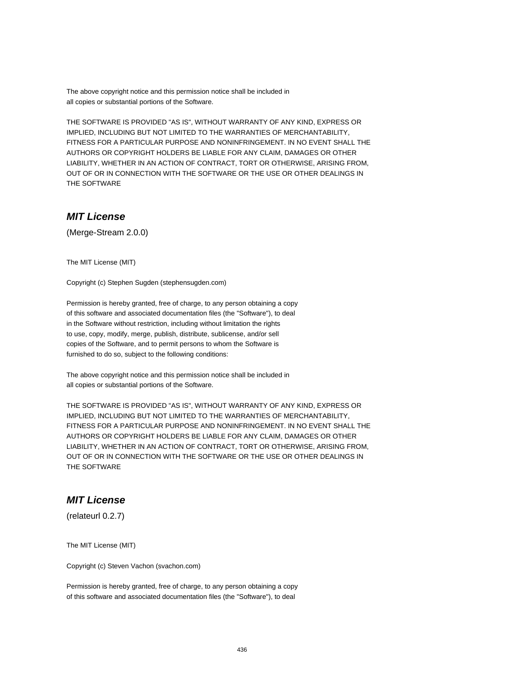The above copyright notice and this permission notice shall be included in all copies or substantial portions of the Software.

THE SOFTWARE IS PROVIDED "AS IS", WITHOUT WARRANTY OF ANY KIND, EXPRESS OR IMPLIED, INCLUDING BUT NOT LIMITED TO THE WARRANTIES OF MERCHANTABILITY, FITNESS FOR A PARTICULAR PURPOSE AND NONINFRINGEMENT. IN NO EVENT SHALL THE AUTHORS OR COPYRIGHT HOLDERS BE LIABLE FOR ANY CLAIM, DAMAGES OR OTHER LIABILITY, WHETHER IN AN ACTION OF CONTRACT, TORT OR OTHERWISE, ARISING FROM, OUT OF OR IN CONNECTION WITH THE SOFTWARE OR THE USE OR OTHER DEALINGS IN THE SOFTWARE

## **MIT License**

(Merge-Stream 2.0.0)

The MIT License (MIT)

Copyright (c) Stephen Sugden (stephensugden.com)

Permission is hereby granted, free of charge, to any person obtaining a copy of this software and associated documentation files (the "Software"), to deal in the Software without restriction, including without limitation the rights to use, copy, modify, merge, publish, distribute, sublicense, and/or sell copies of the Software, and to permit persons to whom the Software is furnished to do so, subject to the following conditions:

The above copyright notice and this permission notice shall be included in all copies or substantial portions of the Software.

THE SOFTWARE IS PROVIDED "AS IS", WITHOUT WARRANTY OF ANY KIND, EXPRESS OR IMPLIED, INCLUDING BUT NOT LIMITED TO THE WARRANTIES OF MERCHANTABILITY, FITNESS FOR A PARTICULAR PURPOSE AND NONINFRINGEMENT. IN NO EVENT SHALL THE AUTHORS OR COPYRIGHT HOLDERS BE LIABLE FOR ANY CLAIM, DAMAGES OR OTHER LIABILITY, WHETHER IN AN ACTION OF CONTRACT, TORT OR OTHERWISE, ARISING FROM, OUT OF OR IN CONNECTION WITH THE SOFTWARE OR THE USE OR OTHER DEALINGS IN THE SOFTWARE

## **MIT License**

(relateurl 0.2.7)

The MIT License (MIT)

Copyright (c) Steven Vachon (svachon.com)

Permission is hereby granted, free of charge, to any person obtaining a copy of this software and associated documentation files (the "Software"), to deal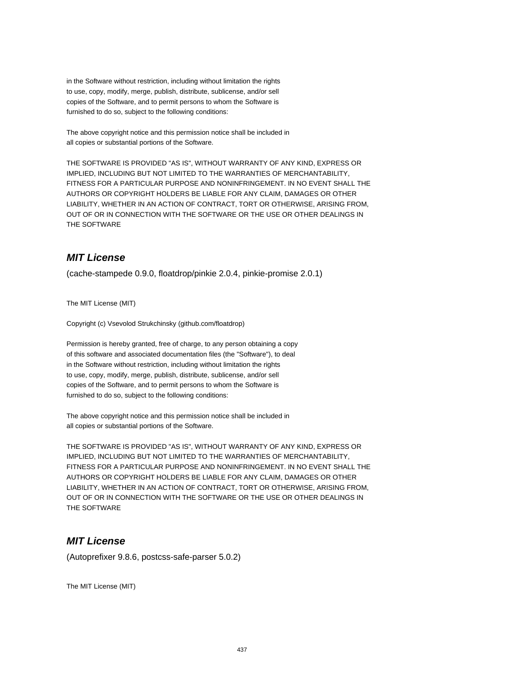in the Software without restriction, including without limitation the rights to use, copy, modify, merge, publish, distribute, sublicense, and/or sell copies of the Software, and to permit persons to whom the Software is furnished to do so, subject to the following conditions:

The above copyright notice and this permission notice shall be included in all copies or substantial portions of the Software.

THE SOFTWARE IS PROVIDED "AS IS", WITHOUT WARRANTY OF ANY KIND, EXPRESS OR IMPLIED, INCLUDING BUT NOT LIMITED TO THE WARRANTIES OF MERCHANTABILITY, FITNESS FOR A PARTICULAR PURPOSE AND NONINFRINGEMENT. IN NO EVENT SHALL THE AUTHORS OR COPYRIGHT HOLDERS BE LIABLE FOR ANY CLAIM, DAMAGES OR OTHER LIABILITY, WHETHER IN AN ACTION OF CONTRACT, TORT OR OTHERWISE, ARISING FROM, OUT OF OR IN CONNECTION WITH THE SOFTWARE OR THE USE OR OTHER DEALINGS IN THE SOFTWARE

# **MIT License**

(cache-stampede 0.9.0, floatdrop/pinkie 2.0.4, pinkie-promise 2.0.1)

The MIT License (MIT)

Copyright (c) Vsevolod Strukchinsky (github.com/floatdrop)

Permission is hereby granted, free of charge, to any person obtaining a copy of this software and associated documentation files (the "Software"), to deal in the Software without restriction, including without limitation the rights to use, copy, modify, merge, publish, distribute, sublicense, and/or sell copies of the Software, and to permit persons to whom the Software is furnished to do so, subject to the following conditions:

The above copyright notice and this permission notice shall be included in all copies or substantial portions of the Software.

THE SOFTWARE IS PROVIDED "AS IS", WITHOUT WARRANTY OF ANY KIND, EXPRESS OR IMPLIED, INCLUDING BUT NOT LIMITED TO THE WARRANTIES OF MERCHANTABILITY, FITNESS FOR A PARTICULAR PURPOSE AND NONINFRINGEMENT. IN NO EVENT SHALL THE AUTHORS OR COPYRIGHT HOLDERS BE LIABLE FOR ANY CLAIM, DAMAGES OR OTHER LIABILITY, WHETHER IN AN ACTION OF CONTRACT, TORT OR OTHERWISE, ARISING FROM, OUT OF OR IN CONNECTION WITH THE SOFTWARE OR THE USE OR OTHER DEALINGS IN THE SOFTWARE

# **MIT License**

(Autoprefixer 9.8.6, postcss-safe-parser 5.0.2)

The MIT License (MIT)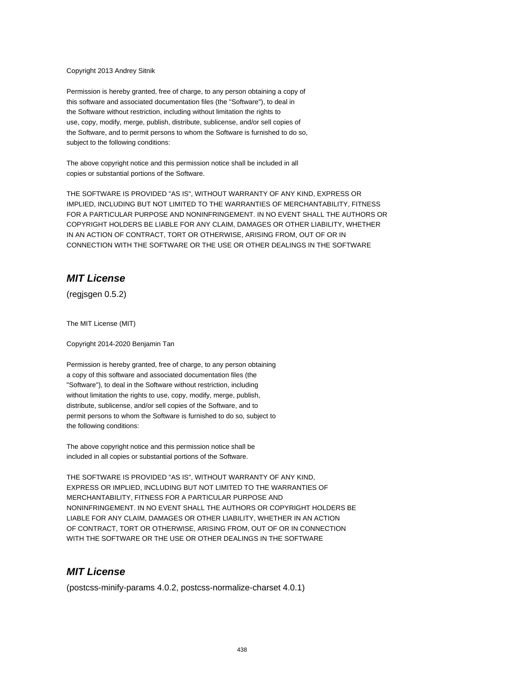#### Copyright 2013 Andrey Sitnik

Permission is hereby granted, free of charge, to any person obtaining a copy of this software and associated documentation files (the "Software"), to deal in the Software without restriction, including without limitation the rights to use, copy, modify, merge, publish, distribute, sublicense, and/or sell copies of the Software, and to permit persons to whom the Software is furnished to do so, subject to the following conditions:

The above copyright notice and this permission notice shall be included in all copies or substantial portions of the Software.

THE SOFTWARE IS PROVIDED "AS IS", WITHOUT WARRANTY OF ANY KIND, EXPRESS OR IMPLIED, INCLUDING BUT NOT LIMITED TO THE WARRANTIES OF MERCHANTABILITY, FITNESS FOR A PARTICULAR PURPOSE AND NONINFRINGEMENT. IN NO EVENT SHALL THE AUTHORS OR COPYRIGHT HOLDERS BE LIABLE FOR ANY CLAIM, DAMAGES OR OTHER LIABILITY, WHETHER IN AN ACTION OF CONTRACT, TORT OR OTHERWISE, ARISING FROM, OUT OF OR IN CONNECTION WITH THE SOFTWARE OR THE USE OR OTHER DEALINGS IN THE SOFTWARE

## **MIT License**

(regjsgen 0.5.2)

The MIT License (MIT)

Copyright 2014-2020 Benjamin Tan

Permission is hereby granted, free of charge, to any person obtaining a copy of this software and associated documentation files (the "Software"), to deal in the Software without restriction, including without limitation the rights to use, copy, modify, merge, publish, distribute, sublicense, and/or sell copies of the Software, and to permit persons to whom the Software is furnished to do so, subject to the following conditions:

The above copyright notice and this permission notice shall be included in all copies or substantial portions of the Software.

THE SOFTWARE IS PROVIDED "AS IS", WITHOUT WARRANTY OF ANY KIND, EXPRESS OR IMPLIED, INCLUDING BUT NOT LIMITED TO THE WARRANTIES OF MERCHANTABILITY, FITNESS FOR A PARTICULAR PURPOSE AND NONINFRINGEMENT. IN NO EVENT SHALL THE AUTHORS OR COPYRIGHT HOLDERS BE LIABLE FOR ANY CLAIM, DAMAGES OR OTHER LIABILITY, WHETHER IN AN ACTION OF CONTRACT, TORT OR OTHERWISE, ARISING FROM, OUT OF OR IN CONNECTION WITH THE SOFTWARE OR THE USE OR OTHER DEALINGS IN THE SOFTWARE

#### **MIT License**

(postcss-minify-params 4.0.2, postcss-normalize-charset 4.0.1)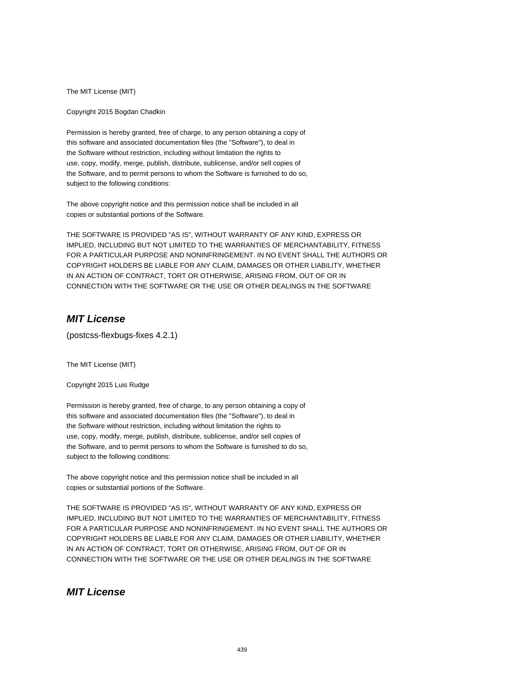The MIT License (MIT)

Copyright 2015 Bogdan Chadkin

Permission is hereby granted, free of charge, to any person obtaining a copy of this software and associated documentation files (the "Software"), to deal in the Software without restriction, including without limitation the rights to use, copy, modify, merge, publish, distribute, sublicense, and/or sell copies of the Software, and to permit persons to whom the Software is furnished to do so, subject to the following conditions:

The above copyright notice and this permission notice shall be included in all copies or substantial portions of the Software.

THE SOFTWARE IS PROVIDED "AS IS", WITHOUT WARRANTY OF ANY KIND, EXPRESS OR IMPLIED, INCLUDING BUT NOT LIMITED TO THE WARRANTIES OF MERCHANTABILITY, FITNESS FOR A PARTICULAR PURPOSE AND NONINFRINGEMENT. IN NO EVENT SHALL THE AUTHORS OR COPYRIGHT HOLDERS BE LIABLE FOR ANY CLAIM, DAMAGES OR OTHER LIABILITY, WHETHER IN AN ACTION OF CONTRACT, TORT OR OTHERWISE, ARISING FROM, OUT OF OR IN CONNECTION WITH THE SOFTWARE OR THE USE OR OTHER DEALINGS IN THE SOFTWARE

## **MIT License**

(postcss-flexbugs-fixes 4.2.1)

The MIT License (MIT)

Copyright 2015 Luis Rudge

Permission is hereby granted, free of charge, to any person obtaining a copy of this software and associated documentation files (the "Software"), to deal in the Software without restriction, including without limitation the rights to use, copy, modify, merge, publish, distribute, sublicense, and/or sell copies of the Software, and to permit persons to whom the Software is furnished to do so, subject to the following conditions:

The above copyright notice and this permission notice shall be included in all copies or substantial portions of the Software.

THE SOFTWARE IS PROVIDED "AS IS", WITHOUT WARRANTY OF ANY KIND, EXPRESS OR IMPLIED, INCLUDING BUT NOT LIMITED TO THE WARRANTIES OF MERCHANTABILITY, FITNESS FOR A PARTICULAR PURPOSE AND NONINFRINGEMENT. IN NO EVENT SHALL THE AUTHORS OR COPYRIGHT HOLDERS BE LIABLE FOR ANY CLAIM, DAMAGES OR OTHER LIABILITY, WHETHER IN AN ACTION OF CONTRACT, TORT OR OTHERWISE, ARISING FROM, OUT OF OR IN CONNECTION WITH THE SOFTWARE OR THE USE OR OTHER DEALINGS IN THE SOFTWARE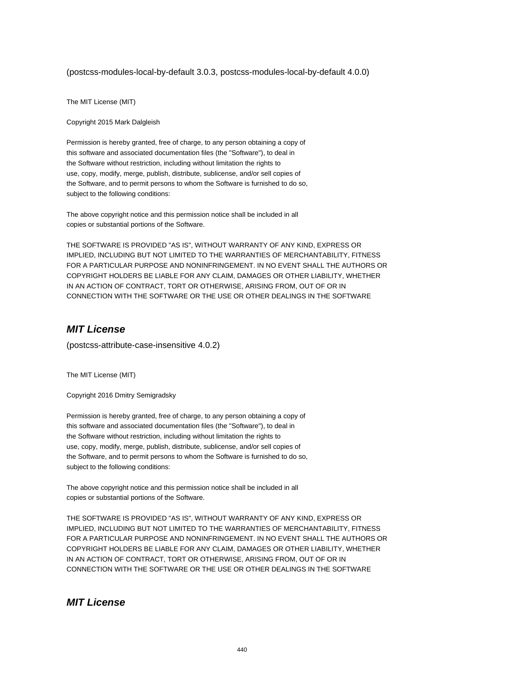(postcss-modules-local-by-default 3.0.3, postcss-modules-local-by-default 4.0.0)

The MIT License (MIT)

Copyright 2015 Mark Dalgleish

Permission is hereby granted, free of charge, to any person obtaining a copy of this software and associated documentation files (the "Software"), to deal in the Software without restriction, including without limitation the rights to use, copy, modify, merge, publish, distribute, sublicense, and/or sell copies of the Software, and to permit persons to whom the Software is furnished to do so, subject to the following conditions:

The above copyright notice and this permission notice shall be included in all copies or substantial portions of the Software.

THE SOFTWARE IS PROVIDED "AS IS", WITHOUT WARRANTY OF ANY KIND, EXPRESS OR IMPLIED, INCLUDING BUT NOT LIMITED TO THE WARRANTIES OF MERCHANTABILITY, FITNESS FOR A PARTICULAR PURPOSE AND NONINFRINGEMENT. IN NO EVENT SHALL THE AUTHORS OR COPYRIGHT HOLDERS BE LIABLE FOR ANY CLAIM, DAMAGES OR OTHER LIABILITY, WHETHER IN AN ACTION OF CONTRACT, TORT OR OTHERWISE, ARISING FROM, OUT OF OR IN CONNECTION WITH THE SOFTWARE OR THE USE OR OTHER DEALINGS IN THE SOFTWARE

# **MIT License**

(postcss-attribute-case-insensitive 4.0.2)

The MIT License (MIT)

Copyright 2016 Dmitry Semigradsky

Permission is hereby granted, free of charge, to any person obtaining a copy of this software and associated documentation files (the "Software"), to deal in the Software without restriction, including without limitation the rights to use, copy, modify, merge, publish, distribute, sublicense, and/or sell copies of the Software, and to permit persons to whom the Software is furnished to do so, subject to the following conditions:

The above copyright notice and this permission notice shall be included in all copies or substantial portions of the Software.

THE SOFTWARE IS PROVIDED "AS IS", WITHOUT WARRANTY OF ANY KIND, EXPRESS OR IMPLIED, INCLUDING BUT NOT LIMITED TO THE WARRANTIES OF MERCHANTABILITY, FITNESS FOR A PARTICULAR PURPOSE AND NONINFRINGEMENT. IN NO EVENT SHALL THE AUTHORS OR COPYRIGHT HOLDERS BE LIABLE FOR ANY CLAIM, DAMAGES OR OTHER LIABILITY, WHETHER IN AN ACTION OF CONTRACT, TORT OR OTHERWISE, ARISING FROM, OUT OF OR IN CONNECTION WITH THE SOFTWARE OR THE USE OR OTHER DEALINGS IN THE SOFTWARE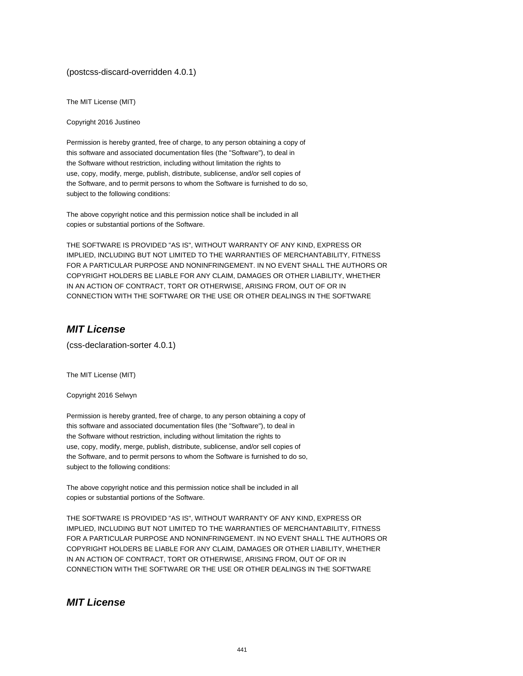#### (postcss-discard-overridden 4.0.1)

The MIT License (MIT)

Copyright 2016 Justineo

Permission is hereby granted, free of charge, to any person obtaining a copy of this software and associated documentation files (the "Software"), to deal in the Software without restriction, including without limitation the rights to use, copy, modify, merge, publish, distribute, sublicense, and/or sell copies of the Software, and to permit persons to whom the Software is furnished to do so, subject to the following conditions:

The above copyright notice and this permission notice shall be included in all copies or substantial portions of the Software.

THE SOFTWARE IS PROVIDED "AS IS", WITHOUT WARRANTY OF ANY KIND, EXPRESS OR IMPLIED, INCLUDING BUT NOT LIMITED TO THE WARRANTIES OF MERCHANTABILITY, FITNESS FOR A PARTICULAR PURPOSE AND NONINFRINGEMENT. IN NO EVENT SHALL THE AUTHORS OR COPYRIGHT HOLDERS BE LIABLE FOR ANY CLAIM, DAMAGES OR OTHER LIABILITY, WHETHER IN AN ACTION OF CONTRACT, TORT OR OTHERWISE, ARISING FROM, OUT OF OR IN CONNECTION WITH THE SOFTWARE OR THE USE OR OTHER DEALINGS IN THE SOFTWARE

## **MIT License**

(css-declaration-sorter 4.0.1)

The MIT License (MIT)

Copyright 2016 Selwyn

Permission is hereby granted, free of charge, to any person obtaining a copy of this software and associated documentation files (the "Software"), to deal in the Software without restriction, including without limitation the rights to use, copy, modify, merge, publish, distribute, sublicense, and/or sell copies of the Software, and to permit persons to whom the Software is furnished to do so, subject to the following conditions:

The above copyright notice and this permission notice shall be included in all copies or substantial portions of the Software.

THE SOFTWARE IS PROVIDED "AS IS", WITHOUT WARRANTY OF ANY KIND, EXPRESS OR IMPLIED, INCLUDING BUT NOT LIMITED TO THE WARRANTIES OF MERCHANTABILITY, FITNESS FOR A PARTICULAR PURPOSE AND NONINFRINGEMENT. IN NO EVENT SHALL THE AUTHORS OR COPYRIGHT HOLDERS BE LIABLE FOR ANY CLAIM, DAMAGES OR OTHER LIABILITY, WHETHER IN AN ACTION OF CONTRACT, TORT OR OTHERWISE, ARISING FROM, OUT OF OR IN CONNECTION WITH THE SOFTWARE OR THE USE OR OTHER DEALINGS IN THE SOFTWARE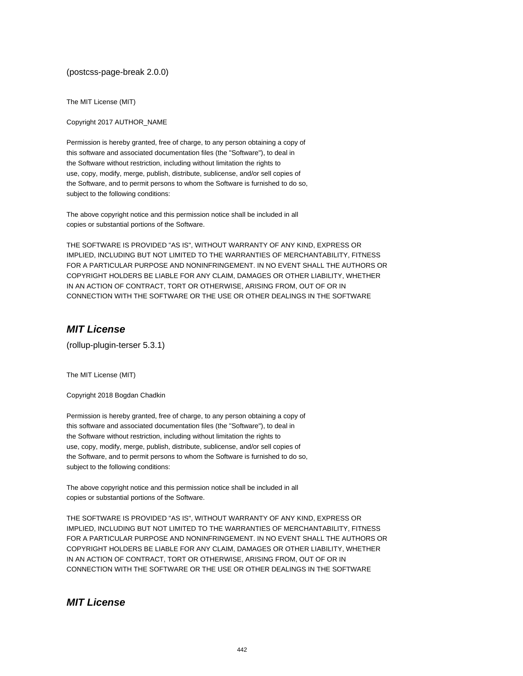(postcss-page-break 2.0.0)

The MIT License (MIT)

Copyright 2017 AUTHOR\_NAME

Permission is hereby granted, free of charge, to any person obtaining a copy of this software and associated documentation files (the "Software"), to deal in the Software without restriction, including without limitation the rights to use, copy, modify, merge, publish, distribute, sublicense, and/or sell copies of the Software, and to permit persons to whom the Software is furnished to do so, subject to the following conditions:

The above copyright notice and this permission notice shall be included in all copies or substantial portions of the Software.

THE SOFTWARE IS PROVIDED "AS IS", WITHOUT WARRANTY OF ANY KIND, EXPRESS OR IMPLIED, INCLUDING BUT NOT LIMITED TO THE WARRANTIES OF MERCHANTABILITY, FITNESS FOR A PARTICULAR PURPOSE AND NONINFRINGEMENT. IN NO EVENT SHALL THE AUTHORS OR COPYRIGHT HOLDERS BE LIABLE FOR ANY CLAIM, DAMAGES OR OTHER LIABILITY, WHETHER IN AN ACTION OF CONTRACT, TORT OR OTHERWISE, ARISING FROM, OUT OF OR IN CONNECTION WITH THE SOFTWARE OR THE USE OR OTHER DEALINGS IN THE SOFTWARE

## **MIT License**

(rollup-plugin-terser 5.3.1)

The MIT License (MIT)

Copyright 2018 Bogdan Chadkin

Permission is hereby granted, free of charge, to any person obtaining a copy of this software and associated documentation files (the "Software"), to deal in the Software without restriction, including without limitation the rights to use, copy, modify, merge, publish, distribute, sublicense, and/or sell copies of the Software, and to permit persons to whom the Software is furnished to do so, subject to the following conditions:

The above copyright notice and this permission notice shall be included in all copies or substantial portions of the Software.

THE SOFTWARE IS PROVIDED "AS IS", WITHOUT WARRANTY OF ANY KIND, EXPRESS OR IMPLIED, INCLUDING BUT NOT LIMITED TO THE WARRANTIES OF MERCHANTABILITY, FITNESS FOR A PARTICULAR PURPOSE AND NONINFRINGEMENT. IN NO EVENT SHALL THE AUTHORS OR COPYRIGHT HOLDERS BE LIABLE FOR ANY CLAIM, DAMAGES OR OTHER LIABILITY, WHETHER IN AN ACTION OF CONTRACT, TORT OR OTHERWISE, ARISING FROM, OUT OF OR IN CONNECTION WITH THE SOFTWARE OR THE USE OR OTHER DEALINGS IN THE SOFTWARE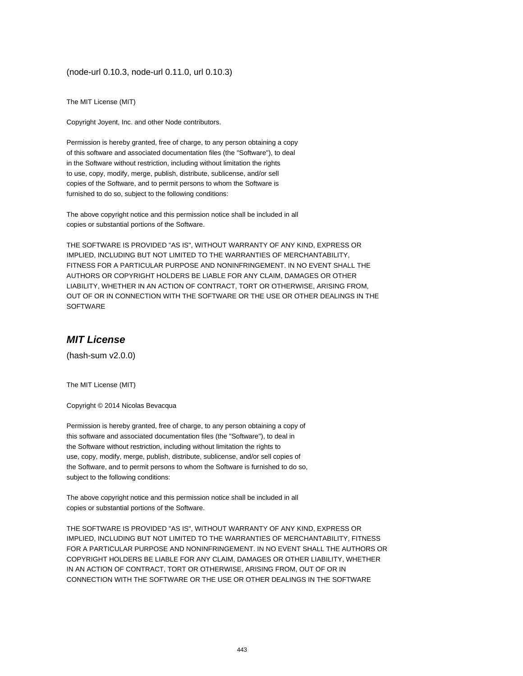#### (node-url 0.10.3, node-url 0.11.0, url 0.10.3)

The MIT License (MIT)

Copyright Joyent, Inc. and other Node contributors.

Permission is hereby granted, free of charge, to any person obtaining a copy of this software and associated documentation files (the "Software"), to deal in the Software without restriction, including without limitation the rights to use, copy, modify, merge, publish, distribute, sublicense, and/or sell copies of the Software, and to permit persons to whom the Software is furnished to do so, subject to the following conditions:

The above copyright notice and this permission notice shall be included in all copies or substantial portions of the Software.

THE SOFTWARE IS PROVIDED "AS IS", WITHOUT WARRANTY OF ANY KIND, EXPRESS OR IMPLIED, INCLUDING BUT NOT LIMITED TO THE WARRANTIES OF MERCHANTABILITY, FITNESS FOR A PARTICULAR PURPOSE AND NONINFRINGEMENT. IN NO EVENT SHALL THE AUTHORS OR COPYRIGHT HOLDERS BE LIABLE FOR ANY CLAIM, DAMAGES OR OTHER LIABILITY, WHETHER IN AN ACTION OF CONTRACT, TORT OR OTHERWISE, ARISING FROM, OUT OF OR IN CONNECTION WITH THE SOFTWARE OR THE USE OR OTHER DEALINGS IN THE SOFTWARE

### **MIT License**

(hash-sum v2.0.0)

The MIT License (MIT)

Copyright © 2014 Nicolas Bevacqua

Permission is hereby granted, free of charge, to any person obtaining a copy of this software and associated documentation files (the "Software"), to deal in the Software without restriction, including without limitation the rights to use, copy, modify, merge, publish, distribute, sublicense, and/or sell copies of the Software, and to permit persons to whom the Software is furnished to do so, subject to the following conditions:

The above copyright notice and this permission notice shall be included in all copies or substantial portions of the Software.

THE SOFTWARE IS PROVIDED "AS IS", WITHOUT WARRANTY OF ANY KIND, EXPRESS OR IMPLIED, INCLUDING BUT NOT LIMITED TO THE WARRANTIES OF MERCHANTABILITY, FITNESS FOR A PARTICULAR PURPOSE AND NONINFRINGEMENT. IN NO EVENT SHALL THE AUTHORS OR COPYRIGHT HOLDERS BE LIABLE FOR ANY CLAIM, DAMAGES OR OTHER LIABILITY, WHETHER IN AN ACTION OF CONTRACT, TORT OR OTHERWISE, ARISING FROM, OUT OF OR IN CONNECTION WITH THE SOFTWARE OR THE USE OR OTHER DEALINGS IN THE SOFTWARE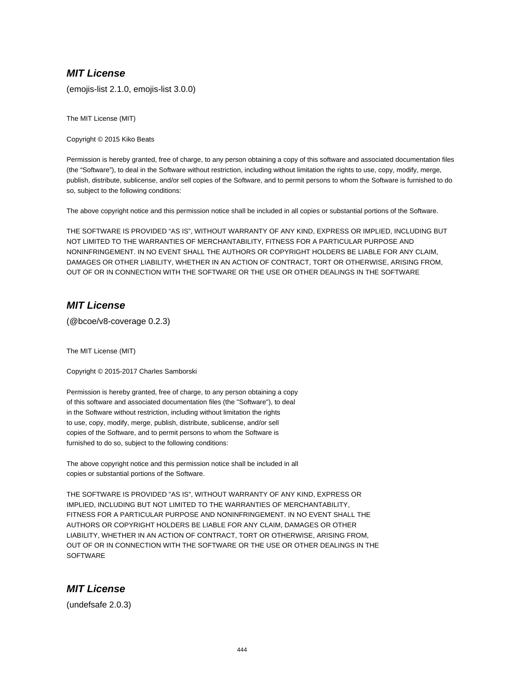## **MIT License**

(emojis-list 2.1.0, emojis-list 3.0.0)

The MIT License (MIT)

Copyright © 2015 Kiko Beats

Permission is hereby granted, free of charge, to any person obtaining a copy of this software and associated documentation files (the "Software"), to deal in the Software without restriction, including without limitation the rights to use, copy, modify, merge, publish, distribute, sublicense, and/or sell copies of the Software, and to permit persons to whom the Software is furnished to do so, subject to the following conditions:

The above copyright notice and this permission notice shall be included in all copies or substantial portions of the Software.

THE SOFTWARE IS PROVIDED "AS IS", WITHOUT WARRANTY OF ANY KIND, EXPRESS OR IMPLIED, INCLUDING BUT NOT LIMITED TO THE WARRANTIES OF MERCHANTABILITY, FITNESS FOR A PARTICULAR PURPOSE AND NONINFRINGEMENT. IN NO EVENT SHALL THE AUTHORS OR COPYRIGHT HOLDERS BE LIABLE FOR ANY CLAIM, DAMAGES OR OTHER LIABILITY, WHETHER IN AN ACTION OF CONTRACT, TORT OR OTHERWISE, ARISING FROM, OUT OF OR IN CONNECTION WITH THE SOFTWARE OR THE USE OR OTHER DEALINGS IN THE SOFTWARE

#### **MIT License**

(@bcoe/v8-coverage 0.2.3)

The MIT License (MIT)

Copyright © 2015-2017 Charles Samborski

Permission is hereby granted, free of charge, to any person obtaining a copy of this software and associated documentation files (the "Software"), to deal in the Software without restriction, including without limitation the rights to use, copy, modify, merge, publish, distribute, sublicense, and/or sell copies of the Software, and to permit persons to whom the Software is furnished to do so, subject to the following conditions:

The above copyright notice and this permission notice shall be included in all copies or substantial portions of the Software.

THE SOFTWARE IS PROVIDED "AS IS", WITHOUT WARRANTY OF ANY KIND, EXPRESS OR IMPLIED, INCLUDING BUT NOT LIMITED TO THE WARRANTIES OF MERCHANTABILITY, FITNESS FOR A PARTICULAR PURPOSE AND NONINFRINGEMENT. IN NO EVENT SHALL THE AUTHORS OR COPYRIGHT HOLDERS BE LIABLE FOR ANY CLAIM, DAMAGES OR OTHER LIABILITY, WHETHER IN AN ACTION OF CONTRACT, TORT OR OTHERWISE, ARISING FROM, OUT OF OR IN CONNECTION WITH THE SOFTWARE OR THE USE OR OTHER DEALINGS IN THE **SOFTWARE** 

#### **MIT License**

(undefsafe 2.0.3)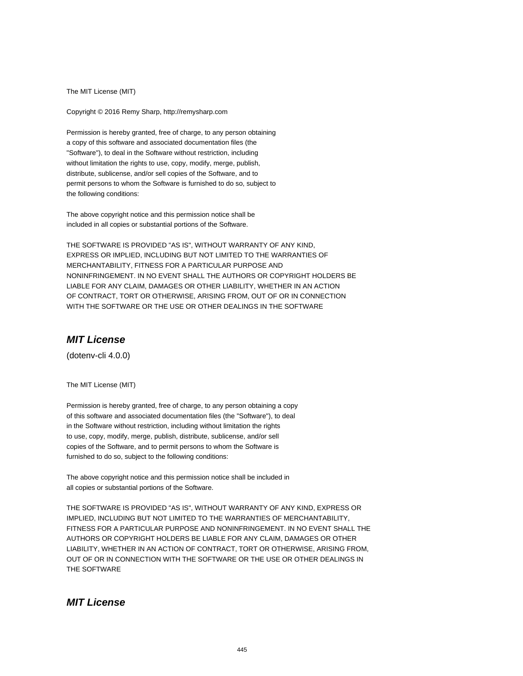The MIT License (MIT)

Copyright © 2016 Remy Sharp, http://remysharp.com

Permission is hereby granted, free of charge, to any person obtaining a copy of this software and associated documentation files (the "Software"), to deal in the Software without restriction, including without limitation the rights to use, copy, modify, merge, publish, distribute, sublicense, and/or sell copies of the Software, and to permit persons to whom the Software is furnished to do so, subject to the following conditions:

The above copyright notice and this permission notice shall be included in all copies or substantial portions of the Software.

THE SOFTWARE IS PROVIDED "AS IS", WITHOUT WARRANTY OF ANY KIND, EXPRESS OR IMPLIED, INCLUDING BUT NOT LIMITED TO THE WARRANTIES OF MERCHANTABILITY, FITNESS FOR A PARTICULAR PURPOSE AND NONINFRINGEMENT. IN NO EVENT SHALL THE AUTHORS OR COPYRIGHT HOLDERS BE LIABLE FOR ANY CLAIM, DAMAGES OR OTHER LIABILITY, WHETHER IN AN ACTION OF CONTRACT, TORT OR OTHERWISE, ARISING FROM, OUT OF OR IN CONNECTION WITH THE SOFTWARE OR THE USE OR OTHER DEALINGS IN THE SOFTWARE

# **MIT License**

(dotenv-cli 4.0.0)

The MIT License (MIT)

Permission is hereby granted, free of charge, to any person obtaining a copy of this software and associated documentation files (the "Software"), to deal in the Software without restriction, including without limitation the rights to use, copy, modify, merge, publish, distribute, sublicense, and/or sell copies of the Software, and to permit persons to whom the Software is furnished to do so, subject to the following conditions:

The above copyright notice and this permission notice shall be included in all copies or substantial portions of the Software.

THE SOFTWARE IS PROVIDED "AS IS", WITHOUT WARRANTY OF ANY KIND, EXPRESS OR IMPLIED, INCLUDING BUT NOT LIMITED TO THE WARRANTIES OF MERCHANTABILITY, FITNESS FOR A PARTICULAR PURPOSE AND NONINFRINGEMENT. IN NO EVENT SHALL THE AUTHORS OR COPYRIGHT HOLDERS BE LIABLE FOR ANY CLAIM, DAMAGES OR OTHER LIABILITY, WHETHER IN AN ACTION OF CONTRACT, TORT OR OTHERWISE, ARISING FROM, OUT OF OR IN CONNECTION WITH THE SOFTWARE OR THE USE OR OTHER DEALINGS IN THE SOFTWARE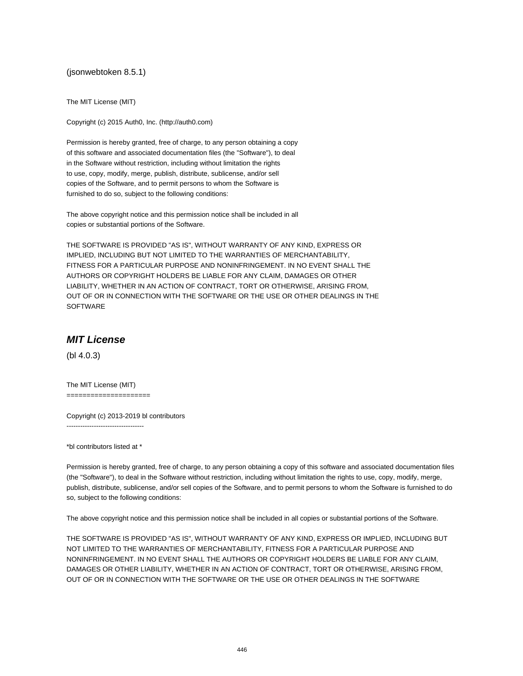(jsonwebtoken 8.5.1)

The MIT License (MIT)

Copyright (c) 2015 Auth0, Inc. (http://auth0.com)

Permission is hereby granted, free of charge, to any person obtaining a copy of this software and associated documentation files (the "Software"), to deal in the Software without restriction, including without limitation the rights to use, copy, modify, merge, publish, distribute, sublicense, and/or sell copies of the Software, and to permit persons to whom the Software is furnished to do so, subject to the following conditions:

The above copyright notice and this permission notice shall be included in all copies or substantial portions of the Software.

THE SOFTWARE IS PROVIDED "AS IS", WITHOUT WARRANTY OF ANY KIND, EXPRESS OR IMPLIED, INCLUDING BUT NOT LIMITED TO THE WARRANTIES OF MERCHANTABILITY, FITNESS FOR A PARTICULAR PURPOSE AND NONINFRINGEMENT. IN NO EVENT SHALL THE AUTHORS OR COPYRIGHT HOLDERS BE LIABLE FOR ANY CLAIM, DAMAGES OR OTHER LIABILITY, WHETHER IN AN ACTION OF CONTRACT, TORT OR OTHERWISE, ARISING FROM, OUT OF OR IN CONNECTION WITH THE SOFTWARE OR THE USE OR OTHER DEALINGS IN THE SOFTWARE

### **MIT License**

(bl 4.0.3)

The MIT License (MIT) =====================

Copyright (c) 2013-2019 bl contributors ----------------------------------

\*bl contributors listed at \*

Permission is hereby granted, free of charge, to any person obtaining a copy of this software and associated documentation files (the "Software"), to deal in the Software without restriction, including without limitation the rights to use, copy, modify, merge, publish, distribute, sublicense, and/or sell copies of the Software, and to permit persons to whom the Software is furnished to do so, subject to the following conditions:

The above copyright notice and this permission notice shall be included in all copies or substantial portions of the Software.

THE SOFTWARE IS PROVIDED "AS IS", WITHOUT WARRANTY OF ANY KIND, EXPRESS OR IMPLIED, INCLUDING BUT NOT LIMITED TO THE WARRANTIES OF MERCHANTABILITY, FITNESS FOR A PARTICULAR PURPOSE AND NONINFRINGEMENT. IN NO EVENT SHALL THE AUTHORS OR COPYRIGHT HOLDERS BE LIABLE FOR ANY CLAIM, DAMAGES OR OTHER LIABILITY, WHETHER IN AN ACTION OF CONTRACT, TORT OR OTHERWISE, ARISING FROM, OUT OF OR IN CONNECTION WITH THE SOFTWARE OR THE USE OR OTHER DEALINGS IN THE SOFTWARE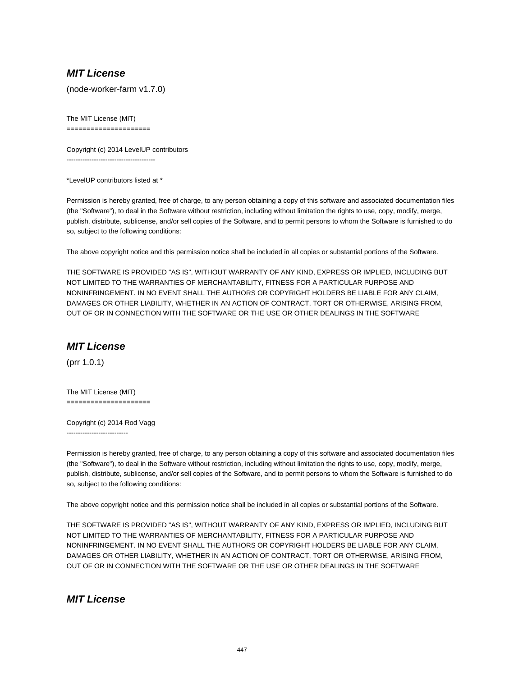# **MIT License**

(node-worker-farm v1.7.0)

The MIT License (MIT) =====================

Copyright (c) 2014 LevelUP contributors ---------------------------------------

\*LevelUP contributors listed at \*

Permission is hereby granted, free of charge, to any person obtaining a copy of this software and associated documentation files (the "Software"), to deal in the Software without restriction, including without limitation the rights to use, copy, modify, merge, publish, distribute, sublicense, and/or sell copies of the Software, and to permit persons to whom the Software is furnished to do so, subject to the following conditions:

The above copyright notice and this permission notice shall be included in all copies or substantial portions of the Software.

THE SOFTWARE IS PROVIDED "AS IS", WITHOUT WARRANTY OF ANY KIND, EXPRESS OR IMPLIED, INCLUDING BUT NOT LIMITED TO THE WARRANTIES OF MERCHANTABILITY, FITNESS FOR A PARTICULAR PURPOSE AND NONINFRINGEMENT. IN NO EVENT SHALL THE AUTHORS OR COPYRIGHT HOLDERS BE LIABLE FOR ANY CLAIM, DAMAGES OR OTHER LIABILITY, WHETHER IN AN ACTION OF CONTRACT, TORT OR OTHERWISE, ARISING FROM, OUT OF OR IN CONNECTION WITH THE SOFTWARE OR THE USE OR OTHER DEALINGS IN THE SOFTWARE

# **MIT License**

(prr 1.0.1)

The MIT License (MIT) =====================

Copyright (c) 2014 Rod Vagg ---------------------------

Permission is hereby granted, free of charge, to any person obtaining a copy of this software and associated documentation files (the "Software"), to deal in the Software without restriction, including without limitation the rights to use, copy, modify, merge, publish, distribute, sublicense, and/or sell copies of the Software, and to permit persons to whom the Software is furnished to do so, subject to the following conditions:

The above copyright notice and this permission notice shall be included in all copies or substantial portions of the Software.

THE SOFTWARE IS PROVIDED "AS IS", WITHOUT WARRANTY OF ANY KIND, EXPRESS OR IMPLIED, INCLUDING BUT NOT LIMITED TO THE WARRANTIES OF MERCHANTABILITY, FITNESS FOR A PARTICULAR PURPOSE AND NONINFRINGEMENT. IN NO EVENT SHALL THE AUTHORS OR COPYRIGHT HOLDERS BE LIABLE FOR ANY CLAIM, DAMAGES OR OTHER LIABILITY, WHETHER IN AN ACTION OF CONTRACT, TORT OR OTHERWISE, ARISING FROM, OUT OF OR IN CONNECTION WITH THE SOFTWARE OR THE USE OR OTHER DEALINGS IN THE SOFTWARE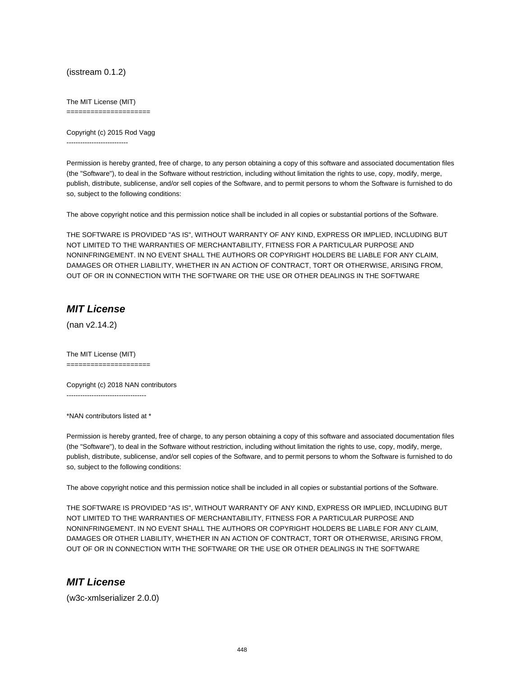(isstream 0.1.2)

The MIT License (MIT)

=====================

Copyright (c) 2015 Rod Vagg ---------------------------

Permission is hereby granted, free of charge, to any person obtaining a copy of this software and associated documentation files (the "Software"), to deal in the Software without restriction, including without limitation the rights to use, copy, modify, merge, publish, distribute, sublicense, and/or sell copies of the Software, and to permit persons to whom the Software is furnished to do so, subject to the following conditions:

The above copyright notice and this permission notice shall be included in all copies or substantial portions of the Software.

THE SOFTWARE IS PROVIDED "AS IS", WITHOUT WARRANTY OF ANY KIND, EXPRESS OR IMPLIED, INCLUDING BUT NOT LIMITED TO THE WARRANTIES OF MERCHANTABILITY, FITNESS FOR A PARTICULAR PURPOSE AND NONINFRINGEMENT. IN NO EVENT SHALL THE AUTHORS OR COPYRIGHT HOLDERS BE LIABLE FOR ANY CLAIM, DAMAGES OR OTHER LIABILITY, WHETHER IN AN ACTION OF CONTRACT, TORT OR OTHERWISE, ARISING FROM, OUT OF OR IN CONNECTION WITH THE SOFTWARE OR THE USE OR OTHER DEALINGS IN THE SOFTWARE

## **MIT License**

(nan v2.14.2)

The MIT License (MIT) =====================

Copyright (c) 2018 NAN contributors -----------------------------------

\*NAN contributors listed at \*

Permission is hereby granted, free of charge, to any person obtaining a copy of this software and associated documentation files (the "Software"), to deal in the Software without restriction, including without limitation the rights to use, copy, modify, merge, publish, distribute, sublicense, and/or sell copies of the Software, and to permit persons to whom the Software is furnished to do so, subject to the following conditions:

The above copyright notice and this permission notice shall be included in all copies or substantial portions of the Software.

THE SOFTWARE IS PROVIDED "AS IS", WITHOUT WARRANTY OF ANY KIND, EXPRESS OR IMPLIED, INCLUDING BUT NOT LIMITED TO THE WARRANTIES OF MERCHANTABILITY, FITNESS FOR A PARTICULAR PURPOSE AND NONINFRINGEMENT. IN NO EVENT SHALL THE AUTHORS OR COPYRIGHT HOLDERS BE LIABLE FOR ANY CLAIM, DAMAGES OR OTHER LIABILITY, WHETHER IN AN ACTION OF CONTRACT, TORT OR OTHERWISE, ARISING FROM, OUT OF OR IN CONNECTION WITH THE SOFTWARE OR THE USE OR OTHER DEALINGS IN THE SOFTWARE

#### **MIT License**

(w3c-xmlserializer 2.0.0)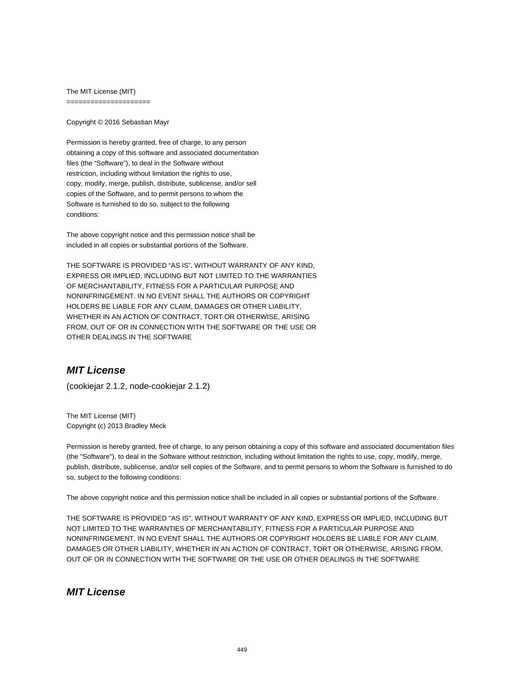The MIT License (MIT) =====================

Copyright © 2016 Sebastian Mayr

Permission is hereby granted, free of charge, to any person obtaining a copy of this software and associated documentation files (the "Software"), to deal in the Software without restriction, including without limitation the rights to use, copy, modify, merge, publish, distribute, sublicense, and/or sell copies of the Software, and to permit persons to whom the Software is furnished to do so, subject to the following conditions:

The above copyright notice and this permission notice shall be included in all copies or substantial portions of the Software.

THE SOFTWARE IS PROVIDED "AS IS", WITHOUT WARRANTY OF ANY KIND, EXPRESS OR IMPLIED, INCLUDING BUT NOT LIMITED TO THE WARRANTIES OF MERCHANTABILITY, FITNESS FOR A PARTICULAR PURPOSE AND NONINFRINGEMENT. IN NO EVENT SHALL THE AUTHORS OR COPYRIGHT HOLDERS BE LIABLE FOR ANY CLAIM, DAMAGES OR OTHER LIABILITY, WHETHER IN AN ACTION OF CONTRACT, TORT OR OTHERWISE, ARISING FROM, OUT OF OR IN CONNECTION WITH THE SOFTWARE OR THE USE OR OTHER DEALINGS IN THE SOFTWARE

# **MIT License**

(cookiejar 2.1.2, node-cookiejar 2.1.2)

The MIT License (MIT) Copyright (c) 2013 Bradley Meck

Permission is hereby granted, free of charge, to any person obtaining a copy of this software and associated documentation files (the "Software"), to deal in the Software without restriction, including without limitation the rights to use, copy, modify, merge, publish, distribute, sublicense, and/or sell copies of the Software, and to permit persons to whom the Software is furnished to do so, subject to the following conditions:

The above copyright notice and this permission notice shall be included in all copies or substantial portions of the Software.

THE SOFTWARE IS PROVIDED "AS IS", WITHOUT WARRANTY OF ANY KIND, EXPRESS OR IMPLIED, INCLUDING BUT NOT LIMITED TO THE WARRANTIES OF MERCHANTABILITY, FITNESS FOR A PARTICULAR PURPOSE AND NONINFRINGEMENT. IN NO EVENT SHALL THE AUTHORS OR COPYRIGHT HOLDERS BE LIABLE FOR ANY CLAIM, DAMAGES OR OTHER LIABILITY, WHETHER IN AN ACTION OF CONTRACT, TORT OR OTHERWISE, ARISING FROM, OUT OF OR IN CONNECTION WITH THE SOFTWARE OR THE USE OR OTHER DEALINGS IN THE SOFTWARE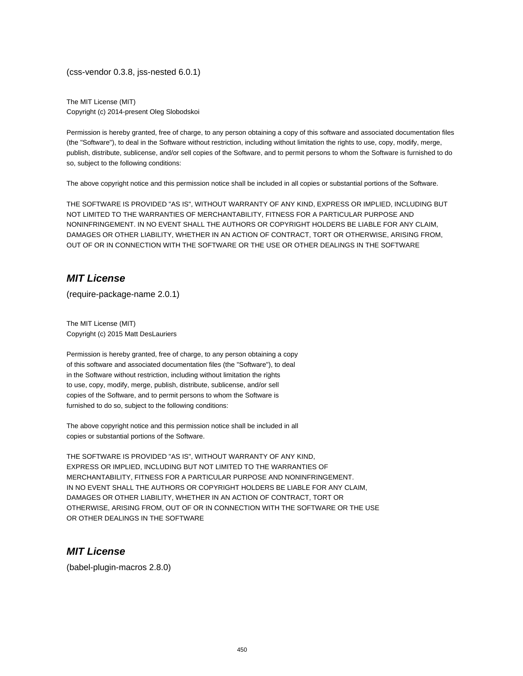(css-vendor 0.3.8, jss-nested 6.0.1)

The MIT License (MIT) Copyright (c) 2014-present Oleg Slobodskoi

Permission is hereby granted, free of charge, to any person obtaining a copy of this software and associated documentation files (the "Software"), to deal in the Software without restriction, including without limitation the rights to use, copy, modify, merge, publish, distribute, sublicense, and/or sell copies of the Software, and to permit persons to whom the Software is furnished to do so, subject to the following conditions:

The above copyright notice and this permission notice shall be included in all copies or substantial portions of the Software.

THE SOFTWARE IS PROVIDED "AS IS", WITHOUT WARRANTY OF ANY KIND, EXPRESS OR IMPLIED, INCLUDING BUT NOT LIMITED TO THE WARRANTIES OF MERCHANTABILITY, FITNESS FOR A PARTICULAR PURPOSE AND NONINFRINGEMENT. IN NO EVENT SHALL THE AUTHORS OR COPYRIGHT HOLDERS BE LIABLE FOR ANY CLAIM, DAMAGES OR OTHER LIABILITY, WHETHER IN AN ACTION OF CONTRACT, TORT OR OTHERWISE, ARISING FROM, OUT OF OR IN CONNECTION WITH THE SOFTWARE OR THE USE OR OTHER DEALINGS IN THE SOFTWARE

### **MIT License**

(require-package-name 2.0.1)

The MIT License (MIT) Copyright (c) 2015 Matt DesLauriers

Permission is hereby granted, free of charge, to any person obtaining a copy of this software and associated documentation files (the "Software"), to deal in the Software without restriction, including without limitation the rights to use, copy, modify, merge, publish, distribute, sublicense, and/or sell copies of the Software, and to permit persons to whom the Software is furnished to do so, subject to the following conditions:

The above copyright notice and this permission notice shall be included in all copies or substantial portions of the Software.

THE SOFTWARE IS PROVIDED "AS IS", WITHOUT WARRANTY OF ANY KIND, EXPRESS OR IMPLIED, INCLUDING BUT NOT LIMITED TO THE WARRANTIES OF MERCHANTABILITY, FITNESS FOR A PARTICULAR PURPOSE AND NONINFRINGEMENT. IN NO EVENT SHALL THE AUTHORS OR COPYRIGHT HOLDERS BE LIABLE FOR ANY CLAIM, DAMAGES OR OTHER LIABILITY, WHETHER IN AN ACTION OF CONTRACT, TORT OR OTHERWISE, ARISING FROM, OUT OF OR IN CONNECTION WITH THE SOFTWARE OR THE USE OR OTHER DEALINGS IN THE SOFTWARE

## **MIT License**

(babel-plugin-macros 2.8.0)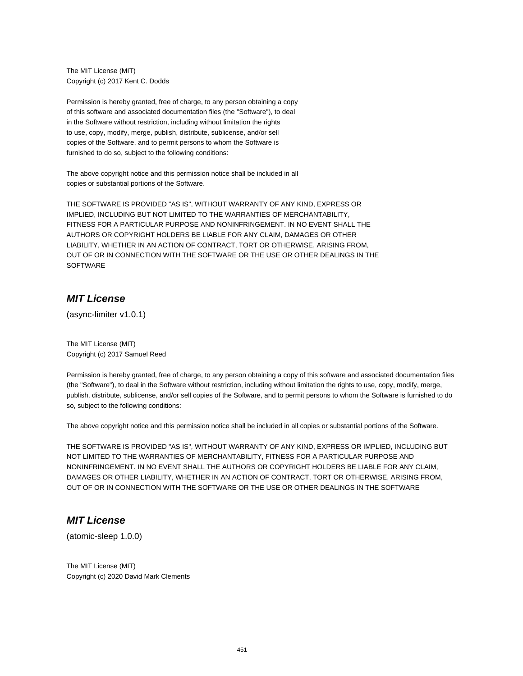The MIT License (MIT) Copyright (c) 2017 Kent C. Dodds

Permission is hereby granted, free of charge, to any person obtaining a copy of this software and associated documentation files (the "Software"), to deal in the Software without restriction, including without limitation the rights to use, copy, modify, merge, publish, distribute, sublicense, and/or sell copies of the Software, and to permit persons to whom the Software is furnished to do so, subject to the following conditions:

The above copyright notice and this permission notice shall be included in all copies or substantial portions of the Software.

THE SOFTWARE IS PROVIDED "AS IS", WITHOUT WARRANTY OF ANY KIND, EXPRESS OR IMPLIED, INCLUDING BUT NOT LIMITED TO THE WARRANTIES OF MERCHANTABILITY, FITNESS FOR A PARTICULAR PURPOSE AND NONINFRINGEMENT. IN NO EVENT SHALL THE AUTHORS OR COPYRIGHT HOLDERS BE LIABLE FOR ANY CLAIM, DAMAGES OR OTHER LIABILITY, WHETHER IN AN ACTION OF CONTRACT, TORT OR OTHERWISE, ARISING FROM, OUT OF OR IN CONNECTION WITH THE SOFTWARE OR THE USE OR OTHER DEALINGS IN THE **SOFTWARE** 

#### **MIT License**

(async-limiter v1.0.1)

The MIT License (MIT) Copyright (c) 2017 Samuel Reed

Permission is hereby granted, free of charge, to any person obtaining a copy of this software and associated documentation files (the "Software"), to deal in the Software without restriction, including without limitation the rights to use, copy, modify, merge, publish, distribute, sublicense, and/or sell copies of the Software, and to permit persons to whom the Software is furnished to do so, subject to the following conditions:

The above copyright notice and this permission notice shall be included in all copies or substantial portions of the Software.

THE SOFTWARE IS PROVIDED "AS IS", WITHOUT WARRANTY OF ANY KIND, EXPRESS OR IMPLIED, INCLUDING BUT NOT LIMITED TO THE WARRANTIES OF MERCHANTABILITY, FITNESS FOR A PARTICULAR PURPOSE AND NONINFRINGEMENT. IN NO EVENT SHALL THE AUTHORS OR COPYRIGHT HOLDERS BE LIABLE FOR ANY CLAIM, DAMAGES OR OTHER LIABILITY, WHETHER IN AN ACTION OF CONTRACT, TORT OR OTHERWISE, ARISING FROM, OUT OF OR IN CONNECTION WITH THE SOFTWARE OR THE USE OR OTHER DEALINGS IN THE SOFTWARE

## **MIT License**

(atomic-sleep 1.0.0)

The MIT License (MIT) Copyright (c) 2020 David Mark Clements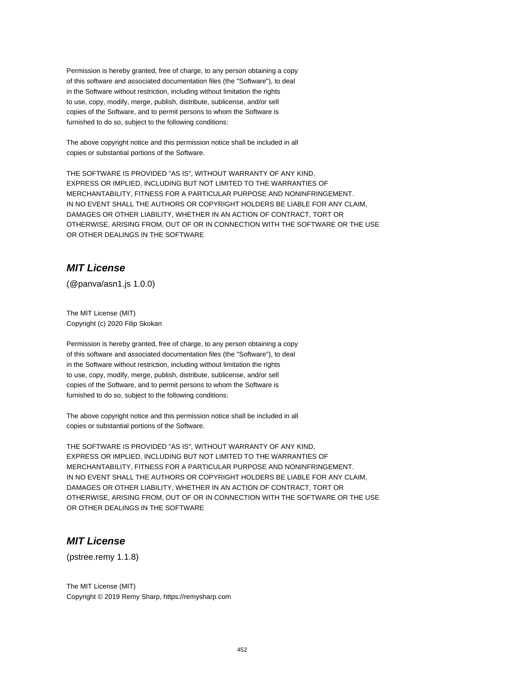Permission is hereby granted, free of charge, to any person obtaining a copy of this software and associated documentation files (the "Software"), to deal in the Software without restriction, including without limitation the rights to use, copy, modify, merge, publish, distribute, sublicense, and/or sell copies of the Software, and to permit persons to whom the Software is furnished to do so, subject to the following conditions:

The above copyright notice and this permission notice shall be included in all copies or substantial portions of the Software.

THE SOFTWARE IS PROVIDED "AS IS", WITHOUT WARRANTY OF ANY KIND, EXPRESS OR IMPLIED, INCLUDING BUT NOT LIMITED TO THE WARRANTIES OF MERCHANTABILITY, FITNESS FOR A PARTICULAR PURPOSE AND NONINFRINGEMENT. IN NO EVENT SHALL THE AUTHORS OR COPYRIGHT HOLDERS BE LIABLE FOR ANY CLAIM, DAMAGES OR OTHER LIABILITY, WHETHER IN AN ACTION OF CONTRACT, TORT OR OTHERWISE, ARISING FROM, OUT OF OR IN CONNECTION WITH THE SOFTWARE OR THE USE OR OTHER DEALINGS IN THE SOFTWARE

# **MIT License**

(@panva/asn1.js 1.0.0)

The MIT License (MIT) Copyright (c) 2020 Filip Skokan

Permission is hereby granted, free of charge, to any person obtaining a copy of this software and associated documentation files (the "Software"), to deal in the Software without restriction, including without limitation the rights to use, copy, modify, merge, publish, distribute, sublicense, and/or sell copies of the Software, and to permit persons to whom the Software is furnished to do so, subject to the following conditions:

The above copyright notice and this permission notice shall be included in all copies or substantial portions of the Software.

THE SOFTWARE IS PROVIDED "AS IS", WITHOUT WARRANTY OF ANY KIND, EXPRESS OR IMPLIED, INCLUDING BUT NOT LIMITED TO THE WARRANTIES OF MERCHANTABILITY, FITNESS FOR A PARTICULAR PURPOSE AND NONINFRINGEMENT. IN NO EVENT SHALL THE AUTHORS OR COPYRIGHT HOLDERS BE LIABLE FOR ANY CLAIM, DAMAGES OR OTHER LIABILITY, WHETHER IN AN ACTION OF CONTRACT, TORT OR OTHERWISE, ARISING FROM, OUT OF OR IN CONNECTION WITH THE SOFTWARE OR THE USE OR OTHER DEALINGS IN THE SOFTWARE

# **MIT License**

(pstree.remy 1.1.8)

The MIT License (MIT) Copyright © 2019 Remy Sharp, https://remysharp.com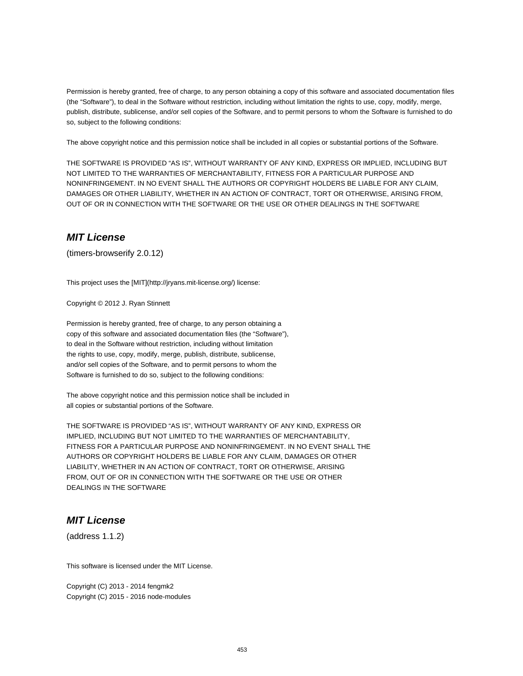Permission is hereby granted, free of charge, to any person obtaining a copy of this software and associated documentation files (the "Software"), to deal in the Software without restriction, including without limitation the rights to use, copy, modify, merge, publish, distribute, sublicense, and/or sell copies of the Software, and to permit persons to whom the Software is furnished to do so, subject to the following conditions:

The above copyright notice and this permission notice shall be included in all copies or substantial portions of the Software.

THE SOFTWARE IS PROVIDED "AS IS", WITHOUT WARRANTY OF ANY KIND, EXPRESS OR IMPLIED, INCLUDING BUT NOT LIMITED TO THE WARRANTIES OF MERCHANTABILITY, FITNESS FOR A PARTICULAR PURPOSE AND NONINFRINGEMENT. IN NO EVENT SHALL THE AUTHORS OR COPYRIGHT HOLDERS BE LIABLE FOR ANY CLAIM, DAMAGES OR OTHER LIABILITY, WHETHER IN AN ACTION OF CONTRACT, TORT OR OTHERWISE, ARISING FROM, OUT OF OR IN CONNECTION WITH THE SOFTWARE OR THE USE OR OTHER DEALINGS IN THE SOFTWARE

## **MIT License**

(timers-browserify 2.0.12)

This project uses the [MIT](http://jryans.mit-license.org/) license:

Copyright © 2012 J. Ryan Stinnett

Permission is hereby granted, free of charge, to any person obtaining a copy of this software and associated documentation files (the "Software"), to deal in the Software without restriction, including without limitation the rights to use, copy, modify, merge, publish, distribute, sublicense, and/or sell copies of the Software, and to permit persons to whom the Software is furnished to do so, subject to the following conditions:

The above copyright notice and this permission notice shall be included in all copies or substantial portions of the Software.

THE SOFTWARE IS PROVIDED "AS IS", WITHOUT WARRANTY OF ANY KIND, EXPRESS OR IMPLIED, INCLUDING BUT NOT LIMITED TO THE WARRANTIES OF MERCHANTABILITY, FITNESS FOR A PARTICULAR PURPOSE AND NONINFRINGEMENT. IN NO EVENT SHALL THE AUTHORS OR COPYRIGHT HOLDERS BE LIABLE FOR ANY CLAIM, DAMAGES OR OTHER LIABILITY, WHETHER IN AN ACTION OF CONTRACT, TORT OR OTHERWISE, ARISING FROM, OUT OF OR IN CONNECTION WITH THE SOFTWARE OR THE USE OR OTHER DEALINGS IN THE SOFTWARE

## **MIT License**

(address 1.1.2)

This software is licensed under the MIT License.

Copyright (C) 2013 - 2014 fengmk2 Copyright (C) 2015 - 2016 node-modules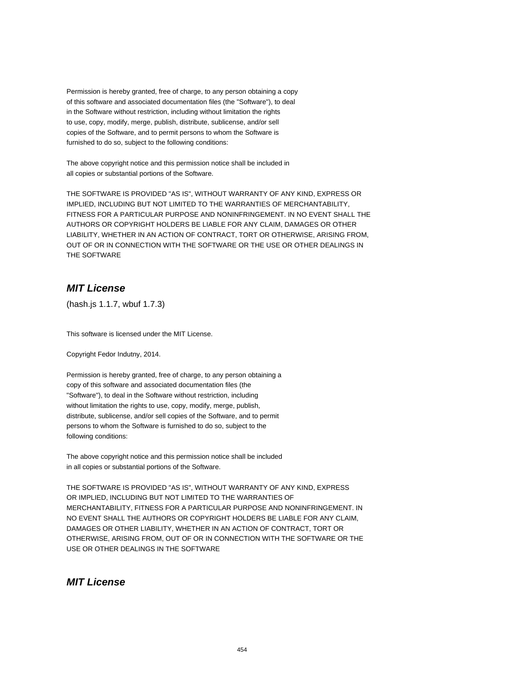Permission is hereby granted, free of charge, to any person obtaining a copy of this software and associated documentation files (the "Software"), to deal in the Software without restriction, including without limitation the rights to use, copy, modify, merge, publish, distribute, sublicense, and/or sell copies of the Software, and to permit persons to whom the Software is furnished to do so, subject to the following conditions:

The above copyright notice and this permission notice shall be included in all copies or substantial portions of the Software.

THE SOFTWARE IS PROVIDED "AS IS", WITHOUT WARRANTY OF ANY KIND, EXPRESS OR IMPLIED, INCLUDING BUT NOT LIMITED TO THE WARRANTIES OF MERCHANTABILITY, FITNESS FOR A PARTICULAR PURPOSE AND NONINFRINGEMENT. IN NO EVENT SHALL THE AUTHORS OR COPYRIGHT HOLDERS BE LIABLE FOR ANY CLAIM, DAMAGES OR OTHER LIABILITY, WHETHER IN AN ACTION OF CONTRACT, TORT OR OTHERWISE, ARISING FROM, OUT OF OR IN CONNECTION WITH THE SOFTWARE OR THE USE OR OTHER DEALINGS IN THE SOFTWARE

# **MIT License**

(hash.js 1.1.7, wbuf 1.7.3)

This software is licensed under the MIT License.

Copyright Fedor Indutny, 2014.

Permission is hereby granted, free of charge, to any person obtaining a copy of this software and associated documentation files (the "Software"), to deal in the Software without restriction, including without limitation the rights to use, copy, modify, merge, publish, distribute, sublicense, and/or sell copies of the Software, and to permit persons to whom the Software is furnished to do so, subject to the following conditions:

The above copyright notice and this permission notice shall be included in all copies or substantial portions of the Software.

THE SOFTWARE IS PROVIDED "AS IS", WITHOUT WARRANTY OF ANY KIND, EXPRESS OR IMPLIED, INCLUDING BUT NOT LIMITED TO THE WARRANTIES OF MERCHANTABILITY, FITNESS FOR A PARTICULAR PURPOSE AND NONINFRINGEMENT. IN NO EVENT SHALL THE AUTHORS OR COPYRIGHT HOLDERS BE LIABLE FOR ANY CLAIM, DAMAGES OR OTHER LIABILITY, WHETHER IN AN ACTION OF CONTRACT, TORT OR OTHERWISE, ARISING FROM, OUT OF OR IN CONNECTION WITH THE SOFTWARE OR THE USE OR OTHER DEALINGS IN THE SOFTWARE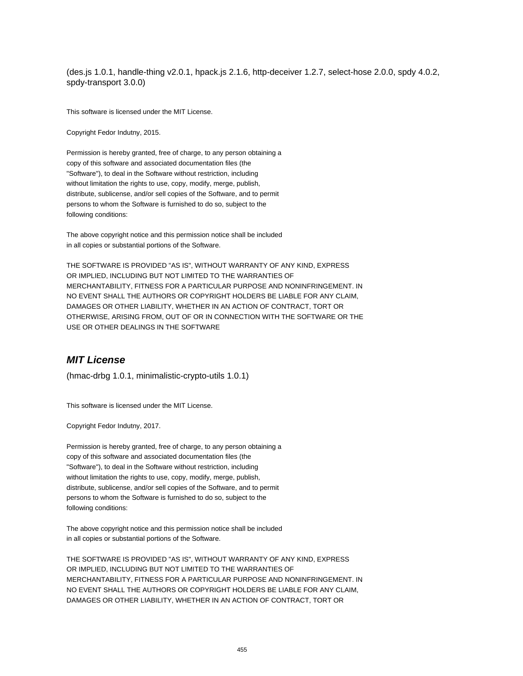(des.js 1.0.1, handle-thing v2.0.1, hpack.js 2.1.6, http-deceiver 1.2.7, select-hose 2.0.0, spdy 4.0.2, spdy-transport 3.0.0)

This software is licensed under the MIT License.

Copyright Fedor Indutny, 2015.

Permission is hereby granted, free of charge, to any person obtaining a copy of this software and associated documentation files (the "Software"), to deal in the Software without restriction, including without limitation the rights to use, copy, modify, merge, publish, distribute, sublicense, and/or sell copies of the Software, and to permit persons to whom the Software is furnished to do so, subject to the following conditions:

The above copyright notice and this permission notice shall be included in all copies or substantial portions of the Software.

THE SOFTWARE IS PROVIDED "AS IS", WITHOUT WARRANTY OF ANY KIND, EXPRESS OR IMPLIED, INCLUDING BUT NOT LIMITED TO THE WARRANTIES OF MERCHANTABILITY, FITNESS FOR A PARTICULAR PURPOSE AND NONINFRINGEMENT. IN NO EVENT SHALL THE AUTHORS OR COPYRIGHT HOLDERS BE LIABLE FOR ANY CLAIM, DAMAGES OR OTHER LIABILITY, WHETHER IN AN ACTION OF CONTRACT, TORT OR OTHERWISE, ARISING FROM, OUT OF OR IN CONNECTION WITH THE SOFTWARE OR THE USE OR OTHER DEALINGS IN THE SOFTWARE

#### **MIT License**

(hmac-drbg 1.0.1, minimalistic-crypto-utils 1.0.1)

This software is licensed under the MIT License.

Copyright Fedor Indutny, 2017.

Permission is hereby granted, free of charge, to any person obtaining a copy of this software and associated documentation files (the "Software"), to deal in the Software without restriction, including without limitation the rights to use, copy, modify, merge, publish, distribute, sublicense, and/or sell copies of the Software, and to permit persons to whom the Software is furnished to do so, subject to the following conditions:

The above copyright notice and this permission notice shall be included in all copies or substantial portions of the Software.

THE SOFTWARE IS PROVIDED "AS IS", WITHOUT WARRANTY OF ANY KIND, EXPRESS OR IMPLIED, INCLUDING BUT NOT LIMITED TO THE WARRANTIES OF MERCHANTABILITY, FITNESS FOR A PARTICULAR PURPOSE AND NONINFRINGEMENT. IN NO EVENT SHALL THE AUTHORS OR COPYRIGHT HOLDERS BE LIABLE FOR ANY CLAIM, DAMAGES OR OTHER LIABILITY, WHETHER IN AN ACTION OF CONTRACT, TORT OR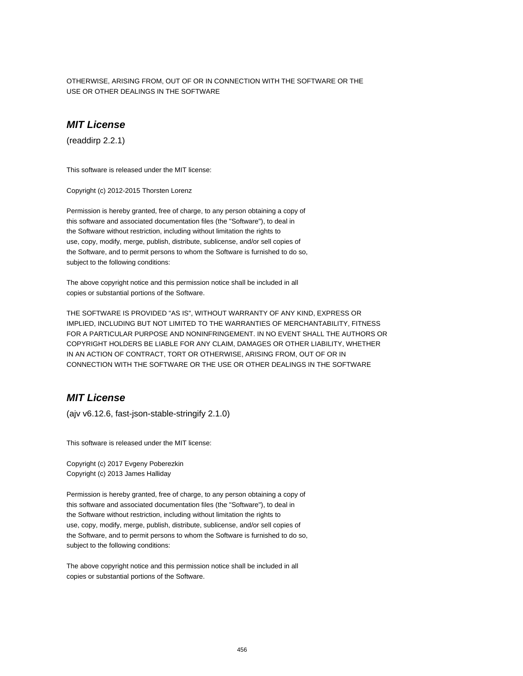OTHERWISE, ARISING FROM, OUT OF OR IN CONNECTION WITH THE SOFTWARE OR THE USE OR OTHER DEALINGS IN THE SOFTWARE

## **MIT License**

(readdirp 2.2.1)

This software is released under the MIT license:

Copyright (c) 2012-2015 Thorsten Lorenz

Permission is hereby granted, free of charge, to any person obtaining a copy of this software and associated documentation files (the "Software"), to deal in the Software without restriction, including without limitation the rights to use, copy, modify, merge, publish, distribute, sublicense, and/or sell copies of the Software, and to permit persons to whom the Software is furnished to do so, subject to the following conditions:

The above copyright notice and this permission notice shall be included in all copies or substantial portions of the Software.

THE SOFTWARE IS PROVIDED "AS IS", WITHOUT WARRANTY OF ANY KIND, EXPRESS OR IMPLIED, INCLUDING BUT NOT LIMITED TO THE WARRANTIES OF MERCHANTABILITY, FITNESS FOR A PARTICULAR PURPOSE AND NONINFRINGEMENT. IN NO EVENT SHALL THE AUTHORS OR COPYRIGHT HOLDERS BE LIABLE FOR ANY CLAIM, DAMAGES OR OTHER LIABILITY, WHETHER IN AN ACTION OF CONTRACT, TORT OR OTHERWISE, ARISING FROM, OUT OF OR IN CONNECTION WITH THE SOFTWARE OR THE USE OR OTHER DEALINGS IN THE SOFTWARE

# **MIT License**

(ajv v6.12.6, fast-json-stable-stringify 2.1.0)

This software is released under the MIT license:

Copyright (c) 2017 Evgeny Poberezkin Copyright (c) 2013 James Halliday

Permission is hereby granted, free of charge, to any person obtaining a copy of this software and associated documentation files (the "Software"), to deal in the Software without restriction, including without limitation the rights to use, copy, modify, merge, publish, distribute, sublicense, and/or sell copies of the Software, and to permit persons to whom the Software is furnished to do so, subject to the following conditions:

The above copyright notice and this permission notice shall be included in all copies or substantial portions of the Software.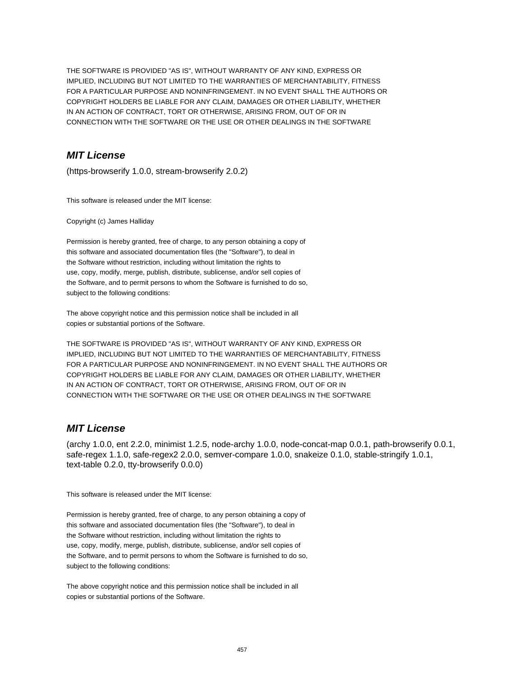THE SOFTWARE IS PROVIDED "AS IS", WITHOUT WARRANTY OF ANY KIND, EXPRESS OR IMPLIED, INCLUDING BUT NOT LIMITED TO THE WARRANTIES OF MERCHANTABILITY, FITNESS FOR A PARTICULAR PURPOSE AND NONINFRINGEMENT. IN NO EVENT SHALL THE AUTHORS OR COPYRIGHT HOLDERS BE LIABLE FOR ANY CLAIM, DAMAGES OR OTHER LIABILITY, WHETHER IN AN ACTION OF CONTRACT, TORT OR OTHERWISE, ARISING FROM, OUT OF OR IN CONNECTION WITH THE SOFTWARE OR THE USE OR OTHER DEALINGS IN THE SOFTWARE

# **MIT License**

(https-browserify 1.0.0, stream-browserify 2.0.2)

This software is released under the MIT license:

Copyright (c) James Halliday

Permission is hereby granted, free of charge, to any person obtaining a copy of this software and associated documentation files (the "Software"), to deal in the Software without restriction, including without limitation the rights to use, copy, modify, merge, publish, distribute, sublicense, and/or sell copies of the Software, and to permit persons to whom the Software is furnished to do so, subject to the following conditions:

The above copyright notice and this permission notice shall be included in all copies or substantial portions of the Software.

THE SOFTWARE IS PROVIDED "AS IS", WITHOUT WARRANTY OF ANY KIND, EXPRESS OR IMPLIED, INCLUDING BUT NOT LIMITED TO THE WARRANTIES OF MERCHANTABILITY, FITNESS FOR A PARTICULAR PURPOSE AND NONINFRINGEMENT. IN NO EVENT SHALL THE AUTHORS OR COPYRIGHT HOLDERS BE LIABLE FOR ANY CLAIM, DAMAGES OR OTHER LIABILITY, WHETHER IN AN ACTION OF CONTRACT, TORT OR OTHERWISE, ARISING FROM, OUT OF OR IN CONNECTION WITH THE SOFTWARE OR THE USE OR OTHER DEALINGS IN THE SOFTWARE

#### **MIT License**

(archy 1.0.0, ent 2.2.0, minimist 1.2.5, node-archy 1.0.0, node-concat-map 0.0.1, path-browserify 0.0.1, safe-regex 1.1.0, safe-regex2 2.0.0, semver-compare 1.0.0, snakeize 0.1.0, stable-stringify 1.0.1, text-table 0.2.0, tty-browserify 0.0.0)

This software is released under the MIT license:

Permission is hereby granted, free of charge, to any person obtaining a copy of this software and associated documentation files (the "Software"), to deal in the Software without restriction, including without limitation the rights to use, copy, modify, merge, publish, distribute, sublicense, and/or sell copies of the Software, and to permit persons to whom the Software is furnished to do so, subject to the following conditions:

The above copyright notice and this permission notice shall be included in all copies or substantial portions of the Software.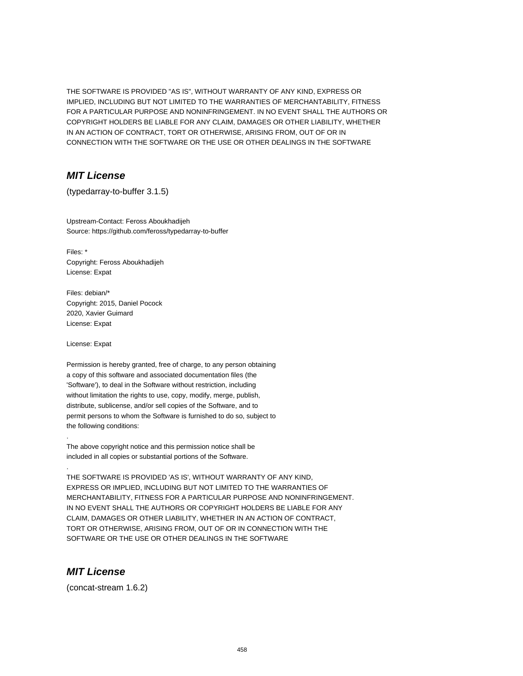THE SOFTWARE IS PROVIDED "AS IS", WITHOUT WARRANTY OF ANY KIND, EXPRESS OR IMPLIED, INCLUDING BUT NOT LIMITED TO THE WARRANTIES OF MERCHANTABILITY, FITNESS FOR A PARTICULAR PURPOSE AND NONINFRINGEMENT. IN NO EVENT SHALL THE AUTHORS OR COPYRIGHT HOLDERS BE LIABLE FOR ANY CLAIM, DAMAGES OR OTHER LIABILITY, WHETHER IN AN ACTION OF CONTRACT, TORT OR OTHERWISE, ARISING FROM, OUT OF OR IN CONNECTION WITH THE SOFTWARE OR THE USE OR OTHER DEALINGS IN THE SOFTWARE

# **MIT License**

(typedarray-to-buffer 3.1.5)

Upstream-Contact: Feross Aboukhadijeh Source: https://github.com/feross/typedarray-to-buffer

Files: \* Copyright: Feross Aboukhadijeh License: Expat

Files: debian/\* Copyright: 2015, Daniel Pocock 2020, Xavier Guimard License: Expat

License: Expat

.

.

Permission is hereby granted, free of charge, to any person obtaining a copy of this software and associated documentation files (the 'Software'), to deal in the Software without restriction, including without limitation the rights to use, copy, modify, merge, publish, distribute, sublicense, and/or sell copies of the Software, and to permit persons to whom the Software is furnished to do so, subject to the following conditions:

The above copyright notice and this permission notice shall be included in all copies or substantial portions of the Software.

THE SOFTWARE IS PROVIDED 'AS IS', WITHOUT WARRANTY OF ANY KIND, EXPRESS OR IMPLIED, INCLUDING BUT NOT LIMITED TO THE WARRANTIES OF MERCHANTABILITY, FITNESS FOR A PARTICULAR PURPOSE AND NONINFRINGEMENT. IN NO EVENT SHALL THE AUTHORS OR COPYRIGHT HOLDERS BE LIABLE FOR ANY CLAIM, DAMAGES OR OTHER LIABILITY, WHETHER IN AN ACTION OF CONTRACT, TORT OR OTHERWISE, ARISING FROM, OUT OF OR IN CONNECTION WITH THE SOFTWARE OR THE USE OR OTHER DEALINGS IN THE SOFTWARE

## **MIT License**

(concat-stream 1.6.2)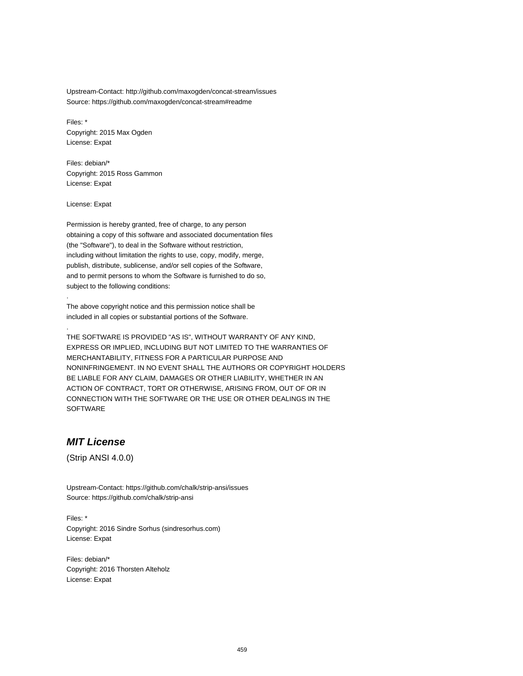Upstream-Contact: http://github.com/maxogden/concat-stream/issues Source: https://github.com/maxogden/concat-stream#readme

Files: \* Copyright: 2015 Max Ogden License: Expat

Files: debian/\* Copyright: 2015 Ross Gammon License: Expat

License: Expat

.

.

Permission is hereby granted, free of charge, to any person obtaining a copy of this software and associated documentation files (the "Software"), to deal in the Software without restriction, including without limitation the rights to use, copy, modify, merge, publish, distribute, sublicense, and/or sell copies of the Software, and to permit persons to whom the Software is furnished to do so, subject to the following conditions:

The above copyright notice and this permission notice shall be included in all copies or substantial portions of the Software.

THE SOFTWARE IS PROVIDED "AS IS", WITHOUT WARRANTY OF ANY KIND, EXPRESS OR IMPLIED, INCLUDING BUT NOT LIMITED TO THE WARRANTIES OF MERCHANTABILITY, FITNESS FOR A PARTICULAR PURPOSE AND NONINFRINGEMENT. IN NO EVENT SHALL THE AUTHORS OR COPYRIGHT HOLDERS BE LIABLE FOR ANY CLAIM, DAMAGES OR OTHER LIABILITY, WHETHER IN AN ACTION OF CONTRACT, TORT OR OTHERWISE, ARISING FROM, OUT OF OR IN CONNECTION WITH THE SOFTWARE OR THE USE OR OTHER DEALINGS IN THE SOFTWARE

# **MIT License**

(Strip ANSI 4.0.0)

Upstream-Contact: https://github.com/chalk/strip-ansi/issues Source: https://github.com/chalk/strip-ansi

Files: \* Copyright: 2016 Sindre Sorhus (sindresorhus.com) License: Expat

Files: debian/\* Copyright: 2016 Thorsten Alteholz License: Expat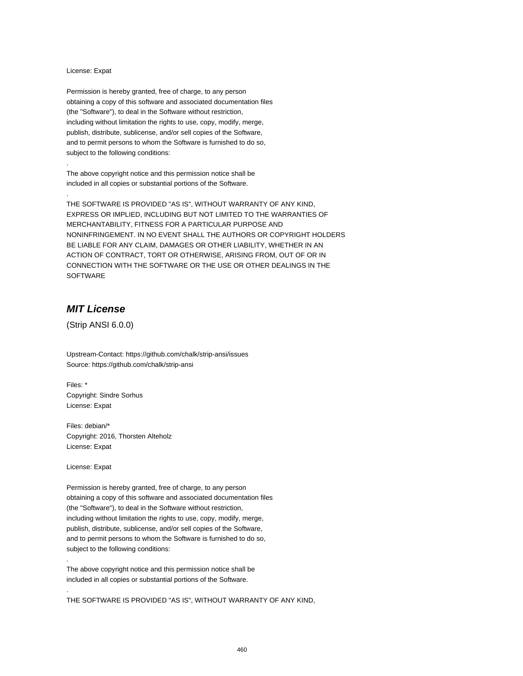#### License: Expat

.

.

Permission is hereby granted, free of charge, to any person obtaining a copy of this software and associated documentation files (the "Software"), to deal in the Software without restriction, including without limitation the rights to use, copy, modify, merge, publish, distribute, sublicense, and/or sell copies of the Software, and to permit persons to whom the Software is furnished to do so, subject to the following conditions:

The above copyright notice and this permission notice shall be included in all copies or substantial portions of the Software.

THE SOFTWARE IS PROVIDED "AS IS", WITHOUT WARRANTY OF ANY KIND, EXPRESS OR IMPLIED, INCLUDING BUT NOT LIMITED TO THE WARRANTIES OF MERCHANTABILITY, FITNESS FOR A PARTICULAR PURPOSE AND NONINFRINGEMENT. IN NO EVENT SHALL THE AUTHORS OR COPYRIGHT HOLDERS BE LIABLE FOR ANY CLAIM, DAMAGES OR OTHER LIABILITY, WHETHER IN AN ACTION OF CONTRACT, TORT OR OTHERWISE, ARISING FROM, OUT OF OR IN CONNECTION WITH THE SOFTWARE OR THE USE OR OTHER DEALINGS IN THE SOFTWARE

# **MIT License**

(Strip ANSI 6.0.0)

Upstream-Contact: https://github.com/chalk/strip-ansi/issues Source: https://github.com/chalk/strip-ansi

Files: \* Copyright: Sindre Sorhus License: Expat

Files: debian/\* Copyright: 2016, Thorsten Alteholz License: Expat

License: Expat

.

.

Permission is hereby granted, free of charge, to any person obtaining a copy of this software and associated documentation files (the "Software"), to deal in the Software without restriction, including without limitation the rights to use, copy, modify, merge, publish, distribute, sublicense, and/or sell copies of the Software, and to permit persons to whom the Software is furnished to do so, subject to the following conditions:

The above copyright notice and this permission notice shall be included in all copies or substantial portions of the Software.

THE SOFTWARE IS PROVIDED "AS IS", WITHOUT WARRANTY OF ANY KIND,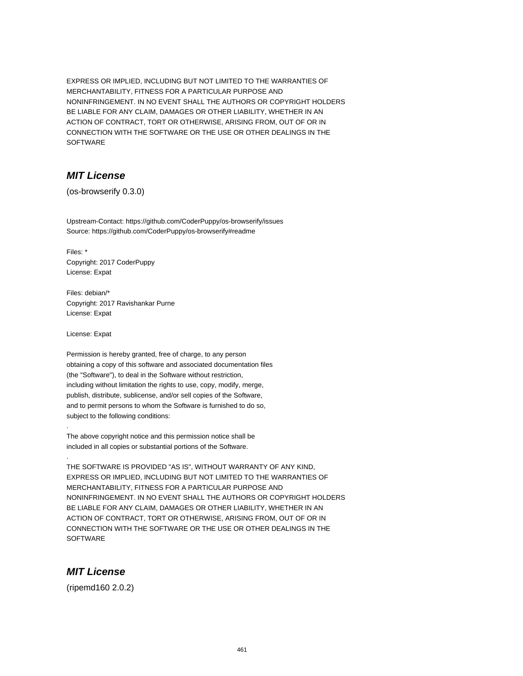EXPRESS OR IMPLIED, INCLUDING BUT NOT LIMITED TO THE WARRANTIES OF MERCHANTABILITY, FITNESS FOR A PARTICULAR PURPOSE AND NONINFRINGEMENT. IN NO EVENT SHALL THE AUTHORS OR COPYRIGHT HOLDERS BE LIABLE FOR ANY CLAIM, DAMAGES OR OTHER LIABILITY, WHETHER IN AN ACTION OF CONTRACT, TORT OR OTHERWISE, ARISING FROM, OUT OF OR IN CONNECTION WITH THE SOFTWARE OR THE USE OR OTHER DEALINGS IN THE SOFTWARE

# **MIT License**

(os-browserify 0.3.0)

Upstream-Contact: https://github.com/CoderPuppy/os-browserify/issues Source: https://github.com/CoderPuppy/os-browserify#readme

Files: \* Copyright: 2017 CoderPuppy License: Expat

Files: debian/\* Copyright: 2017 Ravishankar Purne License: Expat

License: Expat

.

.

Permission is hereby granted, free of charge, to any person obtaining a copy of this software and associated documentation files (the "Software"), to deal in the Software without restriction, including without limitation the rights to use, copy, modify, merge, publish, distribute, sublicense, and/or sell copies of the Software, and to permit persons to whom the Software is furnished to do so, subject to the following conditions:

The above copyright notice and this permission notice shall be included in all copies or substantial portions of the Software.

THE SOFTWARE IS PROVIDED "AS IS", WITHOUT WARRANTY OF ANY KIND, EXPRESS OR IMPLIED, INCLUDING BUT NOT LIMITED TO THE WARRANTIES OF MERCHANTABILITY, FITNESS FOR A PARTICULAR PURPOSE AND NONINFRINGEMENT. IN NO EVENT SHALL THE AUTHORS OR COPYRIGHT HOLDERS BE LIABLE FOR ANY CLAIM, DAMAGES OR OTHER LIABILITY, WHETHER IN AN ACTION OF CONTRACT, TORT OR OTHERWISE, ARISING FROM, OUT OF OR IN CONNECTION WITH THE SOFTWARE OR THE USE OR OTHER DEALINGS IN THE **SOFTWARE** 

# **MIT License**

(ripemd160 2.0.2)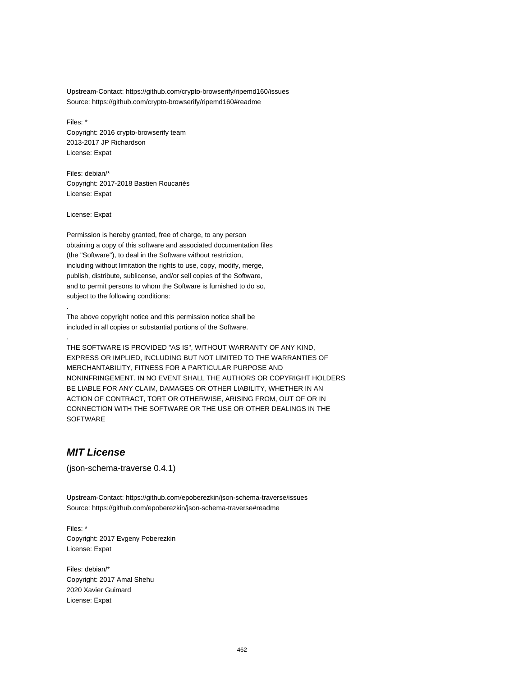Upstream-Contact: https://github.com/crypto-browserify/ripemd160/issues Source: https://github.com/crypto-browserify/ripemd160#readme

Files: \* Copyright: 2016 crypto-browserify team 2013-2017 JP Richardson License: Expat

Files: debian/\* Copyright: 2017-2018 Bastien Roucariès License: Expat

License: Expat

.

.

Permission is hereby granted, free of charge, to any person obtaining a copy of this software and associated documentation files (the "Software"), to deal in the Software without restriction, including without limitation the rights to use, copy, modify, merge, publish, distribute, sublicense, and/or sell copies of the Software, and to permit persons to whom the Software is furnished to do so, subject to the following conditions:

The above copyright notice and this permission notice shall be included in all copies or substantial portions of the Software.

THE SOFTWARE IS PROVIDED "AS IS", WITHOUT WARRANTY OF ANY KIND, EXPRESS OR IMPLIED, INCLUDING BUT NOT LIMITED TO THE WARRANTIES OF MERCHANTABILITY, FITNESS FOR A PARTICULAR PURPOSE AND NONINFRINGEMENT. IN NO EVENT SHALL THE AUTHORS OR COPYRIGHT HOLDERS BE LIABLE FOR ANY CLAIM, DAMAGES OR OTHER LIABILITY, WHETHER IN AN ACTION OF CONTRACT, TORT OR OTHERWISE, ARISING FROM, OUT OF OR IN CONNECTION WITH THE SOFTWARE OR THE USE OR OTHER DEALINGS IN THE SOFTWARE

## **MIT License**

(json-schema-traverse 0.4.1)

Upstream-Contact: https://github.com/epoberezkin/json-schema-traverse/issues Source: https://github.com/epoberezkin/json-schema-traverse#readme

Files: \* Copyright: 2017 Evgeny Poberezkin License: Expat

Files: debian/\* Copyright: 2017 Amal Shehu 2020 Xavier Guimard License: Expat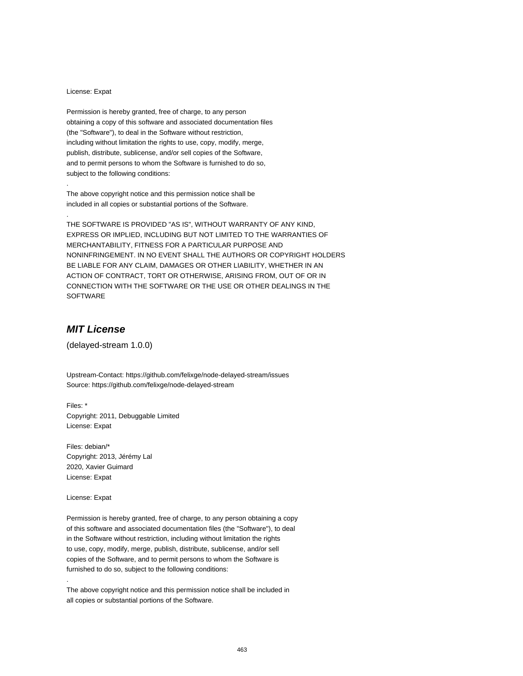#### License: Expat

.

.

Permission is hereby granted, free of charge, to any person obtaining a copy of this software and associated documentation files (the "Software"), to deal in the Software without restriction, including without limitation the rights to use, copy, modify, merge, publish, distribute, sublicense, and/or sell copies of the Software, and to permit persons to whom the Software is furnished to do so, subject to the following conditions:

The above copyright notice and this permission notice shall be included in all copies or substantial portions of the Software.

THE SOFTWARE IS PROVIDED "AS IS", WITHOUT WARRANTY OF ANY KIND, EXPRESS OR IMPLIED, INCLUDING BUT NOT LIMITED TO THE WARRANTIES OF MERCHANTABILITY, FITNESS FOR A PARTICULAR PURPOSE AND NONINFRINGEMENT. IN NO EVENT SHALL THE AUTHORS OR COPYRIGHT HOLDERS BE LIABLE FOR ANY CLAIM, DAMAGES OR OTHER LIABILITY, WHETHER IN AN ACTION OF CONTRACT, TORT OR OTHERWISE, ARISING FROM, OUT OF OR IN CONNECTION WITH THE SOFTWARE OR THE USE OR OTHER DEALINGS IN THE SOFTWARE

# **MIT License**

(delayed-stream 1.0.0)

Upstream-Contact: https://github.com/felixge/node-delayed-stream/issues Source: https://github.com/felixge/node-delayed-stream

Files: \* Copyright: 2011, Debuggable Limited License: Expat

Files: debian/\* Copyright: 2013, Jérémy Lal 2020, Xavier Guimard License: Expat

License: Expat

.

Permission is hereby granted, free of charge, to any person obtaining a copy of this software and associated documentation files (the "Software"), to deal in the Software without restriction, including without limitation the rights to use, copy, modify, merge, publish, distribute, sublicense, and/or sell copies of the Software, and to permit persons to whom the Software is furnished to do so, subject to the following conditions:

The above copyright notice and this permission notice shall be included in all copies or substantial portions of the Software.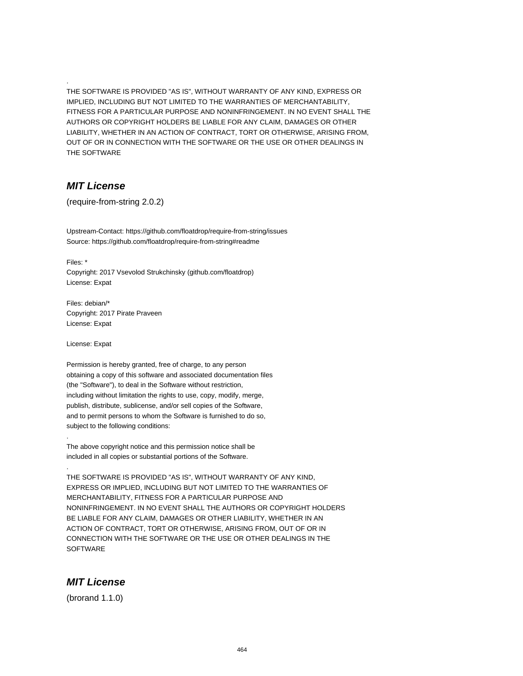THE SOFTWARE IS PROVIDED "AS IS", WITHOUT WARRANTY OF ANY KIND, EXPRESS OR IMPLIED, INCLUDING BUT NOT LIMITED TO THE WARRANTIES OF MERCHANTABILITY, FITNESS FOR A PARTICULAR PURPOSE AND NONINFRINGEMENT. IN NO EVENT SHALL THE AUTHORS OR COPYRIGHT HOLDERS BE LIABLE FOR ANY CLAIM, DAMAGES OR OTHER LIABILITY, WHETHER IN AN ACTION OF CONTRACT, TORT OR OTHERWISE, ARISING FROM, OUT OF OR IN CONNECTION WITH THE SOFTWARE OR THE USE OR OTHER DEALINGS IN THE SOFTWARE

#### **MIT License**

.

(require-from-string 2.0.2)

Upstream-Contact: https://github.com/floatdrop/require-from-string/issues Source: https://github.com/floatdrop/require-from-string#readme

Files: \* Copyright: 2017 Vsevolod Strukchinsky (github.com/floatdrop) License: Expat

Files: debian/\* Copyright: 2017 Pirate Praveen License: Expat

License: Expat

.

.

Permission is hereby granted, free of charge, to any person obtaining a copy of this software and associated documentation files (the "Software"), to deal in the Software without restriction, including without limitation the rights to use, copy, modify, merge, publish, distribute, sublicense, and/or sell copies of the Software, and to permit persons to whom the Software is furnished to do so, subject to the following conditions:

The above copyright notice and this permission notice shall be included in all copies or substantial portions of the Software.

THE SOFTWARE IS PROVIDED "AS IS", WITHOUT WARRANTY OF ANY KIND, EXPRESS OR IMPLIED, INCLUDING BUT NOT LIMITED TO THE WARRANTIES OF MERCHANTABILITY, FITNESS FOR A PARTICULAR PURPOSE AND NONINFRINGEMENT. IN NO EVENT SHALL THE AUTHORS OR COPYRIGHT HOLDERS BE LIABLE FOR ANY CLAIM, DAMAGES OR OTHER LIABILITY, WHETHER IN AN ACTION OF CONTRACT, TORT OR OTHERWISE, ARISING FROM, OUT OF OR IN CONNECTION WITH THE SOFTWARE OR THE USE OR OTHER DEALINGS IN THE **SOFTWARE** 

#### **MIT License**

(brorand 1.1.0)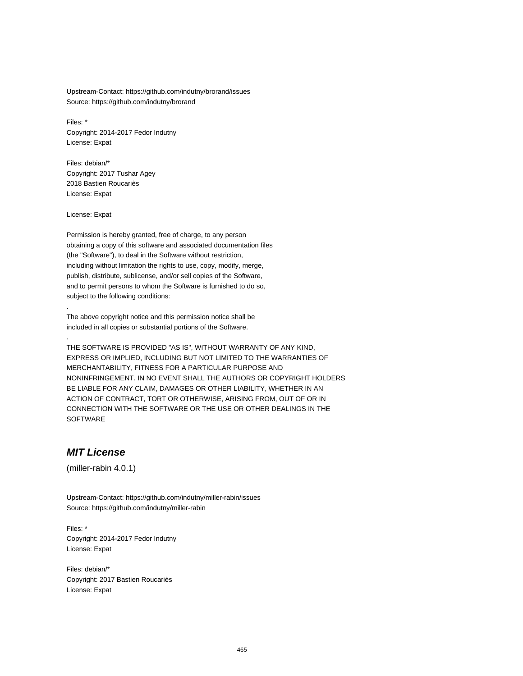Upstream-Contact: https://github.com/indutny/brorand/issues Source: https://github.com/indutny/brorand

Files: \* Copyright: 2014-2017 Fedor Indutny License: Expat

Files: debian/\* Copyright: 2017 Tushar Agey 2018 Bastien Roucariès License: Expat

License: Expat

.

.

Permission is hereby granted, free of charge, to any person obtaining a copy of this software and associated documentation files (the "Software"), to deal in the Software without restriction, including without limitation the rights to use, copy, modify, merge, publish, distribute, sublicense, and/or sell copies of the Software, and to permit persons to whom the Software is furnished to do so, subject to the following conditions:

The above copyright notice and this permission notice shall be included in all copies or substantial portions of the Software.

THE SOFTWARE IS PROVIDED "AS IS", WITHOUT WARRANTY OF ANY KIND, EXPRESS OR IMPLIED, INCLUDING BUT NOT LIMITED TO THE WARRANTIES OF MERCHANTABILITY, FITNESS FOR A PARTICULAR PURPOSE AND NONINFRINGEMENT. IN NO EVENT SHALL THE AUTHORS OR COPYRIGHT HOLDERS BE LIABLE FOR ANY CLAIM, DAMAGES OR OTHER LIABILITY, WHETHER IN AN ACTION OF CONTRACT, TORT OR OTHERWISE, ARISING FROM, OUT OF OR IN CONNECTION WITH THE SOFTWARE OR THE USE OR OTHER DEALINGS IN THE SOFTWARE

# **MIT License**

(miller-rabin 4.0.1)

Upstream-Contact: https://github.com/indutny/miller-rabin/issues Source: https://github.com/indutny/miller-rabin

Files: \* Copyright: 2014-2017 Fedor Indutny License: Expat

Files: debian/\* Copyright: 2017 Bastien Roucariès License: Expat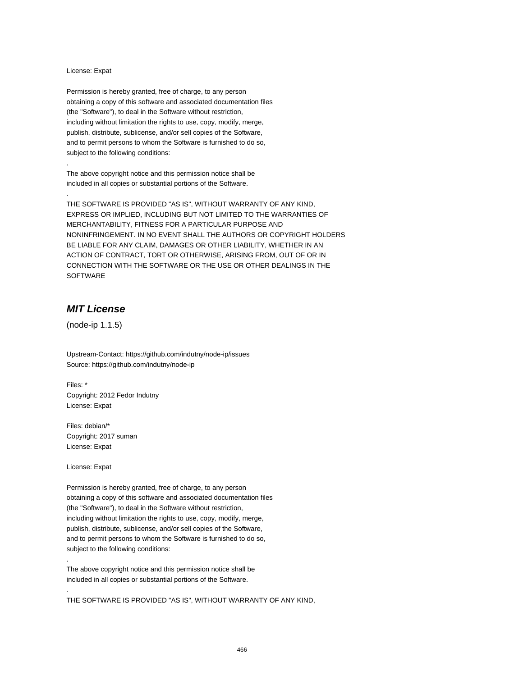#### License: Expat

.

.

Permission is hereby granted, free of charge, to any person obtaining a copy of this software and associated documentation files (the "Software"), to deal in the Software without restriction, including without limitation the rights to use, copy, modify, merge, publish, distribute, sublicense, and/or sell copies of the Software, and to permit persons to whom the Software is furnished to do so, subject to the following conditions:

The above copyright notice and this permission notice shall be included in all copies or substantial portions of the Software.

THE SOFTWARE IS PROVIDED "AS IS", WITHOUT WARRANTY OF ANY KIND, EXPRESS OR IMPLIED, INCLUDING BUT NOT LIMITED TO THE WARRANTIES OF MERCHANTABILITY, FITNESS FOR A PARTICULAR PURPOSE AND NONINFRINGEMENT. IN NO EVENT SHALL THE AUTHORS OR COPYRIGHT HOLDERS BE LIABLE FOR ANY CLAIM, DAMAGES OR OTHER LIABILITY, WHETHER IN AN ACTION OF CONTRACT, TORT OR OTHERWISE, ARISING FROM, OUT OF OR IN CONNECTION WITH THE SOFTWARE OR THE USE OR OTHER DEALINGS IN THE SOFTWARE

# **MIT License**

(node-ip 1.1.5)

Upstream-Contact: https://github.com/indutny/node-ip/issues Source: https://github.com/indutny/node-ip

Files: \* Copyright: 2012 Fedor Indutny License: Expat

Files: debian/\* Copyright: 2017 suman License: Expat

License: Expat

.

.

Permission is hereby granted, free of charge, to any person obtaining a copy of this software and associated documentation files (the "Software"), to deal in the Software without restriction, including without limitation the rights to use, copy, modify, merge, publish, distribute, sublicense, and/or sell copies of the Software, and to permit persons to whom the Software is furnished to do so, subject to the following conditions:

The above copyright notice and this permission notice shall be included in all copies or substantial portions of the Software.

THE SOFTWARE IS PROVIDED "AS IS", WITHOUT WARRANTY OF ANY KIND,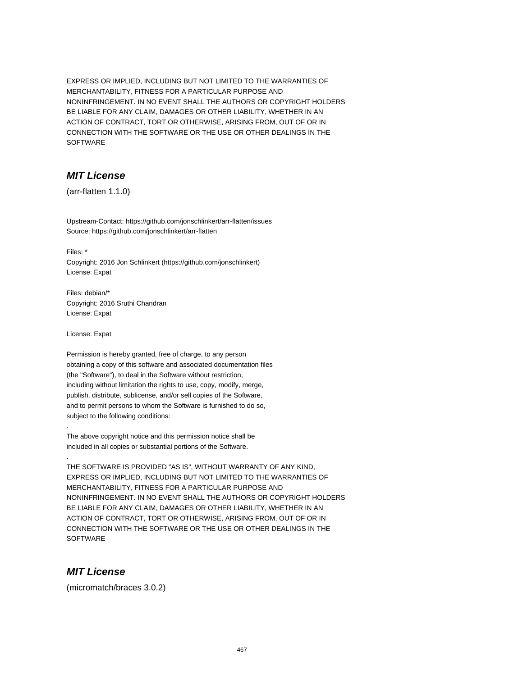EXPRESS OR IMPLIED, INCLUDING BUT NOT LIMITED TO THE WARRANTIES OF MERCHANTABILITY, FITNESS FOR A PARTICULAR PURPOSE AND NONINFRINGEMENT. IN NO EVENT SHALL THE AUTHORS OR COPYRIGHT HOLDERS BE LIABLE FOR ANY CLAIM, DAMAGES OR OTHER LIABILITY, WHETHER IN AN ACTION OF CONTRACT, TORT OR OTHERWISE, ARISING FROM, OUT OF OR IN CONNECTION WITH THE SOFTWARE OR THE USE OR OTHER DEALINGS IN THE SOFTWARE

# **MIT License**

(arr-flatten 1.1.0)

Upstream-Contact: https://github.com/jonschlinkert/arr-flatten/issues Source: https://github.com/jonschlinkert/arr-flatten

Files: \*

Copyright: 2016 Jon Schlinkert (https://github.com/jonschlinkert) License: Expat

Files: debian/\* Copyright: 2016 Sruthi Chandran License: Expat

License: Expat

.

.

Permission is hereby granted, free of charge, to any person obtaining a copy of this software and associated documentation files (the "Software"), to deal in the Software without restriction, including without limitation the rights to use, copy, modify, merge, publish, distribute, sublicense, and/or sell copies of the Software, and to permit persons to whom the Software is furnished to do so, subject to the following conditions:

The above copyright notice and this permission notice shall be included in all copies or substantial portions of the Software.

THE SOFTWARE IS PROVIDED "AS IS", WITHOUT WARRANTY OF ANY KIND, EXPRESS OR IMPLIED, INCLUDING BUT NOT LIMITED TO THE WARRANTIES OF MERCHANTABILITY, FITNESS FOR A PARTICULAR PURPOSE AND NONINFRINGEMENT. IN NO EVENT SHALL THE AUTHORS OR COPYRIGHT HOLDERS BE LIABLE FOR ANY CLAIM, DAMAGES OR OTHER LIABILITY, WHETHER IN AN ACTION OF CONTRACT, TORT OR OTHERWISE, ARISING FROM, OUT OF OR IN CONNECTION WITH THE SOFTWARE OR THE USE OR OTHER DEALINGS IN THE **SOFTWARE** 

# **MIT License**

(micromatch/braces 3.0.2)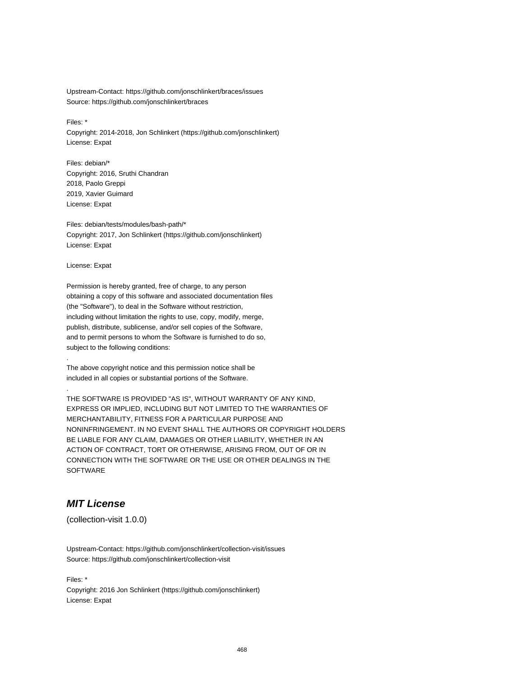Upstream-Contact: https://github.com/jonschlinkert/braces/issues Source: https://github.com/jonschlinkert/braces

Files: \*

Copyright: 2014-2018, Jon Schlinkert (https://github.com/jonschlinkert) License: Expat

Files: debian/\* Copyright: 2016, Sruthi Chandran 2018, Paolo Greppi 2019, Xavier Guimard License: Expat

Files: debian/tests/modules/bash-path/\* Copyright: 2017, Jon Schlinkert (https://github.com/jonschlinkert) License: Expat

License: Expat

.

.

Permission is hereby granted, free of charge, to any person obtaining a copy of this software and associated documentation files (the "Software"), to deal in the Software without restriction, including without limitation the rights to use, copy, modify, merge, publish, distribute, sublicense, and/or sell copies of the Software, and to permit persons to whom the Software is furnished to do so, subject to the following conditions:

The above copyright notice and this permission notice shall be included in all copies or substantial portions of the Software.

THE SOFTWARE IS PROVIDED "AS IS", WITHOUT WARRANTY OF ANY KIND, EXPRESS OR IMPLIED, INCLUDING BUT NOT LIMITED TO THE WARRANTIES OF MERCHANTABILITY, FITNESS FOR A PARTICULAR PURPOSE AND NONINFRINGEMENT. IN NO EVENT SHALL THE AUTHORS OR COPYRIGHT HOLDERS BE LIABLE FOR ANY CLAIM, DAMAGES OR OTHER LIABILITY, WHETHER IN AN ACTION OF CONTRACT, TORT OR OTHERWISE, ARISING FROM, OUT OF OR IN CONNECTION WITH THE SOFTWARE OR THE USE OR OTHER DEALINGS IN THE SOFTWARE

# **MIT License**

(collection-visit 1.0.0)

Upstream-Contact: https://github.com/jonschlinkert/collection-visit/issues Source: https://github.com/jonschlinkert/collection-visit

Files: \* Copyright: 2016 Jon Schlinkert (https://github.com/jonschlinkert) License: Expat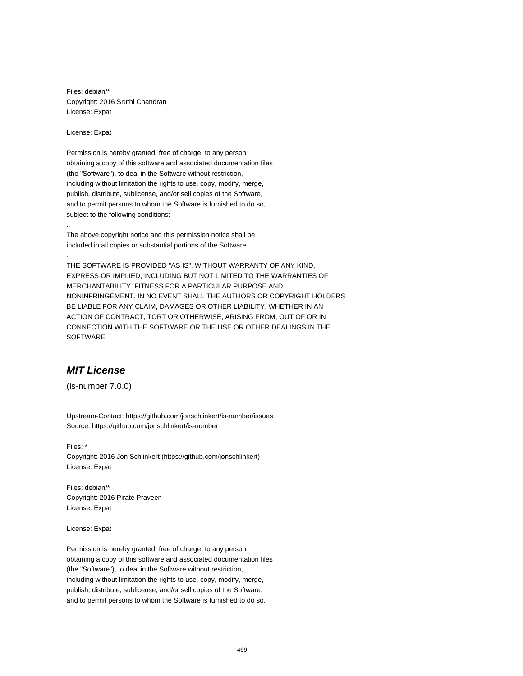Files: debian/\* Copyright: 2016 Sruthi Chandran License: Expat

License: Expat

.

.

Permission is hereby granted, free of charge, to any person obtaining a copy of this software and associated documentation files (the "Software"), to deal in the Software without restriction, including without limitation the rights to use, copy, modify, merge, publish, distribute, sublicense, and/or sell copies of the Software, and to permit persons to whom the Software is furnished to do so, subject to the following conditions:

The above copyright notice and this permission notice shall be included in all copies or substantial portions of the Software.

THE SOFTWARE IS PROVIDED "AS IS", WITHOUT WARRANTY OF ANY KIND, EXPRESS OR IMPLIED, INCLUDING BUT NOT LIMITED TO THE WARRANTIES OF MERCHANTABILITY, FITNESS FOR A PARTICULAR PURPOSE AND NONINFRINGEMENT. IN NO EVENT SHALL THE AUTHORS OR COPYRIGHT HOLDERS BE LIABLE FOR ANY CLAIM, DAMAGES OR OTHER LIABILITY, WHETHER IN AN ACTION OF CONTRACT, TORT OR OTHERWISE, ARISING FROM, OUT OF OR IN CONNECTION WITH THE SOFTWARE OR THE USE OR OTHER DEALINGS IN THE SOFTWARE

# **MIT License**

(is-number 7.0.0)

Upstream-Contact: https://github.com/jonschlinkert/is-number/issues Source: https://github.com/jonschlinkert/is-number

Files: \* Copyright: 2016 Jon Schlinkert (https://github.com/jonschlinkert) License: Expat

Files: debian/\* Copyright: 2016 Pirate Praveen License: Expat

License: Expat

Permission is hereby granted, free of charge, to any person obtaining a copy of this software and associated documentation files (the "Software"), to deal in the Software without restriction, including without limitation the rights to use, copy, modify, merge, publish, distribute, sublicense, and/or sell copies of the Software, and to permit persons to whom the Software is furnished to do so,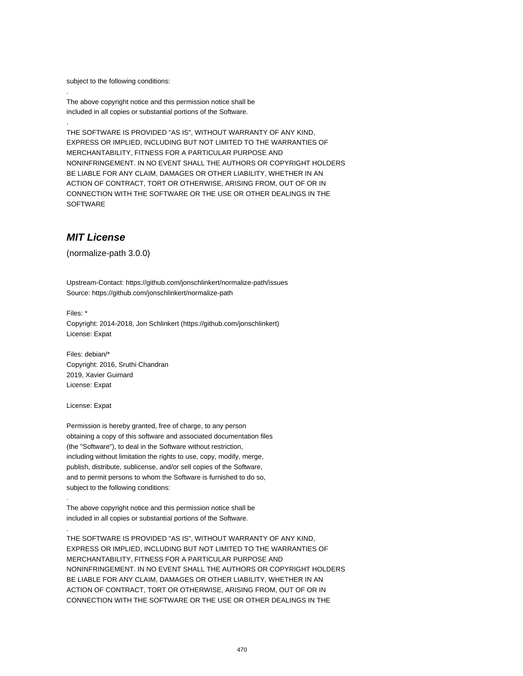subject to the following conditions:

.

.

The above copyright notice and this permission notice shall be included in all copies or substantial portions of the Software.

THE SOFTWARE IS PROVIDED "AS IS", WITHOUT WARRANTY OF ANY KIND, EXPRESS OR IMPLIED, INCLUDING BUT NOT LIMITED TO THE WARRANTIES OF MERCHANTABILITY, FITNESS FOR A PARTICULAR PURPOSE AND NONINFRINGEMENT. IN NO EVENT SHALL THE AUTHORS OR COPYRIGHT HOLDERS BE LIABLE FOR ANY CLAIM, DAMAGES OR OTHER LIABILITY, WHETHER IN AN ACTION OF CONTRACT, TORT OR OTHERWISE, ARISING FROM, OUT OF OR IN CONNECTION WITH THE SOFTWARE OR THE USE OR OTHER DEALINGS IN THE **SOFTWARE** 

## **MIT License**

(normalize-path 3.0.0)

Upstream-Contact: https://github.com/jonschlinkert/normalize-path/issues Source: https://github.com/jonschlinkert/normalize-path

Files: \* Copyright: 2014-2018, Jon Schlinkert (https://github.com/jonschlinkert) License: Expat

Files: debian/\* Copyright: 2016, Sruthi Chandran 2019, Xavier Guimard License: Expat

License: Expat

.

.

Permission is hereby granted, free of charge, to any person obtaining a copy of this software and associated documentation files (the "Software"), to deal in the Software without restriction, including without limitation the rights to use, copy, modify, merge, publish, distribute, sublicense, and/or sell copies of the Software, and to permit persons to whom the Software is furnished to do so, subject to the following conditions:

The above copyright notice and this permission notice shall be included in all copies or substantial portions of the Software.

THE SOFTWARE IS PROVIDED "AS IS", WITHOUT WARRANTY OF ANY KIND, EXPRESS OR IMPLIED, INCLUDING BUT NOT LIMITED TO THE WARRANTIES OF MERCHANTABILITY, FITNESS FOR A PARTICULAR PURPOSE AND NONINFRINGEMENT. IN NO EVENT SHALL THE AUTHORS OR COPYRIGHT HOLDERS BE LIABLE FOR ANY CLAIM, DAMAGES OR OTHER LIABILITY, WHETHER IN AN ACTION OF CONTRACT, TORT OR OTHERWISE, ARISING FROM, OUT OF OR IN CONNECTION WITH THE SOFTWARE OR THE USE OR OTHER DEALINGS IN THE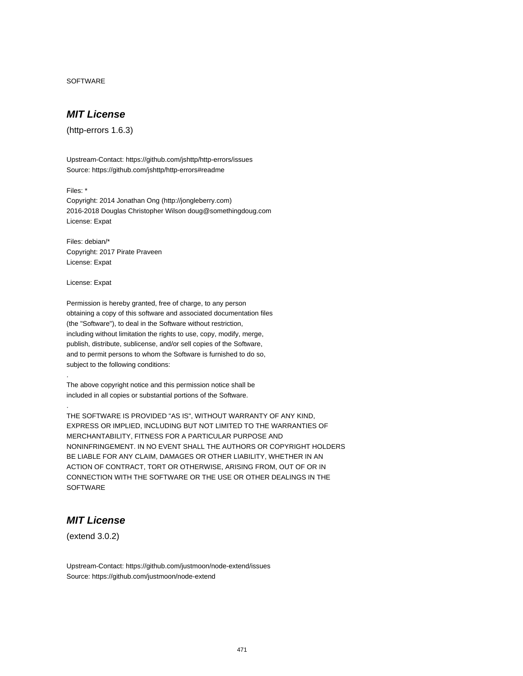SOFTWARE

# **MIT License**

(http-errors 1.6.3)

Upstream-Contact: https://github.com/jshttp/http-errors/issues Source: https://github.com/jshttp/http-errors#readme

Files: \*

Copyright: 2014 Jonathan Ong (http://jongleberry.com) 2016-2018 Douglas Christopher Wilson doug@somethingdoug.com License: Expat

Files: debian/\* Copyright: 2017 Pirate Praveen License: Expat

License: Expat

.

.

Permission is hereby granted, free of charge, to any person obtaining a copy of this software and associated documentation files (the "Software"), to deal in the Software without restriction, including without limitation the rights to use, copy, modify, merge, publish, distribute, sublicense, and/or sell copies of the Software, and to permit persons to whom the Software is furnished to do so, subject to the following conditions:

The above copyright notice and this permission notice shall be included in all copies or substantial portions of the Software.

THE SOFTWARE IS PROVIDED "AS IS", WITHOUT WARRANTY OF ANY KIND, EXPRESS OR IMPLIED, INCLUDING BUT NOT LIMITED TO THE WARRANTIES OF MERCHANTABILITY, FITNESS FOR A PARTICULAR PURPOSE AND NONINFRINGEMENT. IN NO EVENT SHALL THE AUTHORS OR COPYRIGHT HOLDERS BE LIABLE FOR ANY CLAIM, DAMAGES OR OTHER LIABILITY, WHETHER IN AN ACTION OF CONTRACT, TORT OR OTHERWISE, ARISING FROM, OUT OF OR IN CONNECTION WITH THE SOFTWARE OR THE USE OR OTHER DEALINGS IN THE **SOFTWARE** 

# **MIT License**

(extend 3.0.2)

Upstream-Contact: https://github.com/justmoon/node-extend/issues Source: https://github.com/justmoon/node-extend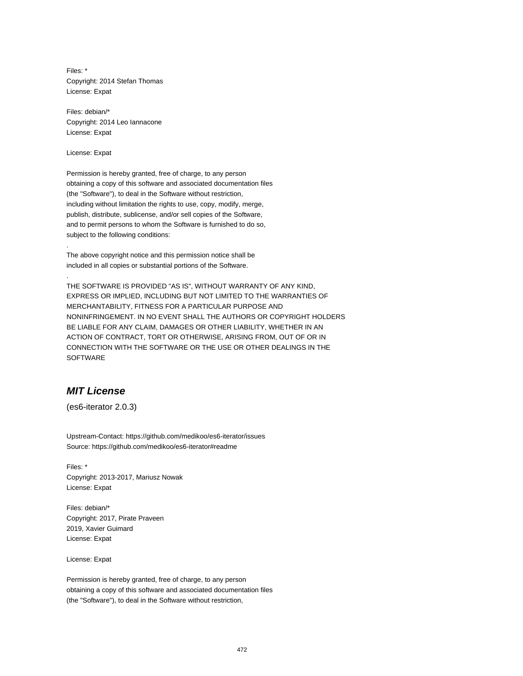Files: \* Copyright: 2014 Stefan Thomas License: Expat

Files: debian/\* Copyright: 2014 Leo Iannacone License: Expat

License: Expat

.

.

Permission is hereby granted, free of charge, to any person obtaining a copy of this software and associated documentation files (the "Software"), to deal in the Software without restriction, including without limitation the rights to use, copy, modify, merge, publish, distribute, sublicense, and/or sell copies of the Software, and to permit persons to whom the Software is furnished to do so, subject to the following conditions:

The above copyright notice and this permission notice shall be included in all copies or substantial portions of the Software.

THE SOFTWARE IS PROVIDED "AS IS", WITHOUT WARRANTY OF ANY KIND, EXPRESS OR IMPLIED, INCLUDING BUT NOT LIMITED TO THE WARRANTIES OF MERCHANTABILITY, FITNESS FOR A PARTICULAR PURPOSE AND NONINFRINGEMENT. IN NO EVENT SHALL THE AUTHORS OR COPYRIGHT HOLDERS BE LIABLE FOR ANY CLAIM, DAMAGES OR OTHER LIABILITY, WHETHER IN AN ACTION OF CONTRACT, TORT OR OTHERWISE, ARISING FROM, OUT OF OR IN CONNECTION WITH THE SOFTWARE OR THE USE OR OTHER DEALINGS IN THE SOFTWARE

# **MIT License**

(es6-iterator 2.0.3)

Upstream-Contact: https://github.com/medikoo/es6-iterator/issues Source: https://github.com/medikoo/es6-iterator#readme

Files: \* Copyright: 2013-2017, Mariusz Nowak License: Expat

Files: debian/\* Copyright: 2017, Pirate Praveen 2019, Xavier Guimard License: Expat

License: Expat

Permission is hereby granted, free of charge, to any person obtaining a copy of this software and associated documentation files (the "Software"), to deal in the Software without restriction,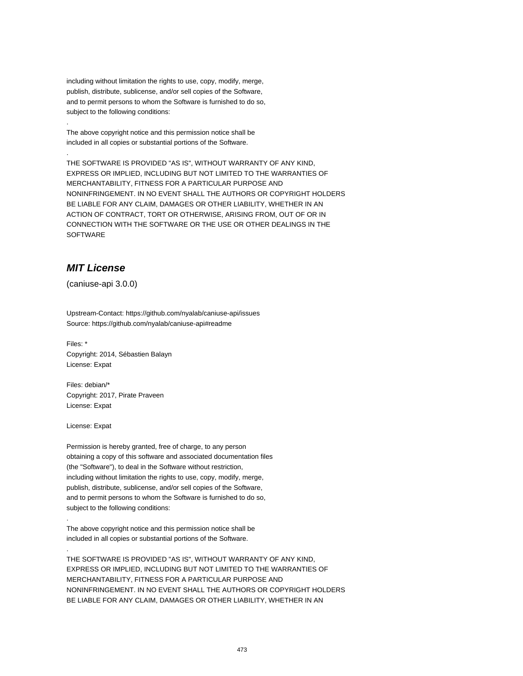including without limitation the rights to use, copy, modify, merge, publish, distribute, sublicense, and/or sell copies of the Software, and to permit persons to whom the Software is furnished to do so, subject to the following conditions:

The above copyright notice and this permission notice shall be included in all copies or substantial portions of the Software.

THE SOFTWARE IS PROVIDED "AS IS", WITHOUT WARRANTY OF ANY KIND, EXPRESS OR IMPLIED, INCLUDING BUT NOT LIMITED TO THE WARRANTIES OF MERCHANTABILITY, FITNESS FOR A PARTICULAR PURPOSE AND NONINFRINGEMENT. IN NO EVENT SHALL THE AUTHORS OR COPYRIGHT HOLDERS BE LIABLE FOR ANY CLAIM, DAMAGES OR OTHER LIABILITY, WHETHER IN AN ACTION OF CONTRACT, TORT OR OTHERWISE, ARISING FROM, OUT OF OR IN CONNECTION WITH THE SOFTWARE OR THE USE OR OTHER DEALINGS IN THE SOFTWARE

# **MIT License**

.

.

(caniuse-api 3.0.0)

Upstream-Contact: https://github.com/nyalab/caniuse-api/issues Source: https://github.com/nyalab/caniuse-api#readme

Files: \* Copyright: 2014, Sébastien Balayn License: Expat

Files: debian/\* Copyright: 2017, Pirate Praveen License: Expat

License: Expat

.

.

Permission is hereby granted, free of charge, to any person obtaining a copy of this software and associated documentation files (the "Software"), to deal in the Software without restriction, including without limitation the rights to use, copy, modify, merge, publish, distribute, sublicense, and/or sell copies of the Software, and to permit persons to whom the Software is furnished to do so, subject to the following conditions:

The above copyright notice and this permission notice shall be included in all copies or substantial portions of the Software.

THE SOFTWARE IS PROVIDED "AS IS", WITHOUT WARRANTY OF ANY KIND, EXPRESS OR IMPLIED, INCLUDING BUT NOT LIMITED TO THE WARRANTIES OF MERCHANTABILITY, FITNESS FOR A PARTICULAR PURPOSE AND NONINFRINGEMENT. IN NO EVENT SHALL THE AUTHORS OR COPYRIGHT HOLDERS BE LIABLE FOR ANY CLAIM, DAMAGES OR OTHER LIABILITY, WHETHER IN AN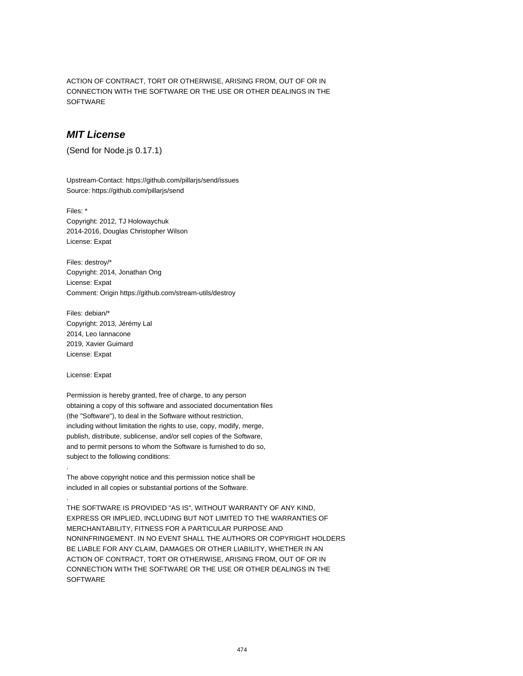ACTION OF CONTRACT, TORT OR OTHERWISE, ARISING FROM, OUT OF OR IN CONNECTION WITH THE SOFTWARE OR THE USE OR OTHER DEALINGS IN THE SOFTWARE

### **MIT License**

(Send for Node.js 0.17.1)

Upstream-Contact: https://github.com/pillarjs/send/issues Source: https://github.com/pillarjs/send

Files: \* Copyright: 2012, TJ Holowaychuk 2014-2016, Douglas Christopher Wilson License: Expat

Files: destroy/\* Copyright: 2014, Jonathan Ong License: Expat Comment: Origin https://github.com/stream-utils/destroy

Files: debian/\* Copyright: 2013, Jérémy Lal 2014, Leo Iannacone 2019, Xavier Guimard License: Expat

License: Expat

.

.

Permission is hereby granted, free of charge, to any person obtaining a copy of this software and associated documentation files (the "Software"), to deal in the Software without restriction, including without limitation the rights to use, copy, modify, merge, publish, distribute, sublicense, and/or sell copies of the Software, and to permit persons to whom the Software is furnished to do so, subject to the following conditions:

The above copyright notice and this permission notice shall be included in all copies or substantial portions of the Software.

THE SOFTWARE IS PROVIDED "AS IS", WITHOUT WARRANTY OF ANY KIND, EXPRESS OR IMPLIED, INCLUDING BUT NOT LIMITED TO THE WARRANTIES OF MERCHANTABILITY, FITNESS FOR A PARTICULAR PURPOSE AND NONINFRINGEMENT. IN NO EVENT SHALL THE AUTHORS OR COPYRIGHT HOLDERS BE LIABLE FOR ANY CLAIM, DAMAGES OR OTHER LIABILITY, WHETHER IN AN ACTION OF CONTRACT, TORT OR OTHERWISE, ARISING FROM, OUT OF OR IN CONNECTION WITH THE SOFTWARE OR THE USE OR OTHER DEALINGS IN THE **SOFTWARE**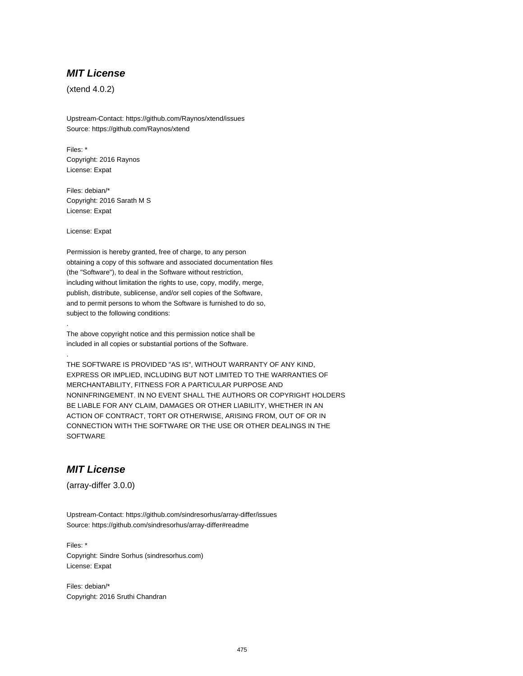## **MIT License**

(xtend 4.0.2)

Upstream-Contact: https://github.com/Raynos/xtend/issues Source: https://github.com/Raynos/xtend

Files: \* Copyright: 2016 Raynos License: Expat

Files: debian/\* Copyright: 2016 Sarath M S License: Expat

License: Expat

.

.

Permission is hereby granted, free of charge, to any person obtaining a copy of this software and associated documentation files (the "Software"), to deal in the Software without restriction, including without limitation the rights to use, copy, modify, merge, publish, distribute, sublicense, and/or sell copies of the Software, and to permit persons to whom the Software is furnished to do so, subject to the following conditions:

The above copyright notice and this permission notice shall be included in all copies or substantial portions of the Software.

THE SOFTWARE IS PROVIDED "AS IS", WITHOUT WARRANTY OF ANY KIND, EXPRESS OR IMPLIED, INCLUDING BUT NOT LIMITED TO THE WARRANTIES OF MERCHANTABILITY, FITNESS FOR A PARTICULAR PURPOSE AND NONINFRINGEMENT. IN NO EVENT SHALL THE AUTHORS OR COPYRIGHT HOLDERS BE LIABLE FOR ANY CLAIM, DAMAGES OR OTHER LIABILITY, WHETHER IN AN ACTION OF CONTRACT, TORT OR OTHERWISE, ARISING FROM, OUT OF OR IN CONNECTION WITH THE SOFTWARE OR THE USE OR OTHER DEALINGS IN THE **SOFTWARE** 

# **MIT License**

(array-differ 3.0.0)

Upstream-Contact: https://github.com/sindresorhus/array-differ/issues Source: https://github.com/sindresorhus/array-differ#readme

Files: \* Copyright: Sindre Sorhus (sindresorhus.com) License: Expat

Files: debian/\* Copyright: 2016 Sruthi Chandran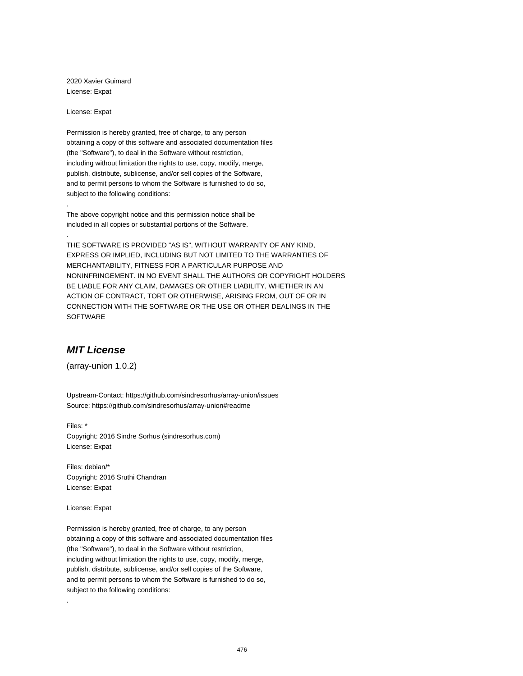2020 Xavier Guimard License: Expat

License: Expat

.

.

Permission is hereby granted, free of charge, to any person obtaining a copy of this software and associated documentation files (the "Software"), to deal in the Software without restriction, including without limitation the rights to use, copy, modify, merge, publish, distribute, sublicense, and/or sell copies of the Software, and to permit persons to whom the Software is furnished to do so, subject to the following conditions:

The above copyright notice and this permission notice shall be included in all copies or substantial portions of the Software.

THE SOFTWARE IS PROVIDED "AS IS", WITHOUT WARRANTY OF ANY KIND, EXPRESS OR IMPLIED, INCLUDING BUT NOT LIMITED TO THE WARRANTIES OF MERCHANTABILITY, FITNESS FOR A PARTICULAR PURPOSE AND NONINFRINGEMENT. IN NO EVENT SHALL THE AUTHORS OR COPYRIGHT HOLDERS BE LIABLE FOR ANY CLAIM, DAMAGES OR OTHER LIABILITY, WHETHER IN AN ACTION OF CONTRACT, TORT OR OTHERWISE, ARISING FROM, OUT OF OR IN CONNECTION WITH THE SOFTWARE OR THE USE OR OTHER DEALINGS IN THE SOFTWARE

# **MIT License**

(array-union 1.0.2)

Upstream-Contact: https://github.com/sindresorhus/array-union/issues Source: https://github.com/sindresorhus/array-union#readme

Files: \* Copyright: 2016 Sindre Sorhus (sindresorhus.com) License: Expat

Files: debian/\* Copyright: 2016 Sruthi Chandran License: Expat

License: Expat

.

Permission is hereby granted, free of charge, to any person obtaining a copy of this software and associated documentation files (the "Software"), to deal in the Software without restriction, including without limitation the rights to use, copy, modify, merge, publish, distribute, sublicense, and/or sell copies of the Software, and to permit persons to whom the Software is furnished to do so, subject to the following conditions: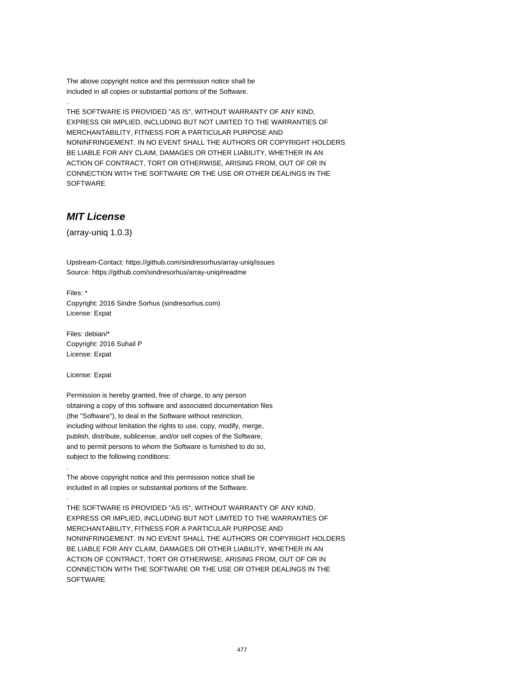The above copyright notice and this permission notice shall be included in all copies or substantial portions of the Software.

THE SOFTWARE IS PROVIDED "AS IS", WITHOUT WARRANTY OF ANY KIND, EXPRESS OR IMPLIED, INCLUDING BUT NOT LIMITED TO THE WARRANTIES OF MERCHANTABILITY, FITNESS FOR A PARTICULAR PURPOSE AND NONINFRINGEMENT. IN NO EVENT SHALL THE AUTHORS OR COPYRIGHT HOLDERS BE LIABLE FOR ANY CLAIM, DAMAGES OR OTHER LIABILITY, WHETHER IN AN ACTION OF CONTRACT, TORT OR OTHERWISE, ARISING FROM, OUT OF OR IN CONNECTION WITH THE SOFTWARE OR THE USE OR OTHER DEALINGS IN THE SOFTWARE

# **MIT License**

.

(array-uniq 1.0.3)

Upstream-Contact: https://github.com/sindresorhus/array-uniq/issues Source: https://github.com/sindresorhus/array-uniq#readme

Files: \* Copyright: 2016 Sindre Sorhus (sindresorhus.com) License: Expat

Files: debian/\* Copyright: 2016 Suhail P License: Expat

License: Expat

.

.

Permission is hereby granted, free of charge, to any person obtaining a copy of this software and associated documentation files (the "Software"), to deal in the Software without restriction, including without limitation the rights to use, copy, modify, merge, publish, distribute, sublicense, and/or sell copies of the Software, and to permit persons to whom the Software is furnished to do so, subject to the following conditions:

The above copyright notice and this permission notice shall be included in all copies or substantial portions of the Software.

THE SOFTWARE IS PROVIDED "AS IS", WITHOUT WARRANTY OF ANY KIND, EXPRESS OR IMPLIED, INCLUDING BUT NOT LIMITED TO THE WARRANTIES OF MERCHANTABILITY, FITNESS FOR A PARTICULAR PURPOSE AND NONINFRINGEMENT. IN NO EVENT SHALL THE AUTHORS OR COPYRIGHT HOLDERS BE LIABLE FOR ANY CLAIM, DAMAGES OR OTHER LIABILITY, WHETHER IN AN ACTION OF CONTRACT, TORT OR OTHERWISE, ARISING FROM, OUT OF OR IN CONNECTION WITH THE SOFTWARE OR THE USE OR OTHER DEALINGS IN THE **SOFTWARE**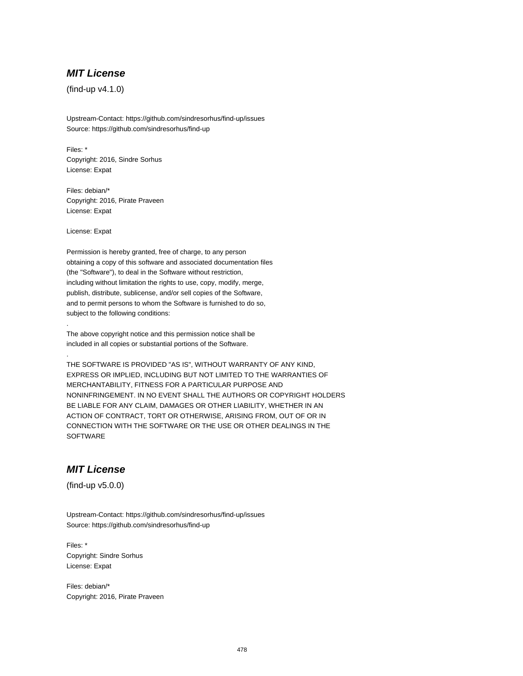# **MIT License**

(find-up v4.1.0)

Upstream-Contact: https://github.com/sindresorhus/find-up/issues Source: https://github.com/sindresorhus/find-up

Files: \* Copyright: 2016, Sindre Sorhus License: Expat

Files: debian/\* Copyright: 2016, Pirate Praveen License: Expat

License: Expat

.

.

Permission is hereby granted, free of charge, to any person obtaining a copy of this software and associated documentation files (the "Software"), to deal in the Software without restriction, including without limitation the rights to use, copy, modify, merge, publish, distribute, sublicense, and/or sell copies of the Software, and to permit persons to whom the Software is furnished to do so, subject to the following conditions:

The above copyright notice and this permission notice shall be included in all copies or substantial portions of the Software.

THE SOFTWARE IS PROVIDED "AS IS", WITHOUT WARRANTY OF ANY KIND, EXPRESS OR IMPLIED, INCLUDING BUT NOT LIMITED TO THE WARRANTIES OF MERCHANTABILITY, FITNESS FOR A PARTICULAR PURPOSE AND NONINFRINGEMENT. IN NO EVENT SHALL THE AUTHORS OR COPYRIGHT HOLDERS BE LIABLE FOR ANY CLAIM, DAMAGES OR OTHER LIABILITY, WHETHER IN AN ACTION OF CONTRACT, TORT OR OTHERWISE, ARISING FROM, OUT OF OR IN CONNECTION WITH THE SOFTWARE OR THE USE OR OTHER DEALINGS IN THE **SOFTWARE** 

# **MIT License**

(find-up v5.0.0)

Upstream-Contact: https://github.com/sindresorhus/find-up/issues Source: https://github.com/sindresorhus/find-up

Files: \* Copyright: Sindre Sorhus License: Expat

Files: debian/\* Copyright: 2016, Pirate Praveen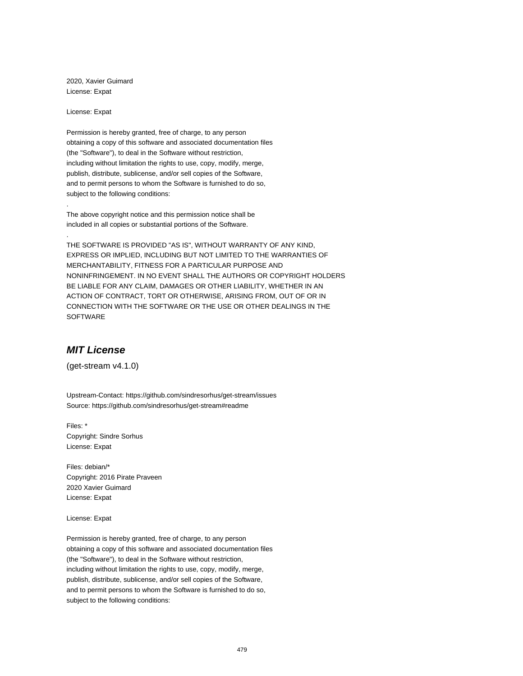2020, Xavier Guimard License: Expat

License: Expat

.

.

Permission is hereby granted, free of charge, to any person obtaining a copy of this software and associated documentation files (the "Software"), to deal in the Software without restriction, including without limitation the rights to use, copy, modify, merge, publish, distribute, sublicense, and/or sell copies of the Software, and to permit persons to whom the Software is furnished to do so, subject to the following conditions:

The above copyright notice and this permission notice shall be included in all copies or substantial portions of the Software.

THE SOFTWARE IS PROVIDED "AS IS", WITHOUT WARRANTY OF ANY KIND, EXPRESS OR IMPLIED, INCLUDING BUT NOT LIMITED TO THE WARRANTIES OF MERCHANTABILITY, FITNESS FOR A PARTICULAR PURPOSE AND NONINFRINGEMENT. IN NO EVENT SHALL THE AUTHORS OR COPYRIGHT HOLDERS BE LIABLE FOR ANY CLAIM, DAMAGES OR OTHER LIABILITY, WHETHER IN AN ACTION OF CONTRACT, TORT OR OTHERWISE, ARISING FROM, OUT OF OR IN CONNECTION WITH THE SOFTWARE OR THE USE OR OTHER DEALINGS IN THE SOFTWARE

# **MIT License**

(get-stream v4.1.0)

Upstream-Contact: https://github.com/sindresorhus/get-stream/issues Source: https://github.com/sindresorhus/get-stream#readme

Files: \* Copyright: Sindre Sorhus License: Expat

Files: debian/\* Copyright: 2016 Pirate Praveen 2020 Xavier Guimard License: Expat

License: Expat

Permission is hereby granted, free of charge, to any person obtaining a copy of this software and associated documentation files (the "Software"), to deal in the Software without restriction, including without limitation the rights to use, copy, modify, merge, publish, distribute, sublicense, and/or sell copies of the Software, and to permit persons to whom the Software is furnished to do so, subject to the following conditions: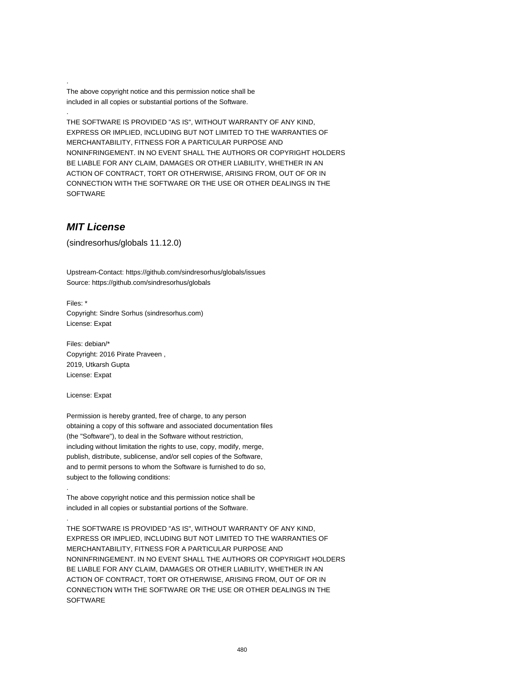The above copyright notice and this permission notice shall be included in all copies or substantial portions of the Software.

THE SOFTWARE IS PROVIDED "AS IS", WITHOUT WARRANTY OF ANY KIND, EXPRESS OR IMPLIED, INCLUDING BUT NOT LIMITED TO THE WARRANTIES OF MERCHANTABILITY, FITNESS FOR A PARTICULAR PURPOSE AND NONINFRINGEMENT. IN NO EVENT SHALL THE AUTHORS OR COPYRIGHT HOLDERS BE LIABLE FOR ANY CLAIM, DAMAGES OR OTHER LIABILITY, WHETHER IN AN ACTION OF CONTRACT, TORT OR OTHERWISE, ARISING FROM, OUT OF OR IN CONNECTION WITH THE SOFTWARE OR THE USE OR OTHER DEALINGS IN THE SOFTWARE

### **MIT License**

.

.

(sindresorhus/globals 11.12.0)

Upstream-Contact: https://github.com/sindresorhus/globals/issues Source: https://github.com/sindresorhus/globals

Files: \* Copyright: Sindre Sorhus (sindresorhus.com) License: Expat

Files: debian/\* Copyright: 2016 Pirate Praveen , 2019, Utkarsh Gupta License: Expat

License: Expat

.

.

Permission is hereby granted, free of charge, to any person obtaining a copy of this software and associated documentation files (the "Software"), to deal in the Software without restriction, including without limitation the rights to use, copy, modify, merge, publish, distribute, sublicense, and/or sell copies of the Software, and to permit persons to whom the Software is furnished to do so, subject to the following conditions:

The above copyright notice and this permission notice shall be included in all copies or substantial portions of the Software.

THE SOFTWARE IS PROVIDED "AS IS", WITHOUT WARRANTY OF ANY KIND, EXPRESS OR IMPLIED, INCLUDING BUT NOT LIMITED TO THE WARRANTIES OF MERCHANTABILITY, FITNESS FOR A PARTICULAR PURPOSE AND NONINFRINGEMENT. IN NO EVENT SHALL THE AUTHORS OR COPYRIGHT HOLDERS BE LIABLE FOR ANY CLAIM, DAMAGES OR OTHER LIABILITY, WHETHER IN AN ACTION OF CONTRACT, TORT OR OTHERWISE, ARISING FROM, OUT OF OR IN CONNECTION WITH THE SOFTWARE OR THE USE OR OTHER DEALINGS IN THE **SOFTWARE**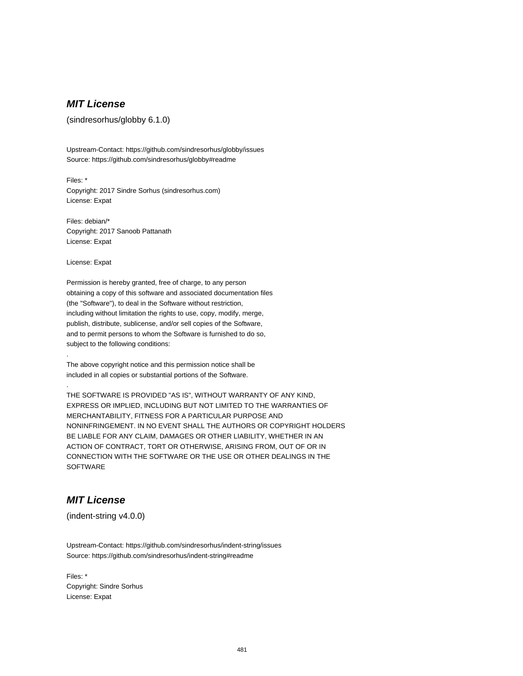# **MIT License**

(sindresorhus/globby 6.1.0)

Upstream-Contact: https://github.com/sindresorhus/globby/issues Source: https://github.com/sindresorhus/globby#readme

Files: \* Copyright: 2017 Sindre Sorhus (sindresorhus.com) License: Expat

Files: debian/\* Copyright: 2017 Sanoob Pattanath License: Expat

License: Expat

.

.

Permission is hereby granted, free of charge, to any person obtaining a copy of this software and associated documentation files (the "Software"), to deal in the Software without restriction, including without limitation the rights to use, copy, modify, merge, publish, distribute, sublicense, and/or sell copies of the Software, and to permit persons to whom the Software is furnished to do so, subject to the following conditions:

The above copyright notice and this permission notice shall be included in all copies or substantial portions of the Software.

THE SOFTWARE IS PROVIDED "AS IS", WITHOUT WARRANTY OF ANY KIND, EXPRESS OR IMPLIED, INCLUDING BUT NOT LIMITED TO THE WARRANTIES OF MERCHANTABILITY, FITNESS FOR A PARTICULAR PURPOSE AND NONINFRINGEMENT. IN NO EVENT SHALL THE AUTHORS OR COPYRIGHT HOLDERS BE LIABLE FOR ANY CLAIM, DAMAGES OR OTHER LIABILITY, WHETHER IN AN ACTION OF CONTRACT, TORT OR OTHERWISE, ARISING FROM, OUT OF OR IN CONNECTION WITH THE SOFTWARE OR THE USE OR OTHER DEALINGS IN THE **SOFTWARE** 

# **MIT License**

(indent-string v4.0.0)

Upstream-Contact: https://github.com/sindresorhus/indent-string/issues Source: https://github.com/sindresorhus/indent-string#readme

Files: \* Copyright: Sindre Sorhus License: Expat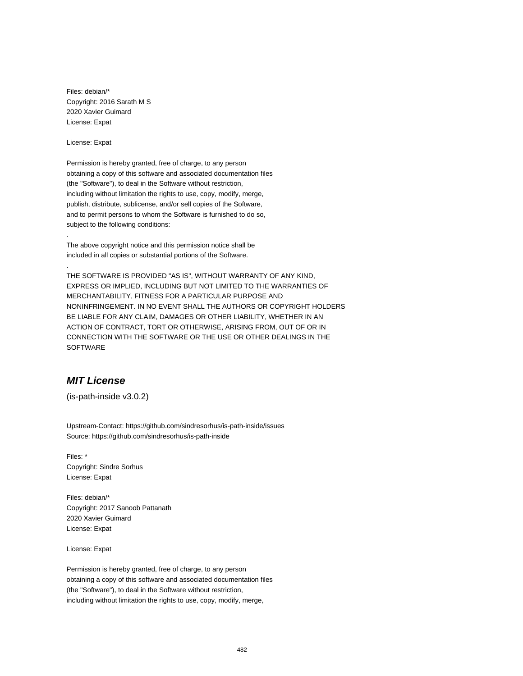Files: debian/\* Copyright: 2016 Sarath M S 2020 Xavier Guimard License: Expat

License: Expat

.

.

Permission is hereby granted, free of charge, to any person obtaining a copy of this software and associated documentation files (the "Software"), to deal in the Software without restriction, including without limitation the rights to use, copy, modify, merge, publish, distribute, sublicense, and/or sell copies of the Software, and to permit persons to whom the Software is furnished to do so, subject to the following conditions:

The above copyright notice and this permission notice shall be included in all copies or substantial portions of the Software.

THE SOFTWARE IS PROVIDED "AS IS", WITHOUT WARRANTY OF ANY KIND, EXPRESS OR IMPLIED, INCLUDING BUT NOT LIMITED TO THE WARRANTIES OF MERCHANTABILITY, FITNESS FOR A PARTICULAR PURPOSE AND NONINFRINGEMENT. IN NO EVENT SHALL THE AUTHORS OR COPYRIGHT HOLDERS BE LIABLE FOR ANY CLAIM, DAMAGES OR OTHER LIABILITY, WHETHER IN AN ACTION OF CONTRACT, TORT OR OTHERWISE, ARISING FROM, OUT OF OR IN CONNECTION WITH THE SOFTWARE OR THE USE OR OTHER DEALINGS IN THE **SOFTWARE** 

# **MIT License**

(is-path-inside v3.0.2)

Upstream-Contact: https://github.com/sindresorhus/is-path-inside/issues Source: https://github.com/sindresorhus/is-path-inside

Files: \* Copyright: Sindre Sorhus License: Expat

Files: debian/\* Copyright: 2017 Sanoob Pattanath 2020 Xavier Guimard License: Expat

License: Expat

Permission is hereby granted, free of charge, to any person obtaining a copy of this software and associated documentation files (the "Software"), to deal in the Software without restriction, including without limitation the rights to use, copy, modify, merge,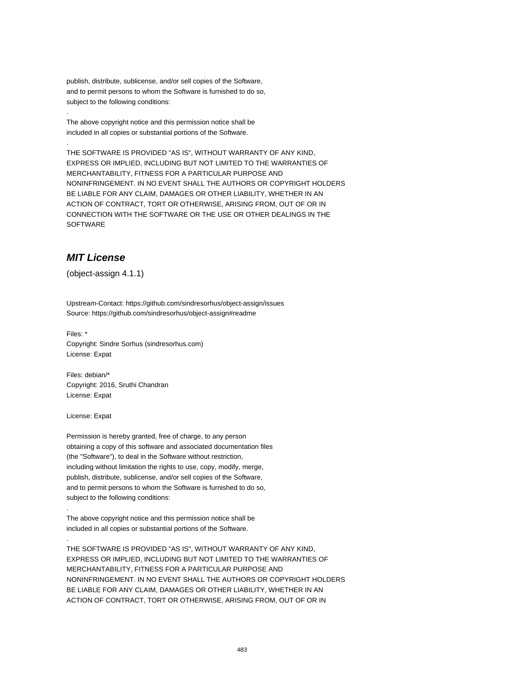publish, distribute, sublicense, and/or sell copies of the Software, and to permit persons to whom the Software is furnished to do so, subject to the following conditions:

The above copyright notice and this permission notice shall be included in all copies or substantial portions of the Software.

THE SOFTWARE IS PROVIDED "AS IS", WITHOUT WARRANTY OF ANY KIND, EXPRESS OR IMPLIED, INCLUDING BUT NOT LIMITED TO THE WARRANTIES OF MERCHANTABILITY, FITNESS FOR A PARTICULAR PURPOSE AND NONINFRINGEMENT. IN NO EVENT SHALL THE AUTHORS OR COPYRIGHT HOLDERS BE LIABLE FOR ANY CLAIM, DAMAGES OR OTHER LIABILITY, WHETHER IN AN ACTION OF CONTRACT, TORT OR OTHERWISE, ARISING FROM, OUT OF OR IN CONNECTION WITH THE SOFTWARE OR THE USE OR OTHER DEALINGS IN THE SOFTWARE

# **MIT License**

.

.

(object-assign 4.1.1)

Upstream-Contact: https://github.com/sindresorhus/object-assign/issues Source: https://github.com/sindresorhus/object-assign#readme

Files: \* Copyright: Sindre Sorhus (sindresorhus.com) License: Expat

Files: debian/\* Copyright: 2016, Sruthi Chandran License: Expat

License: Expat

.

.

Permission is hereby granted, free of charge, to any person obtaining a copy of this software and associated documentation files (the "Software"), to deal in the Software without restriction, including without limitation the rights to use, copy, modify, merge, publish, distribute, sublicense, and/or sell copies of the Software, and to permit persons to whom the Software is furnished to do so, subject to the following conditions:

The above copyright notice and this permission notice shall be included in all copies or substantial portions of the Software.

THE SOFTWARE IS PROVIDED "AS IS", WITHOUT WARRANTY OF ANY KIND, EXPRESS OR IMPLIED, INCLUDING BUT NOT LIMITED TO THE WARRANTIES OF MERCHANTABILITY, FITNESS FOR A PARTICULAR PURPOSE AND NONINFRINGEMENT. IN NO EVENT SHALL THE AUTHORS OR COPYRIGHT HOLDERS BE LIABLE FOR ANY CLAIM, DAMAGES OR OTHER LIABILITY, WHETHER IN AN ACTION OF CONTRACT, TORT OR OTHERWISE, ARISING FROM, OUT OF OR IN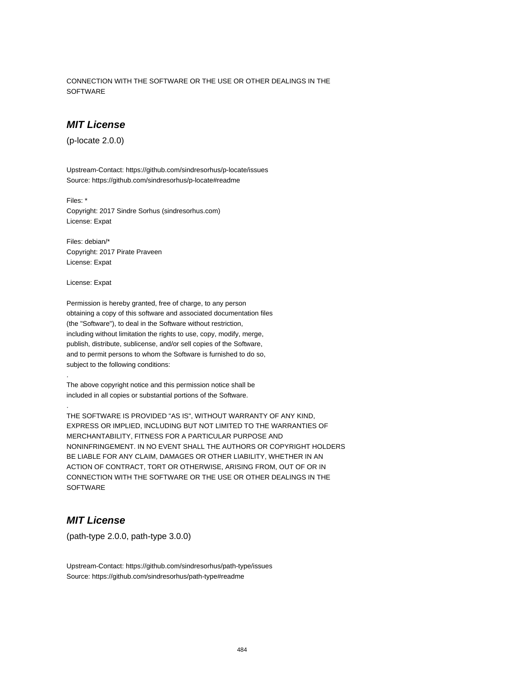CONNECTION WITH THE SOFTWARE OR THE USE OR OTHER DEALINGS IN THE **SOFTWARE** 

## **MIT License**

(p-locate 2.0.0)

Upstream-Contact: https://github.com/sindresorhus/p-locate/issues Source: https://github.com/sindresorhus/p-locate#readme

Files: \* Copyright: 2017 Sindre Sorhus (sindresorhus.com) License: Expat

Files: debian/\* Copyright: 2017 Pirate Praveen License: Expat

License: Expat

.

.

Permission is hereby granted, free of charge, to any person obtaining a copy of this software and associated documentation files (the "Software"), to deal in the Software without restriction, including without limitation the rights to use, copy, modify, merge, publish, distribute, sublicense, and/or sell copies of the Software, and to permit persons to whom the Software is furnished to do so, subject to the following conditions:

The above copyright notice and this permission notice shall be included in all copies or substantial portions of the Software.

THE SOFTWARE IS PROVIDED "AS IS", WITHOUT WARRANTY OF ANY KIND, EXPRESS OR IMPLIED, INCLUDING BUT NOT LIMITED TO THE WARRANTIES OF MERCHANTABILITY, FITNESS FOR A PARTICULAR PURPOSE AND NONINFRINGEMENT. IN NO EVENT SHALL THE AUTHORS OR COPYRIGHT HOLDERS BE LIABLE FOR ANY CLAIM, DAMAGES OR OTHER LIABILITY, WHETHER IN AN ACTION OF CONTRACT, TORT OR OTHERWISE, ARISING FROM, OUT OF OR IN CONNECTION WITH THE SOFTWARE OR THE USE OR OTHER DEALINGS IN THE **SOFTWARE** 

# **MIT License**

(path-type 2.0.0, path-type 3.0.0)

Upstream-Contact: https://github.com/sindresorhus/path-type/issues Source: https://github.com/sindresorhus/path-type#readme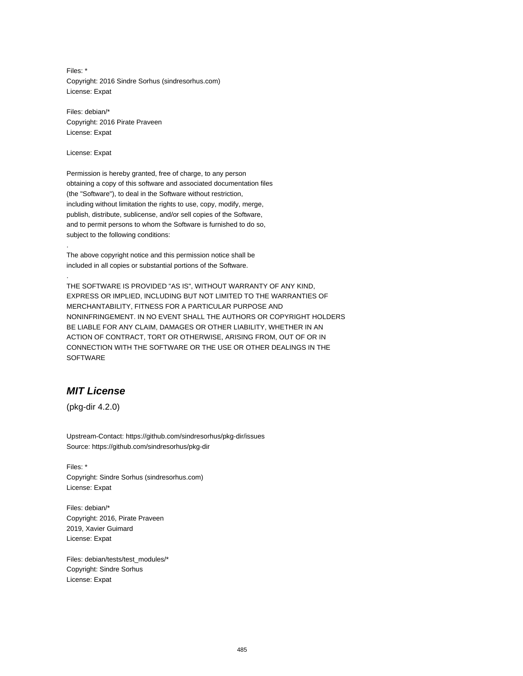Files: \* Copyright: 2016 Sindre Sorhus (sindresorhus.com) License: Expat

Files: debian/\* Copyright: 2016 Pirate Praveen License: Expat

License: Expat

.

.

Permission is hereby granted, free of charge, to any person obtaining a copy of this software and associated documentation files (the "Software"), to deal in the Software without restriction, including without limitation the rights to use, copy, modify, merge, publish, distribute, sublicense, and/or sell copies of the Software, and to permit persons to whom the Software is furnished to do so, subject to the following conditions:

The above copyright notice and this permission notice shall be included in all copies or substantial portions of the Software.

THE SOFTWARE IS PROVIDED "AS IS", WITHOUT WARRANTY OF ANY KIND, EXPRESS OR IMPLIED, INCLUDING BUT NOT LIMITED TO THE WARRANTIES OF MERCHANTABILITY, FITNESS FOR A PARTICULAR PURPOSE AND NONINFRINGEMENT. IN NO EVENT SHALL THE AUTHORS OR COPYRIGHT HOLDERS BE LIABLE FOR ANY CLAIM, DAMAGES OR OTHER LIABILITY, WHETHER IN AN ACTION OF CONTRACT, TORT OR OTHERWISE, ARISING FROM, OUT OF OR IN CONNECTION WITH THE SOFTWARE OR THE USE OR OTHER DEALINGS IN THE SOFTWARE

# **MIT License**

(pkg-dir 4.2.0)

Upstream-Contact: https://github.com/sindresorhus/pkg-dir/issues Source: https://github.com/sindresorhus/pkg-dir

Files: \* Copyright: Sindre Sorhus (sindresorhus.com) License: Expat

Files: debian/\* Copyright: 2016, Pirate Praveen 2019, Xavier Guimard License: Expat

Files: debian/tests/test\_modules/\* Copyright: Sindre Sorhus License: Expat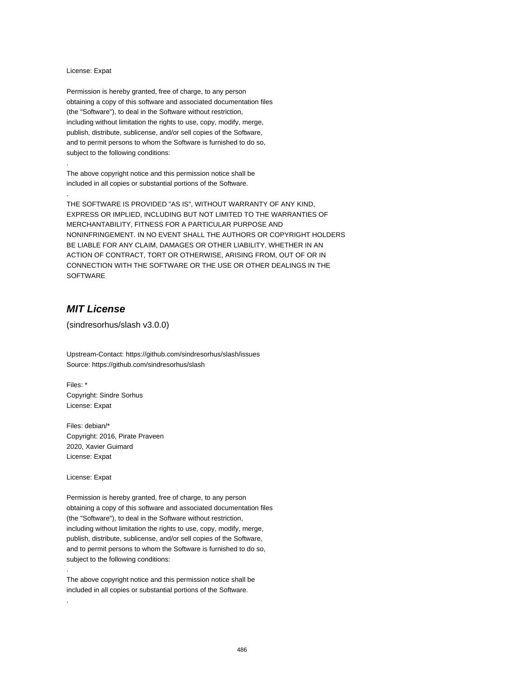#### License: Expat

.

.

Permission is hereby granted, free of charge, to any person obtaining a copy of this software and associated documentation files (the "Software"), to deal in the Software without restriction, including without limitation the rights to use, copy, modify, merge, publish, distribute, sublicense, and/or sell copies of the Software, and to permit persons to whom the Software is furnished to do so, subject to the following conditions:

The above copyright notice and this permission notice shall be included in all copies or substantial portions of the Software.

THE SOFTWARE IS PROVIDED "AS IS", WITHOUT WARRANTY OF ANY KIND, EXPRESS OR IMPLIED, INCLUDING BUT NOT LIMITED TO THE WARRANTIES OF MERCHANTABILITY, FITNESS FOR A PARTICULAR PURPOSE AND NONINFRINGEMENT. IN NO EVENT SHALL THE AUTHORS OR COPYRIGHT HOLDERS BE LIABLE FOR ANY CLAIM, DAMAGES OR OTHER LIABILITY, WHETHER IN AN ACTION OF CONTRACT, TORT OR OTHERWISE, ARISING FROM, OUT OF OR IN CONNECTION WITH THE SOFTWARE OR THE USE OR OTHER DEALINGS IN THE SOFTWARE

# **MIT License**

(sindresorhus/slash v3.0.0)

Upstream-Contact: https://github.com/sindresorhus/slash/issues Source: https://github.com/sindresorhus/slash

Files: \* Copyright: Sindre Sorhus License: Expat

Files: debian/\* Copyright: 2016, Pirate Praveen 2020, Xavier Guimard License: Expat

License: Expat

.

.

Permission is hereby granted, free of charge, to any person obtaining a copy of this software and associated documentation files (the "Software"), to deal in the Software without restriction, including without limitation the rights to use, copy, modify, merge, publish, distribute, sublicense, and/or sell copies of the Software, and to permit persons to whom the Software is furnished to do so, subject to the following conditions:

The above copyright notice and this permission notice shall be included in all copies or substantial portions of the Software.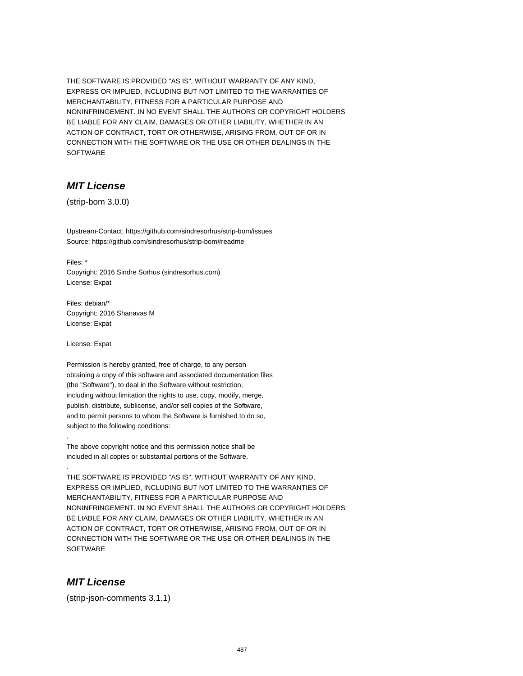THE SOFTWARE IS PROVIDED "AS IS", WITHOUT WARRANTY OF ANY KIND, EXPRESS OR IMPLIED, INCLUDING BUT NOT LIMITED TO THE WARRANTIES OF MERCHANTABILITY, FITNESS FOR A PARTICULAR PURPOSE AND NONINFRINGEMENT. IN NO EVENT SHALL THE AUTHORS OR COPYRIGHT HOLDERS BE LIABLE FOR ANY CLAIM, DAMAGES OR OTHER LIABILITY, WHETHER IN AN ACTION OF CONTRACT, TORT OR OTHERWISE, ARISING FROM, OUT OF OR IN CONNECTION WITH THE SOFTWARE OR THE USE OR OTHER DEALINGS IN THE **SOFTWARE** 

# **MIT License**

(strip-bom 3.0.0)

Upstream-Contact: https://github.com/sindresorhus/strip-bom/issues Source: https://github.com/sindresorhus/strip-bom#readme

Files: \* Copyright: 2016 Sindre Sorhus (sindresorhus.com) License: Expat

Files: debian/\* Copyright: 2016 Shanavas M License: Expat

License: Expat

.

.

Permission is hereby granted, free of charge, to any person obtaining a copy of this software and associated documentation files (the "Software"), to deal in the Software without restriction, including without limitation the rights to use, copy, modify, merge, publish, distribute, sublicense, and/or sell copies of the Software, and to permit persons to whom the Software is furnished to do so, subject to the following conditions:

The above copyright notice and this permission notice shall be included in all copies or substantial portions of the Software.

THE SOFTWARE IS PROVIDED "AS IS", WITHOUT WARRANTY OF ANY KIND, EXPRESS OR IMPLIED, INCLUDING BUT NOT LIMITED TO THE WARRANTIES OF MERCHANTABILITY, FITNESS FOR A PARTICULAR PURPOSE AND NONINFRINGEMENT. IN NO EVENT SHALL THE AUTHORS OR COPYRIGHT HOLDERS BE LIABLE FOR ANY CLAIM, DAMAGES OR OTHER LIABILITY, WHETHER IN AN ACTION OF CONTRACT, TORT OR OTHERWISE, ARISING FROM, OUT OF OR IN CONNECTION WITH THE SOFTWARE OR THE USE OR OTHER DEALINGS IN THE **SOFTWARE** 

## **MIT License**

(strip-json-comments 3.1.1)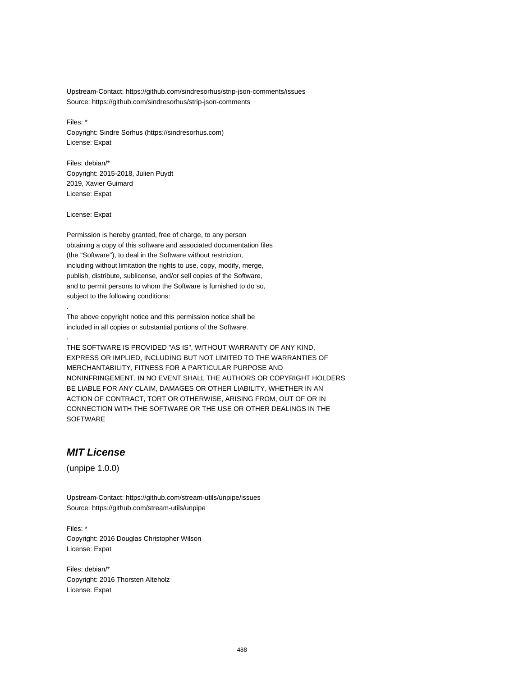Upstream-Contact: https://github.com/sindresorhus/strip-json-comments/issues Source: https://github.com/sindresorhus/strip-json-comments

Files: \* Copyright: Sindre Sorhus (https://sindresorhus.com) License: Expat

Files: debian/\* Copyright: 2015-2018, Julien Puydt 2019, Xavier Guimard License: Expat

License: Expat

.

.

Permission is hereby granted, free of charge, to any person obtaining a copy of this software and associated documentation files (the "Software"), to deal in the Software without restriction, including without limitation the rights to use, copy, modify, merge, publish, distribute, sublicense, and/or sell copies of the Software, and to permit persons to whom the Software is furnished to do so, subject to the following conditions:

The above copyright notice and this permission notice shall be included in all copies or substantial portions of the Software.

THE SOFTWARE IS PROVIDED "AS IS", WITHOUT WARRANTY OF ANY KIND, EXPRESS OR IMPLIED, INCLUDING BUT NOT LIMITED TO THE WARRANTIES OF MERCHANTABILITY, FITNESS FOR A PARTICULAR PURPOSE AND NONINFRINGEMENT. IN NO EVENT SHALL THE AUTHORS OR COPYRIGHT HOLDERS BE LIABLE FOR ANY CLAIM, DAMAGES OR OTHER LIABILITY, WHETHER IN AN ACTION OF CONTRACT, TORT OR OTHERWISE, ARISING FROM, OUT OF OR IN CONNECTION WITH THE SOFTWARE OR THE USE OR OTHER DEALINGS IN THE SOFTWARE

### **MIT License**

(unpipe 1.0.0)

Upstream-Contact: https://github.com/stream-utils/unpipe/issues Source: https://github.com/stream-utils/unpipe

Files: \* Copyright: 2016 Douglas Christopher Wilson License: Expat

Files: debian/\* Copyright: 2016 Thorsten Alteholz License: Expat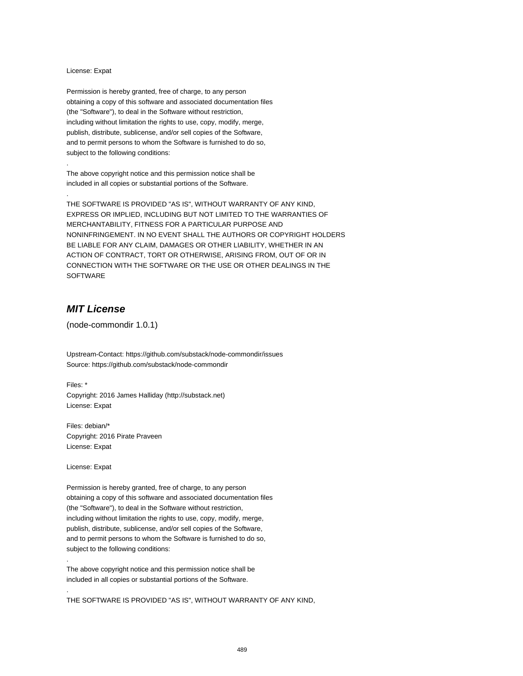#### License: Expat

.

.

Permission is hereby granted, free of charge, to any person obtaining a copy of this software and associated documentation files (the "Software"), to deal in the Software without restriction, including without limitation the rights to use, copy, modify, merge, publish, distribute, sublicense, and/or sell copies of the Software, and to permit persons to whom the Software is furnished to do so, subject to the following conditions:

The above copyright notice and this permission notice shall be included in all copies or substantial portions of the Software.

THE SOFTWARE IS PROVIDED "AS IS", WITHOUT WARRANTY OF ANY KIND, EXPRESS OR IMPLIED, INCLUDING BUT NOT LIMITED TO THE WARRANTIES OF MERCHANTABILITY, FITNESS FOR A PARTICULAR PURPOSE AND NONINFRINGEMENT. IN NO EVENT SHALL THE AUTHORS OR COPYRIGHT HOLDERS BE LIABLE FOR ANY CLAIM, DAMAGES OR OTHER LIABILITY, WHETHER IN AN ACTION OF CONTRACT, TORT OR OTHERWISE, ARISING FROM, OUT OF OR IN CONNECTION WITH THE SOFTWARE OR THE USE OR OTHER DEALINGS IN THE SOFTWARE

# **MIT License**

(node-commondir 1.0.1)

Upstream-Contact: https://github.com/substack/node-commondir/issues Source: https://github.com/substack/node-commondir

Files: \* Copyright: 2016 James Halliday (http://substack.net) License: Expat

Files: debian/\* Copyright: 2016 Pirate Praveen License: Expat

License: Expat

.

.

Permission is hereby granted, free of charge, to any person obtaining a copy of this software and associated documentation files (the "Software"), to deal in the Software without restriction, including without limitation the rights to use, copy, modify, merge, publish, distribute, sublicense, and/or sell copies of the Software, and to permit persons to whom the Software is furnished to do so, subject to the following conditions:

The above copyright notice and this permission notice shall be included in all copies or substantial portions of the Software.

THE SOFTWARE IS PROVIDED "AS IS", WITHOUT WARRANTY OF ANY KIND,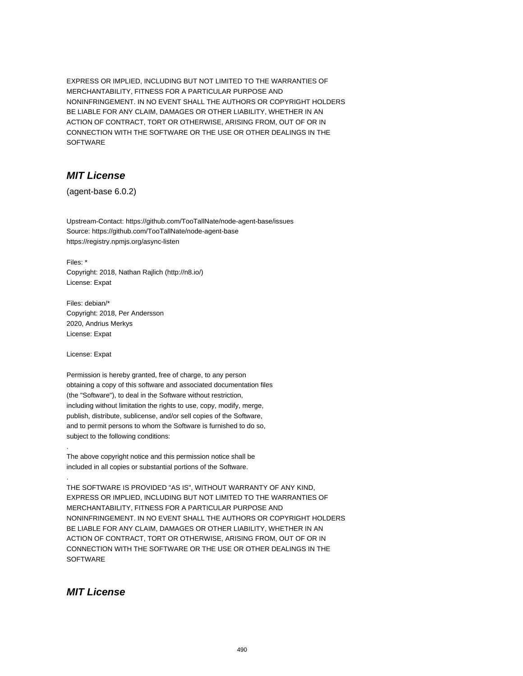EXPRESS OR IMPLIED, INCLUDING BUT NOT LIMITED TO THE WARRANTIES OF MERCHANTABILITY, FITNESS FOR A PARTICULAR PURPOSE AND NONINFRINGEMENT. IN NO EVENT SHALL THE AUTHORS OR COPYRIGHT HOLDERS BE LIABLE FOR ANY CLAIM, DAMAGES OR OTHER LIABILITY, WHETHER IN AN ACTION OF CONTRACT, TORT OR OTHERWISE, ARISING FROM, OUT OF OR IN CONNECTION WITH THE SOFTWARE OR THE USE OR OTHER DEALINGS IN THE SOFTWARE

# **MIT License**

(agent-base 6.0.2)

Upstream-Contact: https://github.com/TooTallNate/node-agent-base/issues Source: https://github.com/TooTallNate/node-agent-base https://registry.npmjs.org/async-listen

Files: \* Copyright: 2018, Nathan Rajlich (http://n8.io/) License: Expat

Files: debian/\* Copyright: 2018, Per Andersson 2020, Andrius Merkys License: Expat

License: Expat

.

.

Permission is hereby granted, free of charge, to any person obtaining a copy of this software and associated documentation files (the "Software"), to deal in the Software without restriction, including without limitation the rights to use, copy, modify, merge, publish, distribute, sublicense, and/or sell copies of the Software, and to permit persons to whom the Software is furnished to do so, subject to the following conditions:

The above copyright notice and this permission notice shall be included in all copies or substantial portions of the Software.

THE SOFTWARE IS PROVIDED "AS IS", WITHOUT WARRANTY OF ANY KIND, EXPRESS OR IMPLIED, INCLUDING BUT NOT LIMITED TO THE WARRANTIES OF MERCHANTABILITY, FITNESS FOR A PARTICULAR PURPOSE AND NONINFRINGEMENT. IN NO EVENT SHALL THE AUTHORS OR COPYRIGHT HOLDERS BE LIABLE FOR ANY CLAIM, DAMAGES OR OTHER LIABILITY, WHETHER IN AN ACTION OF CONTRACT, TORT OR OTHERWISE, ARISING FROM, OUT OF OR IN CONNECTION WITH THE SOFTWARE OR THE USE OR OTHER DEALINGS IN THE **SOFTWARE** 

# **MIT License**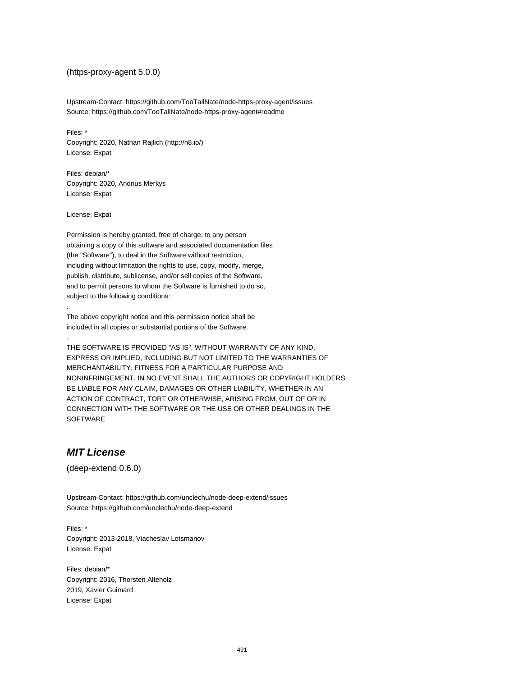### (https-proxy-agent 5.0.0)

Upstream-Contact: https://github.com/TooTallNate/node-https-proxy-agent/issues Source: https://github.com/TooTallNate/node-https-proxy-agent#readme

Files: \* Copyright: 2020, Nathan Rajlich (http://n8.io/) License: Expat

Files: debian/\* Copyright: 2020, Andrius Merkys License: Expat

License: Expat

.

.

Permission is hereby granted, free of charge, to any person obtaining a copy of this software and associated documentation files (the "Software"), to deal in the Software without restriction, including without limitation the rights to use, copy, modify, merge, publish, distribute, sublicense, and/or sell copies of the Software, and to permit persons to whom the Software is furnished to do so, subject to the following conditions:

The above copyright notice and this permission notice shall be included in all copies or substantial portions of the Software.

THE SOFTWARE IS PROVIDED "AS IS", WITHOUT WARRANTY OF ANY KIND, EXPRESS OR IMPLIED, INCLUDING BUT NOT LIMITED TO THE WARRANTIES OF MERCHANTABILITY, FITNESS FOR A PARTICULAR PURPOSE AND NONINFRINGEMENT. IN NO EVENT SHALL THE AUTHORS OR COPYRIGHT HOLDERS BE LIABLE FOR ANY CLAIM, DAMAGES OR OTHER LIABILITY, WHETHER IN AN ACTION OF CONTRACT, TORT OR OTHERWISE, ARISING FROM, OUT OF OR IN CONNECTION WITH THE SOFTWARE OR THE USE OR OTHER DEALINGS IN THE SOFTWARE

### **MIT License**

(deep-extend 0.6.0)

Upstream-Contact: https://github.com/unclechu/node-deep-extend/issues Source: https://github.com/unclechu/node-deep-extend

Files: \* Copyright: 2013-2018, Viacheslav Lotsmanov License: Expat

Files: debian/\* Copyright: 2016, Thorsten Alteholz 2019, Xavier Guimard License: Expat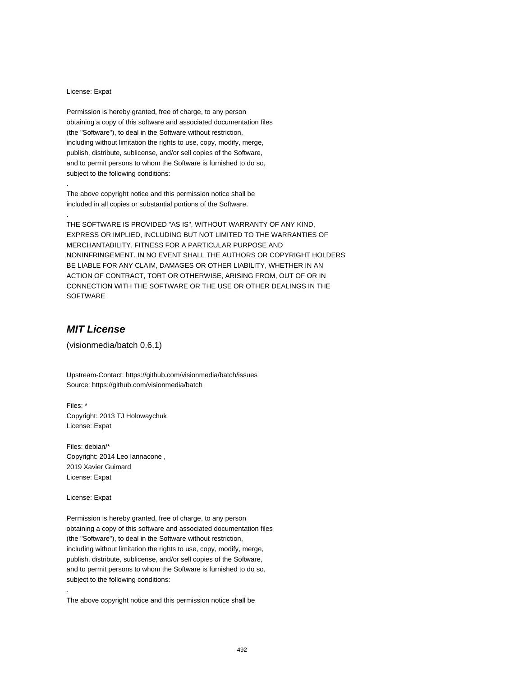#### License: Expat

.

.

Permission is hereby granted, free of charge, to any person obtaining a copy of this software and associated documentation files (the "Software"), to deal in the Software without restriction, including without limitation the rights to use, copy, modify, merge, publish, distribute, sublicense, and/or sell copies of the Software, and to permit persons to whom the Software is furnished to do so, subject to the following conditions:

The above copyright notice and this permission notice shall be included in all copies or substantial portions of the Software.

THE SOFTWARE IS PROVIDED "AS IS", WITHOUT WARRANTY OF ANY KIND, EXPRESS OR IMPLIED, INCLUDING BUT NOT LIMITED TO THE WARRANTIES OF MERCHANTABILITY, FITNESS FOR A PARTICULAR PURPOSE AND NONINFRINGEMENT. IN NO EVENT SHALL THE AUTHORS OR COPYRIGHT HOLDERS BE LIABLE FOR ANY CLAIM, DAMAGES OR OTHER LIABILITY, WHETHER IN AN ACTION OF CONTRACT, TORT OR OTHERWISE, ARISING FROM, OUT OF OR IN CONNECTION WITH THE SOFTWARE OR THE USE OR OTHER DEALINGS IN THE SOFTWARE

# **MIT License**

(visionmedia/batch 0.6.1)

Upstream-Contact: https://github.com/visionmedia/batch/issues Source: https://github.com/visionmedia/batch

Files: \* Copyright: 2013 TJ Holowaychuk License: Expat

Files: debian/\* Copyright: 2014 Leo Iannacone , 2019 Xavier Guimard License: Expat

License: Expat

.

Permission is hereby granted, free of charge, to any person obtaining a copy of this software and associated documentation files (the "Software"), to deal in the Software without restriction, including without limitation the rights to use, copy, modify, merge, publish, distribute, sublicense, and/or sell copies of the Software, and to permit persons to whom the Software is furnished to do so, subject to the following conditions:

The above copyright notice and this permission notice shall be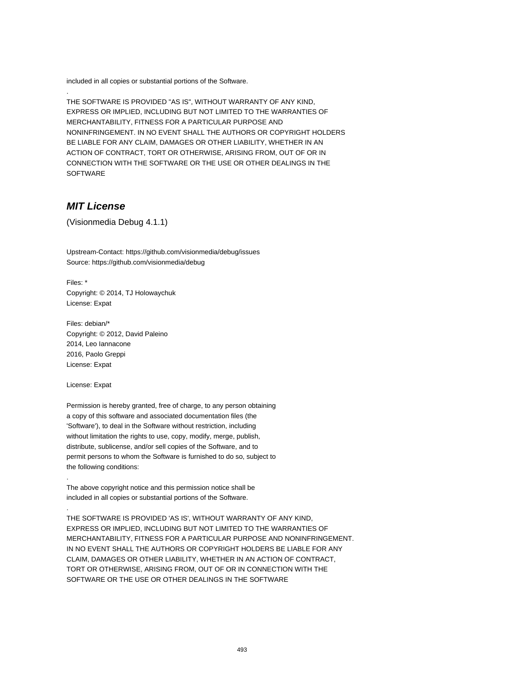included in all copies or substantial portions of the Software.

THE SOFTWARE IS PROVIDED "AS IS", WITHOUT WARRANTY OF ANY KIND, EXPRESS OR IMPLIED, INCLUDING BUT NOT LIMITED TO THE WARRANTIES OF MERCHANTABILITY, FITNESS FOR A PARTICULAR PURPOSE AND NONINFRINGEMENT. IN NO EVENT SHALL THE AUTHORS OR COPYRIGHT HOLDERS BE LIABLE FOR ANY CLAIM, DAMAGES OR OTHER LIABILITY, WHETHER IN AN ACTION OF CONTRACT, TORT OR OTHERWISE, ARISING FROM, OUT OF OR IN CONNECTION WITH THE SOFTWARE OR THE USE OR OTHER DEALINGS IN THE SOFTWARE

## **MIT License**

.

(Visionmedia Debug 4.1.1)

Upstream-Contact: https://github.com/visionmedia/debug/issues Source: https://github.com/visionmedia/debug

Files: \* Copyright: © 2014, TJ Holowaychuk License: Expat

Files: debian/\* Copyright: © 2012, David Paleino 2014, Leo Iannacone 2016, Paolo Greppi License: Expat

License: Expat

.

.

Permission is hereby granted, free of charge, to any person obtaining a copy of this software and associated documentation files (the 'Software'), to deal in the Software without restriction, including without limitation the rights to use, copy, modify, merge, publish, distribute, sublicense, and/or sell copies of the Software, and to permit persons to whom the Software is furnished to do so, subject to the following conditions:

The above copyright notice and this permission notice shall be included in all copies or substantial portions of the Software.

THE SOFTWARE IS PROVIDED 'AS IS', WITHOUT WARRANTY OF ANY KIND, EXPRESS OR IMPLIED, INCLUDING BUT NOT LIMITED TO THE WARRANTIES OF MERCHANTABILITY, FITNESS FOR A PARTICULAR PURPOSE AND NONINFRINGEMENT. IN NO EVENT SHALL THE AUTHORS OR COPYRIGHT HOLDERS BE LIABLE FOR ANY CLAIM, DAMAGES OR OTHER LIABILITY, WHETHER IN AN ACTION OF CONTRACT, TORT OR OTHERWISE, ARISING FROM, OUT OF OR IN CONNECTION WITH THE SOFTWARE OR THE USE OR OTHER DEALINGS IN THE SOFTWARE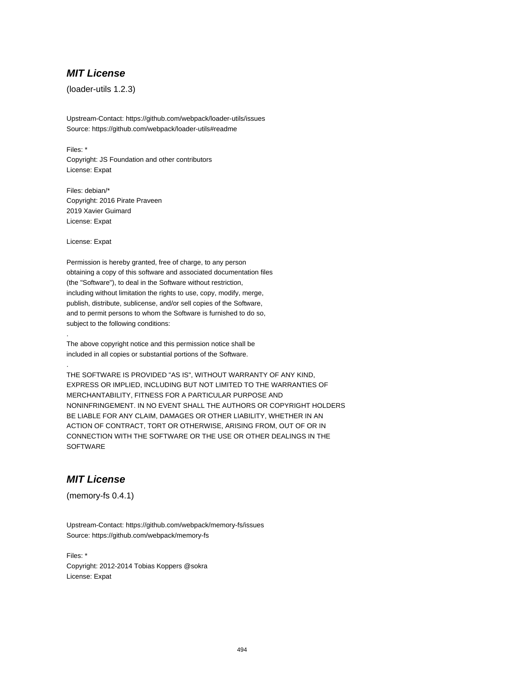## **MIT License**

(loader-utils 1.2.3)

Upstream-Contact: https://github.com/webpack/loader-utils/issues Source: https://github.com/webpack/loader-utils#readme

Files: \* Copyright: JS Foundation and other contributors License: Expat

Files: debian/\* Copyright: 2016 Pirate Praveen 2019 Xavier Guimard License: Expat

License: Expat

.

.

Permission is hereby granted, free of charge, to any person obtaining a copy of this software and associated documentation files (the "Software"), to deal in the Software without restriction, including without limitation the rights to use, copy, modify, merge, publish, distribute, sublicense, and/or sell copies of the Software, and to permit persons to whom the Software is furnished to do so, subject to the following conditions:

The above copyright notice and this permission notice shall be included in all copies or substantial portions of the Software.

THE SOFTWARE IS PROVIDED "AS IS", WITHOUT WARRANTY OF ANY KIND, EXPRESS OR IMPLIED, INCLUDING BUT NOT LIMITED TO THE WARRANTIES OF MERCHANTABILITY, FITNESS FOR A PARTICULAR PURPOSE AND NONINFRINGEMENT. IN NO EVENT SHALL THE AUTHORS OR COPYRIGHT HOLDERS BE LIABLE FOR ANY CLAIM, DAMAGES OR OTHER LIABILITY, WHETHER IN AN ACTION OF CONTRACT, TORT OR OTHERWISE, ARISING FROM, OUT OF OR IN CONNECTION WITH THE SOFTWARE OR THE USE OR OTHER DEALINGS IN THE **SOFTWARE** 

# **MIT License**

(memory-fs 0.4.1)

Upstream-Contact: https://github.com/webpack/memory-fs/issues Source: https://github.com/webpack/memory-fs

Files: \* Copyright: 2012-2014 Tobias Koppers @sokra License: Expat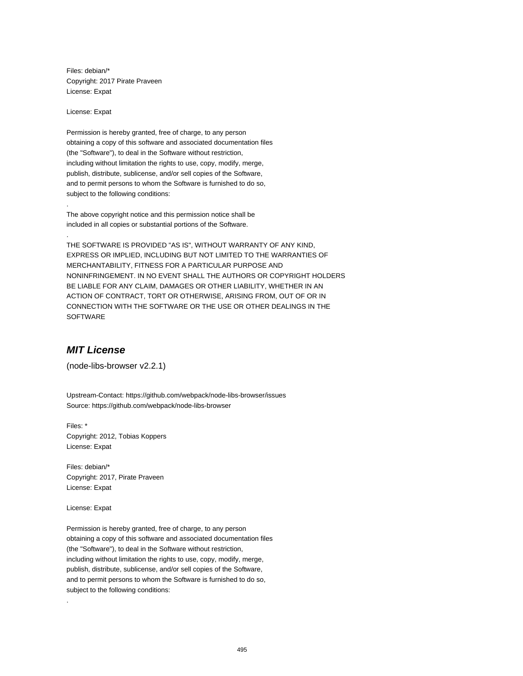Files: debian/\* Copyright: 2017 Pirate Praveen License: Expat

License: Expat

.

.

Permission is hereby granted, free of charge, to any person obtaining a copy of this software and associated documentation files (the "Software"), to deal in the Software without restriction, including without limitation the rights to use, copy, modify, merge, publish, distribute, sublicense, and/or sell copies of the Software, and to permit persons to whom the Software is furnished to do so, subject to the following conditions:

The above copyright notice and this permission notice shall be included in all copies or substantial portions of the Software.

THE SOFTWARE IS PROVIDED "AS IS", WITHOUT WARRANTY OF ANY KIND, EXPRESS OR IMPLIED, INCLUDING BUT NOT LIMITED TO THE WARRANTIES OF MERCHANTABILITY, FITNESS FOR A PARTICULAR PURPOSE AND NONINFRINGEMENT. IN NO EVENT SHALL THE AUTHORS OR COPYRIGHT HOLDERS BE LIABLE FOR ANY CLAIM, DAMAGES OR OTHER LIABILITY, WHETHER IN AN ACTION OF CONTRACT, TORT OR OTHERWISE, ARISING FROM, OUT OF OR IN CONNECTION WITH THE SOFTWARE OR THE USE OR OTHER DEALINGS IN THE SOFTWARE

# **MIT License**

(node-libs-browser v2.2.1)

Upstream-Contact: https://github.com/webpack/node-libs-browser/issues Source: https://github.com/webpack/node-libs-browser

Files: \* Copyright: 2012, Tobias Koppers License: Expat

Files: debian/\* Copyright: 2017, Pirate Praveen License: Expat

License: Expat

.

Permission is hereby granted, free of charge, to any person obtaining a copy of this software and associated documentation files (the "Software"), to deal in the Software without restriction, including without limitation the rights to use, copy, modify, merge, publish, distribute, sublicense, and/or sell copies of the Software, and to permit persons to whom the Software is furnished to do so, subject to the following conditions: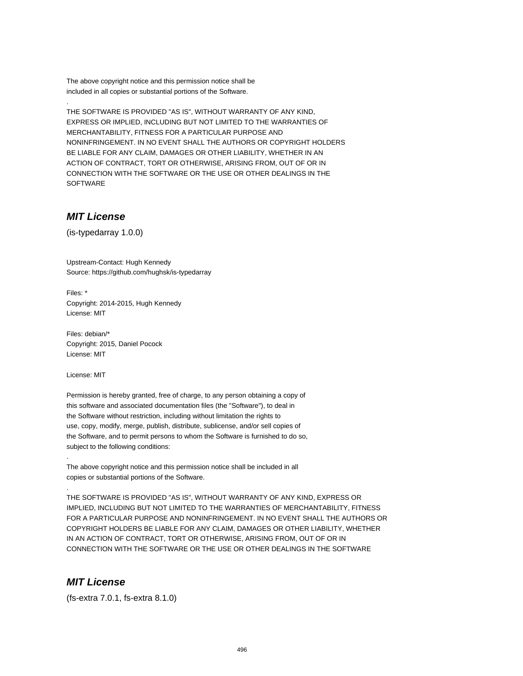The above copyright notice and this permission notice shall be included in all copies or substantial portions of the Software.

THE SOFTWARE IS PROVIDED "AS IS", WITHOUT WARRANTY OF ANY KIND, EXPRESS OR IMPLIED, INCLUDING BUT NOT LIMITED TO THE WARRANTIES OF MERCHANTABILITY, FITNESS FOR A PARTICULAR PURPOSE AND NONINFRINGEMENT. IN NO EVENT SHALL THE AUTHORS OR COPYRIGHT HOLDERS BE LIABLE FOR ANY CLAIM, DAMAGES OR OTHER LIABILITY, WHETHER IN AN ACTION OF CONTRACT, TORT OR OTHERWISE, ARISING FROM, OUT OF OR IN CONNECTION WITH THE SOFTWARE OR THE USE OR OTHER DEALINGS IN THE SOFTWARE

# **MIT License**

.

(is-typedarray 1.0.0)

Upstream-Contact: Hugh Kennedy Source: https://github.com/hughsk/is-typedarray

Files: \* Copyright: 2014-2015, Hugh Kennedy License: MIT

Files: debian/\* Copyright: 2015, Daniel Pocock License: MIT

License: MIT

.

.

Permission is hereby granted, free of charge, to any person obtaining a copy of this software and associated documentation files (the "Software"), to deal in the Software without restriction, including without limitation the rights to use, copy, modify, merge, publish, distribute, sublicense, and/or sell copies of the Software, and to permit persons to whom the Software is furnished to do so, subject to the following conditions:

The above copyright notice and this permission notice shall be included in all copies or substantial portions of the Software.

THE SOFTWARE IS PROVIDED "AS IS", WITHOUT WARRANTY OF ANY KIND, EXPRESS OR IMPLIED, INCLUDING BUT NOT LIMITED TO THE WARRANTIES OF MERCHANTABILITY, FITNESS FOR A PARTICULAR PURPOSE AND NONINFRINGEMENT. IN NO EVENT SHALL THE AUTHORS OR COPYRIGHT HOLDERS BE LIABLE FOR ANY CLAIM, DAMAGES OR OTHER LIABILITY, WHETHER IN AN ACTION OF CONTRACT, TORT OR OTHERWISE, ARISING FROM, OUT OF OR IN CONNECTION WITH THE SOFTWARE OR THE USE OR OTHER DEALINGS IN THE SOFTWARE

## **MIT License**

(fs-extra 7.0.1, fs-extra 8.1.0)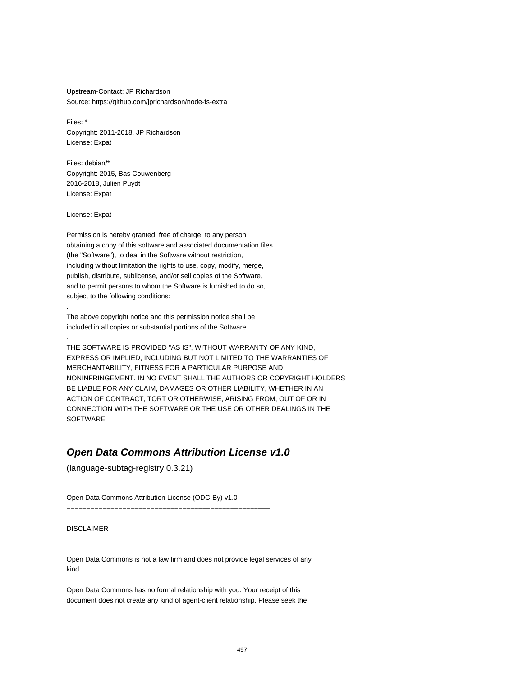Upstream-Contact: JP Richardson Source: https://github.com/jprichardson/node-fs-extra

Files: \* Copyright: 2011-2018, JP Richardson License: Expat

Files: debian/\* Copyright: 2015, Bas Couwenberg 2016-2018, Julien Puydt License: Expat

License: Expat

.

.

Permission is hereby granted, free of charge, to any person obtaining a copy of this software and associated documentation files (the "Software"), to deal in the Software without restriction, including without limitation the rights to use, copy, modify, merge, publish, distribute, sublicense, and/or sell copies of the Software, and to permit persons to whom the Software is furnished to do so, subject to the following conditions:

The above copyright notice and this permission notice shall be included in all copies or substantial portions of the Software.

THE SOFTWARE IS PROVIDED "AS IS", WITHOUT WARRANTY OF ANY KIND, EXPRESS OR IMPLIED, INCLUDING BUT NOT LIMITED TO THE WARRANTIES OF MERCHANTABILITY, FITNESS FOR A PARTICULAR PURPOSE AND NONINFRINGEMENT. IN NO EVENT SHALL THE AUTHORS OR COPYRIGHT HOLDERS BE LIABLE FOR ANY CLAIM, DAMAGES OR OTHER LIABILITY, WHETHER IN AN ACTION OF CONTRACT, TORT OR OTHERWISE, ARISING FROM, OUT OF OR IN CONNECTION WITH THE SOFTWARE OR THE USE OR OTHER DEALINGS IN THE SOFTWARE

### **Open Data Commons Attribution License v1.0**

(language-subtag-registry 0.3.21)

Open Data Commons Attribution License (ODC-By) v1.0

===================================================

### DISCLAIMER

----------

Open Data Commons is not a law firm and does not provide legal services of any kind.

Open Data Commons has no formal relationship with you. Your receipt of this document does not create any kind of agent-client relationship. Please seek the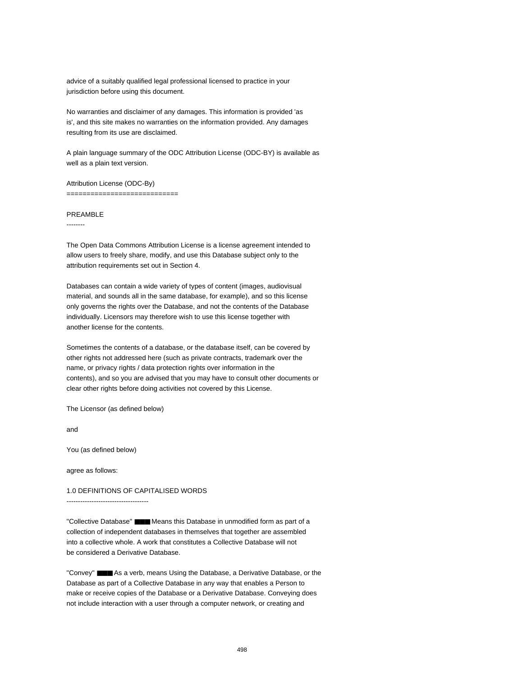advice of a suitably qualified legal professional licensed to practice in your jurisdiction before using this document.

No warranties and disclaimer of any damages. This information is provided 'as is', and this site makes no warranties on the information provided. Any damages resulting from its use are disclaimed.

A plain language summary of the ODC Attribution License (ODC-BY) is available as well as a plain text version.

Attribution License (ODC-By) ================================

### PREAMBLE

--------

The Open Data Commons Attribution License is a license agreement intended to allow users to freely share, modify, and use this Database subject only to the attribution requirements set out in Section 4.

Databases can contain a wide variety of types of content (images, audiovisual material, and sounds all in the same database, for example), and so this license only governs the rights over the Database, and not the contents of the Database individually. Licensors may therefore wish to use this license together with another license for the contents.

Sometimes the contents of a database, or the database itself, can be covered by other rights not addressed here (such as private contracts, trademark over the name, or privacy rights / data protection rights over information in the contents), and so you are advised that you may have to consult other documents or clear other rights before doing activities not covered by this License.

The Licensor (as defined below)

and

You (as defined below)

agree as follows:

1.0 DEFINITIONS OF CAPITALISED WORDS ------------------------------------

"Collective Database" ■■■ Means this Database in unmodified form as part of a collection of independent databases in themselves that together are assembled into a collective whole. A work that constitutes a Collective Database will not be considered a Derivative Database.

"Convey" ■■■ As a verb, means Using the Database, a Derivative Database, or the Database as part of a Collective Database in any way that enables a Person to make or receive copies of the Database or a Derivative Database. Conveying does not include interaction with a user through a computer network, or creating and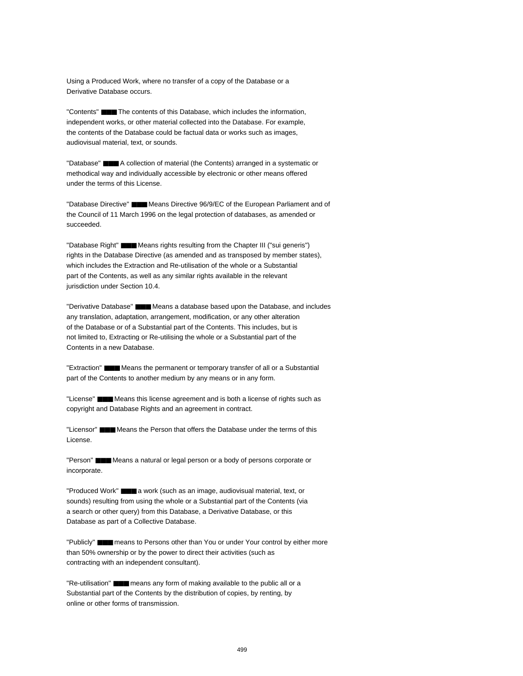Using a Produced Work, where no transfer of a copy of the Database or a Derivative Database occurs.

"Contents" ■■■ The contents of this Database, which includes the information, independent works, or other material collected into the Database. For example, the contents of the Database could be factual data or works such as images, audiovisual material, text, or sounds.

"Database" ■■■ A collection of material (the Contents) arranged in a systematic or methodical way and individually accessible by electronic or other means offered under the terms of this License.

"Database Directive" ■■■ Means Directive 96/9/EC of the European Parliament and of the Council of 11 March 1996 on the legal protection of databases, as amended or succeeded.

"Database Right" ■■■ Means rights resulting from the Chapter III ("sui generis") rights in the Database Directive (as amended and as transposed by member states), which includes the Extraction and Re-utilisation of the whole or a Substantial part of the Contents, as well as any similar rights available in the relevant jurisdiction under Section 10.4.

"Derivative Database" ■■■ Means a database based upon the Database, and includes any translation, adaptation, arrangement, modification, or any other alteration of the Database or of a Substantial part of the Contents. This includes, but is not limited to, Extracting or Re-utilising the whole or a Substantial part of the Contents in a new Database.

"Extraction" ■■■ Means the permanent or temporary transfer of all or a Substantial part of the Contents to another medium by any means or in any form.

"License" ■■■ Means this license agreement and is both a license of rights such as copyright and Database Rights and an agreement in contract.

"Licensor" ■■■ Means the Person that offers the Database under the terms of this License.

"Person" ■■■ Means a natural or legal person or a body of persons corporate or incorporate.

"Produced Work" ■■■ a work (such as an image, audiovisual material, text, or sounds) resulting from using the whole or a Substantial part of the Contents (via a search or other query) from this Database, a Derivative Database, or this Database as part of a Collective Database.

"Publicly" ■■■ means to Persons other than You or under Your control by either more than 50% ownership or by the power to direct their activities (such as contracting with an independent consultant).

"Re-utilisation" ■■■ means any form of making available to the public all or a Substantial part of the Contents by the distribution of copies, by renting, by online or other forms of transmission.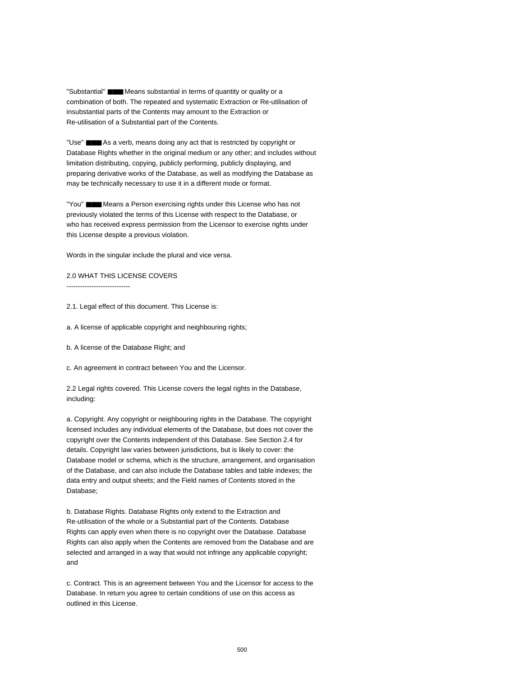"Substantial" ■■■ Means substantial in terms of quantity or quality or a combination of both. The repeated and systematic Extraction or Re-utilisation of insubstantial parts of the Contents may amount to the Extraction or Re-utilisation of a Substantial part of the Contents.

"Use" ■■■ As a verb, means doing any act that is restricted by copyright or Database Rights whether in the original medium or any other; and includes without limitation distributing, copying, publicly performing, publicly displaying, and preparing derivative works of the Database, as well as modifying the Database as may be technically necessary to use it in a different mode or format.

"You" ■■■ Means a Person exercising rights under this License who has not previously violated the terms of this License with respect to the Database, or who has received express permission from the Licensor to exercise rights under this License despite a previous violation.

Words in the singular include the plural and vice versa.

2.0 WHAT THIS LICENSE COVERS ----------------------------

2.1. Legal effect of this document. This License is:

a. A license of applicable copyright and neighbouring rights;

b. A license of the Database Right; and

c. An agreement in contract between You and the Licensor.

2.2 Legal rights covered. This License covers the legal rights in the Database, including:

a. Copyright. Any copyright or neighbouring rights in the Database. The copyright licensed includes any individual elements of the Database, but does not cover the copyright over the Contents independent of this Database. See Section 2.4 for details. Copyright law varies between jurisdictions, but is likely to cover: the Database model or schema, which is the structure, arrangement, and organisation of the Database, and can also include the Database tables and table indexes; the data entry and output sheets; and the Field names of Contents stored in the Database;

b. Database Rights. Database Rights only extend to the Extraction and Re-utilisation of the whole or a Substantial part of the Contents. Database Rights can apply even when there is no copyright over the Database. Database Rights can also apply when the Contents are removed from the Database and are selected and arranged in a way that would not infringe any applicable copyright; and

c. Contract. This is an agreement between You and the Licensor for access to the Database. In return you agree to certain conditions of use on this access as outlined in this License.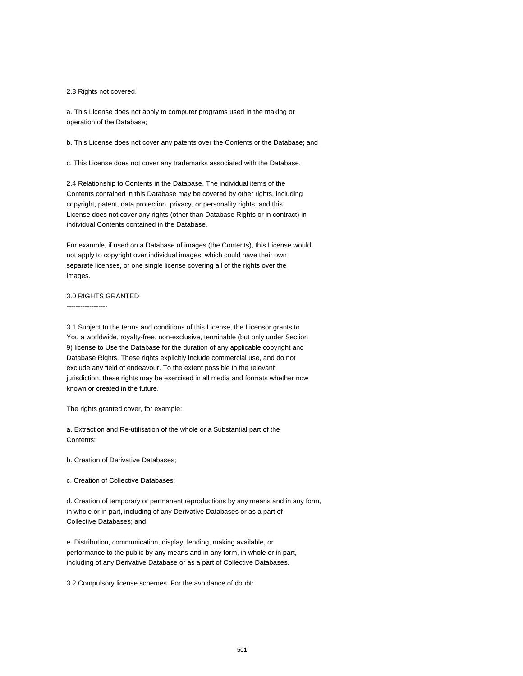2.3 Rights not covered.

a. This License does not apply to computer programs used in the making or operation of the Database;

b. This License does not cover any patents over the Contents or the Database; and

c. This License does not cover any trademarks associated with the Database.

2.4 Relationship to Contents in the Database. The individual items of the Contents contained in this Database may be covered by other rights, including copyright, patent, data protection, privacy, or personality rights, and this License does not cover any rights (other than Database Rights or in contract) in individual Contents contained in the Database.

For example, if used on a Database of images (the Contents), this License would not apply to copyright over individual images, which could have their own separate licenses, or one single license covering all of the rights over the images.

### 3.0 RIGHTS GRANTED

------------------

3.1 Subject to the terms and conditions of this License, the Licensor grants to You a worldwide, royalty-free, non-exclusive, terminable (but only under Section 9) license to Use the Database for the duration of any applicable copyright and Database Rights. These rights explicitly include commercial use, and do not exclude any field of endeavour. To the extent possible in the relevant jurisdiction, these rights may be exercised in all media and formats whether now known or created in the future.

The rights granted cover, for example:

a. Extraction and Re-utilisation of the whole or a Substantial part of the Contents;

b. Creation of Derivative Databases;

c. Creation of Collective Databases;

d. Creation of temporary or permanent reproductions by any means and in any form, in whole or in part, including of any Derivative Databases or as a part of Collective Databases; and

e. Distribution, communication, display, lending, making available, or performance to the public by any means and in any form, in whole or in part, including of any Derivative Database or as a part of Collective Databases.

3.2 Compulsory license schemes. For the avoidance of doubt: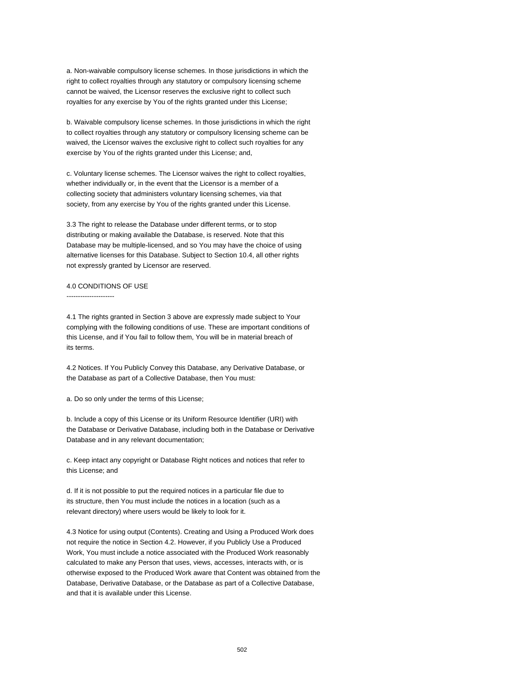a. Non-waivable compulsory license schemes. In those jurisdictions in which the right to collect royalties through any statutory or compulsory licensing scheme cannot be waived, the Licensor reserves the exclusive right to collect such royalties for any exercise by You of the rights granted under this License;

b. Waivable compulsory license schemes. In those jurisdictions in which the right to collect royalties through any statutory or compulsory licensing scheme can be waived, the Licensor waives the exclusive right to collect such royalties for any exercise by You of the rights granted under this License; and,

c. Voluntary license schemes. The Licensor waives the right to collect royalties, whether individually or, in the event that the Licensor is a member of a collecting society that administers voluntary licensing schemes, via that society, from any exercise by You of the rights granted under this License.

3.3 The right to release the Database under different terms, or to stop distributing or making available the Database, is reserved. Note that this Database may be multiple-licensed, and so You may have the choice of using alternative licenses for this Database. Subject to Section 10.4, all other rights not expressly granted by Licensor are reserved.

### 4.0 CONDITIONS OF USE

---------------------

4.1 The rights granted in Section 3 above are expressly made subject to Your complying with the following conditions of use. These are important conditions of this License, and if You fail to follow them, You will be in material breach of its terms.

4.2 Notices. If You Publicly Convey this Database, any Derivative Database, or the Database as part of a Collective Database, then You must:

a. Do so only under the terms of this License;

b. Include a copy of this License or its Uniform Resource Identifier (URI) with the Database or Derivative Database, including both in the Database or Derivative Database and in any relevant documentation;

c. Keep intact any copyright or Database Right notices and notices that refer to this License; and

d. If it is not possible to put the required notices in a particular file due to its structure, then You must include the notices in a location (such as a relevant directory) where users would be likely to look for it.

4.3 Notice for using output (Contents). Creating and Using a Produced Work does not require the notice in Section 4.2. However, if you Publicly Use a Produced Work, You must include a notice associated with the Produced Work reasonably calculated to make any Person that uses, views, accesses, interacts with, or is otherwise exposed to the Produced Work aware that Content was obtained from the Database, Derivative Database, or the Database as part of a Collective Database, and that it is available under this License.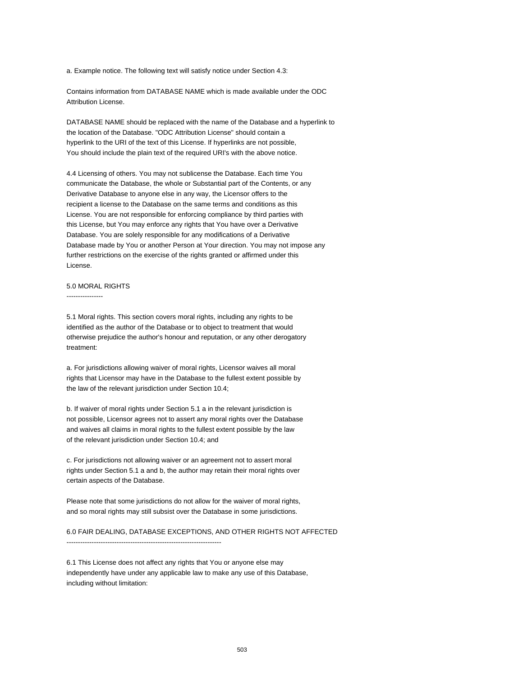a. Example notice. The following text will satisfy notice under Section 4.3:

Contains information from DATABASE NAME which is made available under the ODC Attribution License.

DATABASE NAME should be replaced with the name of the Database and a hyperlink to the location of the Database. "ODC Attribution License" should contain a hyperlink to the URI of the text of this License. If hyperlinks are not possible, You should include the plain text of the required URI's with the above notice.

4.4 Licensing of others. You may not sublicense the Database. Each time You communicate the Database, the whole or Substantial part of the Contents, or any Derivative Database to anyone else in any way, the Licensor offers to the recipient a license to the Database on the same terms and conditions as this License. You are not responsible for enforcing compliance by third parties with this License, but You may enforce any rights that You have over a Derivative Database. You are solely responsible for any modifications of a Derivative Database made by You or another Person at Your direction. You may not impose any further restrictions on the exercise of the rights granted or affirmed under this License.

### 5.0 MORAL RIGHTS

----------------

5.1 Moral rights. This section covers moral rights, including any rights to be identified as the author of the Database or to object to treatment that would otherwise prejudice the author's honour and reputation, or any other derogatory treatment:

a. For jurisdictions allowing waiver of moral rights, Licensor waives all moral rights that Licensor may have in the Database to the fullest extent possible by the law of the relevant jurisdiction under Section 10.4;

b. If waiver of moral rights under Section 5.1 a in the relevant jurisdiction is not possible, Licensor agrees not to assert any moral rights over the Database and waives all claims in moral rights to the fullest extent possible by the law of the relevant jurisdiction under Section 10.4; and

c. For jurisdictions not allowing waiver or an agreement not to assert moral rights under Section 5.1 a and b, the author may retain their moral rights over certain aspects of the Database.

Please note that some jurisdictions do not allow for the waiver of moral rights, and so moral rights may still subsist over the Database in some jurisdictions.

6.0 FAIR DEALING, DATABASE EXCEPTIONS, AND OTHER RIGHTS NOT AFFECTED --------------------------------------------------------------------

6.1 This License does not affect any rights that You or anyone else may independently have under any applicable law to make any use of this Database, including without limitation: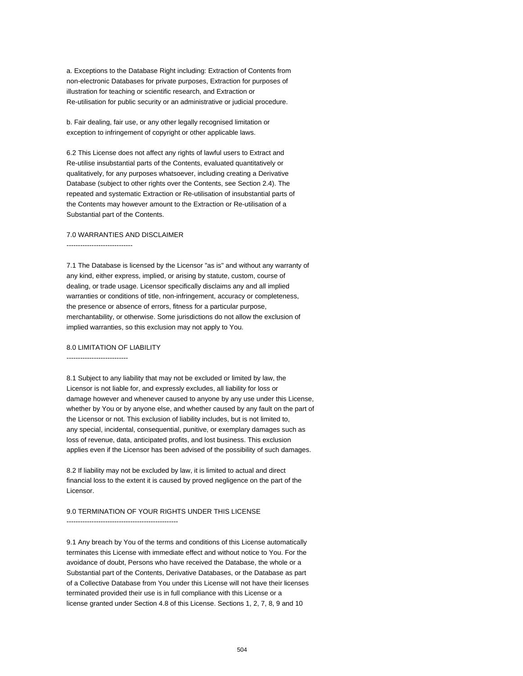a. Exceptions to the Database Right including: Extraction of Contents from non-electronic Databases for private purposes, Extraction for purposes of illustration for teaching or scientific research, and Extraction or Re-utilisation for public security or an administrative or judicial procedure.

b. Fair dealing, fair use, or any other legally recognised limitation or exception to infringement of copyright or other applicable laws.

6.2 This License does not affect any rights of lawful users to Extract and Re-utilise insubstantial parts of the Contents, evaluated quantitatively or qualitatively, for any purposes whatsoever, including creating a Derivative Database (subject to other rights over the Contents, see Section 2.4). The repeated and systematic Extraction or Re-utilisation of insubstantial parts of the Contents may however amount to the Extraction or Re-utilisation of a Substantial part of the Contents.

### 7.0 WARRANTIES AND DISCLAIMER

-----------------------------

7.1 The Database is licensed by the Licensor "as is" and without any warranty of any kind, either express, implied, or arising by statute, custom, course of dealing, or trade usage. Licensor specifically disclaims any and all implied warranties or conditions of title, non-infringement, accuracy or completeness, the presence or absence of errors, fitness for a particular purpose, merchantability, or otherwise. Some jurisdictions do not allow the exclusion of implied warranties, so this exclusion may not apply to You.

### 8.0 LIMITATION OF LIABILITY

---------------------------

8.1 Subject to any liability that may not be excluded or limited by law, the Licensor is not liable for, and expressly excludes, all liability for loss or damage however and whenever caused to anyone by any use under this License, whether by You or by anyone else, and whether caused by any fault on the part of the Licensor or not. This exclusion of liability includes, but is not limited to, any special, incidental, consequential, punitive, or exemplary damages such as loss of revenue, data, anticipated profits, and lost business. This exclusion applies even if the Licensor has been advised of the possibility of such damages.

8.2 If liability may not be excluded by law, it is limited to actual and direct financial loss to the extent it is caused by proved negligence on the part of the Licensor.

#### 9.0 TERMINATION OF YOUR RIGHTS UNDER THIS LICENSE

-------------------------------------------------

9.1 Any breach by You of the terms and conditions of this License automatically terminates this License with immediate effect and without notice to You. For the avoidance of doubt, Persons who have received the Database, the whole or a Substantial part of the Contents, Derivative Databases, or the Database as part of a Collective Database from You under this License will not have their licenses terminated provided their use is in full compliance with this License or a license granted under Section 4.8 of this License. Sections 1, 2, 7, 8, 9 and 10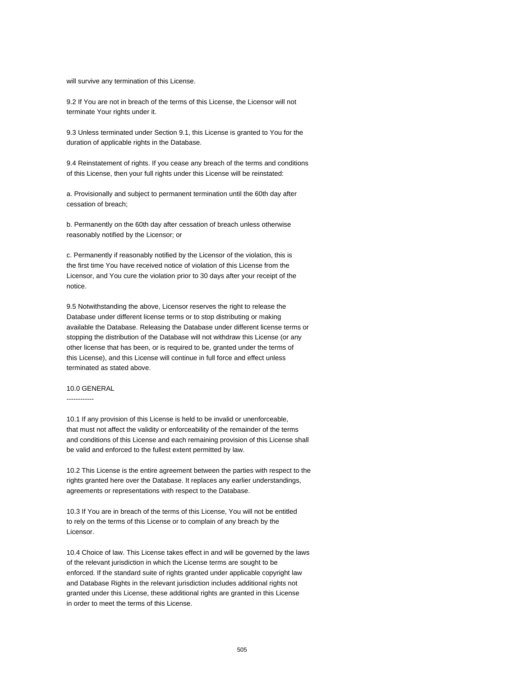will survive any termination of this License.

9.2 If You are not in breach of the terms of this License, the Licensor will not terminate Your rights under it.

9.3 Unless terminated under Section 9.1, this License is granted to You for the duration of applicable rights in the Database.

9.4 Reinstatement of rights. If you cease any breach of the terms and conditions of this License, then your full rights under this License will be reinstated:

a. Provisionally and subject to permanent termination until the 60th day after cessation of breach;

b. Permanently on the 60th day after cessation of breach unless otherwise reasonably notified by the Licensor; or

c. Permanently if reasonably notified by the Licensor of the violation, this is the first time You have received notice of violation of this License from the Licensor, and You cure the violation prior to 30 days after your receipt of the notice.

9.5 Notwithstanding the above, Licensor reserves the right to release the Database under different license terms or to stop distributing or making available the Database. Releasing the Database under different license terms or stopping the distribution of the Database will not withdraw this License (or any other license that has been, or is required to be, granted under the terms of this License), and this License will continue in full force and effect unless terminated as stated above.

## 10.0 GENERAL

------------

10.1 If any provision of this License is held to be invalid or unenforceable, that must not affect the validity or enforceability of the remainder of the terms and conditions of this License and each remaining provision of this License shall be valid and enforced to the fullest extent permitted by law.

10.2 This License is the entire agreement between the parties with respect to the rights granted here over the Database. It replaces any earlier understandings, agreements or representations with respect to the Database.

10.3 If You are in breach of the terms of this License, You will not be entitled to rely on the terms of this License or to complain of any breach by the Licensor.

10.4 Choice of law. This License takes effect in and will be governed by the laws of the relevant jurisdiction in which the License terms are sought to be enforced. If the standard suite of rights granted under applicable copyright law and Database Rights in the relevant jurisdiction includes additional rights not granted under this License, these additional rights are granted in this License in order to meet the terms of this License.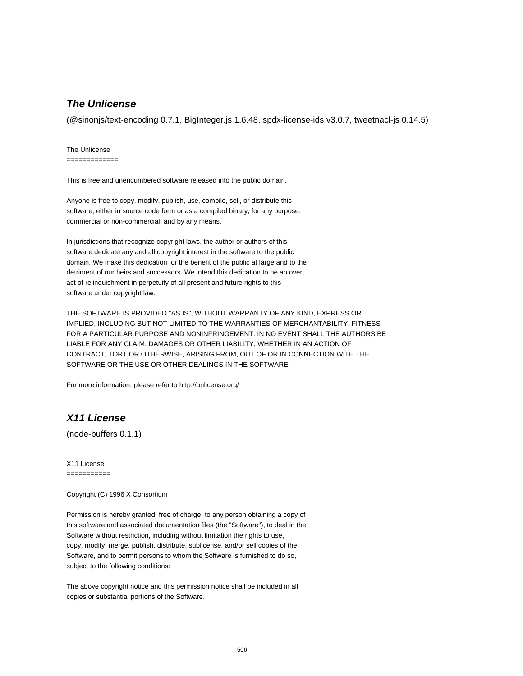## **The Unlicense**

(@sinonjs/text-encoding 0.7.1, BigInteger.js 1.6.48, spdx-license-ids v3.0.7, tweetnacl-js 0.14.5)

The Unlicense

=============

This is free and unencumbered software released into the public domain.

Anyone is free to copy, modify, publish, use, compile, sell, or distribute this software, either in source code form or as a compiled binary, for any purpose, commercial or non-commercial, and by any means.

In jurisdictions that recognize copyright laws, the author or authors of this software dedicate any and all copyright interest in the software to the public domain. We make this dedication for the benefit of the public at large and to the detriment of our heirs and successors. We intend this dedication to be an overt act of relinquishment in perpetuity of all present and future rights to this software under copyright law.

THE SOFTWARE IS PROVIDED "AS IS", WITHOUT WARRANTY OF ANY KIND, EXPRESS OR IMPLIED, INCLUDING BUT NOT LIMITED TO THE WARRANTIES OF MERCHANTABILITY, FITNESS FOR A PARTICULAR PURPOSE AND NONINFRINGEMENT. IN NO EVENT SHALL THE AUTHORS BE LIABLE FOR ANY CLAIM, DAMAGES OR OTHER LIABILITY, WHETHER IN AN ACTION OF CONTRACT, TORT OR OTHERWISE, ARISING FROM, OUT OF OR IN CONNECTION WITH THE SOFTWARE OR THE USE OR OTHER DEALINGS IN THE SOFTWARE.

For more information, please refer to http://unlicense.org/

## **X11 License**

(node-buffers 0.1.1)

X11 License

===========

Copyright (C) 1996 X Consortium

Permission is hereby granted, free of charge, to any person obtaining a copy of this software and associated documentation files (the "Software"), to deal in the Software without restriction, including without limitation the rights to use, copy, modify, merge, publish, distribute, sublicense, and/or sell copies of the Software, and to permit persons to whom the Software is furnished to do so, subject to the following conditions:

The above copyright notice and this permission notice shall be included in all copies or substantial portions of the Software.